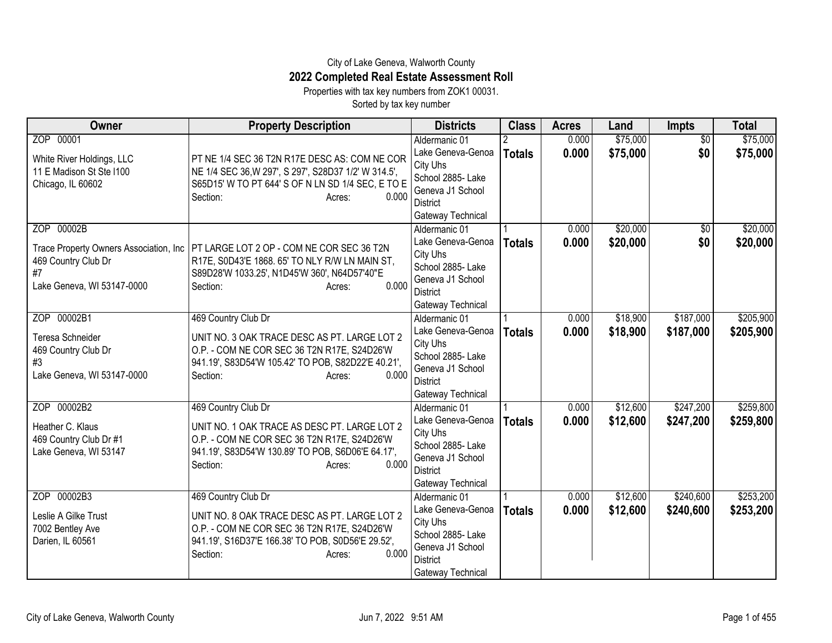## City of Lake Geneva, Walworth County **2022 Completed Real Estate Assessment Roll**

Properties with tax key numbers from ZOK1 00031.

Sorted by tax key number

| Owner                                                                                                           | <b>Property Description</b>                                                                                                                                                                             | <b>Districts</b>                                                                                                                | <b>Class</b>  | <b>Acres</b>   | Land                 | <b>Impts</b>           | <b>Total</b>           |
|-----------------------------------------------------------------------------------------------------------------|---------------------------------------------------------------------------------------------------------------------------------------------------------------------------------------------------------|---------------------------------------------------------------------------------------------------------------------------------|---------------|----------------|----------------------|------------------------|------------------------|
| ZOP 00001<br>White River Holdings, LLC<br>11 E Madison St Ste I100<br>Chicago, IL 60602                         | PT NE 1/4 SEC 36 T2N R17E DESC AS: COM NE COR<br>NE 1/4 SEC 36, W 297', S 297', S 28D37 1/2' W 314.5',<br>S65D15' W TO PT 644' S OF N LN SD 1/4 SEC, E TO E<br>0.000<br>Section:<br>Acres:              | Aldermanic 01<br>Lake Geneva-Genoa<br>City Uhs<br>School 2885- Lake<br>Geneva J1 School<br>District<br>Gateway Technical        | <b>Totals</b> | 0.000<br>0.000 | \$75,000<br>\$75,000 | $\overline{50}$<br>\$0 | \$75,000<br>\$75,000   |
| ZOP 00002B<br>Trace Property Owners Association, Inc<br>469 Country Club Dr<br>#7<br>Lake Geneva, WI 53147-0000 | PT LARGE LOT 2 OP - COM NE COR SEC 36 T2N<br>R17E, S0D43'E 1868. 65' TO NLY R/W LN MAIN ST,<br>S89D28'W 1033.25', N1D45'W 360', N64D57'40"E<br>0.000<br>Section:<br>Acres:                              | Aldermanic 01<br>Lake Geneva-Genoa<br>City Uhs<br>School 2885-Lake<br>Geneva J1 School<br><b>District</b><br>Gateway Technical  | <b>Totals</b> | 0.000<br>0.000 | \$20,000<br>\$20,000 | \$0<br>\$0             | \$20,000<br>\$20,000   |
| ZOP 00002B1<br>Teresa Schneider<br>469 Country Club Dr<br>#3<br>Lake Geneva, WI 53147-0000                      | 469 Country Club Dr<br>UNIT NO. 3 OAK TRACE DESC AS PT. LARGE LOT 2<br>O.P. - COM NE COR SEC 36 T2N R17E, S24D26'W<br>941.19', S83D54'W 105.42' TO POB, S82D22'E 40.21',<br>0.000<br>Section:<br>Acres: | Aldermanic 01<br>Lake Geneva-Genoa<br>City Uhs<br>School 2885- Lake<br>Geneva J1 School<br><b>District</b><br>Gateway Technical | <b>Totals</b> | 0.000<br>0.000 | \$18,900<br>\$18,900 | \$187,000<br>\$187,000 | \$205,900<br>\$205,900 |
| ZOP 00002B2<br>Heather C. Klaus<br>469 Country Club Dr #1<br>Lake Geneva, WI 53147                              | 469 Country Club Dr<br>UNIT NO. 1 OAK TRACE AS DESC PT. LARGE LOT 2<br>O.P. - COM NE COR SEC 36 T2N R17E, S24D26'W<br>941.19', S83D54'W 130.89' TO POB, S6D06'E 64.17',<br>0.000<br>Section:<br>Acres:  | Aldermanic 01<br>Lake Geneva-Genoa<br>City Uhs<br>School 2885- Lake<br>Geneva J1 School<br><b>District</b><br>Gateway Technical | <b>Totals</b> | 0.000<br>0.000 | \$12,600<br>\$12,600 | \$247,200<br>\$247,200 | \$259,800<br>\$259,800 |
| ZOP 00002B3<br>Leslie A Gilke Trust<br>7002 Bentley Ave<br>Darien, IL 60561                                     | 469 Country Club Dr<br>UNIT NO. 8 OAK TRACE DESC AS PT. LARGE LOT 2<br>O.P. - COM NE COR SEC 36 T2N R17E, S24D26'W<br>941.19', S16D37'E 166.38' TO POB, S0D56'E 29.52',<br>0.000<br>Section:<br>Acres:  | Aldermanic 01<br>Lake Geneva-Genoa<br>City Uhs<br>School 2885-Lake<br>Geneva J1 School<br><b>District</b><br>Gateway Technical  | <b>Totals</b> | 0.000<br>0.000 | \$12,600<br>\$12,600 | \$240,600<br>\$240,600 | \$253,200<br>\$253,200 |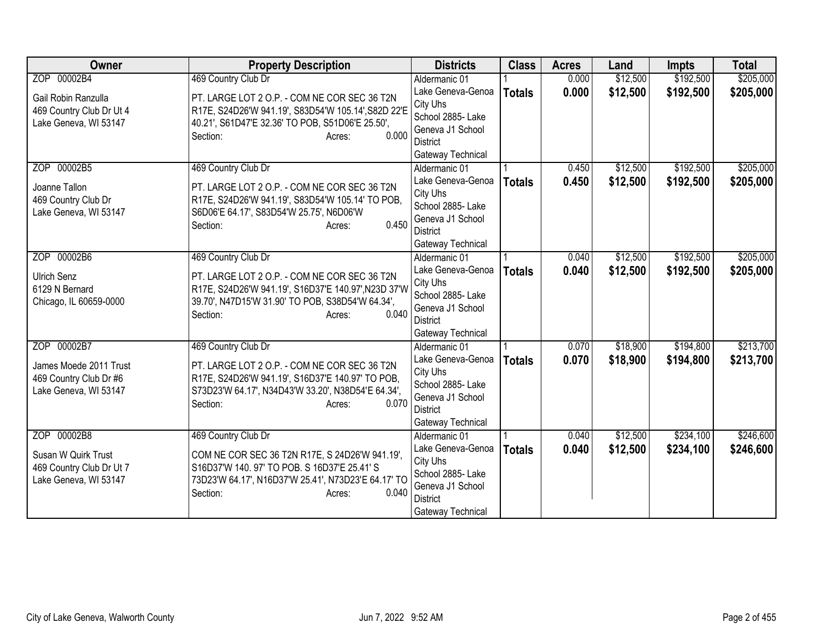| Owner                                                                                    | <b>Property Description</b>                                                                                                                                                                                   | <b>Districts</b>                                                                                                                | <b>Class</b>  | <b>Acres</b>   | Land                 | <b>Impts</b>           | <b>Total</b>           |
|------------------------------------------------------------------------------------------|---------------------------------------------------------------------------------------------------------------------------------------------------------------------------------------------------------------|---------------------------------------------------------------------------------------------------------------------------------|---------------|----------------|----------------------|------------------------|------------------------|
| ZOP 00002B4                                                                              | 469 Country Club Dr                                                                                                                                                                                           | Aldermanic 01                                                                                                                   |               | 0.000          | \$12,500             | \$192,500              | \$205,000              |
| Gail Robin Ranzulla<br>469 Country Club Dr Ut 4<br>Lake Geneva, WI 53147                 | PT. LARGE LOT 2 O.P. - COM NE COR SEC 36 T2N<br>R17E, S24D26'W 941.19', S83D54'W 105.14', S82D 22'E<br>40.21', S61D47'E 32.36' TO POB, S51D06'E 25.50',                                                       | Lake Geneva-Genoa<br>City Uhs<br>School 2885- Lake<br>Geneva J1 School                                                          | <b>Totals</b> | 0.000          | \$12,500             | \$192,500              | \$205,000              |
|                                                                                          | 0.000<br>Section:<br>Acres:                                                                                                                                                                                   | District<br>Gateway Technical                                                                                                   |               |                |                      |                        |                        |
| ZOP 00002B5<br>Joanne Tallon<br>469 Country Club Dr<br>Lake Geneva, WI 53147             | 469 Country Club Dr<br>PT. LARGE LOT 2 O.P. - COM NE COR SEC 36 T2N<br>R17E, S24D26'W 941.19', S83D54'W 105.14' TO POB,<br>S6D06'E 64.17', S83D54'W 25.75', N6D06'W<br>0.450<br>Section:<br>Acres:            | Aldermanic 01<br>Lake Geneva-Genoa<br>City Uhs<br>School 2885- Lake<br>Geneva J1 School<br><b>District</b><br>Gateway Technical | <b>Totals</b> | 0.450<br>0.450 | \$12,500<br>\$12,500 | \$192,500<br>\$192,500 | \$205,000<br>\$205,000 |
| ZOP 00002B6<br><b>Ulrich Senz</b><br>6129 N Bernard<br>Chicago, IL 60659-0000            | 469 Country Club Dr<br>PT. LARGE LOT 2 O.P. - COM NE COR SEC 36 T2N<br>R17E, S24D26'W 941.19', S16D37'E 140.97', N23D 37'W<br>39.70', N47D15'W 31.90' TO POB, S38D54'W 64.34',<br>0.040<br>Section:<br>Acres: | Aldermanic 01<br>Lake Geneva-Genoa<br>City Uhs<br>School 2885- Lake<br>Geneva J1 School<br><b>District</b><br>Gateway Technical | <b>Totals</b> | 0.040<br>0.040 | \$12,500<br>\$12,500 | \$192,500<br>\$192,500 | \$205,000<br>\$205,000 |
| ZOP 00002B7<br>James Moede 2011 Trust<br>469 Country Club Dr #6<br>Lake Geneva, WI 53147 | 469 Country Club Dr<br>PT. LARGE LOT 2 O.P. - COM NE COR SEC 36 T2N<br>R17E, S24D26'W 941.19', S16D37'E 140.97' TO POB,<br>S73D23'W 64.17', N34D43'W 33.20', N38D54'E 64.34',<br>0.070<br>Section:<br>Acres:  | Aldermanic 01<br>Lake Geneva-Genoa<br>City Uhs<br>School 2885- Lake<br>Geneva J1 School<br><b>District</b><br>Gateway Technical | <b>Totals</b> | 0.070<br>0.070 | \$18,900<br>\$18,900 | \$194,800<br>\$194,800 | \$213,700<br>\$213,700 |
| ZOP 00002B8<br>Susan W Quirk Trust<br>469 Country Club Dr Ut 7<br>Lake Geneva, WI 53147  | 469 Country Club Dr<br>COM NE COR SEC 36 T2N R17E, S 24D26'W 941.19',<br>S16D37'W 140.97' TO POB. S 16D37'E 25.41' S<br>73D23'W 64.17', N16D37'W 25.41', N73D23'E 64.17' TO<br>Section:<br>0.040<br>Acres:    | Aldermanic 01<br>Lake Geneva-Genoa<br>City Uhs<br>School 2885- Lake<br>Geneva J1 School<br><b>District</b><br>Gateway Technical | <b>Totals</b> | 0.040<br>0.040 | \$12,500<br>\$12,500 | \$234,100<br>\$234,100 | \$246,600<br>\$246,600 |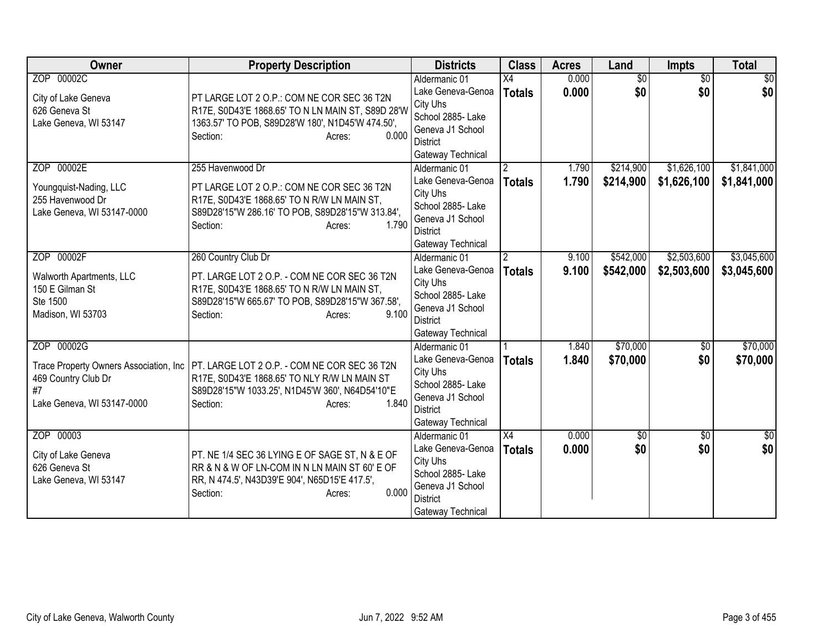| Owner                                  | <b>Property Description</b>                               | <b>Districts</b>                   | <b>Class</b>   | <b>Acres</b> | Land            | Impts           | <b>Total</b>    |
|----------------------------------------|-----------------------------------------------------------|------------------------------------|----------------|--------------|-----------------|-----------------|-----------------|
| ZOP 00002C                             |                                                           | Aldermanic 01                      | X4             | 0.000        | $\overline{50}$ | $\overline{50}$ | $\overline{50}$ |
| City of Lake Geneva                    | PT LARGE LOT 2 O.P.: COM NE COR SEC 36 T2N                | Lake Geneva-Genoa                  | <b>Totals</b>  | 0.000        | \$0             | \$0             | \$0             |
| 626 Geneva St                          | R17E, S0D43'E 1868.65' TO N LN MAIN ST, S89D 28'W         | City Uhs                           |                |              |                 |                 |                 |
| Lake Geneva, WI 53147                  | 1363.57' TO POB, S89D28'W 180', N1D45'W 474.50',          | School 2885- Lake                  |                |              |                 |                 |                 |
|                                        | 0.000<br>Section:<br>Acres:                               | Geneva J1 School                   |                |              |                 |                 |                 |
|                                        |                                                           | District                           |                |              |                 |                 |                 |
| ZOP 00002E                             | 255 Havenwood Dr                                          | Gateway Technical                  |                | 1.790        |                 | \$1,626,100     | \$1,841,000     |
|                                        |                                                           | Aldermanic 01<br>Lake Geneva-Genoa | 2              |              | \$214,900       |                 |                 |
| Youngquist-Nading, LLC                 | PT LARGE LOT 2 O.P.: COM NE COR SEC 36 T2N                | City Uhs                           | <b>Totals</b>  | 1.790        | \$214,900       | \$1,626,100     | \$1,841,000     |
| 255 Havenwood Dr                       | R17E, S0D43'E 1868.65' TO N R/W LN MAIN ST,               | School 2885- Lake                  |                |              |                 |                 |                 |
| Lake Geneva, WI 53147-0000             | S89D28'15"W 286.16' TO POB, S89D28'15"W 313.84',          | Geneva J1 School                   |                |              |                 |                 |                 |
|                                        | 1.790<br>Section:<br>Acres:                               | <b>District</b>                    |                |              |                 |                 |                 |
|                                        |                                                           | Gateway Technical                  |                |              |                 |                 |                 |
| ZOP 00002F                             | 260 Country Club Dr                                       | Aldermanic 01                      | $\overline{2}$ | 9.100        | \$542,000       | \$2,503,600     | \$3,045,600     |
|                                        |                                                           | Lake Geneva-Genoa                  | <b>Totals</b>  | 9.100        | \$542,000       | \$2,503,600     | \$3,045,600     |
| Walworth Apartments, LLC               | PT. LARGE LOT 2 O.P. - COM NE COR SEC 36 T2N              | City Uhs                           |                |              |                 |                 |                 |
| 150 E Gilman St                        | R17E, S0D43'E 1868.65' TO N R/W LN MAIN ST,               | School 2885-Lake                   |                |              |                 |                 |                 |
| Ste 1500                               | S89D28'15"W 665.67' TO POB, S89D28'15"W 367.58',<br>9.100 | Geneva J1 School                   |                |              |                 |                 |                 |
| Madison, WI 53703                      | Section:<br>Acres:                                        | District                           |                |              |                 |                 |                 |
|                                        |                                                           | Gateway Technical                  |                |              |                 |                 |                 |
| ZOP 00002G                             |                                                           | Aldermanic 01                      |                | 1.840        | \$70,000        | \$0             | \$70,000        |
| Trace Property Owners Association, Inc | PT. LARGE LOT 2 O.P. - COM NE COR SEC 36 T2N              | Lake Geneva-Genoa                  | <b>Totals</b>  | 1.840        | \$70,000        | \$0             | \$70,000        |
| 469 Country Club Dr                    | R17E, S0D43'E 1868.65' TO NLY R/W LN MAIN ST              | City Uhs                           |                |              |                 |                 |                 |
| #7                                     | S89D28'15"W 1033.25', N1D45'W 360', N64D54'10"E           | School 2885-Lake                   |                |              |                 |                 |                 |
| Lake Geneva, WI 53147-0000             | 1.840<br>Section:<br>Acres:                               | Geneva J1 School                   |                |              |                 |                 |                 |
|                                        |                                                           | <b>District</b>                    |                |              |                 |                 |                 |
|                                        |                                                           | Gateway Technical                  |                |              |                 |                 |                 |
| ZOP 00003                              |                                                           | Aldermanic 01                      | X4             | 0.000        | $\sqrt{6}$      | $\overline{30}$ | $\frac{1}{6}$   |
| City of Lake Geneva                    | PT. NE 1/4 SEC 36 LYING E OF SAGE ST, N & E OF            | Lake Geneva-Genoa<br>City Uhs      | <b>Totals</b>  | 0.000        | \$0             | \$0             | \$0             |
| 626 Geneva St                          | RR & N & W OF LN-COM IN N LN MAIN ST 60' E OF             | School 2885- Lake                  |                |              |                 |                 |                 |
| Lake Geneva, WI 53147                  | RR, N 474.5', N43D39'E 904', N65D15'E 417.5',             | Geneva J1 School                   |                |              |                 |                 |                 |
|                                        | 0.000<br>Section:<br>Acres:                               | <b>District</b>                    |                |              |                 |                 |                 |
|                                        |                                                           | Gateway Technical                  |                |              |                 |                 |                 |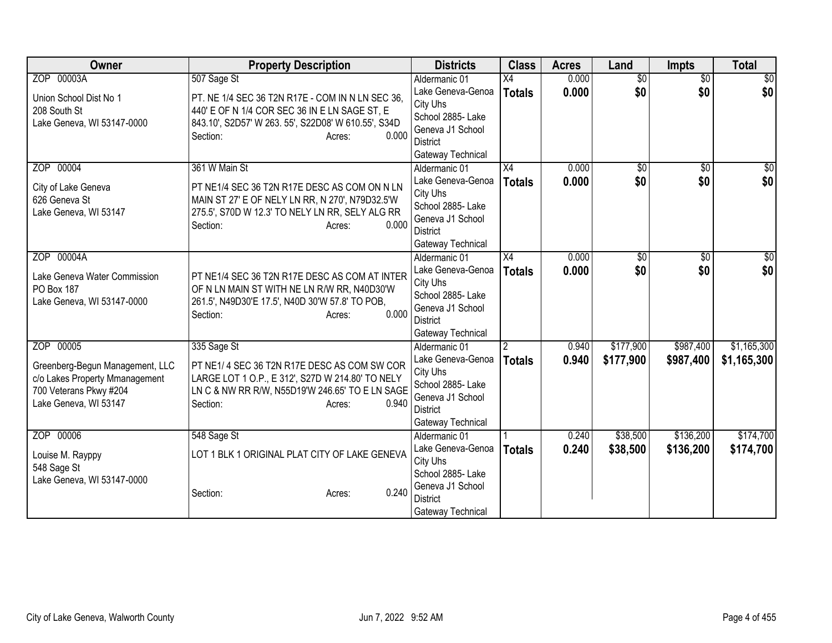| <b>Owner</b>                    | <b>Property Description</b>                         | <b>Districts</b>                     | <b>Class</b>    | <b>Acres</b> | Land            | <b>Impts</b>    | <b>Total</b>    |
|---------------------------------|-----------------------------------------------------|--------------------------------------|-----------------|--------------|-----------------|-----------------|-----------------|
| ZOP 00003A                      | 507 Sage St                                         | Aldermanic 01                        | $\overline{X4}$ | 0.000        | $\overline{30}$ | $\overline{50}$ | $\overline{50}$ |
| Union School Dist No 1          | PT. NE 1/4 SEC 36 T2N R17E - COM IN N LN SEC 36,    | Lake Geneva-Genoa                    | <b>Totals</b>   | 0.000        | \$0             | \$0             | \$0             |
| 208 South St                    | 440' E OF N 1/4 COR SEC 36 IN E LN SAGE ST, E       | City Uhs                             |                 |              |                 |                 |                 |
| Lake Geneva, WI 53147-0000      | 843.10', S2D57' W 263. 55', S22D08' W 610.55', S34D | School 2885- Lake                    |                 |              |                 |                 |                 |
|                                 | 0.000<br>Section:<br>Acres:                         | Geneva J1 School                     |                 |              |                 |                 |                 |
|                                 |                                                     | <b>District</b><br>Gateway Technical |                 |              |                 |                 |                 |
| ZOP 00004                       | 361 W Main St                                       | Aldermanic 01                        | $\overline{X4}$ | 0.000        | $\overline{50}$ | $\overline{50}$ | $\frac{1}{30}$  |
|                                 |                                                     | Lake Geneva-Genoa                    | <b>Totals</b>   | 0.000        | \$0             | \$0             | \$0             |
| City of Lake Geneva             | PT NE1/4 SEC 36 T2N R17E DESC AS COM ON N LN        | City Uhs                             |                 |              |                 |                 |                 |
| 626 Geneva St                   | MAIN ST 27' E OF NELY LN RR, N 270', N79D32.5'W     | School 2885- Lake                    |                 |              |                 |                 |                 |
| Lake Geneva, WI 53147           | 275.5', S70D W 12.3' TO NELY LN RR, SELY ALG RR     | Geneva J1 School                     |                 |              |                 |                 |                 |
|                                 | 0.000<br>Section:<br>Acres:                         | <b>District</b>                      |                 |              |                 |                 |                 |
|                                 |                                                     | Gateway Technical                    |                 |              |                 |                 |                 |
| ZOP 00004A                      |                                                     | Aldermanic 01                        | X4              | 0.000        | \$0             | $\overline{50}$ | $\frac{1}{6}$   |
| Lake Geneva Water Commission    | PT NE1/4 SEC 36 T2N R17E DESC AS COM AT INTER       | Lake Geneva-Genoa                    | <b>Totals</b>   | 0.000        | \$0             | \$0             | \$0             |
| PO Box 187                      | OF N LN MAIN ST WITH NE LN R/W RR, N40D30'W         | City Uhs                             |                 |              |                 |                 |                 |
| Lake Geneva, WI 53147-0000      | 261.5', N49D30'E 17.5', N40D 30'W 57.8' TO POB,     | School 2885- Lake                    |                 |              |                 |                 |                 |
|                                 | 0.000<br>Section:<br>Acres:                         | Geneva J1 School                     |                 |              |                 |                 |                 |
|                                 |                                                     | <b>District</b>                      |                 |              |                 |                 |                 |
| ZOP 00005                       |                                                     | Gateway Technical                    |                 |              |                 |                 | \$1,165,300     |
|                                 | 335 Sage St                                         | Aldermanic 01                        | $\mathfrak{p}$  | 0.940        | \$177,900       | \$987,400       |                 |
| Greenberg-Begun Management, LLC | PT NE1/4 SEC 36 T2N R17E DESC AS COM SW COR         | Lake Geneva-Genoa<br>City Uhs        | <b>Totals</b>   | 0.940        | \$177,900       | \$987,400       | \$1,165,300     |
| c/o Lakes Property Mmanagement  | LARGE LOT 1 O.P., E 312', S27D W 214.80' TO NELY    | School 2885- Lake                    |                 |              |                 |                 |                 |
| 700 Veterans Pkwy #204          | LN C & NW RR R/W, N55D19'W 246.65' TO E LN SAGE     | Geneva J1 School                     |                 |              |                 |                 |                 |
| Lake Geneva, WI 53147           | 0.940<br>Section:<br>Acres:                         | <b>District</b>                      |                 |              |                 |                 |                 |
|                                 |                                                     | Gateway Technical                    |                 |              |                 |                 |                 |
| ZOP 00006                       | 548 Sage St                                         | Aldermanic 01                        |                 | 0.240        | \$38,500        | \$136,200       | \$174,700       |
|                                 | LOT 1 BLK 1 ORIGINAL PLAT CITY OF LAKE GENEVA       | Lake Geneva-Genoa                    | <b>Totals</b>   | 0.240        | \$38,500        | \$136,200       | \$174,700       |
| Louise M. Rayppy<br>548 Sage St |                                                     | City Uhs                             |                 |              |                 |                 |                 |
| Lake Geneva, WI 53147-0000      |                                                     | School 2885-Lake                     |                 |              |                 |                 |                 |
|                                 | 0.240<br>Section:<br>Acres:                         | Geneva J1 School                     |                 |              |                 |                 |                 |
|                                 |                                                     | <b>District</b>                      |                 |              |                 |                 |                 |
|                                 |                                                     | Gateway Technical                    |                 |              |                 |                 |                 |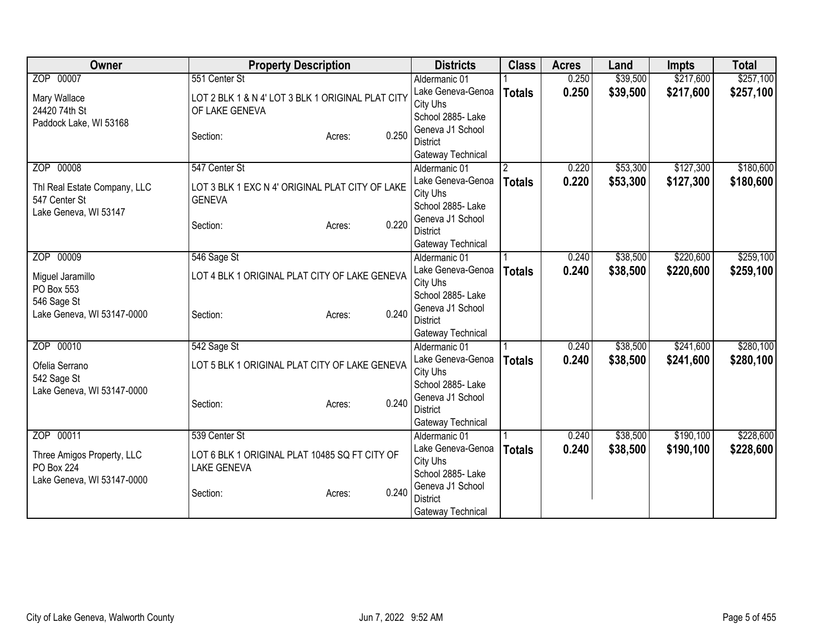| Owner                                     | <b>Property Description</b>                       |       | <b>Districts</b>                   | <b>Class</b>   | <b>Acres</b> | Land     | <b>Impts</b> | <b>Total</b> |
|-------------------------------------------|---------------------------------------------------|-------|------------------------------------|----------------|--------------|----------|--------------|--------------|
| ZOP 00007                                 | 551 Center St                                     |       | Aldermanic 01                      |                | 0.250        | \$39,500 | \$217,600    | \$257,100    |
| Mary Wallace                              | LOT 2 BLK 1 & N 4' LOT 3 BLK 1 ORIGINAL PLAT CITY |       | Lake Geneva-Genoa                  | <b>Totals</b>  | 0.250        | \$39,500 | \$217,600    | \$257,100    |
| 24420 74th St                             | OF LAKE GENEVA                                    |       | City Uhs                           |                |              |          |              |              |
| Paddock Lake, WI 53168                    |                                                   |       | School 2885- Lake                  |                |              |          |              |              |
|                                           | Section:<br>Acres:                                | 0.250 | Geneva J1 School                   |                |              |          |              |              |
|                                           |                                                   |       | <b>District</b>                    |                |              |          |              |              |
|                                           |                                                   |       | Gateway Technical                  |                |              |          |              |              |
| ZOP 00008                                 | 547 Center St                                     |       | Aldermanic 01                      | $\overline{2}$ | 0.220        | \$53,300 | \$127,300    | \$180,600    |
| Thl Real Estate Company, LLC              | LOT 3 BLK 1 EXC N 4' ORIGINAL PLAT CITY OF LAKE   |       | Lake Geneva-Genoa                  | <b>Totals</b>  | 0.220        | \$53,300 | \$127,300    | \$180,600    |
| 547 Center St                             | <b>GENEVA</b>                                     |       | City Uhs                           |                |              |          |              |              |
| Lake Geneva, WI 53147                     |                                                   |       | School 2885- Lake                  |                |              |          |              |              |
|                                           | Section:<br>Acres:                                | 0.220 | Geneva J1 School                   |                |              |          |              |              |
|                                           |                                                   |       | <b>District</b>                    |                |              |          |              |              |
| ZOP 00009                                 | 546 Sage St                                       |       | Gateway Technical<br>Aldermanic 01 |                | 0.240        | \$38,500 | \$220,600    | \$259,100    |
|                                           |                                                   |       | Lake Geneva-Genoa                  |                | 0.240        | \$38,500 | \$220,600    |              |
| Miguel Jaramillo                          | LOT 4 BLK 1 ORIGINAL PLAT CITY OF LAKE GENEVA     |       | City Uhs                           | <b>Totals</b>  |              |          |              | \$259,100    |
| PO Box 553                                |                                                   |       | School 2885- Lake                  |                |              |          |              |              |
| 546 Sage St                               |                                                   |       | Geneva J1 School                   |                |              |          |              |              |
| Lake Geneva, WI 53147-0000                | Section:<br>Acres:                                | 0.240 | <b>District</b>                    |                |              |          |              |              |
|                                           |                                                   |       | Gateway Technical                  |                |              |          |              |              |
| ZOP 00010                                 | 542 Sage St                                       |       | Aldermanic 01                      |                | 0.240        | \$38,500 | \$241,600    | \$280,100    |
|                                           | LOT 5 BLK 1 ORIGINAL PLAT CITY OF LAKE GENEVA     |       | Lake Geneva-Genoa                  | <b>Totals</b>  | 0.240        | \$38,500 | \$241,600    | \$280,100    |
| Ofelia Serrano                            |                                                   |       | City Uhs                           |                |              |          |              |              |
| 542 Sage St<br>Lake Geneva, WI 53147-0000 |                                                   |       | School 2885- Lake                  |                |              |          |              |              |
|                                           | Section:<br>Acres:                                | 0.240 | Geneva J1 School                   |                |              |          |              |              |
|                                           |                                                   |       | <b>District</b>                    |                |              |          |              |              |
|                                           |                                                   |       | Gateway Technical                  |                |              |          |              |              |
| ZOP 00011                                 | 539 Center St                                     |       | Aldermanic 01                      |                | 0.240        | \$38,500 | \$190,100    | \$228,600    |
| Three Amigos Property, LLC                | LOT 6 BLK 1 ORIGINAL PLAT 10485 SQ FT CITY OF     |       | Lake Geneva-Genoa                  | <b>Totals</b>  | 0.240        | \$38,500 | \$190,100    | \$228,600    |
| <b>PO Box 224</b>                         | <b>LAKE GENEVA</b>                                |       | City Uhs                           |                |              |          |              |              |
| Lake Geneva, WI 53147-0000                |                                                   |       | School 2885- Lake                  |                |              |          |              |              |
|                                           | Section:<br>Acres:                                | 0.240 | Geneva J1 School                   |                |              |          |              |              |
|                                           |                                                   |       | <b>District</b>                    |                |              |          |              |              |
|                                           |                                                   |       | Gateway Technical                  |                |              |          |              |              |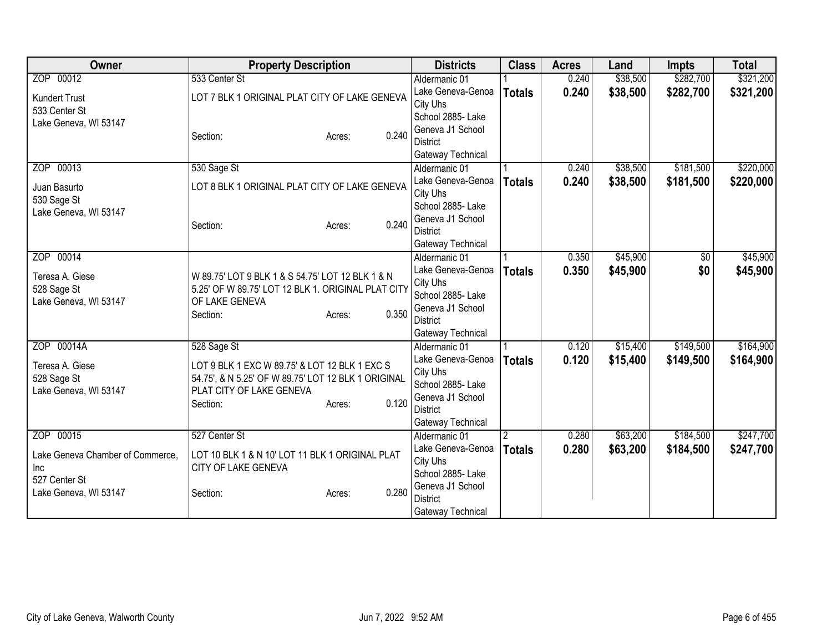| Owner                                | <b>Property Description</b>                                                                          |                 | <b>Districts</b>                    | <b>Class</b>  | <b>Acres</b> | Land     | <b>Impts</b>    | <b>Total</b> |
|--------------------------------------|------------------------------------------------------------------------------------------------------|-----------------|-------------------------------------|---------------|--------------|----------|-----------------|--------------|
| ZOP 00012                            | 533 Center St                                                                                        |                 | Aldermanic 01                       |               | 0.240        | \$38,500 | \$282,700       | \$321,200    |
| <b>Kundert Trust</b>                 | LOT 7 BLK 1 ORIGINAL PLAT CITY OF LAKE GENEVA                                                        |                 | Lake Geneva-Genoa                   | <b>Totals</b> | 0.240        | \$38,500 | \$282,700       | \$321,200    |
| 533 Center St                        |                                                                                                      |                 | City Uhs                            |               |              |          |                 |              |
| Lake Geneva, WI 53147                |                                                                                                      |                 | School 2885- Lake                   |               |              |          |                 |              |
|                                      | Section:                                                                                             | 0.240<br>Acres: | Geneva J1 School<br><b>District</b> |               |              |          |                 |              |
|                                      |                                                                                                      |                 | Gateway Technical                   |               |              |          |                 |              |
| ZOP 00013                            | 530 Sage St                                                                                          |                 | Aldermanic 01                       |               | 0.240        | \$38,500 | \$181,500       | \$220,000    |
|                                      |                                                                                                      |                 | Lake Geneva-Genoa                   | <b>Totals</b> | 0.240        | \$38,500 | \$181,500       | \$220,000    |
| Juan Basurto                         | LOT 8 BLK 1 ORIGINAL PLAT CITY OF LAKE GENEVA                                                        |                 | City Uhs                            |               |              |          |                 |              |
| 530 Sage St                          |                                                                                                      |                 | School 2885- Lake                   |               |              |          |                 |              |
| Lake Geneva, WI 53147                |                                                                                                      | 0.240           | Geneva J1 School                    |               |              |          |                 |              |
|                                      | Section:                                                                                             | Acres:          | <b>District</b>                     |               |              |          |                 |              |
|                                      |                                                                                                      |                 | Gateway Technical                   |               |              |          |                 |              |
| ZOP 00014                            |                                                                                                      |                 | Aldermanic 01                       |               | 0.350        | \$45,900 | $\overline{50}$ | \$45,900     |
| Teresa A. Giese                      | W 89.75' LOT 9 BLK 1 & S 54.75' LOT 12 BLK 1 & N                                                     |                 | Lake Geneva-Genoa                   | <b>Totals</b> | 0.350        | \$45,900 | \$0             | \$45,900     |
| 528 Sage St                          | 5.25' OF W 89.75' LOT 12 BLK 1. ORIGINAL PLAT CITY                                                   |                 | City Uhs                            |               |              |          |                 |              |
| Lake Geneva, WI 53147                | OF LAKE GENEVA                                                                                       |                 | School 2885- Lake                   |               |              |          |                 |              |
|                                      | Section:                                                                                             | 0.350<br>Acres: | Geneva J1 School<br><b>District</b> |               |              |          |                 |              |
|                                      |                                                                                                      |                 | Gateway Technical                   |               |              |          |                 |              |
| ZOP 00014A                           | 528 Sage St                                                                                          |                 | Aldermanic 01                       |               | 0.120        | \$15,400 | \$149,500       | \$164,900    |
|                                      |                                                                                                      |                 | Lake Geneva-Genoa                   | <b>Totals</b> | 0.120        | \$15,400 | \$149,500       | \$164,900    |
| Teresa A. Giese                      | LOT 9 BLK 1 EXC W 89.75' & LOT 12 BLK 1 EXC S<br>54.75', & N 5.25' OF W 89.75' LOT 12 BLK 1 ORIGINAL |                 | City Uhs                            |               |              |          |                 |              |
| 528 Sage St<br>Lake Geneva, WI 53147 | PLAT CITY OF LAKE GENEVA                                                                             |                 | School 2885- Lake                   |               |              |          |                 |              |
|                                      | Section:                                                                                             | 0.120<br>Acres: | Geneva J1 School                    |               |              |          |                 |              |
|                                      |                                                                                                      |                 | <b>District</b>                     |               |              |          |                 |              |
|                                      |                                                                                                      |                 | Gateway Technical                   |               |              |          |                 |              |
| ZOP 00015                            | 527 Center St                                                                                        |                 | Aldermanic 01                       | 2             | 0.280        | \$63,200 | \$184,500       | \$247,700    |
| Lake Geneva Chamber of Commerce,     | LOT 10 BLK 1 & N 10' LOT 11 BLK 1 ORIGINAL PLAT                                                      |                 | Lake Geneva-Genoa                   | <b>Totals</b> | 0.280        | \$63,200 | \$184,500       | \$247,700    |
| Inc                                  | CITY OF LAKE GENEVA                                                                                  |                 | City Uhs<br>School 2885- Lake       |               |              |          |                 |              |
| 527 Center St                        |                                                                                                      |                 | Geneva J1 School                    |               |              |          |                 |              |
| Lake Geneva, WI 53147                | Section:                                                                                             | 0.280<br>Acres: | <b>District</b>                     |               |              |          |                 |              |
|                                      |                                                                                                      |                 | Gateway Technical                   |               |              |          |                 |              |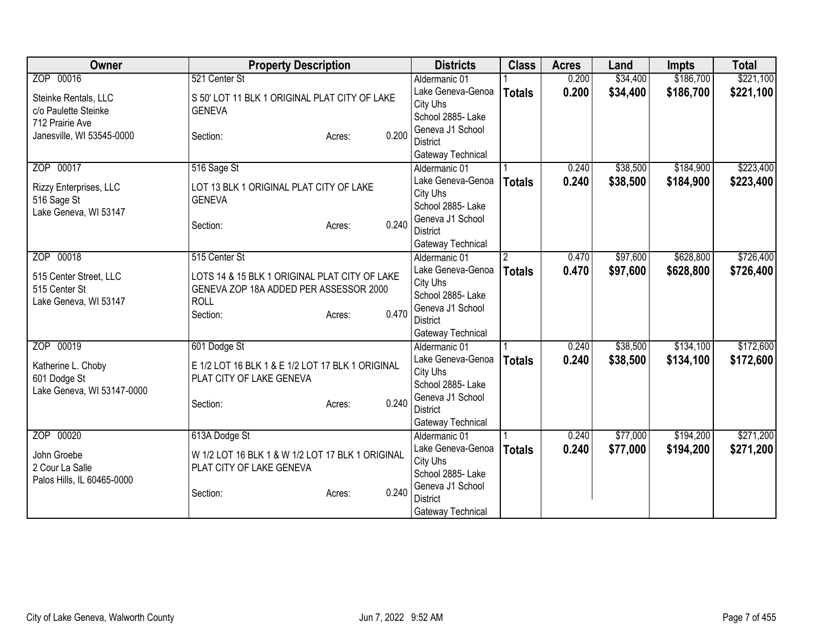| Owner                      | <b>Property Description</b>                      |                 | <b>Districts</b>                    | <b>Class</b>  | <b>Acres</b> | Land     | <b>Impts</b> | <b>Total</b> |
|----------------------------|--------------------------------------------------|-----------------|-------------------------------------|---------------|--------------|----------|--------------|--------------|
| ZOP 00016                  | 521 Center St                                    |                 | Aldermanic 01                       |               | 0.200        | \$34,400 | \$186,700    | \$221,100    |
| Steinke Rentals, LLC       | S 50' LOT 11 BLK 1 ORIGINAL PLAT CITY OF LAKE    |                 | Lake Geneva-Genoa                   | <b>Totals</b> | 0.200        | \$34,400 | \$186,700    | \$221,100    |
| c/o Paulette Steinke       | <b>GENEVA</b>                                    |                 | City Uhs                            |               |              |          |              |              |
| 712 Prairie Ave            |                                                  |                 | School 2885- Lake                   |               |              |          |              |              |
| Janesville, WI 53545-0000  | Section:                                         | 0.200<br>Acres: | Geneva J1 School                    |               |              |          |              |              |
|                            |                                                  |                 | <b>District</b>                     |               |              |          |              |              |
|                            |                                                  |                 | Gateway Technical                   |               |              |          |              |              |
| ZOP 00017                  | 516 Sage St                                      |                 | Aldermanic 01                       |               | 0.240        | \$38,500 | \$184,900    | \$223,400    |
| Rizzy Enterprises, LLC     | LOT 13 BLK 1 ORIGINAL PLAT CITY OF LAKE          |                 | Lake Geneva-Genoa                   | <b>Totals</b> | 0.240        | \$38,500 | \$184,900    | \$223,400    |
| 516 Sage St                | <b>GENEVA</b>                                    |                 | City Uhs<br>School 2885- Lake       |               |              |          |              |              |
| Lake Geneva, WI 53147      |                                                  |                 | Geneva J1 School                    |               |              |          |              |              |
|                            | Section:                                         | 0.240<br>Acres: | <b>District</b>                     |               |              |          |              |              |
|                            |                                                  |                 | Gateway Technical                   |               |              |          |              |              |
| ZOP 00018                  | 515 Center St                                    |                 | Aldermanic 01                       | 12            | 0.470        | \$97,600 | \$628,800    | \$726,400    |
|                            |                                                  |                 | Lake Geneva-Genoa                   | <b>Totals</b> | 0.470        | \$97,600 | \$628,800    | \$726,400    |
| 515 Center Street, LLC     | LOTS 14 & 15 BLK 1 ORIGINAL PLAT CITY OF LAKE    |                 | City Uhs                            |               |              |          |              |              |
| 515 Center St              | GENEVA ZOP 18A ADDED PER ASSESSOR 2000           |                 | School 2885- Lake                   |               |              |          |              |              |
| Lake Geneva, WI 53147      | <b>ROLL</b>                                      |                 | Geneva J1 School                    |               |              |          |              |              |
|                            | Section:                                         | 0.470<br>Acres: | <b>District</b>                     |               |              |          |              |              |
|                            |                                                  |                 | Gateway Technical                   |               |              |          |              |              |
| ZOP 00019                  | 601 Dodge St                                     |                 | Aldermanic 01                       |               | 0.240        | \$38,500 | \$134,100    | \$172,600    |
| Katherine L. Choby         | E 1/2 LOT 16 BLK 1 & E 1/2 LOT 17 BLK 1 ORIGINAL |                 | Lake Geneva-Genoa                   | <b>Totals</b> | 0.240        | \$38,500 | \$134,100    | \$172,600    |
| 601 Dodge St               | PLAT CITY OF LAKE GENEVA                         |                 | City Uhs                            |               |              |          |              |              |
| Lake Geneva, WI 53147-0000 |                                                  |                 | School 2885- Lake                   |               |              |          |              |              |
|                            | Section:                                         | 0.240<br>Acres: | Geneva J1 School                    |               |              |          |              |              |
|                            |                                                  |                 | <b>District</b>                     |               |              |          |              |              |
|                            |                                                  |                 | Gateway Technical                   |               |              |          |              |              |
| ZOP 00020                  | 613A Dodge St                                    |                 | Aldermanic 01                       |               | 0.240        | \$77,000 | \$194,200    | \$271,200    |
| John Groebe                | W 1/2 LOT 16 BLK 1 & W 1/2 LOT 17 BLK 1 ORIGINAL |                 | Lake Geneva-Genoa                   | <b>Totals</b> | 0.240        | \$77,000 | \$194,200    | \$271,200    |
| 2 Cour La Salle            | PLAT CITY OF LAKE GENEVA                         |                 | City Uhs                            |               |              |          |              |              |
| Palos Hills, IL 60465-0000 |                                                  |                 | School 2885- Lake                   |               |              |          |              |              |
|                            | Section:                                         | 0.240<br>Acres: | Geneva J1 School<br><b>District</b> |               |              |          |              |              |
|                            |                                                  |                 |                                     |               |              |          |              |              |
|                            |                                                  |                 | Gateway Technical                   |               |              |          |              |              |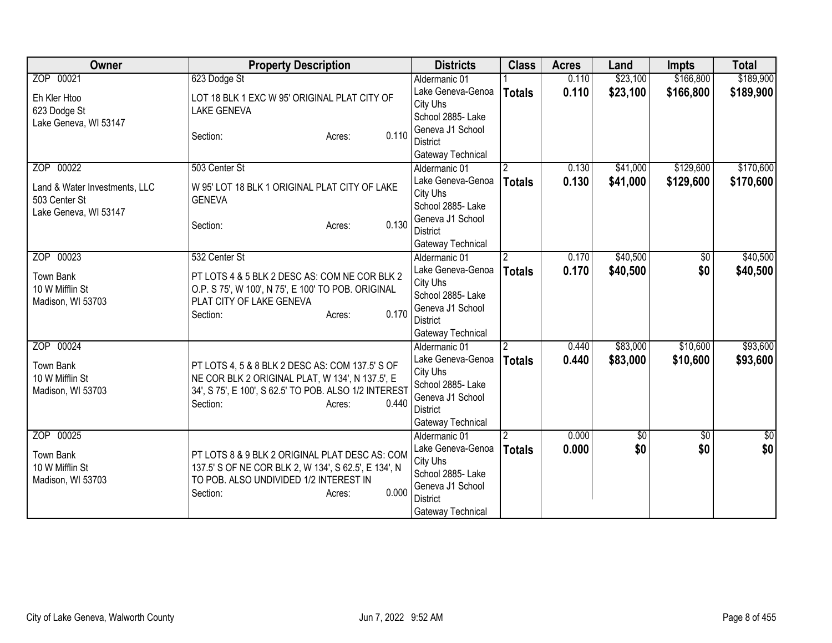| Owner                                                                   | <b>Property Description</b>                                                                                                                                                                | <b>Districts</b>                                                                                                                | <b>Class</b>                    | <b>Acres</b>   | Land                 | <b>Impts</b>           | <b>Total</b>         |
|-------------------------------------------------------------------------|--------------------------------------------------------------------------------------------------------------------------------------------------------------------------------------------|---------------------------------------------------------------------------------------------------------------------------------|---------------------------------|----------------|----------------------|------------------------|----------------------|
| ZOP 00021                                                               | 623 Dodge St                                                                                                                                                                               | Aldermanic 01                                                                                                                   |                                 | 0.110          | \$23,100             | \$166,800              | \$189,900            |
| Eh Kler Htoo<br>623 Dodge St<br>Lake Geneva, WI 53147                   | LOT 18 BLK 1 EXC W 95' ORIGINAL PLAT CITY OF<br><b>LAKE GENEVA</b>                                                                                                                         | Lake Geneva-Genoa<br>City Uhs<br>School 2885- Lake                                                                              | <b>Totals</b>                   | 0.110          | \$23,100             | \$166,800              | \$189,900            |
|                                                                         | 0.110<br>Section:<br>Acres:                                                                                                                                                                | Geneva J1 School<br><b>District</b><br>Gateway Technical                                                                        |                                 |                |                      |                        |                      |
| ZOP 00022                                                               | 503 Center St                                                                                                                                                                              | Aldermanic 01                                                                                                                   | 2                               | 0.130          | \$41,000             | \$129,600              | \$170,600            |
| Land & Water Investments, LLC<br>503 Center St<br>Lake Geneva, WI 53147 | W 95' LOT 18 BLK 1 ORIGINAL PLAT CITY OF LAKE<br><b>GENEVA</b>                                                                                                                             | Lake Geneva-Genoa<br>City Uhs<br>School 2885- Lake<br>Geneva J1 School                                                          | <b>Totals</b>                   | 0.130          | \$41,000             | \$129,600              | \$170,600            |
|                                                                         | 0.130<br>Section:<br>Acres:                                                                                                                                                                | <b>District</b><br>Gateway Technical                                                                                            |                                 |                |                      |                        |                      |
| ZOP 00023                                                               | 532 Center St                                                                                                                                                                              | Aldermanic 01                                                                                                                   | $\overline{2}$                  | 0.170          | \$40,500             | \$0                    | \$40,500             |
| <b>Town Bank</b><br>10 W Mifflin St<br>Madison, WI 53703                | PT LOTS 4 & 5 BLK 2 DESC AS: COM NE COR BLK 2<br>O.P. S 75', W 100', N 75', E 100' TO POB. ORIGINAL<br>PLAT CITY OF LAKE GENEVA<br>0.170<br>Section:<br>Acres:                             | Lake Geneva-Genoa<br>City Uhs<br>School 2885- Lake<br>Geneva J1 School<br><b>District</b><br>Gateway Technical                  | <b>Totals</b>                   | 0.170          | \$40,500             | \$0                    | \$40,500             |
| ZOP 00024<br><b>Town Bank</b><br>10 W Mifflin St<br>Madison, WI 53703   | PT LOTS 4, 5 & 8 BLK 2 DESC AS: COM 137.5' S OF<br>NE COR BLK 2 ORIGINAL PLAT, W 134', N 137.5', E<br>34', S 75', E 100', S 62.5' TO POB. ALSO 1/2 INTEREST<br>0.440<br>Section:<br>Acres: | Aldermanic 01<br>Lake Geneva-Genoa<br>City Uhs<br>School 2885- Lake<br>Geneva J1 School<br><b>District</b><br>Gateway Technical | $\overline{2}$<br><b>Totals</b> | 0.440<br>0.440 | \$83,000<br>\$83,000 | \$10,600<br>\$10,600   | \$93,600<br>\$93,600 |
| ZOP 00025<br><b>Town Bank</b><br>10 W Mifflin St<br>Madison, WI 53703   | PT LOTS 8 & 9 BLK 2 ORIGINAL PLAT DESC AS: COM<br>137.5' S OF NE COR BLK 2, W 134', S 62.5', E 134', N<br>TO POB. ALSO UNDIVIDED 1/2 INTEREST IN<br>0.000<br>Section:<br>Acres:            | Aldermanic 01<br>Lake Geneva-Genoa<br>City Uhs<br>School 2885- Lake<br>Geneva J1 School<br><b>District</b><br>Gateway Technical | <b>Totals</b>                   | 0.000<br>0.000 | $\sqrt{6}$<br>\$0    | $\overline{30}$<br>\$0 | $\frac{6}{3}$<br>\$0 |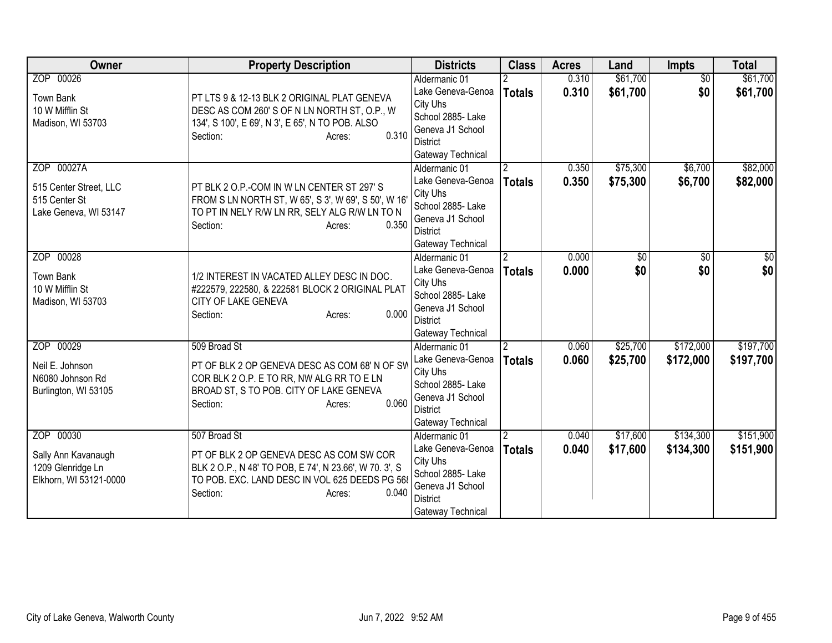| Owner                                                                           | <b>Property Description</b>                                                                                                                                                                         | <b>Districts</b>                                                                                                                | <b>Class</b>                    | <b>Acres</b>   | Land                   | <b>Impts</b>           | <b>Total</b>           |
|---------------------------------------------------------------------------------|-----------------------------------------------------------------------------------------------------------------------------------------------------------------------------------------------------|---------------------------------------------------------------------------------------------------------------------------------|---------------------------------|----------------|------------------------|------------------------|------------------------|
| ZOP 00026<br><b>Town Bank</b><br>10 W Mifflin St<br>Madison, WI 53703           | PT LTS 9 & 12-13 BLK 2 ORIGINAL PLAT GENEVA<br>DESC AS COM 260'S OF N LN NORTH ST, O.P., W<br>134', S 100', E 69', N 3', E 65', N TO POB. ALSO<br>0.310<br>Section:<br>Acres:                       | Aldermanic 01<br>Lake Geneva-Genoa<br>City Uhs<br>School 2885-Lake<br>Geneva J1 School<br><b>District</b><br>Gateway Technical  | <b>Totals</b>                   | 0.310<br>0.310 | \$61,700<br>\$61,700   | $\overline{30}$<br>\$0 | \$61,700<br>\$61,700   |
| ZOP 00027A<br>515 Center Street, LLC<br>515 Center St<br>Lake Geneva, WI 53147  | PT BLK 2 O.P.-COM IN W LN CENTER ST 297' S<br>FROM S LN NORTH ST, W 65', S 3', W 69', S 50', W 16<br>TO PT IN NELY R/W LN RR, SELY ALG R/W LN TO N<br>0.350<br>Section:<br>Acres:                   | Aldermanic 01<br>Lake Geneva-Genoa<br>City Uhs<br>School 2885- Lake<br>Geneva J1 School<br><b>District</b><br>Gateway Technical | $\overline{2}$<br><b>Totals</b> | 0.350<br>0.350 | \$75,300<br>\$75,300   | \$6,700<br>\$6,700     | \$82,000<br>\$82,000   |
| ZOP 00028<br><b>Town Bank</b><br>10 W Mifflin St<br>Madison, WI 53703           | 1/2 INTEREST IN VACATED ALLEY DESC IN DOC.<br>#222579, 222580, & 222581 BLOCK 2 ORIGINAL PLAT<br>CITY OF LAKE GENEVA<br>0.000<br>Section:<br>Acres:                                                 | Aldermanic 01<br>Lake Geneva-Genoa<br>City Uhs<br>School 2885- Lake<br>Geneva J1 School<br><b>District</b><br>Gateway Technical | $\overline{2}$<br><b>Totals</b> | 0.000<br>0.000 | $\overline{50}$<br>\$0 | \$0<br>\$0             | \$0<br>\$0             |
| ZOP 00029<br>Neil E. Johnson<br>N6080 Johnson Rd<br>Burlington, WI 53105        | 509 Broad St<br>PT OF BLK 2 OP GENEVA DESC AS COM 68' N OF SW<br>COR BLK 2 O.P. E TO RR, NW ALG RR TO E LN<br>BROAD ST, S TO POB. CITY OF LAKE GENEVA<br>0.060<br>Section:<br>Acres:                | Aldermanic 01<br>Lake Geneva-Genoa<br>City Uhs<br>School 2885- Lake<br>Geneva J1 School<br><b>District</b><br>Gateway Technical | $\overline{2}$<br><b>Totals</b> | 0.060<br>0.060 | \$25,700<br>\$25,700   | \$172,000<br>\$172,000 | \$197,700<br>\$197,700 |
| ZOP 00030<br>Sally Ann Kavanaugh<br>1209 Glenridge Ln<br>Elkhorn, WI 53121-0000 | 507 Broad St<br>PT OF BLK 2 OP GENEVA DESC AS COM SW COR<br>BLK 2 O.P., N 48' TO POB, E 74', N 23.66', W 70. 3', S<br>TO POB. EXC. LAND DESC IN VOL 625 DEEDS PG 568<br>0.040<br>Section:<br>Acres: | Aldermanic 01<br>Lake Geneva-Genoa<br>City Uhs<br>School 2885- Lake<br>Geneva J1 School<br><b>District</b><br>Gateway Technical | <b>Totals</b>                   | 0.040<br>0.040 | \$17,600<br>\$17,600   | \$134,300<br>\$134,300 | \$151,900<br>\$151,900 |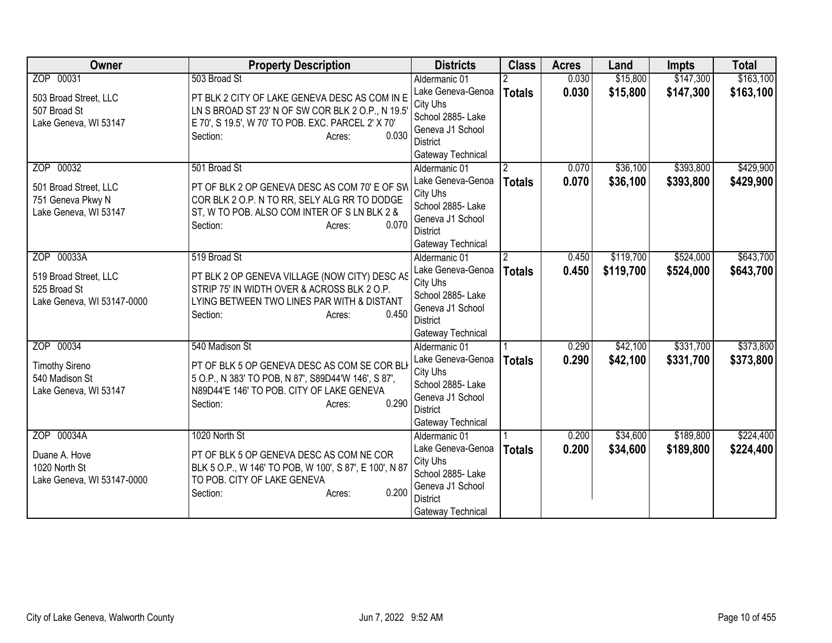| Owner                                 | <b>Property Description</b>                                                                  | <b>Districts</b>                   | <b>Class</b>   | <b>Acres</b> | Land      | <b>Impts</b> | <b>Total</b> |
|---------------------------------------|----------------------------------------------------------------------------------------------|------------------------------------|----------------|--------------|-----------|--------------|--------------|
| ZOP 00031                             | 503 Broad St                                                                                 | Aldermanic 01                      |                | 0.030        | \$15,800  | \$147,300    | \$163,100    |
| 503 Broad Street, LLC                 | PT BLK 2 CITY OF LAKE GENEVA DESC AS COM IN E                                                | Lake Geneva-Genoa                  | <b>Totals</b>  | 0.030        | \$15,800  | \$147,300    | \$163,100    |
| 507 Broad St                          | LN S BROAD ST 23' N OF SW COR BLK 2 O.P., N 19.5'                                            | City Uhs                           |                |              |           |              |              |
| Lake Geneva, WI 53147                 | E 70', S 19.5', W 70' TO POB. EXC. PARCEL 2' X 70'                                           | School 2885- Lake                  |                |              |           |              |              |
|                                       | 0.030<br>Section:<br>Acres:                                                                  | Geneva J1 School                   |                |              |           |              |              |
|                                       |                                                                                              | District                           |                |              |           |              |              |
| ZOP 00032                             | 501 Broad St                                                                                 | Gateway Technical                  |                | 0.070        | \$36,100  | \$393,800    | \$429,900    |
|                                       |                                                                                              | Aldermanic 01<br>Lake Geneva-Genoa | 2              | 0.070        | \$36,100  | \$393,800    |              |
| 501 Broad Street, LLC                 | PT OF BLK 2 OP GENEVA DESC AS COM 70' E OF SW                                                | City Uhs                           | <b>Totals</b>  |              |           |              | \$429,900    |
| 751 Geneva Pkwy N                     | COR BLK 2 O.P. N TO RR, SELY ALG RR TO DODGE                                                 | School 2885- Lake                  |                |              |           |              |              |
| Lake Geneva, WI 53147                 | ST, W TO POB. ALSO COM INTER OF S LN BLK 2 &                                                 | Geneva J1 School                   |                |              |           |              |              |
|                                       | 0.070<br>Section:<br>Acres:                                                                  | District                           |                |              |           |              |              |
|                                       |                                                                                              | Gateway Technical                  |                |              |           |              |              |
| ZOP 00033A                            | 519 Broad St                                                                                 | Aldermanic 01                      | $\mathfrak{p}$ | 0.450        | \$119,700 | \$524,000    | \$643,700    |
|                                       |                                                                                              | Lake Geneva-Genoa                  | <b>Totals</b>  | 0.450        | \$119,700 | \$524,000    | \$643,700    |
| 519 Broad Street, LLC<br>525 Broad St | PT BLK 2 OP GENEVA VILLAGE (NOW CITY) DESC AS<br>STRIP 75' IN WIDTH OVER & ACROSS BLK 2 O.P. | City Uhs                           |                |              |           |              |              |
| Lake Geneva, WI 53147-0000            | LYING BETWEEN TWO LINES PAR WITH & DISTANT                                                   | School 2885- Lake                  |                |              |           |              |              |
|                                       | 0.450<br>Section:<br>Acres:                                                                  | Geneva J1 School                   |                |              |           |              |              |
|                                       |                                                                                              | <b>District</b>                    |                |              |           |              |              |
|                                       |                                                                                              | Gateway Technical                  |                |              |           |              |              |
| ZOP 00034                             | 540 Madison St                                                                               | Aldermanic 01                      |                | 0.290        | \$42,100  | \$331,700    | \$373,800    |
| <b>Timothy Sireno</b>                 | PT OF BLK 5 OP GENEVA DESC AS COM SE COR BLK                                                 | Lake Geneva-Genoa                  | <b>Totals</b>  | 0.290        | \$42,100  | \$331,700    | \$373,800    |
| 540 Madison St                        | 5 O.P., N 383' TO POB, N 87', S89D44'W 146', S 87',                                          | City Uhs<br>School 2885- Lake      |                |              |           |              |              |
| Lake Geneva, WI 53147                 | N89D44'E 146' TO POB. CITY OF LAKE GENEVA                                                    | Geneva J1 School                   |                |              |           |              |              |
|                                       | 0.290<br>Section:<br>Acres:                                                                  | <b>District</b>                    |                |              |           |              |              |
|                                       |                                                                                              | Gateway Technical                  |                |              |           |              |              |
| ZOP 00034A                            | 1020 North St                                                                                | Aldermanic 01                      |                | 0.200        | \$34,600  | \$189,800    | \$224,400    |
|                                       |                                                                                              | Lake Geneva-Genoa                  | <b>Totals</b>  | 0.200        | \$34,600  | \$189,800    | \$224,400    |
| Duane A. Hove                         | PT OF BLK 5 OP GENEVA DESC AS COM NE COR                                                     | City Uhs                           |                |              |           |              |              |
| 1020 North St                         | BLK 5 O.P., W 146' TO POB, W 100', S 87', E 100', N 87<br>TO POB. CITY OF LAKE GENEVA        | School 2885- Lake                  |                |              |           |              |              |
| Lake Geneva, WI 53147-0000            | 0.200<br>Section:                                                                            | Geneva J1 School                   |                |              |           |              |              |
|                                       | Acres:                                                                                       | <b>District</b>                    |                |              |           |              |              |
|                                       |                                                                                              | Gateway Technical                  |                |              |           |              |              |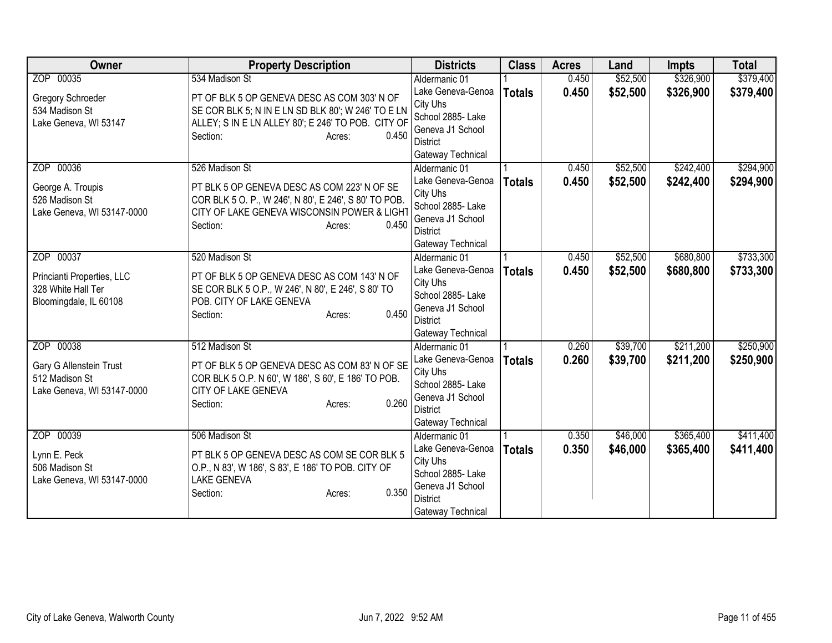| Owner                                                                      | <b>Property Description</b>                                                                                                                                                            | <b>Districts</b>                                                                                               | <b>Class</b>  | <b>Acres</b>   | Land                 | <b>Impts</b>           | <b>Total</b>           |
|----------------------------------------------------------------------------|----------------------------------------------------------------------------------------------------------------------------------------------------------------------------------------|----------------------------------------------------------------------------------------------------------------|---------------|----------------|----------------------|------------------------|------------------------|
| ZOP 00035                                                                  | 534 Madison St                                                                                                                                                                         | Aldermanic 01                                                                                                  |               | 0.450          | \$52,500             | \$326,900              | \$379,400              |
| Gregory Schroeder<br>534 Madison St<br>Lake Geneva, WI 53147               | PT OF BLK 5 OP GENEVA DESC AS COM 303' N OF<br>SE COR BLK 5; N IN E LN SD BLK 80'; W 246' TO E LN<br>ALLEY; S IN E LN ALLEY 80'; E 246' TO POB. CITY OF<br>0.450<br>Section:<br>Acres: | Lake Geneva-Genoa<br>City Uhs<br>School 2885- Lake<br>Geneva J1 School<br><b>District</b><br>Gateway Technical | <b>Totals</b> | 0.450          | \$52,500             | \$326,900              | \$379,400              |
| ZOP 00036<br>George A. Troupis<br>526 Madison St                           | 526 Madison St<br>PT BLK 5 OP GENEVA DESC AS COM 223' N OF SE<br>COR BLK 5 O. P., W 246', N 80', E 246', S 80' TO POB.                                                                 | Aldermanic 01<br>Lake Geneva-Genoa<br>City Uhs                                                                 | <b>Totals</b> | 0.450<br>0.450 | \$52,500<br>\$52,500 | \$242,400<br>\$242,400 | \$294,900<br>\$294,900 |
| Lake Geneva, WI 53147-0000                                                 | CITY OF LAKE GENEVA WISCONSIN POWER & LIGHT<br>0.450<br>Section:<br>Acres:                                                                                                             | School 2885- Lake<br>Geneva J1 School<br><b>District</b><br>Gateway Technical                                  |               |                |                      |                        |                        |
| ZOP 00037                                                                  | 520 Madison St                                                                                                                                                                         | Aldermanic 01                                                                                                  |               | 0.450          | \$52,500             | \$680,800              | \$733,300              |
| Princianti Properties, LLC<br>328 White Hall Ter<br>Bloomingdale, IL 60108 | PT OF BLK 5 OP GENEVA DESC AS COM 143' N OF<br>SE COR BLK 5 O.P., W 246', N 80', E 246', S 80' TO<br>POB. CITY OF LAKE GENEVA<br>0.450<br>Section:<br>Acres:                           | Lake Geneva-Genoa<br>City Uhs<br>School 2885- Lake<br>Geneva J1 School<br><b>District</b><br>Gateway Technical | <b>Totals</b> | 0.450          | \$52,500             | \$680,800              | \$733,300              |
| ZOP 00038                                                                  | 512 Madison St                                                                                                                                                                         | Aldermanic 01                                                                                                  |               | 0.260          | \$39,700             | \$211,200              | \$250,900              |
| Gary G Allenstein Trust<br>512 Madison St<br>Lake Geneva, WI 53147-0000    | PT OF BLK 5 OP GENEVA DESC AS COM 83' N OF SE<br>COR BLK 5 O.P. N 60', W 186', S 60', E 186' TO POB.<br>CITY OF LAKE GENEVA<br>0.260<br>Section:<br>Acres:                             | Lake Geneva-Genoa<br>City Uhs<br>School 2885- Lake<br>Geneva J1 School<br><b>District</b><br>Gateway Technical | <b>Totals</b> | 0.260          | \$39,700             | \$211,200              | \$250,900              |
| ZOP 00039                                                                  | 506 Madison St                                                                                                                                                                         | Aldermanic 01                                                                                                  |               | 0.350          | \$46,000             | \$365,400              | \$411,400              |
| Lynn E. Peck<br>506 Madison St<br>Lake Geneva, WI 53147-0000               | PT BLK 5 OP GENEVA DESC AS COM SE COR BLK 5<br>O.P., N 83', W 186', S 83', E 186' TO POB. CITY OF<br><b>LAKE GENEVA</b><br>0.350<br>Section:<br>Acres:                                 | Lake Geneva-Genoa<br>City Uhs<br>School 2885- Lake<br>Geneva J1 School                                         | <b>Totals</b> | 0.350          | \$46,000             | \$365,400              | \$411,400              |
|                                                                            |                                                                                                                                                                                        | <b>District</b><br>Gateway Technical                                                                           |               |                |                      |                        |                        |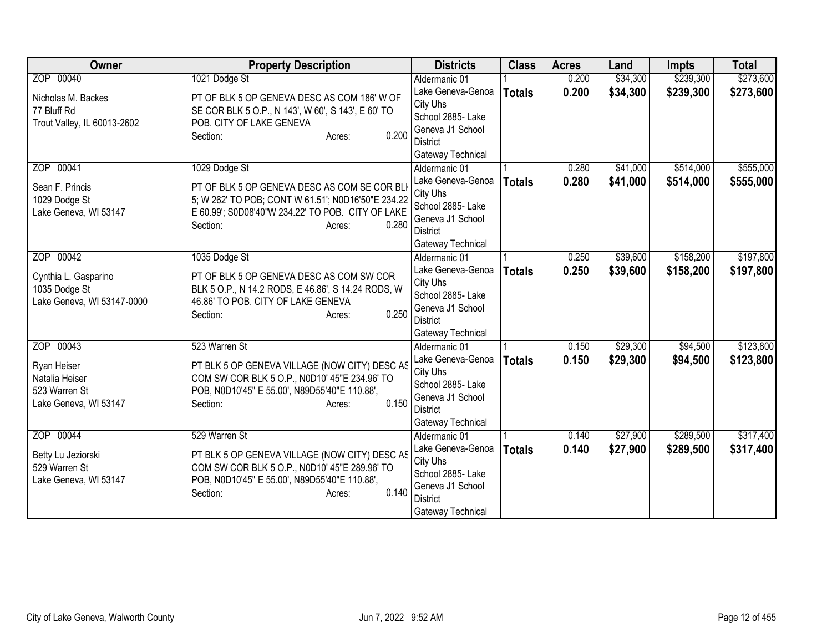| <b>Owner</b>                | <b>Property Description</b>                        | <b>Districts</b>              | <b>Class</b>  | <b>Acres</b> | Land     | <b>Impts</b> | <b>Total</b> |
|-----------------------------|----------------------------------------------------|-------------------------------|---------------|--------------|----------|--------------|--------------|
| ZOP 00040                   | 1021 Dodge St                                      | Aldermanic 01                 |               | 0.200        | \$34,300 | \$239,300    | \$273,600    |
| Nicholas M. Backes          | PT OF BLK 5 OP GENEVA DESC AS COM 186' W OF        | Lake Geneva-Genoa             | <b>Totals</b> | 0.200        | \$34,300 | \$239,300    | \$273,600    |
| 77 Bluff Rd                 | SE COR BLK 5 O.P., N 143', W 60', S 143', E 60' TO | City Uhs                      |               |              |          |              |              |
| Trout Valley, IL 60013-2602 | POB. CITY OF LAKE GENEVA                           | School 2885- Lake             |               |              |          |              |              |
|                             | 0.200<br>Section:<br>Acres:                        | Geneva J1 School              |               |              |          |              |              |
|                             |                                                    | <b>District</b>               |               |              |          |              |              |
|                             |                                                    | Gateway Technical             |               |              |          |              |              |
| ZOP 00041                   | 1029 Dodge St                                      | Aldermanic 01                 |               | 0.280        | \$41,000 | \$514,000    | \$555,000    |
| Sean F. Princis             | PT OF BLK 5 OP GENEVA DESC AS COM SE COR BLI       | Lake Geneva-Genoa             | <b>Totals</b> | 0.280        | \$41,000 | \$514,000    | \$555,000    |
| 1029 Dodge St               | 5; W 262' TO POB; CONT W 61.51'; N0D16'50"E 234.22 | City Uhs<br>School 2885- Lake |               |              |          |              |              |
| Lake Geneva, WI 53147       | E 60.99'; S0D08'40"W 234.22' TO POB. CITY OF LAKE  | Geneva J1 School              |               |              |          |              |              |
|                             | 0.280<br>Section:<br>Acres:                        | <b>District</b>               |               |              |          |              |              |
|                             |                                                    | Gateway Technical             |               |              |          |              |              |
| ZOP 00042                   | 1035 Dodge St                                      | Aldermanic 01                 |               | 0.250        | \$39,600 | \$158,200    | \$197,800    |
|                             |                                                    | Lake Geneva-Genoa             | <b>Totals</b> | 0.250        | \$39,600 | \$158,200    | \$197,800    |
| Cynthia L. Gasparino        | PT OF BLK 5 OP GENEVA DESC AS COM SW COR           | City Uhs                      |               |              |          |              |              |
| 1035 Dodge St               | BLK 5 O.P., N 14.2 RODS, E 46.86', S 14.24 RODS, W | School 2885- Lake             |               |              |          |              |              |
| Lake Geneva, WI 53147-0000  | 46.86' TO POB. CITY OF LAKE GENEVA                 | Geneva J1 School              |               |              |          |              |              |
|                             | 0.250<br>Section:<br>Acres:                        | District                      |               |              |          |              |              |
|                             |                                                    | Gateway Technical             |               |              |          |              |              |
| ZOP 00043                   | 523 Warren St                                      | Aldermanic 01                 |               | 0.150        | \$29,300 | \$94,500     | \$123,800    |
| Ryan Heiser                 | PT BLK 5 OP GENEVA VILLAGE (NOW CITY) DESC AS      | Lake Geneva-Genoa             | <b>Totals</b> | 0.150        | \$29,300 | \$94,500     | \$123,800    |
| Natalia Heiser              | COM SW COR BLK 5 O.P., N0D10' 45"E 234.96' TO      | City Uhs                      |               |              |          |              |              |
| 523 Warren St               | POB, N0D10'45" E 55.00', N89D55'40"E 110.88',      | School 2885- Lake             |               |              |          |              |              |
| Lake Geneva, WI 53147       | 0.150<br>Section:<br>Acres:                        | Geneva J1 School              |               |              |          |              |              |
|                             |                                                    | <b>District</b>               |               |              |          |              |              |
|                             |                                                    | Gateway Technical             |               |              |          |              |              |
| ZOP 00044                   | 529 Warren St                                      | Aldermanic 01                 |               | 0.140        | \$27,900 | \$289,500    | \$317,400    |
| Betty Lu Jeziorski          | PT BLK 5 OP GENEVA VILLAGE (NOW CITY) DESC AS      | Lake Geneva-Genoa             | <b>Totals</b> | 0.140        | \$27,900 | \$289,500    | \$317,400    |
| 529 Warren St               | COM SW COR BLK 5 O.P., N0D10' 45"E 289.96' TO      | City Uhs<br>School 2885- Lake |               |              |          |              |              |
| Lake Geneva, WI 53147       | POB, N0D10'45" E 55.00', N89D55'40"E 110.88',      | Geneva J1 School              |               |              |          |              |              |
|                             | 0.140<br>Section:<br>Acres:                        | <b>District</b>               |               |              |          |              |              |
|                             |                                                    | Gateway Technical             |               |              |          |              |              |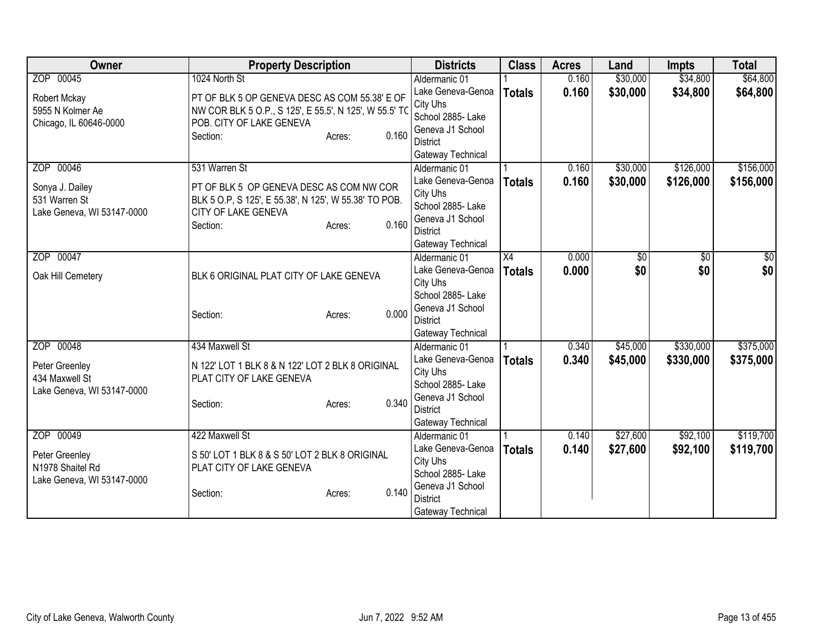| <b>Owner</b>               | <b>Property Description</b>                            |                 | <b>Districts</b>  | <b>Class</b>  | <b>Acres</b> | Land     | <b>Impts</b> | <b>Total</b> |
|----------------------------|--------------------------------------------------------|-----------------|-------------------|---------------|--------------|----------|--------------|--------------|
| ZOP 00045                  | 1024 North St                                          |                 | Aldermanic 01     |               | 0.160        | \$30,000 | \$34,800     | \$64,800     |
| Robert Mckay               | PT OF BLK 5 OP GENEVA DESC AS COM 55.38' E OF          |                 | Lake Geneva-Genoa | <b>Totals</b> | 0.160        | \$30,000 | \$34,800     | \$64,800     |
| 5955 N Kolmer Ae           | NW COR BLK 5 O.P., S 125', E 55.5', N 125', W 55.5' TO |                 | City Uhs          |               |              |          |              |              |
| Chicago, IL 60646-0000     | POB. CITY OF LAKE GENEVA                               |                 | School 2885- Lake |               |              |          |              |              |
|                            | Section:                                               | 0.160<br>Acres: | Geneva J1 School  |               |              |          |              |              |
|                            |                                                        |                 | <b>District</b>   |               |              |          |              |              |
|                            |                                                        |                 | Gateway Technical |               |              |          |              |              |
| ZOP 00046                  | 531 Warren St                                          |                 | Aldermanic 01     |               | 0.160        | \$30,000 | \$126,000    | \$156,000    |
| Sonya J. Dailey            | PT OF BLK 5 OP GENEVA DESC AS COM NW COR               |                 | Lake Geneva-Genoa | <b>Totals</b> | 0.160        | \$30,000 | \$126,000    | \$156,000    |
| 531 Warren St              | BLK 5 O.P, S 125', E 55.38', N 125', W 55.38' TO POB.  |                 | City Uhs          |               |              |          |              |              |
| Lake Geneva, WI 53147-0000 | CITY OF LAKE GENEVA                                    |                 | School 2885- Lake |               |              |          |              |              |
|                            | Section:                                               | 0.160<br>Acres: | Geneva J1 School  |               |              |          |              |              |
|                            |                                                        |                 | <b>District</b>   |               |              |          |              |              |
|                            |                                                        |                 | Gateway Technical |               |              |          |              |              |
| ZOP 00047                  |                                                        |                 | Aldermanic 01     | X4            | 0.000        | \$0      | \$0          | \$0          |
| Oak Hill Cemetery          | BLK 6 ORIGINAL PLAT CITY OF LAKE GENEVA                |                 | Lake Geneva-Genoa | <b>Totals</b> | 0.000        | \$0      | \$0          | \$0          |
|                            |                                                        |                 | City Uhs          |               |              |          |              |              |
|                            |                                                        |                 | School 2885- Lake |               |              |          |              |              |
|                            | Section:                                               | 0.000<br>Acres: | Geneva J1 School  |               |              |          |              |              |
|                            |                                                        |                 | <b>District</b>   |               |              |          |              |              |
|                            |                                                        |                 | Gateway Technical |               |              |          |              |              |
| ZOP 00048                  | 434 Maxwell St                                         |                 | Aldermanic 01     |               | 0.340        | \$45,000 | \$330,000    | \$375,000    |
| Peter Greenley             | N 122' LOT 1 BLK 8 & N 122' LOT 2 BLK 8 ORIGINAL       |                 | Lake Geneva-Genoa | <b>Totals</b> | 0.340        | \$45,000 | \$330,000    | \$375,000    |
| 434 Maxwell St             | PLAT CITY OF LAKE GENEVA                               |                 | City Uhs          |               |              |          |              |              |
| Lake Geneva, WI 53147-0000 |                                                        |                 | School 2885- Lake |               |              |          |              |              |
|                            | Section:                                               | 0.340<br>Acres: | Geneva J1 School  |               |              |          |              |              |
|                            |                                                        |                 | <b>District</b>   |               |              |          |              |              |
|                            |                                                        |                 | Gateway Technical |               |              |          |              |              |
| ZOP 00049                  | 422 Maxwell St                                         |                 | Aldermanic 01     |               | 0.140        | \$27,600 | \$92,100     | \$119,700    |
| Peter Greenley             | S 50' LOT 1 BLK 8 & S 50' LOT 2 BLK 8 ORIGINAL         |                 | Lake Geneva-Genoa | <b>Totals</b> | 0.140        | \$27,600 | \$92,100     | \$119,700    |
| N1978 Shaitel Rd           | PLAT CITY OF LAKE GENEVA                               |                 | City Uhs          |               |              |          |              |              |
| Lake Geneva, WI 53147-0000 |                                                        |                 | School 2885- Lake |               |              |          |              |              |
|                            | Section:                                               | 0.140<br>Acres: | Geneva J1 School  |               |              |          |              |              |
|                            |                                                        |                 | <b>District</b>   |               |              |          |              |              |
|                            |                                                        |                 | Gateway Technical |               |              |          |              |              |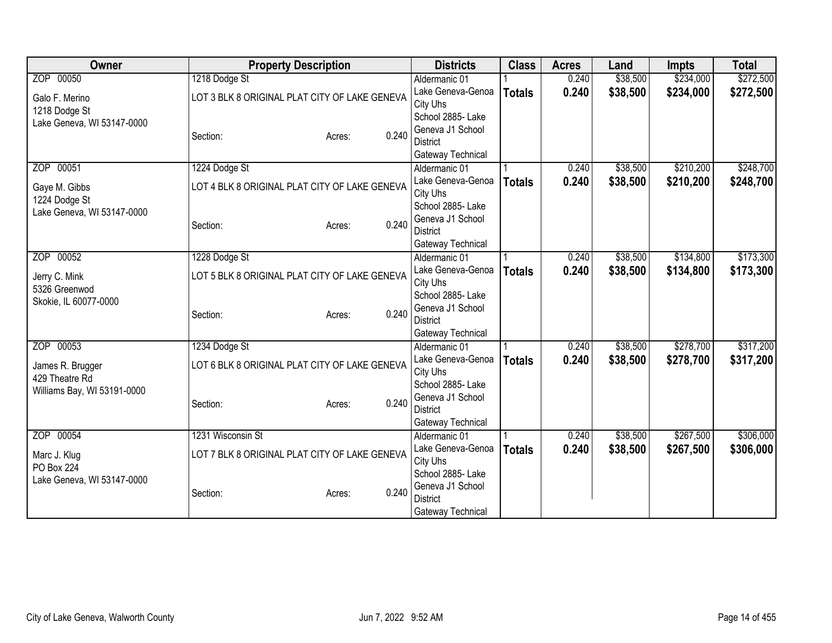| Owner                                       | <b>Property Description</b>                   | <b>Districts</b>                    | <b>Class</b>  | <b>Acres</b> | Land     | <b>Impts</b> | <b>Total</b> |
|---------------------------------------------|-----------------------------------------------|-------------------------------------|---------------|--------------|----------|--------------|--------------|
| ZOP 00050                                   | 1218 Dodge St                                 | Aldermanic 01                       |               | 0.240        | \$38,500 | \$234,000    | \$272,500    |
| Galo F. Merino                              | LOT 3 BLK 8 ORIGINAL PLAT CITY OF LAKE GENEVA | Lake Geneva-Genoa                   | <b>Totals</b> | 0.240        | \$38,500 | \$234,000    | \$272,500    |
| 1218 Dodge St                               |                                               | City Uhs                            |               |              |          |              |              |
| Lake Geneva, WI 53147-0000                  |                                               | School 2885- Lake                   |               |              |          |              |              |
|                                             | 0.240<br>Section:<br>Acres:                   | Geneva J1 School<br><b>District</b> |               |              |          |              |              |
|                                             |                                               | Gateway Technical                   |               |              |          |              |              |
| ZOP 00051                                   | 1224 Dodge St                                 | Aldermanic 01                       |               | 0.240        | \$38,500 | \$210,200    | \$248,700    |
|                                             |                                               | Lake Geneva-Genoa                   | <b>Totals</b> | 0.240        | \$38,500 | \$210,200    | \$248,700    |
| Gaye M. Gibbs                               | LOT 4 BLK 8 ORIGINAL PLAT CITY OF LAKE GENEVA | City Uhs                            |               |              |          |              |              |
| 1224 Dodge St<br>Lake Geneva, WI 53147-0000 |                                               | School 2885- Lake                   |               |              |          |              |              |
|                                             | 0.240<br>Section:<br>Acres:                   | Geneva J1 School                    |               |              |          |              |              |
|                                             |                                               | <b>District</b>                     |               |              |          |              |              |
|                                             |                                               | Gateway Technical                   |               |              |          |              |              |
| ZOP 00052                                   | 1228 Dodge St                                 | Aldermanic 01                       |               | 0.240        | \$38,500 | \$134,800    | \$173,300    |
| Jerry C. Mink                               | LOT 5 BLK 8 ORIGINAL PLAT CITY OF LAKE GENEVA | Lake Geneva-Genoa<br>City Uhs       | <b>Totals</b> | 0.240        | \$38,500 | \$134,800    | \$173,300    |
| 5326 Greenwod                               |                                               | School 2885- Lake                   |               |              |          |              |              |
| Skokie, IL 60077-0000                       |                                               | Geneva J1 School                    |               |              |          |              |              |
|                                             | 0.240<br>Section:<br>Acres:                   | <b>District</b>                     |               |              |          |              |              |
|                                             |                                               | Gateway Technical                   |               |              |          |              |              |
| ZOP 00053                                   | 1234 Dodge St                                 | Aldermanic 01                       |               | 0.240        | \$38,500 | \$278,700    | \$317,200    |
| James R. Brugger                            | LOT 6 BLK 8 ORIGINAL PLAT CITY OF LAKE GENEVA | Lake Geneva-Genoa                   | <b>Totals</b> | 0.240        | \$38,500 | \$278,700    | \$317,200    |
| 429 Theatre Rd                              |                                               | City Uhs                            |               |              |          |              |              |
| Williams Bay, WI 53191-0000                 |                                               | School 2885-Lake                    |               |              |          |              |              |
|                                             | 0.240<br>Section:<br>Acres:                   | Geneva J1 School<br><b>District</b> |               |              |          |              |              |
|                                             |                                               | Gateway Technical                   |               |              |          |              |              |
| ZOP 00054                                   | 1231 Wisconsin St                             | Aldermanic 01                       |               | 0.240        | \$38,500 | \$267,500    | \$306,000    |
|                                             |                                               | Lake Geneva-Genoa                   | <b>Totals</b> | 0.240        | \$38,500 | \$267,500    | \$306,000    |
| Marc J. Klug                                | LOT 7 BLK 8 ORIGINAL PLAT CITY OF LAKE GENEVA | City Uhs                            |               |              |          |              |              |
| <b>PO Box 224</b>                           |                                               | School 2885-Lake                    |               |              |          |              |              |
| Lake Geneva, WI 53147-0000                  | 0.240<br>Section:<br>Acres:                   | Geneva J1 School                    |               |              |          |              |              |
|                                             |                                               | <b>District</b>                     |               |              |          |              |              |
|                                             |                                               | Gateway Technical                   |               |              |          |              |              |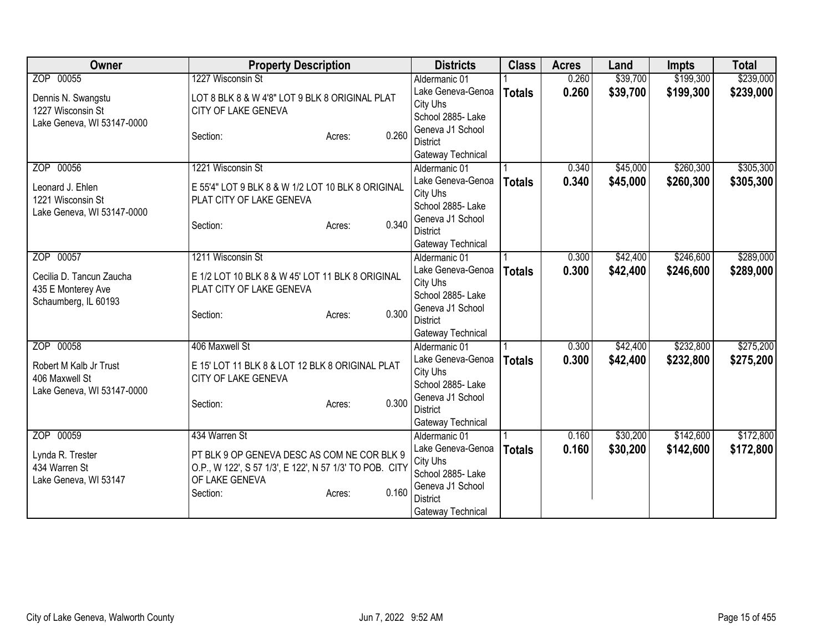| <b>Owner</b>               | <b>Property Description</b>                             | <b>Districts</b>                    | <b>Class</b>  | <b>Acres</b> | Land     | <b>Impts</b> | <b>Total</b> |
|----------------------------|---------------------------------------------------------|-------------------------------------|---------------|--------------|----------|--------------|--------------|
| ZOP 00055                  | 1227 Wisconsin St                                       | Aldermanic 01                       |               | 0.260        | \$39,700 | \$199,300    | \$239,000    |
| Dennis N. Swangstu         | LOT 8 BLK 8 & W 4'8" LOT 9 BLK 8 ORIGINAL PLAT          | Lake Geneva-Genoa                   | <b>Totals</b> | 0.260        | \$39,700 | \$199,300    | \$239,000    |
| 1227 Wisconsin St          | CITY OF LAKE GENEVA                                     | City Uhs                            |               |              |          |              |              |
| Lake Geneva, WI 53147-0000 |                                                         | School 2885- Lake                   |               |              |          |              |              |
|                            | 0.260<br>Section:<br>Acres:                             | Geneva J1 School                    |               |              |          |              |              |
|                            |                                                         | <b>District</b>                     |               |              |          |              |              |
|                            |                                                         | Gateway Technical                   |               |              |          |              |              |
| ZOP 00056                  | 1221 Wisconsin St                                       | Aldermanic 01                       |               | 0.340        | \$45,000 | \$260,300    | \$305,300    |
| Leonard J. Ehlen           | E 55'4" LOT 9 BLK 8 & W 1/2 LOT 10 BLK 8 ORIGINAL       | Lake Geneva-Genoa                   | <b>Totals</b> | 0.340        | \$45,000 | \$260,300    | \$305,300    |
| 1221 Wisconsin St          | PLAT CITY OF LAKE GENEVA                                | City Uhs<br>School 2885- Lake       |               |              |          |              |              |
| Lake Geneva, WI 53147-0000 |                                                         | Geneva J1 School                    |               |              |          |              |              |
|                            | 0.340<br>Section:<br>Acres:                             | <b>District</b>                     |               |              |          |              |              |
|                            |                                                         | Gateway Technical                   |               |              |          |              |              |
| ZOP 00057                  | 1211 Wisconsin St                                       | Aldermanic 01                       |               | 0.300        | \$42,400 | \$246,600    | \$289,000    |
|                            |                                                         | Lake Geneva-Genoa                   | <b>Totals</b> | 0.300        | \$42,400 | \$246,600    | \$289,000    |
| Cecilia D. Tancun Zaucha   | E 1/2 LOT 10 BLK 8 & W 45' LOT 11 BLK 8 ORIGINAL        | City Uhs                            |               |              |          |              |              |
| 435 E Monterey Ave         | PLAT CITY OF LAKE GENEVA                                | School 2885- Lake                   |               |              |          |              |              |
| Schaumberg, IL 60193       |                                                         | Geneva J1 School                    |               |              |          |              |              |
|                            | 0.300<br>Section:<br>Acres:                             | <b>District</b>                     |               |              |          |              |              |
|                            |                                                         | Gateway Technical                   |               |              |          |              |              |
| ZOP 00058                  | 406 Maxwell St                                          | Aldermanic 01                       |               | 0.300        | \$42,400 | \$232,800    | \$275,200    |
| Robert M Kalb Jr Trust     | E 15' LOT 11 BLK 8 & LOT 12 BLK 8 ORIGINAL PLAT         | Lake Geneva-Genoa                   | <b>Totals</b> | 0.300        | \$42,400 | \$232,800    | \$275,200    |
| 406 Maxwell St             | CITY OF LAKE GENEVA                                     | City Uhs                            |               |              |          |              |              |
| Lake Geneva, WI 53147-0000 |                                                         | School 2885- Lake                   |               |              |          |              |              |
|                            | 0.300<br>Section:<br>Acres:                             | Geneva J1 School                    |               |              |          |              |              |
|                            |                                                         | <b>District</b>                     |               |              |          |              |              |
|                            |                                                         | Gateway Technical                   |               |              |          |              |              |
| ZOP 00059                  | 434 Warren St                                           | Aldermanic 01                       |               | 0.160        | \$30,200 | \$142,600    | \$172,800    |
| Lynda R. Trester           | PT BLK 9 OP GENEVA DESC AS COM NE COR BLK 9             | Lake Geneva-Genoa                   | <b>Totals</b> | 0.160        | \$30,200 | \$142,600    | \$172,800    |
| 434 Warren St              | O.P., W 122', S 57 1/3', E 122', N 57 1/3' TO POB. CITY | City Uhs                            |               |              |          |              |              |
| Lake Geneva, WI 53147      | OF LAKE GENEVA                                          | School 2885- Lake                   |               |              |          |              |              |
|                            | 0.160<br>Section:<br>Acres:                             | Geneva J1 School<br><b>District</b> |               |              |          |              |              |
|                            |                                                         | Gateway Technical                   |               |              |          |              |              |
|                            |                                                         |                                     |               |              |          |              |              |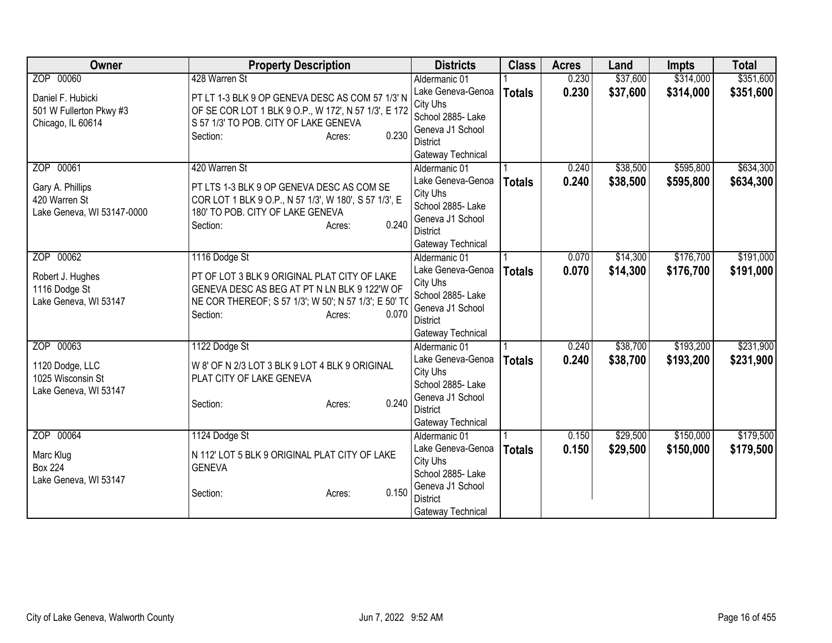| Owner                      | <b>Property Description</b>                           | <b>Districts</b>                     | <b>Class</b>  | <b>Acres</b> | Land     | <b>Impts</b> | <b>Total</b> |
|----------------------------|-------------------------------------------------------|--------------------------------------|---------------|--------------|----------|--------------|--------------|
| ZOP 00060                  | 428 Warren St                                         | Aldermanic 01                        |               | 0.230        | \$37,600 | \$314,000    | \$351,600    |
| Daniel F. Hubicki          | PT LT 1-3 BLK 9 OP GENEVA DESC AS COM 57 1/3' N       | Lake Geneva-Genoa                    | <b>Totals</b> | 0.230        | \$37,600 | \$314,000    | \$351,600    |
| 501 W Fullerton Pkwy #3    | OF SE COR LOT 1 BLK 9 O.P., W 172', N 57 1/3', E 172  | City Uhs                             |               |              |          |              |              |
| Chicago, IL 60614          | S 57 1/3' TO POB. CITY OF LAKE GENEVA                 | School 2885- Lake                    |               |              |          |              |              |
|                            | 0.230<br>Section:<br>Acres:                           | Geneva J1 School                     |               |              |          |              |              |
|                            |                                                       | <b>District</b>                      |               |              |          |              |              |
|                            |                                                       | Gateway Technical                    |               |              |          |              |              |
| ZOP 00061                  | 420 Warren St                                         | Aldermanic 01                        |               | 0.240        | \$38,500 | \$595,800    | \$634,300    |
| Gary A. Phillips           | PT LTS 1-3 BLK 9 OP GENEVA DESC AS COM SE             | Lake Geneva-Genoa                    | <b>Totals</b> | 0.240        | \$38,500 | \$595,800    | \$634,300    |
| 420 Warren St              | COR LOT 1 BLK 9 O.P., N 57 1/3', W 180', S 57 1/3', E | City Uhs                             |               |              |          |              |              |
| Lake Geneva, WI 53147-0000 | 180' TO POB. CITY OF LAKE GENEVA                      | School 2885- Lake                    |               |              |          |              |              |
|                            | 0.240<br>Section:<br>Acres:                           | Geneva J1 School                     |               |              |          |              |              |
|                            |                                                       | <b>District</b>                      |               |              |          |              |              |
|                            |                                                       | Gateway Technical                    |               |              |          |              |              |
| ZOP 00062                  | 1116 Dodge St                                         | Aldermanic 01                        |               | 0.070        | \$14,300 | \$176,700    | \$191,000    |
| Robert J. Hughes           | PT OF LOT 3 BLK 9 ORIGINAL PLAT CITY OF LAKE          | Lake Geneva-Genoa                    | <b>Totals</b> | 0.070        | \$14,300 | \$176,700    | \$191,000    |
| 1116 Dodge St              | GENEVA DESC AS BEG AT PT N LN BLK 9 122'W OF          | City Uhs                             |               |              |          |              |              |
| Lake Geneva, WI 53147      | NE COR THEREOF; S 57 1/3'; W 50'; N 57 1/3'; E 50' TO | School 2885- Lake                    |               |              |          |              |              |
|                            | 0.070<br>Section:<br>Acres:                           | Geneva J1 School                     |               |              |          |              |              |
|                            |                                                       | <b>District</b>                      |               |              |          |              |              |
|                            |                                                       | Gateway Technical                    |               |              |          |              |              |
| ZOP 00063                  | 1122 Dodge St                                         | Aldermanic 01                        |               | 0.240        | \$38,700 | \$193,200    | \$231,900    |
| 1120 Dodge, LLC            | W 8' OF N 2/3 LOT 3 BLK 9 LOT 4 BLK 9 ORIGINAL        | Lake Geneva-Genoa                    | <b>Totals</b> | 0.240        | \$38,700 | \$193,200    | \$231,900    |
| 1025 Wisconsin St          | PLAT CITY OF LAKE GENEVA                              | City Uhs                             |               |              |          |              |              |
| Lake Geneva, WI 53147      |                                                       | School 2885-Lake<br>Geneva J1 School |               |              |          |              |              |
|                            | 0.240<br>Section:<br>Acres:                           | <b>District</b>                      |               |              |          |              |              |
|                            |                                                       | Gateway Technical                    |               |              |          |              |              |
| ZOP 00064                  |                                                       |                                      |               |              |          | \$150,000    | \$179,500    |
|                            | 1124 Dodge St                                         | Aldermanic 01<br>Lake Geneva-Genoa   |               | 0.150        | \$29,500 |              |              |
| Marc Klug                  | N 112' LOT 5 BLK 9 ORIGINAL PLAT CITY OF LAKE         | City Uhs                             | <b>Totals</b> | 0.150        | \$29,500 | \$150,000    | \$179,500    |
| <b>Box 224</b>             | <b>GENEVA</b>                                         | School 2885-Lake                     |               |              |          |              |              |
| Lake Geneva, WI 53147      |                                                       | Geneva J1 School                     |               |              |          |              |              |
|                            | 0.150<br>Section:<br>Acres:                           | <b>District</b>                      |               |              |          |              |              |
|                            |                                                       | Gateway Technical                    |               |              |          |              |              |
|                            |                                                       |                                      |               |              |          |              |              |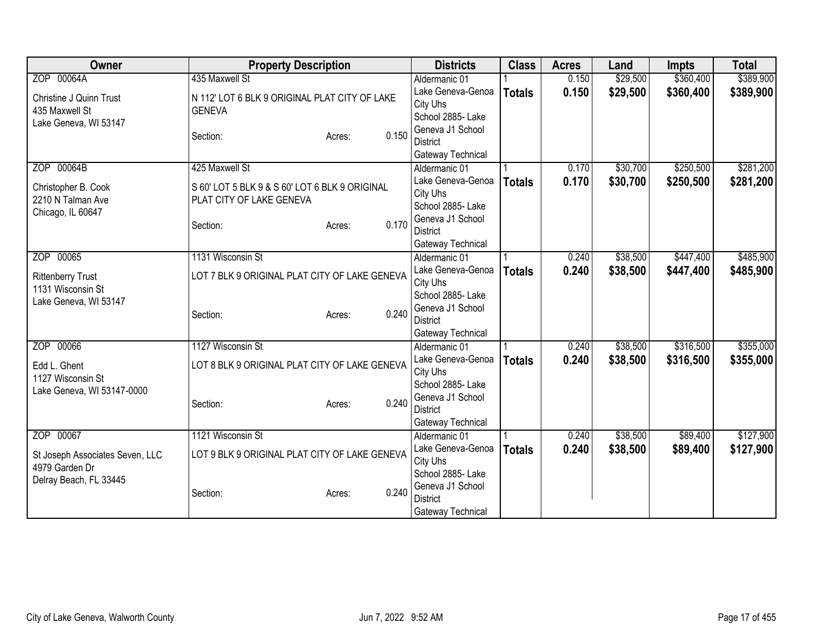| Owner                           | <b>Property Description</b>                    |                 | <b>Districts</b>                    | <b>Class</b>  | <b>Acres</b> | Land     | <b>Impts</b> | <b>Total</b> |
|---------------------------------|------------------------------------------------|-----------------|-------------------------------------|---------------|--------------|----------|--------------|--------------|
| ZOP 00064A                      | 435 Maxwell St                                 |                 | Aldermanic 01                       |               | 0.150        | \$29,500 | \$360,400    | \$389,900    |
| Christine J Quinn Trust         | N 112' LOT 6 BLK 9 ORIGINAL PLAT CITY OF LAKE  |                 | Lake Geneva-Genoa                   | <b>Totals</b> | 0.150        | \$29,500 | \$360,400    | \$389,900    |
| 435 Maxwell St                  | <b>GENEVA</b>                                  |                 | City Uhs                            |               |              |          |              |              |
| Lake Geneva, WI 53147           |                                                |                 | School 2885- Lake                   |               |              |          |              |              |
|                                 | Section:                                       | 0.150<br>Acres: | Geneva J1 School                    |               |              |          |              |              |
|                                 |                                                |                 | <b>District</b>                     |               |              |          |              |              |
|                                 |                                                |                 | Gateway Technical                   |               |              |          |              |              |
| ZOP 00064B                      | 425 Maxwell St                                 |                 | Aldermanic 01                       |               | 0.170        | \$30,700 | \$250,500    | \$281,200    |
| Christopher B. Cook             | S 60' LOT 5 BLK 9 & S 60' LOT 6 BLK 9 ORIGINAL |                 | Lake Geneva-Genoa                   | <b>Totals</b> | 0.170        | \$30,700 | \$250,500    | \$281,200    |
| 2210 N Talman Ave               | PLAT CITY OF LAKE GENEVA                       |                 | City Uhs                            |               |              |          |              |              |
| Chicago, IL 60647               |                                                |                 | School 2885- Lake                   |               |              |          |              |              |
|                                 | Section:                                       | 0.170<br>Acres: | Geneva J1 School                    |               |              |          |              |              |
|                                 |                                                |                 | <b>District</b>                     |               |              |          |              |              |
|                                 |                                                |                 | Gateway Technical                   |               |              |          |              |              |
| ZOP 00065                       | 1131 Wisconsin St                              |                 | Aldermanic 01                       |               | 0.240        | \$38,500 | \$447,400    | \$485,900    |
| <b>Rittenberry Trust</b>        | LOT 7 BLK 9 ORIGINAL PLAT CITY OF LAKE GENEVA  |                 | Lake Geneva-Genoa                   | <b>Totals</b> | 0.240        | \$38,500 | \$447,400    | \$485,900    |
| 1131 Wisconsin St               |                                                |                 | City Uhs<br>School 2885- Lake       |               |              |          |              |              |
| Lake Geneva, WI 53147           |                                                |                 |                                     |               |              |          |              |              |
|                                 | Section:                                       | 0.240<br>Acres: | Geneva J1 School<br><b>District</b> |               |              |          |              |              |
|                                 |                                                |                 | Gateway Technical                   |               |              |          |              |              |
| ZOP 00066                       | 1127 Wisconsin St                              |                 | Aldermanic 01                       |               | 0.240        | \$38,500 | \$316,500    | \$355,000    |
|                                 |                                                |                 | Lake Geneva-Genoa                   |               | 0.240        | \$38,500 | \$316,500    | \$355,000    |
| Edd L. Ghent                    | LOT 8 BLK 9 ORIGINAL PLAT CITY OF LAKE GENEVA  |                 | City Uhs                            | <b>Totals</b> |              |          |              |              |
| 1127 Wisconsin St               |                                                |                 | School 2885- Lake                   |               |              |          |              |              |
| Lake Geneva, WI 53147-0000      |                                                |                 | Geneva J1 School                    |               |              |          |              |              |
|                                 | Section:                                       | 0.240<br>Acres: | <b>District</b>                     |               |              |          |              |              |
|                                 |                                                |                 | Gateway Technical                   |               |              |          |              |              |
| ZOP 00067                       | 1121 Wisconsin St                              |                 | Aldermanic 01                       |               | 0.240        | \$38,500 | \$89,400     | \$127,900    |
|                                 |                                                |                 | Lake Geneva-Genoa                   | <b>Totals</b> | 0.240        | \$38,500 | \$89,400     | \$127,900    |
| St Joseph Associates Seven, LLC | LOT 9 BLK 9 ORIGINAL PLAT CITY OF LAKE GENEVA  |                 | City Uhs                            |               |              |          |              |              |
| 4979 Garden Dr                  |                                                |                 | School 2885- Lake                   |               |              |          |              |              |
| Delray Beach, FL 33445          |                                                |                 | Geneva J1 School                    |               |              |          |              |              |
|                                 | Section:                                       | 0.240<br>Acres: | <b>District</b>                     |               |              |          |              |              |
|                                 |                                                |                 | Gateway Technical                   |               |              |          |              |              |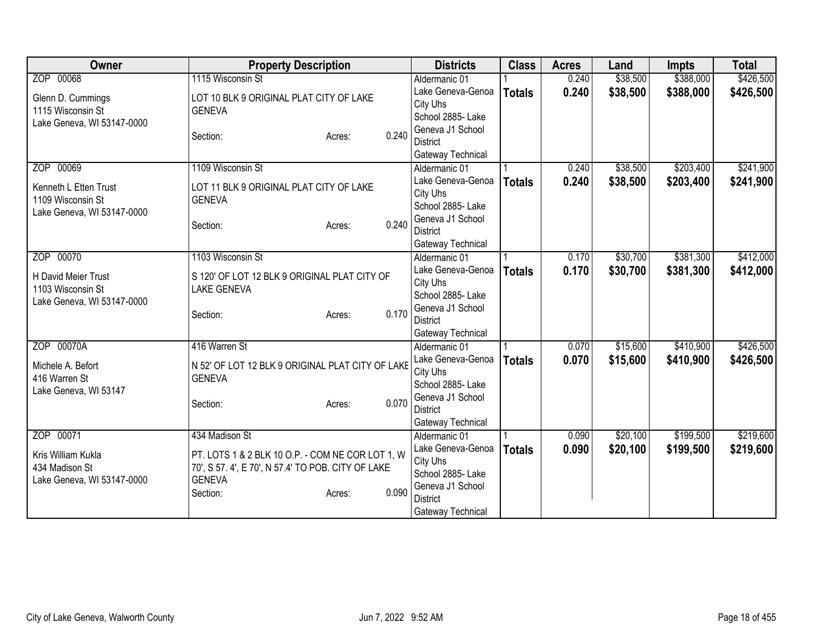| Owner                                           | <b>Property Description</b>                        | <b>Districts</b>                    | <b>Class</b>  | <b>Acres</b> | Land     | <b>Impts</b> | <b>Total</b> |
|-------------------------------------------------|----------------------------------------------------|-------------------------------------|---------------|--------------|----------|--------------|--------------|
| ZOP 00068                                       | 1115 Wisconsin St                                  | Aldermanic 01                       |               | 0.240        | \$38,500 | \$388,000    | \$426,500    |
| Glenn D. Cummings                               | LOT 10 BLK 9 ORIGINAL PLAT CITY OF LAKE            | Lake Geneva-Genoa<br>City Uhs       | <b>Totals</b> | 0.240        | \$38,500 | \$388,000    | \$426,500    |
| 1115 Wisconsin St                               | <b>GENEVA</b>                                      | School 2885- Lake                   |               |              |          |              |              |
| Lake Geneva, WI 53147-0000                      |                                                    | Geneva J1 School                    |               |              |          |              |              |
|                                                 | 0.240<br>Section:<br>Acres:                        | <b>District</b>                     |               |              |          |              |              |
|                                                 |                                                    | Gateway Technical                   |               |              |          |              |              |
| ZOP 00069                                       | 1109 Wisconsin St                                  | Aldermanic 01                       |               | 0.240        | \$38,500 | \$203,400    | \$241,900    |
| Kenneth L Etten Trust                           | LOT 11 BLK 9 ORIGINAL PLAT CITY OF LAKE            | Lake Geneva-Genoa                   | <b>Totals</b> | 0.240        | \$38,500 | \$203,400    | \$241,900    |
| 1109 Wisconsin St                               | <b>GENEVA</b>                                      | City Uhs                            |               |              |          |              |              |
| Lake Geneva, WI 53147-0000                      |                                                    | School 2885- Lake                   |               |              |          |              |              |
|                                                 | 0.240<br>Section:<br>Acres:                        | Geneva J1 School<br><b>District</b> |               |              |          |              |              |
|                                                 |                                                    | Gateway Technical                   |               |              |          |              |              |
| ZOP 00070                                       | 1103 Wisconsin St                                  | Aldermanic 01                       |               | 0.170        | \$30,700 | \$381,300    | \$412,000    |
|                                                 |                                                    | Lake Geneva-Genoa                   | <b>Totals</b> | 0.170        | \$30,700 | \$381,300    | \$412,000    |
| H David Meier Trust                             | S 120' OF LOT 12 BLK 9 ORIGINAL PLAT CITY OF       | City Uhs                            |               |              |          |              |              |
| 1103 Wisconsin St<br>Lake Geneva, WI 53147-0000 | <b>LAKE GENEVA</b>                                 | School 2885- Lake                   |               |              |          |              |              |
|                                                 | 0.170<br>Section:<br>Acres:                        | Geneva J1 School                    |               |              |          |              |              |
|                                                 |                                                    | <b>District</b>                     |               |              |          |              |              |
|                                                 |                                                    | Gateway Technical                   |               |              |          |              |              |
| ZOP 00070A                                      | 416 Warren St                                      | Aldermanic 01                       |               | 0.070        | \$15,600 | \$410,900    | \$426,500    |
| Michele A. Befort                               | N 52' OF LOT 12 BLK 9 ORIGINAL PLAT CITY OF LAKE   | Lake Geneva-Genoa<br>City Uhs       | <b>Totals</b> | 0.070        | \$15,600 | \$410,900    | \$426,500    |
| 416 Warren St                                   | <b>GENEVA</b>                                      | School 2885- Lake                   |               |              |          |              |              |
| Lake Geneva, WI 53147                           |                                                    | Geneva J1 School                    |               |              |          |              |              |
|                                                 | 0.070<br>Section:<br>Acres:                        | <b>District</b>                     |               |              |          |              |              |
|                                                 |                                                    | Gateway Technical                   |               |              |          |              |              |
| ZOP 00071                                       | 434 Madison St                                     | Aldermanic 01                       |               | 0.090        | \$20,100 | \$199,500    | \$219,600    |
| Kris William Kukla                              | PT. LOTS 1 & 2 BLK 10 O.P. - COM NE COR LOT 1, W   | Lake Geneva-Genoa                   | <b>Totals</b> | 0.090        | \$20,100 | \$199,500    | \$219,600    |
| 434 Madison St                                  | 70', S 57. 4', E 70', N 57.4' TO POB. CITY OF LAKE | City Uhs                            |               |              |          |              |              |
| Lake Geneva, WI 53147-0000                      | <b>GENEVA</b>                                      | School 2885- Lake                   |               |              |          |              |              |
|                                                 | 0.090<br>Section:<br>Acres:                        | Geneva J1 School<br><b>District</b> |               |              |          |              |              |
|                                                 |                                                    | Gateway Technical                   |               |              |          |              |              |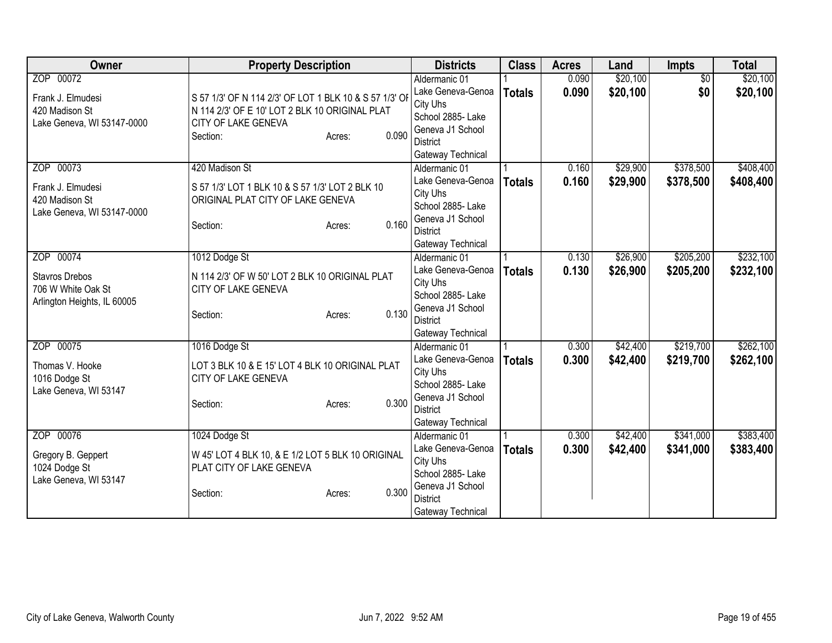| Owner                       | <b>Property Description</b>                            |                 | <b>Districts</b>                     | <b>Class</b>  | <b>Acres</b> | Land     | Impts           | <b>Total</b> |
|-----------------------------|--------------------------------------------------------|-----------------|--------------------------------------|---------------|--------------|----------|-----------------|--------------|
| ZOP 00072                   |                                                        |                 | Aldermanic 01                        |               | 0.090        | \$20,100 | $\overline{50}$ | \$20,100     |
| Frank J. Elmudesi           | S 57 1/3' OF N 114 2/3' OF LOT 1 BLK 10 & S 57 1/3' OF |                 | Lake Geneva-Genoa                    | <b>Totals</b> | 0.090        | \$20,100 | \$0             | \$20,100     |
| 420 Madison St              | N 114 2/3' OF E 10' LOT 2 BLK 10 ORIGINAL PLAT         |                 | City Uhs                             |               |              |          |                 |              |
| Lake Geneva, WI 53147-0000  | CITY OF LAKE GENEVA                                    |                 | School 2885- Lake                    |               |              |          |                 |              |
|                             | Section:                                               | 0.090<br>Acres: | Geneva J1 School                     |               |              |          |                 |              |
|                             |                                                        |                 | <b>District</b>                      |               |              |          |                 |              |
| ZOP 00073                   | 420 Madison St                                         |                 | Gateway Technical                    |               | 0.160        | \$29,900 | \$378,500       | \$408,400    |
|                             |                                                        |                 | Aldermanic 01<br>Lake Geneva-Genoa   |               | 0.160        |          |                 |              |
| Frank J. Elmudesi           | S 57 1/3' LOT 1 BLK 10 & S 57 1/3' LOT 2 BLK 10        |                 | City Uhs                             | <b>Totals</b> |              | \$29,900 | \$378,500       | \$408,400    |
| 420 Madison St              | ORIGINAL PLAT CITY OF LAKE GENEVA                      |                 | School 2885- Lake                    |               |              |          |                 |              |
| Lake Geneva, WI 53147-0000  |                                                        |                 | Geneva J1 School                     |               |              |          |                 |              |
|                             | Section:                                               | 0.160<br>Acres: | <b>District</b>                      |               |              |          |                 |              |
|                             |                                                        |                 | Gateway Technical                    |               |              |          |                 |              |
| ZOP 00074                   | 1012 Dodge St                                          |                 | Aldermanic 01                        |               | 0.130        | \$26,900 | \$205,200       | \$232,100    |
|                             |                                                        |                 | Lake Geneva-Genoa                    | <b>Totals</b> | 0.130        | \$26,900 | \$205,200       | \$232,100    |
| <b>Stavros Drebos</b>       | N 114 2/3' OF W 50' LOT 2 BLK 10 ORIGINAL PLAT         |                 | City Uhs                             |               |              |          |                 |              |
| 706 W White Oak St          | CITY OF LAKE GENEVA                                    |                 | School 2885- Lake                    |               |              |          |                 |              |
| Arlington Heights, IL 60005 | Section:                                               | 0.130<br>Acres: | Geneva J1 School                     |               |              |          |                 |              |
|                             |                                                        |                 | <b>District</b>                      |               |              |          |                 |              |
|                             |                                                        |                 | Gateway Technical                    |               |              |          |                 |              |
| ZOP 00075                   | 1016 Dodge St                                          |                 | Aldermanic 01                        |               | 0.300        | \$42,400 | \$219,700       | \$262,100    |
| Thomas V. Hooke             | LOT 3 BLK 10 & E 15' LOT 4 BLK 10 ORIGINAL PLAT        |                 | Lake Geneva-Genoa                    | <b>Totals</b> | 0.300        | \$42,400 | \$219,700       | \$262,100    |
| 1016 Dodge St               | CITY OF LAKE GENEVA                                    |                 | City Uhs                             |               |              |          |                 |              |
| Lake Geneva, WI 53147       |                                                        |                 | School 2885- Lake                    |               |              |          |                 |              |
|                             | Section:                                               | 0.300<br>Acres: | Geneva J1 School                     |               |              |          |                 |              |
|                             |                                                        |                 | <b>District</b><br>Gateway Technical |               |              |          |                 |              |
| ZOP 00076                   | 1024 Dodge St                                          |                 | Aldermanic 01                        |               | 0.300        | \$42,400 | \$341,000       | \$383,400    |
|                             |                                                        |                 | Lake Geneva-Genoa                    |               | 0.300        | \$42,400 | \$341,000       | \$383,400    |
| Gregory B. Geppert          | W 45' LOT 4 BLK 10, & E 1/2 LOT 5 BLK 10 ORIGINAL      |                 | City Uhs                             | <b>Totals</b> |              |          |                 |              |
| 1024 Dodge St               | PLAT CITY OF LAKE GENEVA                               |                 | School 2885- Lake                    |               |              |          |                 |              |
| Lake Geneva, WI 53147       |                                                        |                 | Geneva J1 School                     |               |              |          |                 |              |
|                             | Section:                                               | 0.300<br>Acres: | <b>District</b>                      |               |              |          |                 |              |
|                             |                                                        |                 | Gateway Technical                    |               |              |          |                 |              |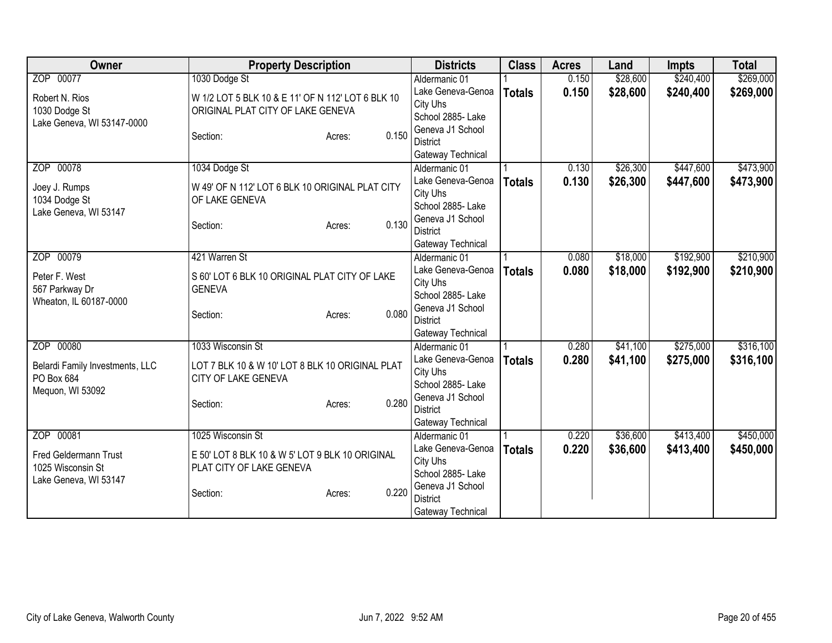| Owner                           | <b>Property Description</b>                       |                 | <b>Districts</b>                    | <b>Class</b>  | <b>Acres</b> | Land     | <b>Impts</b> | <b>Total</b> |
|---------------------------------|---------------------------------------------------|-----------------|-------------------------------------|---------------|--------------|----------|--------------|--------------|
| ZOP 00077                       | 1030 Dodge St                                     |                 | Aldermanic 01                       |               | 0.150        | \$28,600 | \$240,400    | \$269,000    |
| Robert N. Rios                  | W 1/2 LOT 5 BLK 10 & E 11' OF N 112' LOT 6 BLK 10 |                 | Lake Geneva-Genoa                   | <b>Totals</b> | 0.150        | \$28,600 | \$240,400    | \$269,000    |
| 1030 Dodge St                   | ORIGINAL PLAT CITY OF LAKE GENEVA                 |                 | City Uhs                            |               |              |          |              |              |
| Lake Geneva, WI 53147-0000      |                                                   |                 | School 2885- Lake                   |               |              |          |              |              |
|                                 | Section:                                          | 0.150<br>Acres: | Geneva J1 School                    |               |              |          |              |              |
|                                 |                                                   |                 | <b>District</b>                     |               |              |          |              |              |
|                                 |                                                   |                 | Gateway Technical                   |               |              |          |              |              |
| ZOP 00078                       | 1034 Dodge St                                     |                 | Aldermanic 01                       |               | 0.130        | \$26,300 | \$447,600    | \$473,900    |
| Joey J. Rumps                   | W 49' OF N 112' LOT 6 BLK 10 ORIGINAL PLAT CITY   |                 | Lake Geneva-Genoa<br>City Uhs       | <b>Totals</b> | 0.130        | \$26,300 | \$447,600    | \$473,900    |
| 1034 Dodge St                   | OF LAKE GENEVA                                    |                 | School 2885- Lake                   |               |              |          |              |              |
| Lake Geneva, WI 53147           |                                                   |                 | Geneva J1 School                    |               |              |          |              |              |
|                                 | Section:                                          | 0.130<br>Acres: | <b>District</b>                     |               |              |          |              |              |
|                                 |                                                   |                 | Gateway Technical                   |               |              |          |              |              |
| ZOP 00079                       | 421 Warren St                                     |                 | Aldermanic 01                       |               | 0.080        | \$18,000 | \$192,900    | \$210,900    |
|                                 |                                                   |                 | Lake Geneva-Genoa                   | <b>Totals</b> | 0.080        | \$18,000 | \$192,900    | \$210,900    |
| Peter F. West                   | S 60' LOT 6 BLK 10 ORIGINAL PLAT CITY OF LAKE     |                 | City Uhs                            |               |              |          |              |              |
| 567 Parkway Dr                  | <b>GENEVA</b>                                     |                 | School 2885- Lake                   |               |              |          |              |              |
| Wheaton, IL 60187-0000          |                                                   | 0.080           | Geneva J1 School                    |               |              |          |              |              |
|                                 | Section:                                          | Acres:          | <b>District</b>                     |               |              |          |              |              |
|                                 |                                                   |                 | Gateway Technical                   |               |              |          |              |              |
| ZOP 00080                       | 1033 Wisconsin St                                 |                 | Aldermanic 01                       |               | 0.280        | \$41,100 | \$275,000    | \$316,100    |
| Belardi Family Investments, LLC | LOT 7 BLK 10 & W 10' LOT 8 BLK 10 ORIGINAL PLAT   |                 | Lake Geneva-Genoa                   | <b>Totals</b> | 0.280        | \$41,100 | \$275,000    | \$316,100    |
| PO Box 684                      | CITY OF LAKE GENEVA                               |                 | City Uhs                            |               |              |          |              |              |
| Mequon, WI 53092                |                                                   |                 | School 2885- Lake                   |               |              |          |              |              |
|                                 | Section:                                          | 0.280<br>Acres: | Geneva J1 School<br><b>District</b> |               |              |          |              |              |
|                                 |                                                   |                 |                                     |               |              |          |              |              |
| ZOP 00081                       | 1025 Wisconsin St                                 |                 | Gateway Technical<br>Aldermanic 01  |               | 0.220        | \$36,600 | \$413,400    | \$450,000    |
|                                 |                                                   |                 | Lake Geneva-Genoa                   |               | 0.220        | \$36,600 | \$413,400    | \$450,000    |
| <b>Fred Geldermann Trust</b>    | E 50' LOT 8 BLK 10 & W 5' LOT 9 BLK 10 ORIGINAL   |                 | City Uhs                            | <b>Totals</b> |              |          |              |              |
| 1025 Wisconsin St               | PLAT CITY OF LAKE GENEVA                          |                 | School 2885- Lake                   |               |              |          |              |              |
| Lake Geneva, WI 53147           |                                                   |                 | Geneva J1 School                    |               |              |          |              |              |
|                                 | Section:                                          | 0.220<br>Acres: | <b>District</b>                     |               |              |          |              |              |
|                                 |                                                   |                 | Gateway Technical                   |               |              |          |              |              |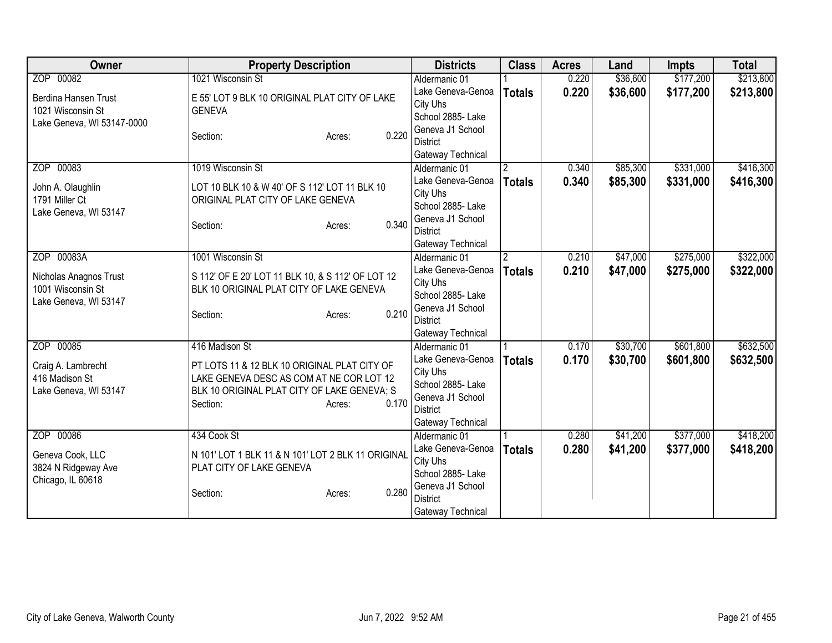| Owner                                                                | <b>Property Description</b>                                                                                                                                            | <b>Districts</b>                                                                                               | <b>Class</b>   | <b>Acres</b> | Land     | <b>Impts</b> | <b>Total</b> |
|----------------------------------------------------------------------|------------------------------------------------------------------------------------------------------------------------------------------------------------------------|----------------------------------------------------------------------------------------------------------------|----------------|--------------|----------|--------------|--------------|
| ZOP 00082                                                            | 1021 Wisconsin St                                                                                                                                                      | Aldermanic 01                                                                                                  |                | 0.220        | \$36,600 | \$177,200    | \$213,800    |
| Berdina Hansen Trust<br>1021 Wisconsin St                            | E 55' LOT 9 BLK 10 ORIGINAL PLAT CITY OF LAKE<br><b>GENEVA</b>                                                                                                         | Lake Geneva-Genoa<br>City Uhs<br>School 2885- Lake                                                             | <b>Totals</b>  | 0.220        | \$36,600 | \$177,200    | \$213,800    |
| Lake Geneva, WI 53147-0000                                           | 0.220<br>Section:<br>Acres:                                                                                                                                            | Geneva J1 School<br><b>District</b><br>Gateway Technical                                                       |                |              |          |              |              |
| ZOP 00083                                                            | 1019 Wisconsin St                                                                                                                                                      | Aldermanic 01                                                                                                  | $\overline{2}$ | 0.340        | \$85,300 | \$331,000    | \$416,300    |
| John A. Olaughlin<br>1791 Miller Ct<br>Lake Geneva, WI 53147         | LOT 10 BLK 10 & W 40' OF S 112' LOT 11 BLK 10<br>ORIGINAL PLAT CITY OF LAKE GENEVA<br>0.340<br>Section:<br>Acres:                                                      | Lake Geneva-Genoa<br>City Uhs<br>School 2885- Lake<br>Geneva J1 School<br><b>District</b><br>Gateway Technical | <b>Totals</b>  | 0.340        | \$85,300 | \$331,000    | \$416,300    |
| ZOP 00083A                                                           | 1001 Wisconsin St                                                                                                                                                      | Aldermanic 01                                                                                                  | $\overline{2}$ | 0.210        | \$47,000 | \$275,000    | \$322,000    |
| Nicholas Anagnos Trust<br>1001 Wisconsin St<br>Lake Geneva, WI 53147 | S 112' OF E 20' LOT 11 BLK 10, & S 112' OF LOT 12<br>BLK 10 ORIGINAL PLAT CITY OF LAKE GENEVA<br>0.210<br>Section:<br>Acres:                                           | Lake Geneva-Genoa<br>City Uhs<br>School 2885- Lake<br>Geneva J1 School<br><b>District</b><br>Gateway Technical | <b>Totals</b>  | 0.210        | \$47,000 | \$275,000    | \$322,000    |
| ZOP 00085                                                            | 416 Madison St                                                                                                                                                         | Aldermanic 01                                                                                                  |                | 0.170        | \$30,700 | \$601,800    | \$632,500    |
| Craig A. Lambrecht<br>416 Madison St<br>Lake Geneva, WI 53147        | PT LOTS 11 & 12 BLK 10 ORIGINAL PLAT CITY OF<br>LAKE GENEVA DESC AS COM AT NE COR LOT 12<br>BLK 10 ORIGINAL PLAT CITY OF LAKE GENEVA; S<br>0.170<br>Section:<br>Acres: | Lake Geneva-Genoa<br>City Uhs<br>School 2885- Lake<br>Geneva J1 School<br><b>District</b><br>Gateway Technical | <b>Totals</b>  | 0.170        | \$30,700 | \$601,800    | \$632,500    |
| ZOP 00086                                                            | 434 Cook St                                                                                                                                                            | Aldermanic 01                                                                                                  |                | 0.280        | \$41,200 | \$377,000    | \$418,200    |
| Geneva Cook, LLC<br>3824 N Ridgeway Ave<br>Chicago, IL 60618         | N 101' LOT 1 BLK 11 & N 101' LOT 2 BLK 11 ORIGINAL<br>PLAT CITY OF LAKE GENEVA                                                                                         | Lake Geneva-Genoa<br>City Uhs<br>School 2885- Lake<br>Geneva J1 School                                         | <b>Totals</b>  | 0.280        | \$41,200 | \$377,000    | \$418,200    |
|                                                                      | 0.280<br>Section:<br>Acres:                                                                                                                                            | <b>District</b><br>Gateway Technical                                                                           |                |              |          |              |              |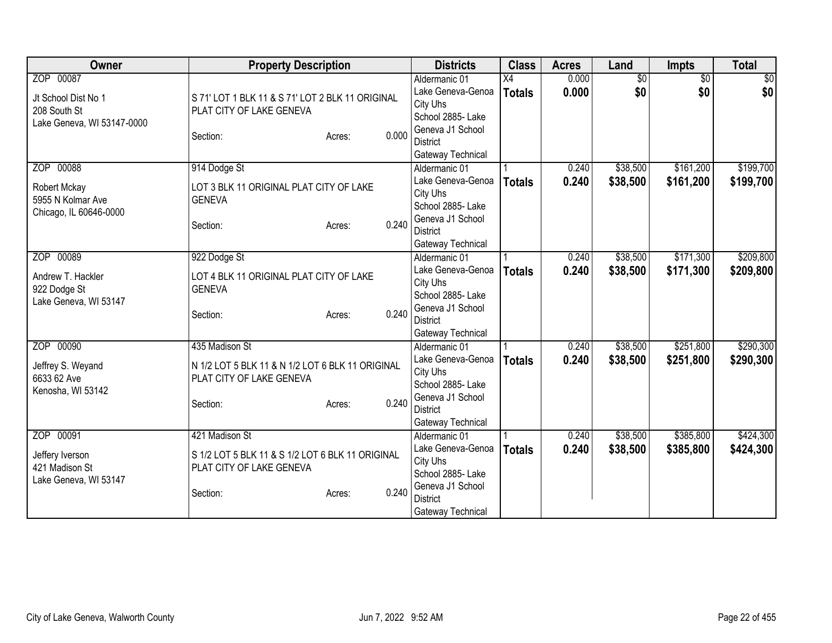| <b>Owner</b>                                                                   | <b>Property Description</b>                                                                                                   | <b>Districts</b>                                                                                                                | <b>Class</b>                     | <b>Acres</b>   | Land                   | Impts                  | <b>Total</b>           |
|--------------------------------------------------------------------------------|-------------------------------------------------------------------------------------------------------------------------------|---------------------------------------------------------------------------------------------------------------------------------|----------------------------------|----------------|------------------------|------------------------|------------------------|
| ZOP 00087<br>Jt School Dist No 1<br>208 South St<br>Lake Geneva, WI 53147-0000 | S 71' LOT 1 BLK 11 & S 71' LOT 2 BLK 11 ORIGINAL<br>PLAT CITY OF LAKE GENEVA<br>0.000<br>Section:<br>Acres:                   | Aldermanic 01<br>Lake Geneva-Genoa<br>City Uhs<br>School 2885-Lake<br>Geneva J1 School<br><b>District</b><br>Gateway Technical  | $\overline{X4}$<br><b>Totals</b> | 0.000<br>0.000 | $\overline{50}$<br>\$0 | $\overline{30}$<br>\$0 | $\overline{50}$<br>\$0 |
| ZOP 00088<br>Robert Mckay<br>5955 N Kolmar Ave<br>Chicago, IL 60646-0000       | 914 Dodge St<br>LOT 3 BLK 11 ORIGINAL PLAT CITY OF LAKE<br><b>GENEVA</b><br>0.240<br>Section:<br>Acres:                       | Aldermanic 01<br>Lake Geneva-Genoa<br>City Uhs<br>School 2885- Lake<br>Geneva J1 School<br><b>District</b><br>Gateway Technical | <b>Totals</b>                    | 0.240<br>0.240 | \$38,500<br>\$38,500   | \$161,200<br>\$161,200 | \$199,700<br>\$199,700 |
| ZOP 00089<br>Andrew T. Hackler<br>922 Dodge St<br>Lake Geneva, WI 53147        | 922 Dodge St<br>LOT 4 BLK 11 ORIGINAL PLAT CITY OF LAKE<br><b>GENEVA</b><br>0.240<br>Section:<br>Acres:                       | Aldermanic 01<br>Lake Geneva-Genoa<br>City Uhs<br>School 2885- Lake<br>Geneva J1 School<br><b>District</b><br>Gateway Technical | <b>Totals</b>                    | 0.240<br>0.240 | \$38,500<br>\$38,500   | \$171,300<br>\$171,300 | \$209,800<br>\$209,800 |
| ZOP 00090<br>Jeffrey S. Weyand<br>6633 62 Ave<br>Kenosha, WI 53142             | 435 Madison St<br>N 1/2 LOT 5 BLK 11 & N 1/2 LOT 6 BLK 11 ORIGINAL<br>PLAT CITY OF LAKE GENEVA<br>0.240<br>Section:<br>Acres: | Aldermanic 01<br>Lake Geneva-Genoa<br>City Uhs<br>School 2885- Lake<br>Geneva J1 School<br><b>District</b><br>Gateway Technical | <b>Totals</b>                    | 0.240<br>0.240 | \$38,500<br>\$38,500   | \$251,800<br>\$251,800 | \$290,300<br>\$290,300 |
| ZOP 00091<br>Jeffery Iverson<br>421 Madison St<br>Lake Geneva, WI 53147        | 421 Madison St<br>S 1/2 LOT 5 BLK 11 & S 1/2 LOT 6 BLK 11 ORIGINAL<br>PLAT CITY OF LAKE GENEVA<br>0.240<br>Section:<br>Acres: | Aldermanic 01<br>Lake Geneva-Genoa<br>City Uhs<br>School 2885- Lake<br>Geneva J1 School<br><b>District</b><br>Gateway Technical | <b>Totals</b>                    | 0.240<br>0.240 | \$38,500<br>\$38,500   | \$385,800<br>\$385,800 | \$424,300<br>\$424,300 |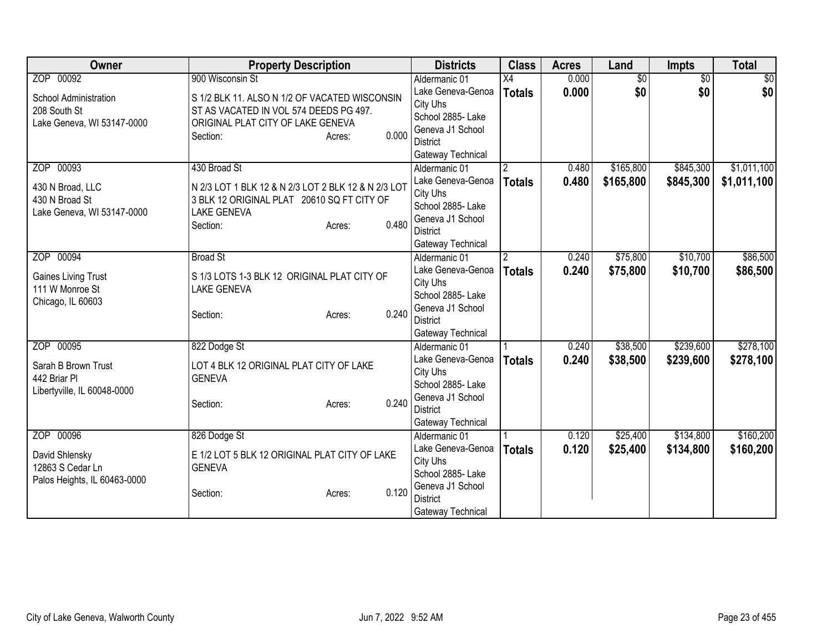| <b>Owner</b>                 | <b>Property Description</b>                         | <b>Districts</b>  | <b>Class</b>   | <b>Acres</b> | Land            | Impts           | <b>Total</b>   |
|------------------------------|-----------------------------------------------------|-------------------|----------------|--------------|-----------------|-----------------|----------------|
| ZOP 00092                    | 900 Wisconsin St                                    | Aldermanic 01     | X4             | 0.000        | $\overline{50}$ | $\overline{50}$ | $\frac{1}{20}$ |
| School Administration        | S 1/2 BLK 11. ALSO N 1/2 OF VACATED WISCONSIN       | Lake Geneva-Genoa | <b>Totals</b>  | 0.000        | \$0             | \$0             | \$0            |
| 208 South St                 | ST AS VACATED IN VOL 574 DEEDS PG 497.              | City Uhs          |                |              |                 |                 |                |
| Lake Geneva, WI 53147-0000   | ORIGINAL PLAT CITY OF LAKE GENEVA                   | School 2885- Lake |                |              |                 |                 |                |
|                              | 0.000<br>Section:<br>Acres:                         | Geneva J1 School  |                |              |                 |                 |                |
|                              |                                                     | <b>District</b>   |                |              |                 |                 |                |
|                              |                                                     | Gateway Technical |                |              |                 |                 |                |
| ZOP 00093                    | 430 Broad St                                        | Aldermanic 01     | 2              | 0.480        | \$165,800       | \$845,300       | \$1,011,100    |
| 430 N Broad, LLC             | N 2/3 LOT 1 BLK 12 & N 2/3 LOT 2 BLK 12 & N 2/3 LOT | Lake Geneva-Genoa | <b>Totals</b>  | 0.480        | \$165,800       | \$845,300       | \$1,011,100    |
| 430 N Broad St               | 3 BLK 12 ORIGINAL PLAT 20610 SQ FT CITY OF          | City Uhs          |                |              |                 |                 |                |
| Lake Geneva, WI 53147-0000   | <b>LAKE GENEVA</b>                                  | School 2885- Lake |                |              |                 |                 |                |
|                              | 0.480<br>Section:<br>Acres:                         | Geneva J1 School  |                |              |                 |                 |                |
|                              |                                                     | <b>District</b>   |                |              |                 |                 |                |
|                              |                                                     | Gateway Technical |                |              |                 |                 |                |
| ZOP 00094                    | <b>Broad St</b>                                     | Aldermanic 01     | $\overline{2}$ | 0.240        | \$75,800        | \$10,700        | \$86,500       |
| <b>Gaines Living Trust</b>   | S 1/3 LOTS 1-3 BLK 12 ORIGINAL PLAT CITY OF         | Lake Geneva-Genoa | <b>Totals</b>  | 0.240        | \$75,800        | \$10,700        | \$86,500       |
| 111 W Monroe St              | <b>LAKE GENEVA</b>                                  | City Uhs          |                |              |                 |                 |                |
| Chicago, IL 60603            |                                                     | School 2885- Lake |                |              |                 |                 |                |
|                              | 0.240<br>Section:<br>Acres:                         | Geneva J1 School  |                |              |                 |                 |                |
|                              |                                                     | <b>District</b>   |                |              |                 |                 |                |
|                              |                                                     | Gateway Technical |                |              |                 |                 |                |
| ZOP 00095                    | 822 Dodge St                                        | Aldermanic 01     |                | 0.240        | \$38,500        | \$239,600       | \$278,100      |
| Sarah B Brown Trust          | LOT 4 BLK 12 ORIGINAL PLAT CITY OF LAKE             | Lake Geneva-Genoa | <b>Totals</b>  | 0.240        | \$38,500        | \$239,600       | \$278,100      |
| 442 Briar Pl                 | <b>GENEVA</b>                                       | City Uhs          |                |              |                 |                 |                |
| Libertyville, IL 60048-0000  |                                                     | School 2885- Lake |                |              |                 |                 |                |
|                              | 0.240<br>Section:<br>Acres:                         | Geneva J1 School  |                |              |                 |                 |                |
|                              |                                                     | <b>District</b>   |                |              |                 |                 |                |
|                              |                                                     | Gateway Technical |                |              |                 |                 |                |
| ZOP 00096                    | 826 Dodge St                                        | Aldermanic 01     |                | 0.120        | \$25,400        | \$134,800       | \$160,200      |
| David Shlensky               | E 1/2 LOT 5 BLK 12 ORIGINAL PLAT CITY OF LAKE       | Lake Geneva-Genoa | <b>Totals</b>  | 0.120        | \$25,400        | \$134,800       | \$160,200      |
| 12863 S Cedar Ln             | <b>GENEVA</b>                                       | City Uhs          |                |              |                 |                 |                |
| Palos Heights, IL 60463-0000 |                                                     | School 2885-Lake  |                |              |                 |                 |                |
|                              | 0.120<br>Section:<br>Acres:                         | Geneva J1 School  |                |              |                 |                 |                |
|                              |                                                     | <b>District</b>   |                |              |                 |                 |                |
|                              |                                                     | Gateway Technical |                |              |                 |                 |                |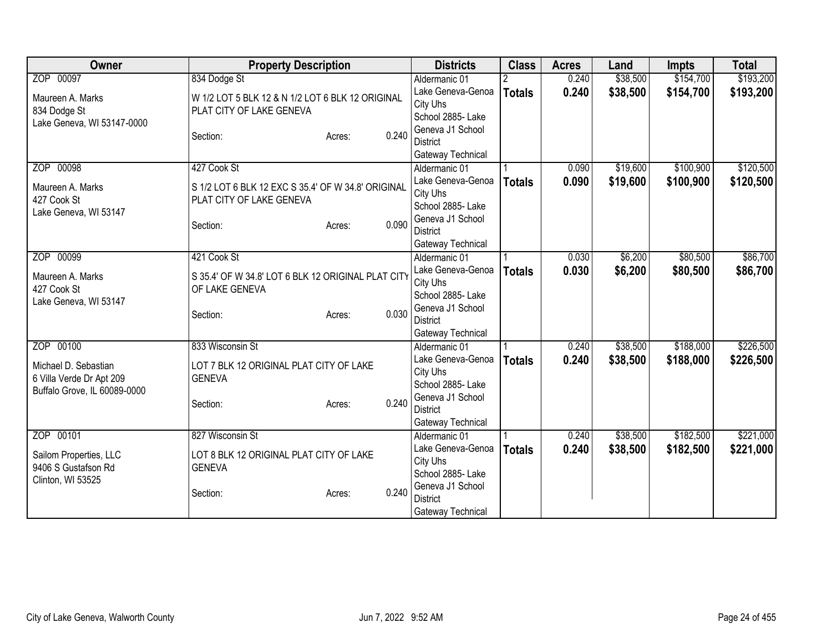| Owner                        | <b>Property Description</b>                        |                 | <b>Districts</b>  | <b>Class</b>  | <b>Acres</b> | Land     | <b>Impts</b> | <b>Total</b> |
|------------------------------|----------------------------------------------------|-----------------|-------------------|---------------|--------------|----------|--------------|--------------|
| ZOP 00097                    | 834 Dodge St                                       |                 | Aldermanic 01     |               | 0.240        | \$38,500 | \$154,700    | \$193,200    |
| Maureen A. Marks             | W 1/2 LOT 5 BLK 12 & N 1/2 LOT 6 BLK 12 ORIGINAL   |                 | Lake Geneva-Genoa | <b>Totals</b> | 0.240        | \$38,500 | \$154,700    | \$193,200    |
| 834 Dodge St                 | PLAT CITY OF LAKE GENEVA                           |                 | City Uhs          |               |              |          |              |              |
| Lake Geneva, WI 53147-0000   |                                                    |                 | School 2885- Lake |               |              |          |              |              |
|                              | Section:                                           | 0.240<br>Acres: | Geneva J1 School  |               |              |          |              |              |
|                              |                                                    |                 | <b>District</b>   |               |              |          |              |              |
|                              |                                                    |                 | Gateway Technical |               |              |          |              |              |
| ZOP 00098                    | 427 Cook St                                        |                 | Aldermanic 01     |               | 0.090        | \$19,600 | \$100,900    | \$120,500    |
| Maureen A. Marks             | S 1/2 LOT 6 BLK 12 EXC S 35.4' OF W 34.8' ORIGINAL |                 | Lake Geneva-Genoa | <b>Totals</b> | 0.090        | \$19,600 | \$100,900    | \$120,500    |
| 427 Cook St                  | PLAT CITY OF LAKE GENEVA                           |                 | City Uhs          |               |              |          |              |              |
| Lake Geneva, WI 53147        |                                                    |                 | School 2885- Lake |               |              |          |              |              |
|                              | Section:                                           | 0.090<br>Acres: | Geneva J1 School  |               |              |          |              |              |
|                              |                                                    |                 | <b>District</b>   |               |              |          |              |              |
|                              |                                                    |                 | Gateway Technical |               |              |          |              |              |
| ZOP 00099                    | 421 Cook St                                        |                 | Aldermanic 01     |               | 0.030        | \$6,200  | \$80,500     | \$86,700     |
| Maureen A. Marks             | S 35.4' OF W 34.8' LOT 6 BLK 12 ORIGINAL PLAT CITY |                 | Lake Geneva-Genoa | <b>Totals</b> | 0.030        | \$6,200  | \$80,500     | \$86,700     |
| 427 Cook St                  | OF LAKE GENEVA                                     |                 | City Uhs          |               |              |          |              |              |
| Lake Geneva, WI 53147        |                                                    |                 | School 2885- Lake |               |              |          |              |              |
|                              | Section:                                           | 0.030<br>Acres: | Geneva J1 School  |               |              |          |              |              |
|                              |                                                    |                 | <b>District</b>   |               |              |          |              |              |
|                              |                                                    |                 | Gateway Technical |               |              |          |              |              |
| ZOP 00100                    | 833 Wisconsin St                                   |                 | Aldermanic 01     |               | 0.240        | \$38,500 | \$188,000    | \$226,500    |
| Michael D. Sebastian         | LOT 7 BLK 12 ORIGINAL PLAT CITY OF LAKE            |                 | Lake Geneva-Genoa | <b>Totals</b> | 0.240        | \$38,500 | \$188,000    | \$226,500    |
| 6 Villa Verde Dr Apt 209     | <b>GENEVA</b>                                      |                 | City Uhs          |               |              |          |              |              |
| Buffalo Grove, IL 60089-0000 |                                                    |                 | School 2885- Lake |               |              |          |              |              |
|                              | Section:                                           | 0.240<br>Acres: | Geneva J1 School  |               |              |          |              |              |
|                              |                                                    |                 | <b>District</b>   |               |              |          |              |              |
|                              |                                                    |                 | Gateway Technical |               |              |          |              |              |
| ZOP 00101                    | 827 Wisconsin St                                   |                 | Aldermanic 01     |               | 0.240        | \$38,500 | \$182,500    | \$221,000    |
| Sailom Properties, LLC       | LOT 8 BLK 12 ORIGINAL PLAT CITY OF LAKE            |                 | Lake Geneva-Genoa | <b>Totals</b> | 0.240        | \$38,500 | \$182,500    | \$221,000    |
| 9406 S Gustafson Rd          | <b>GENEVA</b>                                      |                 | City Uhs          |               |              |          |              |              |
| Clinton, WI 53525            |                                                    |                 | School 2885- Lake |               |              |          |              |              |
|                              | Section:                                           | 0.240<br>Acres: | Geneva J1 School  |               |              |          |              |              |
|                              |                                                    |                 | <b>District</b>   |               |              |          |              |              |
|                              |                                                    |                 | Gateway Technical |               |              |          |              |              |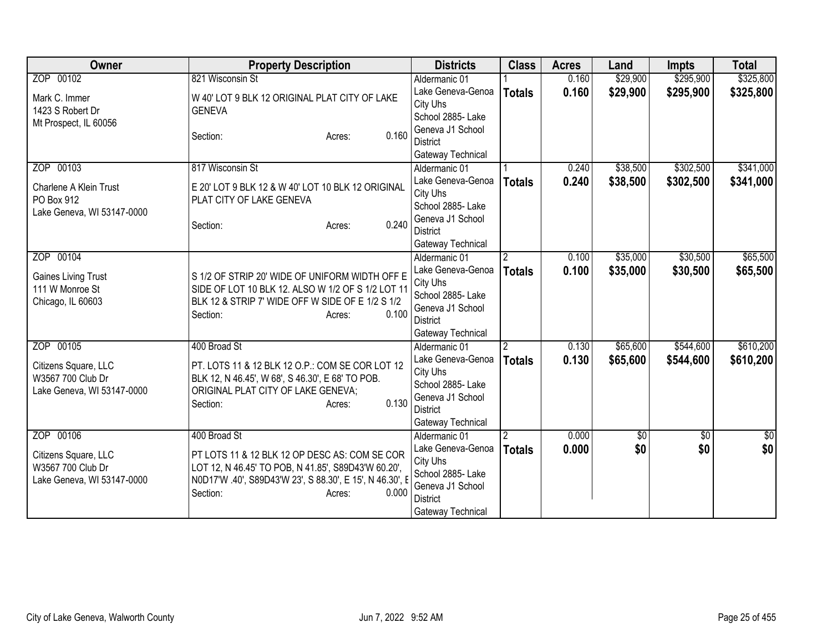| Owner                      | <b>Property Description</b>                              | <b>Districts</b>              | <b>Class</b>   | <b>Acres</b> | Land       | <b>Impts</b>    | <b>Total</b>  |
|----------------------------|----------------------------------------------------------|-------------------------------|----------------|--------------|------------|-----------------|---------------|
| ZOP 00102                  | 821 Wisconsin St                                         | Aldermanic 01                 |                | 0.160        | \$29,900   | \$295,900       | \$325,800     |
| Mark C. Immer              | W 40' LOT 9 BLK 12 ORIGINAL PLAT CITY OF LAKE            | Lake Geneva-Genoa             | <b>Totals</b>  | 0.160        | \$29,900   | \$295,900       | \$325,800     |
| 1423 S Robert Dr           | <b>GENEVA</b>                                            | City Uhs                      |                |              |            |                 |               |
| Mt Prospect, IL 60056      |                                                          | School 2885- Lake             |                |              |            |                 |               |
|                            | 0.160<br>Section:<br>Acres:                              | Geneva J1 School              |                |              |            |                 |               |
|                            |                                                          | <b>District</b>               |                |              |            |                 |               |
|                            |                                                          | Gateway Technical             |                |              |            |                 |               |
| ZOP 00103                  | 817 Wisconsin St                                         | Aldermanic 01                 |                | 0.240        | \$38,500   | \$302,500       | \$341,000     |
| Charlene A Klein Trust     | E 20' LOT 9 BLK 12 & W 40' LOT 10 BLK 12 ORIGINAL        | Lake Geneva-Genoa             | <b>Totals</b>  | 0.240        | \$38,500   | \$302,500       | \$341,000     |
| PO Box 912                 | PLAT CITY OF LAKE GENEVA                                 | City Uhs<br>School 2885- Lake |                |              |            |                 |               |
| Lake Geneva, WI 53147-0000 |                                                          | Geneva J1 School              |                |              |            |                 |               |
|                            | 0.240<br>Section:<br>Acres:                              | <b>District</b>               |                |              |            |                 |               |
|                            |                                                          | Gateway Technical             |                |              |            |                 |               |
| ZOP 00104                  |                                                          | Aldermanic 01                 | $\overline{2}$ | 0.100        | \$35,000   | \$30,500        | \$65,500      |
|                            |                                                          | Lake Geneva-Genoa             | <b>Totals</b>  | 0.100        | \$35,000   | \$30,500        | \$65,500      |
| <b>Gaines Living Trust</b> | S 1/2 OF STRIP 20' WIDE OF UNIFORM WIDTH OFF E           | City Uhs                      |                |              |            |                 |               |
| 111 W Monroe St            | SIDE OF LOT 10 BLK 12. ALSO W 1/2 OF S 1/2 LOT 11        | School 2885- Lake             |                |              |            |                 |               |
| Chicago, IL 60603          | BLK 12 & STRIP 7' WIDE OFF W SIDE OF E 1/2 S 1/2         | Geneva J1 School              |                |              |            |                 |               |
|                            | 0.100<br>Section:<br>Acres:                              | District                      |                |              |            |                 |               |
|                            |                                                          | Gateway Technical             |                |              |            |                 |               |
| ZOP 00105                  | 400 Broad St                                             | Aldermanic 01                 | $\overline{2}$ | 0.130        | \$65,600   | \$544,600       | \$610,200     |
| Citizens Square, LLC       | PT. LOTS 11 & 12 BLK 12 O.P.: COM SE COR LOT 12          | Lake Geneva-Genoa             | <b>Totals</b>  | 0.130        | \$65,600   | \$544,600       | \$610,200     |
| W3567 700 Club Dr          | BLK 12, N 46.45', W 68', S 46.30', E 68' TO POB.         | City Uhs                      |                |              |            |                 |               |
| Lake Geneva, WI 53147-0000 | ORIGINAL PLAT CITY OF LAKE GENEVA;                       | School 2885- Lake             |                |              |            |                 |               |
|                            | 0.130<br>Section:<br>Acres:                              | Geneva J1 School              |                |              |            |                 |               |
|                            |                                                          | <b>District</b>               |                |              |            |                 |               |
|                            |                                                          | Gateway Technical             |                |              |            |                 |               |
| ZOP 00106                  | 400 Broad St                                             | Aldermanic 01                 |                | 0.000        | $\sqrt{6}$ | $\overline{30}$ | $\frac{1}{6}$ |
| Citizens Square, LLC       | PT LOTS 11 & 12 BLK 12 OP DESC AS: COM SE COR            | Lake Geneva-Genoa             | <b>Totals</b>  | 0.000        | \$0        | \$0             | \$0           |
| W3567 700 Club Dr          | LOT 12, N 46.45' TO POB, N 41.85', S89D43'W 60.20',      | City Uhs<br>School 2885- Lake |                |              |            |                 |               |
| Lake Geneva, WI 53147-0000 | N0D17'W .40', S89D43'W 23', S 88.30', E 15', N 46.30', I | Geneva J1 School              |                |              |            |                 |               |
|                            | 0.000<br>Section:<br>Acres:                              | <b>District</b>               |                |              |            |                 |               |
|                            |                                                          | Gateway Technical             |                |              |            |                 |               |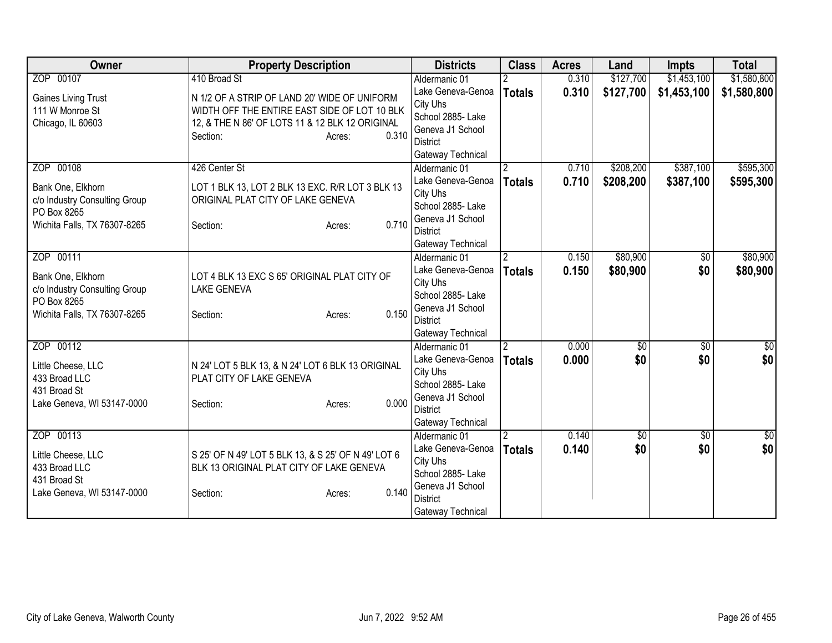| Owner                                        | <b>Property Description</b>                                                   | <b>Districts</b>              | <b>Class</b>   | <b>Acres</b> | Land        | <b>Impts</b>    | <b>Total</b>         |
|----------------------------------------------|-------------------------------------------------------------------------------|-------------------------------|----------------|--------------|-------------|-----------------|----------------------|
| ZOP 00107                                    | 410 Broad St                                                                  | Aldermanic 01                 |                | 0.310        | \$127,700   | \$1,453,100     | \$1,580,800          |
| <b>Gaines Living Trust</b>                   | N 1/2 OF A STRIP OF LAND 20' WIDE OF UNIFORM                                  | Lake Geneva-Genoa             | <b>Totals</b>  | 0.310        | \$127,700   | \$1,453,100     | \$1,580,800          |
| 111 W Monroe St                              | WIDTH OFF THE ENTIRE EAST SIDE OF LOT 10 BLK                                  | City Uhs                      |                |              |             |                 |                      |
| Chicago, IL 60603                            | 12, & THE N 86' OF LOTS 11 & 12 BLK 12 ORIGINAL                               | School 2885- Lake             |                |              |             |                 |                      |
|                                              | 0.310<br>Section:<br>Acres:                                                   | Geneva J1 School<br>District  |                |              |             |                 |                      |
|                                              |                                                                               | Gateway Technical             |                |              |             |                 |                      |
| ZOP 00108                                    | 426 Center St                                                                 | Aldermanic 01                 | $\overline{2}$ | 0.710        | \$208,200   | \$387,100       | \$595,300            |
|                                              |                                                                               | Lake Geneva-Genoa             | <b>Totals</b>  | 0.710        | \$208,200   | \$387,100       | \$595,300            |
| Bank One, Elkhorn                            | LOT 1 BLK 13, LOT 2 BLK 13 EXC. R/R LOT 3 BLK 13                              | City Uhs                      |                |              |             |                 |                      |
| c/o Industry Consulting Group<br>PO Box 8265 | ORIGINAL PLAT CITY OF LAKE GENEVA                                             | School 2885- Lake             |                |              |             |                 |                      |
| Wichita Falls, TX 76307-8265                 | 0.710<br>Section:<br>Acres:                                                   | Geneva J1 School              |                |              |             |                 |                      |
|                                              |                                                                               | <b>District</b>               |                |              |             |                 |                      |
|                                              |                                                                               | Gateway Technical             |                |              |             |                 |                      |
| ZOP 00111                                    |                                                                               | Aldermanic 01                 | $\overline{2}$ | 0.150        | \$80,900    | $\overline{50}$ | \$80,900             |
| Bank One, Elkhorn                            | LOT 4 BLK 13 EXC S 65' ORIGINAL PLAT CITY OF                                  | Lake Geneva-Genoa             | <b>Totals</b>  | 0.150        | \$80,900    | \$0             | \$80,900             |
| c/o Industry Consulting Group                | <b>LAKE GENEVA</b>                                                            | City Uhs<br>School 2885-Lake  |                |              |             |                 |                      |
| PO Box 8265                                  |                                                                               | Geneva J1 School              |                |              |             |                 |                      |
| Wichita Falls, TX 76307-8265                 | 0.150<br>Section:<br>Acres:                                                   | <b>District</b>               |                |              |             |                 |                      |
|                                              |                                                                               | Gateway Technical             |                |              |             |                 |                      |
| ZOP 00112                                    |                                                                               | Aldermanic 01                 | $\overline{2}$ | 0.000        | $\sqrt{50}$ | $\overline{50}$ | \$0                  |
|                                              |                                                                               | Lake Geneva-Genoa             | <b>Totals</b>  | 0.000        | \$0         | \$0             | \$0                  |
| Little Cheese, LLC<br>433 Broad LLC          | N 24' LOT 5 BLK 13, & N 24' LOT 6 BLK 13 ORIGINAL<br>PLAT CITY OF LAKE GENEVA | City Uhs                      |                |              |             |                 |                      |
| 431 Broad St                                 |                                                                               | School 2885- Lake             |                |              |             |                 |                      |
| Lake Geneva, WI 53147-0000                   | 0.000<br>Section:<br>Acres:                                                   | Geneva J1 School              |                |              |             |                 |                      |
|                                              |                                                                               | <b>District</b>               |                |              |             |                 |                      |
|                                              |                                                                               | Gateway Technical             |                |              |             |                 |                      |
| ZOP 00113                                    |                                                                               | Aldermanic 01                 | 2              | 0.140        | \$0         | $\overline{50}$ | $\frac{6}{3}$<br>\$0 |
| Little Cheese, LLC                           | S 25' OF N 49' LOT 5 BLK 13, & S 25' OF N 49' LOT 6                           | Lake Geneva-Genoa<br>City Uhs | <b>Totals</b>  | 0.140        | \$0         | \$0             |                      |
| 433 Broad LLC                                | BLK 13 ORIGINAL PLAT CITY OF LAKE GENEVA                                      | School 2885- Lake             |                |              |             |                 |                      |
| 431 Broad St                                 |                                                                               | Geneva J1 School              |                |              |             |                 |                      |
| Lake Geneva, WI 53147-0000                   | 0.140<br>Section:<br>Acres:                                                   | <b>District</b>               |                |              |             |                 |                      |
|                                              |                                                                               | Gateway Technical             |                |              |             |                 |                      |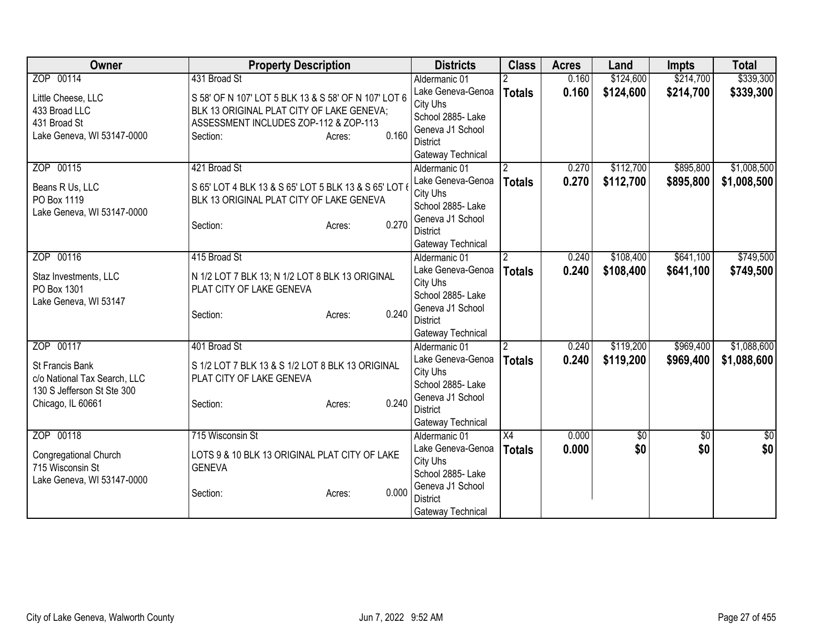| Owner                        | <b>Property Description</b>                          | <b>Districts</b>                    | <b>Class</b>   | <b>Acres</b> | Land       | <b>Impts</b> | <b>Total</b>  |
|------------------------------|------------------------------------------------------|-------------------------------------|----------------|--------------|------------|--------------|---------------|
| ZOP 00114                    | 431 Broad St                                         | Aldermanic 01                       |                | 0.160        | \$124,600  | \$214,700    | \$339,300     |
| Little Cheese, LLC           | S 58' OF N 107' LOT 5 BLK 13 & S 58' OF N 107' LOT 6 | Lake Geneva-Genoa                   | <b>Totals</b>  | 0.160        | \$124,600  | \$214,700    | \$339,300     |
| 433 Broad LLC                | BLK 13 ORIGINAL PLAT CITY OF LAKE GENEVA;            | City Uhs                            |                |              |            |              |               |
| 431 Broad St                 | ASSESSMENT INCLUDES ZOP-112 & ZOP-113                | School 2885- Lake                   |                |              |            |              |               |
| Lake Geneva, WI 53147-0000   | 0.160<br>Section:<br>Acres:                          | Geneva J1 School                    |                |              |            |              |               |
|                              |                                                      | <b>District</b>                     |                |              |            |              |               |
|                              |                                                      | Gateway Technical                   |                |              |            |              |               |
| ZOP 00115                    | 421 Broad St                                         | Aldermanic 01                       | $\overline{2}$ | 0.270        | \$112,700  | \$895,800    | \$1,008,500   |
| Beans R Us, LLC              | S 65' LOT 4 BLK 13 & S 65' LOT 5 BLK 13 & S 65' LOT  | Lake Geneva-Genoa                   | <b>Totals</b>  | 0.270        | \$112,700  | \$895,800    | \$1,008,500   |
| PO Box 1119                  | BLK 13 ORIGINAL PLAT CITY OF LAKE GENEVA             | City Uhs                            |                |              |            |              |               |
| Lake Geneva, WI 53147-0000   |                                                      | School 2885- Lake                   |                |              |            |              |               |
|                              | 0.270<br>Section:<br>Acres:                          | Geneva J1 School<br><b>District</b> |                |              |            |              |               |
|                              |                                                      | Gateway Technical                   |                |              |            |              |               |
| ZOP 00116                    | 415 Broad St                                         | Aldermanic 01                       | $\overline{2}$ | 0.240        | \$108,400  | \$641,100    | \$749,500     |
|                              |                                                      | Lake Geneva-Genoa                   |                | 0.240        | \$108,400  | \$641,100    | \$749,500     |
| Staz Investments, LLC        | N 1/2 LOT 7 BLK 13; N 1/2 LOT 8 BLK 13 ORIGINAL      | City Uhs                            | <b>Totals</b>  |              |            |              |               |
| PO Box 1301                  | PLAT CITY OF LAKE GENEVA                             | School 2885- Lake                   |                |              |            |              |               |
| Lake Geneva, WI 53147        |                                                      | Geneva J1 School                    |                |              |            |              |               |
|                              | 0.240<br>Section:<br>Acres:                          | <b>District</b>                     |                |              |            |              |               |
|                              |                                                      | Gateway Technical                   |                |              |            |              |               |
| ZOP 00117                    | 401 Broad St                                         | Aldermanic 01                       | $\overline{2}$ | 0.240        | \$119,200  | \$969,400    | \$1,088,600   |
| St Francis Bank              | S 1/2 LOT 7 BLK 13 & S 1/2 LOT 8 BLK 13 ORIGINAL     | Lake Geneva-Genoa                   | <b>Totals</b>  | 0.240        | \$119,200  | \$969,400    | \$1,088,600   |
| c/o National Tax Search, LLC | PLAT CITY OF LAKE GENEVA                             | City Uhs                            |                |              |            |              |               |
| 130 S Jefferson St Ste 300   |                                                      | School 2885- Lake                   |                |              |            |              |               |
| Chicago, IL 60661            | 0.240<br>Section:<br>Acres:                          | Geneva J1 School                    |                |              |            |              |               |
|                              |                                                      | <b>District</b>                     |                |              |            |              |               |
|                              |                                                      | Gateway Technical                   |                |              |            |              |               |
| ZOP 00118                    | 715 Wisconsin St                                     | Aldermanic 01                       | X4             | 0.000        | $\sqrt{6}$ | $\sqrt{6}$   | $\frac{6}{3}$ |
| Congregational Church        | LOTS 9 & 10 BLK 13 ORIGINAL PLAT CITY OF LAKE        | Lake Geneva-Genoa                   | <b>Totals</b>  | 0.000        | \$0        | \$0          | \$0           |
| 715 Wisconsin St             | <b>GENEVA</b>                                        | City Uhs                            |                |              |            |              |               |
| Lake Geneva, WI 53147-0000   |                                                      | School 2885- Lake                   |                |              |            |              |               |
|                              | 0.000<br>Section:<br>Acres:                          | Geneva J1 School                    |                |              |            |              |               |
|                              |                                                      | <b>District</b>                     |                |              |            |              |               |
|                              |                                                      | Gateway Technical                   |                |              |            |              |               |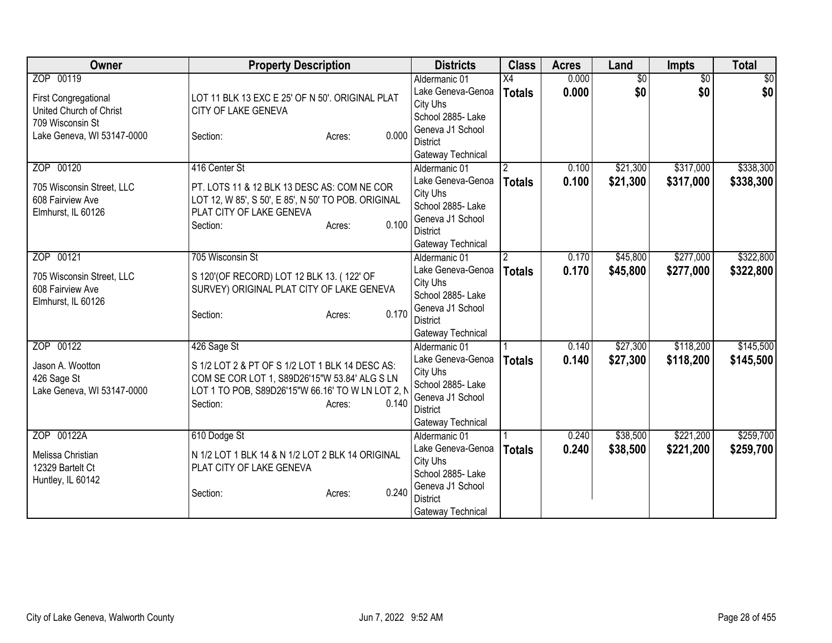| <b>Owner</b>                                                                                                          | <b>Property Description</b>                                                                                                                                                                         | <b>Districts</b>                                                                                                                | <b>Class</b>                    | <b>Acres</b>   | Land                   | Impts                  | <b>Total</b>           |
|-----------------------------------------------------------------------------------------------------------------------|-----------------------------------------------------------------------------------------------------------------------------------------------------------------------------------------------------|---------------------------------------------------------------------------------------------------------------------------------|---------------------------------|----------------|------------------------|------------------------|------------------------|
| ZOP 00119<br><b>First Congregational</b><br>United Church of Christ<br>709 Wisconsin St<br>Lake Geneva, WI 53147-0000 | LOT 11 BLK 13 EXC E 25' OF N 50'. ORIGINAL PLAT<br>CITY OF LAKE GENEVA<br>0.000<br>Section:<br>Acres:                                                                                               | Aldermanic 01<br>Lake Geneva-Genoa<br>City Uhs<br>School 2885-Lake<br>Geneva J1 School<br><b>District</b><br>Gateway Technical  | X4<br><b>Totals</b>             | 0.000<br>0.000 | $\overline{50}$<br>\$0 | $\overline{50}$<br>\$0 | $\overline{50}$<br>\$0 |
| ZOP 00120<br>705 Wisconsin Street, LLC<br>608 Fairview Ave<br>Elmhurst, IL 60126                                      | 416 Center St<br>PT. LOTS 11 & 12 BLK 13 DESC AS: COM NE COR<br>LOT 12, W 85', S 50', E 85', N 50' TO POB. ORIGINAL<br>PLAT CITY OF LAKE GENEVA<br>0.100<br>Section:<br>Acres:                      | Aldermanic 01<br>Lake Geneva-Genoa<br>City Uhs<br>School 2885- Lake<br>Geneva J1 School<br><b>District</b><br>Gateway Technical | $\overline{2}$<br><b>Totals</b> | 0.100<br>0.100 | \$21,300<br>\$21,300   | \$317,000<br>\$317,000 | \$338,300<br>\$338,300 |
| ZOP 00121<br>705 Wisconsin Street, LLC<br>608 Fairview Ave<br>Elmhurst, IL 60126                                      | 705 Wisconsin St<br>S 120'(OF RECORD) LOT 12 BLK 13. (122' OF<br>SURVEY) ORIGINAL PLAT CITY OF LAKE GENEVA<br>0.170<br>Section:<br>Acres:                                                           | Aldermanic 01<br>Lake Geneva-Genoa<br>City Uhs<br>School 2885- Lake<br>Geneva J1 School<br><b>District</b><br>Gateway Technical | 2<br><b>Totals</b>              | 0.170<br>0.170 | \$45,800<br>\$45,800   | \$277,000<br>\$277,000 | \$322,800<br>\$322,800 |
| ZOP 00122<br>Jason A. Wootton<br>426 Sage St<br>Lake Geneva, WI 53147-0000                                            | 426 Sage St<br>S 1/2 LOT 2 & PT OF S 1/2 LOT 1 BLK 14 DESC AS:<br>COM SE COR LOT 1, S89D26'15"W 53.84' ALG S LN<br>LOT 1 TO POB, S89D26'15"W 66.16' TO W LN LOT 2, N<br>0.140<br>Section:<br>Acres: | Aldermanic 01<br>Lake Geneva-Genoa<br>City Uhs<br>School 2885- Lake<br>Geneva J1 School<br><b>District</b><br>Gateway Technical | <b>Totals</b>                   | 0.140<br>0.140 | \$27,300<br>\$27,300   | \$118,200<br>\$118,200 | \$145,500<br>\$145,500 |
| ZOP 00122A<br>Melissa Christian<br>12329 Bartelt Ct<br>Huntley, IL 60142                                              | 610 Dodge St<br>N 1/2 LOT 1 BLK 14 & N 1/2 LOT 2 BLK 14 ORIGINAL<br>PLAT CITY OF LAKE GENEVA<br>0.240<br>Section:<br>Acres:                                                                         | Aldermanic 01<br>Lake Geneva-Genoa<br>City Uhs<br>School 2885- Lake<br>Geneva J1 School<br><b>District</b><br>Gateway Technical | <b>Totals</b>                   | 0.240<br>0.240 | \$38,500<br>\$38,500   | \$221,200<br>\$221,200 | \$259,700<br>\$259,700 |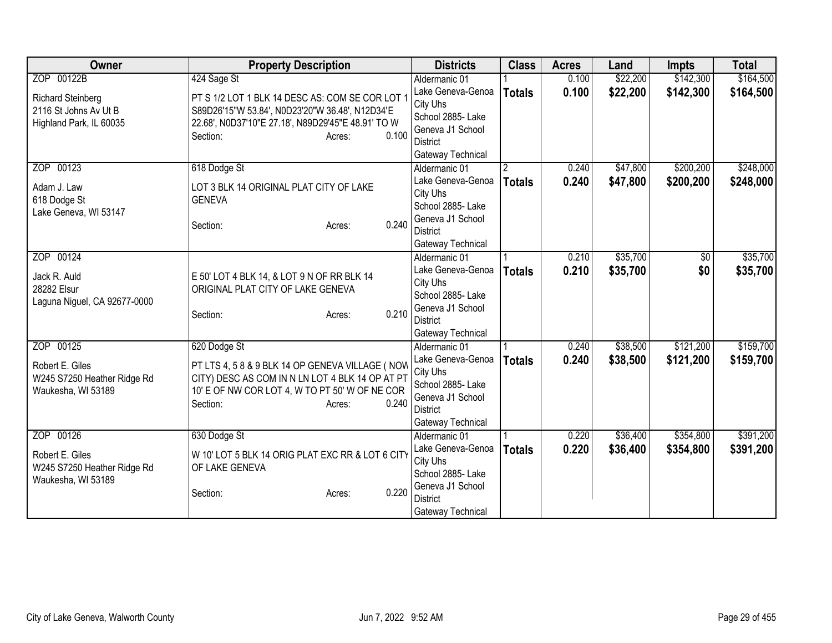| <b>Owner</b>                 | <b>Property Description</b>                        | <b>Districts</b>                     | <b>Class</b>  | <b>Acres</b> | Land     | <b>Impts</b> | <b>Total</b> |
|------------------------------|----------------------------------------------------|--------------------------------------|---------------|--------------|----------|--------------|--------------|
| ZOP 00122B                   | 424 Sage St                                        | Aldermanic 01                        |               | 0.100        | \$22,200 | \$142,300    | \$164,500    |
| <b>Richard Steinberg</b>     | PT S 1/2 LOT 1 BLK 14 DESC AS: COM SE COR LOT 1    | Lake Geneva-Genoa                    | <b>Totals</b> | 0.100        | \$22,200 | \$142,300    | \$164,500    |
| 2116 St Johns Av Ut B        | S89D26'15"W 53.84', N0D23'20"W 36.48', N12D34'E    | City Uhs                             |               |              |          |              |              |
| Highland Park, IL 60035      | 22.68', N0D37'10"E 27.18', N89D29'45"E 48.91' TO W | School 2885- Lake                    |               |              |          |              |              |
|                              | 0.100<br>Section:<br>Acres:                        | Geneva J1 School                     |               |              |          |              |              |
|                              |                                                    | <b>District</b>                      |               |              |          |              |              |
| ZOP 00123                    |                                                    | Gateway Technical                    |               |              | \$47,800 | \$200,200    | \$248,000    |
|                              | 618 Dodge St                                       | Aldermanic 01<br>Lake Geneva-Genoa   | 2             | 0.240        |          |              |              |
| Adam J. Law                  | LOT 3 BLK 14 ORIGINAL PLAT CITY OF LAKE            | City Uhs                             | <b>Totals</b> | 0.240        | \$47,800 | \$200,200    | \$248,000    |
| 618 Dodge St                 | <b>GENEVA</b>                                      | School 2885- Lake                    |               |              |          |              |              |
| Lake Geneva, WI 53147        |                                                    | Geneva J1 School                     |               |              |          |              |              |
|                              | 0.240<br>Section:<br>Acres:                        | <b>District</b>                      |               |              |          |              |              |
|                              |                                                    | Gateway Technical                    |               |              |          |              |              |
| ZOP 00124                    |                                                    | Aldermanic 01                        |               | 0.210        | \$35,700 | \$0          | \$35,700     |
|                              |                                                    | Lake Geneva-Genoa                    | <b>Totals</b> | 0.210        | \$35,700 | \$0          | \$35,700     |
| Jack R. Auld                 | E 50' LOT 4 BLK 14, & LOT 9 N OF RR BLK 14         | City Uhs                             |               |              |          |              |              |
| 28282 Elsur                  | ORIGINAL PLAT CITY OF LAKE GENEVA                  | School 2885-Lake                     |               |              |          |              |              |
| Laguna Niguel, CA 92677-0000 | 0.210<br>Section:                                  | Geneva J1 School                     |               |              |          |              |              |
|                              | Acres:                                             | <b>District</b>                      |               |              |          |              |              |
|                              |                                                    | Gateway Technical                    |               |              |          |              |              |
| ZOP 00125                    | 620 Dodge St                                       | Aldermanic 01                        |               | 0.240        | \$38,500 | \$121,200    | \$159,700    |
| Robert E. Giles              | PT LTS 4, 5 8 & 9 BLK 14 OP GENEVA VILLAGE ( NOW   | Lake Geneva-Genoa                    | <b>Totals</b> | 0.240        | \$38,500 | \$121,200    | \$159,700    |
| W245 S7250 Heather Ridge Rd  | CITY) DESC AS COM IN N LN LOT 4 BLK 14 OP AT PT    | City Uhs                             |               |              |          |              |              |
| Waukesha, WI 53189           | 10' E OF NW COR LOT 4, W TO PT 50' W OF NE COR     | School 2885- Lake                    |               |              |          |              |              |
|                              | 0.240<br>Section:<br>Acres:                        | Geneva J1 School                     |               |              |          |              |              |
|                              |                                                    | <b>District</b><br>Gateway Technical |               |              |          |              |              |
| ZOP 00126                    | 630 Dodge St                                       | Aldermanic 01                        |               | 0.220        | \$36,400 | \$354,800    | \$391,200    |
|                              |                                                    | Lake Geneva-Genoa                    | <b>Totals</b> | 0.220        | \$36,400 | \$354,800    | \$391,200    |
| Robert E. Giles              | W 10' LOT 5 BLK 14 ORIG PLAT EXC RR & LOT 6 CITY   | City Uhs                             |               |              |          |              |              |
| W245 S7250 Heather Ridge Rd  | OF LAKE GENEVA                                     | School 2885- Lake                    |               |              |          |              |              |
| Waukesha, WI 53189           |                                                    | Geneva J1 School                     |               |              |          |              |              |
|                              | 0.220<br>Section:<br>Acres:                        | <b>District</b>                      |               |              |          |              |              |
|                              |                                                    | Gateway Technical                    |               |              |          |              |              |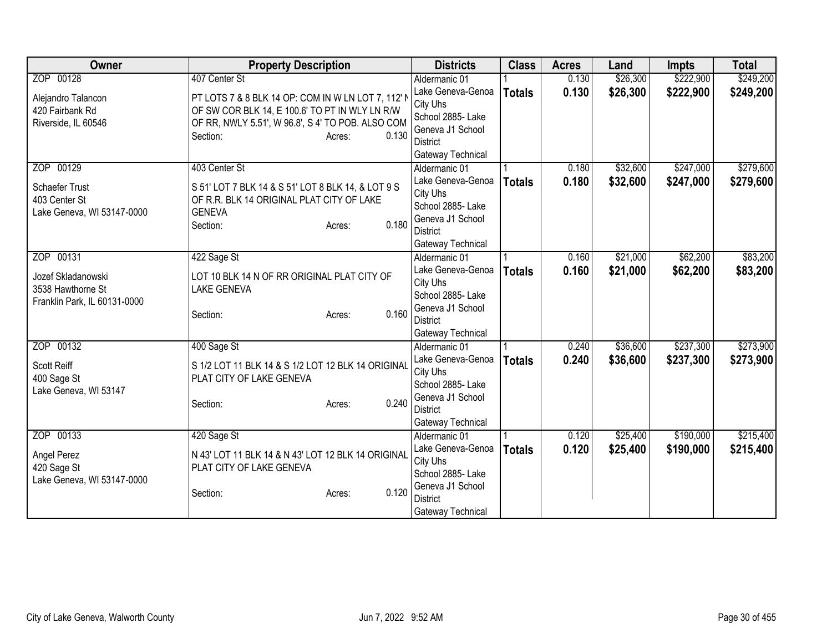| Owner                                | <b>Property Description</b>                                                    |       | <b>Districts</b>                    | <b>Class</b>  | <b>Acres</b> | Land     | <b>Impts</b> | <b>Total</b> |
|--------------------------------------|--------------------------------------------------------------------------------|-------|-------------------------------------|---------------|--------------|----------|--------------|--------------|
| ZOP 00128                            | 407 Center St                                                                  |       | Aldermanic 01                       |               | 0.130        | \$26,300 | \$222,900    | \$249,200    |
| Alejandro Talancon                   | PT LOTS 7 & 8 BLK 14 OP: COM IN W LN LOT 7, 112' N                             |       | Lake Geneva-Genoa                   | <b>Totals</b> | 0.130        | \$26,300 | \$222,900    | \$249,200    |
| 420 Fairbank Rd                      | OF SW COR BLK 14, E 100.6' TO PT IN WLY LN R/W                                 |       | City Uhs                            |               |              |          |              |              |
| Riverside, IL 60546                  | OF RR, NWLY 5.51', W 96.8', S 4' TO POB. ALSO COM                              |       | School 2885- Lake                   |               |              |          |              |              |
|                                      | Section:<br>Acres:                                                             | 0.130 | Geneva J1 School                    |               |              |          |              |              |
|                                      |                                                                                |       | District                            |               |              |          |              |              |
|                                      |                                                                                |       | Gateway Technical                   |               |              |          |              |              |
| ZOP 00129                            | 403 Center St                                                                  |       | Aldermanic 01                       |               | 0.180        | \$32,600 | \$247,000    | \$279,600    |
| Schaefer Trust                       | S 51' LOT 7 BLK 14 & S 51' LOT 8 BLK 14, & LOT 9 S                             |       | Lake Geneva-Genoa                   | <b>Totals</b> | 0.180        | \$32,600 | \$247,000    | \$279,600    |
| 403 Center St                        | OF R.R. BLK 14 ORIGINAL PLAT CITY OF LAKE                                      |       | City Uhs                            |               |              |          |              |              |
| Lake Geneva, WI 53147-0000           | <b>GENEVA</b>                                                                  |       | School 2885- Lake                   |               |              |          |              |              |
|                                      | Section:<br>Acres:                                                             | 0.180 | Geneva J1 School<br><b>District</b> |               |              |          |              |              |
|                                      |                                                                                |       |                                     |               |              |          |              |              |
| ZOP 00131                            | 422 Sage St                                                                    |       | Gateway Technical<br>Aldermanic 01  |               | 0.160        | \$21,000 | \$62,200     | \$83,200     |
|                                      |                                                                                |       | Lake Geneva-Genoa                   |               |              |          |              |              |
| Jozef Skladanowski                   | LOT 10 BLK 14 N OF RR ORIGINAL PLAT CITY OF                                    |       | City Uhs                            | <b>Totals</b> | 0.160        | \$21,000 | \$62,200     | \$83,200     |
| 3538 Hawthorne St                    | <b>LAKE GENEVA</b>                                                             |       | School 2885- Lake                   |               |              |          |              |              |
| Franklin Park, IL 60131-0000         |                                                                                |       | Geneva J1 School                    |               |              |          |              |              |
|                                      | Section:<br>Acres:                                                             | 0.160 | <b>District</b>                     |               |              |          |              |              |
|                                      |                                                                                |       | Gateway Technical                   |               |              |          |              |              |
| ZOP 00132                            | 400 Sage St                                                                    |       | Aldermanic 01                       |               | 0.240        | \$36,600 | \$237,300    | \$273,900    |
|                                      |                                                                                |       | Lake Geneva-Genoa                   | <b>Totals</b> | 0.240        | \$36,600 | \$237,300    | \$273,900    |
| Scott Reiff                          | S 1/2 LOT 11 BLK 14 & S 1/2 LOT 12 BLK 14 ORIGINAL<br>PLAT CITY OF LAKE GENEVA |       | City Uhs                            |               |              |          |              |              |
| 400 Sage St<br>Lake Geneva, WI 53147 |                                                                                |       | School 2885- Lake                   |               |              |          |              |              |
|                                      | Section:<br>Acres:                                                             | 0.240 | Geneva J1 School                    |               |              |          |              |              |
|                                      |                                                                                |       | <b>District</b>                     |               |              |          |              |              |
|                                      |                                                                                |       | Gateway Technical                   |               |              |          |              |              |
| ZOP 00133                            | 420 Sage St                                                                    |       | Aldermanic 01                       |               | 0.120        | \$25,400 | \$190,000    | \$215,400    |
| Angel Perez                          | N 43' LOT 11 BLK 14 & N 43' LOT 12 BLK 14 ORIGINAL                             |       | Lake Geneva-Genoa                   | <b>Totals</b> | 0.120        | \$25,400 | \$190,000    | \$215,400    |
| 420 Sage St                          | PLAT CITY OF LAKE GENEVA                                                       |       | City Uhs                            |               |              |          |              |              |
| Lake Geneva, WI 53147-0000           |                                                                                |       | School 2885- Lake                   |               |              |          |              |              |
|                                      | Section:<br>Acres:                                                             | 0.120 | Geneva J1 School                    |               |              |          |              |              |
|                                      |                                                                                |       | <b>District</b>                     |               |              |          |              |              |
|                                      |                                                                                |       | Gateway Technical                   |               |              |          |              |              |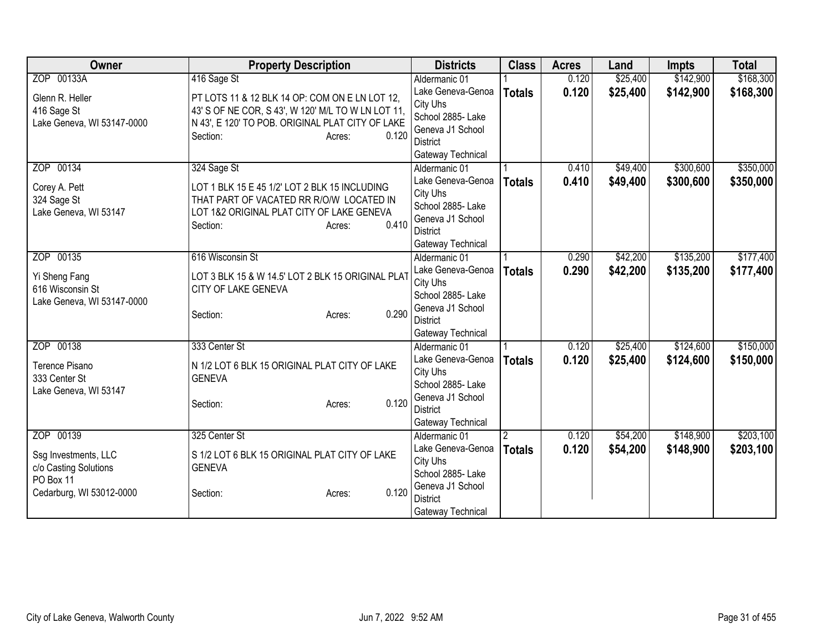| Owner                      | <b>Property Description</b>                        | <b>Districts</b>                    | <b>Class</b>  | <b>Acres</b> | Land     | <b>Impts</b> | <b>Total</b> |
|----------------------------|----------------------------------------------------|-------------------------------------|---------------|--------------|----------|--------------|--------------|
| ZOP 00133A                 | 416 Sage St                                        | Aldermanic 01                       |               | 0.120        | \$25,400 | \$142,900    | \$168,300    |
| Glenn R. Heller            | PT LOTS 11 & 12 BLK 14 OP: COM ON E LN LOT 12,     | Lake Geneva-Genoa                   | <b>Totals</b> | 0.120        | \$25,400 | \$142,900    | \$168,300    |
| 416 Sage St                | 43' S OF NE COR, S 43', W 120' M/L TO W LN LOT 11, | City Uhs                            |               |              |          |              |              |
| Lake Geneva, WI 53147-0000 | N 43', E 120' TO POB. ORIGINAL PLAT CITY OF LAKE   | School 2885- Lake                   |               |              |          |              |              |
|                            | 0.120<br>Section:<br>Acres:                        | Geneva J1 School                    |               |              |          |              |              |
|                            |                                                    | District                            |               |              |          |              |              |
|                            |                                                    | Gateway Technical                   |               |              |          |              |              |
| ZOP 00134                  | 324 Sage St                                        | Aldermanic 01                       |               | 0.410        | \$49,400 | \$300,600    | \$350,000    |
| Corey A. Pett              | LOT 1 BLK 15 E 45 1/2' LOT 2 BLK 15 INCLUDING      | Lake Geneva-Genoa<br>City Uhs       | <b>Totals</b> | 0.410        | \$49,400 | \$300,600    | \$350,000    |
| 324 Sage St                | THAT PART OF VACATED RR R/O/W LOCATED IN           | School 2885- Lake                   |               |              |          |              |              |
| Lake Geneva, WI 53147      | LOT 1&2 ORIGINAL PLAT CITY OF LAKE GENEVA          | Geneva J1 School                    |               |              |          |              |              |
|                            | 0.410<br>Section:<br>Acres:                        | <b>District</b>                     |               |              |          |              |              |
|                            |                                                    | Gateway Technical                   |               |              |          |              |              |
| ZOP 00135                  | 616 Wisconsin St                                   | Aldermanic 01                       |               | 0.290        | \$42,200 | \$135,200    | \$177,400    |
|                            |                                                    | Lake Geneva-Genoa                   | <b>Totals</b> | 0.290        | \$42,200 | \$135,200    | \$177,400    |
| Yi Sheng Fang              | LOT 3 BLK 15 & W 14.5' LOT 2 BLK 15 ORIGINAL PLAT  | City Uhs                            |               |              |          |              |              |
| 616 Wisconsin St           | CITY OF LAKE GENEVA                                | School 2885- Lake                   |               |              |          |              |              |
| Lake Geneva, WI 53147-0000 | 0.290<br>Section:<br>Acres:                        | Geneva J1 School                    |               |              |          |              |              |
|                            |                                                    | <b>District</b>                     |               |              |          |              |              |
|                            |                                                    | Gateway Technical                   |               |              |          |              |              |
| ZOP 00138                  | 333 Center St                                      | Aldermanic 01                       |               | 0.120        | \$25,400 | \$124,600    | \$150,000    |
| Terence Pisano             | N 1/2 LOT 6 BLK 15 ORIGINAL PLAT CITY OF LAKE      | Lake Geneva-Genoa                   | <b>Totals</b> | 0.120        | \$25,400 | \$124,600    | \$150,000    |
| 333 Center St              | <b>GENEVA</b>                                      | City Uhs                            |               |              |          |              |              |
| Lake Geneva, WI 53147      |                                                    | School 2885-Lake                    |               |              |          |              |              |
|                            | 0.120<br>Section:<br>Acres:                        | Geneva J1 School<br><b>District</b> |               |              |          |              |              |
|                            |                                                    | Gateway Technical                   |               |              |          |              |              |
| ZOP 00139                  | 325 Center St                                      | Aldermanic 01                       | 2             | 0.120        | \$54,200 | \$148,900    | \$203,100    |
|                            |                                                    | Lake Geneva-Genoa                   | <b>Totals</b> | 0.120        | \$54,200 | \$148,900    | \$203,100    |
| Ssg Investments, LLC       | S 1/2 LOT 6 BLK 15 ORIGINAL PLAT CITY OF LAKE      | City Uhs                            |               |              |          |              |              |
| c/o Casting Solutions      | <b>GENEVA</b>                                      | School 2885-Lake                    |               |              |          |              |              |
| PO Box 11                  |                                                    | Geneva J1 School                    |               |              |          |              |              |
| Cedarburg, WI 53012-0000   | 0.120<br>Section:<br>Acres:                        | <b>District</b>                     |               |              |          |              |              |
|                            |                                                    | Gateway Technical                   |               |              |          |              |              |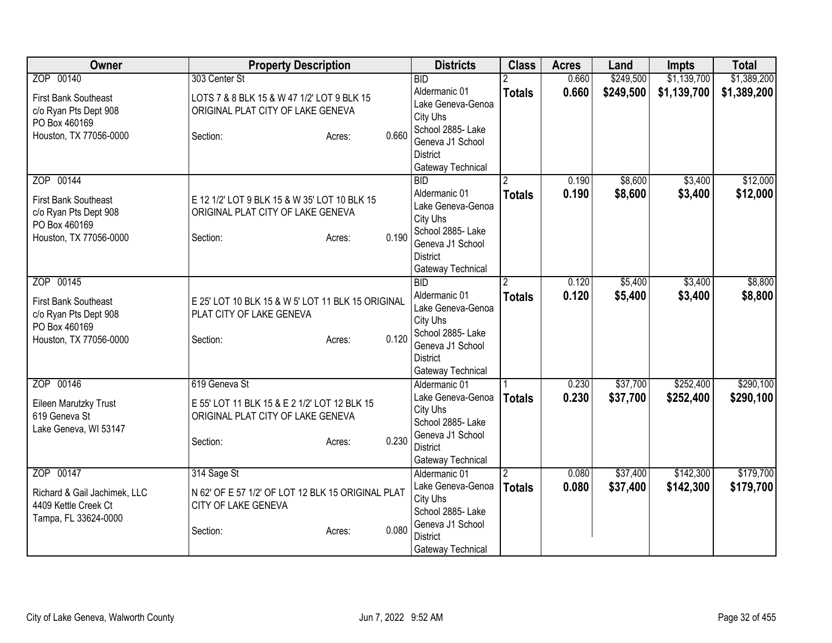| Owner                                        | <b>Property Description</b>                       |                 | <b>Districts</b>                    | <b>Class</b>  | <b>Acres</b> | Land      | Impts       | <b>Total</b> |
|----------------------------------------------|---------------------------------------------------|-----------------|-------------------------------------|---------------|--------------|-----------|-------------|--------------|
| ZOP 00140                                    | 303 Center St                                     |                 | <b>BID</b>                          |               | 0.660        | \$249,500 | \$1,139,700 | \$1,389,200  |
| <b>First Bank Southeast</b>                  | LOTS 7 & 8 BLK 15 & W 47 1/2' LOT 9 BLK 15        |                 | Aldermanic 01                       | <b>Totals</b> | 0.660        | \$249,500 | \$1,139,700 | \$1,389,200  |
| c/o Ryan Pts Dept 908                        | ORIGINAL PLAT CITY OF LAKE GENEVA                 |                 | Lake Geneva-Genoa                   |               |              |           |             |              |
| PO Box 460169                                |                                                   |                 | City Uhs                            |               |              |           |             |              |
| Houston, TX 77056-0000                       | Section:                                          | 0.660<br>Acres: | School 2885- Lake                   |               |              |           |             |              |
|                                              |                                                   |                 | Geneva J1 School<br><b>District</b> |               |              |           |             |              |
|                                              |                                                   |                 | Gateway Technical                   |               |              |           |             |              |
| ZOP 00144                                    |                                                   |                 | <b>BID</b>                          |               | 0.190        | \$8,600   | \$3,400     | \$12,000     |
|                                              |                                                   |                 | Aldermanic 01                       | <b>Totals</b> | 0.190        | \$8,600   | \$3,400     | \$12,000     |
| <b>First Bank Southeast</b>                  | E 12 1/2' LOT 9 BLK 15 & W 35' LOT 10 BLK 15      |                 | Lake Geneva-Genoa                   |               |              |           |             |              |
| c/o Ryan Pts Dept 908                        | ORIGINAL PLAT CITY OF LAKE GENEVA                 |                 | City Uhs                            |               |              |           |             |              |
| PO Box 460169                                |                                                   |                 | School 2885- Lake                   |               |              |           |             |              |
| Houston, TX 77056-0000                       | Section:                                          | 0.190<br>Acres: | Geneva J1 School                    |               |              |           |             |              |
|                                              |                                                   |                 | <b>District</b>                     |               |              |           |             |              |
|                                              |                                                   |                 | Gateway Technical                   |               |              |           |             |              |
| ZOP 00145                                    |                                                   |                 | BID                                 |               | 0.120        | \$5,400   | \$3,400     | \$8,800      |
| <b>First Bank Southeast</b>                  | E 25' LOT 10 BLK 15 & W 5' LOT 11 BLK 15 ORIGINAL |                 | Aldermanic 01                       | <b>Totals</b> | 0.120        | \$5,400   | \$3,400     | \$8,800      |
| c/o Ryan Pts Dept 908                        | PLAT CITY OF LAKE GENEVA                          |                 | Lake Geneva-Genoa                   |               |              |           |             |              |
| PO Box 460169                                |                                                   |                 | City Uhs                            |               |              |           |             |              |
| Houston, TX 77056-0000                       | Section:                                          | 0.120<br>Acres: | School 2885-Lake                    |               |              |           |             |              |
|                                              |                                                   |                 | Geneva J1 School                    |               |              |           |             |              |
|                                              |                                                   |                 | <b>District</b>                     |               |              |           |             |              |
|                                              |                                                   |                 | Gateway Technical                   |               |              |           |             |              |
| ZOP 00146                                    | 619 Geneva St                                     |                 | Aldermanic 01                       |               | 0.230        | \$37,700  | \$252,400   | \$290,100    |
| Eileen Marutzky Trust                        | E 55' LOT 11 BLK 15 & E 2 1/2' LOT 12 BLK 15      |                 | Lake Geneva-Genoa<br>City Uhs       | <b>Totals</b> | 0.230        | \$37,700  | \$252,400   | \$290,100    |
| 619 Geneva St                                | ORIGINAL PLAT CITY OF LAKE GENEVA                 |                 | School 2885- Lake                   |               |              |           |             |              |
| Lake Geneva, WI 53147                        |                                                   |                 | Geneva J1 School                    |               |              |           |             |              |
|                                              | Section:                                          | 0.230<br>Acres: | <b>District</b>                     |               |              |           |             |              |
|                                              |                                                   |                 | Gateway Technical                   |               |              |           |             |              |
| ZOP 00147                                    | 314 Sage St                                       |                 | Aldermanic 01                       | $\mathcal{P}$ | 0.080        | \$37,400  | \$142,300   | \$179,700    |
|                                              |                                                   |                 | Lake Geneva-Genoa                   | <b>Totals</b> | 0.080        | \$37,400  | \$142,300   | \$179,700    |
| Richard & Gail Jachimek, LLC                 | N 62' OF E 57 1/2' OF LOT 12 BLK 15 ORIGINAL PLAT |                 | City Uhs                            |               |              |           |             |              |
| 4409 Kettle Creek Ct<br>Tampa, FL 33624-0000 | CITY OF LAKE GENEVA                               |                 | School 2885- Lake                   |               |              |           |             |              |
|                                              | Section:                                          | 0.080<br>Acres: | Geneva J1 School                    |               |              |           |             |              |
|                                              |                                                   |                 | <b>District</b>                     |               |              |           |             |              |
|                                              |                                                   |                 | Gateway Technical                   |               |              |           |             |              |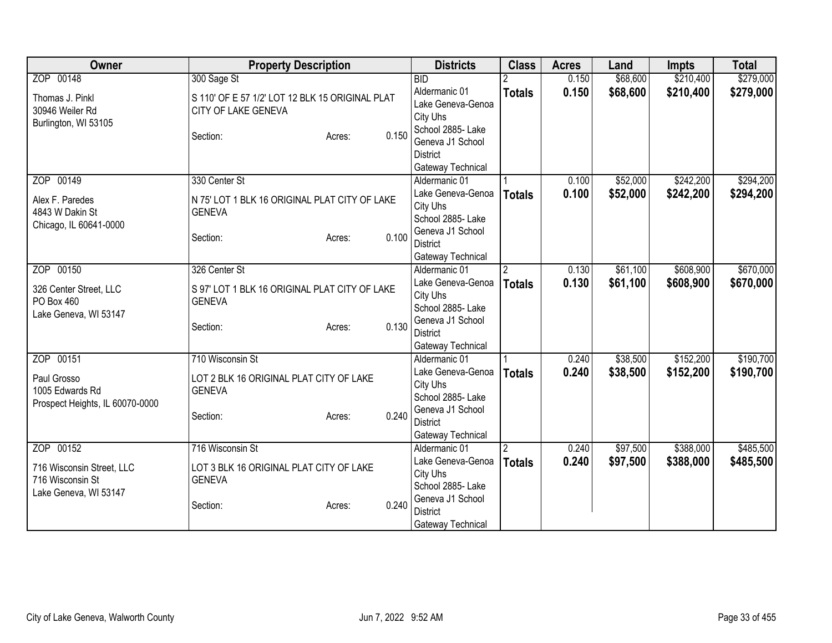| Owner                           | <b>Property Description</b>                     |                 | <b>Districts</b>              | <b>Class</b>  | <b>Acres</b> | Land     | <b>Impts</b> | <b>Total</b> |
|---------------------------------|-------------------------------------------------|-----------------|-------------------------------|---------------|--------------|----------|--------------|--------------|
| ZOP 00148                       | 300 Sage St                                     |                 | BID                           |               | 0.150        | \$68,600 | \$210,400    | \$279,000    |
| Thomas J. Pinkl                 | S 110' OF E 57 1/2' LOT 12 BLK 15 ORIGINAL PLAT |                 | Aldermanic 01                 | <b>Totals</b> | 0.150        | \$68,600 | \$210,400    | \$279,000    |
| 30946 Weiler Rd                 | CITY OF LAKE GENEVA                             |                 | Lake Geneva-Genoa             |               |              |          |              |              |
| Burlington, WI 53105            |                                                 |                 | City Uhs                      |               |              |          |              |              |
|                                 | Section:                                        | 0.150<br>Acres: | School 2885-Lake              |               |              |          |              |              |
|                                 |                                                 |                 | Geneva J1 School              |               |              |          |              |              |
|                                 |                                                 |                 | <b>District</b>               |               |              |          |              |              |
|                                 |                                                 |                 | Gateway Technical             |               |              |          |              |              |
| ZOP 00149                       | 330 Center St                                   |                 | Aldermanic 01                 |               | 0.100        | \$52,000 | \$242,200    | \$294,200    |
| Alex F. Paredes                 | N 75' LOT 1 BLK 16 ORIGINAL PLAT CITY OF LAKE   |                 | Lake Geneva-Genoa             | <b>Totals</b> | 0.100        | \$52,000 | \$242,200    | \$294,200    |
| 4843 W Dakin St                 | <b>GENEVA</b>                                   |                 | City Uhs                      |               |              |          |              |              |
| Chicago, IL 60641-0000          |                                                 |                 | School 2885- Lake             |               |              |          |              |              |
|                                 | Section:                                        | 0.100<br>Acres: | Geneva J1 School              |               |              |          |              |              |
|                                 |                                                 |                 | <b>District</b>               |               |              |          |              |              |
|                                 |                                                 |                 | Gateway Technical             |               |              |          |              |              |
| ZOP 00150                       | 326 Center St                                   |                 | Aldermanic 01                 |               | 0.130        | \$61,100 | \$608,900    | \$670,000    |
| 326 Center Street, LLC          | S 97' LOT 1 BLK 16 ORIGINAL PLAT CITY OF LAKE   |                 | Lake Geneva-Genoa             | <b>Totals</b> | 0.130        | \$61,100 | \$608,900    | \$670,000    |
| PO Box 460                      | <b>GENEVA</b>                                   |                 | City Uhs                      |               |              |          |              |              |
| Lake Geneva, WI 53147           |                                                 |                 | School 2885- Lake             |               |              |          |              |              |
|                                 | Section:                                        | 0.130<br>Acres: | Geneva J1 School              |               |              |          |              |              |
|                                 |                                                 |                 | <b>District</b>               |               |              |          |              |              |
|                                 |                                                 |                 | Gateway Technical             |               |              |          |              |              |
| ZOP 00151                       | 710 Wisconsin St                                |                 | Aldermanic 01                 |               | 0.240        | \$38,500 | \$152,200    | \$190,700    |
| Paul Grosso                     | LOT 2 BLK 16 ORIGINAL PLAT CITY OF LAKE         |                 | Lake Geneva-Genoa             | <b>Totals</b> | 0.240        | \$38,500 | \$152,200    | \$190,700    |
| 1005 Edwards Rd                 | <b>GENEVA</b>                                   |                 | City Uhs<br>School 2885- Lake |               |              |          |              |              |
| Prospect Heights, IL 60070-0000 |                                                 |                 | Geneva J1 School              |               |              |          |              |              |
|                                 | Section:                                        | 0.240<br>Acres: | <b>District</b>               |               |              |          |              |              |
|                                 |                                                 |                 | Gateway Technical             |               |              |          |              |              |
| ZOP 00152                       | 716 Wisconsin St                                |                 | Aldermanic 01                 |               | 0.240        | \$97,500 | \$388,000    | \$485,500    |
|                                 |                                                 |                 | Lake Geneva-Genoa             |               |              |          |              |              |
| 716 Wisconsin Street, LLC       | LOT 3 BLK 16 ORIGINAL PLAT CITY OF LAKE         |                 | City Uhs                      | <b>Totals</b> | 0.240        | \$97,500 | \$388,000    | \$485,500    |
| 716 Wisconsin St                | <b>GENEVA</b>                                   |                 | School 2885- Lake             |               |              |          |              |              |
| Lake Geneva, WI 53147           |                                                 |                 | Geneva J1 School              |               |              |          |              |              |
|                                 | Section:                                        | 0.240<br>Acres: | <b>District</b>               |               |              |          |              |              |
|                                 |                                                 |                 | Gateway Technical             |               |              |          |              |              |
|                                 |                                                 |                 |                               |               |              |          |              |              |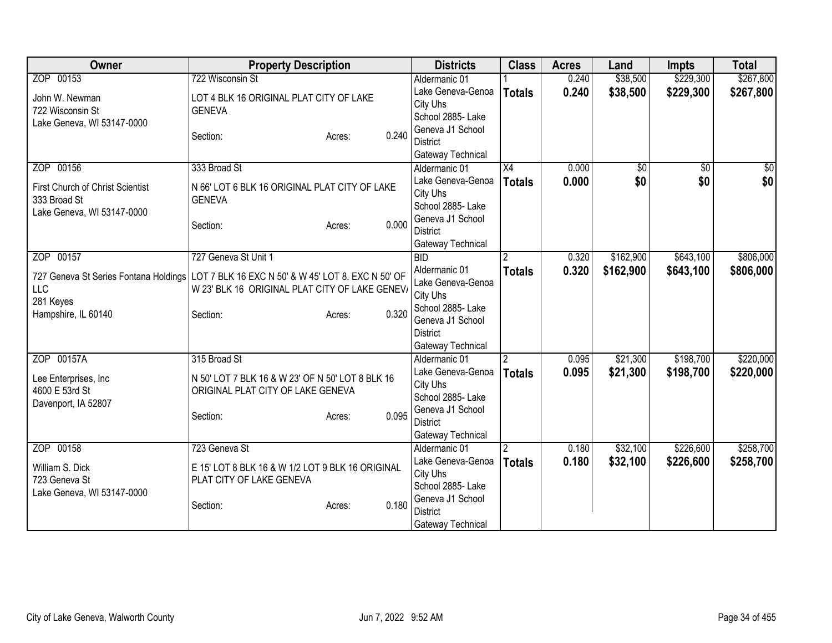| <b>Owner</b>                          | <b>Property Description</b>                        |                 | <b>Districts</b>                   | <b>Class</b>    | <b>Acres</b> | Land            | <b>Impts</b>    | <b>Total</b>  |
|---------------------------------------|----------------------------------------------------|-----------------|------------------------------------|-----------------|--------------|-----------------|-----------------|---------------|
| ZOP 00153                             | 722 Wisconsin St                                   |                 | Aldermanic 01                      |                 | 0.240        | \$38,500        | \$229,300       | \$267,800     |
| John W. Newman                        | LOT 4 BLK 16 ORIGINAL PLAT CITY OF LAKE            |                 | Lake Geneva-Genoa                  | <b>Totals</b>   | 0.240        | \$38,500        | \$229,300       | \$267,800     |
| 722 Wisconsin St                      | <b>GENEVA</b>                                      |                 | City Uhs                           |                 |              |                 |                 |               |
| Lake Geneva, WI 53147-0000            |                                                    |                 | School 2885- Lake                  |                 |              |                 |                 |               |
|                                       | Section:                                           | 0.240<br>Acres: | Geneva J1 School                   |                 |              |                 |                 |               |
|                                       |                                                    |                 | <b>District</b>                    |                 |              |                 |                 |               |
|                                       |                                                    |                 | Gateway Technical                  |                 |              |                 |                 |               |
| ZOP 00156                             | 333 Broad St                                       |                 | Aldermanic 01                      | $\overline{X4}$ | 0.000        | $\overline{50}$ | $\overline{30}$ | $\frac{1}{6}$ |
| First Church of Christ Scientist      | N 66' LOT 6 BLK 16 ORIGINAL PLAT CITY OF LAKE      |                 | Lake Geneva-Genoa                  | <b>Totals</b>   | 0.000        | \$0             | \$0             | \$0           |
| 333 Broad St                          | <b>GENEVA</b>                                      |                 | City Uhs                           |                 |              |                 |                 |               |
| Lake Geneva, WI 53147-0000            |                                                    |                 | School 2885- Lake                  |                 |              |                 |                 |               |
|                                       | Section:                                           | 0.000<br>Acres: | Geneva J1 School                   |                 |              |                 |                 |               |
|                                       |                                                    |                 | <b>District</b>                    |                 |              |                 |                 |               |
|                                       |                                                    |                 | Gateway Technical                  |                 |              |                 |                 |               |
| ZOP 00157                             | 727 Geneva St Unit 1                               |                 | $\overline{BID}$                   |                 | 0.320        | \$162,900       | \$643,100       | \$806,000     |
| 727 Geneva St Series Fontana Holdings | LOT 7 BLK 16 EXC N 50' & W 45' LOT 8. EXC N 50' OF |                 | Aldermanic 01                      | <b>Totals</b>   | 0.320        | \$162,900       | \$643,100       | \$806,000     |
| <b>LLC</b>                            | W 23' BLK 16 ORIGINAL PLAT CITY OF LAKE GENEV/     |                 | Lake Geneva-Genoa                  |                 |              |                 |                 |               |
| 281 Keyes                             |                                                    |                 | City Uhs                           |                 |              |                 |                 |               |
| Hampshire, IL 60140                   | Section:                                           | 0.320<br>Acres: | School 2885- Lake                  |                 |              |                 |                 |               |
|                                       |                                                    |                 | Geneva J1 School                   |                 |              |                 |                 |               |
|                                       |                                                    |                 | <b>District</b>                    |                 |              |                 |                 |               |
| ZOP 00157A                            | 315 Broad St                                       |                 | Gateway Technical<br>Aldermanic 01 |                 | 0.095        | \$21,300        | \$198,700       | \$220,000     |
|                                       |                                                    |                 | Lake Geneva-Genoa                  |                 |              |                 |                 |               |
| Lee Enterprises, Inc                  | N 50' LOT 7 BLK 16 & W 23' OF N 50' LOT 8 BLK 16   |                 | City Uhs                           | <b>Totals</b>   | 0.095        | \$21,300        | \$198,700       | \$220,000     |
| 4600 E 53rd St                        | ORIGINAL PLAT CITY OF LAKE GENEVA                  |                 | School 2885- Lake                  |                 |              |                 |                 |               |
| Davenport, IA 52807                   |                                                    |                 | Geneva J1 School                   |                 |              |                 |                 |               |
|                                       | Section:                                           | 0.095<br>Acres: | <b>District</b>                    |                 |              |                 |                 |               |
|                                       |                                                    |                 | Gateway Technical                  |                 |              |                 |                 |               |
| ZOP 00158                             | 723 Geneva St                                      |                 | Aldermanic 01                      |                 | 0.180        | \$32,100        | \$226,600       | \$258,700     |
|                                       |                                                    |                 | Lake Geneva-Genoa                  | <b>Totals</b>   | 0.180        | \$32,100        | \$226,600       | \$258,700     |
| William S. Dick                       | E 15' LOT 8 BLK 16 & W 1/2 LOT 9 BLK 16 ORIGINAL   |                 | City Uhs                           |                 |              |                 |                 |               |
| 723 Geneva St                         | PLAT CITY OF LAKE GENEVA                           |                 | School 2885- Lake                  |                 |              |                 |                 |               |
| Lake Geneva, WI 53147-0000            |                                                    |                 | Geneva J1 School                   |                 |              |                 |                 |               |
|                                       | Section:                                           | 0.180<br>Acres: | <b>District</b>                    |                 |              |                 |                 |               |
|                                       |                                                    |                 | Gateway Technical                  |                 |              |                 |                 |               |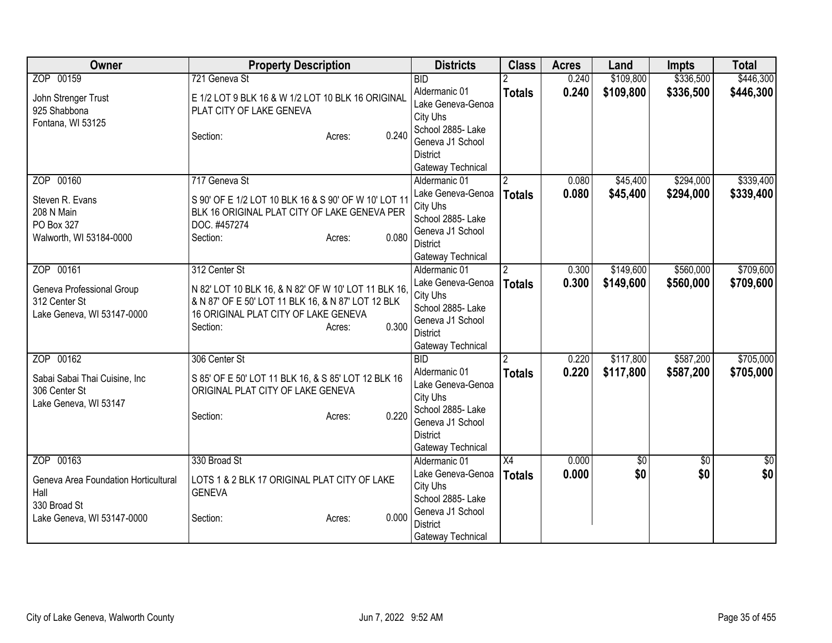| Owner                                | <b>Property Description</b>                          | <b>Districts</b>                   | <b>Class</b>   | <b>Acres</b> | Land        | <b>Impts</b>    | <b>Total</b>    |
|--------------------------------------|------------------------------------------------------|------------------------------------|----------------|--------------|-------------|-----------------|-----------------|
| ZOP 00159                            | 721 Geneva St                                        | <b>BID</b>                         |                | 0.240        | \$109,800   | \$336,500       | \$446,300       |
| John Strenger Trust                  | E 1/2 LOT 9 BLK 16 & W 1/2 LOT 10 BLK 16 ORIGINAL    | Aldermanic 01                      | <b>Totals</b>  | 0.240        | \$109,800   | \$336,500       | \$446,300       |
| 925 Shabbona                         | PLAT CITY OF LAKE GENEVA                             | Lake Geneva-Genoa                  |                |              |             |                 |                 |
| Fontana, WI 53125                    |                                                      | City Uhs                           |                |              |             |                 |                 |
|                                      | 0.240<br>Section:<br>Acres:                          | School 2885- Lake                  |                |              |             |                 |                 |
|                                      |                                                      | Geneva J1 School                   |                |              |             |                 |                 |
|                                      |                                                      | <b>District</b>                    |                |              |             |                 |                 |
| ZOP 00160                            | 717 Geneva St                                        | Gateway Technical                  |                | 0.080        |             | \$294,000       | \$339,400       |
|                                      |                                                      | Aldermanic 01                      | $\overline{2}$ |              | \$45,400    |                 |                 |
| Steven R. Evans                      | S 90' OF E 1/2 LOT 10 BLK 16 & S 90' OF W 10' LOT 11 | Lake Geneva-Genoa<br>City Uhs      | <b>Totals</b>  | 0.080        | \$45,400    | \$294,000       | \$339,400       |
| 208 N Main                           | BLK 16 ORIGINAL PLAT CITY OF LAKE GENEVA PER         | School 2885- Lake                  |                |              |             |                 |                 |
| PO Box 327                           | DOC. #457274                                         | Geneva J1 School                   |                |              |             |                 |                 |
| Walworth, WI 53184-0000              | 0.080<br>Section:<br>Acres:                          | <b>District</b>                    |                |              |             |                 |                 |
|                                      |                                                      | Gateway Technical                  |                |              |             |                 |                 |
| ZOP 00161                            | 312 Center St                                        | Aldermanic 01                      | $\overline{2}$ | 0.300        | \$149,600   | \$560,000       | \$709,600       |
|                                      |                                                      | Lake Geneva-Genoa                  | <b>Totals</b>  | 0.300        | \$149,600   | \$560,000       | \$709,600       |
| Geneva Professional Group            | N 82' LOT 10 BLK 16, & N 82' OF W 10' LOT 11 BLK 16, | City Uhs                           |                |              |             |                 |                 |
| 312 Center St                        | & N 87' OF E 50' LOT 11 BLK 16, & N 87' LOT 12 BLK   | School 2885-Lake                   |                |              |             |                 |                 |
| Lake Geneva, WI 53147-0000           | 16 ORIGINAL PLAT CITY OF LAKE GENEVA<br>0.300        | Geneva J1 School                   |                |              |             |                 |                 |
|                                      | Section:<br>Acres:                                   | <b>District</b>                    |                |              |             |                 |                 |
|                                      |                                                      | Gateway Technical                  |                |              |             |                 |                 |
| ZOP 00162                            | 306 Center St                                        | <b>BID</b>                         | $\overline{2}$ | 0.220        | \$117,800   | \$587,200       | \$705,000       |
| Sabai Sabai Thai Cuisine, Inc        | S 85' OF E 50' LOT 11 BLK 16, & S 85' LOT 12 BLK 16  | Aldermanic 01                      | <b>Totals</b>  | 0.220        | \$117,800   | \$587,200       | \$705,000       |
| 306 Center St                        | ORIGINAL PLAT CITY OF LAKE GENEVA                    | Lake Geneva-Genoa                  |                |              |             |                 |                 |
| Lake Geneva, WI 53147                |                                                      | City Uhs                           |                |              |             |                 |                 |
|                                      | 0.220<br>Section:<br>Acres:                          | School 2885- Lake                  |                |              |             |                 |                 |
|                                      |                                                      | Geneva J1 School                   |                |              |             |                 |                 |
|                                      |                                                      | <b>District</b>                    |                |              |             |                 |                 |
| ZOP 00163                            | 330 Broad St                                         | Gateway Technical<br>Aldermanic 01 | X4             | 0.000        | $\sqrt{50}$ | $\overline{50}$ | $\overline{30}$ |
|                                      |                                                      | Lake Geneva-Genoa                  |                |              | \$0         |                 | \$0             |
| Geneva Area Foundation Horticultural | LOTS 1 & 2 BLK 17 ORIGINAL PLAT CITY OF LAKE         | City Uhs                           | <b>Totals</b>  | 0.000        |             | \$0             |                 |
| Hall                                 | <b>GENEVA</b>                                        | School 2885- Lake                  |                |              |             |                 |                 |
| 330 Broad St                         |                                                      | Geneva J1 School                   |                |              |             |                 |                 |
| Lake Geneva, WI 53147-0000           | 0.000<br>Section:<br>Acres:                          | <b>District</b>                    |                |              |             |                 |                 |
|                                      |                                                      | Gateway Technical                  |                |              |             |                 |                 |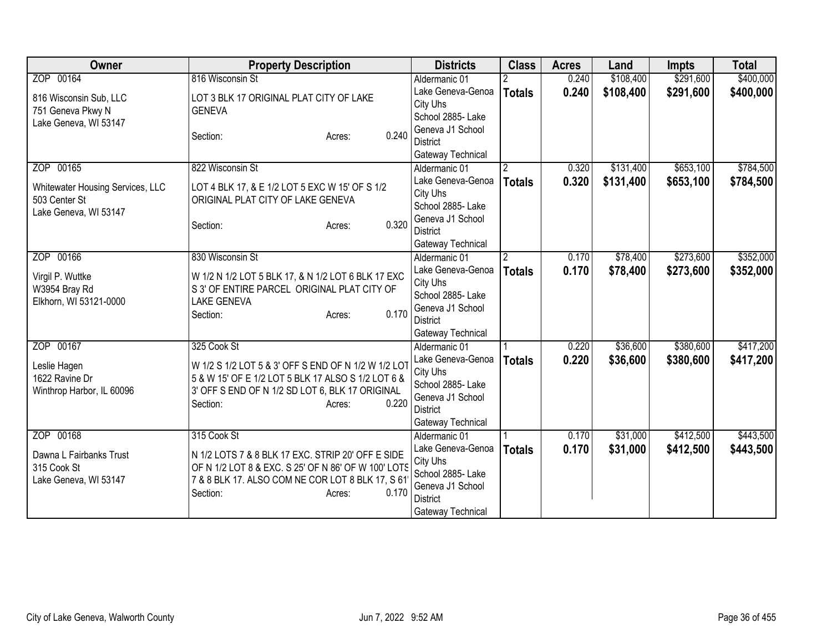| Owner                                                                      | <b>Property Description</b>                                                                                                                                                                 | <b>Districts</b>                                                                                               | <b>Class</b>   | <b>Acres</b> | Land      | <b>Impts</b> | <b>Total</b> |
|----------------------------------------------------------------------------|---------------------------------------------------------------------------------------------------------------------------------------------------------------------------------------------|----------------------------------------------------------------------------------------------------------------|----------------|--------------|-----------|--------------|--------------|
| ZOP 00164                                                                  | 816 Wisconsin St                                                                                                                                                                            | Aldermanic 01                                                                                                  |                | 0.240        | \$108,400 | \$291,600    | \$400,000    |
| 816 Wisconsin Sub, LLC<br>751 Geneva Pkwy N<br>Lake Geneva, WI 53147       | LOT 3 BLK 17 ORIGINAL PLAT CITY OF LAKE<br><b>GENEVA</b>                                                                                                                                    | Lake Geneva-Genoa<br>City Uhs<br>School 2885- Lake                                                             | <b>Totals</b>  | 0.240        | \$108,400 | \$291,600    | \$400,000    |
|                                                                            | 0.240<br>Section:<br>Acres:                                                                                                                                                                 | Geneva J1 School<br><b>District</b><br>Gateway Technical                                                       |                |              |           |              |              |
| ZOP 00165                                                                  | 822 Wisconsin St                                                                                                                                                                            | Aldermanic 01                                                                                                  | 2              | 0.320        | \$131,400 | \$653,100    | \$784,500    |
| Whitewater Housing Services, LLC<br>503 Center St<br>Lake Geneva, WI 53147 | LOT 4 BLK 17, & E 1/2 LOT 5 EXC W 15' OF S 1/2<br>ORIGINAL PLAT CITY OF LAKE GENEVA<br>0.320<br>Section:<br>Acres:                                                                          | Lake Geneva-Genoa<br>City Uhs<br>School 2885- Lake<br>Geneva J1 School<br><b>District</b><br>Gateway Technical | <b>Totals</b>  | 0.320        | \$131,400 | \$653,100    | \$784,500    |
| ZOP 00166                                                                  | 830 Wisconsin St                                                                                                                                                                            | Aldermanic 01                                                                                                  | $\overline{2}$ | 0.170        | \$78,400  | \$273,600    | \$352,000    |
| Virgil P. Wuttke<br>W3954 Bray Rd<br>Elkhorn, WI 53121-0000                | W 1/2 N 1/2 LOT 5 BLK 17, & N 1/2 LOT 6 BLK 17 EXC<br>S 3' OF ENTIRE PARCEL ORIGINAL PLAT CITY OF<br><b>LAKE GENEVA</b><br>0.170<br>Section:<br>Acres:                                      | Lake Geneva-Genoa<br>City Uhs<br>School 2885-Lake<br>Geneva J1 School<br><b>District</b><br>Gateway Technical  | <b>Totals</b>  | 0.170        | \$78,400  | \$273,600    | \$352,000    |
| ZOP 00167                                                                  | 325 Cook St                                                                                                                                                                                 | Aldermanic 01                                                                                                  |                | 0.220        | \$36,600  | \$380,600    | \$417,200    |
| Leslie Hagen<br>1622 Ravine Dr<br>Winthrop Harbor, IL 60096                | W 1/2 S 1/2 LOT 5 & 3' OFF S END OF N 1/2 W 1/2 LOT<br>5 & W 15' OF E 1/2 LOT 5 BLK 17 ALSO S 1/2 LOT 6 &<br>3' OFF S END OF N 1/2 SD LOT 6, BLK 17 ORIGINAL<br>0.220<br>Section:<br>Acres: | Lake Geneva-Genoa<br>City Uhs<br>School 2885- Lake<br>Geneva J1 School<br><b>District</b><br>Gateway Technical | <b>Totals</b>  | 0.220        | \$36,600  | \$380,600    | \$417,200    |
| ZOP 00168                                                                  | 315 Cook St                                                                                                                                                                                 | Aldermanic 01                                                                                                  |                | 0.170        | \$31,000  | \$412,500    | \$443,500    |
| Dawna L Fairbanks Trust<br>315 Cook St<br>Lake Geneva, WI 53147            | N 1/2 LOTS 7 & 8 BLK 17 EXC. STRIP 20' OFF E SIDE<br>OF N 1/2 LOT 8 & EXC. S 25' OF N 86' OF W 100' LOTS<br>7 & 8 BLK 17. ALSO COM NE COR LOT 8 BLK 17, S 61<br>0.170<br>Section:<br>Acres: | Lake Geneva-Genoa<br>City Uhs<br>School 2885- Lake<br>Geneva J1 School<br><b>District</b><br>Gateway Technical | <b>Totals</b>  | 0.170        | \$31,000  | \$412,500    | \$443,500    |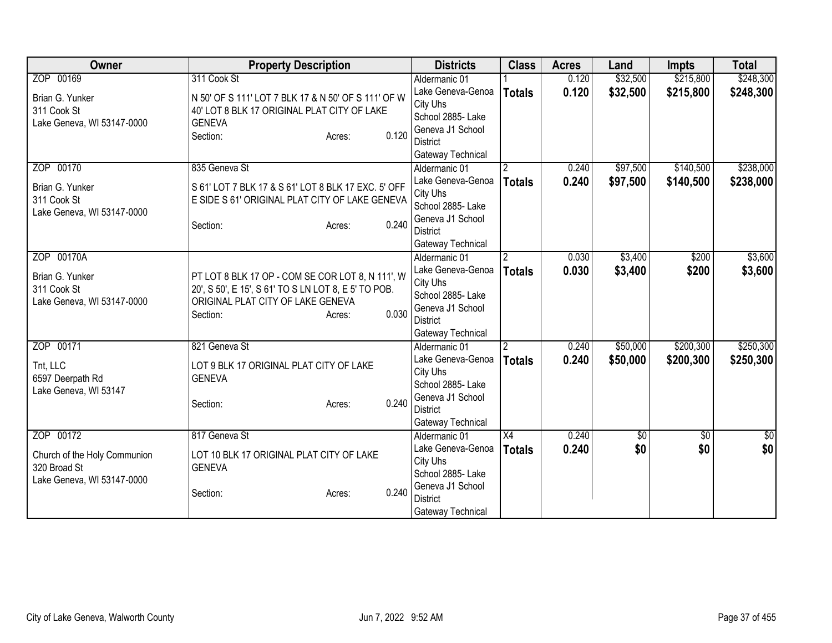| Owner                        | <b>Property Description</b>                              | <b>Districts</b>                    | <b>Class</b>    | <b>Acres</b> | Land        | <b>Impts</b> | <b>Total</b>  |
|------------------------------|----------------------------------------------------------|-------------------------------------|-----------------|--------------|-------------|--------------|---------------|
| ZOP 00169                    | 311 Cook St                                              | Aldermanic 01                       |                 | 0.120        | \$32,500    | \$215,800    | \$248,300     |
| Brian G. Yunker              | N 50' OF S 111' LOT 7 BLK 17 & N 50' OF S 111' OF W      | Lake Geneva-Genoa                   | <b>Totals</b>   | 0.120        | \$32,500    | \$215,800    | \$248,300     |
| 311 Cook St                  | 40' LOT 8 BLK 17 ORIGINAL PLAT CITY OF LAKE              | City Uhs                            |                 |              |             |              |               |
| Lake Geneva, WI 53147-0000   | <b>GENEVA</b>                                            | School 2885- Lake                   |                 |              |             |              |               |
|                              | 0.120<br>Section:<br>Acres:                              | Geneva J1 School                    |                 |              |             |              |               |
|                              |                                                          | <b>District</b>                     |                 |              |             |              |               |
|                              |                                                          | Gateway Technical                   |                 |              |             |              |               |
| ZOP 00170                    | 835 Geneva St                                            | Aldermanic 01                       |                 | 0.240        | \$97,500    | \$140,500    | \$238,000     |
| Brian G. Yunker              | S 61' LOT 7 BLK 17 & S 61' LOT 8 BLK 17 EXC. 5' OFF      | Lake Geneva-Genoa                   | <b>Totals</b>   | 0.240        | \$97,500    | \$140,500    | \$238,000     |
| 311 Cook St                  | E SIDE S 61' ORIGINAL PLAT CITY OF LAKE GENEVA           | City Uhs                            |                 |              |             |              |               |
| Lake Geneva, WI 53147-0000   |                                                          | School 2885- Lake                   |                 |              |             |              |               |
|                              | 0.240<br>Section:<br>Acres:                              | Geneva J1 School<br><b>District</b> |                 |              |             |              |               |
|                              |                                                          |                                     |                 |              |             |              |               |
| ZOP 00170A                   |                                                          | Gateway Technical<br>Aldermanic 01  | 12              | 0.030        | \$3,400     | \$200        | \$3,600       |
|                              |                                                          | Lake Geneva-Genoa                   |                 | 0.030        | \$3,400     | \$200        | \$3,600       |
| Brian G. Yunker              | PT LOT 8 BLK 17 OP - COM SE COR LOT 8, N 111', W         | City Uhs                            | <b>Totals</b>   |              |             |              |               |
| 311 Cook St                  | 20', S 50', E 15', S 61' TO S LN LOT 8, E 5' TO POB.     | School 2885- Lake                   |                 |              |             |              |               |
| Lake Geneva, WI 53147-0000   | ORIGINAL PLAT CITY OF LAKE GENEVA                        | Geneva J1 School                    |                 |              |             |              |               |
|                              | 0.030<br>Section:<br>Acres:                              | <b>District</b>                     |                 |              |             |              |               |
|                              |                                                          | Gateway Technical                   |                 |              |             |              |               |
| ZOP 00171                    | 821 Geneva St                                            | Aldermanic 01                       |                 | 0.240        | \$50,000    | \$200,300    | \$250,300     |
|                              |                                                          | Lake Geneva-Genoa                   | Totals          | 0.240        | \$50,000    | \$200,300    | \$250,300     |
| Tnt, LLC<br>6597 Deerpath Rd | LOT 9 BLK 17 ORIGINAL PLAT CITY OF LAKE<br><b>GENEVA</b> | City Uhs                            |                 |              |             |              |               |
| Lake Geneva, WI 53147        |                                                          | School 2885- Lake                   |                 |              |             |              |               |
|                              | 0.240<br>Section:<br>Acres:                              | Geneva J1 School                    |                 |              |             |              |               |
|                              |                                                          | <b>District</b>                     |                 |              |             |              |               |
|                              |                                                          | Gateway Technical                   |                 |              |             |              |               |
| ZOP 00172                    | 817 Geneva St                                            | Aldermanic 01                       | $\overline{X4}$ | 0.240        | $\sqrt{$0}$ | \$0          | $\frac{1}{6}$ |
| Church of the Holy Communion | LOT 10 BLK 17 ORIGINAL PLAT CITY OF LAKE                 | Lake Geneva-Genoa                   | <b>Totals</b>   | 0.240        | \$0         | \$0          | \$0           |
| 320 Broad St                 | <b>GENEVA</b>                                            | City Uhs                            |                 |              |             |              |               |
| Lake Geneva, WI 53147-0000   |                                                          | School 2885- Lake                   |                 |              |             |              |               |
|                              | 0.240<br>Section:<br>Acres:                              | Geneva J1 School                    |                 |              |             |              |               |
|                              |                                                          | <b>District</b>                     |                 |              |             |              |               |
|                              |                                                          | Gateway Technical                   |                 |              |             |              |               |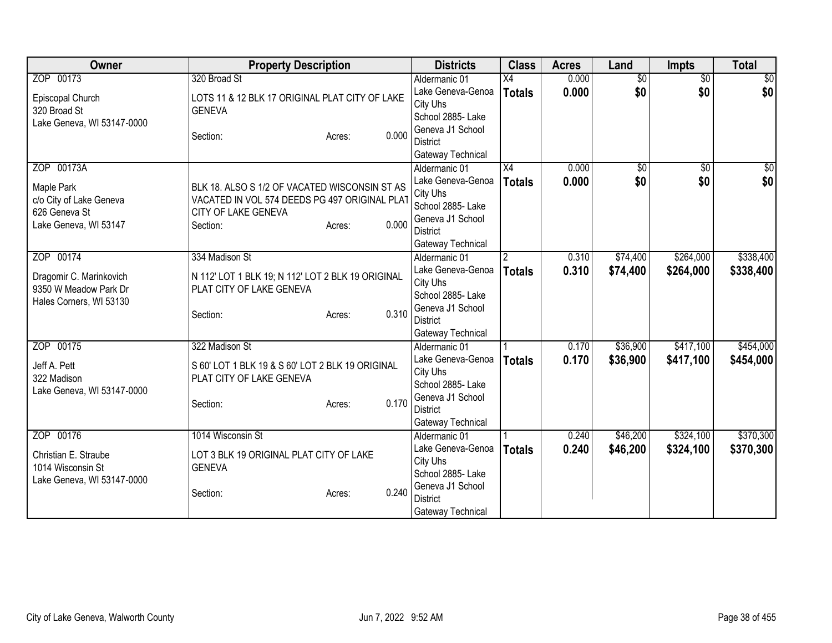| <b>Class</b><br><b>Owner</b><br><b>Property Description</b><br><b>Districts</b><br>Land<br><b>Acres</b>                     | <b>Impts</b>    | <b>Total</b>   |
|-----------------------------------------------------------------------------------------------------------------------------|-----------------|----------------|
| ZOP 00173<br>320 Broad St<br>$\overline{X4}$<br>0.000<br>$\overline{50}$<br>Aldermanic 01                                   | $\overline{50}$ | $\frac{1}{20}$ |
| \$0<br>0.000<br>Lake Geneva-Genoa<br><b>Totals</b><br>LOTS 11 & 12 BLK 17 ORIGINAL PLAT CITY OF LAKE<br>Episcopal Church    | \$0             | \$0            |
| City Uhs<br>320 Broad St<br><b>GENEVA</b>                                                                                   |                 |                |
| School 2885- Lake<br>Lake Geneva, WI 53147-0000                                                                             |                 |                |
| Geneva J1 School<br>0.000<br>Section:<br>Acres:                                                                             |                 |                |
| <b>District</b>                                                                                                             |                 |                |
| Gateway Technical                                                                                                           |                 |                |
| ZOP 00173A<br>X4<br>$\overline{60}$<br>0.000<br>Aldermanic 01                                                               | $\overline{50}$ | $\sqrt{50}$    |
| \$0<br>Lake Geneva-Genoa<br>0.000<br><b>Totals</b><br>Maple Park<br>BLK 18. ALSO S 1/2 OF VACATED WISCONSIN ST AS           | \$0             | \$0            |
| City Uhs<br>VACATED IN VOL 574 DEEDS PG 497 ORIGINAL PLAT<br>c/o City of Lake Geneva<br>School 2885- Lake                   |                 |                |
| 626 Geneva St<br>CITY OF LAKE GENEVA<br>Geneva J1 School                                                                    |                 |                |
| 0.000<br>Lake Geneva, WI 53147<br>Section:<br>Acres:<br><b>District</b>                                                     |                 |                |
| Gateway Technical                                                                                                           |                 |                |
| ZOP 00174<br>\$74,400<br>334 Madison St<br>0.310<br>Aldermanic 01<br>$\mathfrak{p}$                                         | \$264,000       | \$338,400      |
| Lake Geneva-Genoa<br>0.310<br>\$74,400<br><b>Totals</b>                                                                     | \$264,000       | \$338,400      |
| N 112' LOT 1 BLK 19; N 112' LOT 2 BLK 19 ORIGINAL<br>Dragomir C. Marinkovich<br>City Uhs                                    |                 |                |
| 9350 W Meadow Park Dr<br>PLAT CITY OF LAKE GENEVA<br>School 2885- Lake                                                      |                 |                |
| Hales Corners, WI 53130<br>Geneva J1 School<br>0.310                                                                        |                 |                |
| Section:<br>Acres:<br><b>District</b>                                                                                       |                 |                |
| Gateway Technical                                                                                                           |                 |                |
| ZOP 00175<br>322 Madison St<br>\$36,900<br>Aldermanic 01<br>0.170                                                           | \$417,100       | \$454,000      |
| Lake Geneva-Genoa<br>0.170<br>\$36,900<br><b>Totals</b><br>S 60' LOT 1 BLK 19 & S 60' LOT 2 BLK 19 ORIGINAL<br>Jeff A. Pett | \$417,100       | \$454,000      |
| City Uhs<br>322 Madison<br>PLAT CITY OF LAKE GENEVA                                                                         |                 |                |
| School 2885- Lake<br>Lake Geneva, WI 53147-0000                                                                             |                 |                |
| Geneva J1 School<br>0.170<br>Section:<br>Acres:                                                                             |                 |                |
| <b>District</b>                                                                                                             |                 |                |
| Gateway Technical                                                                                                           |                 |                |
| ZOP 00176<br>1014 Wisconsin St<br>\$46,200<br>0.240<br>Aldermanic 01                                                        | \$324,100       | \$370,300      |
| Lake Geneva-Genoa<br>0.240<br>\$46,200<br><b>Totals</b><br>Christian E. Straube<br>LOT 3 BLK 19 ORIGINAL PLAT CITY OF LAKE  | \$324,100       | \$370,300      |
| City Uhs<br><b>GENEVA</b><br>1014 Wisconsin St                                                                              |                 |                |
| School 2885- Lake<br>Lake Geneva, WI 53147-0000<br>Geneva J1 School                                                         |                 |                |
| 0.240<br>Section:<br>Acres:<br><b>District</b>                                                                              |                 |                |
| Gateway Technical                                                                                                           |                 |                |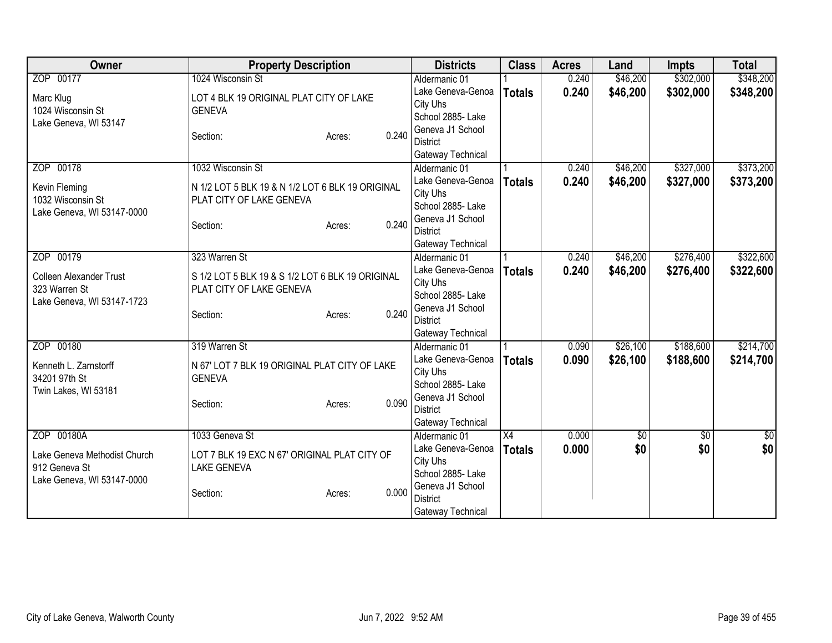| ZOP 00177<br>1024 Wisconsin St<br>\$46,200<br>\$302,000<br>0.240<br>Aldermanic 01<br>\$302,000<br>\$46,200<br>Lake Geneva-Genoa<br>0.240<br>\$348,200<br><b>Totals</b><br>LOT 4 BLK 19 ORIGINAL PLAT CITY OF LAKE<br>Marc Klug<br>City Uhs<br>1024 Wisconsin St<br><b>GENEVA</b><br>School 2885- Lake<br>Lake Geneva, WI 53147<br>Geneva J1 School<br>0.240<br>Section:<br>Acres:<br><b>District</b><br>Gateway Technical<br>ZOP 00178<br>1032 Wisconsin St<br>\$46,200<br>\$327,000<br>Aldermanic 01<br>0.240<br>0.240<br>Lake Geneva-Genoa<br>\$46,200<br>\$327,000<br><b>Totals</b><br>Kevin Fleming<br>N 1/2 LOT 5 BLK 19 & N 1/2 LOT 6 BLK 19 ORIGINAL<br>City Uhs<br>1032 Wisconsin St<br>PLAT CITY OF LAKE GENEVA<br>School 2885- Lake<br>Lake Geneva, WI 53147-0000<br>Geneva J1 School<br>0.240<br>Section:<br>Acres:<br><b>District</b><br>Gateway Technical<br>\$276,400<br>ZOP 00179<br>\$46,200<br>323 Warren St<br>0.240<br>Aldermanic 01<br>Lake Geneva-Genoa<br>0.240<br>\$46,200<br>\$276,400<br><b>Totals</b><br>S 1/2 LOT 5 BLK 19 & S 1/2 LOT 6 BLK 19 ORIGINAL<br><b>Colleen Alexander Trust</b><br>City Uhs<br>323 Warren St<br>PLAT CITY OF LAKE GENEVA<br>School 2885- Lake<br>Lake Geneva, WI 53147-1723<br>Geneva J1 School<br>0.240<br>Section:<br>Acres:<br><b>District</b><br>Gateway Technical<br>ZOP 00180<br>319 Warren St<br>\$188,600<br>\$26,100<br>Aldermanic 01<br>0.090<br>Lake Geneva-Genoa<br>\$26,100<br>\$188,600<br>0.090<br><b>Totals</b><br>N 67' LOT 7 BLK 19 ORIGINAL PLAT CITY OF LAKE<br>Kenneth L. Zarnstorff<br>City Uhs<br>34201 97th St<br><b>GENEVA</b><br>School 2885- Lake<br>Twin Lakes, WI 53181<br>Geneva J1 School<br>0.090<br>Section:<br>Acres:<br><b>District</b><br>Gateway Technical<br>ZOP 00180A<br>1033 Geneva St<br>$\overline{X4}$<br>0.000<br>Aldermanic 01<br>$\overline{50}$<br>\$0<br>\$0<br>\$0<br>Lake Geneva-Genoa<br>0.000<br>\$0<br><b>Totals</b><br>LOT 7 BLK 19 EXC N 67' ORIGINAL PLAT CITY OF<br>Lake Geneva Methodist Church<br>City Uhs<br>912 Geneva St<br><b>LAKE GENEVA</b><br>School 2885- Lake<br>Lake Geneva, WI 53147-0000<br>Geneva J1 School<br>0.000<br>Section:<br>Acres:<br><b>District</b> | Owner | <b>Property Description</b> | <b>Districts</b>  | <b>Class</b> | <b>Acres</b> | Land | <b>Impts</b> | <b>Total</b> |
|----------------------------------------------------------------------------------------------------------------------------------------------------------------------------------------------------------------------------------------------------------------------------------------------------------------------------------------------------------------------------------------------------------------------------------------------------------------------------------------------------------------------------------------------------------------------------------------------------------------------------------------------------------------------------------------------------------------------------------------------------------------------------------------------------------------------------------------------------------------------------------------------------------------------------------------------------------------------------------------------------------------------------------------------------------------------------------------------------------------------------------------------------------------------------------------------------------------------------------------------------------------------------------------------------------------------------------------------------------------------------------------------------------------------------------------------------------------------------------------------------------------------------------------------------------------------------------------------------------------------------------------------------------------------------------------------------------------------------------------------------------------------------------------------------------------------------------------------------------------------------------------------------------------------------------------------------------------------------------------------------------------------------------------------------------------------------------------------------------------------------------------------------------------------------------------------|-------|-----------------------------|-------------------|--------------|--------------|------|--------------|--------------|
|                                                                                                                                                                                                                                                                                                                                                                                                                                                                                                                                                                                                                                                                                                                                                                                                                                                                                                                                                                                                                                                                                                                                                                                                                                                                                                                                                                                                                                                                                                                                                                                                                                                                                                                                                                                                                                                                                                                                                                                                                                                                                                                                                                                              |       |                             |                   |              |              |      |              | \$348,200    |
|                                                                                                                                                                                                                                                                                                                                                                                                                                                                                                                                                                                                                                                                                                                                                                                                                                                                                                                                                                                                                                                                                                                                                                                                                                                                                                                                                                                                                                                                                                                                                                                                                                                                                                                                                                                                                                                                                                                                                                                                                                                                                                                                                                                              |       |                             |                   |              |              |      |              |              |
| \$373,200<br>\$373,200<br>\$322,600<br>\$322,600                                                                                                                                                                                                                                                                                                                                                                                                                                                                                                                                                                                                                                                                                                                                                                                                                                                                                                                                                                                                                                                                                                                                                                                                                                                                                                                                                                                                                                                                                                                                                                                                                                                                                                                                                                                                                                                                                                                                                                                                                                                                                                                                             |       |                             |                   |              |              |      |              |              |
|                                                                                                                                                                                                                                                                                                                                                                                                                                                                                                                                                                                                                                                                                                                                                                                                                                                                                                                                                                                                                                                                                                                                                                                                                                                                                                                                                                                                                                                                                                                                                                                                                                                                                                                                                                                                                                                                                                                                                                                                                                                                                                                                                                                              |       |                             |                   |              |              |      |              |              |
|                                                                                                                                                                                                                                                                                                                                                                                                                                                                                                                                                                                                                                                                                                                                                                                                                                                                                                                                                                                                                                                                                                                                                                                                                                                                                                                                                                                                                                                                                                                                                                                                                                                                                                                                                                                                                                                                                                                                                                                                                                                                                                                                                                                              |       |                             |                   |              |              |      |              |              |
|                                                                                                                                                                                                                                                                                                                                                                                                                                                                                                                                                                                                                                                                                                                                                                                                                                                                                                                                                                                                                                                                                                                                                                                                                                                                                                                                                                                                                                                                                                                                                                                                                                                                                                                                                                                                                                                                                                                                                                                                                                                                                                                                                                                              |       |                             |                   |              |              |      |              |              |
|                                                                                                                                                                                                                                                                                                                                                                                                                                                                                                                                                                                                                                                                                                                                                                                                                                                                                                                                                                                                                                                                                                                                                                                                                                                                                                                                                                                                                                                                                                                                                                                                                                                                                                                                                                                                                                                                                                                                                                                                                                                                                                                                                                                              |       |                             |                   |              |              |      |              |              |
|                                                                                                                                                                                                                                                                                                                                                                                                                                                                                                                                                                                                                                                                                                                                                                                                                                                                                                                                                                                                                                                                                                                                                                                                                                                                                                                                                                                                                                                                                                                                                                                                                                                                                                                                                                                                                                                                                                                                                                                                                                                                                                                                                                                              |       |                             |                   |              |              |      |              |              |
|                                                                                                                                                                                                                                                                                                                                                                                                                                                                                                                                                                                                                                                                                                                                                                                                                                                                                                                                                                                                                                                                                                                                                                                                                                                                                                                                                                                                                                                                                                                                                                                                                                                                                                                                                                                                                                                                                                                                                                                                                                                                                                                                                                                              |       |                             |                   |              |              |      |              |              |
|                                                                                                                                                                                                                                                                                                                                                                                                                                                                                                                                                                                                                                                                                                                                                                                                                                                                                                                                                                                                                                                                                                                                                                                                                                                                                                                                                                                                                                                                                                                                                                                                                                                                                                                                                                                                                                                                                                                                                                                                                                                                                                                                                                                              |       |                             |                   |              |              |      |              |              |
|                                                                                                                                                                                                                                                                                                                                                                                                                                                                                                                                                                                                                                                                                                                                                                                                                                                                                                                                                                                                                                                                                                                                                                                                                                                                                                                                                                                                                                                                                                                                                                                                                                                                                                                                                                                                                                                                                                                                                                                                                                                                                                                                                                                              |       |                             |                   |              |              |      |              |              |
|                                                                                                                                                                                                                                                                                                                                                                                                                                                                                                                                                                                                                                                                                                                                                                                                                                                                                                                                                                                                                                                                                                                                                                                                                                                                                                                                                                                                                                                                                                                                                                                                                                                                                                                                                                                                                                                                                                                                                                                                                                                                                                                                                                                              |       |                             |                   |              |              |      |              |              |
|                                                                                                                                                                                                                                                                                                                                                                                                                                                                                                                                                                                                                                                                                                                                                                                                                                                                                                                                                                                                                                                                                                                                                                                                                                                                                                                                                                                                                                                                                                                                                                                                                                                                                                                                                                                                                                                                                                                                                                                                                                                                                                                                                                                              |       |                             |                   |              |              |      |              |              |
|                                                                                                                                                                                                                                                                                                                                                                                                                                                                                                                                                                                                                                                                                                                                                                                                                                                                                                                                                                                                                                                                                                                                                                                                                                                                                                                                                                                                                                                                                                                                                                                                                                                                                                                                                                                                                                                                                                                                                                                                                                                                                                                                                                                              |       |                             |                   |              |              |      |              |              |
|                                                                                                                                                                                                                                                                                                                                                                                                                                                                                                                                                                                                                                                                                                                                                                                                                                                                                                                                                                                                                                                                                                                                                                                                                                                                                                                                                                                                                                                                                                                                                                                                                                                                                                                                                                                                                                                                                                                                                                                                                                                                                                                                                                                              |       |                             |                   |              |              |      |              |              |
|                                                                                                                                                                                                                                                                                                                                                                                                                                                                                                                                                                                                                                                                                                                                                                                                                                                                                                                                                                                                                                                                                                                                                                                                                                                                                                                                                                                                                                                                                                                                                                                                                                                                                                                                                                                                                                                                                                                                                                                                                                                                                                                                                                                              |       |                             |                   |              |              |      |              |              |
|                                                                                                                                                                                                                                                                                                                                                                                                                                                                                                                                                                                                                                                                                                                                                                                                                                                                                                                                                                                                                                                                                                                                                                                                                                                                                                                                                                                                                                                                                                                                                                                                                                                                                                                                                                                                                                                                                                                                                                                                                                                                                                                                                                                              |       |                             |                   |              |              |      |              |              |
| \$214,700<br>\$214,700<br>$\frac{1}{6}$                                                                                                                                                                                                                                                                                                                                                                                                                                                                                                                                                                                                                                                                                                                                                                                                                                                                                                                                                                                                                                                                                                                                                                                                                                                                                                                                                                                                                                                                                                                                                                                                                                                                                                                                                                                                                                                                                                                                                                                                                                                                                                                                                      |       |                             |                   |              |              |      |              |              |
|                                                                                                                                                                                                                                                                                                                                                                                                                                                                                                                                                                                                                                                                                                                                                                                                                                                                                                                                                                                                                                                                                                                                                                                                                                                                                                                                                                                                                                                                                                                                                                                                                                                                                                                                                                                                                                                                                                                                                                                                                                                                                                                                                                                              |       |                             |                   |              |              |      |              |              |
|                                                                                                                                                                                                                                                                                                                                                                                                                                                                                                                                                                                                                                                                                                                                                                                                                                                                                                                                                                                                                                                                                                                                                                                                                                                                                                                                                                                                                                                                                                                                                                                                                                                                                                                                                                                                                                                                                                                                                                                                                                                                                                                                                                                              |       |                             |                   |              |              |      |              |              |
|                                                                                                                                                                                                                                                                                                                                                                                                                                                                                                                                                                                                                                                                                                                                                                                                                                                                                                                                                                                                                                                                                                                                                                                                                                                                                                                                                                                                                                                                                                                                                                                                                                                                                                                                                                                                                                                                                                                                                                                                                                                                                                                                                                                              |       |                             |                   |              |              |      |              |              |
|                                                                                                                                                                                                                                                                                                                                                                                                                                                                                                                                                                                                                                                                                                                                                                                                                                                                                                                                                                                                                                                                                                                                                                                                                                                                                                                                                                                                                                                                                                                                                                                                                                                                                                                                                                                                                                                                                                                                                                                                                                                                                                                                                                                              |       |                             |                   |              |              |      |              |              |
|                                                                                                                                                                                                                                                                                                                                                                                                                                                                                                                                                                                                                                                                                                                                                                                                                                                                                                                                                                                                                                                                                                                                                                                                                                                                                                                                                                                                                                                                                                                                                                                                                                                                                                                                                                                                                                                                                                                                                                                                                                                                                                                                                                                              |       |                             |                   |              |              |      |              |              |
|                                                                                                                                                                                                                                                                                                                                                                                                                                                                                                                                                                                                                                                                                                                                                                                                                                                                                                                                                                                                                                                                                                                                                                                                                                                                                                                                                                                                                                                                                                                                                                                                                                                                                                                                                                                                                                                                                                                                                                                                                                                                                                                                                                                              |       |                             |                   |              |              |      |              |              |
|                                                                                                                                                                                                                                                                                                                                                                                                                                                                                                                                                                                                                                                                                                                                                                                                                                                                                                                                                                                                                                                                                                                                                                                                                                                                                                                                                                                                                                                                                                                                                                                                                                                                                                                                                                                                                                                                                                                                                                                                                                                                                                                                                                                              |       |                             |                   |              |              |      |              |              |
|                                                                                                                                                                                                                                                                                                                                                                                                                                                                                                                                                                                                                                                                                                                                                                                                                                                                                                                                                                                                                                                                                                                                                                                                                                                                                                                                                                                                                                                                                                                                                                                                                                                                                                                                                                                                                                                                                                                                                                                                                                                                                                                                                                                              |       |                             |                   |              |              |      |              |              |
|                                                                                                                                                                                                                                                                                                                                                                                                                                                                                                                                                                                                                                                                                                                                                                                                                                                                                                                                                                                                                                                                                                                                                                                                                                                                                                                                                                                                                                                                                                                                                                                                                                                                                                                                                                                                                                                                                                                                                                                                                                                                                                                                                                                              |       |                             |                   |              |              |      |              |              |
|                                                                                                                                                                                                                                                                                                                                                                                                                                                                                                                                                                                                                                                                                                                                                                                                                                                                                                                                                                                                                                                                                                                                                                                                                                                                                                                                                                                                                                                                                                                                                                                                                                                                                                                                                                                                                                                                                                                                                                                                                                                                                                                                                                                              |       |                             |                   |              |              |      |              |              |
|                                                                                                                                                                                                                                                                                                                                                                                                                                                                                                                                                                                                                                                                                                                                                                                                                                                                                                                                                                                                                                                                                                                                                                                                                                                                                                                                                                                                                                                                                                                                                                                                                                                                                                                                                                                                                                                                                                                                                                                                                                                                                                                                                                                              |       |                             |                   |              |              |      |              |              |
|                                                                                                                                                                                                                                                                                                                                                                                                                                                                                                                                                                                                                                                                                                                                                                                                                                                                                                                                                                                                                                                                                                                                                                                                                                                                                                                                                                                                                                                                                                                                                                                                                                                                                                                                                                                                                                                                                                                                                                                                                                                                                                                                                                                              |       |                             |                   |              |              |      |              |              |
|                                                                                                                                                                                                                                                                                                                                                                                                                                                                                                                                                                                                                                                                                                                                                                                                                                                                                                                                                                                                                                                                                                                                                                                                                                                                                                                                                                                                                                                                                                                                                                                                                                                                                                                                                                                                                                                                                                                                                                                                                                                                                                                                                                                              |       |                             |                   |              |              |      |              |              |
|                                                                                                                                                                                                                                                                                                                                                                                                                                                                                                                                                                                                                                                                                                                                                                                                                                                                                                                                                                                                                                                                                                                                                                                                                                                                                                                                                                                                                                                                                                                                                                                                                                                                                                                                                                                                                                                                                                                                                                                                                                                                                                                                                                                              |       |                             |                   |              |              |      |              |              |
|                                                                                                                                                                                                                                                                                                                                                                                                                                                                                                                                                                                                                                                                                                                                                                                                                                                                                                                                                                                                                                                                                                                                                                                                                                                                                                                                                                                                                                                                                                                                                                                                                                                                                                                                                                                                                                                                                                                                                                                                                                                                                                                                                                                              |       |                             | Gateway Technical |              |              |      |              |              |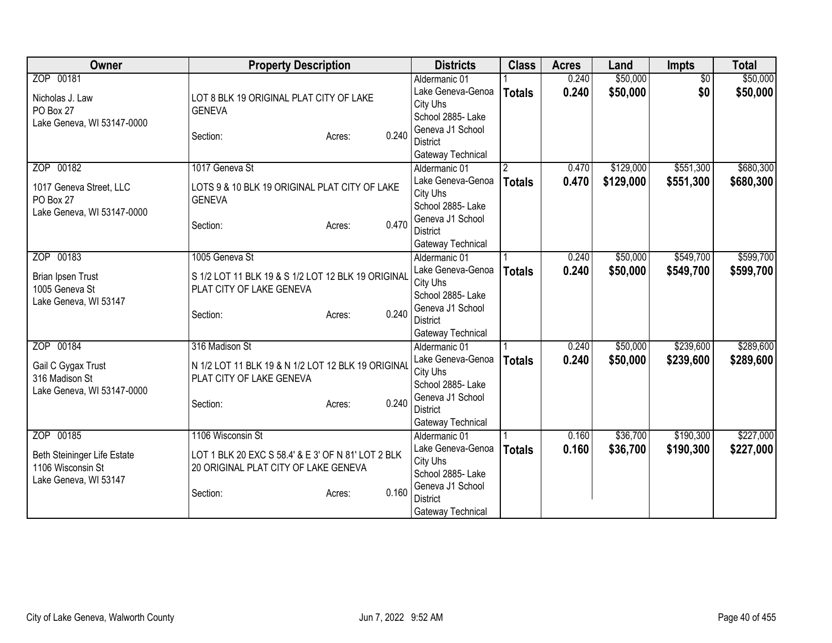| Owner                       | <b>Property Description</b>                        |                 | <b>Districts</b>                    | <b>Class</b>         | <b>Acres</b> | Land      | Impts           | <b>Total</b> |
|-----------------------------|----------------------------------------------------|-----------------|-------------------------------------|----------------------|--------------|-----------|-----------------|--------------|
| ZOP 00181                   |                                                    |                 | Aldermanic 01                       |                      | 0.240        | \$50,000  | $\overline{50}$ | \$50,000     |
| Nicholas J. Law             | LOT 8 BLK 19 ORIGINAL PLAT CITY OF LAKE            |                 | Lake Geneva-Genoa                   | <b>Totals</b>        | 0.240        | \$50,000  | \$0             | \$50,000     |
| PO Box 27                   | <b>GENEVA</b>                                      |                 | City Uhs                            |                      |              |           |                 |              |
| Lake Geneva, WI 53147-0000  |                                                    |                 | School 2885- Lake                   |                      |              |           |                 |              |
|                             | Section:                                           | 0.240<br>Acres: | Geneva J1 School                    |                      |              |           |                 |              |
|                             |                                                    |                 | <b>District</b>                     |                      |              |           |                 |              |
| ZOP 00182                   | 1017 Geneva St                                     |                 | Gateway Technical                   |                      | 0.470        | \$129,000 | \$551,300       | \$680,300    |
|                             |                                                    |                 | Aldermanic 01<br>Lake Geneva-Genoa  | $\mathbf{2}^{\circ}$ | 0.470        |           |                 |              |
| 1017 Geneva Street, LLC     | LOTS 9 & 10 BLK 19 ORIGINAL PLAT CITY OF LAKE      |                 | City Uhs                            | <b>Totals</b>        |              | \$129,000 | \$551,300       | \$680,300    |
| PO Box 27                   | <b>GENEVA</b>                                      |                 | School 2885- Lake                   |                      |              |           |                 |              |
| Lake Geneva, WI 53147-0000  |                                                    |                 | Geneva J1 School                    |                      |              |           |                 |              |
|                             | Section:                                           | 0.470<br>Acres: | <b>District</b>                     |                      |              |           |                 |              |
|                             |                                                    |                 | Gateway Technical                   |                      |              |           |                 |              |
| ZOP 00183                   | 1005 Geneva St                                     |                 | Aldermanic 01                       |                      | 0.240        | \$50,000  | \$549,700       | \$599,700    |
|                             |                                                    |                 | Lake Geneva-Genoa                   | <b>Totals</b>        | 0.240        | \$50,000  | \$549,700       | \$599,700    |
| Brian Ipsen Trust           | S 1/2 LOT 11 BLK 19 & S 1/2 LOT 12 BLK 19 ORIGINAL |                 | City Uhs                            |                      |              |           |                 |              |
| 1005 Geneva St              | PLAT CITY OF LAKE GENEVA                           |                 | School 2885- Lake                   |                      |              |           |                 |              |
| Lake Geneva, WI 53147       | Section:                                           | 0.240<br>Acres: | Geneva J1 School                    |                      |              |           |                 |              |
|                             |                                                    |                 | <b>District</b>                     |                      |              |           |                 |              |
|                             |                                                    |                 | Gateway Technical                   |                      |              |           |                 |              |
| ZOP 00184                   | 316 Madison St                                     |                 | Aldermanic 01                       |                      | 0.240        | \$50,000  | \$239,600       | \$289,600    |
| Gail C Gygax Trust          | N 1/2 LOT 11 BLK 19 & N 1/2 LOT 12 BLK 19 ORIGINAL |                 | Lake Geneva-Genoa                   | <b>Totals</b>        | 0.240        | \$50,000  | \$239,600       | \$289,600    |
| 316 Madison St              | PLAT CITY OF LAKE GENEVA                           |                 | City Uhs                            |                      |              |           |                 |              |
| Lake Geneva, WI 53147-0000  |                                                    |                 | School 2885- Lake                   |                      |              |           |                 |              |
|                             | Section:                                           | 0.240<br>Acres: | Geneva J1 School<br><b>District</b> |                      |              |           |                 |              |
|                             |                                                    |                 | Gateway Technical                   |                      |              |           |                 |              |
| ZOP 00185                   | 1106 Wisconsin St                                  |                 | Aldermanic 01                       |                      | 0.160        | \$36,700  | \$190,300       | \$227,000    |
|                             |                                                    |                 | Lake Geneva-Genoa                   | <b>Totals</b>        | 0.160        | \$36,700  | \$190,300       | \$227,000    |
| Beth Steininger Life Estate | LOT 1 BLK 20 EXC S 58.4' & E 3' OF N 81' LOT 2 BLK |                 | City Uhs                            |                      |              |           |                 |              |
| 1106 Wisconsin St           | 20 ORIGINAL PLAT CITY OF LAKE GENEVA               |                 | School 2885- Lake                   |                      |              |           |                 |              |
| Lake Geneva, WI 53147       |                                                    |                 | Geneva J1 School                    |                      |              |           |                 |              |
|                             | Section:                                           | 0.160<br>Acres: | <b>District</b>                     |                      |              |           |                 |              |
|                             |                                                    |                 | Gateway Technical                   |                      |              |           |                 |              |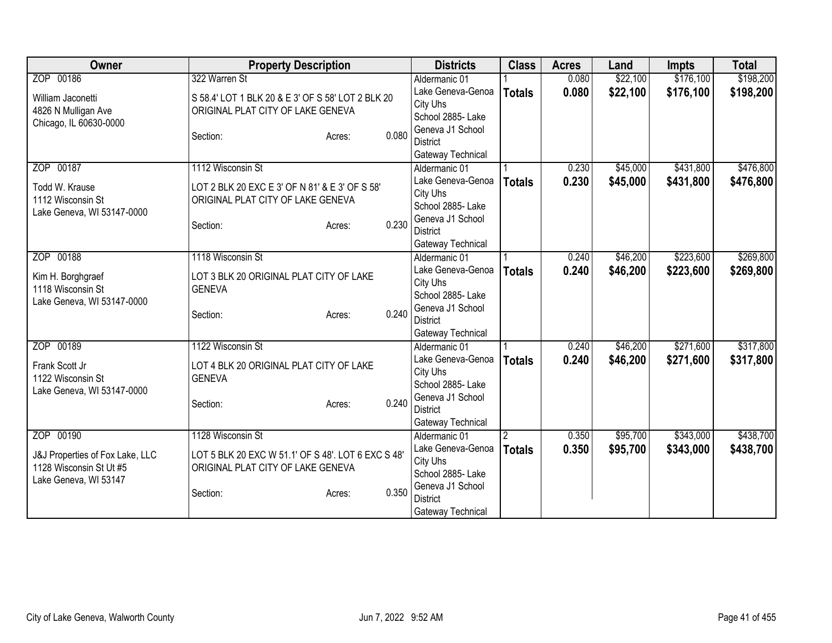| <b>Owner</b>                    | <b>Property Description</b>                        | <b>Districts</b>                    | <b>Class</b>   | <b>Acres</b> | Land     | <b>Impts</b> | <b>Total</b> |
|---------------------------------|----------------------------------------------------|-------------------------------------|----------------|--------------|----------|--------------|--------------|
| ZOP 00186                       | 322 Warren St                                      | Aldermanic 01                       |                | 0.080        | \$22,100 | \$176,100    | \$198,200    |
| William Jaconetti               | S 58.4' LOT 1 BLK 20 & E 3' OF S 58' LOT 2 BLK 20  | Lake Geneva-Genoa                   | <b>Totals</b>  | 0.080        | \$22,100 | \$176,100    | \$198,200    |
| 4826 N Mulligan Ave             | ORIGINAL PLAT CITY OF LAKE GENEVA                  | City Uhs                            |                |              |          |              |              |
| Chicago, IL 60630-0000          |                                                    | School 2885- Lake                   |                |              |          |              |              |
|                                 | 0.080<br>Section:<br>Acres:                        | Geneva J1 School<br><b>District</b> |                |              |          |              |              |
|                                 |                                                    | Gateway Technical                   |                |              |          |              |              |
| ZOP 00187                       | 1112 Wisconsin St                                  | Aldermanic 01                       |                | 0.230        | \$45,000 | \$431,800    | \$476,800    |
|                                 |                                                    | Lake Geneva-Genoa                   | <b>Totals</b>  | 0.230        | \$45,000 | \$431,800    | \$476,800    |
| Todd W. Krause                  | LOT 2 BLK 20 EXC E 3' OF N 81' & E 3' OF S 58'     | City Uhs                            |                |              |          |              |              |
| 1112 Wisconsin St               | ORIGINAL PLAT CITY OF LAKE GENEVA                  | School 2885- Lake                   |                |              |          |              |              |
| Lake Geneva, WI 53147-0000      |                                                    | Geneva J1 School                    |                |              |          |              |              |
|                                 | 0.230<br>Section:<br>Acres:                        | <b>District</b>                     |                |              |          |              |              |
|                                 |                                                    | Gateway Technical                   |                |              |          |              |              |
| ZOP 00188                       | 1118 Wisconsin St                                  | Aldermanic 01                       |                | 0.240        | \$46,200 | \$223,600    | \$269,800    |
| Kim H. Borghgraef               | LOT 3 BLK 20 ORIGINAL PLAT CITY OF LAKE            | Lake Geneva-Genoa                   | <b>Totals</b>  | 0.240        | \$46,200 | \$223,600    | \$269,800    |
| 1118 Wisconsin St               | <b>GENEVA</b>                                      | City Uhs                            |                |              |          |              |              |
| Lake Geneva, WI 53147-0000      |                                                    | School 2885- Lake                   |                |              |          |              |              |
|                                 | 0.240<br>Section:<br>Acres:                        | Geneva J1 School                    |                |              |          |              |              |
|                                 |                                                    | <b>District</b>                     |                |              |          |              |              |
| ZOP 00189                       | 1122 Wisconsin St                                  | Gateway Technical<br>Aldermanic 01  |                | 0.240        | \$46,200 | \$271,600    | \$317,800    |
|                                 |                                                    | Lake Geneva-Genoa                   | <b>Totals</b>  | 0.240        | \$46,200 | \$271,600    | \$317,800    |
| Frank Scott Jr                  | LOT 4 BLK 20 ORIGINAL PLAT CITY OF LAKE            | City Uhs                            |                |              |          |              |              |
| 1122 Wisconsin St               | <b>GENEVA</b>                                      | School 2885- Lake                   |                |              |          |              |              |
| Lake Geneva, WI 53147-0000      |                                                    | Geneva J1 School                    |                |              |          |              |              |
|                                 | 0.240<br>Section:<br>Acres:                        | <b>District</b>                     |                |              |          |              |              |
|                                 |                                                    | Gateway Technical                   |                |              |          |              |              |
| ZOP 00190                       | 1128 Wisconsin St                                  | Aldermanic 01                       | $\overline{2}$ | 0.350        | \$95,700 | \$343,000    | \$438,700    |
| J&J Properties of Fox Lake, LLC | LOT 5 BLK 20 EXC W 51.1' OF S 48'. LOT 6 EXC S 48' | Lake Geneva-Genoa                   | <b>Totals</b>  | 0.350        | \$95,700 | \$343,000    | \$438,700    |
| 1128 Wisconsin St Ut #5         | ORIGINAL PLAT CITY OF LAKE GENEVA                  | City Uhs                            |                |              |          |              |              |
| Lake Geneva, WI 53147           |                                                    | School 2885- Lake                   |                |              |          |              |              |
|                                 | 0.350<br>Section:<br>Acres:                        | Geneva J1 School                    |                |              |          |              |              |
|                                 |                                                    | <b>District</b>                     |                |              |          |              |              |
|                                 |                                                    | Gateway Technical                   |                |              |          |              |              |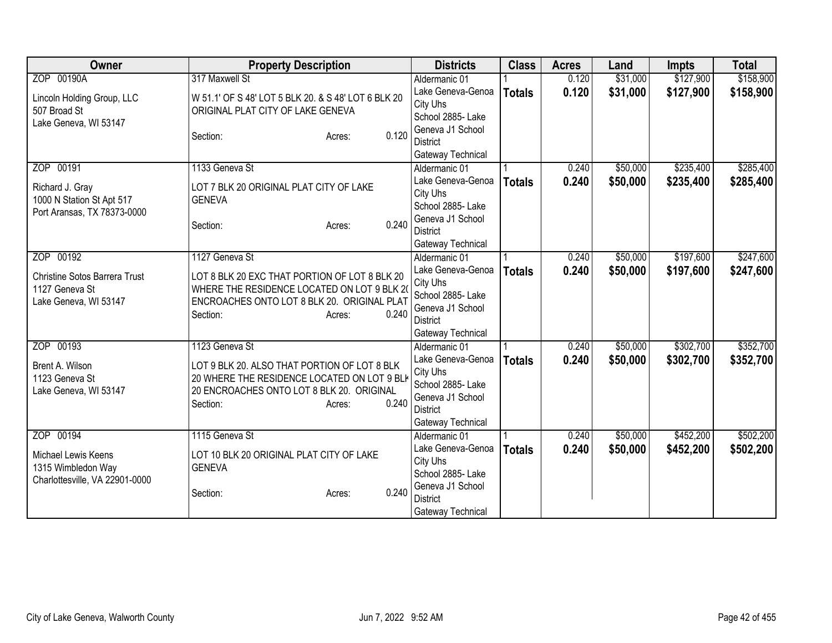| Owner                                | <b>Property Description</b>                                                                 | <b>Districts</b>                      | <b>Class</b>  | <b>Acres</b> | Land     | <b>Impts</b> | <b>Total</b> |
|--------------------------------------|---------------------------------------------------------------------------------------------|---------------------------------------|---------------|--------------|----------|--------------|--------------|
| ZOP 00190A                           | 317 Maxwell St                                                                              | Aldermanic 01                         |               | 0.120        | \$31,000 | \$127,900    | \$158,900    |
| Lincoln Holding Group, LLC           | W 51.1' OF S 48' LOT 5 BLK 20. & S 48' LOT 6 BLK 20                                         | Lake Geneva-Genoa                     | <b>Totals</b> | 0.120        | \$31,000 | \$127,900    | \$158,900    |
| 507 Broad St                         | ORIGINAL PLAT CITY OF LAKE GENEVA                                                           | City Uhs                              |               |              |          |              |              |
| Lake Geneva, WI 53147                |                                                                                             | School 2885- Lake                     |               |              |          |              |              |
|                                      | 0.120<br>Section:<br>Acres:                                                                 | Geneva J1 School<br><b>District</b>   |               |              |          |              |              |
|                                      |                                                                                             | Gateway Technical                     |               |              |          |              |              |
| ZOP 00191                            | 1133 Geneva St                                                                              | Aldermanic 01                         |               | 0.240        | \$50,000 | \$235,400    | \$285,400    |
|                                      |                                                                                             | Lake Geneva-Genoa                     | <b>Totals</b> | 0.240        | \$50,000 | \$235,400    | \$285,400    |
| Richard J. Gray                      | LOT 7 BLK 20 ORIGINAL PLAT CITY OF LAKE                                                     | City Uhs                              |               |              |          |              |              |
| 1000 N Station St Apt 517            | <b>GENEVA</b>                                                                               | School 2885-Lake                      |               |              |          |              |              |
| Port Aransas, TX 78373-0000          | 0.240<br>Section:<br>Acres:                                                                 | Geneva J1 School                      |               |              |          |              |              |
|                                      |                                                                                             | <b>District</b>                       |               |              |          |              |              |
|                                      |                                                                                             | Gateway Technical                     |               |              |          |              |              |
| ZOP 00192                            | 1127 Geneva St                                                                              | Aldermanic 01                         |               | 0.240        | \$50,000 | \$197,600    | \$247,600    |
| <b>Christine Sotos Barrera Trust</b> | LOT 8 BLK 20 EXC THAT PORTION OF LOT 8 BLK 20                                               | Lake Geneva-Genoa                     | <b>Totals</b> | 0.240        | \$50,000 | \$197,600    | \$247,600    |
| 1127 Geneva St                       | WHERE THE RESIDENCE LOCATED ON LOT 9 BLK 20                                                 | City Uhs                              |               |              |          |              |              |
| Lake Geneva, WI 53147                | ENCROACHES ONTO LOT 8 BLK 20. ORIGINAL PLAT                                                 | School 2885- Lake<br>Geneva J1 School |               |              |          |              |              |
|                                      | 0.240<br>Section:<br>Acres:                                                                 | <b>District</b>                       |               |              |          |              |              |
|                                      |                                                                                             | Gateway Technical                     |               |              |          |              |              |
| ZOP 00193                            | 1123 Geneva St                                                                              | Aldermanic 01                         |               | 0.240        | \$50,000 | \$302,700    | \$352,700    |
|                                      |                                                                                             | Lake Geneva-Genoa                     | <b>Totals</b> | 0.240        | \$50,000 | \$302,700    | \$352,700    |
| Brent A. Wilson<br>1123 Geneva St    | LOT 9 BLK 20. ALSO THAT PORTION OF LOT 8 BLK<br>20 WHERE THE RESIDENCE LOCATED ON LOT 9 BLK | City Uhs                              |               |              |          |              |              |
| Lake Geneva, WI 53147                | 20 ENCROACHES ONTO LOT 8 BLK 20. ORIGINAL                                                   | School 2885- Lake                     |               |              |          |              |              |
|                                      | 0.240<br>Section:<br>Acres:                                                                 | Geneva J1 School                      |               |              |          |              |              |
|                                      |                                                                                             | <b>District</b>                       |               |              |          |              |              |
|                                      |                                                                                             | Gateway Technical                     |               |              |          |              |              |
| ZOP 00194                            | 1115 Geneva St                                                                              | Aldermanic 01                         |               | 0.240        | \$50,000 | \$452,200    | \$502,200    |
| Michael Lewis Keens                  | LOT 10 BLK 20 ORIGINAL PLAT CITY OF LAKE                                                    | Lake Geneva-Genoa<br>City Uhs         | <b>Totals</b> | 0.240        | \$50,000 | \$452,200    | \$502,200    |
| 1315 Wimbledon Way                   | <b>GENEVA</b>                                                                               | School 2885- Lake                     |               |              |          |              |              |
| Charlottesville, VA 22901-0000       |                                                                                             | Geneva J1 School                      |               |              |          |              |              |
|                                      | 0.240<br>Section:<br>Acres:                                                                 | <b>District</b>                       |               |              |          |              |              |
|                                      |                                                                                             | Gateway Technical                     |               |              |          |              |              |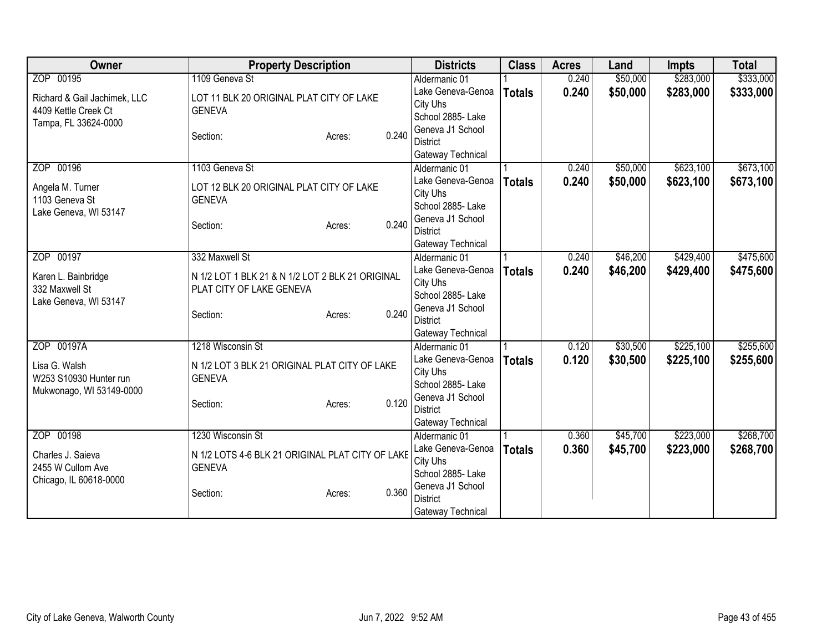| Owner                        | <b>Property Description</b>                      | <b>Districts</b>                    | <b>Class</b>  | <b>Acres</b> | Land     | <b>Impts</b> | <b>Total</b> |
|------------------------------|--------------------------------------------------|-------------------------------------|---------------|--------------|----------|--------------|--------------|
| ZOP 00195                    | 1109 Geneva St                                   | Aldermanic 01                       |               | 0.240        | \$50,000 | \$283,000    | \$333,000    |
| Richard & Gail Jachimek, LLC | LOT 11 BLK 20 ORIGINAL PLAT CITY OF LAKE         | Lake Geneva-Genoa                   | <b>Totals</b> | 0.240        | \$50,000 | \$283,000    | \$333,000    |
| 4409 Kettle Creek Ct         | <b>GENEVA</b>                                    | City Uhs                            |               |              |          |              |              |
| Tampa, FL 33624-0000         |                                                  | School 2885- Lake                   |               |              |          |              |              |
|                              | 0.240<br>Section:<br>Acres:                      | Geneva J1 School                    |               |              |          |              |              |
|                              |                                                  | <b>District</b>                     |               |              |          |              |              |
|                              |                                                  | Gateway Technical                   |               |              |          |              |              |
| ZOP 00196                    | 1103 Geneva St                                   | Aldermanic 01                       |               | 0.240        | \$50,000 | \$623,100    | \$673,100    |
| Angela M. Turner             | LOT 12 BLK 20 ORIGINAL PLAT CITY OF LAKE         | Lake Geneva-Genoa                   | <b>Totals</b> | 0.240        | \$50,000 | \$623,100    | \$673,100    |
| 1103 Geneva St               | <b>GENEVA</b>                                    | City Uhs<br>School 2885- Lake       |               |              |          |              |              |
| Lake Geneva, WI 53147        |                                                  | Geneva J1 School                    |               |              |          |              |              |
|                              | 0.240<br>Section:<br>Acres:                      | <b>District</b>                     |               |              |          |              |              |
|                              |                                                  | Gateway Technical                   |               |              |          |              |              |
| ZOP 00197                    | 332 Maxwell St                                   | Aldermanic 01                       |               | 0.240        | \$46,200 | \$429,400    | \$475,600    |
|                              |                                                  | Lake Geneva-Genoa                   | <b>Totals</b> | 0.240        | \$46,200 | \$429,400    | \$475,600    |
| Karen L. Bainbridge          | N 1/2 LOT 1 BLK 21 & N 1/2 LOT 2 BLK 21 ORIGINAL | City Uhs                            |               |              |          |              |              |
| 332 Maxwell St               | PLAT CITY OF LAKE GENEVA                         | School 2885- Lake                   |               |              |          |              |              |
| Lake Geneva, WI 53147        |                                                  | Geneva J1 School                    |               |              |          |              |              |
|                              | 0.240<br>Section:<br>Acres:                      | <b>District</b>                     |               |              |          |              |              |
|                              |                                                  | Gateway Technical                   |               |              |          |              |              |
| ZOP 00197A                   | 1218 Wisconsin St                                | Aldermanic 01                       |               | 0.120        | \$30,500 | \$225,100    | \$255,600    |
| Lisa G. Walsh                | N 1/2 LOT 3 BLK 21 ORIGINAL PLAT CITY OF LAKE    | Lake Geneva-Genoa                   | <b>Totals</b> | 0.120        | \$30,500 | \$225,100    | \$255,600    |
| W253 S10930 Hunter run       | <b>GENEVA</b>                                    | City Uhs                            |               |              |          |              |              |
| Mukwonago, WI 53149-0000     |                                                  | School 2885- Lake                   |               |              |          |              |              |
|                              | 0.120<br>Section:<br>Acres:                      | Geneva J1 School                    |               |              |          |              |              |
|                              |                                                  | <b>District</b>                     |               |              |          |              |              |
|                              |                                                  | Gateway Technical                   |               |              |          |              |              |
| ZOP 00198                    | 1230 Wisconsin St                                | Aldermanic 01                       |               | 0.360        | \$45,700 | \$223,000    | \$268,700    |
| Charles J. Saieva            | N 1/2 LOTS 4-6 BLK 21 ORIGINAL PLAT CITY OF LAKE | Lake Geneva-Genoa                   | <b>Totals</b> | 0.360        | \$45,700 | \$223,000    | \$268,700    |
| 2455 W Cullom Ave            | <b>GENEVA</b>                                    | City Uhs                            |               |              |          |              |              |
| Chicago, IL 60618-0000       |                                                  | School 2885- Lake                   |               |              |          |              |              |
|                              | 0.360<br>Section:<br>Acres:                      | Geneva J1 School<br><b>District</b> |               |              |          |              |              |
|                              |                                                  | Gateway Technical                   |               |              |          |              |              |
|                              |                                                  |                                     |               |              |          |              |              |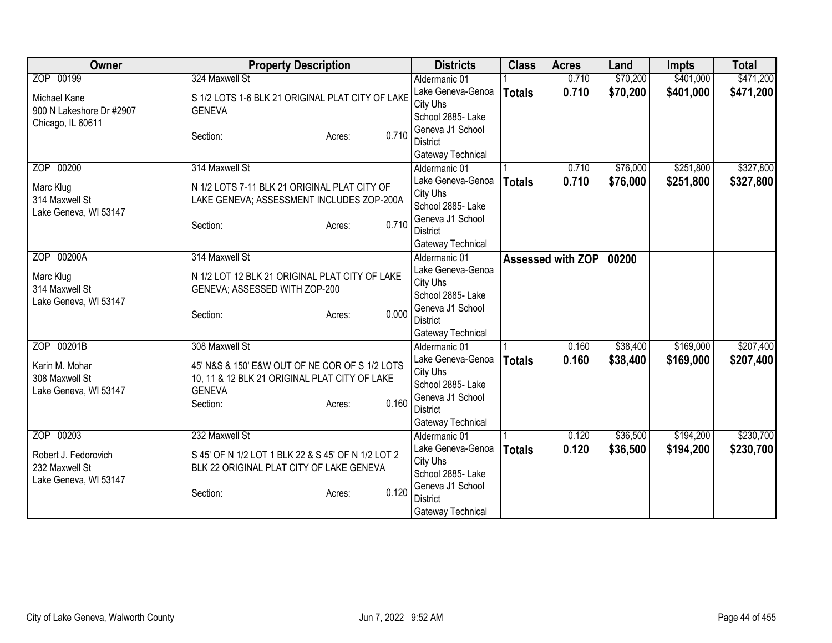| Owner                                                                        | <b>Property Description</b>                                                                                                                                       | <b>Districts</b>                                                                                                                | <b>Class</b>  | <b>Acres</b>      | Land                 | <b>Impts</b>           | <b>Total</b>           |
|------------------------------------------------------------------------------|-------------------------------------------------------------------------------------------------------------------------------------------------------------------|---------------------------------------------------------------------------------------------------------------------------------|---------------|-------------------|----------------------|------------------------|------------------------|
| ZOP 00199                                                                    | 324 Maxwell St                                                                                                                                                    | Aldermanic 01                                                                                                                   |               | 0.710             | \$70,200             | \$401,000              | \$471,200              |
| Michael Kane<br>900 N Lakeshore Dr #2907<br>Chicago, IL 60611                | S 1/2 LOTS 1-6 BLK 21 ORIGINAL PLAT CITY OF LAKE<br><b>GENEVA</b>                                                                                                 | Lake Geneva-Genoa<br>City Uhs<br>School 2885- Lake                                                                              | <b>Totals</b> | 0.710             | \$70,200             | \$401,000              | \$471,200              |
|                                                                              | 0.710<br>Section:<br>Acres:                                                                                                                                       | Geneva J1 School<br><b>District</b><br>Gateway Technical                                                                        |               |                   |                      |                        |                        |
| ZOP 00200<br>Marc Klug<br>314 Maxwell St<br>Lake Geneva, WI 53147            | 314 Maxwell St<br>N 1/2 LOTS 7-11 BLK 21 ORIGINAL PLAT CITY OF<br>LAKE GENEVA; ASSESSMENT INCLUDES ZOP-200A<br>0.710<br>Section:<br>Acres:                        | Aldermanic 01<br>Lake Geneva-Genoa<br>City Uhs<br>School 2885- Lake<br>Geneva J1 School<br><b>District</b><br>Gateway Technical | <b>Totals</b> | 0.710<br>0.710    | \$76,000<br>\$76,000 | \$251,800<br>\$251,800 | \$327,800<br>\$327,800 |
| ZOP 00200A<br>Marc Klug<br>314 Maxwell St<br>Lake Geneva, WI 53147           | 314 Maxwell St<br>N 1/2 LOT 12 BLK 21 ORIGINAL PLAT CITY OF LAKE<br>GENEVA; ASSESSED WITH ZOP-200<br>0.000<br>Section:<br>Acres:                                  | Aldermanic 01<br>Lake Geneva-Genoa<br>City Uhs<br>School 2885- Lake<br>Geneva J1 School<br><b>District</b><br>Gateway Technical |               | Assessed with ZOP | 00200                |                        |                        |
| ZOP 00201B<br>Karin M. Mohar<br>308 Maxwell St<br>Lake Geneva, WI 53147      | 308 Maxwell St<br>45' N&S & 150' E&W OUT OF NE COR OF S 1/2 LOTS<br>10, 11 & 12 BLK 21 ORIGINAL PLAT CITY OF LAKE<br><b>GENEVA</b><br>0.160<br>Section:<br>Acres: | Aldermanic 01<br>Lake Geneva-Genoa<br>City Uhs<br>School 2885- Lake<br>Geneva J1 School<br><b>District</b><br>Gateway Technical | <b>Totals</b> | 0.160<br>0.160    | \$38,400<br>\$38,400 | \$169,000<br>\$169,000 | \$207,400<br>\$207,400 |
| ZOP 00203<br>Robert J. Fedorovich<br>232 Maxwell St<br>Lake Geneva, WI 53147 | 232 Maxwell St<br>S 45' OF N 1/2 LOT 1 BLK 22 & S 45' OF N 1/2 LOT 2<br>BLK 22 ORIGINAL PLAT CITY OF LAKE GENEVA<br>0.120<br>Section:<br>Acres:                   | Aldermanic 01<br>Lake Geneva-Genoa<br>City Uhs<br>School 2885- Lake<br>Geneva J1 School<br><b>District</b><br>Gateway Technical | <b>Totals</b> | 0.120<br>0.120    | \$36,500<br>\$36,500 | \$194,200<br>\$194,200 | \$230,700<br>\$230,700 |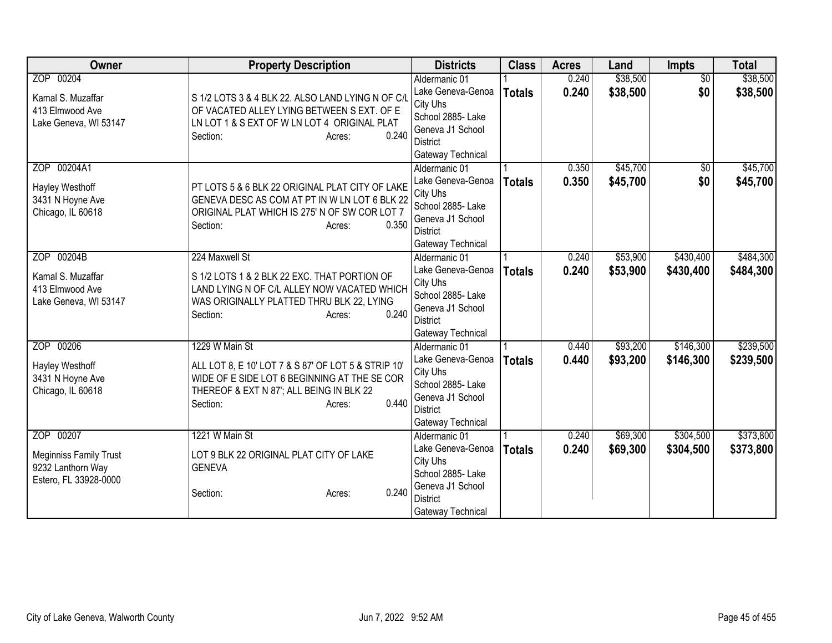| Owner                         | <b>Property Description</b>                         | <b>Districts</b>                     | <b>Class</b>  | <b>Acres</b> | Land     | <b>Impts</b>    | <b>Total</b> |
|-------------------------------|-----------------------------------------------------|--------------------------------------|---------------|--------------|----------|-----------------|--------------|
| ZOP 00204                     |                                                     | Aldermanic 01                        |               | 0.240        | \$38,500 | $\overline{50}$ | \$38,500     |
| Kamal S. Muzaffar             | S 1/2 LOTS 3 & 4 BLK 22. ALSO LAND LYING N OF C/L   | Lake Geneva-Genoa                    | <b>Totals</b> | 0.240        | \$38,500 | \$0             | \$38,500     |
| 413 Elmwood Ave               | OF VACATED ALLEY LYING BETWEEN S EXT. OF E          | City Uhs                             |               |              |          |                 |              |
| Lake Geneva, WI 53147         | LN LOT 1 & S EXT OF W LN LOT 4 ORIGINAL PLAT        | School 2885- Lake                    |               |              |          |                 |              |
|                               | 0.240<br>Section:<br>Acres:                         | Geneva J1 School                     |               |              |          |                 |              |
|                               |                                                     | <b>District</b><br>Gateway Technical |               |              |          |                 |              |
| ZOP 00204A1                   |                                                     | Aldermanic 01                        |               | 0.350        | \$45,700 | $\sqrt{6}$      | \$45,700     |
|                               |                                                     | Lake Geneva-Genoa                    | <b>Totals</b> | 0.350        | \$45,700 | \$0             | \$45,700     |
| Hayley Westhoff               | PT LOTS 5 & 6 BLK 22 ORIGINAL PLAT CITY OF LAKE     | City Uhs                             |               |              |          |                 |              |
| 3431 N Hoyne Ave              | GENEVA DESC AS COM AT PT IN W LN LOT 6 BLK 22       | School 2885- Lake                    |               |              |          |                 |              |
| Chicago, IL 60618             | ORIGINAL PLAT WHICH IS 275' N OF SW COR LOT 7       | Geneva J1 School                     |               |              |          |                 |              |
|                               | 0.350<br>Section:<br>Acres:                         | <b>District</b>                      |               |              |          |                 |              |
|                               |                                                     | Gateway Technical                    |               |              |          |                 |              |
| ZOP 00204B                    | 224 Maxwell St                                      | Aldermanic 01                        |               | 0.240        | \$53,900 | \$430,400       | \$484,300    |
| Kamal S. Muzaffar             | S 1/2 LOTS 1 & 2 BLK 22 EXC. THAT PORTION OF        | Lake Geneva-Genoa                    | <b>Totals</b> | 0.240        | \$53,900 | \$430,400       | \$484,300    |
| 413 Elmwood Ave               | LAND LYING N OF C/L ALLEY NOW VACATED WHICH         | City Uhs                             |               |              |          |                 |              |
| Lake Geneva, WI 53147         | WAS ORIGINALLY PLATTED THRU BLK 22, LYING           | School 2885- Lake                    |               |              |          |                 |              |
|                               | 0.240<br>Section:<br>Acres:                         | Geneva J1 School                     |               |              |          |                 |              |
|                               |                                                     | <b>District</b>                      |               |              |          |                 |              |
| ZOP 00206                     | 1229 W Main St                                      | Gateway Technical<br>Aldermanic 01   |               | 0.440        | \$93,200 | \$146,300       | \$239,500    |
|                               |                                                     | Lake Geneva-Genoa                    |               | 0.440        | \$93,200 | \$146,300       | \$239,500    |
| Hayley Westhoff               | ALL LOT 8, E 10' LOT 7 & S 87' OF LOT 5 & STRIP 10' | City Uhs                             | <b>Totals</b> |              |          |                 |              |
| 3431 N Hoyne Ave              | WIDE OF E SIDE LOT 6 BEGINNING AT THE SE COR        | School 2885- Lake                    |               |              |          |                 |              |
| Chicago, IL 60618             | THEREOF & EXT N 87'; ALL BEING IN BLK 22            | Geneva J1 School                     |               |              |          |                 |              |
|                               | 0.440<br>Section:<br>Acres:                         | <b>District</b>                      |               |              |          |                 |              |
|                               |                                                     | Gateway Technical                    |               |              |          |                 |              |
| ZOP 00207                     | 1221 W Main St                                      | Aldermanic 01                        |               | 0.240        | \$69,300 | \$304,500       | \$373,800    |
| <b>Meginniss Family Trust</b> | LOT 9 BLK 22 ORIGINAL PLAT CITY OF LAKE             | Lake Geneva-Genoa                    | <b>Totals</b> | 0.240        | \$69,300 | \$304,500       | \$373,800    |
| 9232 Lanthorn Way             | <b>GENEVA</b>                                       | City Uhs                             |               |              |          |                 |              |
| Estero, FL 33928-0000         |                                                     | School 2885- Lake                    |               |              |          |                 |              |
|                               | 0.240<br>Section:<br>Acres:                         | Geneva J1 School                     |               |              |          |                 |              |
|                               |                                                     | <b>District</b>                      |               |              |          |                 |              |
|                               |                                                     | Gateway Technical                    |               |              |          |                 |              |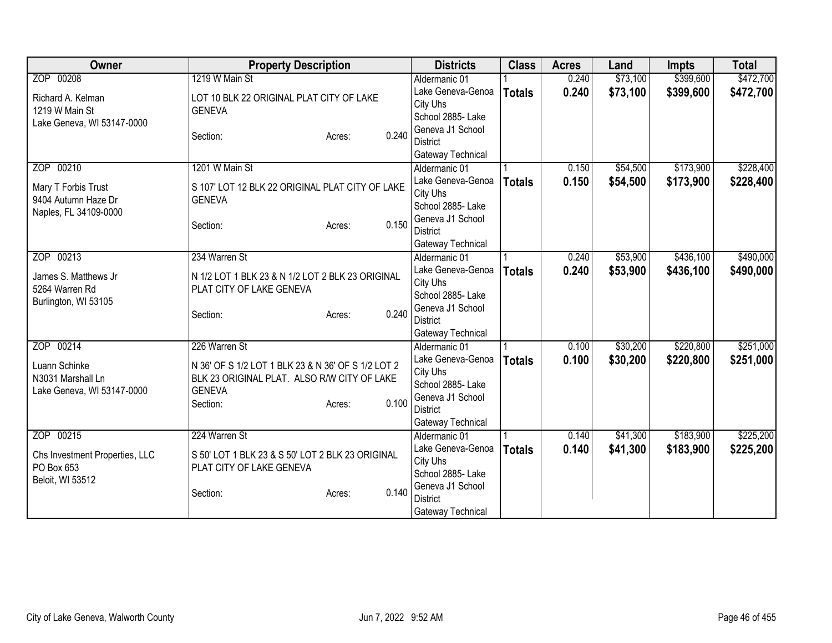| Owner                          | <b>Property Description</b>                        |                 | <b>Districts</b>                    | <b>Class</b>  | <b>Acres</b> | Land     | <b>Impts</b> | <b>Total</b> |
|--------------------------------|----------------------------------------------------|-----------------|-------------------------------------|---------------|--------------|----------|--------------|--------------|
| ZOP 00208                      | 1219 W Main St                                     |                 | Aldermanic 01                       |               | 0.240        | \$73,100 | \$399,600    | \$472,700    |
| Richard A. Kelman              | LOT 10 BLK 22 ORIGINAL PLAT CITY OF LAKE           |                 | Lake Geneva-Genoa                   | <b>Totals</b> | 0.240        | \$73,100 | \$399,600    | \$472,700    |
| 1219 W Main St                 | <b>GENEVA</b>                                      |                 | City Uhs                            |               |              |          |              |              |
| Lake Geneva, WI 53147-0000     |                                                    |                 | School 2885- Lake                   |               |              |          |              |              |
|                                | Section:                                           | 0.240<br>Acres: | Geneva J1 School                    |               |              |          |              |              |
|                                |                                                    |                 | <b>District</b>                     |               |              |          |              |              |
|                                |                                                    |                 | Gateway Technical                   |               |              |          |              |              |
| ZOP 00210                      | 1201 W Main St                                     |                 | Aldermanic 01                       |               | 0.150        | \$54,500 | \$173,900    | \$228,400    |
| Mary T Forbis Trust            | S 107' LOT 12 BLK 22 ORIGINAL PLAT CITY OF LAKE    |                 | Lake Geneva-Genoa                   | <b>Totals</b> | 0.150        | \$54,500 | \$173,900    | \$228,400    |
| 9404 Autumn Haze Dr            | <b>GENEVA</b>                                      |                 | City Uhs<br>School 2885- Lake       |               |              |          |              |              |
| Naples, FL 34109-0000          |                                                    |                 | Geneva J1 School                    |               |              |          |              |              |
|                                | Section:                                           | 0.150<br>Acres: | <b>District</b>                     |               |              |          |              |              |
|                                |                                                    |                 | Gateway Technical                   |               |              |          |              |              |
| ZOP 00213                      | 234 Warren St                                      |                 | Aldermanic 01                       |               | 0.240        | \$53,900 | \$436,100    | \$490,000    |
|                                |                                                    |                 | Lake Geneva-Genoa                   | <b>Totals</b> | 0.240        | \$53,900 | \$436,100    | \$490,000    |
| James S. Matthews Jr           | N 1/2 LOT 1 BLK 23 & N 1/2 LOT 2 BLK 23 ORIGINAL   |                 | City Uhs                            |               |              |          |              |              |
| 5264 Warren Rd                 | PLAT CITY OF LAKE GENEVA                           |                 | School 2885- Lake                   |               |              |          |              |              |
| Burlington, WI 53105           |                                                    |                 | Geneva J1 School                    |               |              |          |              |              |
|                                | Section:                                           | 0.240<br>Acres: | <b>District</b>                     |               |              |          |              |              |
|                                |                                                    |                 | Gateway Technical                   |               |              |          |              |              |
| ZOP 00214                      | 226 Warren St                                      |                 | Aldermanic 01                       |               | 0.100        | \$30,200 | \$220,800    | \$251,000    |
| Luann Schinke                  | N 36' OF S 1/2 LOT 1 BLK 23 & N 36' OF S 1/2 LOT 2 |                 | Lake Geneva-Genoa                   | <b>Totals</b> | 0.100        | \$30,200 | \$220,800    | \$251,000    |
| N3031 Marshall Ln              | BLK 23 ORIGINAL PLAT. ALSO R/W CITY OF LAKE        |                 | City Uhs                            |               |              |          |              |              |
| Lake Geneva, WI 53147-0000     | <b>GENEVA</b>                                      |                 | School 2885- Lake                   |               |              |          |              |              |
|                                | Section:                                           | 0.100<br>Acres: | Geneva J1 School                    |               |              |          |              |              |
|                                |                                                    |                 | <b>District</b>                     |               |              |          |              |              |
|                                |                                                    |                 | Gateway Technical                   |               |              |          |              |              |
| ZOP 00215                      | 224 Warren St                                      |                 | Aldermanic 01                       |               | 0.140        | \$41,300 | \$183,900    | \$225,200    |
| Chs Investment Properties, LLC | S 50' LOT 1 BLK 23 & S 50' LOT 2 BLK 23 ORIGINAL   |                 | Lake Geneva-Genoa                   | <b>Totals</b> | 0.140        | \$41,300 | \$183,900    | \$225,200    |
| PO Box 653                     | PLAT CITY OF LAKE GENEVA                           |                 | City Uhs                            |               |              |          |              |              |
| Beloit, WI 53512               |                                                    |                 | School 2885- Lake                   |               |              |          |              |              |
|                                | Section:                                           | 0.140<br>Acres: | Geneva J1 School<br><b>District</b> |               |              |          |              |              |
|                                |                                                    |                 | Gateway Technical                   |               |              |          |              |              |
|                                |                                                    |                 |                                     |               |              |          |              |              |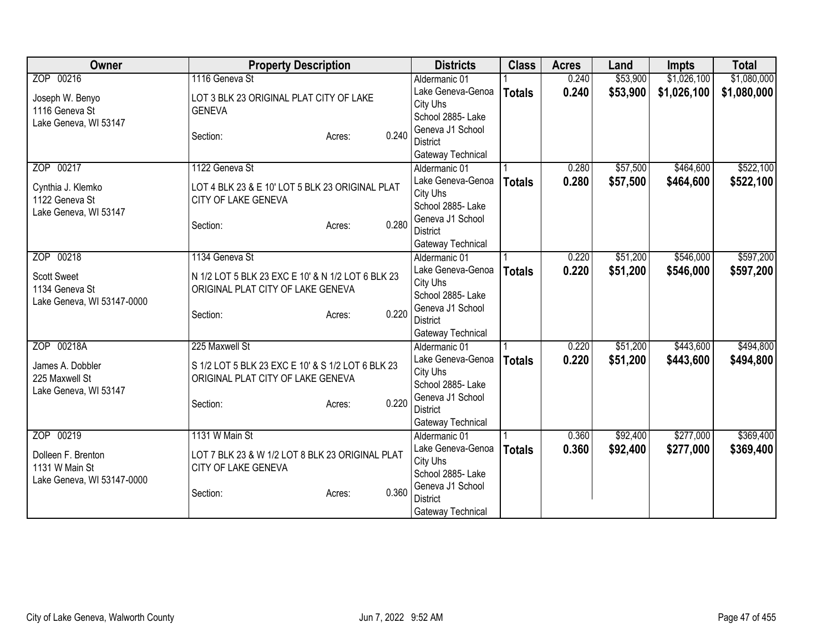| Owner                                        | <b>Property Description</b>                       | <b>Districts</b>                    | <b>Class</b>  | <b>Acres</b> | Land     | <b>Impts</b> | <b>Total</b> |
|----------------------------------------------|---------------------------------------------------|-------------------------------------|---------------|--------------|----------|--------------|--------------|
| ZOP 00216                                    | 1116 Geneva St                                    | Aldermanic 01                       |               | 0.240        | \$53,900 | \$1,026,100  | \$1,080,000  |
| Joseph W. Benyo                              | LOT 3 BLK 23 ORIGINAL PLAT CITY OF LAKE           | Lake Geneva-Genoa                   | <b>Totals</b> | 0.240        | \$53,900 | \$1,026,100  | \$1,080,000  |
| 1116 Geneva St                               | <b>GENEVA</b>                                     | City Uhs                            |               |              |          |              |              |
| Lake Geneva, WI 53147                        |                                                   | School 2885- Lake                   |               |              |          |              |              |
|                                              | 0.240<br>Section:<br>Acres:                       | Geneva J1 School                    |               |              |          |              |              |
|                                              |                                                   | <b>District</b>                     |               |              |          |              |              |
| ZOP 00217                                    | 1122 Geneva St                                    | Gateway Technical                   |               | 0.280        | \$57,500 | \$464,600    | \$522,100    |
|                                              |                                                   | Aldermanic 01<br>Lake Geneva-Genoa  |               | 0.280        |          |              |              |
| Cynthia J. Klemko                            | LOT 4 BLK 23 & E 10' LOT 5 BLK 23 ORIGINAL PLAT   | City Uhs                            | <b>Totals</b> |              | \$57,500 | \$464,600    | \$522,100    |
| 1122 Geneva St                               | CITY OF LAKE GENEVA                               | School 2885- Lake                   |               |              |          |              |              |
| Lake Geneva, WI 53147                        |                                                   | Geneva J1 School                    |               |              |          |              |              |
|                                              | 0.280<br>Section:<br>Acres:                       | <b>District</b>                     |               |              |          |              |              |
|                                              |                                                   | Gateway Technical                   |               |              |          |              |              |
| ZOP 00218                                    | 1134 Geneva St                                    | Aldermanic 01                       |               | 0.220        | \$51,200 | \$546,000    | \$597,200    |
|                                              |                                                   | Lake Geneva-Genoa                   | <b>Totals</b> | 0.220        | \$51,200 | \$546,000    | \$597,200    |
| <b>Scott Sweet</b>                           | N 1/2 LOT 5 BLK 23 EXC E 10' & N 1/2 LOT 6 BLK 23 | City Uhs                            |               |              |          |              |              |
| 1134 Geneva St<br>Lake Geneva, WI 53147-0000 | ORIGINAL PLAT CITY OF LAKE GENEVA                 | School 2885- Lake                   |               |              |          |              |              |
|                                              | 0.220<br>Section:<br>Acres:                       | Geneva J1 School                    |               |              |          |              |              |
|                                              |                                                   | <b>District</b>                     |               |              |          |              |              |
|                                              |                                                   | Gateway Technical                   |               |              |          |              |              |
| ZOP 00218A                                   | 225 Maxwell St                                    | Aldermanic 01                       |               | 0.220        | \$51,200 | \$443,600    | \$494,800    |
| James A. Dobbler                             | S 1/2 LOT 5 BLK 23 EXC E 10' & S 1/2 LOT 6 BLK 23 | Lake Geneva-Genoa                   | <b>Totals</b> | 0.220        | \$51,200 | \$443,600    | \$494,800    |
| 225 Maxwell St                               | ORIGINAL PLAT CITY OF LAKE GENEVA                 | City Uhs                            |               |              |          |              |              |
| Lake Geneva, WI 53147                        |                                                   | School 2885- Lake                   |               |              |          |              |              |
|                                              | 0.220<br>Section:<br>Acres:                       | Geneva J1 School<br><b>District</b> |               |              |          |              |              |
|                                              |                                                   | Gateway Technical                   |               |              |          |              |              |
| ZOP 00219                                    | 1131 W Main St                                    | Aldermanic 01                       |               | 0.360        | \$92,400 | \$277,000    | \$369,400    |
|                                              |                                                   | Lake Geneva-Genoa                   | <b>Totals</b> | 0.360        | \$92,400 | \$277,000    | \$369,400    |
| Dolleen F. Brenton                           | LOT 7 BLK 23 & W 1/2 LOT 8 BLK 23 ORIGINAL PLAT   | City Uhs                            |               |              |          |              |              |
| 1131 W Main St                               | CITY OF LAKE GENEVA                               | School 2885- Lake                   |               |              |          |              |              |
| Lake Geneva, WI 53147-0000                   |                                                   | Geneva J1 School                    |               |              |          |              |              |
|                                              | 0.360<br>Section:<br>Acres:                       | <b>District</b>                     |               |              |          |              |              |
|                                              |                                                   | Gateway Technical                   |               |              |          |              |              |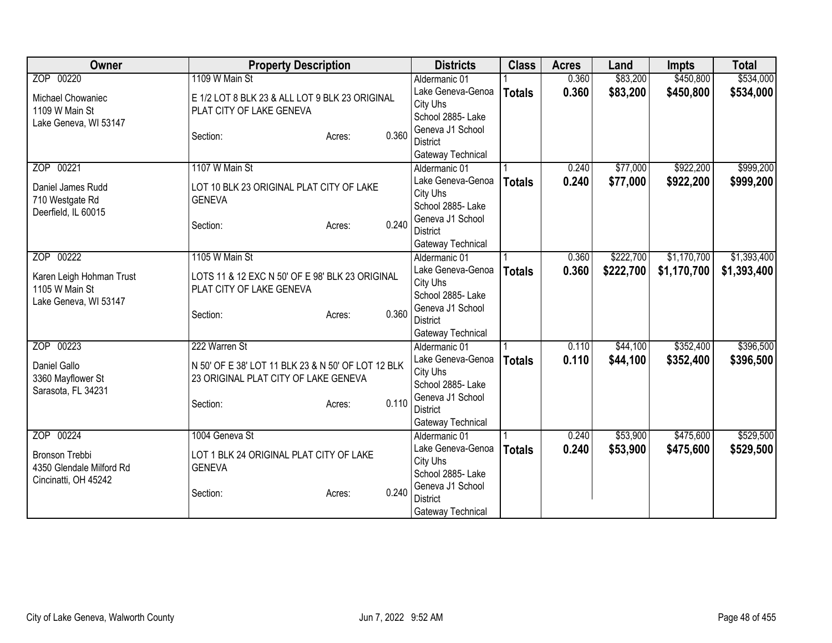| Owner                    | <b>Property Description</b>                                                                |       | <b>Districts</b>                   | <b>Class</b>  | <b>Acres</b> | Land      | <b>Impts</b> | <b>Total</b> |
|--------------------------|--------------------------------------------------------------------------------------------|-------|------------------------------------|---------------|--------------|-----------|--------------|--------------|
| ZOP 00220                | 1109 W Main St                                                                             |       | Aldermanic 01                      |               | 0.360        | \$83,200  | \$450,800    | \$534,000    |
| Michael Chowaniec        | E 1/2 LOT 8 BLK 23 & ALL LOT 9 BLK 23 ORIGINAL                                             |       | Lake Geneva-Genoa                  | <b>Totals</b> | 0.360        | \$83,200  | \$450,800    | \$534,000    |
| 1109 W Main St           | PLAT CITY OF LAKE GENEVA                                                                   |       | City Uhs                           |               |              |           |              |              |
| Lake Geneva, WI 53147    |                                                                                            |       | School 2885- Lake                  |               |              |           |              |              |
|                          | Section:<br>Acres:                                                                         | 0.360 | Geneva J1 School                   |               |              |           |              |              |
|                          |                                                                                            |       | <b>District</b>                    |               |              |           |              |              |
|                          |                                                                                            |       | Gateway Technical                  |               |              |           |              |              |
| ZOP 00221                | 1107 W Main St                                                                             |       | Aldermanic 01                      |               | 0.240        | \$77,000  | \$922,200    | \$999,200    |
| Daniel James Rudd        | LOT 10 BLK 23 ORIGINAL PLAT CITY OF LAKE                                                   |       | Lake Geneva-Genoa                  | <b>Totals</b> | 0.240        | \$77,000  | \$922,200    | \$999,200    |
| 710 Westgate Rd          | <b>GENEVA</b>                                                                              |       | City Uhs                           |               |              |           |              |              |
| Deerfield, IL 60015      |                                                                                            |       | School 2885- Lake                  |               |              |           |              |              |
|                          | Section:<br>Acres:                                                                         | 0.240 | Geneva J1 School                   |               |              |           |              |              |
|                          |                                                                                            |       | <b>District</b>                    |               |              |           |              |              |
| ZOP 00222                | 1105 W Main St                                                                             |       | Gateway Technical<br>Aldermanic 01 |               | 0.360        | \$222,700 | \$1,170,700  | \$1,393,400  |
|                          |                                                                                            |       | Lake Geneva-Genoa                  |               |              |           |              |              |
| Karen Leigh Hohman Trust | LOTS 11 & 12 EXC N 50' OF E 98' BLK 23 ORIGINAL                                            |       | City Uhs                           | <b>Totals</b> | 0.360        | \$222,700 | \$1,170,700  | \$1,393,400  |
| 1105 W Main St           | PLAT CITY OF LAKE GENEVA                                                                   |       | School 2885- Lake                  |               |              |           |              |              |
| Lake Geneva, WI 53147    |                                                                                            |       | Geneva J1 School                   |               |              |           |              |              |
|                          | Section:<br>Acres:                                                                         | 0.360 | <b>District</b>                    |               |              |           |              |              |
|                          |                                                                                            |       | Gateway Technical                  |               |              |           |              |              |
| ZOP 00223                | 222 Warren St                                                                              |       | Aldermanic 01                      |               | 0.110        | \$44,100  | \$352,400    | \$396,500    |
|                          |                                                                                            |       | Lake Geneva-Genoa                  | <b>Totals</b> | 0.110        | \$44,100  | \$352,400    | \$396,500    |
| Daniel Gallo             | N 50' OF E 38' LOT 11 BLK 23 & N 50' OF LOT 12 BLK<br>23 ORIGINAL PLAT CITY OF LAKE GENEVA |       | City Uhs                           |               |              |           |              |              |
| 3360 Mayflower St        |                                                                                            |       | School 2885- Lake                  |               |              |           |              |              |
| Sarasota, FL 34231       | Section:<br>Acres:                                                                         | 0.110 | Geneva J1 School                   |               |              |           |              |              |
|                          |                                                                                            |       | <b>District</b>                    |               |              |           |              |              |
|                          |                                                                                            |       | Gateway Technical                  |               |              |           |              |              |
| ZOP 00224                | 1004 Geneva St                                                                             |       | Aldermanic 01                      |               | 0.240        | \$53,900  | \$475,600    | \$529,500    |
| <b>Bronson Trebbi</b>    | LOT 1 BLK 24 ORIGINAL PLAT CITY OF LAKE                                                    |       | Lake Geneva-Genoa                  | <b>Totals</b> | 0.240        | \$53,900  | \$475,600    | \$529,500    |
| 4350 Glendale Milford Rd | <b>GENEVA</b>                                                                              |       | City Uhs                           |               |              |           |              |              |
| Cincinatti, OH 45242     |                                                                                            |       | School 2885- Lake                  |               |              |           |              |              |
|                          | Section:<br>Acres:                                                                         | 0.240 | Geneva J1 School                   |               |              |           |              |              |
|                          |                                                                                            |       | <b>District</b>                    |               |              |           |              |              |
|                          |                                                                                            |       | Gateway Technical                  |               |              |           |              |              |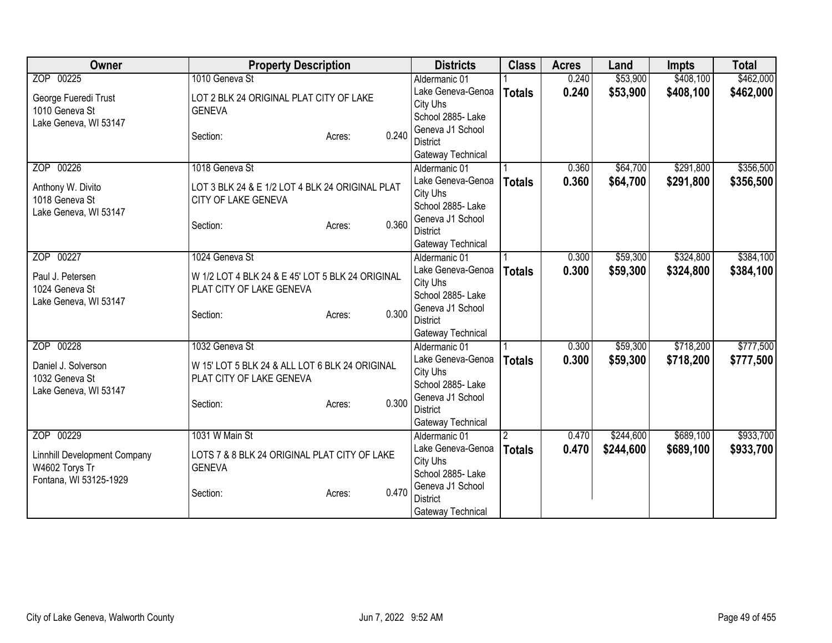| Owner                               | <b>Property Description</b>                      |       | <b>Districts</b>  | <b>Class</b>  | <b>Acres</b> | Land      | <b>Impts</b> | <b>Total</b> |
|-------------------------------------|--------------------------------------------------|-------|-------------------|---------------|--------------|-----------|--------------|--------------|
| ZOP 00225                           | 1010 Geneva St                                   |       | Aldermanic 01     |               | 0.240        | \$53,900  | \$408,100    | \$462,000    |
| George Fueredi Trust                | LOT 2 BLK 24 ORIGINAL PLAT CITY OF LAKE          |       | Lake Geneva-Genoa | <b>Totals</b> | 0.240        | \$53,900  | \$408,100    | \$462,000    |
| 1010 Geneva St                      | <b>GENEVA</b>                                    |       | City Uhs          |               |              |           |              |              |
| Lake Geneva, WI 53147               |                                                  |       | School 2885- Lake |               |              |           |              |              |
|                                     | Section:<br>Acres:                               | 0.240 | Geneva J1 School  |               |              |           |              |              |
|                                     |                                                  |       | District          |               |              |           |              |              |
|                                     |                                                  |       | Gateway Technical |               |              |           |              |              |
| ZOP 00226                           | 1018 Geneva St                                   |       | Aldermanic 01     |               | 0.360        | \$64,700  | \$291,800    | \$356,500    |
| Anthony W. Divito                   | LOT 3 BLK 24 & E 1/2 LOT 4 BLK 24 ORIGINAL PLAT  |       | Lake Geneva-Genoa | <b>Totals</b> | 0.360        | \$64,700  | \$291,800    | \$356,500    |
| 1018 Geneva St                      | CITY OF LAKE GENEVA                              |       | City Uhs          |               |              |           |              |              |
| Lake Geneva, WI 53147               |                                                  |       | School 2885- Lake |               |              |           |              |              |
|                                     | Section:<br>Acres:                               | 0.360 | Geneva J1 School  |               |              |           |              |              |
|                                     |                                                  |       | <b>District</b>   |               |              |           |              |              |
|                                     |                                                  |       | Gateway Technical |               |              |           |              |              |
| ZOP 00227                           | 1024 Geneva St                                   |       | Aldermanic 01     |               | 0.300        | \$59,300  | \$324,800    | \$384,100    |
| Paul J. Petersen                    | W 1/2 LOT 4 BLK 24 & E 45' LOT 5 BLK 24 ORIGINAL |       | Lake Geneva-Genoa | <b>Totals</b> | 0.300        | \$59,300  | \$324,800    | \$384,100    |
| 1024 Geneva St                      | PLAT CITY OF LAKE GENEVA                         |       | City Uhs          |               |              |           |              |              |
| Lake Geneva, WI 53147               |                                                  |       | School 2885- Lake |               |              |           |              |              |
|                                     | Section:<br>Acres:                               | 0.300 | Geneva J1 School  |               |              |           |              |              |
|                                     |                                                  |       | <b>District</b>   |               |              |           |              |              |
|                                     |                                                  |       | Gateway Technical |               |              |           |              |              |
| ZOP 00228                           | 1032 Geneva St                                   |       | Aldermanic 01     |               | 0.300        | \$59,300  | \$718,200    | \$777,500    |
| Daniel J. Solverson                 | W 15' LOT 5 BLK 24 & ALL LOT 6 BLK 24 ORIGINAL   |       | Lake Geneva-Genoa | <b>Totals</b> | 0.300        | \$59,300  | \$718,200    | \$777,500    |
| 1032 Geneva St                      | PLAT CITY OF LAKE GENEVA                         |       | City Uhs          |               |              |           |              |              |
| Lake Geneva, WI 53147               |                                                  |       | School 2885- Lake |               |              |           |              |              |
|                                     | Section:<br>Acres:                               | 0.300 | Geneva J1 School  |               |              |           |              |              |
|                                     |                                                  |       | <b>District</b>   |               |              |           |              |              |
|                                     |                                                  |       | Gateway Technical |               |              |           |              |              |
| ZOP 00229                           | 1031 W Main St                                   |       | Aldermanic 01     | 2             | 0.470        | \$244,600 | \$689,100    | \$933,700    |
| <b>Linnhill Development Company</b> | LOTS 7 & 8 BLK 24 ORIGINAL PLAT CITY OF LAKE     |       | Lake Geneva-Genoa | <b>Totals</b> | 0.470        | \$244,600 | \$689,100    | \$933,700    |
| W4602 Torys Tr                      | <b>GENEVA</b>                                    |       | City Uhs          |               |              |           |              |              |
| Fontana, WI 53125-1929              |                                                  |       | School 2885- Lake |               |              |           |              |              |
|                                     | Section:<br>Acres:                               | 0.470 | Geneva J1 School  |               |              |           |              |              |
|                                     |                                                  |       | <b>District</b>   |               |              |           |              |              |
|                                     |                                                  |       | Gateway Technical |               |              |           |              |              |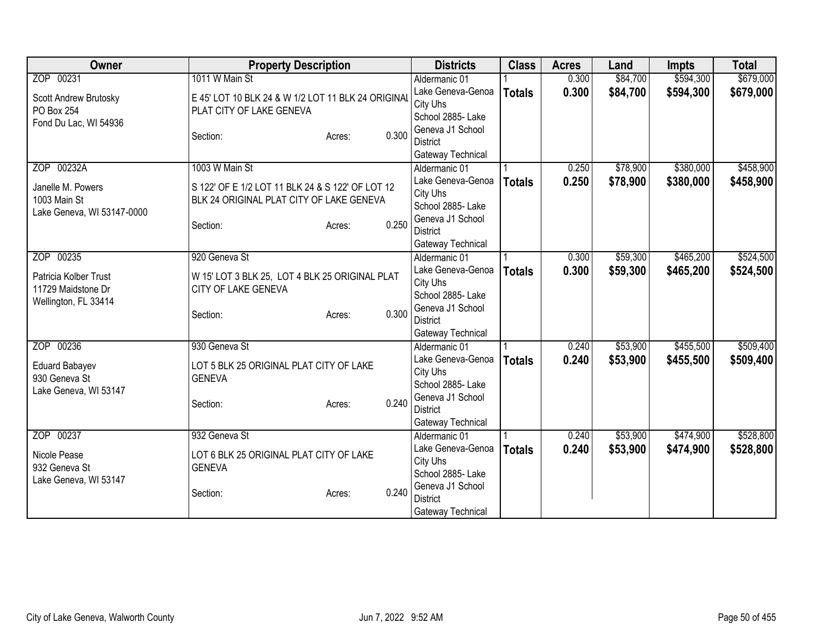| Owner                      | <b>Property Description</b>                        | <b>Districts</b>  | <b>Class</b>  | <b>Acres</b> | Land     | <b>Impts</b> | <b>Total</b> |
|----------------------------|----------------------------------------------------|-------------------|---------------|--------------|----------|--------------|--------------|
| ZOP 00231                  | 1011 W Main St                                     | Aldermanic 01     |               | 0.300        | \$84,700 | \$594,300    | \$679,000    |
| Scott Andrew Brutosky      | E 45' LOT 10 BLK 24 & W 1/2 LOT 11 BLK 24 ORIGINAL | Lake Geneva-Genoa | <b>Totals</b> | 0.300        | \$84,700 | \$594,300    | \$679,000    |
| PO Box 254                 | PLAT CITY OF LAKE GENEVA                           | City Uhs          |               |              |          |              |              |
| Fond Du Lac, WI 54936      |                                                    | School 2885- Lake |               |              |          |              |              |
|                            | 0.300<br>Section:<br>Acres:                        | Geneva J1 School  |               |              |          |              |              |
|                            |                                                    | <b>District</b>   |               |              |          |              |              |
|                            |                                                    | Gateway Technical |               |              |          |              |              |
| ZOP 00232A                 | 1003 W Main St                                     | Aldermanic 01     |               | 0.250        | \$78,900 | \$380,000    | \$458,900    |
| Janelle M. Powers          | S 122' OF E 1/2 LOT 11 BLK 24 & S 122' OF LOT 12   | Lake Geneva-Genoa | <b>Totals</b> | 0.250        | \$78,900 | \$380,000    | \$458,900    |
| 1003 Main St               | BLK 24 ORIGINAL PLAT CITY OF LAKE GENEVA           | City Uhs          |               |              |          |              |              |
| Lake Geneva, WI 53147-0000 |                                                    | School 2885- Lake |               |              |          |              |              |
|                            | 0.250<br>Section:<br>Acres:                        | Geneva J1 School  |               |              |          |              |              |
|                            |                                                    | <b>District</b>   |               |              |          |              |              |
|                            |                                                    | Gateway Technical |               |              |          |              |              |
| ZOP 00235                  | 920 Geneva St                                      | Aldermanic 01     |               | 0.300        | \$59,300 | \$465,200    | \$524,500    |
| Patricia Kolber Trust      | W 15' LOT 3 BLK 25, LOT 4 BLK 25 ORIGINAL PLAT     | Lake Geneva-Genoa | <b>Totals</b> | 0.300        | \$59,300 | \$465,200    | \$524,500    |
| 11729 Maidstone Dr         | CITY OF LAKE GENEVA                                | City Uhs          |               |              |          |              |              |
| Wellington, FL 33414       |                                                    | School 2885- Lake |               |              |          |              |              |
|                            | 0.300<br>Section:<br>Acres:                        | Geneva J1 School  |               |              |          |              |              |
|                            |                                                    | <b>District</b>   |               |              |          |              |              |
|                            |                                                    | Gateway Technical |               |              |          |              |              |
| ZOP 00236                  | 930 Geneva St                                      | Aldermanic 01     |               | 0.240        | \$53,900 | \$455,500    | \$509,400    |
| <b>Eduard Babayev</b>      | LOT 5 BLK 25 ORIGINAL PLAT CITY OF LAKE            | Lake Geneva-Genoa | <b>Totals</b> | 0.240        | \$53,900 | \$455,500    | \$509,400    |
| 930 Geneva St              | <b>GENEVA</b>                                      | City Uhs          |               |              |          |              |              |
| Lake Geneva, WI 53147      |                                                    | School 2885- Lake |               |              |          |              |              |
|                            | 0.240<br>Section:<br>Acres:                        | Geneva J1 School  |               |              |          |              |              |
|                            |                                                    | <b>District</b>   |               |              |          |              |              |
|                            |                                                    | Gateway Technical |               |              |          |              |              |
| ZOP 00237                  | 932 Geneva St                                      | Aldermanic 01     |               | 0.240        | \$53,900 | \$474,900    | \$528,800    |
| Nicole Pease               | LOT 6 BLK 25 ORIGINAL PLAT CITY OF LAKE            | Lake Geneva-Genoa | <b>Totals</b> | 0.240        | \$53,900 | \$474,900    | \$528,800    |
| 932 Geneva St              | <b>GENEVA</b>                                      | City Uhs          |               |              |          |              |              |
| Lake Geneva, WI 53147      |                                                    | School 2885- Lake |               |              |          |              |              |
|                            | 0.240<br>Section:<br>Acres:                        | Geneva J1 School  |               |              |          |              |              |
|                            |                                                    | <b>District</b>   |               |              |          |              |              |
|                            |                                                    | Gateway Technical |               |              |          |              |              |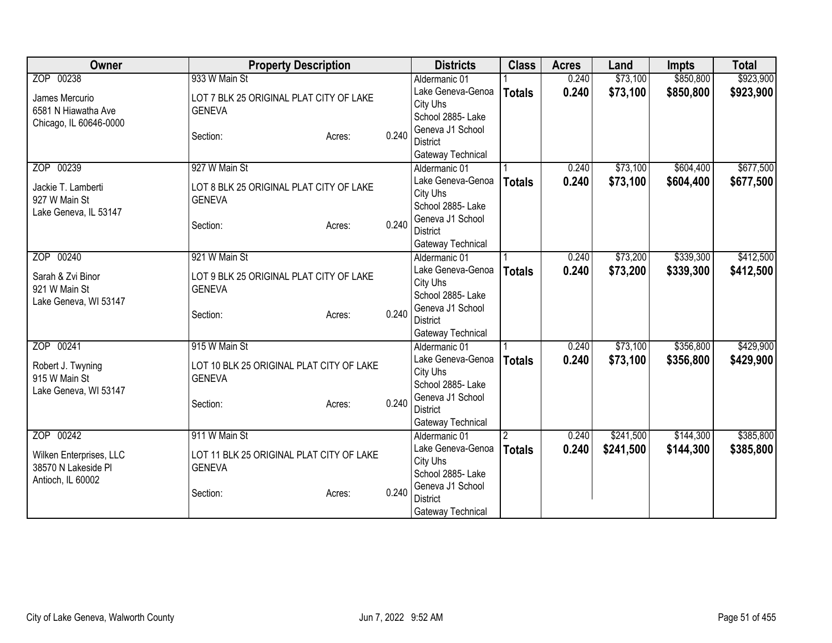| Owner                                          | <b>Property Description</b>                               |                 | <b>Districts</b>                   | <b>Class</b>   | <b>Acres</b> | Land      | <b>Impts</b> | <b>Total</b> |
|------------------------------------------------|-----------------------------------------------------------|-----------------|------------------------------------|----------------|--------------|-----------|--------------|--------------|
| ZOP 00238                                      | 933 W Main St                                             |                 | Aldermanic 01                      |                | 0.240        | \$73,100  | \$850,800    | \$923,900    |
| James Mercurio                                 | LOT 7 BLK 25 ORIGINAL PLAT CITY OF LAKE                   |                 | Lake Geneva-Genoa                  | <b>Totals</b>  | 0.240        | \$73,100  | \$850,800    | \$923,900    |
| 6581 N Hiawatha Ave                            | <b>GENEVA</b>                                             |                 | City Uhs                           |                |              |           |              |              |
| Chicago, IL 60646-0000                         |                                                           |                 | School 2885- Lake                  |                |              |           |              |              |
|                                                | Section:                                                  | 0.240<br>Acres: | Geneva J1 School                   |                |              |           |              |              |
|                                                |                                                           |                 | <b>District</b>                    |                |              |           |              |              |
| ZOP 00239                                      | 927 W Main St                                             |                 | Gateway Technical<br>Aldermanic 01 |                | 0.240        | \$73,100  | \$604,400    | \$677,500    |
|                                                |                                                           |                 | Lake Geneva-Genoa                  | <b>Totals</b>  | 0.240        | \$73,100  | \$604,400    | \$677,500    |
| Jackie T. Lamberti                             | LOT 8 BLK 25 ORIGINAL PLAT CITY OF LAKE                   |                 | City Uhs                           |                |              |           |              |              |
| 927 W Main St                                  | <b>GENEVA</b>                                             |                 | School 2885- Lake                  |                |              |           |              |              |
| Lake Geneva, IL 53147                          |                                                           |                 | Geneva J1 School                   |                |              |           |              |              |
|                                                | Section:                                                  | 0.240<br>Acres: | <b>District</b>                    |                |              |           |              |              |
|                                                |                                                           |                 | Gateway Technical                  |                |              |           |              |              |
| ZOP 00240                                      | 921 W Main St                                             |                 | Aldermanic 01                      |                | 0.240        | \$73,200  | \$339,300    | \$412,500    |
| Sarah & Zvi Binor                              | LOT 9 BLK 25 ORIGINAL PLAT CITY OF LAKE                   |                 | Lake Geneva-Genoa                  | <b>Totals</b>  | 0.240        | \$73,200  | \$339,300    | \$412,500    |
| 921 W Main St                                  | <b>GENEVA</b>                                             |                 | City Uhs                           |                |              |           |              |              |
| Lake Geneva, WI 53147                          |                                                           |                 | School 2885- Lake                  |                |              |           |              |              |
|                                                | Section:                                                  | 0.240<br>Acres: | Geneva J1 School                   |                |              |           |              |              |
|                                                |                                                           |                 | <b>District</b>                    |                |              |           |              |              |
|                                                |                                                           |                 | Gateway Technical                  |                |              |           |              |              |
| ZOP 00241                                      | 915 W Main St                                             |                 | Aldermanic 01                      |                | 0.240        | \$73,100  | \$356,800    | \$429,900    |
| Robert J. Twyning                              | LOT 10 BLK 25 ORIGINAL PLAT CITY OF LAKE                  |                 | Lake Geneva-Genoa<br>City Uhs      | <b>Totals</b>  | 0.240        | \$73,100  | \$356,800    | \$429,900    |
| 915 W Main St                                  | <b>GENEVA</b>                                             |                 | School 2885- Lake                  |                |              |           |              |              |
| Lake Geneva, WI 53147                          |                                                           |                 | Geneva J1 School                   |                |              |           |              |              |
|                                                | Section:                                                  | 0.240<br>Acres: | <b>District</b>                    |                |              |           |              |              |
|                                                |                                                           |                 | Gateway Technical                  |                |              |           |              |              |
| ZOP 00242                                      | 911 W Main St                                             |                 | Aldermanic 01                      | $\overline{2}$ | 0.240        | \$241,500 | \$144,300    | \$385,800    |
|                                                |                                                           |                 | Lake Geneva-Genoa                  | <b>Totals</b>  | 0.240        | \$241,500 | \$144,300    | \$385,800    |
| Wilken Enterprises, LLC<br>38570 N Lakeside PI | LOT 11 BLK 25 ORIGINAL PLAT CITY OF LAKE<br><b>GENEVA</b> |                 | City Uhs                           |                |              |           |              |              |
| Antioch, IL 60002                              |                                                           |                 | School 2885- Lake                  |                |              |           |              |              |
|                                                | Section:                                                  | 0.240<br>Acres: | Geneva J1 School                   |                |              |           |              |              |
|                                                |                                                           |                 | <b>District</b>                    |                |              |           |              |              |
|                                                |                                                           |                 | Gateway Technical                  |                |              |           |              |              |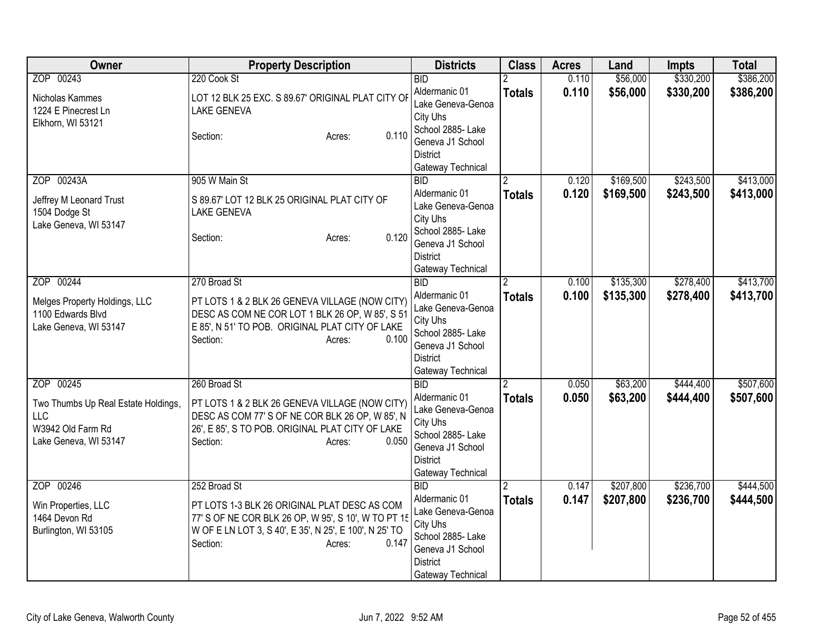| Owner                                                                                                        | <b>Property Description</b>                                                                                                                                                                                  | <b>Districts</b>                                                                                                                                                                            | <b>Class</b>       | <b>Acres</b>   | Land                   | <b>Impts</b>           | <b>Total</b>           |
|--------------------------------------------------------------------------------------------------------------|--------------------------------------------------------------------------------------------------------------------------------------------------------------------------------------------------------------|---------------------------------------------------------------------------------------------------------------------------------------------------------------------------------------------|--------------------|----------------|------------------------|------------------------|------------------------|
| ZOP 00243<br>Nicholas Kammes<br>1224 E Pinecrest Ln<br>Elkhorn, WI 53121                                     | 220 Cook St<br>LOT 12 BLK 25 EXC. S 89.67' ORIGINAL PLAT CITY OF<br><b>LAKE GENEVA</b><br>0.110<br>Section:<br>Acres:                                                                                        | <b>BID</b><br>Aldermanic 01<br>Lake Geneva-Genoa<br>City Uhs<br>School 2885- Lake<br>Geneva J1 School                                                                                       | <b>Totals</b>      | 0.110<br>0.110 | \$56,000<br>\$56,000   | \$330,200<br>\$330,200 | \$386,200<br>\$386,200 |
| ZOP 00243A<br>Jeffrey M Leonard Trust<br>1504 Dodge St<br>Lake Geneva, WI 53147                              | 905 W Main St<br>S 89.67' LOT 12 BLK 25 ORIGINAL PLAT CITY OF<br><b>LAKE GENEVA</b><br>0.120<br>Section:<br>Acres:                                                                                           | <b>District</b><br>Gateway Technical<br>$\overline{BID}$<br>Aldermanic 01<br>Lake Geneva-Genoa<br>City Uhs<br>School 2885- Lake<br>Geneva J1 School<br><b>District</b><br>Gateway Technical | <b>Totals</b>      | 0.120<br>0.120 | \$169,500<br>\$169,500 | \$243,500<br>\$243,500 | \$413,000<br>\$413,000 |
| ZOP 00244<br>Melges Property Holdings, LLC<br>1100 Edwards Blvd<br>Lake Geneva, WI 53147                     | 270 Broad St<br>PT LOTS 1 & 2 BLK 26 GENEVA VILLAGE (NOW CITY)<br>DESC AS COM NE COR LOT 1 BLK 26 OP, W 85', S 51<br>E 85', N 51' TO POB. ORIGINAL PLAT CITY OF LAKE<br>0.100<br>Section:<br>Acres:          | <b>BID</b><br>Aldermanic 01<br>Lake Geneva-Genoa<br>City Uhs<br>School 2885- Lake<br>Geneva J1 School<br><b>District</b><br>Gateway Technical                                               | 2<br><b>Totals</b> | 0.100<br>0.100 | \$135,300<br>\$135,300 | \$278,400<br>\$278,400 | \$413,700<br>\$413,700 |
| ZOP 00245<br>Two Thumbs Up Real Estate Holdings,<br><b>LLC</b><br>W3942 Old Farm Rd<br>Lake Geneva, WI 53147 | 260 Broad St<br>PT LOTS 1 & 2 BLK 26 GENEVA VILLAGE (NOW CITY)<br>DESC AS COM 77' S OF NE COR BLK 26 OP, W 85', N<br>26', E 85', S TO POB. ORIGINAL PLAT CITY OF LAKE<br>Section:<br>0.050<br>Acres:         | BID<br>Aldermanic 01<br>Lake Geneva-Genoa<br>City Uhs<br>School 2885- Lake<br>Geneva J1 School<br><b>District</b><br>Gateway Technical                                                      | <b>Totals</b>      | 0.050<br>0.050 | \$63,200<br>\$63,200   | \$444,400<br>\$444,400 | \$507,600<br>\$507,600 |
| ZOP 00246<br>Win Properties, LLC<br>1464 Devon Rd<br>Burlington, WI 53105                                    | 252 Broad St<br>PT LOTS 1-3 BLK 26 ORIGINAL PLAT DESC AS COM<br>77' S OF NE COR BLK 26 OP, W 95', S 10', W TO PT 15<br>W OF E LN LOT 3, S 40', E 35', N 25', E 100', N 25' TO<br>0.147<br>Section:<br>Acres: | BID<br>Aldermanic 01<br>Lake Geneva-Genoa<br>City Uhs<br>School 2885- Lake<br>Geneva J1 School<br><b>District</b><br>Gateway Technical                                                      | 2<br><b>Totals</b> | 0.147<br>0.147 | \$207,800<br>\$207,800 | \$236,700<br>\$236,700 | \$444,500<br>\$444,500 |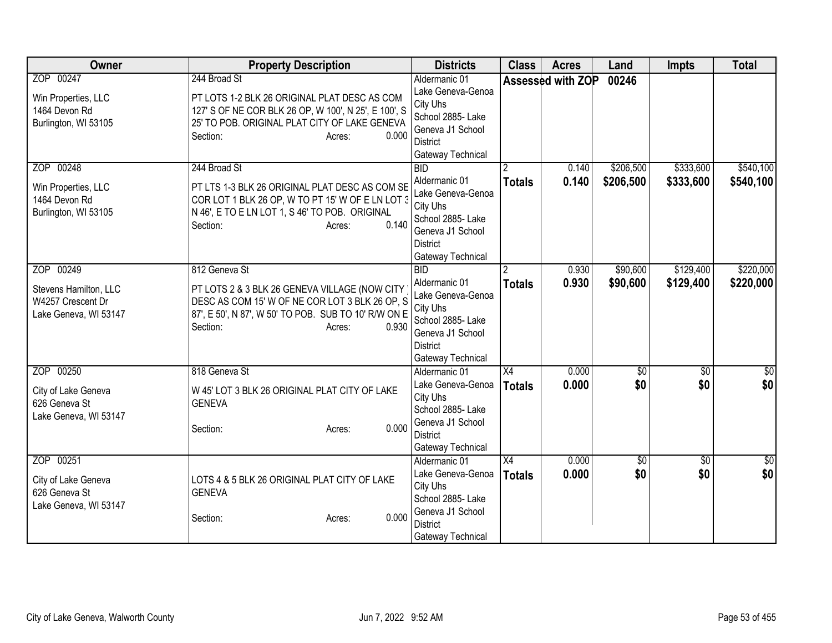| Owner                                                                            | <b>Property Description</b>                                                                                                                                                                             | <b>Districts</b>                                                                                                                       | <b>Class</b>        | <b>Acres</b>      | Land                   | <b>Impts</b>           | <b>Total</b>           |
|----------------------------------------------------------------------------------|---------------------------------------------------------------------------------------------------------------------------------------------------------------------------------------------------------|----------------------------------------------------------------------------------------------------------------------------------------|---------------------|-------------------|------------------------|------------------------|------------------------|
| ZOP 00247<br>Win Properties, LLC<br>1464 Devon Rd<br>Burlington, WI 53105        | 244 Broad St<br>PT LOTS 1-2 BLK 26 ORIGINAL PLAT DESC AS COM<br>127' S OF NE COR BLK 26 OP, W 100', N 25', E 100', S<br>25' TO POB. ORIGINAL PLAT CITY OF LAKE GENEVA<br>0.000<br>Section:<br>Acres:    | Aldermanic 01<br>Lake Geneva-Genoa<br>City Uhs<br>School 2885- Lake<br>Geneva J1 School<br><b>District</b><br>Gateway Technical        |                     | Assessed with ZOP | 00246                  |                        |                        |
| ZOP 00248<br>Win Properties, LLC<br>1464 Devon Rd<br>Burlington, WI 53105        | 244 Broad St<br>PT LTS 1-3 BLK 26 ORIGINAL PLAT DESC AS COM SE<br>COR LOT 1 BLK 26 OP, W TO PT 15' W OF E LN LOT 3<br>N 46', E TO E LN LOT 1, S 46' TO POB. ORIGINAL<br>0.140<br>Section:<br>Acres:     | BID<br>Aldermanic 01<br>Lake Geneva-Genoa<br>City Uhs<br>School 2885- Lake<br>Geneva J1 School<br><b>District</b><br>Gateway Technical | <b>Totals</b>       | 0.140<br>0.140    | \$206,500<br>\$206,500 | \$333,600<br>\$333,600 | \$540,100<br>\$540,100 |
| ZOP 00249<br>Stevens Hamilton, LLC<br>W4257 Crescent Dr<br>Lake Geneva, WI 53147 | 812 Geneva St<br>PT LOTS 2 & 3 BLK 26 GENEVA VILLAGE (NOW CITY<br>DESC AS COM 15' W OF NE COR LOT 3 BLK 26 OP, S<br>87', E 50', N 87', W 50' TO POB. SUB TO 10' R/W ON E<br>0.930<br>Section:<br>Acres: | BD<br>Aldermanic 01<br>Lake Geneva-Genoa<br>City Uhs<br>School 2885- Lake<br>Geneva J1 School<br><b>District</b><br>Gateway Technical  | <b>Totals</b>       | 0.930<br>0.930    | \$90,600<br>\$90,600   | \$129,400<br>\$129,400 | \$220,000<br>\$220,000 |
| ZOP 00250<br>City of Lake Geneva<br>626 Geneva St<br>Lake Geneva, WI 53147       | 818 Geneva St<br>W 45' LOT 3 BLK 26 ORIGINAL PLAT CITY OF LAKE<br><b>GENEVA</b><br>0.000<br>Section:<br>Acres:                                                                                          | Aldermanic 01<br>Lake Geneva-Genoa<br>City Uhs<br>School 2885- Lake<br>Geneva J1 School<br><b>District</b><br>Gateway Technical        | X4<br><b>Totals</b> | 0.000<br>0.000    | $\overline{60}$<br>\$0 | $\overline{50}$<br>\$0 | \$0<br>\$0             |
| ZOP 00251<br>City of Lake Geneva<br>626 Geneva St<br>Lake Geneva, WI 53147       | LOTS 4 & 5 BLK 26 ORIGINAL PLAT CITY OF LAKE<br><b>GENEVA</b><br>0.000<br>Section:<br>Acres:                                                                                                            | Aldermanic 01<br>Lake Geneva-Genoa<br>City Uhs<br>School 2885- Lake<br>Geneva J1 School<br><b>District</b><br>Gateway Technical        | X4<br><b>Totals</b> | 0.000<br>0.000    | $\sqrt{50}$<br>\$0     | $\overline{50}$<br>\$0 | $\overline{30}$<br>\$0 |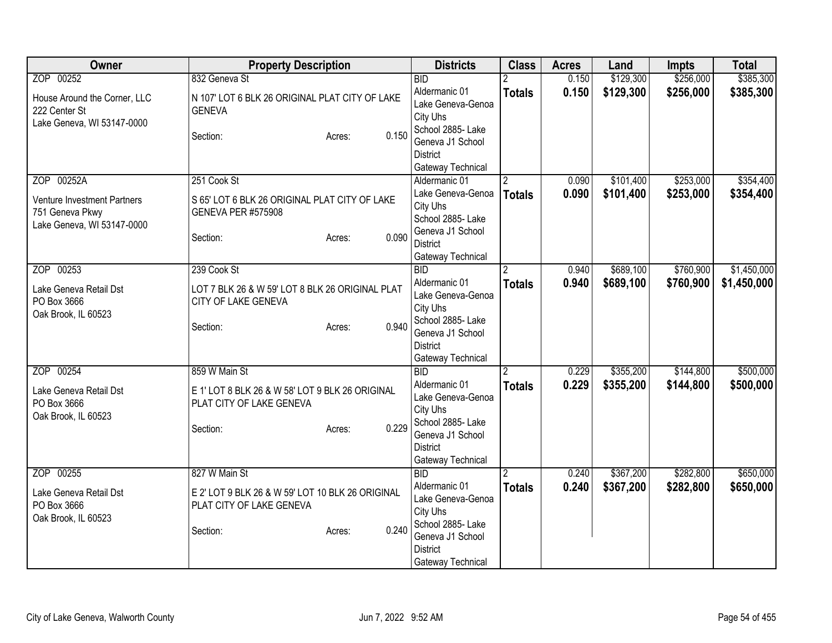| Owner                                                                        | <b>Property Description</b>                                                                        |       | <b>Districts</b>                                                                                                                | <b>Class</b>   | <b>Acres</b> | Land      | <b>Impts</b> | <b>Total</b> |
|------------------------------------------------------------------------------|----------------------------------------------------------------------------------------------------|-------|---------------------------------------------------------------------------------------------------------------------------------|----------------|--------------|-----------|--------------|--------------|
| ZOP 00252                                                                    | 832 Geneva St                                                                                      |       | <b>BID</b>                                                                                                                      |                | 0.150        | \$129,300 | \$256,000    | \$385,300    |
| House Around the Corner, LLC<br>222 Center St<br>Lake Geneva, WI 53147-0000  | N 107' LOT 6 BLK 26 ORIGINAL PLAT CITY OF LAKE<br><b>GENEVA</b>                                    |       | Aldermanic 01<br>Lake Geneva-Genoa<br>City Uhs                                                                                  | <b>Totals</b>  | 0.150        | \$129,300 | \$256,000    | \$385,300    |
|                                                                              | Section:<br>Acres:                                                                                 | 0.150 | School 2885- Lake<br>Geneva J1 School<br><b>District</b>                                                                        |                |              |           |              |              |
| ZOP 00252A                                                                   | 251 Cook St                                                                                        |       | Gateway Technical<br>Aldermanic 01                                                                                              | 2              | 0.090        | \$101,400 | \$253,000    | \$354,400    |
| Venture Investment Partners<br>751 Geneva Pkwy<br>Lake Geneva, WI 53147-0000 | S 65' LOT 6 BLK 26 ORIGINAL PLAT CITY OF LAKE<br><b>GENEVA PER #575908</b>                         |       | Lake Geneva-Genoa<br>City Uhs<br>School 2885- Lake                                                                              | <b>Totals</b>  | 0.090        | \$101,400 | \$253,000    | \$354,400    |
|                                                                              | Section:<br>Acres:                                                                                 | 0.090 | Geneva J1 School<br><b>District</b><br>Gateway Technical                                                                        |                |              |           |              |              |
| ZOP 00253                                                                    | 239 Cook St                                                                                        |       | <b>BID</b>                                                                                                                      | 2              | 0.940        | \$689,100 | \$760,900    | \$1,450,000  |
| Lake Geneva Retail Dst<br>PO Box 3666<br>Oak Brook, IL 60523                 | LOT 7 BLK 26 & W 59' LOT 8 BLK 26 ORIGINAL PLAT<br>CITY OF LAKE GENEVA<br>Section:<br>Acres:       | 0.940 | Aldermanic 01<br>Lake Geneva-Genoa<br>City Uhs<br>School 2885- Lake<br>Geneva J1 School<br><b>District</b><br>Gateway Technical | <b>Totals</b>  | 0.940        | \$689,100 | \$760,900    | \$1,450,000  |
| ZOP 00254                                                                    | 859 W Main St                                                                                      |       | <b>BID</b>                                                                                                                      | $\overline{2}$ | 0.229        | \$355,200 | \$144,800    | \$500,000    |
| Lake Geneva Retail Dst<br>PO Box 3666<br>Oak Brook, IL 60523                 | E 1' LOT 8 BLK 26 & W 58' LOT 9 BLK 26 ORIGINAL<br>PLAT CITY OF LAKE GENEVA<br>Section:<br>Acres:  | 0.229 | Aldermanic 01<br>Lake Geneva-Genoa<br>City Uhs<br>School 2885- Lake<br>Geneva J1 School<br><b>District</b><br>Gateway Technical | <b>Totals</b>  | 0.229        | \$355,200 | \$144,800    | \$500,000    |
| ZOP 00255                                                                    | 827 W Main St                                                                                      |       | <b>BID</b><br>Aldermanic 01                                                                                                     |                | 0.240        | \$367,200 | \$282,800    | \$650,000    |
| Lake Geneva Retail Dst<br>PO Box 3666<br>Oak Brook, IL 60523                 | E 2' LOT 9 BLK 26 & W 59' LOT 10 BLK 26 ORIGINAL<br>PLAT CITY OF LAKE GENEVA<br>Section:<br>Acres: | 0.240 | Lake Geneva-Genoa<br>City Uhs<br>School 2885-Lake<br>Geneva J1 School<br>District<br>Gateway Technical                          | <b>Totals</b>  | 0.240        | \$367,200 | \$282,800    | \$650,000    |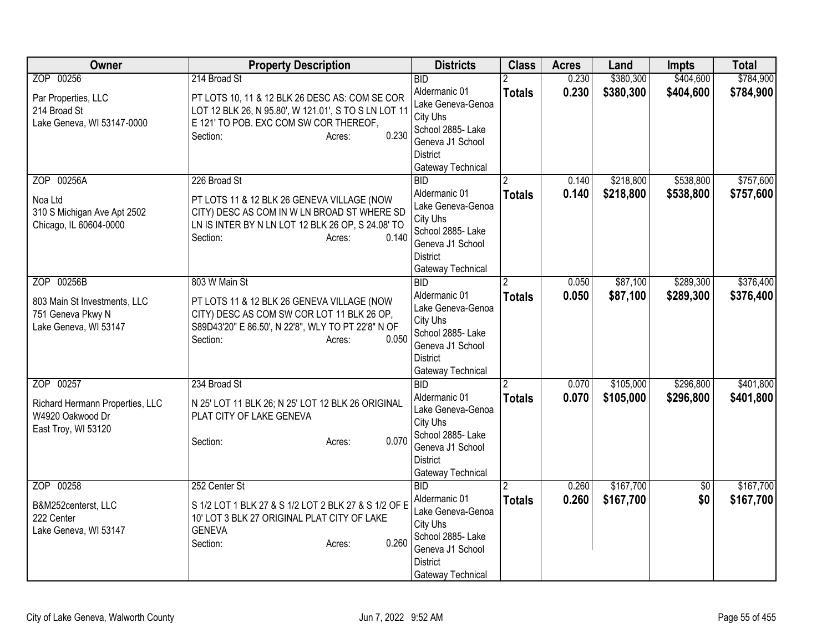| Owner                                                                                    | <b>Property Description</b>                                                                                                                                                                    | <b>Districts</b>                                                                                                                                    | <b>Class</b>       | <b>Acres</b>   | Land                   | <b>Impts</b>           | <b>Total</b>           |
|------------------------------------------------------------------------------------------|------------------------------------------------------------------------------------------------------------------------------------------------------------------------------------------------|-----------------------------------------------------------------------------------------------------------------------------------------------------|--------------------|----------------|------------------------|------------------------|------------------------|
| ZOP 00256                                                                                | 214 Broad St                                                                                                                                                                                   | <b>BID</b>                                                                                                                                          |                    | 0.230          | \$380,300              | \$404,600              | \$784,900              |
| Par Properties, LLC<br>214 Broad St<br>Lake Geneva, WI 53147-0000                        | PT LOTS 10, 11 & 12 BLK 26 DESC AS: COM SE COR<br>LOT 12 BLK 26, N 95.80', W 121.01', S TO S LN LOT 11<br>E 121' TO POB. EXC COM SW COR THEREOF,<br>0.230<br>Section:<br>Acres:                | Aldermanic 01<br>Lake Geneva-Genoa<br>City Uhs<br>School 2885- Lake<br>Geneva J1 School<br><b>District</b><br>Gateway Technical                     | <b>Totals</b>      | 0.230          | \$380,300              | \$404,600              | \$784,900              |
| ZOP 00256A<br>Noa Ltd<br>310 S Michigan Ave Apt 2502<br>Chicago, IL 60604-0000           | 226 Broad St<br>PT LOTS 11 & 12 BLK 26 GENEVA VILLAGE (NOW<br>CITY) DESC AS COM IN W LN BROAD ST WHERE SD<br>LN IS INTER BY N LN LOT 12 BLK 26 OP, S 24.08' TO<br>0.140<br>Section:<br>Acres:  | $\overline{BID}$<br>Aldermanic 01<br>Lake Geneva-Genoa<br>City Uhs<br>School 2885- Lake<br>Geneva J1 School<br><b>District</b><br>Gateway Technical | <b>Totals</b>      | 0.140<br>0.140 | \$218,800<br>\$218,800 | \$538,800<br>\$538,800 | \$757,600<br>\$757,600 |
| ZOP 00256B<br>803 Main St Investments, LLC<br>751 Geneva Pkwy N<br>Lake Geneva, WI 53147 | 803 W Main St<br>PT LOTS 11 & 12 BLK 26 GENEVA VILLAGE (NOW<br>CITY) DESC AS COM SW COR LOT 11 BLK 26 OP,<br>S89D43'20" E 86.50', N 22'8", WLY TO PT 22'8" N OF<br>0.050<br>Section:<br>Acres: | BID<br>Aldermanic 01<br>Lake Geneva-Genoa<br>City Uhs<br>School 2885-Lake<br>Geneva J1 School<br><b>District</b><br>Gateway Technical               | <b>Totals</b>      | 0.050<br>0.050 | \$87,100<br>\$87,100   | \$289,300<br>\$289,300 | \$376,400<br>\$376,400 |
| ZOP 00257<br>Richard Hermann Properties, LLC<br>W4920 Oakwood Dr<br>East Troy, WI 53120  | 234 Broad St<br>N 25' LOT 11 BLK 26; N 25' LOT 12 BLK 26 ORIGINAL<br>PLAT CITY OF LAKE GENEVA<br>0.070<br>Section:<br>Acres:                                                                   | BID<br>Aldermanic 01<br>Lake Geneva-Genoa<br>City Uhs<br>School 2885- Lake<br>Geneva J1 School<br><b>District</b><br>Gateway Technical              | <b>Totals</b>      | 0.070<br>0.070 | \$105,000<br>\$105,000 | \$296,800<br>\$296,800 | \$401,800<br>\$401,800 |
| ZOP 00258<br>B&M252centerst, LLC<br>222 Center<br>Lake Geneva, WI 53147                  | 252 Center St<br>S 1/2 LOT 1 BLK 27 & S 1/2 LOT 2 BLK 27 & S 1/2 OF E<br>10' LOT 3 BLK 27 ORIGINAL PLAT CITY OF LAKE<br><b>GENEVA</b><br>0.260<br>Section:<br>Acres:                           | BID<br>Aldermanic 01<br>Lake Geneva-Genoa<br>City Uhs<br>School 2885-Lake<br>Geneva J1 School<br><b>District</b><br>Gateway Technical               | 2<br><b>Totals</b> | 0.260<br>0.260 | \$167,700<br>\$167,700 | \$0<br>\$0             | \$167,700<br>\$167,700 |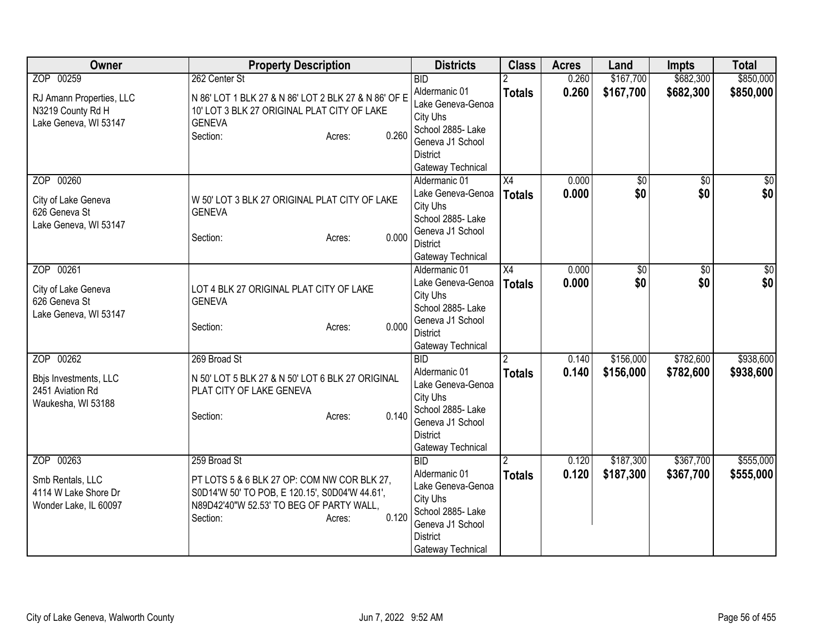| Owner                    | <b>Property Description</b>                          | <b>Districts</b>                   | <b>Class</b>    | <b>Acres</b> | Land      | <b>Impts</b>    | <b>Total</b>     |
|--------------------------|------------------------------------------------------|------------------------------------|-----------------|--------------|-----------|-----------------|------------------|
| ZOP 00259                | 262 Center St                                        | <b>BID</b>                         |                 | 0.260        | \$167,700 | \$682,300       | \$850,000        |
| RJ Amann Properties, LLC | N 86' LOT 1 BLK 27 & N 86' LOT 2 BLK 27 & N 86' OF E | Aldermanic 01                      | <b>Totals</b>   | 0.260        | \$167,700 | \$682,300       | \$850,000        |
| N3219 County Rd H        | 10' LOT 3 BLK 27 ORIGINAL PLAT CITY OF LAKE          | Lake Geneva-Genoa                  |                 |              |           |                 |                  |
| Lake Geneva, WI 53147    | <b>GENEVA</b>                                        | City Uhs                           |                 |              |           |                 |                  |
|                          | 0.260<br>Section:<br>Acres:                          | School 2885- Lake                  |                 |              |           |                 |                  |
|                          |                                                      | Geneva J1 School                   |                 |              |           |                 |                  |
|                          |                                                      | <b>District</b>                    |                 |              |           |                 |                  |
|                          |                                                      | Gateway Technical                  |                 |              |           |                 |                  |
| ZOP 00260                |                                                      | Aldermanic 01                      | $\overline{X4}$ | 0.000        | \$0       | $\overline{50}$ | $\overline{\$0}$ |
| City of Lake Geneva      | W 50' LOT 3 BLK 27 ORIGINAL PLAT CITY OF LAKE        | Lake Geneva-Genoa                  | <b>Totals</b>   | 0.000        | \$0       | \$0             | \$0              |
| 626 Geneva St            | <b>GENEVA</b>                                        | City Uhs                           |                 |              |           |                 |                  |
| Lake Geneva, WI 53147    |                                                      | School 2885- Lake                  |                 |              |           |                 |                  |
|                          | 0.000<br>Section:<br>Acres:                          | Geneva J1 School                   |                 |              |           |                 |                  |
|                          |                                                      | <b>District</b>                    |                 |              |           |                 |                  |
| ZOP 00261                |                                                      | Gateway Technical<br>Aldermanic 01 | X4              | 0.000        | \$0       | $\overline{50}$ | $\overline{30}$  |
|                          |                                                      | Lake Geneva-Genoa                  |                 |              | \$0       |                 | \$0              |
| City of Lake Geneva      | LOT 4 BLK 27 ORIGINAL PLAT CITY OF LAKE              | City Uhs                           | <b>Totals</b>   | 0.000        |           | \$0             |                  |
| 626 Geneva St            | <b>GENEVA</b>                                        | School 2885- Lake                  |                 |              |           |                 |                  |
| Lake Geneva, WI 53147    |                                                      | Geneva J1 School                   |                 |              |           |                 |                  |
|                          | 0.000<br>Section:<br>Acres:                          | <b>District</b>                    |                 |              |           |                 |                  |
|                          |                                                      | Gateway Technical                  |                 |              |           |                 |                  |
| ZOP 00262                | 269 Broad St                                         | <b>BID</b>                         | $\mathcal{P}$   | 0.140        | \$156,000 | \$782,600       | \$938,600        |
|                          |                                                      | Aldermanic 01                      | <b>Totals</b>   | 0.140        | \$156,000 | \$782,600       | \$938,600        |
| Bbjs Investments, LLC    | N 50' LOT 5 BLK 27 & N 50' LOT 6 BLK 27 ORIGINAL     | Lake Geneva-Genoa                  |                 |              |           |                 |                  |
| 2451 Aviation Rd         | PLAT CITY OF LAKE GENEVA                             | City Uhs                           |                 |              |           |                 |                  |
| Waukesha, WI 53188       |                                                      | School 2885- Lake                  |                 |              |           |                 |                  |
|                          | 0.140<br>Section:<br>Acres:                          | Geneva J1 School                   |                 |              |           |                 |                  |
|                          |                                                      | <b>District</b>                    |                 |              |           |                 |                  |
|                          |                                                      | Gateway Technical                  |                 |              |           |                 |                  |
| ZOP 00263                | 259 Broad St                                         | <b>BID</b>                         |                 | 0.120        | \$187,300 | \$367,700       | \$555,000        |
| Smb Rentals, LLC         | PT LOTS 5 & 6 BLK 27 OP: COM NW COR BLK 27,          | Aldermanic 01                      | <b>Totals</b>   | 0.120        | \$187,300 | \$367,700       | \$555,000        |
| 4114 W Lake Shore Dr     | S0D14'W 50' TO POB, E 120.15', S0D04'W 44.61',       | Lake Geneva-Genoa                  |                 |              |           |                 |                  |
| Wonder Lake, IL 60097    | N89D42'40"W 52.53' TO BEG OF PARTY WALL,             | City Uhs                           |                 |              |           |                 |                  |
|                          | 0.120<br>Section:<br>Acres:                          | School 2885- Lake                  |                 |              |           |                 |                  |
|                          |                                                      | Geneva J1 School                   |                 |              |           |                 |                  |
|                          |                                                      | District                           |                 |              |           |                 |                  |
|                          |                                                      | Gateway Technical                  |                 |              |           |                 |                  |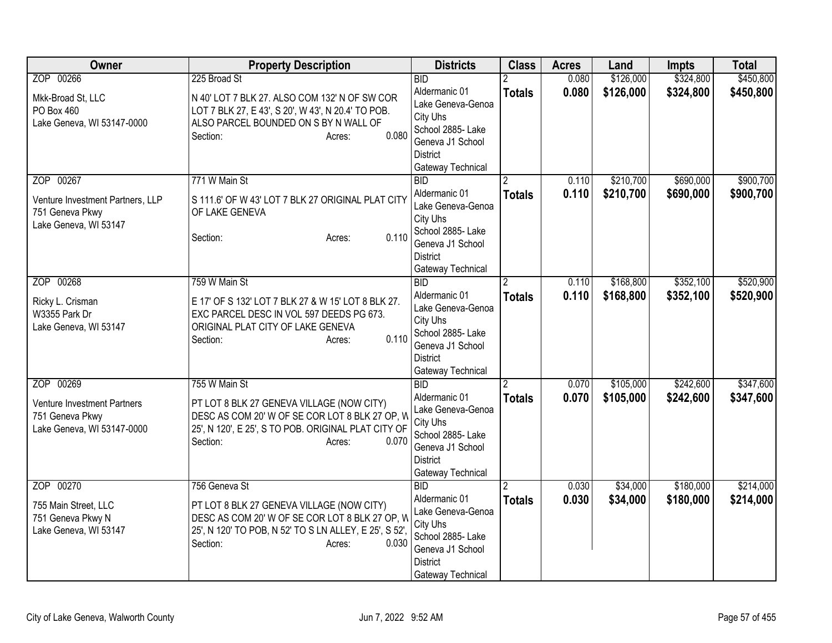| Owner                                                                                     | <b>Property Description</b>                                                                                                                                                                           | <b>Districts</b>                                                                                                                                    | <b>Class</b>       | <b>Acres</b>   | Land                   | <b>Impts</b>           | <b>Total</b>           |
|-------------------------------------------------------------------------------------------|-------------------------------------------------------------------------------------------------------------------------------------------------------------------------------------------------------|-----------------------------------------------------------------------------------------------------------------------------------------------------|--------------------|----------------|------------------------|------------------------|------------------------|
| ZOP 00266                                                                                 | 225 Broad St                                                                                                                                                                                          | <b>BID</b><br>Aldermanic 01                                                                                                                         | <b>Totals</b>      | 0.080<br>0.080 | \$126,000<br>\$126,000 | \$324,800<br>\$324,800 | \$450,800<br>\$450,800 |
| Mkk-Broad St, LLC<br>PO Box 460<br>Lake Geneva, WI 53147-0000                             | N 40' LOT 7 BLK 27. ALSO COM 132' N OF SW COR<br>LOT 7 BLK 27, E 43', S 20', W 43', N 20.4' TO POB.<br>ALSO PARCEL BOUNDED ON S BY N WALL OF<br>0.080<br>Section:<br>Acres:                           | Lake Geneva-Genoa<br>City Uhs<br>School 2885- Lake<br>Geneva J1 School<br><b>District</b><br>Gateway Technical                                      |                    |                |                        |                        |                        |
| ZOP 00267<br>Venture Investment Partners, LLP<br>751 Geneva Pkwy<br>Lake Geneva, WI 53147 | 771 W Main St<br>S 111.6' OF W 43' LOT 7 BLK 27 ORIGINAL PLAT CITY<br>OF LAKE GENEVA<br>0.110<br>Section:<br>Acres:                                                                                   | $\overline{BID}$<br>Aldermanic 01<br>Lake Geneva-Genoa<br>City Uhs<br>School 2885- Lake<br>Geneva J1 School<br><b>District</b><br>Gateway Technical | <b>Totals</b>      | 0.110<br>0.110 | \$210,700<br>\$210,700 | \$690,000<br>\$690,000 | \$900,700<br>\$900,700 |
| ZOP 00268<br>Ricky L. Crisman<br>W3355 Park Dr<br>Lake Geneva, WI 53147                   | 759 W Main St<br>E 17' OF S 132' LOT 7 BLK 27 & W 15' LOT 8 BLK 27.<br>EXC PARCEL DESC IN VOL 597 DEEDS PG 673.<br>ORIGINAL PLAT CITY OF LAKE GENEVA<br>0.110<br>Section:<br>Acres:                   | BID<br>Aldermanic 01<br>Lake Geneva-Genoa<br>City Uhs<br>School 2885- Lake<br>Geneva J1 School<br><b>District</b><br>Gateway Technical              | 2<br><b>Totals</b> | 0.110<br>0.110 | \$168,800<br>\$168,800 | \$352,100<br>\$352,100 | \$520,900<br>\$520,900 |
| ZOP 00269<br>Venture Investment Partners<br>751 Geneva Pkwy<br>Lake Geneva, WI 53147-0000 | 755 W Main St<br>PT LOT 8 BLK 27 GENEVA VILLAGE (NOW CITY)<br>DESC AS COM 20' W OF SE COR LOT 8 BLK 27 OP, W<br>25', N 120', E 25', S TO POB. ORIGINAL PLAT CITY OF<br>Section:<br>0.070<br>Acres:    | BID<br>Aldermanic 01<br>Lake Geneva-Genoa<br>City Uhs<br>School 2885- Lake<br>Geneva J1 School<br><b>District</b><br>Gateway Technical              | <b>Totals</b>      | 0.070<br>0.070 | \$105,000<br>\$105,000 | \$242,600<br>\$242,600 | \$347,600<br>\$347,600 |
| ZOP 00270<br>755 Main Street, LLC<br>751 Geneva Pkwy N<br>Lake Geneva, WI 53147           | 756 Geneva St<br>PT LOT 8 BLK 27 GENEVA VILLAGE (NOW CITY)<br>DESC AS COM 20' W OF SE COR LOT 8 BLK 27 OP, W<br>25', N 120' TO POB, N 52' TO S LN ALLEY, E 25', S 52',<br>0.030<br>Section:<br>Acres: | $\overline{BID}$<br>Aldermanic 01<br>Lake Geneva-Genoa<br>City Uhs<br>School 2885- Lake<br>Geneva J1 School<br><b>District</b><br>Gateway Technical | 2<br><b>Totals</b> | 0.030<br>0.030 | \$34,000<br>\$34,000   | \$180,000<br>\$180,000 | \$214,000<br>\$214,000 |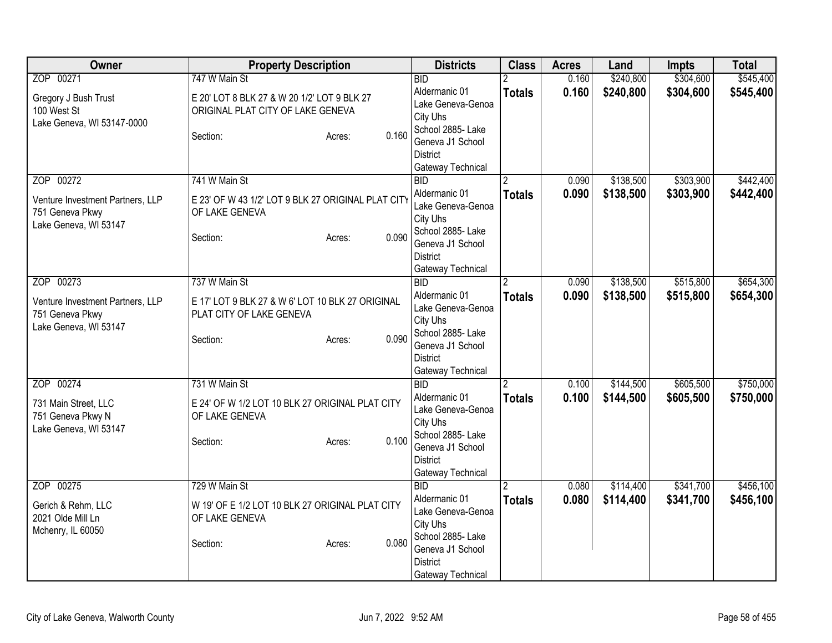| Owner                                                                        | <b>Property Description</b>                                                                                 | <b>Districts</b>                                                                                                                | <b>Class</b>  | <b>Acres</b> | Land      | <b>Impts</b> | <b>Total</b> |
|------------------------------------------------------------------------------|-------------------------------------------------------------------------------------------------------------|---------------------------------------------------------------------------------------------------------------------------------|---------------|--------------|-----------|--------------|--------------|
| ZOP 00271                                                                    | 747 W Main St                                                                                               | <b>BID</b>                                                                                                                      |               | 0.160        | \$240,800 | \$304,600    | \$545,400    |
| Gregory J Bush Trust<br>100 West St<br>Lake Geneva, WI 53147-0000            | E 20' LOT 8 BLK 27 & W 20 1/2' LOT 9 BLK 27<br>ORIGINAL PLAT CITY OF LAKE GENEVA                            | Aldermanic 01<br>Lake Geneva-Genoa<br>City Uhs                                                                                  | <b>Totals</b> | 0.160        | \$240,800 | \$304,600    | \$545,400    |
|                                                                              | 0.160<br>Section:<br>Acres:                                                                                 | School 2885- Lake<br>Geneva J1 School<br><b>District</b><br>Gateway Technical                                                   |               |              |           |              |              |
| ZOP 00272                                                                    | 741 W Main St                                                                                               | <b>BID</b>                                                                                                                      |               | 0.090        | \$138,500 | \$303,900    | \$442,400    |
| Venture Investment Partners, LLP<br>751 Geneva Pkwy<br>Lake Geneva, WI 53147 | E 23' OF W 43 1/2' LOT 9 BLK 27 ORIGINAL PLAT CITY<br>OF LAKE GENEVA<br>0.090<br>Section:<br>Acres:         | Aldermanic 01<br>Lake Geneva-Genoa<br>City Uhs<br>School 2885- Lake<br>Geneva J1 School<br><b>District</b><br>Gateway Technical | <b>Totals</b> | 0.090        | \$138,500 | \$303,900    | \$442,400    |
| ZOP 00273                                                                    | 737 W Main St                                                                                               | $\overline{BID}$                                                                                                                | 2             | 0.090        | \$138,500 | \$515,800    | \$654,300    |
| Venture Investment Partners, LLP<br>751 Geneva Pkwy<br>Lake Geneva, WI 53147 | E 17' LOT 9 BLK 27 & W 6' LOT 10 BLK 27 ORIGINAL<br>PLAT CITY OF LAKE GENEVA<br>0.090<br>Section:<br>Acres: | Aldermanic 01<br>Lake Geneva-Genoa<br>City Uhs<br>School 2885-Lake<br>Geneva J1 School<br><b>District</b><br>Gateway Technical  | <b>Totals</b> | 0.090        | \$138,500 | \$515,800    | \$654,300    |
| ZOP 00274                                                                    | 731 W Main St                                                                                               | <b>BID</b>                                                                                                                      |               | 0.100        | \$144,500 | \$605,500    | \$750,000    |
| 731 Main Street, LLC<br>751 Geneva Pkwy N<br>Lake Geneva, WI 53147           | E 24' OF W 1/2 LOT 10 BLK 27 ORIGINAL PLAT CITY<br>OF LAKE GENEVA<br>0.100<br>Section:<br>Acres:            | Aldermanic 01<br>Lake Geneva-Genoa<br>City Uhs<br>School 2885- Lake<br>Geneva J1 School<br><b>District</b><br>Gateway Technical | <b>Totals</b> | 0.100        | \$144,500 | \$605,500    | \$750,000    |
| ZOP 00275                                                                    | 729 W Main St                                                                                               | <b>BID</b>                                                                                                                      |               | 0.080        | \$114,400 | \$341,700    | \$456,100    |
| Gerich & Rehm, LLC<br>2021 Olde Mill Ln<br>Mchenry, IL 60050                 | W 19' OF E 1/2 LOT 10 BLK 27 ORIGINAL PLAT CITY<br>OF LAKE GENEVA<br>0.080<br>Section:<br>Acres:            | Aldermanic 01<br>Lake Geneva-Genoa<br>City Uhs<br>School 2885- Lake<br>Geneva J1 School<br><b>District</b><br>Gateway Technical | <b>Totals</b> | 0.080        | \$114,400 | \$341,700    | \$456,100    |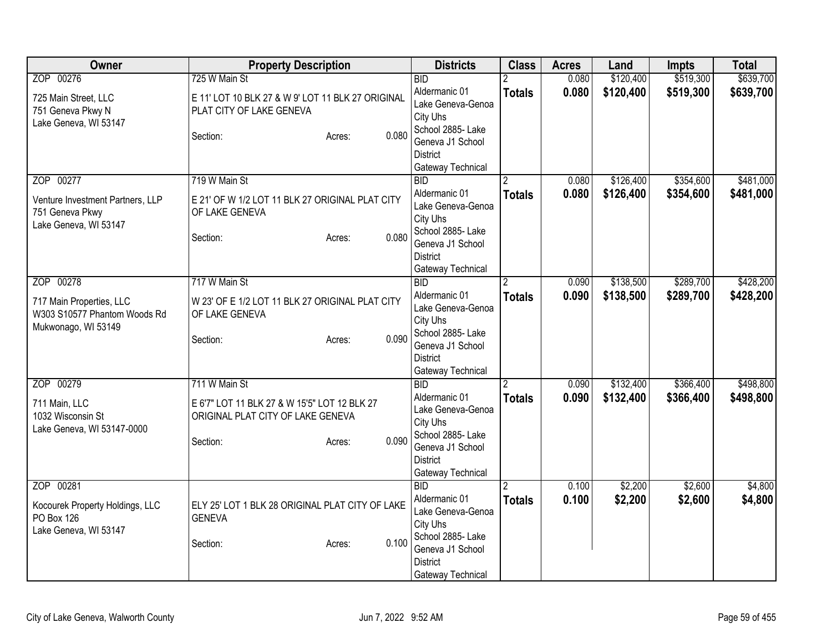| Owner                                                                                        | <b>Property Description</b>                                                                                                       | <b>Districts</b>                                                                                                                                                               | <b>Class</b>       | <b>Acres</b>   | Land                   | <b>Impts</b>           | <b>Total</b>           |
|----------------------------------------------------------------------------------------------|-----------------------------------------------------------------------------------------------------------------------------------|--------------------------------------------------------------------------------------------------------------------------------------------------------------------------------|--------------------|----------------|------------------------|------------------------|------------------------|
| ZOP 00276<br>725 Main Street, LLC<br>751 Geneva Pkwy N<br>Lake Geneva, WI 53147              | 725 W Main St<br>E 11' LOT 10 BLK 27 & W 9' LOT 11 BLK 27 ORIGINAL<br>PLAT CITY OF LAKE GENEVA<br>0.080<br>Section:<br>Acres:     | <b>BID</b><br>Aldermanic 01<br>Lake Geneva-Genoa<br>City Uhs<br>School 2885- Lake<br>Geneva J1 School                                                                          | <b>Totals</b>      | 0.080<br>0.080 | \$120,400<br>\$120,400 | \$519,300<br>\$519,300 | \$639,700<br>\$639,700 |
| ZOP 00277<br>Venture Investment Partners, LLP<br>751 Geneva Pkwy<br>Lake Geneva, WI 53147    | 719 W Main St<br>E 21' OF W 1/2 LOT 11 BLK 27 ORIGINAL PLAT CITY<br>OF LAKE GENEVA<br>0.080<br>Section:<br>Acres:                 | <b>District</b><br>Gateway Technical<br>BID<br>Aldermanic 01<br>Lake Geneva-Genoa<br>City Uhs<br>School 2885- Lake<br>Geneva J1 School<br><b>District</b><br>Gateway Technical | <b>Totals</b>      | 0.080<br>0.080 | \$126,400<br>\$126,400 | \$354,600<br>\$354,600 | \$481,000<br>\$481,000 |
| ZOP 00278<br>717 Main Properties, LLC<br>W303 S10577 Phantom Woods Rd<br>Mukwonago, WI 53149 | 717 W Main St<br>W 23' OF E 1/2 LOT 11 BLK 27 ORIGINAL PLAT CITY<br>OF LAKE GENEVA<br>0.090<br>Section:<br>Acres:                 | <b>BID</b><br>Aldermanic 01<br>Lake Geneva-Genoa<br>City Uhs<br>School 2885-Lake<br>Geneva J1 School<br><b>District</b><br>Gateway Technical                                   | 2<br><b>Totals</b> | 0.090<br>0.090 | \$138,500<br>\$138,500 | \$289,700<br>\$289,700 | \$428,200<br>\$428,200 |
| ZOP 00279<br>711 Main, LLC<br>1032 Wisconsin St<br>Lake Geneva, WI 53147-0000                | 711 W Main St<br>E 6'7" LOT 11 BLK 27 & W 15'5" LOT 12 BLK 27<br>ORIGINAL PLAT CITY OF LAKE GENEVA<br>0.090<br>Section:<br>Acres: | <b>BID</b><br>Aldermanic 01<br>Lake Geneva-Genoa<br>City Uhs<br>School 2885- Lake<br>Geneva J1 School<br><b>District</b><br>Gateway Technical                                  | <b>Totals</b>      | 0.090<br>0.090 | \$132,400<br>\$132,400 | \$366,400<br>\$366,400 | \$498,800<br>\$498,800 |
| ZOP 00281<br>Kocourek Property Holdings, LLC<br><b>PO Box 126</b><br>Lake Geneva, WI 53147   | ELY 25' LOT 1 BLK 28 ORIGINAL PLAT CITY OF LAKE<br><b>GENEVA</b><br>0.100<br>Section:<br>Acres:                                   | BID<br>Aldermanic 01<br>Lake Geneva-Genoa<br>City Uhs<br>School 2885- Lake<br>Geneva J1 School<br><b>District</b><br>Gateway Technical                                         | <b>Totals</b>      | 0.100<br>0.100 | \$2,200<br>\$2,200     | \$2,600<br>\$2,600     | \$4,800<br>\$4,800     |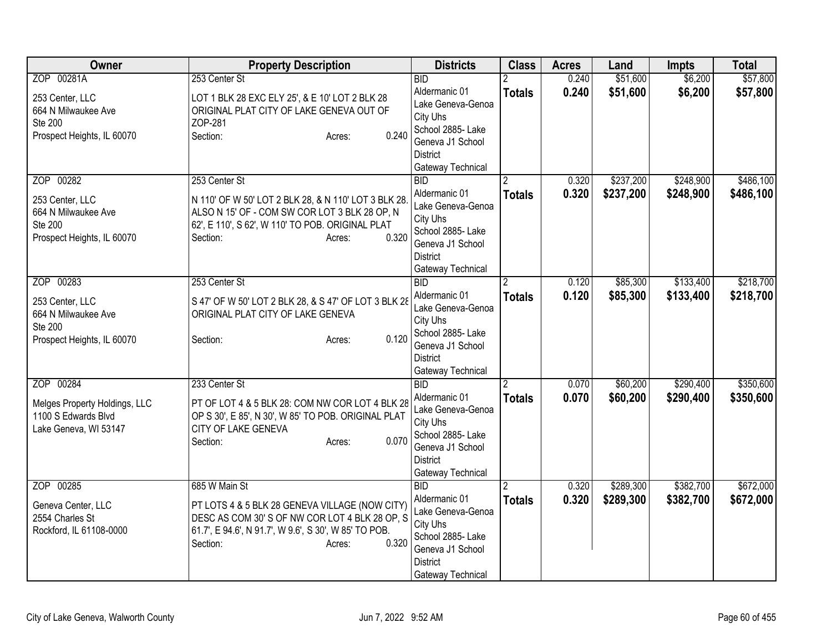| Owner                                                | <b>Property Description</b>                                                                            | <b>Districts</b>                      | <b>Class</b>  | <b>Acres</b> | Land      | <b>Impts</b> | <b>Total</b> |
|------------------------------------------------------|--------------------------------------------------------------------------------------------------------|---------------------------------------|---------------|--------------|-----------|--------------|--------------|
| ZOP 00281A                                           | 253 Center St                                                                                          | <b>BID</b>                            |               | 0.240        | \$51,600  | \$6,200      | \$57,800     |
| 253 Center, LLC                                      | LOT 1 BLK 28 EXC ELY 25', & E 10' LOT 2 BLK 28                                                         | Aldermanic 01                         | <b>Totals</b> | 0.240        | \$51,600  | \$6,200      | \$57,800     |
| 664 N Milwaukee Ave                                  | ORIGINAL PLAT CITY OF LAKE GENEVA OUT OF                                                               | Lake Geneva-Genoa                     |               |              |           |              |              |
| <b>Ste 200</b>                                       | ZOP-281                                                                                                | City Uhs                              |               |              |           |              |              |
| Prospect Heights, IL 60070                           | 0.240<br>Section:<br>Acres:                                                                            | School 2885- Lake<br>Geneva J1 School |               |              |           |              |              |
|                                                      |                                                                                                        | <b>District</b>                       |               |              |           |              |              |
|                                                      |                                                                                                        | Gateway Technical                     |               |              |           |              |              |
| ZOP 00282                                            | 253 Center St                                                                                          | <b>BID</b>                            |               | 0.320        | \$237,200 | \$248,900    | \$486,100    |
|                                                      |                                                                                                        | Aldermanic 01                         | <b>Totals</b> | 0.320        | \$237,200 | \$248,900    | \$486,100    |
| 253 Center, LLC                                      | N 110' OF W 50' LOT 2 BLK 28, & N 110' LOT 3 BLK 28.                                                   | Lake Geneva-Genoa                     |               |              |           |              |              |
| 664 N Milwaukee Ave                                  | ALSO N 15' OF - COM SW COR LOT 3 BLK 28 OP, N                                                          | City Uhs                              |               |              |           |              |              |
| Ste 200<br>Prospect Heights, IL 60070                | 62', E 110', S 62', W 110' TO POB. ORIGINAL PLAT<br>0.320<br>Section:                                  | School 2885- Lake                     |               |              |           |              |              |
|                                                      | Acres:                                                                                                 | Geneva J1 School                      |               |              |           |              |              |
|                                                      |                                                                                                        | <b>District</b>                       |               |              |           |              |              |
|                                                      |                                                                                                        | Gateway Technical                     |               |              |           |              |              |
| ZOP 00283                                            | 253 Center St                                                                                          | BID                                   | 2             | 0.120        | \$85,300  | \$133,400    | \$218,700    |
| 253 Center, LLC                                      | S 47' OF W 50' LOT 2 BLK 28, & S 47' OF LOT 3 BLK 28                                                   | Aldermanic 01                         | <b>Totals</b> | 0.120        | \$85,300  | \$133,400    | \$218,700    |
| 664 N Milwaukee Ave                                  | ORIGINAL PLAT CITY OF LAKE GENEVA                                                                      | Lake Geneva-Genoa                     |               |              |           |              |              |
| <b>Ste 200</b>                                       |                                                                                                        | City Uhs<br>School 2885- Lake         |               |              |           |              |              |
| Prospect Heights, IL 60070                           | 0.120<br>Section:<br>Acres:                                                                            | Geneva J1 School                      |               |              |           |              |              |
|                                                      |                                                                                                        | <b>District</b>                       |               |              |           |              |              |
|                                                      |                                                                                                        | Gateway Technical                     |               |              |           |              |              |
| ZOP 00284                                            | 233 Center St                                                                                          | BID                                   |               | 0.070        | \$60,200  | \$290,400    | \$350,600    |
|                                                      |                                                                                                        | Aldermanic 01                         | <b>Totals</b> | 0.070        | \$60,200  | \$290,400    | \$350,600    |
| Melges Property Holdings, LLC<br>1100 S Edwards Blvd | PT OF LOT 4 & 5 BLK 28: COM NW COR LOT 4 BLK 28<br>OP S 30', E 85', N 30', W 85' TO POB. ORIGINAL PLAT | Lake Geneva-Genoa                     |               |              |           |              |              |
| Lake Geneva, WI 53147                                | CITY OF LAKE GENEVA                                                                                    | City Uhs                              |               |              |           |              |              |
|                                                      | 0.070<br>Section:<br>Acres:                                                                            | School 2885- Lake                     |               |              |           |              |              |
|                                                      |                                                                                                        | Geneva J1 School                      |               |              |           |              |              |
|                                                      |                                                                                                        | <b>District</b>                       |               |              |           |              |              |
|                                                      |                                                                                                        | Gateway Technical                     |               |              |           |              |              |
| ZOP 00285                                            | 685 W Main St                                                                                          | <b>BID</b><br>Aldermanic 01           | 2             | 0.320        | \$289,300 | \$382,700    | \$672,000    |
| Geneva Center, LLC                                   | PT LOTS 4 & 5 BLK 28 GENEVA VILLAGE (NOW CITY)                                                         | Lake Geneva-Genoa                     | <b>Totals</b> | 0.320        | \$289,300 | \$382,700    | \$672,000    |
| 2554 Charles St                                      | DESC AS COM 30'S OF NW COR LOT 4 BLK 28 OP, S                                                          | City Uhs                              |               |              |           |              |              |
| Rockford, IL 61108-0000                              | 61.7', E 94.6', N 91.7', W 9.6', S 30', W 85' TO POB.                                                  | School 2885- Lake                     |               |              |           |              |              |
|                                                      | 0.320<br>Section:<br>Acres:                                                                            | Geneva J1 School                      |               |              |           |              |              |
|                                                      |                                                                                                        | <b>District</b>                       |               |              |           |              |              |
|                                                      |                                                                                                        | Gateway Technical                     |               |              |           |              |              |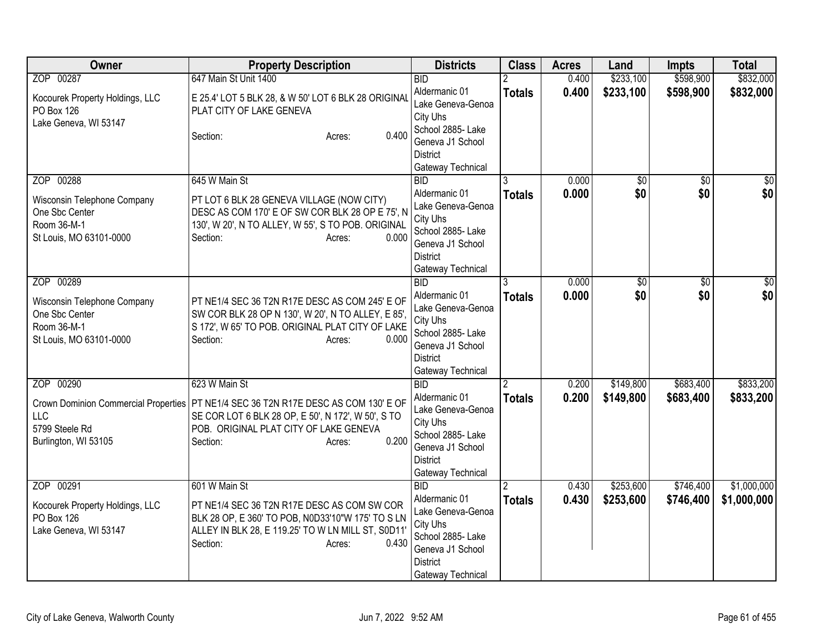| Owner                                                                                                     | <b>Property Description</b>                                                                                                                                                                           | <b>Districts</b>                                                                                                                              | <b>Class</b>       | <b>Acres</b>   | Land                   | <b>Impts</b>           | <b>Total</b>               |
|-----------------------------------------------------------------------------------------------------------|-------------------------------------------------------------------------------------------------------------------------------------------------------------------------------------------------------|-----------------------------------------------------------------------------------------------------------------------------------------------|--------------------|----------------|------------------------|------------------------|----------------------------|
| ZOP 00287                                                                                                 | 647 Main St Unit 1400                                                                                                                                                                                 | <b>BID</b>                                                                                                                                    |                    | 0.400          | \$233,100              | \$598,900              | \$832,000                  |
| Kocourek Property Holdings, LLC<br>PO Box 126<br>Lake Geneva, WI 53147                                    | E 25.4' LOT 5 BLK 28, & W 50' LOT 6 BLK 28 ORIGINAL<br>PLAT CITY OF LAKE GENEVA<br>0.400<br>Section:<br>Acres:                                                                                        | Aldermanic 01<br>Lake Geneva-Genoa<br>City Uhs<br>School 2885- Lake<br>Geneva J1 School                                                       | <b>Totals</b>      | 0.400          | \$233,100              | \$598,900              | \$832,000                  |
| ZOP 00288                                                                                                 | 645 W Main St                                                                                                                                                                                         | <b>District</b><br>Gateway Technical<br>BID                                                                                                   |                    | 0.000          | $\overline{60}$        | $\overline{50}$        | $\overline{50}$            |
| Wisconsin Telephone Company<br>One Sbc Center<br>Room 36-M-1<br>St Louis, MO 63101-0000                   | PT LOT 6 BLK 28 GENEVA VILLAGE (NOW CITY)<br>DESC AS COM 170' E OF SW COR BLK 28 OP E 75', N<br>130', W 20', N TO ALLEY, W 55', S TO POB. ORIGINAL<br>Section:<br>0.000<br>Acres:                     | Aldermanic 01<br>Lake Geneva-Genoa<br>City Uhs<br>School 2885- Lake<br>Geneva J1 School<br><b>District</b><br>Gateway Technical               | <b>Totals</b>      | 0.000          | \$0                    | \$0                    | \$0                        |
| ZOP 00289<br>Wisconsin Telephone Company<br>One Sbc Center<br>Room 36-M-1<br>St Louis, MO 63101-0000      | PT NE1/4 SEC 36 T2N R17E DESC AS COM 245' E OF<br>SW COR BLK 28 OP N 130', W 20', N TO ALLEY, E 85',<br>S 172', W 65' TO POB. ORIGINAL PLAT CITY OF LAKE<br>0.000<br>Section:<br>Acres:               | <b>BID</b><br>Aldermanic 01<br>Lake Geneva-Genoa<br>City Uhs<br>School 2885- Lake<br>Geneva J1 School<br><b>District</b><br>Gateway Technical | 3<br><b>Totals</b> | 0.000<br>0.000 | \$0<br>\$0             | \$0<br>\$0             | $\frac{1}{6}$<br>\$0       |
| ZOP 00290<br>Crown Dominion Commercial Properties<br><b>LLC</b><br>5799 Steele Rd<br>Burlington, WI 53105 | 623 W Main St<br>PT NE1/4 SEC 36 T2N R17E DESC AS COM 130' E OF<br>SE COR LOT 6 BLK 28 OP, E 50', N 172', W 50', S TO<br>POB. ORIGINAL PLAT CITY OF LAKE GENEVA<br>0.200<br>Section:<br>Acres:        | <b>BID</b><br>Aldermanic 01<br>Lake Geneva-Genoa<br>City Uhs<br>School 2885- Lake<br>Geneva J1 School<br><b>District</b><br>Gateway Technical | <b>Totals</b>      | 0.200<br>0.200 | \$149,800<br>\$149,800 | \$683,400<br>\$683,400 | \$833,200<br>\$833,200     |
| ZOP 00291<br>Kocourek Property Holdings, LLC<br>PO Box 126<br>Lake Geneva, WI 53147                       | 601 W Main St<br>PT NE1/4 SEC 36 T2N R17E DESC AS COM SW COR<br>BLK 28 OP, E 360' TO POB, N0D33'10"W 175' TO S LN<br>ALLEY IN BLK 28, E 119.25' TO W LN MILL ST, S0D11<br>0.430<br>Section:<br>Acres: | <b>BID</b><br>Aldermanic 01<br>Lake Geneva-Genoa<br>City Uhs<br>School 2885- Lake<br>Geneva J1 School<br><b>District</b><br>Gateway Technical | 2<br><b>Totals</b> | 0.430<br>0.430 | \$253,600<br>\$253,600 | \$746,400<br>\$746,400 | \$1,000,000<br>\$1,000,000 |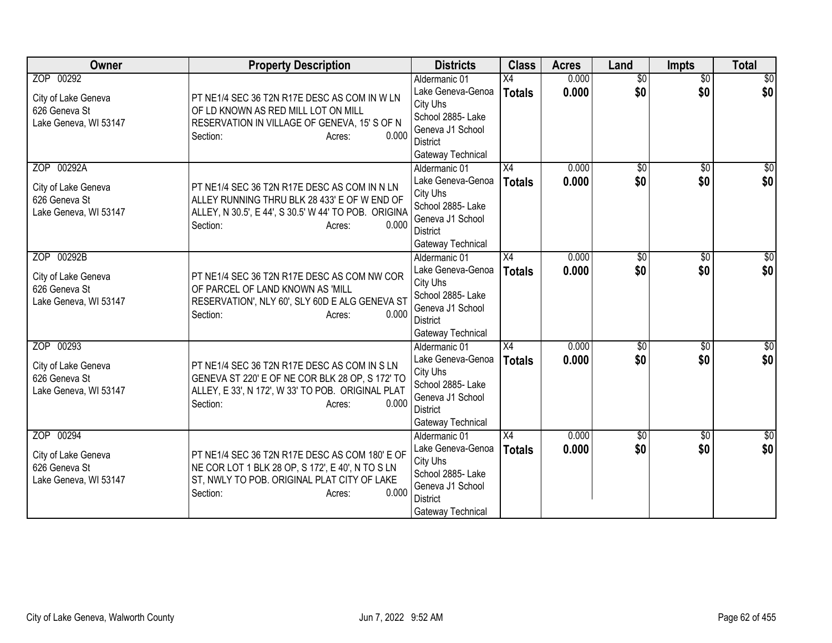| Owner                                                                       | <b>Property Description</b>                                                                                                                                                         | <b>Districts</b>                                                                                                                | <b>Class</b>                     | <b>Acres</b>   | Land                   | Impts                  | <b>Total</b>       |
|-----------------------------------------------------------------------------|-------------------------------------------------------------------------------------------------------------------------------------------------------------------------------------|---------------------------------------------------------------------------------------------------------------------------------|----------------------------------|----------------|------------------------|------------------------|--------------------|
| ZOP 00292<br>City of Lake Geneva<br>626 Geneva St<br>Lake Geneva, WI 53147  | PT NE1/4 SEC 36 T2N R17E DESC AS COM IN W LN<br>OF LD KNOWN AS RED MILL LOT ON MILL<br>RESERVATION IN VILLAGE OF GENEVA, 15' S OF N<br>0.000<br>Section:<br>Acres:                  | Aldermanic 01<br>Lake Geneva-Genoa<br>City Uhs<br>School 2885- Lake<br>Geneva J1 School<br><b>District</b><br>Gateway Technical | $\overline{X4}$<br><b>Totals</b> | 0.000<br>0.000 | $\overline{50}$<br>\$0 | $\overline{50}$<br>\$0 | \$0<br>\$0         |
| ZOP 00292A<br>City of Lake Geneva<br>626 Geneva St<br>Lake Geneva, WI 53147 | PT NE1/4 SEC 36 T2N R17E DESC AS COM IN N LN<br>ALLEY RUNNING THRU BLK 28 433' E OF W END OF<br>ALLEY, N 30.5', E 44', S 30.5' W 44' TO POB. ORIGINA<br>0.000<br>Section:<br>Acres: | Aldermanic 01<br>Lake Geneva-Genoa<br>City Uhs<br>School 2885- Lake<br>Geneva J1 School<br><b>District</b><br>Gateway Technical | X4<br><b>Totals</b>              | 0.000<br>0.000 | $\overline{50}$<br>\$0 | \$0<br>\$0             | \$0<br>\$0         |
| ZOP 00292B<br>City of Lake Geneva<br>626 Geneva St<br>Lake Geneva, WI 53147 | PT NE1/4 SEC 36 T2N R17E DESC AS COM NW COR<br>OF PARCEL OF LAND KNOWN AS 'MILL<br>RESERVATION', NLY 60', SLY 60D E ALG GENEVA ST<br>0.000<br>Section:<br>Acres:                    | Aldermanic 01<br>Lake Geneva-Genoa<br>City Uhs<br>School 2885- Lake<br>Geneva J1 School<br><b>District</b><br>Gateway Technical | $\overline{X4}$<br><b>Totals</b> | 0.000<br>0.000 | \$0<br>\$0             | \$0<br>\$0             | \$0<br>\$0         |
| ZOP 00293<br>City of Lake Geneva<br>626 Geneva St<br>Lake Geneva, WI 53147  | PT NE1/4 SEC 36 T2N R17E DESC AS COM IN S LN<br>GENEVA ST 220' E OF NE COR BLK 28 OP, S 172' TO<br>ALLEY, E 33', N 172', W 33' TO POB. ORIGINAL PLAT<br>0.000<br>Section:<br>Acres: | Aldermanic 01<br>Lake Geneva-Genoa<br>City Uhs<br>School 2885- Lake<br>Geneva J1 School<br><b>District</b><br>Gateway Technical | X4<br><b>Totals</b>              | 0.000<br>0.000 | $\overline{60}$<br>\$0 | $\overline{50}$<br>\$0 | \$0<br>\$0         |
| ZOP 00294<br>City of Lake Geneva<br>626 Geneva St<br>Lake Geneva, WI 53147  | PT NE1/4 SEC 36 T2N R17E DESC AS COM 180' E OF<br>NE COR LOT 1 BLK 28 OP, S 172', E 40', N TO S LN<br>ST, NWLY TO POB. ORIGINAL PLAT CITY OF LAKE<br>0.000<br>Section:<br>Acres:    | Aldermanic 01<br>Lake Geneva-Genoa<br>City Uhs<br>School 2885- Lake<br>Geneva J1 School<br><b>District</b><br>Gateway Technical | $\overline{X4}$<br><b>Totals</b> | 0.000<br>0.000 | $\overline{50}$<br>\$0 | $\overline{50}$<br>\$0 | $\sqrt{30}$<br>\$0 |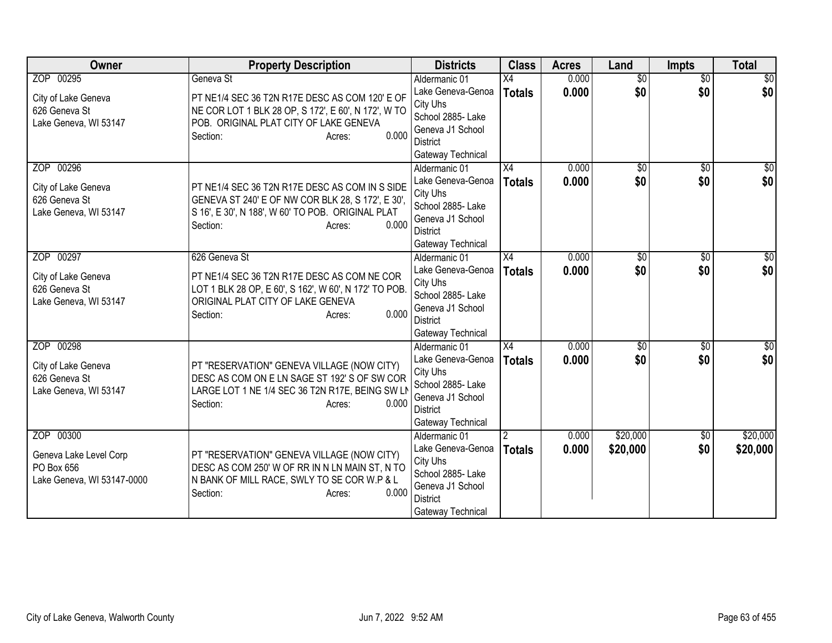| Owner                                  | <b>Property Description</b>                                                                     | <b>Districts</b>                    | <b>Class</b>    | <b>Acres</b> | Land            | <b>Impts</b>    | <b>Total</b>    |
|----------------------------------------|-------------------------------------------------------------------------------------------------|-------------------------------------|-----------------|--------------|-----------------|-----------------|-----------------|
| ZOP 00295                              | Geneva St                                                                                       | Aldermanic 01                       | $\overline{X4}$ | 0.000        | $\overline{50}$ | $\overline{30}$ | $\overline{50}$ |
| City of Lake Geneva                    | PT NE1/4 SEC 36 T2N R17E DESC AS COM 120' E OF                                                  | Lake Geneva-Genoa                   | <b>Totals</b>   | 0.000        | \$0             | \$0             | \$0             |
| 626 Geneva St                          | NE COR LOT 1 BLK 28 OP, S 172', E 60', N 172', W TO                                             | City Uhs                            |                 |              |                 |                 |                 |
| Lake Geneva, WI 53147                  | POB. ORIGINAL PLAT CITY OF LAKE GENEVA                                                          | School 2885- Lake                   |                 |              |                 |                 |                 |
|                                        | 0.000<br>Section:<br>Acres:                                                                     | Geneva J1 School<br><b>District</b> |                 |              |                 |                 |                 |
|                                        |                                                                                                 | Gateway Technical                   |                 |              |                 |                 |                 |
| ZOP 00296                              |                                                                                                 | Aldermanic 01                       | $\overline{X4}$ | 0.000        | $\overline{50}$ | $\overline{50}$ | $\overline{30}$ |
|                                        |                                                                                                 | Lake Geneva-Genoa                   | <b>Totals</b>   | 0.000        | \$0             | \$0             | \$0             |
| City of Lake Geneva                    | PT NE1/4 SEC 36 T2N R17E DESC AS COM IN S SIDE                                                  | City Uhs                            |                 |              |                 |                 |                 |
| 626 Geneva St                          | GENEVA ST 240' E OF NW COR BLK 28, S 172', E 30',                                               | School 2885- Lake                   |                 |              |                 |                 |                 |
| Lake Geneva, WI 53147                  | S 16', E 30', N 188', W 60' TO POB. ORIGINAL PLAT                                               | Geneva J1 School                    |                 |              |                 |                 |                 |
|                                        | 0.000<br>Section:<br>Acres:                                                                     | <b>District</b>                     |                 |              |                 |                 |                 |
|                                        |                                                                                                 | Gateway Technical                   |                 |              |                 |                 |                 |
| ZOP 00297                              | 626 Geneva St                                                                                   | Aldermanic 01                       | $\overline{X4}$ | 0.000        | $\overline{50}$ | \$0             | \$0             |
| City of Lake Geneva                    | PT NE1/4 SEC 36 T2N R17E DESC AS COM NE COR                                                     | Lake Geneva-Genoa                   | <b>Totals</b>   | 0.000        | \$0             | \$0             | \$0             |
| 626 Geneva St                          | LOT 1 BLK 28 OP, E 60', S 162', W 60', N 172' TO POB.                                           | City Uhs                            |                 |              |                 |                 |                 |
| Lake Geneva, WI 53147                  | ORIGINAL PLAT CITY OF LAKE GENEVA                                                               | School 2885- Lake                   |                 |              |                 |                 |                 |
|                                        | 0.000<br>Section:<br>Acres:                                                                     | Geneva J1 School<br><b>District</b> |                 |              |                 |                 |                 |
|                                        |                                                                                                 | Gateway Technical                   |                 |              |                 |                 |                 |
| ZOP 00298                              |                                                                                                 | Aldermanic 01                       | $\overline{X4}$ | 0.000        | $\overline{60}$ | $\overline{50}$ | $\sqrt{50}$     |
|                                        |                                                                                                 | Lake Geneva-Genoa                   | <b>Totals</b>   | 0.000        | \$0             | \$0             | \$0             |
| City of Lake Geneva                    | PT "RESERVATION" GENEVA VILLAGE (NOW CITY)                                                      | City Uhs                            |                 |              |                 |                 |                 |
| 626 Geneva St<br>Lake Geneva, WI 53147 | DESC AS COM ON E LN SAGE ST 192' S OF SW COR<br>LARGE LOT 1 NE 1/4 SEC 36 T2N R17E, BEING SW LN | School 2885- Lake                   |                 |              |                 |                 |                 |
|                                        | 0.000<br>Section:<br>Acres:                                                                     | Geneva J1 School                    |                 |              |                 |                 |                 |
|                                        |                                                                                                 | <b>District</b>                     |                 |              |                 |                 |                 |
|                                        |                                                                                                 | Gateway Technical                   |                 |              |                 |                 |                 |
| ZOP 00300                              |                                                                                                 | Aldermanic 01                       |                 | 0.000        | \$20,000        | $\overline{50}$ | \$20,000        |
| Geneva Lake Level Corp                 | PT "RESERVATION" GENEVA VILLAGE (NOW CITY)                                                      | Lake Geneva-Genoa                   | <b>Totals</b>   | 0.000        | \$20,000        | \$0             | \$20,000        |
| PO Box 656                             | DESC AS COM 250' W OF RR IN N LN MAIN ST, N TO                                                  | City Uhs<br>School 2885- Lake       |                 |              |                 |                 |                 |
| Lake Geneva, WI 53147-0000             | N BANK OF MILL RACE, SWLY TO SE COR W.P & L                                                     | Geneva J1 School                    |                 |              |                 |                 |                 |
|                                        | 0.000<br>Section:<br>Acres:                                                                     | <b>District</b>                     |                 |              |                 |                 |                 |
|                                        |                                                                                                 | Gateway Technical                   |                 |              |                 |                 |                 |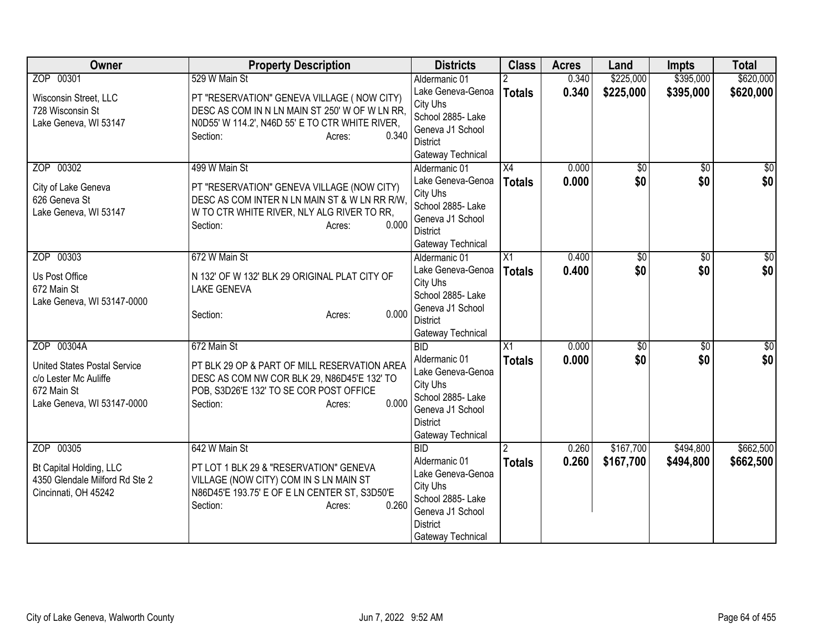| Owner                                | <b>Property Description</b>                                                            | <b>Districts</b>                      | <b>Class</b>    | <b>Acres</b> | Land            | <b>Impts</b>    | <b>Total</b>     |
|--------------------------------------|----------------------------------------------------------------------------------------|---------------------------------------|-----------------|--------------|-----------------|-----------------|------------------|
| ZOP 00301                            | 529 W Main St                                                                          | Aldermanic 01                         |                 | 0.340        | \$225,000       | \$395,000       | \$620,000        |
| Wisconsin Street, LLC                | PT "RESERVATION" GENEVA VILLAGE ( NOW CITY)                                            | Lake Geneva-Genoa                     | <b>Totals</b>   | 0.340        | \$225,000       | \$395,000       | \$620,000        |
| 728 Wisconsin St                     | DESC AS COM IN N LN MAIN ST 250' W OF W LN RR.                                         | City Uhs                              |                 |              |                 |                 |                  |
| Lake Geneva, WI 53147                | N0D55' W 114.2', N46D 55' E TO CTR WHITE RIVER,                                        | School 2885- Lake                     |                 |              |                 |                 |                  |
|                                      | 0.340<br>Section:<br>Acres:                                                            | Geneva J1 School<br><b>District</b>   |                 |              |                 |                 |                  |
|                                      |                                                                                        | Gateway Technical                     |                 |              |                 |                 |                  |
| ZOP 00302                            | 499 W Main St                                                                          | Aldermanic 01                         | $\overline{X4}$ | 0.000        | $\overline{50}$ | \$0             | $\overline{\$0}$ |
|                                      |                                                                                        | Lake Geneva-Genoa                     | <b>Totals</b>   | 0.000        | \$0             | \$0             | \$0              |
| City of Lake Geneva                  | PT "RESERVATION" GENEVA VILLAGE (NOW CITY)                                             | City Uhs                              |                 |              |                 |                 |                  |
| 626 Geneva St                        | DESC AS COM INTER N LN MAIN ST & W LN RR R/W.                                          | School 2885- Lake                     |                 |              |                 |                 |                  |
| Lake Geneva, WI 53147                | W TO CTR WHITE RIVER, NLY ALG RIVER TO RR,<br>0.000<br>Section:<br>Acres:              | Geneva J1 School                      |                 |              |                 |                 |                  |
|                                      |                                                                                        | <b>District</b>                       |                 |              |                 |                 |                  |
|                                      |                                                                                        | Gateway Technical                     |                 |              |                 |                 |                  |
| ZOP 00303                            | 672 W Main St                                                                          | Aldermanic 01                         | $\overline{X1}$ | 0.400        | \$0             | $\overline{50}$ | \$0              |
| Us Post Office                       | N 132' OF W 132' BLK 29 ORIGINAL PLAT CITY OF                                          | Lake Geneva-Genoa                     | <b>Totals</b>   | 0.400        | \$0             | \$0             | \$0              |
| 672 Main St                          | <b>LAKE GENEVA</b>                                                                     | City Uhs                              |                 |              |                 |                 |                  |
| Lake Geneva, WI 53147-0000           |                                                                                        | School 2885- Lake<br>Geneva J1 School |                 |              |                 |                 |                  |
|                                      | 0.000<br>Section:<br>Acres:                                                            | <b>District</b>                       |                 |              |                 |                 |                  |
|                                      |                                                                                        | Gateway Technical                     |                 |              |                 |                 |                  |
| ZOP 00304A                           | 672 Main St                                                                            | BID                                   | $\overline{X1}$ | 0.000        | $\overline{60}$ | $\overline{30}$ | $\sqrt{50}$      |
|                                      |                                                                                        | Aldermanic 01                         | <b>Totals</b>   | 0.000        | \$0             | \$0             | \$0              |
| <b>United States Postal Service</b>  | PT BLK 29 OP & PART OF MILL RESERVATION AREA                                           | Lake Geneva-Genoa                     |                 |              |                 |                 |                  |
| c/o Lester Mc Auliffe<br>672 Main St | DESC AS COM NW COR BLK 29, N86D45'E 132' TO<br>POB, S3D26'E 132' TO SE COR POST OFFICE | City Uhs                              |                 |              |                 |                 |                  |
| Lake Geneva, WI 53147-0000           | 0.000<br>Section:<br>Acres:                                                            | School 2885- Lake                     |                 |              |                 |                 |                  |
|                                      |                                                                                        | Geneva J1 School                      |                 |              |                 |                 |                  |
|                                      |                                                                                        | <b>District</b>                       |                 |              |                 |                 |                  |
|                                      |                                                                                        | Gateway Technical                     |                 |              |                 |                 |                  |
| ZOP 00305                            | 642 W Main St                                                                          | <b>BID</b><br>Aldermanic 01           |                 | 0.260        | \$167,700       | \$494,800       | \$662,500        |
| Bt Capital Holding, LLC              | PT LOT 1 BLK 29 & "RESERVATION" GENEVA                                                 | Lake Geneva-Genoa                     | <b>Totals</b>   | 0.260        | \$167,700       | \$494,800       | \$662,500        |
| 4350 Glendale Milford Rd Ste 2       | VILLAGE (NOW CITY) COM IN S LN MAIN ST                                                 | City Uhs                              |                 |              |                 |                 |                  |
| Cincinnati, OH 45242                 | N86D45'E 193.75' E OF E LN CENTER ST, S3D50'E                                          | School 2885- Lake                     |                 |              |                 |                 |                  |
|                                      | 0.260<br>Section:<br>Acres:                                                            | Geneva J1 School                      |                 |              |                 |                 |                  |
|                                      |                                                                                        | <b>District</b>                       |                 |              |                 |                 |                  |
|                                      |                                                                                        | Gateway Technical                     |                 |              |                 |                 |                  |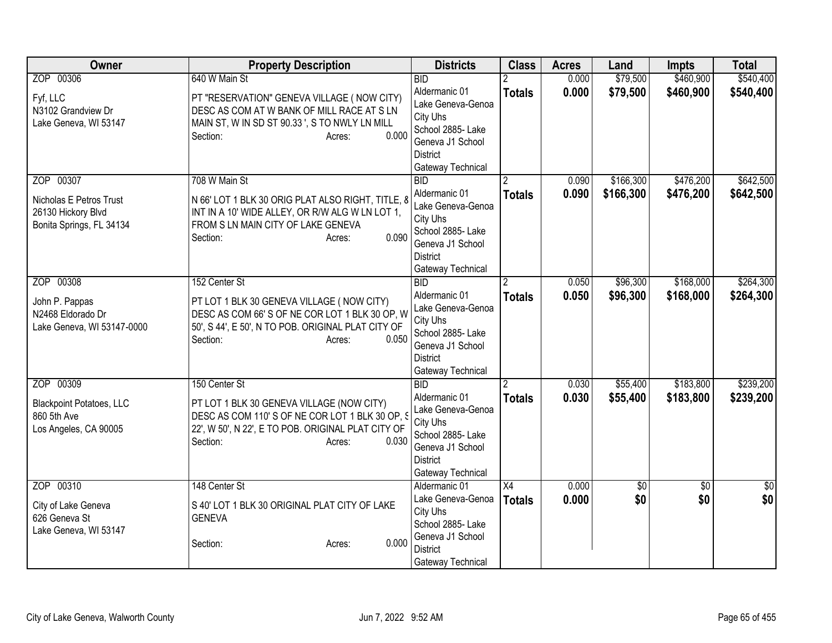| Owner                                                                                  | <b>Property Description</b>                                                                                                                                                                       | <b>Districts</b>                                                                                                                              | <b>Class</b>        | <b>Acres</b>   | Land                   | <b>Impts</b>           | <b>Total</b>           |
|----------------------------------------------------------------------------------------|---------------------------------------------------------------------------------------------------------------------------------------------------------------------------------------------------|-----------------------------------------------------------------------------------------------------------------------------------------------|---------------------|----------------|------------------------|------------------------|------------------------|
| ZOP 00306                                                                              | 640 W Main St                                                                                                                                                                                     | BID                                                                                                                                           |                     | 0.000          | \$79,500               | \$460,900              | \$540,400              |
| Fyf, LLC<br>N3102 Grandview Dr<br>Lake Geneva, WI 53147                                | PT "RESERVATION" GENEVA VILLAGE ( NOW CITY)<br>DESC AS COM AT W BANK OF MILL RACE AT S LN<br>MAIN ST, W IN SD ST 90.33 ', S TO NWLY LN MILL<br>0.000<br>Section:<br>Acres:                        | Aldermanic 01<br>Lake Geneva-Genoa<br>City Uhs<br>School 2885- Lake<br>Geneva J1 School<br><b>District</b><br>Gateway Technical               | <b>Totals</b>       | 0.000          | \$79,500               | \$460,900              | \$540,400              |
| ZOP 00307<br>Nicholas E Petros Trust<br>26130 Hickory Blvd<br>Bonita Springs, FL 34134 | 708 W Main St<br>N 66' LOT 1 BLK 30 ORIG PLAT ALSO RIGHT, TITLE, 8<br>INT IN A 10' WIDE ALLEY, OR R/W ALG W LN LOT 1,<br>FROM S LN MAIN CITY OF LAKE GENEVA<br>0.090<br>Section:<br>Acres:        | <b>BID</b><br>Aldermanic 01<br>Lake Geneva-Genoa<br>City Uhs<br>School 2885- Lake<br>Geneva J1 School<br><b>District</b><br>Gateway Technical | <b>Totals</b>       | 0.090<br>0.090 | \$166,300<br>\$166,300 | \$476,200<br>\$476,200 | \$642,500<br>\$642,500 |
| ZOP 00308<br>John P. Pappas<br>N2468 Eldorado Dr<br>Lake Geneva, WI 53147-0000         | 152 Center St<br>PT LOT 1 BLK 30 GENEVA VILLAGE ( NOW CITY)<br>DESC AS COM 66'S OF NE COR LOT 1 BLK 30 OP, W<br>50', S 44', E 50', N TO POB. ORIGINAL PLAT CITY OF<br>0.050<br>Section:<br>Acres: | <b>BID</b><br>Aldermanic 01<br>Lake Geneva-Genoa<br>City Uhs<br>School 2885- Lake<br>Geneva J1 School<br><b>District</b><br>Gateway Technical | <b>Totals</b>       | 0.050<br>0.050 | \$96,300<br>\$96,300   | \$168,000<br>\$168,000 | \$264,300<br>\$264,300 |
| ZOP 00309<br><b>Blackpoint Potatoes, LLC</b><br>860 5th Ave<br>Los Angeles, CA 90005   | 150 Center St<br>PT LOT 1 BLK 30 GENEVA VILLAGE (NOW CITY)<br>DESC AS COM 110'S OF NE COR LOT 1 BLK 30 OP, S<br>22', W 50', N 22', E TO POB. ORIGINAL PLAT CITY OF<br>0.030<br>Section:<br>Acres: | BID<br>Aldermanic 01<br>Lake Geneva-Genoa<br>City Uhs<br>School 2885- Lake<br>Geneva J1 School<br><b>District</b><br>Gateway Technical        | <b>Totals</b>       | 0.030<br>0.030 | \$55,400<br>\$55,400   | \$183,800<br>\$183,800 | \$239,200<br>\$239,200 |
| ZOP 00310<br>City of Lake Geneva<br>626 Geneva St<br>Lake Geneva, WI 53147             | 148 Center St<br>S 40' LOT 1 BLK 30 ORIGINAL PLAT CITY OF LAKE<br><b>GENEVA</b><br>0.000<br>Section:<br>Acres:                                                                                    | Aldermanic 01<br>Lake Geneva-Genoa<br>City Uhs<br>School 2885- Lake<br>Geneva J1 School<br><b>District</b><br>Gateway Technical               | X4<br><b>Totals</b> | 0.000<br>0.000 | $\overline{50}$<br>\$0 | $\sqrt{6}$<br>\$0      | $\frac{1}{6}$<br>\$0   |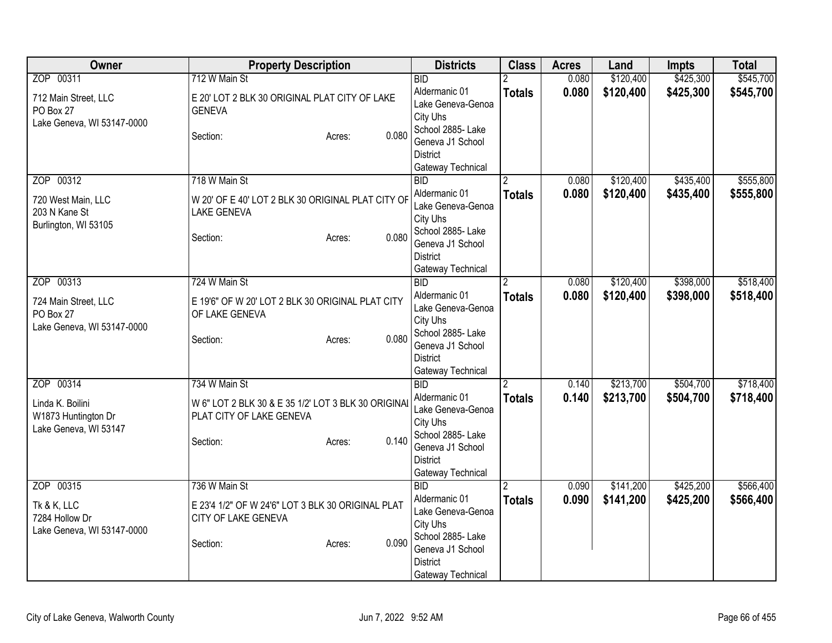| Owner                                                                         | <b>Property Description</b>                                                                                                     | <b>Districts</b>                                                                                                                              | <b>Class</b>       | <b>Acres</b>   | Land                   | <b>Impts</b>           | <b>Total</b>           |
|-------------------------------------------------------------------------------|---------------------------------------------------------------------------------------------------------------------------------|-----------------------------------------------------------------------------------------------------------------------------------------------|--------------------|----------------|------------------------|------------------------|------------------------|
| ZOP 00311<br>712 Main Street, LLC<br>PO Box 27                                | 712 W Main St<br>E 20' LOT 2 BLK 30 ORIGINAL PLAT CITY OF LAKE<br><b>GENEVA</b>                                                 | <b>BID</b><br>Aldermanic 01<br>Lake Geneva-Genoa<br>City Uhs                                                                                  | <b>Totals</b>      | 0.080<br>0.080 | \$120,400<br>\$120,400 | \$425,300<br>\$425,300 | \$545,700<br>\$545,700 |
| Lake Geneva, WI 53147-0000                                                    | 0.080<br>Section:<br>Acres:                                                                                                     | School 2885- Lake<br>Geneva J1 School<br><b>District</b><br>Gateway Technical                                                                 |                    |                |                        |                        |                        |
| ZOP 00312<br>720 West Main, LLC<br>203 N Kane St<br>Burlington, WI 53105      | 718 W Main St<br>W 20' OF E 40' LOT 2 BLK 30 ORIGINAL PLAT CITY OF<br><b>LAKE GENEVA</b><br>0.080<br>Section:<br>Acres:         | <b>BID</b><br>Aldermanic 01<br>Lake Geneva-Genoa<br>City Uhs<br>School 2885- Lake<br>Geneva J1 School<br><b>District</b><br>Gateway Technical | <b>Totals</b>      | 0.080<br>0.080 | \$120,400<br>\$120,400 | \$435,400<br>\$435,400 | \$555,800<br>\$555,800 |
| ZOP 00313<br>724 Main Street, LLC<br>PO Box 27<br>Lake Geneva, WI 53147-0000  | 724 W Main St<br>E 19'6" OF W 20' LOT 2 BLK 30 ORIGINAL PLAT CITY<br>OF LAKE GENEVA<br>0.080<br>Section:<br>Acres:              | <b>BID</b><br>Aldermanic 01<br>Lake Geneva-Genoa<br>City Uhs<br>School 2885- Lake<br>Geneva J1 School<br><b>District</b><br>Gateway Technical | 2<br><b>Totals</b> | 0.080<br>0.080 | \$120,400<br>\$120,400 | \$398,000<br>\$398,000 | \$518,400<br>\$518,400 |
| ZOP 00314<br>Linda K. Boilini<br>W1873 Huntington Dr<br>Lake Geneva, WI 53147 | 734 W Main St<br>W 6" LOT 2 BLK 30 & E 35 1/2' LOT 3 BLK 30 ORIGINAL<br>PLAT CITY OF LAKE GENEVA<br>0.140<br>Section:<br>Acres: | <b>BID</b><br>Aldermanic 01<br>Lake Geneva-Genoa<br>City Uhs<br>School 2885- Lake<br>Geneva J1 School<br><b>District</b><br>Gateway Technical | <b>Totals</b>      | 0.140<br>0.140 | \$213,700<br>\$213,700 | \$504,700<br>\$504,700 | \$718,400<br>\$718,400 |
| ZOP 00315<br>Tk & K, LLC<br>7284 Hollow Dr<br>Lake Geneva, WI 53147-0000      | 736 W Main St<br>E 23'4 1/2" OF W 24'6" LOT 3 BLK 30 ORIGINAL PLAT<br>CITY OF LAKE GENEVA<br>0.090<br>Section:<br>Acres:        | <b>BID</b><br>Aldermanic 01<br>Lake Geneva-Genoa<br>City Uhs<br>School 2885- Lake<br>Geneva J1 School<br><b>District</b><br>Gateway Technical | <b>Totals</b>      | 0.090<br>0.090 | \$141,200<br>\$141,200 | \$425,200<br>\$425,200 | \$566,400<br>\$566,400 |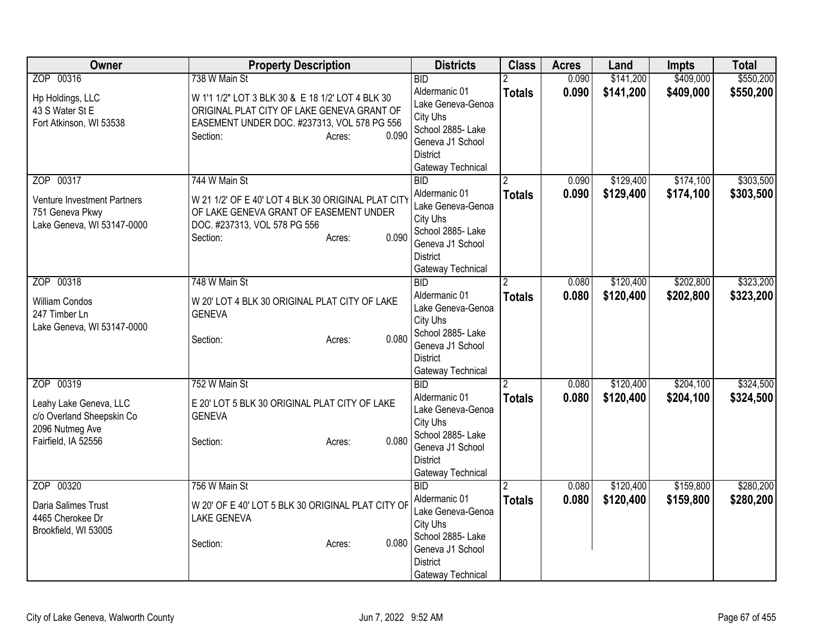| <b>Owner</b>                                  | <b>Property Description</b>                                                                    | <b>Districts</b>                      | <b>Class</b>  | <b>Acres</b> | Land      | <b>Impts</b> | <b>Total</b> |
|-----------------------------------------------|------------------------------------------------------------------------------------------------|---------------------------------------|---------------|--------------|-----------|--------------|--------------|
| ZOP 00316                                     | 738 W Main St                                                                                  | <b>BID</b>                            |               | 0.090        | \$141,200 | \$409,000    | \$550,200    |
| Hp Holdings, LLC<br>43 S Water St E           | W 1'1 1/2" LOT 3 BLK 30 & E 18 1/2' LOT 4 BLK 30<br>ORIGINAL PLAT CITY OF LAKE GENEVA GRANT OF | Aldermanic 01<br>Lake Geneva-Genoa    | <b>Totals</b> | 0.090        | \$141,200 | \$409,000    | \$550,200    |
| Fort Atkinson, WI 53538                       | EASEMENT UNDER DOC. #237313, VOL 578 PG 556                                                    | City Uhs                              |               |              |           |              |              |
|                                               | 0.090<br>Section:<br>Acres:                                                                    | School 2885- Lake<br>Geneva J1 School |               |              |           |              |              |
|                                               |                                                                                                | <b>District</b>                       |               |              |           |              |              |
|                                               |                                                                                                | Gateway Technical                     |               |              |           |              |              |
| ZOP 00317                                     | 744 W Main St                                                                                  | $\overline{BID}$                      |               | 0.090        | \$129,400 | \$174,100    | \$303,500    |
|                                               |                                                                                                | Aldermanic 01                         | <b>Totals</b> | 0.090        | \$129,400 | \$174,100    | \$303,500    |
| Venture Investment Partners                   | W 21 1/2' OF E 40' LOT 4 BLK 30 ORIGINAL PLAT CITY                                             | Lake Geneva-Genoa                     |               |              |           |              |              |
| 751 Geneva Pkwy<br>Lake Geneva, WI 53147-0000 | OF LAKE GENEVA GRANT OF EASEMENT UNDER<br>DOC. #237313, VOL 578 PG 556                         | City Uhs                              |               |              |           |              |              |
|                                               | 0.090<br>Section:<br>Acres:                                                                    | School 2885- Lake                     |               |              |           |              |              |
|                                               |                                                                                                | Geneva J1 School                      |               |              |           |              |              |
|                                               |                                                                                                | <b>District</b>                       |               |              |           |              |              |
|                                               |                                                                                                | Gateway Technical                     |               |              |           |              |              |
| ZOP 00318                                     | 748 W Main St                                                                                  | $\overline{BID}$<br>Aldermanic 01     | 2             | 0.080        | \$120,400 | \$202,800    | \$323,200    |
| <b>William Condos</b>                         | W 20' LOT 4 BLK 30 ORIGINAL PLAT CITY OF LAKE                                                  | Lake Geneva-Genoa                     | <b>Totals</b> | 0.080        | \$120,400 | \$202,800    | \$323,200    |
| 247 Timber Ln                                 | <b>GENEVA</b>                                                                                  | City Uhs                              |               |              |           |              |              |
| Lake Geneva, WI 53147-0000                    |                                                                                                | School 2885- Lake                     |               |              |           |              |              |
|                                               | 0.080<br>Section:<br>Acres:                                                                    | Geneva J1 School                      |               |              |           |              |              |
|                                               |                                                                                                | <b>District</b>                       |               |              |           |              |              |
|                                               |                                                                                                | Gateway Technical                     |               |              |           |              |              |
| ZOP 00319                                     | 752 W Main St                                                                                  | <b>BID</b>                            |               | 0.080        | \$120,400 | \$204,100    | \$324,500    |
| Leahy Lake Geneva, LLC                        | E 20' LOT 5 BLK 30 ORIGINAL PLAT CITY OF LAKE                                                  | Aldermanic 01                         | <b>Totals</b> | 0.080        | \$120,400 | \$204,100    | \$324,500    |
| c/o Overland Sheepskin Co                     | <b>GENEVA</b>                                                                                  | Lake Geneva-Genoa                     |               |              |           |              |              |
| 2096 Nutmeg Ave                               |                                                                                                | City Uhs                              |               |              |           |              |              |
| Fairfield, IA 52556                           | 0.080<br>Section:<br>Acres:                                                                    | School 2885- Lake                     |               |              |           |              |              |
|                                               |                                                                                                | Geneva J1 School<br><b>District</b>   |               |              |           |              |              |
|                                               |                                                                                                | Gateway Technical                     |               |              |           |              |              |
| ZOP 00320                                     | 756 W Main St                                                                                  | <b>BID</b>                            |               | 0.080        | \$120,400 | \$159,800    | \$280,200    |
|                                               |                                                                                                | Aldermanic 01                         | <b>Totals</b> | 0.080        | \$120,400 | \$159,800    | \$280,200    |
| Daria Salimes Trust                           | W 20' OF E 40' LOT 5 BLK 30 ORIGINAL PLAT CITY OF                                              | Lake Geneva-Genoa                     |               |              |           |              |              |
| 4465 Cherokee Dr                              | <b>LAKE GENEVA</b>                                                                             | City Uhs                              |               |              |           |              |              |
| Brookfield, WI 53005                          | 0.080<br>Section:<br>Acres:                                                                    | School 2885- Lake                     |               |              |           |              |              |
|                                               |                                                                                                | Geneva J1 School                      |               |              |           |              |              |
|                                               |                                                                                                | <b>District</b>                       |               |              |           |              |              |
|                                               |                                                                                                | Gateway Technical                     |               |              |           |              |              |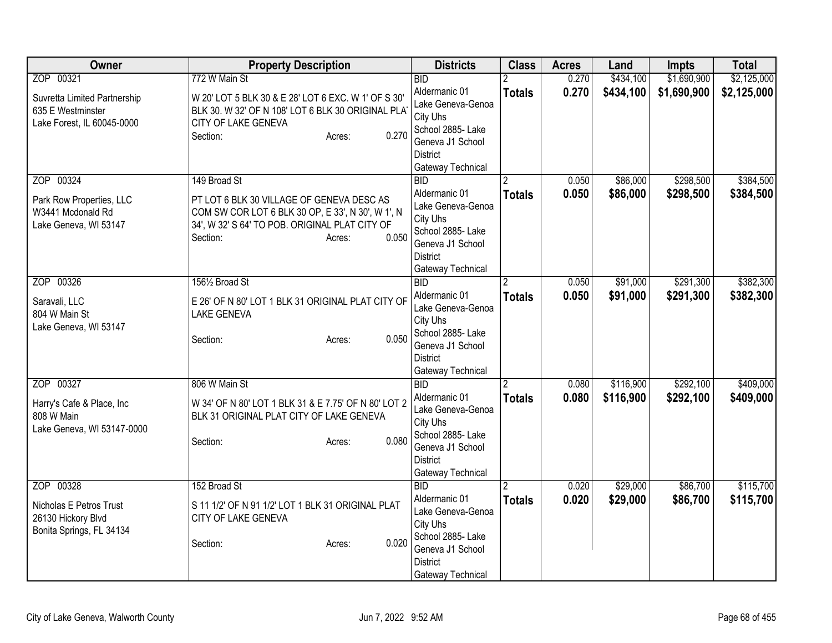| Owner                                                                                  | <b>Property Description</b>                                                                                                                                                                     | <b>Districts</b>                                                                                                                                    | <b>Class</b>       | <b>Acres</b>   | Land                   | Impts                  | <b>Total</b>           |
|----------------------------------------------------------------------------------------|-------------------------------------------------------------------------------------------------------------------------------------------------------------------------------------------------|-----------------------------------------------------------------------------------------------------------------------------------------------------|--------------------|----------------|------------------------|------------------------|------------------------|
| ZOP 00321                                                                              | 772 W Main St                                                                                                                                                                                   | <b>BID</b>                                                                                                                                          |                    | 0.270          | \$434,100              | \$1,690,900            | \$2,125,000            |
| Suvretta Limited Partnership<br>635 E Westminster<br>Lake Forest, IL 60045-0000        | W 20' LOT 5 BLK 30 & E 28' LOT 6 EXC. W 1' OF S 30'<br>BLK 30. W 32' OF N 108' LOT 6 BLK 30 ORIGINAL PLAT<br>CITY OF LAKE GENEVA<br>0.270<br>Section:<br>Acres:                                 | Aldermanic 01<br>Lake Geneva-Genoa<br>City Uhs<br>School 2885- Lake<br>Geneva J1 School<br><b>District</b><br>Gateway Technical                     | <b>Totals</b>      | 0.270          | \$434,100              | \$1,690,900            | \$2,125,000            |
| ZOP 00324<br>Park Row Properties, LLC<br>W3441 Mcdonald Rd<br>Lake Geneva, WI 53147    | 149 Broad St<br>PT LOT 6 BLK 30 VILLAGE OF GENEVA DESC AS<br>COM SW COR LOT 6 BLK 30 OP, E 33', N 30', W 1', N<br>34', W 32' S 64' TO POB. ORIGINAL PLAT CITY OF<br>0.050<br>Section:<br>Acres: | $\overline{BID}$<br>Aldermanic 01<br>Lake Geneva-Genoa<br>City Uhs<br>School 2885- Lake<br>Geneva J1 School<br><b>District</b><br>Gateway Technical | <b>Totals</b>      | 0.050<br>0.050 | \$86,000<br>\$86,000   | \$298,500<br>\$298,500 | \$384,500<br>\$384,500 |
| ZOP 00326<br>Saravali, LLC<br>804 W Main St<br>Lake Geneva, WI 53147                   | 1561/2 Broad St<br>E 26' OF N 80' LOT 1 BLK 31 ORIGINAL PLAT CITY OF<br><b>LAKE GENEVA</b><br>0.050<br>Section:<br>Acres:                                                                       | <b>BID</b><br>Aldermanic 01<br>Lake Geneva-Genoa<br>City Uhs<br>School 2885- Lake<br>Geneva J1 School<br><b>District</b><br>Gateway Technical       | 2<br><b>Totals</b> | 0.050<br>0.050 | \$91,000<br>\$91,000   | \$291,300<br>\$291,300 | \$382,300<br>\$382,300 |
| ZOP 00327<br>Harry's Cafe & Place, Inc<br>808 W Main<br>Lake Geneva, WI 53147-0000     | 806 W Main St<br>W 34' OF N 80' LOT 1 BLK 31 & E 7.75' OF N 80' LOT 2<br>BLK 31 ORIGINAL PLAT CITY OF LAKE GENEVA<br>0.080<br>Section:<br>Acres:                                                | <b>BID</b><br>Aldermanic 01<br>Lake Geneva-Genoa<br>City Uhs<br>School 2885-Lake<br>Geneva J1 School<br><b>District</b><br>Gateway Technical        | <b>Totals</b>      | 0.080<br>0.080 | \$116,900<br>\$116,900 | \$292,100<br>\$292,100 | \$409,000<br>\$409,000 |
| ZOP 00328<br>Nicholas E Petros Trust<br>26130 Hickory Blvd<br>Bonita Springs, FL 34134 | 152 Broad St<br>S 11 1/2' OF N 91 1/2' LOT 1 BLK 31 ORIGINAL PLAT<br>CITY OF LAKE GENEVA<br>0.020<br>Section:<br>Acres:                                                                         | <b>BID</b><br>Aldermanic 01<br>Lake Geneva-Genoa<br>City Uhs<br>School 2885-Lake<br>Geneva J1 School<br><b>District</b><br>Gateway Technical        | <b>Totals</b>      | 0.020<br>0.020 | \$29,000<br>\$29,000   | \$86,700<br>\$86,700   | \$115,700<br>\$115,700 |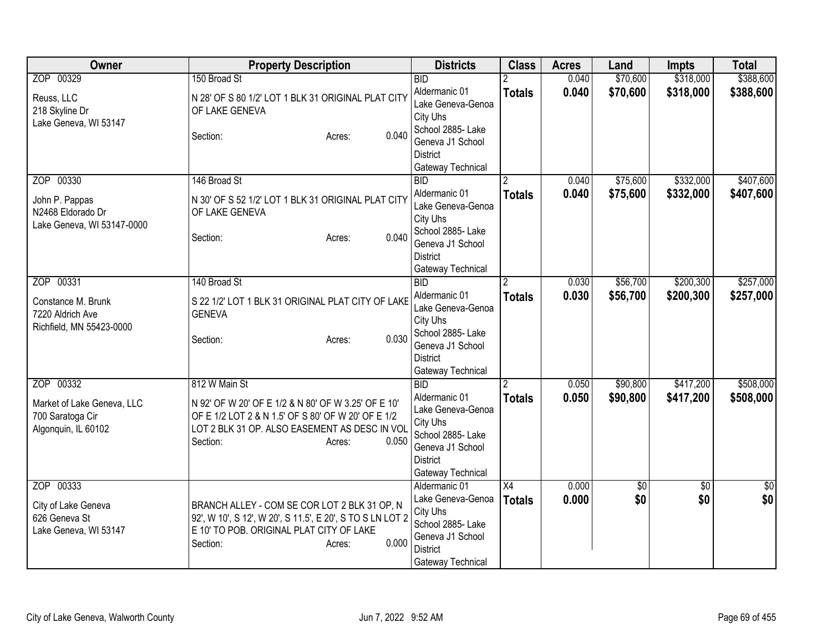| Owner                                                                              | <b>Property Description</b>                                                                                                                                                                                | <b>Districts</b>                                                                                                                              | <b>Class</b>                     | <b>Acres</b>   | Land                   | <b>Impts</b>           | <b>Total</b>           |
|------------------------------------------------------------------------------------|------------------------------------------------------------------------------------------------------------------------------------------------------------------------------------------------------------|-----------------------------------------------------------------------------------------------------------------------------------------------|----------------------------------|----------------|------------------------|------------------------|------------------------|
| ZOP 00329<br>Reuss, LLC<br>218 Skyline Dr<br>Lake Geneva, WI 53147                 | 150 Broad St<br>N 28' OF S 80 1/2' LOT 1 BLK 31 ORIGINAL PLAT CITY<br>OF LAKE GENEVA<br>0.040<br>Section:<br>Acres:                                                                                        | BID<br>Aldermanic 01<br>Lake Geneva-Genoa<br>City Uhs<br>School 2885- Lake<br>Geneva J1 School<br><b>District</b><br>Gateway Technical        | <b>Totals</b>                    | 0.040<br>0.040 | \$70,600<br>\$70,600   | \$318,000<br>\$318,000 | \$388,600<br>\$388,600 |
| ZOP 00330<br>John P. Pappas<br>N2468 Eldorado Dr<br>Lake Geneva, WI 53147-0000     | 146 Broad St<br>N 30' OF S 52 1/2' LOT 1 BLK 31 ORIGINAL PLAT CITY<br>OF LAKE GENEVA<br>0.040<br>Section:<br>Acres:                                                                                        | BID<br>Aldermanic 01<br>Lake Geneva-Genoa<br>City Uhs<br>School 2885- Lake<br>Geneva J1 School<br><b>District</b><br>Gateway Technical        | <b>Totals</b>                    | 0.040<br>0.040 | \$75,600<br>\$75,600   | \$332,000<br>\$332,000 | \$407,600<br>\$407,600 |
| ZOP 00331<br>Constance M. Brunk<br>7220 Aldrich Ave<br>Richfield, MN 55423-0000    | 140 Broad St<br>S 22 1/2' LOT 1 BLK 31 ORIGINAL PLAT CITY OF LAKE<br><b>GENEVA</b><br>0.030<br>Section:<br>Acres:                                                                                          | <b>BID</b><br>Aldermanic 01<br>Lake Geneva-Genoa<br>City Uhs<br>School 2885- Lake<br>Geneva J1 School<br><b>District</b><br>Gateway Technical | <b>Totals</b>                    | 0.030<br>0.030 | \$56,700<br>\$56,700   | \$200,300<br>\$200,300 | \$257,000<br>\$257,000 |
| ZOP 00332<br>Market of Lake Geneva, LLC<br>700 Saratoga Cir<br>Algonquin, IL 60102 | 812 W Main St<br>N 92' OF W 20' OF E 1/2 & N 80' OF W 3.25' OF E 10'<br>OF E 1/2 LOT 2 & N 1.5' OF S 80' OF W 20' OF E 1/2<br>LOT 2 BLK 31 OP. ALSO EASEMENT AS DESC IN VOL<br>0.050<br>Section:<br>Acres: | BD<br>Aldermanic 01<br>Lake Geneva-Genoa<br>City Uhs<br>School 2885- Lake<br>Geneva J1 School<br><b>District</b><br>Gateway Technical         | 2<br><b>Totals</b>               | 0.050<br>0.050 | \$90,800<br>\$90,800   | \$417,200<br>\$417,200 | \$508,000<br>\$508,000 |
| ZOP 00333<br>City of Lake Geneva<br>626 Geneva St<br>Lake Geneva, WI 53147         | BRANCH ALLEY - COM SE COR LOT 2 BLK 31 OP, N<br>92', W 10', S 12', W 20', S 11.5', E 20', S TO S LN LOT 2<br>E 10' TO POB. ORIGINAL PLAT CITY OF LAKE<br>0.000<br>Section:<br>Acres:                       | Aldermanic 01<br>Lake Geneva-Genoa<br>City Uhs<br>School 2885- Lake<br>Geneva J1 School<br>District<br>Gateway Technical                      | $\overline{X4}$<br><b>Totals</b> | 0.000<br>0.000 | $\overline{30}$<br>\$0 | $\overline{50}$<br>\$0 | $\sqrt{50}$<br>\$0     |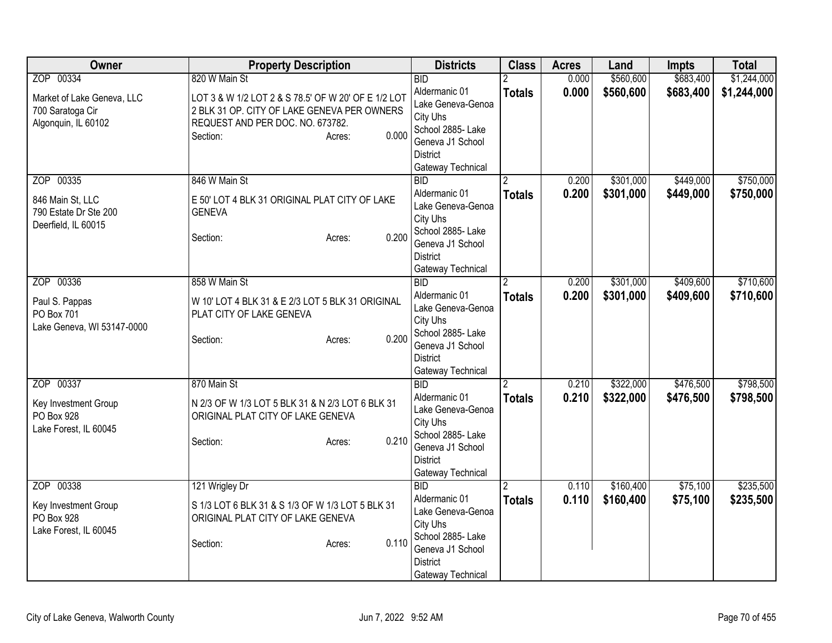| Owner                                                                              | <b>Property Description</b>                                                                                                                                                            | <b>Districts</b>                                                                                                                                    | <b>Class</b>       | <b>Acres</b>   | Land                   | <b>Impts</b>           | <b>Total</b>               |
|------------------------------------------------------------------------------------|----------------------------------------------------------------------------------------------------------------------------------------------------------------------------------------|-----------------------------------------------------------------------------------------------------------------------------------------------------|--------------------|----------------|------------------------|------------------------|----------------------------|
| ZOP 00334<br>Market of Lake Geneva, LLC<br>700 Saratoga Cir<br>Algonquin, IL 60102 | 820 W Main St<br>LOT 3 & W 1/2 LOT 2 & S 78.5' OF W 20' OF E 1/2 LOT<br>2 BLK 31 OP. CITY OF LAKE GENEVA PER OWNERS<br>REQUEST AND PER DOC. NO. 673782.<br>0.000<br>Section:<br>Acres: | <b>BID</b><br>Aldermanic 01<br>Lake Geneva-Genoa<br>City Uhs<br>School 2885- Lake<br>Geneva J1 School<br><b>District</b><br>Gateway Technical       | <b>Totals</b>      | 0.000<br>0.000 | \$560,600<br>\$560,600 | \$683,400<br>\$683,400 | \$1,244,000<br>\$1,244,000 |
| ZOP 00335<br>846 Main St, LLC<br>790 Estate Dr Ste 200<br>Deerfield, IL 60015      | 846 W Main St<br>E 50' LOT 4 BLK 31 ORIGINAL PLAT CITY OF LAKE<br><b>GENEVA</b><br>0.200<br>Section:<br>Acres:                                                                         | $\overline{BID}$<br>Aldermanic 01<br>Lake Geneva-Genoa<br>City Uhs<br>School 2885- Lake<br>Geneva J1 School<br><b>District</b><br>Gateway Technical | <b>Totals</b>      | 0.200<br>0.200 | \$301,000<br>\$301,000 | \$449,000<br>\$449,000 | \$750,000<br>\$750,000     |
| ZOP 00336<br>Paul S. Pappas<br>PO Box 701<br>Lake Geneva, WI 53147-0000            | 858 W Main St<br>W 10' LOT 4 BLK 31 & E 2/3 LOT 5 BLK 31 ORIGINAL<br>PLAT CITY OF LAKE GENEVA<br>0.200<br>Section:<br>Acres:                                                           | BID<br>Aldermanic 01<br>Lake Geneva-Genoa<br>City Uhs<br>School 2885- Lake<br>Geneva J1 School<br><b>District</b><br>Gateway Technical              | 2<br><b>Totals</b> | 0.200<br>0.200 | \$301,000<br>\$301,000 | \$409,600<br>\$409,600 | \$710,600<br>\$710,600     |
| ZOP 00337<br>Key Investment Group<br>PO Box 928<br>Lake Forest, IL 60045           | 870 Main St<br>N 2/3 OF W 1/3 LOT 5 BLK 31 & N 2/3 LOT 6 BLK 31<br>ORIGINAL PLAT CITY OF LAKE GENEVA<br>0.210<br>Section:<br>Acres:                                                    | BID<br>Aldermanic 01<br>Lake Geneva-Genoa<br>City Uhs<br>School 2885-Lake<br>Geneva J1 School<br><b>District</b><br>Gateway Technical               | <b>Totals</b>      | 0.210<br>0.210 | \$322,000<br>\$322,000 | \$476,500<br>\$476,500 | \$798,500<br>\$798,500     |
| ZOP 00338<br>Key Investment Group<br>PO Box 928<br>Lake Forest, IL 60045           | 121 Wrigley Dr<br>S 1/3 LOT 6 BLK 31 & S 1/3 OF W 1/3 LOT 5 BLK 31<br>ORIGINAL PLAT CITY OF LAKE GENEVA<br>0.110<br>Section:<br>Acres:                                                 | $\overline{BID}$<br>Aldermanic 01<br>Lake Geneva-Genoa<br>City Uhs<br>School 2885-Lake<br>Geneva J1 School<br><b>District</b><br>Gateway Technical  | 2<br><b>Totals</b> | 0.110<br>0.110 | \$160,400<br>\$160,400 | \$75,100<br>\$75,100   | \$235,500<br>\$235,500     |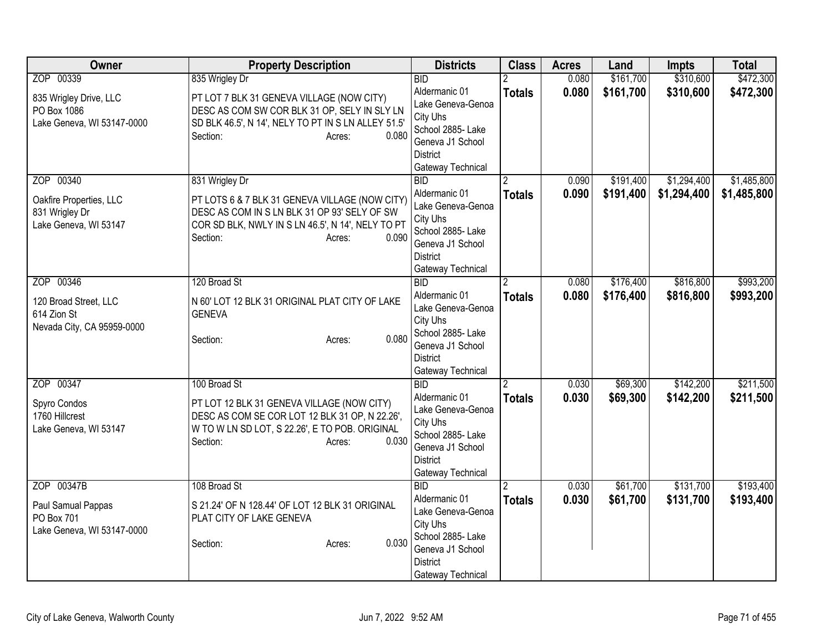| Owner                                                                           | <b>Property Description</b>                                                                                                                                                                          | <b>Districts</b>                                                                                                                              | <b>Class</b>       | <b>Acres</b>   | Land                   | <b>Impts</b>               | <b>Total</b>               |
|---------------------------------------------------------------------------------|------------------------------------------------------------------------------------------------------------------------------------------------------------------------------------------------------|-----------------------------------------------------------------------------------------------------------------------------------------------|--------------------|----------------|------------------------|----------------------------|----------------------------|
| ZOP 00339                                                                       | 835 Wrigley Dr                                                                                                                                                                                       | <b>BID</b>                                                                                                                                    |                    | 0.080          | \$161,700              | \$310,600                  | \$472,300                  |
| 835 Wrigley Drive, LLC<br>PO Box 1086<br>Lake Geneva, WI 53147-0000             | PT LOT 7 BLK 31 GENEVA VILLAGE (NOW CITY)<br>DESC AS COM SW COR BLK 31 OP, SELY IN SLY LN<br>SD BLK 46.5', N 14', NELY TO PT IN S LN ALLEY 51.5'<br>0.080<br>Section:<br>Acres:                      | Aldermanic 01<br>Lake Geneva-Genoa<br>City Uhs<br>School 2885- Lake<br>Geneva J1 School<br><b>District</b><br>Gateway Technical               | <b>Totals</b>      | 0.080          | \$161,700              | \$310,600                  | \$472,300                  |
| ZOP 00340<br>Oakfire Properties, LLC<br>831 Wrigley Dr<br>Lake Geneva, WI 53147 | 831 Wrigley Dr<br>PT LOTS 6 & 7 BLK 31 GENEVA VILLAGE (NOW CITY)<br>DESC AS COM IN S LN BLK 31 OP 93' SELY OF SW<br>COR SD BLK, NWLY IN S LN 46.5', N 14', NELY TO PT<br>0.090<br>Section:<br>Acres: | <b>BID</b><br>Aldermanic 01<br>Lake Geneva-Genoa<br>City Uhs<br>School 2885- Lake<br>Geneva J1 School<br><b>District</b><br>Gateway Technical | <b>Totals</b>      | 0.090<br>0.090 | \$191,400<br>\$191,400 | \$1,294,400<br>\$1,294,400 | \$1,485,800<br>\$1,485,800 |
| ZOP 00346<br>120 Broad Street, LLC<br>614 Zion St<br>Nevada City, CA 95959-0000 | 120 Broad St<br>N 60' LOT 12 BLK 31 ORIGINAL PLAT CITY OF LAKE<br><b>GENEVA</b><br>0.080<br>Section:<br>Acres:                                                                                       | <b>BID</b><br>Aldermanic 01<br>Lake Geneva-Genoa<br>City Uhs<br>School 2885- Lake<br>Geneva J1 School<br><b>District</b><br>Gateway Technical | 2<br><b>Totals</b> | 0.080<br>0.080 | \$176,400<br>\$176,400 | \$816,800<br>\$816,800     | \$993,200<br>\$993,200     |
| ZOP 00347<br>Spyro Condos<br>1760 Hillcrest<br>Lake Geneva, WI 53147            | 100 Broad St<br>PT LOT 12 BLK 31 GENEVA VILLAGE (NOW CITY)<br>DESC AS COM SE COR LOT 12 BLK 31 OP, N 22.26',<br>W TO W LN SD LOT, S 22.26', E TO POB. ORIGINAL<br>Section:<br>0.030<br>Acres:        | <b>BID</b><br>Aldermanic 01<br>Lake Geneva-Genoa<br>City Uhs<br>School 2885-Lake<br>Geneva J1 School<br><b>District</b><br>Gateway Technical  | <b>Totals</b>      | 0.030<br>0.030 | \$69,300<br>\$69,300   | \$142,200<br>\$142,200     | \$211,500<br>\$211,500     |
| ZOP 00347B<br>Paul Samual Pappas<br>PO Box 701<br>Lake Geneva, WI 53147-0000    | 108 Broad St<br>S 21.24' OF N 128.44' OF LOT 12 BLK 31 ORIGINAL<br>PLAT CITY OF LAKE GENEVA<br>0.030<br>Section:<br>Acres:                                                                           | <b>BID</b><br>Aldermanic 01<br>Lake Geneva-Genoa<br>City Uhs<br>School 2885- Lake<br>Geneva J1 School<br><b>District</b><br>Gateway Technical | <b>Totals</b>      | 0.030<br>0.030 | \$61,700<br>\$61,700   | \$131,700<br>\$131,700     | \$193,400<br>\$193,400     |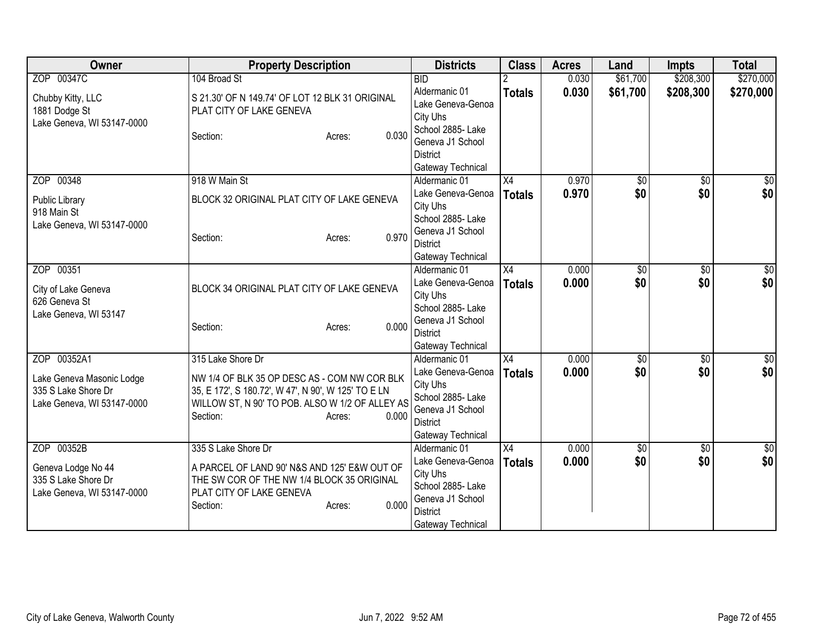| Owner                                             | <b>Property Description</b>                                                                            | <b>Districts</b>                             | <b>Class</b>    | <b>Acres</b> | Land            | <b>Impts</b>    | <b>Total</b>  |
|---------------------------------------------------|--------------------------------------------------------------------------------------------------------|----------------------------------------------|-----------------|--------------|-----------------|-----------------|---------------|
| ZOP 00347C                                        | 104 Broad St                                                                                           | <b>BID</b>                                   |                 | 0.030        | \$61,700        | \$208,300       | \$270,000     |
| Chubby Kitty, LLC                                 | S 21.30' OF N 149.74' OF LOT 12 BLK 31 ORIGINAL                                                        | Aldermanic 01                                | <b>Totals</b>   | 0.030        | \$61,700        | \$208,300       | \$270,000     |
| 1881 Dodge St                                     | PLAT CITY OF LAKE GENEVA                                                                               | Lake Geneva-Genoa                            |                 |              |                 |                 |               |
| Lake Geneva, WI 53147-0000                        |                                                                                                        | City Uhs                                     |                 |              |                 |                 |               |
|                                                   | Section:<br>Acres:                                                                                     | School 2885- Lake<br>0.030                   |                 |              |                 |                 |               |
|                                                   |                                                                                                        | Geneva J1 School<br><b>District</b>          |                 |              |                 |                 |               |
|                                                   |                                                                                                        | Gateway Technical                            |                 |              |                 |                 |               |
| ZOP 00348                                         | 918 W Main St                                                                                          | Aldermanic 01                                | $\overline{X4}$ | 0.970        | $\overline{50}$ | \$0             | $\frac{1}{6}$ |
|                                                   |                                                                                                        | Lake Geneva-Genoa                            | <b>Totals</b>   | 0.970        | \$0             | \$0             | \$0           |
| Public Library                                    | BLOCK 32 ORIGINAL PLAT CITY OF LAKE GENEVA                                                             | City Uhs                                     |                 |              |                 |                 |               |
| 918 Main St                                       |                                                                                                        | School 2885- Lake                            |                 |              |                 |                 |               |
| Lake Geneva, WI 53147-0000                        | Section:                                                                                               | Geneva J1 School<br>0.970                    |                 |              |                 |                 |               |
|                                                   | Acres:                                                                                                 | <b>District</b>                              |                 |              |                 |                 |               |
|                                                   |                                                                                                        | Gateway Technical                            |                 |              |                 |                 |               |
| ZOP 00351                                         |                                                                                                        | Aldermanic 01                                | X4              | 0.000        | \$0             | \$0             | \$0           |
| City of Lake Geneva                               | BLOCK 34 ORIGINAL PLAT CITY OF LAKE GENEVA                                                             | Lake Geneva-Genoa                            | <b>Totals</b>   | 0.000        | \$0             | \$0             | \$0           |
| 626 Geneva St                                     |                                                                                                        | City Uhs                                     |                 |              |                 |                 |               |
| Lake Geneva, WI 53147                             |                                                                                                        | School 2885- Lake                            |                 |              |                 |                 |               |
|                                                   | Section:<br>Acres:                                                                                     | Geneva J1 School<br>0.000<br><b>District</b> |                 |              |                 |                 |               |
|                                                   |                                                                                                        | Gateway Technical                            |                 |              |                 |                 |               |
| ZOP 00352A1                                       | 315 Lake Shore Dr                                                                                      | Aldermanic 01                                | $\overline{X4}$ | 0.000        | $\overline{50}$ | $\overline{50}$ | $\frac{1}{2}$ |
|                                                   |                                                                                                        | Lake Geneva-Genoa                            | <b>Totals</b>   | 0.000        | \$0             | \$0             | \$0           |
| Lake Geneva Masonic Lodge                         | NW 1/4 OF BLK 35 OP DESC AS - COM NW COR BLK                                                           | City Uhs                                     |                 |              |                 |                 |               |
| 335 S Lake Shore Dr<br>Lake Geneva, WI 53147-0000 | 35, E 172', S 180.72', W 47', N 90', W 125' TO E LN<br>WILLOW ST, N 90' TO POB. ALSO W 1/2 OF ALLEY AS | School 2885- Lake                            |                 |              |                 |                 |               |
|                                                   | Section:<br>Acres:                                                                                     | Geneva J1 School<br>0.000                    |                 |              |                 |                 |               |
|                                                   |                                                                                                        | <b>District</b>                              |                 |              |                 |                 |               |
|                                                   |                                                                                                        | Gateway Technical                            |                 |              |                 |                 |               |
| ZOP 00352B                                        | 335 S Lake Shore Dr                                                                                    | Aldermanic 01                                | X4              | 0.000        | $\overline{50}$ | $\overline{50}$ | $\sqrt{50}$   |
| Geneva Lodge No 44                                | A PARCEL OF LAND 90' N&S AND 125' E&W OUT OF                                                           | Lake Geneva-Genoa                            | <b>Totals</b>   | 0.000        | \$0             | \$0             | \$0           |
| 335 S Lake Shore Dr                               | THE SW COR OF THE NW 1/4 BLOCK 35 ORIGINAL                                                             | City Uhs<br>School 2885- Lake                |                 |              |                 |                 |               |
| Lake Geneva, WI 53147-0000                        | PLAT CITY OF LAKE GENEVA                                                                               | Geneva J1 School                             |                 |              |                 |                 |               |
|                                                   | Section:<br>Acres:                                                                                     | 0.000<br><b>District</b>                     |                 |              |                 |                 |               |
|                                                   |                                                                                                        | Gateway Technical                            |                 |              |                 |                 |               |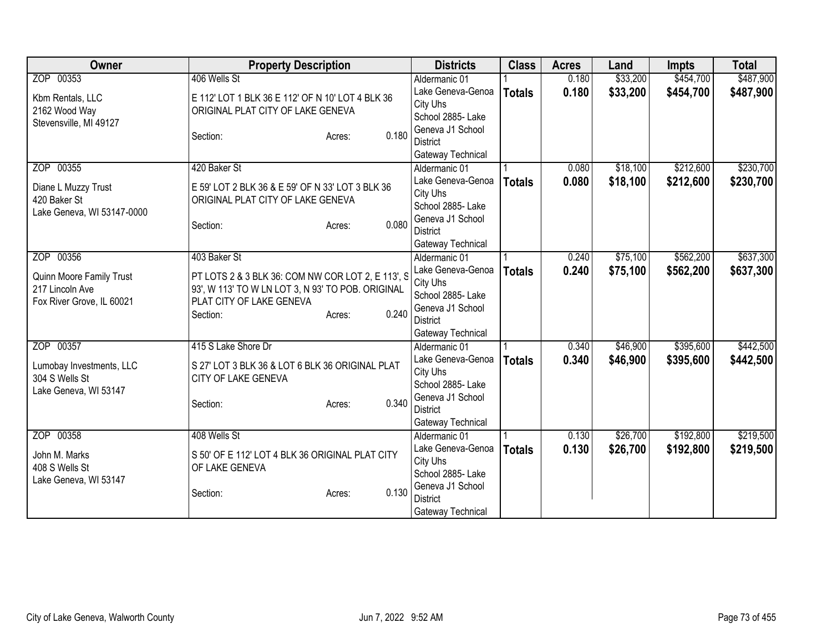| ZOP 00353<br>406 Wells St<br>\$33,200<br>\$454,700<br>Aldermanic 01<br>0.180<br>\$33,200<br>0.180<br>\$454,700<br>Lake Geneva-Genoa<br><b>Totals</b><br>E 112' LOT 1 BLK 36 E 112' OF N 10' LOT 4 BLK 36<br>Kbm Rentals, LLC<br>City Uhs<br>ORIGINAL PLAT CITY OF LAKE GENEVA<br>2162 Wood Way<br>School 2885-Lake<br>Stevensville, MI 49127<br>Geneva J1 School<br>0.180<br>Section:<br>Acres:<br><b>District</b><br>Gateway Technical<br>\$212,600<br>ZOP 00355<br>\$18,100<br>420 Baker St<br>0.080<br>Aldermanic 01<br>Lake Geneva-Genoa<br>0.080<br>\$18,100<br>\$212,600<br><b>Totals</b><br>Diane L Muzzy Trust<br>E 59' LOT 2 BLK 36 & E 59' OF N 33' LOT 3 BLK 36<br>City Uhs<br>420 Baker St<br>ORIGINAL PLAT CITY OF LAKE GENEVA<br>School 2885- Lake<br>Lake Geneva, WI 53147-0000<br>Geneva J1 School<br>0.080<br>Section:<br>Acres:<br><b>District</b><br>Gateway Technical<br>\$75,100<br>\$562,200<br>ZOP 00356<br>403 Baker St<br>0.240<br>Aldermanic 01<br>0.240<br>Lake Geneva-Genoa<br>\$75,100<br>\$562,200<br><b>Totals</b><br>PT LOTS 2 & 3 BLK 36: COM NW COR LOT 2, E 113', S<br>Quinn Moore Family Trust<br>City Uhs<br>93', W 113' TO W LN LOT 3, N 93' TO POB. ORIGINAL<br>217 Lincoln Ave<br>School 2885- Lake<br>Fox River Grove, IL 60021<br>PLAT CITY OF LAKE GENEVA<br>Geneva J1 School<br>0.240<br>Section:<br>Acres:<br><b>District</b><br>Gateway Technical<br>\$395,600<br>ZOP 00357<br>415 S Lake Shore Dr<br>\$46,900<br>Aldermanic 01<br>0.340<br>0.340<br>\$46,900<br>\$395,600<br>Lake Geneva-Genoa<br><b>Totals</b><br>S 27' LOT 3 BLK 36 & LOT 6 BLK 36 ORIGINAL PLAT<br>Lumobay Investments, LLC<br>City Uhs<br>304 S Wells St<br>CITY OF LAKE GENEVA<br>School 2885- Lake<br>Lake Geneva, WI 53147<br>Geneva J1 School<br>0.340<br>Section:<br>Acres:<br><b>District</b><br>Gateway Technical<br>ZOP 00358<br>\$26,700<br>\$192,800<br>408 Wells St<br>0.130<br>Aldermanic 01<br>Lake Geneva-Genoa<br>0.130<br>\$26,700<br>\$192,800<br><b>Totals</b><br>S 50' OF E 112' LOT 4 BLK 36 ORIGINAL PLAT CITY<br>John M. Marks<br>City Uhs<br>408 S Wells St<br>OF LAKE GENEVA<br>School 2885-Lake<br>Lake Geneva, WI 53147<br>Geneva J1 School<br>0.130<br>Section:<br>Acres:<br><b>District</b> | <b>Owner</b> | <b>Property Description</b> | <b>Districts</b> | <b>Class</b> | <b>Acres</b> | Land | <b>Impts</b> | <b>Total</b> |
|--------------------------------------------------------------------------------------------------------------------------------------------------------------------------------------------------------------------------------------------------------------------------------------------------------------------------------------------------------------------------------------------------------------------------------------------------------------------------------------------------------------------------------------------------------------------------------------------------------------------------------------------------------------------------------------------------------------------------------------------------------------------------------------------------------------------------------------------------------------------------------------------------------------------------------------------------------------------------------------------------------------------------------------------------------------------------------------------------------------------------------------------------------------------------------------------------------------------------------------------------------------------------------------------------------------------------------------------------------------------------------------------------------------------------------------------------------------------------------------------------------------------------------------------------------------------------------------------------------------------------------------------------------------------------------------------------------------------------------------------------------------------------------------------------------------------------------------------------------------------------------------------------------------------------------------------------------------------------------------------------------------------------------------------------------------------------------------------------------------------------------------------------------------------------------------------------------------------------------------------|--------------|-----------------------------|------------------|--------------|--------------|------|--------------|--------------|
|                                                                                                                                                                                                                                                                                                                                                                                                                                                                                                                                                                                                                                                                                                                                                                                                                                                                                                                                                                                                                                                                                                                                                                                                                                                                                                                                                                                                                                                                                                                                                                                                                                                                                                                                                                                                                                                                                                                                                                                                                                                                                                                                                                                                                                            |              |                             |                  |              |              |      |              | \$487,900    |
|                                                                                                                                                                                                                                                                                                                                                                                                                                                                                                                                                                                                                                                                                                                                                                                                                                                                                                                                                                                                                                                                                                                                                                                                                                                                                                                                                                                                                                                                                                                                                                                                                                                                                                                                                                                                                                                                                                                                                                                                                                                                                                                                                                                                                                            |              |                             |                  |              |              |      |              | \$487,900    |
| \$230,700<br>\$230,700<br>\$637,300<br>\$637,300<br>\$442,500<br>\$442,500<br>\$219,500<br>\$219,500                                                                                                                                                                                                                                                                                                                                                                                                                                                                                                                                                                                                                                                                                                                                                                                                                                                                                                                                                                                                                                                                                                                                                                                                                                                                                                                                                                                                                                                                                                                                                                                                                                                                                                                                                                                                                                                                                                                                                                                                                                                                                                                                       |              |                             |                  |              |              |      |              |              |
|                                                                                                                                                                                                                                                                                                                                                                                                                                                                                                                                                                                                                                                                                                                                                                                                                                                                                                                                                                                                                                                                                                                                                                                                                                                                                                                                                                                                                                                                                                                                                                                                                                                                                                                                                                                                                                                                                                                                                                                                                                                                                                                                                                                                                                            |              |                             |                  |              |              |      |              |              |
|                                                                                                                                                                                                                                                                                                                                                                                                                                                                                                                                                                                                                                                                                                                                                                                                                                                                                                                                                                                                                                                                                                                                                                                                                                                                                                                                                                                                                                                                                                                                                                                                                                                                                                                                                                                                                                                                                                                                                                                                                                                                                                                                                                                                                                            |              |                             |                  |              |              |      |              |              |
|                                                                                                                                                                                                                                                                                                                                                                                                                                                                                                                                                                                                                                                                                                                                                                                                                                                                                                                                                                                                                                                                                                                                                                                                                                                                                                                                                                                                                                                                                                                                                                                                                                                                                                                                                                                                                                                                                                                                                                                                                                                                                                                                                                                                                                            |              |                             |                  |              |              |      |              |              |
|                                                                                                                                                                                                                                                                                                                                                                                                                                                                                                                                                                                                                                                                                                                                                                                                                                                                                                                                                                                                                                                                                                                                                                                                                                                                                                                                                                                                                                                                                                                                                                                                                                                                                                                                                                                                                                                                                                                                                                                                                                                                                                                                                                                                                                            |              |                             |                  |              |              |      |              |              |
|                                                                                                                                                                                                                                                                                                                                                                                                                                                                                                                                                                                                                                                                                                                                                                                                                                                                                                                                                                                                                                                                                                                                                                                                                                                                                                                                                                                                                                                                                                                                                                                                                                                                                                                                                                                                                                                                                                                                                                                                                                                                                                                                                                                                                                            |              |                             |                  |              |              |      |              |              |
|                                                                                                                                                                                                                                                                                                                                                                                                                                                                                                                                                                                                                                                                                                                                                                                                                                                                                                                                                                                                                                                                                                                                                                                                                                                                                                                                                                                                                                                                                                                                                                                                                                                                                                                                                                                                                                                                                                                                                                                                                                                                                                                                                                                                                                            |              |                             |                  |              |              |      |              |              |
|                                                                                                                                                                                                                                                                                                                                                                                                                                                                                                                                                                                                                                                                                                                                                                                                                                                                                                                                                                                                                                                                                                                                                                                                                                                                                                                                                                                                                                                                                                                                                                                                                                                                                                                                                                                                                                                                                                                                                                                                                                                                                                                                                                                                                                            |              |                             |                  |              |              |      |              |              |
|                                                                                                                                                                                                                                                                                                                                                                                                                                                                                                                                                                                                                                                                                                                                                                                                                                                                                                                                                                                                                                                                                                                                                                                                                                                                                                                                                                                                                                                                                                                                                                                                                                                                                                                                                                                                                                                                                                                                                                                                                                                                                                                                                                                                                                            |              |                             |                  |              |              |      |              |              |
|                                                                                                                                                                                                                                                                                                                                                                                                                                                                                                                                                                                                                                                                                                                                                                                                                                                                                                                                                                                                                                                                                                                                                                                                                                                                                                                                                                                                                                                                                                                                                                                                                                                                                                                                                                                                                                                                                                                                                                                                                                                                                                                                                                                                                                            |              |                             |                  |              |              |      |              |              |
|                                                                                                                                                                                                                                                                                                                                                                                                                                                                                                                                                                                                                                                                                                                                                                                                                                                                                                                                                                                                                                                                                                                                                                                                                                                                                                                                                                                                                                                                                                                                                                                                                                                                                                                                                                                                                                                                                                                                                                                                                                                                                                                                                                                                                                            |              |                             |                  |              |              |      |              |              |
|                                                                                                                                                                                                                                                                                                                                                                                                                                                                                                                                                                                                                                                                                                                                                                                                                                                                                                                                                                                                                                                                                                                                                                                                                                                                                                                                                                                                                                                                                                                                                                                                                                                                                                                                                                                                                                                                                                                                                                                                                                                                                                                                                                                                                                            |              |                             |                  |              |              |      |              |              |
|                                                                                                                                                                                                                                                                                                                                                                                                                                                                                                                                                                                                                                                                                                                                                                                                                                                                                                                                                                                                                                                                                                                                                                                                                                                                                                                                                                                                                                                                                                                                                                                                                                                                                                                                                                                                                                                                                                                                                                                                                                                                                                                                                                                                                                            |              |                             |                  |              |              |      |              |              |
|                                                                                                                                                                                                                                                                                                                                                                                                                                                                                                                                                                                                                                                                                                                                                                                                                                                                                                                                                                                                                                                                                                                                                                                                                                                                                                                                                                                                                                                                                                                                                                                                                                                                                                                                                                                                                                                                                                                                                                                                                                                                                                                                                                                                                                            |              |                             |                  |              |              |      |              |              |
|                                                                                                                                                                                                                                                                                                                                                                                                                                                                                                                                                                                                                                                                                                                                                                                                                                                                                                                                                                                                                                                                                                                                                                                                                                                                                                                                                                                                                                                                                                                                                                                                                                                                                                                                                                                                                                                                                                                                                                                                                                                                                                                                                                                                                                            |              |                             |                  |              |              |      |              |              |
|                                                                                                                                                                                                                                                                                                                                                                                                                                                                                                                                                                                                                                                                                                                                                                                                                                                                                                                                                                                                                                                                                                                                                                                                                                                                                                                                                                                                                                                                                                                                                                                                                                                                                                                                                                                                                                                                                                                                                                                                                                                                                                                                                                                                                                            |              |                             |                  |              |              |      |              |              |
|                                                                                                                                                                                                                                                                                                                                                                                                                                                                                                                                                                                                                                                                                                                                                                                                                                                                                                                                                                                                                                                                                                                                                                                                                                                                                                                                                                                                                                                                                                                                                                                                                                                                                                                                                                                                                                                                                                                                                                                                                                                                                                                                                                                                                                            |              |                             |                  |              |              |      |              |              |
|                                                                                                                                                                                                                                                                                                                                                                                                                                                                                                                                                                                                                                                                                                                                                                                                                                                                                                                                                                                                                                                                                                                                                                                                                                                                                                                                                                                                                                                                                                                                                                                                                                                                                                                                                                                                                                                                                                                                                                                                                                                                                                                                                                                                                                            |              |                             |                  |              |              |      |              |              |
|                                                                                                                                                                                                                                                                                                                                                                                                                                                                                                                                                                                                                                                                                                                                                                                                                                                                                                                                                                                                                                                                                                                                                                                                                                                                                                                                                                                                                                                                                                                                                                                                                                                                                                                                                                                                                                                                                                                                                                                                                                                                                                                                                                                                                                            |              |                             |                  |              |              |      |              |              |
|                                                                                                                                                                                                                                                                                                                                                                                                                                                                                                                                                                                                                                                                                                                                                                                                                                                                                                                                                                                                                                                                                                                                                                                                                                                                                                                                                                                                                                                                                                                                                                                                                                                                                                                                                                                                                                                                                                                                                                                                                                                                                                                                                                                                                                            |              |                             |                  |              |              |      |              |              |
|                                                                                                                                                                                                                                                                                                                                                                                                                                                                                                                                                                                                                                                                                                                                                                                                                                                                                                                                                                                                                                                                                                                                                                                                                                                                                                                                                                                                                                                                                                                                                                                                                                                                                                                                                                                                                                                                                                                                                                                                                                                                                                                                                                                                                                            |              |                             |                  |              |              |      |              |              |
|                                                                                                                                                                                                                                                                                                                                                                                                                                                                                                                                                                                                                                                                                                                                                                                                                                                                                                                                                                                                                                                                                                                                                                                                                                                                                                                                                                                                                                                                                                                                                                                                                                                                                                                                                                                                                                                                                                                                                                                                                                                                                                                                                                                                                                            |              |                             |                  |              |              |      |              |              |
|                                                                                                                                                                                                                                                                                                                                                                                                                                                                                                                                                                                                                                                                                                                                                                                                                                                                                                                                                                                                                                                                                                                                                                                                                                                                                                                                                                                                                                                                                                                                                                                                                                                                                                                                                                                                                                                                                                                                                                                                                                                                                                                                                                                                                                            |              |                             |                  |              |              |      |              |              |
|                                                                                                                                                                                                                                                                                                                                                                                                                                                                                                                                                                                                                                                                                                                                                                                                                                                                                                                                                                                                                                                                                                                                                                                                                                                                                                                                                                                                                                                                                                                                                                                                                                                                                                                                                                                                                                                                                                                                                                                                                                                                                                                                                                                                                                            |              |                             |                  |              |              |      |              |              |
|                                                                                                                                                                                                                                                                                                                                                                                                                                                                                                                                                                                                                                                                                                                                                                                                                                                                                                                                                                                                                                                                                                                                                                                                                                                                                                                                                                                                                                                                                                                                                                                                                                                                                                                                                                                                                                                                                                                                                                                                                                                                                                                                                                                                                                            |              |                             |                  |              |              |      |              |              |
|                                                                                                                                                                                                                                                                                                                                                                                                                                                                                                                                                                                                                                                                                                                                                                                                                                                                                                                                                                                                                                                                                                                                                                                                                                                                                                                                                                                                                                                                                                                                                                                                                                                                                                                                                                                                                                                                                                                                                                                                                                                                                                                                                                                                                                            |              |                             |                  |              |              |      |              |              |
|                                                                                                                                                                                                                                                                                                                                                                                                                                                                                                                                                                                                                                                                                                                                                                                                                                                                                                                                                                                                                                                                                                                                                                                                                                                                                                                                                                                                                                                                                                                                                                                                                                                                                                                                                                                                                                                                                                                                                                                                                                                                                                                                                                                                                                            |              |                             |                  |              |              |      |              |              |
|                                                                                                                                                                                                                                                                                                                                                                                                                                                                                                                                                                                                                                                                                                                                                                                                                                                                                                                                                                                                                                                                                                                                                                                                                                                                                                                                                                                                                                                                                                                                                                                                                                                                                                                                                                                                                                                                                                                                                                                                                                                                                                                                                                                                                                            |              |                             |                  |              |              |      |              |              |
|                                                                                                                                                                                                                                                                                                                                                                                                                                                                                                                                                                                                                                                                                                                                                                                                                                                                                                                                                                                                                                                                                                                                                                                                                                                                                                                                                                                                                                                                                                                                                                                                                                                                                                                                                                                                                                                                                                                                                                                                                                                                                                                                                                                                                                            |              |                             |                  |              |              |      |              |              |
|                                                                                                                                                                                                                                                                                                                                                                                                                                                                                                                                                                                                                                                                                                                                                                                                                                                                                                                                                                                                                                                                                                                                                                                                                                                                                                                                                                                                                                                                                                                                                                                                                                                                                                                                                                                                                                                                                                                                                                                                                                                                                                                                                                                                                                            |              |                             |                  |              |              |      |              |              |
|                                                                                                                                                                                                                                                                                                                                                                                                                                                                                                                                                                                                                                                                                                                                                                                                                                                                                                                                                                                                                                                                                                                                                                                                                                                                                                                                                                                                                                                                                                                                                                                                                                                                                                                                                                                                                                                                                                                                                                                                                                                                                                                                                                                                                                            |              |                             |                  |              |              |      |              |              |
| Gateway Technical                                                                                                                                                                                                                                                                                                                                                                                                                                                                                                                                                                                                                                                                                                                                                                                                                                                                                                                                                                                                                                                                                                                                                                                                                                                                                                                                                                                                                                                                                                                                                                                                                                                                                                                                                                                                                                                                                                                                                                                                                                                                                                                                                                                                                          |              |                             |                  |              |              |      |              |              |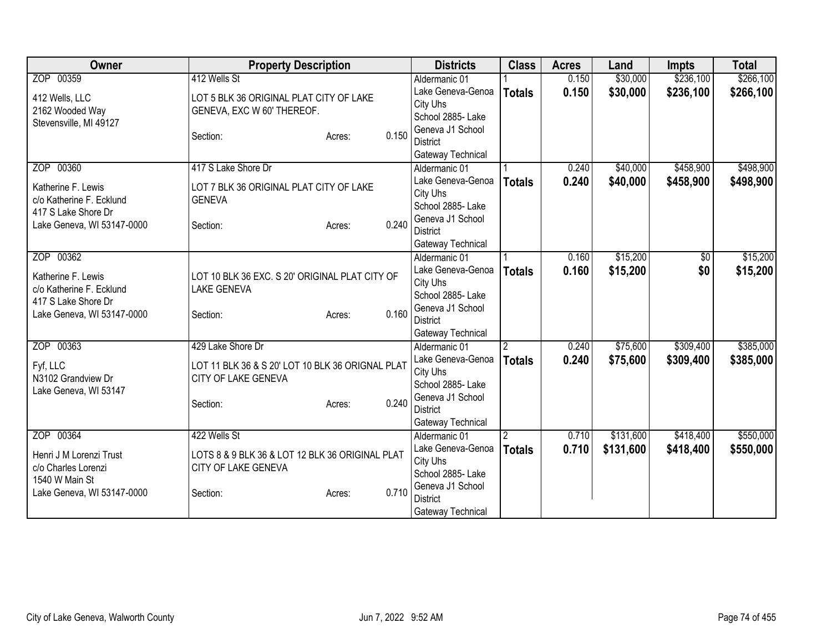| <b>Owner</b>                                    | <b>Property Description</b>                      |       | <b>Districts</b>                    | <b>Class</b>   | <b>Acres</b> | Land      | <b>Impts</b> | <b>Total</b> |
|-------------------------------------------------|--------------------------------------------------|-------|-------------------------------------|----------------|--------------|-----------|--------------|--------------|
| ZOP 00359                                       | 412 Wells St                                     |       | Aldermanic 01                       |                | 0.150        | \$30,000  | \$236,100    | \$266,100    |
| 412 Wells, LLC                                  | LOT 5 BLK 36 ORIGINAL PLAT CITY OF LAKE          |       | Lake Geneva-Genoa                   | <b>Totals</b>  | 0.150        | \$30,000  | \$236,100    | \$266,100    |
| 2162 Wooded Way                                 | GENEVA, EXC W 60' THEREOF.                       |       | City Uhs                            |                |              |           |              |              |
| Stevensville, MI 49127                          |                                                  |       | School 2885- Lake                   |                |              |           |              |              |
|                                                 | Section:<br>Acres:                               | 0.150 | Geneva J1 School                    |                |              |           |              |              |
|                                                 |                                                  |       | <b>District</b>                     |                |              |           |              |              |
|                                                 |                                                  |       | Gateway Technical                   |                |              |           |              |              |
| ZOP 00360                                       | 417 S Lake Shore Dr                              |       | Aldermanic 01<br>Lake Geneva-Genoa  |                | 0.240        | \$40,000  | \$458,900    | \$498,900    |
| Katherine F. Lewis                              | LOT 7 BLK 36 ORIGINAL PLAT CITY OF LAKE          |       | City Uhs                            | <b>Totals</b>  | 0.240        | \$40,000  | \$458,900    | \$498,900    |
| c/o Katherine F. Ecklund                        | <b>GENEVA</b>                                    |       | School 2885- Lake                   |                |              |           |              |              |
| 417 S Lake Shore Dr                             |                                                  |       | Geneva J1 School                    |                |              |           |              |              |
| Lake Geneva, WI 53147-0000                      | Section:<br>Acres:                               | 0.240 | <b>District</b>                     |                |              |           |              |              |
|                                                 |                                                  |       | Gateway Technical                   |                |              |           |              |              |
| ZOP 00362                                       |                                                  |       | Aldermanic 01                       |                | 0.160        | \$15,200  | \$0          | \$15,200     |
|                                                 |                                                  |       | Lake Geneva-Genoa                   | <b>Totals</b>  | 0.160        | \$15,200  | \$0          | \$15,200     |
| Katherine F. Lewis                              | LOT 10 BLK 36 EXC. S 20' ORIGINAL PLAT CITY OF   |       | City Uhs                            |                |              |           |              |              |
| c/o Katherine F. Ecklund<br>417 S Lake Shore Dr | <b>LAKE GENEVA</b>                               |       | School 2885-Lake                    |                |              |           |              |              |
| Lake Geneva, WI 53147-0000                      | Section:<br>Acres:                               | 0.160 | Geneva J1 School                    |                |              |           |              |              |
|                                                 |                                                  |       | <b>District</b>                     |                |              |           |              |              |
|                                                 |                                                  |       | Gateway Technical                   |                |              |           |              |              |
| ZOP 00363                                       | 429 Lake Shore Dr                                |       | Aldermanic 01                       | $\overline{2}$ | 0.240        | \$75,600  | \$309,400    | \$385,000    |
| Fyf, LLC                                        | LOT 11 BLK 36 & S 20' LOT 10 BLK 36 ORIGNAL PLAT |       | Lake Geneva-Genoa                   | <b>Totals</b>  | 0.240        | \$75,600  | \$309,400    | \$385,000    |
| N3102 Grandview Dr                              | CITY OF LAKE GENEVA                              |       | City Uhs                            |                |              |           |              |              |
| Lake Geneva, WI 53147                           |                                                  |       | School 2885- Lake                   |                |              |           |              |              |
|                                                 | Section:<br>Acres:                               | 0.240 | Geneva J1 School<br><b>District</b> |                |              |           |              |              |
|                                                 |                                                  |       | Gateway Technical                   |                |              |           |              |              |
| ZOP 00364                                       | 422 Wells St                                     |       | Aldermanic 01                       | $\overline{2}$ | 0.710        | \$131,600 | \$418,400    | \$550,000    |
|                                                 |                                                  |       | Lake Geneva-Genoa                   | <b>Totals</b>  | 0.710        | \$131,600 | \$418,400    | \$550,000    |
| Henri J M Lorenzi Trust                         | LOTS 8 & 9 BLK 36 & LOT 12 BLK 36 ORIGINAL PLAT  |       | City Uhs                            |                |              |           |              |              |
| c/o Charles Lorenzi                             | CITY OF LAKE GENEVA                              |       | School 2885- Lake                   |                |              |           |              |              |
| 1540 W Main St                                  |                                                  |       | Geneva J1 School                    |                |              |           |              |              |
| Lake Geneva, WI 53147-0000                      | Section:<br>Acres:                               | 0.710 | <b>District</b>                     |                |              |           |              |              |
|                                                 |                                                  |       | Gateway Technical                   |                |              |           |              |              |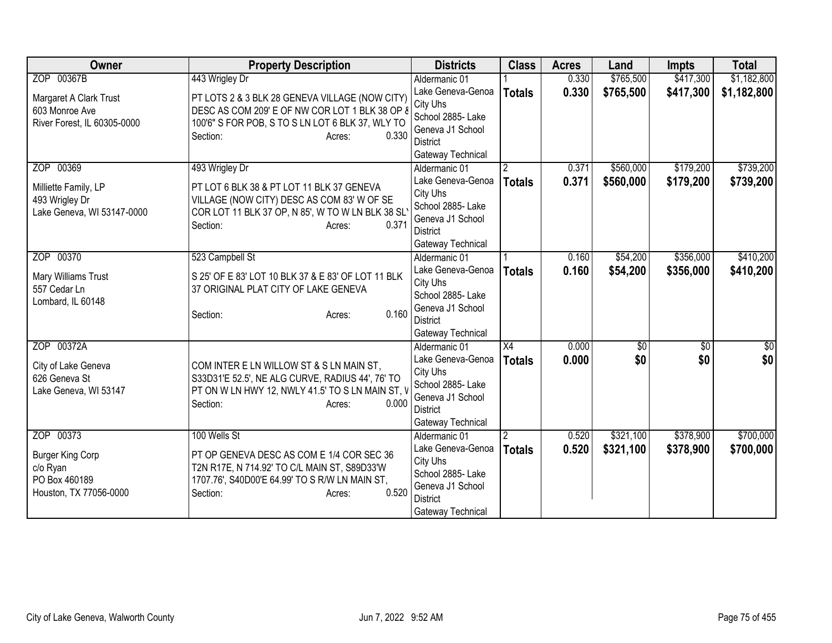| ZOP 00367B<br>443 Wrigley Dr<br>\$1,182,800<br>0.330<br>\$765,500<br>\$417,300<br>Aldermanic 01<br>0.330<br>Lake Geneva-Genoa<br>\$765,500<br>\$417,300<br>\$1,182,800<br><b>Totals</b><br>PT LOTS 2 & 3 BLK 28 GENEVA VILLAGE (NOW CITY)<br>Margaret A Clark Trust<br>City Uhs<br>DESC AS COM 209' E OF NW COR LOT 1 BLK 38 OP 8<br>603 Monroe Ave<br>School 2885- Lake<br>100'6" S FOR POB, S TO S LN LOT 6 BLK 37, WLY TO<br>River Forest, IL 60305-0000<br>Geneva J1 School<br>0.330<br>Section:<br>Acres:<br><b>District</b><br>Gateway Technical<br>ZOP 00369<br>\$560,000<br>\$179,200<br>\$739,200<br>493 Wrigley Dr<br>0.371<br>Aldermanic 01<br>$\mathbf{2}^{\circ}$<br>0.371<br>Lake Geneva-Genoa<br>\$560,000<br>\$179,200<br>\$739,200<br><b>Totals</b><br>PT LOT 6 BLK 38 & PT LOT 11 BLK 37 GENEVA<br>Milliette Family, LP<br>City Uhs<br>VILLAGE (NOW CITY) DESC AS COM 83' W OF SE |
|-----------------------------------------------------------------------------------------------------------------------------------------------------------------------------------------------------------------------------------------------------------------------------------------------------------------------------------------------------------------------------------------------------------------------------------------------------------------------------------------------------------------------------------------------------------------------------------------------------------------------------------------------------------------------------------------------------------------------------------------------------------------------------------------------------------------------------------------------------------------------------------------------------|
|                                                                                                                                                                                                                                                                                                                                                                                                                                                                                                                                                                                                                                                                                                                                                                                                                                                                                                     |
|                                                                                                                                                                                                                                                                                                                                                                                                                                                                                                                                                                                                                                                                                                                                                                                                                                                                                                     |
|                                                                                                                                                                                                                                                                                                                                                                                                                                                                                                                                                                                                                                                                                                                                                                                                                                                                                                     |
|                                                                                                                                                                                                                                                                                                                                                                                                                                                                                                                                                                                                                                                                                                                                                                                                                                                                                                     |
|                                                                                                                                                                                                                                                                                                                                                                                                                                                                                                                                                                                                                                                                                                                                                                                                                                                                                                     |
|                                                                                                                                                                                                                                                                                                                                                                                                                                                                                                                                                                                                                                                                                                                                                                                                                                                                                                     |
|                                                                                                                                                                                                                                                                                                                                                                                                                                                                                                                                                                                                                                                                                                                                                                                                                                                                                                     |
|                                                                                                                                                                                                                                                                                                                                                                                                                                                                                                                                                                                                                                                                                                                                                                                                                                                                                                     |
|                                                                                                                                                                                                                                                                                                                                                                                                                                                                                                                                                                                                                                                                                                                                                                                                                                                                                                     |
| 493 Wrigley Dr<br>School 2885- Lake                                                                                                                                                                                                                                                                                                                                                                                                                                                                                                                                                                                                                                                                                                                                                                                                                                                                 |
| Lake Geneva, WI 53147-0000<br>COR LOT 11 BLK 37 OP, N 85', W TO W LN BLK 38 SL'<br>Geneva J1 School                                                                                                                                                                                                                                                                                                                                                                                                                                                                                                                                                                                                                                                                                                                                                                                                 |
| Section:<br>0.371<br>Acres:<br><b>District</b>                                                                                                                                                                                                                                                                                                                                                                                                                                                                                                                                                                                                                                                                                                                                                                                                                                                      |
| Gateway Technical                                                                                                                                                                                                                                                                                                                                                                                                                                                                                                                                                                                                                                                                                                                                                                                                                                                                                   |
| ZOP 00370<br>\$356,000<br>\$410,200<br>523 Campbell St<br>0.160<br>\$54,200<br>Aldermanic 01                                                                                                                                                                                                                                                                                                                                                                                                                                                                                                                                                                                                                                                                                                                                                                                                        |
| Lake Geneva-Genoa<br>0.160<br>\$54,200<br>\$356,000<br>\$410,200<br><b>Totals</b><br>Mary Williams Trust<br>S 25' OF E 83' LOT 10 BLK 37 & E 83' OF LOT 11 BLK                                                                                                                                                                                                                                                                                                                                                                                                                                                                                                                                                                                                                                                                                                                                      |
| City Uhs<br>557 Cedar Ln<br>37 ORIGINAL PLAT CITY OF LAKE GENEVA                                                                                                                                                                                                                                                                                                                                                                                                                                                                                                                                                                                                                                                                                                                                                                                                                                    |
| School 2885-Lake<br>Lombard, IL 60148                                                                                                                                                                                                                                                                                                                                                                                                                                                                                                                                                                                                                                                                                                                                                                                                                                                               |
| Geneva J1 School<br>0.160<br>Section:<br>Acres:                                                                                                                                                                                                                                                                                                                                                                                                                                                                                                                                                                                                                                                                                                                                                                                                                                                     |
| <b>District</b>                                                                                                                                                                                                                                                                                                                                                                                                                                                                                                                                                                                                                                                                                                                                                                                                                                                                                     |
| Gateway Technical<br>ZOP 00372A<br>X4<br>$\overline{50}$<br>$\frac{1}{20}$<br>Aldermanic 01<br>0.000<br>$\sqrt{50}$                                                                                                                                                                                                                                                                                                                                                                                                                                                                                                                                                                                                                                                                                                                                                                                 |
| \$0<br>\$0<br>Lake Geneva-Genoa<br>0.000<br>\$0                                                                                                                                                                                                                                                                                                                                                                                                                                                                                                                                                                                                                                                                                                                                                                                                                                                     |
| <b>Totals</b><br>City of Lake Geneva<br>COM INTER E LN WILLOW ST & S LN MAIN ST,<br>City Uhs                                                                                                                                                                                                                                                                                                                                                                                                                                                                                                                                                                                                                                                                                                                                                                                                        |
| 626 Geneva St<br>S33D31'E 52.5', NE ALG CURVE, RADIUS 44', 76' TO<br>School 2885- Lake                                                                                                                                                                                                                                                                                                                                                                                                                                                                                                                                                                                                                                                                                                                                                                                                              |
| PT ON W LN HWY 12, NWLY 41.5' TO S LN MAIN ST, V<br>Lake Geneva, WI 53147<br>Geneva J1 School                                                                                                                                                                                                                                                                                                                                                                                                                                                                                                                                                                                                                                                                                                                                                                                                       |
| 0.000<br>Section:<br>Acres:<br><b>District</b>                                                                                                                                                                                                                                                                                                                                                                                                                                                                                                                                                                                                                                                                                                                                                                                                                                                      |
| Gateway Technical                                                                                                                                                                                                                                                                                                                                                                                                                                                                                                                                                                                                                                                                                                                                                                                                                                                                                   |
| ZOP 00373<br>100 Wells St<br>\$378,900<br>\$700,000<br>\$321,100<br>Aldermanic 01<br>0.520                                                                                                                                                                                                                                                                                                                                                                                                                                                                                                                                                                                                                                                                                                                                                                                                          |
| 0.520<br>\$321,100<br>\$378,900<br>Lake Geneva-Genoa<br>\$700,000<br><b>Totals</b><br>PT OP GENEVA DESC AS COM E 1/4 COR SEC 36<br><b>Burger King Corp</b>                                                                                                                                                                                                                                                                                                                                                                                                                                                                                                                                                                                                                                                                                                                                          |
| City Uhs<br>c/o Ryan<br>T2N R17E, N 714.92' TO C/L MAIN ST, S89D33'W                                                                                                                                                                                                                                                                                                                                                                                                                                                                                                                                                                                                                                                                                                                                                                                                                                |
| School 2885- Lake<br>PO Box 460189<br>1707.76', S40D00'E 64.99' TO S R/W LN MAIN ST,                                                                                                                                                                                                                                                                                                                                                                                                                                                                                                                                                                                                                                                                                                                                                                                                                |
| Geneva J1 School<br>0.520<br>Houston, TX 77056-0000<br>Section:<br>Acres:                                                                                                                                                                                                                                                                                                                                                                                                                                                                                                                                                                                                                                                                                                                                                                                                                           |
| <b>District</b><br>Gateway Technical                                                                                                                                                                                                                                                                                                                                                                                                                                                                                                                                                                                                                                                                                                                                                                                                                                                                |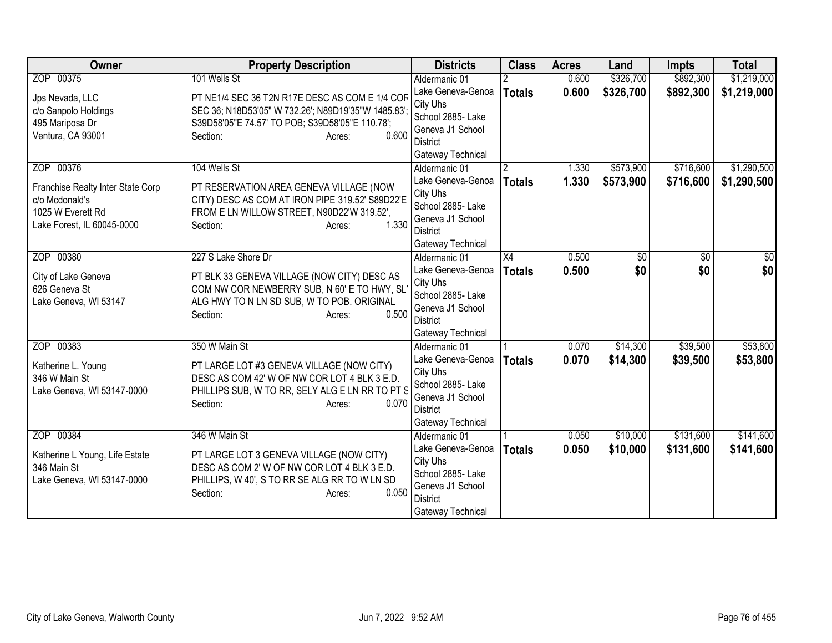| Owner                                   | <b>Property Description</b>                                                                          | <b>Districts</b>                   | <b>Class</b>    | <b>Acres</b> | Land                 | <b>Impts</b> | <b>Total</b> |
|-----------------------------------------|------------------------------------------------------------------------------------------------------|------------------------------------|-----------------|--------------|----------------------|--------------|--------------|
| ZOP 00375                               | 101 Wells St                                                                                         | Aldermanic 01                      |                 | 0.600        | \$326,700            | \$892,300    | \$1,219,000  |
| Jps Nevada, LLC                         | PT NE1/4 SEC 36 T2N R17E DESC AS COM E 1/4 COR<br>SEC 36; N18D53'05" W 732.26'; N89D19'35"W 1485.83' | Lake Geneva-Genoa<br>City Uhs      | <b>Totals</b>   | 0.600        | \$326,700            | \$892,300    | \$1,219,000  |
| c/o Sanpolo Holdings<br>495 Mariposa Dr | S39D58'05"E 74.57' TO POB; S39D58'05"E 110.78';                                                      | School 2885- Lake                  |                 |              |                      |              |              |
| Ventura, CA 93001                       | 0.600<br>Section:<br>Acres:                                                                          | Geneva J1 School<br>District       |                 |              |                      |              |              |
|                                         |                                                                                                      | Gateway Technical                  |                 |              |                      |              |              |
| ZOP 00376                               | 104 Wells St                                                                                         | Aldermanic 01                      | 2               | 1.330        | \$573,900            | \$716,600    | \$1,290,500  |
| Franchise Realty Inter State Corp       | PT RESERVATION AREA GENEVA VILLAGE (NOW                                                              | Lake Geneva-Genoa                  | <b>Totals</b>   | 1.330        | \$573,900            | \$716,600    | \$1,290,500  |
| c/o Mcdonald's                          | CITY) DESC AS COM AT IRON PIPE 319.52' S89D22'E                                                      | City Uhs                           |                 |              |                      |              |              |
| 1025 W Everett Rd                       | FROM E LN WILLOW STREET, N90D22'W 319.52',                                                           | School 2885- Lake                  |                 |              |                      |              |              |
| Lake Forest, IL 60045-0000              | 1.330<br>Section:<br>Acres:                                                                          | Geneva J1 School                   |                 |              |                      |              |              |
|                                         |                                                                                                      | <b>District</b>                    |                 |              |                      |              |              |
|                                         |                                                                                                      | Gateway Technical                  |                 |              |                      |              |              |
| ZOP 00380                               | 227 S Lake Shore Dr                                                                                  | Aldermanic 01                      | $\overline{X4}$ | 0.500        | \$0                  | \$0          | \$0          |
| City of Lake Geneva                     | PT BLK 33 GENEVA VILLAGE (NOW CITY) DESC AS                                                          | Lake Geneva-Genoa<br>City Uhs      | <b>Totals</b>   | 0.500        | \$0                  | \$0          | \$0          |
| 626 Geneva St                           | COM NW COR NEWBERRY SUB, N 60' E TO HWY, SL                                                          | School 2885-Lake                   |                 |              |                      |              |              |
| Lake Geneva, WI 53147                   | ALG HWY TO N LN SD SUB, W TO POB. ORIGINAL                                                           | Geneva J1 School                   |                 |              |                      |              |              |
|                                         | 0.500<br>Section:<br>Acres:                                                                          | <b>District</b>                    |                 |              |                      |              |              |
|                                         |                                                                                                      | Gateway Technical                  |                 |              |                      |              |              |
| ZOP 00383                               | 350 W Main St                                                                                        | Aldermanic 01                      |                 | 0.070        | \$14,300             | \$39,500     | \$53,800     |
| Katherine L. Young                      | PT LARGE LOT #3 GENEVA VILLAGE (NOW CITY)                                                            | Lake Geneva-Genoa                  | <b>Totals</b>   | 0.070        | \$14,300             | \$39,500     | \$53,800     |
| 346 W Main St                           | DESC AS COM 42' W OF NW COR LOT 4 BLK 3 E.D.                                                         | City Uhs                           |                 |              |                      |              |              |
| Lake Geneva, WI 53147-0000              | PHILLIPS SUB, W TO RR, SELY ALG E LN RR TO PT S                                                      | School 2885- Lake                  |                 |              |                      |              |              |
|                                         | 0.070<br>Section:<br>Acres:                                                                          | Geneva J1 School                   |                 |              |                      |              |              |
|                                         |                                                                                                      | <b>District</b>                    |                 |              |                      |              |              |
|                                         |                                                                                                      | Gateway Technical                  |                 |              |                      |              |              |
| ZOP 00384                               | 346 W Main St                                                                                        | Aldermanic 01<br>Lake Geneva-Genoa |                 | 0.050        | \$10,000<br>\$10,000 | \$131,600    | \$141,600    |
| Katherine L Young, Life Estate          | PT LARGE LOT 3 GENEVA VILLAGE (NOW CITY)                                                             | City Uhs                           | <b>Totals</b>   | 0.050        |                      | \$131,600    | \$141,600    |
| 346 Main St                             | DESC AS COM 2' W OF NW COR LOT 4 BLK 3 E.D.                                                          | School 2885- Lake                  |                 |              |                      |              |              |
| Lake Geneva, WI 53147-0000              | PHILLIPS, W 40', S TO RR SE ALG RR TO W LN SD                                                        | Geneva J1 School                   |                 |              |                      |              |              |
|                                         | 0.050<br>Section:<br>Acres:                                                                          | <b>District</b>                    |                 |              |                      |              |              |
|                                         |                                                                                                      | Gateway Technical                  |                 |              |                      |              |              |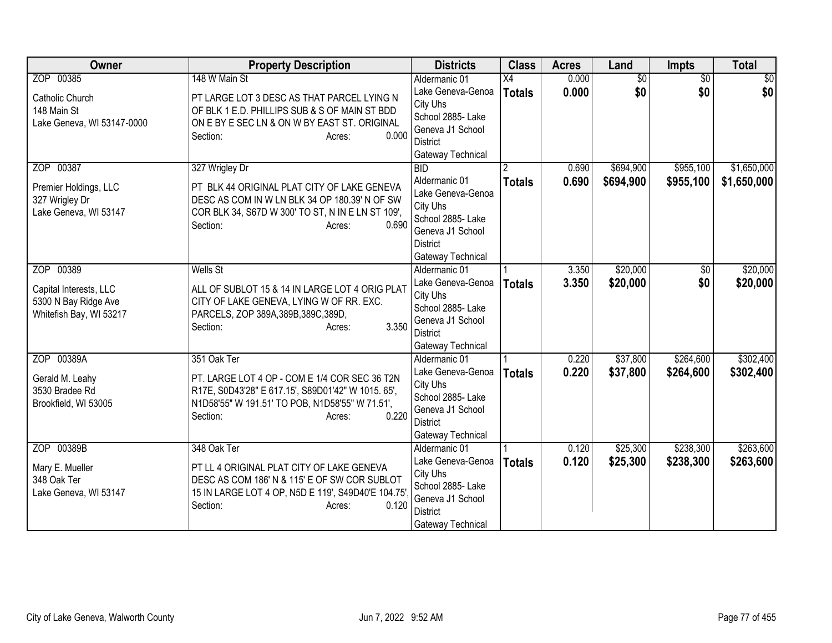| Owner                      | <b>Property Description</b>                                         | <b>Districts</b>                    | <b>Class</b>  | <b>Acres</b> | Land            | <b>Impts</b>    | <b>Total</b> |
|----------------------------|---------------------------------------------------------------------|-------------------------------------|---------------|--------------|-----------------|-----------------|--------------|
| ZOP 00385                  | 148 W Main St                                                       | Aldermanic 01                       | X4            | 0.000        | $\overline{50}$ | $\overline{30}$ | \$0          |
| <b>Catholic Church</b>     | PT LARGE LOT 3 DESC AS THAT PARCEL LYING N                          | Lake Geneva-Genoa                   | <b>Totals</b> | 0.000        | \$0             | \$0             | \$0          |
| 148 Main St                | OF BLK 1 E.D. PHILLIPS SUB & S OF MAIN ST BDD                       | City Uhs                            |               |              |                 |                 |              |
| Lake Geneva, WI 53147-0000 | ON E BY E SEC LN & ON W BY EAST ST. ORIGINAL                        | School 2885- Lake                   |               |              |                 |                 |              |
|                            | 0.000<br>Section:<br>Acres:                                         | Geneva J1 School                    |               |              |                 |                 |              |
|                            |                                                                     | <b>District</b>                     |               |              |                 |                 |              |
|                            |                                                                     | Gateway Technical                   |               |              |                 |                 |              |
| ZOP 00387                  | 327 Wrigley Dr                                                      | <b>BID</b>                          |               | 0.690        | \$694,900       | \$955,100       | \$1,650,000  |
| Premier Holdings, LLC      | PT BLK 44 ORIGINAL PLAT CITY OF LAKE GENEVA                         | Aldermanic 01<br>Lake Geneva-Genoa  | <b>Totals</b> | 0.690        | \$694,900       | \$955,100       | \$1,650,000  |
| 327 Wrigley Dr             | DESC AS COM IN W LN BLK 34 OP 180.39' N OF SW                       | City Uhs                            |               |              |                 |                 |              |
| Lake Geneva, WI 53147      | COR BLK 34, S67D W 300' TO ST, N IN E LN ST 109',                   | School 2885-Lake                    |               |              |                 |                 |              |
|                            | 0.690<br>Section:<br>Acres:                                         | Geneva J1 School                    |               |              |                 |                 |              |
|                            |                                                                     | <b>District</b>                     |               |              |                 |                 |              |
|                            |                                                                     | Gateway Technical                   |               |              |                 |                 |              |
| ZOP 00389                  | <b>Wells St</b>                                                     | Aldermanic 01                       |               | 3.350        | \$20,000        | $\overline{50}$ | \$20,000     |
|                            |                                                                     | Lake Geneva-Genoa                   | <b>Totals</b> | 3.350        | \$20,000        | \$0             | \$20,000     |
| Capital Interests, LLC     | ALL OF SUBLOT 15 & 14 IN LARGE LOT 4 ORIG PLAT                      | City Uhs                            |               |              |                 |                 |              |
| 5300 N Bay Ridge Ave       | CITY OF LAKE GENEVA, LYING W OF RR. EXC.                            | School 2885- Lake                   |               |              |                 |                 |              |
| Whitefish Bay, WI 53217    | PARCELS, ZOP 389A, 389B, 389C, 389D,<br>3.350<br>Section:<br>Acres: | Geneva J1 School                    |               |              |                 |                 |              |
|                            |                                                                     | <b>District</b>                     |               |              |                 |                 |              |
|                            |                                                                     | Gateway Technical                   |               |              |                 |                 |              |
| ZOP 00389A                 | 351 Oak Ter                                                         | Aldermanic 01                       |               | 0.220        | \$37,800        | \$264,600       | \$302,400    |
| Gerald M. Leahy            | PT. LARGE LOT 4 OP - COM E 1/4 COR SEC 36 T2N                       | Lake Geneva-Genoa                   | <b>Totals</b> | 0.220        | \$37,800        | \$264,600       | \$302,400    |
| 3530 Bradee Rd             | R17E, S0D43'28" E 617.15', S89D01'42" W 1015. 65',                  | City Uhs                            |               |              |                 |                 |              |
| Brookfield, WI 53005       | N1D58'55" W 191.51' TO POB, N1D58'55" W 71.51',                     | School 2885-Lake                    |               |              |                 |                 |              |
|                            | 0.220<br>Section:<br>Acres:                                         | Geneva J1 School<br><b>District</b> |               |              |                 |                 |              |
|                            |                                                                     | Gateway Technical                   |               |              |                 |                 |              |
| ZOP 00389B                 | 348 Oak Ter                                                         | Aldermanic 01                       |               | 0.120        | \$25,300        | \$238,300       | \$263,600    |
|                            |                                                                     | Lake Geneva-Genoa                   | <b>Totals</b> | 0.120        | \$25,300        | \$238,300       | \$263,600    |
| Mary E. Mueller            | PT LL 4 ORIGINAL PLAT CITY OF LAKE GENEVA                           | City Uhs                            |               |              |                 |                 |              |
| 348 Oak Ter                | DESC AS COM 186' N & 115' E OF SW COR SUBLOT                        | School 2885- Lake                   |               |              |                 |                 |              |
| Lake Geneva, WI 53147      | 15 IN LARGE LOT 4 OP, N5D E 119', S49D40'E 104.75'                  | Geneva J1 School                    |               |              |                 |                 |              |
|                            | 0.120<br>Section:<br>Acres:                                         | District                            |               |              |                 |                 |              |
|                            |                                                                     | Gateway Technical                   |               |              |                 |                 |              |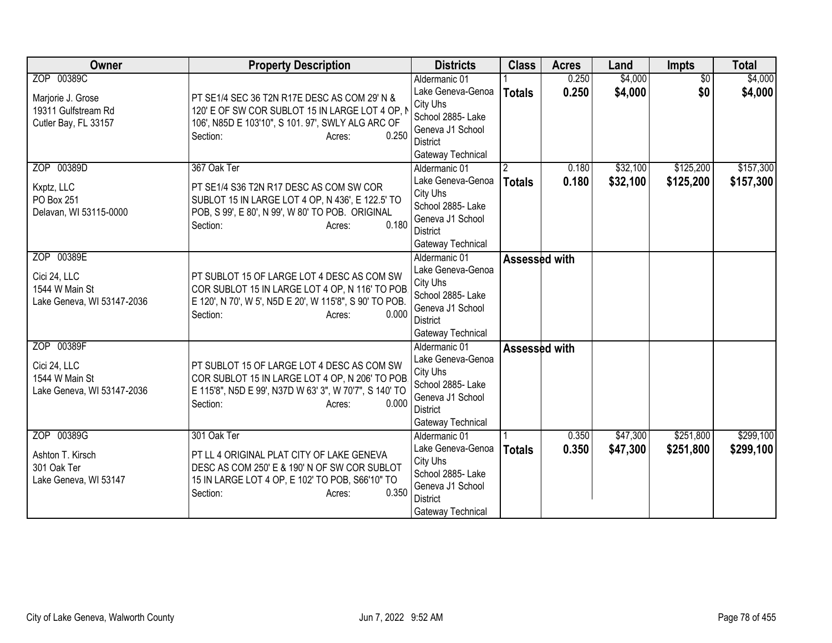| <b>Owner</b>                                                                   | <b>Property Description</b>                                                                                                                                                                   | <b>Districts</b>                                                                                                                | <b>Class</b>       | <b>Acres</b>   | Land                 | <b>Impts</b>           | <b>Total</b>           |
|--------------------------------------------------------------------------------|-----------------------------------------------------------------------------------------------------------------------------------------------------------------------------------------------|---------------------------------------------------------------------------------------------------------------------------------|--------------------|----------------|----------------------|------------------------|------------------------|
| ZOP 00389C<br>Marjorie J. Grose<br>19311 Gulfstream Rd<br>Cutler Bay, FL 33157 | PT SE1/4 SEC 36 T2N R17E DESC AS COM 29' N &<br>120' E OF SW COR SUBLOT 15 IN LARGE LOT 4 OP, I<br>106', N85D E 103'10", S 101. 97', SWLY ALG ARC OF<br>0.250<br>Section:<br>Acres:           | Aldermanic 01<br>Lake Geneva-Genoa<br>City Uhs<br>School 2885- Lake<br>Geneva J1 School<br><b>District</b><br>Gateway Technical | <b>Totals</b>      | 0.250<br>0.250 | \$4,000<br>\$4,000   | $\overline{30}$<br>\$0 | \$4,000<br>\$4,000     |
| ZOP 00389D<br>Kxptz, LLC<br>PO Box 251<br>Delavan, WI 53115-0000               | 367 Oak Ter<br>PT SE1/4 S36 T2N R17 DESC AS COM SW COR<br>SUBLOT 15 IN LARGE LOT 4 OP, N 436', E 122.5' TO<br>POB, S 99', E 80', N 99', W 80' TO POB. ORIGINAL<br>0.180<br>Section:<br>Acres: | Aldermanic 01<br>Lake Geneva-Genoa<br>City Uhs<br>School 2885- Lake<br>Geneva J1 School<br><b>District</b><br>Gateway Technical | 2<br><b>Totals</b> | 0.180<br>0.180 | \$32,100<br>\$32,100 | \$125,200<br>\$125,200 | \$157,300<br>\$157,300 |
| ZOP 00389E<br>Cici 24, LLC<br>1544 W Main St<br>Lake Geneva, WI 53147-2036     | PT SUBLOT 15 OF LARGE LOT 4 DESC AS COM SW<br>COR SUBLOT 15 IN LARGE LOT 4 OP, N 116' TO POB<br>E 120', N 70', W 5', N5D E 20', W 115'8", S 90' TO POB.<br>0.000<br>Section:<br>Acres:        | Aldermanic 01<br>Lake Geneva-Genoa<br>City Uhs<br>School 2885- Lake<br>Geneva J1 School<br><b>District</b><br>Gateway Technical | Assessed with      |                |                      |                        |                        |
| ZOP 00389F<br>Cici 24, LLC<br>1544 W Main St<br>Lake Geneva, WI 53147-2036     | PT SUBLOT 15 OF LARGE LOT 4 DESC AS COM SW<br>COR SUBLOT 15 IN LARGE LOT 4 OP, N 206' TO POB<br>E 115'8", N5D E 99', N37D W 63' 3", W 70'7", S 140' TO<br>0.000<br>Section:<br>Acres:         | Aldermanic 01<br>Lake Geneva-Genoa<br>City Uhs<br>School 2885- Lake<br>Geneva J1 School<br><b>District</b><br>Gateway Technical | Assessed with      |                |                      |                        |                        |
| ZOP 00389G<br>Ashton T. Kirsch<br>301 Oak Ter<br>Lake Geneva, WI 53147         | 301 Oak Ter<br>PT LL 4 ORIGINAL PLAT CITY OF LAKE GENEVA<br>DESC AS COM 250' E & 190' N OF SW COR SUBLOT<br>15 IN LARGE LOT 4 OP, E 102' TO POB, S66'10" TO<br>0.350<br>Section:<br>Acres:    | Aldermanic 01<br>Lake Geneva-Genoa<br>City Uhs<br>School 2885- Lake<br>Geneva J1 School<br><b>District</b><br>Gateway Technical | <b>Totals</b>      | 0.350<br>0.350 | \$47,300<br>\$47,300 | \$251,800<br>\$251,800 | \$299,100<br>\$299,100 |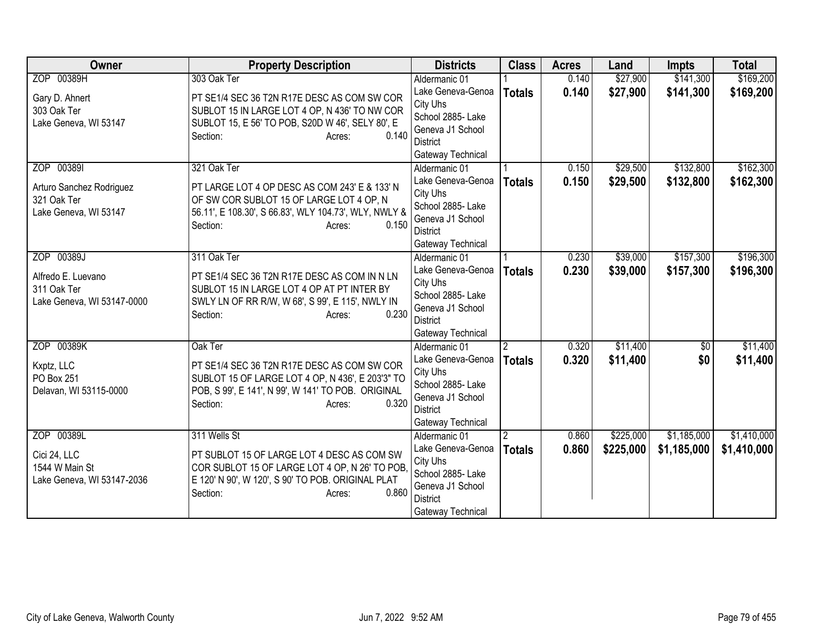| Owner                                                                          | <b>Property Description</b>                                                                                                                                                                      | <b>Districts</b>                                                                                                                | <b>Class</b>                    | <b>Acres</b>   | Land                   | <b>Impts</b>               | <b>Total</b>               |
|--------------------------------------------------------------------------------|--------------------------------------------------------------------------------------------------------------------------------------------------------------------------------------------------|---------------------------------------------------------------------------------------------------------------------------------|---------------------------------|----------------|------------------------|----------------------------|----------------------------|
| ZOP 00389H                                                                     | 303 Oak Ter                                                                                                                                                                                      | Aldermanic 01                                                                                                                   |                                 | 0.140          | \$27,900               | \$141,300                  | \$169,200                  |
| Gary D. Ahnert<br>303 Oak Ter<br>Lake Geneva, WI 53147                         | PT SE1/4 SEC 36 T2N R17E DESC AS COM SW COR<br>SUBLOT 15 IN LARGE LOT 4 OP, N 436' TO NW COR<br>SUBLOT 15, E 56' TO POB, S20D W 46', SELY 80', E<br>0.140<br>Section:<br>Acres:                  | Lake Geneva-Genoa<br>City Uhs<br>School 2885- Lake<br>Geneva J1 School<br><b>District</b><br>Gateway Technical                  | <b>Totals</b>                   | 0.140          | \$27,900               | \$141,300                  | \$169,200                  |
| ZOP 003891<br>Arturo Sanchez Rodriguez<br>321 Oak Ter<br>Lake Geneva, WI 53147 | 321 Oak Ter<br>PT LARGE LOT 4 OP DESC AS COM 243' E & 133' N<br>OF SW COR SUBLOT 15 OF LARGE LOT 4 OP, N<br>56.11', E 108.30', S 66.83', WLY 104.73', WLY, NWLY &<br>0.150<br>Section:<br>Acres: | Aldermanic 01<br>Lake Geneva-Genoa<br>City Uhs<br>School 2885- Lake<br>Geneva J1 School<br><b>District</b><br>Gateway Technical | <b>Totals</b>                   | 0.150<br>0.150 | \$29,500<br>\$29,500   | \$132,800<br>\$132,800     | \$162,300<br>\$162,300     |
| ZOP 00389J<br>Alfredo E. Luevano<br>311 Oak Ter<br>Lake Geneva, WI 53147-0000  | 311 Oak Ter<br>PT SE1/4 SEC 36 T2N R17E DESC AS COM IN N LN<br>SUBLOT 15 IN LARGE LOT 4 OP AT PT INTER BY<br>SWLY LN OF RR R/W, W 68', S 99', E 115', NWLY IN<br>0.230<br>Section:<br>Acres:     | Aldermanic 01<br>Lake Geneva-Genoa<br>City Uhs<br>School 2885-Lake<br>Geneva J1 School<br>District<br>Gateway Technical         | <b>Totals</b>                   | 0.230<br>0.230 | \$39,000<br>\$39,000   | \$157,300<br>\$157,300     | \$196,300<br>\$196,300     |
| ZOP 00389K<br>Kxptz, LLC<br>PO Box 251<br>Delavan, WI 53115-0000               | Oak Ter<br>PT SE1/4 SEC 36 T2N R17E DESC AS COM SW COR<br>SUBLOT 15 OF LARGE LOT 4 OP, N 436', E 203'3" TO<br>POB, S 99', E 141', N 99', W 141' TO POB. ORIGINAL<br>0.320<br>Section:<br>Acres:  | Aldermanic 01<br>Lake Geneva-Genoa<br>City Uhs<br>School 2885- Lake<br>Geneva J1 School<br><b>District</b><br>Gateway Technical | $\overline{2}$<br><b>Totals</b> | 0.320<br>0.320 | \$11,400<br>\$11,400   | $\overline{50}$<br>\$0     | \$11,400<br>\$11,400       |
| ZOP 00389L<br>Cici 24, LLC<br>1544 W Main St<br>Lake Geneva, WI 53147-2036     | 311 Wells St<br>PT SUBLOT 15 OF LARGE LOT 4 DESC AS COM SW<br>COR SUBLOT 15 OF LARGE LOT 4 OP, N 26' TO POB,<br>E 120' N 90', W 120', S 90' TO POB. ORIGINAL PLAT<br>0.860<br>Section:<br>Acres: | Aldermanic 01<br>Lake Geneva-Genoa<br>City Uhs<br>School 2885- Lake<br>Geneva J1 School<br>District<br>Gateway Technical        | 2<br><b>Totals</b>              | 0.860<br>0.860 | \$225,000<br>\$225,000 | \$1,185,000<br>\$1,185,000 | \$1,410,000<br>\$1,410,000 |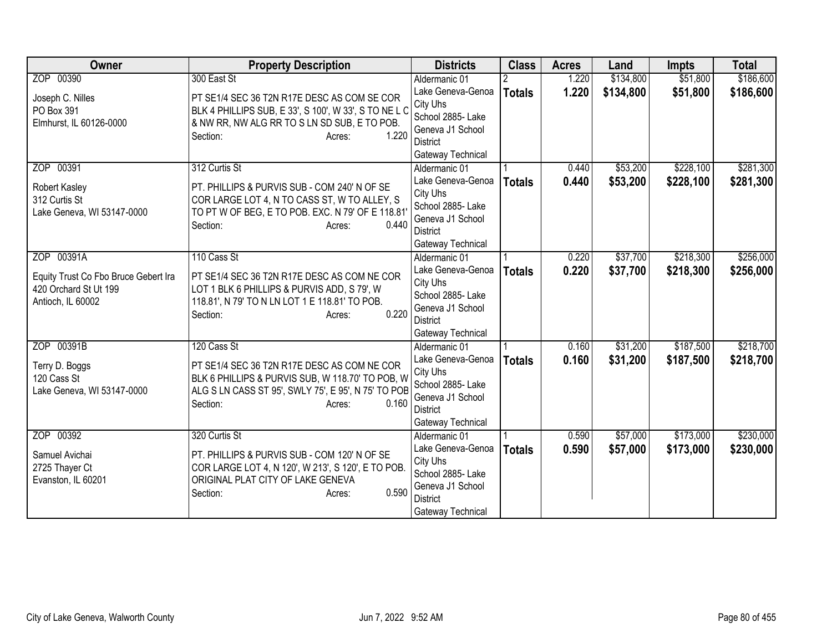| Owner                                | <b>Property Description</b>                             | <b>Districts</b>              | <b>Class</b>  | <b>Acres</b> | Land      | <b>Impts</b> | <b>Total</b> |
|--------------------------------------|---------------------------------------------------------|-------------------------------|---------------|--------------|-----------|--------------|--------------|
| ZOP 00390                            | 300 East St                                             | Aldermanic 01                 |               | 1.220        | \$134,800 | \$51,800     | \$186,600    |
| Joseph C. Nilles                     | PT SE1/4 SEC 36 T2N R17E DESC AS COM SE COR             | Lake Geneva-Genoa             | <b>Totals</b> | 1.220        | \$134,800 | \$51,800     | \$186,600    |
| PO Box 391                           | BLK 4 PHILLIPS SUB, E 33', S 100', W 33', S TO NE L C   | City Uhs                      |               |              |           |              |              |
| Elmhurst, IL 60126-0000              | & NW RR, NW ALG RR TO S LN SD SUB, E TO POB.            | School 2885- Lake             |               |              |           |              |              |
|                                      | 1.220<br>Section:<br>Acres:                             | Geneva J1 School              |               |              |           |              |              |
|                                      |                                                         | District                      |               |              |           |              |              |
|                                      |                                                         | Gateway Technical             |               |              |           |              |              |
| ZOP 00391                            | 312 Curtis St                                           | Aldermanic 01                 |               | 0.440        | \$53,200  | \$228,100    | \$281,300    |
| Robert Kasley                        | PT. PHILLIPS & PURVIS SUB - COM 240' N OF SE            | Lake Geneva-Genoa             | <b>Totals</b> | 0.440        | \$53,200  | \$228,100    | \$281,300    |
| 312 Curtis St                        | COR LARGE LOT 4, N TO CASS ST, W TO ALLEY, S            | City Uhs<br>School 2885- Lake |               |              |           |              |              |
| Lake Geneva, WI 53147-0000           | TO PT W OF BEG, E TO POB. EXC. N 79' OF E 118.81'       | Geneva J1 School              |               |              |           |              |              |
|                                      | 0.440<br>Section:<br>Acres:                             | <b>District</b>               |               |              |           |              |              |
|                                      |                                                         | Gateway Technical             |               |              |           |              |              |
| ZOP 00391A                           | 110 Cass St                                             | Aldermanic 01                 |               | 0.220        | \$37,700  | \$218,300    | \$256,000    |
|                                      |                                                         | Lake Geneva-Genoa             | <b>Totals</b> | 0.220        | \$37,700  | \$218,300    | \$256,000    |
| Equity Trust Co Fbo Bruce Gebert Ira | PT SE1/4 SEC 36 T2N R17E DESC AS COM NE COR             | City Uhs                      |               |              |           |              |              |
| 420 Orchard St Ut 199                | LOT 1 BLK 6 PHILLIPS & PURVIS ADD, S 79', W             | School 2885- Lake             |               |              |           |              |              |
| Antioch, IL 60002                    | 118.81', N 79' TO N LN LOT 1 E 118.81' TO POB.<br>0.220 | Geneva J1 School              |               |              |           |              |              |
|                                      | Section:<br>Acres:                                      | <b>District</b>               |               |              |           |              |              |
|                                      |                                                         | Gateway Technical             |               |              |           |              |              |
| ZOP 00391B                           | 120 Cass St                                             | Aldermanic 01                 |               | 0.160        | \$31,200  | \$187,500    | \$218,700    |
| Terry D. Boggs                       | PT SE1/4 SEC 36 T2N R17E DESC AS COM NE COR             | Lake Geneva-Genoa             | <b>Totals</b> | 0.160        | \$31,200  | \$187,500    | \$218,700    |
| 120 Cass St                          | BLK 6 PHILLIPS & PURVIS SUB, W 118.70' TO POB, W        | City Uhs                      |               |              |           |              |              |
| Lake Geneva, WI 53147-0000           | ALG S LN CASS ST 95', SWLY 75', E 95', N 75' TO POB     | School 2885- Lake             |               |              |           |              |              |
|                                      | Section:<br>0.160<br>Acres:                             | Geneva J1 School              |               |              |           |              |              |
|                                      |                                                         | <b>District</b>               |               |              |           |              |              |
|                                      |                                                         | Gateway Technical             |               |              |           |              |              |
| ZOP 00392                            | 320 Curtis St                                           | Aldermanic 01                 |               | 0.590        | \$57,000  | \$173,000    | \$230,000    |
| Samuel Avichai                       | PT. PHILLIPS & PURVIS SUB - COM 120' N OF SE            | Lake Geneva-Genoa<br>City Uhs | <b>Totals</b> | 0.590        | \$57,000  | \$173,000    | \$230,000    |
| 2725 Thayer Ct                       | COR LARGE LOT 4, N 120', W 213', S 120', E TO POB.      | School 2885- Lake             |               |              |           |              |              |
| Evanston, IL 60201                   | ORIGINAL PLAT CITY OF LAKE GENEVA                       | Geneva J1 School              |               |              |           |              |              |
|                                      | 0.590<br>Section:<br>Acres:                             | <b>District</b>               |               |              |           |              |              |
|                                      |                                                         | Gateway Technical             |               |              |           |              |              |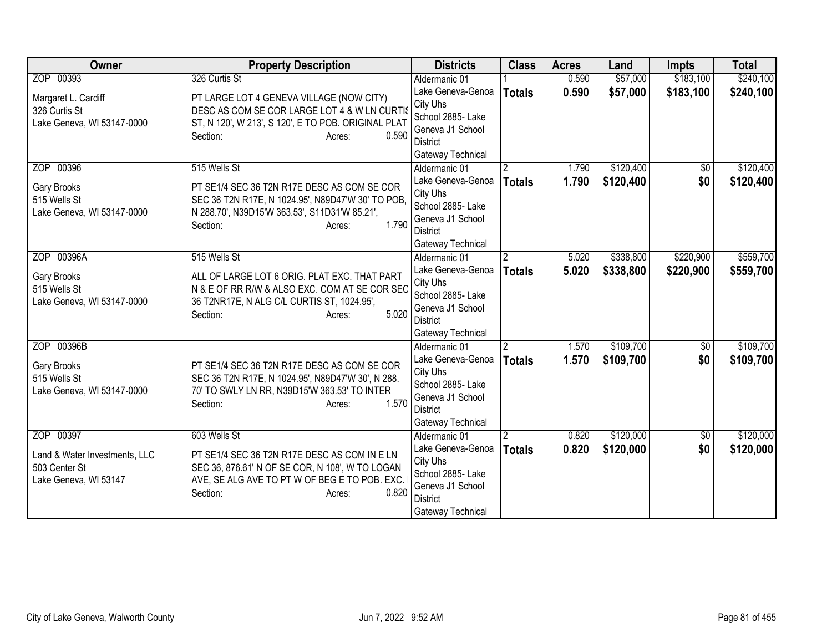| <b>Owner</b>                  | <b>Property Description</b>                                                                   | <b>Districts</b>                   | <b>Class</b>   | <b>Acres</b> | Land      | <b>Impts</b>      | <b>Total</b> |
|-------------------------------|-----------------------------------------------------------------------------------------------|------------------------------------|----------------|--------------|-----------|-------------------|--------------|
| ZOP 00393                     | 326 Curtis St                                                                                 | Aldermanic 01                      |                | 0.590        | \$57,000  | \$183,100         | \$240,100    |
| Margaret L. Cardiff           | PT LARGE LOT 4 GENEVA VILLAGE (NOW CITY)                                                      | Lake Geneva-Genoa                  | <b>Totals</b>  | 0.590        | \$57,000  | \$183,100         | \$240,100    |
| 326 Curtis St                 | DESC AS COM SE COR LARGE LOT 4 & W LN CURTIS                                                  | City Uhs                           |                |              |           |                   |              |
| Lake Geneva, WI 53147-0000    | ST, N 120', W 213', S 120', E TO POB. ORIGINAL PLAT                                           | School 2885- Lake                  |                |              |           |                   |              |
|                               | 0.590<br>Section:<br>Acres:                                                                   | Geneva J1 School                   |                |              |           |                   |              |
|                               |                                                                                               | District                           |                |              |           |                   |              |
| ZOP 00396                     | 515 Wells St                                                                                  | Gateway Technical                  |                | 1.790        | \$120,400 |                   | \$120,400    |
|                               |                                                                                               | Aldermanic 01<br>Lake Geneva-Genoa | $\overline{2}$ | 1.790        |           | $\sqrt{6}$<br>\$0 |              |
| Gary Brooks                   | PT SE1/4 SEC 36 T2N R17E DESC AS COM SE COR                                                   | City Uhs                           | <b>Totals</b>  |              | \$120,400 |                   | \$120,400    |
| 515 Wells St                  | SEC 36 T2N R17E, N 1024.95', N89D47'W 30' TO POB,                                             | School 2885- Lake                  |                |              |           |                   |              |
| Lake Geneva, WI 53147-0000    | N 288.70', N39D15'W 363.53', S11D31'W 85.21',                                                 | Geneva J1 School                   |                |              |           |                   |              |
|                               | 1.790<br>Section:<br>Acres:                                                                   | <b>District</b>                    |                |              |           |                   |              |
|                               |                                                                                               | Gateway Technical                  |                |              |           |                   |              |
| ZOP 00396A                    | 515 Wells St                                                                                  | Aldermanic 01                      | $\overline{2}$ | 5.020        | \$338,800 | \$220,900         | \$559,700    |
|                               |                                                                                               | Lake Geneva-Genoa                  | <b>Totals</b>  | 5.020        | \$338,800 | \$220,900         | \$559,700    |
| Gary Brooks<br>515 Wells St   | ALL OF LARGE LOT 6 ORIG. PLAT EXC. THAT PART<br>N & E OF RR R/W & ALSO EXC. COM AT SE COR SEC | City Uhs                           |                |              |           |                   |              |
| Lake Geneva, WI 53147-0000    | 36 T2NR17E, N ALG C/L CURTIS ST, 1024.95',                                                    | School 2885- Lake                  |                |              |           |                   |              |
|                               | 5.020<br>Section:<br>Acres:                                                                   | Geneva J1 School                   |                |              |           |                   |              |
|                               |                                                                                               | <b>District</b>                    |                |              |           |                   |              |
|                               |                                                                                               | Gateway Technical                  |                |              |           |                   |              |
| ZOP 00396B                    |                                                                                               | Aldermanic 01                      | $\overline{2}$ | 1.570        | \$109,700 | \$0               | \$109,700    |
| Gary Brooks                   | PT SE1/4 SEC 36 T2N R17E DESC AS COM SE COR                                                   | Lake Geneva-Genoa                  | <b>Totals</b>  | 1.570        | \$109,700 | \$0               | \$109,700    |
| 515 Wells St                  | SEC 36 T2N R17E, N 1024.95', N89D47'W 30', N 288.                                             | City Uhs<br>School 2885-Lake       |                |              |           |                   |              |
| Lake Geneva, WI 53147-0000    | 70' TO SWLY LN RR, N39D15'W 363.53' TO INTER                                                  | Geneva J1 School                   |                |              |           |                   |              |
|                               | 1.570<br>Section:<br>Acres:                                                                   | <b>District</b>                    |                |              |           |                   |              |
|                               |                                                                                               | Gateway Technical                  |                |              |           |                   |              |
| ZOP 00397                     | 603 Wells St                                                                                  | Aldermanic 01                      | 2              | 0.820        | \$120,000 | \$0               | \$120,000    |
|                               |                                                                                               | Lake Geneva-Genoa                  | <b>Totals</b>  | 0.820        | \$120,000 | \$0               | \$120,000    |
| Land & Water Investments, LLC | PT SE1/4 SEC 36 T2N R17E DESC AS COM IN E LN                                                  | City Uhs                           |                |              |           |                   |              |
| 503 Center St                 | SEC 36, 876.61' N OF SE COR, N 108', W TO LOGAN                                               | School 2885-Lake                   |                |              |           |                   |              |
| Lake Geneva, WI 53147         | AVE, SE ALG AVE TO PT W OF BEG E TO POB. EXC.<br>0.820                                        | Geneva J1 School                   |                |              |           |                   |              |
|                               | Section:<br>Acres:                                                                            | District                           |                |              |           |                   |              |
|                               |                                                                                               | Gateway Technical                  |                |              |           |                   |              |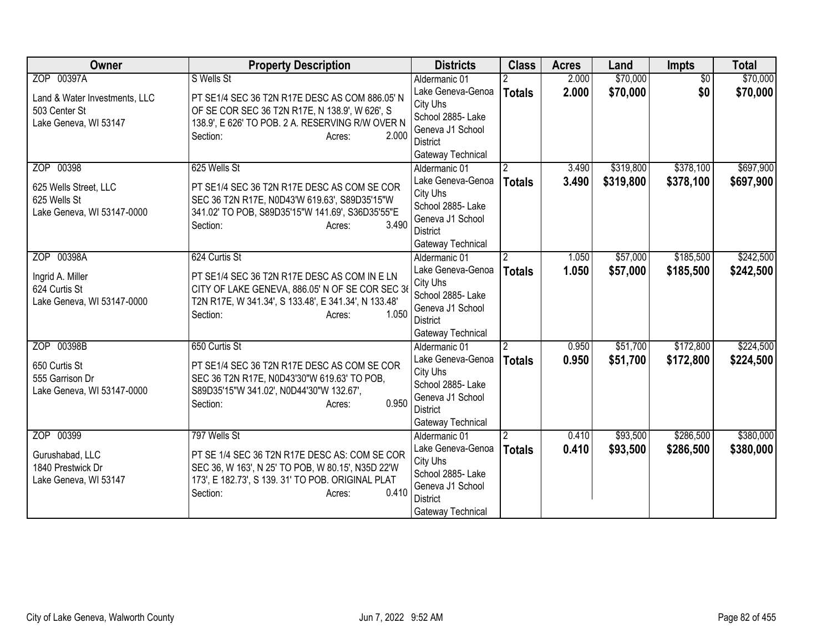| <b>Owner</b><br><b>Property Description</b><br><b>Class</b><br><b>Districts</b><br><b>Impts</b><br><b>Acres</b><br>Land                           | <b>Total</b> |
|---------------------------------------------------------------------------------------------------------------------------------------------------|--------------|
| ZOP 00397A<br>S Wells St<br>\$70,000<br>$\overline{30}$<br>Aldermanic 01<br>2.000                                                                 | \$70,000     |
| \$70,000<br>2.000<br>\$0<br>Lake Geneva-Genoa<br><b>Totals</b><br>PT SE1/4 SEC 36 T2N R17E DESC AS COM 886.05' N<br>Land & Water Investments, LLC | \$70,000     |
| City Uhs<br>503 Center St<br>OF SE COR SEC 36 T2N R17E, N 138.9', W 626', S                                                                       |              |
| School 2885- Lake<br>138.9', E 626' TO POB. 2 A. RESERVING R/W OVER N<br>Lake Geneva, WI 53147                                                    |              |
| Geneva J1 School<br>2.000<br>Section:<br>Acres:                                                                                                   |              |
| District<br>Gateway Technical                                                                                                                     |              |
| \$319,800<br>\$378,100<br>ZOP 00398<br>625 Wells St<br>3.490<br>Aldermanic 01<br>$\overline{2}$                                                   | \$697,900    |
| 3.490<br>Lake Geneva-Genoa<br>\$319,800<br>\$378,100<br><b>Totals</b>                                                                             | \$697,900    |
| PT SE1/4 SEC 36 T2N R17E DESC AS COM SE COR<br>625 Wells Street, LLC<br>City Uhs                                                                  |              |
| 625 Wells St<br>SEC 36 T2N R17E, N0D43'W 619.63', S89D35'15"W<br>School 2885- Lake                                                                |              |
| Lake Geneva, WI 53147-0000<br>341.02' TO POB, S89D35'15"W 141.69', S36D35'55"E<br>Geneva J1 School                                                |              |
| 3.490<br>Section:<br>Acres:<br><b>District</b>                                                                                                    |              |
| Gateway Technical                                                                                                                                 |              |
| ZOP 00398A<br>$\overline{2}$<br>\$57,000<br>\$185,500<br>624 Curtis St<br>1.050<br>Aldermanic 01                                                  | \$242,500    |
| Lake Geneva-Genoa<br>1.050<br>\$57,000<br>\$185,500<br><b>Totals</b><br>Ingrid A. Miller<br>PT SE1/4 SEC 36 T2N R17E DESC AS COM IN E LN          | \$242,500    |
| City Uhs<br>CITY OF LAKE GENEVA, 886.05' N OF SE COR SEC 36<br>624 Curtis St                                                                      |              |
| School 2885- Lake<br>Lake Geneva, WI 53147-0000<br>T2N R17E, W 341.34', S 133.48', E 341.34', N 133.48'                                           |              |
| Geneva J1 School<br>1.050<br>Section:<br>Acres:                                                                                                   |              |
| <b>District</b><br>Gateway Technical                                                                                                              |              |
| \$172,800<br>ZOP 00398B<br>650 Curtis St<br>\$51,700<br>$\overline{2}$<br>0.950<br>Aldermanic 01                                                  | \$224,500    |
| Lake Geneva-Genoa<br>0.950<br>\$51,700<br>\$172,800<br><b>Totals</b>                                                                              | \$224,500    |
| 650 Curtis St<br>PT SE1/4 SEC 36 T2N R17E DESC AS COM SE COR<br>City Uhs                                                                          |              |
| 555 Garrison Dr<br>SEC 36 T2N R17E, N0D43'30"W 619.63' TO POB,<br>School 2885- Lake                                                               |              |
| S89D35'15"W 341.02', N0D44'30"W 132.67',<br>Lake Geneva, WI 53147-0000<br>Geneva J1 School                                                        |              |
| 0.950<br>Section:<br>Acres:<br><b>District</b>                                                                                                    |              |
| Gateway Technical                                                                                                                                 |              |
| ZOP 00399<br>\$93,500<br>\$286,500<br>797 Wells St<br>0.410<br>Aldermanic 01                                                                      | \$380,000    |
| \$93,500<br>Lake Geneva-Genoa<br>0.410<br>\$286,500<br><b>Totals</b><br>PT SE 1/4 SEC 36 T2N R17E DESC AS: COM SE COR<br>Gurushabad, LLC          | \$380,000    |
| City Uhs<br>1840 Prestwick Dr<br>SEC 36, W 163', N 25' TO POB, W 80.15', N35D 22'W                                                                |              |
| School 2885- Lake<br>173', E 182.73', S 139. 31' TO POB. ORIGINAL PLAT<br>Lake Geneva, WI 53147                                                   |              |
| Geneva J1 School<br>0.410<br>Section:<br>Acres:                                                                                                   |              |
| <b>District</b><br>Gateway Technical                                                                                                              |              |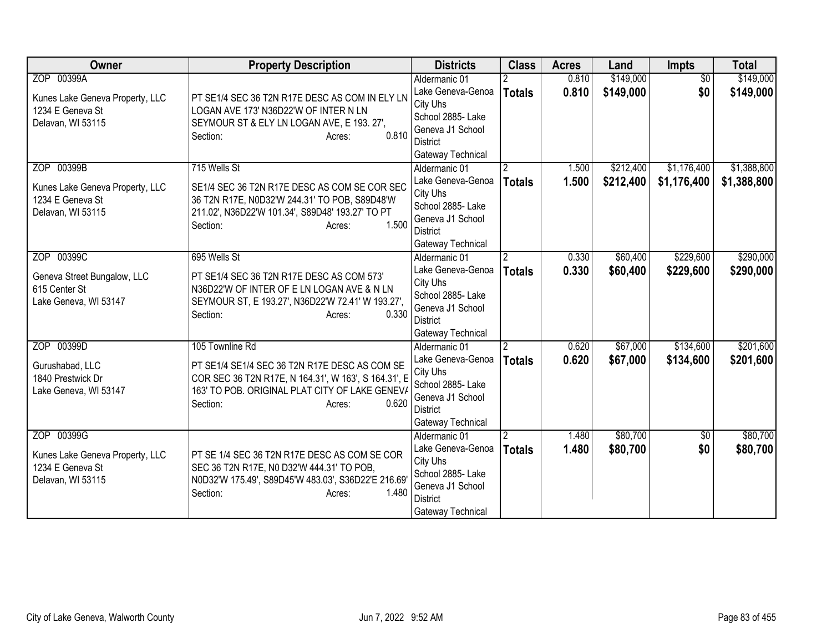| <b>Owner</b>                                                                           | <b>Property Description</b>                                                                                                                                                                               | <b>Districts</b>                                                                                                                | <b>Class</b>                    | <b>Acres</b>   | Land                   | <b>Impts</b>               | <b>Total</b>               |
|----------------------------------------------------------------------------------------|-----------------------------------------------------------------------------------------------------------------------------------------------------------------------------------------------------------|---------------------------------------------------------------------------------------------------------------------------------|---------------------------------|----------------|------------------------|----------------------------|----------------------------|
| ZOP 00399A<br>Kunes Lake Geneva Property, LLC<br>1234 E Geneva St<br>Delavan, WI 53115 | PT SE1/4 SEC 36 T2N R17E DESC AS COM IN ELY LN<br>LOGAN AVE 173' N36D22'W OF INTER N LN<br>SEYMOUR ST & ELY LN LOGAN AVE, E 193. 27',<br>0.810<br>Section:<br>Acres:                                      | Aldermanic 01<br>Lake Geneva-Genoa<br>City Uhs<br>School 2885- Lake<br>Geneva J1 School<br><b>District</b><br>Gateway Technical | <b>Totals</b>                   | 0.810<br>0.810 | \$149,000<br>\$149,000 | $\overline{50}$<br>\$0     | \$149,000<br>\$149,000     |
| ZOP 00399B<br>Kunes Lake Geneva Property, LLC<br>1234 E Geneva St<br>Delavan, WI 53115 | 715 Wells St<br>SE1/4 SEC 36 T2N R17E DESC AS COM SE COR SEC<br>36 T2N R17E, N0D32'W 244.31' TO POB, S89D48'W<br>211.02', N36D22'W 101.34', S89D48' 193.27' TO PT<br>1.500<br>Section:<br>Acres:          | Aldermanic 01<br>Lake Geneva-Genoa<br>City Uhs<br>School 2885- Lake<br>Geneva J1 School<br><b>District</b><br>Gateway Technical | $\overline{2}$<br><b>Totals</b> | 1.500<br>1.500 | \$212,400<br>\$212,400 | \$1,176,400<br>\$1,176,400 | \$1,388,800<br>\$1,388,800 |
| ZOP 00399C<br>Geneva Street Bungalow, LLC<br>615 Center St<br>Lake Geneva, WI 53147    | 695 Wells St<br>PT SE1/4 SEC 36 T2N R17E DESC AS COM 573'<br>N36D22'W OF INTER OF E LN LOGAN AVE & N LN<br>SEYMOUR ST, E 193.27', N36D22'W 72.41' W 193.27',<br>0.330<br>Section:<br>Acres:               | Aldermanic 01<br>Lake Geneva-Genoa<br>City Uhs<br>School 2885- Lake<br>Geneva J1 School<br><b>District</b><br>Gateway Technical | $\mathfrak{p}$<br><b>Totals</b> | 0.330<br>0.330 | \$60,400<br>\$60,400   | \$229,600<br>\$229,600     | \$290,000<br>\$290,000     |
| ZOP 00399D<br>Gurushabad, LLC<br>1840 Prestwick Dr<br>Lake Geneva, WI 53147            | 105 Townline Rd<br>PT SE1/4 SE1/4 SEC 36 T2N R17E DESC AS COM SE<br>COR SEC 36 T2N R17E, N 164.31', W 163', S 164.31', E<br>163' TO POB. ORIGINAL PLAT CITY OF LAKE GENEVA<br>0.620<br>Section:<br>Acres: | Aldermanic 01<br>Lake Geneva-Genoa<br>City Uhs<br>School 2885- Lake<br>Geneva J1 School<br><b>District</b><br>Gateway Technical | $\overline{2}$<br><b>Totals</b> | 0.620<br>0.620 | \$67,000<br>\$67,000   | \$134,600<br>\$134,600     | \$201,600<br>\$201,600     |
| ZOP 00399G<br>Kunes Lake Geneva Property, LLC<br>1234 E Geneva St<br>Delavan, WI 53115 | PT SE 1/4 SEC 36 T2N R17E DESC AS COM SE COR<br>SEC 36 T2N R17E, N0 D32'W 444.31' TO POB,<br>N0D32'W 175.49', S89D45'W 483.03', S36D22'E 216.69'<br>1.480<br>Section:<br>Acres:                           | Aldermanic 01<br>Lake Geneva-Genoa<br>City Uhs<br>School 2885- Lake<br>Geneva J1 School<br><b>District</b><br>Gateway Technical | $\overline{2}$<br><b>Totals</b> | 1.480<br>1.480 | \$80,700<br>\$80,700   | $\sqrt{6}$<br>\$0          | \$80,700<br>\$80,700       |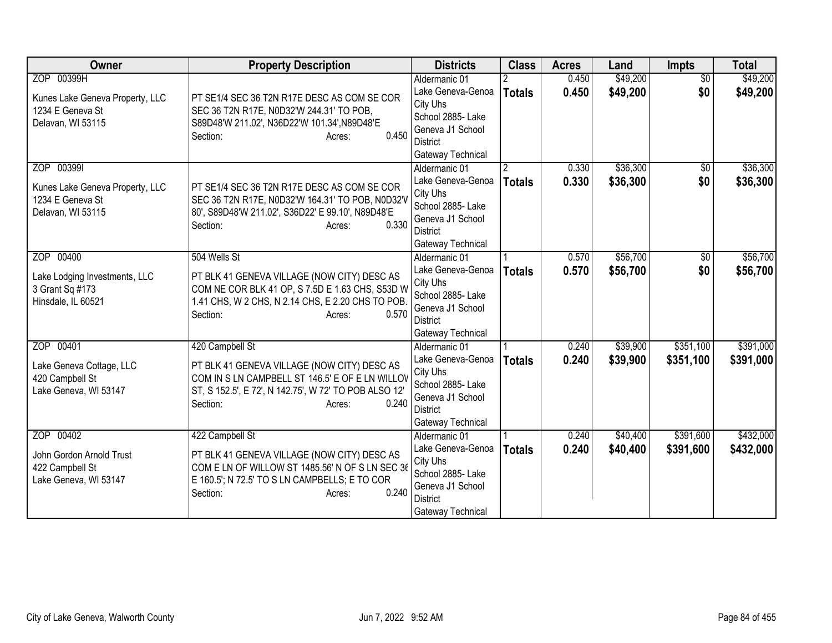| <b>Owner</b>                                                                           | <b>Property Description</b>                                                                                                                                                                               | <b>Districts</b>                                                                                                                | <b>Class</b>  | <b>Acres</b>   | Land                 | <b>Impts</b>           | <b>Total</b>           |
|----------------------------------------------------------------------------------------|-----------------------------------------------------------------------------------------------------------------------------------------------------------------------------------------------------------|---------------------------------------------------------------------------------------------------------------------------------|---------------|----------------|----------------------|------------------------|------------------------|
| ZOP 00399H<br>Kunes Lake Geneva Property, LLC<br>1234 E Geneva St<br>Delavan, WI 53115 | PT SE1/4 SEC 36 T2N R17E DESC AS COM SE COR<br>SEC 36 T2N R17E, N0D32'W 244.31' TO POB,<br>S89D48'W 211.02', N36D22'W 101.34', N89D48'E<br>0.450<br>Section:<br>Acres:                                    | Aldermanic 01<br>Lake Geneva-Genoa<br>City Uhs<br>School 2885- Lake<br>Geneva J1 School<br><b>District</b><br>Gateway Technical | <b>Totals</b> | 0.450<br>0.450 | \$49,200<br>\$49,200 | $\overline{50}$<br>\$0 | \$49,200<br>\$49,200   |
| ZOP 003991<br>Kunes Lake Geneva Property, LLC<br>1234 E Geneva St<br>Delavan, WI 53115 | PT SE1/4 SEC 36 T2N R17E DESC AS COM SE COR<br>SEC 36 T2N R17E, N0D32'W 164.31' TO POB, N0D32'W<br>80', S89D48'W 211.02', S36D22' E 99.10', N89D48'E<br>0.330<br>Section:<br>Acres:                       | Aldermanic 01<br>Lake Geneva-Genoa<br>City Uhs<br>School 2885- Lake<br>Geneva J1 School<br><b>District</b><br>Gateway Technical | <b>Totals</b> | 0.330<br>0.330 | \$36,300<br>\$36,300 | \$0<br>\$0             | \$36,300<br>\$36,300   |
| ZOP 00400<br>Lake Lodging Investments, LLC<br>3 Grant Sq #173<br>Hinsdale, IL 60521    | 504 Wells St<br>PT BLK 41 GENEVA VILLAGE (NOW CITY) DESC AS<br>COM NE COR BLK 41 OP, S 7.5D E 1.63 CHS, S53D W<br>1.41 CHS, W 2 CHS, N 2.14 CHS, E 2.20 CHS TO POB.<br>0.570<br>Section:<br>Acres:        | Aldermanic 01<br>Lake Geneva-Genoa<br>City Uhs<br>School 2885- Lake<br>Geneva J1 School<br><b>District</b><br>Gateway Technical | <b>Totals</b> | 0.570<br>0.570 | \$56,700<br>\$56,700 | \$0<br>\$0             | \$56,700<br>\$56,700   |
| ZOP 00401<br>Lake Geneva Cottage, LLC<br>420 Campbell St<br>Lake Geneva, WI 53147      | 420 Campbell St<br>PT BLK 41 GENEVA VILLAGE (NOW CITY) DESC AS<br>COM IN S LN CAMPBELL ST 146.5' E OF E LN WILLOV<br>ST, S 152.5', E 72', N 142.75', W 72' TO POB ALSO 12'<br>0.240<br>Section:<br>Acres: | Aldermanic 01<br>Lake Geneva-Genoa<br>City Uhs<br>School 2885- Lake<br>Geneva J1 School<br><b>District</b><br>Gateway Technical | <b>Totals</b> | 0.240<br>0.240 | \$39,900<br>\$39,900 | \$351,100<br>\$351,100 | \$391,000<br>\$391,000 |
| ZOP 00402<br>John Gordon Arnold Trust<br>422 Campbell St<br>Lake Geneva, WI 53147      | 422 Campbell St<br>PT BLK 41 GENEVA VILLAGE (NOW CITY) DESC AS<br>COM E LN OF WILLOW ST 1485.56' N OF S LN SEC 36<br>E 160.5'; N 72.5' TO S LN CAMPBELLS; E TO COR<br>0.240<br>Section:<br>Acres:         | Aldermanic 01<br>Lake Geneva-Genoa<br>City Uhs<br>School 2885- Lake<br>Geneva J1 School<br><b>District</b><br>Gateway Technical | <b>Totals</b> | 0.240<br>0.240 | \$40,400<br>\$40,400 | \$391,600<br>\$391,600 | \$432,000<br>\$432,000 |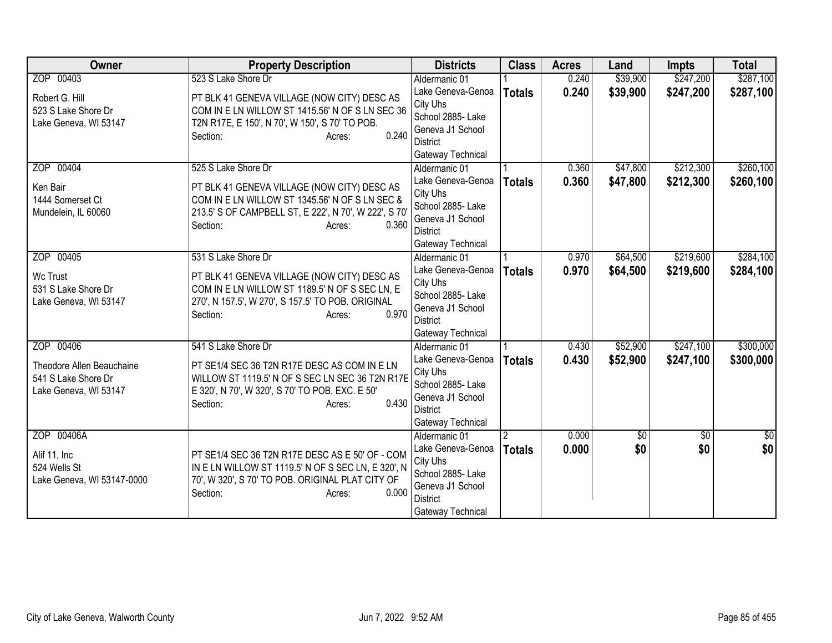| <b>Owner</b>                            | <b>Property Description</b>                                                                             | <b>Districts</b>                     | <b>Class</b>  | <b>Acres</b> | Land            | <b>Impts</b>    | <b>Total</b>  |
|-----------------------------------------|---------------------------------------------------------------------------------------------------------|--------------------------------------|---------------|--------------|-----------------|-----------------|---------------|
| ZOP 00403                               | 523 S Lake Shore Dr                                                                                     | Aldermanic 01                        |               | 0.240        | \$39,900        | \$247,200       | \$287,100     |
| Robert G. Hill                          | PT BLK 41 GENEVA VILLAGE (NOW CITY) DESC AS                                                             | Lake Geneva-Genoa                    | <b>Totals</b> | 0.240        | \$39,900        | \$247,200       | \$287,100     |
| 523 S Lake Shore Dr                     | COM IN E LN WILLOW ST 1415.56' N OF S LN SEC 36                                                         | City Uhs                             |               |              |                 |                 |               |
| Lake Geneva, WI 53147                   | T2N R17E, E 150', N 70', W 150', S 70' TO POB.                                                          | School 2885- Lake                    |               |              |                 |                 |               |
|                                         | 0.240<br>Section:<br>Acres:                                                                             | Geneva J1 School<br><b>District</b>  |               |              |                 |                 |               |
|                                         |                                                                                                         | Gateway Technical                    |               |              |                 |                 |               |
| ZOP 00404                               | 525 S Lake Shore Dr                                                                                     | Aldermanic 01                        |               | 0.360        | \$47,800        | \$212,300       | \$260,100     |
|                                         |                                                                                                         | Lake Geneva-Genoa                    | <b>Totals</b> | 0.360        | \$47,800        | \$212,300       | \$260,100     |
| Ken Bair                                | PT BLK 41 GENEVA VILLAGE (NOW CITY) DESC AS                                                             | City Uhs                             |               |              |                 |                 |               |
| 1444 Somerset Ct<br>Mundelein, IL 60060 | COM IN E LN WILLOW ST 1345.56' N OF S LN SEC &<br>213.5' S OF CAMPBELL ST, E 222', N 70', W 222', S 70' | School 2885- Lake                    |               |              |                 |                 |               |
|                                         | 0.360<br>Section:<br>Acres:                                                                             | Geneva J1 School                     |               |              |                 |                 |               |
|                                         |                                                                                                         | <b>District</b>                      |               |              |                 |                 |               |
|                                         |                                                                                                         | Gateway Technical                    |               |              |                 |                 |               |
| ZOP 00405                               | 531 S Lake Shore Dr                                                                                     | Aldermanic 01                        |               | 0.970        | \$64,500        | \$219,600       | \$284,100     |
| Wc Trust                                | PT BLK 41 GENEVA VILLAGE (NOW CITY) DESC AS                                                             | Lake Geneva-Genoa<br>City Uhs        | <b>Totals</b> | 0.970        | \$64,500        | \$219,600       | \$284,100     |
| 531 S Lake Shore Dr                     | COM IN E LN WILLOW ST 1189.5' N OF S SEC LN, E                                                          | School 2885- Lake                    |               |              |                 |                 |               |
| Lake Geneva, WI 53147                   | 270', N 157.5', W 270', S 157.5' TO POB. ORIGINAL                                                       | Geneva J1 School                     |               |              |                 |                 |               |
|                                         | 0.970<br>Section:<br>Acres:                                                                             | <b>District</b>                      |               |              |                 |                 |               |
|                                         |                                                                                                         | Gateway Technical                    |               |              |                 |                 |               |
| ZOP 00406                               | 541 S Lake Shore Dr                                                                                     | Aldermanic 01                        |               | 0.430        | \$52,900        | \$247,100       | \$300,000     |
| Theodore Allen Beauchaine               | PT SE1/4 SEC 36 T2N R17E DESC AS COM IN E LN                                                            | Lake Geneva-Genoa                    | <b>Totals</b> | 0.430        | \$52,900        | \$247,100       | \$300,000     |
| 541 S Lake Shore Dr                     | WILLOW ST 1119.5' N OF S SEC LN SEC 36 T2N R17E                                                         | City Uhs                             |               |              |                 |                 |               |
| Lake Geneva, WI 53147                   | E 320', N 70', W 320', S 70' TO POB. EXC. E 50'                                                         | School 2885- Lake                    |               |              |                 |                 |               |
|                                         | 0.430<br>Section:<br>Acres:                                                                             | Geneva J1 School                     |               |              |                 |                 |               |
|                                         |                                                                                                         | <b>District</b><br>Gateway Technical |               |              |                 |                 |               |
| ZOP 00406A                              |                                                                                                         | Aldermanic 01                        |               | 0.000        | $\overline{50}$ | $\overline{30}$ | $\frac{1}{6}$ |
|                                         |                                                                                                         | Lake Geneva-Genoa                    | <b>Totals</b> | 0.000        | \$0             | \$0             | \$0           |
| Alif 11, Inc                            | PT SE1/4 SEC 36 T2N R17E DESC AS E 50' OF - COM                                                         | City Uhs                             |               |              |                 |                 |               |
| 524 Wells St                            | IN E LN WILLOW ST 1119.5' N OF S SEC LN, E 320', N                                                      | School 2885- Lake                    |               |              |                 |                 |               |
| Lake Geneva, WI 53147-0000              | 70', W 320', S 70' TO POB. ORIGINAL PLAT CITY OF                                                        | Geneva J1 School                     |               |              |                 |                 |               |
|                                         | 0.000<br>Section:<br>Acres:                                                                             | <b>District</b>                      |               |              |                 |                 |               |
|                                         |                                                                                                         | Gateway Technical                    |               |              |                 |                 |               |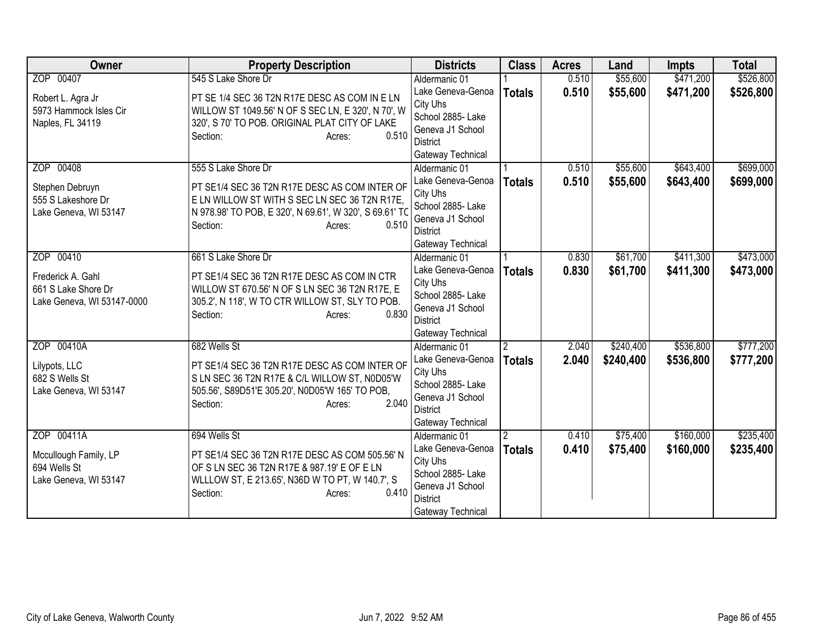| <b>Owner</b>                                                           | <b>Property Description</b>                                                                                                                                                      | <b>Districts</b>                                                                                               | <b>Class</b>   | <b>Acres</b> | Land      | <b>Impts</b> | <b>Total</b> |
|------------------------------------------------------------------------|----------------------------------------------------------------------------------------------------------------------------------------------------------------------------------|----------------------------------------------------------------------------------------------------------------|----------------|--------------|-----------|--------------|--------------|
| ZOP 00407                                                              | 545 S Lake Shore Dr                                                                                                                                                              | Aldermanic 01                                                                                                  |                | 0.510        | \$55,600  | \$471,200    | \$526,800    |
| Robert L. Agra Jr<br>5973 Hammock Isles Cir                            | PT SE 1/4 SEC 36 T2N R17E DESC AS COM IN E LN<br>WILLOW ST 1049.56' N OF S SEC LN, E 320', N 70', W                                                                              | Lake Geneva-Genoa<br>City Uhs<br>School 2885- Lake                                                             | <b>Totals</b>  | 0.510        | \$55,600  | \$471,200    | \$526,800    |
| Naples, FL 34119                                                       | 320', S 70' TO POB. ORIGINAL PLAT CITY OF LAKE<br>0.510<br>Section:<br>Acres:                                                                                                    | Geneva J1 School<br>District                                                                                   |                |              |           |              |              |
| ZOP 00408                                                              | 555 S Lake Shore Dr                                                                                                                                                              | Gateway Technical<br>Aldermanic 01                                                                             |                | 0.510        | \$55,600  | \$643,400    | \$699,000    |
| Stephen Debruyn<br>555 S Lakeshore Dr<br>Lake Geneva, WI 53147         | PT SE1/4 SEC 36 T2N R17E DESC AS COM INTER OF<br>E LN WILLOW ST WITH S SEC LN SEC 36 T2N R17E,<br>N 978.98' TO POB, E 320', N 69.61', W 320', S 69.61' TO                        | Lake Geneva-Genoa<br>City Uhs<br>School 2885- Lake                                                             | <b>Totals</b>  | 0.510        | \$55,600  | \$643,400    | \$699,000    |
|                                                                        | 0.510<br>Section:<br>Acres:                                                                                                                                                      | Geneva J1 School<br><b>District</b><br>Gateway Technical                                                       |                |              |           |              |              |
| ZOP 00410                                                              | 661 S Lake Shore Dr                                                                                                                                                              | Aldermanic 01                                                                                                  |                | 0.830        | \$61,700  | \$411,300    | \$473,000    |
| Frederick A. Gahl<br>661 S Lake Shore Dr<br>Lake Geneva, WI 53147-0000 | PT SE1/4 SEC 36 T2N R17E DESC AS COM IN CTR<br>WILLOW ST 670.56' N OF S LN SEC 36 T2N R17E, E<br>305.2', N 118', W TO CTR WILLOW ST, SLY TO POB.<br>0.830<br>Section:<br>Acres:  | Lake Geneva-Genoa<br>City Uhs<br>School 2885- Lake<br>Geneva J1 School<br><b>District</b><br>Gateway Technical | <b>Totals</b>  | 0.830        | \$61,700  | \$411,300    | \$473,000    |
| ZOP 00410A                                                             | 682 Wells St                                                                                                                                                                     | Aldermanic 01                                                                                                  | $\overline{2}$ | 2.040        | \$240,400 | \$536,800    | \$777,200    |
| Lilypots, LLC<br>682 S Wells St<br>Lake Geneva, WI 53147               | PT SE1/4 SEC 36 T2N R17E DESC AS COM INTER OF<br>S LN SEC 36 T2N R17E & C/L WILLOW ST, N0D05'W<br>505.56', S89D51'E 305.20', N0D05'W 165' TO POB,<br>2.040<br>Section:<br>Acres: | Lake Geneva-Genoa<br>City Uhs<br>School 2885- Lake<br>Geneva J1 School<br><b>District</b><br>Gateway Technical | <b>Totals</b>  | 2.040        | \$240,400 | \$536,800    | \$777,200    |
| ZOP 00411A                                                             | 694 Wells St                                                                                                                                                                     | Aldermanic 01                                                                                                  |                | 0.410        | \$75,400  | \$160,000    | \$235,400    |
| Mccullough Family, LP<br>694 Wells St<br>Lake Geneva, WI 53147         | PT SE1/4 SEC 36 T2N R17E DESC AS COM 505.56' N<br>OF S LN SEC 36 T2N R17E & 987.19' E OF E LN<br>WLLLOW ST, E 213.65', N36D W TO PT, W 140.7', S<br>0.410<br>Section:<br>Acres:  | Lake Geneva-Genoa<br>City Uhs<br>School 2885-Lake<br>Geneva J1 School<br><b>District</b><br>Gateway Technical  | <b>Totals</b>  | 0.410        | \$75,400  | \$160,000    | \$235,400    |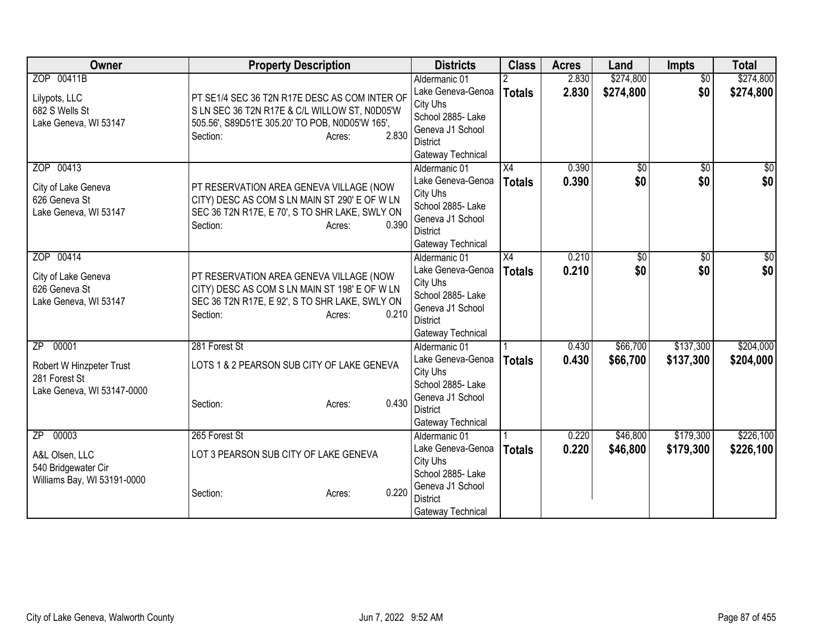| Owner                                | <b>Property Description</b>                                                              |                 | <b>Districts</b>                   | <b>Class</b>    | <b>Acres</b> | Land            | <b>Impts</b>    | <b>Total</b>   |
|--------------------------------------|------------------------------------------------------------------------------------------|-----------------|------------------------------------|-----------------|--------------|-----------------|-----------------|----------------|
| ZOP 00411B                           |                                                                                          |                 | Aldermanic 01                      |                 | 2.830        | \$274,800       | $\overline{50}$ | \$274,800      |
| Lilypots, LLC                        | PT SE1/4 SEC 36 T2N R17E DESC AS COM INTER OF                                            |                 | Lake Geneva-Genoa                  | <b>Totals</b>   | 2.830        | \$274,800       | \$0             | \$274,800      |
| 682 S Wells St                       | S LN SEC 36 T2N R17E & C/L WILLOW ST, N0D05'W                                            |                 | City Uhs                           |                 |              |                 |                 |                |
| Lake Geneva, WI 53147                | 505.56', S89D51'E 305.20' TO POB, N0D05'W 165',                                          |                 | School 2885- Lake                  |                 |              |                 |                 |                |
|                                      | Section:                                                                                 | 2.830<br>Acres: | Geneva J1 School                   |                 |              |                 |                 |                |
|                                      |                                                                                          |                 | <b>District</b>                    |                 |              |                 |                 |                |
| ZOP 00413                            |                                                                                          |                 | Gateway Technical<br>Aldermanic 01 | $\overline{X4}$ | 0.390        | $\overline{50}$ | \$0             | $\frac{1}{30}$ |
|                                      |                                                                                          |                 | Lake Geneva-Genoa                  |                 | 0.390        | \$0             | \$0             | \$0            |
| City of Lake Geneva                  | PT RESERVATION AREA GENEVA VILLAGE (NOW                                                  |                 | City Uhs                           | <b>Totals</b>   |              |                 |                 |                |
| 626 Geneva St                        | CITY) DESC AS COM S LN MAIN ST 290' E OF W LN                                            |                 | School 2885- Lake                  |                 |              |                 |                 |                |
| Lake Geneva, WI 53147                | SEC 36 T2N R17E, E 70', S TO SHR LAKE, SWLY ON                                           |                 | Geneva J1 School                   |                 |              |                 |                 |                |
|                                      | Section:                                                                                 | 0.390<br>Acres: | <b>District</b>                    |                 |              |                 |                 |                |
|                                      |                                                                                          |                 | Gateway Technical                  |                 |              |                 |                 |                |
| ZOP 00414                            |                                                                                          |                 | Aldermanic 01                      | X4              | 0.210        | \$0             | \$0             | \$0            |
|                                      |                                                                                          |                 | Lake Geneva-Genoa                  | <b>Totals</b>   | 0.210        | \$0             | \$0             | \$0            |
| City of Lake Geneva<br>626 Geneva St | PT RESERVATION AREA GENEVA VILLAGE (NOW<br>CITY) DESC AS COM S LN MAIN ST 198' E OF W LN |                 | City Uhs                           |                 |              |                 |                 |                |
| Lake Geneva, WI 53147                | SEC 36 T2N R17E, E 92', S TO SHR LAKE, SWLY ON                                           |                 | School 2885- Lake                  |                 |              |                 |                 |                |
|                                      | Section:                                                                                 | 0.210<br>Acres: | Geneva J1 School                   |                 |              |                 |                 |                |
|                                      |                                                                                          |                 | <b>District</b>                    |                 |              |                 |                 |                |
|                                      |                                                                                          |                 | Gateway Technical                  |                 |              |                 |                 |                |
| 00001<br>$\overline{ZP}$             | 281 Forest St                                                                            |                 | Aldermanic 01                      |                 | 0.430        | \$66,700        | \$137,300       | \$204,000      |
| Robert W Hinzpeter Trust             | LOTS 1 & 2 PEARSON SUB CITY OF LAKE GENEVA                                               |                 | Lake Geneva-Genoa                  | <b>Totals</b>   | 0.430        | \$66,700        | \$137,300       | \$204,000      |
| 281 Forest St                        |                                                                                          |                 | City Uhs<br>School 2885- Lake      |                 |              |                 |                 |                |
| Lake Geneva, WI 53147-0000           |                                                                                          |                 | Geneva J1 School                   |                 |              |                 |                 |                |
|                                      | Section:                                                                                 | 0.430<br>Acres: | <b>District</b>                    |                 |              |                 |                 |                |
|                                      |                                                                                          |                 | Gateway Technical                  |                 |              |                 |                 |                |
| 00003<br>ZP                          | 265 Forest St                                                                            |                 | Aldermanic 01                      |                 | 0.220        | \$46,800        | \$179,300       | \$226,100      |
|                                      |                                                                                          |                 | Lake Geneva-Genoa                  | <b>Totals</b>   | 0.220        | \$46,800        | \$179,300       | \$226,100      |
| A&L Olsen, LLC                       | LOT 3 PEARSON SUB CITY OF LAKE GENEVA                                                    |                 | City Uhs                           |                 |              |                 |                 |                |
| 540 Bridgewater Cir                  |                                                                                          |                 | School 2885-Lake                   |                 |              |                 |                 |                |
| Williams Bay, WI 53191-0000          |                                                                                          |                 | Geneva J1 School                   |                 |              |                 |                 |                |
|                                      | Section:                                                                                 | 0.220<br>Acres: | <b>District</b>                    |                 |              |                 |                 |                |
|                                      |                                                                                          |                 | Gateway Technical                  |                 |              |                 |                 |                |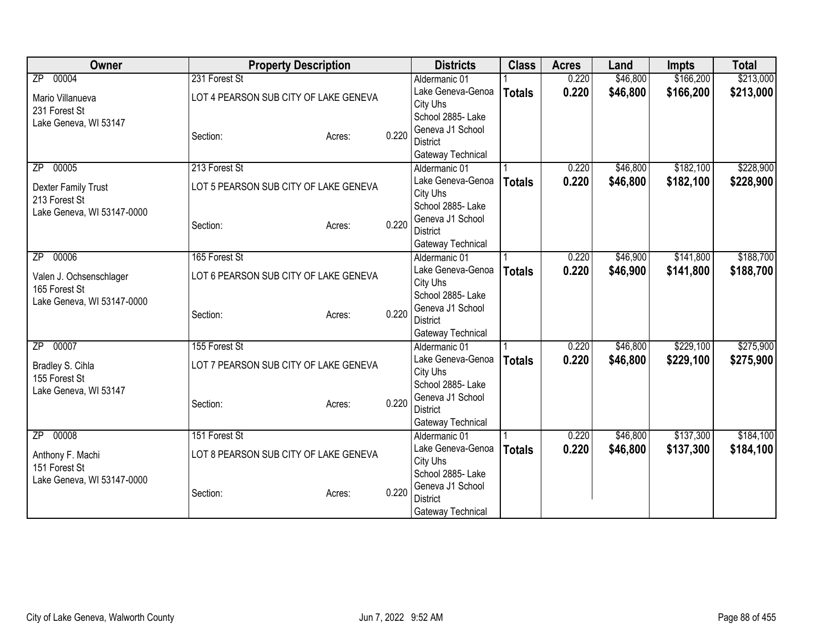| Owner                                    | <b>Property Description</b>           |        |       | <b>Districts</b>                      | <b>Class</b>  | <b>Acres</b> | Land     | <b>Impts</b> | <b>Total</b> |
|------------------------------------------|---------------------------------------|--------|-------|---------------------------------------|---------------|--------------|----------|--------------|--------------|
| 00004<br>$\overline{ZP}$                 | 231 Forest St                         |        |       | Aldermanic 01                         |               | 0.220        | \$46,800 | \$166,200    | \$213,000    |
| Mario Villanueva                         | LOT 4 PEARSON SUB CITY OF LAKE GENEVA |        |       | Lake Geneva-Genoa                     | <b>Totals</b> | 0.220        | \$46,800 | \$166,200    | \$213,000    |
| 231 Forest St                            |                                       |        |       | City Uhs                              |               |              |          |              |              |
| Lake Geneva, WI 53147                    |                                       |        |       | School 2885- Lake                     |               |              |          |              |              |
|                                          | Section:                              | Acres: | 0.220 | Geneva J1 School                      |               |              |          |              |              |
|                                          |                                       |        |       | <b>District</b>                       |               |              |          |              |              |
|                                          | 213 Forest St                         |        |       | Gateway Technical                     |               | 0.220        |          | \$182,100    |              |
| 00005<br>ZP                              |                                       |        |       | Aldermanic 01<br>Lake Geneva-Genoa    |               |              | \$46,800 |              | \$228,900    |
| Dexter Family Trust                      | LOT 5 PEARSON SUB CITY OF LAKE GENEVA |        |       | City Uhs                              | <b>Totals</b> | 0.220        | \$46,800 | \$182,100    | \$228,900    |
| 213 Forest St                            |                                       |        |       | School 2885- Lake                     |               |              |          |              |              |
| Lake Geneva, WI 53147-0000               |                                       |        |       | Geneva J1 School                      |               |              |          |              |              |
|                                          | Section:                              | Acres: | 0.220 | <b>District</b>                       |               |              |          |              |              |
|                                          |                                       |        |       | Gateway Technical                     |               |              |          |              |              |
| 00006<br>$\overline{ZP}$                 | 165 Forest St                         |        |       | Aldermanic 01                         |               | 0.220        | \$46,900 | \$141,800    | \$188,700    |
|                                          | LOT 6 PEARSON SUB CITY OF LAKE GENEVA |        |       | Lake Geneva-Genoa                     | <b>Totals</b> | 0.220        | \$46,900 | \$141,800    | \$188,700    |
| Valen J. Ochsenschlager<br>165 Forest St |                                       |        |       | City Uhs                              |               |              |          |              |              |
| Lake Geneva, WI 53147-0000               |                                       |        |       | School 2885- Lake                     |               |              |          |              |              |
|                                          | Section:                              | Acres: | 0.220 | Geneva J1 School                      |               |              |          |              |              |
|                                          |                                       |        |       | <b>District</b>                       |               |              |          |              |              |
|                                          |                                       |        |       | Gateway Technical                     |               |              |          |              |              |
| 00007<br>$\overline{ZP}$                 | 155 Forest St                         |        |       | Aldermanic 01                         |               | 0.220        | \$46,800 | \$229,100    | \$275,900    |
| Bradley S. Cihla                         | LOT 7 PEARSON SUB CITY OF LAKE GENEVA |        |       | Lake Geneva-Genoa                     | <b>Totals</b> | 0.220        | \$46,800 | \$229,100    | \$275,900    |
| 155 Forest St                            |                                       |        |       | City Uhs                              |               |              |          |              |              |
| Lake Geneva, WI 53147                    |                                       |        |       | School 2885- Lake<br>Geneva J1 School |               |              |          |              |              |
|                                          | Section:                              | Acres: | 0.220 | <b>District</b>                       |               |              |          |              |              |
|                                          |                                       |        |       | Gateway Technical                     |               |              |          |              |              |
| 00008<br>ZP                              | 151 Forest St                         |        |       | Aldermanic 01                         |               | 0.220        | \$46,800 | \$137,300    | \$184,100    |
|                                          |                                       |        |       | Lake Geneva-Genoa                     | <b>Totals</b> | 0.220        | \$46,800 | \$137,300    | \$184,100    |
| Anthony F. Machi                         | LOT 8 PEARSON SUB CITY OF LAKE GENEVA |        |       | City Uhs                              |               |              |          |              |              |
| 151 Forest St                            |                                       |        |       | School 2885- Lake                     |               |              |          |              |              |
| Lake Geneva, WI 53147-0000               |                                       |        |       | Geneva J1 School                      |               |              |          |              |              |
|                                          | Section:                              | Acres: | 0.220 | <b>District</b>                       |               |              |          |              |              |
|                                          |                                       |        |       | Gateway Technical                     |               |              |          |              |              |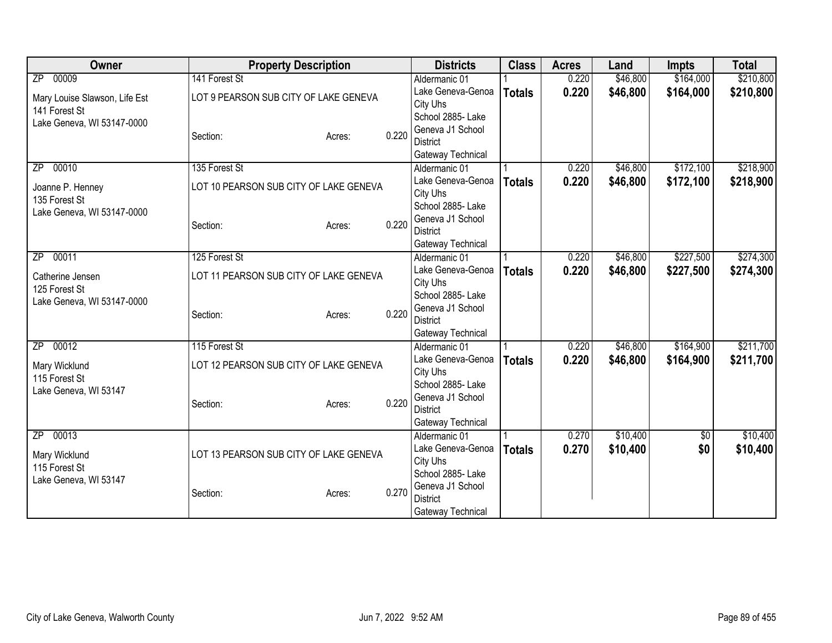| Owner                                  | <b>Property Description</b>            |        |       | <b>Districts</b>                   | <b>Class</b>  | <b>Acres</b> | Land     | <b>Impts</b> | <b>Total</b> |
|----------------------------------------|----------------------------------------|--------|-------|------------------------------------|---------------|--------------|----------|--------------|--------------|
| 00009<br>$\overline{ZP}$               | 141 Forest St                          |        |       | Aldermanic 01                      |               | 0.220        | \$46,800 | \$164,000    | \$210,800    |
| Mary Louise Slawson, Life Est          | LOT 9 PEARSON SUB CITY OF LAKE GENEVA  |        |       | Lake Geneva-Genoa                  | <b>Totals</b> | 0.220        | \$46,800 | \$164,000    | \$210,800    |
| 141 Forest St                          |                                        |        |       | City Uhs                           |               |              |          |              |              |
| Lake Geneva, WI 53147-0000             |                                        |        |       | School 2885- Lake                  |               |              |          |              |              |
|                                        | Section:                               | Acres: | 0.220 | Geneva J1 School                   |               |              |          |              |              |
|                                        |                                        |        |       | <b>District</b>                    |               |              |          |              |              |
| 00010                                  | 135 Forest St                          |        |       | Gateway Technical<br>Aldermanic 01 |               | 0.220        | \$46,800 | \$172,100    | \$218,900    |
| ΖP                                     |                                        |        |       | Lake Geneva-Genoa                  |               | 0.220        | \$46,800 | \$172,100    | \$218,900    |
| Joanne P. Henney                       | LOT 10 PEARSON SUB CITY OF LAKE GENEVA |        |       | City Uhs                           | <b>Totals</b> |              |          |              |              |
| 135 Forest St                          |                                        |        |       | School 2885- Lake                  |               |              |          |              |              |
| Lake Geneva, WI 53147-0000             |                                        |        |       | Geneva J1 School                   |               |              |          |              |              |
|                                        | Section:                               | Acres: | 0.220 | <b>District</b>                    |               |              |          |              |              |
|                                        |                                        |        |       | Gateway Technical                  |               |              |          |              |              |
| ZP 00011                               | 125 Forest St                          |        |       | Aldermanic 01                      |               | 0.220        | \$46,800 | \$227,500    | \$274,300    |
| Catherine Jensen                       | LOT 11 PEARSON SUB CITY OF LAKE GENEVA |        |       | Lake Geneva-Genoa                  | <b>Totals</b> | 0.220        | \$46,800 | \$227,500    | \$274,300    |
| 125 Forest St                          |                                        |        |       | City Uhs                           |               |              |          |              |              |
| Lake Geneva, WI 53147-0000             |                                        |        |       | School 2885- Lake                  |               |              |          |              |              |
|                                        | Section:                               | Acres: | 0.220 | Geneva J1 School                   |               |              |          |              |              |
|                                        |                                        |        |       | <b>District</b>                    |               |              |          |              |              |
|                                        |                                        |        |       | Gateway Technical                  |               |              |          |              |              |
| 00012<br>$\overline{ZP}$               | 115 Forest St                          |        |       | Aldermanic 01                      |               | 0.220        | \$46,800 | \$164,900    | \$211,700    |
| Mary Wicklund                          | LOT 12 PEARSON SUB CITY OF LAKE GENEVA |        |       | Lake Geneva-Genoa                  | <b>Totals</b> | 0.220        | \$46,800 | \$164,900    | \$211,700    |
| 115 Forest St                          |                                        |        |       | City Uhs<br>School 2885- Lake      |               |              |          |              |              |
| Lake Geneva, WI 53147                  |                                        |        |       | Geneva J1 School                   |               |              |          |              |              |
|                                        | Section:                               | Acres: | 0.220 | <b>District</b>                    |               |              |          |              |              |
|                                        |                                        |        |       | Gateway Technical                  |               |              |          |              |              |
| 00013<br>$\overline{ZP}$               |                                        |        |       | Aldermanic 01                      |               | 0.270        | \$10,400 | $\sqrt{6}$   | \$10,400     |
|                                        |                                        |        |       | Lake Geneva-Genoa                  | <b>Totals</b> | 0.270        | \$10,400 | \$0          | \$10,400     |
| Mary Wicklund                          | LOT 13 PEARSON SUB CITY OF LAKE GENEVA |        |       | City Uhs                           |               |              |          |              |              |
| 115 Forest St<br>Lake Geneva, WI 53147 |                                        |        |       | School 2885-Lake                   |               |              |          |              |              |
|                                        | Section:                               | Acres: | 0.270 | Geneva J1 School                   |               |              |          |              |              |
|                                        |                                        |        |       | <b>District</b>                    |               |              |          |              |              |
|                                        |                                        |        |       | Gateway Technical                  |               |              |          |              |              |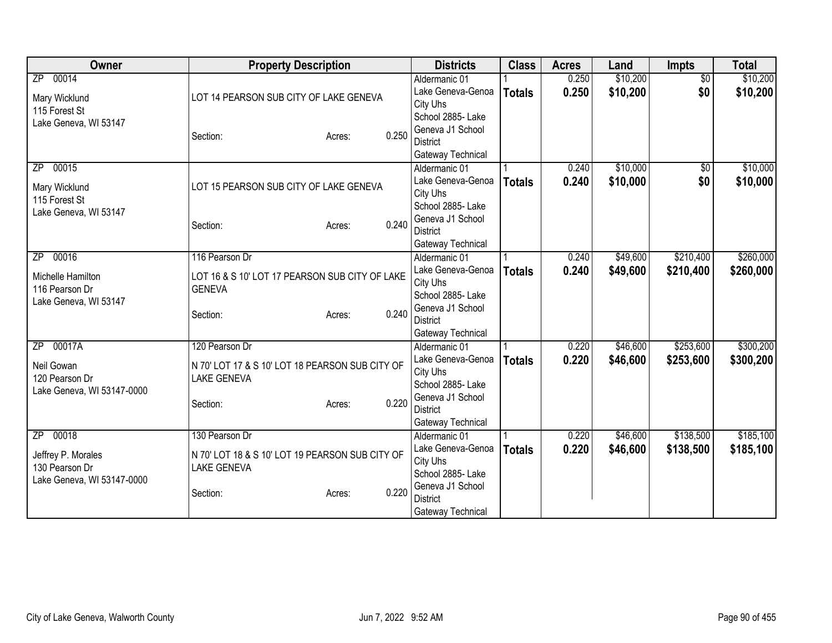| Owner                                                                                   | <b>Property Description</b>                                                                                            | <b>Districts</b>                                                                                                                | <b>Class</b>  | <b>Acres</b>   | Land                 | Impts                  | <b>Total</b>           |
|-----------------------------------------------------------------------------------------|------------------------------------------------------------------------------------------------------------------------|---------------------------------------------------------------------------------------------------------------------------------|---------------|----------------|----------------------|------------------------|------------------------|
| 00014<br>ZP<br>Mary Wicklund<br>115 Forest St                                           | LOT 14 PEARSON SUB CITY OF LAKE GENEVA                                                                                 | Aldermanic 01<br>Lake Geneva-Genoa<br>City Uhs<br>School 2885- Lake                                                             | <b>Totals</b> | 0.250<br>0.250 | \$10,200<br>\$10,200 | $\overline{50}$<br>\$0 | \$10,200<br>\$10,200   |
| Lake Geneva, WI 53147                                                                   | 0.250<br>Section:<br>Acres:                                                                                            | Geneva J1 School<br><b>District</b><br>Gateway Technical                                                                        |               |                |                      |                        |                        |
| 00015<br>ZP<br>Mary Wicklund<br>115 Forest St<br>Lake Geneva, WI 53147                  | LOT 15 PEARSON SUB CITY OF LAKE GENEVA<br>0.240<br>Section:<br>Acres:                                                  | Aldermanic 01<br>Lake Geneva-Genoa<br>City Uhs<br>School 2885- Lake<br>Geneva J1 School<br><b>District</b><br>Gateway Technical | <b>Totals</b> | 0.240<br>0.240 | \$10,000<br>\$10,000 | $\sqrt{6}$<br>\$0      | \$10,000<br>\$10,000   |
| 00016<br>ZP<br>Michelle Hamilton<br>116 Pearson Dr<br>Lake Geneva, WI 53147             | 116 Pearson Dr<br>LOT 16 & S 10' LOT 17 PEARSON SUB CITY OF LAKE<br><b>GENEVA</b><br>0.240<br>Section:<br>Acres:       | Aldermanic 01<br>Lake Geneva-Genoa<br>City Uhs<br>School 2885- Lake<br>Geneva J1 School<br><b>District</b><br>Gateway Technical | <b>Totals</b> | 0.240<br>0.240 | \$49,600<br>\$49,600 | \$210,400<br>\$210,400 | \$260,000<br>\$260,000 |
| 00017A<br>$\overline{ZP}$<br>Neil Gowan<br>120 Pearson Dr<br>Lake Geneva, WI 53147-0000 | 120 Pearson Dr<br>N 70' LOT 17 & S 10' LOT 18 PEARSON SUB CITY OF<br><b>LAKE GENEVA</b><br>0.220<br>Section:<br>Acres: | Aldermanic 01<br>Lake Geneva-Genoa<br>City Uhs<br>School 2885- Lake<br>Geneva J1 School<br><b>District</b><br>Gateway Technical | <b>Totals</b> | 0.220<br>0.220 | \$46,600<br>\$46,600 | \$253,600<br>\$253,600 | \$300,200<br>\$300,200 |
| ZP 00018<br>Jeffrey P. Morales<br>130 Pearson Dr<br>Lake Geneva, WI 53147-0000          | 130 Pearson Dr<br>N 70' LOT 18 & S 10' LOT 19 PEARSON SUB CITY OF<br><b>LAKE GENEVA</b><br>0.220<br>Section:<br>Acres: | Aldermanic 01<br>Lake Geneva-Genoa<br>City Uhs<br>School 2885- Lake<br>Geneva J1 School<br><b>District</b><br>Gateway Technical | <b>Totals</b> | 0.220<br>0.220 | \$46,600<br>\$46,600 | \$138,500<br>\$138,500 | \$185,100<br>\$185,100 |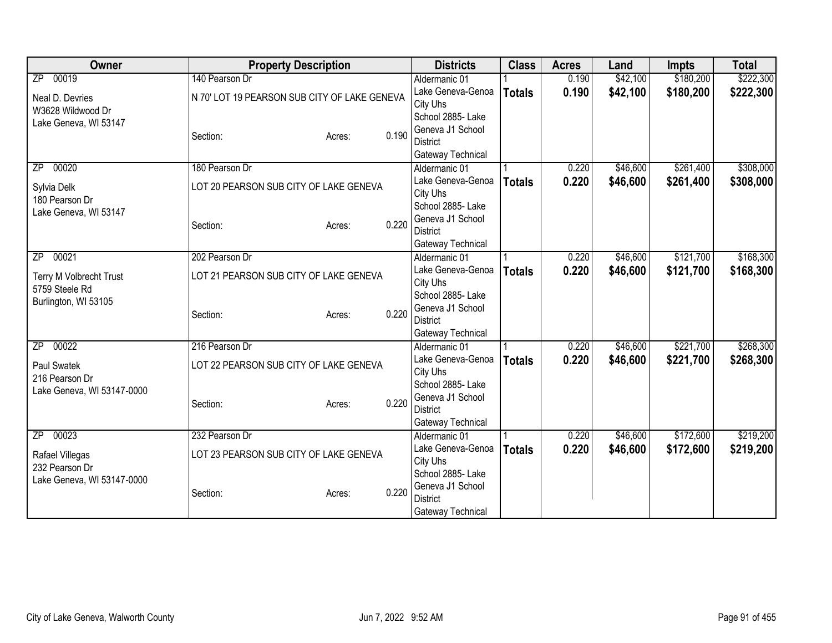| 00019<br>140 Pearson Dr<br>\$42,100<br>\$180,200<br>$\overline{ZP}$<br>0.190<br>Aldermanic 01<br>0.190<br>\$42,100<br>\$180,200<br>Lake Geneva-Genoa<br><b>Totals</b><br>N 70' LOT 19 PEARSON SUB CITY OF LAKE GENEVA<br>Neal D. Devries<br>City Uhs<br>W3628 Wildwood Dr<br>School 2885- Lake<br>Lake Geneva, WI 53147<br>Geneva J1 School<br>0.190<br>Section:<br>Acres:<br><b>District</b><br>Gateway Technical<br>00020<br>180 Pearson Dr<br>\$46,600<br>\$261,400<br>0.220<br>ZP<br>Aldermanic 01<br>0.220<br>Lake Geneva-Genoa<br>\$46,600<br>\$261,400<br><b>Totals</b><br>LOT 20 PEARSON SUB CITY OF LAKE GENEVA<br>Sylvia Delk<br>City Uhs<br>180 Pearson Dr<br>School 2885- Lake<br>Lake Geneva, WI 53147<br>Geneva J1 School<br>0.220<br>Section:<br>Acres:<br><b>District</b><br>Gateway Technical<br>\$46,600<br>\$121,700<br>00021<br>202 Pearson Dr<br>0.220<br>ZP<br>Aldermanic 01<br>Lake Geneva-Genoa<br>0.220<br>\$46,600<br>\$121,700<br><b>Totals</b><br>LOT 21 PEARSON SUB CITY OF LAKE GENEVA<br>Terry M Volbrecht Trust<br>City Uhs<br>5759 Steele Rd<br>School 2885- Lake<br>Burlington, WI 53105<br>Geneva J1 School<br>0.220<br>Section:<br>Acres:<br><b>District</b><br>Gateway Technical<br>\$221,700<br>00022<br>216 Pearson Dr<br>\$46,600<br>0.220<br>ZP<br>Aldermanic 01<br>Lake Geneva-Genoa<br>0.220<br>\$46,600<br>\$221,700<br><b>Totals</b><br>LOT 22 PEARSON SUB CITY OF LAKE GENEVA<br>Paul Swatek<br>City Uhs<br>216 Pearson Dr<br>School 2885- Lake<br>Lake Geneva, WI 53147-0000<br>Geneva J1 School<br>0.220<br>Section:<br>Acres:<br><b>District</b><br>Gateway Technical<br>00023<br>232 Pearson Dr<br>\$46,600<br>\$172,600<br>Aldermanic 01<br>0.220<br>ZP<br>0.220<br>Lake Geneva-Genoa<br>\$46,600<br>\$172,600<br><b>Totals</b><br>LOT 23 PEARSON SUB CITY OF LAKE GENEVA<br>Rafael Villegas<br>City Uhs<br>232 Pearson Dr<br>School 2885-Lake<br>Lake Geneva, WI 53147-0000<br>Geneva J1 School<br>0.220<br>Section:<br>Acres:<br><b>District</b> | Owner | <b>Property Description</b> |  | <b>Districts</b>  | <b>Class</b> | <b>Acres</b> | Land | <b>Impts</b> | <b>Total</b> |
|-------------------------------------------------------------------------------------------------------------------------------------------------------------------------------------------------------------------------------------------------------------------------------------------------------------------------------------------------------------------------------------------------------------------------------------------------------------------------------------------------------------------------------------------------------------------------------------------------------------------------------------------------------------------------------------------------------------------------------------------------------------------------------------------------------------------------------------------------------------------------------------------------------------------------------------------------------------------------------------------------------------------------------------------------------------------------------------------------------------------------------------------------------------------------------------------------------------------------------------------------------------------------------------------------------------------------------------------------------------------------------------------------------------------------------------------------------------------------------------------------------------------------------------------------------------------------------------------------------------------------------------------------------------------------------------------------------------------------------------------------------------------------------------------------------------------------------------------------------------------------------------------------------------------------------------------------------------------------------------------------------|-------|-----------------------------|--|-------------------|--------------|--------------|------|--------------|--------------|
| \$222,300                                                                                                                                                                                                                                                                                                                                                                                                                                                                                                                                                                                                                                                                                                                                                                                                                                                                                                                                                                                                                                                                                                                                                                                                                                                                                                                                                                                                                                                                                                                                                                                                                                                                                                                                                                                                                                                                                                                                                                                             |       |                             |  |                   |              |              |      |              | \$222,300    |
|                                                                                                                                                                                                                                                                                                                                                                                                                                                                                                                                                                                                                                                                                                                                                                                                                                                                                                                                                                                                                                                                                                                                                                                                                                                                                                                                                                                                                                                                                                                                                                                                                                                                                                                                                                                                                                                                                                                                                                                                       |       |                             |  |                   |              |              |      |              |              |
| \$308,000<br>\$308,000<br>\$168,300                                                                                                                                                                                                                                                                                                                                                                                                                                                                                                                                                                                                                                                                                                                                                                                                                                                                                                                                                                                                                                                                                                                                                                                                                                                                                                                                                                                                                                                                                                                                                                                                                                                                                                                                                                                                                                                                                                                                                                   |       |                             |  |                   |              |              |      |              |              |
|                                                                                                                                                                                                                                                                                                                                                                                                                                                                                                                                                                                                                                                                                                                                                                                                                                                                                                                                                                                                                                                                                                                                                                                                                                                                                                                                                                                                                                                                                                                                                                                                                                                                                                                                                                                                                                                                                                                                                                                                       |       |                             |  |                   |              |              |      |              |              |
|                                                                                                                                                                                                                                                                                                                                                                                                                                                                                                                                                                                                                                                                                                                                                                                                                                                                                                                                                                                                                                                                                                                                                                                                                                                                                                                                                                                                                                                                                                                                                                                                                                                                                                                                                                                                                                                                                                                                                                                                       |       |                             |  |                   |              |              |      |              |              |
|                                                                                                                                                                                                                                                                                                                                                                                                                                                                                                                                                                                                                                                                                                                                                                                                                                                                                                                                                                                                                                                                                                                                                                                                                                                                                                                                                                                                                                                                                                                                                                                                                                                                                                                                                                                                                                                                                                                                                                                                       |       |                             |  |                   |              |              |      |              |              |
|                                                                                                                                                                                                                                                                                                                                                                                                                                                                                                                                                                                                                                                                                                                                                                                                                                                                                                                                                                                                                                                                                                                                                                                                                                                                                                                                                                                                                                                                                                                                                                                                                                                                                                                                                                                                                                                                                                                                                                                                       |       |                             |  |                   |              |              |      |              |              |
|                                                                                                                                                                                                                                                                                                                                                                                                                                                                                                                                                                                                                                                                                                                                                                                                                                                                                                                                                                                                                                                                                                                                                                                                                                                                                                                                                                                                                                                                                                                                                                                                                                                                                                                                                                                                                                                                                                                                                                                                       |       |                             |  |                   |              |              |      |              |              |
|                                                                                                                                                                                                                                                                                                                                                                                                                                                                                                                                                                                                                                                                                                                                                                                                                                                                                                                                                                                                                                                                                                                                                                                                                                                                                                                                                                                                                                                                                                                                                                                                                                                                                                                                                                                                                                                                                                                                                                                                       |       |                             |  |                   |              |              |      |              |              |
|                                                                                                                                                                                                                                                                                                                                                                                                                                                                                                                                                                                                                                                                                                                                                                                                                                                                                                                                                                                                                                                                                                                                                                                                                                                                                                                                                                                                                                                                                                                                                                                                                                                                                                                                                                                                                                                                                                                                                                                                       |       |                             |  |                   |              |              |      |              |              |
|                                                                                                                                                                                                                                                                                                                                                                                                                                                                                                                                                                                                                                                                                                                                                                                                                                                                                                                                                                                                                                                                                                                                                                                                                                                                                                                                                                                                                                                                                                                                                                                                                                                                                                                                                                                                                                                                                                                                                                                                       |       |                             |  |                   |              |              |      |              |              |
|                                                                                                                                                                                                                                                                                                                                                                                                                                                                                                                                                                                                                                                                                                                                                                                                                                                                                                                                                                                                                                                                                                                                                                                                                                                                                                                                                                                                                                                                                                                                                                                                                                                                                                                                                                                                                                                                                                                                                                                                       |       |                             |  |                   |              |              |      |              |              |
|                                                                                                                                                                                                                                                                                                                                                                                                                                                                                                                                                                                                                                                                                                                                                                                                                                                                                                                                                                                                                                                                                                                                                                                                                                                                                                                                                                                                                                                                                                                                                                                                                                                                                                                                                                                                                                                                                                                                                                                                       |       |                             |  |                   |              |              |      |              |              |
| \$168,300<br>\$268,300<br>\$268,300<br>\$219,200<br>\$219,200                                                                                                                                                                                                                                                                                                                                                                                                                                                                                                                                                                                                                                                                                                                                                                                                                                                                                                                                                                                                                                                                                                                                                                                                                                                                                                                                                                                                                                                                                                                                                                                                                                                                                                                                                                                                                                                                                                                                         |       |                             |  |                   |              |              |      |              |              |
|                                                                                                                                                                                                                                                                                                                                                                                                                                                                                                                                                                                                                                                                                                                                                                                                                                                                                                                                                                                                                                                                                                                                                                                                                                                                                                                                                                                                                                                                                                                                                                                                                                                                                                                                                                                                                                                                                                                                                                                                       |       |                             |  |                   |              |              |      |              |              |
|                                                                                                                                                                                                                                                                                                                                                                                                                                                                                                                                                                                                                                                                                                                                                                                                                                                                                                                                                                                                                                                                                                                                                                                                                                                                                                                                                                                                                                                                                                                                                                                                                                                                                                                                                                                                                                                                                                                                                                                                       |       |                             |  |                   |              |              |      |              |              |
|                                                                                                                                                                                                                                                                                                                                                                                                                                                                                                                                                                                                                                                                                                                                                                                                                                                                                                                                                                                                                                                                                                                                                                                                                                                                                                                                                                                                                                                                                                                                                                                                                                                                                                                                                                                                                                                                                                                                                                                                       |       |                             |  |                   |              |              |      |              |              |
|                                                                                                                                                                                                                                                                                                                                                                                                                                                                                                                                                                                                                                                                                                                                                                                                                                                                                                                                                                                                                                                                                                                                                                                                                                                                                                                                                                                                                                                                                                                                                                                                                                                                                                                                                                                                                                                                                                                                                                                                       |       |                             |  |                   |              |              |      |              |              |
|                                                                                                                                                                                                                                                                                                                                                                                                                                                                                                                                                                                                                                                                                                                                                                                                                                                                                                                                                                                                                                                                                                                                                                                                                                                                                                                                                                                                                                                                                                                                                                                                                                                                                                                                                                                                                                                                                                                                                                                                       |       |                             |  |                   |              |              |      |              |              |
|                                                                                                                                                                                                                                                                                                                                                                                                                                                                                                                                                                                                                                                                                                                                                                                                                                                                                                                                                                                                                                                                                                                                                                                                                                                                                                                                                                                                                                                                                                                                                                                                                                                                                                                                                                                                                                                                                                                                                                                                       |       |                             |  |                   |              |              |      |              |              |
|                                                                                                                                                                                                                                                                                                                                                                                                                                                                                                                                                                                                                                                                                                                                                                                                                                                                                                                                                                                                                                                                                                                                                                                                                                                                                                                                                                                                                                                                                                                                                                                                                                                                                                                                                                                                                                                                                                                                                                                                       |       |                             |  |                   |              |              |      |              |              |
|                                                                                                                                                                                                                                                                                                                                                                                                                                                                                                                                                                                                                                                                                                                                                                                                                                                                                                                                                                                                                                                                                                                                                                                                                                                                                                                                                                                                                                                                                                                                                                                                                                                                                                                                                                                                                                                                                                                                                                                                       |       |                             |  |                   |              |              |      |              |              |
|                                                                                                                                                                                                                                                                                                                                                                                                                                                                                                                                                                                                                                                                                                                                                                                                                                                                                                                                                                                                                                                                                                                                                                                                                                                                                                                                                                                                                                                                                                                                                                                                                                                                                                                                                                                                                                                                                                                                                                                                       |       |                             |  |                   |              |              |      |              |              |
|                                                                                                                                                                                                                                                                                                                                                                                                                                                                                                                                                                                                                                                                                                                                                                                                                                                                                                                                                                                                                                                                                                                                                                                                                                                                                                                                                                                                                                                                                                                                                                                                                                                                                                                                                                                                                                                                                                                                                                                                       |       |                             |  |                   |              |              |      |              |              |
|                                                                                                                                                                                                                                                                                                                                                                                                                                                                                                                                                                                                                                                                                                                                                                                                                                                                                                                                                                                                                                                                                                                                                                                                                                                                                                                                                                                                                                                                                                                                                                                                                                                                                                                                                                                                                                                                                                                                                                                                       |       |                             |  |                   |              |              |      |              |              |
|                                                                                                                                                                                                                                                                                                                                                                                                                                                                                                                                                                                                                                                                                                                                                                                                                                                                                                                                                                                                                                                                                                                                                                                                                                                                                                                                                                                                                                                                                                                                                                                                                                                                                                                                                                                                                                                                                                                                                                                                       |       |                             |  |                   |              |              |      |              |              |
|                                                                                                                                                                                                                                                                                                                                                                                                                                                                                                                                                                                                                                                                                                                                                                                                                                                                                                                                                                                                                                                                                                                                                                                                                                                                                                                                                                                                                                                                                                                                                                                                                                                                                                                                                                                                                                                                                                                                                                                                       |       |                             |  |                   |              |              |      |              |              |
|                                                                                                                                                                                                                                                                                                                                                                                                                                                                                                                                                                                                                                                                                                                                                                                                                                                                                                                                                                                                                                                                                                                                                                                                                                                                                                                                                                                                                                                                                                                                                                                                                                                                                                                                                                                                                                                                                                                                                                                                       |       |                             |  |                   |              |              |      |              |              |
|                                                                                                                                                                                                                                                                                                                                                                                                                                                                                                                                                                                                                                                                                                                                                                                                                                                                                                                                                                                                                                                                                                                                                                                                                                                                                                                                                                                                                                                                                                                                                                                                                                                                                                                                                                                                                                                                                                                                                                                                       |       |                             |  |                   |              |              |      |              |              |
|                                                                                                                                                                                                                                                                                                                                                                                                                                                                                                                                                                                                                                                                                                                                                                                                                                                                                                                                                                                                                                                                                                                                                                                                                                                                                                                                                                                                                                                                                                                                                                                                                                                                                                                                                                                                                                                                                                                                                                                                       |       |                             |  |                   |              |              |      |              |              |
|                                                                                                                                                                                                                                                                                                                                                                                                                                                                                                                                                                                                                                                                                                                                                                                                                                                                                                                                                                                                                                                                                                                                                                                                                                                                                                                                                                                                                                                                                                                                                                                                                                                                                                                                                                                                                                                                                                                                                                                                       |       |                             |  |                   |              |              |      |              |              |
|                                                                                                                                                                                                                                                                                                                                                                                                                                                                                                                                                                                                                                                                                                                                                                                                                                                                                                                                                                                                                                                                                                                                                                                                                                                                                                                                                                                                                                                                                                                                                                                                                                                                                                                                                                                                                                                                                                                                                                                                       |       |                             |  |                   |              |              |      |              |              |
|                                                                                                                                                                                                                                                                                                                                                                                                                                                                                                                                                                                                                                                                                                                                                                                                                                                                                                                                                                                                                                                                                                                                                                                                                                                                                                                                                                                                                                                                                                                                                                                                                                                                                                                                                                                                                                                                                                                                                                                                       |       |                             |  | Gateway Technical |              |              |      |              |              |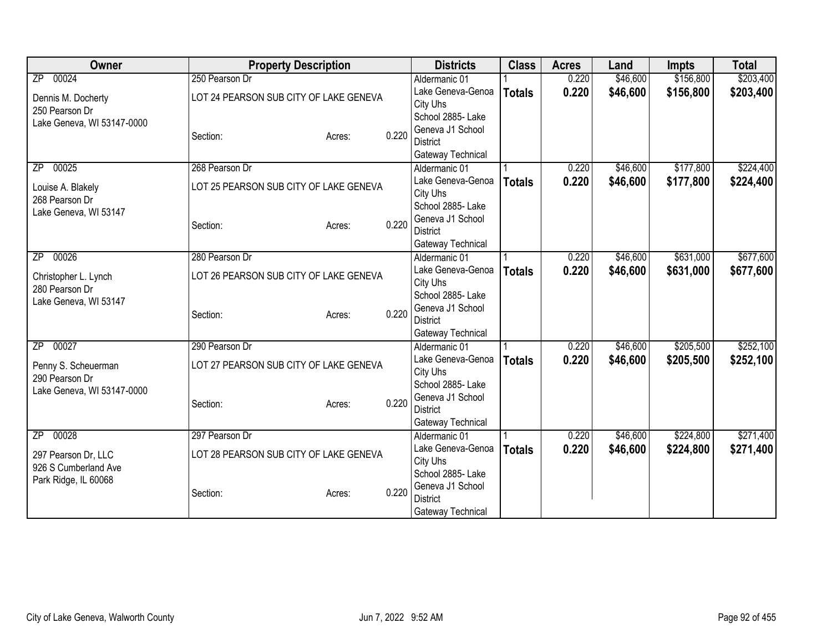| Owner                      | <b>Property Description</b>            |        |       | <b>Districts</b>                    | <b>Class</b>  | <b>Acres</b> | Land     | <b>Impts</b> | <b>Total</b> |
|----------------------------|----------------------------------------|--------|-------|-------------------------------------|---------------|--------------|----------|--------------|--------------|
| 00024<br>$\overline{ZP}$   | 250 Pearson Dr                         |        |       | Aldermanic 01                       |               | 0.220        | \$46,600 | \$156,800    | \$203,400    |
| Dennis M. Docherty         | LOT 24 PEARSON SUB CITY OF LAKE GENEVA |        |       | Lake Geneva-Genoa                   | <b>Totals</b> | 0.220        | \$46,600 | \$156,800    | \$203,400    |
| 250 Pearson Dr             |                                        |        |       | City Uhs                            |               |              |          |              |              |
| Lake Geneva, WI 53147-0000 |                                        |        |       | School 2885- Lake                   |               |              |          |              |              |
|                            | Section:                               | Acres: | 0.220 | Geneva J1 School                    |               |              |          |              |              |
|                            |                                        |        |       | <b>District</b>                     |               |              |          |              |              |
|                            |                                        |        |       | Gateway Technical                   |               |              |          |              |              |
| 00025<br>ΖP                | 268 Pearson Dr                         |        |       | Aldermanic 01                       |               | 0.220        | \$46,600 | \$177,800    | \$224,400    |
| Louise A. Blakely          | LOT 25 PEARSON SUB CITY OF LAKE GENEVA |        |       | Lake Geneva-Genoa<br>City Uhs       | <b>Totals</b> | 0.220        | \$46,600 | \$177,800    | \$224,400    |
| 268 Pearson Dr             |                                        |        |       | School 2885- Lake                   |               |              |          |              |              |
| Lake Geneva, WI 53147      |                                        |        |       | Geneva J1 School                    |               |              |          |              |              |
|                            | Section:                               | Acres: | 0.220 | <b>District</b>                     |               |              |          |              |              |
|                            |                                        |        |       | Gateway Technical                   |               |              |          |              |              |
| 00026<br>ZP                | 280 Pearson Dr                         |        |       | Aldermanic 01                       |               | 0.220        | \$46,600 | \$631,000    | \$677,600    |
|                            |                                        |        |       | Lake Geneva-Genoa                   | <b>Totals</b> | 0.220        | \$46,600 | \$631,000    | \$677,600    |
| Christopher L. Lynch       | LOT 26 PEARSON SUB CITY OF LAKE GENEVA |        |       | City Uhs                            |               |              |          |              |              |
| 280 Pearson Dr             |                                        |        |       | School 2885- Lake                   |               |              |          |              |              |
| Lake Geneva, WI 53147      | Section:                               | Acres: | 0.220 | Geneva J1 School                    |               |              |          |              |              |
|                            |                                        |        |       | <b>District</b>                     |               |              |          |              |              |
|                            |                                        |        |       | Gateway Technical                   |               |              |          |              |              |
| 00027<br>ZP                | 290 Pearson Dr                         |        |       | Aldermanic 01                       |               | 0.220        | \$46,600 | \$205,500    | \$252,100    |
| Penny S. Scheuerman        | LOT 27 PEARSON SUB CITY OF LAKE GENEVA |        |       | Lake Geneva-Genoa                   | <b>Totals</b> | 0.220        | \$46,600 | \$205,500    | \$252,100    |
| 290 Pearson Dr             |                                        |        |       | City Uhs                            |               |              |          |              |              |
| Lake Geneva, WI 53147-0000 |                                        |        |       | School 2885- Lake                   |               |              |          |              |              |
|                            | Section:                               | Acres: | 0.220 | Geneva J1 School<br><b>District</b> |               |              |          |              |              |
|                            |                                        |        |       | Gateway Technical                   |               |              |          |              |              |
| 00028<br>ZP                | 297 Pearson Dr                         |        |       | Aldermanic 01                       |               | 0.220        | \$46,600 | \$224,800    | \$271,400    |
|                            |                                        |        |       | Lake Geneva-Genoa                   | <b>Totals</b> | 0.220        | \$46,600 | \$224,800    | \$271,400    |
| 297 Pearson Dr, LLC        | LOT 28 PEARSON SUB CITY OF LAKE GENEVA |        |       | City Uhs                            |               |              |          |              |              |
| 926 S Cumberland Ave       |                                        |        |       | School 2885- Lake                   |               |              |          |              |              |
| Park Ridge, IL 60068       |                                        |        |       | Geneva J1 School                    |               |              |          |              |              |
|                            | Section:                               | Acres: | 0.220 | <b>District</b>                     |               |              |          |              |              |
|                            |                                        |        |       | Gateway Technical                   |               |              |          |              |              |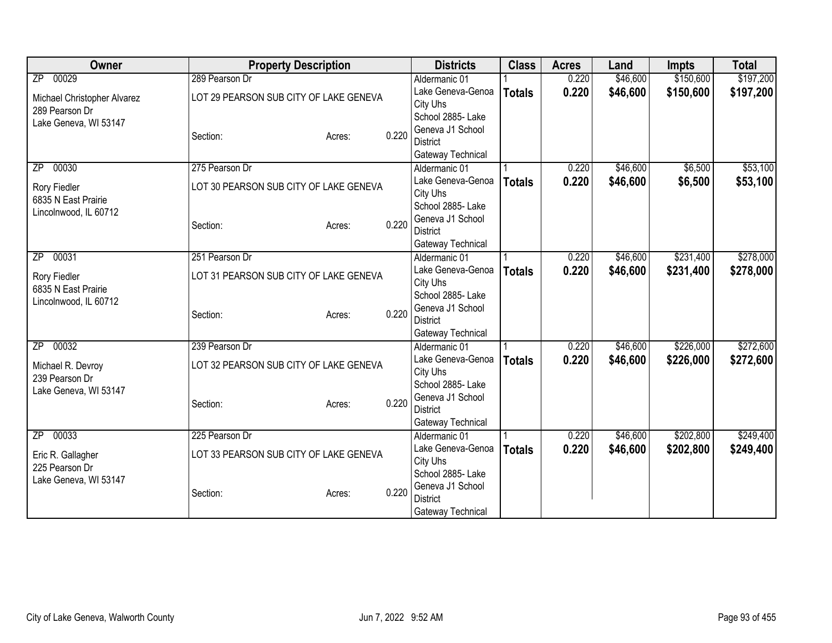| Owner                               | <b>Property Description</b>            |        |       | <b>Districts</b>                   | <b>Class</b>  | <b>Acres</b> | Land     | <b>Impts</b> | <b>Total</b> |
|-------------------------------------|----------------------------------------|--------|-------|------------------------------------|---------------|--------------|----------|--------------|--------------|
| 00029<br>$\overline{ZP}$            | 289 Pearson Dr                         |        |       | Aldermanic 01                      |               | 0.220        | \$46,600 | \$150,600    | \$197,200    |
| Michael Christopher Alvarez         | LOT 29 PEARSON SUB CITY OF LAKE GENEVA |        |       | Lake Geneva-Genoa                  | <b>Totals</b> | 0.220        | \$46,600 | \$150,600    | \$197,200    |
| 289 Pearson Dr                      |                                        |        |       | City Uhs                           |               |              |          |              |              |
| Lake Geneva, WI 53147               |                                        |        |       | School 2885- Lake                  |               |              |          |              |              |
|                                     | Section:                               | Acres: | 0.220 | Geneva J1 School                   |               |              |          |              |              |
|                                     |                                        |        |       | <b>District</b>                    |               |              |          |              |              |
|                                     |                                        |        |       | Gateway Technical                  |               |              |          |              |              |
| 00030<br>ΖP                         | 275 Pearson Dr                         |        |       | Aldermanic 01                      |               | 0.220        | \$46,600 | \$6,500      | \$53,100     |
| Rory Fiedler                        | LOT 30 PEARSON SUB CITY OF LAKE GENEVA |        |       | Lake Geneva-Genoa                  | <b>Totals</b> | 0.220        | \$46,600 | \$6,500      | \$53,100     |
| 6835 N East Prairie                 |                                        |        |       | City Uhs                           |               |              |          |              |              |
| Lincolnwood, IL 60712               |                                        |        |       | School 2885- Lake                  |               |              |          |              |              |
|                                     | Section:                               | Acres: | 0.220 | Geneva J1 School                   |               |              |          |              |              |
|                                     |                                        |        |       | <b>District</b>                    |               |              |          |              |              |
| 00031<br>ZP                         | 251 Pearson Dr                         |        |       | Gateway Technical<br>Aldermanic 01 |               | 0.220        | \$46,600 | \$231,400    | \$278,000    |
|                                     |                                        |        |       | Lake Geneva-Genoa                  |               |              |          |              |              |
| Rory Fiedler                        | LOT 31 PEARSON SUB CITY OF LAKE GENEVA |        |       | City Uhs                           | <b>Totals</b> | 0.220        | \$46,600 | \$231,400    | \$278,000    |
| 6835 N East Prairie                 |                                        |        |       | School 2885- Lake                  |               |              |          |              |              |
| Lincolnwood, IL 60712               |                                        |        |       | Geneva J1 School                   |               |              |          |              |              |
|                                     | Section:                               | Acres: | 0.220 | <b>District</b>                    |               |              |          |              |              |
|                                     |                                        |        |       | Gateway Technical                  |               |              |          |              |              |
| 00032<br>ZP                         | 239 Pearson Dr                         |        |       | Aldermanic 01                      |               | 0.220        | \$46,600 | \$226,000    | \$272,600    |
|                                     |                                        |        |       | Lake Geneva-Genoa                  | <b>Totals</b> | 0.220        | \$46,600 | \$226,000    | \$272,600    |
| Michael R. Devroy                   | LOT 32 PEARSON SUB CITY OF LAKE GENEVA |        |       | City Uhs                           |               |              |          |              |              |
| 239 Pearson Dr                      |                                        |        |       | School 2885- Lake                  |               |              |          |              |              |
| Lake Geneva, WI 53147               |                                        |        |       | Geneva J1 School                   |               |              |          |              |              |
|                                     | Section:                               | Acres: | 0.220 | <b>District</b>                    |               |              |          |              |              |
|                                     |                                        |        |       | Gateway Technical                  |               |              |          |              |              |
| 00033<br>$\overline{ZP}$            | 225 Pearson Dr                         |        |       | Aldermanic 01                      |               | 0.220        | \$46,600 | \$202,800    | \$249,400    |
|                                     | LOT 33 PEARSON SUB CITY OF LAKE GENEVA |        |       | Lake Geneva-Genoa                  | <b>Totals</b> | 0.220        | \$46,600 | \$202,800    | \$249,400    |
| Eric R. Gallagher<br>225 Pearson Dr |                                        |        |       | City Uhs                           |               |              |          |              |              |
| Lake Geneva, WI 53147               |                                        |        |       | School 2885- Lake                  |               |              |          |              |              |
|                                     | Section:                               | Acres: | 0.220 | Geneva J1 School                   |               |              |          |              |              |
|                                     |                                        |        |       | <b>District</b>                    |               |              |          |              |              |
|                                     |                                        |        |       | Gateway Technical                  |               |              |          |              |              |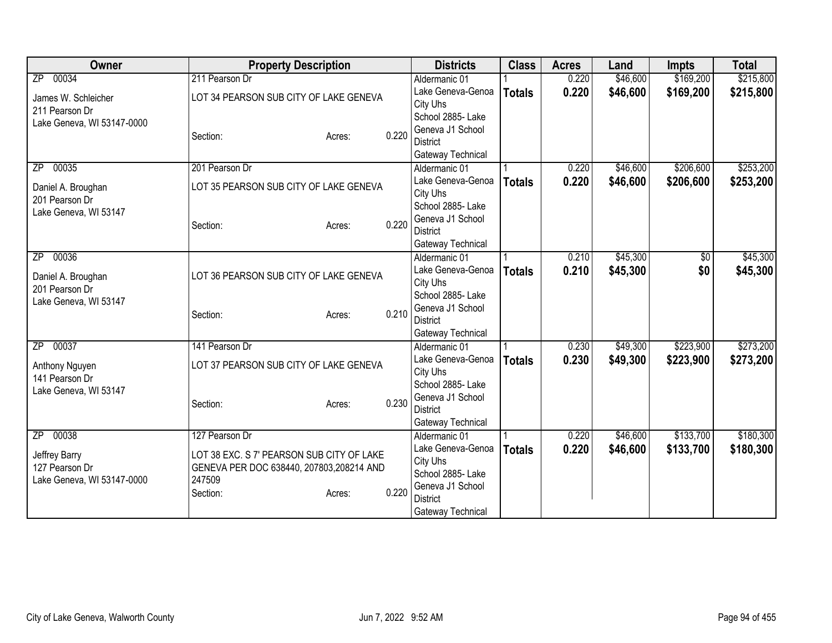| Owner                                | <b>Property Description</b>               |       | <b>Districts</b>                   | <b>Class</b>  | <b>Acres</b> | Land     | <b>Impts</b>    | <b>Total</b> |
|--------------------------------------|-------------------------------------------|-------|------------------------------------|---------------|--------------|----------|-----------------|--------------|
| 00034<br>$\overline{ZP}$             | 211 Pearson Dr                            |       | Aldermanic 01                      |               | 0.220        | \$46,600 | \$169,200       | \$215,800    |
| James W. Schleicher                  | LOT 34 PEARSON SUB CITY OF LAKE GENEVA    |       | Lake Geneva-Genoa                  | <b>Totals</b> | 0.220        | \$46,600 | \$169,200       | \$215,800    |
| 211 Pearson Dr                       |                                           |       | City Uhs                           |               |              |          |                 |              |
| Lake Geneva, WI 53147-0000           |                                           |       | School 2885- Lake                  |               |              |          |                 |              |
|                                      | Section:<br>Acres:                        | 0.220 | Geneva J1 School                   |               |              |          |                 |              |
|                                      |                                           |       | <b>District</b>                    |               |              |          |                 |              |
| 00035<br>ZP                          | 201 Pearson Dr                            |       | Gateway Technical                  |               | 0.220        | \$46,600 | \$206,600       | \$253,200    |
|                                      |                                           |       | Aldermanic 01<br>Lake Geneva-Genoa |               | 0.220        | \$46,600 | \$206,600       |              |
| Daniel A. Broughan                   | LOT 35 PEARSON SUB CITY OF LAKE GENEVA    |       | City Uhs                           | <b>Totals</b> |              |          |                 | \$253,200    |
| 201 Pearson Dr                       |                                           |       | School 2885- Lake                  |               |              |          |                 |              |
| Lake Geneva, WI 53147                |                                           |       | Geneva J1 School                   |               |              |          |                 |              |
|                                      | Section:<br>Acres:                        | 0.220 | <b>District</b>                    |               |              |          |                 |              |
|                                      |                                           |       | Gateway Technical                  |               |              |          |                 |              |
| 00036<br>ZP                          |                                           |       | Aldermanic 01                      |               | 0.210        | \$45,300 | $\overline{50}$ | \$45,300     |
|                                      |                                           |       | Lake Geneva-Genoa                  | <b>Totals</b> | 0.210        | \$45,300 | \$0             | \$45,300     |
| Daniel A. Broughan<br>201 Pearson Dr | LOT 36 PEARSON SUB CITY OF LAKE GENEVA    |       | City Uhs                           |               |              |          |                 |              |
| Lake Geneva, WI 53147                |                                           |       | School 2885- Lake                  |               |              |          |                 |              |
|                                      | Section:<br>Acres:                        | 0.210 | Geneva J1 School                   |               |              |          |                 |              |
|                                      |                                           |       | <b>District</b>                    |               |              |          |                 |              |
|                                      |                                           |       | Gateway Technical                  |               |              |          |                 |              |
| 00037<br>$\overline{ZP}$             | 141 Pearson Dr                            |       | Aldermanic 01                      |               | 0.230        | \$49,300 | \$223,900       | \$273,200    |
| Anthony Nguyen                       | LOT 37 PEARSON SUB CITY OF LAKE GENEVA    |       | Lake Geneva-Genoa                  | <b>Totals</b> | 0.230        | \$49,300 | \$223,900       | \$273,200    |
| 141 Pearson Dr                       |                                           |       | City Uhs<br>School 2885- Lake      |               |              |          |                 |              |
| Lake Geneva, WI 53147                |                                           |       | Geneva J1 School                   |               |              |          |                 |              |
|                                      | Section:<br>Acres:                        | 0.230 | <b>District</b>                    |               |              |          |                 |              |
|                                      |                                           |       | Gateway Technical                  |               |              |          |                 |              |
| 00038<br>$\overline{ZP}$             | 127 Pearson Dr                            |       | Aldermanic 01                      |               | 0.220        | \$46,600 | \$133,700       | \$180,300    |
|                                      |                                           |       | Lake Geneva-Genoa                  | <b>Totals</b> | 0.220        | \$46,600 | \$133,700       | \$180,300    |
| Jeffrey Barry                        | LOT 38 EXC. S 7' PEARSON SUB CITY OF LAKE |       | City Uhs                           |               |              |          |                 |              |
| 127 Pearson Dr                       | GENEVA PER DOC 638440, 207803,208214 AND  |       | School 2885- Lake                  |               |              |          |                 |              |
| Lake Geneva, WI 53147-0000           | 247509                                    | 0.220 | Geneva J1 School                   |               |              |          |                 |              |
|                                      | Section:<br>Acres:                        |       | <b>District</b>                    |               |              |          |                 |              |
|                                      |                                           |       | Gateway Technical                  |               |              |          |                 |              |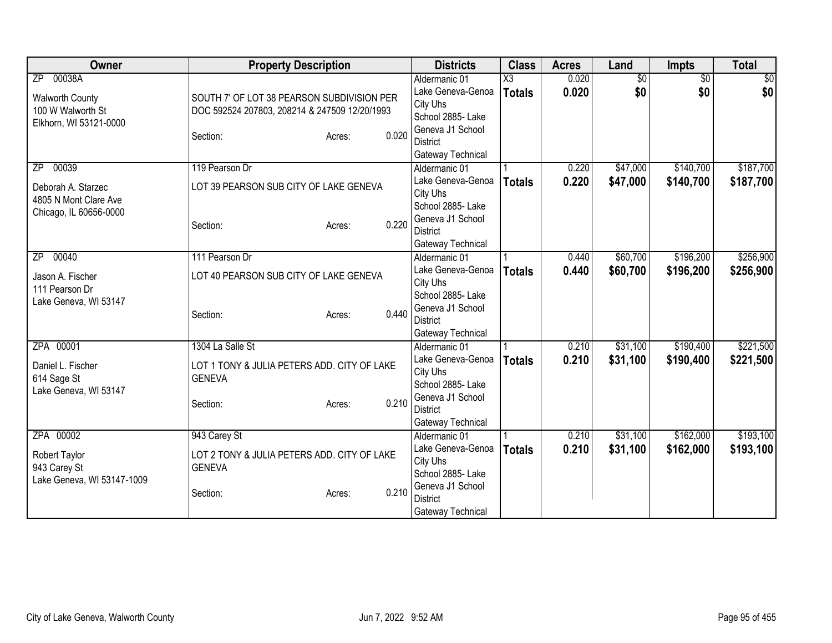| <b>Owner</b>               | <b>Property Description</b>                   |       | <b>Districts</b>              | <b>Class</b>           | <b>Acres</b> | Land            | Impts           | <b>Total</b>   |
|----------------------------|-----------------------------------------------|-------|-------------------------------|------------------------|--------------|-----------------|-----------------|----------------|
| ZP 00038A                  |                                               |       | Aldermanic 01                 | $\overline{\text{X3}}$ | 0.020        | $\overline{50}$ | $\overline{50}$ | $\frac{1}{20}$ |
| <b>Walworth County</b>     | SOUTH 7' OF LOT 38 PEARSON SUBDIVISION PER    |       | Lake Geneva-Genoa             | <b>Totals</b>          | 0.020        | \$0             | \$0             | \$0            |
| 100 W Walworth St          | DOC 592524 207803, 208214 & 247509 12/20/1993 |       | City Uhs                      |                        |              |                 |                 |                |
| Elkhorn, WI 53121-0000     |                                               |       | School 2885-Lake              |                        |              |                 |                 |                |
|                            | Section:<br>Acres:                            | 0.020 | Geneva J1 School              |                        |              |                 |                 |                |
|                            |                                               |       | <b>District</b>               |                        |              |                 |                 |                |
|                            |                                               |       | Gateway Technical             |                        |              |                 |                 |                |
| 00039<br>ZP.               | 119 Pearson Dr                                |       | Aldermanic 01                 |                        | 0.220        | \$47,000        | \$140,700       | \$187,700      |
| Deborah A. Starzec         | LOT 39 PEARSON SUB CITY OF LAKE GENEVA        |       | Lake Geneva-Genoa             | <b>Totals</b>          | 0.220        | \$47,000        | \$140,700       | \$187,700      |
| 4805 N Mont Clare Ave      |                                               |       | City Uhs                      |                        |              |                 |                 |                |
| Chicago, IL 60656-0000     |                                               |       | School 2885- Lake             |                        |              |                 |                 |                |
|                            | Section:<br>Acres:                            | 0.220 | Geneva J1 School              |                        |              |                 |                 |                |
|                            |                                               |       | <b>District</b>               |                        |              |                 |                 |                |
|                            |                                               |       | Gateway Technical             |                        |              |                 |                 |                |
| 00040<br>ZP.               | 111 Pearson Dr                                |       | Aldermanic 01                 |                        | 0.440        | \$60,700        | \$196,200       | \$256,900      |
| Jason A. Fischer           | LOT 40 PEARSON SUB CITY OF LAKE GENEVA        |       | Lake Geneva-Genoa             | <b>Totals</b>          | 0.440        | \$60,700        | \$196,200       | \$256,900      |
| 111 Pearson Dr             |                                               |       | City Uhs                      |                        |              |                 |                 |                |
| Lake Geneva, WI 53147      |                                               |       | School 2885- Lake             |                        |              |                 |                 |                |
|                            | Section:<br>Acres:                            | 0.440 | Geneva J1 School              |                        |              |                 |                 |                |
|                            |                                               |       | <b>District</b>               |                        |              |                 |                 |                |
|                            |                                               |       | Gateway Technical             |                        |              |                 |                 |                |
| ZPA 00001                  | 1304 La Salle St                              |       | Aldermanic 01                 |                        | 0.210        | \$31,100        | \$190,400       | \$221,500      |
| Daniel L. Fischer          | LOT 1 TONY & JULIA PETERS ADD. CITY OF LAKE   |       | Lake Geneva-Genoa             | <b>Totals</b>          | 0.210        | \$31,100        | \$190,400       | \$221,500      |
| 614 Sage St                | <b>GENEVA</b>                                 |       | City Uhs<br>School 2885- Lake |                        |              |                 |                 |                |
| Lake Geneva, WI 53147      |                                               |       | Geneva J1 School              |                        |              |                 |                 |                |
|                            | Section:<br>Acres:                            | 0.210 | <b>District</b>               |                        |              |                 |                 |                |
|                            |                                               |       | Gateway Technical             |                        |              |                 |                 |                |
| ZPA 00002                  | 943 Carey St                                  |       | Aldermanic 01                 |                        | 0.210        | \$31,100        | \$162,000       | \$193,100      |
|                            |                                               |       | Lake Geneva-Genoa             |                        | 0.210        | \$31,100        |                 |                |
| Robert Taylor              | LOT 2 TONY & JULIA PETERS ADD. CITY OF LAKE   |       | City Uhs                      | <b>Totals</b>          |              |                 | \$162,000       | \$193,100      |
| 943 Carey St               | <b>GENEVA</b>                                 |       | School 2885-Lake              |                        |              |                 |                 |                |
| Lake Geneva, WI 53147-1009 |                                               |       | Geneva J1 School              |                        |              |                 |                 |                |
|                            | Section:<br>Acres:                            | 0.210 | <b>District</b>               |                        |              |                 |                 |                |
|                            |                                               |       | Gateway Technical             |                        |              |                 |                 |                |
|                            |                                               |       |                               |                        |              |                 |                 |                |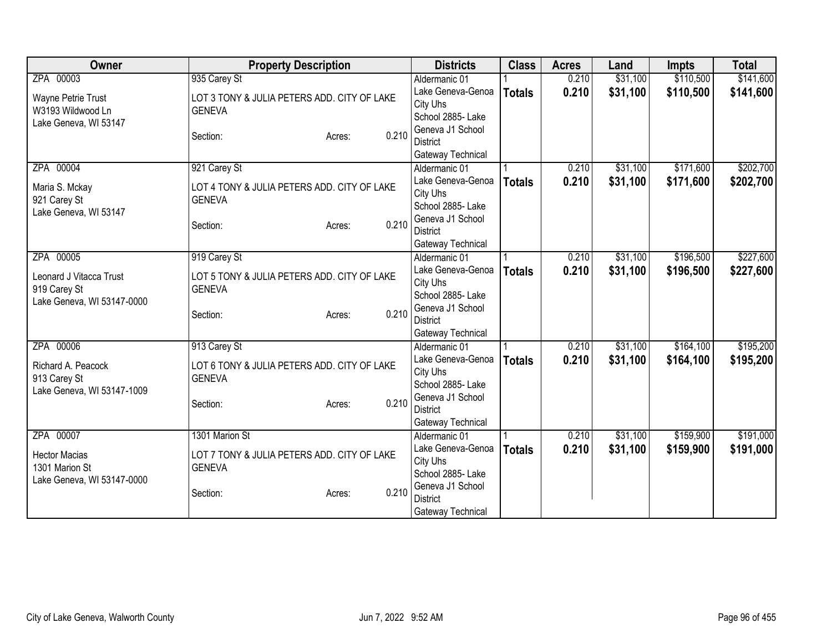| Owner                                   | <b>Property Description</b>                                  | <b>Districts</b>                   | <b>Class</b>  | <b>Acres</b> | Land     | <b>Impts</b> | <b>Total</b> |
|-----------------------------------------|--------------------------------------------------------------|------------------------------------|---------------|--------------|----------|--------------|--------------|
| ZPA 00003                               | 935 Carey St                                                 | Aldermanic 01                      |               | 0.210        | \$31,100 | \$110,500    | \$141,600    |
| Wayne Petrie Trust                      | LOT 3 TONY & JULIA PETERS ADD. CITY OF LAKE                  | Lake Geneva-Genoa                  | <b>Totals</b> | 0.210        | \$31,100 | \$110,500    | \$141,600    |
| W3193 Wildwood Ln                       | <b>GENEVA</b>                                                | City Uhs                           |               |              |          |              |              |
| Lake Geneva, WI 53147                   |                                                              | School 2885- Lake                  |               |              |          |              |              |
|                                         | 0.210<br>Section:<br>Acres:                                  | Geneva J1 School                   |               |              |          |              |              |
|                                         |                                                              | <b>District</b>                    |               |              |          |              |              |
| ZPA 00004                               | 921 Carey St                                                 | Gateway Technical<br>Aldermanic 01 |               | 0.210        | \$31,100 | \$171,600    | \$202,700    |
|                                         |                                                              | Lake Geneva-Genoa                  |               | 0.210        | \$31,100 | \$171,600    |              |
| Maria S. Mckay                          | LOT 4 TONY & JULIA PETERS ADD. CITY OF LAKE                  | City Uhs                           | <b>Totals</b> |              |          |              | \$202,700    |
| 921 Carey St                            | <b>GENEVA</b>                                                | School 2885- Lake                  |               |              |          |              |              |
| Lake Geneva, WI 53147                   |                                                              | Geneva J1 School                   |               |              |          |              |              |
|                                         | 0.210<br>Section:<br>Acres:                                  | <b>District</b>                    |               |              |          |              |              |
|                                         |                                                              | Gateway Technical                  |               |              |          |              |              |
| ZPA 00005                               | 919 Carey St                                                 | Aldermanic 01                      |               | 0.210        | \$31,100 | \$196,500    | \$227,600    |
|                                         |                                                              | Lake Geneva-Genoa                  | <b>Totals</b> | 0.210        | \$31,100 | \$196,500    | \$227,600    |
| Leonard J Vitacca Trust<br>919 Carey St | LOT 5 TONY & JULIA PETERS ADD. CITY OF LAKE<br><b>GENEVA</b> | City Uhs                           |               |              |          |              |              |
| Lake Geneva, WI 53147-0000              |                                                              | School 2885- Lake                  |               |              |          |              |              |
|                                         | 0.210<br>Section:<br>Acres:                                  | Geneva J1 School                   |               |              |          |              |              |
|                                         |                                                              | <b>District</b>                    |               |              |          |              |              |
|                                         |                                                              | Gateway Technical                  |               |              |          |              |              |
| ZPA 00006                               | 913 Carey St                                                 | Aldermanic 01                      |               | 0.210        | \$31,100 | \$164,100    | \$195,200    |
| Richard A. Peacock                      | LOT 6 TONY & JULIA PETERS ADD. CITY OF LAKE                  | Lake Geneva-Genoa                  | <b>Totals</b> | 0.210        | \$31,100 | \$164,100    | \$195,200    |
| 913 Carey St                            | <b>GENEVA</b>                                                | City Uhs<br>School 2885-Lake       |               |              |          |              |              |
| Lake Geneva, WI 53147-1009              |                                                              | Geneva J1 School                   |               |              |          |              |              |
|                                         | 0.210<br>Section:<br>Acres:                                  | <b>District</b>                    |               |              |          |              |              |
|                                         |                                                              | Gateway Technical                  |               |              |          |              |              |
| ZPA 00007                               | 1301 Marion St                                               | Aldermanic 01                      |               | 0.210        | \$31,100 | \$159,900    | \$191,000    |
|                                         |                                                              | Lake Geneva-Genoa                  | <b>Totals</b> | 0.210        | \$31,100 | \$159,900    | \$191,000    |
| <b>Hector Macias</b>                    | LOT 7 TONY & JULIA PETERS ADD. CITY OF LAKE                  | City Uhs                           |               |              |          |              |              |
| 1301 Marion St                          | <b>GENEVA</b>                                                | School 2885-Lake                   |               |              |          |              |              |
| Lake Geneva, WI 53147-0000              | 0.210                                                        | Geneva J1 School                   |               |              |          |              |              |
|                                         | Section:<br>Acres:                                           | <b>District</b>                    |               |              |          |              |              |
|                                         |                                                              | Gateway Technical                  |               |              |          |              |              |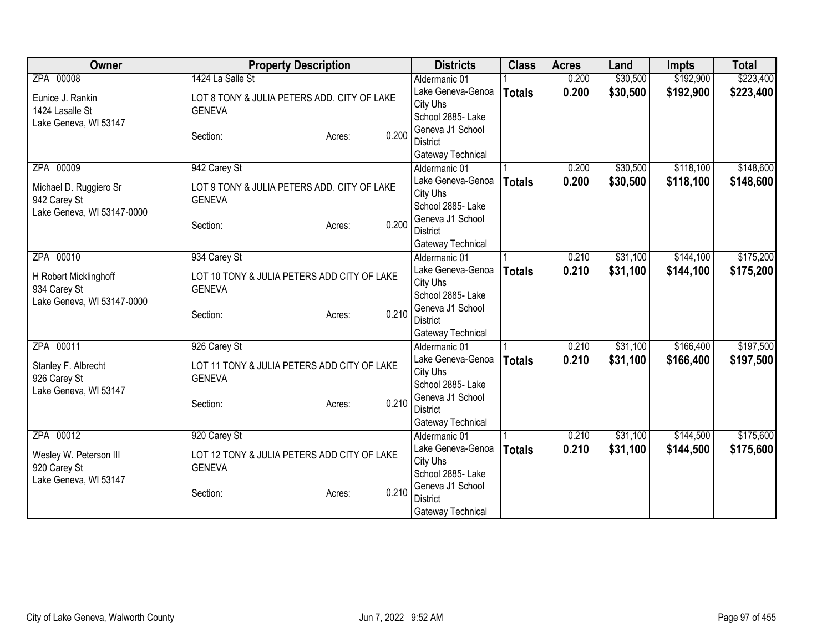| Owner                      | <b>Property Description</b>                 | <b>Districts</b>  | <b>Class</b>  | <b>Acres</b> | Land     | <b>Impts</b> | <b>Total</b> |
|----------------------------|---------------------------------------------|-------------------|---------------|--------------|----------|--------------|--------------|
| ZPA 00008                  | 1424 La Salle St                            | Aldermanic 01     |               | 0.200        | \$30,500 | \$192,900    | \$223,400    |
| Eunice J. Rankin           | LOT 8 TONY & JULIA PETERS ADD. CITY OF LAKE | Lake Geneva-Genoa | <b>Totals</b> | 0.200        | \$30,500 | \$192,900    | \$223,400    |
| 1424 Lasalle St            | <b>GENEVA</b>                               | City Uhs          |               |              |          |              |              |
| Lake Geneva, WI 53147      |                                             | School 2885- Lake |               |              |          |              |              |
|                            | 0.200<br>Section:<br>Acres:                 | Geneva J1 School  |               |              |          |              |              |
|                            |                                             | <b>District</b>   |               |              |          |              |              |
|                            |                                             | Gateway Technical |               |              |          |              |              |
| ZPA 00009                  | 942 Carey St                                | Aldermanic 01     |               | 0.200        | \$30,500 | \$118,100    | \$148,600    |
| Michael D. Ruggiero Sr     | LOT 9 TONY & JULIA PETERS ADD. CITY OF LAKE | Lake Geneva-Genoa | <b>Totals</b> | 0.200        | \$30,500 | \$118,100    | \$148,600    |
| 942 Carey St               | <b>GENEVA</b>                               | City Uhs          |               |              |          |              |              |
| Lake Geneva, WI 53147-0000 |                                             | School 2885- Lake |               |              |          |              |              |
|                            | 0.200<br>Section:<br>Acres:                 | Geneva J1 School  |               |              |          |              |              |
|                            |                                             | <b>District</b>   |               |              |          |              |              |
|                            |                                             | Gateway Technical |               |              |          |              |              |
| ZPA 00010                  | 934 Carey St                                | Aldermanic 01     |               | 0.210        | \$31,100 | \$144,100    | \$175,200    |
| H Robert Micklinghoff      | LOT 10 TONY & JULIA PETERS ADD CITY OF LAKE | Lake Geneva-Genoa | <b>Totals</b> | 0.210        | \$31,100 | \$144,100    | \$175,200    |
| 934 Carey St               | <b>GENEVA</b>                               | City Uhs          |               |              |          |              |              |
| Lake Geneva, WI 53147-0000 |                                             | School 2885- Lake |               |              |          |              |              |
|                            | 0.210<br>Section:<br>Acres:                 | Geneva J1 School  |               |              |          |              |              |
|                            |                                             | <b>District</b>   |               |              |          |              |              |
|                            |                                             | Gateway Technical |               |              |          |              |              |
| ZPA 00011                  | 926 Carey St                                | Aldermanic 01     |               | 0.210        | \$31,100 | \$166,400    | \$197,500    |
| Stanley F. Albrecht        | LOT 11 TONY & JULIA PETERS ADD CITY OF LAKE | Lake Geneva-Genoa | <b>Totals</b> | 0.210        | \$31,100 | \$166,400    | \$197,500    |
| 926 Carey St               | <b>GENEVA</b>                               | City Uhs          |               |              |          |              |              |
| Lake Geneva, WI 53147      |                                             | School 2885-Lake  |               |              |          |              |              |
|                            | 0.210<br>Section:<br>Acres:                 | Geneva J1 School  |               |              |          |              |              |
|                            |                                             | <b>District</b>   |               |              |          |              |              |
|                            |                                             | Gateway Technical |               |              |          |              |              |
| ZPA 00012                  | 920 Carey St                                | Aldermanic 01     |               | 0.210        | \$31,100 | \$144,500    | \$175,600    |
| Wesley W. Peterson III     | LOT 12 TONY & JULIA PETERS ADD CITY OF LAKE | Lake Geneva-Genoa | <b>Totals</b> | 0.210        | \$31,100 | \$144,500    | \$175,600    |
| 920 Carey St               | <b>GENEVA</b>                               | City Uhs          |               |              |          |              |              |
| Lake Geneva, WI 53147      |                                             | School 2885- Lake |               |              |          |              |              |
|                            | 0.210<br>Section:<br>Acres:                 | Geneva J1 School  |               |              |          |              |              |
|                            |                                             | <b>District</b>   |               |              |          |              |              |
|                            |                                             | Gateway Technical |               |              |          |              |              |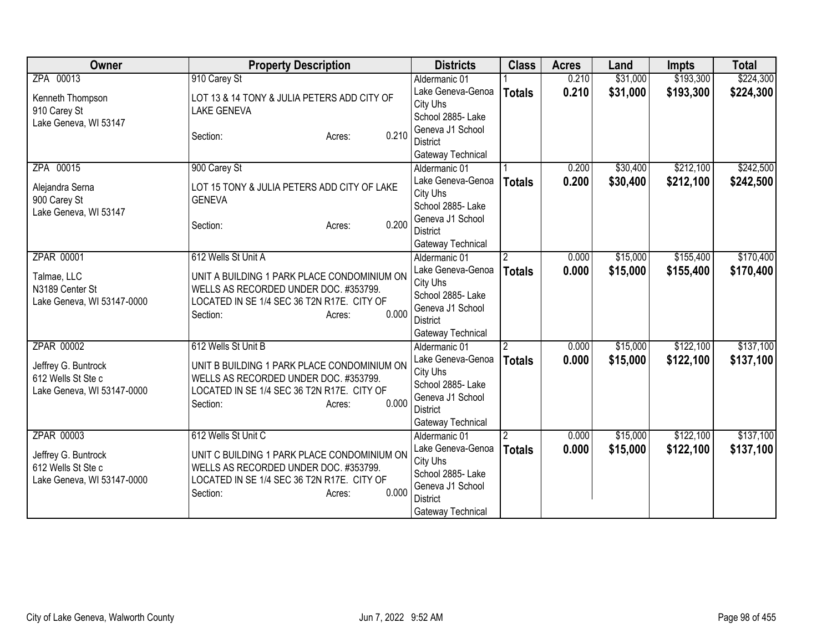| Owner                                                                   | <b>Property Description</b>                                                                                                                                       | <b>Districts</b>                                                                                               | <b>Class</b>   | <b>Acres</b> | Land     | <b>Impts</b> | <b>Total</b> |
|-------------------------------------------------------------------------|-------------------------------------------------------------------------------------------------------------------------------------------------------------------|----------------------------------------------------------------------------------------------------------------|----------------|--------------|----------|--------------|--------------|
| ZPA 00013                                                               | 910 Carey St                                                                                                                                                      | Aldermanic 01                                                                                                  |                | 0.210        | \$31,000 | \$193,300    | \$224,300    |
| Kenneth Thompson<br>910 Carey St<br>Lake Geneva, WI 53147               | LOT 13 & 14 TONY & JULIA PETERS ADD CITY OF<br><b>LAKE GENEVA</b>                                                                                                 | Lake Geneva-Genoa<br>City Uhs<br>School 2885- Lake                                                             | <b>Totals</b>  | 0.210        | \$31,000 | \$193,300    | \$224,300    |
|                                                                         | 0.210<br>Section:<br>Acres:                                                                                                                                       | Geneva J1 School<br>District<br>Gateway Technical                                                              |                |              |          |              |              |
| ZPA 00015                                                               | 900 Carey St                                                                                                                                                      | Aldermanic 01                                                                                                  |                | 0.200        | \$30,400 | \$212,100    | \$242,500    |
| Alejandra Serna<br>900 Carey St<br>Lake Geneva, WI 53147                | LOT 15 TONY & JULIA PETERS ADD CITY OF LAKE<br><b>GENEVA</b><br>0.200<br>Section:<br>Acres:                                                                       | Lake Geneva-Genoa<br>City Uhs<br>School 2885- Lake<br>Geneva J1 School                                         | <b>Totals</b>  | 0.200        | \$30,400 | \$212,100    | \$242,500    |
|                                                                         |                                                                                                                                                                   | <b>District</b><br>Gateway Technical                                                                           |                |              |          |              |              |
| ZPAR 00001                                                              | 612 Wells St Unit A                                                                                                                                               | Aldermanic 01                                                                                                  | $\overline{2}$ | 0.000        | \$15,000 | \$155,400    | \$170,400    |
| Talmae, LLC<br>N3189 Center St<br>Lake Geneva, WI 53147-0000            | UNIT A BUILDING 1 PARK PLACE CONDOMINIUM ON<br>WELLS AS RECORDED UNDER DOC. #353799.<br>LOCATED IN SE 1/4 SEC 36 T2N R17E. CITY OF<br>0.000<br>Section:<br>Acres: | Lake Geneva-Genoa<br>City Uhs<br>School 2885- Lake<br>Geneva J1 School<br><b>District</b><br>Gateway Technical | <b>Totals</b>  | 0.000        | \$15,000 | \$155,400    | \$170,400    |
| ZPAR 00002                                                              | 612 Wells St Unit B                                                                                                                                               | Aldermanic 01                                                                                                  | $\overline{2}$ | 0.000        | \$15,000 | \$122,100    | \$137,100    |
| Jeffrey G. Buntrock<br>612 Wells St Ste c<br>Lake Geneva, WI 53147-0000 | UNIT B BUILDING 1 PARK PLACE CONDOMINIUM ON<br>WELLS AS RECORDED UNDER DOC. #353799.<br>LOCATED IN SE 1/4 SEC 36 T2N R17E. CITY OF<br>0.000<br>Section:<br>Acres: | Lake Geneva-Genoa<br>City Uhs<br>School 2885- Lake<br>Geneva J1 School<br><b>District</b><br>Gateway Technical | <b>Totals</b>  | 0.000        | \$15,000 | \$122,100    | \$137,100    |
| ZPAR 00003                                                              | 612 Wells St Unit C                                                                                                                                               | Aldermanic 01                                                                                                  |                | 0.000        | \$15,000 | \$122,100    | \$137,100    |
| Jeffrey G. Buntrock<br>612 Wells St Ste c<br>Lake Geneva, WI 53147-0000 | UNIT C BUILDING 1 PARK PLACE CONDOMINIUM ON<br>WELLS AS RECORDED UNDER DOC. #353799.<br>LOCATED IN SE 1/4 SEC 36 T2N R17E. CITY OF<br>0.000<br>Section:<br>Acres: | Lake Geneva-Genoa<br>City Uhs<br>School 2885- Lake<br>Geneva J1 School<br><b>District</b><br>Gateway Technical | <b>Totals</b>  | 0.000        | \$15,000 | \$122,100    | \$137,100    |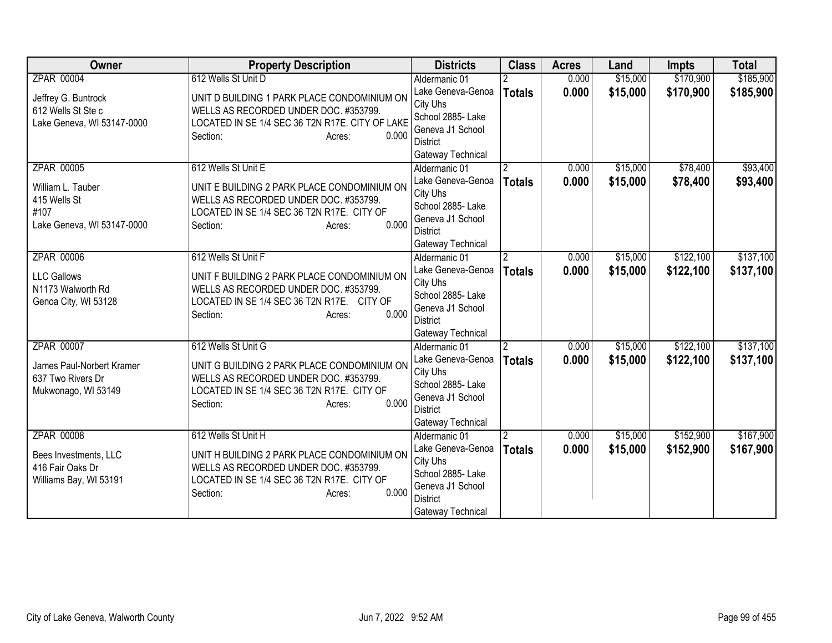| Owner                                                                   | <b>Property Description</b>                                                                                                                                            | <b>Districts</b>                                                                                               | <b>Class</b>   | <b>Acres</b> | Land     | <b>Impts</b> | <b>Total</b> |
|-------------------------------------------------------------------------|------------------------------------------------------------------------------------------------------------------------------------------------------------------------|----------------------------------------------------------------------------------------------------------------|----------------|--------------|----------|--------------|--------------|
| <b>ZPAR 00004</b>                                                       | 612 Wells St Unit D                                                                                                                                                    | Aldermanic 01                                                                                                  |                | 0.000        | \$15,000 | \$170,900    | \$185,900    |
| Jeffrey G. Buntrock<br>612 Wells St Ste c<br>Lake Geneva, WI 53147-0000 | UNIT D BUILDING 1 PARK PLACE CONDOMINIUM ON<br>WELLS AS RECORDED UNDER DOC. #353799.<br>LOCATED IN SE 1/4 SEC 36 T2N R17E. CITY OF LAKE<br>0.000<br>Section:<br>Acres: | Lake Geneva-Genoa<br>City Uhs<br>School 2885- Lake<br>Geneva J1 School<br><b>District</b>                      | <b>Totals</b>  | 0.000        | \$15,000 | \$170,900    | \$185,900    |
| <b>ZPAR 00005</b>                                                       | 612 Wells St Unit E                                                                                                                                                    | Gateway Technical<br>Aldermanic 01                                                                             | $\overline{2}$ | 0.000        | \$15,000 | \$78,400     | \$93,400     |
| William L. Tauber<br>415 Wells St<br>#107<br>Lake Geneva, WI 53147-0000 | UNIT E BUILDING 2 PARK PLACE CONDOMINIUM ON<br>WELLS AS RECORDED UNDER DOC. #353799.<br>LOCATED IN SE 1/4 SEC 36 T2N R17E. CITY OF<br>0.000<br>Section:<br>Acres:      | Lake Geneva-Genoa<br>City Uhs<br>School 2885- Lake<br>Geneva J1 School<br><b>District</b><br>Gateway Technical | <b>Totals</b>  | 0.000        | \$15,000 | \$78,400     | \$93,400     |
| <b>ZPAR 00006</b>                                                       | 612 Wells St Unit F                                                                                                                                                    | Aldermanic 01                                                                                                  | $\mathfrak{p}$ | 0.000        | \$15,000 | \$122,100    | \$137,100    |
| <b>LLC Gallows</b><br>N1173 Walworth Rd<br>Genoa City, WI 53128         | UNIT F BUILDING 2 PARK PLACE CONDOMINIUM ON<br>WELLS AS RECORDED UNDER DOC. #353799.<br>LOCATED IN SE 1/4 SEC 36 T2N R17E. CITY OF<br>0.000<br>Section:<br>Acres:      | Lake Geneva-Genoa<br>City Uhs<br>School 2885- Lake<br>Geneva J1 School<br><b>District</b><br>Gateway Technical | <b>Totals</b>  | 0.000        | \$15,000 | \$122,100    | \$137,100    |
| ZPAR 00007                                                              | 612 Wells St Unit G                                                                                                                                                    | Aldermanic 01                                                                                                  | $\overline{2}$ | 0.000        | \$15,000 | \$122,100    | \$137,100    |
| James Paul-Norbert Kramer<br>637 Two Rivers Dr<br>Mukwonago, WI 53149   | UNIT G BUILDING 2 PARK PLACE CONDOMINIUM ON<br>WELLS AS RECORDED UNDER DOC. #353799.<br>LOCATED IN SE 1/4 SEC 36 T2N R17E. CITY OF<br>0.000<br>Section:<br>Acres:      | Lake Geneva-Genoa<br>City Uhs<br>School 2885- Lake<br>Geneva J1 School<br><b>District</b><br>Gateway Technical | <b>Totals</b>  | 0.000        | \$15,000 | \$122,100    | \$137,100    |
| <b>ZPAR 00008</b>                                                       | 612 Wells St Unit H                                                                                                                                                    | Aldermanic 01                                                                                                  |                | 0.000        | \$15,000 | \$152,900    | \$167,900    |
| Bees Investments, LLC<br>416 Fair Oaks Dr<br>Williams Bay, WI 53191     | UNIT H BUILDING 2 PARK PLACE CONDOMINIUM ON<br>WELLS AS RECORDED UNDER DOC. #353799.<br>LOCATED IN SE 1/4 SEC 36 T2N R17E. CITY OF<br>0.000<br>Section:<br>Acres:      | Lake Geneva-Genoa<br>City Uhs<br>School 2885- Lake<br>Geneva J1 School<br><b>District</b><br>Gateway Technical | <b>Totals</b>  | 0.000        | \$15,000 | \$152,900    | \$167,900    |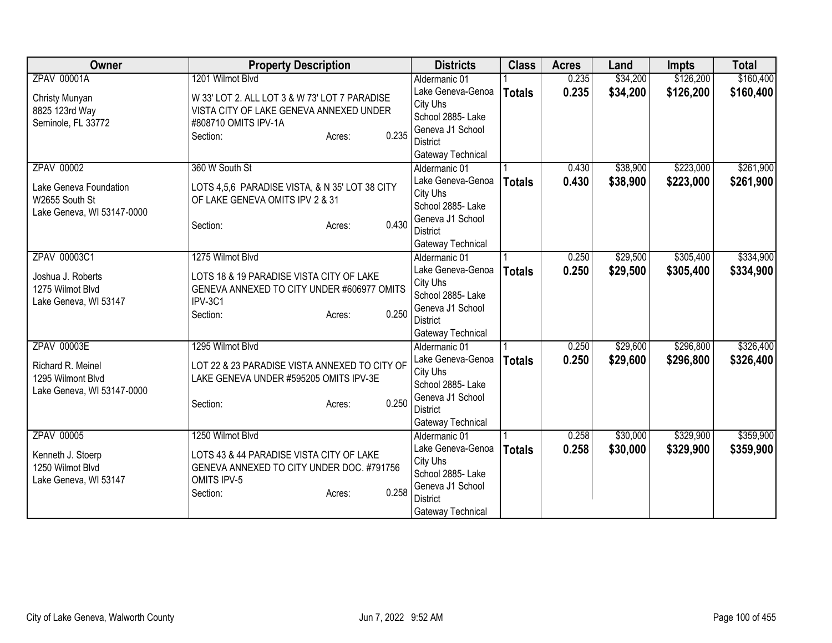| Owner                      | <b>Property Description</b>                    | <b>Districts</b>  | <b>Class</b>  | <b>Acres</b> | Land     | <b>Impts</b> | <b>Total</b> |
|----------------------------|------------------------------------------------|-------------------|---------------|--------------|----------|--------------|--------------|
| <b>ZPAV 00001A</b>         | 1201 Wilmot Blvd                               | Aldermanic 01     |               | 0.235        | \$34,200 | \$126,200    | \$160,400    |
| Christy Munyan             | W 33' LOT 2. ALL LOT 3 & W 73' LOT 7 PARADISE  | Lake Geneva-Genoa | <b>Totals</b> | 0.235        | \$34,200 | \$126,200    | \$160,400    |
| 8825 123rd Way             | VISTA CITY OF LAKE GENEVA ANNEXED UNDER        | City Uhs          |               |              |          |              |              |
| Seminole, FL 33772         | #808710 OMITS IPV-1A                           | School 2885- Lake |               |              |          |              |              |
|                            | 0.235<br>Section:<br>Acres:                    | Geneva J1 School  |               |              |          |              |              |
|                            |                                                | <b>District</b>   |               |              |          |              |              |
|                            |                                                | Gateway Technical |               |              |          |              |              |
| <b>ZPAV 00002</b>          | 360 W South St                                 | Aldermanic 01     |               | 0.430        | \$38,900 | \$223,000    | \$261,900    |
| Lake Geneva Foundation     | LOTS 4,5,6 PARADISE VISTA, & N 35' LOT 38 CITY | Lake Geneva-Genoa | <b>Totals</b> | 0.430        | \$38,900 | \$223,000    | \$261,900    |
| W2655 South St             | OF LAKE GENEVA OMITS IPV 2 & 31                | City Uhs          |               |              |          |              |              |
| Lake Geneva, WI 53147-0000 |                                                | School 2885- Lake |               |              |          |              |              |
|                            | 0.430<br>Section:<br>Acres:                    | Geneva J1 School  |               |              |          |              |              |
|                            |                                                | <b>District</b>   |               |              |          |              |              |
|                            |                                                | Gateway Technical |               |              |          |              |              |
| ZPAV 00003C1               | 1275 Wilmot Blvd                               | Aldermanic 01     |               | 0.250        | \$29,500 | \$305,400    | \$334,900    |
| Joshua J. Roberts          | LOTS 18 & 19 PARADISE VISTA CITY OF LAKE       | Lake Geneva-Genoa | <b>Totals</b> | 0.250        | \$29,500 | \$305,400    | \$334,900    |
| 1275 Wilmot Blvd           | GENEVA ANNEXED TO CITY UNDER #606977 OMITS     | City Uhs          |               |              |          |              |              |
| Lake Geneva, WI 53147      | IPV-3C1                                        | School 2885- Lake |               |              |          |              |              |
|                            | 0.250<br>Section:<br>Acres:                    | Geneva J1 School  |               |              |          |              |              |
|                            |                                                | <b>District</b>   |               |              |          |              |              |
|                            |                                                | Gateway Technical |               |              |          |              |              |
| <b>ZPAV 00003E</b>         | 1295 Wilmot Blvd                               | Aldermanic 01     |               | 0.250        | \$29,600 | \$296,800    | \$326,400    |
| Richard R. Meinel          | LOT 22 & 23 PARADISE VISTA ANNEXED TO CITY OF  | Lake Geneva-Genoa | <b>Totals</b> | 0.250        | \$29,600 | \$296,800    | \$326,400    |
| 1295 Wilmont Blvd          | LAKE GENEVA UNDER #595205 OMITS IPV-3E         | City Uhs          |               |              |          |              |              |
| Lake Geneva, WI 53147-0000 |                                                | School 2885- Lake |               |              |          |              |              |
|                            | 0.250<br>Section:<br>Acres:                    | Geneva J1 School  |               |              |          |              |              |
|                            |                                                | <b>District</b>   |               |              |          |              |              |
|                            |                                                | Gateway Technical |               |              |          |              |              |
| ZPAV 00005                 | 1250 Wilmot Blvd                               | Aldermanic 01     |               | 0.258        | \$30,000 | \$329,900    | \$359,900    |
| Kenneth J. Stoerp          | LOTS 43 & 44 PARADISE VISTA CITY OF LAKE       | Lake Geneva-Genoa | <b>Totals</b> | 0.258        | \$30,000 | \$329,900    | \$359,900    |
| 1250 Wilmot Blvd           | GENEVA ANNEXED TO CITY UNDER DOC. #791756      | City Uhs          |               |              |          |              |              |
| Lake Geneva, WI 53147      | OMITS IPV-5                                    | School 2885- Lake |               |              |          |              |              |
|                            | 0.258<br>Section:<br>Acres:                    | Geneva J1 School  |               |              |          |              |              |
|                            |                                                | <b>District</b>   |               |              |          |              |              |
|                            |                                                | Gateway Technical |               |              |          |              |              |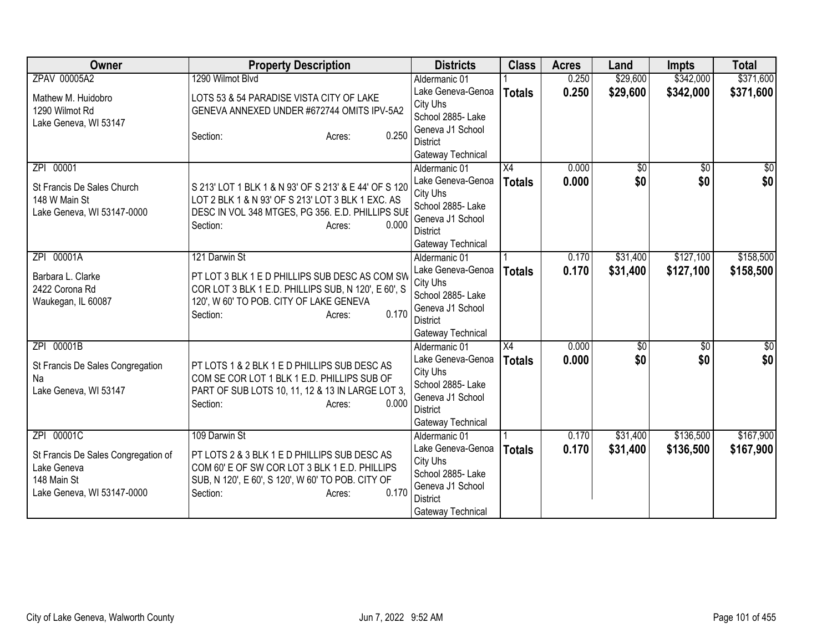| Owner                                                                                                         | <b>Property Description</b>                                                                                                                                                                        | <b>Districts</b>                                                                                                                | <b>Class</b>        | <b>Acres</b>   | Land                 | <b>Impts</b>           | <b>Total</b>           |
|---------------------------------------------------------------------------------------------------------------|----------------------------------------------------------------------------------------------------------------------------------------------------------------------------------------------------|---------------------------------------------------------------------------------------------------------------------------------|---------------------|----------------|----------------------|------------------------|------------------------|
| ZPAV 00005A2                                                                                                  | 1290 Wilmot Blvd                                                                                                                                                                                   | Aldermanic 01                                                                                                                   |                     | 0.250          | \$29,600             | \$342,000              | \$371,600              |
| Mathew M. Huidobro<br>1290 Wilmot Rd<br>Lake Geneva, WI 53147                                                 | LOTS 53 & 54 PARADISE VISTA CITY OF LAKE<br>GENEVA ANNEXED UNDER #672744 OMITS IPV-5A2<br>0.250<br>Section:<br>Acres:                                                                              | Lake Geneva-Genoa<br>City Uhs<br>School 2885- Lake<br>Geneva J1 School<br>District                                              | <b>Totals</b>       | 0.250          | \$29,600             | \$342,000              | \$371,600              |
|                                                                                                               |                                                                                                                                                                                                    | Gateway Technical                                                                                                               |                     |                |                      |                        |                        |
| ZPI 00001<br>St Francis De Sales Church<br>148 W Main St<br>Lake Geneva, WI 53147-0000                        | S 213' LOT 1 BLK 1 & N 93' OF S 213' & E 44' OF S 120<br>LOT 2 BLK 1 & N 93' OF S 213' LOT 3 BLK 1 EXC. AS<br>DESC IN VOL 348 MTGES, PG 356. E.D. PHILLIPS SUE<br>Section:<br>0.000<br>Acres:      | Aldermanic 01<br>Lake Geneva-Genoa<br>City Uhs<br>School 2885- Lake<br>Geneva J1 School<br><b>District</b><br>Gateway Technical | X4<br><b>Totals</b> | 0.000<br>0.000 | \$0<br>\$0           | $\overline{50}$<br>\$0 | $\overline{50}$<br>\$0 |
| ZPI 00001A<br>Barbara L. Clarke<br>2422 Corona Rd<br>Waukegan, IL 60087                                       | 121 Darwin St<br>PT LOT 3 BLK 1 E D PHILLIPS SUB DESC AS COM SW<br>COR LOT 3 BLK 1 E.D. PHILLIPS SUB, N 120', E 60', S<br>120', W 60' TO POB. CITY OF LAKE GENEVA<br>0.170<br>Section:<br>Acres:   | Aldermanic 01<br>Lake Geneva-Genoa<br>City Uhs<br>School 2885- Lake<br>Geneva J1 School<br><b>District</b><br>Gateway Technical | <b>Totals</b>       | 0.170<br>0.170 | \$31,400<br>\$31,400 | \$127,100<br>\$127,100 | \$158,500<br>\$158,500 |
| ZPI 00001B<br>St Francis De Sales Congregation<br>Na<br>Lake Geneva, WI 53147                                 | PT LOTS 1 & 2 BLK 1 E D PHILLIPS SUB DESC AS<br>COM SE COR LOT 1 BLK 1 E.D. PHILLIPS SUB OF<br>PART OF SUB LOTS 10, 11, 12 & 13 IN LARGE LOT 3,<br>Section:<br>0.000<br>Acres:                     | Aldermanic 01<br>Lake Geneva-Genoa<br>City Uhs<br>School 2885- Lake<br>Geneva J1 School<br><b>District</b><br>Gateway Technical | X4<br><b>Totals</b> | 0.000<br>0.000 | $\sqrt{50}$<br>\$0   | $\overline{50}$<br>\$0 | \$0<br>\$0             |
| ZPI 00001C<br>St Francis De Sales Congregation of<br>Lake Geneva<br>148 Main St<br>Lake Geneva, WI 53147-0000 | 109 Darwin St<br>PT LOTS 2 & 3 BLK 1 E D PHILLIPS SUB DESC AS<br>COM 60' E OF SW COR LOT 3 BLK 1 E.D. PHILLIPS<br>SUB, N 120', E 60', S 120', W 60' TO POB. CITY OF<br>0.170<br>Section:<br>Acres: | Aldermanic 01<br>Lake Geneva-Genoa<br>City Uhs<br>School 2885- Lake<br>Geneva J1 School<br><b>District</b><br>Gateway Technical | <b>Totals</b>       | 0.170<br>0.170 | \$31,400<br>\$31,400 | \$136,500<br>\$136,500 | \$167,900<br>\$167,900 |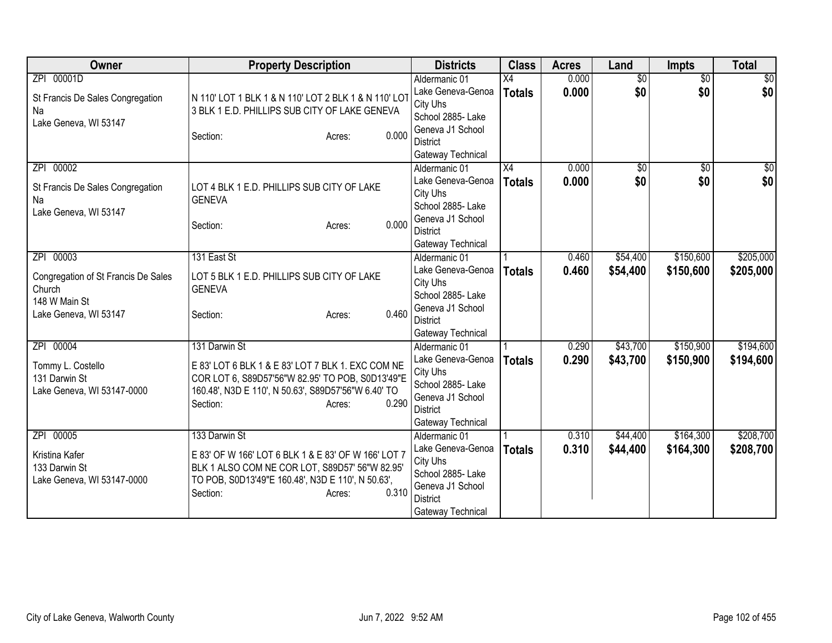| Owner                                                                                                | <b>Property Description</b>                                                                                                                                                                                  | <b>Districts</b>                                                                                                                                     | <b>Class</b>                     | <b>Acres</b>   | Land                   | <b>Impts</b>           | <b>Total</b>           |
|------------------------------------------------------------------------------------------------------|--------------------------------------------------------------------------------------------------------------------------------------------------------------------------------------------------------------|------------------------------------------------------------------------------------------------------------------------------------------------------|----------------------------------|----------------|------------------------|------------------------|------------------------|
| ZPI 00001D<br>St Francis De Sales Congregation<br>Na<br>Lake Geneva, WI 53147                        | N 110' LOT 1 BLK 1 & N 110' LOT 2 BLK 1 & N 110' LOT<br>3 BLK 1 E.D. PHILLIPS SUB CITY OF LAKE GENEVA<br>0.000<br>Section:<br>Acres:                                                                         | Aldermanic 01<br>Lake Geneva-Genoa<br>City Uhs<br>School 2885- Lake<br>Geneva J1 School<br><b>District</b>                                           | $\overline{X4}$<br><b>Totals</b> | 0.000<br>0.000 | $\overline{50}$<br>\$0 | $\overline{50}$<br>\$0 | $\frac{1}{20}$<br>\$0  |
| ZPI 00002<br>St Francis De Sales Congregation<br>Na<br>Lake Geneva, WI 53147                         | LOT 4 BLK 1 E.D. PHILLIPS SUB CITY OF LAKE<br><b>GENEVA</b><br>0.000<br>Section:<br>Acres:                                                                                                                   | Gateway Technical<br>Aldermanic 01<br>Lake Geneva-Genoa<br>City Uhs<br>School 2885- Lake<br>Geneva J1 School<br><b>District</b><br>Gateway Technical | $\overline{X4}$<br><b>Totals</b> | 0.000<br>0.000 | $\overline{50}$<br>\$0 | \$0<br>\$0             | $\frac{1}{2}$<br>\$0   |
| ZPI 00003<br>Congregation of St Francis De Sales<br>Church<br>148 W Main St<br>Lake Geneva, WI 53147 | 131 East St<br>LOT 5 BLK 1 E.D. PHILLIPS SUB CITY OF LAKE<br><b>GENEVA</b><br>0.460<br>Section:<br>Acres:                                                                                                    | Aldermanic 01<br>Lake Geneva-Genoa<br>City Uhs<br>School 2885- Lake<br>Geneva J1 School<br><b>District</b><br>Gateway Technical                      | <b>Totals</b>                    | 0.460<br>0.460 | \$54,400<br>\$54,400   | \$150,600<br>\$150,600 | \$205,000<br>\$205,000 |
| ZPI 00004<br>Tommy L. Costello<br>131 Darwin St<br>Lake Geneva, WI 53147-0000                        | 131 Darwin St<br>E 83' LOT 6 BLK 1 & E 83' LOT 7 BLK 1. EXC COM NE<br>COR LOT 6, S89D57'56"W 82.95' TO POB, S0D13'49"E<br>160.48', N3D E 110', N 50.63', S89D57'56"W 6.40' TO<br>0.290<br>Section:<br>Acres: | Aldermanic 01<br>Lake Geneva-Genoa<br>City Uhs<br>School 2885- Lake<br>Geneva J1 School<br><b>District</b><br>Gateway Technical                      | <b>Totals</b>                    | 0.290<br>0.290 | \$43,700<br>\$43,700   | \$150,900<br>\$150,900 | \$194,600<br>\$194,600 |
| ZPI 00005<br>Kristina Kafer<br>133 Darwin St<br>Lake Geneva, WI 53147-0000                           | 133 Darwin St<br>E 83' OF W 166' LOT 6 BLK 1 & E 83' OF W 166' LOT 7<br>BLK 1 ALSO COM NE COR LOT, S89D57' 56"W 82.95'<br>TO POB, S0D13'49"E 160.48', N3D E 110', N 50.63',<br>0.310<br>Section:<br>Acres:   | Aldermanic 01<br>Lake Geneva-Genoa<br>City Uhs<br>School 2885- Lake<br>Geneva J1 School<br><b>District</b><br>Gateway Technical                      | <b>Totals</b>                    | 0.310<br>0.310 | \$44,400<br>\$44,400   | \$164,300<br>\$164,300 | \$208,700<br>\$208,700 |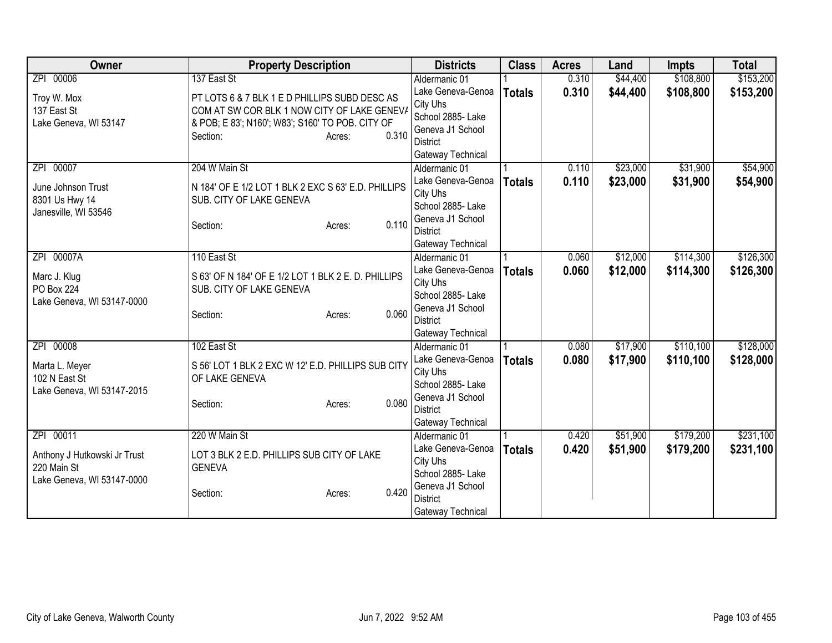| Owner                        | <b>Property Description</b>                         | <b>Districts</b>                      | <b>Class</b>  | <b>Acres</b> | Land     | <b>Impts</b> | <b>Total</b> |
|------------------------------|-----------------------------------------------------|---------------------------------------|---------------|--------------|----------|--------------|--------------|
| ZPI 00006                    | 137 East St                                         | Aldermanic 01                         |               | 0.310        | \$44,400 | \$108,800    | \$153,200    |
| Troy W. Mox                  | PT LOTS 6 & 7 BLK 1 E D PHILLIPS SUBD DESC AS       | Lake Geneva-Genoa                     | <b>Totals</b> | 0.310        | \$44,400 | \$108,800    | \$153,200    |
| 137 East St                  | COM AT SW COR BLK 1 NOW CITY OF LAKE GENEVA         | City Uhs                              |               |              |          |              |              |
| Lake Geneva, WI 53147        | & POB; E 83'; N160'; W83'; S160' TO POB. CITY OF    | School 2885- Lake                     |               |              |          |              |              |
|                              | 0.310<br>Section:<br>Acres:                         | Geneva J1 School                      |               |              |          |              |              |
|                              |                                                     | <b>District</b>                       |               |              |          |              |              |
|                              |                                                     | Gateway Technical                     |               |              |          |              |              |
| 00007<br>ZPI                 | 204 W Main St                                       | Aldermanic 01                         |               | 0.110        | \$23,000 | \$31,900     | \$54,900     |
| June Johnson Trust           | N 184' OF E 1/2 LOT 1 BLK 2 EXC S 63' E.D. PHILLIPS | Lake Geneva-Genoa                     | <b>Totals</b> | 0.110        | \$23,000 | \$31,900     | \$54,900     |
| 8301 Us Hwy 14               | SUB. CITY OF LAKE GENEVA                            | City Uhs<br>School 2885- Lake         |               |              |          |              |              |
| Janesville, WI 53546         |                                                     | Geneva J1 School                      |               |              |          |              |              |
|                              | 0.110<br>Section:<br>Acres:                         | <b>District</b>                       |               |              |          |              |              |
|                              |                                                     | Gateway Technical                     |               |              |          |              |              |
| ZPI 00007A                   | 110 East St                                         | Aldermanic 01                         |               | 0.060        | \$12,000 | \$114,300    | \$126,300    |
|                              |                                                     | Lake Geneva-Genoa                     | <b>Totals</b> | 0.060        | \$12,000 | \$114,300    | \$126,300    |
| Marc J. Klug                 | S 63' OF N 184' OF E 1/2 LOT 1 BLK 2 E. D. PHILLIPS | City Uhs                              |               |              |          |              |              |
| <b>PO Box 224</b>            | SUB. CITY OF LAKE GENEVA                            | School 2885- Lake                     |               |              |          |              |              |
| Lake Geneva, WI 53147-0000   |                                                     | Geneva J1 School                      |               |              |          |              |              |
|                              | 0.060<br>Section:<br>Acres:                         | <b>District</b>                       |               |              |          |              |              |
|                              |                                                     | Gateway Technical                     |               |              |          |              |              |
| ZPI 00008                    | 102 East St                                         | Aldermanic 01                         |               | 0.080        | \$17,900 | \$110,100    | \$128,000    |
| Marta L. Meyer               | S 56' LOT 1 BLK 2 EXC W 12' E.D. PHILLIPS SUB CITY  | Lake Geneva-Genoa                     | <b>Totals</b> | 0.080        | \$17,900 | \$110,100    | \$128,000    |
| 102 N East St                | OF LAKE GENEVA                                      | City Uhs                              |               |              |          |              |              |
| Lake Geneva, WI 53147-2015   |                                                     | School 2885- Lake                     |               |              |          |              |              |
|                              | 0.080<br>Section:<br>Acres:                         | Geneva J1 School                      |               |              |          |              |              |
|                              |                                                     | <b>District</b>                       |               |              |          |              |              |
|                              |                                                     | Gateway Technical                     |               |              |          |              |              |
| ZPI 00011                    | 220 W Main St                                       | Aldermanic 01                         |               | 0.420        | \$51,900 | \$179,200    | \$231,100    |
| Anthony J Hutkowski Jr Trust | LOT 3 BLK 2 E.D. PHILLIPS SUB CITY OF LAKE          | Lake Geneva-Genoa                     | <b>Totals</b> | 0.420        | \$51,900 | \$179,200    | \$231,100    |
| 220 Main St                  | <b>GENEVA</b>                                       | City Uhs                              |               |              |          |              |              |
| Lake Geneva, WI 53147-0000   |                                                     | School 2885- Lake<br>Geneva J1 School |               |              |          |              |              |
|                              | 0.420<br>Section:<br>Acres:                         | <b>District</b>                       |               |              |          |              |              |
|                              |                                                     | Gateway Technical                     |               |              |          |              |              |
|                              |                                                     |                                       |               |              |          |              |              |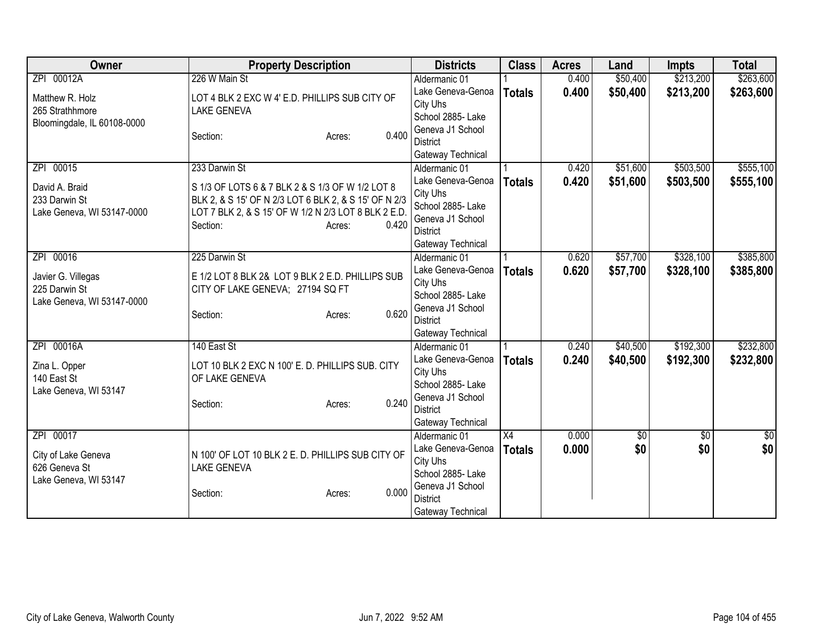| \$50,400<br>\$213,200<br>Aldermanic 01<br>0.400<br>0.400<br>\$50,400<br>\$213,200<br>\$263,600<br>Lake Geneva-Genoa<br><b>Totals</b><br>LOT 4 BLK 2 EXC W 4' E.D. PHILLIPS SUB CITY OF<br>Matthew R. Holz<br>City Uhs<br>265 Strathhmore<br><b>LAKE GENEVA</b><br>School 2885- Lake<br>Bloomingdale, IL 60108-0000<br>Geneva J1 School<br>0.400<br>Section:<br>Acres:<br><b>District</b><br>Gateway Technical<br>\$503,500<br>ZPI 00015<br>\$51,600<br>233 Darwin St<br>0.420<br>Aldermanic 01<br>Lake Geneva-Genoa<br>0.420<br>\$51,600<br>\$503,500<br><b>Totals</b><br>David A. Braid<br>S 1/3 OF LOTS 6 & 7 BLK 2 & S 1/3 OF W 1/2 LOT 8<br>City Uhs<br>233 Darwin St<br>BLK 2, & S 15' OF N 2/3 LOT 6 BLK 2, & S 15' OF N 2/3<br>School 2885- Lake<br>Lake Geneva, WI 53147-0000<br>LOT 7 BLK 2, & S 15' OF W 1/2 N 2/3 LOT 8 BLK 2 E.D.<br>Geneva J1 School<br>0.420<br>Section:<br>Acres:<br><b>District</b><br>Gateway Technical<br>\$57,700<br>\$328,100<br>ZPI 00016<br>225 Darwin St<br>Aldermanic 01<br>0.620<br>Lake Geneva-Genoa<br>0.620<br>\$57,700<br>\$328,100<br><b>Totals</b><br>E 1/2 LOT 8 BLK 2& LOT 9 BLK 2 E.D. PHILLIPS SUB<br>Javier G. Villegas<br>City Uhs<br>225 Darwin St<br>CITY OF LAKE GENEVA; 27194 SQ FT<br>School 2885- Lake<br>Lake Geneva, WI 53147-0000<br>Geneva J1 School | <b>Owner</b> | <b>Property Description</b> | <b>Districts</b> | <b>Class</b> | <b>Acres</b> | Land | <b>Impts</b> | <b>Total</b> |
|---------------------------------------------------------------------------------------------------------------------------------------------------------------------------------------------------------------------------------------------------------------------------------------------------------------------------------------------------------------------------------------------------------------------------------------------------------------------------------------------------------------------------------------------------------------------------------------------------------------------------------------------------------------------------------------------------------------------------------------------------------------------------------------------------------------------------------------------------------------------------------------------------------------------------------------------------------------------------------------------------------------------------------------------------------------------------------------------------------------------------------------------------------------------------------------------------------------------------------------------------------------------------------------------------------------------|--------------|-----------------------------|------------------|--------------|--------------|------|--------------|--------------|
|                                                                                                                                                                                                                                                                                                                                                                                                                                                                                                                                                                                                                                                                                                                                                                                                                                                                                                                                                                                                                                                                                                                                                                                                                                                                                                                     | ZPI 00012A   | 226 W Main St               |                  |              |              |      |              | \$263,600    |
|                                                                                                                                                                                                                                                                                                                                                                                                                                                                                                                                                                                                                                                                                                                                                                                                                                                                                                                                                                                                                                                                                                                                                                                                                                                                                                                     |              |                             |                  |              |              |      |              |              |
| \$555,100<br>\$555,100<br>\$385,800<br>\$385,800                                                                                                                                                                                                                                                                                                                                                                                                                                                                                                                                                                                                                                                                                                                                                                                                                                                                                                                                                                                                                                                                                                                                                                                                                                                                    |              |                             |                  |              |              |      |              |              |
|                                                                                                                                                                                                                                                                                                                                                                                                                                                                                                                                                                                                                                                                                                                                                                                                                                                                                                                                                                                                                                                                                                                                                                                                                                                                                                                     |              |                             |                  |              |              |      |              |              |
|                                                                                                                                                                                                                                                                                                                                                                                                                                                                                                                                                                                                                                                                                                                                                                                                                                                                                                                                                                                                                                                                                                                                                                                                                                                                                                                     |              |                             |                  |              |              |      |              |              |
|                                                                                                                                                                                                                                                                                                                                                                                                                                                                                                                                                                                                                                                                                                                                                                                                                                                                                                                                                                                                                                                                                                                                                                                                                                                                                                                     |              |                             |                  |              |              |      |              |              |
|                                                                                                                                                                                                                                                                                                                                                                                                                                                                                                                                                                                                                                                                                                                                                                                                                                                                                                                                                                                                                                                                                                                                                                                                                                                                                                                     |              |                             |                  |              |              |      |              |              |
|                                                                                                                                                                                                                                                                                                                                                                                                                                                                                                                                                                                                                                                                                                                                                                                                                                                                                                                                                                                                                                                                                                                                                                                                                                                                                                                     |              |                             |                  |              |              |      |              |              |
|                                                                                                                                                                                                                                                                                                                                                                                                                                                                                                                                                                                                                                                                                                                                                                                                                                                                                                                                                                                                                                                                                                                                                                                                                                                                                                                     |              |                             |                  |              |              |      |              |              |
|                                                                                                                                                                                                                                                                                                                                                                                                                                                                                                                                                                                                                                                                                                                                                                                                                                                                                                                                                                                                                                                                                                                                                                                                                                                                                                                     |              |                             |                  |              |              |      |              |              |
|                                                                                                                                                                                                                                                                                                                                                                                                                                                                                                                                                                                                                                                                                                                                                                                                                                                                                                                                                                                                                                                                                                                                                                                                                                                                                                                     |              |                             |                  |              |              |      |              |              |
|                                                                                                                                                                                                                                                                                                                                                                                                                                                                                                                                                                                                                                                                                                                                                                                                                                                                                                                                                                                                                                                                                                                                                                                                                                                                                                                     |              |                             |                  |              |              |      |              |              |
|                                                                                                                                                                                                                                                                                                                                                                                                                                                                                                                                                                                                                                                                                                                                                                                                                                                                                                                                                                                                                                                                                                                                                                                                                                                                                                                     |              |                             |                  |              |              |      |              |              |
|                                                                                                                                                                                                                                                                                                                                                                                                                                                                                                                                                                                                                                                                                                                                                                                                                                                                                                                                                                                                                                                                                                                                                                                                                                                                                                                     |              |                             |                  |              |              |      |              |              |
|                                                                                                                                                                                                                                                                                                                                                                                                                                                                                                                                                                                                                                                                                                                                                                                                                                                                                                                                                                                                                                                                                                                                                                                                                                                                                                                     |              |                             |                  |              |              |      |              |              |
|                                                                                                                                                                                                                                                                                                                                                                                                                                                                                                                                                                                                                                                                                                                                                                                                                                                                                                                                                                                                                                                                                                                                                                                                                                                                                                                     |              |                             |                  |              |              |      |              |              |
|                                                                                                                                                                                                                                                                                                                                                                                                                                                                                                                                                                                                                                                                                                                                                                                                                                                                                                                                                                                                                                                                                                                                                                                                                                                                                                                     |              |                             |                  |              |              |      |              |              |
|                                                                                                                                                                                                                                                                                                                                                                                                                                                                                                                                                                                                                                                                                                                                                                                                                                                                                                                                                                                                                                                                                                                                                                                                                                                                                                                     |              |                             |                  |              |              |      |              |              |
|                                                                                                                                                                                                                                                                                                                                                                                                                                                                                                                                                                                                                                                                                                                                                                                                                                                                                                                                                                                                                                                                                                                                                                                                                                                                                                                     |              | 0.620<br>Section:<br>Acres: |                  |              |              |      |              |              |
| <b>District</b>                                                                                                                                                                                                                                                                                                                                                                                                                                                                                                                                                                                                                                                                                                                                                                                                                                                                                                                                                                                                                                                                                                                                                                                                                                                                                                     |              |                             |                  |              |              |      |              |              |
| Gateway Technical<br>\$192,300<br>\$232,800<br>ZPI 00016A<br>140 East St<br>\$40,500<br>0.240                                                                                                                                                                                                                                                                                                                                                                                                                                                                                                                                                                                                                                                                                                                                                                                                                                                                                                                                                                                                                                                                                                                                                                                                                       |              |                             |                  |              |              |      |              |              |
| Aldermanic 01                                                                                                                                                                                                                                                                                                                                                                                                                                                                                                                                                                                                                                                                                                                                                                                                                                                                                                                                                                                                                                                                                                                                                                                                                                                                                                       |              |                             |                  |              |              |      |              |              |
| 0.240<br>\$40,500<br>\$192,300<br>\$232,800<br>Lake Geneva-Genoa<br><b>Totals</b><br>LOT 10 BLK 2 EXC N 100' E. D. PHILLIPS SUB. CITY<br>Zina L. Opper<br>City Uhs                                                                                                                                                                                                                                                                                                                                                                                                                                                                                                                                                                                                                                                                                                                                                                                                                                                                                                                                                                                                                                                                                                                                                  |              |                             |                  |              |              |      |              |              |
| 140 East St<br>OF LAKE GENEVA<br>School 2885-Lake                                                                                                                                                                                                                                                                                                                                                                                                                                                                                                                                                                                                                                                                                                                                                                                                                                                                                                                                                                                                                                                                                                                                                                                                                                                                   |              |                             |                  |              |              |      |              |              |
| Lake Geneva, WI 53147<br>Geneva J1 School                                                                                                                                                                                                                                                                                                                                                                                                                                                                                                                                                                                                                                                                                                                                                                                                                                                                                                                                                                                                                                                                                                                                                                                                                                                                           |              |                             |                  |              |              |      |              |              |
| 0.240<br>Section:<br>Acres:<br><b>District</b>                                                                                                                                                                                                                                                                                                                                                                                                                                                                                                                                                                                                                                                                                                                                                                                                                                                                                                                                                                                                                                                                                                                                                                                                                                                                      |              |                             |                  |              |              |      |              |              |
| Gateway Technical                                                                                                                                                                                                                                                                                                                                                                                                                                                                                                                                                                                                                                                                                                                                                                                                                                                                                                                                                                                                                                                                                                                                                                                                                                                                                                   |              |                             |                  |              |              |      |              |              |
| ZPI 00017<br>X4<br>0.000<br>\$0<br>$\sqrt{6}$<br>$\frac{6}{3}$<br>Aldermanic 01                                                                                                                                                                                                                                                                                                                                                                                                                                                                                                                                                                                                                                                                                                                                                                                                                                                                                                                                                                                                                                                                                                                                                                                                                                     |              |                             |                  |              |              |      |              |              |
| \$0<br>\$0<br>\$0<br>Lake Geneva-Genoa<br>0.000<br><b>Totals</b>                                                                                                                                                                                                                                                                                                                                                                                                                                                                                                                                                                                                                                                                                                                                                                                                                                                                                                                                                                                                                                                                                                                                                                                                                                                    |              |                             |                  |              |              |      |              |              |
| N 100' OF LOT 10 BLK 2 E. D. PHILLIPS SUB CITY OF<br>City of Lake Geneva<br>City Uhs                                                                                                                                                                                                                                                                                                                                                                                                                                                                                                                                                                                                                                                                                                                                                                                                                                                                                                                                                                                                                                                                                                                                                                                                                                |              |                             |                  |              |              |      |              |              |
| 626 Geneva St<br><b>LAKE GENEVA</b><br>School 2885-Lake                                                                                                                                                                                                                                                                                                                                                                                                                                                                                                                                                                                                                                                                                                                                                                                                                                                                                                                                                                                                                                                                                                                                                                                                                                                             |              |                             |                  |              |              |      |              |              |
| Lake Geneva, WI 53147<br>Geneva J1 School                                                                                                                                                                                                                                                                                                                                                                                                                                                                                                                                                                                                                                                                                                                                                                                                                                                                                                                                                                                                                                                                                                                                                                                                                                                                           |              |                             |                  |              |              |      |              |              |
| 0.000<br>Section:<br>Acres:<br><b>District</b>                                                                                                                                                                                                                                                                                                                                                                                                                                                                                                                                                                                                                                                                                                                                                                                                                                                                                                                                                                                                                                                                                                                                                                                                                                                                      |              |                             |                  |              |              |      |              |              |
| Gateway Technical                                                                                                                                                                                                                                                                                                                                                                                                                                                                                                                                                                                                                                                                                                                                                                                                                                                                                                                                                                                                                                                                                                                                                                                                                                                                                                   |              |                             |                  |              |              |      |              |              |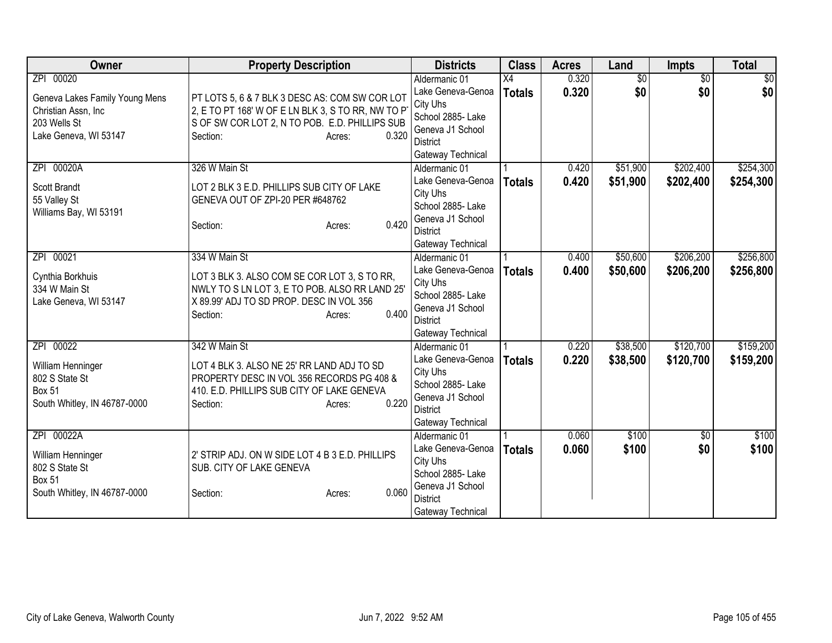| Owner                                                                                                        | <b>Property Description</b>                                                                                                                                                                | <b>Districts</b>                                                                                                                | <b>Class</b>                     | <b>Acres</b>   | Land                   | Impts                  | <b>Total</b>           |
|--------------------------------------------------------------------------------------------------------------|--------------------------------------------------------------------------------------------------------------------------------------------------------------------------------------------|---------------------------------------------------------------------------------------------------------------------------------|----------------------------------|----------------|------------------------|------------------------|------------------------|
| ZPI 00020<br>Geneva Lakes Family Young Mens<br>Christian Assn, Inc.<br>203 Wells St<br>Lake Geneva, WI 53147 | PT LOTS 5, 6 & 7 BLK 3 DESC AS: COM SW COR LOT<br>2, E TO PT 168' W OF E LN BLK 3, S TO RR, NW TO P<br>S OF SW COR LOT 2, N TO POB. E.D. PHILLIPS SUB<br>0.320<br>Section:<br>Acres:       | Aldermanic 01<br>Lake Geneva-Genoa<br>City Uhs<br>School 2885- Lake<br>Geneva J1 School<br><b>District</b><br>Gateway Technical | $\overline{X4}$<br><b>Totals</b> | 0.320<br>0.320 | $\overline{50}$<br>\$0 | $\overline{30}$<br>\$0 | $\overline{50}$<br>\$0 |
| 00020A<br>ZPI<br>Scott Brandt<br>55 Valley St<br>Williams Bay, WI 53191                                      | 326 W Main St<br>LOT 2 BLK 3 E.D. PHILLIPS SUB CITY OF LAKE<br>GENEVA OUT OF ZPI-20 PER #648762<br>0.420<br>Section:<br>Acres:                                                             | Aldermanic 01<br>Lake Geneva-Genoa<br>City Uhs<br>School 2885- Lake<br>Geneva J1 School<br><b>District</b><br>Gateway Technical | <b>Totals</b>                    | 0.420<br>0.420 | \$51,900<br>\$51,900   | \$202,400<br>\$202,400 | \$254,300<br>\$254,300 |
| ZPI 00021<br>Cynthia Borkhuis<br>334 W Main St<br>Lake Geneva, WI 53147                                      | 334 W Main St<br>LOT 3 BLK 3. ALSO COM SE COR LOT 3, S TO RR,<br>NWLY TO S LN LOT 3, E TO POB. ALSO RR LAND 25'<br>X 89.99' ADJ TO SD PROP. DESC IN VOL 356<br>0.400<br>Section:<br>Acres: | Aldermanic 01<br>Lake Geneva-Genoa<br>City Uhs<br>School 2885- Lake<br>Geneva J1 School<br><b>District</b><br>Gateway Technical | <b>Totals</b>                    | 0.400<br>0.400 | \$50,600<br>\$50,600   | \$206,200<br>\$206,200 | \$256,800<br>\$256,800 |
| ZPI 00022<br>William Henninger<br>802 S State St<br><b>Box 51</b><br>South Whitley, IN 46787-0000            | 342 W Main St<br>LOT 4 BLK 3. ALSO NE 25' RR LAND ADJ TO SD<br>PROPERTY DESC IN VOL 356 RECORDS PG 408 &<br>410. E.D. PHILLIPS SUB CITY OF LAKE GENEVA<br>0.220<br>Section:<br>Acres:      | Aldermanic 01<br>Lake Geneva-Genoa<br>City Uhs<br>School 2885-Lake<br>Geneva J1 School<br><b>District</b><br>Gateway Technical  | <b>Totals</b>                    | 0.220<br>0.220 | \$38,500<br>\$38,500   | \$120,700<br>\$120,700 | \$159,200<br>\$159,200 |
| ZPI 00022A<br>William Henninger<br>802 S State St<br><b>Box 51</b><br>South Whitley, IN 46787-0000           | 2' STRIP ADJ. ON W SIDE LOT 4 B 3 E.D. PHILLIPS<br>SUB. CITY OF LAKE GENEVA<br>0.060<br>Section:<br>Acres:                                                                                 | Aldermanic 01<br>Lake Geneva-Genoa<br>City Uhs<br>School 2885- Lake<br>Geneva J1 School<br><b>District</b><br>Gateway Technical | <b>Totals</b>                    | 0.060<br>0.060 | \$100<br>\$100         | $\sqrt{6}$<br>\$0      | \$100<br>\$100         |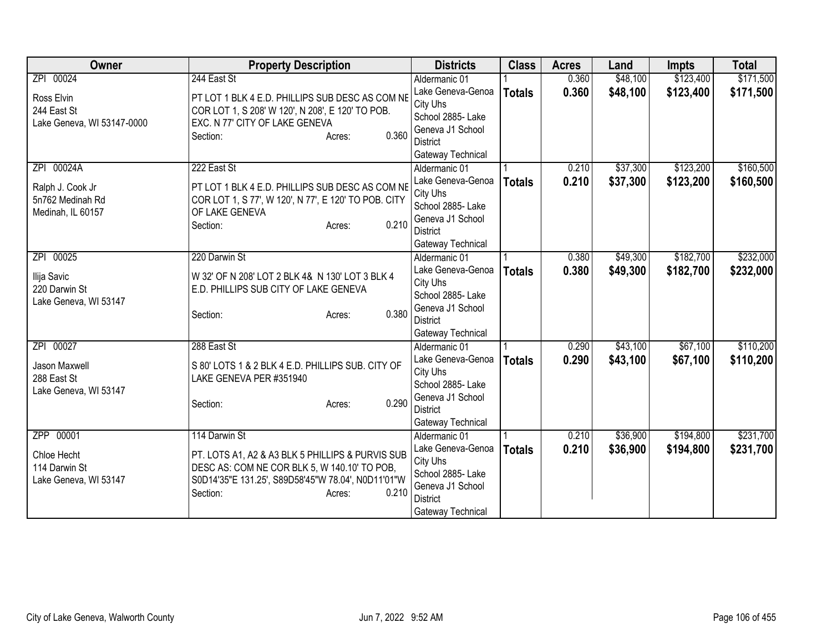| Owner                                  | <b>Property Description</b>                                                        | <b>Districts</b>                      | <b>Class</b>  | <b>Acres</b> | Land     | <b>Impts</b> | <b>Total</b> |
|----------------------------------------|------------------------------------------------------------------------------------|---------------------------------------|---------------|--------------|----------|--------------|--------------|
| ZPI 00024                              | 244 East St                                                                        | Aldermanic 01                         |               | 0.360        | \$48,100 | \$123,400    | \$171,500    |
| Ross Elvin                             | PT LOT 1 BLK 4 E.D. PHILLIPS SUB DESC AS COM NE                                    | Lake Geneva-Genoa<br>City Uhs         | <b>Totals</b> | 0.360        | \$48,100 | \$123,400    | \$171,500    |
| 244 East St                            | COR LOT 1, S 208' W 120', N 208', E 120' TO POB.<br>EXC. N 77' CITY OF LAKE GENEVA | School 2885- Lake                     |               |              |          |              |              |
| Lake Geneva, WI 53147-0000             | 0.360<br>Section:<br>Acres:                                                        | Geneva J1 School                      |               |              |          |              |              |
|                                        |                                                                                    | <b>District</b>                       |               |              |          |              |              |
|                                        |                                                                                    | Gateway Technical                     |               |              |          |              |              |
| 00024A<br>ZPI                          | 222 East St                                                                        | Aldermanic 01                         |               | 0.210        | \$37,300 | \$123,200    | \$160,500    |
| Ralph J. Cook Jr                       | PT LOT 1 BLK 4 E.D. PHILLIPS SUB DESC AS COM NE                                    | Lake Geneva-Genoa                     | <b>Totals</b> | 0.210        | \$37,300 | \$123,200    | \$160,500    |
| 5n762 Medinah Rd                       | COR LOT 1, S 77', W 120', N 77', E 120' TO POB. CITY                               | City Uhs                              |               |              |          |              |              |
| Medinah, IL 60157                      | OF LAKE GENEVA                                                                     | School 2885- Lake<br>Geneva J1 School |               |              |          |              |              |
|                                        | 0.210<br>Section:<br>Acres:                                                        | <b>District</b>                       |               |              |          |              |              |
|                                        |                                                                                    | Gateway Technical                     |               |              |          |              |              |
| 00025<br>ZPI                           | 220 Darwin St                                                                      | Aldermanic 01                         |               | 0.380        | \$49,300 | \$182,700    | \$232,000    |
|                                        |                                                                                    | Lake Geneva-Genoa                     | <b>Totals</b> | 0.380        | \$49,300 | \$182,700    | \$232,000    |
| Ilija Savic                            | W 32' OF N 208' LOT 2 BLK 4& N 130' LOT 3 BLK 4                                    | City Uhs                              |               |              |          |              |              |
| 220 Darwin St<br>Lake Geneva, WI 53147 | E.D. PHILLIPS SUB CITY OF LAKE GENEVA                                              | School 2885- Lake                     |               |              |          |              |              |
|                                        | 0.380<br>Section:<br>Acres:                                                        | Geneva J1 School                      |               |              |          |              |              |
|                                        |                                                                                    | <b>District</b>                       |               |              |          |              |              |
|                                        |                                                                                    | Gateway Technical                     |               |              |          |              |              |
| 00027<br>ZPI                           | 288 East St                                                                        | Aldermanic 01                         |               | 0.290        | \$43,100 | \$67,100     | \$110,200    |
| Jason Maxwell                          | S 80' LOTS 1 & 2 BLK 4 E.D. PHILLIPS SUB. CITY OF                                  | Lake Geneva-Genoa                     | <b>Totals</b> | 0.290        | \$43,100 | \$67,100     | \$110,200    |
| 288 East St                            | LAKE GENEVA PER #351940                                                            | City Uhs<br>School 2885- Lake         |               |              |          |              |              |
| Lake Geneva, WI 53147                  |                                                                                    | Geneva J1 School                      |               |              |          |              |              |
|                                        | 0.290<br>Section:<br>Acres:                                                        | <b>District</b>                       |               |              |          |              |              |
|                                        |                                                                                    | Gateway Technical                     |               |              |          |              |              |
| ZPP 00001                              | 114 Darwin St                                                                      | Aldermanic 01                         |               | 0.210        | \$36,900 | \$194,800    | \$231,700    |
| Chloe Hecht                            | PT. LOTS A1, A2 & A3 BLK 5 PHILLIPS & PURVIS SUB                                   | Lake Geneva-Genoa                     | <b>Totals</b> | 0.210        | \$36,900 | \$194,800    | \$231,700    |
| 114 Darwin St                          | DESC AS: COM NE COR BLK 5, W 140.10' TO POB,                                       | City Uhs                              |               |              |          |              |              |
| Lake Geneva, WI 53147                  | S0D14'35"E 131.25', S89D58'45"W 78.04', N0D11'01"W                                 | School 2885- Lake                     |               |              |          |              |              |
|                                        | 0.210<br>Section:<br>Acres:                                                        | Geneva J1 School                      |               |              |          |              |              |
|                                        |                                                                                    | <b>District</b>                       |               |              |          |              |              |
|                                        |                                                                                    | Gateway Technical                     |               |              |          |              |              |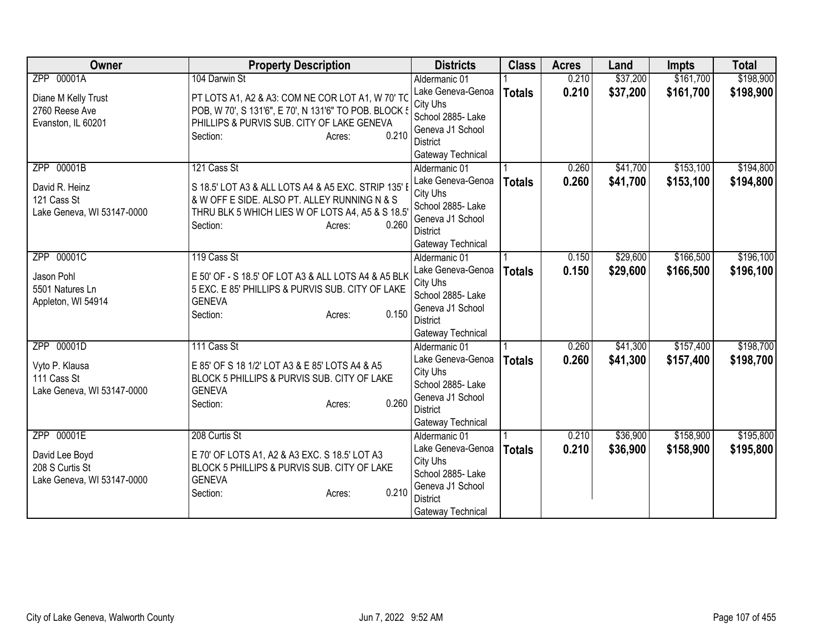| Owner                      | <b>Property Description</b>                           | <b>Districts</b>                    | <b>Class</b>  | <b>Acres</b> | Land     | <b>Impts</b> | <b>Total</b> |
|----------------------------|-------------------------------------------------------|-------------------------------------|---------------|--------------|----------|--------------|--------------|
| ZPP 00001A                 | 104 Darwin St                                         | Aldermanic 01                       |               | 0.210        | \$37,200 | \$161,700    | \$198,900    |
| Diane M Kelly Trust        | PT LOTS A1, A2 & A3: COM NE COR LOT A1, W 70' TO      | Lake Geneva-Genoa                   | <b>Totals</b> | 0.210        | \$37,200 | \$161,700    | \$198,900    |
| 2760 Reese Ave             | POB, W 70', S 131'6", E 70', N 131'6" TO POB. BLOCK { | City Uhs                            |               |              |          |              |              |
| Evanston, IL 60201         | PHILLIPS & PURVIS SUB. CITY OF LAKE GENEVA            | School 2885- Lake                   |               |              |          |              |              |
|                            | 0.210<br>Section:<br>Acres:                           | Geneva J1 School                    |               |              |          |              |              |
|                            |                                                       | District                            |               |              |          |              |              |
|                            |                                                       | Gateway Technical                   |               |              |          |              |              |
| ZPP 00001B                 | 121 Cass St                                           | Aldermanic 01                       |               | 0.260        | \$41,700 | \$153,100    | \$194,800    |
| David R. Heinz             | S 18.5' LOT A3 & ALL LOTS A4 & A5 EXC. STRIP 135' I   | Lake Geneva-Genoa                   | <b>Totals</b> | 0.260        | \$41,700 | \$153,100    | \$194,800    |
| 121 Cass St                | & W OFF E SIDE. ALSO PT. ALLEY RUNNING N & S          | City Uhs<br>School 2885- Lake       |               |              |          |              |              |
| Lake Geneva, WI 53147-0000 | THRU BLK 5 WHICH LIES W OF LOTS A4, A5 & S 18.5       | Geneva J1 School                    |               |              |          |              |              |
|                            | 0.260<br>Section:<br>Acres:                           | <b>District</b>                     |               |              |          |              |              |
|                            |                                                       | Gateway Technical                   |               |              |          |              |              |
| ZPP 00001C                 | 119 Cass St                                           | Aldermanic 01                       |               | 0.150        | \$29,600 | \$166,500    | \$196,100    |
|                            |                                                       | Lake Geneva-Genoa                   | <b>Totals</b> | 0.150        | \$29,600 | \$166,500    | \$196,100    |
| Jason Pohl                 | E 50' OF - S 18.5' OF LOT A3 & ALL LOTS A4 & A5 BLK   | City Uhs                            |               |              |          |              |              |
| 5501 Natures Ln            | 5 EXC. E 85' PHILLIPS & PURVIS SUB. CITY OF LAKE      | School 2885- Lake                   |               |              |          |              |              |
| Appleton, WI 54914         | <b>GENEVA</b>                                         | Geneva J1 School                    |               |              |          |              |              |
|                            | 0.150<br>Section:<br>Acres:                           | <b>District</b>                     |               |              |          |              |              |
|                            |                                                       | Gateway Technical                   |               |              |          |              |              |
| ZPP 00001D                 | 111 Cass St                                           | Aldermanic 01                       |               | 0.260        | \$41,300 | \$157,400    | \$198,700    |
| Vyto P. Klausa             | E 85' OF S 18 1/2' LOT A3 & E 85' LOTS A4 & A5        | Lake Geneva-Genoa                   | <b>Totals</b> | 0.260        | \$41,300 | \$157,400    | \$198,700    |
| 111 Cass St                | BLOCK 5 PHILLIPS & PURVIS SUB. CITY OF LAKE           | City Uhs                            |               |              |          |              |              |
| Lake Geneva, WI 53147-0000 | <b>GENEVA</b>                                         | School 2885- Lake                   |               |              |          |              |              |
|                            | 0.260<br>Section:<br>Acres:                           | Geneva J1 School                    |               |              |          |              |              |
|                            |                                                       | <b>District</b>                     |               |              |          |              |              |
|                            |                                                       | Gateway Technical                   |               |              |          |              |              |
| ZPP 00001E                 | 208 Curtis St                                         | Aldermanic 01                       |               | 0.210        | \$36,900 | \$158,900    | \$195,800    |
| David Lee Boyd             | E 70' OF LOTS A1, A2 & A3 EXC. S 18.5' LOT A3         | Lake Geneva-Genoa                   | <b>Totals</b> | 0.210        | \$36,900 | \$158,900    | \$195,800    |
| 208 S Curtis St            | BLOCK 5 PHILLIPS & PURVIS SUB. CITY OF LAKE           | City Uhs                            |               |              |          |              |              |
| Lake Geneva, WI 53147-0000 | <b>GENEVA</b>                                         | School 2885- Lake                   |               |              |          |              |              |
|                            | 0.210<br>Section:<br>Acres:                           | Geneva J1 School<br><b>District</b> |               |              |          |              |              |
|                            |                                                       |                                     |               |              |          |              |              |
|                            |                                                       | Gateway Technical                   |               |              |          |              |              |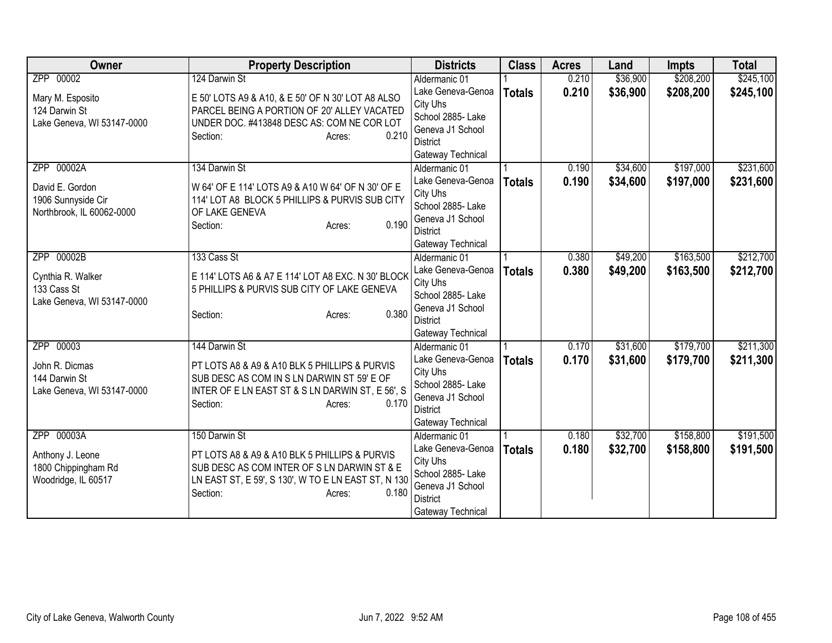| <b>Owner</b>               | <b>Property Description</b>                         | <b>Districts</b>                   | <b>Class</b>  | <b>Acres</b> | Land     | <b>Impts</b> | <b>Total</b> |
|----------------------------|-----------------------------------------------------|------------------------------------|---------------|--------------|----------|--------------|--------------|
| ZPP 00002                  | 124 Darwin St                                       | Aldermanic 01                      |               | 0.210        | \$36,900 | \$208,200    | \$245,100    |
| Mary M. Esposito           | E 50' LOTS A9 & A10, & E 50' OF N 30' LOT A8 ALSO   | Lake Geneva-Genoa                  | <b>Totals</b> | 0.210        | \$36,900 | \$208,200    | \$245,100    |
| 124 Darwin St              | PARCEL BEING A PORTION OF 20' ALLEY VACATED         | City Uhs                           |               |              |          |              |              |
| Lake Geneva, WI 53147-0000 | UNDER DOC. #413848 DESC AS: COM NE COR LOT          | School 2885- Lake                  |               |              |          |              |              |
|                            | 0.210<br>Section:<br>Acres:                         | Geneva J1 School                   |               |              |          |              |              |
|                            |                                                     | District                           |               |              |          |              |              |
|                            |                                                     | Gateway Technical                  |               |              |          |              |              |
| ZPP 00002A                 | 134 Darwin St                                       | Aldermanic 01<br>Lake Geneva-Genoa |               | 0.190        | \$34,600 | \$197,000    | \$231,600    |
| David E. Gordon            | W 64' OF E 114' LOTS A9 & A10 W 64' OF N 30' OF E   | City Uhs                           | <b>Totals</b> | 0.190        | \$34,600 | \$197,000    | \$231,600    |
| 1906 Sunnyside Cir         | 114' LOT A8 BLOCK 5 PHILLIPS & PURVIS SUB CITY      | School 2885- Lake                  |               |              |          |              |              |
| Northbrook, IL 60062-0000  | OF LAKE GENEVA                                      | Geneva J1 School                   |               |              |          |              |              |
|                            | 0.190<br>Section:<br>Acres:                         | <b>District</b>                    |               |              |          |              |              |
|                            |                                                     | Gateway Technical                  |               |              |          |              |              |
| ZPP 00002B                 | 133 Cass St                                         | Aldermanic 01                      |               | 0.380        | \$49,200 | \$163,500    | \$212,700    |
|                            |                                                     | Lake Geneva-Genoa                  | <b>Totals</b> | 0.380        | \$49,200 | \$163,500    | \$212,700    |
| Cynthia R. Walker          | E 114' LOTS A6 & A7 E 114' LOT A8 EXC. N 30' BLOCK  | City Uhs                           |               |              |          |              |              |
| 133 Cass St                | 5 PHILLIPS & PURVIS SUB CITY OF LAKE GENEVA         | School 2885- Lake                  |               |              |          |              |              |
| Lake Geneva, WI 53147-0000 | 0.380                                               | Geneva J1 School                   |               |              |          |              |              |
|                            | Section:<br>Acres:                                  | <b>District</b>                    |               |              |          |              |              |
|                            |                                                     | Gateway Technical                  |               |              |          |              |              |
| ZPP 00003                  | 144 Darwin St                                       | Aldermanic 01                      |               | 0.170        | \$31,600 | \$179,700    | \$211,300    |
| John R. Dicmas             | PT LOTS A8 & A9 & A10 BLK 5 PHILLIPS & PURVIS       | Lake Geneva-Genoa                  | <b>Totals</b> | 0.170        | \$31,600 | \$179,700    | \$211,300    |
| 144 Darwin St              | SUB DESC AS COM IN S LN DARWIN ST 59' E OF          | City Uhs                           |               |              |          |              |              |
| Lake Geneva, WI 53147-0000 | INTER OF E LN EAST ST & S LN DARWIN ST, E 56', S    | School 2885- Lake                  |               |              |          |              |              |
|                            | 0.170<br>Section:<br>Acres:                         | Geneva J1 School                   |               |              |          |              |              |
|                            |                                                     | <b>District</b>                    |               |              |          |              |              |
|                            |                                                     | Gateway Technical                  |               |              |          |              |              |
| ZPP 00003A                 | 150 Darwin St                                       | Aldermanic 01                      |               | 0.180        | \$32,700 | \$158,800    | \$191,500    |
| Anthony J. Leone           | PT LOTS A8 & A9 & A10 BLK 5 PHILLIPS & PURVIS       | Lake Geneva-Genoa<br>City Uhs      | <b>Totals</b> | 0.180        | \$32,700 | \$158,800    | \$191,500    |
| 1800 Chippingham Rd        | SUB DESC AS COM INTER OF S LN DARWIN ST & E         | School 2885- Lake                  |               |              |          |              |              |
| Woodridge, IL 60517        | LN EAST ST, E 59', S 130', W TO E LN EAST ST, N 130 | Geneva J1 School                   |               |              |          |              |              |
|                            | 0.180<br>Section:<br>Acres:                         | <b>District</b>                    |               |              |          |              |              |
|                            |                                                     | Gateway Technical                  |               |              |          |              |              |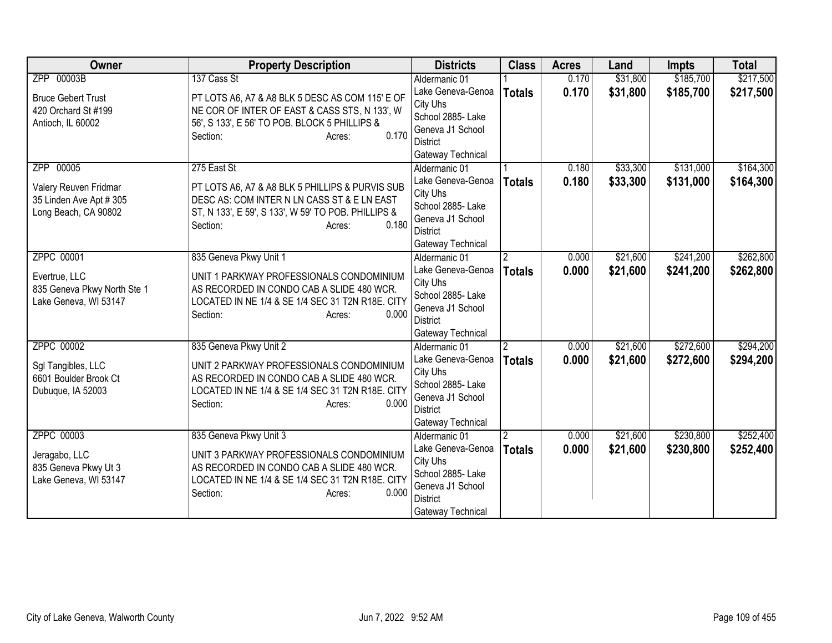| <b>Owner</b>                | <b>Property Description</b>                         | <b>Districts</b>              | <b>Class</b>   | <b>Acres</b> | Land     | <b>Impts</b> | <b>Total</b> |
|-----------------------------|-----------------------------------------------------|-------------------------------|----------------|--------------|----------|--------------|--------------|
| ZPP 00003B                  | 137 Cass St                                         | Aldermanic 01                 |                | 0.170        | \$31,800 | \$185,700    | \$217,500    |
| <b>Bruce Gebert Trust</b>   | PT LOTS A6, A7 & A8 BLK 5 DESC AS COM 115' E OF     | Lake Geneva-Genoa             | <b>Totals</b>  | 0.170        | \$31,800 | \$185,700    | \$217,500    |
| 420 Orchard St #199         | NE COR OF INTER OF EAST & CASS STS, N 133', W       | City Uhs                      |                |              |          |              |              |
| Antioch, IL 60002           | 56', S 133', E 56' TO POB. BLOCK 5 PHILLIPS &       | School 2885- Lake             |                |              |          |              |              |
|                             | 0.170<br>Section:<br>Acres:                         | Geneva J1 School              |                |              |          |              |              |
|                             |                                                     | <b>District</b>               |                |              |          |              |              |
|                             |                                                     | Gateway Technical             |                |              |          |              |              |
| ZPP 00005                   | 275 East St                                         | Aldermanic 01                 |                | 0.180        | \$33,300 | \$131,000    | \$164,300    |
| Valery Reuven Fridmar       | PT LOTS A6, A7 & A8 BLK 5 PHILLIPS & PURVIS SUB     | Lake Geneva-Genoa             | <b>Totals</b>  | 0.180        | \$33,300 | \$131,000    | \$164,300    |
| 35 Linden Ave Apt # 305     | DESC AS: COM INTER N LN CASS ST & E LN EAST         | City Uhs<br>School 2885- Lake |                |              |          |              |              |
| Long Beach, CA 90802        | ST, N 133', E 59', S 133', W 59' TO POB. PHILLIPS & | Geneva J1 School              |                |              |          |              |              |
|                             | 0.180<br>Section:<br>Acres:                         | <b>District</b>               |                |              |          |              |              |
|                             |                                                     | Gateway Technical             |                |              |          |              |              |
| <b>ZPPC 00001</b>           | 835 Geneva Pkwy Unit 1                              | Aldermanic 01                 | $\overline{2}$ | 0.000        | \$21,600 | \$241,200    | \$262,800    |
|                             |                                                     | Lake Geneva-Genoa             | <b>Totals</b>  | 0.000        | \$21,600 | \$241,200    | \$262,800    |
| Evertrue, LLC               | UNIT 1 PARKWAY PROFESSIONALS CONDOMINIUM            | City Uhs                      |                |              |          |              |              |
| 835 Geneva Pkwy North Ste 1 | AS RECORDED IN CONDO CAB A SLIDE 480 WCR.           | School 2885- Lake             |                |              |          |              |              |
| Lake Geneva, WI 53147       | LOCATED IN NE 1/4 & SE 1/4 SEC 31 T2N R18E. CITY    | Geneva J1 School              |                |              |          |              |              |
|                             | 0.000<br>Section:<br>Acres:                         | District                      |                |              |          |              |              |
|                             |                                                     | Gateway Technical             |                |              |          |              |              |
| ZPPC 00002                  | 835 Geneva Pkwy Unit 2                              | Aldermanic 01                 | $\overline{2}$ | 0.000        | \$21,600 | \$272,600    | \$294,200    |
| Sgl Tangibles, LLC          | UNIT 2 PARKWAY PROFESSIONALS CONDOMINIUM            | Lake Geneva-Genoa             | <b>Totals</b>  | 0.000        | \$21,600 | \$272,600    | \$294,200    |
| 6601 Boulder Brook Ct       | AS RECORDED IN CONDO CAB A SLIDE 480 WCR.           | City Uhs                      |                |              |          |              |              |
| Dubuque, IA 52003           | LOCATED IN NE 1/4 & SE 1/4 SEC 31 T2N R18E. CITY    | School 2885- Lake             |                |              |          |              |              |
|                             | 0.000<br>Section:<br>Acres:                         | Geneva J1 School              |                |              |          |              |              |
|                             |                                                     | <b>District</b>               |                |              |          |              |              |
|                             |                                                     | Gateway Technical             |                |              |          |              |              |
| ZPPC 00003                  | 835 Geneva Pkwy Unit 3                              | Aldermanic 01                 |                | 0.000        | \$21,600 | \$230,800    | \$252,400    |
| Jeragabo, LLC               | UNIT 3 PARKWAY PROFESSIONALS CONDOMINIUM            | Lake Geneva-Genoa<br>City Uhs | <b>Totals</b>  | 0.000        | \$21,600 | \$230,800    | \$252,400    |
| 835 Geneva Pkwy Ut 3        | AS RECORDED IN CONDO CAB A SLIDE 480 WCR.           | School 2885- Lake             |                |              |          |              |              |
| Lake Geneva, WI 53147       | LOCATED IN NE 1/4 & SE 1/4 SEC 31 T2N R18E. CITY    | Geneva J1 School              |                |              |          |              |              |
|                             | Section:<br>0.000<br>Acres:                         | <b>District</b>               |                |              |          |              |              |
|                             |                                                     | Gateway Technical             |                |              |          |              |              |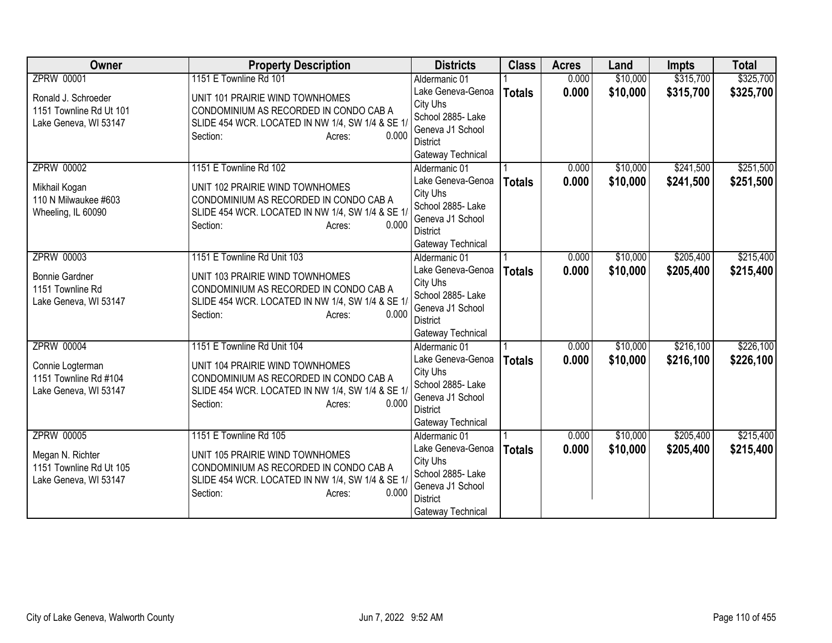| <b>Owner</b>                              | <b>Property Description</b>                                                                | <b>Districts</b>                    | <b>Class</b>  | <b>Acres</b> | Land     | <b>Impts</b> | <b>Total</b> |
|-------------------------------------------|--------------------------------------------------------------------------------------------|-------------------------------------|---------------|--------------|----------|--------------|--------------|
| <b>ZPRW 00001</b>                         | 1151 E Townline Rd 101                                                                     | Aldermanic 01                       |               | 0.000        | \$10,000 | \$315,700    | \$325,700    |
| Ronald J. Schroeder                       | UNIT 101 PRAIRIE WIND TOWNHOMES                                                            | Lake Geneva-Genoa                   | <b>Totals</b> | 0.000        | \$10,000 | \$315,700    | \$325,700    |
| 1151 Townline Rd Ut 101                   | CONDOMINIUM AS RECORDED IN CONDO CAB A                                                     | City Uhs                            |               |              |          |              |              |
| Lake Geneva, WI 53147                     | SLIDE 454 WCR. LOCATED IN NW 1/4, SW 1/4 & SE 1/                                           | School 2885- Lake                   |               |              |          |              |              |
|                                           | 0.000<br>Section:<br>Acres:                                                                | Geneva J1 School                    |               |              |          |              |              |
|                                           |                                                                                            | District                            |               |              |          |              |              |
| <b>ZPRW 00002</b>                         | 1151 E Townline Rd 102                                                                     | Gateway Technical                   |               | 0.000        | \$10,000 | \$241,500    | \$251,500    |
|                                           |                                                                                            | Aldermanic 01<br>Lake Geneva-Genoa  |               | 0.000        | \$10,000 |              |              |
| Mikhail Kogan                             | UNIT 102 PRAIRIE WIND TOWNHOMES                                                            | City Uhs                            | <b>Totals</b> |              |          | \$241,500    | \$251,500    |
| 110 N Milwaukee #603                      | CONDOMINIUM AS RECORDED IN CONDO CAB A                                                     | School 2885- Lake                   |               |              |          |              |              |
| Wheeling, IL 60090                        | SLIDE 454 WCR. LOCATED IN NW 1/4, SW 1/4 & SE 1/                                           | Geneva J1 School                    |               |              |          |              |              |
|                                           | 0.000<br>Section:<br>Acres:                                                                | <b>District</b>                     |               |              |          |              |              |
|                                           |                                                                                            | Gateway Technical                   |               |              |          |              |              |
| <b>ZPRW 00003</b>                         | 1151 E Townline Rd Unit 103                                                                | Aldermanic 01                       |               | 0.000        | \$10,000 | \$205,400    | \$215,400    |
|                                           |                                                                                            | Lake Geneva-Genoa                   | <b>Totals</b> | 0.000        | \$10,000 | \$205,400    | \$215,400    |
| <b>Bonnie Gardner</b>                     | UNIT 103 PRAIRIE WIND TOWNHOMES                                                            | City Uhs                            |               |              |          |              |              |
| 1151 Townline Rd<br>Lake Geneva, WI 53147 | CONDOMINIUM AS RECORDED IN CONDO CAB A<br>SLIDE 454 WCR. LOCATED IN NW 1/4, SW 1/4 & SE 1/ | School 2885- Lake                   |               |              |          |              |              |
|                                           | 0.000<br>Section:<br>Acres:                                                                | Geneva J1 School                    |               |              |          |              |              |
|                                           |                                                                                            | <b>District</b>                     |               |              |          |              |              |
|                                           |                                                                                            | Gateway Technical                   |               |              |          |              |              |
| <b>ZPRW 00004</b>                         | 1151 E Townline Rd Unit 104                                                                | Aldermanic 01                       |               | 0.000        | \$10,000 | \$216,100    | \$226,100    |
| Connie Logterman                          | UNIT 104 PRAIRIE WIND TOWNHOMES                                                            | Lake Geneva-Genoa                   | <b>Totals</b> | 0.000        | \$10,000 | \$216,100    | \$226,100    |
| 1151 Townline Rd #104                     | CONDOMINIUM AS RECORDED IN CONDO CAB A                                                     | City Uhs                            |               |              |          |              |              |
| Lake Geneva, WI 53147                     | SLIDE 454 WCR. LOCATED IN NW 1/4, SW 1/4 & SE 1/                                           | School 2885- Lake                   |               |              |          |              |              |
|                                           | 0.000<br>Section:<br>Acres:                                                                | Geneva J1 School<br><b>District</b> |               |              |          |              |              |
|                                           |                                                                                            | Gateway Technical                   |               |              |          |              |              |
| <b>ZPRW 00005</b>                         | 1151 E Townline Rd 105                                                                     | Aldermanic 01                       |               | 0.000        | \$10,000 | \$205,400    | \$215,400    |
|                                           |                                                                                            | Lake Geneva-Genoa                   | <b>Totals</b> | 0.000        | \$10,000 | \$205,400    | \$215,400    |
| Megan N. Richter                          | UNIT 105 PRAIRIE WIND TOWNHOMES                                                            | City Uhs                            |               |              |          |              |              |
| 1151 Townline Rd Ut 105                   | CONDOMINIUM AS RECORDED IN CONDO CAB A                                                     | School 2885- Lake                   |               |              |          |              |              |
| Lake Geneva, WI 53147                     | SLIDE 454 WCR. LOCATED IN NW 1/4, SW 1/4 & SE 1/                                           | Geneva J1 School                    |               |              |          |              |              |
|                                           | 0.000<br>Section:<br>Acres:                                                                | <b>District</b>                     |               |              |          |              |              |
|                                           |                                                                                            | Gateway Technical                   |               |              |          |              |              |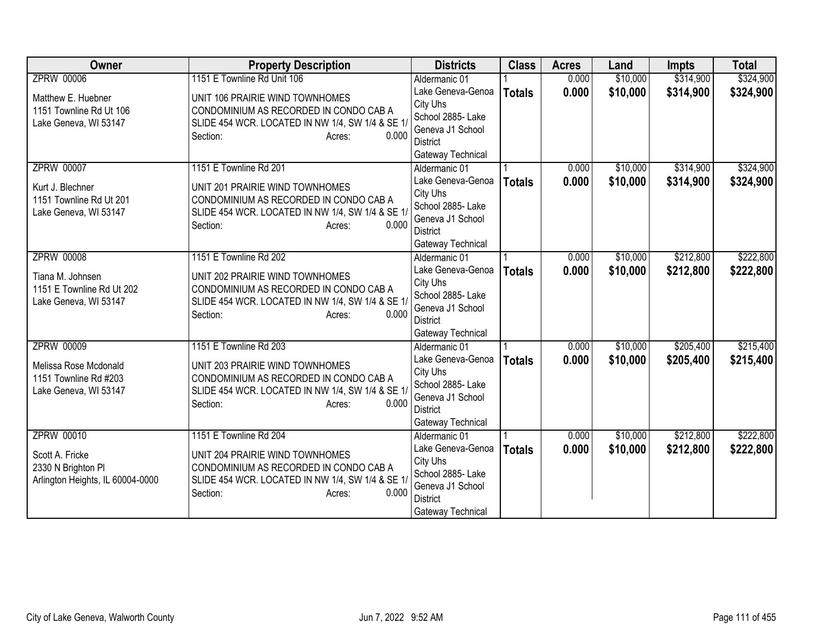| Owner                                                                                          | <b>Property Description</b>                                                                                                                                                            | <b>Districts</b>                                                                                                                | <b>Class</b>  | <b>Acres</b>   | Land                 | <b>Impts</b>           | <b>Total</b>           |
|------------------------------------------------------------------------------------------------|----------------------------------------------------------------------------------------------------------------------------------------------------------------------------------------|---------------------------------------------------------------------------------------------------------------------------------|---------------|----------------|----------------------|------------------------|------------------------|
| <b>ZPRW 00006</b>                                                                              | 1151 E Townline Rd Unit 106                                                                                                                                                            | Aldermanic 01                                                                                                                   |               | 0.000          | \$10,000             | \$314,900              | \$324,900              |
| Matthew E. Huebner<br>1151 Townline Rd Ut 106<br>Lake Geneva, WI 53147                         | UNIT 106 PRAIRIE WIND TOWNHOMES<br>CONDOMINIUM AS RECORDED IN CONDO CAB A<br>SLIDE 454 WCR. LOCATED IN NW 1/4, SW 1/4 & SE 1/<br>0.000<br>Section:<br>Acres:                           | Lake Geneva-Genoa<br>City Uhs<br>School 2885- Lake<br>Geneva J1 School<br>District<br>Gateway Technical                         | <b>Totals</b> | 0.000          | \$10,000             | \$314,900              | \$324,900              |
| <b>ZPRW 00007</b><br>Kurt J. Blechner<br>1151 Townline Rd Ut 201<br>Lake Geneva, WI 53147      | 1151 E Townline Rd 201<br>UNIT 201 PRAIRIE WIND TOWNHOMES<br>CONDOMINIUM AS RECORDED IN CONDO CAB A<br>SLIDE 454 WCR. LOCATED IN NW 1/4, SW 1/4 & SE 1/<br>0.000<br>Section:<br>Acres: | Aldermanic 01<br>Lake Geneva-Genoa<br>City Uhs<br>School 2885- Lake<br>Geneva J1 School<br><b>District</b><br>Gateway Technical | <b>Totals</b> | 0.000<br>0.000 | \$10,000<br>\$10,000 | \$314,900<br>\$314,900 | \$324,900<br>\$324,900 |
| <b>ZPRW 00008</b><br>Tiana M. Johnsen<br>1151 E Townline Rd Ut 202<br>Lake Geneva, WI 53147    | 1151 E Townline Rd 202<br>UNIT 202 PRAIRIE WIND TOWNHOMES<br>CONDOMINIUM AS RECORDED IN CONDO CAB A<br>SLIDE 454 WCR. LOCATED IN NW 1/4, SW 1/4 & SE 1/<br>0.000<br>Section:<br>Acres: | Aldermanic 01<br>Lake Geneva-Genoa<br>City Uhs<br>School 2885- Lake<br>Geneva J1 School<br><b>District</b><br>Gateway Technical | <b>Totals</b> | 0.000<br>0.000 | \$10,000<br>\$10,000 | \$212,800<br>\$212,800 | \$222,800<br>\$222,800 |
| <b>ZPRW 00009</b><br>Melissa Rose Mcdonald<br>1151 Townline Rd #203<br>Lake Geneva, WI 53147   | 1151 E Townline Rd 203<br>UNIT 203 PRAIRIE WIND TOWNHOMES<br>CONDOMINIUM AS RECORDED IN CONDO CAB A<br>SLIDE 454 WCR. LOCATED IN NW 1/4, SW 1/4 & SE 1/<br>Section:<br>0.000<br>Acres: | Aldermanic 01<br>Lake Geneva-Genoa<br>City Uhs<br>School 2885- Lake<br>Geneva J1 School<br><b>District</b><br>Gateway Technical | <b>Totals</b> | 0.000<br>0.000 | \$10,000<br>\$10,000 | \$205,400<br>\$205,400 | \$215,400<br>\$215,400 |
| <b>ZPRW 00010</b><br>Scott A. Fricke<br>2330 N Brighton Pl<br>Arlington Heights, IL 60004-0000 | 1151 E Townline Rd 204<br>UNIT 204 PRAIRIE WIND TOWNHOMES<br>CONDOMINIUM AS RECORDED IN CONDO CAB A<br>SLIDE 454 WCR. LOCATED IN NW 1/4, SW 1/4 & SE 1/<br>Section:<br>0.000<br>Acres: | Aldermanic 01<br>Lake Geneva-Genoa<br>City Uhs<br>School 2885-Lake<br>Geneva J1 School<br><b>District</b><br>Gateway Technical  | <b>Totals</b> | 0.000<br>0.000 | \$10,000<br>\$10,000 | \$212,800<br>\$212,800 | \$222,800<br>\$222,800 |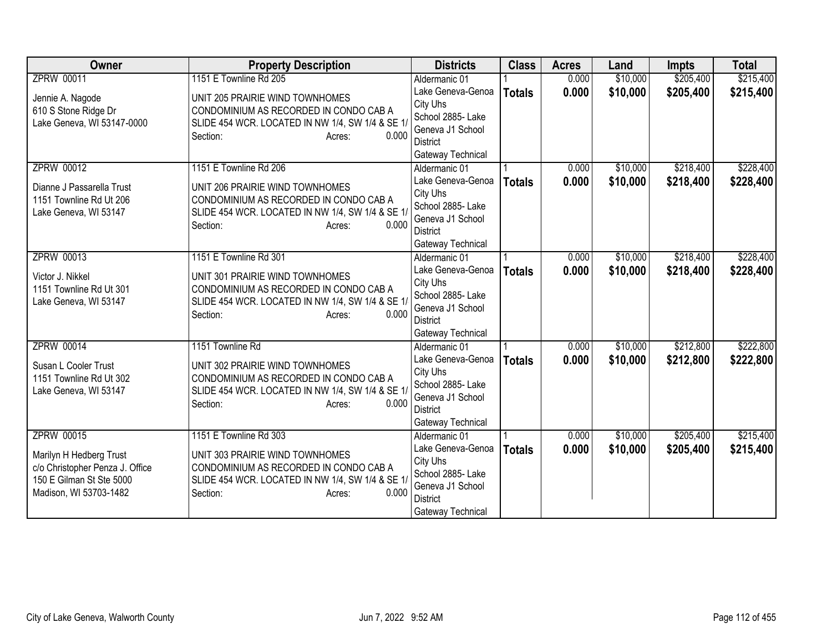| Owner                           | <b>Property Description</b>                      | <b>Districts</b>                    | <b>Class</b>  | <b>Acres</b> | Land     | <b>Impts</b> | <b>Total</b> |
|---------------------------------|--------------------------------------------------|-------------------------------------|---------------|--------------|----------|--------------|--------------|
| <b>ZPRW 00011</b>               | 1151 E Townline Rd 205                           | Aldermanic 01                       |               | 0.000        | \$10,000 | \$205,400    | \$215,400    |
| Jennie A. Nagode                | UNIT 205 PRAIRIE WIND TOWNHOMES                  | Lake Geneva-Genoa                   | <b>Totals</b> | 0.000        | \$10,000 | \$205,400    | \$215,400    |
| 610 S Stone Ridge Dr            | CONDOMINIUM AS RECORDED IN CONDO CAB A           | City Uhs                            |               |              |          |              |              |
| Lake Geneva, WI 53147-0000      | SLIDE 454 WCR. LOCATED IN NW 1/4, SW 1/4 & SE 1/ | School 2885- Lake                   |               |              |          |              |              |
|                                 | 0.000<br>Section:<br>Acres:                      | Geneva J1 School                    |               |              |          |              |              |
|                                 |                                                  | <b>District</b>                     |               |              |          |              |              |
|                                 |                                                  | Gateway Technical                   |               |              |          |              |              |
| <b>ZPRW 00012</b>               | 1151 E Townline Rd 206                           | Aldermanic 01                       |               | 0.000        | \$10,000 | \$218,400    | \$228,400    |
| Dianne J Passarella Trust       | UNIT 206 PRAIRIE WIND TOWNHOMES                  | Lake Geneva-Genoa                   | <b>Totals</b> | 0.000        | \$10,000 | \$218,400    | \$228,400    |
| 1151 Townline Rd Ut 206         | CONDOMINIUM AS RECORDED IN CONDO CAB A           | City Uhs                            |               |              |          |              |              |
| Lake Geneva, WI 53147           | SLIDE 454 WCR. LOCATED IN NW 1/4, SW 1/4 & SE 1/ | School 2885- Lake                   |               |              |          |              |              |
|                                 | 0.000<br>Section:<br>Acres:                      | Geneva J1 School<br><b>District</b> |               |              |          |              |              |
|                                 |                                                  |                                     |               |              |          |              |              |
| <b>ZPRW 00013</b>               | 1151 E Townline Rd 301                           | Gateway Technical<br>Aldermanic 01  |               | 0.000        | \$10,000 | \$218,400    | \$228,400    |
|                                 |                                                  | Lake Geneva-Genoa                   |               |              |          |              |              |
| Victor J. Nikkel                | UNIT 301 PRAIRIE WIND TOWNHOMES                  | City Uhs                            | <b>Totals</b> | 0.000        | \$10,000 | \$218,400    | \$228,400    |
| 1151 Townline Rd Ut 301         | CONDOMINIUM AS RECORDED IN CONDO CAB A           | School 2885- Lake                   |               |              |          |              |              |
| Lake Geneva, WI 53147           | SLIDE 454 WCR. LOCATED IN NW 1/4, SW 1/4 & SE 1/ | Geneva J1 School                    |               |              |          |              |              |
|                                 | 0.000<br>Section:<br>Acres:                      | <b>District</b>                     |               |              |          |              |              |
|                                 |                                                  | Gateway Technical                   |               |              |          |              |              |
| <b>ZPRW 00014</b>               | 1151 Townline Rd                                 | Aldermanic 01                       |               | 0.000        | \$10,000 | \$212,800    | \$222,800    |
| Susan L Cooler Trust            | UNIT 302 PRAIRIE WIND TOWNHOMES                  | Lake Geneva-Genoa                   | <b>Totals</b> | 0.000        | \$10,000 | \$212,800    | \$222,800    |
| 1151 Townline Rd Ut 302         | CONDOMINIUM AS RECORDED IN CONDO CAB A           | City Uhs                            |               |              |          |              |              |
| Lake Geneva, WI 53147           | SLIDE 454 WCR. LOCATED IN NW 1/4, SW 1/4 & SE 1/ | School 2885- Lake                   |               |              |          |              |              |
|                                 | 0.000<br>Section:<br>Acres:                      | Geneva J1 School                    |               |              |          |              |              |
|                                 |                                                  | <b>District</b>                     |               |              |          |              |              |
|                                 |                                                  | Gateway Technical                   |               |              |          |              |              |
| <b>ZPRW 00015</b>               | 1151 E Townline Rd 303                           | Aldermanic 01                       |               | 0.000        | \$10,000 | \$205,400    | \$215,400    |
| Marilyn H Hedberg Trust         | UNIT 303 PRAIRIE WIND TOWNHOMES                  | Lake Geneva-Genoa                   | <b>Totals</b> | 0.000        | \$10,000 | \$205,400    | \$215,400    |
| c/o Christopher Penza J. Office | CONDOMINIUM AS RECORDED IN CONDO CAB A           | City Uhs                            |               |              |          |              |              |
| 150 E Gilman St Ste 5000        | SLIDE 454 WCR. LOCATED IN NW 1/4, SW 1/4 & SE 1/ | School 2885- Lake                   |               |              |          |              |              |
| Madison, WI 53703-1482          | 0.000<br>Section:<br>Acres:                      | Geneva J1 School                    |               |              |          |              |              |
|                                 |                                                  | <b>District</b>                     |               |              |          |              |              |
|                                 |                                                  | Gateway Technical                   |               |              |          |              |              |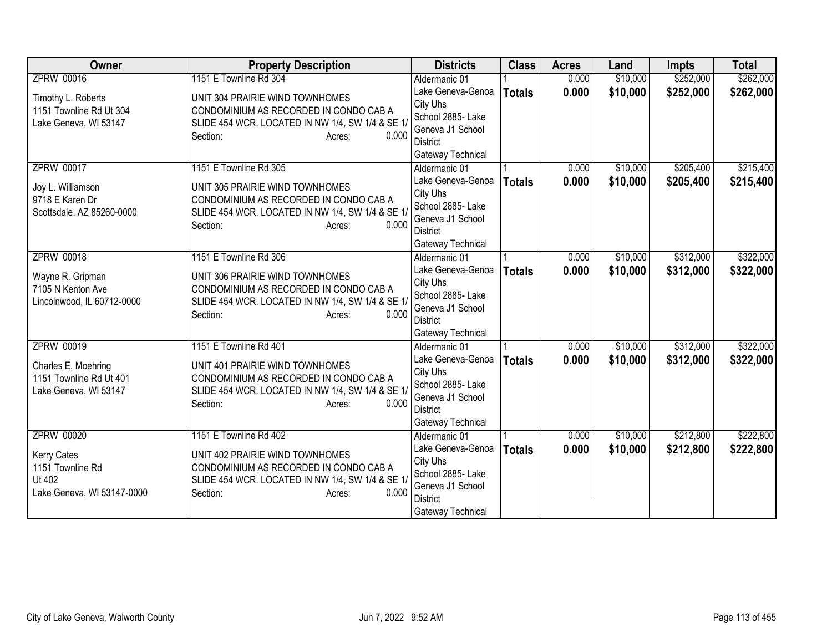| <b>Owner</b>                                   | <b>Property Description</b>                                                                | <b>Districts</b>                    | <b>Class</b>  | <b>Acres</b> | Land     | <b>Impts</b> | <b>Total</b> |
|------------------------------------------------|--------------------------------------------------------------------------------------------|-------------------------------------|---------------|--------------|----------|--------------|--------------|
| <b>ZPRW 00016</b>                              | 1151 E Townline Rd 304                                                                     | Aldermanic 01                       |               | 0.000        | \$10,000 | \$252,000    | \$262,000    |
| Timothy L. Roberts                             | UNIT 304 PRAIRIE WIND TOWNHOMES                                                            | Lake Geneva-Genoa                   | <b>Totals</b> | 0.000        | \$10,000 | \$252,000    | \$262,000    |
| 1151 Townline Rd Ut 304                        | CONDOMINIUM AS RECORDED IN CONDO CAB A                                                     | City Uhs                            |               |              |          |              |              |
| Lake Geneva, WI 53147                          | SLIDE 454 WCR. LOCATED IN NW 1/4, SW 1/4 & SE 1/                                           | School 2885- Lake                   |               |              |          |              |              |
|                                                | 0.000<br>Section:<br>Acres:                                                                | Geneva J1 School<br><b>District</b> |               |              |          |              |              |
|                                                |                                                                                            | Gateway Technical                   |               |              |          |              |              |
| <b>ZPRW 00017</b>                              | 1151 E Townline Rd 305                                                                     | Aldermanic 01                       |               | 0.000        | \$10,000 | \$205,400    | \$215,400    |
|                                                |                                                                                            | Lake Geneva-Genoa                   | <b>Totals</b> | 0.000        | \$10,000 | \$205,400    | \$215,400    |
| Joy L. Williamson                              | UNIT 305 PRAIRIE WIND TOWNHOMES                                                            | City Uhs                            |               |              |          |              |              |
| 9718 E Karen Dr                                | CONDOMINIUM AS RECORDED IN CONDO CAB A                                                     | School 2885- Lake                   |               |              |          |              |              |
| Scottsdale, AZ 85260-0000                      | SLIDE 454 WCR. LOCATED IN NW 1/4, SW 1/4 & SE 1/                                           | Geneva J1 School                    |               |              |          |              |              |
|                                                | 0.000<br>Section:<br>Acres:                                                                | <b>District</b>                     |               |              |          |              |              |
|                                                |                                                                                            | Gateway Technical                   |               |              |          |              |              |
| <b>ZPRW 00018</b>                              | 1151 E Townline Rd 306                                                                     | Aldermanic 01                       |               | 0.000        | \$10,000 | \$312,000    | \$322,000    |
| Wayne R. Gripman                               | UNIT 306 PRAIRIE WIND TOWNHOMES                                                            | Lake Geneva-Genoa                   | <b>Totals</b> | 0.000        | \$10,000 | \$312,000    | \$322,000    |
| 7105 N Kenton Ave                              | CONDOMINIUM AS RECORDED IN CONDO CAB A                                                     | City Uhs                            |               |              |          |              |              |
| Lincolnwood, IL 60712-0000                     | SLIDE 454 WCR. LOCATED IN NW 1/4, SW 1/4 & SE 1/                                           | School 2885- Lake                   |               |              |          |              |              |
|                                                | 0.000<br>Section:<br>Acres:                                                                | Geneva J1 School<br><b>District</b> |               |              |          |              |              |
|                                                |                                                                                            | Gateway Technical                   |               |              |          |              |              |
| <b>ZPRW 00019</b>                              | 1151 E Townline Rd 401                                                                     | Aldermanic 01                       |               | 0.000        | \$10,000 | \$312,000    | \$322,000    |
|                                                |                                                                                            | Lake Geneva-Genoa                   | <b>Totals</b> | 0.000        | \$10,000 | \$312,000    | \$322,000    |
| Charles E. Moehring<br>1151 Townline Rd Ut 401 | UNIT 401 PRAIRIE WIND TOWNHOMES                                                            | City Uhs                            |               |              |          |              |              |
| Lake Geneva, WI 53147                          | CONDOMINIUM AS RECORDED IN CONDO CAB A<br>SLIDE 454 WCR. LOCATED IN NW 1/4, SW 1/4 & SE 1/ | School 2885- Lake                   |               |              |          |              |              |
|                                                | 0.000<br>Section:<br>Acres:                                                                | Geneva J1 School                    |               |              |          |              |              |
|                                                |                                                                                            | <b>District</b>                     |               |              |          |              |              |
|                                                |                                                                                            | Gateway Technical                   |               |              |          |              |              |
| <b>ZPRW 00020</b>                              | 1151 E Townline Rd 402                                                                     | Aldermanic 01                       |               | 0.000        | \$10,000 | \$212,800    | \$222,800    |
| Kerry Cates                                    | UNIT 402 PRAIRIE WIND TOWNHOMES                                                            | Lake Geneva-Genoa                   | <b>Totals</b> | 0.000        | \$10,000 | \$212,800    | \$222,800    |
| 1151 Townline Rd                               | CONDOMINIUM AS RECORDED IN CONDO CAB A                                                     | City Uhs<br>School 2885- Lake       |               |              |          |              |              |
| Ut 402                                         | SLIDE 454 WCR. LOCATED IN NW 1/4, SW 1/4 & SE 1/                                           | Geneva J1 School                    |               |              |          |              |              |
| Lake Geneva, WI 53147-0000                     | Section:<br>0.000<br>Acres:                                                                | <b>District</b>                     |               |              |          |              |              |
|                                                |                                                                                            | Gateway Technical                   |               |              |          |              |              |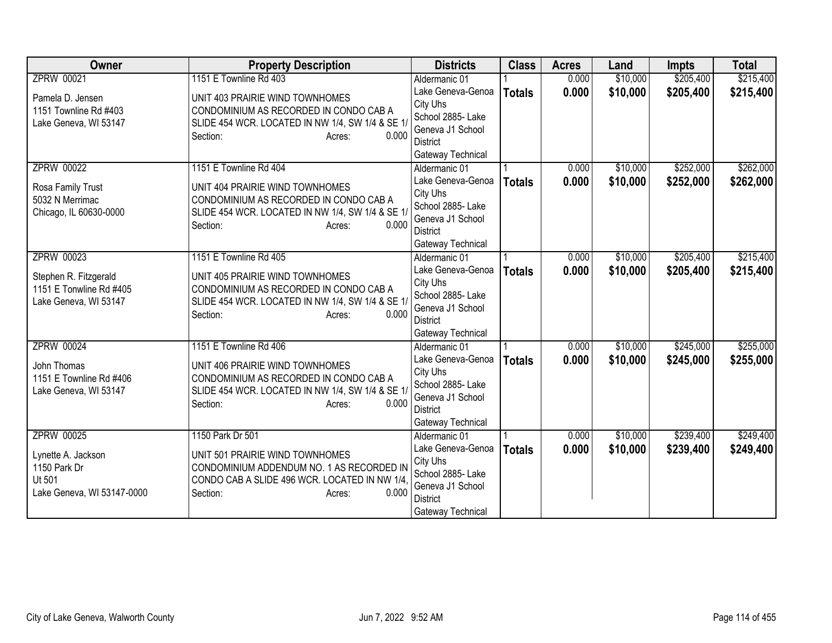| <b>Owner</b>                       | <b>Property Description</b>                                                  | <b>Districts</b>              | <b>Class</b>  | <b>Acres</b> | Land     | <b>Impts</b> | <b>Total</b> |
|------------------------------------|------------------------------------------------------------------------------|-------------------------------|---------------|--------------|----------|--------------|--------------|
| <b>ZPRW 00021</b>                  | 1151 E Townline Rd 403                                                       | Aldermanic 01                 |               | 0.000        | \$10,000 | \$205,400    | \$215,400    |
| Pamela D. Jensen                   | UNIT 403 PRAIRIE WIND TOWNHOMES                                              | Lake Geneva-Genoa             | <b>Totals</b> | 0.000        | \$10,000 | \$205,400    | \$215,400    |
| 1151 Townline Rd #403              | CONDOMINIUM AS RECORDED IN CONDO CAB A                                       | City Uhs                      |               |              |          |              |              |
| Lake Geneva, WI 53147              | SLIDE 454 WCR. LOCATED IN NW 1/4, SW 1/4 & SE 1/                             | School 2885- Lake             |               |              |          |              |              |
|                                    | 0.000<br>Section:<br>Acres:                                                  | Geneva J1 School              |               |              |          |              |              |
|                                    |                                                                              | District                      |               |              |          |              |              |
|                                    |                                                                              | Gateway Technical             |               |              |          |              |              |
| <b>ZPRW 00022</b>                  | 1151 E Townline Rd 404                                                       | Aldermanic 01                 |               | 0.000        | \$10,000 | \$252,000    | \$262,000    |
| Rosa Family Trust                  | UNIT 404 PRAIRIE WIND TOWNHOMES                                              | Lake Geneva-Genoa             | <b>Totals</b> | 0.000        | \$10,000 | \$252,000    | \$262,000    |
| 5032 N Merrimac                    | CONDOMINIUM AS RECORDED IN CONDO CAB A                                       | City Uhs                      |               |              |          |              |              |
| Chicago, IL 60630-0000             | SLIDE 454 WCR. LOCATED IN NW 1/4, SW 1/4 & SE 1/                             | School 2885- Lake             |               |              |          |              |              |
|                                    | 0.000<br>Section:<br>Acres:                                                  | Geneva J1 School              |               |              |          |              |              |
|                                    |                                                                              | <b>District</b>               |               |              |          |              |              |
|                                    |                                                                              | Gateway Technical             |               |              |          |              |              |
| <b>ZPRW 00023</b>                  | 1151 E Townline Rd 405                                                       | Aldermanic 01                 |               | 0.000        | \$10,000 | \$205,400    | \$215,400    |
| Stephen R. Fitzgerald              | UNIT 405 PRAIRIE WIND TOWNHOMES                                              | Lake Geneva-Genoa             | <b>Totals</b> | 0.000        | \$10,000 | \$205,400    | \$215,400    |
| 1151 E Tonwline Rd #405            | CONDOMINIUM AS RECORDED IN CONDO CAB A                                       | City Uhs<br>School 2885- Lake |               |              |          |              |              |
| Lake Geneva, WI 53147              | SLIDE 454 WCR. LOCATED IN NW 1/4, SW 1/4 & SE 1/                             | Geneva J1 School              |               |              |          |              |              |
|                                    | 0.000<br>Section:<br>Acres:                                                  | <b>District</b>               |               |              |          |              |              |
|                                    |                                                                              | Gateway Technical             |               |              |          |              |              |
| <b>ZPRW 00024</b>                  | 1151 E Townline Rd 406                                                       | Aldermanic 01                 |               | 0.000        | \$10,000 | \$245,000    | \$255,000    |
|                                    |                                                                              | Lake Geneva-Genoa             | <b>Totals</b> | 0.000        | \$10,000 | \$245,000    | \$255,000    |
| John Thomas                        | UNIT 406 PRAIRIE WIND TOWNHOMES                                              | City Uhs                      |               |              |          |              |              |
| 1151 E Townline Rd #406            | CONDOMINIUM AS RECORDED IN CONDO CAB A                                       | School 2885- Lake             |               |              |          |              |              |
| Lake Geneva, WI 53147              | SLIDE 454 WCR. LOCATED IN NW 1/4, SW 1/4 & SE 1/                             | Geneva J1 School              |               |              |          |              |              |
|                                    | 0.000<br>Section:<br>Acres:                                                  | <b>District</b>               |               |              |          |              |              |
|                                    |                                                                              | Gateway Technical             |               |              |          |              |              |
| <b>ZPRW 00025</b>                  | 1150 Park Dr 501                                                             | Aldermanic 01                 |               | 0.000        | \$10,000 | \$239,400    | \$249,400    |
|                                    |                                                                              | Lake Geneva-Genoa             | <b>Totals</b> | 0.000        | \$10,000 | \$239,400    | \$249,400    |
| Lynette A. Jackson<br>1150 Park Dr | UNIT 501 PRAIRIE WIND TOWNHOMES<br>CONDOMINIUM ADDENDUM NO. 1 AS RECORDED IN | City Uhs                      |               |              |          |              |              |
| Ut 501                             | CONDO CAB A SLIDE 496 WCR. LOCATED IN NW 1/4.                                | School 2885- Lake             |               |              |          |              |              |
| Lake Geneva, WI 53147-0000         | 0.000<br>Section:<br>Acres:                                                  | Geneva J1 School              |               |              |          |              |              |
|                                    |                                                                              | <b>District</b>               |               |              |          |              |              |
|                                    |                                                                              | Gateway Technical             |               |              |          |              |              |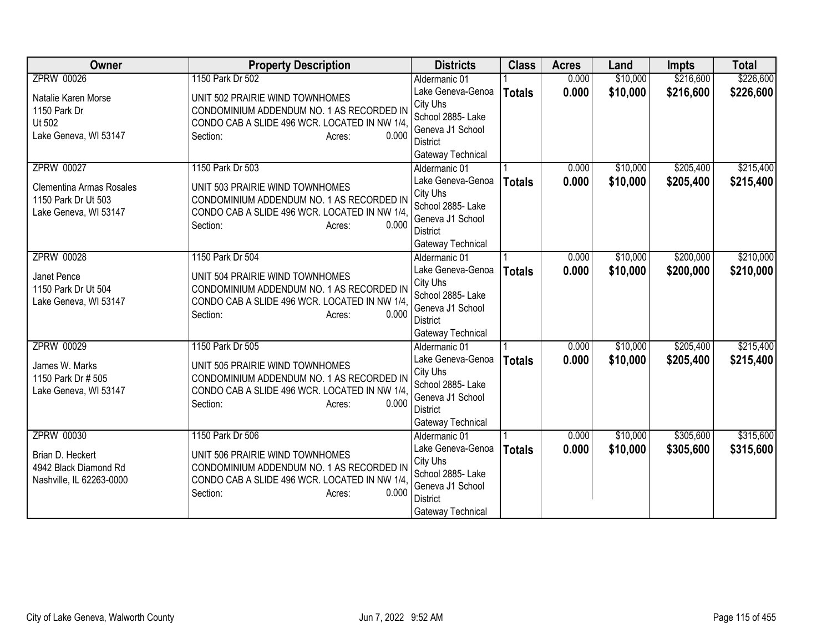| <b>Owner</b>                    | <b>Property Description</b>                   | <b>Districts</b>              | <b>Class</b>  | <b>Acres</b> | Land     | <b>Impts</b> | <b>Total</b> |
|---------------------------------|-----------------------------------------------|-------------------------------|---------------|--------------|----------|--------------|--------------|
| <b>ZPRW 00026</b>               | 1150 Park Dr 502                              | Aldermanic 01                 |               | 0.000        | \$10,000 | \$216,600    | \$226,600    |
| Natalie Karen Morse             | UNIT 502 PRAIRIE WIND TOWNHOMES               | Lake Geneva-Genoa             | <b>Totals</b> | 0.000        | \$10,000 | \$216,600    | \$226,600    |
| 1150 Park Dr                    | CONDOMINIUM ADDENDUM NO. 1 AS RECORDED IN     | City Uhs                      |               |              |          |              |              |
| Ut 502                          | CONDO CAB A SLIDE 496 WCR. LOCATED IN NW 1/4. | School 2885- Lake             |               |              |          |              |              |
| Lake Geneva, WI 53147           | 0.000<br>Section:<br>Acres:                   | Geneva J1 School              |               |              |          |              |              |
|                                 |                                               | <b>District</b>               |               |              |          |              |              |
|                                 |                                               | Gateway Technical             |               |              |          |              |              |
| <b>ZPRW 00027</b>               | 1150 Park Dr 503                              | Aldermanic 01                 |               | 0.000        | \$10,000 | \$205,400    | \$215,400    |
| <b>Clementina Armas Rosales</b> | UNIT 503 PRAIRIE WIND TOWNHOMES               | Lake Geneva-Genoa<br>City Uhs | <b>Totals</b> | 0.000        | \$10,000 | \$205,400    | \$215,400    |
| 1150 Park Dr Ut 503             | CONDOMINIUM ADDENDUM NO. 1 AS RECORDED IN     | School 2885- Lake             |               |              |          |              |              |
| Lake Geneva, WI 53147           | CONDO CAB A SLIDE 496 WCR. LOCATED IN NW 1/4, | Geneva J1 School              |               |              |          |              |              |
|                                 | Section:<br>0.000<br>Acres:                   | <b>District</b>               |               |              |          |              |              |
|                                 |                                               | Gateway Technical             |               |              |          |              |              |
| <b>ZPRW 00028</b>               | 1150 Park Dr 504                              | Aldermanic 01                 |               | 0.000        | \$10,000 | \$200,000    | \$210,000    |
|                                 |                                               | Lake Geneva-Genoa             | <b>Totals</b> | 0.000        | \$10,000 | \$200,000    | \$210,000    |
| Janet Pence                     | UNIT 504 PRAIRIE WIND TOWNHOMES               | City Uhs                      |               |              |          |              |              |
| 1150 Park Dr Ut 504             | CONDOMINIUM ADDENDUM NO. 1 AS RECORDED IN     | School 2885- Lake             |               |              |          |              |              |
| Lake Geneva, WI 53147           | CONDO CAB A SLIDE 496 WCR. LOCATED IN NW 1/4. | Geneva J1 School              |               |              |          |              |              |
|                                 | 0.000<br>Section:<br>Acres:                   | <b>District</b>               |               |              |          |              |              |
|                                 |                                               | Gateway Technical             |               |              |          |              |              |
| <b>ZPRW 00029</b>               | 1150 Park Dr 505                              | Aldermanic 01                 |               | 0.000        | \$10,000 | \$205,400    | \$215,400    |
| James W. Marks                  | UNIT 505 PRAIRIE WIND TOWNHOMES               | Lake Geneva-Genoa             | <b>Totals</b> | 0.000        | \$10,000 | \$205,400    | \$215,400    |
| 1150 Park Dr # 505              | CONDOMINIUM ADDENDUM NO. 1 AS RECORDED IN     | City Uhs                      |               |              |          |              |              |
| Lake Geneva, WI 53147           | CONDO CAB A SLIDE 496 WCR. LOCATED IN NW 1/4, | School 2885- Lake             |               |              |          |              |              |
|                                 | 0.000<br>Section:<br>Acres:                   | Geneva J1 School              |               |              |          |              |              |
|                                 |                                               | <b>District</b>               |               |              |          |              |              |
|                                 |                                               | Gateway Technical             |               |              |          |              |              |
| <b>ZPRW 00030</b>               | 1150 Park Dr 506                              | Aldermanic 01                 |               | 0.000        | \$10,000 | \$305,600    | \$315,600    |
| Brian D. Heckert                | UNIT 506 PRAIRIE WIND TOWNHOMES               | Lake Geneva-Genoa             | <b>Totals</b> | 0.000        | \$10,000 | \$305,600    | \$315,600    |
| 4942 Black Diamond Rd           | CONDOMINIUM ADDENDUM NO. 1 AS RECORDED IN     | City Uhs<br>School 2885- Lake |               |              |          |              |              |
| Nashville, IL 62263-0000        | CONDO CAB A SLIDE 496 WCR. LOCATED IN NW 1/4. | Geneva J1 School              |               |              |          |              |              |
|                                 | 0.000<br>Section:<br>Acres:                   | <b>District</b>               |               |              |          |              |              |
|                                 |                                               | Gateway Technical             |               |              |          |              |              |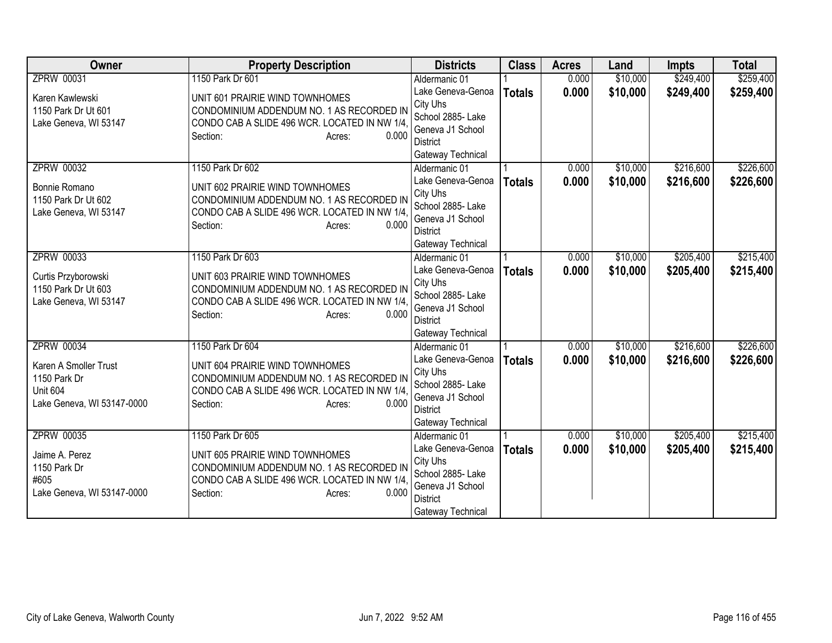| <b>Owner</b>               | <b>Property Description</b>                            | <b>Districts</b>              | <b>Class</b>  | <b>Acres</b> | Land     | <b>Impts</b> | <b>Total</b> |
|----------------------------|--------------------------------------------------------|-------------------------------|---------------|--------------|----------|--------------|--------------|
| <b>ZPRW 00031</b>          | 1150 Park Dr 601                                       | Aldermanic 01                 |               | 0.000        | \$10,000 | \$249,400    | \$259,400    |
| Karen Kawlewski            | UNIT 601 PRAIRIE WIND TOWNHOMES                        | Lake Geneva-Genoa             | <b>Totals</b> | 0.000        | \$10,000 | \$249,400    | \$259,400    |
| 1150 Park Dr Ut 601        | CONDOMINIUM ADDENDUM NO. 1 AS RECORDED IN              | City Uhs                      |               |              |          |              |              |
| Lake Geneva, WI 53147      | CONDO CAB A SLIDE 496 WCR. LOCATED IN NW 1/4.          | School 2885- Lake             |               |              |          |              |              |
|                            | 0.000<br>Section:<br>Acres:                            | Geneva J1 School              |               |              |          |              |              |
|                            |                                                        | District                      |               |              |          |              |              |
|                            |                                                        | Gateway Technical             |               |              |          |              |              |
| <b>ZPRW 00032</b>          | 1150 Park Dr 602                                       | Aldermanic 01                 |               | 0.000        | \$10,000 | \$216,600    | \$226,600    |
| Bonnie Romano              | UNIT 602 PRAIRIE WIND TOWNHOMES                        | Lake Geneva-Genoa<br>City Uhs | <b>Totals</b> | 0.000        | \$10,000 | \$216,600    | \$226,600    |
| 1150 Park Dr Ut 602        | CONDOMINIUM ADDENDUM NO. 1 AS RECORDED IN              | School 2885- Lake             |               |              |          |              |              |
| Lake Geneva, WI 53147      | CONDO CAB A SLIDE 496 WCR. LOCATED IN NW 1/4,          | Geneva J1 School              |               |              |          |              |              |
|                            | 0.000<br>Section:<br>Acres:                            | <b>District</b>               |               |              |          |              |              |
|                            |                                                        | Gateway Technical             |               |              |          |              |              |
| <b>ZPRW 00033</b>          | 1150 Park Dr 603                                       | Aldermanic 01                 |               | 0.000        | \$10,000 | \$205,400    | \$215,400    |
|                            |                                                        | Lake Geneva-Genoa             | <b>Totals</b> | 0.000        | \$10,000 | \$205,400    | \$215,400    |
| Curtis Przyborowski        | UNIT 603 PRAIRIE WIND TOWNHOMES                        | City Uhs                      |               |              |          |              |              |
| 1150 Park Dr Ut 603        | CONDOMINIUM ADDENDUM NO. 1 AS RECORDED IN              | School 2885- Lake             |               |              |          |              |              |
| Lake Geneva, WI 53147      | CONDO CAB A SLIDE 496 WCR. LOCATED IN NW 1/4.<br>0.000 | Geneva J1 School              |               |              |          |              |              |
|                            | Section:<br>Acres:                                     | District                      |               |              |          |              |              |
|                            |                                                        | Gateway Technical             |               |              |          |              |              |
| <b>ZPRW 00034</b>          | 1150 Park Dr 604                                       | Aldermanic 01                 |               | 0.000        | \$10,000 | \$216,600    | \$226,600    |
| Karen A Smoller Trust      | UNIT 604 PRAIRIE WIND TOWNHOMES                        | Lake Geneva-Genoa             | <b>Totals</b> | 0.000        | \$10,000 | \$216,600    | \$226,600    |
| 1150 Park Dr               | CONDOMINIUM ADDENDUM NO. 1 AS RECORDED IN              | City Uhs                      |               |              |          |              |              |
| <b>Unit 604</b>            | CONDO CAB A SLIDE 496 WCR. LOCATED IN NW 1/4.          | School 2885- Lake             |               |              |          |              |              |
| Lake Geneva, WI 53147-0000 | Section:<br>0.000<br>Acres:                            | Geneva J1 School              |               |              |          |              |              |
|                            |                                                        | <b>District</b>               |               |              |          |              |              |
|                            |                                                        | Gateway Technical             |               |              |          |              |              |
| <b>ZPRW 00035</b>          | 1150 Park Dr 605                                       | Aldermanic 01                 |               | 0.000        | \$10,000 | \$205,400    | \$215,400    |
| Jaime A. Perez             | UNIT 605 PRAIRIE WIND TOWNHOMES                        | Lake Geneva-Genoa<br>City Uhs | <b>Totals</b> | 0.000        | \$10,000 | \$205,400    | \$215,400    |
| 1150 Park Dr               | CONDOMINIUM ADDENDUM NO. 1 AS RECORDED IN              | School 2885- Lake             |               |              |          |              |              |
| #605                       | CONDO CAB A SLIDE 496 WCR. LOCATED IN NW 1/4.          | Geneva J1 School              |               |              |          |              |              |
| Lake Geneva, WI 53147-0000 | 0.000<br>Section:<br>Acres:                            | <b>District</b>               |               |              |          |              |              |
|                            |                                                        | Gateway Technical             |               |              |          |              |              |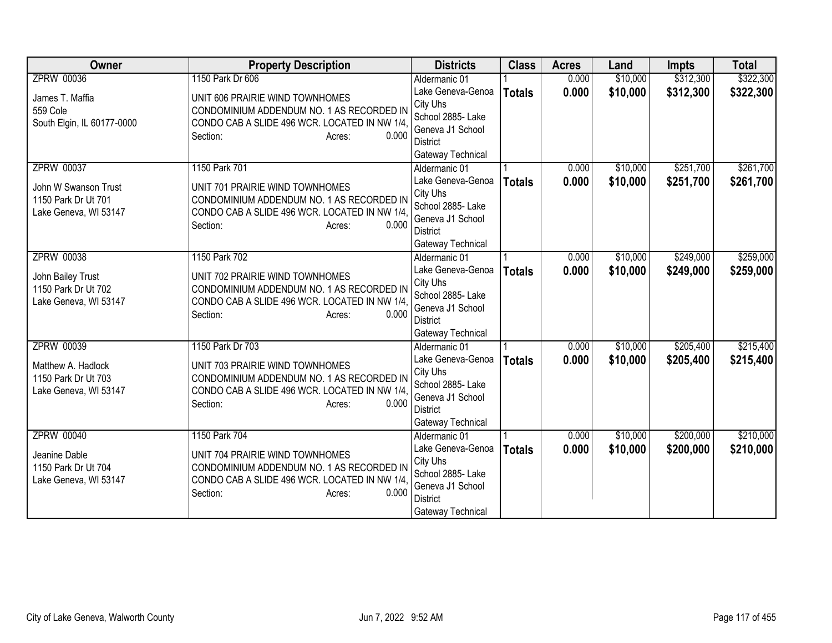| <b>Owner</b>               | <b>Property Description</b>                            | <b>Districts</b>                   | <b>Class</b>  | <b>Acres</b> | Land     | <b>Impts</b> | <b>Total</b> |
|----------------------------|--------------------------------------------------------|------------------------------------|---------------|--------------|----------|--------------|--------------|
| <b>ZPRW 00036</b>          | 1150 Park Dr 606                                       | Aldermanic 01                      |               | 0.000        | \$10,000 | \$312,300    | \$322,300    |
| James T. Maffia            | UNIT 606 PRAIRIE WIND TOWNHOMES                        | Lake Geneva-Genoa                  | <b>Totals</b> | 0.000        | \$10,000 | \$312,300    | \$322,300    |
| 559 Cole                   | CONDOMINIUM ADDENDUM NO. 1 AS RECORDED IN              | City Uhs                           |               |              |          |              |              |
| South Elgin, IL 60177-0000 | CONDO CAB A SLIDE 496 WCR. LOCATED IN NW 1/4.          | School 2885- Lake                  |               |              |          |              |              |
|                            | 0.000<br>Section:<br>Acres:                            | Geneva J1 School                   |               |              |          |              |              |
|                            |                                                        | <b>District</b>                    |               |              |          |              |              |
|                            |                                                        | Gateway Technical                  |               |              |          |              |              |
| <b>ZPRW 00037</b>          | 1150 Park 701                                          | Aldermanic 01                      |               | 0.000        | \$10,000 | \$251,700    | \$261,700    |
| John W Swanson Trust       | UNIT 701 PRAIRIE WIND TOWNHOMES                        | Lake Geneva-Genoa<br>City Uhs      | <b>Totals</b> | 0.000        | \$10,000 | \$251,700    | \$261,700    |
| 1150 Park Dr Ut 701        | CONDOMINIUM ADDENDUM NO. 1 AS RECORDED IN              | School 2885- Lake                  |               |              |          |              |              |
| Lake Geneva, WI 53147      | CONDO CAB A SLIDE 496 WCR. LOCATED IN NW 1/4,          | Geneva J1 School                   |               |              |          |              |              |
|                            | Section:<br>0.000<br>Acres:                            | <b>District</b>                    |               |              |          |              |              |
|                            |                                                        | Gateway Technical                  |               |              |          |              |              |
| <b>ZPRW 00038</b>          | 1150 Park 702                                          | Aldermanic 01                      |               | 0.000        | \$10,000 | \$249,000    | \$259,000    |
|                            |                                                        | Lake Geneva-Genoa                  | <b>Totals</b> | 0.000        | \$10,000 | \$249,000    | \$259,000    |
| John Bailey Trust          | UNIT 702 PRAIRIE WIND TOWNHOMES                        | City Uhs                           |               |              |          |              |              |
| 1150 Park Dr Ut 702        | CONDOMINIUM ADDENDUM NO. 1 AS RECORDED IN              | School 2885- Lake                  |               |              |          |              |              |
| Lake Geneva, WI 53147      | CONDO CAB A SLIDE 496 WCR. LOCATED IN NW 1/4.<br>0.000 | Geneva J1 School                   |               |              |          |              |              |
|                            | Section:<br>Acres:                                     | <b>District</b>                    |               |              |          |              |              |
|                            |                                                        | Gateway Technical                  |               |              |          |              |              |
| <b>ZPRW 00039</b>          | 1150 Park Dr 703                                       | Aldermanic 01                      |               | 0.000        | \$10,000 | \$205,400    | \$215,400    |
| Matthew A. Hadlock         | UNIT 703 PRAIRIE WIND TOWNHOMES                        | Lake Geneva-Genoa                  | <b>Totals</b> | 0.000        | \$10,000 | \$205,400    | \$215,400    |
| 1150 Park Dr Ut 703        | CONDOMINIUM ADDENDUM NO. 1 AS RECORDED IN              | City Uhs                           |               |              |          |              |              |
| Lake Geneva, WI 53147      | CONDO CAB A SLIDE 496 WCR. LOCATED IN NW 1/4,          | School 2885- Lake                  |               |              |          |              |              |
|                            | 0.000<br>Section:<br>Acres:                            | Geneva J1 School                   |               |              |          |              |              |
|                            |                                                        | <b>District</b>                    |               |              |          |              |              |
| <b>ZPRW 00040</b>          |                                                        | Gateway Technical                  |               |              |          |              |              |
|                            | 1150 Park 704                                          | Aldermanic 01<br>Lake Geneva-Genoa |               | 0.000        | \$10,000 | \$200,000    | \$210,000    |
| Jeanine Dable              | UNIT 704 PRAIRIE WIND TOWNHOMES                        | City Uhs                           | <b>Totals</b> | 0.000        | \$10,000 | \$200,000    | \$210,000    |
| 1150 Park Dr Ut 704        | CONDOMINIUM ADDENDUM NO. 1 AS RECORDED IN              | School 2885- Lake                  |               |              |          |              |              |
| Lake Geneva, WI 53147      | CONDO CAB A SLIDE 496 WCR. LOCATED IN NW 1/4.          | Geneva J1 School                   |               |              |          |              |              |
|                            | 0.000<br>Section:<br>Acres:                            | <b>District</b>                    |               |              |          |              |              |
|                            |                                                        | Gateway Technical                  |               |              |          |              |              |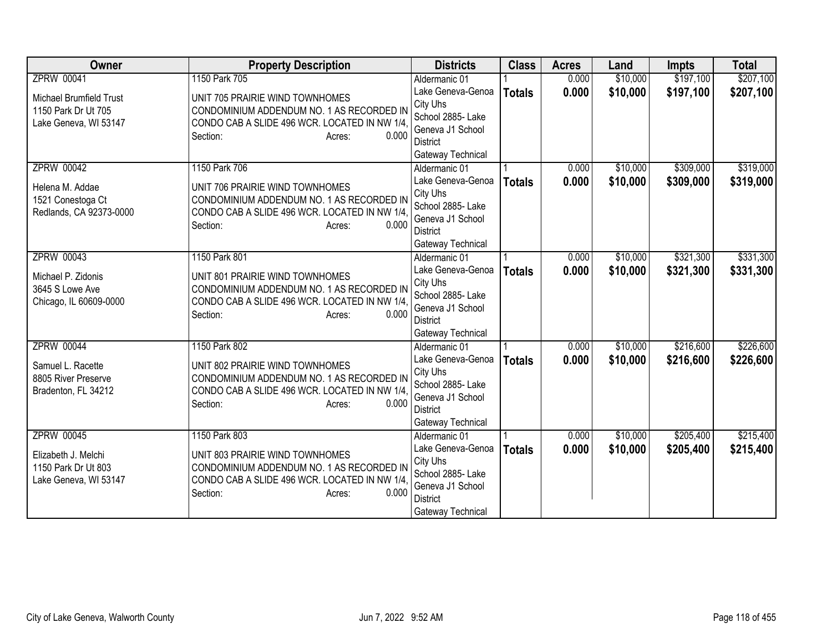| <b>Owner</b>                               | <b>Property Description</b>                                                  | <b>Districts</b>                   | <b>Class</b>  | <b>Acres</b> | Land     | <b>Impts</b> | <b>Total</b> |
|--------------------------------------------|------------------------------------------------------------------------------|------------------------------------|---------------|--------------|----------|--------------|--------------|
| <b>ZPRW 00041</b>                          | 1150 Park 705                                                                | Aldermanic 01                      |               | 0.000        | \$10,000 | \$197,100    | \$207,100    |
| Michael Brumfield Trust                    | UNIT 705 PRAIRIE WIND TOWNHOMES                                              | Lake Geneva-Genoa                  | <b>Totals</b> | 0.000        | \$10,000 | \$197,100    | \$207,100    |
| 1150 Park Dr Ut 705                        | CONDOMINIUM ADDENDUM NO. 1 AS RECORDED IN                                    | City Uhs                           |               |              |          |              |              |
| Lake Geneva, WI 53147                      | CONDO CAB A SLIDE 496 WCR. LOCATED IN NW 1/4.                                | School 2885- Lake                  |               |              |          |              |              |
|                                            | 0.000<br>Section:<br>Acres:                                                  | Geneva J1 School                   |               |              |          |              |              |
|                                            |                                                                              | District                           |               |              |          |              |              |
| <b>ZPRW 00042</b>                          | 1150 Park 706                                                                | Gateway Technical<br>Aldermanic 01 |               | 0.000        | \$10,000 | \$309,000    | \$319,000    |
|                                            |                                                                              | Lake Geneva-Genoa                  |               | 0.000        | \$10,000 |              |              |
| Helena M. Addae                            | UNIT 706 PRAIRIE WIND TOWNHOMES                                              | City Uhs                           | <b>Totals</b> |              |          | \$309,000    | \$319,000    |
| 1521 Conestoga Ct                          | CONDOMINIUM ADDENDUM NO. 1 AS RECORDED IN                                    | School 2885- Lake                  |               |              |          |              |              |
| Redlands, CA 92373-0000                    | CONDO CAB A SLIDE 496 WCR. LOCATED IN NW 1/4,                                | Geneva J1 School                   |               |              |          |              |              |
|                                            | 0.000<br>Section:<br>Acres:                                                  | <b>District</b>                    |               |              |          |              |              |
|                                            |                                                                              | Gateway Technical                  |               |              |          |              |              |
| <b>ZPRW 00043</b>                          | 1150 Park 801                                                                | Aldermanic 01                      |               | 0.000        | \$10,000 | \$321,300    | \$331,300    |
|                                            |                                                                              | Lake Geneva-Genoa                  | <b>Totals</b> | 0.000        | \$10,000 | \$321,300    | \$331,300    |
| Michael P. Zidonis<br>3645 S Lowe Ave      | UNIT 801 PRAIRIE WIND TOWNHOMES<br>CONDOMINIUM ADDENDUM NO. 1 AS RECORDED IN | City Uhs                           |               |              |          |              |              |
| Chicago, IL 60609-0000                     | CONDO CAB A SLIDE 496 WCR. LOCATED IN NW 1/4.                                | School 2885- Lake                  |               |              |          |              |              |
|                                            | 0.000<br>Section:<br>Acres:                                                  | Geneva J1 School                   |               |              |          |              |              |
|                                            |                                                                              | District                           |               |              |          |              |              |
|                                            |                                                                              | Gateway Technical                  |               |              |          |              |              |
| <b>ZPRW 00044</b>                          | 1150 Park 802                                                                | Aldermanic 01                      |               | 0.000        | \$10,000 | \$216,600    | \$226,600    |
| Samuel L. Racette                          | UNIT 802 PRAIRIE WIND TOWNHOMES                                              | Lake Geneva-Genoa                  | <b>Totals</b> | 0.000        | \$10,000 | \$216,600    | \$226,600    |
| 8805 River Preserve                        | CONDOMINIUM ADDENDUM NO. 1 AS RECORDED IN                                    | City Uhs<br>School 2885- Lake      |               |              |          |              |              |
| Bradenton, FL 34212                        | CONDO CAB A SLIDE 496 WCR. LOCATED IN NW 1/4.                                | Geneva J1 School                   |               |              |          |              |              |
|                                            | Section:<br>0.000<br>Acres:                                                  | <b>District</b>                    |               |              |          |              |              |
|                                            |                                                                              | Gateway Technical                  |               |              |          |              |              |
| <b>ZPRW 00045</b>                          | 1150 Park 803                                                                | Aldermanic 01                      |               | 0.000        | \$10,000 | \$205,400    | \$215,400    |
|                                            |                                                                              | Lake Geneva-Genoa                  | <b>Totals</b> | 0.000        | \$10,000 | \$205,400    | \$215,400    |
| Elizabeth J. Melchi<br>1150 Park Dr Ut 803 | UNIT 803 PRAIRIE WIND TOWNHOMES<br>CONDOMINIUM ADDENDUM NO. 1 AS RECORDED IN | City Uhs                           |               |              |          |              |              |
| Lake Geneva, WI 53147                      | CONDO CAB A SLIDE 496 WCR. LOCATED IN NW 1/4.                                | School 2885- Lake                  |               |              |          |              |              |
|                                            | Section:<br>0.000<br>Acres:                                                  | Geneva J1 School                   |               |              |          |              |              |
|                                            |                                                                              | <b>District</b>                    |               |              |          |              |              |
|                                            |                                                                              | Gateway Technical                  |               |              |          |              |              |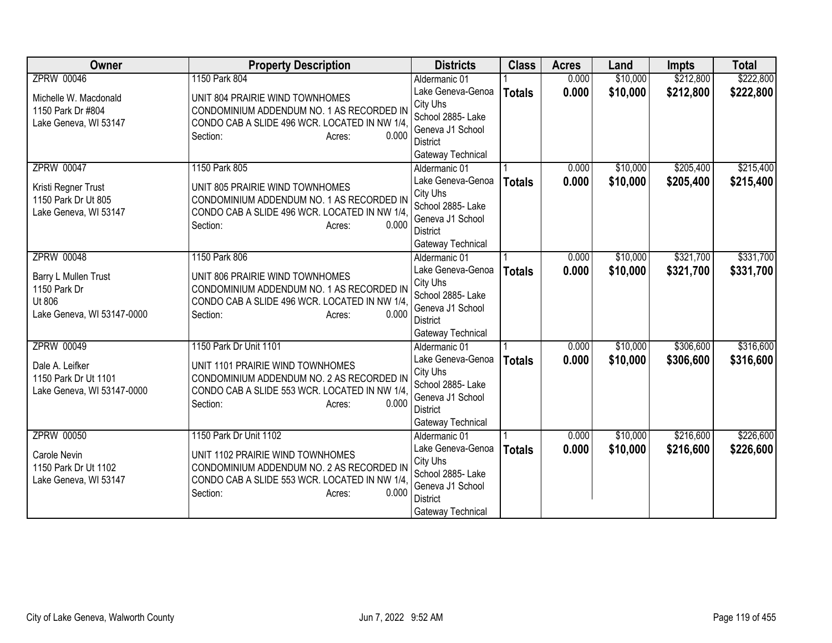| <b>Owner</b>                         | <b>Property Description</b>                                                  | <b>Districts</b>                   | <b>Class</b>  | <b>Acres</b> | Land     | <b>Impts</b> | <b>Total</b> |
|--------------------------------------|------------------------------------------------------------------------------|------------------------------------|---------------|--------------|----------|--------------|--------------|
| <b>ZPRW 00046</b>                    | 1150 Park 804                                                                | Aldermanic 01                      |               | 0.000        | \$10,000 | \$212,800    | \$222,800    |
| Michelle W. Macdonald                | UNIT 804 PRAIRIE WIND TOWNHOMES                                              | Lake Geneva-Genoa                  | <b>Totals</b> | 0.000        | \$10,000 | \$212,800    | \$222,800    |
| 1150 Park Dr #804                    | CONDOMINIUM ADDENDUM NO. 1 AS RECORDED IN                                    | City Uhs                           |               |              |          |              |              |
| Lake Geneva, WI 53147                | CONDO CAB A SLIDE 496 WCR. LOCATED IN NW 1/4.                                | School 2885- Lake                  |               |              |          |              |              |
|                                      | 0.000<br>Section:<br>Acres:                                                  | Geneva J1 School                   |               |              |          |              |              |
|                                      |                                                                              | District                           |               |              |          |              |              |
| <b>ZPRW 00047</b>                    | 1150 Park 805                                                                | Gateway Technical<br>Aldermanic 01 |               | 0.000        | \$10,000 | \$205,400    | \$215,400    |
|                                      |                                                                              | Lake Geneva-Genoa                  |               | 0.000        | \$10,000 |              |              |
| Kristi Regner Trust                  | UNIT 805 PRAIRIE WIND TOWNHOMES                                              | City Uhs                           | <b>Totals</b> |              |          | \$205,400    | \$215,400    |
| 1150 Park Dr Ut 805                  | CONDOMINIUM ADDENDUM NO. 1 AS RECORDED IN                                    | School 2885- Lake                  |               |              |          |              |              |
| Lake Geneva, WI 53147                | CONDO CAB A SLIDE 496 WCR. LOCATED IN NW 1/4,                                | Geneva J1 School                   |               |              |          |              |              |
|                                      | 0.000<br>Section:<br>Acres:                                                  | <b>District</b>                    |               |              |          |              |              |
|                                      |                                                                              | Gateway Technical                  |               |              |          |              |              |
| <b>ZPRW 00048</b>                    | 1150 Park 806                                                                | Aldermanic 01                      |               | 0.000        | \$10,000 | \$321,700    | \$331,700    |
|                                      |                                                                              | Lake Geneva-Genoa                  | <b>Totals</b> | 0.000        | \$10,000 | \$321,700    | \$331,700    |
| Barry L Mullen Trust<br>1150 Park Dr | UNIT 806 PRAIRIE WIND TOWNHOMES<br>CONDOMINIUM ADDENDUM NO. 1 AS RECORDED IN | City Uhs                           |               |              |          |              |              |
| Ut 806                               | CONDO CAB A SLIDE 496 WCR. LOCATED IN NW 1/4                                 | School 2885- Lake                  |               |              |          |              |              |
| Lake Geneva, WI 53147-0000           | 0.000<br>Section:<br>Acres:                                                  | Geneva J1 School                   |               |              |          |              |              |
|                                      |                                                                              | District                           |               |              |          |              |              |
|                                      |                                                                              | Gateway Technical                  |               |              |          |              |              |
| <b>ZPRW 00049</b>                    | 1150 Park Dr Unit 1101                                                       | Aldermanic 01                      |               | 0.000        | \$10,000 | \$306,600    | \$316,600    |
| Dale A. Leifker                      | UNIT 1101 PRAIRIE WIND TOWNHOMES                                             | Lake Geneva-Genoa                  | <b>Totals</b> | 0.000        | \$10,000 | \$306,600    | \$316,600    |
| 1150 Park Dr Ut 1101                 | CONDOMINIUM ADDENDUM NO. 2 AS RECORDED IN                                    | City Uhs<br>School 2885- Lake      |               |              |          |              |              |
| Lake Geneva, WI 53147-0000           | CONDO CAB A SLIDE 553 WCR. LOCATED IN NW 1/4.                                | Geneva J1 School                   |               |              |          |              |              |
|                                      | Section:<br>0.000<br>Acres:                                                  | <b>District</b>                    |               |              |          |              |              |
|                                      |                                                                              | Gateway Technical                  |               |              |          |              |              |
| ZPRW 00050                           | 1150 Park Dr Unit 1102                                                       | Aldermanic 01                      |               | 0.000        | \$10,000 | \$216,600    | \$226,600    |
|                                      |                                                                              | Lake Geneva-Genoa                  | <b>Totals</b> | 0.000        | \$10,000 | \$216,600    | \$226,600    |
| Carole Nevin                         | UNIT 1102 PRAIRIE WIND TOWNHOMES                                             | City Uhs                           |               |              |          |              |              |
| 1150 Park Dr Ut 1102                 | CONDOMINIUM ADDENDUM NO. 2 AS RECORDED IN                                    | School 2885- Lake                  |               |              |          |              |              |
| Lake Geneva, WI 53147                | CONDO CAB A SLIDE 553 WCR. LOCATED IN NW 1/4.<br>0.000                       | Geneva J1 School                   |               |              |          |              |              |
|                                      | Section:<br>Acres:                                                           | <b>District</b>                    |               |              |          |              |              |
|                                      |                                                                              | Gateway Technical                  |               |              |          |              |              |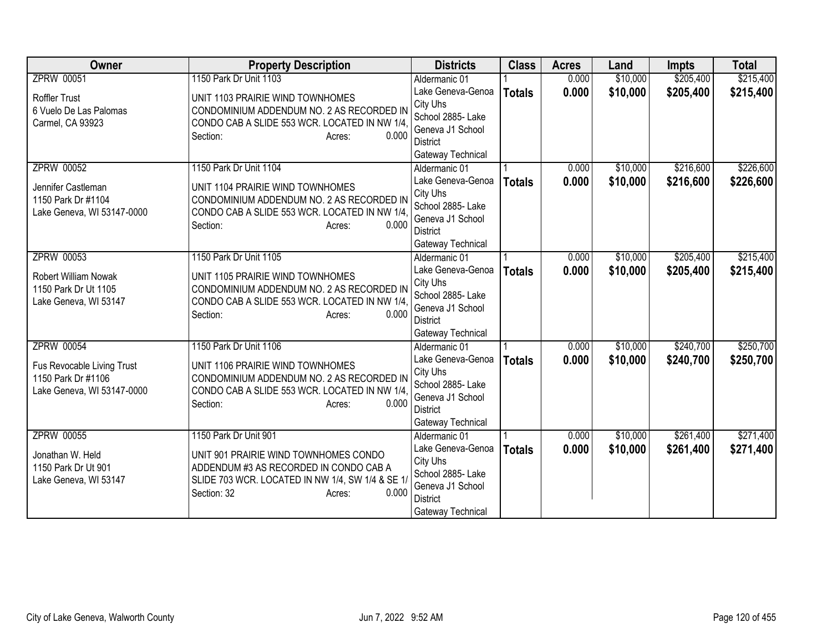| <b>Owner</b>                                  | <b>Property Description</b>                                                   | <b>Districts</b>                   | <b>Class</b>  | <b>Acres</b> | Land     | <b>Impts</b> | <b>Total</b> |
|-----------------------------------------------|-------------------------------------------------------------------------------|------------------------------------|---------------|--------------|----------|--------------|--------------|
| <b>ZPRW 00051</b>                             | 1150 Park Dr Unit 1103                                                        | Aldermanic 01                      |               | 0.000        | \$10,000 | \$205,400    | \$215,400    |
| <b>Roffler Trust</b>                          | UNIT 1103 PRAIRIE WIND TOWNHOMES                                              | Lake Geneva-Genoa                  | <b>Totals</b> | 0.000        | \$10,000 | \$205,400    | \$215,400    |
| 6 Vuelo De Las Palomas                        | CONDOMINIUM ADDENDUM NO. 2 AS RECORDED IN                                     | City Uhs                           |               |              |          |              |              |
| Carmel, CA 93923                              | CONDO CAB A SLIDE 553 WCR. LOCATED IN NW 1/4.                                 | School 2885- Lake                  |               |              |          |              |              |
|                                               | 0.000<br>Section:<br>Acres:                                                   | Geneva J1 School                   |               |              |          |              |              |
|                                               |                                                                               | <b>District</b>                    |               |              |          |              |              |
| <b>ZPRW 00052</b>                             | 1150 Park Dr Unit 1104                                                        | Gateway Technical<br>Aldermanic 01 |               | 0.000        | \$10,000 | \$216,600    | \$226,600    |
|                                               |                                                                               | Lake Geneva-Genoa                  |               | 0.000        | \$10,000 | \$216,600    |              |
| Jennifer Castleman                            | UNIT 1104 PRAIRIE WIND TOWNHOMES                                              | City Uhs                           | <b>Totals</b> |              |          |              | \$226,600    |
| 1150 Park Dr #1104                            | CONDOMINIUM ADDENDUM NO. 2 AS RECORDED IN                                     | School 2885- Lake                  |               |              |          |              |              |
| Lake Geneva, WI 53147-0000                    | CONDO CAB A SLIDE 553 WCR. LOCATED IN NW 1/4,                                 | Geneva J1 School                   |               |              |          |              |              |
|                                               | Section:<br>0.000<br>Acres:                                                   | <b>District</b>                    |               |              |          |              |              |
|                                               |                                                                               | Gateway Technical                  |               |              |          |              |              |
| <b>ZPRW 00053</b>                             | 1150 Park Dr Unit 1105                                                        | Aldermanic 01                      |               | 0.000        | \$10,000 | \$205,400    | \$215,400    |
|                                               |                                                                               | Lake Geneva-Genoa                  | <b>Totals</b> | 0.000        | \$10,000 | \$205,400    | \$215,400    |
| <b>Robert William Nowak</b>                   | UNIT 1105 PRAIRIE WIND TOWNHOMES<br>CONDOMINIUM ADDENDUM NO. 2 AS RECORDED IN | City Uhs                           |               |              |          |              |              |
| 1150 Park Dr Ut 1105<br>Lake Geneva, WI 53147 | CONDO CAB A SLIDE 553 WCR. LOCATED IN NW 1/4.                                 | School 2885- Lake                  |               |              |          |              |              |
|                                               | 0.000<br>Section:<br>Acres:                                                   | Geneva J1 School                   |               |              |          |              |              |
|                                               |                                                                               | <b>District</b>                    |               |              |          |              |              |
|                                               |                                                                               | Gateway Technical                  |               |              |          |              |              |
| <b>ZPRW 00054</b>                             | 1150 Park Dr Unit 1106                                                        | Aldermanic 01                      |               | 0.000        | \$10,000 | \$240,700    | \$250,700    |
| Fus Revocable Living Trust                    | UNIT 1106 PRAIRIE WIND TOWNHOMES                                              | Lake Geneva-Genoa                  | <b>Totals</b> | 0.000        | \$10,000 | \$240,700    | \$250,700    |
| 1150 Park Dr #1106                            | CONDOMINIUM ADDENDUM NO. 2 AS RECORDED IN                                     | City Uhs<br>School 2885- Lake      |               |              |          |              |              |
| Lake Geneva, WI 53147-0000                    | CONDO CAB A SLIDE 553 WCR. LOCATED IN NW 1/4,                                 | Geneva J1 School                   |               |              |          |              |              |
|                                               | 0.000<br>Section:<br>Acres:                                                   | <b>District</b>                    |               |              |          |              |              |
|                                               |                                                                               | Gateway Technical                  |               |              |          |              |              |
| <b>ZPRW 00055</b>                             | 1150 Park Dr Unit 901                                                         | Aldermanic 01                      |               | 0.000        | \$10,000 | \$261,400    | \$271,400    |
|                                               |                                                                               | Lake Geneva-Genoa                  | <b>Totals</b> | 0.000        | \$10,000 | \$261,400    | \$271,400    |
| Jonathan W. Held                              | UNIT 901 PRAIRIE WIND TOWNHOMES CONDO                                         | City Uhs                           |               |              |          |              |              |
| 1150 Park Dr Ut 901                           | ADDENDUM #3 AS RECORDED IN CONDO CAB A                                        | School 2885- Lake                  |               |              |          |              |              |
| Lake Geneva, WI 53147                         | SLIDE 703 WCR. LOCATED IN NW 1/4, SW 1/4 & SE 1/                              | Geneva J1 School                   |               |              |          |              |              |
|                                               | Section: 32<br>0.000<br>Acres:                                                | <b>District</b>                    |               |              |          |              |              |
|                                               |                                                                               | Gateway Technical                  |               |              |          |              |              |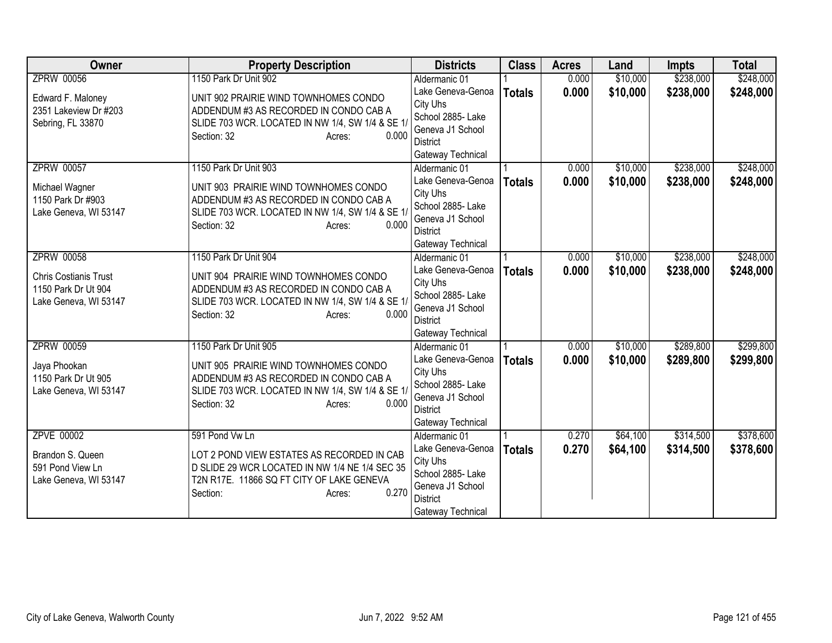| Owner                        | <b>Property Description</b>                      | <b>Districts</b>                    | <b>Class</b>  | <b>Acres</b> | Land     | <b>Impts</b> | <b>Total</b> |
|------------------------------|--------------------------------------------------|-------------------------------------|---------------|--------------|----------|--------------|--------------|
| <b>ZPRW 00056</b>            | 1150 Park Dr Unit 902                            | Aldermanic 01                       |               | 0.000        | \$10,000 | \$238,000    | \$248,000    |
| Edward F. Maloney            | UNIT 902 PRAIRIE WIND TOWNHOMES CONDO            | Lake Geneva-Genoa                   | <b>Totals</b> | 0.000        | \$10,000 | \$238,000    | \$248,000    |
| 2351 Lakeview Dr #203        | ADDENDUM #3 AS RECORDED IN CONDO CAB A           | City Uhs                            |               |              |          |              |              |
| Sebring, FL 33870            | SLIDE 703 WCR. LOCATED IN NW 1/4, SW 1/4 & SE 1/ | School 2885-Lake                    |               |              |          |              |              |
|                              | Section: 32<br>0.000<br>Acres:                   | Geneva J1 School                    |               |              |          |              |              |
|                              |                                                  | District                            |               |              |          |              |              |
|                              |                                                  | Gateway Technical                   |               |              |          |              |              |
| <b>ZPRW 00057</b>            | 1150 Park Dr Unit 903                            | Aldermanic 01                       |               | 0.000        | \$10,000 | \$238,000    | \$248,000    |
| Michael Wagner               | UNIT 903 PRAIRIE WIND TOWNHOMES CONDO            | Lake Geneva-Genoa                   | <b>Totals</b> | 0.000        | \$10,000 | \$238,000    | \$248,000    |
| 1150 Park Dr #903            | ADDENDUM #3 AS RECORDED IN CONDO CAB A           | City Uhs                            |               |              |          |              |              |
| Lake Geneva, WI 53147        | SLIDE 703 WCR. LOCATED IN NW 1/4, SW 1/4 & SE 1/ | School 2885- Lake                   |               |              |          |              |              |
|                              | Section: 32<br>0.000<br>Acres:                   | Geneva J1 School<br><b>District</b> |               |              |          |              |              |
|                              |                                                  | Gateway Technical                   |               |              |          |              |              |
| <b>ZPRW 00058</b>            | 1150 Park Dr Unit 904                            | Aldermanic 01                       |               | 0.000        | \$10,000 | \$238,000    | \$248,000    |
|                              |                                                  | Lake Geneva-Genoa                   |               | 0.000        | \$10,000 | \$238,000    | \$248,000    |
| <b>Chris Costianis Trust</b> | UNIT 904 PRAIRIE WIND TOWNHOMES CONDO            | City Uhs                            | <b>Totals</b> |              |          |              |              |
| 1150 Park Dr Ut 904          | ADDENDUM #3 AS RECORDED IN CONDO CAB A           | School 2885- Lake                   |               |              |          |              |              |
| Lake Geneva, WI 53147        | SLIDE 703 WCR. LOCATED IN NW 1/4, SW 1/4 & SE 1/ | Geneva J1 School                    |               |              |          |              |              |
|                              | 0.000<br>Section: 32<br>Acres:                   | <b>District</b>                     |               |              |          |              |              |
|                              |                                                  | Gateway Technical                   |               |              |          |              |              |
| <b>ZPRW 00059</b>            | 1150 Park Dr Unit 905                            | Aldermanic 01                       |               | 0.000        | \$10,000 | \$289,800    | \$299,800    |
| Jaya Phookan                 | UNIT 905 PRAIRIE WIND TOWNHOMES CONDO            | Lake Geneva-Genoa                   | <b>Totals</b> | 0.000        | \$10,000 | \$289,800    | \$299,800    |
| 1150 Park Dr Ut 905          | ADDENDUM #3 AS RECORDED IN CONDO CAB A           | City Uhs                            |               |              |          |              |              |
| Lake Geneva, WI 53147        | SLIDE 703 WCR. LOCATED IN NW 1/4, SW 1/4 & SE 1/ | School 2885- Lake                   |               |              |          |              |              |
|                              | Section: 32<br>0.000<br>Acres:                   | Geneva J1 School                    |               |              |          |              |              |
|                              |                                                  | <b>District</b>                     |               |              |          |              |              |
|                              |                                                  | Gateway Technical                   |               |              |          |              |              |
| <b>ZPVE 00002</b>            | 591 Pond Vw Ln                                   | Aldermanic 01                       |               | 0.270        | \$64,100 | \$314,500    | \$378,600    |
| Brandon S. Queen             | LOT 2 POND VIEW ESTATES AS RECORDED IN CAB       | Lake Geneva-Genoa                   | <b>Totals</b> | 0.270        | \$64,100 | \$314,500    | \$378,600    |
| 591 Pond View Ln             | D SLIDE 29 WCR LOCATED IN NW 1/4 NE 1/4 SEC 35   | City Uhs                            |               |              |          |              |              |
| Lake Geneva, WI 53147        | T2N R17E. 11866 SQ FT CITY OF LAKE GENEVA        | School 2885- Lake                   |               |              |          |              |              |
|                              | 0.270<br>Section:<br>Acres:                      | Geneva J1 School                    |               |              |          |              |              |
|                              |                                                  | District                            |               |              |          |              |              |
|                              |                                                  | Gateway Technical                   |               |              |          |              |              |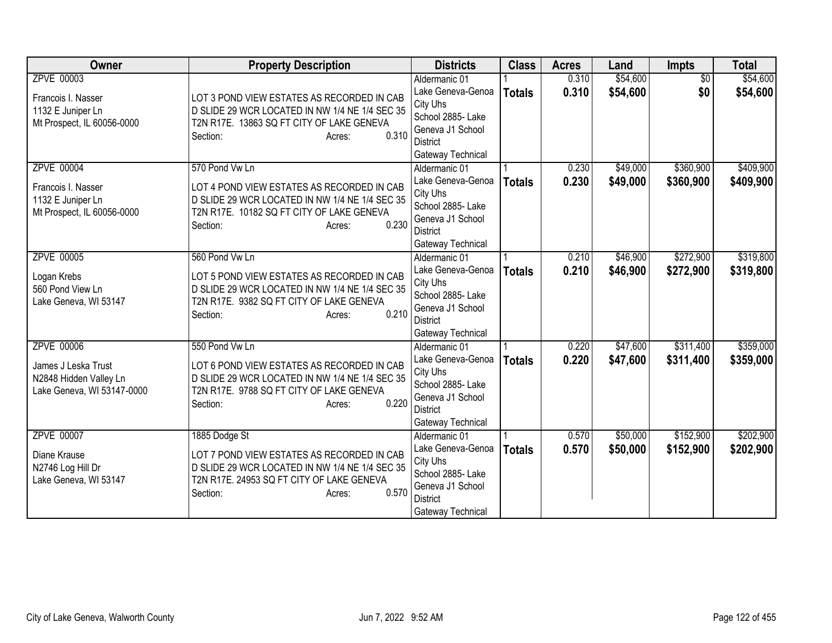| <b>Owner</b>                                                                                     | <b>Property Description</b>                                                                                                                                                                | <b>Districts</b>                                                                                                                                     | <b>Class</b>  | <b>Acres</b>   | Land                 | Impts                  | <b>Total</b>           |
|--------------------------------------------------------------------------------------------------|--------------------------------------------------------------------------------------------------------------------------------------------------------------------------------------------|------------------------------------------------------------------------------------------------------------------------------------------------------|---------------|----------------|----------------------|------------------------|------------------------|
| ZPVE 00003<br>Francois I. Nasser<br>1132 E Juniper Ln<br>Mt Prospect, IL 60056-0000              | LOT 3 POND VIEW ESTATES AS RECORDED IN CAB<br>D SLIDE 29 WCR LOCATED IN NW 1/4 NE 1/4 SEC 35<br>T2N R17E. 13863 SQ FT CITY OF LAKE GENEVA<br>0.310<br>Section:<br>Acres:                   | Aldermanic 01<br>Lake Geneva-Genoa<br>City Uhs<br>School 2885- Lake<br>Geneva J1 School<br>District                                                  | <b>Totals</b> | 0.310<br>0.310 | \$54,600<br>\$54,600 | $\overline{50}$<br>\$0 | \$54,600<br>\$54,600   |
| <b>ZPVE 00004</b><br>Francois I. Nasser<br>1132 E Juniper Ln<br>Mt Prospect, IL 60056-0000       | 570 Pond Vw Ln<br>LOT 4 POND VIEW ESTATES AS RECORDED IN CAB<br>D SLIDE 29 WCR LOCATED IN NW 1/4 NE 1/4 SEC 35<br>T2N R17E. 10182 SQ FT CITY OF LAKE GENEVA<br>0.230<br>Section:<br>Acres: | Gateway Technical<br>Aldermanic 01<br>Lake Geneva-Genoa<br>City Uhs<br>School 2885- Lake<br>Geneva J1 School<br><b>District</b><br>Gateway Technical | <b>Totals</b> | 0.230<br>0.230 | \$49,000<br>\$49,000 | \$360,900<br>\$360,900 | \$409,900<br>\$409,900 |
| ZPVE 00005<br>Logan Krebs<br>560 Pond View Ln<br>Lake Geneva, WI 53147                           | 560 Pond Vw Ln<br>LOT 5 POND VIEW ESTATES AS RECORDED IN CAB<br>D SLIDE 29 WCR LOCATED IN NW 1/4 NE 1/4 SEC 35<br>T2N R17E. 9382 SQ FT CITY OF LAKE GENEVA<br>0.210<br>Section:<br>Acres:  | Aldermanic 01<br>Lake Geneva-Genoa<br>City Uhs<br>School 2885- Lake<br>Geneva J1 School<br><b>District</b><br>Gateway Technical                      | <b>Totals</b> | 0.210<br>0.210 | \$46,900<br>\$46,900 | \$272,900<br>\$272,900 | \$319,800<br>\$319,800 |
| <b>ZPVE 00006</b><br>James J Leska Trust<br>N2848 Hidden Valley Ln<br>Lake Geneva, WI 53147-0000 | 550 Pond Vw Ln<br>LOT 6 POND VIEW ESTATES AS RECORDED IN CAB<br>D SLIDE 29 WCR LOCATED IN NW 1/4 NE 1/4 SEC 35<br>T2N R17E. 9788 SQ FT CITY OF LAKE GENEVA<br>0.220<br>Section:<br>Acres:  | Aldermanic 01<br>Lake Geneva-Genoa<br>City Uhs<br>School 2885- Lake<br>Geneva J1 School<br><b>District</b><br>Gateway Technical                      | <b>Totals</b> | 0.220<br>0.220 | \$47,600<br>\$47,600 | \$311,400<br>\$311,400 | \$359,000<br>\$359,000 |
| ZPVE 00007<br>Diane Krause<br>N2746 Log Hill Dr<br>Lake Geneva, WI 53147                         | 1885 Dodge St<br>LOT 7 POND VIEW ESTATES AS RECORDED IN CAB<br>D SLIDE 29 WCR LOCATED IN NW 1/4 NE 1/4 SEC 35<br>T2N R17E. 24953 SQ FT CITY OF LAKE GENEVA<br>0.570<br>Section:<br>Acres:  | Aldermanic 01<br>Lake Geneva-Genoa<br>City Uhs<br>School 2885- Lake<br>Geneva J1 School<br><b>District</b><br>Gateway Technical                      | <b>Totals</b> | 0.570<br>0.570 | \$50,000<br>\$50,000 | \$152,900<br>\$152,900 | \$202,900<br>\$202,900 |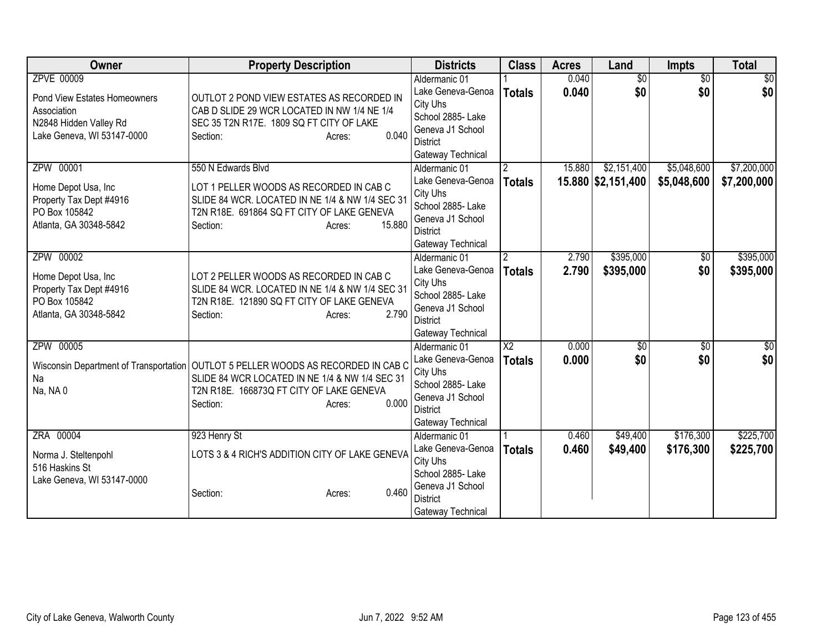| Owner                                                                                                                    | <b>Property Description</b>                                                                                                                                                                                      | <b>Districts</b>                                                                                                                | <b>Class</b>                     | <b>Acres</b>   | Land                              | Impts                      | <b>Total</b>               |
|--------------------------------------------------------------------------------------------------------------------------|------------------------------------------------------------------------------------------------------------------------------------------------------------------------------------------------------------------|---------------------------------------------------------------------------------------------------------------------------------|----------------------------------|----------------|-----------------------------------|----------------------------|----------------------------|
| ZPVE 00009<br><b>Pond View Estates Homeowners</b><br>Association<br>N2848 Hidden Valley Rd<br>Lake Geneva, WI 53147-0000 | OUTLOT 2 POND VIEW ESTATES AS RECORDED IN<br>CAB D SLIDE 29 WCR LOCATED IN NW 1/4 NE 1/4<br>SEC 35 T2N R17E. 1809 SQ FT CITY OF LAKE<br>0.040<br>Section:<br>Acres:                                              | Aldermanic 01<br>Lake Geneva-Genoa<br>City Uhs<br>School 2885- Lake<br>Geneva J1 School<br><b>District</b><br>Gateway Technical | <b>Totals</b>                    | 0.040<br>0.040 | $\overline{50}$<br>\$0            | $\overline{50}$<br>\$0     | $\overline{50}$<br>\$0     |
| ZPW 00001<br>Home Depot Usa, Inc<br>Property Tax Dept #4916<br>PO Box 105842<br>Atlanta, GA 30348-5842                   | 550 N Edwards Blvd<br>LOT 1 PELLER WOODS AS RECORDED IN CAB C<br>SLIDE 84 WCR. LOCATED IN NE 1/4 & NW 1/4 SEC 31<br>T2N R18E. 691864 SQ FT CITY OF LAKE GENEVA<br>15.880<br>Section:<br>Acres:                   | Aldermanic 01<br>Lake Geneva-Genoa<br>City Uhs<br>School 2885- Lake<br>Geneva J1 School<br><b>District</b><br>Gateway Technical | $\overline{2}$<br><b>Totals</b>  | 15.880         | \$2,151,400<br>15.880 \$2,151,400 | \$5,048,600<br>\$5,048,600 | \$7,200,000<br>\$7,200,000 |
| ZPW 00002<br>Home Depot Usa, Inc<br>Property Tax Dept #4916<br>PO Box 105842<br>Atlanta, GA 30348-5842                   | LOT 2 PELLER WOODS AS RECORDED IN CAB C<br>SLIDE 84 WCR. LOCATED IN NE 1/4 & NW 1/4 SEC 31<br>T2N R18E. 121890 SQ FT CITY OF LAKE GENEVA<br>2.790<br>Section:<br>Acres:                                          | Aldermanic 01<br>Lake Geneva-Genoa<br>City Uhs<br>School 2885- Lake<br>Geneva J1 School<br><b>District</b><br>Gateway Technical | $\overline{2}$<br><b>Totals</b>  | 2.790<br>2.790 | \$395,000<br>\$395,000            | \$0<br>\$0                 | \$395,000<br>\$395,000     |
| ZPW 00005<br>Na<br>Na, NA 0                                                                                              | Wisconsin Department of Transportation   OUTLOT 5 PELLER WOODS AS RECORDED IN CAB C<br>SLIDE 84 WCR LOCATED IN NE 1/4 & NW 1/4 SEC 31<br>T2N R18E. 166873Q FT CITY OF LAKE GENEVA<br>0.000<br>Section:<br>Acres: | Aldermanic 01<br>Lake Geneva-Genoa<br>City Uhs<br>School 2885- Lake<br>Geneva J1 School<br><b>District</b><br>Gateway Technical | $\overline{X2}$<br><b>Totals</b> | 0.000<br>0.000 | \$0<br>\$0                        | \$0<br>\$0                 | $\sqrt{30}$<br>\$0         |
| ZRA 00004<br>Norma J. Steltenpohl<br>516 Haskins St<br>Lake Geneva, WI 53147-0000                                        | 923 Henry St<br>LOTS 3 & 4 RICH'S ADDITION CITY OF LAKE GENEVA<br>0.460<br>Section:<br>Acres:                                                                                                                    | Aldermanic 01<br>Lake Geneva-Genoa<br>City Uhs<br>School 2885-Lake<br>Geneva J1 School<br><b>District</b><br>Gateway Technical  | <b>Totals</b>                    | 0.460<br>0.460 | \$49,400<br>\$49,400              | \$176,300<br>\$176,300     | \$225,700<br>\$225,700     |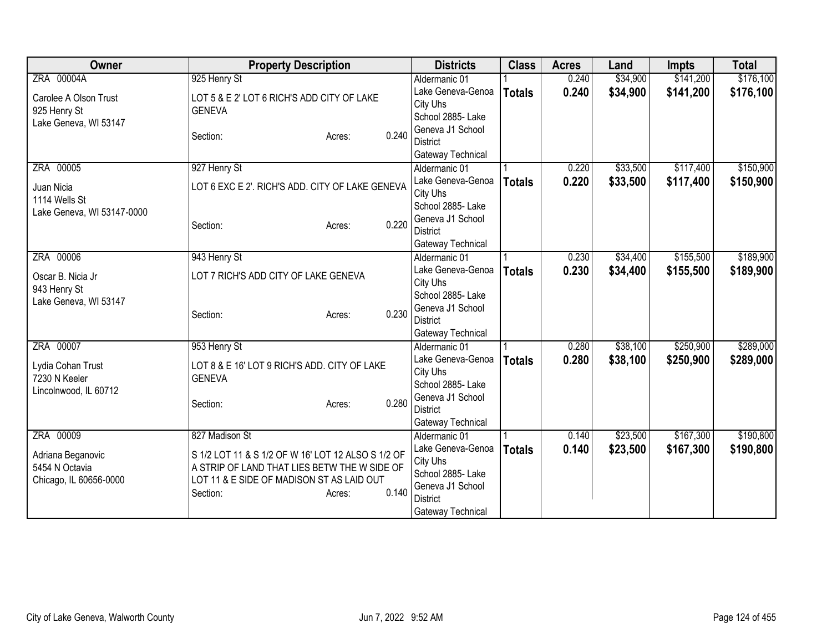| Owner                                 | <b>Property Description</b>                        | <b>Districts</b>                    | <b>Class</b>  | <b>Acres</b> | Land     | <b>Impts</b> | <b>Total</b> |
|---------------------------------------|----------------------------------------------------|-------------------------------------|---------------|--------------|----------|--------------|--------------|
| ZRA 00004A                            | 925 Henry St                                       | Aldermanic 01                       |               | 0.240        | \$34,900 | \$141,200    | \$176,100    |
| Carolee A Olson Trust                 | LOT 5 & E 2' LOT 6 RICH'S ADD CITY OF LAKE         | Lake Geneva-Genoa                   | <b>Totals</b> | 0.240        | \$34,900 | \$141,200    | \$176,100    |
| 925 Henry St                          | <b>GENEVA</b>                                      | City Uhs                            |               |              |          |              |              |
| Lake Geneva, WI 53147                 |                                                    | School 2885- Lake                   |               |              |          |              |              |
|                                       | 0.240<br>Section:<br>Acres:                        | Geneva J1 School                    |               |              |          |              |              |
|                                       |                                                    | <b>District</b>                     |               |              |          |              |              |
| ZRA 00005                             |                                                    | Gateway Technical                   |               | 0.220        | \$33,500 | \$117,400    | \$150,900    |
|                                       | 927 Henry St                                       | Aldermanic 01<br>Lake Geneva-Genoa  |               | 0.220        |          |              |              |
| Juan Nicia                            | LOT 6 EXC E 2'. RICH'S ADD. CITY OF LAKE GENEVA    | City Uhs                            | <b>Totals</b> |              | \$33,500 | \$117,400    | \$150,900    |
| 1114 Wells St                         |                                                    | School 2885- Lake                   |               |              |          |              |              |
| Lake Geneva, WI 53147-0000            |                                                    | Geneva J1 School                    |               |              |          |              |              |
|                                       | 0.220<br>Section:<br>Acres:                        | <b>District</b>                     |               |              |          |              |              |
|                                       |                                                    | Gateway Technical                   |               |              |          |              |              |
| ZRA 00006                             | 943 Henry St                                       | Aldermanic 01                       |               | 0.230        | \$34,400 | \$155,500    | \$189,900    |
|                                       |                                                    | Lake Geneva-Genoa                   | <b>Totals</b> | 0.230        | \$34,400 | \$155,500    | \$189,900    |
| Oscar B. Nicia Jr                     | LOT 7 RICH'S ADD CITY OF LAKE GENEVA               | City Uhs                            |               |              |          |              |              |
| 943 Henry St<br>Lake Geneva, WI 53147 |                                                    | School 2885- Lake                   |               |              |          |              |              |
|                                       | 0.230<br>Section:<br>Acres:                        | Geneva J1 School                    |               |              |          |              |              |
|                                       |                                                    | <b>District</b>                     |               |              |          |              |              |
|                                       |                                                    | Gateway Technical                   |               |              |          |              |              |
| ZRA 00007                             | 953 Henry St                                       | Aldermanic 01                       |               | 0.280        | \$38,100 | \$250,900    | \$289,000    |
| Lydia Cohan Trust                     | LOT 8 & E 16' LOT 9 RICH'S ADD. CITY OF LAKE       | Lake Geneva-Genoa                   | <b>Totals</b> | 0.280        | \$38,100 | \$250,900    | \$289,000    |
| 7230 N Keeler                         | <b>GENEVA</b>                                      | City Uhs                            |               |              |          |              |              |
| Lincolnwood, IL 60712                 |                                                    | School 2885- Lake                   |               |              |          |              |              |
|                                       | 0.280<br>Section:<br>Acres:                        | Geneva J1 School<br><b>District</b> |               |              |          |              |              |
|                                       |                                                    | Gateway Technical                   |               |              |          |              |              |
| ZRA 00009                             | 827 Madison St                                     | Aldermanic 01                       |               | 0.140        | \$23,500 | \$167,300    | \$190,800    |
|                                       |                                                    | Lake Geneva-Genoa                   | <b>Totals</b> | 0.140        | \$23,500 | \$167,300    | \$190,800    |
| Adriana Beganovic                     | S 1/2 LOT 11 & S 1/2 OF W 16' LOT 12 ALSO S 1/2 OF | City Uhs                            |               |              |          |              |              |
| 5454 N Octavia                        | A STRIP OF LAND THAT LIES BETW THE W SIDE OF       | School 2885- Lake                   |               |              |          |              |              |
| Chicago, IL 60656-0000                | LOT 11 & E SIDE OF MADISON ST AS LAID OUT          | Geneva J1 School                    |               |              |          |              |              |
|                                       | 0.140<br>Section:<br>Acres:                        | <b>District</b>                     |               |              |          |              |              |
|                                       |                                                    | Gateway Technical                   |               |              |          |              |              |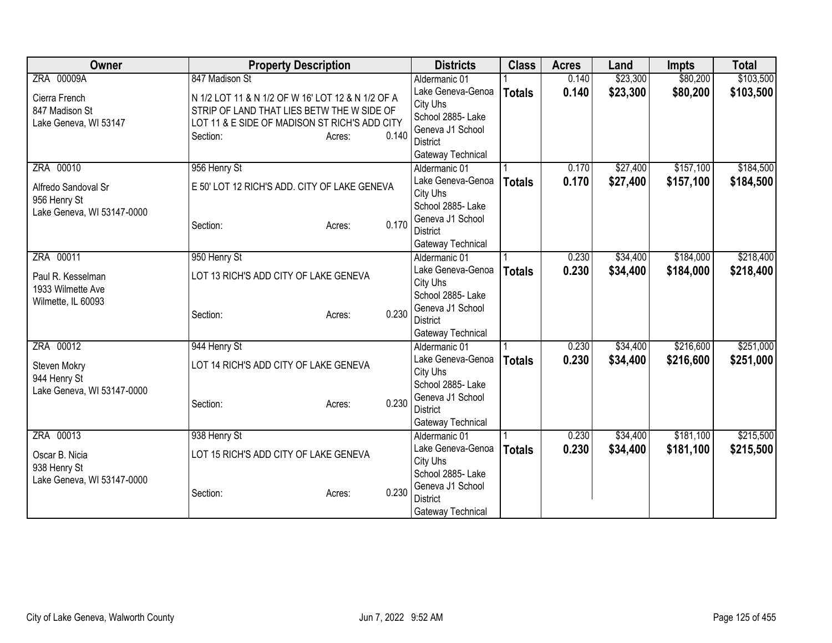| Owner                                      |                                       | <b>Property Description</b>                       |       | <b>Districts</b>                   | <b>Class</b>  | <b>Acres</b> | Land     | <b>Impts</b> | <b>Total</b> |
|--------------------------------------------|---------------------------------------|---------------------------------------------------|-------|------------------------------------|---------------|--------------|----------|--------------|--------------|
| ZRA 00009A                                 | 847 Madison St                        |                                                   |       | Aldermanic 01                      |               | 0.140        | \$23,300 | \$80,200     | \$103,500    |
| Cierra French                              |                                       | N 1/2 LOT 11 & N 1/2 OF W 16' LOT 12 & N 1/2 OF A |       | Lake Geneva-Genoa                  | <b>Totals</b> | 0.140        | \$23,300 | \$80,200     | \$103,500    |
| 847 Madison St                             |                                       | STRIP OF LAND THAT LIES BETW THE W SIDE OF        |       | City Uhs                           |               |              |          |              |              |
| Lake Geneva, WI 53147                      |                                       | LOT 11 & E SIDE OF MADISON ST RICH'S ADD CITY     |       | School 2885- Lake                  |               |              |          |              |              |
|                                            | Section:                              | Acres:                                            | 0.140 | Geneva J1 School                   |               |              |          |              |              |
|                                            |                                       |                                                   |       | District                           |               |              |          |              |              |
| ZRA 00010                                  | 956 Henry St                          |                                                   |       | Gateway Technical<br>Aldermanic 01 |               | 0.170        | \$27,400 | \$157,100    | \$184,500    |
|                                            |                                       |                                                   |       | Lake Geneva-Genoa                  |               | 0.170        | \$27,400 | \$157,100    | \$184,500    |
| Alfredo Sandoval Sr                        |                                       | E 50' LOT 12 RICH'S ADD. CITY OF LAKE GENEVA      |       | City Uhs                           | <b>Totals</b> |              |          |              |              |
| 956 Henry St                               |                                       |                                                   |       | School 2885- Lake                  |               |              |          |              |              |
| Lake Geneva, WI 53147-0000                 |                                       |                                                   |       | Geneva J1 School                   |               |              |          |              |              |
|                                            | Section:                              | Acres:                                            | 0.170 | <b>District</b>                    |               |              |          |              |              |
|                                            |                                       |                                                   |       | Gateway Technical                  |               |              |          |              |              |
| ZRA 00011                                  | 950 Henry St                          |                                                   |       | Aldermanic 01                      |               | 0.230        | \$34,400 | \$184,000    | \$218,400    |
| Paul R. Kesselman                          | LOT 13 RICH'S ADD CITY OF LAKE GENEVA |                                                   |       | Lake Geneva-Genoa                  | <b>Totals</b> | 0.230        | \$34,400 | \$184,000    | \$218,400    |
| 1933 Wilmette Ave                          |                                       |                                                   |       | City Uhs                           |               |              |          |              |              |
| Wilmette, IL 60093                         |                                       |                                                   |       | School 2885- Lake                  |               |              |          |              |              |
|                                            | Section:                              | Acres:                                            | 0.230 | Geneva J1 School                   |               |              |          |              |              |
|                                            |                                       |                                                   |       | <b>District</b>                    |               |              |          |              |              |
|                                            |                                       |                                                   |       | Gateway Technical                  |               |              |          |              |              |
| ZRA 00012                                  | 944 Henry St                          |                                                   |       | Aldermanic 01                      |               | 0.230        | \$34,400 | \$216,600    | \$251,000    |
| Steven Mokry                               | LOT 14 RICH'S ADD CITY OF LAKE GENEVA |                                                   |       | Lake Geneva-Genoa                  | <b>Totals</b> | 0.230        | \$34,400 | \$216,600    | \$251,000    |
| 944 Henry St                               |                                       |                                                   |       | City Uhs<br>School 2885-Lake       |               |              |          |              |              |
| Lake Geneva, WI 53147-0000                 |                                       |                                                   |       | Geneva J1 School                   |               |              |          |              |              |
|                                            | Section:                              | Acres:                                            | 0.230 | <b>District</b>                    |               |              |          |              |              |
|                                            |                                       |                                                   |       | Gateway Technical                  |               |              |          |              |              |
| ZRA 00013                                  | 938 Henry St                          |                                                   |       | Aldermanic 01                      |               | 0.230        | \$34,400 | \$181,100    | \$215,500    |
|                                            |                                       |                                                   |       | Lake Geneva-Genoa                  | <b>Totals</b> | 0.230        | \$34,400 | \$181,100    | \$215,500    |
| Oscar B. Nicia                             | LOT 15 RICH'S ADD CITY OF LAKE GENEVA |                                                   |       | City Uhs                           |               |              |          |              |              |
| 938 Henry St<br>Lake Geneva, WI 53147-0000 |                                       |                                                   |       | School 2885-Lake                   |               |              |          |              |              |
|                                            | Section:                              | Acres:                                            | 0.230 | Geneva J1 School                   |               |              |          |              |              |
|                                            |                                       |                                                   |       | <b>District</b>                    |               |              |          |              |              |
|                                            |                                       |                                                   |       | Gateway Technical                  |               |              |          |              |              |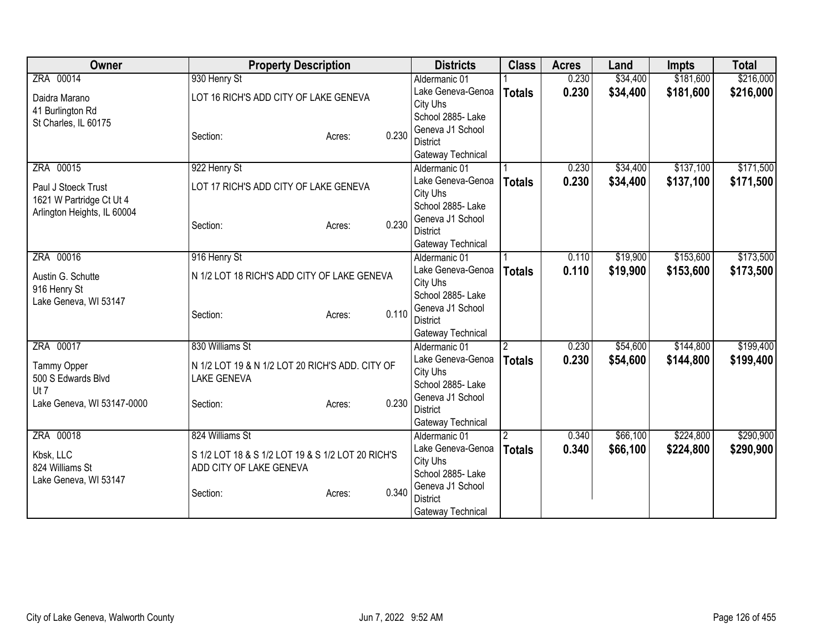| Owner                       | <b>Property Description</b>                       |        |       | <b>Districts</b>              | <b>Class</b>  | <b>Acres</b> | Land     | <b>Impts</b> | <b>Total</b> |
|-----------------------------|---------------------------------------------------|--------|-------|-------------------------------|---------------|--------------|----------|--------------|--------------|
| ZRA 00014                   | 930 Henry St                                      |        |       | Aldermanic 01                 |               | 0.230        | \$34,400 | \$181,600    | \$216,000    |
| Daidra Marano               | LOT 16 RICH'S ADD CITY OF LAKE GENEVA             |        |       | Lake Geneva-Genoa             | <b>Totals</b> | 0.230        | \$34,400 | \$181,600    | \$216,000    |
| 41 Burlington Rd            |                                                   |        |       | City Uhs                      |               |              |          |              |              |
| St Charles, IL 60175        |                                                   |        |       | School 2885- Lake             |               |              |          |              |              |
|                             | Section:                                          | Acres: | 0.230 | Geneva J1 School              |               |              |          |              |              |
|                             |                                                   |        |       | <b>District</b>               |               |              |          |              |              |
|                             |                                                   |        |       | Gateway Technical             |               |              |          |              |              |
| ZRA 00015                   | 922 Henry St                                      |        |       | Aldermanic 01                 |               | 0.230        | \$34,400 | \$137,100    | \$171,500    |
| Paul J Stoeck Trust         | LOT 17 RICH'S ADD CITY OF LAKE GENEVA             |        |       | Lake Geneva-Genoa             | <b>Totals</b> | 0.230        | \$34,400 | \$137,100    | \$171,500    |
| 1621 W Partridge Ct Ut 4    |                                                   |        |       | City Uhs<br>School 2885- Lake |               |              |          |              |              |
| Arlington Heights, IL 60004 |                                                   |        |       | Geneva J1 School              |               |              |          |              |              |
|                             | Section:                                          | Acres: | 0.230 | <b>District</b>               |               |              |          |              |              |
|                             |                                                   |        |       | Gateway Technical             |               |              |          |              |              |
| ZRA 00016                   | 916 Henry St                                      |        |       | Aldermanic 01                 |               | 0.110        | \$19,900 | \$153,600    | \$173,500    |
|                             |                                                   |        |       | Lake Geneva-Genoa             | <b>Totals</b> | 0.110        | \$19,900 | \$153,600    | \$173,500    |
| Austin G. Schutte           | N 1/2 LOT 18 RICH'S ADD CITY OF LAKE GENEVA       |        |       | City Uhs                      |               |              |          |              |              |
| 916 Henry St                |                                                   |        |       | School 2885- Lake             |               |              |          |              |              |
| Lake Geneva, WI 53147       |                                                   |        | 0.110 | Geneva J1 School              |               |              |          |              |              |
|                             | Section:                                          | Acres: |       | <b>District</b>               |               |              |          |              |              |
|                             |                                                   |        |       | Gateway Technical             |               |              |          |              |              |
| ZRA 00017                   | 830 Williams St                                   |        |       | Aldermanic 01                 | 2             | 0.230        | \$54,600 | \$144,800    | \$199,400    |
| Tammy Opper                 | N 1/2 LOT 19 & N 1/2 LOT 20 RICH'S ADD. CITY OF   |        |       | Lake Geneva-Genoa             | <b>Totals</b> | 0.230        | \$54,600 | \$144,800    | \$199,400    |
| 500 S Edwards Blvd          | <b>LAKE GENEVA</b>                                |        |       | City Uhs                      |               |              |          |              |              |
| Ut 7                        |                                                   |        |       | School 2885- Lake             |               |              |          |              |              |
| Lake Geneva, WI 53147-0000  | Section:                                          | Acres: | 0.230 | Geneva J1 School              |               |              |          |              |              |
|                             |                                                   |        |       | <b>District</b>               |               |              |          |              |              |
|                             |                                                   |        |       | Gateway Technical             |               |              |          |              |              |
| ZRA 00018                   | 824 Williams St                                   |        |       | Aldermanic 01                 | 2             | 0.340        | \$66,100 | \$224,800    | \$290,900    |
| Kbsk, LLC                   | S 1/2 LOT 18 & S 1/2 LOT 19 & S 1/2 LOT 20 RICH'S |        |       | Lake Geneva-Genoa             | <b>Totals</b> | 0.340        | \$66,100 | \$224,800    | \$290,900    |
| 824 Williams St             | ADD CITY OF LAKE GENEVA                           |        |       | City Uhs<br>School 2885- Lake |               |              |          |              |              |
| Lake Geneva, WI 53147       |                                                   |        |       | Geneva J1 School              |               |              |          |              |              |
|                             | Section:                                          | Acres: | 0.340 | <b>District</b>               |               |              |          |              |              |
|                             |                                                   |        |       | Gateway Technical             |               |              |          |              |              |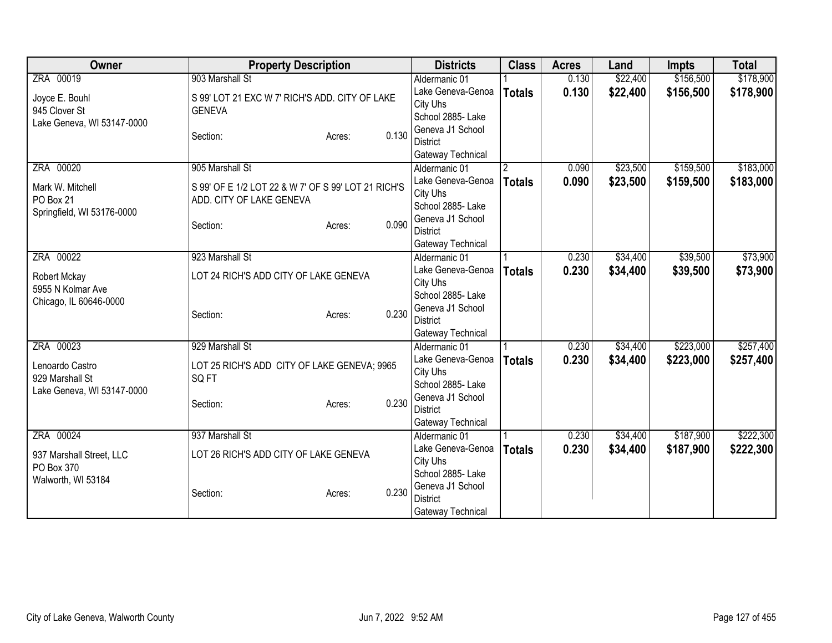| Owner                      | <b>Property Description</b>                         |        |       | <b>Districts</b>                    | <b>Class</b>   | <b>Acres</b> | Land     | <b>Impts</b> | <b>Total</b> |
|----------------------------|-----------------------------------------------------|--------|-------|-------------------------------------|----------------|--------------|----------|--------------|--------------|
| ZRA 00019                  | 903 Marshall St                                     |        |       | Aldermanic 01                       |                | 0.130        | \$22,400 | \$156,500    | \$178,900    |
| Joyce E. Bouhl             | S 99' LOT 21 EXC W 7' RICH'S ADD. CITY OF LAKE      |        |       | Lake Geneva-Genoa                   | <b>Totals</b>  | 0.130        | \$22,400 | \$156,500    | \$178,900    |
| 945 Clover St              | <b>GENEVA</b>                                       |        |       | City Uhs                            |                |              |          |              |              |
| Lake Geneva, WI 53147-0000 |                                                     |        |       | School 2885- Lake                   |                |              |          |              |              |
|                            | Section:                                            | Acres: | 0.130 | Geneva J1 School                    |                |              |          |              |              |
|                            |                                                     |        |       | <b>District</b>                     |                |              |          |              |              |
|                            |                                                     |        |       | Gateway Technical                   |                |              |          |              |              |
| ZRA 00020                  | 905 Marshall St                                     |        |       | Aldermanic 01                       | $\overline{2}$ | 0.090        | \$23,500 | \$159,500    | \$183,000    |
| Mark W. Mitchell           | S 99' OF E 1/2 LOT 22 & W 7' OF S 99' LOT 21 RICH'S |        |       | Lake Geneva-Genoa                   | <b>Totals</b>  | 0.090        | \$23,500 | \$159,500    | \$183,000    |
| PO Box 21                  | ADD. CITY OF LAKE GENEVA                            |        |       | City Uhs<br>School 2885- Lake       |                |              |          |              |              |
| Springfield, WI 53176-0000 |                                                     |        |       | Geneva J1 School                    |                |              |          |              |              |
|                            | Section:                                            | Acres: | 0.090 | <b>District</b>                     |                |              |          |              |              |
|                            |                                                     |        |       | Gateway Technical                   |                |              |          |              |              |
| ZRA 00022                  | 923 Marshall St                                     |        |       | Aldermanic 01                       |                | 0.230        | \$34,400 | \$39,500     | \$73,900     |
|                            |                                                     |        |       | Lake Geneva-Genoa                   |                | 0.230        | \$34,400 | \$39,500     | \$73,900     |
| Robert Mckay               | LOT 24 RICH'S ADD CITY OF LAKE GENEVA               |        |       | City Uhs                            | <b>Totals</b>  |              |          |              |              |
| 5955 N Kolmar Ave          |                                                     |        |       | School 2885- Lake                   |                |              |          |              |              |
| Chicago, IL 60646-0000     |                                                     |        |       | Geneva J1 School                    |                |              |          |              |              |
|                            | Section:                                            | Acres: | 0.230 | <b>District</b>                     |                |              |          |              |              |
|                            |                                                     |        |       | Gateway Technical                   |                |              |          |              |              |
| ZRA 00023                  | 929 Marshall St                                     |        |       | Aldermanic 01                       |                | 0.230        | \$34,400 | \$223,000    | \$257,400    |
| Lenoardo Castro            | LOT 25 RICH'S ADD CITY OF LAKE GENEVA; 9965         |        |       | Lake Geneva-Genoa                   | <b>Totals</b>  | 0.230        | \$34,400 | \$223,000    | \$257,400    |
| 929 Marshall St            | SQ FT                                               |        |       | City Uhs                            |                |              |          |              |              |
| Lake Geneva, WI 53147-0000 |                                                     |        |       | School 2885-Lake                    |                |              |          |              |              |
|                            | Section:                                            | Acres: | 0.230 | Geneva J1 School                    |                |              |          |              |              |
|                            |                                                     |        |       | <b>District</b>                     |                |              |          |              |              |
|                            |                                                     |        |       | Gateway Technical                   |                |              |          |              |              |
| ZRA 00024                  | 937 Marshall St                                     |        |       | Aldermanic 01                       |                | 0.230        | \$34,400 | \$187,900    | \$222,300    |
| 937 Marshall Street, LLC   | LOT 26 RICH'S ADD CITY OF LAKE GENEVA               |        |       | Lake Geneva-Genoa                   | <b>Totals</b>  | 0.230        | \$34,400 | \$187,900    | \$222,300    |
| PO Box 370                 |                                                     |        |       | City Uhs                            |                |              |          |              |              |
| Walworth, WI 53184         |                                                     |        |       | School 2885-Lake                    |                |              |          |              |              |
|                            | Section:                                            | Acres: | 0.230 | Geneva J1 School<br><b>District</b> |                |              |          |              |              |
|                            |                                                     |        |       | Gateway Technical                   |                |              |          |              |              |
|                            |                                                     |        |       |                                     |                |              |          |              |              |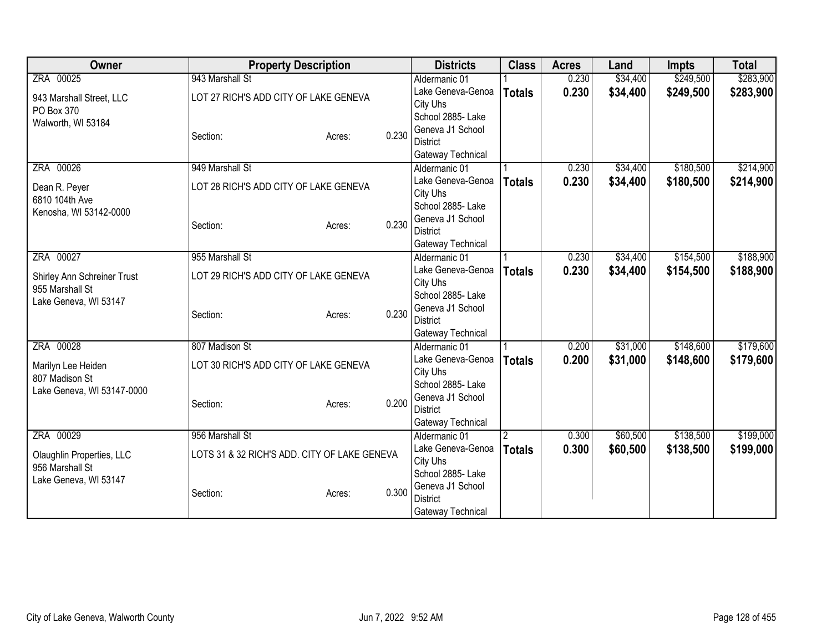| <b>Owner</b>                |                                              | <b>Property Description</b> |       | <b>Districts</b>                   | <b>Class</b>   | <b>Acres</b> | Land      | <b>Impts</b> | <b>Total</b> |
|-----------------------------|----------------------------------------------|-----------------------------|-------|------------------------------------|----------------|--------------|-----------|--------------|--------------|
| ZRA 00025                   | 943 Marshall St                              |                             |       | Aldermanic 01                      |                | 0.230        | \$34,400  | \$249,500    | \$283,900    |
| 943 Marshall Street, LLC    | LOT 27 RICH'S ADD CITY OF LAKE GENEVA        |                             |       | Lake Geneva-Genoa                  | <b>Totals</b>  | 0.230        | \$34,400  | \$249,500    | \$283,900    |
| PO Box 370                  |                                              |                             |       | City Uhs                           |                |              |           |              |              |
| Walworth, WI 53184          |                                              |                             |       | School 2885- Lake                  |                |              |           |              |              |
|                             | Section:                                     | Acres:                      | 0.230 | Geneva J1 School                   |                |              |           |              |              |
|                             |                                              |                             |       | <b>District</b>                    |                |              |           |              |              |
|                             |                                              |                             |       | Gateway Technical                  |                |              |           |              |              |
| ZRA 00026                   | 949 Marshall St                              |                             |       | Aldermanic 01                      |                | 0.230        | \$34,400  | \$180,500    | \$214,900    |
| Dean R. Peyer               | LOT 28 RICH'S ADD CITY OF LAKE GENEVA        |                             |       | Lake Geneva-Genoa                  | <b>Totals</b>  | 0.230        | \$34,400  | \$180,500    | \$214,900    |
| 6810 104th Ave              |                                              |                             |       | City Uhs                           |                |              |           |              |              |
| Kenosha, WI 53142-0000      |                                              |                             |       | School 2885-Lake                   |                |              |           |              |              |
|                             | Section:                                     | Acres:                      | 0.230 | Geneva J1 School                   |                |              |           |              |              |
|                             |                                              |                             |       | <b>District</b>                    |                |              |           |              |              |
| ZRA 00027                   | 955 Marshall St                              |                             |       | Gateway Technical                  |                |              | \$34,400  | \$154,500    | \$188,900    |
|                             |                                              |                             |       | Aldermanic 01<br>Lake Geneva-Genoa |                | 0.230        |           |              |              |
| Shirley Ann Schreiner Trust | LOT 29 RICH'S ADD CITY OF LAKE GENEVA        |                             |       | <b>Totals</b><br>City Uhs          | 0.230          | \$34,400     | \$154,500 | \$188,900    |              |
| 955 Marshall St             |                                              |                             |       | School 2885- Lake                  |                |              |           |              |              |
| Lake Geneva, WI 53147       |                                              |                             |       | Geneva J1 School                   |                |              |           |              |              |
|                             | Section:                                     | Acres:                      | 0.230 | <b>District</b>                    |                |              |           |              |              |
|                             |                                              |                             |       | Gateway Technical                  |                |              |           |              |              |
| ZRA 00028                   | 807 Madison St                               |                             |       | Aldermanic 01                      |                | 0.200        | \$31,000  | \$148,600    | \$179,600    |
|                             |                                              |                             |       | Lake Geneva-Genoa                  | <b>Totals</b>  | 0.200        | \$31,000  | \$148,600    | \$179,600    |
| Marilyn Lee Heiden          | LOT 30 RICH'S ADD CITY OF LAKE GENEVA        |                             |       | City Uhs                           |                |              |           |              |              |
| 807 Madison St              |                                              |                             |       | School 2885- Lake                  |                |              |           |              |              |
| Lake Geneva, WI 53147-0000  |                                              |                             |       | Geneva J1 School                   |                |              |           |              |              |
|                             | Section:                                     | Acres:                      | 0.200 | <b>District</b>                    |                |              |           |              |              |
|                             |                                              |                             |       | Gateway Technical                  |                |              |           |              |              |
| ZRA 00029                   | 956 Marshall St                              |                             |       | Aldermanic 01                      | $\overline{2}$ | 0.300        | \$60,500  | \$138,500    | \$199,000    |
| Olaughlin Properties, LLC   | LOTS 31 & 32 RICH'S ADD. CITY OF LAKE GENEVA |                             |       | Lake Geneva-Genoa                  | <b>Totals</b>  | 0.300        | \$60,500  | \$138,500    | \$199,000    |
| 956 Marshall St             |                                              |                             |       | City Uhs                           |                |              |           |              |              |
| Lake Geneva, WI 53147       |                                              |                             |       | School 2885-Lake                   |                |              |           |              |              |
|                             | Section:                                     | Acres:                      | 0.300 | Geneva J1 School                   |                |              |           |              |              |
|                             |                                              |                             |       | <b>District</b>                    |                |              |           |              |              |
|                             |                                              |                             |       | Gateway Technical                  |                |              |           |              |              |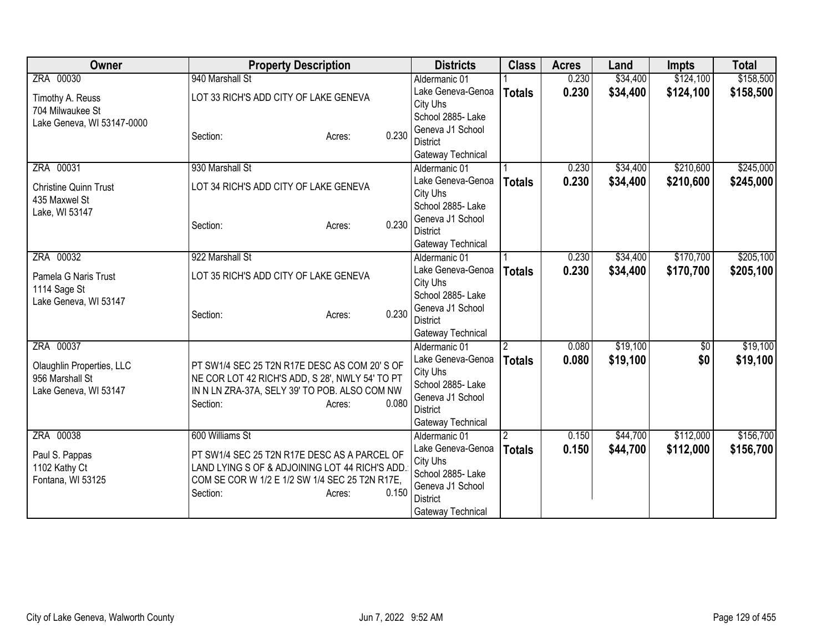| <b>Owner</b>                 | <b>Property Description</b>                     |       | <b>Districts</b>                     | <b>Class</b>   | <b>Acres</b> | Land     | <b>Impts</b>    | <b>Total</b> |
|------------------------------|-------------------------------------------------|-------|--------------------------------------|----------------|--------------|----------|-----------------|--------------|
| ZRA 00030                    | 940 Marshall St                                 |       | Aldermanic 01                        |                | 0.230        | \$34,400 | \$124,100       | \$158,500    |
| Timothy A. Reuss             | LOT 33 RICH'S ADD CITY OF LAKE GENEVA           |       | Lake Geneva-Genoa                    | <b>Totals</b>  | 0.230        | \$34,400 | \$124,100       | \$158,500    |
| 704 Milwaukee St             |                                                 |       | City Uhs                             |                |              |          |                 |              |
| Lake Geneva, WI 53147-0000   |                                                 |       | School 2885- Lake                    |                |              |          |                 |              |
|                              | Section:<br>Acres:                              | 0.230 | Geneva J1 School<br><b>District</b>  |                |              |          |                 |              |
|                              |                                                 |       | Gateway Technical                    |                |              |          |                 |              |
| ZRA 00031                    | 930 Marshall St                                 |       | Aldermanic 01                        |                | 0.230        | \$34,400 | \$210,600       | \$245,000    |
|                              |                                                 |       | Lake Geneva-Genoa                    | <b>Totals</b>  | 0.230        | \$34,400 | \$210,600       | \$245,000    |
| <b>Christine Quinn Trust</b> | LOT 34 RICH'S ADD CITY OF LAKE GENEVA           |       | City Uhs                             |                |              |          |                 |              |
| 435 Maxwel St                |                                                 |       | School 2885- Lake                    |                |              |          |                 |              |
| Lake, WI 53147               |                                                 |       | Geneva J1 School                     |                |              |          |                 |              |
|                              | Section:<br>Acres:                              | 0.230 | <b>District</b>                      |                |              |          |                 |              |
|                              |                                                 |       | Gateway Technical                    |                |              |          |                 |              |
| ZRA 00032                    | 922 Marshall St                                 |       | Aldermanic 01                        |                | 0.230        | \$34,400 | \$170,700       | \$205,100    |
| Pamela G Naris Trust         | LOT 35 RICH'S ADD CITY OF LAKE GENEVA           |       | Lake Geneva-Genoa                    | <b>Totals</b>  | 0.230        | \$34,400 | \$170,700       | \$205,100    |
| 1114 Sage St                 |                                                 |       | City Uhs                             |                |              |          |                 |              |
| Lake Geneva, WI 53147        |                                                 |       | School 2885- Lake                    |                |              |          |                 |              |
|                              | Section:<br>Acres:                              | 0.230 | Geneva J1 School                     |                |              |          |                 |              |
|                              |                                                 |       | <b>District</b><br>Gateway Technical |                |              |          |                 |              |
| ZRA 00037                    |                                                 |       | Aldermanic 01                        | $\overline{2}$ | 0.080        | \$19,100 | $\overline{50}$ | \$19,100     |
|                              |                                                 |       | Lake Geneva-Genoa                    | <b>Totals</b>  | 0.080        | \$19,100 | \$0             | \$19,100     |
| Olaughlin Properties, LLC    | PT SW1/4 SEC 25 T2N R17E DESC AS COM 20'S OF    |       | City Uhs                             |                |              |          |                 |              |
| 956 Marshall St              | NE COR LOT 42 RICH'S ADD, S 28', NWLY 54' TO PT |       | School 2885- Lake                    |                |              |          |                 |              |
| Lake Geneva, WI 53147        | IN N LN ZRA-37A, SELY 39' TO POB. ALSO COM NW   |       | Geneva J1 School                     |                |              |          |                 |              |
|                              | Section:<br>Acres:                              | 0.080 | <b>District</b>                      |                |              |          |                 |              |
|                              |                                                 |       | Gateway Technical                    |                |              |          |                 |              |
| ZRA 00038                    | 600 Williams St                                 |       | Aldermanic 01                        |                | 0.150        | \$44,700 | \$112,000       | \$156,700    |
| Paul S. Pappas               | PT SW1/4 SEC 25 T2N R17E DESC AS A PARCEL OF    |       | Lake Geneva-Genoa                    | <b>Totals</b>  | 0.150        | \$44,700 | \$112,000       | \$156,700    |
| 1102 Kathy Ct                | LAND LYING S OF & ADJOINING LOT 44 RICH'S ADD.  |       | City Uhs                             |                |              |          |                 |              |
| Fontana, WI 53125            | COM SE COR W 1/2 E 1/2 SW 1/4 SEC 25 T2N R17E,  |       | School 2885- Lake                    |                |              |          |                 |              |
|                              | Section:<br>Acres:                              | 0.150 | Geneva J1 School                     |                |              |          |                 |              |
|                              |                                                 |       | <b>District</b>                      |                |              |          |                 |              |
|                              |                                                 |       | Gateway Technical                    |                |              |          |                 |              |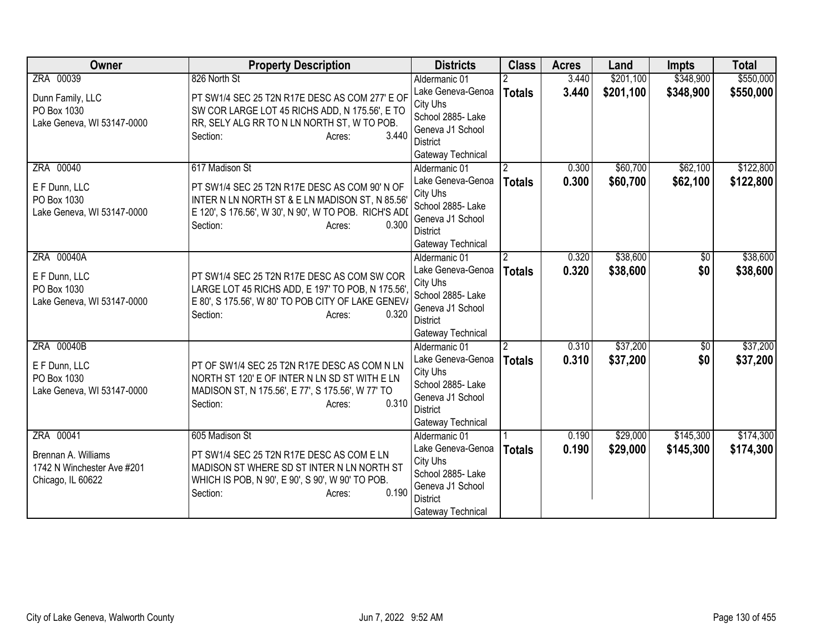| Owner                                     | <b>Property Description</b>                                                                            | <b>Districts</b>                    | <b>Class</b>   | <b>Acres</b> | Land      | <b>Impts</b>    | <b>Total</b> |
|-------------------------------------------|--------------------------------------------------------------------------------------------------------|-------------------------------------|----------------|--------------|-----------|-----------------|--------------|
| ZRA 00039                                 | 826 North St                                                                                           | Aldermanic 01                       |                | 3.440        | \$201,100 | \$348,900       | \$550,000    |
| Dunn Family, LLC                          | PT SW1/4 SEC 25 T2N R17E DESC AS COM 277' E OF                                                         | Lake Geneva-Genoa                   | <b>Totals</b>  | 3.440        | \$201,100 | \$348,900       | \$550,000    |
| PO Box 1030                               | SW COR LARGE LOT 45 RICHS ADD, N 175.56', E TO                                                         | City Uhs                            |                |              |           |                 |              |
| Lake Geneva, WI 53147-0000                | RR, SELY ALG RR TO N LN NORTH ST, W TO POB.                                                            | School 2885- Lake                   |                |              |           |                 |              |
|                                           | 3.440<br>Section:<br>Acres:                                                                            | Geneva J1 School                    |                |              |           |                 |              |
|                                           |                                                                                                        | District                            |                |              |           |                 |              |
| ZRA 00040                                 | 617 Madison St                                                                                         | Gateway Technical                   |                | 0.300        | \$60,700  | \$62,100        | \$122,800    |
|                                           |                                                                                                        | Aldermanic 01<br>Lake Geneva-Genoa  | $\overline{2}$ | 0.300        | \$60,700  |                 |              |
| E F Dunn, LLC                             | PT SW1/4 SEC 25 T2N R17E DESC AS COM 90' N OF                                                          | City Uhs                            | <b>Totals</b>  |              |           | \$62,100        | \$122,800    |
| PO Box 1030                               | INTER N LN NORTH ST & E LN MADISON ST, N 85.56'                                                        | School 2885- Lake                   |                |              |           |                 |              |
| Lake Geneva, WI 53147-0000                | E 120', S 176.56', W 30', N 90', W TO POB. RICH'S ADI                                                  | Geneva J1 School                    |                |              |           |                 |              |
|                                           | 0.300<br>Section:<br>Acres:                                                                            | <b>District</b>                     |                |              |           |                 |              |
|                                           |                                                                                                        | Gateway Technical                   |                |              |           |                 |              |
| ZRA 00040A                                |                                                                                                        | Aldermanic 01                       | $\overline{2}$ | 0.320        | \$38,600  | \$0             | \$38,600     |
|                                           |                                                                                                        | Lake Geneva-Genoa                   | <b>Totals</b>  | 0.320        | \$38,600  | \$0             | \$38,600     |
| E F Dunn, LLC                             | PT SW1/4 SEC 25 T2N R17E DESC AS COM SW COR                                                            | City Uhs                            |                |              |           |                 |              |
| PO Box 1030<br>Lake Geneva, WI 53147-0000 | LARGE LOT 45 RICHS ADD, E 197' TO POB, N 175.56'<br>E 80', S 175.56', W 80' TO POB CITY OF LAKE GENEV/ | School 2885- Lake                   |                |              |           |                 |              |
|                                           | 0.320<br>Section:<br>Acres:                                                                            | Geneva J1 School                    |                |              |           |                 |              |
|                                           |                                                                                                        | <b>District</b>                     |                |              |           |                 |              |
|                                           |                                                                                                        | Gateway Technical                   |                |              |           |                 |              |
| ZRA 00040B                                |                                                                                                        | Aldermanic 01                       | $\overline{2}$ | 0.310        | \$37,200  | $\overline{50}$ | \$37,200     |
| E F Dunn, LLC                             | PT OF SW1/4 SEC 25 T2N R17E DESC AS COM N LN                                                           | Lake Geneva-Genoa                   | <b>Totals</b>  | 0.310        | \$37,200  | \$0             | \$37,200     |
| PO Box 1030                               | NORTH ST 120' E OF INTER N LN SD ST WITH E LN                                                          | City Uhs                            |                |              |           |                 |              |
| Lake Geneva, WI 53147-0000                | MADISON ST, N 175.56', E 77', S 175.56', W 77' TO                                                      | School 2885- Lake                   |                |              |           |                 |              |
|                                           | 0.310<br>Section:<br>Acres:                                                                            | Geneva J1 School<br><b>District</b> |                |              |           |                 |              |
|                                           |                                                                                                        | Gateway Technical                   |                |              |           |                 |              |
| ZRA 00041                                 | 605 Madison St                                                                                         | Aldermanic 01                       |                | 0.190        | \$29,000  | \$145,300       | \$174,300    |
|                                           |                                                                                                        | Lake Geneva-Genoa                   | <b>Totals</b>  | 0.190        | \$29,000  | \$145,300       | \$174,300    |
| Brennan A. Williams                       | PT SW1/4 SEC 25 T2N R17E DESC AS COM E LN                                                              | City Uhs                            |                |              |           |                 |              |
| 1742 N Winchester Ave #201                | MADISON ST WHERE SD ST INTER N LN NORTH ST                                                             | School 2885- Lake                   |                |              |           |                 |              |
| Chicago, IL 60622                         | WHICH IS POB, N 90', E 90', S 90', W 90' TO POB.                                                       | Geneva J1 School                    |                |              |           |                 |              |
|                                           | 0.190<br>Section:<br>Acres:                                                                            | District                            |                |              |           |                 |              |
|                                           |                                                                                                        | Gateway Technical                   |                |              |           |                 |              |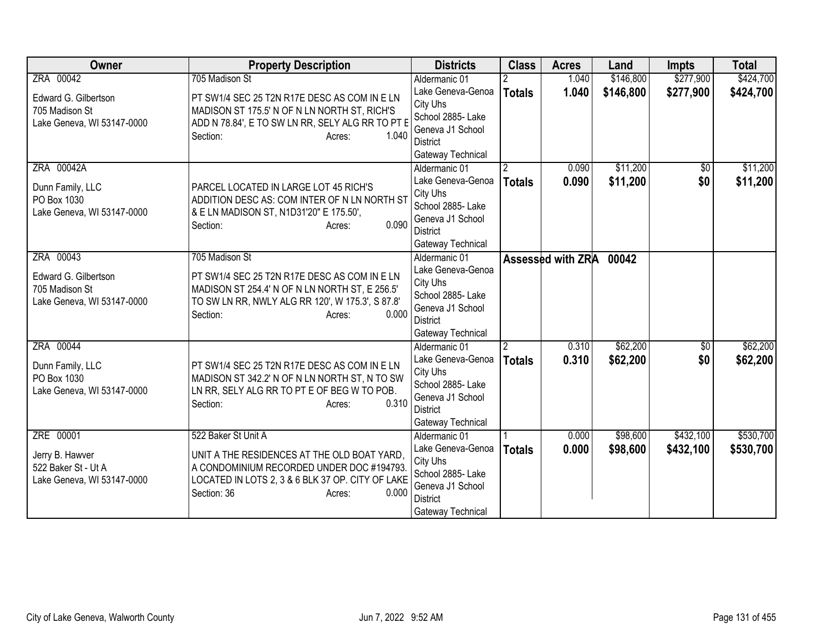| Owner                                                                             | <b>Property Description</b>                                                                                                                                                                           | <b>Districts</b>                                                                                                                | <b>Class</b>  | <b>Acres</b>            | Land                   | <b>Impts</b>           | <b>Total</b>           |
|-----------------------------------------------------------------------------------|-------------------------------------------------------------------------------------------------------------------------------------------------------------------------------------------------------|---------------------------------------------------------------------------------------------------------------------------------|---------------|-------------------------|------------------------|------------------------|------------------------|
| ZRA 00042                                                                         | 705 Madison St                                                                                                                                                                                        | Aldermanic 01<br>Lake Geneva-Genoa                                                                                              | <b>Totals</b> | 1.040<br>1.040          | \$146,800<br>\$146,800 | \$277,900<br>\$277,900 | \$424,700<br>\$424,700 |
| Edward G. Gilbertson<br>705 Madison St<br>Lake Geneva, WI 53147-0000              | PT SW1/4 SEC 25 T2N R17E DESC AS COM IN E LN<br>MADISON ST 175.5' N OF N LN NORTH ST, RICH'S<br>ADD N 78.84', E TO SW LN RR, SELY ALG RR TO PT E<br>1.040<br>Section:<br>Acres:                       | City Uhs<br>School 2885- Lake<br>Geneva J1 School<br><b>District</b><br>Gateway Technical                                       |               |                         |                        |                        |                        |
| ZRA 00042A<br>Dunn Family, LLC<br>PO Box 1030<br>Lake Geneva, WI 53147-0000       | PARCEL LOCATED IN LARGE LOT 45 RICH'S<br>ADDITION DESC AS: COM INTER OF N LN NORTH ST<br>& E LN MADISON ST, N1D31'20" E 175.50',<br>0.090<br>Section:<br>Acres:                                       | Aldermanic 01<br>Lake Geneva-Genoa<br>City Uhs<br>School 2885- Lake<br>Geneva J1 School<br><b>District</b><br>Gateway Technical | <b>Totals</b> | 0.090<br>0.090          | \$11,200<br>\$11,200   | \$0<br>\$0             | \$11,200<br>\$11,200   |
| ZRA 00043<br>Edward G. Gilbertson<br>705 Madison St<br>Lake Geneva, WI 53147-0000 | 705 Madison St<br>PT SW1/4 SEC 25 T2N R17E DESC AS COM IN E LN<br>MADISON ST 254.4' N OF N LN NORTH ST, E 256.5'<br>TO SW LN RR, NWLY ALG RR 120', W 175.3', S 87.8'<br>0.000<br>Section:<br>Acres:   | Aldermanic 01<br>Lake Geneva-Genoa<br>City Uhs<br>School 2885- Lake<br>Geneva J1 School<br><b>District</b><br>Gateway Technical |               | Assessed with ZRA 00042 |                        |                        |                        |
| ZRA 00044<br>Dunn Family, LLC<br>PO Box 1030<br>Lake Geneva, WI 53147-0000        | PT SW1/4 SEC 25 T2N R17E DESC AS COM IN E LN<br>MADISON ST 342.2' N OF N LN NORTH ST, N TO SW<br>LN RR, SELY ALG RR TO PT E OF BEG W TO POB.<br>0.310<br>Section:<br>Acres:                           | Aldermanic 01<br>Lake Geneva-Genoa<br>City Uhs<br>School 2885- Lake<br>Geneva J1 School<br><b>District</b><br>Gateway Technical | <b>Totals</b> | 0.310<br>0.310          | \$62,200<br>\$62,200   | $\overline{50}$<br>\$0 | \$62,200<br>\$62,200   |
| ZRE 00001<br>Jerry B. Hawver<br>522 Baker St - Ut A<br>Lake Geneva, WI 53147-0000 | 522 Baker St Unit A<br>UNIT A THE RESIDENCES AT THE OLD BOAT YARD,<br>A CONDOMINIUM RECORDED UNDER DOC #194793.<br>LOCATED IN LOTS 2, 3 & 6 BLK 37 OP. CITY OF LAKE<br>Section: 36<br>0.000<br>Acres: | Aldermanic 01<br>Lake Geneva-Genoa<br>City Uhs<br>School 2885- Lake<br>Geneva J1 School<br><b>District</b><br>Gateway Technical | <b>Totals</b> | 0.000<br>0.000          | \$98,600<br>\$98,600   | \$432,100<br>\$432,100 | \$530,700<br>\$530,700 |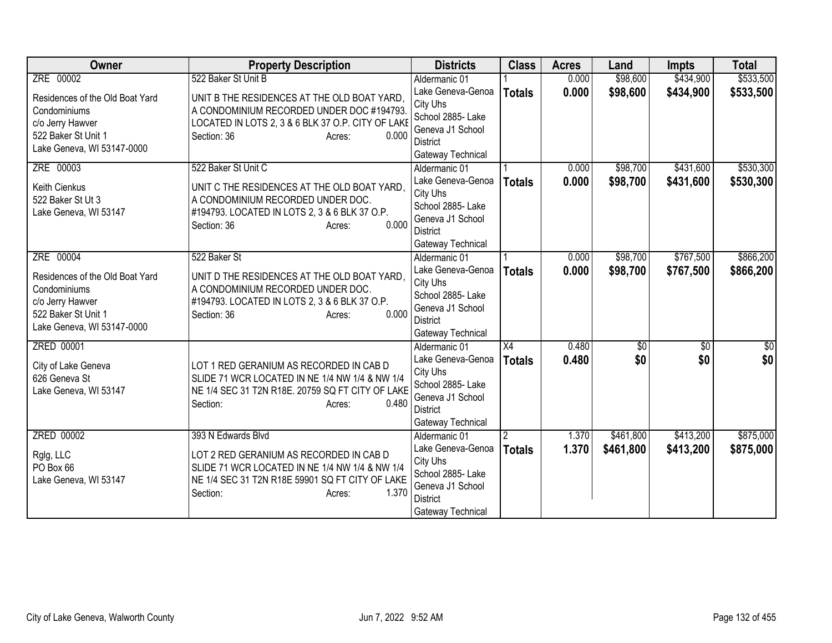| <b>Owner</b>                    | <b>Property Description</b>                              | <b>Districts</b>                     | <b>Class</b>    | <b>Acres</b> | Land        | <b>Impts</b>    | <b>Total</b> |
|---------------------------------|----------------------------------------------------------|--------------------------------------|-----------------|--------------|-------------|-----------------|--------------|
| ZRE 00002                       | 522 Baker St Unit B                                      | Aldermanic 01                        |                 | 0.000        | \$98,600    | \$434,900       | \$533,500    |
| Residences of the Old Boat Yard | UNIT B THE RESIDENCES AT THE OLD BOAT YARD,              | Lake Geneva-Genoa                    | <b>Totals</b>   | 0.000        | \$98,600    | \$434,900       | \$533,500    |
| Condominiums                    | A CONDOMINIUM RECORDED UNDER DOC #194793.                | City Uhs                             |                 |              |             |                 |              |
| c/o Jerry Hawver                | LOCATED IN LOTS 2, 3 & 6 BLK 37 O.P. CITY OF LAKE        | School 2885- Lake                    |                 |              |             |                 |              |
| 522 Baker St Unit 1             | Section: 36<br>0.000<br>Acres:                           | Geneva J1 School                     |                 |              |             |                 |              |
| Lake Geneva, WI 53147-0000      |                                                          | <b>District</b><br>Gateway Technical |                 |              |             |                 |              |
| ZRE 00003                       | 522 Baker St Unit C                                      | Aldermanic 01                        |                 | 0.000        | \$98,700    | \$431,600       | \$530,300    |
|                                 |                                                          | Lake Geneva-Genoa                    | <b>Totals</b>   | 0.000        | \$98,700    | \$431,600       | \$530,300    |
| Keith Cienkus                   | UNIT C THE RESIDENCES AT THE OLD BOAT YARD,              | City Uhs                             |                 |              |             |                 |              |
| 522 Baker St Ut 3               | A CONDOMINIUM RECORDED UNDER DOC.                        | School 2885- Lake                    |                 |              |             |                 |              |
| Lake Geneva, WI 53147           | #194793. LOCATED IN LOTS 2, 3 & 6 BLK 37 O.P.            | Geneva J1 School                     |                 |              |             |                 |              |
|                                 | 0.000<br>Section: 36<br>Acres:                           | <b>District</b>                      |                 |              |             |                 |              |
|                                 |                                                          | Gateway Technical                    |                 |              |             |                 |              |
| ZRE 00004                       | 522 Baker St                                             | Aldermanic 01                        |                 | 0.000        | \$98,700    | \$767,500       | \$866,200    |
| Residences of the Old Boat Yard | UNIT D THE RESIDENCES AT THE OLD BOAT YARD,              | Lake Geneva-Genoa                    | <b>Totals</b>   | 0.000        | \$98,700    | \$767,500       | \$866,200    |
| Condominiums                    | A CONDOMINIUM RECORDED UNDER DOC.                        | City Uhs                             |                 |              |             |                 |              |
| c/o Jerry Hawver                | #194793. LOCATED IN LOTS 2, 3 & 6 BLK 37 O.P.            | School 2885-Lake                     |                 |              |             |                 |              |
| 522 Baker St Unit 1             | 0.000<br>Section: 36<br>Acres:                           | Geneva J1 School                     |                 |              |             |                 |              |
| Lake Geneva, WI 53147-0000      |                                                          | <b>District</b>                      |                 |              |             |                 |              |
|                                 |                                                          | Gateway Technical                    |                 |              |             |                 |              |
| <b>ZRED 00001</b>               |                                                          | Aldermanic 01                        | $\overline{X4}$ | 0.480        | $\sqrt{50}$ | $\overline{50}$ | $\sqrt{60}$  |
| City of Lake Geneva             | LOT 1 RED GERANIUM AS RECORDED IN CAB D                  | Lake Geneva-Genoa                    | <b>Totals</b>   | 0.480        | \$0         | \$0             | \$0          |
| 626 Geneva St                   | SLIDE 71 WCR LOCATED IN NE 1/4 NW 1/4 & NW 1/4           | City Uhs<br>School 2885- Lake        |                 |              |             |                 |              |
| Lake Geneva, WI 53147           | NE 1/4 SEC 31 T2N R18E. 20759 SQ FT CITY OF LAKE         | Geneva J1 School                     |                 |              |             |                 |              |
|                                 | 0.480<br>Section:<br>Acres:                              | <b>District</b>                      |                 |              |             |                 |              |
|                                 |                                                          | Gateway Technical                    |                 |              |             |                 |              |
| <b>ZRED 00002</b>               | 393 N Edwards Blvd                                       | Aldermanic 01                        |                 | 1.370        | \$461,800   | \$413,200       | \$875,000    |
|                                 |                                                          | Lake Geneva-Genoa                    | <b>Totals</b>   | 1.370        | \$461,800   | \$413,200       | \$875,000    |
| Rglg, LLC                       | LOT 2 RED GERANIUM AS RECORDED IN CAB D                  | City Uhs                             |                 |              |             |                 |              |
| PO Box 66                       | SLIDE 71 WCR LOCATED IN NE 1/4 NW 1/4 & NW 1/4           | School 2885- Lake                    |                 |              |             |                 |              |
| Lake Geneva, WI 53147           | NE 1/4 SEC 31 T2N R18E 59901 SQ FT CITY OF LAKE<br>1.370 | Geneva J1 School                     |                 |              |             |                 |              |
|                                 | Section:<br>Acres:                                       | <b>District</b>                      |                 |              |             |                 |              |
|                                 |                                                          | Gateway Technical                    |                 |              |             |                 |              |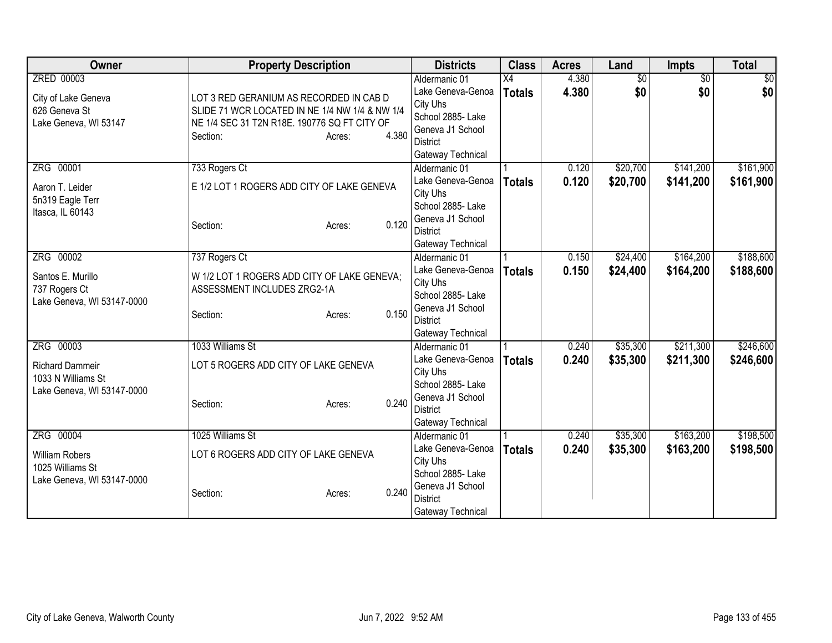| Owner                      | <b>Property Description</b>                    |          | <b>Districts</b>                     | <b>Class</b>    | <b>Acres</b> | Land            | Impts           | <b>Total</b>    |
|----------------------------|------------------------------------------------|----------|--------------------------------------|-----------------|--------------|-----------------|-----------------|-----------------|
| ZRED 00003                 |                                                |          | Aldermanic 01                        | $\overline{X4}$ | 4.380        | $\overline{50}$ | $\overline{50}$ | $\overline{50}$ |
| City of Lake Geneva        | LOT 3 RED GERANIUM AS RECORDED IN CAB D        |          | Lake Geneva-Genoa                    | <b>Totals</b>   | 4.380        | \$0             | \$0             | \$0             |
| 626 Geneva St              | SLIDE 71 WCR LOCATED IN NE 1/4 NW 1/4 & NW 1/4 |          | City Uhs                             |                 |              |                 |                 |                 |
| Lake Geneva, WI 53147      | NE 1/4 SEC 31 T2N R18E. 190776 SQ FT CITY OF   |          | School 2885- Lake                    |                 |              |                 |                 |                 |
|                            | Section:<br>Acres:                             | 4.380    | Geneva J1 School                     |                 |              |                 |                 |                 |
|                            |                                                |          | <b>District</b>                      |                 |              |                 |                 |                 |
|                            |                                                |          | Gateway Technical                    |                 |              |                 |                 |                 |
| ZRG 00001                  | 733 Rogers Ct                                  |          | Aldermanic 01                        |                 | 0.120        | \$20,700        | \$141,200       | \$161,900       |
| Aaron T. Leider            | E 1/2 LOT 1 ROGERS ADD CITY OF LAKE GENEVA     |          | Lake Geneva-Genoa                    | <b>Totals</b>   | 0.120        | \$20,700        | \$141,200       | \$161,900       |
| 5n319 Eagle Terr           |                                                |          | City Uhs<br>School 2885- Lake        |                 |              |                 |                 |                 |
| Itasca, IL 60143           |                                                |          | Geneva J1 School                     |                 |              |                 |                 |                 |
|                            | Section:<br>Acres:                             | 0.120    | <b>District</b>                      |                 |              |                 |                 |                 |
|                            |                                                |          | Gateway Technical                    |                 |              |                 |                 |                 |
| ZRG 00002                  | 737 Rogers Ct                                  |          | Aldermanic 01                        |                 | 0.150        | \$24,400        | \$164,200       | \$188,600       |
|                            |                                                |          | Lake Geneva-Genoa                    | <b>Totals</b>   | 0.150        | \$24,400        | \$164,200       | \$188,600       |
| Santos E. Murillo          | W 1/2 LOT 1 ROGERS ADD CITY OF LAKE GENEVA;    | City Uhs |                                      |                 |              |                 |                 |                 |
| 737 Rogers Ct              | ASSESSMENT INCLUDES ZRG2-1A                    |          | School 2885- Lake                    |                 |              |                 |                 |                 |
| Lake Geneva, WI 53147-0000 |                                                |          | Geneva J1 School                     |                 |              |                 |                 |                 |
|                            | Section:<br>Acres:                             | 0.150    | <b>District</b>                      |                 |              |                 |                 |                 |
|                            |                                                |          | Gateway Technical                    |                 |              |                 |                 |                 |
| ZRG 00003                  | 1033 Williams St                               |          | Aldermanic 01                        |                 | 0.240        | \$35,300        | \$211,300       | \$246,600       |
| <b>Richard Dammeir</b>     | LOT 5 ROGERS ADD CITY OF LAKE GENEVA           |          | Lake Geneva-Genoa                    | <b>Totals</b>   | 0.240        | \$35,300        | \$211,300       | \$246,600       |
| 1033 N Williams St         |                                                |          | City Uhs                             |                 |              |                 |                 |                 |
| Lake Geneva, WI 53147-0000 |                                                |          | School 2885- Lake                    |                 |              |                 |                 |                 |
|                            | Section:<br>Acres:                             | 0.240    | Geneva J1 School                     |                 |              |                 |                 |                 |
|                            |                                                |          | <b>District</b>                      |                 |              |                 |                 |                 |
|                            |                                                |          | Gateway Technical                    |                 |              |                 |                 |                 |
| ZRG 00004                  | 1025 Williams St                               |          | Aldermanic 01                        |                 | 0.240        | \$35,300        | \$163,200       | \$198,500       |
| <b>William Robers</b>      | LOT 6 ROGERS ADD CITY OF LAKE GENEVA           |          | Lake Geneva-Genoa                    | <b>Totals</b>   | 0.240        | \$35,300        | \$163,200       | \$198,500       |
| 1025 Williams St           |                                                |          | City Uhs                             |                 |              |                 |                 |                 |
| Lake Geneva, WI 53147-0000 |                                                |          | School 2885-Lake<br>Geneva J1 School |                 |              |                 |                 |                 |
|                            | Section:<br>Acres:                             | 0.240    | <b>District</b>                      |                 |              |                 |                 |                 |
|                            |                                                |          | Gateway Technical                    |                 |              |                 |                 |                 |
|                            |                                                |          |                                      |                 |              |                 |                 |                 |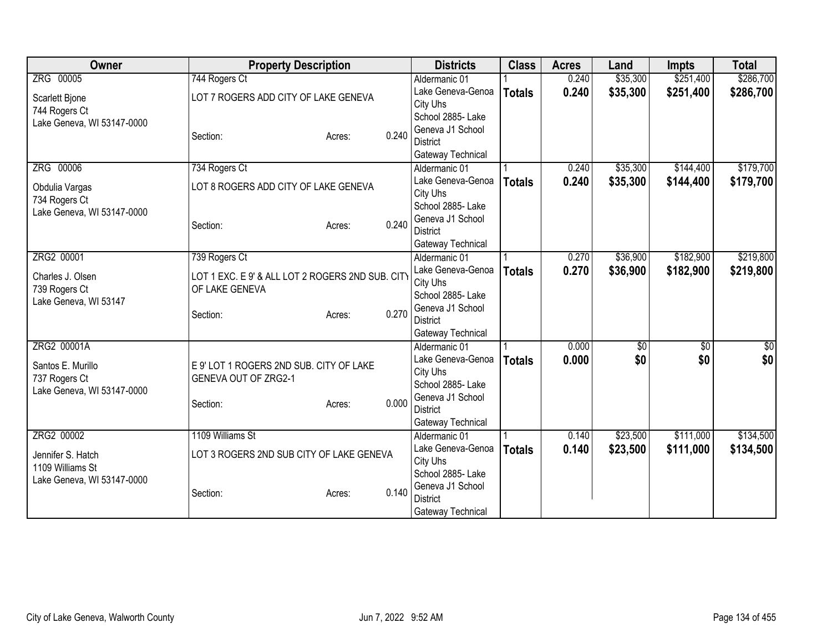| ZRG 00005<br>744 Rogers Ct<br>\$35,300<br>\$251,400<br>0.240<br>Aldermanic 01<br>\$35,300<br>0.240<br>\$251,400<br>Lake Geneva-Genoa<br><b>Totals</b><br>LOT 7 ROGERS ADD CITY OF LAKE GENEVA<br>Scarlett Bjone<br>City Uhs<br>744 Rogers Ct<br>School 2885- Lake | \$286,700<br>\$286,700 |
|-------------------------------------------------------------------------------------------------------------------------------------------------------------------------------------------------------------------------------------------------------------------|------------------------|
|                                                                                                                                                                                                                                                                   |                        |
|                                                                                                                                                                                                                                                                   |                        |
|                                                                                                                                                                                                                                                                   |                        |
| Lake Geneva, WI 53147-0000                                                                                                                                                                                                                                        |                        |
| Geneva J1 School<br>0.240<br>Section:<br>Acres:                                                                                                                                                                                                                   |                        |
| <b>District</b>                                                                                                                                                                                                                                                   |                        |
| Gateway Technical                                                                                                                                                                                                                                                 |                        |
| \$144,400<br>ZRG 00006<br>\$35,300<br>734 Rogers Ct<br>Aldermanic 01<br>0.240                                                                                                                                                                                     | \$179,700              |
| 0.240<br>\$35,300<br>Lake Geneva-Genoa<br>\$144,400<br><b>Totals</b><br>LOT 8 ROGERS ADD CITY OF LAKE GENEVA<br>Obdulia Vargas                                                                                                                                    | \$179,700              |
| City Uhs<br>734 Rogers Ct<br>School 2885- Lake                                                                                                                                                                                                                    |                        |
| Lake Geneva, WI 53147-0000<br>Geneva J1 School                                                                                                                                                                                                                    |                        |
| 0.240<br>Section:<br>Acres:<br><b>District</b>                                                                                                                                                                                                                    |                        |
| Gateway Technical                                                                                                                                                                                                                                                 |                        |
| ZRG2 00001<br>\$36,900<br>\$182,900<br>739 Rogers Ct<br>0.270<br>Aldermanic 01                                                                                                                                                                                    | \$219,800              |
| Lake Geneva-Genoa<br>0.270<br>\$36,900<br>\$182,900<br><b>Totals</b>                                                                                                                                                                                              | \$219,800              |
| LOT 1 EXC. E 9' & ALL LOT 2 ROGERS 2ND SUB. CITY<br>Charles J. Olsen<br>City Uhs                                                                                                                                                                                  |                        |
| 739 Rogers Ct<br>OF LAKE GENEVA<br>School 2885- Lake                                                                                                                                                                                                              |                        |
| Lake Geneva, WI 53147<br>Geneva J1 School<br>0.270                                                                                                                                                                                                                |                        |
| Section:<br>Acres:<br><b>District</b>                                                                                                                                                                                                                             |                        |
| Gateway Technical                                                                                                                                                                                                                                                 |                        |
| ZRG2 00001A<br>0.000<br>\$0<br>\$0<br>Aldermanic 01                                                                                                                                                                                                               | \$0                    |
| \$0<br>Lake Geneva-Genoa<br>0.000<br>\$0<br><b>Totals</b><br>Santos E. Murillo<br>E 9' LOT 1 ROGERS 2ND SUB. CITY OF LAKE                                                                                                                                         | \$0                    |
| City Uhs<br>737 Rogers Ct<br><b>GENEVA OUT OF ZRG2-1</b>                                                                                                                                                                                                          |                        |
| School 2885- Lake<br>Lake Geneva, WI 53147-0000                                                                                                                                                                                                                   |                        |
| Geneva J1 School<br>0.000<br>Section:<br>Acres:                                                                                                                                                                                                                   |                        |
| <b>District</b>                                                                                                                                                                                                                                                   |                        |
| Gateway Technical                                                                                                                                                                                                                                                 |                        |
| ZRG2 00002<br>1109 Williams St<br>\$23,500<br>\$111,000<br>Aldermanic 01<br>0.140                                                                                                                                                                                 | \$134,500              |
| Lake Geneva-Genoa<br>0.140<br>\$23,500<br>\$111,000<br><b>Totals</b><br>LOT 3 ROGERS 2ND SUB CITY OF LAKE GENEVA<br>Jennifer S. Hatch<br>City Uhs                                                                                                                 | \$134,500              |
| 1109 Williams St<br>School 2885-Lake                                                                                                                                                                                                                              |                        |
| Lake Geneva, WI 53147-0000<br>Geneva J1 School                                                                                                                                                                                                                    |                        |
| 0.140<br>Section:<br>Acres:<br><b>District</b>                                                                                                                                                                                                                    |                        |
| Gateway Technical                                                                                                                                                                                                                                                 |                        |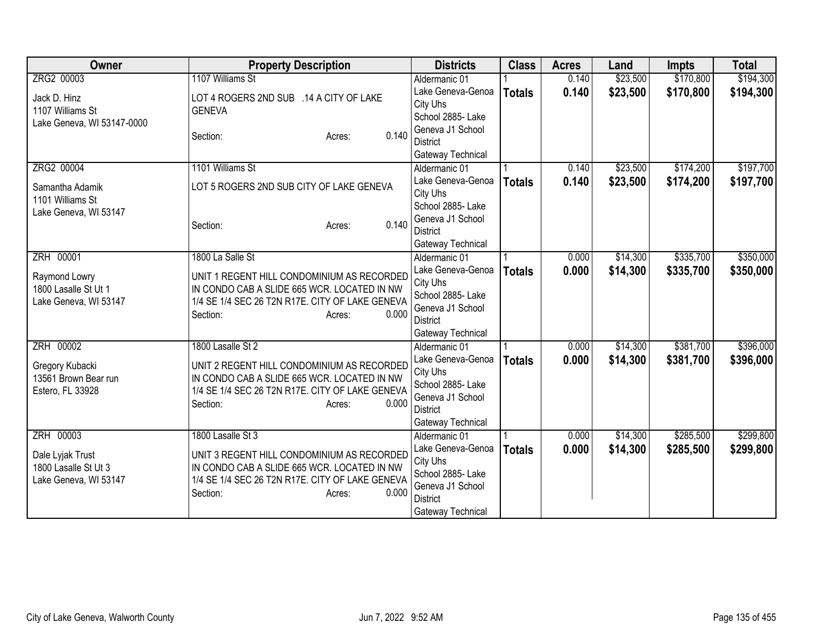| Owner                                                             | <b>Property Description</b>                                                                                                                                                 | <b>Districts</b>                                                                                               | <b>Class</b>  | <b>Acres</b> | Land     | <b>Impts</b> | <b>Total</b> |
|-------------------------------------------------------------------|-----------------------------------------------------------------------------------------------------------------------------------------------------------------------------|----------------------------------------------------------------------------------------------------------------|---------------|--------------|----------|--------------|--------------|
| ZRG2 00003                                                        | 1107 Williams St                                                                                                                                                            | Aldermanic 01                                                                                                  |               | 0.140        | \$23,500 | \$170,800    | \$194,300    |
| Jack D. Hinz<br>1107 Williams St<br>Lake Geneva, WI 53147-0000    | LOT 4 ROGERS 2ND SUB .14 A CITY OF LAKE<br><b>GENEVA</b>                                                                                                                    | Lake Geneva-Genoa<br>City Uhs<br>School 2885- Lake                                                             | <b>Totals</b> | 0.140        | \$23,500 | \$170,800    | \$194,300    |
|                                                                   | 0.140<br>Section:<br>Acres:                                                                                                                                                 | Geneva J1 School<br><b>District</b><br>Gateway Technical                                                       |               |              |          |              |              |
| ZRG2 00004                                                        | 1101 Williams St                                                                                                                                                            | Aldermanic 01                                                                                                  |               | 0.140        | \$23,500 | \$174,200    | \$197,700    |
| Samantha Adamik<br>1101 Williams St<br>Lake Geneva, WI 53147      | LOT 5 ROGERS 2ND SUB CITY OF LAKE GENEVA                                                                                                                                    | Lake Geneva-Genoa<br>City Uhs<br>School 2885- Lake<br>Geneva J1 School                                         | <b>Totals</b> | 0.140        | \$23,500 | \$174,200    | \$197,700    |
|                                                                   | 0.140<br>Section:<br>Acres:                                                                                                                                                 | <b>District</b><br>Gateway Technical                                                                           |               |              |          |              |              |
| ZRH 00001                                                         | 1800 La Salle St                                                                                                                                                            | Aldermanic 01                                                                                                  |               | 0.000        | \$14,300 | \$335,700    | \$350,000    |
| Raymond Lowry<br>1800 Lasalle St Ut 1<br>Lake Geneva, WI 53147    | UNIT 1 REGENT HILL CONDOMINIUM AS RECORDED<br>IN CONDO CAB A SLIDE 665 WCR. LOCATED IN NW<br>1/4 SE 1/4 SEC 26 T2N R17E. CITY OF LAKE GENEVA<br>0.000<br>Section:<br>Acres: | Lake Geneva-Genoa<br>City Uhs<br>School 2885- Lake<br>Geneva J1 School<br><b>District</b><br>Gateway Technical | <b>Totals</b> | 0.000        | \$14,300 | \$335,700    | \$350,000    |
| ZRH 00002                                                         | 1800 Lasalle St 2                                                                                                                                                           | Aldermanic 01                                                                                                  |               | 0.000        | \$14,300 | \$381,700    | \$396,000    |
| Gregory Kubacki<br>13561 Brown Bear run<br>Estero, FL 33928       | UNIT 2 REGENT HILL CONDOMINIUM AS RECORDED<br>IN CONDO CAB A SLIDE 665 WCR. LOCATED IN NW<br>1/4 SE 1/4 SEC 26 T2N R17E. CITY OF LAKE GENEVA<br>Section:<br>0.000<br>Acres: | Lake Geneva-Genoa<br>City Uhs<br>School 2885- Lake<br>Geneva J1 School<br><b>District</b><br>Gateway Technical | <b>Totals</b> | 0.000        | \$14,300 | \$381,700    | \$396,000    |
| ZRH 00003                                                         | 1800 Lasalle St 3                                                                                                                                                           | Aldermanic 01                                                                                                  |               | 0.000        | \$14,300 | \$285,500    | \$299,800    |
| Dale Lyjak Trust<br>1800 Lasalle St Ut 3<br>Lake Geneva, WI 53147 | UNIT 3 REGENT HILL CONDOMINIUM AS RECORDED<br>IN CONDO CAB A SLIDE 665 WCR. LOCATED IN NW<br>1/4 SE 1/4 SEC 26 T2N R17E. CITY OF LAKE GENEVA<br>Section:<br>0.000<br>Acres: | Lake Geneva-Genoa<br>City Uhs<br>School 2885- Lake<br>Geneva J1 School<br><b>District</b><br>Gateway Technical | <b>Totals</b> | 0.000        | \$14,300 | \$285,500    | \$299,800    |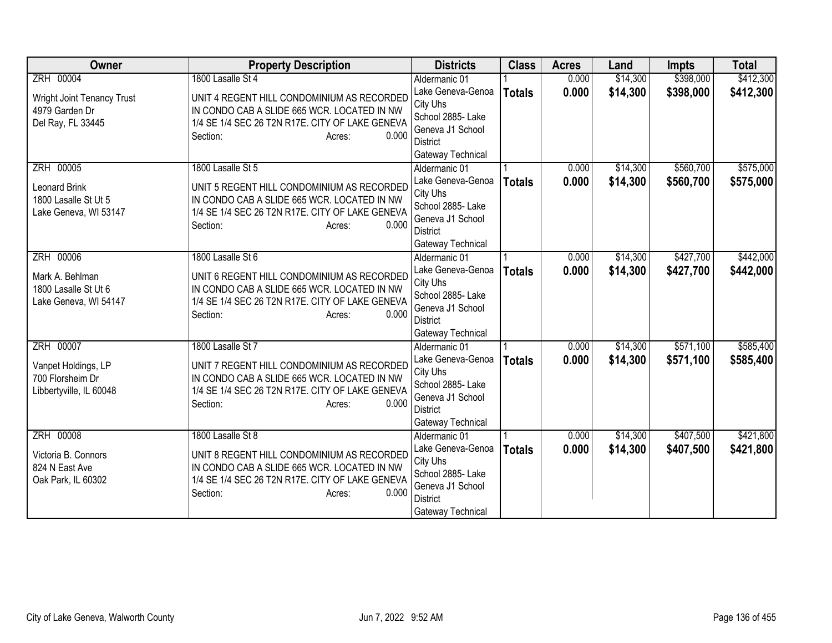| <b>Owner</b>                            | <b>Property Description</b>                                                               | <b>Districts</b>                     | <b>Class</b>  | <b>Acres</b> | Land     | <b>Impts</b> | <b>Total</b> |
|-----------------------------------------|-------------------------------------------------------------------------------------------|--------------------------------------|---------------|--------------|----------|--------------|--------------|
| ZRH 00004                               | 1800 Lasalle St 4                                                                         | Aldermanic 01                        |               | 0.000        | \$14,300 | \$398,000    | \$412,300    |
| <b>Wright Joint Tenancy Trust</b>       | UNIT 4 REGENT HILL CONDOMINIUM AS RECORDED                                                | Lake Geneva-Genoa                    | <b>Totals</b> | 0.000        | \$14,300 | \$398,000    | \$412,300    |
| 4979 Garden Dr                          | IN CONDO CAB A SLIDE 665 WCR. LOCATED IN NW                                               | City Uhs                             |               |              |          |              |              |
| Del Ray, FL 33445                       | 1/4 SE 1/4 SEC 26 T2N R17E. CITY OF LAKE GENEVA                                           | School 2885- Lake                    |               |              |          |              |              |
|                                         | 0.000<br>Section:<br>Acres:                                                               | Geneva J1 School                     |               |              |          |              |              |
|                                         |                                                                                           | <b>District</b><br>Gateway Technical |               |              |          |              |              |
| ZRH 00005                               | 1800 Lasalle St 5                                                                         | Aldermanic 01                        |               | 0.000        | \$14,300 | \$560,700    | \$575,000    |
|                                         |                                                                                           | Lake Geneva-Genoa                    | <b>Totals</b> | 0.000        | \$14,300 | \$560,700    | \$575,000    |
| <b>Leonard Brink</b>                    | UNIT 5 REGENT HILL CONDOMINIUM AS RECORDED                                                | City Uhs                             |               |              |          |              |              |
| 1800 Lasalle St Ut 5                    | IN CONDO CAB A SLIDE 665 WCR. LOCATED IN NW                                               | School 2885- Lake                    |               |              |          |              |              |
| Lake Geneva, WI 53147                   | 1/4 SE 1/4 SEC 26 T2N R17E. CITY OF LAKE GENEVA                                           | Geneva J1 School                     |               |              |          |              |              |
|                                         | 0.000<br>Section:<br>Acres:                                                               | <b>District</b>                      |               |              |          |              |              |
|                                         |                                                                                           | Gateway Technical                    |               |              |          |              |              |
| ZRH 00006                               | 1800 Lasalle St 6                                                                         | Aldermanic 01                        |               | 0.000        | \$14,300 | \$427,700    | \$442,000    |
| Mark A. Behlman                         | UNIT 6 REGENT HILL CONDOMINIUM AS RECORDED                                                | Lake Geneva-Genoa                    | <b>Totals</b> | 0.000        | \$14,300 | \$427,700    | \$442,000    |
| 1800 Lasalle St Ut 6                    | IN CONDO CAB A SLIDE 665 WCR. LOCATED IN NW                                               | City Uhs                             |               |              |          |              |              |
| Lake Geneva, WI 54147                   | 1/4 SE 1/4 SEC 26 T2N R17E. CITY OF LAKE GENEVA                                           | School 2885- Lake                    |               |              |          |              |              |
|                                         | 0.000<br>Section:<br>Acres:                                                               | Geneva J1 School<br><b>District</b>  |               |              |          |              |              |
|                                         |                                                                                           | Gateway Technical                    |               |              |          |              |              |
| ZRH 00007                               | 1800 Lasalle St 7                                                                         | Aldermanic 01                        |               | 0.000        | \$14,300 | \$571,100    | \$585,400    |
|                                         |                                                                                           | Lake Geneva-Genoa                    | <b>Totals</b> | 0.000        | \$14,300 | \$571,100    | \$585,400    |
| Vanpet Holdings, LP<br>700 Florsheim Dr | UNIT 7 REGENT HILL CONDOMINIUM AS RECORDED<br>IN CONDO CAB A SLIDE 665 WCR. LOCATED IN NW | City Uhs                             |               |              |          |              |              |
| Libbertyville, IL 60048                 | 1/4 SE 1/4 SEC 26 T2N R17E. CITY OF LAKE GENEVA                                           | School 2885- Lake                    |               |              |          |              |              |
|                                         | 0.000<br>Section:<br>Acres:                                                               | Geneva J1 School                     |               |              |          |              |              |
|                                         |                                                                                           | <b>District</b>                      |               |              |          |              |              |
|                                         |                                                                                           | Gateway Technical                    |               |              |          |              |              |
| ZRH 00008                               | 1800 Lasalle St 8                                                                         | Aldermanic 01                        |               | 0.000        | \$14,300 | \$407,500    | \$421,800    |
| Victoria B. Connors                     | UNIT 8 REGENT HILL CONDOMINIUM AS RECORDED                                                | Lake Geneva-Genoa                    | <b>Totals</b> | 0.000        | \$14,300 | \$407,500    | \$421,800    |
| 824 N East Ave                          | IN CONDO CAB A SLIDE 665 WCR. LOCATED IN NW                                               | City Uhs<br>School 2885- Lake        |               |              |          |              |              |
| Oak Park, IL 60302                      | 1/4 SE 1/4 SEC 26 T2N R17E. CITY OF LAKE GENEVA                                           | Geneva J1 School                     |               |              |          |              |              |
|                                         | Section:<br>0.000<br>Acres:                                                               | <b>District</b>                      |               |              |          |              |              |
|                                         |                                                                                           | Gateway Technical                    |               |              |          |              |              |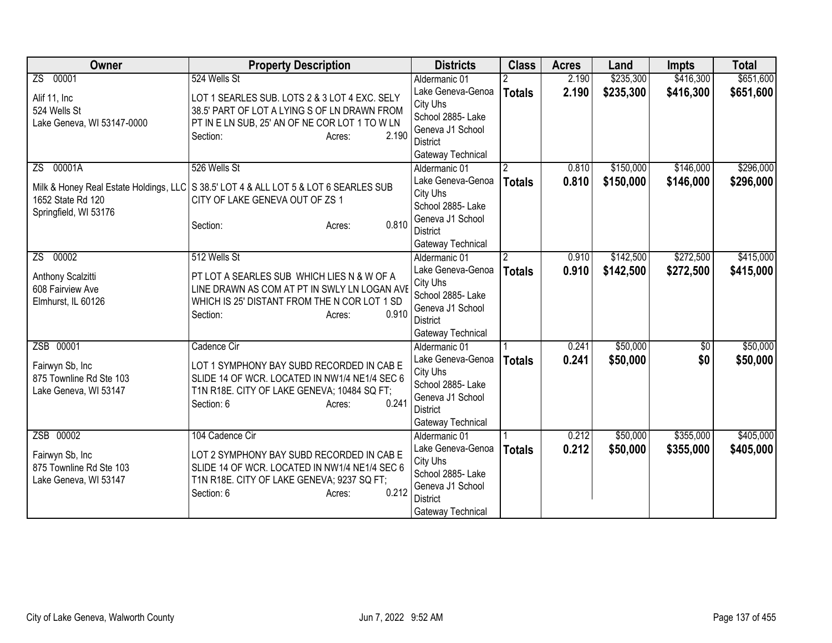| Owner                                                               | <b>Property Description</b>                                                                                                                                                    | <b>Districts</b>                                                                                               | <b>Class</b>   | <b>Acres</b> | Land      | <b>Impts</b>    | <b>Total</b> |
|---------------------------------------------------------------------|--------------------------------------------------------------------------------------------------------------------------------------------------------------------------------|----------------------------------------------------------------------------------------------------------------|----------------|--------------|-----------|-----------------|--------------|
| 00001<br>$\overline{2S}$                                            | 524 Wells St                                                                                                                                                                   | Aldermanic 01                                                                                                  |                | 2.190        | \$235,300 | \$416,300       | \$651,600    |
| Alif 11, Inc<br>524 Wells St<br>Lake Geneva, WI 53147-0000          | LOT 1 SEARLES SUB. LOTS 2 & 3 LOT 4 EXC. SELY<br>38.5' PART OF LOT A LYING S OF LN DRAWN FROM<br>PT IN E LN SUB, 25' AN OF NE COR LOT 1 TO W LN<br>2.190<br>Section:<br>Acres: | Lake Geneva-Genoa<br>City Uhs<br>School 2885- Lake<br>Geneva J1 School<br>District<br>Gateway Technical        | <b>Totals</b>  | 2.190        | \$235,300 | \$416,300       | \$651,600    |
| 00001A<br>ZS.                                                       | 526 Wells St                                                                                                                                                                   | Aldermanic 01                                                                                                  |                | 0.810        | \$150,000 | \$146,000       | \$296,000    |
| 1652 State Rd 120<br>Springfield, WI 53176                          | Milk & Honey Real Estate Holdings, LLC   S 38.5' LOT 4 & ALL LOT 5 & LOT 6 SEARLES SUB<br>CITY OF LAKE GENEVA OUT OF ZS 1<br>0.810<br>Section:<br>Acres:                       | Lake Geneva-Genoa<br>City Uhs<br>School 2885- Lake<br>Geneva J1 School<br><b>District</b><br>Gateway Technical | <b>Totals</b>  | 0.810        | \$150,000 | \$146,000       | \$296,000    |
| 00002<br>ZS.                                                        | 512 Wells St                                                                                                                                                                   | Aldermanic 01                                                                                                  | $\mathfrak{p}$ | 0.910        | \$142,500 | \$272,500       | \$415,000    |
| Anthony Scalzitti<br>608 Fairview Ave<br>Elmhurst, IL 60126         | PT LOT A SEARLES SUB WHICH LIES N & W OF A<br>LINE DRAWN AS COM AT PT IN SWLY LN LOGAN AVE<br>WHICH IS 25' DISTANT FROM THE N COR LOT 1 SD<br>0.910<br>Section:<br>Acres:      | Lake Geneva-Genoa<br>City Uhs<br>School 2885- Lake<br>Geneva J1 School<br><b>District</b><br>Gateway Technical | <b>Totals</b>  | 0.910        | \$142,500 | \$272,500       | \$415,000    |
| ZSB 00001                                                           | Cadence Cir                                                                                                                                                                    | Aldermanic 01                                                                                                  |                | 0.241        | \$50,000  | $\overline{50}$ | \$50,000     |
| Fairwyn Sb, Inc<br>875 Townline Rd Ste 103<br>Lake Geneva, WI 53147 | LOT 1 SYMPHONY BAY SUBD RECORDED IN CAB E<br>SLIDE 14 OF WCR. LOCATED IN NW1/4 NE1/4 SEC 6<br>T1N R18E. CITY OF LAKE GENEVA; 10484 SQ FT;<br>0.241<br>Section: 6<br>Acres:     | Lake Geneva-Genoa<br>City Uhs<br>School 2885- Lake<br>Geneva J1 School<br><b>District</b><br>Gateway Technical | <b>Totals</b>  | 0.241        | \$50,000  | \$0             | \$50,000     |
| ZSB 00002                                                           | 104 Cadence Cir                                                                                                                                                                | Aldermanic 01                                                                                                  |                | 0.212        | \$50,000  | \$355,000       | \$405,000    |
| Fairwyn Sb, Inc<br>875 Townline Rd Ste 103<br>Lake Geneva, WI 53147 | LOT 2 SYMPHONY BAY SUBD RECORDED IN CAB E<br>SLIDE 14 OF WCR. LOCATED IN NW1/4 NE1/4 SEC 6<br>T1N R18E. CITY OF LAKE GENEVA; 9237 SQ FT;<br>0.212<br>Section: 6<br>Acres:      | Lake Geneva-Genoa<br>City Uhs<br>School 2885- Lake<br>Geneva J1 School<br><b>District</b><br>Gateway Technical | <b>Totals</b>  | 0.212        | \$50,000  | \$355,000       | \$405,000    |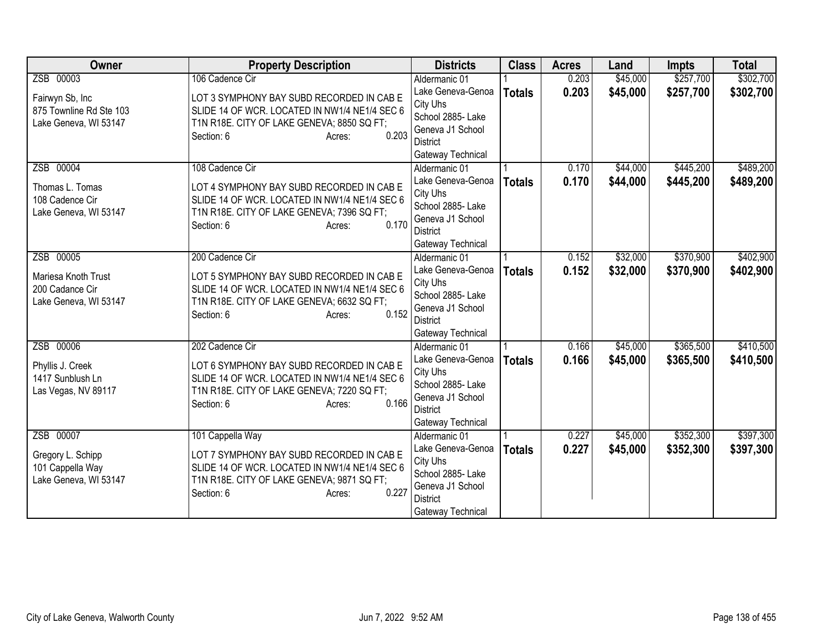| <b>Owner</b>            | <b>Property Description</b>                         | <b>Districts</b>              | <b>Class</b>  | <b>Acres</b> | Land     | <b>Impts</b> | <b>Total</b> |
|-------------------------|-----------------------------------------------------|-------------------------------|---------------|--------------|----------|--------------|--------------|
| ZSB 00003               | 106 Cadence Cir                                     | Aldermanic 01                 |               | 0.203        | \$45,000 | \$257,700    | \$302,700    |
| Fairwyn Sb, Inc         | LOT 3 SYMPHONY BAY SUBD RECORDED IN CAB E           | Lake Geneva-Genoa             | <b>Totals</b> | 0.203        | \$45,000 | \$257,700    | \$302,700    |
| 875 Townline Rd Ste 103 | SLIDE 14 OF WCR. LOCATED IN NW1/4 NE1/4 SEC 6       | City Uhs                      |               |              |          |              |              |
| Lake Geneva, WI 53147   | T1N R18E. CITY OF LAKE GENEVA; 8850 SQ FT;          | School 2885- Lake             |               |              |          |              |              |
|                         | 0.203<br>Section: 6<br>Acres:                       | Geneva J1 School              |               |              |          |              |              |
|                         |                                                     | <b>District</b>               |               |              |          |              |              |
|                         |                                                     | Gateway Technical             |               |              |          |              |              |
| ZSB 00004               | 108 Cadence Cir                                     | Aldermanic 01                 |               | 0.170        | \$44,000 | \$445,200    | \$489,200    |
| Thomas L. Tomas         | LOT 4 SYMPHONY BAY SUBD RECORDED IN CAB E           | Lake Geneva-Genoa             | <b>Totals</b> | 0.170        | \$44,000 | \$445,200    | \$489,200    |
| 108 Cadence Cir         | SLIDE 14 OF WCR. LOCATED IN NW1/4 NE1/4 SEC 6       | City Uhs<br>School 2885- Lake |               |              |          |              |              |
| Lake Geneva, WI 53147   | T1N R18E. CITY OF LAKE GENEVA; 7396 SQ FT;          | Geneva J1 School              |               |              |          |              |              |
|                         | 0.170<br>Section: 6<br>Acres:                       | <b>District</b>               |               |              |          |              |              |
|                         |                                                     | Gateway Technical             |               |              |          |              |              |
| ZSB 00005               | 200 Cadence Cir                                     | Aldermanic 01                 |               | 0.152        | \$32,000 | \$370,900    | \$402,900    |
|                         |                                                     | Lake Geneva-Genoa             | <b>Totals</b> | 0.152        | \$32,000 | \$370,900    | \$402,900    |
| Mariesa Knoth Trust     | LOT 5 SYMPHONY BAY SUBD RECORDED IN CAB E           | City Uhs                      |               |              |          |              |              |
| 200 Cadance Cir         | SLIDE 14 OF WCR. LOCATED IN NW1/4 NE1/4 SEC 6       | School 2885- Lake             |               |              |          |              |              |
| Lake Geneva, WI 53147   | T1N R18E. CITY OF LAKE GENEVA; 6632 SQ FT;<br>0.152 | Geneva J1 School              |               |              |          |              |              |
|                         | Section: 6<br>Acres:                                | <b>District</b>               |               |              |          |              |              |
|                         |                                                     | Gateway Technical             |               |              |          |              |              |
| ZSB 00006               | 202 Cadence Cir                                     | Aldermanic 01                 |               | 0.166        | \$45,000 | \$365,500    | \$410,500    |
| Phyllis J. Creek        | LOT 6 SYMPHONY BAY SUBD RECORDED IN CAB E           | Lake Geneva-Genoa             | <b>Totals</b> | 0.166        | \$45,000 | \$365,500    | \$410,500    |
| 1417 Sunblush Ln        | SLIDE 14 OF WCR. LOCATED IN NW1/4 NE1/4 SEC 6       | City Uhs                      |               |              |          |              |              |
| Las Vegas, NV 89117     | T1N R18E. CITY OF LAKE GENEVA; 7220 SQ FT;          | School 2885- Lake             |               |              |          |              |              |
|                         | 0.166<br>Section: 6<br>Acres:                       | Geneva J1 School              |               |              |          |              |              |
|                         |                                                     | <b>District</b>               |               |              |          |              |              |
|                         |                                                     | Gateway Technical             |               |              |          |              |              |
| ZSB 00007               | 101 Cappella Way                                    | Aldermanic 01                 |               | 0.227        | \$45,000 | \$352,300    | \$397,300    |
| Gregory L. Schipp       | LOT 7 SYMPHONY BAY SUBD RECORDED IN CAB E           | Lake Geneva-Genoa             | <b>Totals</b> | 0.227        | \$45,000 | \$352,300    | \$397,300    |
| 101 Cappella Way        | SLIDE 14 OF WCR. LOCATED IN NW1/4 NE1/4 SEC 6       | City Uhs<br>School 2885- Lake |               |              |          |              |              |
| Lake Geneva, WI 53147   | T1N R18E. CITY OF LAKE GENEVA; 9871 SQ FT;          | Geneva J1 School              |               |              |          |              |              |
|                         | 0.227<br>Section: 6<br>Acres:                       | <b>District</b>               |               |              |          |              |              |
|                         |                                                     | Gateway Technical             |               |              |          |              |              |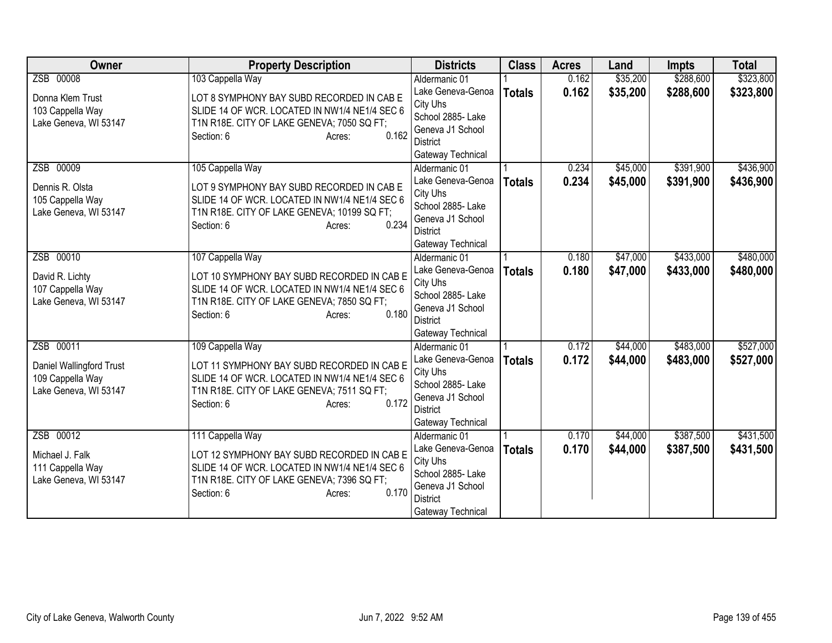| <b>Owner</b>                                                                       | <b>Property Description</b>                                                                                                                                                                    | <b>Districts</b>                                                                                                                | <b>Class</b>  | <b>Acres</b>   | Land                 | <b>Impts</b>           | <b>Total</b>           |
|------------------------------------------------------------------------------------|------------------------------------------------------------------------------------------------------------------------------------------------------------------------------------------------|---------------------------------------------------------------------------------------------------------------------------------|---------------|----------------|----------------------|------------------------|------------------------|
| ZSB 00008                                                                          | 103 Cappella Way                                                                                                                                                                               | Aldermanic 01                                                                                                                   |               | 0.162          | \$35,200             | \$288,600              | \$323,800              |
| Donna Klem Trust<br>103 Cappella Way<br>Lake Geneva, WI 53147                      | LOT 8 SYMPHONY BAY SUBD RECORDED IN CAB E<br>SLIDE 14 OF WCR. LOCATED IN NW1/4 NE1/4 SEC 6<br>T1N R18E. CITY OF LAKE GENEVA; 7050 SQ FT;<br>0.162<br>Section: 6<br>Acres:                      | Lake Geneva-Genoa<br>City Uhs<br>School 2885- Lake<br>Geneva J1 School<br><b>District</b><br>Gateway Technical                  | <b>Totals</b> | 0.162          | \$35,200             | \$288,600              | \$323,800              |
| ZSB 00009<br>Dennis R. Olsta<br>105 Cappella Way<br>Lake Geneva, WI 53147          | 105 Cappella Way<br>LOT 9 SYMPHONY BAY SUBD RECORDED IN CAB E<br>SLIDE 14 OF WCR. LOCATED IN NW1/4 NE1/4 SEC 6<br>T1N R18E. CITY OF LAKE GENEVA; 10199 SQ FT;<br>0.234<br>Section: 6<br>Acres: | Aldermanic 01<br>Lake Geneva-Genoa<br>City Uhs<br>School 2885- Lake<br>Geneva J1 School<br><b>District</b><br>Gateway Technical | <b>Totals</b> | 0.234<br>0.234 | \$45,000<br>\$45,000 | \$391,900<br>\$391,900 | \$436,900<br>\$436,900 |
| ZSB 00010<br>David R. Lichty<br>107 Cappella Way<br>Lake Geneva, WI 53147          | 107 Cappella Way<br>LOT 10 SYMPHONY BAY SUBD RECORDED IN CAB E<br>SLIDE 14 OF WCR. LOCATED IN NW1/4 NE1/4 SEC 6<br>T1N R18E. CITY OF LAKE GENEVA; 7850 SQ FT;<br>0.180<br>Section: 6<br>Acres: | Aldermanic 01<br>Lake Geneva-Genoa<br>City Uhs<br>School 2885- Lake<br>Geneva J1 School<br><b>District</b><br>Gateway Technical | <b>Totals</b> | 0.180<br>0.180 | \$47,000<br>\$47,000 | \$433,000<br>\$433,000 | \$480,000<br>\$480,000 |
| ZSB 00011<br>Daniel Wallingford Trust<br>109 Cappella Way<br>Lake Geneva, WI 53147 | 109 Cappella Way<br>LOT 11 SYMPHONY BAY SUBD RECORDED IN CAB E<br>SLIDE 14 OF WCR. LOCATED IN NW1/4 NE1/4 SEC 6<br>T1N R18E. CITY OF LAKE GENEVA; 7511 SQ FT;<br>0.172<br>Section: 6<br>Acres: | Aldermanic 01<br>Lake Geneva-Genoa<br>City Uhs<br>School 2885- Lake<br>Geneva J1 School<br><b>District</b><br>Gateway Technical | <b>Totals</b> | 0.172<br>0.172 | \$44,000<br>\$44,000 | \$483,000<br>\$483,000 | \$527,000<br>\$527,000 |
| ZSB 00012<br>Michael J. Falk<br>111 Cappella Way<br>Lake Geneva, WI 53147          | 111 Cappella Way<br>LOT 12 SYMPHONY BAY SUBD RECORDED IN CAB E<br>SLIDE 14 OF WCR. LOCATED IN NW1/4 NE1/4 SEC 6<br>T1N R18E. CITY OF LAKE GENEVA; 7396 SQ FT;<br>0.170<br>Section: 6<br>Acres: | Aldermanic 01<br>Lake Geneva-Genoa<br>City Uhs<br>School 2885- Lake<br>Geneva J1 School<br><b>District</b><br>Gateway Technical | <b>Totals</b> | 0.170<br>0.170 | \$44,000<br>\$44,000 | \$387,500<br>\$387,500 | \$431,500<br>\$431,500 |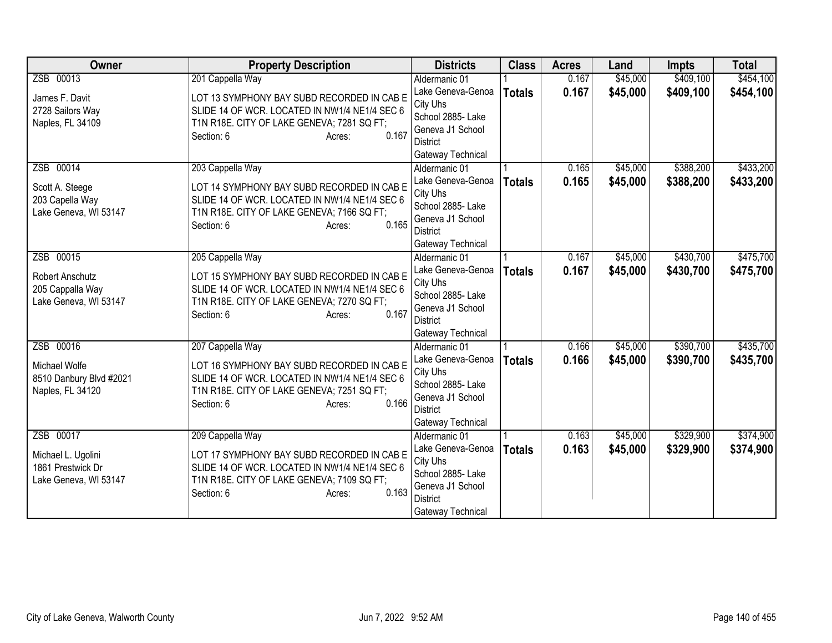| <b>Owner</b>                            | <b>Property Description</b>                   | <b>Districts</b>                   | <b>Class</b>  | <b>Acres</b> | Land     | <b>Impts</b> | <b>Total</b> |
|-----------------------------------------|-----------------------------------------------|------------------------------------|---------------|--------------|----------|--------------|--------------|
| ZSB 00013                               | 201 Cappella Way                              | Aldermanic 01                      |               | 0.167        | \$45,000 | \$409,100    | \$454,100    |
| James F. Davit                          | LOT 13 SYMPHONY BAY SUBD RECORDED IN CAB E    | Lake Geneva-Genoa                  | <b>Totals</b> | 0.167        | \$45,000 | \$409,100    | \$454,100    |
| 2728 Sailors Way                        | SLIDE 14 OF WCR. LOCATED IN NW1/4 NE1/4 SEC 6 | City Uhs                           |               |              |          |              |              |
| Naples, FL 34109                        | T1N R18E. CITY OF LAKE GENEVA; 7281 SQ FT;    | School 2885-Lake                   |               |              |          |              |              |
|                                         | 0.167<br>Section: 6<br>Acres:                 | Geneva J1 School                   |               |              |          |              |              |
|                                         |                                               | <b>District</b>                    |               |              |          |              |              |
| ZSB 00014                               | 203 Cappella Way                              | Gateway Technical<br>Aldermanic 01 |               | 0.165        | \$45,000 | \$388,200    | \$433,200    |
|                                         |                                               | Lake Geneva-Genoa                  |               | 0.165        | \$45,000 | \$388,200    | \$433,200    |
| Scott A. Steege                         | LOT 14 SYMPHONY BAY SUBD RECORDED IN CAB E    | City Uhs                           | <b>Totals</b> |              |          |              |              |
| 203 Capella Way                         | SLIDE 14 OF WCR. LOCATED IN NW1/4 NE1/4 SEC 6 | School 2885- Lake                  |               |              |          |              |              |
| Lake Geneva, WI 53147                   | T1N R18E. CITY OF LAKE GENEVA; 7166 SQ FT;    | Geneva J1 School                   |               |              |          |              |              |
|                                         | 0.165<br>Section: 6<br>Acres:                 | <b>District</b>                    |               |              |          |              |              |
|                                         |                                               | Gateway Technical                  |               |              |          |              |              |
| ZSB 00015                               | 205 Cappella Way                              | Aldermanic 01                      |               | 0.167        | \$45,000 | \$430,700    | \$475,700    |
| Robert Anschutz                         | LOT 15 SYMPHONY BAY SUBD RECORDED IN CAB E    | Lake Geneva-Genoa                  | <b>Totals</b> | 0.167        | \$45,000 | \$430,700    | \$475,700    |
| 205 Cappalla Way                        | SLIDE 14 OF WCR. LOCATED IN NW1/4 NE1/4 SEC 6 | City Uhs                           |               |              |          |              |              |
| Lake Geneva, WI 53147                   | T1N R18E. CITY OF LAKE GENEVA; 7270 SQ FT;    | School 2885- Lake                  |               |              |          |              |              |
|                                         | 0.167<br>Section: 6<br>Acres:                 | Geneva J1 School                   |               |              |          |              |              |
|                                         |                                               | <b>District</b>                    |               |              |          |              |              |
|                                         |                                               | Gateway Technical                  |               |              |          |              |              |
| ZSB 00016                               | 207 Cappella Way                              | Aldermanic 01                      |               | 0.166        | \$45,000 | \$390,700    | \$435,700    |
| Michael Wolfe                           | LOT 16 SYMPHONY BAY SUBD RECORDED IN CAB E    | Lake Geneva-Genoa<br>City Uhs      | <b>Totals</b> | 0.166        | \$45,000 | \$390,700    | \$435,700    |
| 8510 Danbury Blvd #2021                 | SLIDE 14 OF WCR. LOCATED IN NW1/4 NE1/4 SEC 6 | School 2885- Lake                  |               |              |          |              |              |
| Naples, FL 34120                        | T1N R18E. CITY OF LAKE GENEVA; 7251 SQ FT;    | Geneva J1 School                   |               |              |          |              |              |
|                                         | 0.166<br>Section: 6<br>Acres:                 | <b>District</b>                    |               |              |          |              |              |
|                                         |                                               | Gateway Technical                  |               |              |          |              |              |
| ZSB 00017                               | 209 Cappella Way                              | Aldermanic 01                      |               | 0.163        | \$45,000 | \$329,900    | \$374,900    |
|                                         | LOT 17 SYMPHONY BAY SUBD RECORDED IN CAB E    | Lake Geneva-Genoa                  | <b>Totals</b> | 0.163        | \$45,000 | \$329,900    | \$374,900    |
| Michael L. Ugolini<br>1861 Prestwick Dr | SLIDE 14 OF WCR. LOCATED IN NW1/4 NE1/4 SEC 6 | City Uhs                           |               |              |          |              |              |
| Lake Geneva, WI 53147                   | T1N R18E. CITY OF LAKE GENEVA; 7109 SQ FT;    | School 2885- Lake                  |               |              |          |              |              |
|                                         | 0.163<br>Section: 6<br>Acres:                 | Geneva J1 School                   |               |              |          |              |              |
|                                         |                                               | <b>District</b>                    |               |              |          |              |              |
|                                         |                                               | Gateway Technical                  |               |              |          |              |              |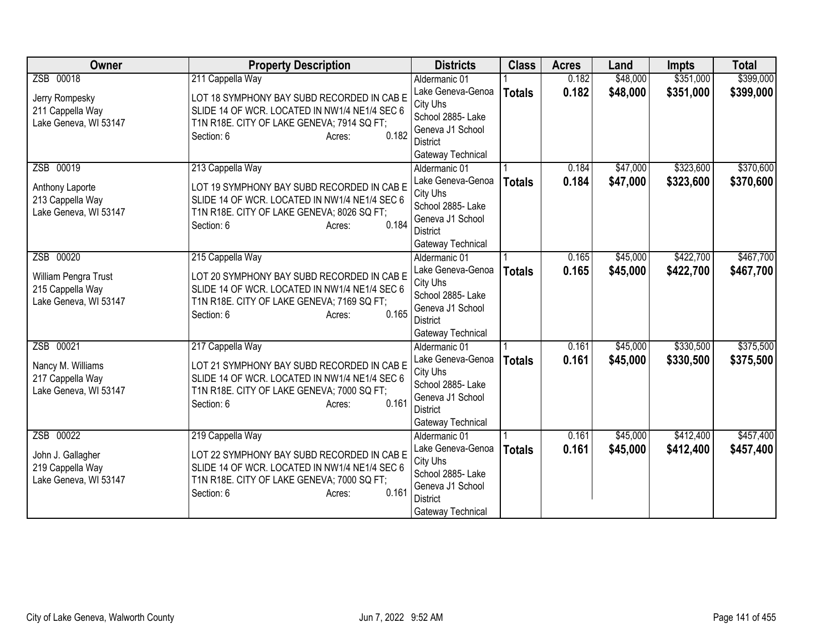| <b>Owner</b>          | <b>Property Description</b>                   | <b>Districts</b>                    | <b>Class</b>  | <b>Acres</b> | Land     | <b>Impts</b> | <b>Total</b> |
|-----------------------|-----------------------------------------------|-------------------------------------|---------------|--------------|----------|--------------|--------------|
| ZSB 00018             | 211 Cappella Way                              | Aldermanic 01                       |               | 0.182        | \$48,000 | \$351,000    | \$399,000    |
| Jerry Rompesky        | LOT 18 SYMPHONY BAY SUBD RECORDED IN CAB E    | Lake Geneva-Genoa<br>City Uhs       | <b>Totals</b> | 0.182        | \$48,000 | \$351,000    | \$399,000    |
| 211 Cappella Way      | SLIDE 14 OF WCR. LOCATED IN NW1/4 NE1/4 SEC 6 | School 2885- Lake                   |               |              |          |              |              |
| Lake Geneva, WI 53147 | T1N R18E. CITY OF LAKE GENEVA; 7914 SQ FT;    | Geneva J1 School                    |               |              |          |              |              |
|                       | 0.182<br>Section: 6<br>Acres:                 | <b>District</b>                     |               |              |          |              |              |
|                       |                                               | Gateway Technical                   |               |              |          |              |              |
| ZSB 00019             | 213 Cappella Way                              | Aldermanic 01                       |               | 0.184        | \$47,000 | \$323,600    | \$370,600    |
| Anthony Laporte       | LOT 19 SYMPHONY BAY SUBD RECORDED IN CAB E    | Lake Geneva-Genoa                   | <b>Totals</b> | 0.184        | \$47,000 | \$323,600    | \$370,600    |
| 213 Cappella Way      | SLIDE 14 OF WCR. LOCATED IN NW1/4 NE1/4 SEC 6 | City Uhs                            |               |              |          |              |              |
| Lake Geneva, WI 53147 | T1N R18E. CITY OF LAKE GENEVA; 8026 SQ FT;    | School 2885- Lake                   |               |              |          |              |              |
|                       | 0.184<br>Section: 6<br>Acres:                 | Geneva J1 School                    |               |              |          |              |              |
|                       |                                               | <b>District</b>                     |               |              |          |              |              |
|                       |                                               | Gateway Technical                   |               |              |          |              |              |
| ZSB 00020             | 215 Cappella Way                              | Aldermanic 01                       |               | 0.165        | \$45,000 | \$422,700    | \$467,700    |
| William Pengra Trust  | LOT 20 SYMPHONY BAY SUBD RECORDED IN CAB E    | Lake Geneva-Genoa                   | <b>Totals</b> | 0.165        | \$45,000 | \$422,700    | \$467,700    |
| 215 Cappella Way      | SLIDE 14 OF WCR. LOCATED IN NW1/4 NE1/4 SEC 6 | City Uhs                            |               |              |          |              |              |
| Lake Geneva, WI 53147 | T1N R18E. CITY OF LAKE GENEVA; 7169 SQ FT;    | School 2885- Lake                   |               |              |          |              |              |
|                       | 0.165<br>Section: 6<br>Acres:                 | Geneva J1 School<br><b>District</b> |               |              |          |              |              |
|                       |                                               | Gateway Technical                   |               |              |          |              |              |
| ZSB 00021             | 217 Cappella Way                              | Aldermanic 01                       |               | 0.161        | \$45,000 | \$330,500    | \$375,500    |
|                       |                                               | Lake Geneva-Genoa                   | <b>Totals</b> | 0.161        | \$45,000 | \$330,500    | \$375,500    |
| Nancy M. Williams     | LOT 21 SYMPHONY BAY SUBD RECORDED IN CAB E    | City Uhs                            |               |              |          |              |              |
| 217 Cappella Way      | SLIDE 14 OF WCR. LOCATED IN NW1/4 NE1/4 SEC 6 | School 2885- Lake                   |               |              |          |              |              |
| Lake Geneva, WI 53147 | T1N R18E. CITY OF LAKE GENEVA; 7000 SQ FT;    | Geneva J1 School                    |               |              |          |              |              |
|                       | 0.161<br>Section: 6<br>Acres:                 | <b>District</b>                     |               |              |          |              |              |
|                       |                                               | Gateway Technical                   |               |              |          |              |              |
| ZSB 00022             | 219 Cappella Way                              | Aldermanic 01                       |               | 0.161        | \$45,000 | \$412,400    | \$457,400    |
| John J. Gallagher     | LOT 22 SYMPHONY BAY SUBD RECORDED IN CAB E    | Lake Geneva-Genoa                   | <b>Totals</b> | 0.161        | \$45,000 | \$412,400    | \$457,400    |
| 219 Cappella Way      | SLIDE 14 OF WCR. LOCATED IN NW1/4 NE1/4 SEC 6 | City Uhs                            |               |              |          |              |              |
| Lake Geneva, WI 53147 | T1N R18E. CITY OF LAKE GENEVA; 7000 SQ FT;    | School 2885- Lake                   |               |              |          |              |              |
|                       | 0.161<br>Section: 6<br>Acres:                 | Geneva J1 School                    |               |              |          |              |              |
|                       |                                               | <b>District</b>                     |               |              |          |              |              |
|                       |                                               | Gateway Technical                   |               |              |          |              |              |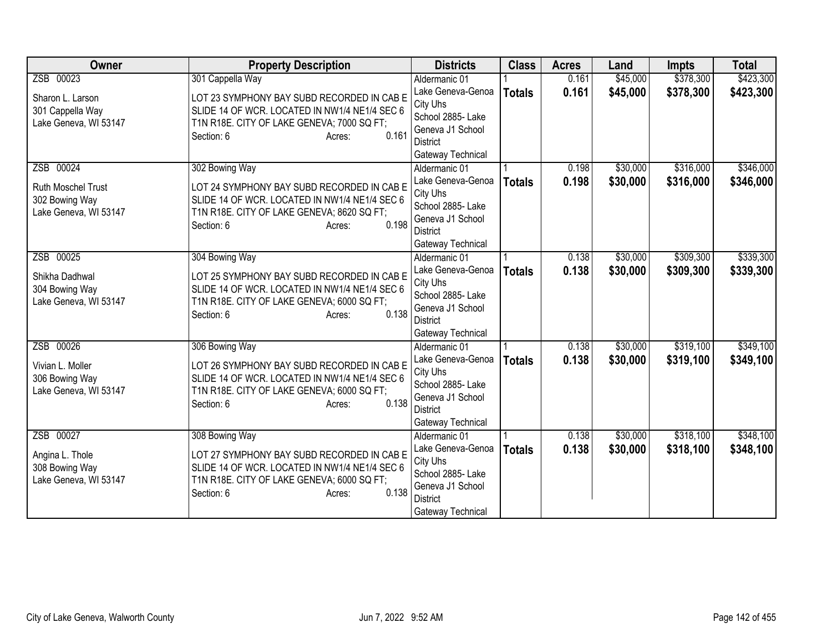| <b>Owner</b>          | <b>Property Description</b>                         | <b>Districts</b>              | <b>Class</b>  | <b>Acres</b> | Land     | <b>Impts</b> | <b>Total</b> |
|-----------------------|-----------------------------------------------------|-------------------------------|---------------|--------------|----------|--------------|--------------|
| ZSB 00023             | 301 Cappella Way                                    | Aldermanic 01                 |               | 0.161        | \$45,000 | \$378,300    | \$423,300    |
| Sharon L. Larson      | LOT 23 SYMPHONY BAY SUBD RECORDED IN CAB E          | Lake Geneva-Genoa             | <b>Totals</b> | 0.161        | \$45,000 | \$378,300    | \$423,300    |
| 301 Cappella Way      | SLIDE 14 OF WCR. LOCATED IN NW1/4 NE1/4 SEC 6       | City Uhs                      |               |              |          |              |              |
| Lake Geneva, WI 53147 | T1N R18E. CITY OF LAKE GENEVA; 7000 SQ FT;          | School 2885- Lake             |               |              |          |              |              |
|                       | 0.161<br>Section: 6<br>Acres:                       | Geneva J1 School              |               |              |          |              |              |
|                       |                                                     | <b>District</b>               |               |              |          |              |              |
|                       |                                                     | Gateway Technical             |               |              |          |              |              |
| ZSB 00024             | 302 Bowing Way                                      | Aldermanic 01                 |               | 0.198        | \$30,000 | \$316,000    | \$346,000    |
| Ruth Moschel Trust    | LOT 24 SYMPHONY BAY SUBD RECORDED IN CAB E          | Lake Geneva-Genoa             | <b>Totals</b> | 0.198        | \$30,000 | \$316,000    | \$346,000    |
| 302 Bowing Way        | SLIDE 14 OF WCR. LOCATED IN NW1/4 NE1/4 SEC 6       | City Uhs<br>School 2885- Lake |               |              |          |              |              |
| Lake Geneva, WI 53147 | T1N R18E. CITY OF LAKE GENEVA; 8620 SQ FT;          | Geneva J1 School              |               |              |          |              |              |
|                       | 0.198<br>Section: 6<br>Acres:                       | <b>District</b>               |               |              |          |              |              |
|                       |                                                     | Gateway Technical             |               |              |          |              |              |
| ZSB 00025             | 304 Bowing Way                                      | Aldermanic 01                 |               | 0.138        | \$30,000 | \$309,300    | \$339,300    |
|                       |                                                     | Lake Geneva-Genoa             | <b>Totals</b> | 0.138        | \$30,000 | \$309,300    | \$339,300    |
| Shikha Dadhwal        | LOT 25 SYMPHONY BAY SUBD RECORDED IN CAB E          | City Uhs                      |               |              |          |              |              |
| 304 Bowing Way        | SLIDE 14 OF WCR. LOCATED IN NW1/4 NE1/4 SEC 6       | School 2885- Lake             |               |              |          |              |              |
| Lake Geneva, WI 53147 | T1N R18E. CITY OF LAKE GENEVA; 6000 SQ FT;<br>0.138 | Geneva J1 School              |               |              |          |              |              |
|                       | Section: 6<br>Acres:                                | <b>District</b>               |               |              |          |              |              |
|                       |                                                     | Gateway Technical             |               |              |          |              |              |
| ZSB 00026             | 306 Bowing Way                                      | Aldermanic 01                 |               | 0.138        | \$30,000 | \$319,100    | \$349,100    |
| Vivian L. Moller      | LOT 26 SYMPHONY BAY SUBD RECORDED IN CAB E          | Lake Geneva-Genoa             | <b>Totals</b> | 0.138        | \$30,000 | \$319,100    | \$349,100    |
| 306 Bowing Way        | SLIDE 14 OF WCR. LOCATED IN NW1/4 NE1/4 SEC 6       | City Uhs                      |               |              |          |              |              |
| Lake Geneva, WI 53147 | T1N R18E. CITY OF LAKE GENEVA; 6000 SQ FT;          | School 2885- Lake             |               |              |          |              |              |
|                       | 0.138<br>Section: 6<br>Acres:                       | Geneva J1 School              |               |              |          |              |              |
|                       |                                                     | <b>District</b>               |               |              |          |              |              |
|                       |                                                     | Gateway Technical             |               |              |          |              |              |
| ZSB 00027             | 308 Bowing Way                                      | Aldermanic 01                 |               | 0.138        | \$30,000 | \$318,100    | \$348,100    |
| Angina L. Thole       | LOT 27 SYMPHONY BAY SUBD RECORDED IN CAB E          | Lake Geneva-Genoa<br>City Uhs | <b>Totals</b> | 0.138        | \$30,000 | \$318,100    | \$348,100    |
| 308 Bowing Way        | SLIDE 14 OF WCR. LOCATED IN NW1/4 NE1/4 SEC 6       | School 2885- Lake             |               |              |          |              |              |
| Lake Geneva, WI 53147 | T1N R18E. CITY OF LAKE GENEVA; 6000 SQ FT;          | Geneva J1 School              |               |              |          |              |              |
|                       | 0.138<br>Section: 6<br>Acres:                       | <b>District</b>               |               |              |          |              |              |
|                       |                                                     | Gateway Technical             |               |              |          |              |              |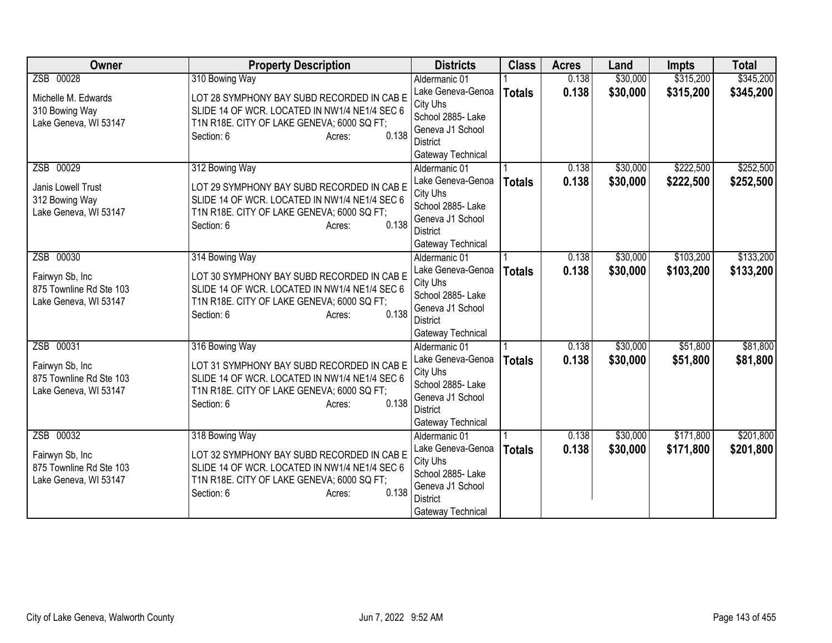| <b>Owner</b>            | <b>Property Description</b>                         | <b>Districts</b>              | <b>Class</b>  | <b>Acres</b> | Land     | <b>Impts</b> | <b>Total</b> |
|-------------------------|-----------------------------------------------------|-------------------------------|---------------|--------------|----------|--------------|--------------|
| ZSB 00028               | 310 Bowing Way                                      | Aldermanic 01                 |               | 0.138        | \$30,000 | \$315,200    | \$345,200    |
| Michelle M. Edwards     | LOT 28 SYMPHONY BAY SUBD RECORDED IN CAB E          | Lake Geneva-Genoa             | <b>Totals</b> | 0.138        | \$30,000 | \$315,200    | \$345,200    |
| 310 Bowing Way          | SLIDE 14 OF WCR. LOCATED IN NW1/4 NE1/4 SEC 6       | City Uhs                      |               |              |          |              |              |
| Lake Geneva, WI 53147   | T1N R18E. CITY OF LAKE GENEVA; 6000 SQ FT;          | School 2885- Lake             |               |              |          |              |              |
|                         | 0.138<br>Section: 6<br>Acres:                       | Geneva J1 School              |               |              |          |              |              |
|                         |                                                     | <b>District</b>               |               |              |          |              |              |
|                         |                                                     | Gateway Technical             |               |              |          |              |              |
| ZSB 00029               | 312 Bowing Way                                      | Aldermanic 01                 |               | 0.138        | \$30,000 | \$222,500    | \$252,500    |
| Janis Lowell Trust      | LOT 29 SYMPHONY BAY SUBD RECORDED IN CAB E          | Lake Geneva-Genoa             | <b>Totals</b> | 0.138        | \$30,000 | \$222,500    | \$252,500    |
| 312 Bowing Way          | SLIDE 14 OF WCR. LOCATED IN NW1/4 NE1/4 SEC 6       | City Uhs<br>School 2885- Lake |               |              |          |              |              |
| Lake Geneva, WI 53147   | T1N R18E. CITY OF LAKE GENEVA; 6000 SQ FT;          | Geneva J1 School              |               |              |          |              |              |
|                         | 0.138<br>Section: 6<br>Acres:                       | <b>District</b>               |               |              |          |              |              |
|                         |                                                     | Gateway Technical             |               |              |          |              |              |
| ZSB 00030               | 314 Bowing Way                                      | Aldermanic 01                 |               | 0.138        | \$30,000 | \$103,200    | \$133,200    |
|                         |                                                     | Lake Geneva-Genoa             | <b>Totals</b> | 0.138        | \$30,000 | \$103,200    | \$133,200    |
| Fairwyn Sb, Inc         | LOT 30 SYMPHONY BAY SUBD RECORDED IN CAB E          | City Uhs                      |               |              |          |              |              |
| 875 Townline Rd Ste 103 | SLIDE 14 OF WCR. LOCATED IN NW1/4 NE1/4 SEC 6       | School 2885- Lake             |               |              |          |              |              |
| Lake Geneva, WI 53147   | T1N R18E. CITY OF LAKE GENEVA; 6000 SQ FT;<br>0.138 | Geneva J1 School              |               |              |          |              |              |
|                         | Section: 6<br>Acres:                                | <b>District</b>               |               |              |          |              |              |
|                         |                                                     | Gateway Technical             |               |              |          |              |              |
| ZSB 00031               | 316 Bowing Way                                      | Aldermanic 01                 |               | 0.138        | \$30,000 | \$51,800     | \$81,800     |
| Fairwyn Sb, Inc         | LOT 31 SYMPHONY BAY SUBD RECORDED IN CAB E          | Lake Geneva-Genoa             | <b>Totals</b> | 0.138        | \$30,000 | \$51,800     | \$81,800     |
| 875 Townline Rd Ste 103 | SLIDE 14 OF WCR. LOCATED IN NW1/4 NE1/4 SEC 6       | City Uhs                      |               |              |          |              |              |
| Lake Geneva, WI 53147   | T1N R18E. CITY OF LAKE GENEVA; 6000 SQ FT;          | School 2885- Lake             |               |              |          |              |              |
|                         | 0.138<br>Section: 6<br>Acres:                       | Geneva J1 School              |               |              |          |              |              |
|                         |                                                     | <b>District</b>               |               |              |          |              |              |
|                         |                                                     | Gateway Technical             |               |              |          |              |              |
| ZSB 00032               | 318 Bowing Way                                      | Aldermanic 01                 |               | 0.138        | \$30,000 | \$171,800    | \$201,800    |
| Fairwyn Sb, Inc         | LOT 32 SYMPHONY BAY SUBD RECORDED IN CAB E          | Lake Geneva-Genoa<br>City Uhs | <b>Totals</b> | 0.138        | \$30,000 | \$171,800    | \$201,800    |
| 875 Townline Rd Ste 103 | SLIDE 14 OF WCR. LOCATED IN NW1/4 NE1/4 SEC 6       | School 2885- Lake             |               |              |          |              |              |
| Lake Geneva, WI 53147   | T1N R18E. CITY OF LAKE GENEVA; 6000 SQ FT;          | Geneva J1 School              |               |              |          |              |              |
|                         | 0.138<br>Section: 6<br>Acres:                       | <b>District</b>               |               |              |          |              |              |
|                         |                                                     | Gateway Technical             |               |              |          |              |              |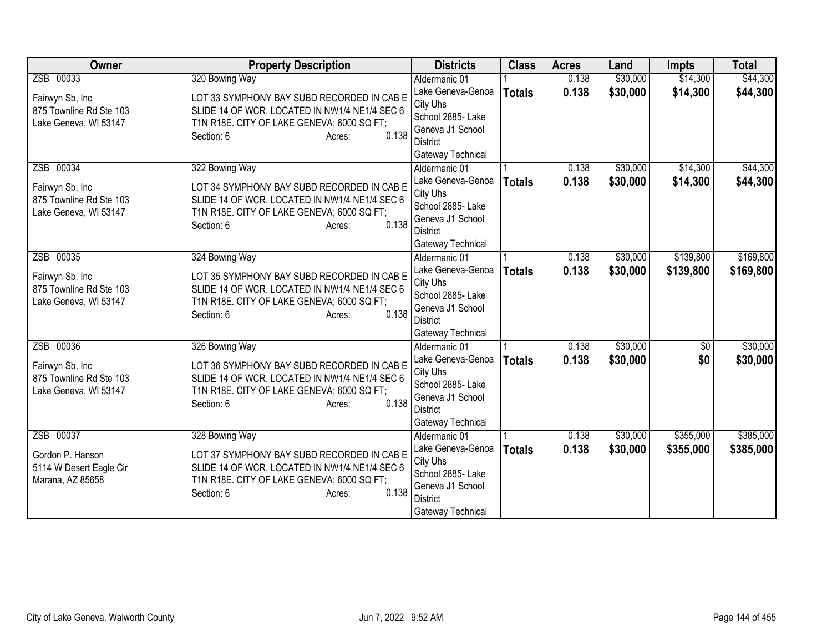| <b>Owner</b>                                     | <b>Property Description</b>                                                                 | <b>Districts</b>                   | <b>Class</b>  | <b>Acres</b> | Land     | <b>Impts</b>    | <b>Total</b> |
|--------------------------------------------------|---------------------------------------------------------------------------------------------|------------------------------------|---------------|--------------|----------|-----------------|--------------|
| ZSB 00033                                        | 320 Bowing Way                                                                              | Aldermanic 01                      |               | 0.138        | \$30,000 | \$14,300        | \$44,300     |
| Fairwyn Sb, Inc                                  | LOT 33 SYMPHONY BAY SUBD RECORDED IN CAB E                                                  | Lake Geneva-Genoa                  | <b>Totals</b> | 0.138        | \$30,000 | \$14,300        | \$44,300     |
| 875 Townline Rd Ste 103                          | SLIDE 14 OF WCR. LOCATED IN NW1/4 NE1/4 SEC 6                                               | City Uhs                           |               |              |          |                 |              |
| Lake Geneva, WI 53147                            | T1N R18E. CITY OF LAKE GENEVA; 6000 SQ FT;                                                  | School 2885- Lake                  |               |              |          |                 |              |
|                                                  | 0.138<br>Section: 6<br>Acres:                                                               | Geneva J1 School                   |               |              |          |                 |              |
|                                                  |                                                                                             | District                           |               |              |          |                 |              |
| ZSB 00034                                        |                                                                                             | Gateway Technical<br>Aldermanic 01 |               | 0.138        | \$30,000 | \$14,300        | \$44,300     |
|                                                  | 322 Bowing Way                                                                              | Lake Geneva-Genoa                  |               | 0.138        | \$30,000 | \$14,300        |              |
| Fairwyn Sb, Inc                                  | LOT 34 SYMPHONY BAY SUBD RECORDED IN CAB E                                                  | City Uhs                           | <b>Totals</b> |              |          |                 | \$44,300     |
| 875 Townline Rd Ste 103                          | SLIDE 14 OF WCR. LOCATED IN NW1/4 NE1/4 SEC 6                                               | School 2885- Lake                  |               |              |          |                 |              |
| Lake Geneva, WI 53147                            | T1N R18E. CITY OF LAKE GENEVA; 6000 SQ FT;                                                  | Geneva J1 School                   |               |              |          |                 |              |
|                                                  | 0.138<br>Section: 6<br>Acres:                                                               | <b>District</b>                    |               |              |          |                 |              |
|                                                  |                                                                                             | Gateway Technical                  |               |              |          |                 |              |
| ZSB 00035                                        | 324 Bowing Way                                                                              | Aldermanic 01                      |               | 0.138        | \$30,000 | \$139,800       | \$169,800    |
|                                                  |                                                                                             | Lake Geneva-Genoa                  | <b>Totals</b> | 0.138        | \$30,000 | \$139,800       | \$169,800    |
| Fairwyn Sb, Inc                                  | LOT 35 SYMPHONY BAY SUBD RECORDED IN CAB E<br>SLIDE 14 OF WCR. LOCATED IN NW1/4 NE1/4 SEC 6 | City Uhs                           |               |              |          |                 |              |
| 875 Townline Rd Ste 103<br>Lake Geneva, WI 53147 | T1N R18E. CITY OF LAKE GENEVA; 6000 SQ FT;                                                  | School 2885- Lake                  |               |              |          |                 |              |
|                                                  | 0.138<br>Section: 6<br>Acres:                                                               | Geneva J1 School                   |               |              |          |                 |              |
|                                                  |                                                                                             | <b>District</b>                    |               |              |          |                 |              |
|                                                  |                                                                                             | Gateway Technical                  |               |              |          |                 |              |
| ZSB 00036                                        | 326 Bowing Way                                                                              | Aldermanic 01                      |               | 0.138        | \$30,000 | $\overline{50}$ | \$30,000     |
| Fairwyn Sb, Inc                                  | LOT 36 SYMPHONY BAY SUBD RECORDED IN CAB E                                                  | Lake Geneva-Genoa                  | <b>Totals</b> | 0.138        | \$30,000 | \$0             | \$30,000     |
| 875 Townline Rd Ste 103                          | SLIDE 14 OF WCR. LOCATED IN NW1/4 NE1/4 SEC 6                                               | City Uhs<br>School 2885- Lake      |               |              |          |                 |              |
| Lake Geneva, WI 53147                            | T1N R18E. CITY OF LAKE GENEVA; 6000 SQ FT;                                                  | Geneva J1 School                   |               |              |          |                 |              |
|                                                  | 0.138<br>Section: 6<br>Acres:                                                               | <b>District</b>                    |               |              |          |                 |              |
|                                                  |                                                                                             | Gateway Technical                  |               |              |          |                 |              |
| ZSB 00037                                        | 328 Bowing Way                                                                              | Aldermanic 01                      |               | 0.138        | \$30,000 | \$355,000       | \$385,000    |
|                                                  |                                                                                             | Lake Geneva-Genoa                  | <b>Totals</b> | 0.138        | \$30,000 | \$355,000       | \$385,000    |
| Gordon P. Hanson                                 | LOT 37 SYMPHONY BAY SUBD RECORDED IN CAB E                                                  | City Uhs                           |               |              |          |                 |              |
| 5114 W Desert Eagle Cir                          | SLIDE 14 OF WCR. LOCATED IN NW1/4 NE1/4 SEC 6                                               | School 2885-Lake                   |               |              |          |                 |              |
| Marana, AZ 85658                                 | T1N R18E. CITY OF LAKE GENEVA; 6000 SQ FT;<br>0.138                                         | Geneva J1 School                   |               |              |          |                 |              |
|                                                  | Section: 6<br>Acres:                                                                        | <b>District</b>                    |               |              |          |                 |              |
|                                                  |                                                                                             | Gateway Technical                  |               |              |          |                 |              |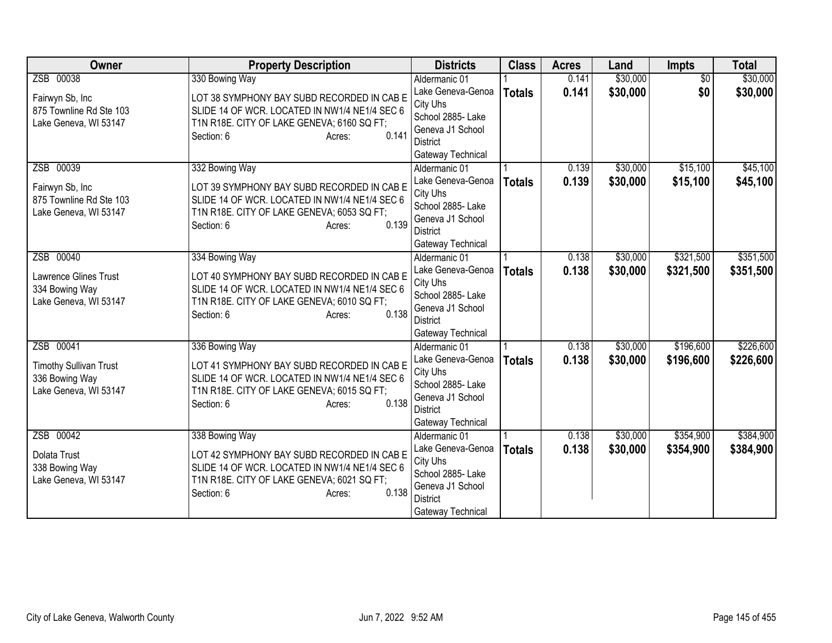| Owner                         | <b>Property Description</b>                         | <b>Districts</b>              | <b>Class</b>  | <b>Acres</b> | Land     | Impts           | <b>Total</b> |
|-------------------------------|-----------------------------------------------------|-------------------------------|---------------|--------------|----------|-----------------|--------------|
| ZSB 00038                     | 330 Bowing Way                                      | Aldermanic 01                 |               | 0.141        | \$30,000 | $\overline{50}$ | \$30,000     |
| Fairwyn Sb, Inc               | LOT 38 SYMPHONY BAY SUBD RECORDED IN CAB E          | Lake Geneva-Genoa             | <b>Totals</b> | 0.141        | \$30,000 | \$0             | \$30,000     |
| 875 Townline Rd Ste 103       | SLIDE 14 OF WCR. LOCATED IN NW1/4 NE1/4 SEC 6       | City Uhs                      |               |              |          |                 |              |
| Lake Geneva, WI 53147         | T1N R18E. CITY OF LAKE GENEVA; 6160 SQ FT;          | School 2885- Lake             |               |              |          |                 |              |
|                               | 0.141<br>Section: 6<br>Acres:                       | Geneva J1 School              |               |              |          |                 |              |
|                               |                                                     | District                      |               |              |          |                 |              |
|                               |                                                     | Gateway Technical             |               |              |          |                 |              |
| ZSB 00039                     | 332 Bowing Way                                      | Aldermanic 01                 |               | 0.139        | \$30,000 | \$15,100        | \$45,100     |
| Fairwyn Sb, Inc               | LOT 39 SYMPHONY BAY SUBD RECORDED IN CAB E          | Lake Geneva-Genoa             | <b>Totals</b> | 0.139        | \$30,000 | \$15,100        | \$45,100     |
| 875 Townline Rd Ste 103       | SLIDE 14 OF WCR. LOCATED IN NW1/4 NE1/4 SEC 6       | City Uhs<br>School 2885- Lake |               |              |          |                 |              |
| Lake Geneva, WI 53147         | T1N R18E. CITY OF LAKE GENEVA; 6053 SQ FT;          | Geneva J1 School              |               |              |          |                 |              |
|                               | 0.139<br>Section: 6<br>Acres:                       | <b>District</b>               |               |              |          |                 |              |
|                               |                                                     | Gateway Technical             |               |              |          |                 |              |
| ZSB 00040                     | 334 Bowing Way                                      | Aldermanic 01                 |               | 0.138        | \$30,000 | \$321,500       | \$351,500    |
|                               |                                                     | Lake Geneva-Genoa             | <b>Totals</b> | 0.138        | \$30,000 | \$321,500       | \$351,500    |
| <b>Lawrence Glines Trust</b>  | LOT 40 SYMPHONY BAY SUBD RECORDED IN CAB E          | City Uhs                      |               |              |          |                 |              |
| 334 Bowing Way                | SLIDE 14 OF WCR. LOCATED IN NW1/4 NE1/4 SEC 6       | School 2885- Lake             |               |              |          |                 |              |
| Lake Geneva, WI 53147         | T1N R18E. CITY OF LAKE GENEVA; 6010 SQ FT;<br>0.138 | Geneva J1 School              |               |              |          |                 |              |
|                               | Section: 6<br>Acres:                                | <b>District</b>               |               |              |          |                 |              |
|                               |                                                     | Gateway Technical             |               |              |          |                 |              |
| ZSB 00041                     | 336 Bowing Way                                      | Aldermanic 01                 |               | 0.138        | \$30,000 | \$196,600       | \$226,600    |
| <b>Timothy Sullivan Trust</b> | LOT 41 SYMPHONY BAY SUBD RECORDED IN CAB E          | Lake Geneva-Genoa             | <b>Totals</b> | 0.138        | \$30,000 | \$196,600       | \$226,600    |
| 336 Bowing Way                | SLIDE 14 OF WCR. LOCATED IN NW1/4 NE1/4 SEC 6       | City Uhs                      |               |              |          |                 |              |
| Lake Geneva, WI 53147         | T1N R18E. CITY OF LAKE GENEVA; 6015 SQ FT;          | School 2885- Lake             |               |              |          |                 |              |
|                               | 0.138<br>Section: 6<br>Acres:                       | Geneva J1 School              |               |              |          |                 |              |
|                               |                                                     | <b>District</b>               |               |              |          |                 |              |
|                               |                                                     | Gateway Technical             |               |              |          |                 |              |
| ZSB 00042                     | 338 Bowing Way                                      | Aldermanic 01                 |               | 0.138        | \$30,000 | \$354,900       | \$384,900    |
| Dolata Trust                  | LOT 42 SYMPHONY BAY SUBD RECORDED IN CAB E          | Lake Geneva-Genoa<br>City Uhs | <b>Totals</b> | 0.138        | \$30,000 | \$354,900       | \$384,900    |
| 338 Bowing Way                | SLIDE 14 OF WCR. LOCATED IN NW1/4 NE1/4 SEC 6       | School 2885- Lake             |               |              |          |                 |              |
| Lake Geneva, WI 53147         | T1N R18E. CITY OF LAKE GENEVA; 6021 SQ FT;          | Geneva J1 School              |               |              |          |                 |              |
|                               | 0.138<br>Section: 6<br>Acres:                       | <b>District</b>               |               |              |          |                 |              |
|                               |                                                     | Gateway Technical             |               |              |          |                 |              |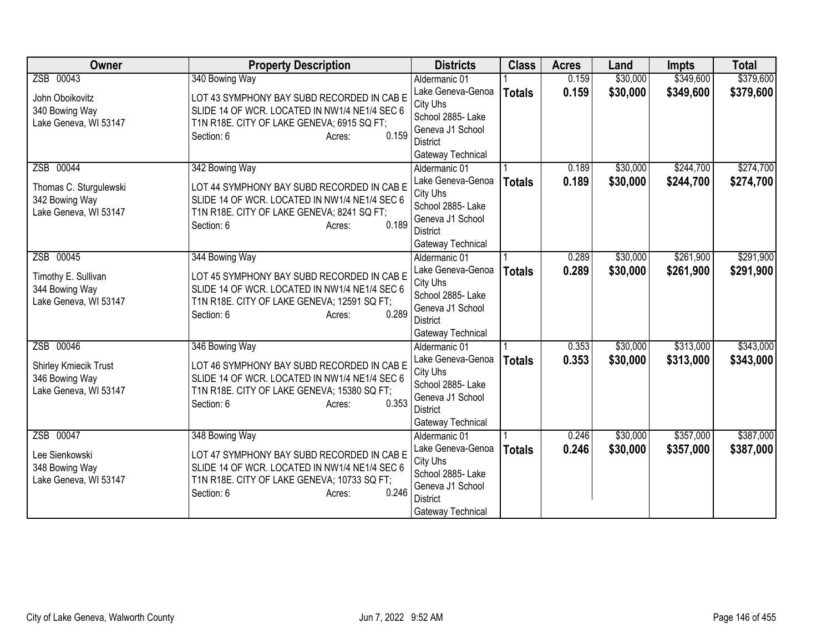| <b>Owner</b>                 | <b>Property Description</b>                          | <b>Districts</b>              | <b>Class</b>  | <b>Acres</b> | Land     | <b>Impts</b> | <b>Total</b> |
|------------------------------|------------------------------------------------------|-------------------------------|---------------|--------------|----------|--------------|--------------|
| ZSB 00043                    | 340 Bowing Way                                       | Aldermanic 01                 |               | 0.159        | \$30,000 | \$349,600    | \$379,600    |
| John Oboikovitz              | LOT 43 SYMPHONY BAY SUBD RECORDED IN CAB E           | Lake Geneva-Genoa             | <b>Totals</b> | 0.159        | \$30,000 | \$349,600    | \$379,600    |
| 340 Bowing Way               | SLIDE 14 OF WCR. LOCATED IN NW1/4 NE1/4 SEC 6        | City Uhs                      |               |              |          |              |              |
| Lake Geneva, WI 53147        | T1N R18E. CITY OF LAKE GENEVA; 6915 SQ FT;           | School 2885- Lake             |               |              |          |              |              |
|                              | 0.159<br>Section: 6<br>Acres:                        | Geneva J1 School              |               |              |          |              |              |
|                              |                                                      | <b>District</b>               |               |              |          |              |              |
|                              |                                                      | Gateway Technical             |               |              |          |              |              |
| ZSB 00044                    | 342 Bowing Way                                       | Aldermanic 01                 |               | 0.189        | \$30,000 | \$244,700    | \$274,700    |
| Thomas C. Sturgulewski       | LOT 44 SYMPHONY BAY SUBD RECORDED IN CAB E           | Lake Geneva-Genoa             | <b>Totals</b> | 0.189        | \$30,000 | \$244,700    | \$274,700    |
| 342 Bowing Way               | SLIDE 14 OF WCR. LOCATED IN NW1/4 NE1/4 SEC 6        | City Uhs<br>School 2885- Lake |               |              |          |              |              |
| Lake Geneva, WI 53147        | T1N R18E. CITY OF LAKE GENEVA; 8241 SQ FT;           | Geneva J1 School              |               |              |          |              |              |
|                              | 0.189<br>Section: 6<br>Acres:                        | <b>District</b>               |               |              |          |              |              |
|                              |                                                      | Gateway Technical             |               |              |          |              |              |
| ZSB 00045                    | 344 Bowing Way                                       | Aldermanic 01                 |               | 0.289        | \$30,000 | \$261,900    | \$291,900    |
|                              |                                                      | Lake Geneva-Genoa             | <b>Totals</b> | 0.289        | \$30,000 | \$261,900    | \$291,900    |
| Timothy E. Sullivan          | LOT 45 SYMPHONY BAY SUBD RECORDED IN CAB E           | City Uhs                      |               |              |          |              |              |
| 344 Bowing Way               | SLIDE 14 OF WCR. LOCATED IN NW1/4 NE1/4 SEC 6        | School 2885- Lake             |               |              |          |              |              |
| Lake Geneva, WI 53147        | T1N R18E. CITY OF LAKE GENEVA; 12591 SQ FT;<br>0.289 | Geneva J1 School              |               |              |          |              |              |
|                              | Section: 6<br>Acres:                                 | <b>District</b>               |               |              |          |              |              |
|                              |                                                      | Gateway Technical             |               |              |          |              |              |
| ZSB 00046                    | 346 Bowing Way                                       | Aldermanic 01                 |               | 0.353        | \$30,000 | \$313,000    | \$343,000    |
| <b>Shirley Kmiecik Trust</b> | LOT 46 SYMPHONY BAY SUBD RECORDED IN CAB E           | Lake Geneva-Genoa             | <b>Totals</b> | 0.353        | \$30,000 | \$313,000    | \$343,000    |
| 346 Bowing Way               | SLIDE 14 OF WCR. LOCATED IN NW1/4 NE1/4 SEC 6        | City Uhs                      |               |              |          |              |              |
| Lake Geneva, WI 53147        | T1N R18E. CITY OF LAKE GENEVA; 15380 SQ FT;          | School 2885- Lake             |               |              |          |              |              |
|                              | 0.353<br>Section: 6<br>Acres:                        | Geneva J1 School              |               |              |          |              |              |
|                              |                                                      | <b>District</b>               |               |              |          |              |              |
|                              |                                                      | Gateway Technical             |               |              |          |              |              |
| ZSB 00047                    | 348 Bowing Way                                       | Aldermanic 01                 |               | 0.246        | \$30,000 | \$357,000    | \$387,000    |
| Lee Sienkowski               | LOT 47 SYMPHONY BAY SUBD RECORDED IN CAB E           | Lake Geneva-Genoa<br>City Uhs | <b>Totals</b> | 0.246        | \$30,000 | \$357,000    | \$387,000    |
| 348 Bowing Way               | SLIDE 14 OF WCR. LOCATED IN NW1/4 NE1/4 SEC 6        | School 2885- Lake             |               |              |          |              |              |
| Lake Geneva, WI 53147        | T1N R18E. CITY OF LAKE GENEVA; 10733 SQ FT;          | Geneva J1 School              |               |              |          |              |              |
|                              | 0.246<br>Section: 6<br>Acres:                        | <b>District</b>               |               |              |          |              |              |
|                              |                                                      | Gateway Technical             |               |              |          |              |              |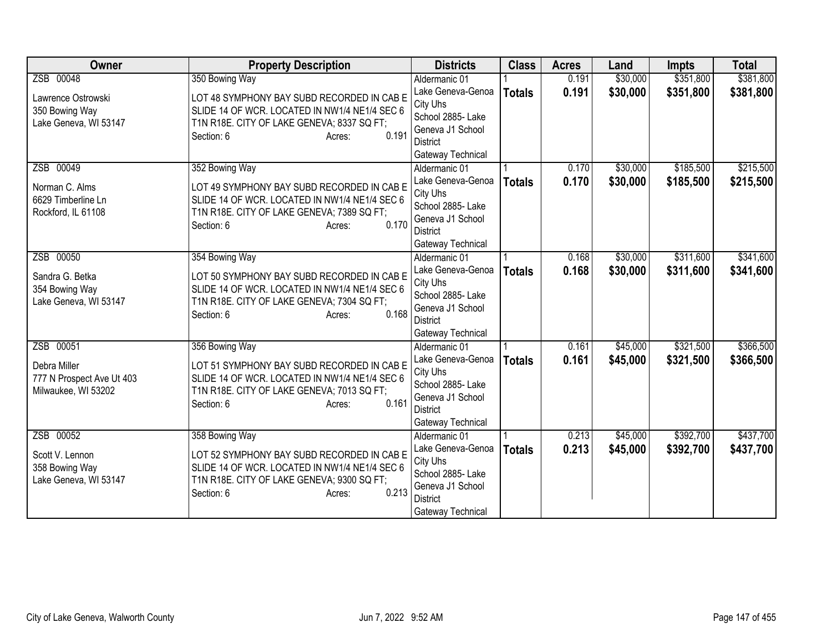| <b>Owner</b>              | <b>Property Description</b>                                                                 | <b>Districts</b>                      | <b>Class</b>  | <b>Acres</b> | Land     | <b>Impts</b> | <b>Total</b> |
|---------------------------|---------------------------------------------------------------------------------------------|---------------------------------------|---------------|--------------|----------|--------------|--------------|
| ZSB 00048                 | 350 Bowing Way                                                                              | Aldermanic 01                         |               | 0.191        | \$30,000 | \$351,800    | \$381,800    |
| Lawrence Ostrowski        | LOT 48 SYMPHONY BAY SUBD RECORDED IN CAB E                                                  | Lake Geneva-Genoa                     | <b>Totals</b> | 0.191        | \$30,000 | \$351,800    | \$381,800    |
| 350 Bowing Way            | SLIDE 14 OF WCR. LOCATED IN NW1/4 NE1/4 SEC 6                                               | City Uhs                              |               |              |          |              |              |
| Lake Geneva, WI 53147     | T1N R18E. CITY OF LAKE GENEVA; 8337 SQ FT;                                                  | School 2885- Lake                     |               |              |          |              |              |
|                           | 0.191<br>Section: 6<br>Acres:                                                               | Geneva J1 School<br><b>District</b>   |               |              |          |              |              |
|                           |                                                                                             | Gateway Technical                     |               |              |          |              |              |
| ZSB 00049                 | 352 Bowing Way                                                                              | Aldermanic 01                         |               | 0.170        | \$30,000 | \$185,500    | \$215,500    |
|                           |                                                                                             | Lake Geneva-Genoa                     | <b>Totals</b> | 0.170        | \$30,000 | \$185,500    | \$215,500    |
| Norman C. Alms            | LOT 49 SYMPHONY BAY SUBD RECORDED IN CAB E                                                  | City Uhs                              |               |              |          |              |              |
| 6629 Timberline Ln        | SLIDE 14 OF WCR. LOCATED IN NW1/4 NE1/4 SEC 6                                               | School 2885- Lake                     |               |              |          |              |              |
| Rockford, IL 61108        | T1N R18E. CITY OF LAKE GENEVA; 7389 SQ FT;<br>0.170<br>Section: 6                           | Geneva J1 School                      |               |              |          |              |              |
|                           | Acres:                                                                                      | <b>District</b>                       |               |              |          |              |              |
|                           |                                                                                             | Gateway Technical                     |               |              |          |              |              |
| ZSB 00050                 | 354 Bowing Way                                                                              | Aldermanic 01                         |               | 0.168        | \$30,000 | \$311,600    | \$341,600    |
| Sandra G. Betka           | LOT 50 SYMPHONY BAY SUBD RECORDED IN CAB E                                                  | Lake Geneva-Genoa                     | <b>Totals</b> | 0.168        | \$30,000 | \$311,600    | \$341,600    |
| 354 Bowing Way            | SLIDE 14 OF WCR. LOCATED IN NW1/4 NE1/4 SEC 6                                               | City Uhs                              |               |              |          |              |              |
| Lake Geneva, WI 53147     | T1N R18E. CITY OF LAKE GENEVA; 7304 SQ FT;                                                  | School 2885- Lake<br>Geneva J1 School |               |              |          |              |              |
|                           | 0.168<br>Section: 6<br>Acres:                                                               | <b>District</b>                       |               |              |          |              |              |
|                           |                                                                                             | Gateway Technical                     |               |              |          |              |              |
| ZSB 00051                 | 356 Bowing Way                                                                              | Aldermanic 01                         |               | 0.161        | \$45,000 | \$321,500    | \$366,500    |
| Debra Miller              |                                                                                             | Lake Geneva-Genoa                     | <b>Totals</b> | 0.161        | \$45,000 | \$321,500    | \$366,500    |
| 777 N Prospect Ave Ut 403 | LOT 51 SYMPHONY BAY SUBD RECORDED IN CAB E<br>SLIDE 14 OF WCR. LOCATED IN NW1/4 NE1/4 SEC 6 | City Uhs                              |               |              |          |              |              |
| Milwaukee, WI 53202       | T1N R18E. CITY OF LAKE GENEVA; 7013 SQ FT;                                                  | School 2885- Lake                     |               |              |          |              |              |
|                           | 0.161<br>Section: 6<br>Acres:                                                               | Geneva J1 School                      |               |              |          |              |              |
|                           |                                                                                             | <b>District</b>                       |               |              |          |              |              |
|                           |                                                                                             | Gateway Technical                     |               |              |          |              |              |
| ZSB 00052                 | 358 Bowing Way                                                                              | Aldermanic 01                         |               | 0.213        | \$45,000 | \$392,700    | \$437,700    |
| Scott V. Lennon           | LOT 52 SYMPHONY BAY SUBD RECORDED IN CAB E                                                  | Lake Geneva-Genoa<br>City Uhs         | <b>Totals</b> | 0.213        | \$45,000 | \$392,700    | \$437,700    |
| 358 Bowing Way            | SLIDE 14 OF WCR. LOCATED IN NW1/4 NE1/4 SEC 6                                               | School 2885- Lake                     |               |              |          |              |              |
| Lake Geneva, WI 53147     | T1N R18E. CITY OF LAKE GENEVA; 9300 SQ FT;                                                  | Geneva J1 School                      |               |              |          |              |              |
|                           | 0.213<br>Section: 6<br>Acres:                                                               | <b>District</b>                       |               |              |          |              |              |
|                           |                                                                                             | Gateway Technical                     |               |              |          |              |              |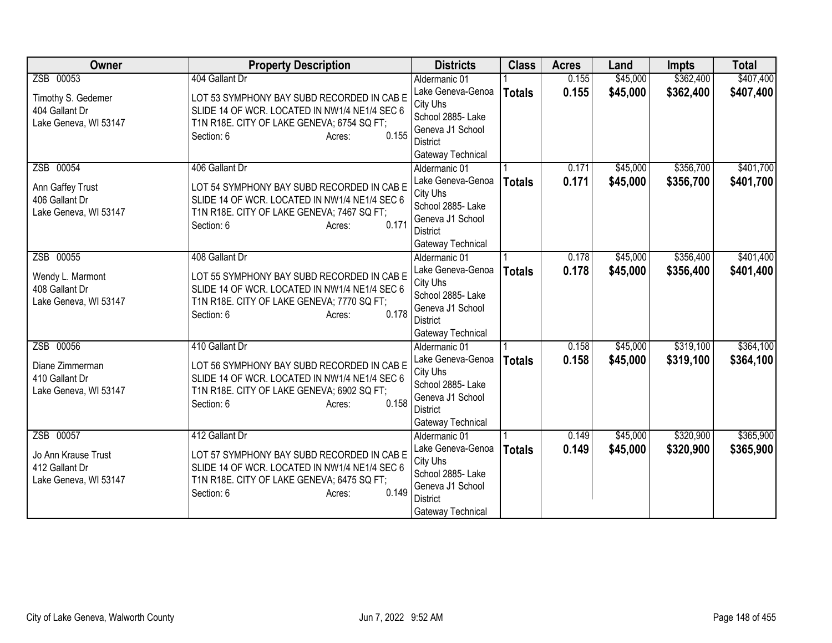| <b>Owner</b>          | <b>Property Description</b>                         | <b>Districts</b>              | <b>Class</b>  | <b>Acres</b> | Land     | <b>Impts</b> | <b>Total</b> |
|-----------------------|-----------------------------------------------------|-------------------------------|---------------|--------------|----------|--------------|--------------|
| ZSB 00053             | 404 Gallant Dr                                      | Aldermanic 01                 |               | 0.155        | \$45,000 | \$362,400    | \$407,400    |
| Timothy S. Gedemer    | LOT 53 SYMPHONY BAY SUBD RECORDED IN CAB E          | Lake Geneva-Genoa             | <b>Totals</b> | 0.155        | \$45,000 | \$362,400    | \$407,400    |
| 404 Gallant Dr        | SLIDE 14 OF WCR. LOCATED IN NW1/4 NE1/4 SEC 6       | City Uhs                      |               |              |          |              |              |
| Lake Geneva, WI 53147 | T1N R18E. CITY OF LAKE GENEVA; 6754 SQ FT;          | School 2885- Lake             |               |              |          |              |              |
|                       | 0.155<br>Section: 6<br>Acres:                       | Geneva J1 School              |               |              |          |              |              |
|                       |                                                     | <b>District</b>               |               |              |          |              |              |
|                       |                                                     | Gateway Technical             |               |              |          |              |              |
| ZSB 00054             | 406 Gallant Dr                                      | Aldermanic 01                 |               | 0.171        | \$45,000 | \$356,700    | \$401,700    |
| Ann Gaffey Trust      | LOT 54 SYMPHONY BAY SUBD RECORDED IN CAB E          | Lake Geneva-Genoa             | <b>Totals</b> | 0.171        | \$45,000 | \$356,700    | \$401,700    |
| 406 Gallant Dr        | SLIDE 14 OF WCR. LOCATED IN NW1/4 NE1/4 SEC 6       | City Uhs<br>School 2885- Lake |               |              |          |              |              |
| Lake Geneva, WI 53147 | T1N R18E. CITY OF LAKE GENEVA; 7467 SQ FT;          | Geneva J1 School              |               |              |          |              |              |
|                       | 0.171<br>Section: 6<br>Acres:                       | <b>District</b>               |               |              |          |              |              |
|                       |                                                     | Gateway Technical             |               |              |          |              |              |
| ZSB 00055             | 408 Gallant Dr                                      | Aldermanic 01                 |               | 0.178        | \$45,000 | \$356,400    | \$401,400    |
|                       |                                                     | Lake Geneva-Genoa             | <b>Totals</b> | 0.178        | \$45,000 | \$356,400    | \$401,400    |
| Wendy L. Marmont      | LOT 55 SYMPHONY BAY SUBD RECORDED IN CAB E          | City Uhs                      |               |              |          |              |              |
| 408 Gallant Dr        | SLIDE 14 OF WCR. LOCATED IN NW1/4 NE1/4 SEC 6       | School 2885- Lake             |               |              |          |              |              |
| Lake Geneva, WI 53147 | T1N R18E. CITY OF LAKE GENEVA; 7770 SQ FT;<br>0.178 | Geneva J1 School              |               |              |          |              |              |
|                       | Section: 6<br>Acres:                                | <b>District</b>               |               |              |          |              |              |
|                       |                                                     | Gateway Technical             |               |              |          |              |              |
| ZSB 00056             | 410 Gallant Dr                                      | Aldermanic 01                 |               | 0.158        | \$45,000 | \$319,100    | \$364,100    |
| Diane Zimmerman       | LOT 56 SYMPHONY BAY SUBD RECORDED IN CAB E          | Lake Geneva-Genoa             | <b>Totals</b> | 0.158        | \$45,000 | \$319,100    | \$364,100    |
| 410 Gallant Dr        | SLIDE 14 OF WCR. LOCATED IN NW1/4 NE1/4 SEC 6       | City Uhs                      |               |              |          |              |              |
| Lake Geneva, WI 53147 | T1N R18E. CITY OF LAKE GENEVA; 6902 SQ FT;          | School 2885- Lake             |               |              |          |              |              |
|                       | 0.158<br>Section: 6<br>Acres:                       | Geneva J1 School              |               |              |          |              |              |
|                       |                                                     | <b>District</b>               |               |              |          |              |              |
|                       |                                                     | Gateway Technical             |               |              |          |              |              |
| ZSB 00057             | 412 Gallant Dr                                      | Aldermanic 01                 |               | 0.149        | \$45,000 | \$320,900    | \$365,900    |
| Jo Ann Krause Trust   | LOT 57 SYMPHONY BAY SUBD RECORDED IN CAB E          | Lake Geneva-Genoa<br>City Uhs | <b>Totals</b> | 0.149        | \$45,000 | \$320,900    | \$365,900    |
| 412 Gallant Dr        | SLIDE 14 OF WCR. LOCATED IN NW1/4 NE1/4 SEC 6       | School 2885- Lake             |               |              |          |              |              |
| Lake Geneva, WI 53147 | T1N R18E. CITY OF LAKE GENEVA; 6475 SQ FT;          | Geneva J1 School              |               |              |          |              |              |
|                       | 0.149<br>Section: 6<br>Acres:                       | <b>District</b>               |               |              |          |              |              |
|                       |                                                     | Gateway Technical             |               |              |          |              |              |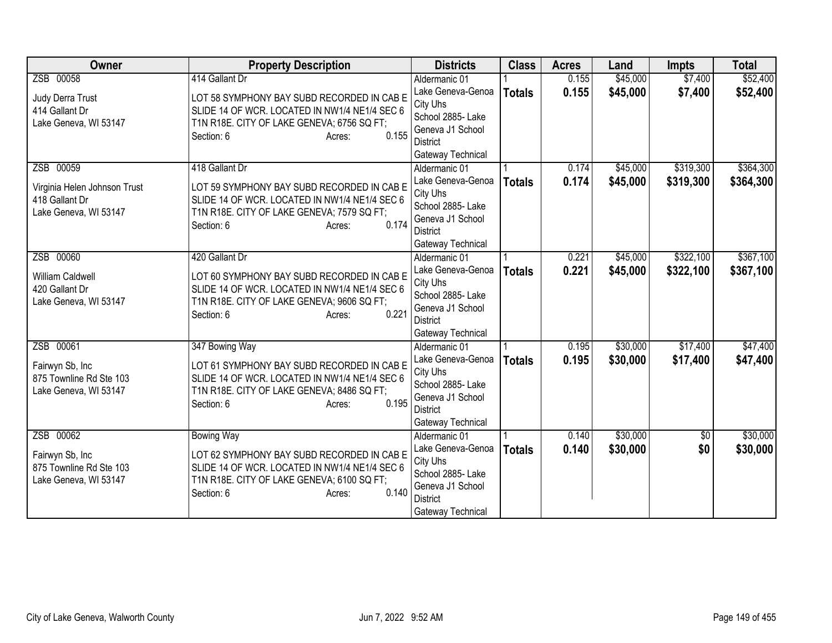| <b>Owner</b>                            | <b>Property Description</b>                                                                 | <b>Districts</b>                   | <b>Class</b>  | <b>Acres</b> | Land     | <b>Impts</b> | <b>Total</b> |
|-----------------------------------------|---------------------------------------------------------------------------------------------|------------------------------------|---------------|--------------|----------|--------------|--------------|
| ZSB 00058                               | 414 Gallant Dr                                                                              | Aldermanic 01                      |               | 0.155        | \$45,000 | \$7,400      | \$52,400     |
| Judy Derra Trust                        | LOT 58 SYMPHONY BAY SUBD RECORDED IN CAB E                                                  | Lake Geneva-Genoa                  | <b>Totals</b> | 0.155        | \$45,000 | \$7,400      | \$52,400     |
| 414 Gallant Dr                          | SLIDE 14 OF WCR. LOCATED IN NW1/4 NE1/4 SEC 6                                               | City Uhs                           |               |              |          |              |              |
| Lake Geneva, WI 53147                   | T1N R18E. CITY OF LAKE GENEVA; 6756 SQ FT;                                                  | School 2885- Lake                  |               |              |          |              |              |
|                                         | 0.155<br>Section: 6<br>Acres:                                                               | Geneva J1 School                   |               |              |          |              |              |
|                                         |                                                                                             | District                           |               |              |          |              |              |
| ZSB 00059                               | 418 Gallant Dr                                                                              | Gateway Technical                  |               | 0.174        |          | \$319,300    | \$364,300    |
|                                         |                                                                                             | Aldermanic 01<br>Lake Geneva-Genoa |               | 0.174        | \$45,000 |              |              |
| Virginia Helen Johnson Trust            | LOT 59 SYMPHONY BAY SUBD RECORDED IN CAB E                                                  | City Uhs                           | <b>Totals</b> |              | \$45,000 | \$319,300    | \$364,300    |
| 418 Gallant Dr                          | SLIDE 14 OF WCR. LOCATED IN NW1/4 NE1/4 SEC 6                                               | School 2885- Lake                  |               |              |          |              |              |
| Lake Geneva, WI 53147                   | T1N R18E. CITY OF LAKE GENEVA; 7579 SQ FT;                                                  | Geneva J1 School                   |               |              |          |              |              |
|                                         | 0.174<br>Section: 6<br>Acres:                                                               | District                           |               |              |          |              |              |
|                                         |                                                                                             | Gateway Technical                  |               |              |          |              |              |
| ZSB 00060                               | 420 Gallant Dr                                                                              | Aldermanic 01                      |               | 0.221        | \$45,000 | \$322,100    | \$367,100    |
|                                         |                                                                                             | Lake Geneva-Genoa                  | <b>Totals</b> | 0.221        | \$45,000 | \$322,100    | \$367,100    |
| William Caldwell                        | LOT 60 SYMPHONY BAY SUBD RECORDED IN CAB E<br>SLIDE 14 OF WCR. LOCATED IN NW1/4 NE1/4 SEC 6 | City Uhs                           |               |              |          |              |              |
| 420 Gallant Dr<br>Lake Geneva, WI 53147 | T1N R18E. CITY OF LAKE GENEVA; 9606 SQ FT;                                                  | School 2885- Lake                  |               |              |          |              |              |
|                                         | 0.221<br>Section: 6<br>Acres:                                                               | Geneva J1 School                   |               |              |          |              |              |
|                                         |                                                                                             | <b>District</b>                    |               |              |          |              |              |
|                                         |                                                                                             | Gateway Technical                  |               |              |          |              |              |
| ZSB 00061                               | 347 Bowing Way                                                                              | Aldermanic 01                      |               | 0.195        | \$30,000 | \$17,400     | \$47,400     |
| Fairwyn Sb, Inc                         | LOT 61 SYMPHONY BAY SUBD RECORDED IN CAB E                                                  | Lake Geneva-Genoa                  | <b>Totals</b> | 0.195        | \$30,000 | \$17,400     | \$47,400     |
| 875 Townline Rd Ste 103                 | SLIDE 14 OF WCR. LOCATED IN NW1/4 NE1/4 SEC 6                                               | City Uhs<br>School 2885- Lake      |               |              |          |              |              |
| Lake Geneva, WI 53147                   | T1N R18E. CITY OF LAKE GENEVA; 8486 SQ FT;                                                  | Geneva J1 School                   |               |              |          |              |              |
|                                         | 0.195<br>Section: 6<br>Acres:                                                               | <b>District</b>                    |               |              |          |              |              |
|                                         |                                                                                             | Gateway Technical                  |               |              |          |              |              |
| ZSB 00062                               | <b>Bowing Way</b>                                                                           | Aldermanic 01                      |               | 0.140        | \$30,000 | \$0          | \$30,000     |
|                                         |                                                                                             | Lake Geneva-Genoa                  | <b>Totals</b> | 0.140        | \$30,000 | \$0          | \$30,000     |
| Fairwyn Sb, Inc                         | LOT 62 SYMPHONY BAY SUBD RECORDED IN CAB E                                                  | City Uhs                           |               |              |          |              |              |
| 875 Townline Rd Ste 103                 | SLIDE 14 OF WCR. LOCATED IN NW1/4 NE1/4 SEC 6                                               | School 2885- Lake                  |               |              |          |              |              |
| Lake Geneva, WI 53147                   | T1N R18E. CITY OF LAKE GENEVA; 6100 SQ FT;<br>0.140                                         | Geneva J1 School                   |               |              |          |              |              |
|                                         | Section: 6<br>Acres:                                                                        | <b>District</b>                    |               |              |          |              |              |
|                                         |                                                                                             | Gateway Technical                  |               |              |          |              |              |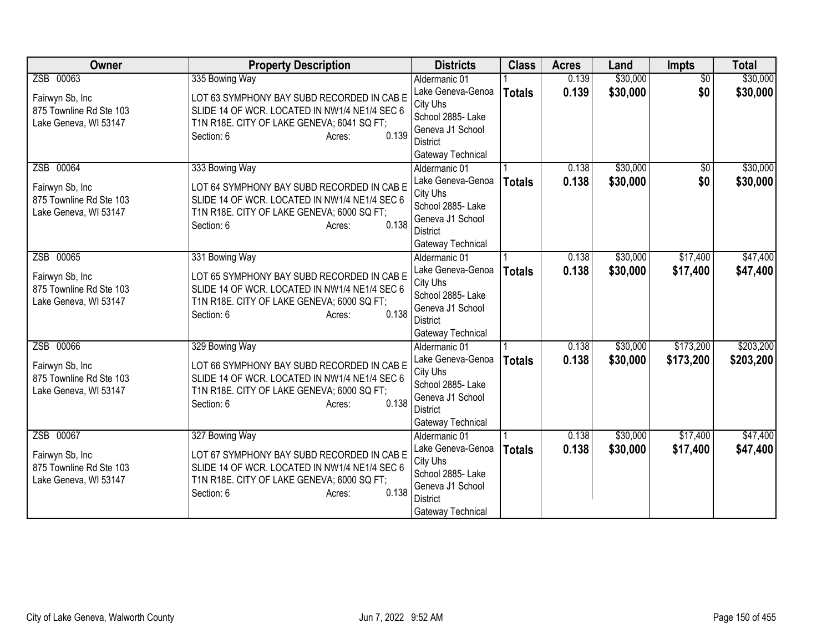| <b>Owner</b>            | <b>Property Description</b>                         | <b>Districts</b>                   | <b>Class</b>  | <b>Acres</b> | Land     | Impts           | <b>Total</b> |
|-------------------------|-----------------------------------------------------|------------------------------------|---------------|--------------|----------|-----------------|--------------|
| ZSB 00063               | 335 Bowing Way                                      | Aldermanic 01                      |               | 0.139        | \$30,000 | $\overline{50}$ | \$30,000     |
| Fairwyn Sb, Inc         | LOT 63 SYMPHONY BAY SUBD RECORDED IN CAB E          | Lake Geneva-Genoa                  | <b>Totals</b> | 0.139        | \$30,000 | \$0             | \$30,000     |
| 875 Townline Rd Ste 103 | SLIDE 14 OF WCR. LOCATED IN NW1/4 NE1/4 SEC 6       | City Uhs                           |               |              |          |                 |              |
| Lake Geneva, WI 53147   | T1N R18E. CITY OF LAKE GENEVA; 6041 SQ FT;          | School 2885- Lake                  |               |              |          |                 |              |
|                         | 0.139<br>Section: 6<br>Acres:                       | Geneva J1 School                   |               |              |          |                 |              |
|                         |                                                     | <b>District</b>                    |               |              |          |                 |              |
|                         |                                                     | Gateway Technical                  |               |              |          |                 |              |
| ZSB 00064               | 333 Bowing Way                                      | Aldermanic 01                      |               | 0.138        | \$30,000 | $\sqrt{6}$      | \$30,000     |
| Fairwyn Sb, Inc         | LOT 64 SYMPHONY BAY SUBD RECORDED IN CAB E          | Lake Geneva-Genoa                  | <b>Totals</b> | 0.138        | \$30,000 | \$0             | \$30,000     |
| 875 Townline Rd Ste 103 | SLIDE 14 OF WCR. LOCATED IN NW1/4 NE1/4 SEC 6       | City Uhs<br>School 2885- Lake      |               |              |          |                 |              |
| Lake Geneva, WI 53147   | T1N R18E. CITY OF LAKE GENEVA; 6000 SQ FT;          | Geneva J1 School                   |               |              |          |                 |              |
|                         | 0.138<br>Section: 6<br>Acres:                       | <b>District</b>                    |               |              |          |                 |              |
|                         |                                                     | Gateway Technical                  |               |              |          |                 |              |
| ZSB 00065               | 331 Bowing Way                                      | Aldermanic 01                      |               | 0.138        | \$30,000 | \$17,400        | \$47,400     |
|                         |                                                     | Lake Geneva-Genoa                  | <b>Totals</b> | 0.138        | \$30,000 | \$17,400        | \$47,400     |
| Fairwyn Sb, Inc         | LOT 65 SYMPHONY BAY SUBD RECORDED IN CAB E          | City Uhs                           |               |              |          |                 |              |
| 875 Townline Rd Ste 103 | SLIDE 14 OF WCR. LOCATED IN NW1/4 NE1/4 SEC 6       | School 2885- Lake                  |               |              |          |                 |              |
| Lake Geneva, WI 53147   | T1N R18E. CITY OF LAKE GENEVA; 6000 SQ FT;<br>0.138 | Geneva J1 School                   |               |              |          |                 |              |
|                         | Section: 6<br>Acres:                                | <b>District</b>                    |               |              |          |                 |              |
|                         |                                                     | Gateway Technical                  |               |              |          |                 |              |
| ZSB 00066               | 329 Bowing Way                                      | Aldermanic 01                      |               | 0.138        | \$30,000 | \$173,200       | \$203,200    |
| Fairwyn Sb, Inc         | LOT 66 SYMPHONY BAY SUBD RECORDED IN CAB E          | Lake Geneva-Genoa                  | <b>Totals</b> | 0.138        | \$30,000 | \$173,200       | \$203,200    |
| 875 Townline Rd Ste 103 | SLIDE 14 OF WCR. LOCATED IN NW1/4 NE1/4 SEC 6       | City Uhs                           |               |              |          |                 |              |
| Lake Geneva, WI 53147   | T1N R18E. CITY OF LAKE GENEVA; 6000 SQ FT;          | School 2885- Lake                  |               |              |          |                 |              |
|                         | 0.138<br>Section: 6<br>Acres:                       | Geneva J1 School                   |               |              |          |                 |              |
|                         |                                                     | <b>District</b>                    |               |              |          |                 |              |
| ZSB 00067               | 327 Bowing Way                                      | Gateway Technical<br>Aldermanic 01 |               | 0.138        | \$30,000 | \$17,400        | \$47,400     |
|                         |                                                     | Lake Geneva-Genoa                  |               | 0.138        |          |                 |              |
| Fairwyn Sb, Inc         | LOT 67 SYMPHONY BAY SUBD RECORDED IN CAB E          | City Uhs                           | <b>Totals</b> |              | \$30,000 | \$17,400        | \$47,400     |
| 875 Townline Rd Ste 103 | SLIDE 14 OF WCR. LOCATED IN NW1/4 NE1/4 SEC 6       | School 2885- Lake                  |               |              |          |                 |              |
| Lake Geneva, WI 53147   | T1N R18E. CITY OF LAKE GENEVA; 6000 SQ FT;          | Geneva J1 School                   |               |              |          |                 |              |
|                         | 0.138<br>Section: 6<br>Acres:                       | <b>District</b>                    |               |              |          |                 |              |
|                         |                                                     | Gateway Technical                  |               |              |          |                 |              |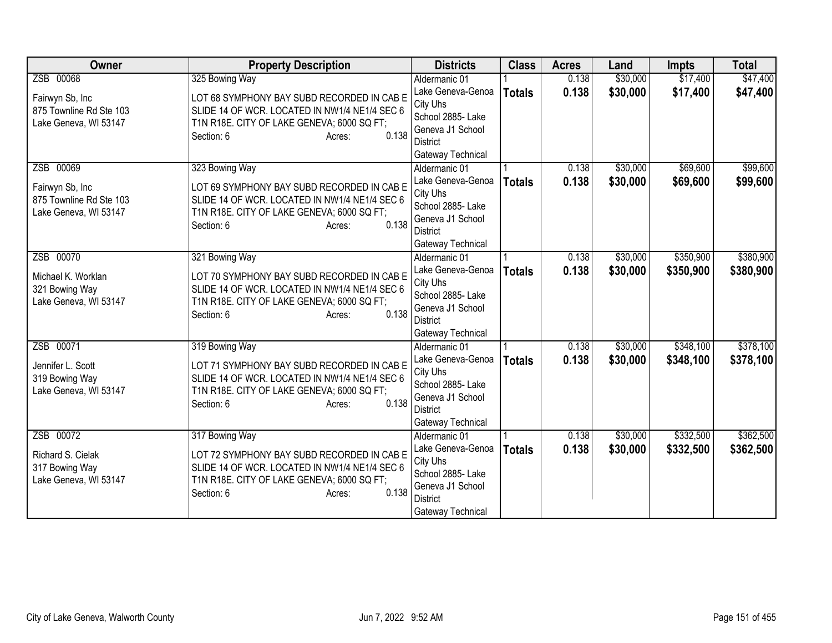| <b>Owner</b>                            | <b>Property Description</b>                                                                 | <b>Districts</b>                    | <b>Class</b>  | <b>Acres</b> | Land     | <b>Impts</b> | <b>Total</b> |
|-----------------------------------------|---------------------------------------------------------------------------------------------|-------------------------------------|---------------|--------------|----------|--------------|--------------|
| ZSB 00068                               | 325 Bowing Way                                                                              | Aldermanic 01                       |               | 0.138        | \$30,000 | \$17,400     | \$47,400     |
| Fairwyn Sb, Inc                         | LOT 68 SYMPHONY BAY SUBD RECORDED IN CAB E                                                  | Lake Geneva-Genoa                   | <b>Totals</b> | 0.138        | \$30,000 | \$17,400     | \$47,400     |
| 875 Townline Rd Ste 103                 | SLIDE 14 OF WCR. LOCATED IN NW1/4 NE1/4 SEC 6                                               | City Uhs                            |               |              |          |              |              |
| Lake Geneva, WI 53147                   | T1N R18E. CITY OF LAKE GENEVA; 6000 SQ FT;                                                  | School 2885- Lake                   |               |              |          |              |              |
|                                         | 0.138<br>Section: 6<br>Acres:                                                               | Geneva J1 School                    |               |              |          |              |              |
|                                         |                                                                                             | District                            |               |              |          |              |              |
| ZSB 00069                               | 323 Bowing Way                                                                              | Gateway Technical<br>Aldermanic 01  |               | 0.138        | \$30,000 | \$69,600     | \$99,600     |
|                                         |                                                                                             | Lake Geneva-Genoa                   |               | 0.138        | \$30,000 | \$69,600     |              |
| Fairwyn Sb, Inc                         | LOT 69 SYMPHONY BAY SUBD RECORDED IN CAB E                                                  | City Uhs                            | <b>Totals</b> |              |          |              | \$99,600     |
| 875 Townline Rd Ste 103                 | SLIDE 14 OF WCR. LOCATED IN NW1/4 NE1/4 SEC 6                                               | School 2885- Lake                   |               |              |          |              |              |
| Lake Geneva, WI 53147                   | T1N R18E. CITY OF LAKE GENEVA; 6000 SQ FT;                                                  | Geneva J1 School                    |               |              |          |              |              |
|                                         | 0.138<br>Section: 6<br>Acres:                                                               | <b>District</b>                     |               |              |          |              |              |
|                                         |                                                                                             | Gateway Technical                   |               |              |          |              |              |
| ZSB 00070                               | 321 Bowing Way                                                                              | Aldermanic 01                       |               | 0.138        | \$30,000 | \$350,900    | \$380,900    |
|                                         |                                                                                             | Lake Geneva-Genoa                   | <b>Totals</b> | 0.138        | \$30,000 | \$350,900    | \$380,900    |
| Michael K. Worklan                      | LOT 70 SYMPHONY BAY SUBD RECORDED IN CAB E<br>SLIDE 14 OF WCR. LOCATED IN NW1/4 NE1/4 SEC 6 | City Uhs                            |               |              |          |              |              |
| 321 Bowing Way<br>Lake Geneva, WI 53147 | T1N R18E. CITY OF LAKE GENEVA; 6000 SQ FT;                                                  | School 2885- Lake                   |               |              |          |              |              |
|                                         | 0.138<br>Section: 6<br>Acres:                                                               | Geneva J1 School                    |               |              |          |              |              |
|                                         |                                                                                             | <b>District</b>                     |               |              |          |              |              |
|                                         |                                                                                             | Gateway Technical                   |               |              |          |              |              |
| ZSB 00071                               | 319 Bowing Way                                                                              | Aldermanic 01                       |               | 0.138        | \$30,000 | \$348,100    | \$378,100    |
| Jennifer L. Scott                       | LOT 71 SYMPHONY BAY SUBD RECORDED IN CAB E                                                  | Lake Geneva-Genoa                   | <b>Totals</b> | 0.138        | \$30,000 | \$348,100    | \$378,100    |
| 319 Bowing Way                          | SLIDE 14 OF WCR. LOCATED IN NW1/4 NE1/4 SEC 6                                               | City Uhs                            |               |              |          |              |              |
| Lake Geneva, WI 53147                   | T1N R18E. CITY OF LAKE GENEVA; 6000 SQ FT;                                                  | School 2885- Lake                   |               |              |          |              |              |
|                                         | 0.138<br>Section: 6<br>Acres:                                                               | Geneva J1 School<br><b>District</b> |               |              |          |              |              |
|                                         |                                                                                             | Gateway Technical                   |               |              |          |              |              |
| ZSB 00072                               | 317 Bowing Way                                                                              | Aldermanic 01                       |               | 0.138        | \$30,000 | \$332,500    | \$362,500    |
|                                         |                                                                                             | Lake Geneva-Genoa                   | <b>Totals</b> | 0.138        | \$30,000 | \$332,500    | \$362,500    |
| Richard S. Cielak                       | LOT 72 SYMPHONY BAY SUBD RECORDED IN CAB E                                                  | City Uhs                            |               |              |          |              |              |
| 317 Bowing Way                          | SLIDE 14 OF WCR. LOCATED IN NW1/4 NE1/4 SEC 6                                               | School 2885- Lake                   |               |              |          |              |              |
| Lake Geneva, WI 53147                   | T1N R18E. CITY OF LAKE GENEVA; 6000 SQ FT;                                                  | Geneva J1 School                    |               |              |          |              |              |
|                                         | 0.138<br>Section: 6<br>Acres:                                                               | <b>District</b>                     |               |              |          |              |              |
|                                         |                                                                                             | Gateway Technical                   |               |              |          |              |              |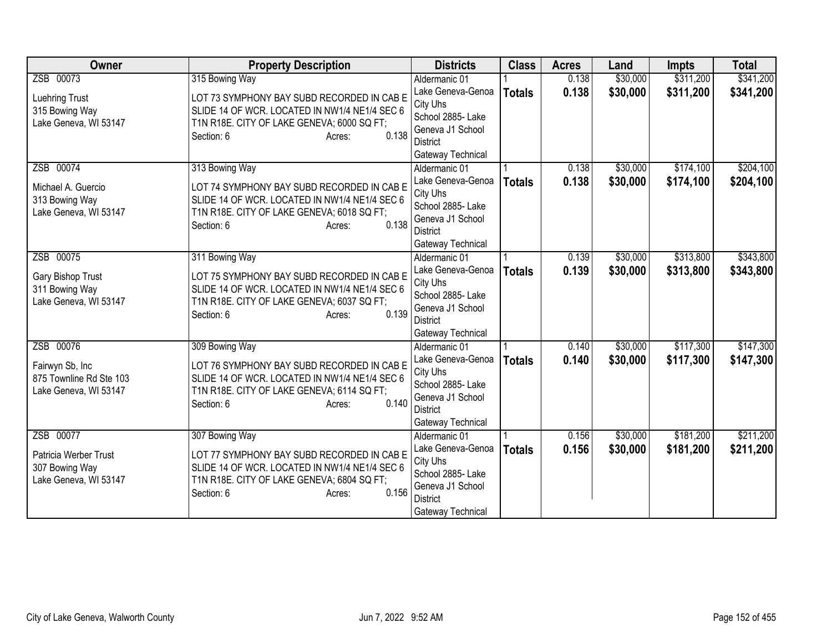| Owner                                   | <b>Property Description</b>                                                                 | <b>Districts</b>                   | <b>Class</b>  | <b>Acres</b> | Land     | <b>Impts</b> | <b>Total</b> |
|-----------------------------------------|---------------------------------------------------------------------------------------------|------------------------------------|---------------|--------------|----------|--------------|--------------|
| ZSB 00073                               | 315 Bowing Way                                                                              | Aldermanic 01                      |               | 0.138        | \$30,000 | \$311,200    | \$341,200    |
| <b>Luehring Trust</b>                   | LOT 73 SYMPHONY BAY SUBD RECORDED IN CAB E                                                  | Lake Geneva-Genoa                  | <b>Totals</b> | 0.138        | \$30,000 | \$311,200    | \$341,200    |
| 315 Bowing Way                          | SLIDE 14 OF WCR. LOCATED IN NW1/4 NE1/4 SEC 6                                               | City Uhs                           |               |              |          |              |              |
| Lake Geneva, WI 53147                   | T1N R18E. CITY OF LAKE GENEVA; 6000 SQ FT;                                                  | School 2885- Lake                  |               |              |          |              |              |
|                                         | 0.138<br>Section: 6<br>Acres:                                                               | Geneva J1 School                   |               |              |          |              |              |
|                                         |                                                                                             | <b>District</b>                    |               |              |          |              |              |
|                                         |                                                                                             | Gateway Technical                  |               |              |          |              |              |
| ZSB 00074                               | 313 Bowing Way                                                                              | Aldermanic 01<br>Lake Geneva-Genoa |               | 0.138        | \$30,000 | \$174,100    | \$204,100    |
| Michael A. Guercio                      | LOT 74 SYMPHONY BAY SUBD RECORDED IN CAB E                                                  | City Uhs                           | <b>Totals</b> | 0.138        | \$30,000 | \$174,100    | \$204,100    |
| 313 Bowing Way                          | SLIDE 14 OF WCR. LOCATED IN NW1/4 NE1/4 SEC 6                                               | School 2885- Lake                  |               |              |          |              |              |
| Lake Geneva, WI 53147                   | T1N R18E. CITY OF LAKE GENEVA; 6018 SQ FT;                                                  | Geneva J1 School                   |               |              |          |              |              |
|                                         | 0.138<br>Section: 6<br>Acres:                                                               | <b>District</b>                    |               |              |          |              |              |
|                                         |                                                                                             | Gateway Technical                  |               |              |          |              |              |
| ZSB 00075                               | 311 Bowing Way                                                                              | Aldermanic 01                      |               | 0.139        | \$30,000 | \$313,800    | \$343,800    |
|                                         |                                                                                             | Lake Geneva-Genoa                  | <b>Totals</b> | 0.139        | \$30,000 | \$313,800    | \$343,800    |
| Gary Bishop Trust                       | LOT 75 SYMPHONY BAY SUBD RECORDED IN CAB E<br>SLIDE 14 OF WCR. LOCATED IN NW1/4 NE1/4 SEC 6 | City Uhs                           |               |              |          |              |              |
| 311 Bowing Way<br>Lake Geneva, WI 53147 | T1N R18E. CITY OF LAKE GENEVA; 6037 SQ FT;                                                  | School 2885- Lake                  |               |              |          |              |              |
|                                         | 0.139<br>Section: 6<br>Acres:                                                               | Geneva J1 School                   |               |              |          |              |              |
|                                         |                                                                                             | <b>District</b>                    |               |              |          |              |              |
|                                         |                                                                                             | Gateway Technical                  |               |              |          |              |              |
| ZSB 00076                               | 309 Bowing Way                                                                              | Aldermanic 01                      |               | 0.140        | \$30,000 | \$117,300    | \$147,300    |
| Fairwyn Sb, Inc                         | LOT 76 SYMPHONY BAY SUBD RECORDED IN CAB E                                                  | Lake Geneva-Genoa                  | <b>Totals</b> | 0.140        | \$30,000 | \$117,300    | \$147,300    |
| 875 Townline Rd Ste 103                 | SLIDE 14 OF WCR. LOCATED IN NW1/4 NE1/4 SEC 6                                               | City Uhs<br>School 2885- Lake      |               |              |          |              |              |
| Lake Geneva, WI 53147                   | T1N R18E. CITY OF LAKE GENEVA; 6114 SQ FT;                                                  | Geneva J1 School                   |               |              |          |              |              |
|                                         | 0.140<br>Section: 6<br>Acres:                                                               | <b>District</b>                    |               |              |          |              |              |
|                                         |                                                                                             | Gateway Technical                  |               |              |          |              |              |
| ZSB 00077                               | 307 Bowing Way                                                                              | Aldermanic 01                      |               | 0.156        | \$30,000 | \$181,200    | \$211,200    |
|                                         |                                                                                             | Lake Geneva-Genoa                  | <b>Totals</b> | 0.156        | \$30,000 | \$181,200    | \$211,200    |
| Patricia Werber Trust                   | LOT 77 SYMPHONY BAY SUBD RECORDED IN CAB E                                                  | City Uhs                           |               |              |          |              |              |
| 307 Bowing Way                          | SLIDE 14 OF WCR. LOCATED IN NW1/4 NE1/4 SEC 6                                               | School 2885- Lake                  |               |              |          |              |              |
| Lake Geneva, WI 53147                   | T1N R18E. CITY OF LAKE GENEVA; 6804 SQ FT;<br>0.156                                         | Geneva J1 School                   |               |              |          |              |              |
|                                         | Section: 6<br>Acres:                                                                        | <b>District</b>                    |               |              |          |              |              |
|                                         |                                                                                             | Gateway Technical                  |               |              |          |              |              |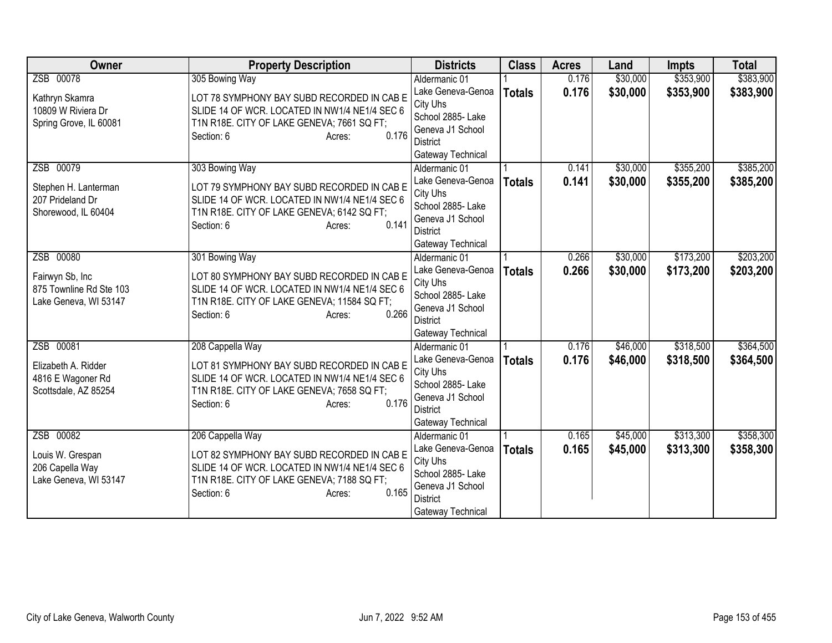| <b>Owner</b>            | <b>Property Description</b>                   | <b>Districts</b>                   | <b>Class</b>  | <b>Acres</b> | Land     | <b>Impts</b> | <b>Total</b> |
|-------------------------|-----------------------------------------------|------------------------------------|---------------|--------------|----------|--------------|--------------|
| ZSB 00078               | 305 Bowing Way                                | Aldermanic 01                      |               | 0.176        | \$30,000 | \$353,900    | \$383,900    |
| Kathryn Skamra          | LOT 78 SYMPHONY BAY SUBD RECORDED IN CAB E    | Lake Geneva-Genoa                  | <b>Totals</b> | 0.176        | \$30,000 | \$353,900    | \$383,900    |
| 10809 W Riviera Dr      | SLIDE 14 OF WCR. LOCATED IN NW1/4 NE1/4 SEC 6 | City Uhs                           |               |              |          |              |              |
| Spring Grove, IL 60081  | T1N R18E. CITY OF LAKE GENEVA; 7661 SQ FT;    | School 2885- Lake                  |               |              |          |              |              |
|                         | 0.176<br>Section: 6<br>Acres:                 | Geneva J1 School                   |               |              |          |              |              |
|                         |                                               | District                           |               |              |          |              |              |
| ZSB 00079               | 303 Bowing Way                                | Gateway Technical<br>Aldermanic 01 |               | 0.141        | \$30,000 | \$355,200    | \$385,200    |
|                         |                                               | Lake Geneva-Genoa                  | <b>Totals</b> | 0.141        | \$30,000 | \$355,200    | \$385,200    |
| Stephen H. Lanterman    | LOT 79 SYMPHONY BAY SUBD RECORDED IN CAB E    | City Uhs                           |               |              |          |              |              |
| 207 Prideland Dr        | SLIDE 14 OF WCR. LOCATED IN NW1/4 NE1/4 SEC 6 | School 2885- Lake                  |               |              |          |              |              |
| Shorewood, IL 60404     | T1N R18E. CITY OF LAKE GENEVA; 6142 SQ FT;    | Geneva J1 School                   |               |              |          |              |              |
|                         | 0.141<br>Section: 6<br>Acres:                 | <b>District</b>                    |               |              |          |              |              |
|                         |                                               | Gateway Technical                  |               |              |          |              |              |
| ZSB 00080               | 301 Bowing Way                                | Aldermanic 01                      |               | 0.266        | \$30,000 | \$173,200    | \$203,200    |
| Fairwyn Sb, Inc         | LOT 80 SYMPHONY BAY SUBD RECORDED IN CAB E    | Lake Geneva-Genoa                  | <b>Totals</b> | 0.266        | \$30,000 | \$173,200    | \$203,200    |
| 875 Townline Rd Ste 103 | SLIDE 14 OF WCR. LOCATED IN NW1/4 NE1/4 SEC 6 | City Uhs                           |               |              |          |              |              |
| Lake Geneva, WI 53147   | T1N R18E. CITY OF LAKE GENEVA; 11584 SQ FT;   | School 2885- Lake                  |               |              |          |              |              |
|                         | 0.266<br>Section: 6<br>Acres:                 | Geneva J1 School                   |               |              |          |              |              |
|                         |                                               | <b>District</b>                    |               |              |          |              |              |
| ZSB 00081               | 208 Cappella Way                              | Gateway Technical<br>Aldermanic 01 |               | 0.176        | \$46,000 | \$318,500    | \$364,500    |
|                         |                                               | Lake Geneva-Genoa                  | <b>Totals</b> | 0.176        | \$46,000 | \$318,500    | \$364,500    |
| Elizabeth A. Ridder     | LOT 81 SYMPHONY BAY SUBD RECORDED IN CAB E    | City Uhs                           |               |              |          |              |              |
| 4816 E Wagoner Rd       | SLIDE 14 OF WCR. LOCATED IN NW1/4 NE1/4 SEC 6 | School 2885- Lake                  |               |              |          |              |              |
| Scottsdale, AZ 85254    | T1N R18E. CITY OF LAKE GENEVA; 7658 SQ FT;    | Geneva J1 School                   |               |              |          |              |              |
|                         | 0.176<br>Section: 6<br>Acres:                 | <b>District</b>                    |               |              |          |              |              |
|                         |                                               | Gateway Technical                  |               |              |          |              |              |
| ZSB 00082               | 206 Cappella Way                              | Aldermanic 01                      |               | 0.165        | \$45,000 | \$313,300    | \$358,300    |
| Louis W. Grespan        | LOT 82 SYMPHONY BAY SUBD RECORDED IN CAB E    | Lake Geneva-Genoa                  | <b>Totals</b> | 0.165        | \$45,000 | \$313,300    | \$358,300    |
| 206 Capella Way         | SLIDE 14 OF WCR. LOCATED IN NW1/4 NE1/4 SEC 6 | City Uhs                           |               |              |          |              |              |
| Lake Geneva, WI 53147   | T1N R18E. CITY OF LAKE GENEVA; 7188 SQ FT;    | School 2885- Lake                  |               |              |          |              |              |
|                         | 0.165<br>Section: 6<br>Acres:                 | Geneva J1 School                   |               |              |          |              |              |
|                         |                                               | <b>District</b>                    |               |              |          |              |              |
|                         |                                               | Gateway Technical                  |               |              |          |              |              |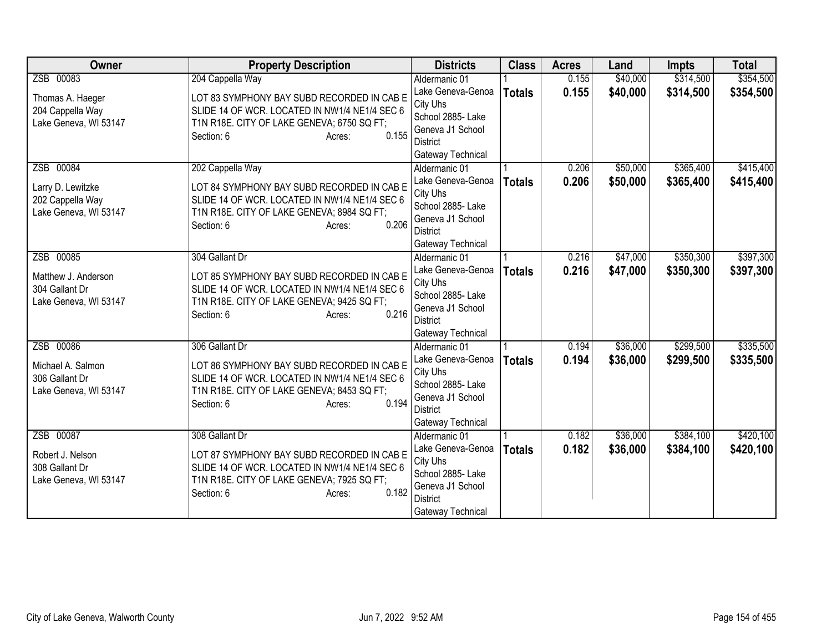| <b>Owner</b>          | <b>Property Description</b>                                                 | <b>Districts</b>                    | <b>Class</b>  | <b>Acres</b> | Land     | <b>Impts</b> | <b>Total</b> |
|-----------------------|-----------------------------------------------------------------------------|-------------------------------------|---------------|--------------|----------|--------------|--------------|
| ZSB 00083             | 204 Cappella Way                                                            | Aldermanic 01                       |               | 0.155        | \$40,000 | \$314,500    | \$354,500    |
| Thomas A. Haeger      | LOT 83 SYMPHONY BAY SUBD RECORDED IN CAB E                                  | Lake Geneva-Genoa                   | <b>Totals</b> | 0.155        | \$40,000 | \$314,500    | \$354,500    |
| 204 Cappella Way      | SLIDE 14 OF WCR. LOCATED IN NW1/4 NE1/4 SEC 6                               | City Uhs                            |               |              |          |              |              |
| Lake Geneva, WI 53147 | T1N R18E. CITY OF LAKE GENEVA; 6750 SQ FT;                                  | School 2885- Lake                   |               |              |          |              |              |
|                       | 0.155<br>Section: 6<br>Acres:                                               | Geneva J1 School<br><b>District</b> |               |              |          |              |              |
|                       |                                                                             | Gateway Technical                   |               |              |          |              |              |
| ZSB 00084             | 202 Cappella Way                                                            | Aldermanic 01                       |               | 0.206        | \$50,000 | \$365,400    | \$415,400    |
|                       |                                                                             | Lake Geneva-Genoa                   | <b>Totals</b> | 0.206        | \$50,000 | \$365,400    | \$415,400    |
| Larry D. Lewitzke     | LOT 84 SYMPHONY BAY SUBD RECORDED IN CAB E                                  | City Uhs                            |               |              |          |              |              |
| 202 Cappella Way      | SLIDE 14 OF WCR. LOCATED IN NW1/4 NE1/4 SEC 6                               | School 2885- Lake                   |               |              |          |              |              |
| Lake Geneva, WI 53147 | T1N R18E. CITY OF LAKE GENEVA; 8984 SQ FT;                                  | Geneva J1 School                    |               |              |          |              |              |
|                       | 0.206<br>Section: 6<br>Acres:                                               | <b>District</b>                     |               |              |          |              |              |
|                       |                                                                             | Gateway Technical                   |               |              |          |              |              |
| ZSB 00085             | 304 Gallant Dr                                                              | Aldermanic 01                       |               | 0.216        | \$47,000 | \$350,300    | \$397,300    |
| Matthew J. Anderson   | LOT 85 SYMPHONY BAY SUBD RECORDED IN CAB E                                  | Lake Geneva-Genoa                   | <b>Totals</b> | 0.216        | \$47,000 | \$350,300    | \$397,300    |
| 304 Gallant Dr        | SLIDE 14 OF WCR. LOCATED IN NW1/4 NE1/4 SEC 6                               | City Uhs                            |               |              |          |              |              |
| Lake Geneva, WI 53147 | T1N R18E. CITY OF LAKE GENEVA; 9425 SQ FT;                                  | School 2885- Lake                   |               |              |          |              |              |
|                       | 0.216<br>Section: 6<br>Acres:                                               | Geneva J1 School<br><b>District</b> |               |              |          |              |              |
|                       |                                                                             | Gateway Technical                   |               |              |          |              |              |
| ZSB 00086             | 306 Gallant Dr                                                              | Aldermanic 01                       |               | 0.194        | \$36,000 | \$299,500    | \$335,500    |
|                       |                                                                             | Lake Geneva-Genoa                   | <b>Totals</b> | 0.194        | \$36,000 | \$299,500    | \$335,500    |
| Michael A. Salmon     | LOT 86 SYMPHONY BAY SUBD RECORDED IN CAB E                                  | City Uhs                            |               |              |          |              |              |
| 306 Gallant Dr        | SLIDE 14 OF WCR. LOCATED IN NW1/4 NE1/4 SEC 6                               | School 2885- Lake                   |               |              |          |              |              |
| Lake Geneva, WI 53147 | T1N R18E. CITY OF LAKE GENEVA; 8453 SQ FT;<br>0.194<br>Section: 6<br>Acres: | Geneva J1 School                    |               |              |          |              |              |
|                       |                                                                             | <b>District</b>                     |               |              |          |              |              |
|                       |                                                                             | Gateway Technical                   |               |              |          |              |              |
| ZSB 00087             | 308 Gallant Dr                                                              | Aldermanic 01                       |               | 0.182        | \$36,000 | \$384,100    | \$420,100    |
| Robert J. Nelson      | LOT 87 SYMPHONY BAY SUBD RECORDED IN CAB E                                  | Lake Geneva-Genoa                   | <b>Totals</b> | 0.182        | \$36,000 | \$384,100    | \$420,100    |
| 308 Gallant Dr        | SLIDE 14 OF WCR. LOCATED IN NW1/4 NE1/4 SEC 6                               | City Uhs                            |               |              |          |              |              |
| Lake Geneva, WI 53147 | T1N R18E. CITY OF LAKE GENEVA; 7925 SQ FT;                                  | School 2885- Lake                   |               |              |          |              |              |
|                       | 0.182<br>Section: 6<br>Acres:                                               | Geneva J1 School<br><b>District</b> |               |              |          |              |              |
|                       |                                                                             | Gateway Technical                   |               |              |          |              |              |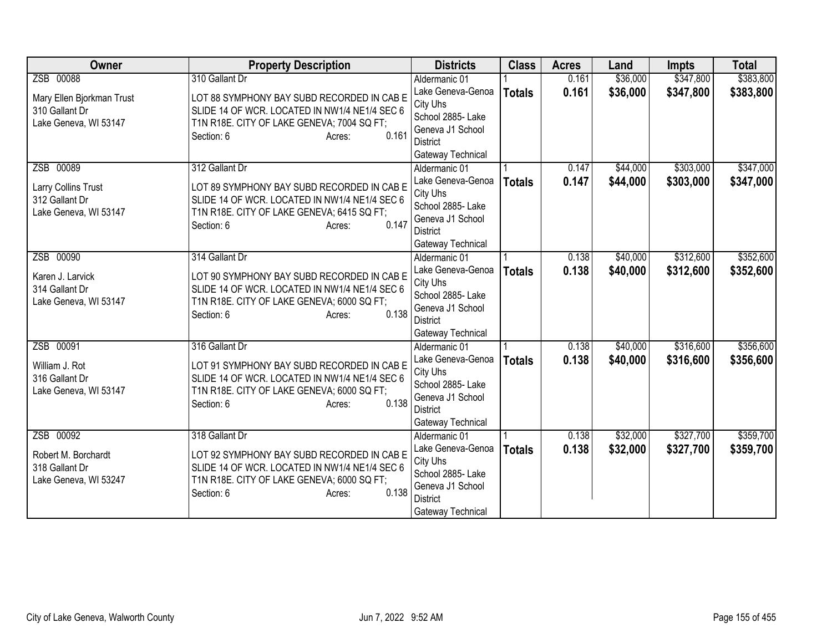| <b>Owner</b>                       | <b>Property Description</b>                                                                 | <b>Districts</b>                      | <b>Class</b>  | <b>Acres</b> | Land     | <b>Impts</b> | <b>Total</b> |
|------------------------------------|---------------------------------------------------------------------------------------------|---------------------------------------|---------------|--------------|----------|--------------|--------------|
| ZSB 00088                          | 310 Gallant Dr                                                                              | Aldermanic 01                         |               | 0.161        | \$36,000 | \$347,800    | \$383,800    |
| Mary Ellen Bjorkman Trust          | LOT 88 SYMPHONY BAY SUBD RECORDED IN CAB E                                                  | Lake Geneva-Genoa                     | <b>Totals</b> | 0.161        | \$36,000 | \$347,800    | \$383,800    |
| 310 Gallant Dr                     | SLIDE 14 OF WCR. LOCATED IN NW1/4 NE1/4 SEC 6                                               | City Uhs                              |               |              |          |              |              |
| Lake Geneva, WI 53147              | T1N R18E. CITY OF LAKE GENEVA; 7004 SQ FT;                                                  | School 2885- Lake                     |               |              |          |              |              |
|                                    | 0.161<br>Section: 6<br>Acres:                                                               | Geneva J1 School                      |               |              |          |              |              |
|                                    |                                                                                             | <b>District</b>                       |               |              |          |              |              |
| ZSB 00089                          | 312 Gallant Dr                                                                              | Gateway Technical<br>Aldermanic 01    |               | 0.147        | \$44,000 | \$303,000    | \$347,000    |
|                                    |                                                                                             | Lake Geneva-Genoa                     |               | 0.147        | \$44,000 | \$303,000    |              |
| Larry Collins Trust                | LOT 89 SYMPHONY BAY SUBD RECORDED IN CAB E                                                  | City Uhs                              | <b>Totals</b> |              |          |              | \$347,000    |
| 312 Gallant Dr                     | SLIDE 14 OF WCR. LOCATED IN NW1/4 NE1/4 SEC 6                                               | School 2885- Lake                     |               |              |          |              |              |
| Lake Geneva, WI 53147              | T1N R18E. CITY OF LAKE GENEVA; 6415 SQ FT;                                                  | Geneva J1 School                      |               |              |          |              |              |
|                                    | 0.147<br>Section: 6<br>Acres:                                                               | <b>District</b>                       |               |              |          |              |              |
|                                    |                                                                                             | Gateway Technical                     |               |              |          |              |              |
| ZSB 00090                          | 314 Gallant Dr                                                                              | Aldermanic 01                         |               | 0.138        | \$40,000 | \$312,600    | \$352,600    |
|                                    |                                                                                             | Lake Geneva-Genoa                     | <b>Totals</b> | 0.138        | \$40,000 | \$312,600    | \$352,600    |
| Karen J. Larvick<br>314 Gallant Dr | LOT 90 SYMPHONY BAY SUBD RECORDED IN CAB E<br>SLIDE 14 OF WCR. LOCATED IN NW1/4 NE1/4 SEC 6 | City Uhs                              |               |              |          |              |              |
| Lake Geneva, WI 53147              | T1N R18E. CITY OF LAKE GENEVA; 6000 SQ FT;                                                  | School 2885- Lake                     |               |              |          |              |              |
|                                    | 0.138<br>Section: 6<br>Acres:                                                               | Geneva J1 School                      |               |              |          |              |              |
|                                    |                                                                                             | <b>District</b>                       |               |              |          |              |              |
|                                    |                                                                                             | Gateway Technical                     |               |              |          |              |              |
| ZSB 00091                          | 316 Gallant Dr                                                                              | Aldermanic 01                         |               | 0.138        | \$40,000 | \$316,600    | \$356,600    |
| William J. Rot                     | LOT 91 SYMPHONY BAY SUBD RECORDED IN CAB E                                                  | Lake Geneva-Genoa                     | <b>Totals</b> | 0.138        | \$40,000 | \$316,600    | \$356,600    |
| 316 Gallant Dr                     | SLIDE 14 OF WCR. LOCATED IN NW1/4 NE1/4 SEC 6                                               | City Uhs                              |               |              |          |              |              |
| Lake Geneva, WI 53147              | T1N R18E. CITY OF LAKE GENEVA; 6000 SQ FT;                                                  | School 2885- Lake<br>Geneva J1 School |               |              |          |              |              |
|                                    | 0.138<br>Section: 6<br>Acres:                                                               | <b>District</b>                       |               |              |          |              |              |
|                                    |                                                                                             | Gateway Technical                     |               |              |          |              |              |
| ZSB 00092                          | 318 Gallant Dr                                                                              | Aldermanic 01                         |               | 0.138        | \$32,000 | \$327,700    | \$359,700    |
|                                    |                                                                                             | Lake Geneva-Genoa                     | <b>Totals</b> | 0.138        | \$32,000 | \$327,700    | \$359,700    |
| Robert M. Borchardt                | LOT 92 SYMPHONY BAY SUBD RECORDED IN CAB E                                                  | City Uhs                              |               |              |          |              |              |
| 318 Gallant Dr                     | SLIDE 14 OF WCR. LOCATED IN NW1/4 NE1/4 SEC 6                                               | School 2885- Lake                     |               |              |          |              |              |
| Lake Geneva, WI 53247              | T1N R18E. CITY OF LAKE GENEVA; 6000 SQ FT;                                                  | Geneva J1 School                      |               |              |          |              |              |
|                                    | 0.138<br>Section: 6<br>Acres:                                                               | <b>District</b>                       |               |              |          |              |              |
|                                    |                                                                                             | Gateway Technical                     |               |              |          |              |              |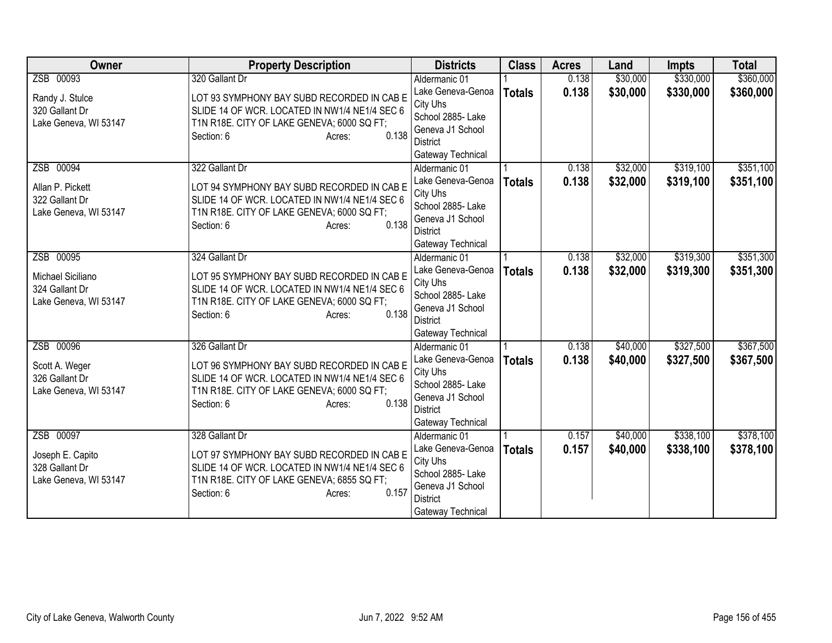| <b>Owner</b>                            | <b>Property Description</b>                                                                 | <b>Districts</b>                   | <b>Class</b>  | <b>Acres</b> | Land     | <b>Impts</b> | <b>Total</b> |
|-----------------------------------------|---------------------------------------------------------------------------------------------|------------------------------------|---------------|--------------|----------|--------------|--------------|
| ZSB 00093                               | 320 Gallant Dr                                                                              | Aldermanic 01                      |               | 0.138        | \$30,000 | \$330,000    | \$360,000    |
| Randy J. Stulce                         | LOT 93 SYMPHONY BAY SUBD RECORDED IN CAB E                                                  | Lake Geneva-Genoa                  | <b>Totals</b> | 0.138        | \$30,000 | \$330,000    | \$360,000    |
| 320 Gallant Dr                          | SLIDE 14 OF WCR. LOCATED IN NW1/4 NE1/4 SEC 6                                               | City Uhs                           |               |              |          |              |              |
| Lake Geneva, WI 53147                   | T1N R18E. CITY OF LAKE GENEVA; 6000 SQ FT;                                                  | School 2885- Lake                  |               |              |          |              |              |
|                                         | 0.138<br>Section: 6<br>Acres:                                                               | Geneva J1 School                   |               |              |          |              |              |
|                                         |                                                                                             | <b>District</b>                    |               |              |          |              |              |
|                                         |                                                                                             | Gateway Technical                  |               |              |          |              |              |
| ZSB 00094                               | 322 Gallant Dr                                                                              | Aldermanic 01<br>Lake Geneva-Genoa |               | 0.138        | \$32,000 | \$319,100    | \$351,100    |
| Allan P. Pickett                        | LOT 94 SYMPHONY BAY SUBD RECORDED IN CAB E                                                  | City Uhs                           | <b>Totals</b> | 0.138        | \$32,000 | \$319,100    | \$351,100    |
| 322 Gallant Dr                          | SLIDE 14 OF WCR. LOCATED IN NW1/4 NE1/4 SEC 6                                               | School 2885- Lake                  |               |              |          |              |              |
| Lake Geneva, WI 53147                   | T1N R18E. CITY OF LAKE GENEVA; 6000 SQ FT;                                                  | Geneva J1 School                   |               |              |          |              |              |
|                                         | 0.138<br>Section: 6<br>Acres:                                                               | <b>District</b>                    |               |              |          |              |              |
|                                         |                                                                                             | Gateway Technical                  |               |              |          |              |              |
| ZSB 00095                               | 324 Gallant Dr                                                                              | Aldermanic 01                      |               | 0.138        | \$32,000 | \$319,300    | \$351,300    |
|                                         |                                                                                             | Lake Geneva-Genoa                  | <b>Totals</b> | 0.138        | \$32,000 | \$319,300    | \$351,300    |
| Michael Siciliano                       | LOT 95 SYMPHONY BAY SUBD RECORDED IN CAB E<br>SLIDE 14 OF WCR. LOCATED IN NW1/4 NE1/4 SEC 6 | City Uhs                           |               |              |          |              |              |
| 324 Gallant Dr<br>Lake Geneva, WI 53147 | T1N R18E. CITY OF LAKE GENEVA; 6000 SQ FT;                                                  | School 2885- Lake                  |               |              |          |              |              |
|                                         | 0.138<br>Section: 6<br>Acres:                                                               | Geneva J1 School                   |               |              |          |              |              |
|                                         |                                                                                             | <b>District</b>                    |               |              |          |              |              |
|                                         |                                                                                             | Gateway Technical                  |               |              |          |              |              |
| ZSB 00096                               | 326 Gallant Dr                                                                              | Aldermanic 01                      |               | 0.138        | \$40,000 | \$327,500    | \$367,500    |
| Scott A. Weger                          | LOT 96 SYMPHONY BAY SUBD RECORDED IN CAB E                                                  | Lake Geneva-Genoa                  | <b>Totals</b> | 0.138        | \$40,000 | \$327,500    | \$367,500    |
| 326 Gallant Dr                          | SLIDE 14 OF WCR. LOCATED IN NW1/4 NE1/4 SEC 6                                               | City Uhs<br>School 2885- Lake      |               |              |          |              |              |
| Lake Geneva, WI 53147                   | T1N R18E. CITY OF LAKE GENEVA; 6000 SQ FT;                                                  | Geneva J1 School                   |               |              |          |              |              |
|                                         | 0.138<br>Section: 6<br>Acres:                                                               | <b>District</b>                    |               |              |          |              |              |
|                                         |                                                                                             | Gateway Technical                  |               |              |          |              |              |
| ZSB 00097                               | 328 Gallant Dr                                                                              | Aldermanic 01                      |               | 0.157        | \$40,000 | \$338,100    | \$378,100    |
|                                         |                                                                                             | Lake Geneva-Genoa                  | <b>Totals</b> | 0.157        | \$40,000 | \$338,100    | \$378,100    |
| Joseph E. Capito                        | LOT 97 SYMPHONY BAY SUBD RECORDED IN CAB E                                                  | City Uhs                           |               |              |          |              |              |
| 328 Gallant Dr                          | SLIDE 14 OF WCR. LOCATED IN NW1/4 NE1/4 SEC 6                                               | School 2885- Lake                  |               |              |          |              |              |
| Lake Geneva, WI 53147                   | T1N R18E. CITY OF LAKE GENEVA; 6855 SQ FT;<br>0.157                                         | Geneva J1 School                   |               |              |          |              |              |
|                                         | Section: 6<br>Acres:                                                                        | <b>District</b>                    |               |              |          |              |              |
|                                         |                                                                                             | Gateway Technical                  |               |              |          |              |              |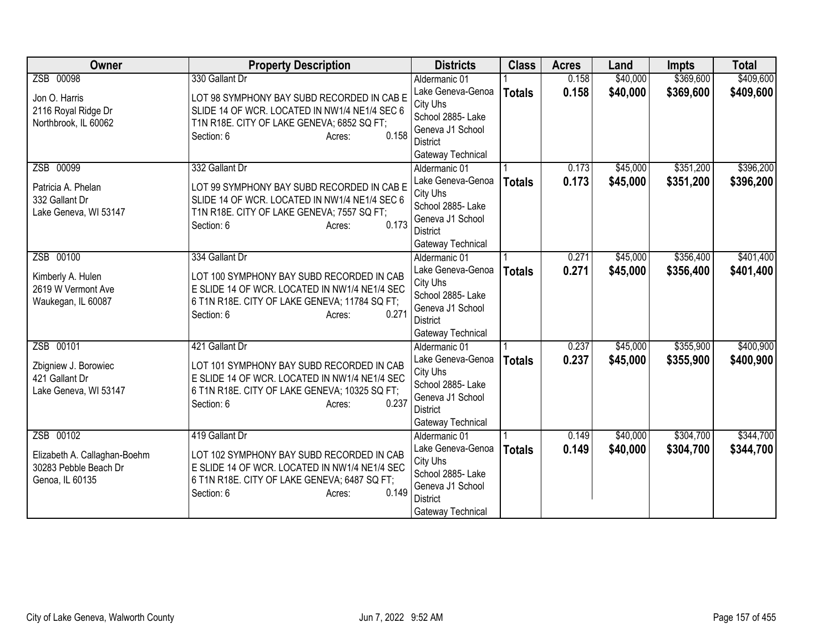| Owner                                                                    | <b>Property Description</b>                                                                                                                                                  | <b>Districts</b>                                                                                               | <b>Class</b>  | <b>Acres</b> | Land     | <b>Impts</b> | <b>Total</b> |
|--------------------------------------------------------------------------|------------------------------------------------------------------------------------------------------------------------------------------------------------------------------|----------------------------------------------------------------------------------------------------------------|---------------|--------------|----------|--------------|--------------|
| ZSB 00098                                                                | 330 Gallant Dr                                                                                                                                                               | Aldermanic 01                                                                                                  |               | 0.158        | \$40,000 | \$369,600    | \$409,600    |
| Jon O. Harris<br>2116 Royal Ridge Dr<br>Northbrook, IL 60062             | LOT 98 SYMPHONY BAY SUBD RECORDED IN CAB E<br>SLIDE 14 OF WCR. LOCATED IN NW1/4 NE1/4 SEC 6<br>T1N R18E. CITY OF LAKE GENEVA; 6852 SQ FT;<br>0.158<br>Section: 6<br>Acres:   | Lake Geneva-Genoa<br>City Uhs<br>School 2885-Lake<br>Geneva J1 School<br><b>District</b><br>Gateway Technical  | <b>Totals</b> | 0.158        | \$40,000 | \$369,600    | \$409,600    |
| ZSB 00099                                                                | 332 Gallant Dr                                                                                                                                                               | Aldermanic 01                                                                                                  |               | 0.173        | \$45,000 | \$351,200    | \$396,200    |
| Patricia A. Phelan<br>332 Gallant Dr<br>Lake Geneva, WI 53147            | LOT 99 SYMPHONY BAY SUBD RECORDED IN CAB E<br>SLIDE 14 OF WCR. LOCATED IN NW1/4 NE1/4 SEC 6<br>T1N R18E. CITY OF LAKE GENEVA; 7557 SQ FT;<br>0.173<br>Section: 6<br>Acres:   | Lake Geneva-Genoa<br>City Uhs<br>School 2885- Lake<br>Geneva J1 School<br><b>District</b><br>Gateway Technical | <b>Totals</b> | 0.173        | \$45,000 | \$351,200    | \$396,200    |
| ZSB 00100                                                                | 334 Gallant Dr                                                                                                                                                               | Aldermanic 01                                                                                                  |               | 0.271        | \$45,000 | \$356,400    | \$401,400    |
| Kimberly A. Hulen<br>2619 W Vermont Ave<br>Waukegan, IL 60087            | LOT 100 SYMPHONY BAY SUBD RECORDED IN CAB<br>E SLIDE 14 OF WCR. LOCATED IN NW1/4 NE1/4 SEC<br>6 T1N R18E. CITY OF LAKE GENEVA; 11784 SQ FT;<br>0.271<br>Section: 6<br>Acres: | Lake Geneva-Genoa<br>City Uhs<br>School 2885- Lake<br>Geneva J1 School<br><b>District</b><br>Gateway Technical | <b>Totals</b> | 0.271        | \$45,000 | \$356,400    | \$401,400    |
| ZSB 00101                                                                | 421 Gallant Dr                                                                                                                                                               | Aldermanic 01                                                                                                  |               | 0.237        | \$45,000 | \$355,900    | \$400,900    |
| Zbigniew J. Borowiec<br>421 Gallant Dr<br>Lake Geneva, WI 53147          | LOT 101 SYMPHONY BAY SUBD RECORDED IN CAB<br>E SLIDE 14 OF WCR. LOCATED IN NW1/4 NE1/4 SEC<br>6 T1N R18E. CITY OF LAKE GENEVA; 10325 SQ FT;<br>0.237<br>Section: 6<br>Acres: | Lake Geneva-Genoa<br>City Uhs<br>School 2885- Lake<br>Geneva J1 School<br><b>District</b><br>Gateway Technical | <b>Totals</b> | 0.237        | \$45,000 | \$355,900    | \$400,900    |
| ZSB 00102                                                                | 419 Gallant Dr                                                                                                                                                               | Aldermanic 01                                                                                                  |               | 0.149        | \$40,000 | \$304,700    | \$344,700    |
| Elizabeth A. Callaghan-Boehm<br>30283 Pebble Beach Dr<br>Genoa, IL 60135 | LOT 102 SYMPHONY BAY SUBD RECORDED IN CAB<br>E SLIDE 14 OF WCR. LOCATED IN NW1/4 NE1/4 SEC<br>6 T1N R18E. CITY OF LAKE GENEVA; 6487 SQ FT;<br>0.149<br>Section: 6<br>Acres:  | Lake Geneva-Genoa<br>City Uhs<br>School 2885- Lake<br>Geneva J1 School<br><b>District</b><br>Gateway Technical | <b>Totals</b> | 0.149        | \$40,000 | \$304,700    | \$344,700    |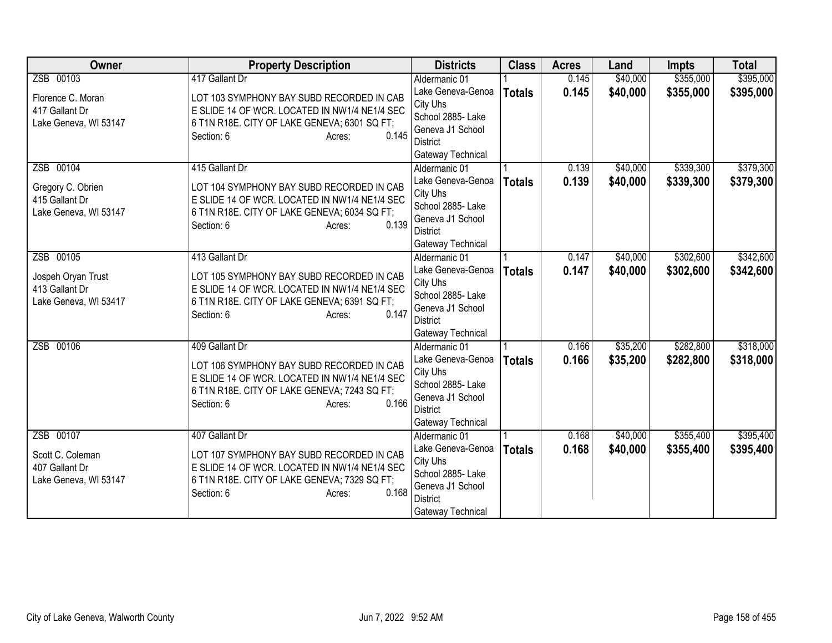| <b>Owner</b>          | <b>Property Description</b>                   | <b>Districts</b>              | <b>Class</b>  | <b>Acres</b> | Land     | <b>Impts</b> | <b>Total</b> |
|-----------------------|-----------------------------------------------|-------------------------------|---------------|--------------|----------|--------------|--------------|
| ZSB 00103             | 417 Gallant Dr                                | Aldermanic 01                 |               | 0.145        | \$40,000 | \$355,000    | \$395,000    |
| Florence C. Moran     | LOT 103 SYMPHONY BAY SUBD RECORDED IN CAB     | Lake Geneva-Genoa             | <b>Totals</b> | 0.145        | \$40,000 | \$355,000    | \$395,000    |
| 417 Gallant Dr        | E SLIDE 14 OF WCR. LOCATED IN NW1/4 NE1/4 SEC | City Uhs                      |               |              |          |              |              |
| Lake Geneva, WI 53147 | 6 T1N R18E. CITY OF LAKE GENEVA; 6301 SQ FT;  | School 2885- Lake             |               |              |          |              |              |
|                       | 0.145<br>Section: 6<br>Acres:                 | Geneva J1 School              |               |              |          |              |              |
|                       |                                               | <b>District</b>               |               |              |          |              |              |
|                       |                                               | Gateway Technical             |               |              |          |              |              |
| ZSB 00104             | 415 Gallant Dr                                | Aldermanic 01                 |               | 0.139        | \$40,000 | \$339,300    | \$379,300    |
| Gregory C. Obrien     | LOT 104 SYMPHONY BAY SUBD RECORDED IN CAB     | Lake Geneva-Genoa             | <b>Totals</b> | 0.139        | \$40,000 | \$339,300    | \$379,300    |
| 415 Gallant Dr        | E SLIDE 14 OF WCR. LOCATED IN NW1/4 NE1/4 SEC | City Uhs<br>School 2885- Lake |               |              |          |              |              |
| Lake Geneva, WI 53147 | 6 T1N R18E. CITY OF LAKE GENEVA; 6034 SQ FT;  | Geneva J1 School              |               |              |          |              |              |
|                       | Section: 6<br>0.139<br>Acres:                 | <b>District</b>               |               |              |          |              |              |
|                       |                                               | Gateway Technical             |               |              |          |              |              |
| ZSB 00105             | 413 Gallant Dr                                | Aldermanic 01                 |               | 0.147        | \$40,000 | \$302,600    | \$342,600    |
|                       |                                               | Lake Geneva-Genoa             | <b>Totals</b> | 0.147        | \$40,000 | \$302,600    | \$342,600    |
| Jospeh Oryan Trust    | LOT 105 SYMPHONY BAY SUBD RECORDED IN CAB     | City Uhs                      |               |              |          |              |              |
| 413 Gallant Dr        | E SLIDE 14 OF WCR. LOCATED IN NW1/4 NE1/4 SEC | School 2885- Lake             |               |              |          |              |              |
| Lake Geneva, WI 53417 | 6 T1N R18E. CITY OF LAKE GENEVA; 6391 SQ FT;  | Geneva J1 School              |               |              |          |              |              |
|                       | 0.147<br>Section: 6<br>Acres:                 | <b>District</b>               |               |              |          |              |              |
|                       |                                               | Gateway Technical             |               |              |          |              |              |
| ZSB 00106             | 409 Gallant Dr                                | Aldermanic 01                 |               | 0.166        | \$35,200 | \$282,800    | \$318,000    |
|                       | LOT 106 SYMPHONY BAY SUBD RECORDED IN CAB     | Lake Geneva-Genoa             | <b>Totals</b> | 0.166        | \$35,200 | \$282,800    | \$318,000    |
|                       | E SLIDE 14 OF WCR. LOCATED IN NW1/4 NE1/4 SEC | City Uhs                      |               |              |          |              |              |
|                       | 6 T1N R18E. CITY OF LAKE GENEVA; 7243 SQ FT;  | School 2885- Lake             |               |              |          |              |              |
|                       | 0.166<br>Section: 6<br>Acres:                 | Geneva J1 School              |               |              |          |              |              |
|                       |                                               | District                      |               |              |          |              |              |
|                       |                                               | Gateway Technical             |               |              |          |              |              |
| ZSB 00107             | 407 Gallant Dr                                | Aldermanic 01                 |               | 0.168        | \$40,000 | \$355,400    | \$395,400    |
| Scott C. Coleman      | LOT 107 SYMPHONY BAY SUBD RECORDED IN CAB     | Lake Geneva-Genoa<br>City Uhs | <b>Totals</b> | 0.168        | \$40,000 | \$355,400    | \$395,400    |
| 407 Gallant Dr        | E SLIDE 14 OF WCR. LOCATED IN NW1/4 NE1/4 SEC | School 2885- Lake             |               |              |          |              |              |
| Lake Geneva, WI 53147 | 6 T1N R18E. CITY OF LAKE GENEVA; 7329 SQ FT;  | Geneva J1 School              |               |              |          |              |              |
|                       | 0.168<br>Section: 6<br>Acres:                 | <b>District</b>               |               |              |          |              |              |
|                       |                                               | Gateway Technical             |               |              |          |              |              |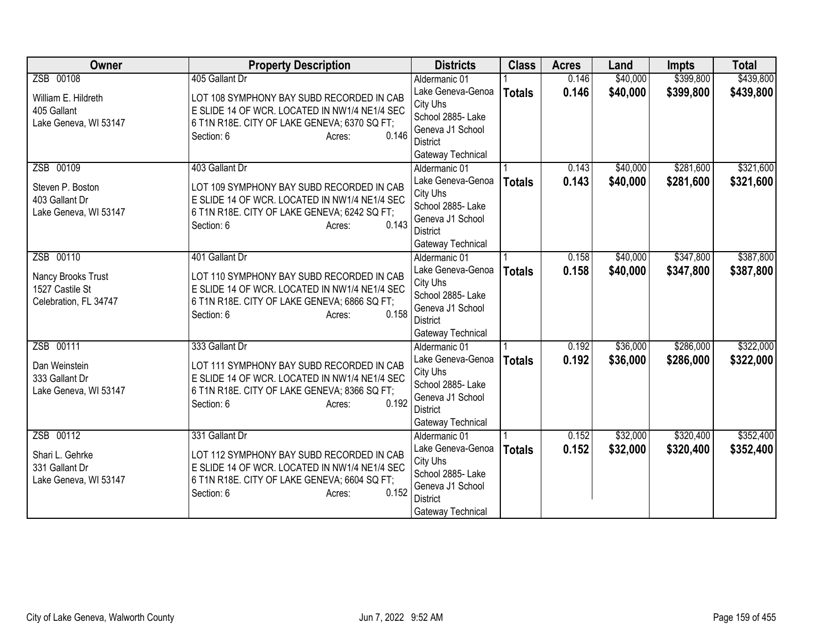| <b>Owner</b>          | <b>Property Description</b>                   | <b>Districts</b>              | <b>Class</b>  | <b>Acres</b> | Land     | <b>Impts</b> | <b>Total</b> |
|-----------------------|-----------------------------------------------|-------------------------------|---------------|--------------|----------|--------------|--------------|
| ZSB 00108             | 405 Gallant Dr                                | Aldermanic 01                 |               | 0.146        | \$40,000 | \$399,800    | \$439,800    |
| William E. Hildreth   | LOT 108 SYMPHONY BAY SUBD RECORDED IN CAB     | Lake Geneva-Genoa             | <b>Totals</b> | 0.146        | \$40,000 | \$399,800    | \$439,800    |
| 405 Gallant           | E SLIDE 14 OF WCR. LOCATED IN NW1/4 NE1/4 SEC | City Uhs                      |               |              |          |              |              |
| Lake Geneva, WI 53147 | 6 T1N R18E. CITY OF LAKE GENEVA; 6370 SQ FT;  | School 2885- Lake             |               |              |          |              |              |
|                       | 0.146<br>Section: 6<br>Acres:                 | Geneva J1 School              |               |              |          |              |              |
|                       |                                               | <b>District</b>               |               |              |          |              |              |
|                       |                                               | Gateway Technical             |               |              |          |              |              |
| ZSB 00109             | 403 Gallant Dr                                | Aldermanic 01                 |               | 0.143        | \$40,000 | \$281,600    | \$321,600    |
| Steven P. Boston      | LOT 109 SYMPHONY BAY SUBD RECORDED IN CAB     | Lake Geneva-Genoa             | <b>Totals</b> | 0.143        | \$40,000 | \$281,600    | \$321,600    |
| 403 Gallant Dr        | E SLIDE 14 OF WCR. LOCATED IN NW1/4 NE1/4 SEC | City Uhs<br>School 2885- Lake |               |              |          |              |              |
| Lake Geneva, WI 53147 | 6 T1N R18E. CITY OF LAKE GENEVA; 6242 SQ FT;  | Geneva J1 School              |               |              |          |              |              |
|                       | Section: 6<br>0.143<br>Acres:                 | <b>District</b>               |               |              |          |              |              |
|                       |                                               | Gateway Technical             |               |              |          |              |              |
| ZSB 00110             | 401 Gallant Dr                                | Aldermanic 01                 |               | 0.158        | \$40,000 | \$347,800    | \$387,800    |
|                       |                                               | Lake Geneva-Genoa             | <b>Totals</b> | 0.158        | \$40,000 | \$347,800    | \$387,800    |
| Nancy Brooks Trust    | LOT 110 SYMPHONY BAY SUBD RECORDED IN CAB     | City Uhs                      |               |              |          |              |              |
| 1527 Castile St       | E SLIDE 14 OF WCR. LOCATED IN NW1/4 NE1/4 SEC | School 2885- Lake             |               |              |          |              |              |
| Celebration, FL 34747 | 6 T1N R18E. CITY OF LAKE GENEVA; 6866 SQ FT;  | Geneva J1 School              |               |              |          |              |              |
|                       | 0.158<br>Section: 6<br>Acres:                 | <b>District</b>               |               |              |          |              |              |
|                       |                                               | Gateway Technical             |               |              |          |              |              |
| ZSB 00111             | 333 Gallant Dr                                | Aldermanic 01                 |               | 0.192        | \$36,000 | \$286,000    | \$322,000    |
| Dan Weinstein         | LOT 111 SYMPHONY BAY SUBD RECORDED IN CAB     | Lake Geneva-Genoa             | <b>Totals</b> | 0.192        | \$36,000 | \$286,000    | \$322,000    |
| 333 Gallant Dr        | E SLIDE 14 OF WCR. LOCATED IN NW1/4 NE1/4 SEC | City Uhs                      |               |              |          |              |              |
| Lake Geneva, WI 53147 | 6 T1N R18E. CITY OF LAKE GENEVA; 8366 SQ FT;  | School 2885- Lake             |               |              |          |              |              |
|                       | 0.192<br>Section: 6<br>Acres:                 | Geneva J1 School              |               |              |          |              |              |
|                       |                                               | <b>District</b>               |               |              |          |              |              |
|                       |                                               | Gateway Technical             |               |              |          |              |              |
| ZSB 00112             | 331 Gallant Dr                                | Aldermanic 01                 |               | 0.152        | \$32,000 | \$320,400    | \$352,400    |
| Shari L. Gehrke       | LOT 112 SYMPHONY BAY SUBD RECORDED IN CAB     | Lake Geneva-Genoa<br>City Uhs | <b>Totals</b> | 0.152        | \$32,000 | \$320,400    | \$352,400    |
| 331 Gallant Dr        | E SLIDE 14 OF WCR. LOCATED IN NW1/4 NE1/4 SEC | School 2885- Lake             |               |              |          |              |              |
| Lake Geneva, WI 53147 | 6 T1N R18E. CITY OF LAKE GENEVA; 6604 SQ FT;  | Geneva J1 School              |               |              |          |              |              |
|                       | 0.152<br>Section: 6<br>Acres:                 | <b>District</b>               |               |              |          |              |              |
|                       |                                               | Gateway Technical             |               |              |          |              |              |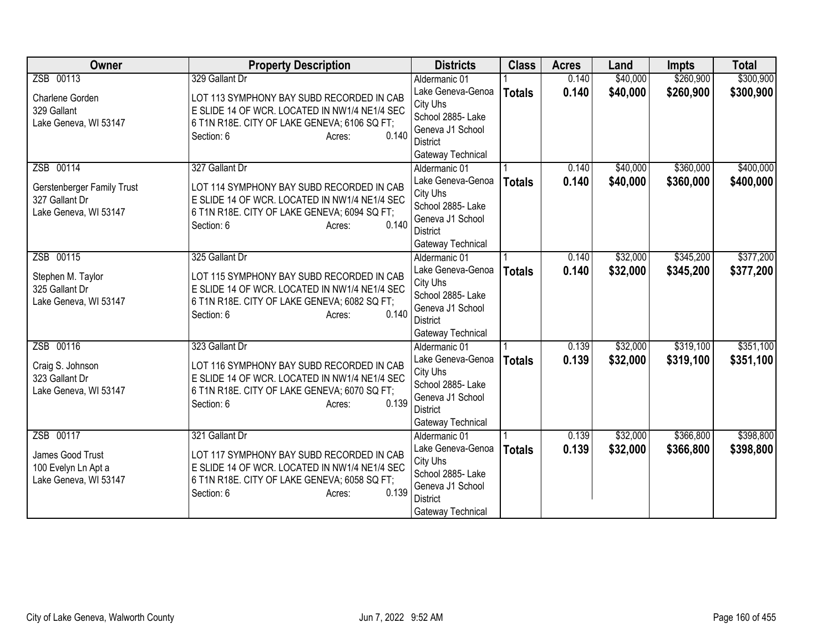| <b>Owner</b>               | <b>Property Description</b>                                         | <b>Districts</b>                   | <b>Class</b>  | <b>Acres</b> | Land     | <b>Impts</b> | <b>Total</b> |
|----------------------------|---------------------------------------------------------------------|------------------------------------|---------------|--------------|----------|--------------|--------------|
| ZSB 00113                  | 329 Gallant Dr                                                      | Aldermanic 01                      |               | 0.140        | \$40,000 | \$260,900    | \$300,900    |
| Charlene Gorden            | LOT 113 SYMPHONY BAY SUBD RECORDED IN CAB                           | Lake Geneva-Genoa                  | <b>Totals</b> | 0.140        | \$40,000 | \$260,900    | \$300,900    |
| 329 Gallant                | E SLIDE 14 OF WCR. LOCATED IN NW1/4 NE1/4 SEC                       | City Uhs                           |               |              |          |              |              |
| Lake Geneva, WI 53147      | 6 T1N R18E. CITY OF LAKE GENEVA; 6106 SQ FT;                        | School 2885- Lake                  |               |              |          |              |              |
|                            | 0.140<br>Section: 6<br>Acres:                                       | Geneva J1 School                   |               |              |          |              |              |
|                            |                                                                     | District                           |               |              |          |              |              |
|                            |                                                                     | Gateway Technical                  |               |              |          |              |              |
| ZSB 00114                  | 327 Gallant Dr                                                      | Aldermanic 01<br>Lake Geneva-Genoa |               | 0.140        | \$40,000 | \$360,000    | \$400,000    |
| Gerstenberger Family Trust | LOT 114 SYMPHONY BAY SUBD RECORDED IN CAB                           | City Uhs                           | <b>Totals</b> | 0.140        | \$40,000 | \$360,000    | \$400,000    |
| 327 Gallant Dr             | E SLIDE 14 OF WCR. LOCATED IN NW1/4 NE1/4 SEC                       | School 2885- Lake                  |               |              |          |              |              |
| Lake Geneva, WI 53147      | 6 T1N R18E. CITY OF LAKE GENEVA; 6094 SQ FT;                        | Geneva J1 School                   |               |              |          |              |              |
|                            | 0.140<br>Section: 6<br>Acres:                                       | <b>District</b>                    |               |              |          |              |              |
|                            |                                                                     | Gateway Technical                  |               |              |          |              |              |
| ZSB 00115                  | 325 Gallant Dr                                                      | Aldermanic 01                      |               | 0.140        | \$32,000 | \$345,200    | \$377,200    |
|                            |                                                                     | Lake Geneva-Genoa                  | <b>Totals</b> | 0.140        | \$32,000 | \$345,200    | \$377,200    |
| Stephen M. Taylor          | LOT 115 SYMPHONY BAY SUBD RECORDED IN CAB                           | City Uhs                           |               |              |          |              |              |
| 325 Gallant Dr             | E SLIDE 14 OF WCR. LOCATED IN NW1/4 NE1/4 SEC                       | School 2885- Lake                  |               |              |          |              |              |
| Lake Geneva, WI 53147      | 6 T1N R18E. CITY OF LAKE GENEVA; 6082 SQ FT;<br>0.140<br>Section: 6 | Geneva J1 School                   |               |              |          |              |              |
|                            | Acres:                                                              | <b>District</b>                    |               |              |          |              |              |
|                            |                                                                     | Gateway Technical                  |               |              |          |              |              |
| ZSB 00116                  | 323 Gallant Dr                                                      | Aldermanic 01                      |               | 0.139        | \$32,000 | \$319,100    | \$351,100    |
| Craig S. Johnson           | LOT 116 SYMPHONY BAY SUBD RECORDED IN CAB                           | Lake Geneva-Genoa                  | <b>Totals</b> | 0.139        | \$32,000 | \$319,100    | \$351,100    |
| 323 Gallant Dr             | E SLIDE 14 OF WCR. LOCATED IN NW1/4 NE1/4 SEC                       | City Uhs                           |               |              |          |              |              |
| Lake Geneva, WI 53147      | 6 T1N R18E. CITY OF LAKE GENEVA; 6070 SQ FT;                        | School 2885- Lake                  |               |              |          |              |              |
|                            | 0.139<br>Section: 6<br>Acres:                                       | Geneva J1 School                   |               |              |          |              |              |
|                            |                                                                     | <b>District</b>                    |               |              |          |              |              |
| ZSB 00117                  | 321 Gallant Dr                                                      | Gateway Technical<br>Aldermanic 01 |               | 0.139        | \$32,000 | \$366,800    | \$398,800    |
|                            |                                                                     | Lake Geneva-Genoa                  |               | 0.139        | \$32,000 | \$366,800    |              |
| James Good Trust           | LOT 117 SYMPHONY BAY SUBD RECORDED IN CAB                           | City Uhs                           | <b>Totals</b> |              |          |              | \$398,800    |
| 100 Evelyn Ln Apt a        | E SLIDE 14 OF WCR. LOCATED IN NW1/4 NE1/4 SEC                       | School 2885- Lake                  |               |              |          |              |              |
| Lake Geneva, WI 53147      | 6 T1N R18E. CITY OF LAKE GENEVA; 6058 SQ FT;                        | Geneva J1 School                   |               |              |          |              |              |
|                            | 0.139<br>Section: 6<br>Acres:                                       | <b>District</b>                    |               |              |          |              |              |
|                            |                                                                     | Gateway Technical                  |               |              |          |              |              |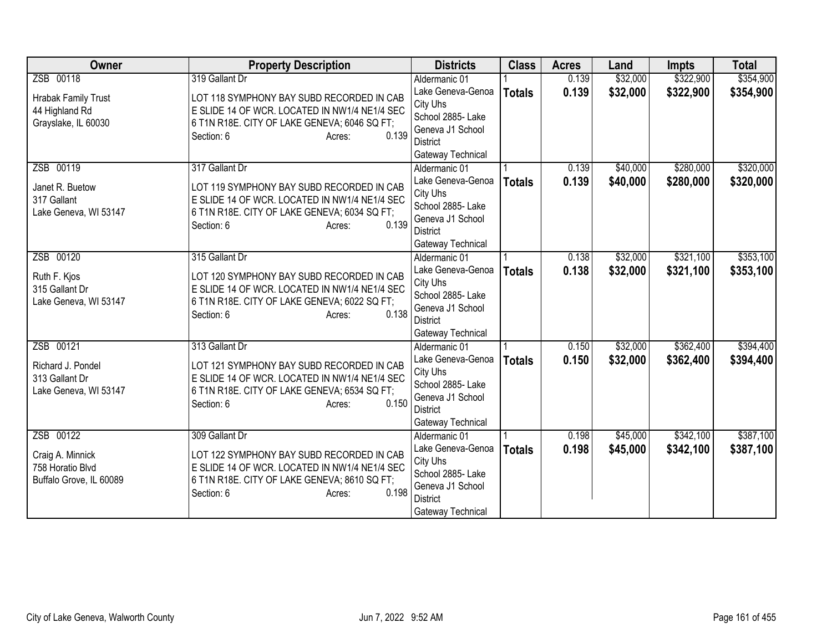| <b>Owner</b>               | <b>Property Description</b>                   | <b>Districts</b>              | <b>Class</b>  | <b>Acres</b> | Land     | <b>Impts</b> | <b>Total</b> |
|----------------------------|-----------------------------------------------|-------------------------------|---------------|--------------|----------|--------------|--------------|
| ZSB 00118                  | 319 Gallant Dr                                | Aldermanic 01                 |               | 0.139        | \$32,000 | \$322,900    | \$354,900    |
| <b>Hrabak Family Trust</b> | LOT 118 SYMPHONY BAY SUBD RECORDED IN CAB     | Lake Geneva-Genoa             | <b>Totals</b> | 0.139        | \$32,000 | \$322,900    | \$354,900    |
| 44 Highland Rd             | E SLIDE 14 OF WCR. LOCATED IN NW1/4 NE1/4 SEC | City Uhs                      |               |              |          |              |              |
| Grayslake, IL 60030        | 6 T1N R18E. CITY OF LAKE GENEVA; 6046 SQ FT;  | School 2885- Lake             |               |              |          |              |              |
|                            | 0.139<br>Section: 6<br>Acres:                 | Geneva J1 School              |               |              |          |              |              |
|                            |                                               | District                      |               |              |          |              |              |
|                            |                                               | Gateway Technical             |               |              |          |              |              |
| ZSB 00119                  | 317 Gallant Dr                                | Aldermanic 01                 |               | 0.139        | \$40,000 | \$280,000    | \$320,000    |
| Janet R. Buetow            | LOT 119 SYMPHONY BAY SUBD RECORDED IN CAB     | Lake Geneva-Genoa             | <b>Totals</b> | 0.139        | \$40,000 | \$280,000    | \$320,000    |
| 317 Gallant                | E SLIDE 14 OF WCR. LOCATED IN NW1/4 NE1/4 SEC | City Uhs<br>School 2885- Lake |               |              |          |              |              |
| Lake Geneva, WI 53147      | 6 T1N R18E. CITY OF LAKE GENEVA; 6034 SQ FT;  | Geneva J1 School              |               |              |          |              |              |
|                            | Section: 6<br>0.139<br>Acres:                 | <b>District</b>               |               |              |          |              |              |
|                            |                                               | Gateway Technical             |               |              |          |              |              |
| ZSB 00120                  | 315 Gallant Dr                                | Aldermanic 01                 |               | 0.138        | \$32,000 | \$321,100    | \$353,100    |
|                            |                                               | Lake Geneva-Genoa             | <b>Totals</b> | 0.138        | \$32,000 | \$321,100    | \$353,100    |
| Ruth F. Kjos               | LOT 120 SYMPHONY BAY SUBD RECORDED IN CAB     | City Uhs                      |               |              |          |              |              |
| 315 Gallant Dr             | E SLIDE 14 OF WCR. LOCATED IN NW1/4 NE1/4 SEC | School 2885- Lake             |               |              |          |              |              |
| Lake Geneva, WI 53147      | 6 T1N R18E. CITY OF LAKE GENEVA; 6022 SQ FT;  | Geneva J1 School              |               |              |          |              |              |
|                            | 0.138<br>Section: 6<br>Acres:                 | <b>District</b>               |               |              |          |              |              |
|                            |                                               | Gateway Technical             |               |              |          |              |              |
| ZSB 00121                  | 313 Gallant Dr                                | Aldermanic 01                 |               | 0.150        | \$32,000 | \$362,400    | \$394,400    |
| Richard J. Pondel          | LOT 121 SYMPHONY BAY SUBD RECORDED IN CAB     | Lake Geneva-Genoa             | <b>Totals</b> | 0.150        | \$32,000 | \$362,400    | \$394,400    |
| 313 Gallant Dr             | E SLIDE 14 OF WCR. LOCATED IN NW1/4 NE1/4 SEC | City Uhs                      |               |              |          |              |              |
| Lake Geneva, WI 53147      | 6 T1N R18E. CITY OF LAKE GENEVA; 6534 SQ FT;  | School 2885- Lake             |               |              |          |              |              |
|                            | 0.150<br>Section: 6<br>Acres:                 | Geneva J1 School              |               |              |          |              |              |
|                            |                                               | <b>District</b>               |               |              |          |              |              |
|                            |                                               | Gateway Technical             |               |              |          |              |              |
| ZSB 00122                  | 309 Gallant Dr                                | Aldermanic 01                 |               | 0.198        | \$45,000 | \$342,100    | \$387,100    |
| Craig A. Minnick           | LOT 122 SYMPHONY BAY SUBD RECORDED IN CAB     | Lake Geneva-Genoa<br>City Uhs | <b>Totals</b> | 0.198        | \$45,000 | \$342,100    | \$387,100    |
| 758 Horatio Blvd           | E SLIDE 14 OF WCR. LOCATED IN NW1/4 NE1/4 SEC | School 2885- Lake             |               |              |          |              |              |
| Buffalo Grove, IL 60089    | 6 T1N R18E. CITY OF LAKE GENEVA; 8610 SQ FT;  | Geneva J1 School              |               |              |          |              |              |
|                            | 0.198<br>Section: 6<br>Acres:                 | <b>District</b>               |               |              |          |              |              |
|                            |                                               | Gateway Technical             |               |              |          |              |              |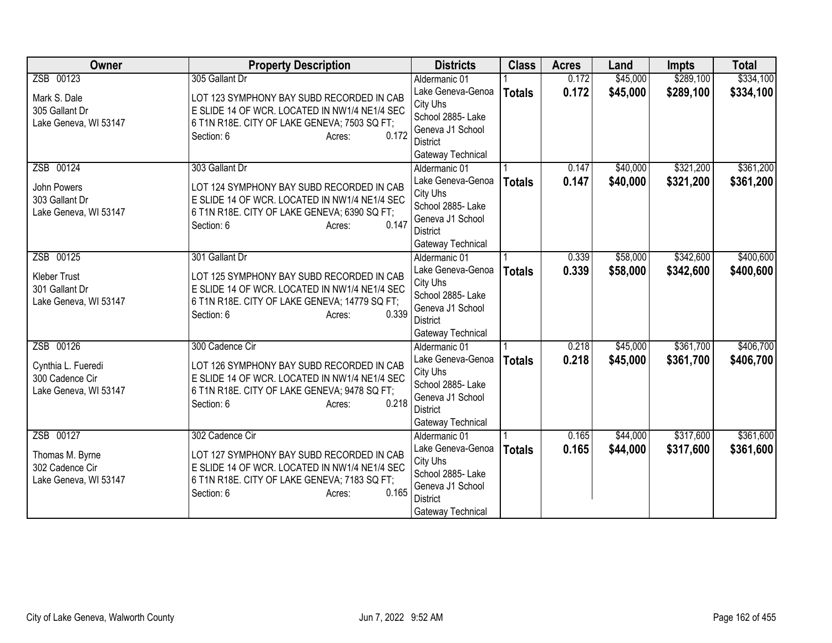| <b>Owner</b>          | <b>Property Description</b>                            | <b>Districts</b>              | <b>Class</b>  | <b>Acres</b> | Land     | <b>Impts</b> | <b>Total</b> |
|-----------------------|--------------------------------------------------------|-------------------------------|---------------|--------------|----------|--------------|--------------|
| ZSB 00123             | 305 Gallant Dr                                         | Aldermanic 01                 |               | 0.172        | \$45,000 | \$289,100    | \$334,100    |
| Mark S. Dale          | LOT 123 SYMPHONY BAY SUBD RECORDED IN CAB              | Lake Geneva-Genoa             | <b>Totals</b> | 0.172        | \$45,000 | \$289,100    | \$334,100    |
| 305 Gallant Dr        | E SLIDE 14 OF WCR. LOCATED IN NW1/4 NE1/4 SEC          | City Uhs                      |               |              |          |              |              |
| Lake Geneva, WI 53147 | 6 T1N R18E. CITY OF LAKE GENEVA; 7503 SQ FT;           | School 2885- Lake             |               |              |          |              |              |
|                       | 0.172<br>Section: 6<br>Acres:                          | Geneva J1 School              |               |              |          |              |              |
|                       |                                                        | District                      |               |              |          |              |              |
|                       |                                                        | Gateway Technical             |               |              |          |              |              |
| ZSB 00124             | 303 Gallant Dr                                         | Aldermanic 01                 |               | 0.147        | \$40,000 | \$321,200    | \$361,200    |
| John Powers           | LOT 124 SYMPHONY BAY SUBD RECORDED IN CAB              | Lake Geneva-Genoa             | <b>Totals</b> | 0.147        | \$40,000 | \$321,200    | \$361,200    |
| 303 Gallant Dr        | E SLIDE 14 OF WCR. LOCATED IN NW1/4 NE1/4 SEC          | City Uhs<br>School 2885- Lake |               |              |          |              |              |
| Lake Geneva, WI 53147 | 6 T1N R18E. CITY OF LAKE GENEVA; 6390 SQ FT;           | Geneva J1 School              |               |              |          |              |              |
|                       | 0.147<br>Section: 6<br>Acres:                          | <b>District</b>               |               |              |          |              |              |
|                       |                                                        | Gateway Technical             |               |              |          |              |              |
| ZSB 00125             | 301 Gallant Dr                                         | Aldermanic 01                 |               | 0.339        | \$58,000 | \$342,600    | \$400,600    |
|                       |                                                        | Lake Geneva-Genoa             | <b>Totals</b> | 0.339        | \$58,000 | \$342,600    | \$400,600    |
| <b>Kleber Trust</b>   | LOT 125 SYMPHONY BAY SUBD RECORDED IN CAB              | City Uhs                      |               |              |          |              |              |
| 301 Gallant Dr        | E SLIDE 14 OF WCR. LOCATED IN NW1/4 NE1/4 SEC          | School 2885- Lake             |               |              |          |              |              |
| Lake Geneva, WI 53147 | 6 T1N R18E. CITY OF LAKE GENEVA; 14779 SQ FT;<br>0.339 | Geneva J1 School              |               |              |          |              |              |
|                       | Section: 6<br>Acres:                                   | <b>District</b>               |               |              |          |              |              |
|                       |                                                        | Gateway Technical             |               |              |          |              |              |
| ZSB 00126             | 300 Cadence Cir                                        | Aldermanic 01                 |               | 0.218        | \$45,000 | \$361,700    | \$406,700    |
| Cynthia L. Fueredi    | LOT 126 SYMPHONY BAY SUBD RECORDED IN CAB              | Lake Geneva-Genoa             | <b>Totals</b> | 0.218        | \$45,000 | \$361,700    | \$406,700    |
| 300 Cadence Cir       | E SLIDE 14 OF WCR. LOCATED IN NW1/4 NE1/4 SEC          | City Uhs                      |               |              |          |              |              |
| Lake Geneva, WI 53147 | 6 T1N R18E. CITY OF LAKE GENEVA; 9478 SQ FT;           | School 2885- Lake             |               |              |          |              |              |
|                       | 0.218<br>Section: 6<br>Acres:                          | Geneva J1 School              |               |              |          |              |              |
|                       |                                                        | <b>District</b>               |               |              |          |              |              |
|                       |                                                        | Gateway Technical             |               |              |          |              |              |
| ZSB 00127             | 302 Cadence Cir                                        | Aldermanic 01                 |               | 0.165        | \$44,000 | \$317,600    | \$361,600    |
| Thomas M. Byrne       | LOT 127 SYMPHONY BAY SUBD RECORDED IN CAB              | Lake Geneva-Genoa             | <b>Totals</b> | 0.165        | \$44,000 | \$317,600    | \$361,600    |
| 302 Cadence Cir       | E SLIDE 14 OF WCR. LOCATED IN NW1/4 NE1/4 SEC          | City Uhs<br>School 2885- Lake |               |              |          |              |              |
| Lake Geneva, WI 53147 | 6 T1N R18E. CITY OF LAKE GENEVA; 7183 SQ FT;           | Geneva J1 School              |               |              |          |              |              |
|                       | 0.165<br>Section: 6<br>Acres:                          | <b>District</b>               |               |              |          |              |              |
|                       |                                                        | Gateway Technical             |               |              |          |              |              |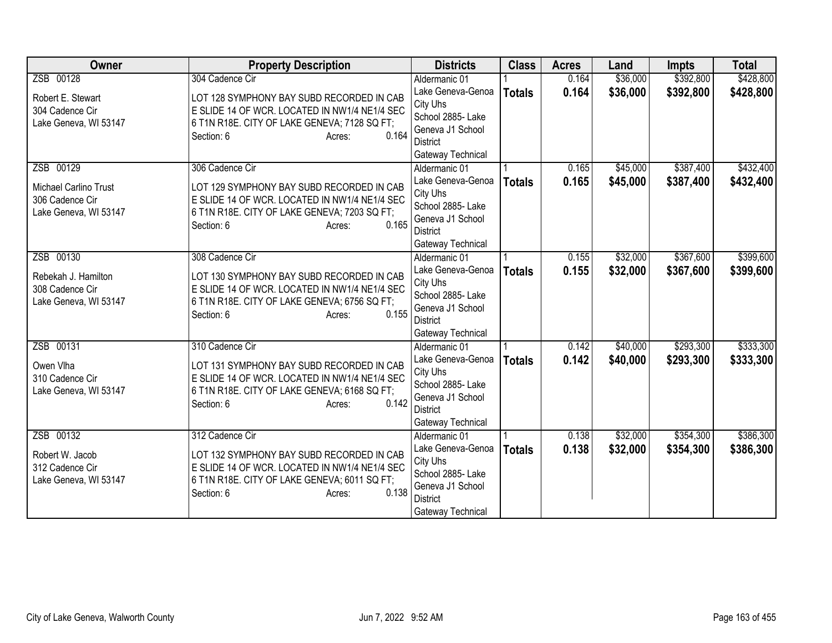| <b>Owner</b>          | <b>Property Description</b>                   | <b>Districts</b>              | <b>Class</b>  | <b>Acres</b> | Land     | <b>Impts</b> | <b>Total</b> |
|-----------------------|-----------------------------------------------|-------------------------------|---------------|--------------|----------|--------------|--------------|
| ZSB 00128             | 304 Cadence Cir                               | Aldermanic 01                 |               | 0.164        | \$36,000 | \$392,800    | \$428,800    |
| Robert E. Stewart     | LOT 128 SYMPHONY BAY SUBD RECORDED IN CAB     | Lake Geneva-Genoa             | <b>Totals</b> | 0.164        | \$36,000 | \$392,800    | \$428,800    |
| 304 Cadence Cir       | E SLIDE 14 OF WCR. LOCATED IN NW1/4 NE1/4 SEC | City Uhs                      |               |              |          |              |              |
| Lake Geneva, WI 53147 | 6 T1N R18E. CITY OF LAKE GENEVA; 7128 SQ FT;  | School 2885- Lake             |               |              |          |              |              |
|                       | 0.164<br>Section: 6<br>Acres:                 | Geneva J1 School              |               |              |          |              |              |
|                       |                                               | District                      |               |              |          |              |              |
|                       |                                               | Gateway Technical             |               |              |          |              |              |
| ZSB 00129             | 306 Cadence Cir                               | Aldermanic 01                 |               | 0.165        | \$45,000 | \$387,400    | \$432,400    |
| Michael Carlino Trust | LOT 129 SYMPHONY BAY SUBD RECORDED IN CAB     | Lake Geneva-Genoa             | <b>Totals</b> | 0.165        | \$45,000 | \$387,400    | \$432,400    |
| 306 Cadence Cir       | E SLIDE 14 OF WCR. LOCATED IN NW1/4 NE1/4 SEC | City Uhs<br>School 2885- Lake |               |              |          |              |              |
| Lake Geneva, WI 53147 | 6 T1N R18E. CITY OF LAKE GENEVA; 7203 SQ FT;  | Geneva J1 School              |               |              |          |              |              |
|                       | 0.165<br>Section: 6<br>Acres:                 | <b>District</b>               |               |              |          |              |              |
|                       |                                               | Gateway Technical             |               |              |          |              |              |
| ZSB 00130             | 308 Cadence Cir                               | Aldermanic 01                 |               | 0.155        | \$32,000 | \$367,600    | \$399,600    |
|                       |                                               | Lake Geneva-Genoa             | <b>Totals</b> | 0.155        | \$32,000 | \$367,600    | \$399,600    |
| Rebekah J. Hamilton   | LOT 130 SYMPHONY BAY SUBD RECORDED IN CAB     | City Uhs                      |               |              |          |              |              |
| 308 Cadence Cir       | E SLIDE 14 OF WCR. LOCATED IN NW1/4 NE1/4 SEC | School 2885- Lake             |               |              |          |              |              |
| Lake Geneva, WI 53147 | 6 T1N R18E. CITY OF LAKE GENEVA; 6756 SQ FT;  | Geneva J1 School              |               |              |          |              |              |
|                       | 0.155<br>Section: 6<br>Acres:                 | <b>District</b>               |               |              |          |              |              |
|                       |                                               | Gateway Technical             |               |              |          |              |              |
| ZSB 00131             | 310 Cadence Cir                               | Aldermanic 01                 |               | 0.142        | \$40,000 | \$293,300    | \$333,300    |
| Owen Vlha             | LOT 131 SYMPHONY BAY SUBD RECORDED IN CAB     | Lake Geneva-Genoa             | <b>Totals</b> | 0.142        | \$40,000 | \$293,300    | \$333,300    |
| 310 Cadence Cir       | E SLIDE 14 OF WCR. LOCATED IN NW1/4 NE1/4 SEC | City Uhs                      |               |              |          |              |              |
| Lake Geneva, WI 53147 | 6 T1N R18E. CITY OF LAKE GENEVA; 6168 SQ FT;  | School 2885- Lake             |               |              |          |              |              |
|                       | 0.142<br>Section: 6<br>Acres:                 | Geneva J1 School              |               |              |          |              |              |
|                       |                                               | <b>District</b>               |               |              |          |              |              |
|                       |                                               | Gateway Technical             |               |              |          |              |              |
| ZSB 00132             | 312 Cadence Cir                               | Aldermanic 01                 |               | 0.138        | \$32,000 | \$354,300    | \$386,300    |
| Robert W. Jacob       | LOT 132 SYMPHONY BAY SUBD RECORDED IN CAB     | Lake Geneva-Genoa             | <b>Totals</b> | 0.138        | \$32,000 | \$354,300    | \$386,300    |
| 312 Cadence Cir       | E SLIDE 14 OF WCR. LOCATED IN NW1/4 NE1/4 SEC | City Uhs<br>School 2885- Lake |               |              |          |              |              |
| Lake Geneva, WI 53147 | 6 T1N R18E. CITY OF LAKE GENEVA; 6011 SQ FT;  | Geneva J1 School              |               |              |          |              |              |
|                       | 0.138<br>Section: 6<br>Acres:                 | <b>District</b>               |               |              |          |              |              |
|                       |                                               | Gateway Technical             |               |              |          |              |              |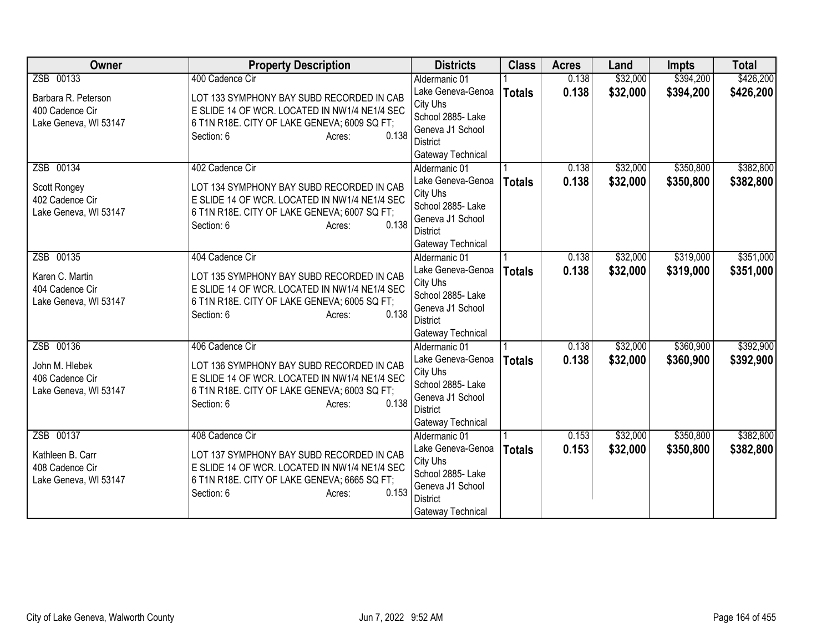| <b>Owner</b>          | <b>Property Description</b>                   | <b>Districts</b>                   | <b>Class</b>  | <b>Acres</b> | Land     | <b>Impts</b> | <b>Total</b> |
|-----------------------|-----------------------------------------------|------------------------------------|---------------|--------------|----------|--------------|--------------|
| ZSB 00133             | 400 Cadence Cir                               | Aldermanic 01                      |               | 0.138        | \$32,000 | \$394,200    | \$426,200    |
| Barbara R. Peterson   | LOT 133 SYMPHONY BAY SUBD RECORDED IN CAB     | Lake Geneva-Genoa                  | <b>Totals</b> | 0.138        | \$32,000 | \$394,200    | \$426,200    |
| 400 Cadence Cir       | E SLIDE 14 OF WCR. LOCATED IN NW1/4 NE1/4 SEC | City Uhs                           |               |              |          |              |              |
| Lake Geneva, WI 53147 | 6 T1N R18E. CITY OF LAKE GENEVA; 6009 SQ FT;  | School 2885- Lake                  |               |              |          |              |              |
|                       | 0.138<br>Section: 6<br>Acres:                 | Geneva J1 School                   |               |              |          |              |              |
|                       |                                               | <b>District</b>                    |               |              |          |              |              |
| ZSB 00134             | 402 Cadence Cir                               | Gateway Technical<br>Aldermanic 01 |               | 0.138        | \$32,000 | \$350,800    | \$382,800    |
|                       |                                               | Lake Geneva-Genoa                  |               | 0.138        | \$32,000 | \$350,800    |              |
| Scott Rongey          | LOT 134 SYMPHONY BAY SUBD RECORDED IN CAB     | City Uhs                           | <b>Totals</b> |              |          |              | \$382,800    |
| 402 Cadence Cir       | E SLIDE 14 OF WCR. LOCATED IN NW1/4 NE1/4 SEC | School 2885- Lake                  |               |              |          |              |              |
| Lake Geneva, WI 53147 | 6 T1N R18E. CITY OF LAKE GENEVA; 6007 SQ FT;  | Geneva J1 School                   |               |              |          |              |              |
|                       | 0.138<br>Section: 6<br>Acres:                 | <b>District</b>                    |               |              |          |              |              |
|                       |                                               | Gateway Technical                  |               |              |          |              |              |
| ZSB 00135             | 404 Cadence Cir                               | Aldermanic 01                      |               | 0.138        | \$32,000 | \$319,000    | \$351,000    |
| Karen C. Martin       | LOT 135 SYMPHONY BAY SUBD RECORDED IN CAB     | Lake Geneva-Genoa                  | <b>Totals</b> | 0.138        | \$32,000 | \$319,000    | \$351,000    |
| 404 Cadence Cir       | E SLIDE 14 OF WCR. LOCATED IN NW1/4 NE1/4 SEC | City Uhs                           |               |              |          |              |              |
| Lake Geneva, WI 53147 | 6 T1N R18E. CITY OF LAKE GENEVA; 6005 SQ FT;  | School 2885- Lake                  |               |              |          |              |              |
|                       | 0.138<br>Section: 6<br>Acres:                 | Geneva J1 School                   |               |              |          |              |              |
|                       |                                               | <b>District</b>                    |               |              |          |              |              |
| ZSB 00136             | 406 Cadence Cir                               | Gateway Technical<br>Aldermanic 01 |               | 0.138        | \$32,000 | \$360,900    | \$392,900    |
|                       |                                               | Lake Geneva-Genoa                  | <b>Totals</b> | 0.138        | \$32,000 | \$360,900    | \$392,900    |
| John M. Hlebek        | LOT 136 SYMPHONY BAY SUBD RECORDED IN CAB     | City Uhs                           |               |              |          |              |              |
| 406 Cadence Cir       | E SLIDE 14 OF WCR. LOCATED IN NW1/4 NE1/4 SEC | School 2885- Lake                  |               |              |          |              |              |
| Lake Geneva, WI 53147 | 6 T1N R18E. CITY OF LAKE GENEVA; 6003 SQ FT;  | Geneva J1 School                   |               |              |          |              |              |
|                       | 0.138<br>Section: 6<br>Acres:                 | <b>District</b>                    |               |              |          |              |              |
|                       |                                               | Gateway Technical                  |               |              |          |              |              |
| ZSB 00137             | 408 Cadence Cir                               | Aldermanic 01                      |               | 0.153        | \$32,000 | \$350,800    | \$382,800    |
| Kathleen B. Carr      | LOT 137 SYMPHONY BAY SUBD RECORDED IN CAB     | Lake Geneva-Genoa                  | <b>Totals</b> | 0.153        | \$32,000 | \$350,800    | \$382,800    |
| 408 Cadence Cir       | E SLIDE 14 OF WCR. LOCATED IN NW1/4 NE1/4 SEC | City Uhs                           |               |              |          |              |              |
| Lake Geneva, WI 53147 | 6 T1N R18E. CITY OF LAKE GENEVA; 6665 SQ FT;  | School 2885- Lake                  |               |              |          |              |              |
|                       | 0.153<br>Section: 6<br>Acres:                 | Geneva J1 School                   |               |              |          |              |              |
|                       |                                               | <b>District</b>                    |               |              |          |              |              |
|                       |                                               | Gateway Technical                  |               |              |          |              |              |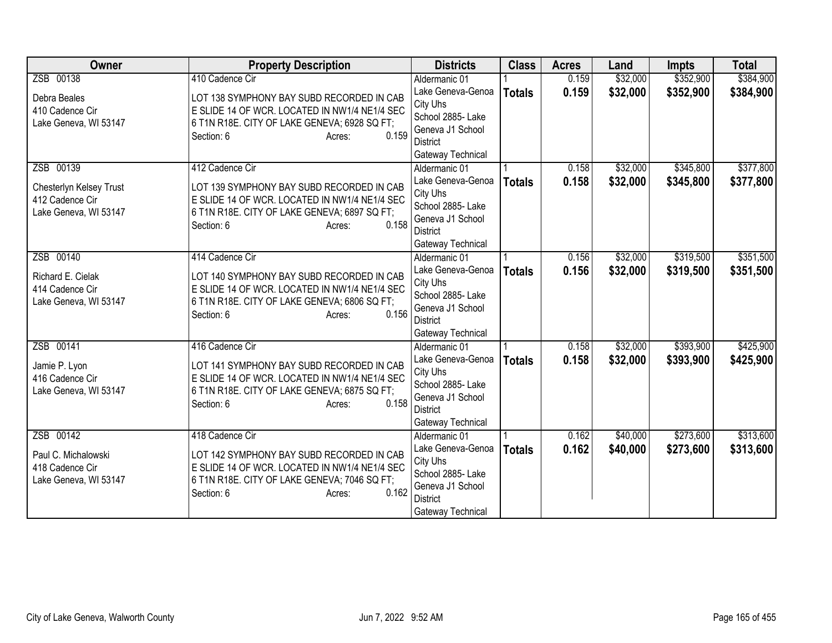| <b>Owner</b>            | <b>Property Description</b>                   | <b>Districts</b>                    | <b>Class</b>  | <b>Acres</b> | Land     | <b>Impts</b> | <b>Total</b> |
|-------------------------|-----------------------------------------------|-------------------------------------|---------------|--------------|----------|--------------|--------------|
| ZSB 00138               | 410 Cadence Cir                               | Aldermanic 01                       |               | 0.159        | \$32,000 | \$352,900    | \$384,900    |
| Debra Beales            | LOT 138 SYMPHONY BAY SUBD RECORDED IN CAB     | Lake Geneva-Genoa                   | <b>Totals</b> | 0.159        | \$32,000 | \$352,900    | \$384,900    |
| 410 Cadence Cir         | E SLIDE 14 OF WCR. LOCATED IN NW1/4 NE1/4 SEC | City Uhs                            |               |              |          |              |              |
| Lake Geneva, WI 53147   | 6 T1N R18E. CITY OF LAKE GENEVA; 6928 SQ FT;  | School 2885- Lake                   |               |              |          |              |              |
|                         | 0.159<br>Section: 6<br>Acres:                 | Geneva J1 School                    |               |              |          |              |              |
|                         |                                               | District                            |               |              |          |              |              |
|                         |                                               | Gateway Technical                   |               |              |          |              |              |
| ZSB 00139               | 412 Cadence Cir                               | Aldermanic 01                       |               | 0.158        | \$32,000 | \$345,800    | \$377,800    |
| Chesterlyn Kelsey Trust | LOT 139 SYMPHONY BAY SUBD RECORDED IN CAB     | Lake Geneva-Genoa                   | <b>Totals</b> | 0.158        | \$32,000 | \$345,800    | \$377,800    |
| 412 Cadence Cir         | E SLIDE 14 OF WCR. LOCATED IN NW1/4 NE1/4 SEC | City Uhs                            |               |              |          |              |              |
| Lake Geneva, WI 53147   | 6 T1N R18E. CITY OF LAKE GENEVA; 6897 SQ FT;  | School 2885- Lake                   |               |              |          |              |              |
|                         | 0.158<br>Section: 6<br>Acres:                 | Geneva J1 School                    |               |              |          |              |              |
|                         |                                               | <b>District</b>                     |               |              |          |              |              |
|                         |                                               | Gateway Technical                   |               |              |          |              |              |
| ZSB 00140               | 414 Cadence Cir                               | Aldermanic 01                       |               | 0.156        | \$32,000 | \$319,500    | \$351,500    |
| Richard E. Cielak       | LOT 140 SYMPHONY BAY SUBD RECORDED IN CAB     | Lake Geneva-Genoa                   | <b>Totals</b> | 0.156        | \$32,000 | \$319,500    | \$351,500    |
| 414 Cadence Cir         | E SLIDE 14 OF WCR. LOCATED IN NW1/4 NE1/4 SEC | City Uhs                            |               |              |          |              |              |
| Lake Geneva, WI 53147   | 6 T1N R18E. CITY OF LAKE GENEVA; 6806 SQ FT;  | School 2885- Lake                   |               |              |          |              |              |
|                         | 0.156<br>Section: 6<br>Acres:                 | Geneva J1 School<br><b>District</b> |               |              |          |              |              |
|                         |                                               |                                     |               |              |          |              |              |
| ZSB 00141               | 416 Cadence Cir                               | Gateway Technical<br>Aldermanic 01  |               | 0.158        | \$32,000 | \$393,900    | \$425,900    |
|                         |                                               | Lake Geneva-Genoa                   | <b>Totals</b> | 0.158        | \$32,000 | \$393,900    | \$425,900    |
| Jamie P. Lyon           | LOT 141 SYMPHONY BAY SUBD RECORDED IN CAB     | City Uhs                            |               |              |          |              |              |
| 416 Cadence Cir         | E SLIDE 14 OF WCR. LOCATED IN NW1/4 NE1/4 SEC | School 2885- Lake                   |               |              |          |              |              |
| Lake Geneva, WI 53147   | 6 T1N R18E. CITY OF LAKE GENEVA; 6875 SQ FT;  | Geneva J1 School                    |               |              |          |              |              |
|                         | 0.158<br>Section: 6<br>Acres:                 | <b>District</b>                     |               |              |          |              |              |
|                         |                                               | Gateway Technical                   |               |              |          |              |              |
| ZSB 00142               | 418 Cadence Cir                               | Aldermanic 01                       |               | 0.162        | \$40,000 | \$273,600    | \$313,600    |
|                         |                                               | Lake Geneva-Genoa                   | <b>Totals</b> | 0.162        | \$40,000 | \$273,600    | \$313,600    |
| Paul C. Michalowski     | LOT 142 SYMPHONY BAY SUBD RECORDED IN CAB     | City Uhs                            |               |              |          |              |              |
| 418 Cadence Cir         | E SLIDE 14 OF WCR. LOCATED IN NW1/4 NE1/4 SEC | School 2885- Lake                   |               |              |          |              |              |
| Lake Geneva, WI 53147   | 6 T1N R18E. CITY OF LAKE GENEVA; 7046 SQ FT;  | Geneva J1 School                    |               |              |          |              |              |
|                         | 0.162<br>Section: 6<br>Acres:                 | <b>District</b>                     |               |              |          |              |              |
|                         |                                               | Gateway Technical                   |               |              |          |              |              |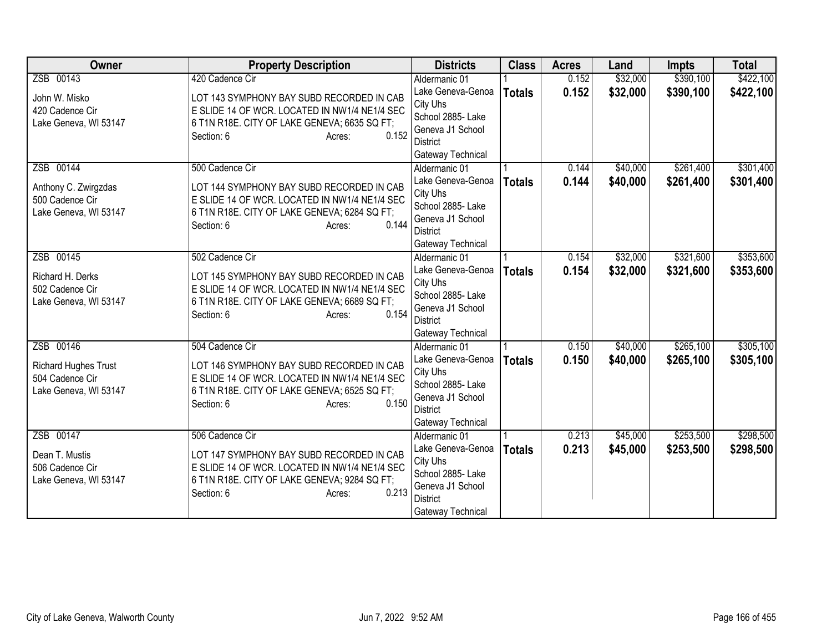| <b>Owner</b>                        | <b>Property Description</b>                                                                | <b>Districts</b>                    | <b>Class</b>  | <b>Acres</b> | Land     | <b>Impts</b> | <b>Total</b> |
|-------------------------------------|--------------------------------------------------------------------------------------------|-------------------------------------|---------------|--------------|----------|--------------|--------------|
| ZSB 00143                           | 420 Cadence Cir                                                                            | Aldermanic 01                       |               | 0.152        | \$32,000 | \$390,100    | \$422,100    |
| John W. Misko                       | LOT 143 SYMPHONY BAY SUBD RECORDED IN CAB                                                  | Lake Geneva-Genoa                   | <b>Totals</b> | 0.152        | \$32,000 | \$390,100    | \$422,100    |
| 420 Cadence Cir                     | E SLIDE 14 OF WCR. LOCATED IN NW1/4 NE1/4 SEC                                              | City Uhs                            |               |              |          |              |              |
| Lake Geneva, WI 53147               | 6 T1N R18E. CITY OF LAKE GENEVA; 6635 SQ FT;                                               | School 2885- Lake                   |               |              |          |              |              |
|                                     | 0.152<br>Section: 6<br>Acres:                                                              | Geneva J1 School                    |               |              |          |              |              |
|                                     |                                                                                            | District                            |               |              |          |              |              |
| ZSB 00144                           | 500 Cadence Cir                                                                            | Gateway Technical                   |               | 0.144        | \$40,000 | \$261,400    | \$301,400    |
|                                     |                                                                                            | Aldermanic 01<br>Lake Geneva-Genoa  |               | 0.144        | \$40,000 |              |              |
| Anthony C. Zwirgzdas                | LOT 144 SYMPHONY BAY SUBD RECORDED IN CAB                                                  | City Uhs                            | <b>Totals</b> |              |          | \$261,400    | \$301,400    |
| 500 Cadence Cir                     | E SLIDE 14 OF WCR. LOCATED IN NW1/4 NE1/4 SEC                                              | School 2885- Lake                   |               |              |          |              |              |
| Lake Geneva, WI 53147               | 6 T1N R18E. CITY OF LAKE GENEVA; 6284 SQ FT;                                               | Geneva J1 School                    |               |              |          |              |              |
|                                     | 0.144<br>Section: 6<br>Acres:                                                              | <b>District</b>                     |               |              |          |              |              |
|                                     |                                                                                            | Gateway Technical                   |               |              |          |              |              |
| ZSB 00145                           | 502 Cadence Cir                                                                            | Aldermanic 01                       |               | 0.154        | \$32,000 | \$321,600    | \$353,600    |
|                                     |                                                                                            | Lake Geneva-Genoa                   | <b>Totals</b> | 0.154        | \$32,000 | \$321,600    | \$353,600    |
| Richard H. Derks<br>502 Cadence Cir | LOT 145 SYMPHONY BAY SUBD RECORDED IN CAB<br>E SLIDE 14 OF WCR. LOCATED IN NW1/4 NE1/4 SEC | City Uhs                            |               |              |          |              |              |
| Lake Geneva, WI 53147               | 6 T1N R18E. CITY OF LAKE GENEVA; 6689 SQ FT;                                               | School 2885- Lake                   |               |              |          |              |              |
|                                     | 0.154<br>Section: 6<br>Acres:                                                              | Geneva J1 School                    |               |              |          |              |              |
|                                     |                                                                                            | <b>District</b>                     |               |              |          |              |              |
|                                     |                                                                                            | Gateway Technical                   |               |              |          |              |              |
| ZSB 00146                           | 504 Cadence Cir                                                                            | Aldermanic 01                       |               | 0.150        | \$40,000 | \$265,100    | \$305,100    |
| <b>Richard Hughes Trust</b>         | LOT 146 SYMPHONY BAY SUBD RECORDED IN CAB                                                  | Lake Geneva-Genoa                   | <b>Totals</b> | 0.150        | \$40,000 | \$265,100    | \$305,100    |
| 504 Cadence Cir                     | E SLIDE 14 OF WCR. LOCATED IN NW1/4 NE1/4 SEC                                              | City Uhs                            |               |              |          |              |              |
| Lake Geneva, WI 53147               | 6 T1N R18E. CITY OF LAKE GENEVA; 6525 SQ FT;                                               | School 2885- Lake                   |               |              |          |              |              |
|                                     | 0.150<br>Section: 6<br>Acres:                                                              | Geneva J1 School<br><b>District</b> |               |              |          |              |              |
|                                     |                                                                                            | Gateway Technical                   |               |              |          |              |              |
| ZSB 00147                           | 506 Cadence Cir                                                                            | Aldermanic 01                       |               | 0.213        | \$45,000 | \$253,500    | \$298,500    |
|                                     |                                                                                            | Lake Geneva-Genoa                   | <b>Totals</b> | 0.213        | \$45,000 | \$253,500    | \$298,500    |
| Dean T. Mustis                      | LOT 147 SYMPHONY BAY SUBD RECORDED IN CAB                                                  | City Uhs                            |               |              |          |              |              |
| 506 Cadence Cir                     | E SLIDE 14 OF WCR. LOCATED IN NW1/4 NE1/4 SEC                                              | School 2885- Lake                   |               |              |          |              |              |
| Lake Geneva, WI 53147               | 6 T1N R18E. CITY OF LAKE GENEVA; 9284 SQ FT;                                               | Geneva J1 School                    |               |              |          |              |              |
|                                     | 0.213<br>Section: 6<br>Acres:                                                              | <b>District</b>                     |               |              |          |              |              |
|                                     |                                                                                            | Gateway Technical                   |               |              |          |              |              |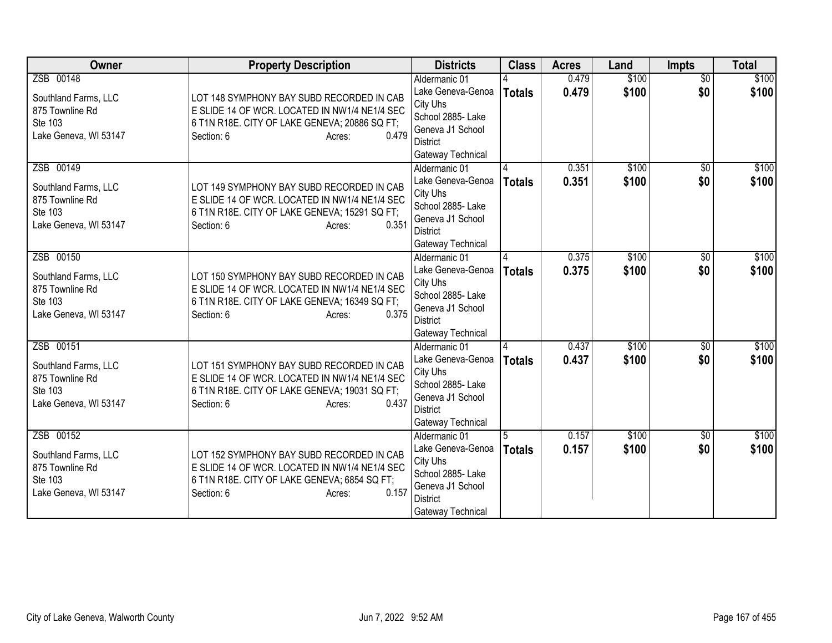| Owner                            | <b>Property Description</b>                                                                    | <b>Districts</b>                   | <b>Class</b>  | <b>Acres</b>   | Land           | <b>Impts</b>           | <b>Total</b>   |
|----------------------------------|------------------------------------------------------------------------------------------------|------------------------------------|---------------|----------------|----------------|------------------------|----------------|
| ZSB 00148                        |                                                                                                | Aldermanic 01<br>Lake Geneva-Genoa |               | 0.479<br>0.479 | \$100<br>\$100 | $\overline{30}$<br>\$0 | \$100<br>\$100 |
| Southland Farms, LLC             | LOT 148 SYMPHONY BAY SUBD RECORDED IN CAB                                                      | City Uhs                           | <b>Totals</b> |                |                |                        |                |
| 875 Townline Rd<br>Ste 103       | E SLIDE 14 OF WCR. LOCATED IN NW1/4 NE1/4 SEC<br>6 T1N R18E. CITY OF LAKE GENEVA; 20886 SQ FT; | School 2885- Lake                  |               |                |                |                        |                |
| Lake Geneva, WI 53147            | 0.479<br>Section: 6<br>Acres:                                                                  | Geneva J1 School                   |               |                |                |                        |                |
|                                  |                                                                                                | <b>District</b>                    |               |                |                |                        |                |
|                                  |                                                                                                | Gateway Technical                  |               |                |                |                        |                |
| ZSB 00149                        |                                                                                                | Aldermanic 01<br>Lake Geneva-Genoa |               | 0.351<br>0.351 | \$100<br>\$100 | $\overline{50}$<br>\$0 | \$100<br>\$100 |
| Southland Farms, LLC             | LOT 149 SYMPHONY BAY SUBD RECORDED IN CAB                                                      | City Uhs                           | <b>Totals</b> |                |                |                        |                |
| 875 Townline Rd                  | E SLIDE 14 OF WCR. LOCATED IN NW1/4 NE1/4 SEC                                                  | School 2885- Lake                  |               |                |                |                        |                |
| Ste 103<br>Lake Geneva, WI 53147 | 6 T1N R18E. CITY OF LAKE GENEVA; 15291 SQ FT;<br>0.351<br>Section: 6                           | Geneva J1 School                   |               |                |                |                        |                |
|                                  | Acres:                                                                                         | <b>District</b>                    |               |                |                |                        |                |
|                                  |                                                                                                | Gateway Technical                  |               |                |                |                        |                |
| ZSB 00150                        |                                                                                                | Aldermanic 01                      | Δ             | 0.375          | \$100          | \$0                    | \$100          |
| Southland Farms, LLC             | LOT 150 SYMPHONY BAY SUBD RECORDED IN CAB                                                      | Lake Geneva-Genoa<br>City Uhs      | <b>Totals</b> | 0.375          | \$100          | \$0                    | \$100          |
| 875 Townline Rd                  | E SLIDE 14 OF WCR. LOCATED IN NW1/4 NE1/4 SEC                                                  | School 2885- Lake                  |               |                |                |                        |                |
| Ste 103                          | 6 T1N R18E. CITY OF LAKE GENEVA; 16349 SQ FT;                                                  | Geneva J1 School                   |               |                |                |                        |                |
| Lake Geneva, WI 53147            | 0.375<br>Section: 6<br>Acres:                                                                  | District                           |               |                |                |                        |                |
|                                  |                                                                                                | Gateway Technical                  |               |                |                |                        |                |
| ZSB 00151                        |                                                                                                | Aldermanic 01                      |               | 0.437          | \$100          | $\overline{50}$        | \$100          |
| Southland Farms, LLC             | LOT 151 SYMPHONY BAY SUBD RECORDED IN CAB                                                      | Lake Geneva-Genoa                  | <b>Totals</b> | 0.437          | \$100          | \$0                    | \$100          |
| 875 Townline Rd                  | E SLIDE 14 OF WCR. LOCATED IN NW1/4 NE1/4 SEC                                                  | City Uhs<br>School 2885- Lake      |               |                |                |                        |                |
| Ste 103                          | 6 T1N R18E. CITY OF LAKE GENEVA; 19031 SQ FT;                                                  | Geneva J1 School                   |               |                |                |                        |                |
| Lake Geneva, WI 53147            | 0.437<br>Section: 6<br>Acres:                                                                  | <b>District</b>                    |               |                |                |                        |                |
|                                  |                                                                                                | Gateway Technical                  |               |                |                |                        |                |
| ZSB 00152                        |                                                                                                | Aldermanic 01                      |               | 0.157          | \$100          | $\overline{30}$        | \$100          |
| Southland Farms, LLC             | LOT 152 SYMPHONY BAY SUBD RECORDED IN CAB                                                      | Lake Geneva-Genoa                  | <b>Totals</b> | 0.157          | \$100          | \$0                    | \$100          |
| 875 Townline Rd                  | E SLIDE 14 OF WCR. LOCATED IN NW1/4 NE1/4 SEC                                                  | City Uhs<br>School 2885- Lake      |               |                |                |                        |                |
| Ste 103                          | 6 T1N R18E. CITY OF LAKE GENEVA; 6854 SQ FT;                                                   | Geneva J1 School                   |               |                |                |                        |                |
| Lake Geneva, WI 53147            | 0.157<br>Section: 6<br>Acres:                                                                  | <b>District</b>                    |               |                |                |                        |                |
|                                  |                                                                                                | Gateway Technical                  |               |                |                |                        |                |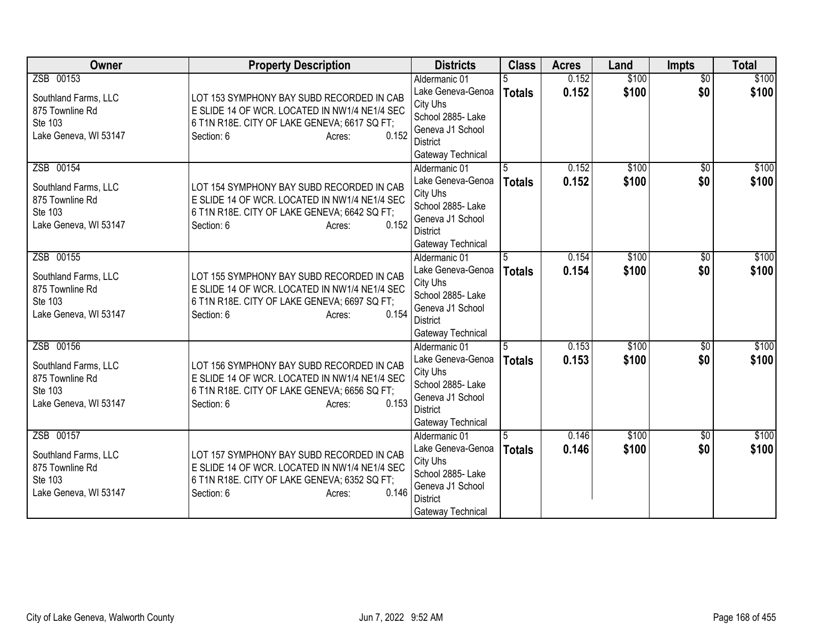| Owner                                                                                    | <b>Property Description</b>                                                                                                                                                 | <b>Districts</b>                                                                                                                | <b>Class</b>       | <b>Acres</b>   | Land           | Impts                  | <b>Total</b>   |
|------------------------------------------------------------------------------------------|-----------------------------------------------------------------------------------------------------------------------------------------------------------------------------|---------------------------------------------------------------------------------------------------------------------------------|--------------------|----------------|----------------|------------------------|----------------|
| ZSB 00153<br>Southland Farms, LLC<br>875 Townline Rd<br>Ste 103<br>Lake Geneva, WI 53147 | LOT 153 SYMPHONY BAY SUBD RECORDED IN CAB<br>E SLIDE 14 OF WCR. LOCATED IN NW1/4 NE1/4 SEC<br>6 T1N R18E. CITY OF LAKE GENEVA; 6617 SQ FT;<br>0.152<br>Section: 6<br>Acres: | Aldermanic 01<br>Lake Geneva-Genoa<br>City Uhs<br>School 2885- Lake<br>Geneva J1 School<br><b>District</b><br>Gateway Technical | <b>Totals</b>      | 0.152<br>0.152 | \$100<br>\$100 | $\overline{60}$<br>\$0 | \$100<br>\$100 |
| ZSB 00154<br>Southland Farms, LLC<br>875 Townline Rd<br>Ste 103<br>Lake Geneva, WI 53147 | LOT 154 SYMPHONY BAY SUBD RECORDED IN CAB<br>E SLIDE 14 OF WCR. LOCATED IN NW1/4 NE1/4 SEC<br>6 T1N R18E. CITY OF LAKE GENEVA; 6642 SQ FT;<br>0.152<br>Section: 6<br>Acres: | Aldermanic 01<br>Lake Geneva-Genoa<br>City Uhs<br>School 2885- Lake<br>Geneva J1 School<br><b>District</b><br>Gateway Technical | 5<br><b>Totals</b> | 0.152<br>0.152 | \$100<br>\$100 | \$0<br>\$0             | \$100<br>\$100 |
| ZSB 00155<br>Southland Farms, LLC<br>875 Townline Rd<br>Ste 103<br>Lake Geneva, WI 53147 | LOT 155 SYMPHONY BAY SUBD RECORDED IN CAB<br>E SLIDE 14 OF WCR. LOCATED IN NW1/4 NE1/4 SEC<br>6 T1N R18E. CITY OF LAKE GENEVA; 6697 SQ FT;<br>0.154<br>Section: 6<br>Acres: | Aldermanic 01<br>Lake Geneva-Genoa<br>City Uhs<br>School 2885- Lake<br>Geneva J1 School<br><b>District</b><br>Gateway Technical | 5<br>Totals        | 0.154<br>0.154 | \$100<br>\$100 | $\overline{50}$<br>\$0 | \$100<br>\$100 |
| ZSB 00156<br>Southland Farms, LLC<br>875 Townline Rd<br>Ste 103<br>Lake Geneva, WI 53147 | LOT 156 SYMPHONY BAY SUBD RECORDED IN CAB<br>E SLIDE 14 OF WCR. LOCATED IN NW1/4 NE1/4 SEC<br>6 T1N R18E. CITY OF LAKE GENEVA; 6656 SQ FT;<br>0.153<br>Section: 6<br>Acres: | Aldermanic 01<br>Lake Geneva-Genoa<br>City Uhs<br>School 2885- Lake<br>Geneva J1 School<br><b>District</b><br>Gateway Technical | 5<br><b>Totals</b> | 0.153<br>0.153 | \$100<br>\$100 | $\overline{50}$<br>\$0 | \$100<br>\$100 |
| ZSB 00157<br>Southland Farms, LLC<br>875 Townline Rd<br>Ste 103<br>Lake Geneva, WI 53147 | LOT 157 SYMPHONY BAY SUBD RECORDED IN CAB<br>E SLIDE 14 OF WCR. LOCATED IN NW1/4 NE1/4 SEC<br>6 T1N R18E. CITY OF LAKE GENEVA; 6352 SQ FT;<br>0.146<br>Section: 6<br>Acres: | Aldermanic 01<br>Lake Geneva-Genoa<br>City Uhs<br>School 2885- Lake<br>Geneva J1 School<br><b>District</b><br>Gateway Technical | <b>Totals</b>      | 0.146<br>0.146 | \$100<br>\$100 | $\overline{50}$<br>\$0 | \$100<br>\$100 |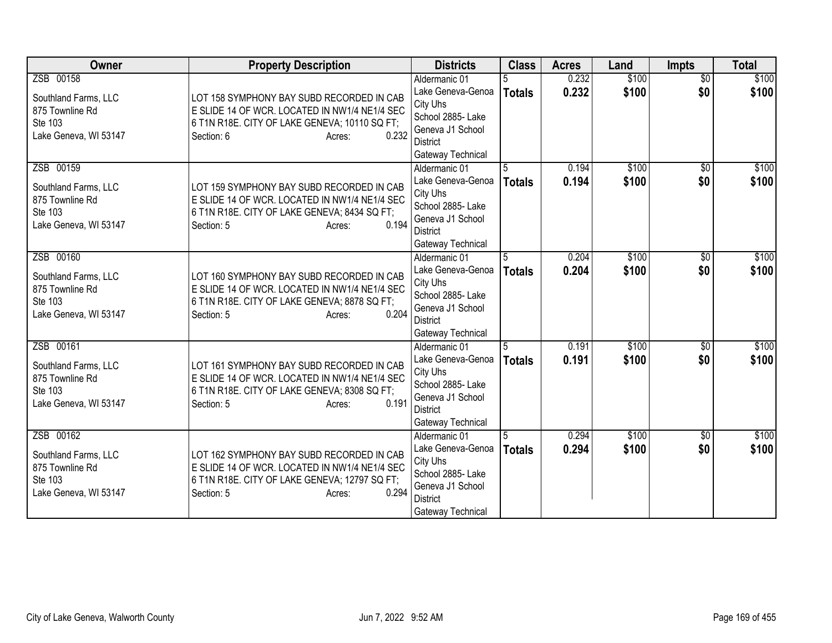| Owner                                                                                    | <b>Property Description</b>                                                                                                                                                  | <b>Districts</b>                                                                                                                | <b>Class</b>        | <b>Acres</b>   | Land           | <b>Impts</b>           | <b>Total</b>   |
|------------------------------------------------------------------------------------------|------------------------------------------------------------------------------------------------------------------------------------------------------------------------------|---------------------------------------------------------------------------------------------------------------------------------|---------------------|----------------|----------------|------------------------|----------------|
| ZSB 00158<br>Southland Farms, LLC<br>875 Townline Rd<br>Ste 103<br>Lake Geneva, WI 53147 | LOT 158 SYMPHONY BAY SUBD RECORDED IN CAB<br>E SLIDE 14 OF WCR. LOCATED IN NW1/4 NE1/4 SEC<br>6 T1N R18E. CITY OF LAKE GENEVA; 10110 SQ FT;<br>0.232<br>Section: 6<br>Acres: | Aldermanic 01<br>Lake Geneva-Genoa<br>City Uhs<br>School 2885- Lake<br>Geneva J1 School<br><b>District</b><br>Gateway Technical | <b>Totals</b>       | 0.232<br>0.232 | \$100<br>\$100 | $\overline{50}$<br>\$0 | \$100<br>\$100 |
| ZSB 00159<br>Southland Farms, LLC<br>875 Townline Rd<br>Ste 103<br>Lake Geneva, WI 53147 | LOT 159 SYMPHONY BAY SUBD RECORDED IN CAB<br>E SLIDE 14 OF WCR. LOCATED IN NW1/4 NE1/4 SEC<br>6 T1N R18E. CITY OF LAKE GENEVA; 8434 SQ FT;<br>0.194<br>Section: 5<br>Acres:  | Aldermanic 01<br>Lake Geneva-Genoa<br>City Uhs<br>School 2885- Lake<br>Geneva J1 School<br><b>District</b><br>Gateway Technical | 5<br><b>Totals</b>  | 0.194<br>0.194 | \$100<br>\$100 | \$0<br>\$0             | \$100<br>\$100 |
| ZSB 00160<br>Southland Farms, LLC<br>875 Townline Rd<br>Ste 103<br>Lake Geneva, WI 53147 | LOT 160 SYMPHONY BAY SUBD RECORDED IN CAB<br>E SLIDE 14 OF WCR. LOCATED IN NW1/4 NE1/4 SEC<br>6 T1N R18E. CITY OF LAKE GENEVA; 8878 SQ FT;<br>0.204<br>Section: 5<br>Acres:  | Aldermanic 01<br>Lake Geneva-Genoa<br>City Uhs<br>School 2885-Lake<br>Geneva J1 School<br><b>District</b><br>Gateway Technical  | 5.<br>Totals        | 0.204<br>0.204 | \$100<br>\$100 | \$0<br>\$0             | \$100<br>\$100 |
| ZSB 00161<br>Southland Farms, LLC<br>875 Townline Rd<br>Ste 103<br>Lake Geneva, WI 53147 | LOT 161 SYMPHONY BAY SUBD RECORDED IN CAB<br>E SLIDE 14 OF WCR. LOCATED IN NW1/4 NE1/4 SEC<br>6 T1N R18E. CITY OF LAKE GENEVA; 8308 SQ FT;<br>0.191<br>Section: 5<br>Acres:  | Aldermanic 01<br>Lake Geneva-Genoa<br>City Uhs<br>School 2885- Lake<br>Geneva J1 School<br><b>District</b><br>Gateway Technical | 15<br><b>Totals</b> | 0.191<br>0.191 | \$100<br>\$100 | $\overline{30}$<br>\$0 | \$100<br>\$100 |
| ZSB 00162<br>Southland Farms, LLC<br>875 Townline Rd<br>Ste 103<br>Lake Geneva, WI 53147 | LOT 162 SYMPHONY BAY SUBD RECORDED IN CAB<br>E SLIDE 14 OF WCR. LOCATED IN NW1/4 NE1/4 SEC<br>6 T1N R18E. CITY OF LAKE GENEVA; 12797 SQ FT;<br>0.294<br>Section: 5<br>Acres: | Aldermanic 01<br>Lake Geneva-Genoa<br>City Uhs<br>School 2885- Lake<br>Geneva J1 School<br><b>District</b><br>Gateway Technical | <b>Totals</b>       | 0.294<br>0.294 | \$100<br>\$100 | \$0<br>\$0             | \$100<br>\$100 |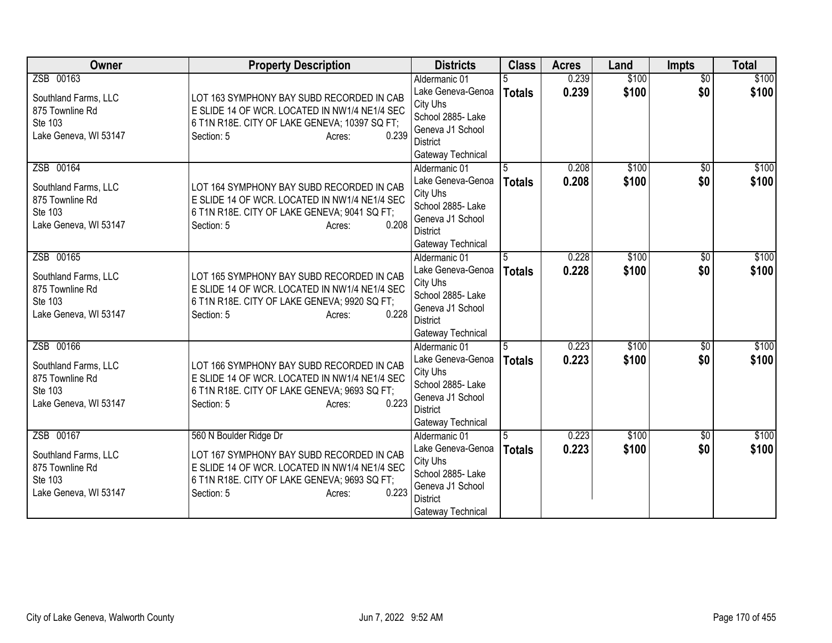| Owner                                                                                    | <b>Property Description</b>                                                                                                                                                                           | <b>Districts</b>                                                                                                                                                        | <b>Class</b>        | <b>Acres</b>   | Land           | <b>Impts</b>           | <b>Total</b>   |
|------------------------------------------------------------------------------------------|-------------------------------------------------------------------------------------------------------------------------------------------------------------------------------------------------------|-------------------------------------------------------------------------------------------------------------------------------------------------------------------------|---------------------|----------------|----------------|------------------------|----------------|
| ZSB 00163<br>Southland Farms, LLC<br>875 Townline Rd<br>Ste 103<br>Lake Geneva, WI 53147 | LOT 163 SYMPHONY BAY SUBD RECORDED IN CAB<br>E SLIDE 14 OF WCR. LOCATED IN NW1/4 NE1/4 SEC<br>6 T1N R18E. CITY OF LAKE GENEVA; 10397 SQ FT;<br>0.239<br>Section: 5<br>Acres:                          | Aldermanic 01<br>Lake Geneva-Genoa<br>City Uhs<br>School 2885- Lake<br>Geneva J1 School                                                                                 | <b>Totals</b>       | 0.239<br>0.239 | \$100<br>\$100 | $\overline{50}$<br>\$0 | \$100<br>\$100 |
| ZSB 00164<br>Southland Farms, LLC<br>875 Townline Rd<br>Ste 103<br>Lake Geneva, WI 53147 | LOT 164 SYMPHONY BAY SUBD RECORDED IN CAB<br>E SLIDE 14 OF WCR. LOCATED IN NW1/4 NE1/4 SEC<br>6 T1N R18E. CITY OF LAKE GENEVA; 9041 SQ FT;<br>0.208<br>Section: 5<br>Acres:                           | <b>District</b><br>Gateway Technical<br>Aldermanic 01<br>Lake Geneva-Genoa<br>City Uhs<br>School 2885- Lake<br>Geneva J1 School<br><b>District</b><br>Gateway Technical | 5<br><b>Totals</b>  | 0.208<br>0.208 | \$100<br>\$100 | \$0<br>\$0             | \$100<br>\$100 |
| ZSB 00165<br>Southland Farms, LLC<br>875 Townline Rd<br>Ste 103<br>Lake Geneva, WI 53147 | LOT 165 SYMPHONY BAY SUBD RECORDED IN CAB<br>E SLIDE 14 OF WCR. LOCATED IN NW1/4 NE1/4 SEC<br>6 T1N R18E. CITY OF LAKE GENEVA; 9920 SQ FT;<br>0.228<br>Section: 5<br>Acres:                           | Aldermanic 01<br>Lake Geneva-Genoa<br>City Uhs<br>School 2885-Lake<br>Geneva J1 School<br><b>District</b><br>Gateway Technical                                          | 5<br>Totals         | 0.228<br>0.228 | \$100<br>\$100 | \$0<br>\$0             | \$100<br>\$100 |
| ZSB 00166<br>Southland Farms, LLC<br>875 Townline Rd<br>Ste 103<br>Lake Geneva, WI 53147 | LOT 166 SYMPHONY BAY SUBD RECORDED IN CAB<br>E SLIDE 14 OF WCR. LOCATED IN NW1/4 NE1/4 SEC<br>6 T1N R18E. CITY OF LAKE GENEVA; 9693 SQ FT;<br>0.223<br>Section: 5<br>Acres:                           | Aldermanic 01<br>Lake Geneva-Genoa<br>City Uhs<br>School 2885- Lake<br>Geneva J1 School<br><b>District</b><br>Gateway Technical                                         | 15<br><b>Totals</b> | 0.223<br>0.223 | \$100<br>\$100 | $\overline{30}$<br>\$0 | \$100<br>\$100 |
| ZSB 00167<br>Southland Farms, LLC<br>875 Townline Rd<br>Ste 103<br>Lake Geneva, WI 53147 | 560 N Boulder Ridge Dr<br>LOT 167 SYMPHONY BAY SUBD RECORDED IN CAB<br>E SLIDE 14 OF WCR. LOCATED IN NW1/4 NE1/4 SEC<br>6 T1N R18E. CITY OF LAKE GENEVA; 9693 SQ FT;<br>0.223<br>Section: 5<br>Acres: | Aldermanic 01<br>Lake Geneva-Genoa<br>City Uhs<br>School 2885- Lake<br>Geneva J1 School<br><b>District</b><br>Gateway Technical                                         | <b>Totals</b>       | 0.223<br>0.223 | \$100<br>\$100 | \$0<br>\$0             | \$100<br>\$100 |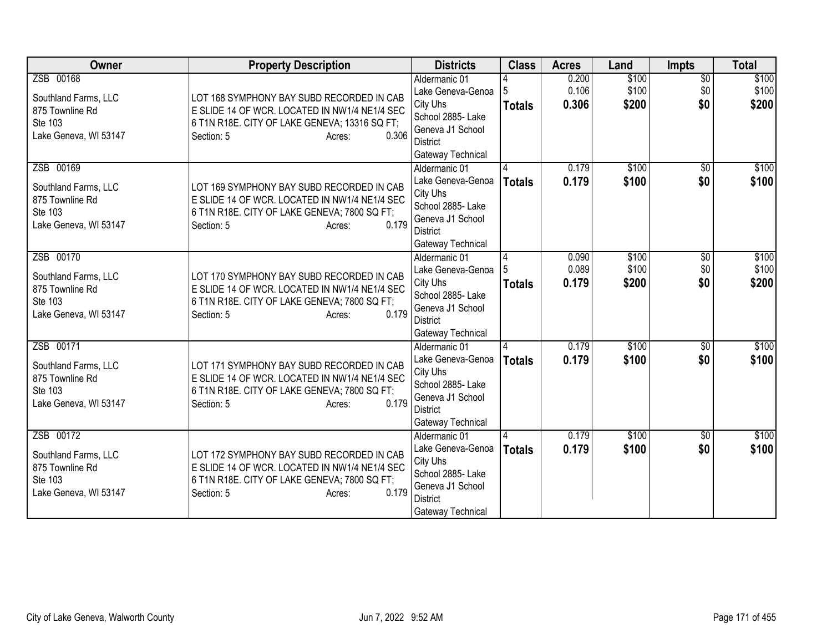| Owner                                                                                    | <b>Property Description</b>                                                                                                                                                  | <b>Districts</b>                                                                                                                | <b>Class</b>       | <b>Acres</b>            | Land                    | <b>Impts</b>                  | <b>Total</b>            |
|------------------------------------------------------------------------------------------|------------------------------------------------------------------------------------------------------------------------------------------------------------------------------|---------------------------------------------------------------------------------------------------------------------------------|--------------------|-------------------------|-------------------------|-------------------------------|-------------------------|
| ZSB 00168<br>Southland Farms, LLC<br>875 Townline Rd<br>Ste 103<br>Lake Geneva, WI 53147 | LOT 168 SYMPHONY BAY SUBD RECORDED IN CAB<br>E SLIDE 14 OF WCR. LOCATED IN NW1/4 NE1/4 SEC<br>6 T1N R18E. CITY OF LAKE GENEVA; 13316 SQ FT;<br>0.306<br>Section: 5<br>Acres: | Aldermanic 01<br>Lake Geneva-Genoa<br>City Uhs<br>School 2885- Lake<br>Geneva J1 School<br><b>District</b><br>Gateway Technical | <b>Totals</b>      | 0.200<br>0.106<br>0.306 | \$100<br>\$100<br>\$200 | $\overline{50}$<br>\$0<br>\$0 | \$100<br>\$100<br>\$200 |
| ZSB 00169<br>Southland Farms, LLC<br>875 Townline Rd<br>Ste 103<br>Lake Geneva, WI 53147 | LOT 169 SYMPHONY BAY SUBD RECORDED IN CAB<br>E SLIDE 14 OF WCR. LOCATED IN NW1/4 NE1/4 SEC<br>6 T1N R18E. CITY OF LAKE GENEVA; 7800 SQ FT;<br>0.179<br>Section: 5<br>Acres:  | Aldermanic 01<br>Lake Geneva-Genoa<br>City Uhs<br>School 2885- Lake<br>Geneva J1 School<br><b>District</b><br>Gateway Technical | <b>Totals</b>      | 0.179<br>0.179          | \$100<br>\$100          | $\overline{30}$<br>\$0        | \$100<br>\$100          |
| ZSB 00170<br>Southland Farms, LLC<br>875 Townline Rd<br>Ste 103<br>Lake Geneva, WI 53147 | LOT 170 SYMPHONY BAY SUBD RECORDED IN CAB<br>E SLIDE 14 OF WCR. LOCATED IN NW1/4 NE1/4 SEC<br>6 T1N R18E. CITY OF LAKE GENEVA; 7800 SQ FT;<br>0.179<br>Section: 5<br>Acres:  | Aldermanic 01<br>Lake Geneva-Genoa<br>City Uhs<br>School 2885- Lake<br>Geneva J1 School<br><b>District</b><br>Gateway Technical | 4<br><b>Totals</b> | 0.090<br>0.089<br>0.179 | \$100<br>\$100<br>\$200 | \$0<br>\$0<br>\$0             | \$100<br>\$100<br>\$200 |
| ZSB 00171<br>Southland Farms, LLC<br>875 Townline Rd<br>Ste 103<br>Lake Geneva, WI 53147 | LOT 171 SYMPHONY BAY SUBD RECORDED IN CAB<br>E SLIDE 14 OF WCR. LOCATED IN NW1/4 NE1/4 SEC<br>6 T1N R18E. CITY OF LAKE GENEVA; 7800 SQ FT;<br>0.179<br>Section: 5<br>Acres:  | Aldermanic 01<br>Lake Geneva-Genoa<br>City Uhs<br>School 2885- Lake<br>Geneva J1 School<br><b>District</b><br>Gateway Technical | <b>Totals</b>      | 0.179<br>0.179          | \$100<br>\$100          | $\overline{50}$<br>\$0        | \$100<br>\$100          |
| ZSB 00172<br>Southland Farms, LLC<br>875 Townline Rd<br>Ste 103<br>Lake Geneva, WI 53147 | LOT 172 SYMPHONY BAY SUBD RECORDED IN CAB<br>E SLIDE 14 OF WCR. LOCATED IN NW1/4 NE1/4 SEC<br>6 T1N R18E. CITY OF LAKE GENEVA; 7800 SQ FT;<br>0.179<br>Section: 5<br>Acres:  | Aldermanic 01<br>Lake Geneva-Genoa<br>City Uhs<br>School 2885- Lake<br>Geneva J1 School<br><b>District</b><br>Gateway Technical | <b>Totals</b>      | 0.179<br>0.179          | \$100<br>\$100          | $\overline{50}$<br>\$0        | \$100<br>\$100          |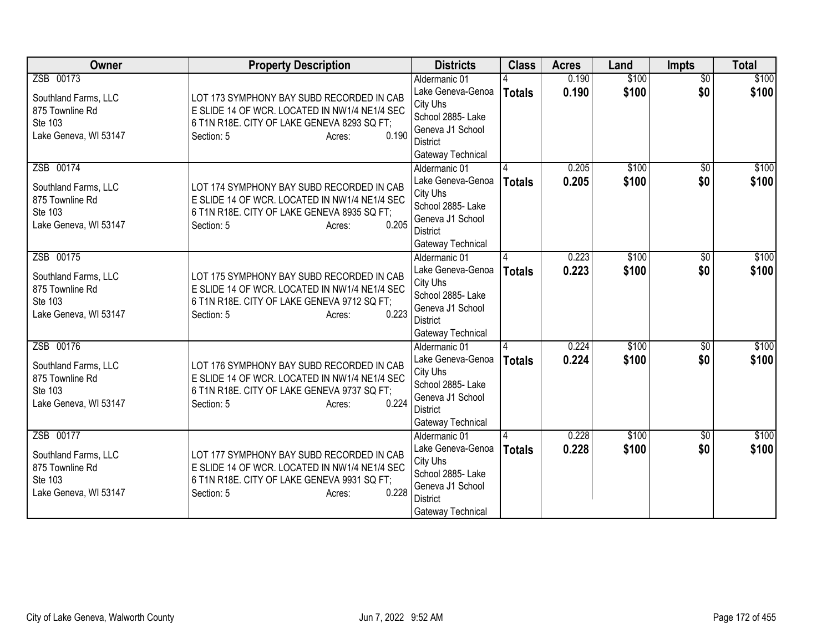| Owner                                                                                    | <b>Property Description</b>                                                                                                                                                | <b>Districts</b>                                                                                                                | <b>Class</b>  | <b>Acres</b>   | Land           | <b>Impts</b>           | <b>Total</b>   |
|------------------------------------------------------------------------------------------|----------------------------------------------------------------------------------------------------------------------------------------------------------------------------|---------------------------------------------------------------------------------------------------------------------------------|---------------|----------------|----------------|------------------------|----------------|
| ZSB 00173<br>Southland Farms, LLC<br>875 Townline Rd<br>Ste 103<br>Lake Geneva, WI 53147 | LOT 173 SYMPHONY BAY SUBD RECORDED IN CAB<br>E SLIDE 14 OF WCR. LOCATED IN NW1/4 NE1/4 SEC<br>6 T1N R18E. CITY OF LAKE GENEVA 8293 SQ FT;<br>0.190<br>Section: 5<br>Acres: | Aldermanic 01<br>Lake Geneva-Genoa<br>City Uhs<br>School 2885- Lake<br>Geneva J1 School<br><b>District</b><br>Gateway Technical | <b>Totals</b> | 0.190<br>0.190 | \$100<br>\$100 | $\overline{50}$<br>\$0 | \$100<br>\$100 |
| ZSB 00174<br>Southland Farms, LLC<br>875 Townline Rd<br>Ste 103<br>Lake Geneva, WI 53147 | LOT 174 SYMPHONY BAY SUBD RECORDED IN CAB<br>E SLIDE 14 OF WCR. LOCATED IN NW1/4 NE1/4 SEC<br>6 T1N R18E. CITY OF LAKE GENEVA 8935 SQ FT;<br>0.205<br>Section: 5<br>Acres: | Aldermanic 01<br>Lake Geneva-Genoa<br>City Uhs<br>School 2885- Lake<br>Geneva J1 School<br><b>District</b><br>Gateway Technical | <b>Totals</b> | 0.205<br>0.205 | \$100<br>\$100 | $\overline{30}$<br>\$0 | \$100<br>\$100 |
| ZSB 00175<br>Southland Farms, LLC<br>875 Townline Rd<br>Ste 103<br>Lake Geneva, WI 53147 | LOT 175 SYMPHONY BAY SUBD RECORDED IN CAB<br>E SLIDE 14 OF WCR. LOCATED IN NW1/4 NE1/4 SEC<br>6 T1N R18E. CITY OF LAKE GENEVA 9712 SQ FT;<br>0.223<br>Section: 5<br>Acres: | Aldermanic 01<br>Lake Geneva-Genoa<br>City Uhs<br>School 2885- Lake<br>Geneva J1 School<br><b>District</b><br>Gateway Technical | <b>Totals</b> | 0.223<br>0.223 | \$100<br>\$100 | \$0<br>\$0             | \$100<br>\$100 |
| ZSB 00176<br>Southland Farms, LLC<br>875 Townline Rd<br>Ste 103<br>Lake Geneva, WI 53147 | LOT 176 SYMPHONY BAY SUBD RECORDED IN CAB<br>E SLIDE 14 OF WCR. LOCATED IN NW1/4 NE1/4 SEC<br>6 T1N R18E. CITY OF LAKE GENEVA 9737 SQ FT;<br>0.224<br>Section: 5<br>Acres: | Aldermanic 01<br>Lake Geneva-Genoa<br>City Uhs<br>School 2885- Lake<br>Geneva J1 School<br><b>District</b><br>Gateway Technical | <b>Totals</b> | 0.224<br>0.224 | \$100<br>\$100 | $\overline{50}$<br>\$0 | \$100<br>\$100 |
| ZSB 00177<br>Southland Farms, LLC<br>875 Townline Rd<br>Ste 103<br>Lake Geneva, WI 53147 | LOT 177 SYMPHONY BAY SUBD RECORDED IN CAB<br>E SLIDE 14 OF WCR. LOCATED IN NW1/4 NE1/4 SEC<br>6 T1N R18E. CITY OF LAKE GENEVA 9931 SQ FT;<br>0.228<br>Section: 5<br>Acres: | Aldermanic 01<br>Lake Geneva-Genoa<br>City Uhs<br>School 2885- Lake<br>Geneva J1 School<br><b>District</b><br>Gateway Technical | <b>Totals</b> | 0.228<br>0.228 | \$100<br>\$100 | $\overline{50}$<br>\$0 | \$100<br>\$100 |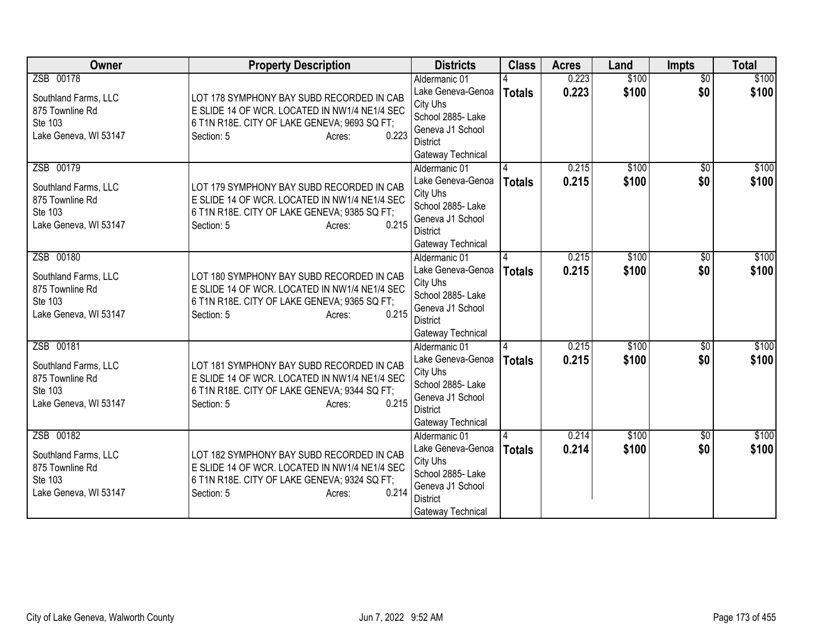| Owner                                                                                    | <b>Property Description</b>                                                                                                                                                 | <b>Districts</b>                                                                                                                | <b>Class</b>  | <b>Acres</b>   | Land           | <b>Impts</b>           | <b>Total</b>   |
|------------------------------------------------------------------------------------------|-----------------------------------------------------------------------------------------------------------------------------------------------------------------------------|---------------------------------------------------------------------------------------------------------------------------------|---------------|----------------|----------------|------------------------|----------------|
| ZSB 00178<br>Southland Farms, LLC<br>875 Townline Rd<br>Ste 103<br>Lake Geneva, WI 53147 | LOT 178 SYMPHONY BAY SUBD RECORDED IN CAB<br>E SLIDE 14 OF WCR. LOCATED IN NW1/4 NE1/4 SEC<br>6 T1N R18E. CITY OF LAKE GENEVA; 9693 SQ FT;<br>0.223<br>Section: 5<br>Acres: | Aldermanic 01<br>Lake Geneva-Genoa<br>City Uhs<br>School 2885- Lake<br>Geneva J1 School<br><b>District</b><br>Gateway Technical | <b>Totals</b> | 0.223<br>0.223 | \$100<br>\$100 | $\overline{50}$<br>\$0 | \$100<br>\$100 |
| ZSB 00179<br>Southland Farms, LLC<br>875 Townline Rd<br>Ste 103<br>Lake Geneva, WI 53147 | LOT 179 SYMPHONY BAY SUBD RECORDED IN CAB<br>E SLIDE 14 OF WCR. LOCATED IN NW1/4 NE1/4 SEC<br>6 T1N R18E. CITY OF LAKE GENEVA; 9385 SQ FT;<br>0.215<br>Section: 5<br>Acres: | Aldermanic 01<br>Lake Geneva-Genoa<br>City Uhs<br>School 2885- Lake<br>Geneva J1 School<br><b>District</b><br>Gateway Technical | <b>Totals</b> | 0.215<br>0.215 | \$100<br>\$100 | \$0<br>\$0             | \$100<br>\$100 |
| ZSB 00180<br>Southland Farms, LLC<br>875 Townline Rd<br>Ste 103<br>Lake Geneva, WI 53147 | LOT 180 SYMPHONY BAY SUBD RECORDED IN CAB<br>E SLIDE 14 OF WCR. LOCATED IN NW1/4 NE1/4 SEC<br>6 T1N R18E. CITY OF LAKE GENEVA; 9365 SQ FT;<br>0.215<br>Section: 5<br>Acres: | Aldermanic 01<br>Lake Geneva-Genoa<br>City Uhs<br>School 2885- Lake<br>Geneva J1 School<br><b>District</b><br>Gateway Technical | <b>Totals</b> | 0.215<br>0.215 | \$100<br>\$100 | \$0<br>\$0             | \$100<br>\$100 |
| ZSB 00181<br>Southland Farms, LLC<br>875 Townline Rd<br>Ste 103<br>Lake Geneva, WI 53147 | LOT 181 SYMPHONY BAY SUBD RECORDED IN CAB<br>E SLIDE 14 OF WCR. LOCATED IN NW1/4 NE1/4 SEC<br>6 T1N R18E. CITY OF LAKE GENEVA; 9344 SQ FT;<br>0.215<br>Section: 5<br>Acres: | Aldermanic 01<br>Lake Geneva-Genoa<br>City Uhs<br>School 2885- Lake<br>Geneva J1 School<br><b>District</b><br>Gateway Technical | <b>Totals</b> | 0.215<br>0.215 | \$100<br>\$100 | $\overline{50}$<br>\$0 | \$100<br>\$100 |
| ZSB 00182<br>Southland Farms, LLC<br>875 Townline Rd<br>Ste 103<br>Lake Geneva, WI 53147 | LOT 182 SYMPHONY BAY SUBD RECORDED IN CAB<br>E SLIDE 14 OF WCR. LOCATED IN NW1/4 NE1/4 SEC<br>6 T1N R18E. CITY OF LAKE GENEVA; 9324 SQ FT;<br>0.214<br>Section: 5<br>Acres: | Aldermanic 01<br>Lake Geneva-Genoa<br>City Uhs<br>School 2885- Lake<br>Geneva J1 School<br><b>District</b><br>Gateway Technical | <b>Totals</b> | 0.214<br>0.214 | \$100<br>\$100 | $\overline{50}$<br>\$0 | \$100<br>\$100 |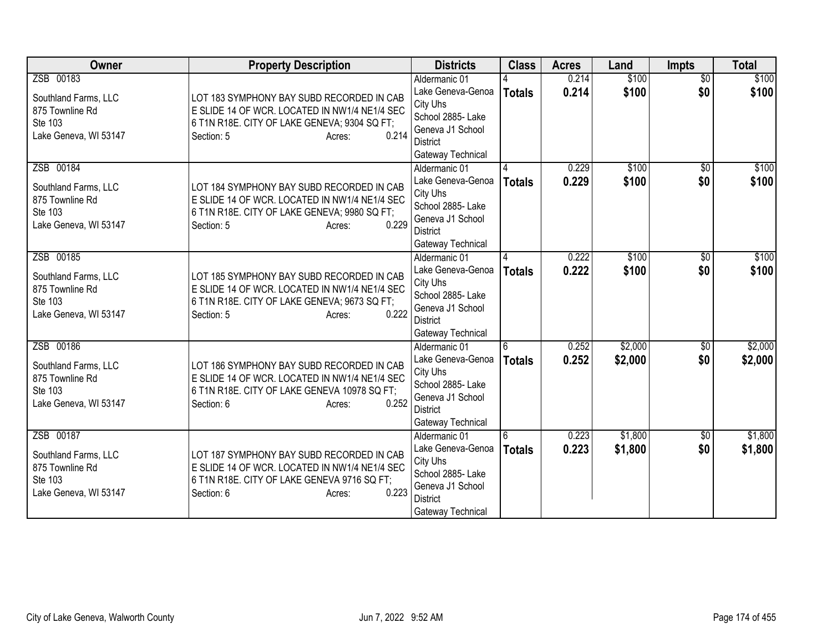| Owner                                   | <b>Property Description</b>                                                                | <b>Districts</b>                      | <b>Class</b>  | <b>Acres</b> | Land    | <b>Impts</b>    | <b>Total</b> |
|-----------------------------------------|--------------------------------------------------------------------------------------------|---------------------------------------|---------------|--------------|---------|-----------------|--------------|
| ZSB 00183                               |                                                                                            | Aldermanic 01                         |               | 0.214        | \$100   | $\overline{50}$ | \$100        |
| Southland Farms, LLC                    | LOT 183 SYMPHONY BAY SUBD RECORDED IN CAB                                                  | Lake Geneva-Genoa                     | <b>Totals</b> | 0.214        | \$100   | \$0             | \$100        |
| 875 Townline Rd                         | E SLIDE 14 OF WCR. LOCATED IN NW1/4 NE1/4 SEC                                              | City Uhs                              |               |              |         |                 |              |
| Ste 103                                 | 6 T1N R18E. CITY OF LAKE GENEVA; 9304 SQ FT;                                               | School 2885- Lake<br>Geneva J1 School |               |              |         |                 |              |
| Lake Geneva, WI 53147                   | 0.214<br>Section: 5<br>Acres:                                                              | <b>District</b>                       |               |              |         |                 |              |
|                                         |                                                                                            | Gateway Technical                     |               |              |         |                 |              |
| ZSB 00184                               |                                                                                            | Aldermanic 01                         |               | 0.229        | \$100   | \$0             | \$100        |
|                                         |                                                                                            | Lake Geneva-Genoa                     | <b>Totals</b> | 0.229        | \$100   | \$0             | \$100        |
| Southland Farms, LLC<br>875 Townline Rd | LOT 184 SYMPHONY BAY SUBD RECORDED IN CAB<br>E SLIDE 14 OF WCR. LOCATED IN NW1/4 NE1/4 SEC | City Uhs                              |               |              |         |                 |              |
| Ste 103                                 | 6 T1N R18E. CITY OF LAKE GENEVA; 9980 SQ FT;                                               | School 2885- Lake                     |               |              |         |                 |              |
| Lake Geneva, WI 53147                   | 0.229<br>Section: 5<br>Acres:                                                              | Geneva J1 School                      |               |              |         |                 |              |
|                                         |                                                                                            | <b>District</b>                       |               |              |         |                 |              |
| ZSB 00185                               |                                                                                            | Gateway Technical                     |               | 0.222        | \$100   |                 | \$100        |
|                                         |                                                                                            | Aldermanic 01<br>Lake Geneva-Genoa    |               | 0.222        | \$100   | \$0<br>\$0      | \$100        |
| Southland Farms, LLC                    | LOT 185 SYMPHONY BAY SUBD RECORDED IN CAB                                                  | City Uhs                              | <b>Totals</b> |              |         |                 |              |
| 875 Townline Rd                         | E SLIDE 14 OF WCR. LOCATED IN NW1/4 NE1/4 SEC                                              | School 2885- Lake                     |               |              |         |                 |              |
| Ste 103                                 | 6 T1N R18E. CITY OF LAKE GENEVA; 9673 SQ FT;                                               | Geneva J1 School                      |               |              |         |                 |              |
| Lake Geneva, WI 53147                   | 0.222<br>Section: 5<br>Acres:                                                              | District                              |               |              |         |                 |              |
|                                         |                                                                                            | Gateway Technical                     |               |              |         |                 |              |
| ZSB 00186                               |                                                                                            | Aldermanic 01                         | 6             | 0.252        | \$2,000 | $\overline{50}$ | \$2,000      |
| Southland Farms, LLC                    | LOT 186 SYMPHONY BAY SUBD RECORDED IN CAB                                                  | Lake Geneva-Genoa                     | <b>Totals</b> | 0.252        | \$2,000 | \$0             | \$2,000      |
| 875 Townline Rd                         | E SLIDE 14 OF WCR. LOCATED IN NW1/4 NE1/4 SEC                                              | City Uhs                              |               |              |         |                 |              |
| Ste 103                                 | 6 T1N R18E. CITY OF LAKE GENEVA 10978 SQ FT;                                               | School 2885- Lake<br>Geneva J1 School |               |              |         |                 |              |
| Lake Geneva, WI 53147                   | 0.252<br>Section: 6<br>Acres:                                                              | <b>District</b>                       |               |              |         |                 |              |
|                                         |                                                                                            | Gateway Technical                     |               |              |         |                 |              |
| ZSB 00187                               |                                                                                            | Aldermanic 01                         | l 6           | 0.223        | \$1,800 | $\overline{50}$ | \$1,800      |
| Southland Farms, LLC                    | LOT 187 SYMPHONY BAY SUBD RECORDED IN CAB                                                  | Lake Geneva-Genoa                     | <b>Totals</b> | 0.223        | \$1,800 | \$0             | \$1,800      |
| 875 Townline Rd                         | E SLIDE 14 OF WCR. LOCATED IN NW1/4 NE1/4 SEC                                              | City Uhs                              |               |              |         |                 |              |
| Ste 103                                 | 6 T1N R18E. CITY OF LAKE GENEVA 9716 SQ FT;                                                | School 2885- Lake                     |               |              |         |                 |              |
| Lake Geneva, WI 53147                   | 0.223<br>Section: 6<br>Acres:                                                              | Geneva J1 School                      |               |              |         |                 |              |
|                                         |                                                                                            | <b>District</b>                       |               |              |         |                 |              |
|                                         |                                                                                            | Gateway Technical                     |               |              |         |                 |              |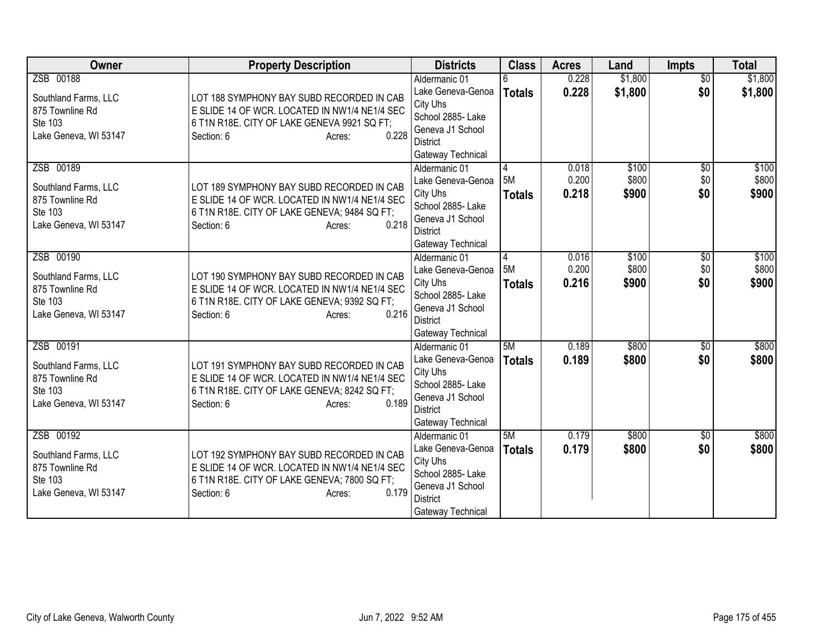| Owner                                                                                    | <b>Property Description</b>                                                                                                                                                 | <b>Districts</b>                                                                                                                | <b>Class</b>             | <b>Acres</b>            | Land                    | <b>Impts</b>                  | <b>Total</b>            |
|------------------------------------------------------------------------------------------|-----------------------------------------------------------------------------------------------------------------------------------------------------------------------------|---------------------------------------------------------------------------------------------------------------------------------|--------------------------|-------------------------|-------------------------|-------------------------------|-------------------------|
| ZSB 00188<br>Southland Farms, LLC<br>875 Townline Rd<br>Ste 103<br>Lake Geneva, WI 53147 | LOT 188 SYMPHONY BAY SUBD RECORDED IN CAB<br>E SLIDE 14 OF WCR. LOCATED IN NW1/4 NE1/4 SEC<br>6 T1N R18E. CITY OF LAKE GENEVA 9921 SQ FT;<br>0.228<br>Section: 6<br>Acres:  | Aldermanic 01<br>Lake Geneva-Genoa<br>City Uhs<br>School 2885- Lake<br>Geneva J1 School<br><b>District</b><br>Gateway Technical | <b>Totals</b>            | 0.228<br>0.228          | \$1,800<br>\$1,800      | $\overline{50}$<br>\$0        | \$1,800<br>\$1,800      |
| ZSB 00189<br>Southland Farms, LLC<br>875 Townline Rd<br>Ste 103<br>Lake Geneva, WI 53147 | LOT 189 SYMPHONY BAY SUBD RECORDED IN CAB<br>E SLIDE 14 OF WCR. LOCATED IN NW1/4 NE1/4 SEC<br>6 T1N R18E. CITY OF LAKE GENEVA; 9484 SQ FT;<br>0.218<br>Section: 6<br>Acres: | Aldermanic 01<br>Lake Geneva-Genoa<br>City Uhs<br>School 2885- Lake<br>Geneva J1 School<br><b>District</b><br>Gateway Technical | 4<br>5M<br><b>Totals</b> | 0.018<br>0.200<br>0.218 | \$100<br>\$800<br>\$900 | $\overline{50}$<br>\$0<br>\$0 | \$100<br>\$800<br>\$900 |
| ZSB 00190<br>Southland Farms, LLC<br>875 Townline Rd<br>Ste 103<br>Lake Geneva, WI 53147 | LOT 190 SYMPHONY BAY SUBD RECORDED IN CAB<br>E SLIDE 14 OF WCR. LOCATED IN NW1/4 NE1/4 SEC<br>6 T1N R18E. CITY OF LAKE GENEVA; 9392 SQ FT;<br>0.216<br>Section: 6<br>Acres: | Aldermanic 01<br>Lake Geneva-Genoa<br>City Uhs<br>School 2885- Lake<br>Geneva J1 School<br><b>District</b><br>Gateway Technical | 4<br>5M<br><b>Totals</b> | 0.016<br>0.200<br>0.216 | \$100<br>\$800<br>\$900 | \$0<br>\$0<br>\$0             | \$100<br>\$800<br>\$900 |
| ZSB 00191<br>Southland Farms, LLC<br>875 Townline Rd<br>Ste 103<br>Lake Geneva, WI 53147 | LOT 191 SYMPHONY BAY SUBD RECORDED IN CAB<br>E SLIDE 14 OF WCR. LOCATED IN NW1/4 NE1/4 SEC<br>6 T1N R18E. CITY OF LAKE GENEVA; 8242 SQ FT;<br>0.189<br>Section: 6<br>Acres: | Aldermanic 01<br>Lake Geneva-Genoa<br>City Uhs<br>School 2885- Lake<br>Geneva J1 School<br><b>District</b><br>Gateway Technical | 5M<br><b>Totals</b>      | 0.189<br>0.189          | \$800<br>\$800          | $\overline{50}$<br>\$0        | \$800<br>\$800          |
| ZSB 00192<br>Southland Farms, LLC<br>875 Townline Rd<br>Ste 103<br>Lake Geneva, WI 53147 | LOT 192 SYMPHONY BAY SUBD RECORDED IN CAB<br>E SLIDE 14 OF WCR. LOCATED IN NW1/4 NE1/4 SEC<br>6 T1N R18E. CITY OF LAKE GENEVA; 7800 SQ FT;<br>0.179<br>Section: 6<br>Acres: | Aldermanic 01<br>Lake Geneva-Genoa<br>City Uhs<br>School 2885- Lake<br>Geneva J1 School<br><b>District</b><br>Gateway Technical | 5M<br><b>Totals</b>      | 0.179<br>0.179          | \$800<br>\$800          | $\overline{50}$<br>\$0        | \$800<br>\$800          |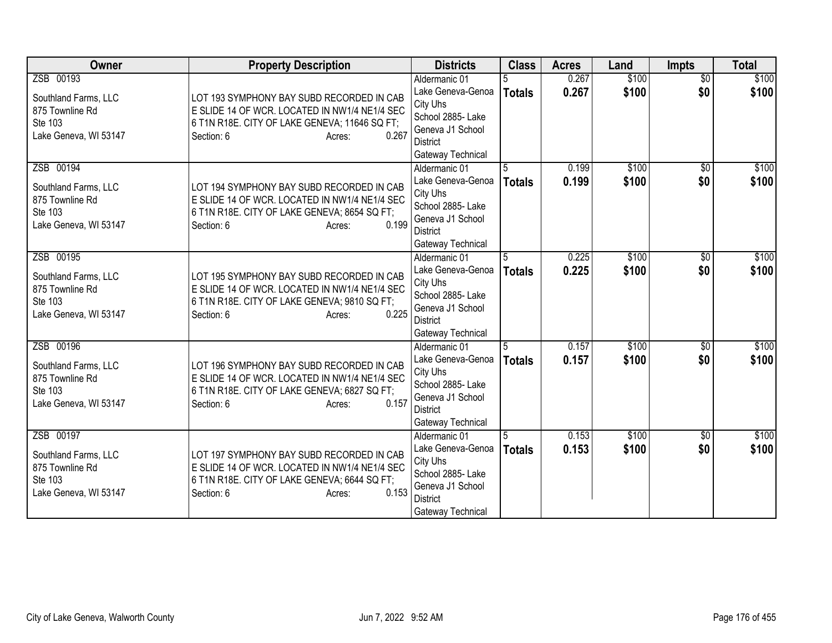| Owner                                                                                    | <b>Property Description</b>                                                                                                                                                  | <b>Districts</b>                                                                                                                | <b>Class</b>       | <b>Acres</b>   | Land           | <b>Impts</b>           | <b>Total</b>   |
|------------------------------------------------------------------------------------------|------------------------------------------------------------------------------------------------------------------------------------------------------------------------------|---------------------------------------------------------------------------------------------------------------------------------|--------------------|----------------|----------------|------------------------|----------------|
| ZSB 00193<br>Southland Farms, LLC<br>875 Townline Rd<br>Ste 103<br>Lake Geneva, WI 53147 | LOT 193 SYMPHONY BAY SUBD RECORDED IN CAB<br>E SLIDE 14 OF WCR. LOCATED IN NW1/4 NE1/4 SEC<br>6 T1N R18E. CITY OF LAKE GENEVA; 11646 SQ FT;<br>0.267<br>Section: 6<br>Acres: | Aldermanic 01<br>Lake Geneva-Genoa<br>City Uhs<br>School 2885- Lake<br>Geneva J1 School<br><b>District</b><br>Gateway Technical | <b>Totals</b>      | 0.267<br>0.267 | \$100<br>\$100 | $\overline{50}$<br>\$0 | \$100<br>\$100 |
| ZSB 00194<br>Southland Farms, LLC<br>875 Townline Rd<br>Ste 103<br>Lake Geneva, WI 53147 | LOT 194 SYMPHONY BAY SUBD RECORDED IN CAB<br>E SLIDE 14 OF WCR. LOCATED IN NW1/4 NE1/4 SEC<br>6 T1N R18E. CITY OF LAKE GENEVA; 8654 SQ FT;<br>0.199<br>Section: 6<br>Acres:  | Aldermanic 01<br>Lake Geneva-Genoa<br>City Uhs<br>School 2885- Lake<br>Geneva J1 School<br><b>District</b><br>Gateway Technical | 5<br><b>Totals</b> | 0.199<br>0.199 | \$100<br>\$100 | \$0<br>\$0             | \$100<br>\$100 |
| ZSB 00195<br>Southland Farms, LLC<br>875 Townline Rd<br>Ste 103<br>Lake Geneva, WI 53147 | LOT 195 SYMPHONY BAY SUBD RECORDED IN CAB<br>E SLIDE 14 OF WCR. LOCATED IN NW1/4 NE1/4 SEC<br>6 T1N R18E. CITY OF LAKE GENEVA; 9810 SQ FT;<br>0.225<br>Section: 6<br>Acres:  | Aldermanic 01<br>Lake Geneva-Genoa<br>City Uhs<br>School 2885- Lake<br>Geneva J1 School<br><b>District</b><br>Gateway Technical | 5<br>Totals        | 0.225<br>0.225 | \$100<br>\$100 | \$0<br>\$0             | \$100<br>\$100 |
| ZSB 00196<br>Southland Farms, LLC<br>875 Townline Rd<br>Ste 103<br>Lake Geneva, WI 53147 | LOT 196 SYMPHONY BAY SUBD RECORDED IN CAB<br>E SLIDE 14 OF WCR. LOCATED IN NW1/4 NE1/4 SEC<br>6 T1N R18E. CITY OF LAKE GENEVA; 6827 SQ FT;<br>0.157<br>Section: 6<br>Acres:  | Aldermanic 01<br>Lake Geneva-Genoa<br>City Uhs<br>School 2885- Lake<br>Geneva J1 School<br><b>District</b><br>Gateway Technical | <b>Totals</b>      | 0.157<br>0.157 | \$100<br>\$100 | $\overline{50}$<br>\$0 | \$100<br>\$100 |
| ZSB 00197<br>Southland Farms, LLC<br>875 Townline Rd<br>Ste 103<br>Lake Geneva, WI 53147 | LOT 197 SYMPHONY BAY SUBD RECORDED IN CAB<br>E SLIDE 14 OF WCR. LOCATED IN NW1/4 NE1/4 SEC<br>6 T1N R18E. CITY OF LAKE GENEVA; 6644 SQ FT;<br>0.153<br>Section: 6<br>Acres:  | Aldermanic 01<br>Lake Geneva-Genoa<br>City Uhs<br>School 2885- Lake<br>Geneva J1 School<br><b>District</b><br>Gateway Technical | <b>Totals</b>      | 0.153<br>0.153 | \$100<br>\$100 | $\overline{50}$<br>\$0 | \$100<br>\$100 |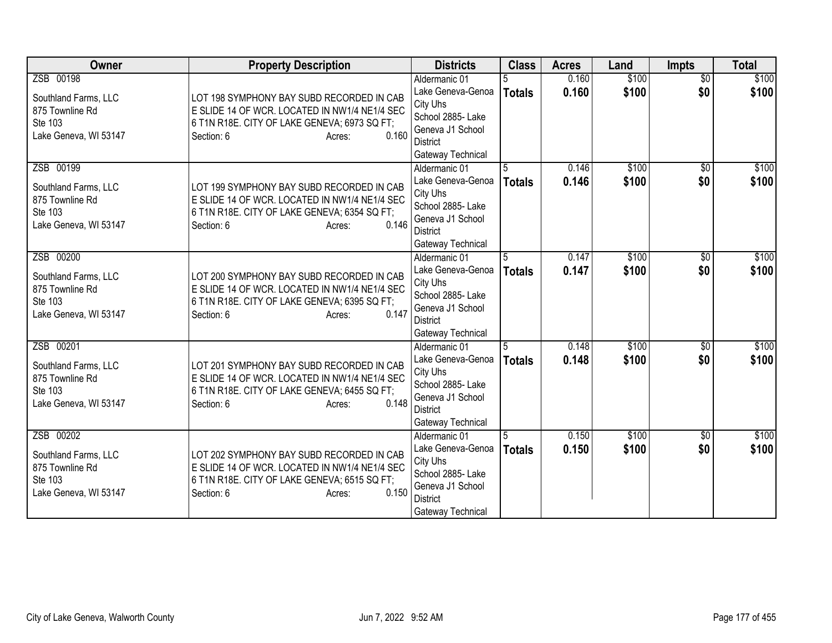| Owner                                                                                    | <b>Property Description</b>                                                                                                                                                 | <b>Districts</b>                                                                                                                | <b>Class</b>       | <b>Acres</b>   | Land           | <b>Impts</b>           | <b>Total</b>   |
|------------------------------------------------------------------------------------------|-----------------------------------------------------------------------------------------------------------------------------------------------------------------------------|---------------------------------------------------------------------------------------------------------------------------------|--------------------|----------------|----------------|------------------------|----------------|
| ZSB 00198<br>Southland Farms, LLC<br>875 Townline Rd<br>Ste 103<br>Lake Geneva, WI 53147 | LOT 198 SYMPHONY BAY SUBD RECORDED IN CAB<br>E SLIDE 14 OF WCR. LOCATED IN NW1/4 NE1/4 SEC<br>6 T1N R18E. CITY OF LAKE GENEVA; 6973 SQ FT;<br>0.160<br>Section: 6<br>Acres: | Aldermanic 01<br>Lake Geneva-Genoa<br>City Uhs<br>School 2885- Lake<br>Geneva J1 School<br><b>District</b><br>Gateway Technical | <b>Totals</b>      | 0.160<br>0.160 | \$100<br>\$100 | $\overline{50}$<br>\$0 | \$100<br>\$100 |
| ZSB 00199<br>Southland Farms, LLC<br>875 Townline Rd<br>Ste 103<br>Lake Geneva, WI 53147 | LOT 199 SYMPHONY BAY SUBD RECORDED IN CAB<br>E SLIDE 14 OF WCR. LOCATED IN NW1/4 NE1/4 SEC<br>6 T1N R18E. CITY OF LAKE GENEVA; 6354 SQ FT;<br>0.146<br>Section: 6<br>Acres: | Aldermanic 01<br>Lake Geneva-Genoa<br>City Uhs<br>School 2885- Lake<br>Geneva J1 School<br><b>District</b><br>Gateway Technical | 5<br><b>Totals</b> | 0.146<br>0.146 | \$100<br>\$100 | \$0<br>\$0             | \$100<br>\$100 |
| ZSB 00200<br>Southland Farms, LLC<br>875 Townline Rd<br>Ste 103<br>Lake Geneva, WI 53147 | LOT 200 SYMPHONY BAY SUBD RECORDED IN CAB<br>E SLIDE 14 OF WCR. LOCATED IN NW1/4 NE1/4 SEC<br>6 T1N R18E. CITY OF LAKE GENEVA; 6395 SQ FT;<br>0.147<br>Section: 6<br>Acres: | Aldermanic 01<br>Lake Geneva-Genoa<br>City Uhs<br>School 2885- Lake<br>Geneva J1 School<br><b>District</b><br>Gateway Technical | 5<br>Totals        | 0.147<br>0.147 | \$100<br>\$100 | \$0<br>\$0             | \$100<br>\$100 |
| ZSB 00201<br>Southland Farms, LLC<br>875 Townline Rd<br>Ste 103<br>Lake Geneva, WI 53147 | LOT 201 SYMPHONY BAY SUBD RECORDED IN CAB<br>E SLIDE 14 OF WCR. LOCATED IN NW1/4 NE1/4 SEC<br>6 T1N R18E. CITY OF LAKE GENEVA; 6455 SQ FT;<br>0.148<br>Section: 6<br>Acres: | Aldermanic 01<br>Lake Geneva-Genoa<br>City Uhs<br>School 2885- Lake<br>Geneva J1 School<br><b>District</b><br>Gateway Technical | <b>Totals</b>      | 0.148<br>0.148 | \$100<br>\$100 | $\overline{50}$<br>\$0 | \$100<br>\$100 |
| ZSB 00202<br>Southland Farms, LLC<br>875 Townline Rd<br>Ste 103<br>Lake Geneva, WI 53147 | LOT 202 SYMPHONY BAY SUBD RECORDED IN CAB<br>E SLIDE 14 OF WCR. LOCATED IN NW1/4 NE1/4 SEC<br>6 T1N R18E. CITY OF LAKE GENEVA; 6515 SQ FT;<br>0.150<br>Section: 6<br>Acres: | Aldermanic 01<br>Lake Geneva-Genoa<br>City Uhs<br>School 2885- Lake<br>Geneva J1 School<br><b>District</b><br>Gateway Technical | <b>Totals</b>      | 0.150<br>0.150 | \$100<br>\$100 | $\overline{50}$<br>\$0 | \$100<br>\$100 |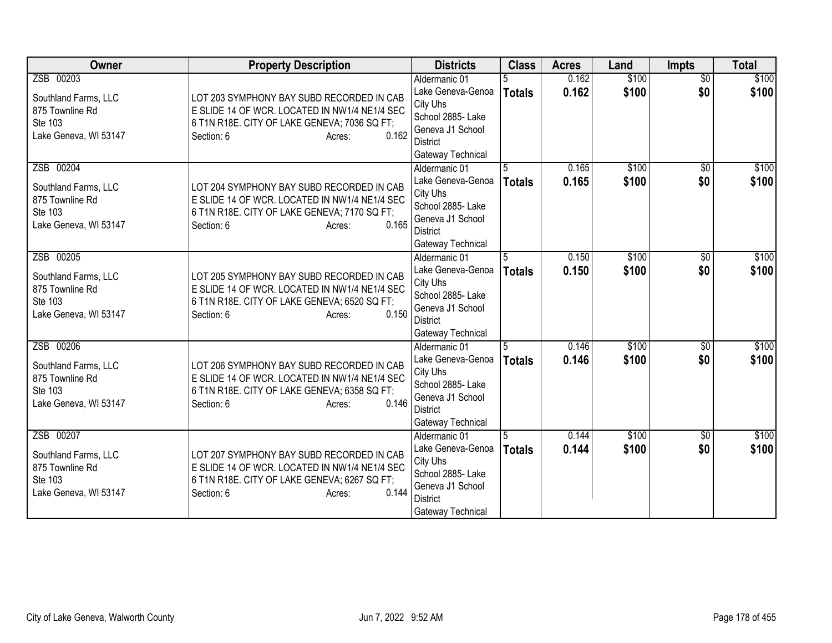| Owner                                                                                    | <b>Property Description</b>                                                                                                                                                 | <b>Districts</b>                                                                                                                | <b>Class</b>       | <b>Acres</b>   | Land           | Impts                  | <b>Total</b>   |
|------------------------------------------------------------------------------------------|-----------------------------------------------------------------------------------------------------------------------------------------------------------------------------|---------------------------------------------------------------------------------------------------------------------------------|--------------------|----------------|----------------|------------------------|----------------|
| ZSB 00203<br>Southland Farms, LLC<br>875 Townline Rd<br>Ste 103<br>Lake Geneva, WI 53147 | LOT 203 SYMPHONY BAY SUBD RECORDED IN CAB<br>E SLIDE 14 OF WCR. LOCATED IN NW1/4 NE1/4 SEC<br>6 T1N R18E. CITY OF LAKE GENEVA; 7036 SQ FT;<br>0.162<br>Section: 6<br>Acres: | Aldermanic 01<br>Lake Geneva-Genoa<br>City Uhs<br>School 2885- Lake<br>Geneva J1 School<br><b>District</b><br>Gateway Technical | <b>Totals</b>      | 0.162<br>0.162 | \$100<br>\$100 | $\overline{60}$<br>\$0 | \$100<br>\$100 |
| ZSB 00204<br>Southland Farms, LLC<br>875 Townline Rd<br>Ste 103<br>Lake Geneva, WI 53147 | LOT 204 SYMPHONY BAY SUBD RECORDED IN CAB<br>E SLIDE 14 OF WCR. LOCATED IN NW1/4 NE1/4 SEC<br>6 T1N R18E. CITY OF LAKE GENEVA; 7170 SQ FT;<br>0.165<br>Section: 6<br>Acres: | Aldermanic 01<br>Lake Geneva-Genoa<br>City Uhs<br>School 2885- Lake<br>Geneva J1 School<br><b>District</b><br>Gateway Technical | 5<br><b>Totals</b> | 0.165<br>0.165 | \$100<br>\$100 | \$0<br>\$0             | \$100<br>\$100 |
| ZSB 00205<br>Southland Farms, LLC<br>875 Townline Rd<br>Ste 103<br>Lake Geneva, WI 53147 | LOT 205 SYMPHONY BAY SUBD RECORDED IN CAB<br>E SLIDE 14 OF WCR. LOCATED IN NW1/4 NE1/4 SEC<br>6 T1N R18E. CITY OF LAKE GENEVA; 6520 SQ FT;<br>0.150<br>Section: 6<br>Acres: | Aldermanic 01<br>Lake Geneva-Genoa<br>City Uhs<br>School 2885- Lake<br>Geneva J1 School<br><b>District</b><br>Gateway Technical | 5<br>Totals        | 0.150<br>0.150 | \$100<br>\$100 | $\overline{50}$<br>\$0 | \$100<br>\$100 |
| ZSB 00206<br>Southland Farms, LLC<br>875 Townline Rd<br>Ste 103<br>Lake Geneva, WI 53147 | LOT 206 SYMPHONY BAY SUBD RECORDED IN CAB<br>E SLIDE 14 OF WCR. LOCATED IN NW1/4 NE1/4 SEC<br>6 T1N R18E. CITY OF LAKE GENEVA; 6358 SQ FT;<br>0.146<br>Section: 6<br>Acres: | Aldermanic 01<br>Lake Geneva-Genoa<br>City Uhs<br>School 2885- Lake<br>Geneva J1 School<br><b>District</b><br>Gateway Technical | 5<br><b>Totals</b> | 0.146<br>0.146 | \$100<br>\$100 | $\overline{50}$<br>\$0 | \$100<br>\$100 |
| ZSB 00207<br>Southland Farms, LLC<br>875 Townline Rd<br>Ste 103<br>Lake Geneva, WI 53147 | LOT 207 SYMPHONY BAY SUBD RECORDED IN CAB<br>E SLIDE 14 OF WCR. LOCATED IN NW1/4 NE1/4 SEC<br>6 T1N R18E. CITY OF LAKE GENEVA; 6267 SQ FT;<br>0.144<br>Section: 6<br>Acres: | Aldermanic 01<br>Lake Geneva-Genoa<br>City Uhs<br>School 2885- Lake<br>Geneva J1 School<br><b>District</b><br>Gateway Technical | <b>Totals</b>      | 0.144<br>0.144 | \$100<br>\$100 | $\overline{50}$<br>\$0 | \$100<br>\$100 |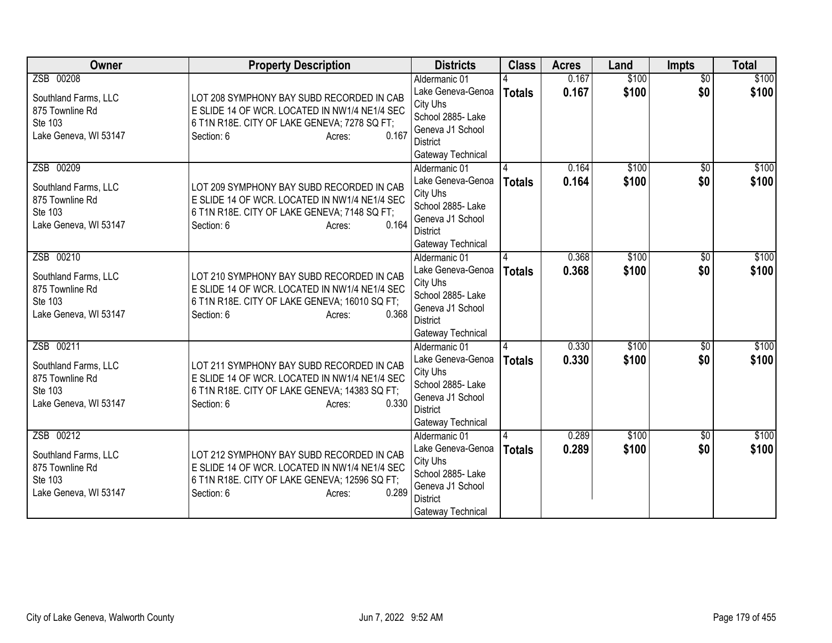| Owner                                                                                    | <b>Property Description</b>                                                                                                                                                  | <b>Districts</b>                                                                                                                | <b>Class</b>  | <b>Acres</b>   | Land           | <b>Impts</b>           | <b>Total</b>   |
|------------------------------------------------------------------------------------------|------------------------------------------------------------------------------------------------------------------------------------------------------------------------------|---------------------------------------------------------------------------------------------------------------------------------|---------------|----------------|----------------|------------------------|----------------|
| ZSB 00208<br>Southland Farms, LLC<br>875 Townline Rd<br>Ste 103<br>Lake Geneva, WI 53147 | LOT 208 SYMPHONY BAY SUBD RECORDED IN CAB<br>E SLIDE 14 OF WCR. LOCATED IN NW1/4 NE1/4 SEC<br>6 T1N R18E. CITY OF LAKE GENEVA; 7278 SQ FT;<br>0.167<br>Section: 6<br>Acres:  | Aldermanic 01<br>Lake Geneva-Genoa<br>City Uhs<br>School 2885- Lake<br>Geneva J1 School<br><b>District</b><br>Gateway Technical | <b>Totals</b> | 0.167<br>0.167 | \$100<br>\$100 | $\overline{50}$<br>\$0 | \$100<br>\$100 |
| ZSB 00209<br>Southland Farms, LLC<br>875 Townline Rd<br>Ste 103<br>Lake Geneva, WI 53147 | LOT 209 SYMPHONY BAY SUBD RECORDED IN CAB<br>E SLIDE 14 OF WCR. LOCATED IN NW1/4 NE1/4 SEC<br>6 T1N R18E. CITY OF LAKE GENEVA; 7148 SQ FT;<br>0.164<br>Section: 6<br>Acres:  | Aldermanic 01<br>Lake Geneva-Genoa<br>City Uhs<br>School 2885-Lake<br>Geneva J1 School<br><b>District</b><br>Gateway Technical  | <b>Totals</b> | 0.164<br>0.164 | \$100<br>\$100 | \$0<br>\$0             | \$100<br>\$100 |
| ZSB 00210<br>Southland Farms, LLC<br>875 Townline Rd<br>Ste 103<br>Lake Geneva, WI 53147 | LOT 210 SYMPHONY BAY SUBD RECORDED IN CAB<br>E SLIDE 14 OF WCR. LOCATED IN NW1/4 NE1/4 SEC<br>6 T1N R18E. CITY OF LAKE GENEVA; 16010 SQ FT;<br>0.368<br>Section: 6<br>Acres: | Aldermanic 01<br>Lake Geneva-Genoa<br>City Uhs<br>School 2885- Lake<br>Geneva J1 School<br><b>District</b><br>Gateway Technical | <b>Totals</b> | 0.368<br>0.368 | \$100<br>\$100 | \$0<br>\$0             | \$100<br>\$100 |
| ZSB 00211<br>Southland Farms, LLC<br>875 Townline Rd<br>Ste 103<br>Lake Geneva, WI 53147 | LOT 211 SYMPHONY BAY SUBD RECORDED IN CAB<br>E SLIDE 14 OF WCR. LOCATED IN NW1/4 NE1/4 SEC<br>6 T1N R18E. CITY OF LAKE GENEVA; 14383 SQ FT;<br>0.330<br>Section: 6<br>Acres: | Aldermanic 01<br>Lake Geneva-Genoa<br>City Uhs<br>School 2885- Lake<br>Geneva J1 School<br><b>District</b><br>Gateway Technical | <b>Totals</b> | 0.330<br>0.330 | \$100<br>\$100 | $\overline{50}$<br>\$0 | \$100<br>\$100 |
| ZSB 00212<br>Southland Farms, LLC<br>875 Townline Rd<br>Ste 103<br>Lake Geneva, WI 53147 | LOT 212 SYMPHONY BAY SUBD RECORDED IN CAB<br>E SLIDE 14 OF WCR. LOCATED IN NW1/4 NE1/4 SEC<br>6 T1N R18E. CITY OF LAKE GENEVA; 12596 SQ FT;<br>0.289<br>Section: 6<br>Acres: | Aldermanic 01<br>Lake Geneva-Genoa<br>City Uhs<br>School 2885- Lake<br>Geneva J1 School<br><b>District</b><br>Gateway Technical | <b>Totals</b> | 0.289<br>0.289 | \$100<br>\$100 | $\overline{50}$<br>\$0 | \$100<br>\$100 |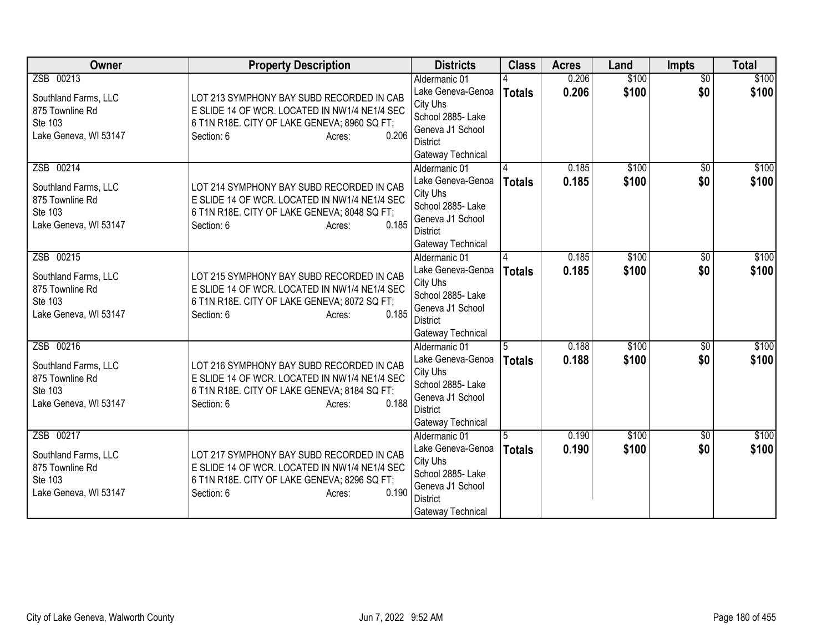| Owner                      | <b>Property Description</b>                                                   | <b>Districts</b>                      | <b>Class</b>  | <b>Acres</b> | Land  | Impts           | <b>Total</b> |
|----------------------------|-------------------------------------------------------------------------------|---------------------------------------|---------------|--------------|-------|-----------------|--------------|
| ZSB 00213                  |                                                                               | Aldermanic 01                         |               | 0.206        | \$100 | $\overline{60}$ | \$100        |
| Southland Farms, LLC       | LOT 213 SYMPHONY BAY SUBD RECORDED IN CAB                                     | Lake Geneva-Genoa                     | <b>Totals</b> | 0.206        | \$100 | \$0             | \$100        |
| 875 Townline Rd            | E SLIDE 14 OF WCR. LOCATED IN NW1/4 NE1/4 SEC                                 | City Uhs                              |               |              |       |                 |              |
| Ste 103                    | 6 T1N R18E. CITY OF LAKE GENEVA; 8960 SQ FT;                                  | School 2885- Lake<br>Geneva J1 School |               |              |       |                 |              |
| Lake Geneva, WI 53147      | 0.206<br>Section: 6<br>Acres:                                                 | <b>District</b>                       |               |              |       |                 |              |
|                            |                                                                               | Gateway Technical                     |               |              |       |                 |              |
| ZSB 00214                  |                                                                               | Aldermanic 01                         |               | 0.185        | \$100 | \$0             | \$100        |
| Southland Farms, LLC       | LOT 214 SYMPHONY BAY SUBD RECORDED IN CAB                                     | Lake Geneva-Genoa                     | <b>Totals</b> | 0.185        | \$100 | \$0             | \$100        |
| 875 Townline Rd            | E SLIDE 14 OF WCR. LOCATED IN NW1/4 NE1/4 SEC                                 | City Uhs                              |               |              |       |                 |              |
| Ste 103                    | 6 T1N R18E. CITY OF LAKE GENEVA; 8048 SQ FT;                                  | School 2885- Lake                     |               |              |       |                 |              |
| Lake Geneva, WI 53147      | 0.185<br>Section: 6<br>Acres:                                                 | Geneva J1 School                      |               |              |       |                 |              |
|                            |                                                                               | <b>District</b>                       |               |              |       |                 |              |
| ZSB 00215                  |                                                                               | Gateway Technical<br>Aldermanic 01    |               | 0.185        | \$100 | $\overline{50}$ | \$100        |
|                            |                                                                               | Lake Geneva-Genoa                     | <b>Totals</b> | 0.185        | \$100 | \$0             | \$100        |
| Southland Farms, LLC       | LOT 215 SYMPHONY BAY SUBD RECORDED IN CAB                                     | City Uhs                              |               |              |       |                 |              |
| 875 Townline Rd<br>Ste 103 | E SLIDE 14 OF WCR. LOCATED IN NW1/4 NE1/4 SEC                                 | School 2885- Lake                     |               |              |       |                 |              |
| Lake Geneva, WI 53147      | 6 T1N R18E. CITY OF LAKE GENEVA; 8072 SQ FT;<br>0.185<br>Section: 6<br>Acres: | Geneva J1 School                      |               |              |       |                 |              |
|                            |                                                                               | <b>District</b>                       |               |              |       |                 |              |
|                            |                                                                               | Gateway Technical                     |               |              |       |                 |              |
| ZSB 00216                  |                                                                               | Aldermanic 01                         | 5             | 0.188        | \$100 | $\overline{50}$ | \$100        |
| Southland Farms, LLC       | LOT 216 SYMPHONY BAY SUBD RECORDED IN CAB                                     | Lake Geneva-Genoa<br>City Uhs         | <b>Totals</b> | 0.188        | \$100 | \$0             | \$100        |
| 875 Townline Rd            | E SLIDE 14 OF WCR. LOCATED IN NW1/4 NE1/4 SEC                                 | School 2885- Lake                     |               |              |       |                 |              |
| Ste 103                    | 6 T1N R18E. CITY OF LAKE GENEVA; 8184 SQ FT;                                  | Geneva J1 School                      |               |              |       |                 |              |
| Lake Geneva, WI 53147      | 0.188<br>Section: 6<br>Acres:                                                 | <b>District</b>                       |               |              |       |                 |              |
|                            |                                                                               | Gateway Technical                     |               |              |       |                 |              |
| ZSB 00217                  |                                                                               | Aldermanic 01                         |               | 0.190        | \$100 | $\overline{50}$ | \$100        |
| Southland Farms, LLC       | LOT 217 SYMPHONY BAY SUBD RECORDED IN CAB                                     | Lake Geneva-Genoa                     | <b>Totals</b> | 0.190        | \$100 | \$0             | \$100        |
| 875 Townline Rd            | E SLIDE 14 OF WCR. LOCATED IN NW1/4 NE1/4 SEC                                 | City Uhs                              |               |              |       |                 |              |
| Ste 103                    | 6 T1N R18E. CITY OF LAKE GENEVA; 8296 SQ FT;                                  | School 2885-Lake<br>Geneva J1 School  |               |              |       |                 |              |
| Lake Geneva, WI 53147      | 0.190<br>Section: 6<br>Acres:                                                 | <b>District</b>                       |               |              |       |                 |              |
|                            |                                                                               | Gateway Technical                     |               |              |       |                 |              |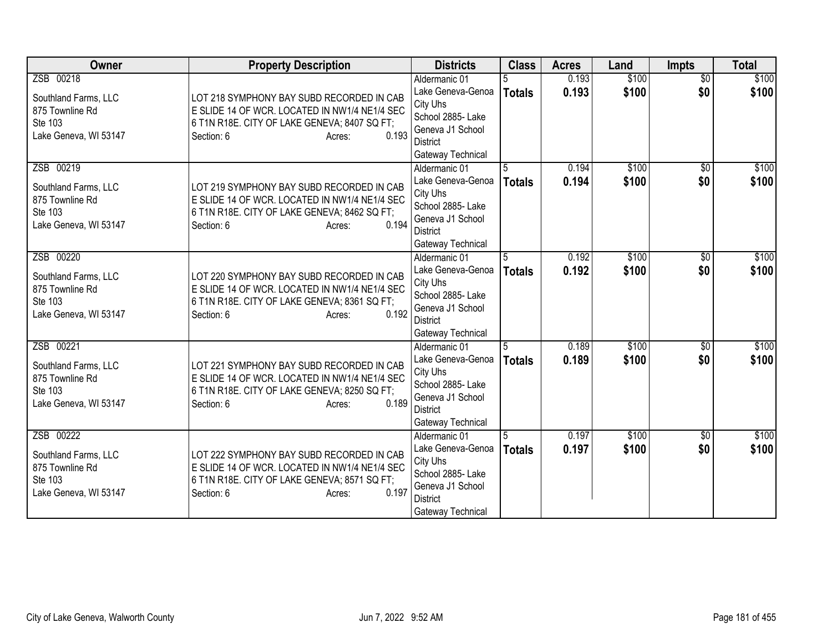| Owner                                                                                    | <b>Property Description</b>                                                                                                                                                 | <b>Districts</b>                                                                                                                | <b>Class</b>       | <b>Acres</b>   | Land           | <b>Impts</b>           | <b>Total</b>   |
|------------------------------------------------------------------------------------------|-----------------------------------------------------------------------------------------------------------------------------------------------------------------------------|---------------------------------------------------------------------------------------------------------------------------------|--------------------|----------------|----------------|------------------------|----------------|
| ZSB 00218<br>Southland Farms, LLC<br>875 Townline Rd<br>Ste 103<br>Lake Geneva, WI 53147 | LOT 218 SYMPHONY BAY SUBD RECORDED IN CAB<br>E SLIDE 14 OF WCR. LOCATED IN NW1/4 NE1/4 SEC<br>6 T1N R18E. CITY OF LAKE GENEVA; 8407 SQ FT;<br>0.193<br>Section: 6<br>Acres: | Aldermanic 01<br>Lake Geneva-Genoa<br>City Uhs<br>School 2885- Lake<br>Geneva J1 School<br><b>District</b><br>Gateway Technical | <b>Totals</b>      | 0.193<br>0.193 | \$100<br>\$100 | $\overline{50}$<br>\$0 | \$100<br>\$100 |
| ZSB 00219<br>Southland Farms, LLC<br>875 Townline Rd<br>Ste 103<br>Lake Geneva, WI 53147 | LOT 219 SYMPHONY BAY SUBD RECORDED IN CAB<br>E SLIDE 14 OF WCR. LOCATED IN NW1/4 NE1/4 SEC<br>6 T1N R18E. CITY OF LAKE GENEVA; 8462 SQ FT;<br>0.194<br>Section: 6<br>Acres: | Aldermanic 01<br>Lake Geneva-Genoa<br>City Uhs<br>School 2885- Lake<br>Geneva J1 School<br><b>District</b><br>Gateway Technical | 5<br><b>Totals</b> | 0.194<br>0.194 | \$100<br>\$100 | \$0<br>\$0             | \$100<br>\$100 |
| ZSB 00220<br>Southland Farms, LLC<br>875 Townline Rd<br>Ste 103<br>Lake Geneva, WI 53147 | LOT 220 SYMPHONY BAY SUBD RECORDED IN CAB<br>E SLIDE 14 OF WCR. LOCATED IN NW1/4 NE1/4 SEC<br>6 T1N R18E. CITY OF LAKE GENEVA; 8361 SQ FT;<br>0.192<br>Section: 6<br>Acres: | Aldermanic 01<br>Lake Geneva-Genoa<br>City Uhs<br>School 2885- Lake<br>Geneva J1 School<br><b>District</b><br>Gateway Technical | 5<br>Totals        | 0.192<br>0.192 | \$100<br>\$100 | \$0<br>\$0             | \$100<br>\$100 |
| ZSB 00221<br>Southland Farms, LLC<br>875 Townline Rd<br>Ste 103<br>Lake Geneva, WI 53147 | LOT 221 SYMPHONY BAY SUBD RECORDED IN CAB<br>E SLIDE 14 OF WCR. LOCATED IN NW1/4 NE1/4 SEC<br>6 T1N R18E. CITY OF LAKE GENEVA; 8250 SQ FT;<br>0.189<br>Section: 6<br>Acres: | Aldermanic 01<br>Lake Geneva-Genoa<br>City Uhs<br>School 2885- Lake<br>Geneva J1 School<br><b>District</b><br>Gateway Technical | <b>Totals</b>      | 0.189<br>0.189 | \$100<br>\$100 | $\overline{50}$<br>\$0 | \$100<br>\$100 |
| ZSB 00222<br>Southland Farms, LLC<br>875 Townline Rd<br>Ste 103<br>Lake Geneva, WI 53147 | LOT 222 SYMPHONY BAY SUBD RECORDED IN CAB<br>E SLIDE 14 OF WCR. LOCATED IN NW1/4 NE1/4 SEC<br>6 T1N R18E. CITY OF LAKE GENEVA; 8571 SQ FT;<br>0.197<br>Section: 6<br>Acres: | Aldermanic 01<br>Lake Geneva-Genoa<br>City Uhs<br>School 2885- Lake<br>Geneva J1 School<br><b>District</b><br>Gateway Technical | <b>Totals</b>      | 0.197<br>0.197 | \$100<br>\$100 | $\overline{50}$<br>\$0 | \$100<br>\$100 |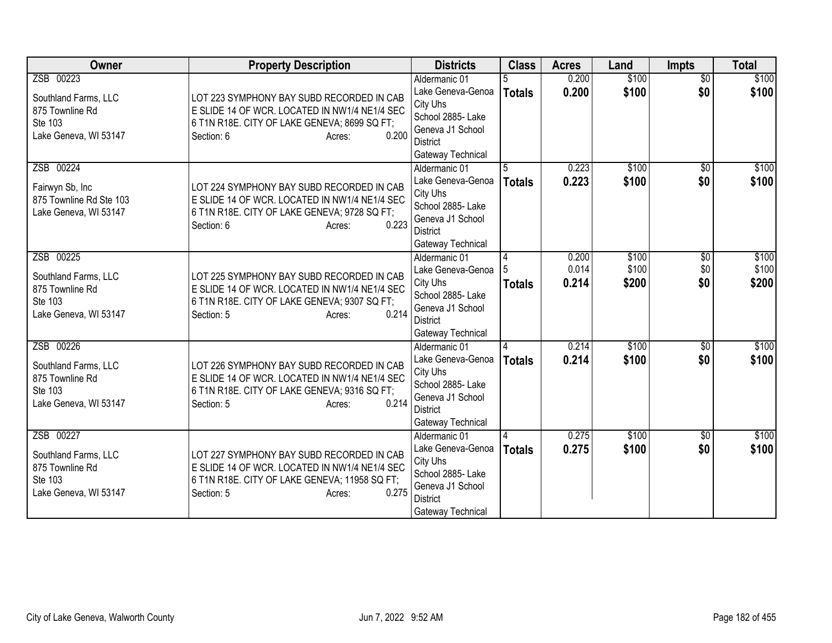| Owner                                                                                    | <b>Property Description</b>                                                                                                                                                  | <b>Districts</b>                                                                                                                | <b>Class</b>       | <b>Acres</b>            | Land                    | Impts                  | <b>Total</b>            |
|------------------------------------------------------------------------------------------|------------------------------------------------------------------------------------------------------------------------------------------------------------------------------|---------------------------------------------------------------------------------------------------------------------------------|--------------------|-------------------------|-------------------------|------------------------|-------------------------|
| ZSB 00223<br>Southland Farms, LLC<br>875 Townline Rd<br>Ste 103<br>Lake Geneva, WI 53147 | LOT 223 SYMPHONY BAY SUBD RECORDED IN CAB<br>E SLIDE 14 OF WCR. LOCATED IN NW1/4 NE1/4 SEC<br>6 T1N R18E. CITY OF LAKE GENEVA; 8699 SQ FT;<br>0.200<br>Section: 6<br>Acres:  | Aldermanic 01<br>Lake Geneva-Genoa<br>City Uhs<br>School 2885- Lake<br>Geneva J1 School<br>District<br>Gateway Technical        | <b>Totals</b>      | 0.200<br>0.200          | \$100<br>\$100          | $\overline{50}$<br>\$0 | \$100<br>\$100          |
| ZSB 00224<br>Fairwyn Sb, Inc<br>875 Townline Rd Ste 103<br>Lake Geneva, WI 53147         | LOT 224 SYMPHONY BAY SUBD RECORDED IN CAB<br>E SLIDE 14 OF WCR. LOCATED IN NW1/4 NE1/4 SEC<br>6 T1N R18E. CITY OF LAKE GENEVA; 9728 SQ FT;<br>0.223<br>Section: 6<br>Acres:  | Aldermanic 01<br>Lake Geneva-Genoa<br>City Uhs<br>School 2885- Lake<br>Geneva J1 School<br><b>District</b><br>Gateway Technical | 5<br><b>Totals</b> | 0.223<br>0.223          | \$100<br>\$100          | \$0<br>\$0             | \$100<br>\$100          |
| ZSB 00225<br>Southland Farms, LLC<br>875 Townline Rd<br>Ste 103<br>Lake Geneva, WI 53147 | LOT 225 SYMPHONY BAY SUBD RECORDED IN CAB<br>E SLIDE 14 OF WCR. LOCATED IN NW1/4 NE1/4 SEC<br>6 T1N R18E. CITY OF LAKE GENEVA; 9307 SQ FT;<br>0.214<br>Section: 5<br>Acres:  | Aldermanic 01<br>Lake Geneva-Genoa<br>City Uhs<br>School 2885- Lake<br>Geneva J1 School<br><b>District</b><br>Gateway Technical | 4<br><b>Totals</b> | 0.200<br>0.014<br>0.214 | \$100<br>\$100<br>\$200 | \$0<br>\$0<br>\$0      | \$100<br>\$100<br>\$200 |
| ZSB 00226<br>Southland Farms, LLC<br>875 Townline Rd<br>Ste 103<br>Lake Geneva, WI 53147 | LOT 226 SYMPHONY BAY SUBD RECORDED IN CAB<br>E SLIDE 14 OF WCR. LOCATED IN NW1/4 NE1/4 SEC<br>6 T1N R18E. CITY OF LAKE GENEVA; 9316 SQ FT;<br>0.214<br>Section: 5<br>Acres:  | Aldermanic 01<br>Lake Geneva-Genoa<br>City Uhs<br>School 2885- Lake<br>Geneva J1 School<br><b>District</b><br>Gateway Technical | <b>Totals</b>      | 0.214<br>0.214          | \$100<br>\$100          | $\overline{30}$<br>\$0 | \$100<br>\$100          |
| ZSB 00227<br>Southland Farms, LLC<br>875 Townline Rd<br>Ste 103<br>Lake Geneva, WI 53147 | LOT 227 SYMPHONY BAY SUBD RECORDED IN CAB<br>E SLIDE 14 OF WCR. LOCATED IN NW1/4 NE1/4 SEC<br>6 T1N R18E. CITY OF LAKE GENEVA; 11958 SQ FT;<br>0.275<br>Section: 5<br>Acres: | Aldermanic 01<br>Lake Geneva-Genoa<br>City Uhs<br>School 2885- Lake<br>Geneva J1 School<br><b>District</b><br>Gateway Technical | <b>Totals</b>      | 0.275<br>0.275          | \$100<br>\$100          | $\overline{50}$<br>\$0 | \$100<br>\$100          |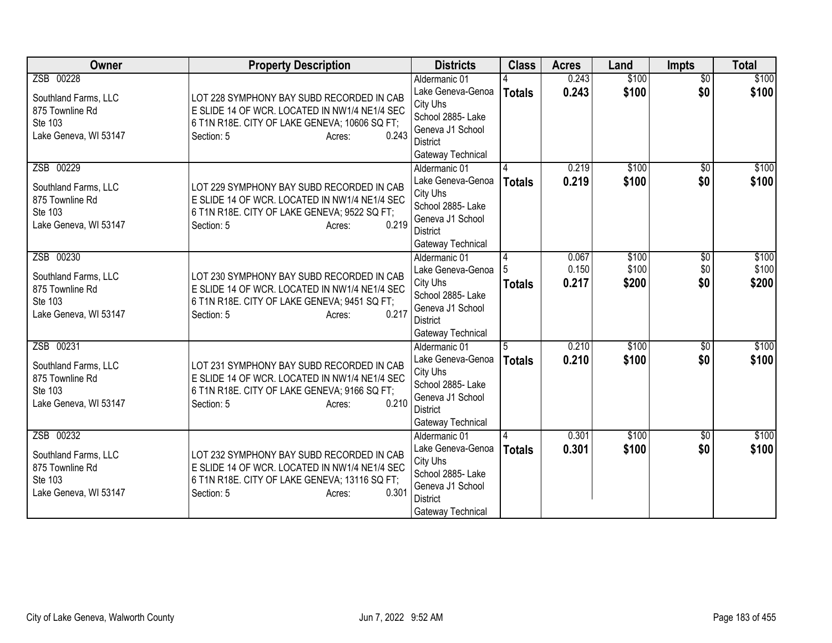| Owner                                                                                    | <b>Property Description</b>                                                                                                                                                  | <b>Districts</b>                                                                                                                | <b>Class</b>       | <b>Acres</b>            | Land                    | <b>Impts</b>           | <b>Total</b>            |
|------------------------------------------------------------------------------------------|------------------------------------------------------------------------------------------------------------------------------------------------------------------------------|---------------------------------------------------------------------------------------------------------------------------------|--------------------|-------------------------|-------------------------|------------------------|-------------------------|
| ZSB 00228<br>Southland Farms, LLC<br>875 Townline Rd<br>Ste 103<br>Lake Geneva, WI 53147 | LOT 228 SYMPHONY BAY SUBD RECORDED IN CAB<br>E SLIDE 14 OF WCR. LOCATED IN NW1/4 NE1/4 SEC<br>6 T1N R18E. CITY OF LAKE GENEVA; 10606 SQ FT;<br>0.243<br>Section: 5<br>Acres: | Aldermanic 01<br>Lake Geneva-Genoa<br>City Uhs<br>School 2885- Lake<br>Geneva J1 School<br><b>District</b><br>Gateway Technical | <b>Totals</b>      | 0.243<br>0.243          | \$100<br>\$100          | $\overline{50}$<br>\$0 | \$100<br>\$100          |
| ZSB 00229<br>Southland Farms, LLC<br>875 Townline Rd<br>Ste 103<br>Lake Geneva, WI 53147 | LOT 229 SYMPHONY BAY SUBD RECORDED IN CAB<br>E SLIDE 14 OF WCR. LOCATED IN NW1/4 NE1/4 SEC<br>6 T1N R18E. CITY OF LAKE GENEVA; 9522 SQ FT;<br>0.219<br>Section: 5<br>Acres:  | Aldermanic 01<br>Lake Geneva-Genoa<br>City Uhs<br>School 2885- Lake<br>Geneva J1 School<br><b>District</b><br>Gateway Technical | <b>Totals</b>      | 0.219<br>0.219          | \$100<br>\$100          | \$0<br>\$0             | \$100<br>\$100          |
| ZSB 00230<br>Southland Farms, LLC<br>875 Townline Rd<br>Ste 103<br>Lake Geneva, WI 53147 | LOT 230 SYMPHONY BAY SUBD RECORDED IN CAB<br>E SLIDE 14 OF WCR. LOCATED IN NW1/4 NE1/4 SEC<br>6 T1N R18E. CITY OF LAKE GENEVA; 9451 SQ FT;<br>0.217<br>Section: 5<br>Acres:  | Aldermanic 01<br>Lake Geneva-Genoa<br>City Uhs<br>School 2885- Lake<br>Geneva J1 School<br><b>District</b><br>Gateway Technical | 4<br><b>Totals</b> | 0.067<br>0.150<br>0.217 | \$100<br>\$100<br>\$200 | \$0<br>\$0<br>\$0      | \$100<br>\$100<br>\$200 |
| ZSB 00231<br>Southland Farms, LLC<br>875 Townline Rd<br>Ste 103<br>Lake Geneva, WI 53147 | LOT 231 SYMPHONY BAY SUBD RECORDED IN CAB<br>E SLIDE 14 OF WCR. LOCATED IN NW1/4 NE1/4 SEC<br>6 T1N R18E. CITY OF LAKE GENEVA; 9166 SQ FT;<br>0.210<br>Section: 5<br>Acres:  | Aldermanic 01<br>Lake Geneva-Genoa<br>City Uhs<br>School 2885- Lake<br>Geneva J1 School<br><b>District</b><br>Gateway Technical | 5<br><b>Totals</b> | 0.210<br>0.210          | \$100<br>\$100          | $\overline{50}$<br>\$0 | \$100<br>\$100          |
| ZSB 00232<br>Southland Farms, LLC<br>875 Townline Rd<br>Ste 103<br>Lake Geneva, WI 53147 | LOT 232 SYMPHONY BAY SUBD RECORDED IN CAB<br>E SLIDE 14 OF WCR. LOCATED IN NW1/4 NE1/4 SEC<br>6 T1N R18E. CITY OF LAKE GENEVA; 13116 SQ FT;<br>0.301<br>Section: 5<br>Acres: | Aldermanic 01<br>Lake Geneva-Genoa<br>City Uhs<br>School 2885- Lake<br>Geneva J1 School<br><b>District</b><br>Gateway Technical | <b>Totals</b>      | 0.301<br>0.301          | \$100<br>\$100          | $\overline{50}$<br>\$0 | \$100<br>\$100          |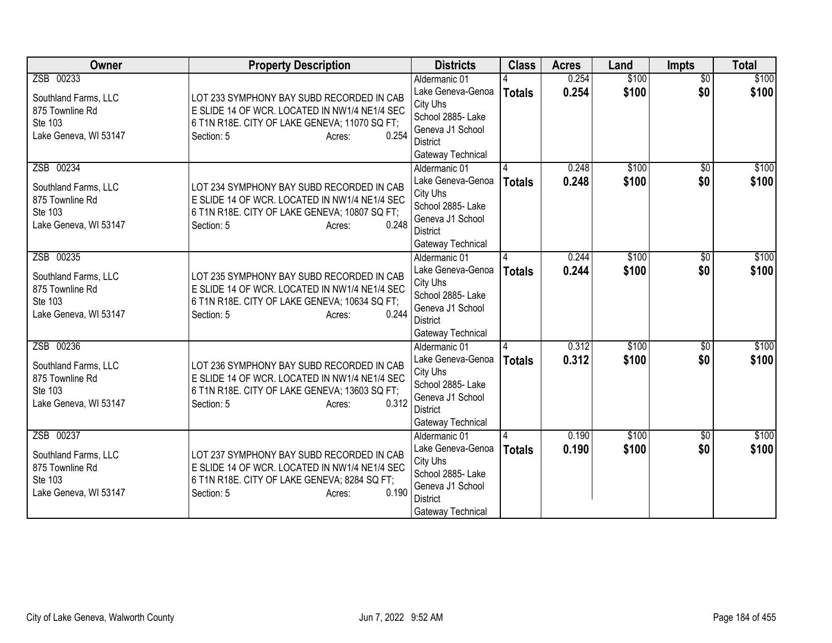| Owner                                                                                    | <b>Property Description</b>                                                                                                                                                  | <b>Districts</b>                                                                                                                | <b>Class</b>  | <b>Acres</b>   | Land           | <b>Impts</b>           | <b>Total</b>   |
|------------------------------------------------------------------------------------------|------------------------------------------------------------------------------------------------------------------------------------------------------------------------------|---------------------------------------------------------------------------------------------------------------------------------|---------------|----------------|----------------|------------------------|----------------|
| ZSB 00233<br>Southland Farms, LLC<br>875 Townline Rd<br>Ste 103<br>Lake Geneva, WI 53147 | LOT 233 SYMPHONY BAY SUBD RECORDED IN CAB<br>E SLIDE 14 OF WCR. LOCATED IN NW1/4 NE1/4 SEC<br>6 T1N R18E. CITY OF LAKE GENEVA; 11070 SQ FT;<br>0.254<br>Section: 5<br>Acres: | Aldermanic 01<br>Lake Geneva-Genoa<br>City Uhs<br>School 2885- Lake<br>Geneva J1 School<br><b>District</b><br>Gateway Technical | <b>Totals</b> | 0.254<br>0.254 | \$100<br>\$100 | $\overline{50}$<br>\$0 | \$100<br>\$100 |
| ZSB 00234<br>Southland Farms, LLC<br>875 Townline Rd<br>Ste 103<br>Lake Geneva, WI 53147 | LOT 234 SYMPHONY BAY SUBD RECORDED IN CAB<br>E SLIDE 14 OF WCR. LOCATED IN NW1/4 NE1/4 SEC<br>6 T1N R18E. CITY OF LAKE GENEVA; 10807 SQ FT;<br>0.248<br>Section: 5<br>Acres: | Aldermanic 01<br>Lake Geneva-Genoa<br>City Uhs<br>School 2885- Lake<br>Geneva J1 School<br><b>District</b><br>Gateway Technical | <b>Totals</b> | 0.248<br>0.248 | \$100<br>\$100 | \$0<br>\$0             | \$100<br>\$100 |
| ZSB 00235<br>Southland Farms, LLC<br>875 Townline Rd<br>Ste 103<br>Lake Geneva, WI 53147 | LOT 235 SYMPHONY BAY SUBD RECORDED IN CAB<br>E SLIDE 14 OF WCR. LOCATED IN NW1/4 NE1/4 SEC<br>6 T1N R18E. CITY OF LAKE GENEVA; 10634 SQ FT;<br>0.244<br>Section: 5<br>Acres: | Aldermanic 01<br>Lake Geneva-Genoa<br>City Uhs<br>School 2885- Lake<br>Geneva J1 School<br><b>District</b><br>Gateway Technical | <b>Totals</b> | 0.244<br>0.244 | \$100<br>\$100 | \$0<br>\$0             | \$100<br>\$100 |
| ZSB 00236<br>Southland Farms, LLC<br>875 Townline Rd<br>Ste 103<br>Lake Geneva, WI 53147 | LOT 236 SYMPHONY BAY SUBD RECORDED IN CAB<br>E SLIDE 14 OF WCR. LOCATED IN NW1/4 NE1/4 SEC<br>6 T1N R18E. CITY OF LAKE GENEVA; 13603 SQ FT;<br>0.312<br>Section: 5<br>Acres: | Aldermanic 01<br>Lake Geneva-Genoa<br>City Uhs<br>School 2885- Lake<br>Geneva J1 School<br><b>District</b><br>Gateway Technical | <b>Totals</b> | 0.312<br>0.312 | \$100<br>\$100 | $\overline{50}$<br>\$0 | \$100<br>\$100 |
| ZSB 00237<br>Southland Farms, LLC<br>875 Townline Rd<br>Ste 103<br>Lake Geneva, WI 53147 | LOT 237 SYMPHONY BAY SUBD RECORDED IN CAB<br>E SLIDE 14 OF WCR. LOCATED IN NW1/4 NE1/4 SEC<br>6 T1N R18E. CITY OF LAKE GENEVA; 8284 SQ FT;<br>0.190<br>Section: 5<br>Acres:  | Aldermanic 01<br>Lake Geneva-Genoa<br>City Uhs<br>School 2885- Lake<br>Geneva J1 School<br><b>District</b><br>Gateway Technical | <b>Totals</b> | 0.190<br>0.190 | \$100<br>\$100 | $\overline{50}$<br>\$0 | \$100<br>\$100 |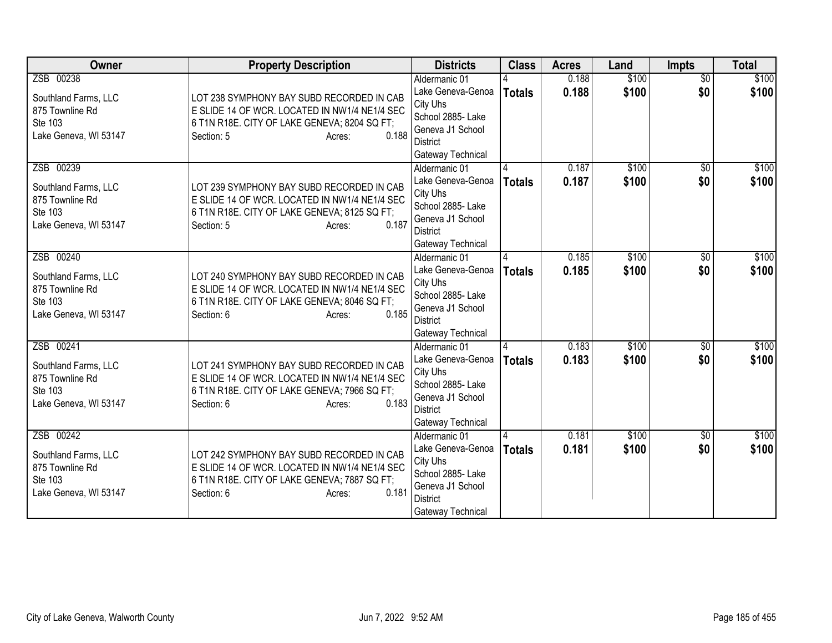| Owner                                                                                    | <b>Property Description</b>                                                                                                                                                 | <b>Districts</b>                                                                                                                | <b>Class</b>  | <b>Acres</b>   | Land           | <b>Impts</b>           | <b>Total</b>   |
|------------------------------------------------------------------------------------------|-----------------------------------------------------------------------------------------------------------------------------------------------------------------------------|---------------------------------------------------------------------------------------------------------------------------------|---------------|----------------|----------------|------------------------|----------------|
| ZSB 00238<br>Southland Farms, LLC<br>875 Townline Rd<br>Ste 103<br>Lake Geneva, WI 53147 | LOT 238 SYMPHONY BAY SUBD RECORDED IN CAB<br>E SLIDE 14 OF WCR. LOCATED IN NW1/4 NE1/4 SEC<br>6 T1N R18E. CITY OF LAKE GENEVA; 8204 SQ FT;<br>0.188<br>Section: 5<br>Acres: | Aldermanic 01<br>Lake Geneva-Genoa<br>City Uhs<br>School 2885- Lake<br>Geneva J1 School<br><b>District</b><br>Gateway Technical | <b>Totals</b> | 0.188<br>0.188 | \$100<br>\$100 | $\overline{50}$<br>\$0 | \$100<br>\$100 |
| ZSB 00239<br>Southland Farms, LLC<br>875 Townline Rd<br>Ste 103<br>Lake Geneva, WI 53147 | LOT 239 SYMPHONY BAY SUBD RECORDED IN CAB<br>E SLIDE 14 OF WCR. LOCATED IN NW1/4 NE1/4 SEC<br>6 T1N R18E. CITY OF LAKE GENEVA; 8125 SQ FT;<br>0.187<br>Section: 5<br>Acres: | Aldermanic 01<br>Lake Geneva-Genoa<br>City Uhs<br>School 2885- Lake<br>Geneva J1 School<br><b>District</b><br>Gateway Technical | <b>Totals</b> | 0.187<br>0.187 | \$100<br>\$100 | \$0<br>\$0             | \$100<br>\$100 |
| ZSB 00240<br>Southland Farms, LLC<br>875 Townline Rd<br>Ste 103<br>Lake Geneva, WI 53147 | LOT 240 SYMPHONY BAY SUBD RECORDED IN CAB<br>E SLIDE 14 OF WCR. LOCATED IN NW1/4 NE1/4 SEC<br>6 T1N R18E. CITY OF LAKE GENEVA; 8046 SQ FT;<br>0.185<br>Section: 6<br>Acres: | Aldermanic 01<br>Lake Geneva-Genoa<br>City Uhs<br>School 2885- Lake<br>Geneva J1 School<br><b>District</b><br>Gateway Technical | <b>Totals</b> | 0.185<br>0.185 | \$100<br>\$100 | \$0<br>\$0             | \$100<br>\$100 |
| ZSB 00241<br>Southland Farms, LLC<br>875 Townline Rd<br>Ste 103<br>Lake Geneva, WI 53147 | LOT 241 SYMPHONY BAY SUBD RECORDED IN CAB<br>E SLIDE 14 OF WCR. LOCATED IN NW1/4 NE1/4 SEC<br>6 T1N R18E. CITY OF LAKE GENEVA; 7966 SQ FT;<br>0.183<br>Section: 6<br>Acres: | Aldermanic 01<br>Lake Geneva-Genoa<br>City Uhs<br>School 2885- Lake<br>Geneva J1 School<br><b>District</b><br>Gateway Technical | <b>Totals</b> | 0.183<br>0.183 | \$100<br>\$100 | $\overline{50}$<br>\$0 | \$100<br>\$100 |
| ZSB 00242<br>Southland Farms, LLC<br>875 Townline Rd<br>Ste 103<br>Lake Geneva, WI 53147 | LOT 242 SYMPHONY BAY SUBD RECORDED IN CAB<br>E SLIDE 14 OF WCR. LOCATED IN NW1/4 NE1/4 SEC<br>6 T1N R18E. CITY OF LAKE GENEVA; 7887 SQ FT;<br>0.181<br>Section: 6<br>Acres: | Aldermanic 01<br>Lake Geneva-Genoa<br>City Uhs<br>School 2885- Lake<br>Geneva J1 School<br><b>District</b><br>Gateway Technical | <b>Totals</b> | 0.181<br>0.181 | \$100<br>\$100 | $\overline{50}$<br>\$0 | \$100<br>\$100 |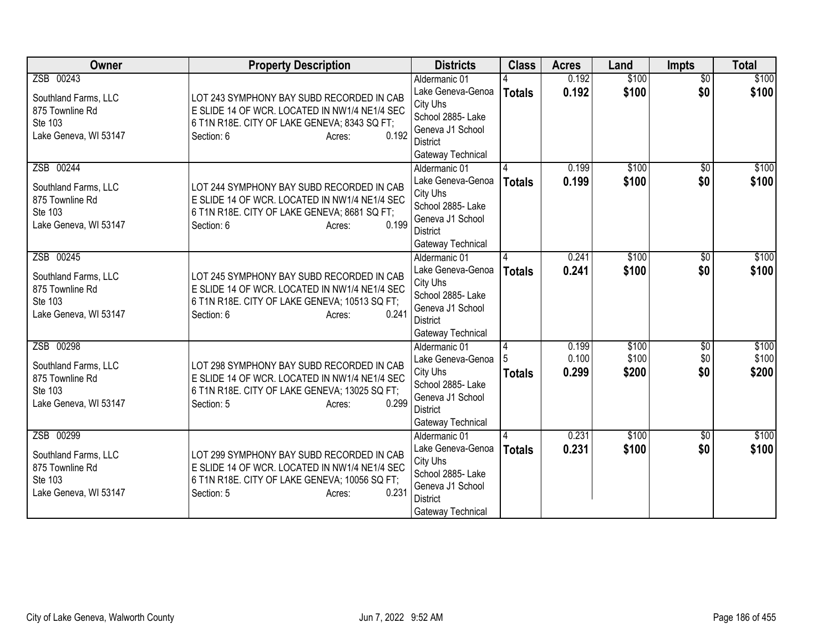| Owner                                                                                    | <b>Property Description</b>                                                                                                                                                  | <b>Districts</b>                                                                                                                | <b>Class</b>  | <b>Acres</b>            | Land                    | <b>Impts</b>                  | <b>Total</b>            |
|------------------------------------------------------------------------------------------|------------------------------------------------------------------------------------------------------------------------------------------------------------------------------|---------------------------------------------------------------------------------------------------------------------------------|---------------|-------------------------|-------------------------|-------------------------------|-------------------------|
| ZSB 00243<br>Southland Farms, LLC<br>875 Townline Rd<br>Ste 103<br>Lake Geneva, WI 53147 | LOT 243 SYMPHONY BAY SUBD RECORDED IN CAB<br>E SLIDE 14 OF WCR. LOCATED IN NW1/4 NE1/4 SEC<br>6 T1N R18E. CITY OF LAKE GENEVA; 8343 SQ FT;<br>0.192<br>Section: 6<br>Acres:  | Aldermanic 01<br>Lake Geneva-Genoa<br>City Uhs<br>School 2885- Lake<br>Geneva J1 School<br><b>District</b><br>Gateway Technical | <b>Totals</b> | 0.192<br>0.192          | \$100<br>\$100          | $\overline{50}$<br>\$0        | \$100<br>\$100          |
| ZSB 00244<br>Southland Farms, LLC<br>875 Townline Rd<br>Ste 103<br>Lake Geneva, WI 53147 | LOT 244 SYMPHONY BAY SUBD RECORDED IN CAB<br>E SLIDE 14 OF WCR. LOCATED IN NW1/4 NE1/4 SEC<br>6 T1N R18E. CITY OF LAKE GENEVA; 8681 SQ FT;<br>0.199<br>Section: 6<br>Acres:  | Aldermanic 01<br>Lake Geneva-Genoa<br>City Uhs<br>School 2885- Lake<br>Geneva J1 School<br><b>District</b><br>Gateway Technical | <b>Totals</b> | 0.199<br>0.199          | \$100<br>\$100          | \$0<br>\$0                    | \$100<br>\$100          |
| ZSB 00245<br>Southland Farms, LLC<br>875 Townline Rd<br>Ste 103<br>Lake Geneva, WI 53147 | LOT 245 SYMPHONY BAY SUBD RECORDED IN CAB<br>E SLIDE 14 OF WCR. LOCATED IN NW1/4 NE1/4 SEC<br>6 T1N R18E. CITY OF LAKE GENEVA; 10513 SQ FT;<br>0.241<br>Section: 6<br>Acres: | Aldermanic 01<br>Lake Geneva-Genoa<br>City Uhs<br>School 2885- Lake<br>Geneva J1 School<br><b>District</b><br>Gateway Technical | <b>Totals</b> | 0.241<br>0.241          | \$100<br>\$100          | \$0<br>\$0                    | \$100<br>\$100          |
| ZSB 00298<br>Southland Farms, LLC<br>875 Townline Rd<br>Ste 103<br>Lake Geneva, WI 53147 | LOT 298 SYMPHONY BAY SUBD RECORDED IN CAB<br>E SLIDE 14 OF WCR. LOCATED IN NW1/4 NE1/4 SEC<br>6 T1N R18E. CITY OF LAKE GENEVA; 13025 SQ FT;<br>0.299<br>Section: 5<br>Acres: | Aldermanic 01<br>Lake Geneva-Genoa<br>City Uhs<br>School 2885- Lake<br>Geneva J1 School<br><b>District</b><br>Gateway Technical | <b>Totals</b> | 0.199<br>0.100<br>0.299 | \$100<br>\$100<br>\$200 | $\overline{$0}$<br>\$0<br>\$0 | \$100<br>\$100<br>\$200 |
| ZSB 00299<br>Southland Farms, LLC<br>875 Townline Rd<br>Ste 103<br>Lake Geneva, WI 53147 | LOT 299 SYMPHONY BAY SUBD RECORDED IN CAB<br>E SLIDE 14 OF WCR. LOCATED IN NW1/4 NE1/4 SEC<br>6 T1N R18E. CITY OF LAKE GENEVA; 10056 SQ FT;<br>0.231<br>Section: 5<br>Acres: | Aldermanic 01<br>Lake Geneva-Genoa<br>City Uhs<br>School 2885- Lake<br>Geneva J1 School<br><b>District</b><br>Gateway Technical | <b>Totals</b> | 0.231<br>0.231          | \$100<br>\$100          | $\overline{50}$<br>\$0        | \$100<br>\$100          |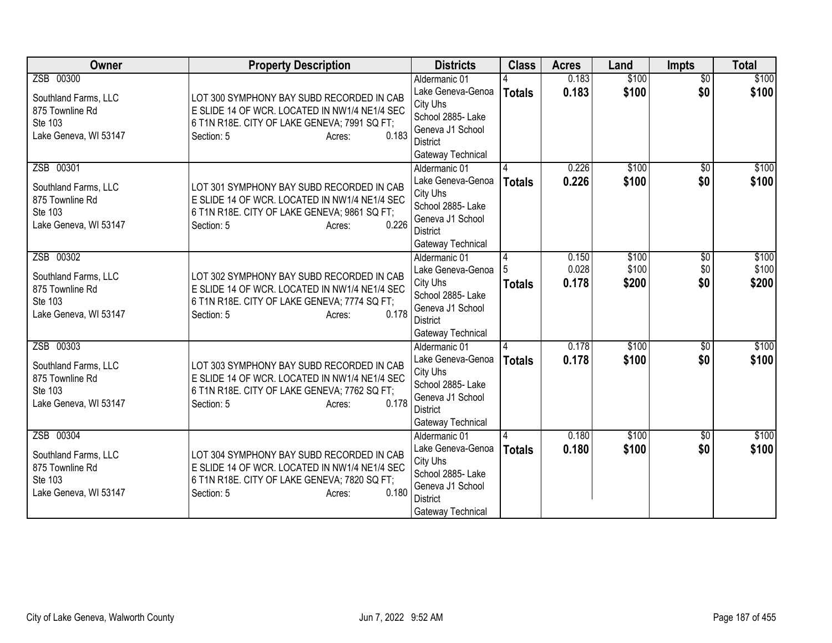| Owner                                                                                    | <b>Property Description</b>                                                                                                                                                 | <b>Districts</b>                                                                                                                | <b>Class</b>       | <b>Acres</b>            | Land                    | Impts                  | <b>Total</b>            |
|------------------------------------------------------------------------------------------|-----------------------------------------------------------------------------------------------------------------------------------------------------------------------------|---------------------------------------------------------------------------------------------------------------------------------|--------------------|-------------------------|-------------------------|------------------------|-------------------------|
| ZSB 00300<br>Southland Farms, LLC<br>875 Townline Rd<br>Ste 103<br>Lake Geneva, WI 53147 | LOT 300 SYMPHONY BAY SUBD RECORDED IN CAB<br>E SLIDE 14 OF WCR. LOCATED IN NW1/4 NE1/4 SEC<br>6 T1N R18E. CITY OF LAKE GENEVA; 7991 SQ FT;<br>0.183<br>Section: 5<br>Acres: | Aldermanic 01<br>Lake Geneva-Genoa<br>City Uhs<br>School 2885- Lake<br>Geneva J1 School<br><b>District</b><br>Gateway Technical | <b>Totals</b>      | 0.183<br>0.183          | \$100<br>\$100          | $\overline{50}$<br>\$0 | \$100<br>\$100          |
| ZSB 00301<br>Southland Farms, LLC<br>875 Townline Rd<br>Ste 103<br>Lake Geneva, WI 53147 | LOT 301 SYMPHONY BAY SUBD RECORDED IN CAB<br>E SLIDE 14 OF WCR. LOCATED IN NW1/4 NE1/4 SEC<br>6 T1N R18E. CITY OF LAKE GENEVA; 9861 SQ FT;<br>0.226<br>Section: 5<br>Acres: | Aldermanic 01<br>Lake Geneva-Genoa<br>City Uhs<br>School 2885- Lake<br>Geneva J1 School<br><b>District</b><br>Gateway Technical | <b>Totals</b>      | 0.226<br>0.226          | \$100<br>\$100          | \$0<br>\$0             | \$100<br>\$100          |
| ZSB 00302<br>Southland Farms, LLC<br>875 Townline Rd<br>Ste 103<br>Lake Geneva, WI 53147 | LOT 302 SYMPHONY BAY SUBD RECORDED IN CAB<br>E SLIDE 14 OF WCR. LOCATED IN NW1/4 NE1/4 SEC<br>6 T1N R18E. CITY OF LAKE GENEVA; 7774 SQ FT;<br>0.178<br>Section: 5<br>Acres: | Aldermanic 01<br>Lake Geneva-Genoa<br>City Uhs<br>School 2885- Lake<br>Geneva J1 School<br>District<br>Gateway Technical        | 4<br><b>Totals</b> | 0.150<br>0.028<br>0.178 | \$100<br>\$100<br>\$200 | \$0<br>\$0<br>\$0      | \$100<br>\$100<br>\$200 |
| ZSB 00303<br>Southland Farms, LLC<br>875 Townline Rd<br>Ste 103<br>Lake Geneva, WI 53147 | LOT 303 SYMPHONY BAY SUBD RECORDED IN CAB<br>E SLIDE 14 OF WCR. LOCATED IN NW1/4 NE1/4 SEC<br>6 T1N R18E. CITY OF LAKE GENEVA; 7762 SQ FT;<br>0.178<br>Section: 5<br>Acres: | Aldermanic 01<br>Lake Geneva-Genoa<br>City Uhs<br>School 2885- Lake<br>Geneva J1 School<br><b>District</b><br>Gateway Technical | <b>Totals</b>      | 0.178<br>0.178          | \$100<br>\$100          | $\overline{30}$<br>\$0 | \$100<br>\$100          |
| ZSB 00304<br>Southland Farms, LLC<br>875 Townline Rd<br>Ste 103<br>Lake Geneva, WI 53147 | LOT 304 SYMPHONY BAY SUBD RECORDED IN CAB<br>E SLIDE 14 OF WCR. LOCATED IN NW1/4 NE1/4 SEC<br>6 T1N R18E. CITY OF LAKE GENEVA; 7820 SQ FT;<br>0.180<br>Section: 5<br>Acres: | Aldermanic 01<br>Lake Geneva-Genoa<br>City Uhs<br>School 2885- Lake<br>Geneva J1 School<br><b>District</b><br>Gateway Technical | <b>Totals</b>      | 0.180<br>0.180          | \$100<br>\$100          | $\overline{50}$<br>\$0 | \$100<br>\$100          |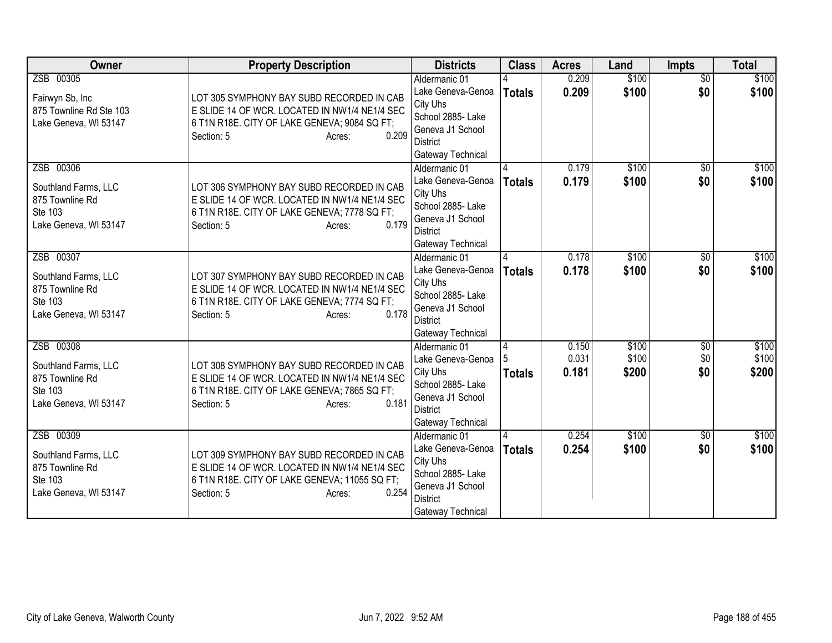| Owner                                                                                    | <b>Property Description</b>                                                                                                                                                  | <b>Districts</b>                                                                                                                | <b>Class</b>  | <b>Acres</b>            | Land                    | Impts                  | <b>Total</b>            |
|------------------------------------------------------------------------------------------|------------------------------------------------------------------------------------------------------------------------------------------------------------------------------|---------------------------------------------------------------------------------------------------------------------------------|---------------|-------------------------|-------------------------|------------------------|-------------------------|
| ZSB 00305<br>Fairwyn Sb, Inc<br>875 Townline Rd Ste 103<br>Lake Geneva, WI 53147         | LOT 305 SYMPHONY BAY SUBD RECORDED IN CAB<br>E SLIDE 14 OF WCR. LOCATED IN NW1/4 NE1/4 SEC<br>6 T1N R18E. CITY OF LAKE GENEVA; 9084 SQ FT;<br>0.209<br>Section: 5<br>Acres:  | Aldermanic 01<br>Lake Geneva-Genoa<br>City Uhs<br>School 2885- Lake<br>Geneva J1 School<br><b>District</b><br>Gateway Technical | <b>Totals</b> | 0.209<br>0.209          | \$100<br>\$100          | $\overline{50}$<br>\$0 | \$100<br>\$100          |
| ZSB 00306<br>Southland Farms, LLC<br>875 Townline Rd<br>Ste 103<br>Lake Geneva, WI 53147 | LOT 306 SYMPHONY BAY SUBD RECORDED IN CAB<br>E SLIDE 14 OF WCR. LOCATED IN NW1/4 NE1/4 SEC<br>6 T1N R18E. CITY OF LAKE GENEVA; 7778 SQ FT;<br>0.179<br>Section: 5<br>Acres:  | Aldermanic 01<br>Lake Geneva-Genoa<br>City Uhs<br>School 2885- Lake<br>Geneva J1 School<br><b>District</b><br>Gateway Technical | <b>Totals</b> | 0.179<br>0.179          | \$100<br>\$100          | \$0<br>\$0             | \$100<br>\$100          |
| ZSB 00307<br>Southland Farms, LLC<br>875 Townline Rd<br>Ste 103<br>Lake Geneva, WI 53147 | LOT 307 SYMPHONY BAY SUBD RECORDED IN CAB<br>E SLIDE 14 OF WCR. LOCATED IN NW1/4 NE1/4 SEC<br>6 T1N R18E. CITY OF LAKE GENEVA; 7774 SQ FT;<br>0.178<br>Section: 5<br>Acres:  | Aldermanic 01<br>Lake Geneva-Genoa<br>City Uhs<br>School 2885- Lake<br>Geneva J1 School<br>District<br>Gateway Technical        | Totals        | 0.178<br>0.178          | \$100<br>\$100          | \$0<br>\$0             | \$100<br>\$100          |
| ZSB 00308<br>Southland Farms, LLC<br>875 Townline Rd<br>Ste 103<br>Lake Geneva, WI 53147 | LOT 308 SYMPHONY BAY SUBD RECORDED IN CAB<br>E SLIDE 14 OF WCR. LOCATED IN NW1/4 NE1/4 SEC<br>6 T1N R18E. CITY OF LAKE GENEVA; 7865 SQ FT;<br>0.181<br>Section: 5<br>Acres:  | Aldermanic 01<br>Lake Geneva-Genoa<br>City Uhs<br>School 2885- Lake<br>Geneva J1 School<br><b>District</b><br>Gateway Technical | <b>Totals</b> | 0.150<br>0.031<br>0.181 | \$100<br>\$100<br>\$200 | \$0<br>\$0<br>\$0      | \$100<br>\$100<br>\$200 |
| ZSB 00309<br>Southland Farms, LLC<br>875 Townline Rd<br>Ste 103<br>Lake Geneva, WI 53147 | LOT 309 SYMPHONY BAY SUBD RECORDED IN CAB<br>E SLIDE 14 OF WCR. LOCATED IN NW1/4 NE1/4 SEC<br>6 T1N R18E. CITY OF LAKE GENEVA; 11055 SQ FT;<br>0.254<br>Section: 5<br>Acres: | Aldermanic 01<br>Lake Geneva-Genoa<br>City Uhs<br>School 2885- Lake<br>Geneva J1 School<br><b>District</b><br>Gateway Technical | <b>Totals</b> | 0.254<br>0.254          | \$100<br>\$100          | $\overline{50}$<br>\$0 | \$100<br>\$100          |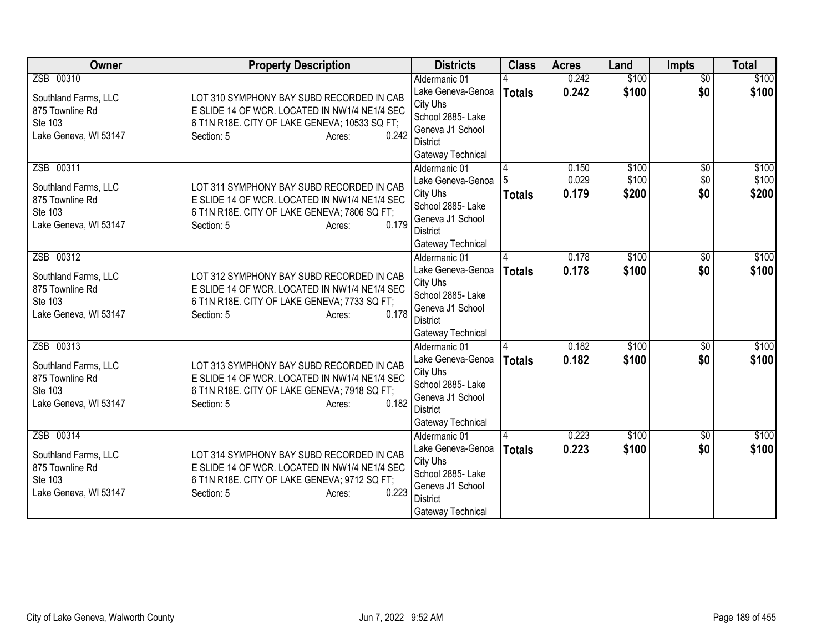| Owner                                                                                    | <b>Property Description</b>                                                                                                                                                  | <b>Districts</b>                                                                                                                | <b>Class</b>       | <b>Acres</b>            | Land                    | <b>Impts</b>                  | <b>Total</b>            |
|------------------------------------------------------------------------------------------|------------------------------------------------------------------------------------------------------------------------------------------------------------------------------|---------------------------------------------------------------------------------------------------------------------------------|--------------------|-------------------------|-------------------------|-------------------------------|-------------------------|
| ZSB 00310<br>Southland Farms, LLC<br>875 Townline Rd<br>Ste 103<br>Lake Geneva, WI 53147 | LOT 310 SYMPHONY BAY SUBD RECORDED IN CAB<br>E SLIDE 14 OF WCR. LOCATED IN NW1/4 NE1/4 SEC<br>6 T1N R18E. CITY OF LAKE GENEVA; 10533 SQ FT;<br>0.242<br>Section: 5<br>Acres: | Aldermanic 01<br>Lake Geneva-Genoa<br>City Uhs<br>School 2885- Lake<br>Geneva J1 School<br><b>District</b><br>Gateway Technical | <b>Totals</b>      | 0.242<br>0.242          | \$100<br>\$100          | $\overline{50}$<br>\$0        | \$100<br>\$100          |
| ZSB 00311<br>Southland Farms, LLC<br>875 Townline Rd<br>Ste 103<br>Lake Geneva, WI 53147 | LOT 311 SYMPHONY BAY SUBD RECORDED IN CAB<br>E SLIDE 14 OF WCR. LOCATED IN NW1/4 NE1/4 SEC<br>6 T1N R18E. CITY OF LAKE GENEVA; 7806 SQ FT;<br>0.179<br>Section: 5<br>Acres:  | Aldermanic 01<br>Lake Geneva-Genoa<br>City Uhs<br>School 2885- Lake<br>Geneva J1 School<br><b>District</b><br>Gateway Technical | Totals             | 0.150<br>0.029<br>0.179 | \$100<br>\$100<br>\$200 | $\overline{50}$<br>\$0<br>\$0 | \$100<br>\$100<br>\$200 |
| ZSB 00312<br>Southland Farms, LLC<br>875 Townline Rd<br>Ste 103<br>Lake Geneva, WI 53147 | LOT 312 SYMPHONY BAY SUBD RECORDED IN CAB<br>E SLIDE 14 OF WCR. LOCATED IN NW1/4 NE1/4 SEC<br>6 T1N R18E. CITY OF LAKE GENEVA; 7733 SQ FT;<br>0.178<br>Section: 5<br>Acres:  | Aldermanic 01<br>Lake Geneva-Genoa<br>City Uhs<br>School 2885- Lake<br>Geneva J1 School<br><b>District</b><br>Gateway Technical | Δ<br><b>Totals</b> | 0.178<br>0.178          | \$100<br>\$100          | \$0<br>\$0                    | \$100<br>\$100          |
| ZSB 00313<br>Southland Farms, LLC<br>875 Townline Rd<br>Ste 103<br>Lake Geneva, WI 53147 | LOT 313 SYMPHONY BAY SUBD RECORDED IN CAB<br>E SLIDE 14 OF WCR. LOCATED IN NW1/4 NE1/4 SEC<br>6 T1N R18E. CITY OF LAKE GENEVA; 7918 SQ FT;<br>0.182<br>Section: 5<br>Acres:  | Aldermanic 01<br>Lake Geneva-Genoa<br>City Uhs<br>School 2885- Lake<br>Geneva J1 School<br><b>District</b><br>Gateway Technical | <b>Totals</b>      | 0.182<br>0.182          | \$100<br>\$100          | $\overline{50}$<br>\$0        | \$100<br>\$100          |
| ZSB 00314<br>Southland Farms, LLC<br>875 Townline Rd<br>Ste 103<br>Lake Geneva, WI 53147 | LOT 314 SYMPHONY BAY SUBD RECORDED IN CAB<br>E SLIDE 14 OF WCR. LOCATED IN NW1/4 NE1/4 SEC<br>6 T1N R18E. CITY OF LAKE GENEVA; 9712 SQ FT;<br>0.223<br>Section: 5<br>Acres:  | Aldermanic 01<br>Lake Geneva-Genoa<br>City Uhs<br>School 2885- Lake<br>Geneva J1 School<br><b>District</b><br>Gateway Technical | <b>Totals</b>      | 0.223<br>0.223          | \$100<br>\$100          | $\overline{50}$<br>\$0        | \$100<br>\$100          |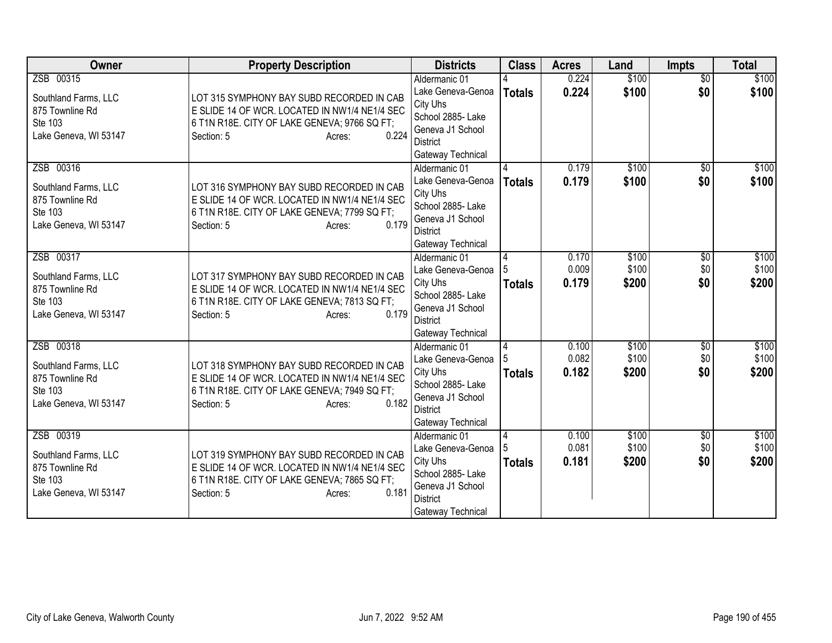| Owner                                                                                    | <b>Property Description</b>                                                                                                                                                 | <b>Districts</b>                                                                                                                | <b>Class</b>       | <b>Acres</b>            | Land                    | <b>Impts</b>                  | <b>Total</b>            |
|------------------------------------------------------------------------------------------|-----------------------------------------------------------------------------------------------------------------------------------------------------------------------------|---------------------------------------------------------------------------------------------------------------------------------|--------------------|-------------------------|-------------------------|-------------------------------|-------------------------|
| ZSB 00315<br>Southland Farms, LLC<br>875 Townline Rd<br>Ste 103<br>Lake Geneva, WI 53147 | LOT 315 SYMPHONY BAY SUBD RECORDED IN CAB<br>E SLIDE 14 OF WCR. LOCATED IN NW1/4 NE1/4 SEC<br>6 T1N R18E. CITY OF LAKE GENEVA; 9766 SQ FT;<br>0.224<br>Section: 5<br>Acres: | Aldermanic 01<br>Lake Geneva-Genoa<br>City Uhs<br>School 2885- Lake<br>Geneva J1 School<br><b>District</b><br>Gateway Technical | <b>Totals</b>      | 0.224<br>0.224          | \$100<br>\$100          | $\overline{50}$<br>\$0        | \$100<br>\$100          |
| ZSB 00316<br>Southland Farms, LLC<br>875 Townline Rd<br>Ste 103<br>Lake Geneva, WI 53147 | LOT 316 SYMPHONY BAY SUBD RECORDED IN CAB<br>E SLIDE 14 OF WCR. LOCATED IN NW1/4 NE1/4 SEC<br>6 T1N R18E. CITY OF LAKE GENEVA; 7799 SQ FT;<br>0.179<br>Section: 5<br>Acres: | Aldermanic 01<br>Lake Geneva-Genoa<br>City Uhs<br>School 2885- Lake<br>Geneva J1 School<br><b>District</b><br>Gateway Technical | <b>Totals</b>      | 0.179<br>0.179          | \$100<br>\$100          | $\overline{30}$<br>\$0        | \$100<br>\$100          |
| ZSB 00317<br>Southland Farms, LLC<br>875 Townline Rd<br>Ste 103<br>Lake Geneva, WI 53147 | LOT 317 SYMPHONY BAY SUBD RECORDED IN CAB<br>E SLIDE 14 OF WCR. LOCATED IN NW1/4 NE1/4 SEC<br>6 T1N R18E. CITY OF LAKE GENEVA; 7813 SQ FT;<br>0.179<br>Section: 5<br>Acres: | Aldermanic 01<br>Lake Geneva-Genoa<br>City Uhs<br>School 2885- Lake<br>Geneva J1 School<br><b>District</b><br>Gateway Technical | 4<br><b>Totals</b> | 0.170<br>0.009<br>0.179 | \$100<br>\$100<br>\$200 | \$0<br>\$0<br>\$0             | \$100<br>\$100<br>\$200 |
| ZSB 00318<br>Southland Farms, LLC<br>875 Townline Rd<br>Ste 103<br>Lake Geneva, WI 53147 | LOT 318 SYMPHONY BAY SUBD RECORDED IN CAB<br>E SLIDE 14 OF WCR. LOCATED IN NW1/4 NE1/4 SEC<br>6 T1N R18E. CITY OF LAKE GENEVA; 7949 SQ FT;<br>0.182<br>Section: 5<br>Acres: | Aldermanic 01<br>Lake Geneva-Genoa<br>City Uhs<br>School 2885- Lake<br>Geneva J1 School<br><b>District</b><br>Gateway Technical | 4<br><b>Totals</b> | 0.100<br>0.082<br>0.182 | \$100<br>\$100<br>\$200 | $\overline{$0}$<br>\$0<br>\$0 | \$100<br>\$100<br>\$200 |
| ZSB 00319<br>Southland Farms, LLC<br>875 Townline Rd<br>Ste 103<br>Lake Geneva, WI 53147 | LOT 319 SYMPHONY BAY SUBD RECORDED IN CAB<br>E SLIDE 14 OF WCR. LOCATED IN NW1/4 NE1/4 SEC<br>6 T1N R18E. CITY OF LAKE GENEVA; 7865 SQ FT;<br>0.181<br>Section: 5<br>Acres: | Aldermanic 01<br>Lake Geneva-Genoa<br>City Uhs<br>School 2885- Lake<br>Geneva J1 School<br><b>District</b><br>Gateway Technical | 4<br><b>Totals</b> | 0.100<br>0.081<br>0.181 | \$100<br>\$100<br>\$200 | $\overline{50}$<br>\$0<br>\$0 | \$100<br>\$100<br>\$200 |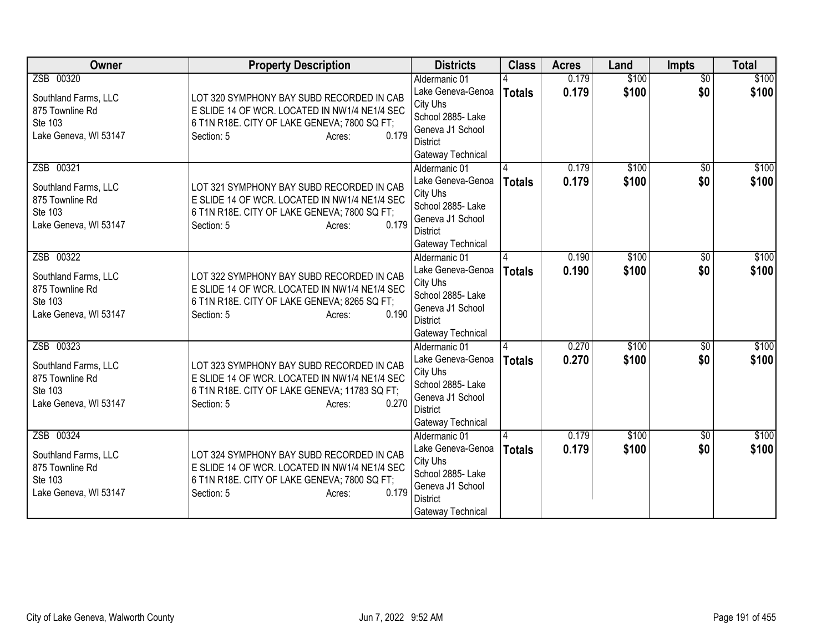| Owner                                                                                    | <b>Property Description</b>                                                                                                                                                  | <b>Districts</b>                                                                                                                | <b>Class</b>  | <b>Acres</b>   | Land           | <b>Impts</b>           | <b>Total</b>   |
|------------------------------------------------------------------------------------------|------------------------------------------------------------------------------------------------------------------------------------------------------------------------------|---------------------------------------------------------------------------------------------------------------------------------|---------------|----------------|----------------|------------------------|----------------|
| ZSB 00320<br>Southland Farms, LLC<br>875 Townline Rd<br>Ste 103<br>Lake Geneva, WI 53147 | LOT 320 SYMPHONY BAY SUBD RECORDED IN CAB<br>E SLIDE 14 OF WCR. LOCATED IN NW1/4 NE1/4 SEC<br>6 T1N R18E. CITY OF LAKE GENEVA; 7800 SQ FT;<br>0.179<br>Section: 5<br>Acres:  | Aldermanic 01<br>Lake Geneva-Genoa<br>City Uhs<br>School 2885- Lake<br>Geneva J1 School<br><b>District</b><br>Gateway Technical | <b>Totals</b> | 0.179<br>0.179 | \$100<br>\$100 | $\overline{50}$<br>\$0 | \$100<br>\$100 |
| ZSB 00321<br>Southland Farms, LLC<br>875 Townline Rd<br>Ste 103<br>Lake Geneva, WI 53147 | LOT 321 SYMPHONY BAY SUBD RECORDED IN CAB<br>E SLIDE 14 OF WCR. LOCATED IN NW1/4 NE1/4 SEC<br>6 T1N R18E. CITY OF LAKE GENEVA; 7800 SQ FT;<br>0.179<br>Section: 5<br>Acres:  | Aldermanic 01<br>Lake Geneva-Genoa<br>City Uhs<br>School 2885- Lake<br>Geneva J1 School<br><b>District</b><br>Gateway Technical | <b>Totals</b> | 0.179<br>0.179 | \$100<br>\$100 | \$0<br>\$0             | \$100<br>\$100 |
| ZSB 00322<br>Southland Farms, LLC<br>875 Townline Rd<br>Ste 103<br>Lake Geneva, WI 53147 | LOT 322 SYMPHONY BAY SUBD RECORDED IN CAB<br>E SLIDE 14 OF WCR. LOCATED IN NW1/4 NE1/4 SEC<br>6 T1N R18E. CITY OF LAKE GENEVA; 8265 SQ FT;<br>0.190<br>Section: 5<br>Acres:  | Aldermanic 01<br>Lake Geneva-Genoa<br>City Uhs<br>School 2885- Lake<br>Geneva J1 School<br><b>District</b><br>Gateway Technical | <b>Totals</b> | 0.190<br>0.190 | \$100<br>\$100 | \$0<br>\$0             | \$100<br>\$100 |
| ZSB 00323<br>Southland Farms, LLC<br>875 Townline Rd<br>Ste 103<br>Lake Geneva, WI 53147 | LOT 323 SYMPHONY BAY SUBD RECORDED IN CAB<br>E SLIDE 14 OF WCR. LOCATED IN NW1/4 NE1/4 SEC<br>6 T1N R18E. CITY OF LAKE GENEVA; 11783 SQ FT;<br>0.270<br>Section: 5<br>Acres: | Aldermanic 01<br>Lake Geneva-Genoa<br>City Uhs<br>School 2885- Lake<br>Geneva J1 School<br><b>District</b><br>Gateway Technical | <b>Totals</b> | 0.270<br>0.270 | \$100<br>\$100 | $\overline{50}$<br>\$0 | \$100<br>\$100 |
| ZSB 00324<br>Southland Farms, LLC<br>875 Townline Rd<br>Ste 103<br>Lake Geneva, WI 53147 | LOT 324 SYMPHONY BAY SUBD RECORDED IN CAB<br>E SLIDE 14 OF WCR. LOCATED IN NW1/4 NE1/4 SEC<br>6 T1N R18E. CITY OF LAKE GENEVA; 7800 SQ FT;<br>0.179<br>Section: 5<br>Acres:  | Aldermanic 01<br>Lake Geneva-Genoa<br>City Uhs<br>School 2885- Lake<br>Geneva J1 School<br><b>District</b><br>Gateway Technical | <b>Totals</b> | 0.179<br>0.179 | \$100<br>\$100 | $\overline{50}$<br>\$0 | \$100<br>\$100 |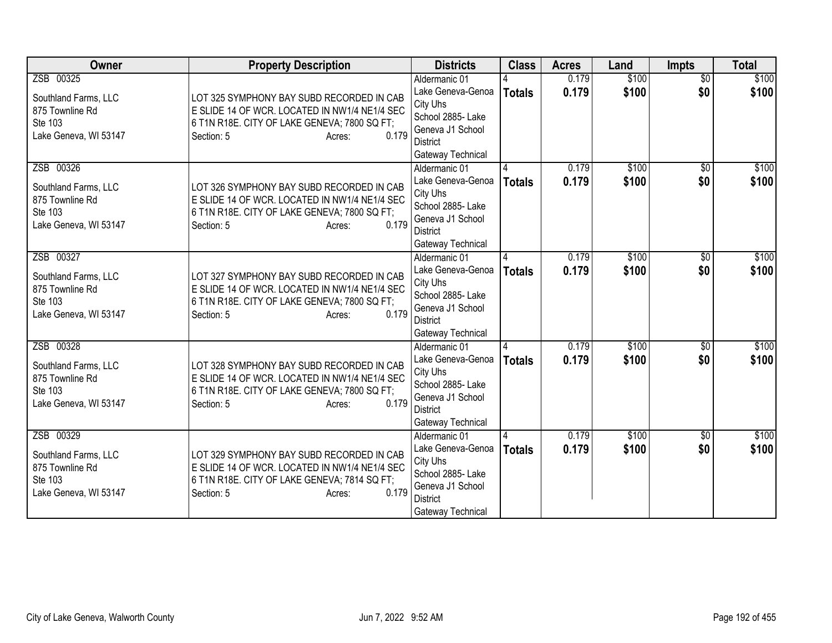| Owner                                                                                    | <b>Property Description</b>                                                                                                                                                 | <b>Districts</b>                                                                                                                                     | <b>Class</b>  | <b>Acres</b>   | Land           | Impts                  | <b>Total</b>   |
|------------------------------------------------------------------------------------------|-----------------------------------------------------------------------------------------------------------------------------------------------------------------------------|------------------------------------------------------------------------------------------------------------------------------------------------------|---------------|----------------|----------------|------------------------|----------------|
| ZSB 00325<br>Southland Farms, LLC<br>875 Townline Rd<br>Ste 103<br>Lake Geneva, WI 53147 | LOT 325 SYMPHONY BAY SUBD RECORDED IN CAB<br>E SLIDE 14 OF WCR. LOCATED IN NW1/4 NE1/4 SEC<br>6 T1N R18E. CITY OF LAKE GENEVA; 7800 SQ FT;<br>0.179<br>Section: 5<br>Acres: | Aldermanic 01<br>Lake Geneva-Genoa<br>City Uhs<br>School 2885- Lake<br>Geneva J1 School<br><b>District</b>                                           | <b>Totals</b> | 0.179<br>0.179 | \$100<br>\$100 | $\overline{60}$<br>\$0 | \$100<br>\$100 |
| ZSB 00326<br>Southland Farms, LLC<br>875 Townline Rd<br>Ste 103<br>Lake Geneva, WI 53147 | LOT 326 SYMPHONY BAY SUBD RECORDED IN CAB<br>E SLIDE 14 OF WCR. LOCATED IN NW1/4 NE1/4 SEC<br>6 T1N R18E. CITY OF LAKE GENEVA; 7800 SQ FT;<br>0.179<br>Section: 5<br>Acres: | Gateway Technical<br>Aldermanic 01<br>Lake Geneva-Genoa<br>City Uhs<br>School 2885- Lake<br>Geneva J1 School<br><b>District</b><br>Gateway Technical | <b>Totals</b> | 0.179<br>0.179 | \$100<br>\$100 | \$0<br>\$0             | \$100<br>\$100 |
| ZSB 00327<br>Southland Farms, LLC<br>875 Townline Rd<br>Ste 103<br>Lake Geneva, WI 53147 | LOT 327 SYMPHONY BAY SUBD RECORDED IN CAB<br>E SLIDE 14 OF WCR. LOCATED IN NW1/4 NE1/4 SEC<br>6 T1N R18E. CITY OF LAKE GENEVA; 7800 SQ FT;<br>0.179<br>Section: 5<br>Acres: | Aldermanic 01<br>Lake Geneva-Genoa<br>City Uhs<br>School 2885- Lake<br>Geneva J1 School<br><b>District</b><br>Gateway Technical                      | <b>Totals</b> | 0.179<br>0.179 | \$100<br>\$100 | $\overline{50}$<br>\$0 | \$100<br>\$100 |
| ZSB 00328<br>Southland Farms, LLC<br>875 Townline Rd<br>Ste 103<br>Lake Geneva, WI 53147 | LOT 328 SYMPHONY BAY SUBD RECORDED IN CAB<br>E SLIDE 14 OF WCR. LOCATED IN NW1/4 NE1/4 SEC<br>6 T1N R18E. CITY OF LAKE GENEVA; 7800 SQ FT;<br>0.179<br>Section: 5<br>Acres: | Aldermanic 01<br>Lake Geneva-Genoa<br>City Uhs<br>School 2885- Lake<br>Geneva J1 School<br><b>District</b><br>Gateway Technical                      | <b>Totals</b> | 0.179<br>0.179 | \$100<br>\$100 | $\overline{50}$<br>\$0 | \$100<br>\$100 |
| ZSB 00329<br>Southland Farms, LLC<br>875 Townline Rd<br>Ste 103<br>Lake Geneva, WI 53147 | LOT 329 SYMPHONY BAY SUBD RECORDED IN CAB<br>E SLIDE 14 OF WCR. LOCATED IN NW1/4 NE1/4 SEC<br>6 T1N R18E. CITY OF LAKE GENEVA; 7814 SQ FT;<br>0.179<br>Section: 5<br>Acres: | Aldermanic 01<br>Lake Geneva-Genoa<br>City Uhs<br>School 2885- Lake<br>Geneva J1 School<br><b>District</b><br>Gateway Technical                      | <b>Totals</b> | 0.179<br>0.179 | \$100<br>\$100 | $\overline{50}$<br>\$0 | \$100<br>\$100 |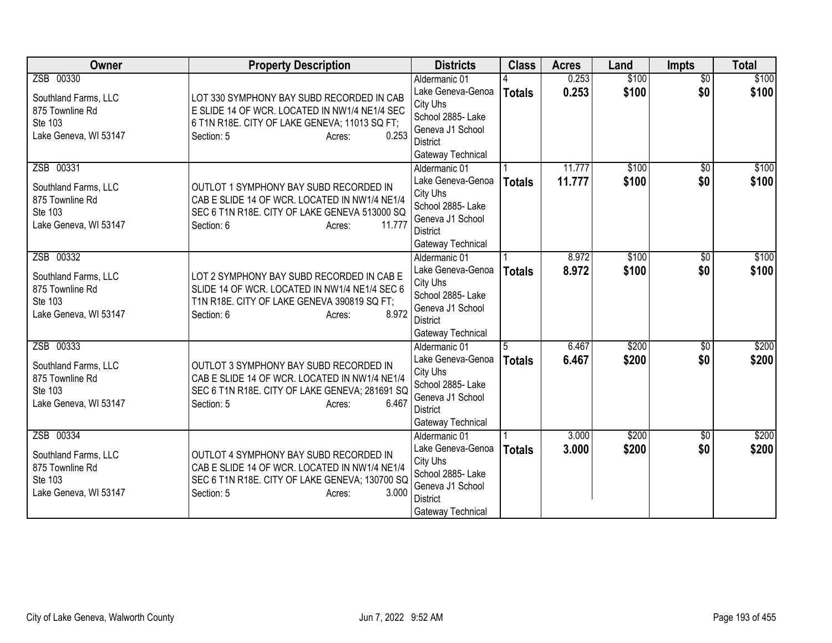| Owner                      | <b>Property Description</b>                                                                  | <b>Districts</b>                    | <b>Class</b>  | <b>Acres</b>   | Land           | <b>Impts</b>           | <b>Total</b>   |
|----------------------------|----------------------------------------------------------------------------------------------|-------------------------------------|---------------|----------------|----------------|------------------------|----------------|
| ZSB 00330                  |                                                                                              | Aldermanic 01                       |               | 0.253          | \$100          | $\overline{50}$        | \$100          |
| Southland Farms, LLC       | LOT 330 SYMPHONY BAY SUBD RECORDED IN CAB                                                    | Lake Geneva-Genoa                   | <b>Totals</b> | 0.253          | \$100          | \$0                    | \$100          |
| 875 Townline Rd            | E SLIDE 14 OF WCR. LOCATED IN NW1/4 NE1/4 SEC                                                | City Uhs<br>School 2885- Lake       |               |                |                |                        |                |
| Ste 103                    | 6 T1N R18E. CITY OF LAKE GENEVA; 11013 SQ FT;                                                | Geneva J1 School                    |               |                |                |                        |                |
| Lake Geneva, WI 53147      | 0.253<br>Section: 5<br>Acres:                                                                | <b>District</b>                     |               |                |                |                        |                |
|                            |                                                                                              | Gateway Technical                   |               |                |                |                        |                |
| ZSB 00331                  |                                                                                              | Aldermanic 01                       |               | 11.777         | \$100          | \$0                    | \$100          |
| Southland Farms, LLC       | OUTLOT 1 SYMPHONY BAY SUBD RECORDED IN                                                       | Lake Geneva-Genoa                   | <b>Totals</b> | 11.777         | \$100          | \$0                    | \$100          |
| 875 Townline Rd            | CAB E SLIDE 14 OF WCR. LOCATED IN NW1/4 NE1/4                                                | City Uhs                            |               |                |                |                        |                |
| Ste 103                    | SEC 6 T1N R18E. CITY OF LAKE GENEVA 513000 SQ                                                | School 2885- Lake                   |               |                |                |                        |                |
| Lake Geneva, WI 53147      | Section: 6<br>11.777<br>Acres:                                                               | Geneva J1 School<br><b>District</b> |               |                |                |                        |                |
|                            |                                                                                              | Gateway Technical                   |               |                |                |                        |                |
| ZSB 00332                  |                                                                                              | Aldermanic 01                       |               | 8.972          | \$100          | \$0                    | \$100          |
|                            |                                                                                              | Lake Geneva-Genoa                   | Totals        | 8.972          | \$100          | \$0                    | \$100          |
| Southland Farms, LLC       | LOT 2 SYMPHONY BAY SUBD RECORDED IN CAB E                                                    | City Uhs                            |               |                |                |                        |                |
| 875 Townline Rd<br>Ste 103 | SLIDE 14 OF WCR. LOCATED IN NW1/4 NE1/4 SEC 6<br>T1N R18E. CITY OF LAKE GENEVA 390819 SQ FT; | School 2885- Lake                   |               |                |                |                        |                |
| Lake Geneva, WI 53147      | 8.972<br>Section: 6<br>Acres:                                                                | Geneva J1 School                    |               |                |                |                        |                |
|                            |                                                                                              | <b>District</b>                     |               |                |                |                        |                |
|                            |                                                                                              | Gateway Technical                   |               |                |                |                        |                |
| ZSB 00333                  |                                                                                              | Aldermanic 01<br>Lake Geneva-Genoa  | 15            | 6.467<br>6.467 | \$200<br>\$200 | $\overline{60}$<br>\$0 | \$200<br>\$200 |
| Southland Farms, LLC       | OUTLOT 3 SYMPHONY BAY SUBD RECORDED IN                                                       | City Uhs                            | <b>Totals</b> |                |                |                        |                |
| 875 Townline Rd            | CAB E SLIDE 14 OF WCR. LOCATED IN NW1/4 NE1/4                                                | School 2885- Lake                   |               |                |                |                        |                |
| Ste 103                    | SEC 6 T1N R18E. CITY OF LAKE GENEVA; 281691 SQ                                               | Geneva J1 School                    |               |                |                |                        |                |
| Lake Geneva, WI 53147      | 6.467<br>Section: 5<br>Acres:                                                                | <b>District</b>                     |               |                |                |                        |                |
|                            |                                                                                              | Gateway Technical                   |               |                |                |                        |                |
| ZSB 00334                  |                                                                                              | Aldermanic 01                       |               | 3.000          | \$200          | $\overline{50}$        | \$200          |
| Southland Farms, LLC       | OUTLOT 4 SYMPHONY BAY SUBD RECORDED IN                                                       | Lake Geneva-Genoa                   | <b>Totals</b> | 3.000          | \$200          | \$0                    | \$200          |
| 875 Townline Rd            | CAB E SLIDE 14 OF WCR. LOCATED IN NW1/4 NE1/4                                                | City Uhs<br>School 2885- Lake       |               |                |                |                        |                |
| Ste 103                    | SEC 6 T1N R18E. CITY OF LAKE GENEVA; 130700 SQ                                               | Geneva J1 School                    |               |                |                |                        |                |
| Lake Geneva, WI 53147      | Section: 5<br>3.000<br>Acres:                                                                | <b>District</b>                     |               |                |                |                        |                |
|                            |                                                                                              | Gateway Technical                   |               |                |                |                        |                |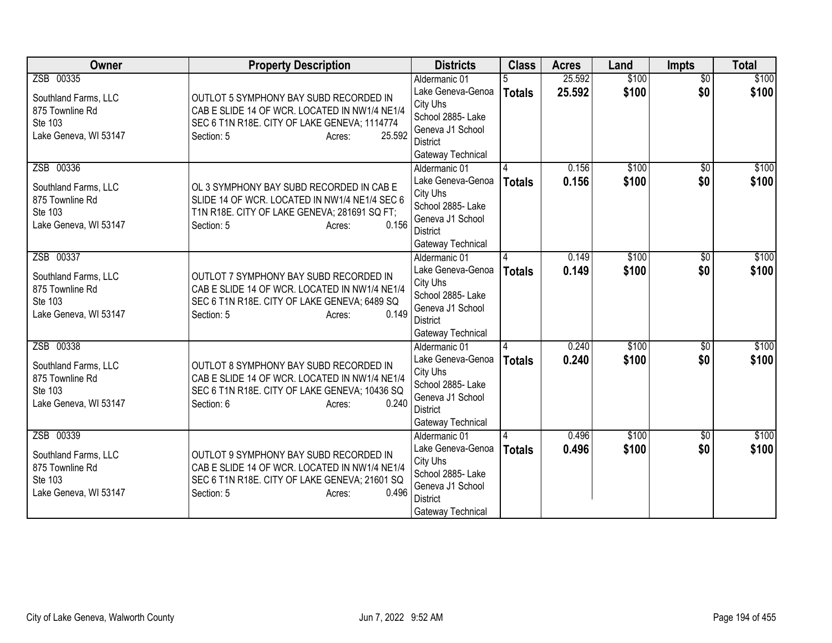| Owner                                                                                    | <b>Property Description</b>                                                                                                                                                | <b>Districts</b>                                                                                                                | <b>Class</b>  | <b>Acres</b>     | Land           | <b>Impts</b>           | <b>Total</b>   |
|------------------------------------------------------------------------------------------|----------------------------------------------------------------------------------------------------------------------------------------------------------------------------|---------------------------------------------------------------------------------------------------------------------------------|---------------|------------------|----------------|------------------------|----------------|
| ZSB 00335<br>Southland Farms, LLC<br>875 Townline Rd<br>Ste 103<br>Lake Geneva, WI 53147 | OUTLOT 5 SYMPHONY BAY SUBD RECORDED IN<br>CAB E SLIDE 14 OF WCR. LOCATED IN NW1/4 NE1/4<br>SEC 6 T1N R18E. CITY OF LAKE GENEVA; 1114774<br>25.592<br>Section: 5<br>Acres:  | Aldermanic 01<br>Lake Geneva-Genoa<br>City Uhs<br>School 2885- Lake<br>Geneva J1 School<br><b>District</b><br>Gateway Technical | <b>Totals</b> | 25.592<br>25.592 | \$100<br>\$100 | $\overline{50}$<br>\$0 | \$100<br>\$100 |
| ZSB 00336<br>Southland Farms, LLC<br>875 Townline Rd<br>Ste 103<br>Lake Geneva, WI 53147 | OL 3 SYMPHONY BAY SUBD RECORDED IN CAB E<br>SLIDE 14 OF WCR. LOCATED IN NW1/4 NE1/4 SEC 6<br>T1N R18E. CITY OF LAKE GENEVA; 281691 SQ FT;<br>0.156<br>Section: 5<br>Acres: | Aldermanic 01<br>Lake Geneva-Genoa<br>City Uhs<br>School 2885- Lake<br>Geneva J1 School<br><b>District</b><br>Gateway Technical | <b>Totals</b> | 0.156<br>0.156   | \$100<br>\$100 | $\overline{30}$<br>\$0 | \$100<br>\$100 |
| ZSB 00337<br>Southland Farms, LLC<br>875 Townline Rd<br>Ste 103<br>Lake Geneva, WI 53147 | OUTLOT 7 SYMPHONY BAY SUBD RECORDED IN<br>CAB E SLIDE 14 OF WCR. LOCATED IN NW1/4 NE1/4<br>SEC 6 T1N R18E. CITY OF LAKE GENEVA; 6489 SQ<br>0.149<br>Section: 5<br>Acres:   | Aldermanic 01<br>Lake Geneva-Genoa<br>City Uhs<br>School 2885- Lake<br>Geneva J1 School<br><b>District</b><br>Gateway Technical | <b>Totals</b> | 0.149<br>0.149   | \$100<br>\$100 | \$0<br>\$0             | \$100<br>\$100 |
| ZSB 00338<br>Southland Farms, LLC<br>875 Townline Rd<br>Ste 103<br>Lake Geneva, WI 53147 | OUTLOT 8 SYMPHONY BAY SUBD RECORDED IN<br>CAB E SLIDE 14 OF WCR. LOCATED IN NW1/4 NE1/4<br>SEC 6 T1N R18E. CITY OF LAKE GENEVA; 10436 SQ<br>0.240<br>Section: 6<br>Acres:  | Aldermanic 01<br>Lake Geneva-Genoa<br>City Uhs<br>School 2885- Lake<br>Geneva J1 School<br><b>District</b><br>Gateway Technical | <b>Totals</b> | 0.240<br>0.240   | \$100<br>\$100 | $\overline{50}$<br>\$0 | \$100<br>\$100 |
| ZSB 00339<br>Southland Farms, LLC<br>875 Townline Rd<br>Ste 103<br>Lake Geneva, WI 53147 | OUTLOT 9 SYMPHONY BAY SUBD RECORDED IN<br>CAB E SLIDE 14 OF WCR. LOCATED IN NW1/4 NE1/4<br>SEC 6 T1N R18E. CITY OF LAKE GENEVA; 21601 SQ<br>0.496<br>Section: 5<br>Acres:  | Aldermanic 01<br>Lake Geneva-Genoa<br>City Uhs<br>School 2885- Lake<br>Geneva J1 School<br><b>District</b><br>Gateway Technical | <b>Totals</b> | 0.496<br>0.496   | \$100<br>\$100 | $\overline{50}$<br>\$0 | \$100<br>\$100 |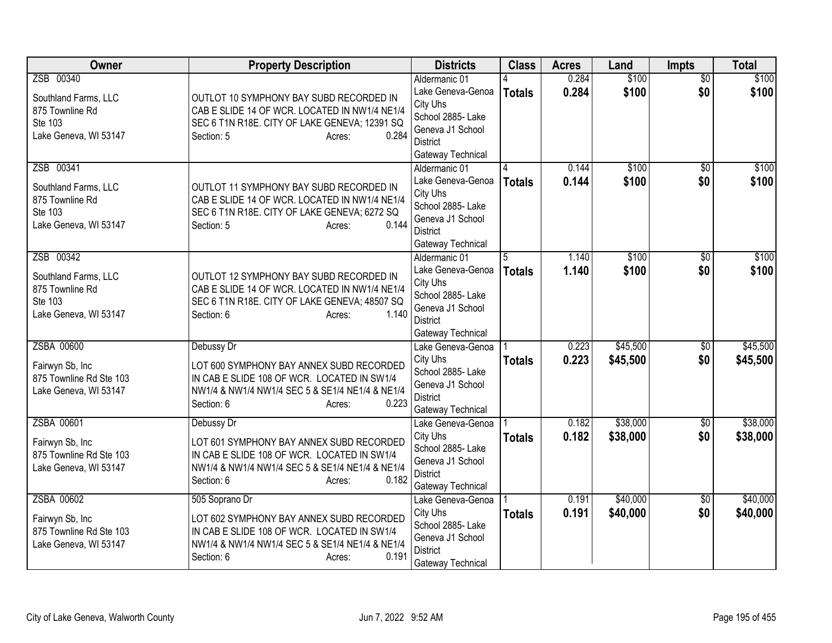| Owner                   | <b>Property Description</b>                     | <b>Districts</b>                     | <b>Class</b>  | <b>Acres</b> | Land     | Impts           | <b>Total</b> |
|-------------------------|-------------------------------------------------|--------------------------------------|---------------|--------------|----------|-----------------|--------------|
| ZSB 00340               |                                                 | Aldermanic 01                        |               | 0.284        | \$100    | $\overline{50}$ | \$100        |
| Southland Farms, LLC    | OUTLOT 10 SYMPHONY BAY SUBD RECORDED IN         | Lake Geneva-Genoa                    | <b>Totals</b> | 0.284        | \$100    | \$0             | \$100        |
| 875 Townline Rd         | CAB E SLIDE 14 OF WCR. LOCATED IN NW1/4 NE1/4   | City Uhs                             |               |              |          |                 |              |
| Ste 103                 | SEC 6 T1N R18E. CITY OF LAKE GENEVA; 12391 SQ   | School 2885- Lake                    |               |              |          |                 |              |
| Lake Geneva, WI 53147   | 0.284<br>Section: 5<br>Acres:                   | Geneva J1 School                     |               |              |          |                 |              |
|                         |                                                 | <b>District</b>                      |               |              |          |                 |              |
|                         |                                                 | Gateway Technical                    |               |              |          |                 |              |
| ZSB 00341               |                                                 | Aldermanic 01                        |               | 0.144        | \$100    | $\overline{30}$ | \$100        |
| Southland Farms, LLC    | OUTLOT 11 SYMPHONY BAY SUBD RECORDED IN         | Lake Geneva-Genoa                    | <b>Totals</b> | 0.144        | \$100    | \$0             | \$100        |
| 875 Townline Rd         | CAB E SLIDE 14 OF WCR. LOCATED IN NW1/4 NE1/4   | City Uhs<br>School 2885- Lake        |               |              |          |                 |              |
| Ste 103                 | SEC 6 T1N R18E. CITY OF LAKE GENEVA; 6272 SQ    | Geneva J1 School                     |               |              |          |                 |              |
| Lake Geneva, WI 53147   | 0.144<br>Section: 5<br>Acres:                   | <b>District</b>                      |               |              |          |                 |              |
|                         |                                                 | Gateway Technical                    |               |              |          |                 |              |
| ZSB 00342               |                                                 | Aldermanic 01                        | 5             | 1.140        | \$100    | \$0             | \$100        |
|                         |                                                 | Lake Geneva-Genoa                    | <b>Totals</b> | 1.140        | \$100    | \$0             | \$100        |
| Southland Farms, LLC    | OUTLOT 12 SYMPHONY BAY SUBD RECORDED IN         | City Uhs                             |               |              |          |                 |              |
| 875 Townline Rd         | CAB E SLIDE 14 OF WCR. LOCATED IN NW1/4 NE1/4   | School 2885- Lake                    |               |              |          |                 |              |
| Ste 103                 | SEC 6 T1N R18E. CITY OF LAKE GENEVA; 48507 SQ   | Geneva J1 School                     |               |              |          |                 |              |
| Lake Geneva, WI 53147   | 1.140<br>Section: 6<br>Acres:                   | <b>District</b>                      |               |              |          |                 |              |
|                         |                                                 | Gateway Technical                    |               |              |          |                 |              |
| ZSBA 00600              | Debussy Dr                                      | Lake Geneva-Genoa                    |               | 0.223        | \$45,500 | $\overline{50}$ | \$45,500     |
| Fairwyn Sb, Inc         | LOT 600 SYMPHONY BAY ANNEX SUBD RECORDED        | City Uhs                             | <b>Totals</b> | 0.223        | \$45,500 | \$0             | \$45,500     |
| 875 Townline Rd Ste 103 | IN CAB E SLIDE 108 OF WCR. LOCATED IN SW1/4     | School 2885- Lake                    |               |              |          |                 |              |
| Lake Geneva, WI 53147   | NW1/4 & NW1/4 NW1/4 SEC 5 & SE1/4 NE1/4 & NE1/4 | Geneva J1 School                     |               |              |          |                 |              |
|                         | Section: 6<br>0.223<br>Acres:                   | <b>District</b>                      |               |              |          |                 |              |
|                         |                                                 | Gateway Technical                    |               |              |          |                 |              |
| ZSBA 00601              | Debussy Dr                                      | Lake Geneva-Genoa                    |               | 0.182        | \$38,000 | $\overline{50}$ | \$38,000     |
| Fairwyn Sb, Inc         | LOT 601 SYMPHONY BAY ANNEX SUBD RECORDED        | City Uhs                             | <b>Totals</b> | 0.182        | \$38,000 | \$0             | \$38,000     |
| 875 Townline Rd Ste 103 | IN CAB E SLIDE 108 OF WCR. LOCATED IN SW1/4     | School 2885- Lake                    |               |              |          |                 |              |
| Lake Geneva, WI 53147   | NW1/4 & NW1/4 NW1/4 SEC 5 & SE1/4 NE1/4 & NE1/4 | Geneva J1 School                     |               |              |          |                 |              |
|                         | 0.182<br>Section: 6<br>Acres:                   | <b>District</b><br>Gateway Technical |               |              |          |                 |              |
| ZSBA 00602              | 505 Soprano Dr                                  | Lake Geneva-Genoa                    |               | 0.191        | \$40,000 | $\overline{50}$ | \$40,000     |
|                         |                                                 | City Uhs                             | <b>Totals</b> | 0.191        | \$40,000 | \$0             | \$40,000     |
| Fairwyn Sb, Inc         | LOT 602 SYMPHONY BAY ANNEX SUBD RECORDED        | School 2885- Lake                    |               |              |          |                 |              |
| 875 Townline Rd Ste 103 | IN CAB E SLIDE 108 OF WCR. LOCATED IN SW1/4     | Geneva J1 School                     |               |              |          |                 |              |
| Lake Geneva, WI 53147   | NW1/4 & NW1/4 NW1/4 SEC 5 & SE1/4 NE1/4 & NE1/4 | <b>District</b>                      |               |              |          |                 |              |
|                         | 0.191<br>Section: 6<br>Acres:                   | Gateway Technical                    |               |              |          |                 |              |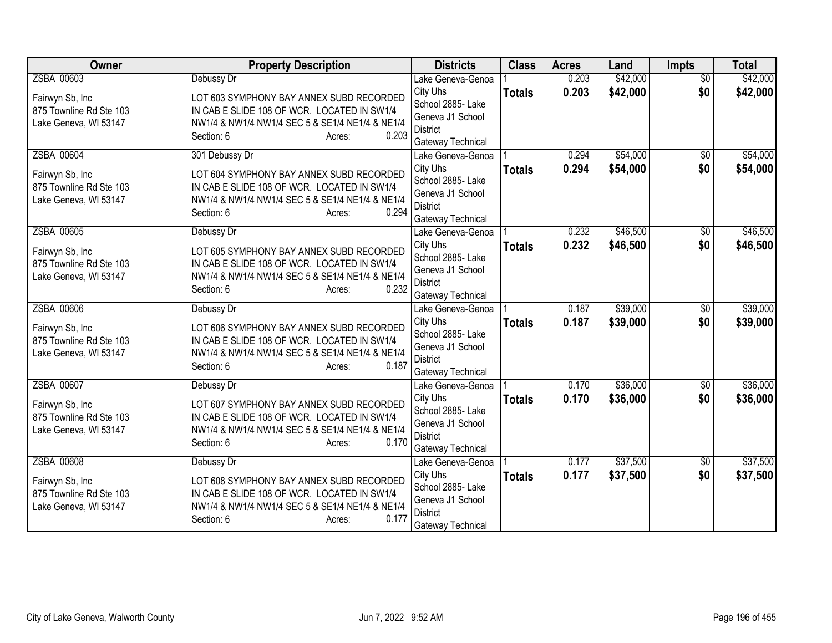| Owner                   | <b>Property Description</b>                     | <b>Districts</b>                       | <b>Class</b>  | <b>Acres</b>   | Land     | <b>Impts</b>    | <b>Total</b> |
|-------------------------|-------------------------------------------------|----------------------------------------|---------------|----------------|----------|-----------------|--------------|
| ZSBA 00603              | Debussy Dr                                      | Lake Geneva-Genoa                      |               | 0.203          | \$42,000 | $\overline{50}$ | \$42,000     |
| Fairwyn Sb, Inc         | LOT 603 SYMPHONY BAY ANNEX SUBD RECORDED        | City Uhs                               | <b>Totals</b> | 0.203          | \$42,000 | \$0             | \$42,000     |
| 875 Townline Rd Ste 103 | IN CAB E SLIDE 108 OF WCR. LOCATED IN SW1/4     | School 2885- Lake                      |               |                |          |                 |              |
| Lake Geneva, WI 53147   | NW1/4 & NW1/4 NW1/4 SEC 5 & SE1/4 NE1/4 & NE1/4 | Geneva J1 School<br><b>District</b>    |               |                |          |                 |              |
|                         | 0.203<br>Section: 6<br>Acres:                   | Gateway Technical                      |               |                |          |                 |              |
| ZSBA 00604              | 301 Debussy Dr                                  | Lake Geneva-Genoa                      |               | 0.294          | \$54,000 | $\overline{50}$ | \$54,000     |
|                         |                                                 | City Uhs                               | <b>Totals</b> | 0.294          | \$54,000 | \$0             | \$54,000     |
| Fairwyn Sb, Inc         | LOT 604 SYMPHONY BAY ANNEX SUBD RECORDED        | School 2885- Lake                      |               |                |          |                 |              |
| 875 Townline Rd Ste 103 | IN CAB E SLIDE 108 OF WCR. LOCATED IN SW1/4     | Geneva J1 School                       |               |                |          |                 |              |
| Lake Geneva, WI 53147   | NW1/4 & NW1/4 NW1/4 SEC 5 & SE1/4 NE1/4 & NE1/4 | <b>District</b>                        |               |                |          |                 |              |
|                         | Section: 6<br>0.294<br>Acres:                   | Gateway Technical                      |               |                |          |                 |              |
| ZSBA 00605              | Debussy Dr                                      | Lake Geneva-Genoa                      |               | 0.232          | \$46,500 | \$0             | \$46,500     |
| Fairwyn Sb, Inc         | LOT 605 SYMPHONY BAY ANNEX SUBD RECORDED        | City Uhs                               | <b>Totals</b> | 0.232          | \$46,500 | \$0             | \$46,500     |
| 875 Townline Rd Ste 103 | IN CAB E SLIDE 108 OF WCR. LOCATED IN SW1/4     | School 2885- Lake                      |               |                |          |                 |              |
| Lake Geneva, WI 53147   | NW1/4 & NW1/4 NW1/4 SEC 5 & SE1/4 NE1/4 & NE1/4 | Geneva J1 School                       |               |                |          |                 |              |
|                         | 0.232<br>Section: 6<br>Acres:                   | <b>District</b>                        |               |                |          |                 |              |
| ZSBA 00606              |                                                 | Gateway Technical<br>Lake Geneva-Genoa |               | 0.187          | \$39,000 | $\overline{50}$ | \$39,000     |
|                         | Debussy Dr                                      | City Uhs                               |               | 0.187          | \$39,000 | \$0             | \$39,000     |
| Fairwyn Sb, Inc         | LOT 606 SYMPHONY BAY ANNEX SUBD RECORDED        | School 2885- Lake                      | <b>Totals</b> |                |          |                 |              |
| 875 Townline Rd Ste 103 | IN CAB E SLIDE 108 OF WCR. LOCATED IN SW1/4     | Geneva J1 School                       |               |                |          |                 |              |
| Lake Geneva, WI 53147   | NW1/4 & NW1/4 NW1/4 SEC 5 & SE1/4 NE1/4 & NE1/4 | <b>District</b>                        |               |                |          |                 |              |
|                         | Section: 6<br>0.187<br>Acres:                   | Gateway Technical                      |               |                |          |                 |              |
| ZSBA 00607              | Debussy Dr                                      | Lake Geneva-Genoa                      |               | 0.170          | \$36,000 | $\overline{50}$ | \$36,000     |
| Fairwyn Sb, Inc         | LOT 607 SYMPHONY BAY ANNEX SUBD RECORDED        | City Uhs                               | <b>Totals</b> | 0.170          | \$36,000 | \$0             | \$36,000     |
| 875 Townline Rd Ste 103 | IN CAB E SLIDE 108 OF WCR. LOCATED IN SW1/4     | School 2885- Lake                      |               |                |          |                 |              |
| Lake Geneva, WI 53147   | NW1/4 & NW1/4 NW1/4 SEC 5 & SE1/4 NE1/4 & NE1/4 | Geneva J1 School                       |               |                |          |                 |              |
|                         | 0.170<br>Section: 6<br>Acres:                   | <b>District</b>                        |               |                |          |                 |              |
|                         |                                                 | Gateway Technical                      |               |                | \$37,500 |                 |              |
| ZSBA 00608              | Debussy Dr                                      | Lake Geneva-Genoa<br>City Uhs          |               | 0.177<br>0.177 | \$37,500 | \$0<br>\$0      | \$37,500     |
| Fairwyn Sb, Inc         | LOT 608 SYMPHONY BAY ANNEX SUBD RECORDED        | School 2885- Lake                      | <b>Totals</b> |                |          |                 | \$37,500     |
| 875 Townline Rd Ste 103 | IN CAB E SLIDE 108 OF WCR. LOCATED IN SW1/4     | Geneva J1 School                       |               |                |          |                 |              |
| Lake Geneva, WI 53147   | NW1/4 & NW1/4 NW1/4 SEC 5 & SE1/4 NE1/4 & NE1/4 | <b>District</b>                        |               |                |          |                 |              |
|                         | 0.177<br>Section: 6<br>Acres:                   | Gateway Technical                      |               |                |          |                 |              |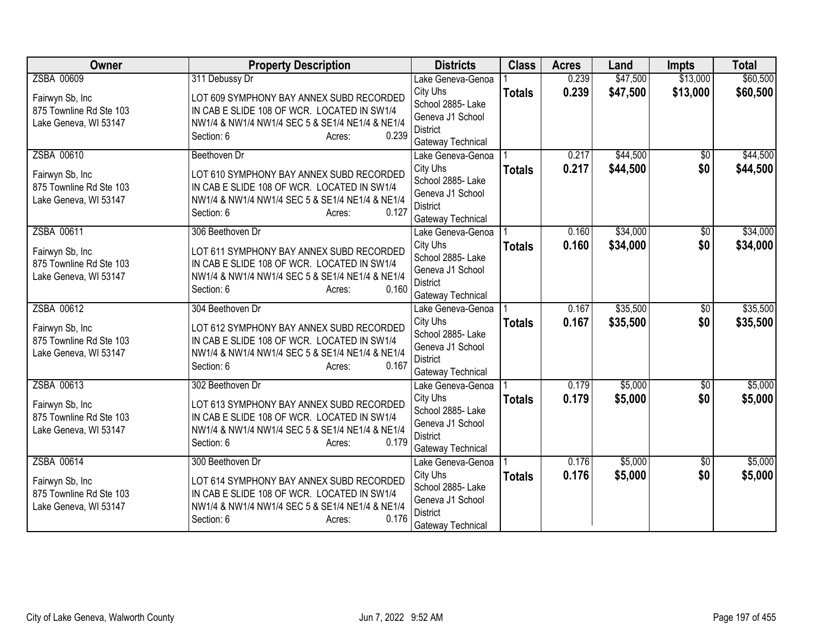| Owner                   | <b>Property Description</b>                              | <b>Districts</b>                       | <b>Class</b>  | <b>Acres</b> | Land     | <b>Impts</b>    | <b>Total</b> |
|-------------------------|----------------------------------------------------------|----------------------------------------|---------------|--------------|----------|-----------------|--------------|
| ZSBA 00609              | 311 Debussy Dr                                           | Lake Geneva-Genoa                      |               | 0.239        | \$47,500 | \$13,000        | \$60,500     |
| Fairwyn Sb, Inc         | LOT 609 SYMPHONY BAY ANNEX SUBD RECORDED                 | City Uhs                               | <b>Totals</b> | 0.239        | \$47,500 | \$13,000        | \$60,500     |
| 875 Townline Rd Ste 103 | IN CAB E SLIDE 108 OF WCR. LOCATED IN SW1/4              | School 2885- Lake                      |               |              |          |                 |              |
| Lake Geneva, WI 53147   | NW1/4 & NW1/4 NW1/4 SEC 5 & SE1/4 NE1/4 & NE1/4          | Geneva J1 School<br><b>District</b>    |               |              |          |                 |              |
|                         | 0.239<br>Section: 6<br>Acres:                            | Gateway Technical                      |               |              |          |                 |              |
| ZSBA 00610              | Beethoven Dr                                             | Lake Geneva-Genoa                      |               | 0.217        | \$44,500 | $\overline{50}$ | \$44,500     |
|                         |                                                          | City Uhs                               | <b>Totals</b> | 0.217        | \$44,500 | \$0             | \$44,500     |
| Fairwyn Sb, Inc         | LOT 610 SYMPHONY BAY ANNEX SUBD RECORDED                 | School 2885- Lake                      |               |              |          |                 |              |
| 875 Townline Rd Ste 103 | IN CAB E SLIDE 108 OF WCR. LOCATED IN SW1/4              | Geneva J1 School                       |               |              |          |                 |              |
| Lake Geneva, WI 53147   | NW1/4 & NW1/4 NW1/4 SEC 5 & SE1/4 NE1/4 & NE1/4          | <b>District</b>                        |               |              |          |                 |              |
|                         | Section: 6<br>0.127<br>Acres:                            | Gateway Technical                      |               |              |          |                 |              |
| ZSBA 00611              | 306 Beethoven Dr                                         | Lake Geneva-Genoa                      |               | 0.160        | \$34,000 | \$0             | \$34,000     |
| Fairwyn Sb, Inc         | LOT 611 SYMPHONY BAY ANNEX SUBD RECORDED                 | City Uhs                               | <b>Totals</b> | 0.160        | \$34,000 | \$0             | \$34,000     |
| 875 Townline Rd Ste 103 | IN CAB E SLIDE 108 OF WCR. LOCATED IN SW1/4              | School 2885- Lake                      |               |              |          |                 |              |
| Lake Geneva, WI 53147   | NW1/4 & NW1/4 NW1/4 SEC 5 & SE1/4 NE1/4 & NE1/4          | Geneva J1 School                       |               |              |          |                 |              |
|                         | 0.160<br>Section: 6<br>Acres:                            | <b>District</b><br>Gateway Technical   |               |              |          |                 |              |
| ZSBA 00612              | 304 Beethoven Dr                                         | Lake Geneva-Genoa                      |               | 0.167        | \$35,500 | $\overline{50}$ | \$35,500     |
|                         |                                                          | City Uhs                               | <b>Totals</b> | 0.167        | \$35,500 | \$0             | \$35,500     |
| Fairwyn Sb, Inc         | LOT 612 SYMPHONY BAY ANNEX SUBD RECORDED                 | School 2885- Lake                      |               |              |          |                 |              |
| 875 Townline Rd Ste 103 | IN CAB E SLIDE 108 OF WCR. LOCATED IN SW1/4              | Geneva J1 School                       |               |              |          |                 |              |
| Lake Geneva, WI 53147   | NW1/4 & NW1/4 NW1/4 SEC 5 & SE1/4 NE1/4 & NE1/4<br>0.167 | <b>District</b>                        |               |              |          |                 |              |
|                         | Section: 6<br>Acres:                                     | Gateway Technical                      |               |              |          |                 |              |
| ZSBA 00613              | 302 Beethoven Dr                                         | Lake Geneva-Genoa                      |               | 0.179        | \$5,000  | \$0             | \$5,000      |
| Fairwyn Sb, Inc         | LOT 613 SYMPHONY BAY ANNEX SUBD RECORDED                 | City Uhs                               | <b>Totals</b> | 0.179        | \$5,000  | \$0             | \$5,000      |
| 875 Townline Rd Ste 103 | IN CAB E SLIDE 108 OF WCR. LOCATED IN SW1/4              | School 2885- Lake                      |               |              |          |                 |              |
| Lake Geneva, WI 53147   | NW1/4 & NW1/4 NW1/4 SEC 5 & SE1/4 NE1/4 & NE1/4          | Geneva J1 School                       |               |              |          |                 |              |
|                         | 0.179<br>Section: 6<br>Acres:                            | <b>District</b>                        |               |              |          |                 |              |
| ZSBA 00614              | 300 Beethoven Dr                                         | Gateway Technical<br>Lake Geneva-Genoa |               | 0.176        | \$5,000  | \$0             | \$5,000      |
|                         |                                                          | City Uhs                               | <b>Totals</b> | 0.176        | \$5,000  | \$0             | \$5,000      |
| Fairwyn Sb, Inc         | LOT 614 SYMPHONY BAY ANNEX SUBD RECORDED                 | School 2885- Lake                      |               |              |          |                 |              |
| 875 Townline Rd Ste 103 | IN CAB E SLIDE 108 OF WCR. LOCATED IN SW1/4              | Geneva J1 School                       |               |              |          |                 |              |
| Lake Geneva, WI 53147   | NW1/4 & NW1/4 NW1/4 SEC 5 & SE1/4 NE1/4 & NE1/4          | <b>District</b>                        |               |              |          |                 |              |
|                         | 0.176<br>Section: 6<br>Acres:                            | Gateway Technical                      |               |              |          |                 |              |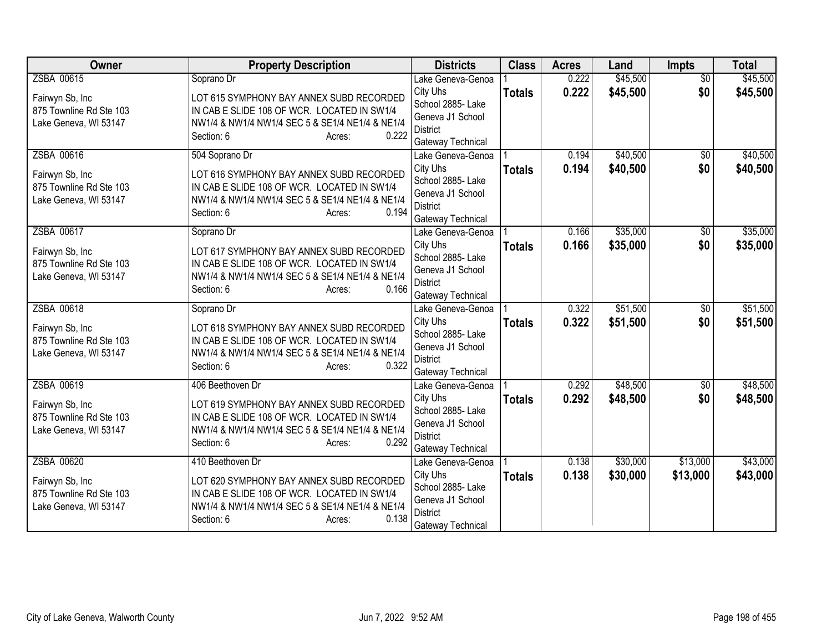| Owner                   | <b>Property Description</b>                     | <b>Districts</b>                    | <b>Class</b>  | <b>Acres</b> | Land     | <b>Impts</b>    | <b>Total</b> |
|-------------------------|-------------------------------------------------|-------------------------------------|---------------|--------------|----------|-----------------|--------------|
| ZSBA 00615              | Soprano Dr                                      | Lake Geneva-Genoa                   |               | 0.222        | \$45,500 | $\overline{50}$ | \$45,500     |
| Fairwyn Sb, Inc         | LOT 615 SYMPHONY BAY ANNEX SUBD RECORDED        | City Uhs                            | <b>Totals</b> | 0.222        | \$45,500 | \$0             | \$45,500     |
| 875 Townline Rd Ste 103 | IN CAB E SLIDE 108 OF WCR. LOCATED IN SW1/4     | School 2885- Lake                   |               |              |          |                 |              |
| Lake Geneva, WI 53147   | NW1/4 & NW1/4 NW1/4 SEC 5 & SE1/4 NE1/4 & NE1/4 | Geneva J1 School<br><b>District</b> |               |              |          |                 |              |
|                         | 0.222<br>Section: 6<br>Acres:                   | Gateway Technical                   |               |              |          |                 |              |
| ZSBA 00616              | 504 Soprano Dr                                  | Lake Geneva-Genoa                   |               | 0.194        | \$40,500 | \$0             | \$40,500     |
|                         |                                                 | City Uhs                            | <b>Totals</b> | 0.194        | \$40,500 | \$0             | \$40,500     |
| Fairwyn Sb, Inc         | LOT 616 SYMPHONY BAY ANNEX SUBD RECORDED        | School 2885- Lake                   |               |              |          |                 |              |
| 875 Townline Rd Ste 103 | IN CAB E SLIDE 108 OF WCR. LOCATED IN SW1/4     | Geneva J1 School                    |               |              |          |                 |              |
| Lake Geneva, WI 53147   | NW1/4 & NW1/4 NW1/4 SEC 5 & SE1/4 NE1/4 & NE1/4 | <b>District</b>                     |               |              |          |                 |              |
|                         | Section: 6<br>0.194<br>Acres:                   | Gateway Technical                   |               |              |          |                 |              |
| ZSBA 00617              | Soprano Dr                                      | Lake Geneva-Genoa                   |               | 0.166        | \$35,000 | \$0             | \$35,000     |
| Fairwyn Sb, Inc         | LOT 617 SYMPHONY BAY ANNEX SUBD RECORDED        | City Uhs                            | <b>Totals</b> | 0.166        | \$35,000 | \$0             | \$35,000     |
| 875 Townline Rd Ste 103 | IN CAB E SLIDE 108 OF WCR. LOCATED IN SW1/4     | School 2885- Lake                   |               |              |          |                 |              |
| Lake Geneva, WI 53147   | NW1/4 & NW1/4 NW1/4 SEC 5 & SE1/4 NE1/4 & NE1/4 | Geneva J1 School                    |               |              |          |                 |              |
|                         | 0.166<br>Section: 6<br>Acres:                   | <b>District</b>                     |               |              |          |                 |              |
| ZSBA 00618              |                                                 | Gateway Technical                   |               | 0.322        | \$51,500 |                 | \$51,500     |
|                         | Soprano Dr                                      | Lake Geneva-Genoa<br>City Uhs       |               | 0.322        | \$51,500 | \$0<br>\$0      | \$51,500     |
| Fairwyn Sb, Inc         | LOT 618 SYMPHONY BAY ANNEX SUBD RECORDED        | School 2885- Lake                   | <b>Totals</b> |              |          |                 |              |
| 875 Townline Rd Ste 103 | IN CAB E SLIDE 108 OF WCR. LOCATED IN SW1/4     | Geneva J1 School                    |               |              |          |                 |              |
| Lake Geneva, WI 53147   | NW1/4 & NW1/4 NW1/4 SEC 5 & SE1/4 NE1/4 & NE1/4 | <b>District</b>                     |               |              |          |                 |              |
|                         | 0.322<br>Section: 6<br>Acres:                   | Gateway Technical                   |               |              |          |                 |              |
| ZSBA 00619              | 406 Beethoven Dr                                | Lake Geneva-Genoa                   |               | 0.292        | \$48,500 | $\overline{60}$ | \$48,500     |
| Fairwyn Sb, Inc         | LOT 619 SYMPHONY BAY ANNEX SUBD RECORDED        | City Uhs                            | <b>Totals</b> | 0.292        | \$48,500 | \$0             | \$48,500     |
| 875 Townline Rd Ste 103 | IN CAB E SLIDE 108 OF WCR. LOCATED IN SW1/4     | School 2885- Lake                   |               |              |          |                 |              |
| Lake Geneva, WI 53147   | NW1/4 & NW1/4 NW1/4 SEC 5 & SE1/4 NE1/4 & NE1/4 | Geneva J1 School                    |               |              |          |                 |              |
|                         | 0.292<br>Section: 6<br>Acres:                   | <b>District</b>                     |               |              |          |                 |              |
|                         |                                                 | Gateway Technical                   |               |              |          |                 |              |
| ZSBA 00620              | 410 Beethoven Dr                                | Lake Geneva-Genoa<br>City Uhs       |               | 0.138        | \$30,000 | \$13,000        | \$43,000     |
| Fairwyn Sb, Inc         | LOT 620 SYMPHONY BAY ANNEX SUBD RECORDED        | School 2885- Lake                   | <b>Totals</b> | 0.138        | \$30,000 | \$13,000        | \$43,000     |
| 875 Townline Rd Ste 103 | IN CAB E SLIDE 108 OF WCR. LOCATED IN SW1/4     | Geneva J1 School                    |               |              |          |                 |              |
| Lake Geneva, WI 53147   | NW1/4 & NW1/4 NW1/4 SEC 5 & SE1/4 NE1/4 & NE1/4 | <b>District</b>                     |               |              |          |                 |              |
|                         | 0.138<br>Section: 6<br>Acres:                   | Gateway Technical                   |               |              |          |                 |              |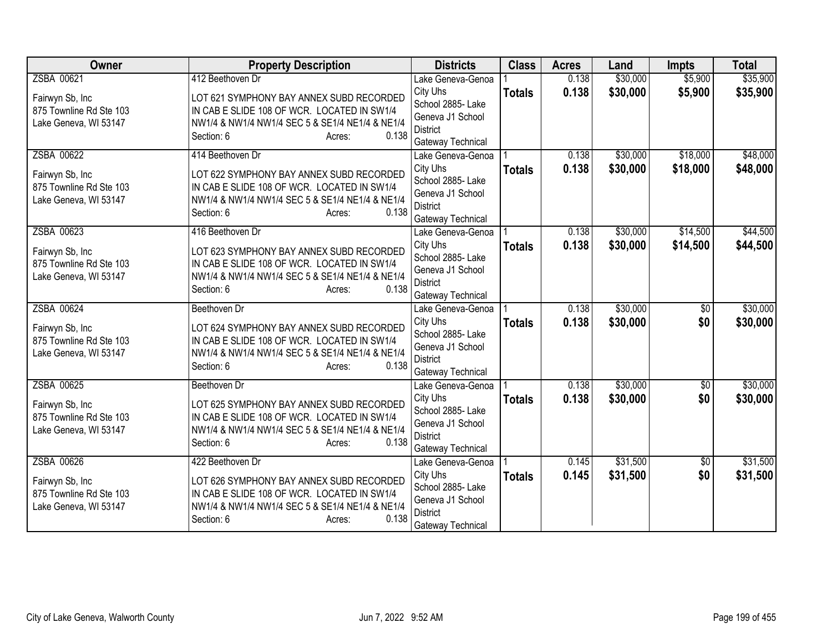| Owner                                            | <b>Property Description</b>                                                                    | <b>Districts</b>              | <b>Class</b>  | <b>Acres</b> | Land     | <b>Impts</b>    | <b>Total</b> |
|--------------------------------------------------|------------------------------------------------------------------------------------------------|-------------------------------|---------------|--------------|----------|-----------------|--------------|
| ZSBA 00621                                       | 412 Beethoven Dr                                                                               | Lake Geneva-Genoa             |               | 0.138        | \$30,000 | \$5,900         | \$35,900     |
| Fairwyn Sb, Inc                                  | LOT 621 SYMPHONY BAY ANNEX SUBD RECORDED                                                       | City Uhs                      | <b>Totals</b> | 0.138        | \$30,000 | \$5,900         | \$35,900     |
| 875 Townline Rd Ste 103                          | IN CAB E SLIDE 108 OF WCR. LOCATED IN SW1/4                                                    | School 2885- Lake             |               |              |          |                 |              |
| Lake Geneva, WI 53147                            | NW1/4 & NW1/4 NW1/4 SEC 5 & SE1/4 NE1/4 & NE1/4                                                | Geneva J1 School              |               |              |          |                 |              |
|                                                  | Section: 6<br>0.138<br>Acres:                                                                  | <b>District</b>               |               |              |          |                 |              |
|                                                  |                                                                                                | Gateway Technical             |               |              |          |                 |              |
| ZSBA 00622                                       | 414 Beethoven Dr                                                                               | Lake Geneva-Genoa<br>City Uhs |               | 0.138        | \$30,000 | \$18,000        | \$48,000     |
| Fairwyn Sb, Inc                                  | LOT 622 SYMPHONY BAY ANNEX SUBD RECORDED                                                       | School 2885- Lake             | <b>Totals</b> | 0.138        | \$30,000 | \$18,000        | \$48,000     |
| 875 Townline Rd Ste 103                          | IN CAB E SLIDE 108 OF WCR. LOCATED IN SW1/4                                                    | Geneva J1 School              |               |              |          |                 |              |
| Lake Geneva, WI 53147                            | NW1/4 & NW1/4 NW1/4 SEC 5 & SE1/4 NE1/4 & NE1/4                                                | <b>District</b>               |               |              |          |                 |              |
|                                                  | Section: 6<br>0.138<br>Acres:                                                                  | Gateway Technical             |               |              |          |                 |              |
| ZSBA 00623                                       | 416 Beethoven Dr                                                                               | Lake Geneva-Genoa             |               | 0.138        | \$30,000 | \$14,500        | \$44,500     |
|                                                  |                                                                                                | City Uhs                      | <b>Totals</b> | 0.138        | \$30,000 | \$14,500        | \$44,500     |
| Fairwyn Sb, Inc                                  | LOT 623 SYMPHONY BAY ANNEX SUBD RECORDED                                                       | School 2885- Lake             |               |              |          |                 |              |
| 875 Townline Rd Ste 103                          | IN CAB E SLIDE 108 OF WCR. LOCATED IN SW1/4                                                    | Geneva J1 School              |               |              |          |                 |              |
| Lake Geneva, WI 53147                            | NW1/4 & NW1/4 NW1/4 SEC 5 & SE1/4 NE1/4 & NE1/4<br>0.138                                       | <b>District</b>               |               |              |          |                 |              |
|                                                  | Section: 6<br>Acres:                                                                           | Gateway Technical             |               |              |          |                 |              |
| ZSBA 00624                                       | Beethoven Dr                                                                                   | Lake Geneva-Genoa             |               | 0.138        | \$30,000 | $\overline{50}$ | \$30,000     |
| Fairwyn Sb, Inc                                  | LOT 624 SYMPHONY BAY ANNEX SUBD RECORDED                                                       | City Uhs                      | <b>Totals</b> | 0.138        | \$30,000 | \$0             | \$30,000     |
| 875 Townline Rd Ste 103                          | IN CAB E SLIDE 108 OF WCR. LOCATED IN SW1/4                                                    | School 2885- Lake             |               |              |          |                 |              |
| Lake Geneva, WI 53147                            | NW1/4 & NW1/4 NW1/4 SEC 5 & SE1/4 NE1/4 & NE1/4                                                | Geneva J1 School              |               |              |          |                 |              |
|                                                  | Section: 6<br>0.138<br>Acres:                                                                  | <b>District</b>               |               |              |          |                 |              |
|                                                  |                                                                                                | Gateway Technical             |               |              |          |                 |              |
| ZSBA 00625                                       | Beethoven Dr                                                                                   | Lake Geneva-Genoa             |               | 0.138        | \$30,000 | $\overline{50}$ | \$30,000     |
| Fairwyn Sb, Inc                                  | LOT 625 SYMPHONY BAY ANNEX SUBD RECORDED                                                       | City Uhs<br>School 2885- Lake | <b>Totals</b> | 0.138        | \$30,000 | \$0             | \$30,000     |
| 875 Townline Rd Ste 103                          | IN CAB E SLIDE 108 OF WCR. LOCATED IN SW1/4                                                    | Geneva J1 School              |               |              |          |                 |              |
| Lake Geneva, WI 53147                            | NW1/4 & NW1/4 NW1/4 SEC 5 & SE1/4 NE1/4 & NE1/4                                                | <b>District</b>               |               |              |          |                 |              |
|                                                  | 0.138<br>Section: 6<br>Acres:                                                                  | Gateway Technical             |               |              |          |                 |              |
| ZSBA 00626                                       | 422 Beethoven Dr                                                                               | Lake Geneva-Genoa             |               | 0.145        | \$31,500 | \$0             | \$31,500     |
|                                                  |                                                                                                | City Uhs                      | <b>Totals</b> | 0.145        | \$31,500 | \$0             | \$31,500     |
| Fairwyn Sb, Inc                                  | LOT 626 SYMPHONY BAY ANNEX SUBD RECORDED                                                       | School 2885- Lake             |               |              |          |                 |              |
| 875 Townline Rd Ste 103<br>Lake Geneva, WI 53147 | IN CAB E SLIDE 108 OF WCR. LOCATED IN SW1/4<br>NW1/4 & NW1/4 NW1/4 SEC 5 & SE1/4 NE1/4 & NE1/4 | Geneva J1 School              |               |              |          |                 |              |
|                                                  | 0.138<br>Section: 6<br>Acres:                                                                  | <b>District</b>               |               |              |          |                 |              |
|                                                  |                                                                                                | Gateway Technical             |               |              |          |                 |              |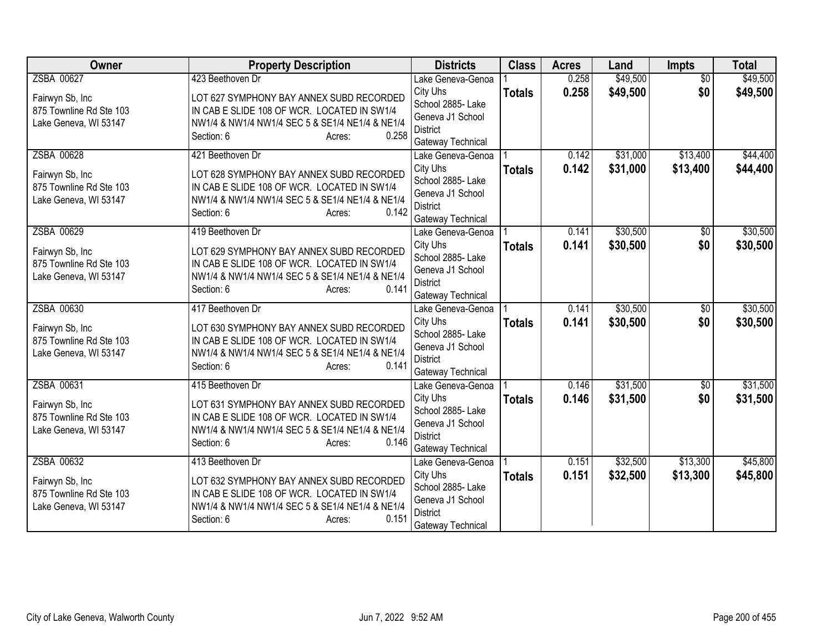| <b>Owner</b>            | <b>Property Description</b>                     | <b>Districts</b>                       | <b>Class</b>  | <b>Acres</b> | Land     | <b>Impts</b>    | <b>Total</b> |
|-------------------------|-------------------------------------------------|----------------------------------------|---------------|--------------|----------|-----------------|--------------|
| ZSBA 00627              | 423 Beethoven Dr                                | Lake Geneva-Genoa                      |               | 0.258        | \$49,500 | $\overline{50}$ | \$49,500     |
| Fairwyn Sb, Inc         | LOT 627 SYMPHONY BAY ANNEX SUBD RECORDED        | City Uhs                               | <b>Totals</b> | 0.258        | \$49,500 | \$0             | \$49,500     |
| 875 Townline Rd Ste 103 | IN CAB E SLIDE 108 OF WCR. LOCATED IN SW1/4     | School 2885- Lake                      |               |              |          |                 |              |
| Lake Geneva, WI 53147   | NW1/4 & NW1/4 NW1/4 SEC 5 & SE1/4 NE1/4 & NE1/4 | Geneva J1 School<br><b>District</b>    |               |              |          |                 |              |
|                         | 0.258<br>Section: 6<br>Acres:                   | Gateway Technical                      |               |              |          |                 |              |
| ZSBA 00628              | 421 Beethoven Dr                                | Lake Geneva-Genoa                      |               | 0.142        | \$31,000 | \$13,400        | \$44,400     |
|                         |                                                 | City Uhs                               | <b>Totals</b> | 0.142        | \$31,000 | \$13,400        | \$44,400     |
| Fairwyn Sb, Inc         | LOT 628 SYMPHONY BAY ANNEX SUBD RECORDED        | School 2885- Lake                      |               |              |          |                 |              |
| 875 Townline Rd Ste 103 | IN CAB E SLIDE 108 OF WCR. LOCATED IN SW1/4     | Geneva J1 School                       |               |              |          |                 |              |
| Lake Geneva, WI 53147   | NW1/4 & NW1/4 NW1/4 SEC 5 & SE1/4 NE1/4 & NE1/4 | <b>District</b>                        |               |              |          |                 |              |
|                         | Section: 6<br>0.142<br>Acres:                   | Gateway Technical                      |               |              |          |                 |              |
| ZSBA 00629              | 419 Beethoven Dr                                | Lake Geneva-Genoa                      |               | 0.141        | \$30,500 | \$0             | \$30,500     |
| Fairwyn Sb, Inc         | LOT 629 SYMPHONY BAY ANNEX SUBD RECORDED        | City Uhs                               | <b>Totals</b> | 0.141        | \$30,500 | \$0             | \$30,500     |
| 875 Townline Rd Ste 103 | IN CAB E SLIDE 108 OF WCR. LOCATED IN SW1/4     | School 2885- Lake                      |               |              |          |                 |              |
| Lake Geneva, WI 53147   | NW1/4 & NW1/4 NW1/4 SEC 5 & SE1/4 NE1/4 & NE1/4 | Geneva J1 School                       |               |              |          |                 |              |
|                         | 0.141<br>Section: 6<br>Acres:                   | <b>District</b>                        |               |              |          |                 |              |
| ZSBA 00630              | 417 Beethoven Dr                                | Gateway Technical<br>Lake Geneva-Genoa |               | 0.141        | \$30,500 | $\overline{50}$ | \$30,500     |
|                         |                                                 | City Uhs                               |               | 0.141        | \$30,500 | \$0             | \$30,500     |
| Fairwyn Sb, Inc         | LOT 630 SYMPHONY BAY ANNEX SUBD RECORDED        | School 2885- Lake                      | <b>Totals</b> |              |          |                 |              |
| 875 Townline Rd Ste 103 | IN CAB E SLIDE 108 OF WCR. LOCATED IN SW1/4     | Geneva J1 School                       |               |              |          |                 |              |
| Lake Geneva, WI 53147   | NW1/4 & NW1/4 NW1/4 SEC 5 & SE1/4 NE1/4 & NE1/4 | <b>District</b>                        |               |              |          |                 |              |
|                         | Section: 6<br>0.141<br>Acres:                   | Gateway Technical                      |               |              |          |                 |              |
| ZSBA 00631              | 415 Beethoven Dr                                | Lake Geneva-Genoa                      |               | 0.146        | \$31,500 | $\sqrt{$0}$     | \$31,500     |
| Fairwyn Sb, Inc         | LOT 631 SYMPHONY BAY ANNEX SUBD RECORDED        | City Uhs                               | <b>Totals</b> | 0.146        | \$31,500 | \$0             | \$31,500     |
| 875 Townline Rd Ste 103 | IN CAB E SLIDE 108 OF WCR. LOCATED IN SW1/4     | School 2885- Lake                      |               |              |          |                 |              |
| Lake Geneva, WI 53147   | NW1/4 & NW1/4 NW1/4 SEC 5 & SE1/4 NE1/4 & NE1/4 | Geneva J1 School                       |               |              |          |                 |              |
|                         | 0.146<br>Section: 6<br>Acres:                   | <b>District</b>                        |               |              |          |                 |              |
| ZSBA 00632              | 413 Beethoven Dr                                | Gateway Technical<br>Lake Geneva-Genoa |               | 0.151        | \$32,500 | \$13,300        | \$45,800     |
|                         |                                                 | City Uhs                               |               | 0.151        | \$32,500 | \$13,300        |              |
| Fairwyn Sb, Inc         | LOT 632 SYMPHONY BAY ANNEX SUBD RECORDED        | School 2885- Lake                      | <b>Totals</b> |              |          |                 | \$45,800     |
| 875 Townline Rd Ste 103 | IN CAB E SLIDE 108 OF WCR. LOCATED IN SW1/4     | Geneva J1 School                       |               |              |          |                 |              |
| Lake Geneva, WI 53147   | NW1/4 & NW1/4 NW1/4 SEC 5 & SE1/4 NE1/4 & NE1/4 | <b>District</b>                        |               |              |          |                 |              |
|                         | 0.151<br>Section: 6<br>Acres:                   | Gateway Technical                      |               |              |          |                 |              |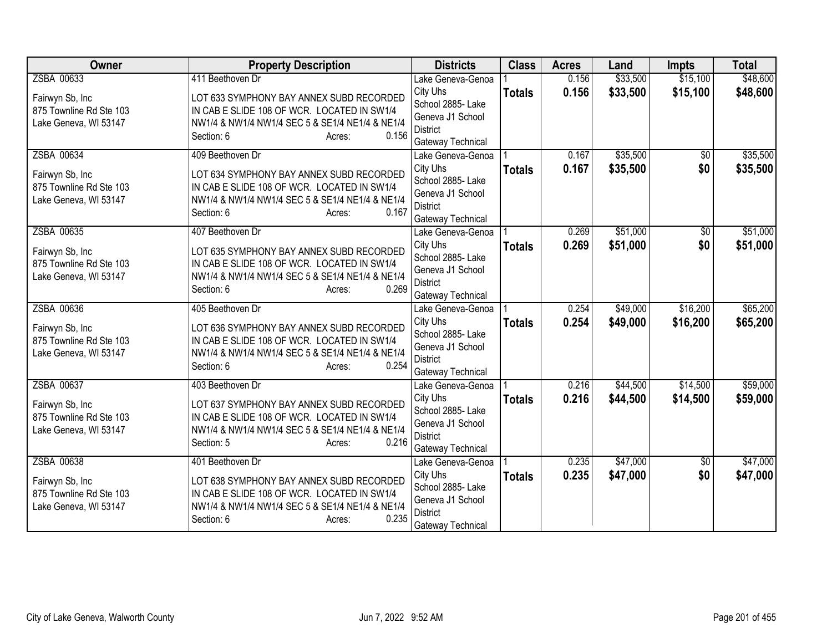| Owner                   | <b>Property Description</b>                     | <b>Districts</b>                       | <b>Class</b>  | <b>Acres</b> | Land     | <b>Impts</b>    | <b>Total</b> |
|-------------------------|-------------------------------------------------|----------------------------------------|---------------|--------------|----------|-----------------|--------------|
| ZSBA 00633              | 411 Beethoven Dr                                | Lake Geneva-Genoa                      |               | 0.156        | \$33,500 | \$15,100        | \$48,600     |
| Fairwyn Sb, Inc         | LOT 633 SYMPHONY BAY ANNEX SUBD RECORDED        | City Uhs                               | <b>Totals</b> | 0.156        | \$33,500 | \$15,100        | \$48,600     |
| 875 Townline Rd Ste 103 | IN CAB E SLIDE 108 OF WCR. LOCATED IN SW1/4     | School 2885- Lake                      |               |              |          |                 |              |
| Lake Geneva, WI 53147   | NW1/4 & NW1/4 NW1/4 SEC 5 & SE1/4 NE1/4 & NE1/4 | Geneva J1 School<br><b>District</b>    |               |              |          |                 |              |
|                         | Section: 6<br>0.156<br>Acres:                   | Gateway Technical                      |               |              |          |                 |              |
| ZSBA 00634              | 409 Beethoven Dr                                | Lake Geneva-Genoa                      |               | 0.167        | \$35,500 | $\overline{50}$ | \$35,500     |
|                         |                                                 | City Uhs                               | <b>Totals</b> | 0.167        | \$35,500 | \$0             | \$35,500     |
| Fairwyn Sb, Inc         | LOT 634 SYMPHONY BAY ANNEX SUBD RECORDED        | School 2885- Lake                      |               |              |          |                 |              |
| 875 Townline Rd Ste 103 | IN CAB E SLIDE 108 OF WCR. LOCATED IN SW1/4     | Geneva J1 School                       |               |              |          |                 |              |
| Lake Geneva, WI 53147   | NW1/4 & NW1/4 NW1/4 SEC 5 & SE1/4 NE1/4 & NE1/4 | <b>District</b>                        |               |              |          |                 |              |
|                         | Section: 6<br>0.167<br>Acres:                   | Gateway Technical                      |               |              |          |                 |              |
| ZSBA 00635              | 407 Beethoven Dr                                | Lake Geneva-Genoa                      |               | 0.269        | \$51,000 | \$0             | \$51,000     |
| Fairwyn Sb, Inc         | LOT 635 SYMPHONY BAY ANNEX SUBD RECORDED        | City Uhs                               | <b>Totals</b> | 0.269        | \$51,000 | \$0             | \$51,000     |
| 875 Townline Rd Ste 103 | IN CAB E SLIDE 108 OF WCR. LOCATED IN SW1/4     | School 2885- Lake                      |               |              |          |                 |              |
| Lake Geneva, WI 53147   | NW1/4 & NW1/4 NW1/4 SEC 5 & SE1/4 NE1/4 & NE1/4 | Geneva J1 School                       |               |              |          |                 |              |
|                         | 0.269<br>Section: 6<br>Acres:                   | <b>District</b>                        |               |              |          |                 |              |
| ZSBA 00636              | 405 Beethoven Dr                                | Gateway Technical<br>Lake Geneva-Genoa |               | 0.254        | \$49,000 | \$16,200        | \$65,200     |
|                         |                                                 | City Uhs                               |               | 0.254        | \$49,000 | \$16,200        | \$65,200     |
| Fairwyn Sb, Inc         | LOT 636 SYMPHONY BAY ANNEX SUBD RECORDED        | School 2885- Lake                      | <b>Totals</b> |              |          |                 |              |
| 875 Townline Rd Ste 103 | IN CAB E SLIDE 108 OF WCR. LOCATED IN SW1/4     | Geneva J1 School                       |               |              |          |                 |              |
| Lake Geneva, WI 53147   | NW1/4 & NW1/4 NW1/4 SEC 5 & SE1/4 NE1/4 & NE1/4 | <b>District</b>                        |               |              |          |                 |              |
|                         | Section: 6<br>0.254<br>Acres:                   | Gateway Technical                      |               |              |          |                 |              |
| ZSBA 00637              | 403 Beethoven Dr                                | Lake Geneva-Genoa                      |               | 0.216        | \$44,500 | \$14,500        | \$59,000     |
| Fairwyn Sb, Inc         | LOT 637 SYMPHONY BAY ANNEX SUBD RECORDED        | City Uhs                               | <b>Totals</b> | 0.216        | \$44,500 | \$14,500        | \$59,000     |
| 875 Townline Rd Ste 103 | IN CAB E SLIDE 108 OF WCR. LOCATED IN SW1/4     | School 2885- Lake                      |               |              |          |                 |              |
| Lake Geneva, WI 53147   | NW1/4 & NW1/4 NW1/4 SEC 5 & SE1/4 NE1/4 & NE1/4 | Geneva J1 School                       |               |              |          |                 |              |
|                         | 0.216<br>Section: 5<br>Acres:                   | <b>District</b>                        |               |              |          |                 |              |
| ZSBA 00638              | 401 Beethoven Dr                                | Gateway Technical<br>Lake Geneva-Genoa |               | 0.235        | \$47,000 | \$0             | \$47,000     |
|                         |                                                 | City Uhs                               |               | 0.235        | \$47,000 | \$0             | \$47,000     |
| Fairwyn Sb, Inc         | LOT 638 SYMPHONY BAY ANNEX SUBD RECORDED        | School 2885- Lake                      | <b>Totals</b> |              |          |                 |              |
| 875 Townline Rd Ste 103 | IN CAB E SLIDE 108 OF WCR. LOCATED IN SW1/4     | Geneva J1 School                       |               |              |          |                 |              |
| Lake Geneva, WI 53147   | NW1/4 & NW1/4 NW1/4 SEC 5 & SE1/4 NE1/4 & NE1/4 | <b>District</b>                        |               |              |          |                 |              |
|                         | 0.235<br>Section: 6<br>Acres:                   | Gateway Technical                      |               |              |          |                 |              |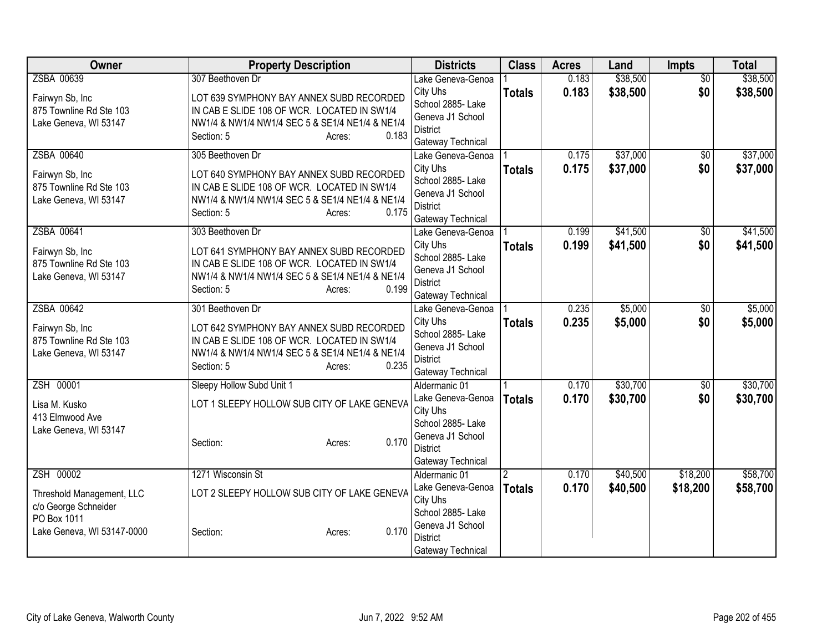| <b>Owner</b>                               | <b>Property Description</b>                                                             | <b>Districts</b>                       | <b>Class</b>  | <b>Acres</b> | Land     | Impts           | <b>Total</b> |
|--------------------------------------------|-----------------------------------------------------------------------------------------|----------------------------------------|---------------|--------------|----------|-----------------|--------------|
| ZSBA 00639                                 | 307 Beethoven Dr                                                                        | Lake Geneva-Genoa                      |               | 0.183        | \$38,500 | $\overline{50}$ | \$38,500     |
| Fairwyn Sb, Inc                            | LOT 639 SYMPHONY BAY ANNEX SUBD RECORDED                                                | City Uhs                               | <b>Totals</b> | 0.183        | \$38,500 | \$0             | \$38,500     |
| 875 Townline Rd Ste 103                    | IN CAB E SLIDE 108 OF WCR. LOCATED IN SW1/4                                             | School 2885- Lake<br>Geneva J1 School  |               |              |          |                 |              |
| Lake Geneva, WI 53147                      | NW1/4 & NW1/4 NW1/4 SEC 5 & SE1/4 NE1/4 & NE1/4                                         | <b>District</b>                        |               |              |          |                 |              |
|                                            | 0.183<br>Section: 5<br>Acres:                                                           | Gateway Technical                      |               |              |          |                 |              |
| ZSBA 00640                                 | 305 Beethoven Dr                                                                        | Lake Geneva-Genoa                      |               | 0.175        | \$37,000 | $\sqrt{6}$      | \$37,000     |
| Fairwyn Sb, Inc                            | LOT 640 SYMPHONY BAY ANNEX SUBD RECORDED                                                | City Uhs                               | <b>Totals</b> | 0.175        | \$37,000 | \$0             | \$37,000     |
| 875 Townline Rd Ste 103                    | IN CAB E SLIDE 108 OF WCR. LOCATED IN SW1/4                                             | School 2885- Lake                      |               |              |          |                 |              |
| Lake Geneva, WI 53147                      | NW1/4 & NW1/4 NW1/4 SEC 5 & SE1/4 NE1/4 & NE1/4                                         | Geneva J1 School<br><b>District</b>    |               |              |          |                 |              |
|                                            | 0.175<br>Section: 5<br>Acres:                                                           | Gateway Technical                      |               |              |          |                 |              |
| ZSBA 00641                                 | 303 Beethoven Dr                                                                        | Lake Geneva-Genoa                      |               | 0.199        | \$41,500 | \$0             | \$41,500     |
|                                            |                                                                                         | City Uhs                               | <b>Totals</b> | 0.199        | \$41,500 | \$0             | \$41,500     |
| Fairwyn Sb, Inc<br>875 Townline Rd Ste 103 | LOT 641 SYMPHONY BAY ANNEX SUBD RECORDED<br>IN CAB E SLIDE 108 OF WCR. LOCATED IN SW1/4 | School 2885- Lake                      |               |              |          |                 |              |
| Lake Geneva, WI 53147                      | NW1/4 & NW1/4 NW1/4 SEC 5 & SE1/4 NE1/4 & NE1/4                                         | Geneva J1 School                       |               |              |          |                 |              |
|                                            | 0.199<br>Section: 5<br>Acres:                                                           | <b>District</b>                        |               |              |          |                 |              |
| ZSBA 00642                                 | 301 Beethoven Dr                                                                        | Gateway Technical<br>Lake Geneva-Genoa |               | 0.235        | \$5,000  | $\overline{30}$ | \$5,000      |
|                                            |                                                                                         | City Uhs                               | <b>Totals</b> | 0.235        | \$5,000  | \$0             | \$5,000      |
| Fairwyn Sb, Inc                            | LOT 642 SYMPHONY BAY ANNEX SUBD RECORDED                                                | School 2885- Lake                      |               |              |          |                 |              |
| 875 Townline Rd Ste 103                    | IN CAB E SLIDE 108 OF WCR. LOCATED IN SW1/4                                             | Geneva J1 School                       |               |              |          |                 |              |
| Lake Geneva, WI 53147                      | NW1/4 & NW1/4 NW1/4 SEC 5 & SE1/4 NE1/4 & NE1/4<br>0.235<br>Section: 5<br>Acres:        | <b>District</b>                        |               |              |          |                 |              |
|                                            |                                                                                         | Gateway Technical                      |               |              |          |                 |              |
| ZSH 00001                                  | Sleepy Hollow Subd Unit 1                                                               | Aldermanic 01                          |               | 0.170        | \$30,700 | $\overline{60}$ | \$30,700     |
| Lisa M. Kusko                              | LOT 1 SLEEPY HOLLOW SUB CITY OF LAKE GENEVA                                             | Lake Geneva-Genoa                      | <b>Totals</b> | 0.170        | \$30,700 | \$0             | \$30,700     |
| 413 Elmwood Ave                            |                                                                                         | City Uhs<br>School 2885- Lake          |               |              |          |                 |              |
| Lake Geneva, WI 53147                      |                                                                                         | Geneva J1 School                       |               |              |          |                 |              |
|                                            | 0.170<br>Section:<br>Acres:                                                             | <b>District</b>                        |               |              |          |                 |              |
|                                            |                                                                                         | Gateway Technical                      |               |              |          |                 |              |
| ZSH 00002                                  | 1271 Wisconsin St                                                                       | Aldermanic 01                          | $\mathcal{P}$ | 0.170        | \$40,500 | \$18,200        | \$58,700     |
| Threshold Management, LLC                  | LOT 2 SLEEPY HOLLOW SUB CITY OF LAKE GENEVA                                             | Lake Geneva-Genoa                      | <b>Totals</b> | 0.170        | \$40,500 | \$18,200        | \$58,700     |
| c/o George Schneider                       |                                                                                         | City Uhs<br>School 2885- Lake          |               |              |          |                 |              |
| PO Box 1011                                |                                                                                         | Geneva J1 School                       |               |              |          |                 |              |
| Lake Geneva, WI 53147-0000                 | 0.170<br>Section:<br>Acres:                                                             | <b>District</b>                        |               |              |          |                 |              |
|                                            |                                                                                         | Gateway Technical                      |               |              |          |                 |              |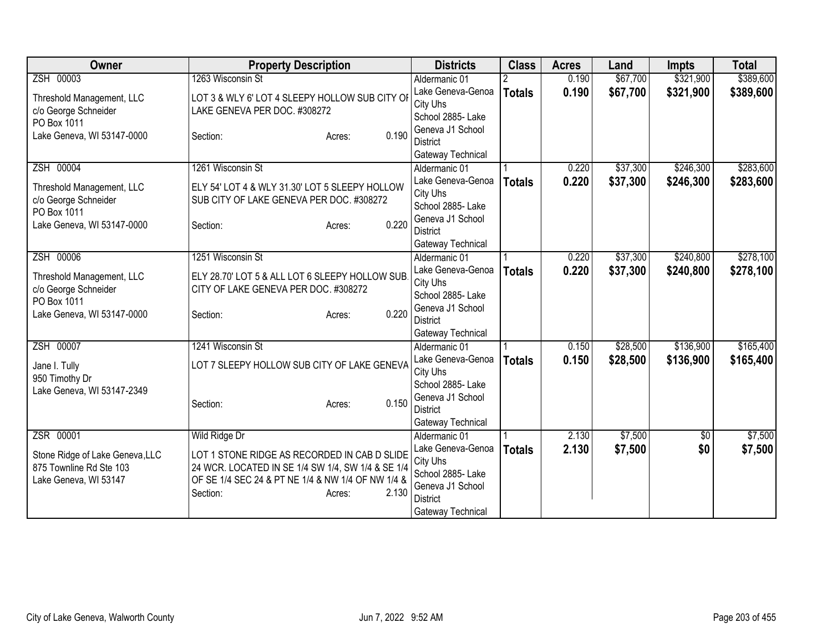| Owner                           | <b>Property Description</b>                       | <b>Districts</b>                      | <b>Class</b>  | <b>Acres</b> | Land     | <b>Impts</b> | <b>Total</b> |
|---------------------------------|---------------------------------------------------|---------------------------------------|---------------|--------------|----------|--------------|--------------|
| ZSH 00003                       | 1263 Wisconsin St                                 | Aldermanic 01                         |               | 0.190        | \$67,700 | \$321,900    | \$389,600    |
| Threshold Management, LLC       | LOT 3 & WLY 6' LOT 4 SLEEPY HOLLOW SUB CITY OI    | Lake Geneva-Genoa                     | <b>Totals</b> | 0.190        | \$67,700 | \$321,900    | \$389,600    |
| c/o George Schneider            | LAKE GENEVA PER DOC. #308272                      | City Uhs                              |               |              |          |              |              |
| PO Box 1011                     |                                                   | School 2885- Lake                     |               |              |          |              |              |
| Lake Geneva, WI 53147-0000      | 0.190<br>Section:<br>Acres:                       | Geneva J1 School                      |               |              |          |              |              |
|                                 |                                                   | <b>District</b><br>Gateway Technical  |               |              |          |              |              |
| ZSH 00004                       | 1261 Wisconsin St                                 | Aldermanic 01                         |               | 0.220        | \$37,300 | \$246,300    | \$283,600    |
|                                 |                                                   | Lake Geneva-Genoa                     | <b>Totals</b> | 0.220        | \$37,300 | \$246,300    | \$283,600    |
| Threshold Management, LLC       | ELY 54' LOT 4 & WLY 31.30' LOT 5 SLEEPY HOLLOW    | City Uhs                              |               |              |          |              |              |
| c/o George Schneider            | SUB CITY OF LAKE GENEVA PER DOC. #308272          | School 2885- Lake                     |               |              |          |              |              |
| PO Box 1011                     | 0.220                                             | Geneva J1 School                      |               |              |          |              |              |
| Lake Geneva, WI 53147-0000      | Section:<br>Acres:                                | <b>District</b>                       |               |              |          |              |              |
|                                 |                                                   | Gateway Technical                     |               |              |          |              |              |
| ZSH 00006                       | 1251 Wisconsin St                                 | Aldermanic 01                         |               | 0.220        | \$37,300 | \$240,800    | \$278,100    |
| Threshold Management, LLC       | ELY 28.70' LOT 5 & ALL LOT 6 SLEEPY HOLLOW SUB    | Lake Geneva-Genoa                     | <b>Totals</b> | 0.220        | \$37,300 | \$240,800    | \$278,100    |
| c/o George Schneider            | CITY OF LAKE GENEVA PER DOC. #308272              | City Uhs                              |               |              |          |              |              |
| PO Box 1011                     |                                                   | School 2885- Lake                     |               |              |          |              |              |
| Lake Geneva, WI 53147-0000      | 0.220<br>Section:<br>Acres:                       | Geneva J1 School<br><b>District</b>   |               |              |          |              |              |
|                                 |                                                   | Gateway Technical                     |               |              |          |              |              |
| ZSH 00007                       | 1241 Wisconsin St                                 | Aldermanic 01                         |               | 0.150        | \$28,500 | \$136,900    | \$165,400    |
|                                 |                                                   | Lake Geneva-Genoa                     | <b>Totals</b> | 0.150        | \$28,500 | \$136,900    | \$165,400    |
| Jane I. Tully                   | LOT 7 SLEEPY HOLLOW SUB CITY OF LAKE GENEVA       | City Uhs                              |               |              |          |              |              |
| 950 Timothy Dr                  |                                                   | School 2885-Lake                      |               |              |          |              |              |
| Lake Geneva, WI 53147-2349      | 0.150<br>Section:<br>Acres:                       | Geneva J1 School                      |               |              |          |              |              |
|                                 |                                                   | <b>District</b>                       |               |              |          |              |              |
|                                 |                                                   | Gateway Technical                     |               |              |          |              |              |
| ZSR 00001                       | Wild Ridge Dr                                     | Aldermanic 01                         |               | 2.130        | \$7,500  | $\sqrt{6}$   | \$7,500      |
| Stone Ridge of Lake Geneva, LLC | LOT 1 STONE RIDGE AS RECORDED IN CAB D SLIDE      | Lake Geneva-Genoa                     | <b>Totals</b> | 2.130        | \$7,500  | \$0          | \$7,500      |
| 875 Townline Rd Ste 103         | 24 WCR. LOCATED IN SE 1/4 SW 1/4, SW 1/4 & SE 1/4 | City Uhs                              |               |              |          |              |              |
| Lake Geneva, WI 53147           | OF SE 1/4 SEC 24 & PT NE 1/4 & NW 1/4 OF NW 1/4 & | School 2885- Lake<br>Geneva J1 School |               |              |          |              |              |
|                                 | 2.130<br>Section:<br>Acres:                       | <b>District</b>                       |               |              |          |              |              |
|                                 |                                                   | Gateway Technical                     |               |              |          |              |              |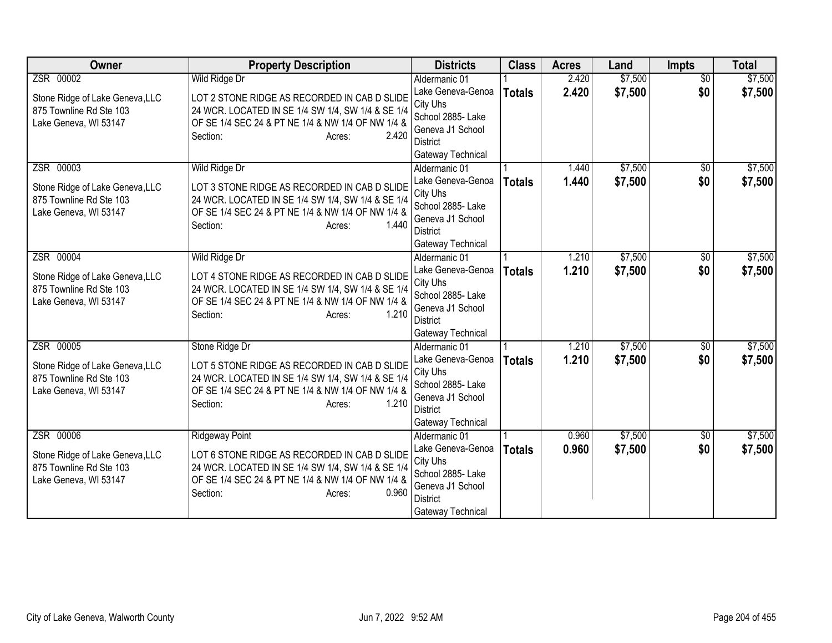| Owner                                                                                            | <b>Property Description</b>                                                                                                                                                                                    | <b>Districts</b>                                                                                                                | <b>Class</b>  | <b>Acres</b>   | Land               | <b>Impts</b>           | <b>Total</b>       |
|--------------------------------------------------------------------------------------------------|----------------------------------------------------------------------------------------------------------------------------------------------------------------------------------------------------------------|---------------------------------------------------------------------------------------------------------------------------------|---------------|----------------|--------------------|------------------------|--------------------|
| ZSR 00002                                                                                        | Wild Ridge Dr                                                                                                                                                                                                  | Aldermanic 01                                                                                                                   |               | 2.420          | \$7,500            | $\overline{50}$        | \$7,500            |
| Stone Ridge of Lake Geneva, LLC<br>875 Townline Rd Ste 103<br>Lake Geneva, WI 53147              | LOT 2 STONE RIDGE AS RECORDED IN CAB D SLIDE<br>24 WCR. LOCATED IN SE 1/4 SW 1/4, SW 1/4 & SE 1/4<br>OF SE 1/4 SEC 24 & PT NE 1/4 & NW 1/4 OF NW 1/4 &<br>2.420<br>Section:<br>Acres:                          | Lake Geneva-Genoa<br>City Uhs<br>School 2885- Lake<br>Geneva J1 School<br><b>District</b><br>Gateway Technical                  | <b>Totals</b> | 2.420          | \$7,500            | \$0                    | \$7,500            |
| ZSR 00003<br>Stone Ridge of Lake Geneva, LLC<br>875 Townline Rd Ste 103<br>Lake Geneva, WI 53147 | Wild Ridge Dr<br>LOT 3 STONE RIDGE AS RECORDED IN CAB D SLIDE<br>24 WCR. LOCATED IN SE 1/4 SW 1/4, SW 1/4 & SE 1/4<br>OF SE 1/4 SEC 24 & PT NE 1/4 & NW 1/4 OF NW 1/4 &<br>1.440<br>Section:<br>Acres:         | Aldermanic 01<br>Lake Geneva-Genoa<br>City Uhs<br>School 2885- Lake<br>Geneva J1 School<br><b>District</b><br>Gateway Technical | <b>Totals</b> | 1.440<br>1.440 | \$7,500<br>\$7,500 | \$0<br>\$0             | \$7,500<br>\$7,500 |
| ZSR 00004<br>Stone Ridge of Lake Geneva, LLC<br>875 Townline Rd Ste 103<br>Lake Geneva, WI 53147 | Wild Ridge Dr<br>LOT 4 STONE RIDGE AS RECORDED IN CAB D SLIDE<br>24 WCR. LOCATED IN SE 1/4 SW 1/4, SW 1/4 & SE 1/4<br>OF SE 1/4 SEC 24 & PT NE 1/4 & NW 1/4 OF NW 1/4 &<br>1.210<br>Section:<br>Acres:         | Aldermanic 01<br>Lake Geneva-Genoa<br>City Uhs<br>School 2885- Lake<br>Geneva J1 School<br><b>District</b><br>Gateway Technical | <b>Totals</b> | 1.210<br>1.210 | \$7,500<br>\$7,500 | \$0<br>\$0             | \$7,500<br>\$7,500 |
| ZSR 00005<br>Stone Ridge of Lake Geneva, LLC<br>875 Townline Rd Ste 103<br>Lake Geneva, WI 53147 | Stone Ridge Dr<br>LOT 5 STONE RIDGE AS RECORDED IN CAB D SLIDE<br>24 WCR. LOCATED IN SE 1/4 SW 1/4, SW 1/4 & SE 1/4<br>OF SE 1/4 SEC 24 & PT NE 1/4 & NW 1/4 OF NW 1/4 &<br>1.210<br>Section:<br>Acres:        | Aldermanic 01<br>Lake Geneva-Genoa<br>City Uhs<br>School 2885- Lake<br>Geneva J1 School<br><b>District</b><br>Gateway Technical | <b>Totals</b> | 1.210<br>1.210 | \$7,500<br>\$7,500 | $\overline{50}$<br>\$0 | \$7,500<br>\$7,500 |
| ZSR 00006<br>Stone Ridge of Lake Geneva, LLC<br>875 Townline Rd Ste 103<br>Lake Geneva, WI 53147 | <b>Ridgeway Point</b><br>LOT 6 STONE RIDGE AS RECORDED IN CAB D SLIDE<br>24 WCR. LOCATED IN SE 1/4 SW 1/4, SW 1/4 & SE 1/4<br>OF SE 1/4 SEC 24 & PT NE 1/4 & NW 1/4 OF NW 1/4 &<br>Section:<br>0.960<br>Acres: | Aldermanic 01<br>Lake Geneva-Genoa<br>City Uhs<br>School 2885- Lake<br>Geneva J1 School<br><b>District</b><br>Gateway Technical | <b>Totals</b> | 0.960<br>0.960 | \$7,500<br>\$7,500 | $\overline{50}$<br>\$0 | \$7,500<br>\$7,500 |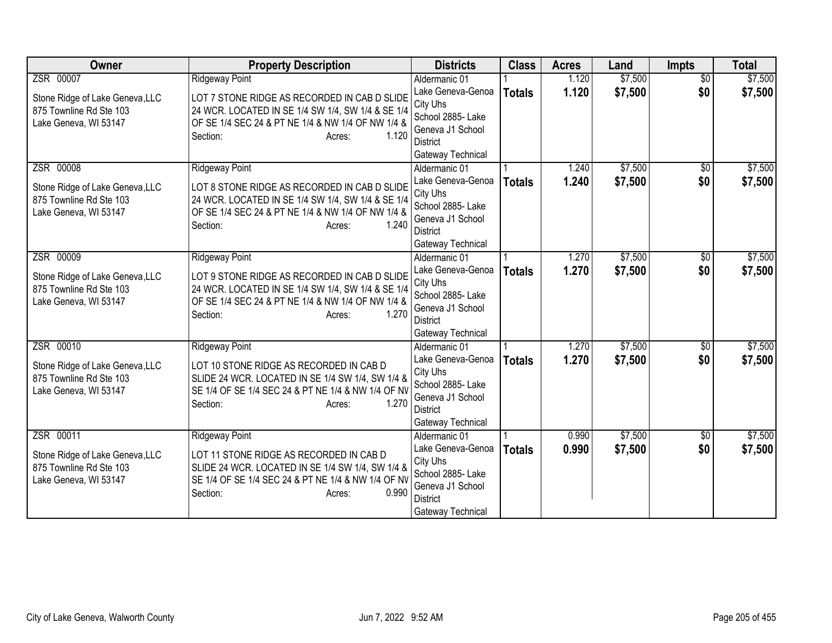| <b>Owner</b>                                                                        | <b>Property Description</b>                                                                                                                                                           | <b>Districts</b>                                                                                               | <b>Class</b>  | <b>Acres</b>   | Land               | <b>Impts</b>    | <b>Total</b>       |
|-------------------------------------------------------------------------------------|---------------------------------------------------------------------------------------------------------------------------------------------------------------------------------------|----------------------------------------------------------------------------------------------------------------|---------------|----------------|--------------------|-----------------|--------------------|
| ZSR 00007                                                                           | <b>Ridgeway Point</b>                                                                                                                                                                 | Aldermanic 01                                                                                                  |               | 1.120          | \$7,500            | $\overline{50}$ | \$7,500            |
| Stone Ridge of Lake Geneva, LLC<br>875 Townline Rd Ste 103<br>Lake Geneva, WI 53147 | LOT 7 STONE RIDGE AS RECORDED IN CAB D SLIDE<br>24 WCR. LOCATED IN SE 1/4 SW 1/4, SW 1/4 & SE 1/4<br>OF SE 1/4 SEC 24 & PT NE 1/4 & NW 1/4 OF NW 1/4 &<br>1.120<br>Section:<br>Acres: | Lake Geneva-Genoa<br>City Uhs<br>School 2885- Lake<br>Geneva J1 School<br><b>District</b><br>Gateway Technical | <b>Totals</b> | 1.120          | \$7,500            | \$0             | \$7,500            |
| ZSR 00008<br>Stone Ridge of Lake Geneva, LLC                                        | <b>Ridgeway Point</b><br>LOT 8 STONE RIDGE AS RECORDED IN CAB D SLIDE                                                                                                                 | Aldermanic 01<br>Lake Geneva-Genoa<br>City Uhs                                                                 | <b>Totals</b> | 1.240<br>1.240 | \$7,500<br>\$7,500 | \$0<br>\$0      | \$7,500<br>\$7,500 |
| 875 Townline Rd Ste 103<br>Lake Geneva, WI 53147                                    | 24 WCR. LOCATED IN SE 1/4 SW 1/4, SW 1/4 & SE 1/4<br>OF SE 1/4 SEC 24 & PT NE 1/4 & NW 1/4 OF NW 1/4 &<br>1.240<br>Section:<br>Acres:                                                 | School 2885- Lake<br>Geneva J1 School<br><b>District</b><br>Gateway Technical                                  |               |                |                    |                 |                    |
| ZSR 00009                                                                           | <b>Ridgeway Point</b>                                                                                                                                                                 | Aldermanic 01                                                                                                  |               | 1.270          | \$7,500            | \$0             | \$7,500            |
| Stone Ridge of Lake Geneva, LLC<br>875 Townline Rd Ste 103<br>Lake Geneva, WI 53147 | LOT 9 STONE RIDGE AS RECORDED IN CAB D SLIDE<br>24 WCR. LOCATED IN SE 1/4 SW 1/4, SW 1/4 & SE 1/4<br>OF SE 1/4 SEC 24 & PT NE 1/4 & NW 1/4 OF NW 1/4 &<br>1.270<br>Section:<br>Acres: | Lake Geneva-Genoa<br>City Uhs<br>School 2885- Lake<br>Geneva J1 School<br><b>District</b><br>Gateway Technical | <b>Totals</b> | 1.270          | \$7,500            | \$0             | \$7,500            |
| ZSR 00010                                                                           | <b>Ridgeway Point</b>                                                                                                                                                                 | Aldermanic 01                                                                                                  |               | 1.270          | \$7,500            | $\overline{50}$ | \$7,500            |
| Stone Ridge of Lake Geneva, LLC<br>875 Townline Rd Ste 103<br>Lake Geneva, WI 53147 | LOT 10 STONE RIDGE AS RECORDED IN CAB D<br>SLIDE 24 WCR. LOCATED IN SE 1/4 SW 1/4, SW 1/4 &<br>SE 1/4 OF SE 1/4 SEC 24 & PT NE 1/4 & NW 1/4 OF NV<br>1.270<br>Section:<br>Acres:      | Lake Geneva-Genoa<br>City Uhs<br>School 2885- Lake<br>Geneva J1 School<br><b>District</b><br>Gateway Technical | <b>Totals</b> | 1.270          | \$7,500            | \$0             | \$7,500            |
| ZSR 00011                                                                           | <b>Ridgeway Point</b>                                                                                                                                                                 | Aldermanic 01                                                                                                  |               | 0.990          | \$7,500            | $\overline{50}$ | \$7,500            |
| Stone Ridge of Lake Geneva, LLC<br>875 Townline Rd Ste 103<br>Lake Geneva, WI 53147 | LOT 11 STONE RIDGE AS RECORDED IN CAB D<br>SLIDE 24 WCR. LOCATED IN SE 1/4 SW 1/4, SW 1/4 &<br>SE 1/4 OF SE 1/4 SEC 24 & PT NE 1/4 & NW 1/4 OF NV<br>Section:<br>0.990<br>Acres:      | Lake Geneva-Genoa<br>City Uhs<br>School 2885- Lake<br>Geneva J1 School<br><b>District</b><br>Gateway Technical | <b>Totals</b> | 0.990          | \$7,500            | \$0             | \$7,500            |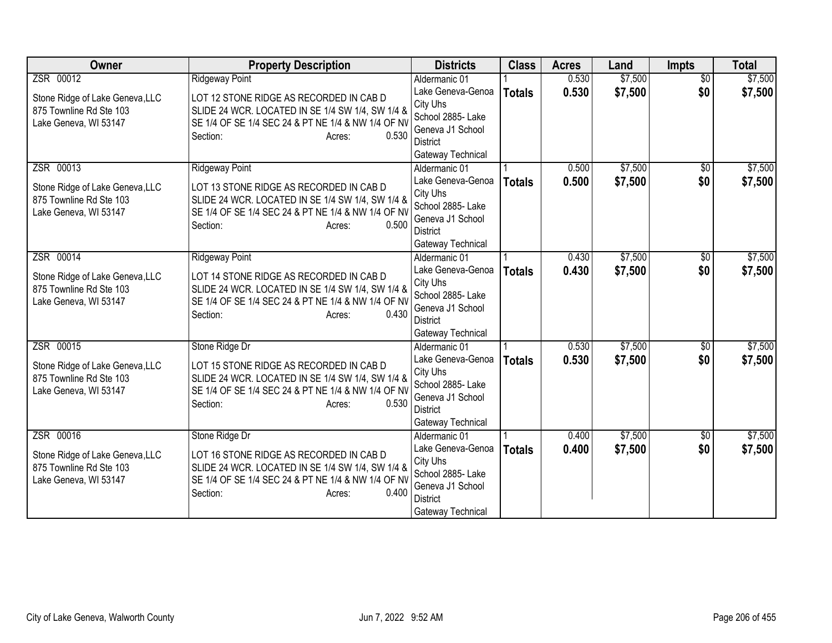| <b>Owner</b>                                                                                     | <b>Property Description</b>                                                                                                                                                                               | <b>Districts</b>                                                                                                                | <b>Class</b>  | <b>Acres</b>   | Land               | <b>Impts</b>           | <b>Total</b>       |
|--------------------------------------------------------------------------------------------------|-----------------------------------------------------------------------------------------------------------------------------------------------------------------------------------------------------------|---------------------------------------------------------------------------------------------------------------------------------|---------------|----------------|--------------------|------------------------|--------------------|
| ZSR 00012                                                                                        | <b>Ridgeway Point</b>                                                                                                                                                                                     | Aldermanic 01                                                                                                                   |               | 0.530          | \$7,500            | $\overline{50}$        | \$7,500            |
| Stone Ridge of Lake Geneva, LLC<br>875 Townline Rd Ste 103<br>Lake Geneva, WI 53147              | LOT 12 STONE RIDGE AS RECORDED IN CAB D<br>SLIDE 24 WCR. LOCATED IN SE 1/4 SW 1/4, SW 1/4 &<br>SE 1/4 OF SE 1/4 SEC 24 & PT NE 1/4 & NW 1/4 OF NV<br>Section:<br>0.530<br>Acres:                          | Lake Geneva-Genoa<br>City Uhs<br>School 2885- Lake<br>Geneva J1 School<br><b>District</b><br>Gateway Technical                  | <b>Totals</b> | 0.530          | \$7,500            | \$0                    | \$7,500            |
| ZSR 00013<br>Stone Ridge of Lake Geneva, LLC<br>875 Townline Rd Ste 103<br>Lake Geneva, WI 53147 | <b>Ridgeway Point</b><br>LOT 13 STONE RIDGE AS RECORDED IN CAB D<br>SLIDE 24 WCR. LOCATED IN SE 1/4 SW 1/4, SW 1/4 &<br>SE 1/4 OF SE 1/4 SEC 24 & PT NE 1/4 & NW 1/4 OF NV<br>0.500<br>Section:<br>Acres: | Aldermanic 01<br>Lake Geneva-Genoa<br>City Uhs<br>School 2885- Lake<br>Geneva J1 School<br><b>District</b><br>Gateway Technical | <b>Totals</b> | 0.500<br>0.500 | \$7,500<br>\$7,500 | \$0<br>\$0             | \$7,500<br>\$7,500 |
| ZSR 00014<br>Stone Ridge of Lake Geneva, LLC<br>875 Townline Rd Ste 103<br>Lake Geneva, WI 53147 | <b>Ridgeway Point</b><br>LOT 14 STONE RIDGE AS RECORDED IN CAB D<br>SLIDE 24 WCR. LOCATED IN SE 1/4 SW 1/4, SW 1/4 &<br>SE 1/4 OF SE 1/4 SEC 24 & PT NE 1/4 & NW 1/4 OF NV<br>0.430<br>Section:<br>Acres: | Aldermanic 01<br>Lake Geneva-Genoa<br>City Uhs<br>School 2885- Lake<br>Geneva J1 School<br><b>District</b><br>Gateway Technical | <b>Totals</b> | 0.430<br>0.430 | \$7,500<br>\$7,500 | \$0<br>\$0             | \$7,500<br>\$7,500 |
| ZSR 00015<br>Stone Ridge of Lake Geneva, LLC<br>875 Townline Rd Ste 103<br>Lake Geneva, WI 53147 | Stone Ridge Dr<br>LOT 15 STONE RIDGE AS RECORDED IN CAB D<br>SLIDE 24 WCR. LOCATED IN SE 1/4 SW 1/4, SW 1/4 &<br>SE 1/4 OF SE 1/4 SEC 24 & PT NE 1/4 & NW 1/4 OF NV<br>0.530<br>Section:<br>Acres:        | Aldermanic 01<br>Lake Geneva-Genoa<br>City Uhs<br>School 2885- Lake<br>Geneva J1 School<br><b>District</b><br>Gateway Technical | <b>Totals</b> | 0.530<br>0.530 | \$7,500<br>\$7,500 | $\overline{50}$<br>\$0 | \$7,500<br>\$7,500 |
| ZSR 00016<br>Stone Ridge of Lake Geneva, LLC<br>875 Townline Rd Ste 103<br>Lake Geneva, WI 53147 | Stone Ridge Dr<br>LOT 16 STONE RIDGE AS RECORDED IN CAB D<br>SLIDE 24 WCR. LOCATED IN SE 1/4 SW 1/4, SW 1/4 &<br>SE 1/4 OF SE 1/4 SEC 24 & PT NE 1/4 & NW 1/4 OF NV<br>Section:<br>0.400<br>Acres:        | Aldermanic 01<br>Lake Geneva-Genoa<br>City Uhs<br>School 2885- Lake<br>Geneva J1 School<br><b>District</b><br>Gateway Technical | <b>Totals</b> | 0.400<br>0.400 | \$7,500<br>\$7,500 | $\overline{50}$<br>\$0 | \$7,500<br>\$7,500 |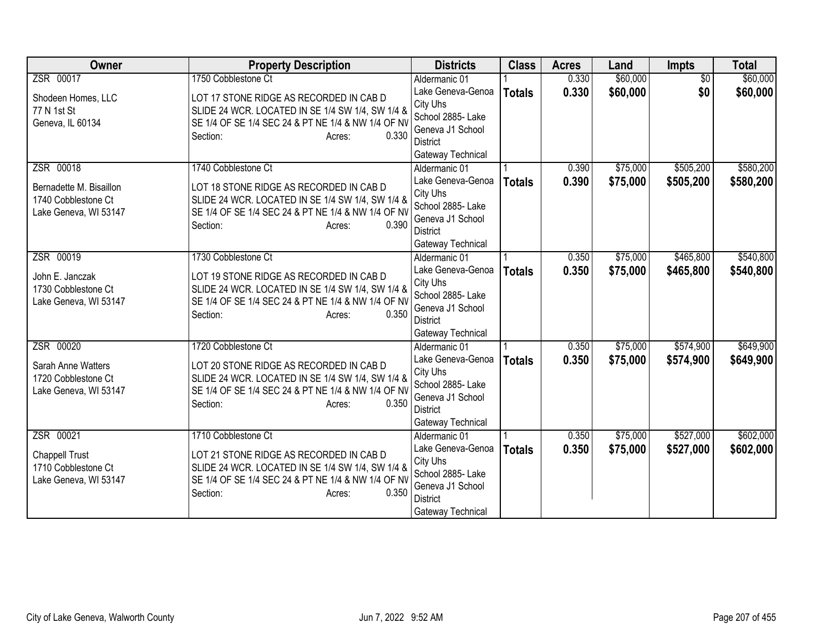| <b>Owner</b>                           | <b>Property Description</b>                                                                 | <b>Districts</b>                   | <b>Class</b>  | <b>Acres</b> | Land     | Impts           | <b>Total</b> |
|----------------------------------------|---------------------------------------------------------------------------------------------|------------------------------------|---------------|--------------|----------|-----------------|--------------|
| ZSR 00017                              | 1750 Cobblestone Ct                                                                         | Aldermanic 01                      |               | 0.330        | \$60,000 | $\overline{50}$ | \$60,000     |
| Shodeen Homes, LLC                     | LOT 17 STONE RIDGE AS RECORDED IN CAB D                                                     | Lake Geneva-Genoa                  | <b>Totals</b> | 0.330        | \$60,000 | \$0             | \$60,000     |
| 77 N 1st St                            | SLIDE 24 WCR. LOCATED IN SE 1/4 SW 1/4, SW 1/4 &                                            | City Uhs                           |               |              |          |                 |              |
| Geneva, IL 60134                       | SE 1/4 OF SE 1/4 SEC 24 & PT NE 1/4 & NW 1/4 OF NV                                          | School 2885- Lake                  |               |              |          |                 |              |
|                                        | Section:<br>0.330<br>Acres:                                                                 | Geneva J1 School                   |               |              |          |                 |              |
|                                        |                                                                                             | <b>District</b>                    |               |              |          |                 |              |
| ZSR 00018                              | 1740 Cobblestone Ct                                                                         | Gateway Technical<br>Aldermanic 01 |               | 0.390        | \$75,000 | \$505,200       | \$580,200    |
|                                        |                                                                                             | Lake Geneva-Genoa                  |               | 0.390        |          |                 |              |
| Bernadette M. Bisaillon                | LOT 18 STONE RIDGE AS RECORDED IN CAB D                                                     | City Uhs                           | <b>Totals</b> |              | \$75,000 | \$505,200       | \$580,200    |
| 1740 Cobblestone Ct                    | SLIDE 24 WCR. LOCATED IN SE 1/4 SW 1/4, SW 1/4 &                                            | School 2885- Lake                  |               |              |          |                 |              |
| Lake Geneva, WI 53147                  | SE 1/4 OF SE 1/4 SEC 24 & PT NE 1/4 & NW 1/4 OF NV                                          | Geneva J1 School                   |               |              |          |                 |              |
|                                        | Section:<br>0.390<br>Acres:                                                                 | <b>District</b>                    |               |              |          |                 |              |
|                                        |                                                                                             | Gateway Technical                  |               |              |          |                 |              |
| ZSR 00019                              | 1730 Cobblestone Ct                                                                         | Aldermanic 01                      |               | 0.350        | \$75,000 | \$465,800       | \$540,800    |
|                                        |                                                                                             | Lake Geneva-Genoa                  | <b>Totals</b> | 0.350        | \$75,000 | \$465,800       | \$540,800    |
| John E. Janczak<br>1730 Cobblestone Ct | LOT 19 STONE RIDGE AS RECORDED IN CAB D<br>SLIDE 24 WCR. LOCATED IN SE 1/4 SW 1/4, SW 1/4 & | City Uhs                           |               |              |          |                 |              |
| Lake Geneva, WI 53147                  | SE 1/4 OF SE 1/4 SEC 24 & PT NE 1/4 & NW 1/4 OF NV                                          | School 2885- Lake                  |               |              |          |                 |              |
|                                        | 0.350<br>Section:<br>Acres:                                                                 | Geneva J1 School                   |               |              |          |                 |              |
|                                        |                                                                                             | District                           |               |              |          |                 |              |
|                                        |                                                                                             | Gateway Technical                  |               |              |          |                 |              |
| ZSR 00020                              | 1720 Cobblestone Ct                                                                         | Aldermanic 01                      |               | 0.350        | \$75,000 | \$574,900       | \$649,900    |
| Sarah Anne Watters                     | LOT 20 STONE RIDGE AS RECORDED IN CAB D                                                     | Lake Geneva-Genoa                  | <b>Totals</b> | 0.350        | \$75,000 | \$574,900       | \$649,900    |
| 1720 Cobblestone Ct                    | SLIDE 24 WCR. LOCATED IN SE 1/4 SW 1/4, SW 1/4 &                                            | City Uhs<br>School 2885- Lake      |               |              |          |                 |              |
| Lake Geneva, WI 53147                  | SE 1/4 OF SE 1/4 SEC 24 & PT NE 1/4 & NW 1/4 OF NV                                          | Geneva J1 School                   |               |              |          |                 |              |
|                                        | 0.350<br>Section:<br>Acres:                                                                 | <b>District</b>                    |               |              |          |                 |              |
|                                        |                                                                                             | Gateway Technical                  |               |              |          |                 |              |
| ZSR 00021                              | 1710 Cobblestone Ct                                                                         | Aldermanic 01                      |               | 0.350        | \$75,000 | \$527,000       | \$602,000    |
|                                        |                                                                                             | Lake Geneva-Genoa                  | <b>Totals</b> | 0.350        | \$75,000 | \$527,000       | \$602,000    |
| <b>Chappell Trust</b>                  | LOT 21 STONE RIDGE AS RECORDED IN CAB D                                                     | City Uhs                           |               |              |          |                 |              |
| 1710 Cobblestone Ct                    | SLIDE 24 WCR. LOCATED IN SE 1/4 SW 1/4, SW 1/4 &                                            | School 2885- Lake                  |               |              |          |                 |              |
| Lake Geneva, WI 53147                  | SE 1/4 OF SE 1/4 SEC 24 & PT NE 1/4 & NW 1/4 OF NV                                          | Geneva J1 School                   |               |              |          |                 |              |
|                                        | Section:<br>0.350<br>Acres:                                                                 | <b>District</b>                    |               |              |          |                 |              |
|                                        |                                                                                             | Gateway Technical                  |               |              |          |                 |              |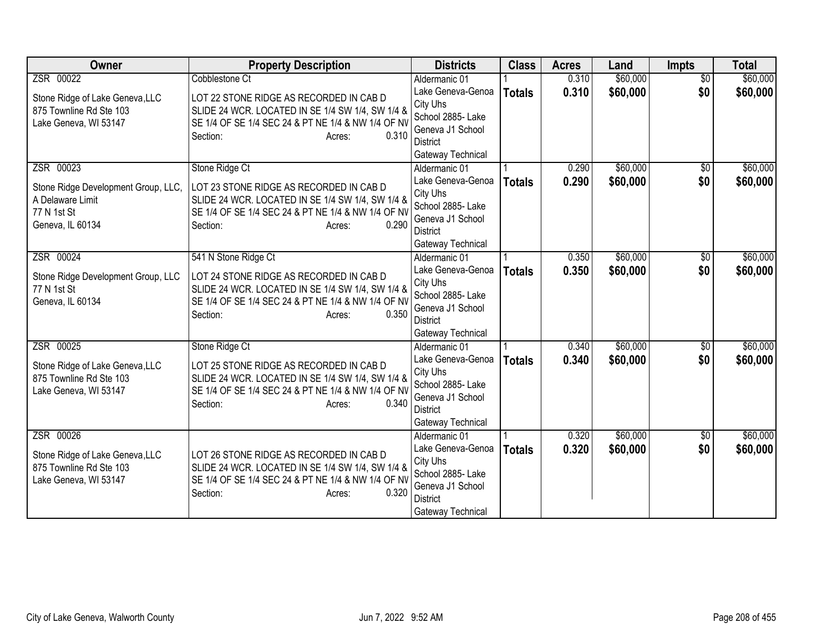| <b>Owner</b>                                            | <b>Property Description</b>                                                                 | <b>Districts</b>                      | <b>Class</b>  | <b>Acres</b> | Land     | Impts           | <b>Total</b> |
|---------------------------------------------------------|---------------------------------------------------------------------------------------------|---------------------------------------|---------------|--------------|----------|-----------------|--------------|
| ZSR 00022                                               | Cobblestone Ct                                                                              | Aldermanic 01                         |               | 0.310        | \$60,000 | $\overline{50}$ | \$60,000     |
| Stone Ridge of Lake Geneva, LLC                         | LOT 22 STONE RIDGE AS RECORDED IN CAB D                                                     | Lake Geneva-Genoa                     | <b>Totals</b> | 0.310        | \$60,000 | \$0             | \$60,000     |
| 875 Townline Rd Ste 103                                 | SLIDE 24 WCR. LOCATED IN SE 1/4 SW 1/4, SW 1/4 &                                            | City Uhs                              |               |              |          |                 |              |
| Lake Geneva, WI 53147                                   | SE 1/4 OF SE 1/4 SEC 24 & PT NE 1/4 & NW 1/4 OF NV                                          | School 2885- Lake<br>Geneva J1 School |               |              |          |                 |              |
|                                                         | 0.310<br>Section:<br>Acres:                                                                 | <b>District</b>                       |               |              |          |                 |              |
|                                                         |                                                                                             | Gateway Technical                     |               |              |          |                 |              |
| ZSR 00023                                               | Stone Ridge Ct                                                                              | Aldermanic 01                         |               | 0.290        | \$60,000 | $\sqrt{6}$      | \$60,000     |
|                                                         |                                                                                             | Lake Geneva-Genoa                     | <b>Totals</b> | 0.290        | \$60,000 | \$0             | \$60,000     |
| Stone Ridge Development Group, LLC,<br>A Delaware Limit | LOT 23 STONE RIDGE AS RECORDED IN CAB D<br>SLIDE 24 WCR. LOCATED IN SE 1/4 SW 1/4, SW 1/4 & | City Uhs                              |               |              |          |                 |              |
| 77 N 1st St                                             | SE 1/4 OF SE 1/4 SEC 24 & PT NE 1/4 & NW 1/4 OF NV                                          | School 2885- Lake                     |               |              |          |                 |              |
| Geneva, IL 60134                                        | 0.290<br>Section:<br>Acres:                                                                 | Geneva J1 School                      |               |              |          |                 |              |
|                                                         |                                                                                             | <b>District</b>                       |               |              |          |                 |              |
|                                                         |                                                                                             | Gateway Technical                     |               |              |          |                 |              |
| ZSR 00024                                               | 541 N Stone Ridge Ct                                                                        | Aldermanic 01                         |               | 0.350        | \$60,000 | \$0             | \$60,000     |
| Stone Ridge Development Group, LLC                      | LOT 24 STONE RIDGE AS RECORDED IN CAB D                                                     | Lake Geneva-Genoa<br>City Uhs         | <b>Totals</b> | 0.350        | \$60,000 | \$0             | \$60,000     |
| 77 N 1st St                                             | SLIDE 24 WCR. LOCATED IN SE 1/4 SW 1/4, SW 1/4 &                                            | School 2885- Lake                     |               |              |          |                 |              |
| Geneva, IL 60134                                        | SE 1/4 OF SE 1/4 SEC 24 & PT NE 1/4 & NW 1/4 OF NV                                          | Geneva J1 School                      |               |              |          |                 |              |
|                                                         | 0.350<br>Section:<br>Acres:                                                                 | <b>District</b>                       |               |              |          |                 |              |
|                                                         |                                                                                             | Gateway Technical                     |               |              |          |                 |              |
| ZSR 00025                                               | Stone Ridge Ct                                                                              | Aldermanic 01                         |               | 0.340        | \$60,000 | $\overline{50}$ | \$60,000     |
| Stone Ridge of Lake Geneva, LLC                         | LOT 25 STONE RIDGE AS RECORDED IN CAB D                                                     | Lake Geneva-Genoa                     | <b>Totals</b> | 0.340        | \$60,000 | \$0             | \$60,000     |
| 875 Townline Rd Ste 103                                 | SLIDE 24 WCR. LOCATED IN SE 1/4 SW 1/4, SW 1/4 &                                            | City Uhs                              |               |              |          |                 |              |
| Lake Geneva, WI 53147                                   | SE 1/4 OF SE 1/4 SEC 24 & PT NE 1/4 & NW 1/4 OF NV                                          | School 2885- Lake                     |               |              |          |                 |              |
|                                                         | 0.340<br>Section:<br>Acres:                                                                 | Geneva J1 School<br><b>District</b>   |               |              |          |                 |              |
|                                                         |                                                                                             | Gateway Technical                     |               |              |          |                 |              |
| ZSR 00026                                               |                                                                                             | Aldermanic 01                         |               | 0.320        | \$60,000 | $\overline{50}$ | \$60,000     |
|                                                         |                                                                                             | Lake Geneva-Genoa                     | <b>Totals</b> | 0.320        | \$60,000 | \$0             | \$60,000     |
| Stone Ridge of Lake Geneva, LLC                         | LOT 26 STONE RIDGE AS RECORDED IN CAB D                                                     | City Uhs                              |               |              |          |                 |              |
| 875 Townline Rd Ste 103                                 | SLIDE 24 WCR. LOCATED IN SE 1/4 SW 1/4, SW 1/4 &                                            | School 2885- Lake                     |               |              |          |                 |              |
| Lake Geneva, WI 53147                                   | SE 1/4 OF SE 1/4 SEC 24 & PT NE 1/4 & NW 1/4 OF NV<br>0.320                                 | Geneva J1 School                      |               |              |          |                 |              |
|                                                         | Section:<br>Acres:                                                                          | <b>District</b>                       |               |              |          |                 |              |
|                                                         |                                                                                             | Gateway Technical                     |               |              |          |                 |              |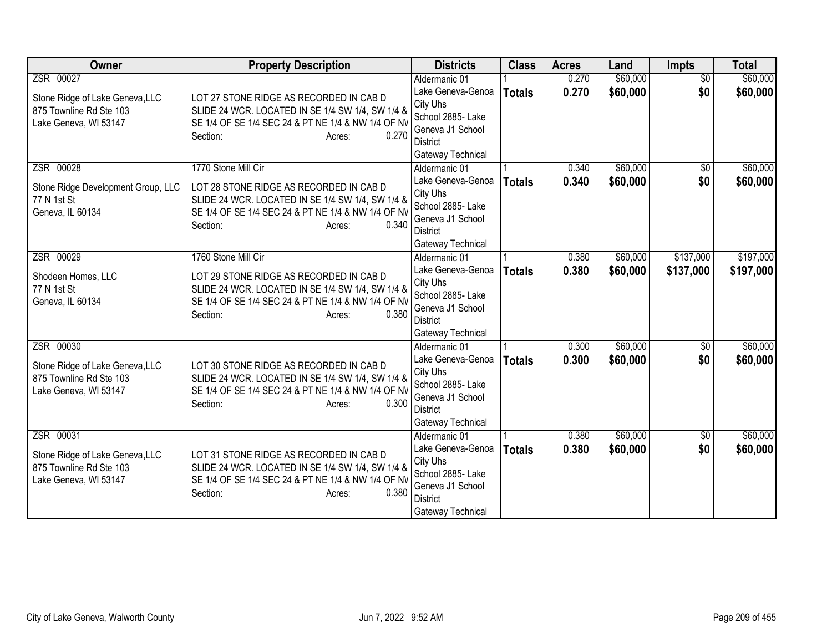| <b>Owner</b>                                     | <b>Property Description</b>                                                                            | <b>Districts</b>                    | <b>Class</b>  | <b>Acres</b> | Land     | Impts           | <b>Total</b> |
|--------------------------------------------------|--------------------------------------------------------------------------------------------------------|-------------------------------------|---------------|--------------|----------|-----------------|--------------|
| ZSR 00027                                        |                                                                                                        | Aldermanic 01                       |               | 0.270        | \$60,000 | $\overline{50}$ | \$60,000     |
| Stone Ridge of Lake Geneva, LLC                  | LOT 27 STONE RIDGE AS RECORDED IN CAB D                                                                | Lake Geneva-Genoa                   | <b>Totals</b> | 0.270        | \$60,000 | \$0             | \$60,000     |
| 875 Townline Rd Ste 103                          | SLIDE 24 WCR. LOCATED IN SE 1/4 SW 1/4, SW 1/4 &                                                       | City Uhs                            |               |              |          |                 |              |
| Lake Geneva, WI 53147                            | SE 1/4 OF SE 1/4 SEC 24 & PT NE 1/4 & NW 1/4 OF NV                                                     | School 2885- Lake                   |               |              |          |                 |              |
|                                                  | Section:<br>0.270<br>Acres:                                                                            | Geneva J1 School<br><b>District</b> |               |              |          |                 |              |
|                                                  |                                                                                                        | Gateway Technical                   |               |              |          |                 |              |
| ZSR 00028                                        | 1770 Stone Mill Cir                                                                                    | Aldermanic 01                       |               | 0.340        | \$60,000 | $\sqrt{6}$      | \$60,000     |
|                                                  |                                                                                                        | Lake Geneva-Genoa                   | <b>Totals</b> | 0.340        | \$60,000 | \$0             | \$60,000     |
| Stone Ridge Development Group, LLC               | LOT 28 STONE RIDGE AS RECORDED IN CAB D                                                                | City Uhs                            |               |              |          |                 |              |
| 77 N 1st St                                      | SLIDE 24 WCR. LOCATED IN SE 1/4 SW 1/4, SW 1/4 &                                                       | School 2885- Lake                   |               |              |          |                 |              |
| Geneva, IL 60134                                 | SE 1/4 OF SE 1/4 SEC 24 & PT NE 1/4 & NW 1/4 OF NV                                                     | Geneva J1 School                    |               |              |          |                 |              |
|                                                  | 0.340<br>Section:<br>Acres:                                                                            | <b>District</b>                     |               |              |          |                 |              |
|                                                  |                                                                                                        | Gateway Technical                   |               |              |          |                 |              |
| ZSR 00029                                        | 1760 Stone Mill Cir                                                                                    | Aldermanic 01                       |               | 0.380        | \$60,000 | \$137,000       | \$197,000    |
| Shodeen Homes, LLC                               | LOT 29 STONE RIDGE AS RECORDED IN CAB D                                                                | Lake Geneva-Genoa                   | <b>Totals</b> | 0.380        | \$60,000 | \$137,000       | \$197,000    |
| 77 N 1st St                                      | SLIDE 24 WCR. LOCATED IN SE 1/4 SW 1/4, SW 1/4 &                                                       | City Uhs                            |               |              |          |                 |              |
| Geneva, IL 60134                                 | SE 1/4 OF SE 1/4 SEC 24 & PT NE 1/4 & NW 1/4 OF NV                                                     | School 2885- Lake                   |               |              |          |                 |              |
|                                                  | 0.380<br>Section:<br>Acres:                                                                            | Geneva J1 School<br><b>District</b> |               |              |          |                 |              |
|                                                  |                                                                                                        | Gateway Technical                   |               |              |          |                 |              |
| ZSR 00030                                        |                                                                                                        | Aldermanic 01                       |               | 0.300        | \$60,000 | $\overline{50}$ | \$60,000     |
|                                                  |                                                                                                        | Lake Geneva-Genoa                   | <b>Totals</b> | 0.300        | \$60,000 | \$0             | \$60,000     |
| Stone Ridge of Lake Geneva, LLC                  | LOT 30 STONE RIDGE AS RECORDED IN CAB D                                                                | City Uhs                            |               |              |          |                 |              |
| 875 Townline Rd Ste 103<br>Lake Geneva, WI 53147 | SLIDE 24 WCR. LOCATED IN SE 1/4 SW 1/4, SW 1/4 &<br>SE 1/4 OF SE 1/4 SEC 24 & PT NE 1/4 & NW 1/4 OF NV | School 2885- Lake                   |               |              |          |                 |              |
|                                                  | Section:<br>0.300<br>Acres:                                                                            | Geneva J1 School                    |               |              |          |                 |              |
|                                                  |                                                                                                        | <b>District</b>                     |               |              |          |                 |              |
|                                                  |                                                                                                        | Gateway Technical                   |               |              |          |                 |              |
| ZSR 00031                                        |                                                                                                        | Aldermanic 01                       |               | 0.380        | \$60,000 | $\overline{50}$ | \$60,000     |
| Stone Ridge of Lake Geneva, LLC                  | LOT 31 STONE RIDGE AS RECORDED IN CAB D                                                                | Lake Geneva-Genoa                   | <b>Totals</b> | 0.380        | \$60,000 | \$0             | \$60,000     |
| 875 Townline Rd Ste 103                          | SLIDE 24 WCR. LOCATED IN SE 1/4 SW 1/4, SW 1/4 &                                                       | City Uhs<br>School 2885- Lake       |               |              |          |                 |              |
| Lake Geneva, WI 53147                            | SE 1/4 OF SE 1/4 SEC 24 & PT NE 1/4 & NW 1/4 OF NV                                                     | Geneva J1 School                    |               |              |          |                 |              |
|                                                  | 0.380<br>Section:<br>Acres:                                                                            | <b>District</b>                     |               |              |          |                 |              |
|                                                  |                                                                                                        | Gateway Technical                   |               |              |          |                 |              |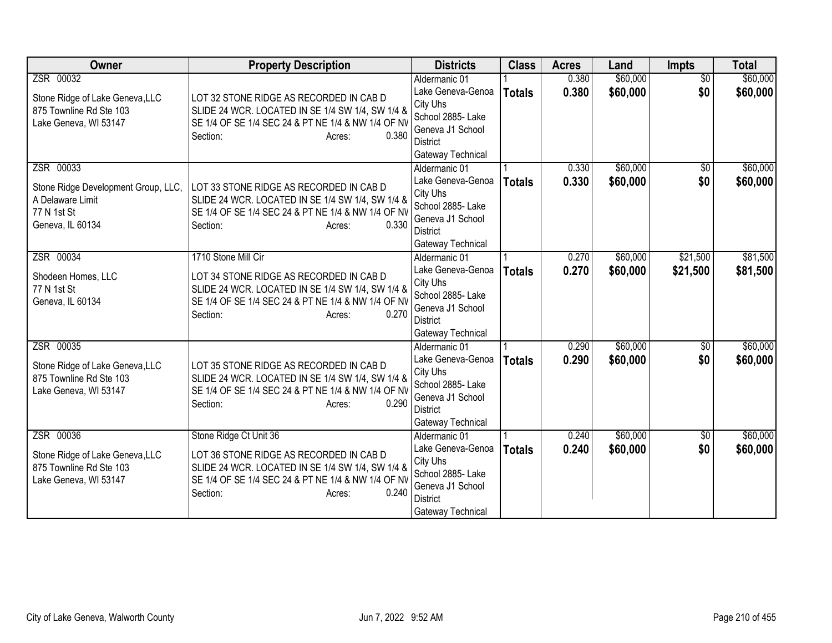| <b>Owner</b>                                                                                            | <b>Property Description</b>                                                                                                                                                                                | <b>Districts</b>                                                                                                                | <b>Class</b>  | <b>Acres</b>   | Land                 | Impts                  | <b>Total</b>         |
|---------------------------------------------------------------------------------------------------------|------------------------------------------------------------------------------------------------------------------------------------------------------------------------------------------------------------|---------------------------------------------------------------------------------------------------------------------------------|---------------|----------------|----------------------|------------------------|----------------------|
| ZSR 00032<br>Stone Ridge of Lake Geneva, LLC<br>875 Townline Rd Ste 103<br>Lake Geneva, WI 53147        | LOT 32 STONE RIDGE AS RECORDED IN CAB D<br>SLIDE 24 WCR. LOCATED IN SE 1/4 SW 1/4, SW 1/4 &<br>SE 1/4 OF SE 1/4 SEC 24 & PT NE 1/4 & NW 1/4 OF NV<br>0.380<br>Section:<br>Acres:                           | Aldermanic 01<br>Lake Geneva-Genoa<br>City Uhs<br>School 2885- Lake<br>Geneva J1 School<br><b>District</b><br>Gateway Technical | <b>Totals</b> | 0.380<br>0.380 | \$60,000<br>\$60,000 | $\overline{50}$<br>\$0 | \$60,000<br>\$60,000 |
| ZSR 00033<br>Stone Ridge Development Group, LLC,<br>A Delaware Limit<br>77 N 1st St<br>Geneva, IL 60134 | LOT 33 STONE RIDGE AS RECORDED IN CAB D<br>SLIDE 24 WCR. LOCATED IN SE 1/4 SW 1/4, SW 1/4 &<br>SE 1/4 OF SE 1/4 SEC 24 & PT NE 1/4 & NW 1/4 OF NV<br>0.330<br>Section:<br>Acres:                           | Aldermanic 01<br>Lake Geneva-Genoa<br>City Uhs<br>School 2885- Lake<br>Geneva J1 School<br><b>District</b><br>Gateway Technical | <b>Totals</b> | 0.330<br>0.330 | \$60,000<br>\$60,000 | $\sqrt{6}$<br>\$0      | \$60,000<br>\$60,000 |
| ZSR 00034<br>Shodeen Homes, LLC<br>77 N 1st St<br>Geneva, IL 60134                                      | 1710 Stone Mill Cir<br>LOT 34 STONE RIDGE AS RECORDED IN CAB D<br>SLIDE 24 WCR. LOCATED IN SE 1/4 SW 1/4, SW 1/4 &<br>SE 1/4 OF SE 1/4 SEC 24 & PT NE 1/4 & NW 1/4 OF NV<br>0.270<br>Section:<br>Acres:    | Aldermanic 01<br>Lake Geneva-Genoa<br>City Uhs<br>School 2885- Lake<br>Geneva J1 School<br><b>District</b><br>Gateway Technical | <b>Totals</b> | 0.270<br>0.270 | \$60,000<br>\$60,000 | \$21,500<br>\$21,500   | \$81,500<br>\$81,500 |
| ZSR 00035<br>Stone Ridge of Lake Geneva, LLC<br>875 Townline Rd Ste 103<br>Lake Geneva, WI 53147        | LOT 35 STONE RIDGE AS RECORDED IN CAB D<br>SLIDE 24 WCR. LOCATED IN SE 1/4 SW 1/4, SW 1/4 &<br>SE 1/4 OF SE 1/4 SEC 24 & PT NE 1/4 & NW 1/4 OF NV<br>0.290<br>Section:<br>Acres:                           | Aldermanic 01<br>Lake Geneva-Genoa<br>City Uhs<br>School 2885- Lake<br>Geneva J1 School<br><b>District</b><br>Gateway Technical | <b>Totals</b> | 0.290<br>0.290 | \$60,000<br>\$60,000 | $\overline{50}$<br>\$0 | \$60,000<br>\$60,000 |
| ZSR 00036<br>Stone Ridge of Lake Geneva, LLC<br>875 Townline Rd Ste 103<br>Lake Geneva, WI 53147        | Stone Ridge Ct Unit 36<br>LOT 36 STONE RIDGE AS RECORDED IN CAB D<br>SLIDE 24 WCR. LOCATED IN SE 1/4 SW 1/4, SW 1/4 &<br>SE 1/4 OF SE 1/4 SEC 24 & PT NE 1/4 & NW 1/4 OF NV<br>Section:<br>0.240<br>Acres: | Aldermanic 01<br>Lake Geneva-Genoa<br>City Uhs<br>School 2885- Lake<br>Geneva J1 School<br><b>District</b><br>Gateway Technical | <b>Totals</b> | 0.240<br>0.240 | \$60,000<br>\$60,000 | \$0<br>\$0             | \$60,000<br>\$60,000 |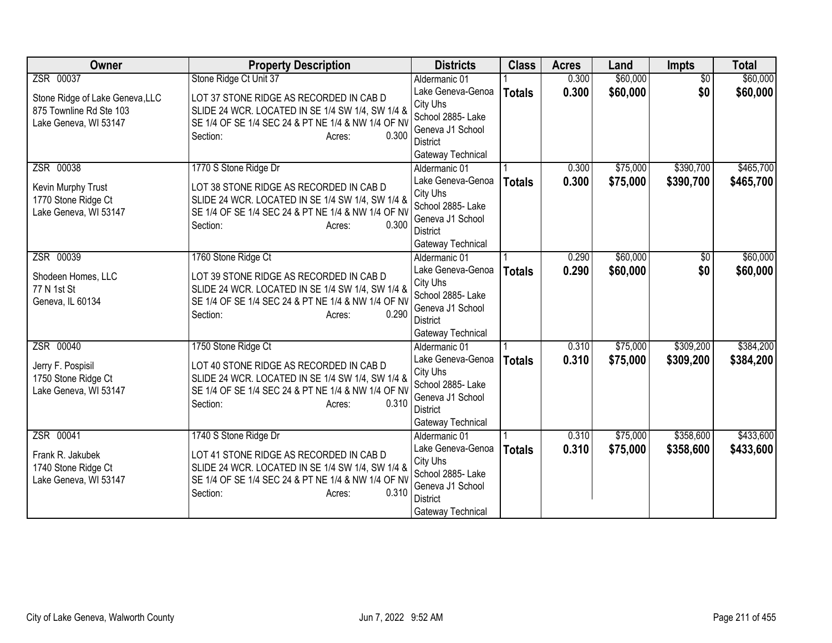| <b>Owner</b>                                                                        | <b>Property Description</b>                                                                                                                                                                               | <b>Districts</b>                                                                                                                | <b>Class</b>  | <b>Acres</b>   | Land                 | Impts                  | <b>Total</b>           |
|-------------------------------------------------------------------------------------|-----------------------------------------------------------------------------------------------------------------------------------------------------------------------------------------------------------|---------------------------------------------------------------------------------------------------------------------------------|---------------|----------------|----------------------|------------------------|------------------------|
| ZSR 00037                                                                           | Stone Ridge Ct Unit 37                                                                                                                                                                                    | Aldermanic 01                                                                                                                   |               | 0.300          | \$60,000             | $\overline{50}$        | \$60,000               |
| Stone Ridge of Lake Geneva, LLC<br>875 Townline Rd Ste 103<br>Lake Geneva, WI 53147 | LOT 37 STONE RIDGE AS RECORDED IN CAB D<br>SLIDE 24 WCR. LOCATED IN SE 1/4 SW 1/4, SW 1/4 &<br>SE 1/4 OF SE 1/4 SEC 24 & PT NE 1/4 & NW 1/4 OF NV<br>Section:<br>0.300<br>Acres:                          | Lake Geneva-Genoa<br>City Uhs<br>School 2885- Lake<br>Geneva J1 School<br><b>District</b><br>Gateway Technical                  | <b>Totals</b> | 0.300          | \$60,000             | \$0                    | \$60,000               |
| ZSR 00038<br>Kevin Murphy Trust<br>1770 Stone Ridge Ct<br>Lake Geneva, WI 53147     | 1770 S Stone Ridge Dr<br>LOT 38 STONE RIDGE AS RECORDED IN CAB D<br>SLIDE 24 WCR. LOCATED IN SE 1/4 SW 1/4, SW 1/4 &<br>SE 1/4 OF SE 1/4 SEC 24 & PT NE 1/4 & NW 1/4 OF NV<br>0.300<br>Section:<br>Acres: | Aldermanic 01<br>Lake Geneva-Genoa<br>City Uhs<br>School 2885- Lake<br>Geneva J1 School<br><b>District</b><br>Gateway Technical | <b>Totals</b> | 0.300<br>0.300 | \$75,000<br>\$75,000 | \$390,700<br>\$390,700 | \$465,700<br>\$465,700 |
| ZSR 00039<br>Shodeen Homes, LLC<br>77 N 1st St<br>Geneva, IL 60134                  | 1760 Stone Ridge Ct<br>LOT 39 STONE RIDGE AS RECORDED IN CAB D<br>SLIDE 24 WCR. LOCATED IN SE 1/4 SW 1/4, SW 1/4 &<br>SE 1/4 OF SE 1/4 SEC 24 & PT NE 1/4 & NW 1/4 OF NV<br>0.290<br>Section:<br>Acres:   | Aldermanic 01<br>Lake Geneva-Genoa<br>City Uhs<br>School 2885- Lake<br>Geneva J1 School<br><b>District</b><br>Gateway Technical | <b>Totals</b> | 0.290<br>0.290 | \$60,000<br>\$60,000 | \$0<br>\$0             | \$60,000<br>\$60,000   |
| ZSR 00040<br>Jerry F. Pospisil<br>1750 Stone Ridge Ct<br>Lake Geneva, WI 53147      | 1750 Stone Ridge Ct<br>LOT 40 STONE RIDGE AS RECORDED IN CAB D<br>SLIDE 24 WCR. LOCATED IN SE 1/4 SW 1/4, SW 1/4 &<br>SE 1/4 OF SE 1/4 SEC 24 & PT NE 1/4 & NW 1/4 OF NV<br>0.310<br>Section:<br>Acres:   | Aldermanic 01<br>Lake Geneva-Genoa<br>City Uhs<br>School 2885- Lake<br>Geneva J1 School<br><b>District</b><br>Gateway Technical | <b>Totals</b> | 0.310<br>0.310 | \$75,000<br>\$75,000 | \$309,200<br>\$309,200 | \$384,200<br>\$384,200 |
| ZSR 00041<br>Frank R. Jakubek<br>1740 Stone Ridge Ct<br>Lake Geneva, WI 53147       | 1740 S Stone Ridge Dr<br>LOT 41 STONE RIDGE AS RECORDED IN CAB D<br>SLIDE 24 WCR. LOCATED IN SE 1/4 SW 1/4, SW 1/4 &<br>SE 1/4 OF SE 1/4 SEC 24 & PT NE 1/4 & NW 1/4 OF NV<br>0.310<br>Section:<br>Acres: | Aldermanic 01<br>Lake Geneva-Genoa<br>City Uhs<br>School 2885- Lake<br>Geneva J1 School<br><b>District</b><br>Gateway Technical | <b>Totals</b> | 0.310<br>0.310 | \$75,000<br>\$75,000 | \$358,600<br>\$358,600 | \$433,600<br>\$433,600 |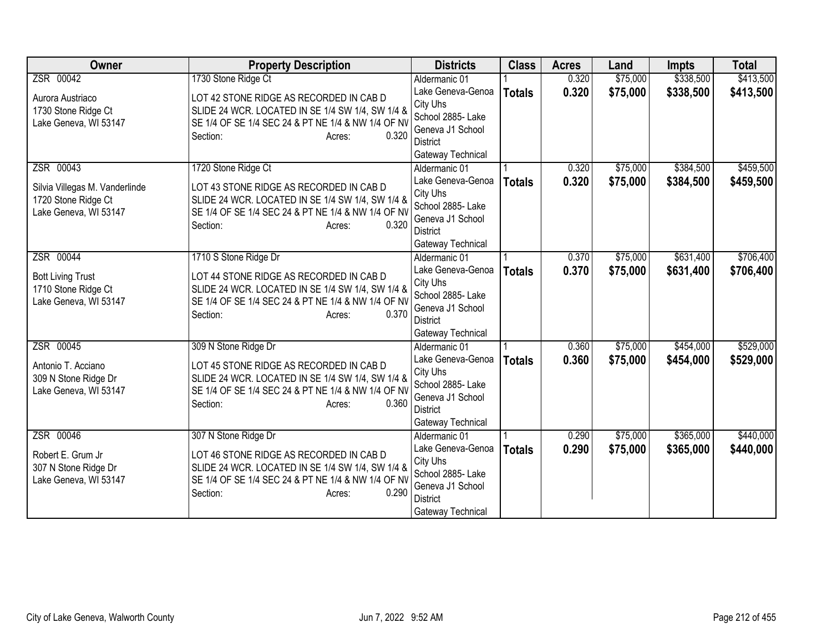| <b>Owner</b>                                                     | <b>Property Description</b>                                                                                                                       | <b>Districts</b>                                   | <b>Class</b>  | <b>Acres</b> | Land     | <b>Impts</b> | <b>Total</b> |
|------------------------------------------------------------------|---------------------------------------------------------------------------------------------------------------------------------------------------|----------------------------------------------------|---------------|--------------|----------|--------------|--------------|
| ZSR 00042                                                        | 1730 Stone Ridge Ct                                                                                                                               | Aldermanic 01                                      |               | 0.320        | \$75,000 | \$338,500    | \$413,500    |
| Aurora Austriaco<br>1730 Stone Ridge Ct<br>Lake Geneva, WI 53147 | LOT 42 STONE RIDGE AS RECORDED IN CAB D<br>SLIDE 24 WCR. LOCATED IN SE 1/4 SW 1/4, SW 1/4 &<br>SE 1/4 OF SE 1/4 SEC 24 & PT NE 1/4 & NW 1/4 OF NV | Lake Geneva-Genoa<br>City Uhs<br>School 2885- Lake | <b>Totals</b> | 0.320        | \$75,000 | \$338,500    | \$413,500    |
|                                                                  | 0.320<br>Section:<br>Acres:                                                                                                                       | Geneva J1 School<br>District<br>Gateway Technical  |               |              |          |              |              |
| ZSR 00043                                                        | 1720 Stone Ridge Ct                                                                                                                               | Aldermanic 01                                      |               | 0.320        | \$75,000 | \$384,500    | \$459,500    |
| Silvia Villegas M. Vanderlinde                                   | LOT 43 STONE RIDGE AS RECORDED IN CAB D                                                                                                           | Lake Geneva-Genoa<br>City Uhs                      | <b>Totals</b> | 0.320        | \$75,000 | \$384,500    | \$459,500    |
| 1720 Stone Ridge Ct                                              | SLIDE 24 WCR. LOCATED IN SE 1/4 SW 1/4, SW 1/4 &                                                                                                  | School 2885- Lake                                  |               |              |          |              |              |
| Lake Geneva, WI 53147                                            | SE 1/4 OF SE 1/4 SEC 24 & PT NE 1/4 & NW 1/4 OF NV                                                                                                | Geneva J1 School                                   |               |              |          |              |              |
|                                                                  | Section:<br>0.320<br>Acres:                                                                                                                       | <b>District</b>                                    |               |              |          |              |              |
|                                                                  |                                                                                                                                                   | Gateway Technical                                  |               |              |          |              |              |
| ZSR 00044                                                        | 1710 S Stone Ridge Dr                                                                                                                             | Aldermanic 01                                      |               | 0.370        | \$75,000 | \$631,400    | \$706,400    |
| <b>Bott Living Trust</b>                                         | LOT 44 STONE RIDGE AS RECORDED IN CAB D                                                                                                           | Lake Geneva-Genoa                                  | <b>Totals</b> | 0.370        | \$75,000 | \$631,400    | \$706,400    |
| 1710 Stone Ridge Ct                                              | SLIDE 24 WCR. LOCATED IN SE 1/4 SW 1/4, SW 1/4 &                                                                                                  | City Uhs<br>School 2885- Lake                      |               |              |          |              |              |
| Lake Geneva, WI 53147                                            | SE 1/4 OF SE 1/4 SEC 24 & PT NE 1/4 & NW 1/4 OF NV                                                                                                | Geneva J1 School                                   |               |              |          |              |              |
|                                                                  | 0.370<br>Section:<br>Acres:                                                                                                                       | <b>District</b>                                    |               |              |          |              |              |
|                                                                  |                                                                                                                                                   | Gateway Technical                                  |               |              |          |              |              |
| ZSR 00045                                                        | 309 N Stone Ridge Dr                                                                                                                              | Aldermanic 01                                      |               | 0.360        | \$75,000 | \$454,000    | \$529,000    |
| Antonio T. Acciano                                               | LOT 45 STONE RIDGE AS RECORDED IN CAB D                                                                                                           | Lake Geneva-Genoa                                  | <b>Totals</b> | 0.360        | \$75,000 | \$454,000    | \$529,000    |
| 309 N Stone Ridge Dr                                             | SLIDE 24 WCR. LOCATED IN SE 1/4 SW 1/4, SW 1/4 &                                                                                                  | City Uhs<br>School 2885- Lake                      |               |              |          |              |              |
| Lake Geneva, WI 53147                                            | SE 1/4 OF SE 1/4 SEC 24 & PT NE 1/4 & NW 1/4 OF NV                                                                                                | Geneva J1 School                                   |               |              |          |              |              |
|                                                                  | 0.360<br>Section:<br>Acres:                                                                                                                       | <b>District</b>                                    |               |              |          |              |              |
|                                                                  |                                                                                                                                                   | Gateway Technical                                  |               |              |          |              |              |
| ZSR 00046                                                        | 307 N Stone Ridge Dr                                                                                                                              | Aldermanic 01                                      |               | 0.290        | \$75,000 | \$365,000    | \$440,000    |
| Robert E. Grum Jr                                                | LOT 46 STONE RIDGE AS RECORDED IN CAB D                                                                                                           | Lake Geneva-Genoa                                  | <b>Totals</b> | 0.290        | \$75,000 | \$365,000    | \$440,000    |
| 307 N Stone Ridge Dr                                             | SLIDE 24 WCR. LOCATED IN SE 1/4 SW 1/4, SW 1/4 &                                                                                                  | City Uhs<br>School 2885- Lake                      |               |              |          |              |              |
| Lake Geneva, WI 53147                                            | SE 1/4 OF SE 1/4 SEC 24 & PT NE 1/4 & NW 1/4 OF NV                                                                                                | Geneva J1 School                                   |               |              |          |              |              |
|                                                                  | Section:<br>0.290<br>Acres:                                                                                                                       | <b>District</b>                                    |               |              |          |              |              |
|                                                                  |                                                                                                                                                   | Gateway Technical                                  |               |              |          |              |              |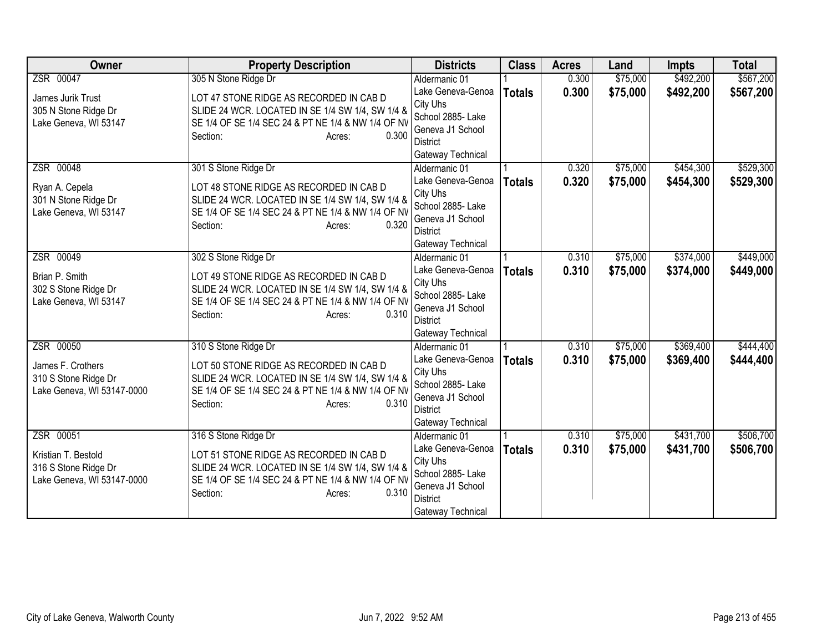| <b>Owner</b>                                                                 | <b>Property Description</b>                                                                                                                                                                              | <b>Districts</b>                                                                                                                | <b>Class</b>  | <b>Acres</b>   | Land                 | <b>Impts</b>           | <b>Total</b>           |
|------------------------------------------------------------------------------|----------------------------------------------------------------------------------------------------------------------------------------------------------------------------------------------------------|---------------------------------------------------------------------------------------------------------------------------------|---------------|----------------|----------------------|------------------------|------------------------|
| ZSR 00047                                                                    | 305 N Stone Ridge Dr                                                                                                                                                                                     | Aldermanic 01                                                                                                                   |               | 0.300          | \$75,000             | \$492,200              | \$567,200              |
| James Jurik Trust<br>305 N Stone Ridge Dr<br>Lake Geneva, WI 53147           | LOT 47 STONE RIDGE AS RECORDED IN CAB D<br>SLIDE 24 WCR. LOCATED IN SE 1/4 SW 1/4, SW 1/4 &<br>SE 1/4 OF SE 1/4 SEC 24 & PT NE 1/4 & NW 1/4 OF NV<br>Section:<br>0.300<br>Acres:                         | Lake Geneva-Genoa<br>City Uhs<br>School 2885- Lake<br>Geneva J1 School<br><b>District</b>                                       | <b>Totals</b> | 0.300          | \$75,000             | \$492,200              | \$567,200              |
|                                                                              |                                                                                                                                                                                                          | Gateway Technical                                                                                                               |               |                |                      |                        |                        |
| ZSR 00048<br>Ryan A. Cepela<br>301 N Stone Ridge Dr<br>Lake Geneva, WI 53147 | 301 S Stone Ridge Dr<br>LOT 48 STONE RIDGE AS RECORDED IN CAB D<br>SLIDE 24 WCR. LOCATED IN SE 1/4 SW 1/4, SW 1/4 &<br>SE 1/4 OF SE 1/4 SEC 24 & PT NE 1/4 & NW 1/4 OF NV<br>0.320<br>Section:<br>Acres: | Aldermanic 01<br>Lake Geneva-Genoa<br>City Uhs<br>School 2885- Lake<br>Geneva J1 School<br><b>District</b><br>Gateway Technical | <b>Totals</b> | 0.320<br>0.320 | \$75,000<br>\$75,000 | \$454,300<br>\$454,300 | \$529,300<br>\$529,300 |
| ZSR 00049                                                                    | 302 S Stone Ridge Dr                                                                                                                                                                                     | Aldermanic 01                                                                                                                   |               | 0.310          | \$75,000             | \$374,000              | \$449,000              |
| Brian P. Smith<br>302 S Stone Ridge Dr<br>Lake Geneva, WI 53147              | LOT 49 STONE RIDGE AS RECORDED IN CAB D<br>SLIDE 24 WCR. LOCATED IN SE 1/4 SW 1/4, SW 1/4 &<br>SE 1/4 OF SE 1/4 SEC 24 & PT NE 1/4 & NW 1/4 OF NV<br>0.310<br>Section:<br>Acres:                         | Lake Geneva-Genoa<br>City Uhs<br>School 2885- Lake<br>Geneva J1 School<br>District<br>Gateway Technical                         | <b>Totals</b> | 0.310          | \$75,000             | \$374,000              | \$449,000              |
| ZSR 00050                                                                    | 310 S Stone Ridge Dr                                                                                                                                                                                     | Aldermanic 01                                                                                                                   |               | 0.310          | \$75,000             | \$369,400              | \$444,400              |
| James F. Crothers<br>310 S Stone Ridge Dr<br>Lake Geneva, WI 53147-0000      | LOT 50 STONE RIDGE AS RECORDED IN CAB D<br>SLIDE 24 WCR. LOCATED IN SE 1/4 SW 1/4, SW 1/4 &<br>SE 1/4 OF SE 1/4 SEC 24 & PT NE 1/4 & NW 1/4 OF NV<br>0.310<br>Section:<br>Acres:                         | Lake Geneva-Genoa<br>City Uhs<br>School 2885- Lake<br>Geneva J1 School<br><b>District</b><br>Gateway Technical                  | <b>Totals</b> | 0.310          | \$75,000             | \$369,400              | \$444,400              |
| ZSR 00051                                                                    | 316 S Stone Ridge Dr                                                                                                                                                                                     | Aldermanic 01                                                                                                                   |               | 0.310          | \$75,000             | \$431,700              | \$506,700              |
| Kristian T. Bestold<br>316 S Stone Ridge Dr<br>Lake Geneva, WI 53147-0000    | LOT 51 STONE RIDGE AS RECORDED IN CAB D<br>SLIDE 24 WCR. LOCATED IN SE 1/4 SW 1/4, SW 1/4 &<br>SE 1/4 OF SE 1/4 SEC 24 & PT NE 1/4 & NW 1/4 OF NV<br>0.310<br>Section:<br>Acres:                         | Lake Geneva-Genoa<br>City Uhs<br>School 2885- Lake<br>Geneva J1 School<br><b>District</b><br>Gateway Technical                  | <b>Totals</b> | 0.310          | \$75,000             | \$431,700              | \$506,700              |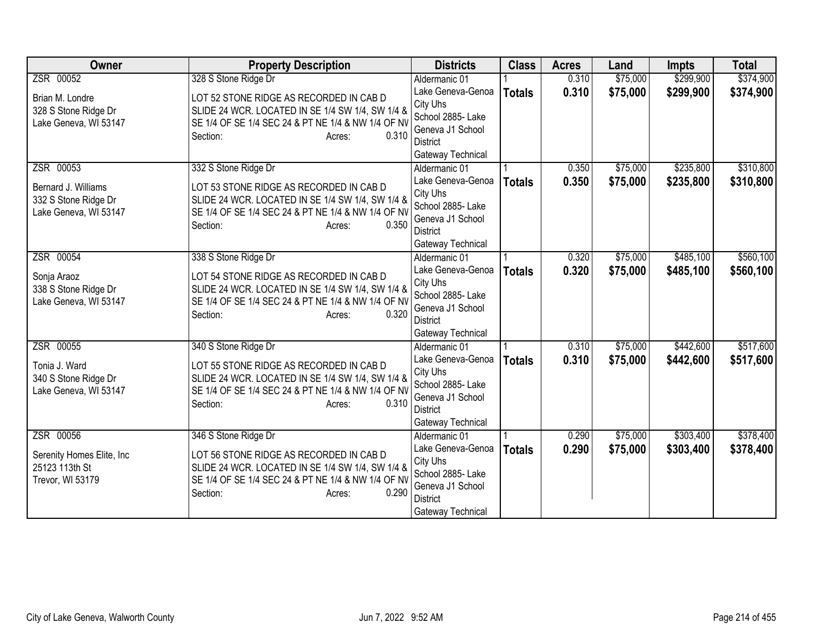| <b>Owner</b>                                                         | <b>Property Description</b>                                                                                                                                                      | <b>Districts</b>                                                                                               | <b>Class</b>  | <b>Acres</b> | Land     | <b>Impts</b> | <b>Total</b> |
|----------------------------------------------------------------------|----------------------------------------------------------------------------------------------------------------------------------------------------------------------------------|----------------------------------------------------------------------------------------------------------------|---------------|--------------|----------|--------------|--------------|
| ZSR 00052                                                            | 328 S Stone Ridge Dr                                                                                                                                                             | Aldermanic 01                                                                                                  |               | 0.310        | \$75,000 | \$299,900    | \$374,900    |
| Brian M. Londre<br>328 S Stone Ridge Dr                              | LOT 52 STONE RIDGE AS RECORDED IN CAB D<br>SLIDE 24 WCR. LOCATED IN SE 1/4 SW 1/4, SW 1/4 &<br>SE 1/4 OF SE 1/4 SEC 24 & PT NE 1/4 & NW 1/4 OF NV                                | Lake Geneva-Genoa<br>City Uhs<br>School 2885- Lake                                                             | <b>Totals</b> | 0.310        | \$75,000 | \$299,900    | \$374,900    |
| Lake Geneva, WI 53147                                                | 0.310<br>Section:<br>Acres:                                                                                                                                                      | Geneva J1 School<br>District<br>Gateway Technical                                                              |               |              |          |              |              |
| ZSR 00053                                                            | 332 S Stone Ridge Dr                                                                                                                                                             | Aldermanic 01                                                                                                  |               | 0.350        | \$75,000 | \$235,800    | \$310,800    |
| Bernard J. Williams<br>332 S Stone Ridge Dr<br>Lake Geneva, WI 53147 | LOT 53 STONE RIDGE AS RECORDED IN CAB D<br>SLIDE 24 WCR. LOCATED IN SE 1/4 SW 1/4, SW 1/4 &<br>SE 1/4 OF SE 1/4 SEC 24 & PT NE 1/4 & NW 1/4 OF NV<br>0.350<br>Section:<br>Acres: | Lake Geneva-Genoa<br>City Uhs<br>School 2885- Lake<br>Geneva J1 School<br><b>District</b>                      | <b>Totals</b> | 0.350        | \$75,000 | \$235,800    | \$310,800    |
|                                                                      |                                                                                                                                                                                  | Gateway Technical                                                                                              |               |              |          |              |              |
| ZSR 00054                                                            | 338 S Stone Ridge Dr                                                                                                                                                             | Aldermanic 01                                                                                                  |               | 0.320        | \$75,000 | \$485,100    | \$560,100    |
| Sonja Araoz<br>338 S Stone Ridge Dr<br>Lake Geneva, WI 53147         | LOT 54 STONE RIDGE AS RECORDED IN CAB D<br>SLIDE 24 WCR. LOCATED IN SE 1/4 SW 1/4, SW 1/4 &<br>SE 1/4 OF SE 1/4 SEC 24 & PT NE 1/4 & NW 1/4 OF NV<br>0.320<br>Section:<br>Acres: | Lake Geneva-Genoa<br>City Uhs<br>School 2885- Lake<br>Geneva J1 School<br><b>District</b><br>Gateway Technical | <b>Totals</b> | 0.320        | \$75,000 | \$485,100    | \$560,100    |
| ZSR 00055                                                            | 340 S Stone Ridge Dr                                                                                                                                                             | Aldermanic 01                                                                                                  |               | 0.310        | \$75,000 | \$442,600    | \$517,600    |
| Tonia J. Ward<br>340 S Stone Ridge Dr<br>Lake Geneva, WI 53147       | LOT 55 STONE RIDGE AS RECORDED IN CAB D<br>SLIDE 24 WCR. LOCATED IN SE 1/4 SW 1/4, SW 1/4 &<br>SE 1/4 OF SE 1/4 SEC 24 & PT NE 1/4 & NW 1/4 OF NV<br>0.310<br>Section:<br>Acres: | Lake Geneva-Genoa<br>City Uhs<br>School 2885- Lake<br>Geneva J1 School<br><b>District</b><br>Gateway Technical | <b>Totals</b> | 0.310        | \$75,000 | \$442,600    | \$517,600    |
| ZSR 00056                                                            | 346 S Stone Ridge Dr                                                                                                                                                             | Aldermanic 01                                                                                                  |               | 0.290        | \$75,000 | \$303,400    | \$378,400    |
| Serenity Homes Elite, Inc<br>25123 113th St<br>Trevor, WI 53179      | LOT 56 STONE RIDGE AS RECORDED IN CAB D<br>SLIDE 24 WCR. LOCATED IN SE 1/4 SW 1/4, SW 1/4 &<br>SE 1/4 OF SE 1/4 SEC 24 & PT NE 1/4 & NW 1/4 OF NV<br>0.290<br>Section:<br>Acres: | Lake Geneva-Genoa<br>City Uhs<br>School 2885- Lake<br>Geneva J1 School<br><b>District</b><br>Gateway Technical | <b>Totals</b> | 0.290        | \$75,000 | \$303,400    | \$378,400    |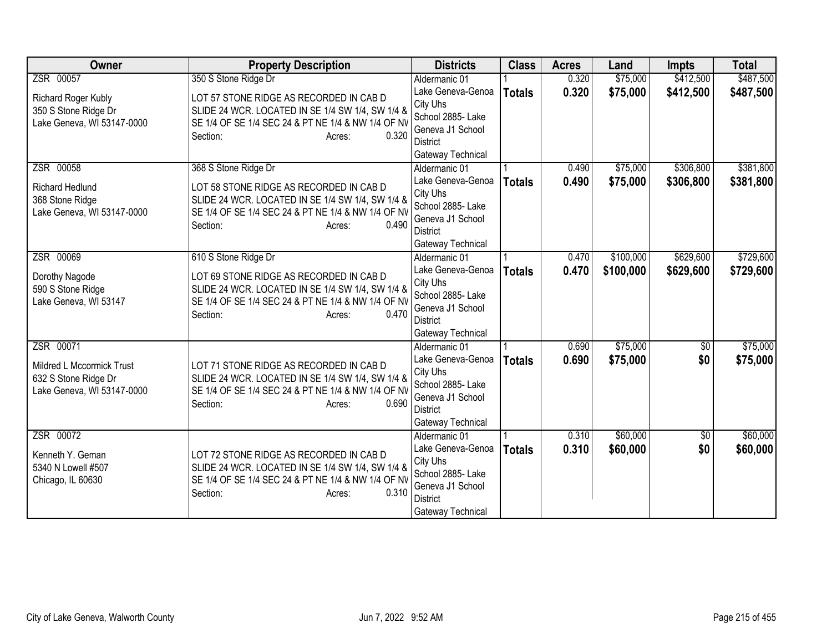| <b>Owner</b>               | <b>Property Description</b>                        | <b>Districts</b>                     | <b>Class</b>  | <b>Acres</b> | Land      | <b>Impts</b>    | <b>Total</b> |
|----------------------------|----------------------------------------------------|--------------------------------------|---------------|--------------|-----------|-----------------|--------------|
| ZSR 00057                  | 350 S Stone Ridge Dr                               | Aldermanic 01                        |               | 0.320        | \$75,000  | \$412,500       | \$487,500    |
| Richard Roger Kubly        | LOT 57 STONE RIDGE AS RECORDED IN CAB D            | Lake Geneva-Genoa                    | <b>Totals</b> | 0.320        | \$75,000  | \$412,500       | \$487,500    |
| 350 S Stone Ridge Dr       | SLIDE 24 WCR. LOCATED IN SE 1/4 SW 1/4, SW 1/4 &   | City Uhs                             |               |              |           |                 |              |
| Lake Geneva, WI 53147-0000 | SE 1/4 OF SE 1/4 SEC 24 & PT NE 1/4 & NW 1/4 OF NV | School 2885- Lake                    |               |              |           |                 |              |
|                            | 0.320<br>Section:<br>Acres:                        | Geneva J1 School                     |               |              |           |                 |              |
|                            |                                                    | District<br>Gateway Technical        |               |              |           |                 |              |
| ZSR 00058                  | 368 S Stone Ridge Dr                               | Aldermanic 01                        |               | 0.490        | \$75,000  | \$306,800       | \$381,800    |
|                            |                                                    | Lake Geneva-Genoa                    | <b>Totals</b> | 0.490        | \$75,000  | \$306,800       | \$381,800    |
| Richard Hedlund            | LOT 58 STONE RIDGE AS RECORDED IN CAB D            | City Uhs                             |               |              |           |                 |              |
| 368 Stone Ridge            | SLIDE 24 WCR. LOCATED IN SE 1/4 SW 1/4, SW 1/4 &   | School 2885- Lake                    |               |              |           |                 |              |
| Lake Geneva, WI 53147-0000 | SE 1/4 OF SE 1/4 SEC 24 & PT NE 1/4 & NW 1/4 OF NV | Geneva J1 School                     |               |              |           |                 |              |
|                            | 0.490<br>Section:<br>Acres:                        | <b>District</b>                      |               |              |           |                 |              |
|                            |                                                    | Gateway Technical                    |               |              |           |                 |              |
| ZSR 00069                  | 610 S Stone Ridge Dr                               | Aldermanic 01                        |               | 0.470        | \$100,000 | \$629,600       | \$729,600    |
| Dorothy Nagode             | LOT 69 STONE RIDGE AS RECORDED IN CAB D            | Lake Geneva-Genoa                    | <b>Totals</b> | 0.470        | \$100,000 | \$629,600       | \$729,600    |
| 590 S Stone Ridge          | SLIDE 24 WCR. LOCATED IN SE 1/4 SW 1/4, SW 1/4 &   | City Uhs                             |               |              |           |                 |              |
| Lake Geneva, WI 53147      | SE 1/4 OF SE 1/4 SEC 24 & PT NE 1/4 & NW 1/4 OF NV | School 2885- Lake                    |               |              |           |                 |              |
|                            | 0.470<br>Section:<br>Acres:                        | Geneva J1 School                     |               |              |           |                 |              |
|                            |                                                    | <b>District</b><br>Gateway Technical |               |              |           |                 |              |
| ZSR 00071                  |                                                    | Aldermanic 01                        |               | 0.690        | \$75,000  | $\overline{50}$ | \$75,000     |
|                            |                                                    | Lake Geneva-Genoa                    | <b>Totals</b> | 0.690        | \$75,000  | \$0             | \$75,000     |
| Mildred L Mccormick Trust  | LOT 71 STONE RIDGE AS RECORDED IN CAB D            | City Uhs                             |               |              |           |                 |              |
| 632 S Stone Ridge Dr       | SLIDE 24 WCR. LOCATED IN SE 1/4 SW 1/4, SW 1/4 &   | School 2885- Lake                    |               |              |           |                 |              |
| Lake Geneva, WI 53147-0000 | SE 1/4 OF SE 1/4 SEC 24 & PT NE 1/4 & NW 1/4 OF NV | Geneva J1 School                     |               |              |           |                 |              |
|                            | 0.690<br>Section:<br>Acres:                        | <b>District</b>                      |               |              |           |                 |              |
|                            |                                                    | Gateway Technical                    |               |              |           |                 |              |
| ZSR 00072                  |                                                    | Aldermanic 01                        |               | 0.310        | \$60,000  | $\overline{50}$ | \$60,000     |
| Kenneth Y. Geman           | LOT 72 STONE RIDGE AS RECORDED IN CAB D            | Lake Geneva-Genoa                    | <b>Totals</b> | 0.310        | \$60,000  | \$0             | \$60,000     |
| 5340 N Lowell #507         | SLIDE 24 WCR. LOCATED IN SE 1/4 SW 1/4, SW 1/4 &   | City Uhs                             |               |              |           |                 |              |
| Chicago, IL 60630          | SE 1/4 OF SE 1/4 SEC 24 & PT NE 1/4 & NW 1/4 OF NV | School 2885- Lake                    |               |              |           |                 |              |
|                            | 0.310<br>Section:<br>Acres:                        | Geneva J1 School                     |               |              |           |                 |              |
|                            |                                                    | <b>District</b>                      |               |              |           |                 |              |
|                            |                                                    | Gateway Technical                    |               |              |           |                 |              |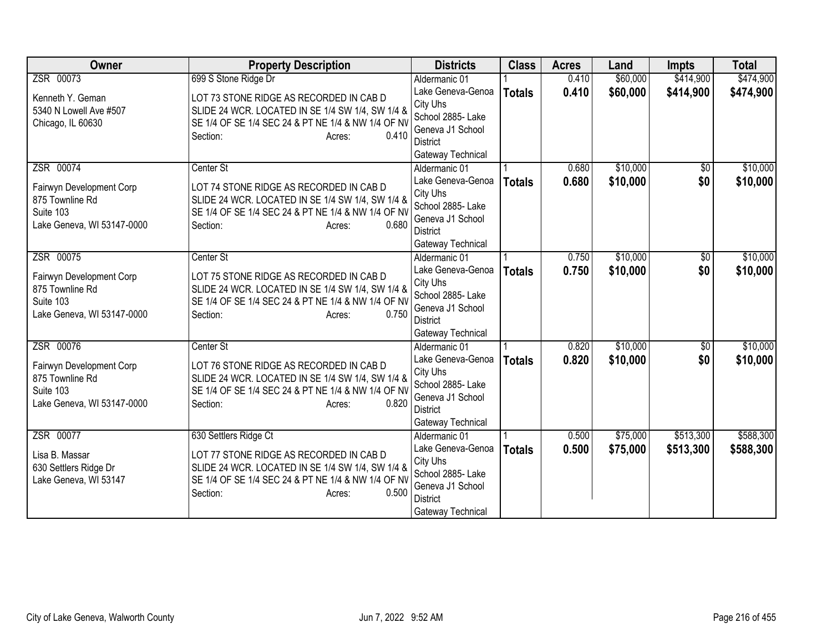| <b>Owner</b>                                                                                        | <b>Property Description</b>                                                                                                                                                                               | <b>Districts</b>                                                                                                                | <b>Class</b>  | <b>Acres</b>   | Land                 | <b>Impts</b>           | <b>Total</b>           |
|-----------------------------------------------------------------------------------------------------|-----------------------------------------------------------------------------------------------------------------------------------------------------------------------------------------------------------|---------------------------------------------------------------------------------------------------------------------------------|---------------|----------------|----------------------|------------------------|------------------------|
| ZSR 00073                                                                                           | 699 S Stone Ridge Dr                                                                                                                                                                                      | Aldermanic 01                                                                                                                   |               | 0.410          | \$60,000             | \$414,900              | \$474,900              |
| Kenneth Y. Geman<br>5340 N Lowell Ave #507<br>Chicago, IL 60630                                     | LOT 73 STONE RIDGE AS RECORDED IN CAB D<br>SLIDE 24 WCR. LOCATED IN SE 1/4 SW 1/4, SW 1/4 &<br>SE 1/4 OF SE 1/4 SEC 24 & PT NE 1/4 & NW 1/4 OF NV<br>0.410<br>Section:<br>Acres:                          | Lake Geneva-Genoa<br>City Uhs<br>School 2885- Lake<br>Geneva J1 School<br><b>District</b><br>Gateway Technical                  | <b>Totals</b> | 0.410          | \$60,000             | \$414,900              | \$474,900              |
| ZSR 00074<br>Fairwyn Development Corp<br>875 Townline Rd<br>Suite 103<br>Lake Geneva, WI 53147-0000 | Center St<br>LOT 74 STONE RIDGE AS RECORDED IN CAB D<br>SLIDE 24 WCR. LOCATED IN SE 1/4 SW 1/4, SW 1/4 &<br>SE 1/4 OF SE 1/4 SEC 24 & PT NE 1/4 & NW 1/4 OF NV<br>Section:<br>0.680<br>Acres:             | Aldermanic 01<br>Lake Geneva-Genoa<br>City Uhs<br>School 2885- Lake<br>Geneva J1 School<br><b>District</b><br>Gateway Technical | <b>Totals</b> | 0.680<br>0.680 | \$10,000<br>\$10,000 | $\sqrt{6}$<br>\$0      | \$10,000<br>\$10,000   |
| ZSR 00075<br>Fairwyn Development Corp<br>875 Townline Rd<br>Suite 103<br>Lake Geneva, WI 53147-0000 | Center St<br>LOT 75 STONE RIDGE AS RECORDED IN CAB D<br>SLIDE 24 WCR. LOCATED IN SE 1/4 SW 1/4, SW 1/4 &<br>SE 1/4 OF SE 1/4 SEC 24 & PT NE 1/4 & NW 1/4 OF NV<br>0.750<br>Section:<br>Acres:             | Aldermanic 01<br>Lake Geneva-Genoa<br>City Uhs<br>School 2885- Lake<br>Geneva J1 School<br>District<br>Gateway Technical        | <b>Totals</b> | 0.750<br>0.750 | \$10,000<br>\$10,000 | \$0<br>\$0             | \$10,000<br>\$10,000   |
| ZSR 00076<br>Fairwyn Development Corp<br>875 Townline Rd<br>Suite 103<br>Lake Geneva, WI 53147-0000 | Center St<br>LOT 76 STONE RIDGE AS RECORDED IN CAB D<br>SLIDE 24 WCR. LOCATED IN SE 1/4 SW 1/4, SW 1/4 &<br>SE 1/4 OF SE 1/4 SEC 24 & PT NE 1/4 & NW 1/4 OF NV<br>0.820<br>Section:<br>Acres:             | Aldermanic 01<br>Lake Geneva-Genoa<br>City Uhs<br>School 2885- Lake<br>Geneva J1 School<br><b>District</b><br>Gateway Technical | <b>Totals</b> | 0.820<br>0.820 | \$10,000<br>\$10,000 | $\overline{50}$<br>\$0 | \$10,000<br>\$10,000   |
| ZSR 00077<br>Lisa B. Massar<br>630 Settlers Ridge Dr<br>Lake Geneva, WI 53147                       | 630 Settlers Ridge Ct<br>LOT 77 STONE RIDGE AS RECORDED IN CAB D<br>SLIDE 24 WCR. LOCATED IN SE 1/4 SW 1/4, SW 1/4 &<br>SE 1/4 OF SE 1/4 SEC 24 & PT NE 1/4 & NW 1/4 OF NV<br>0.500<br>Section:<br>Acres: | Aldermanic 01<br>Lake Geneva-Genoa<br>City Uhs<br>School 2885- Lake<br>Geneva J1 School<br><b>District</b><br>Gateway Technical | <b>Totals</b> | 0.500<br>0.500 | \$75,000<br>\$75,000 | \$513,300<br>\$513,300 | \$588,300<br>\$588,300 |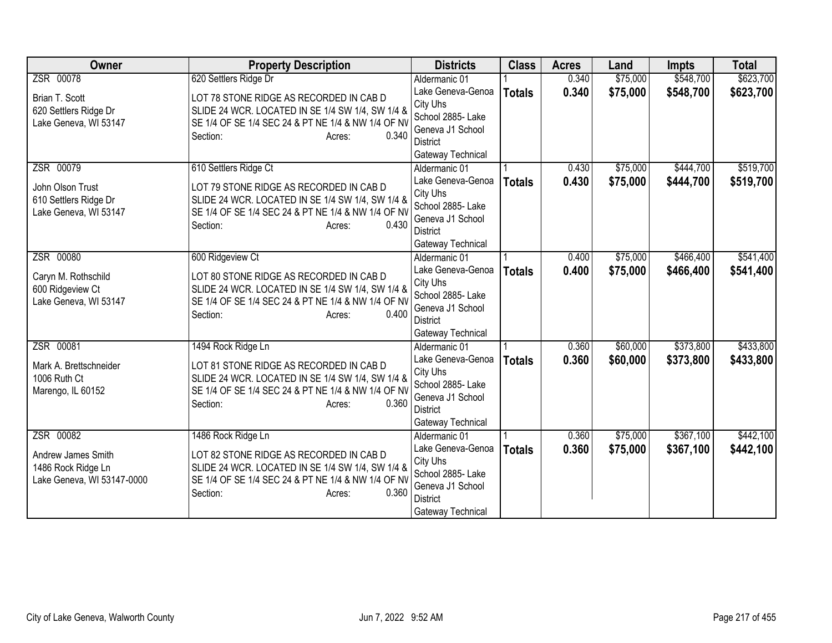| <b>Owner</b>                                                                        | <b>Property Description</b>                                                                                                                                                                            | <b>Districts</b>                                                                                                                | <b>Class</b>  | <b>Acres</b>   | Land                 | <b>Impts</b>           | <b>Total</b>           |
|-------------------------------------------------------------------------------------|--------------------------------------------------------------------------------------------------------------------------------------------------------------------------------------------------------|---------------------------------------------------------------------------------------------------------------------------------|---------------|----------------|----------------------|------------------------|------------------------|
| ZSR 00078                                                                           | 620 Settlers Ridge Dr                                                                                                                                                                                  | Aldermanic 01                                                                                                                   |               | 0.340          | \$75,000             | \$548,700              | \$623,700              |
| Brian T. Scott<br>620 Settlers Ridge Dr<br>Lake Geneva, WI 53147                    | LOT 78 STONE RIDGE AS RECORDED IN CAB D<br>SLIDE 24 WCR. LOCATED IN SE 1/4 SW 1/4, SW 1/4 &<br>SE 1/4 OF SE 1/4 SEC 24 & PT NE 1/4 & NW 1/4 OF NV                                                      | Lake Geneva-Genoa<br>City Uhs<br>School 2885- Lake<br>Geneva J1 School                                                          | <b>Totals</b> | 0.340          | \$75,000             | \$548,700              | \$623,700              |
| ZSR 00079                                                                           | 0.340<br>Section:<br>Acres:<br>610 Settlers Ridge Ct                                                                                                                                                   | District<br>Gateway Technical<br>Aldermanic 01                                                                                  |               | 0.430          | \$75,000             | \$444,700              | \$519,700              |
| John Olson Trust<br>610 Settlers Ridge Dr<br>Lake Geneva, WI 53147                  | LOT 79 STONE RIDGE AS RECORDED IN CAB D<br>SLIDE 24 WCR. LOCATED IN SE 1/4 SW 1/4, SW 1/4 &<br>SE 1/4 OF SE 1/4 SEC 24 & PT NE 1/4 & NW 1/4 OF NV<br>0.430<br>Section:<br>Acres:                       | Lake Geneva-Genoa<br>City Uhs<br>School 2885- Lake<br>Geneva J1 School<br><b>District</b><br>Gateway Technical                  | <b>Totals</b> | 0.430          | \$75,000             | \$444,700              | \$519,700              |
| ZSR 00080<br>Caryn M. Rothschild<br>600 Ridgeview Ct<br>Lake Geneva, WI 53147       | 600 Ridgeview Ct<br>LOT 80 STONE RIDGE AS RECORDED IN CAB D<br>SLIDE 24 WCR. LOCATED IN SE 1/4 SW 1/4, SW 1/4 &<br>SE 1/4 OF SE 1/4 SEC 24 & PT NE 1/4 & NW 1/4 OF NV<br>0.400<br>Section:<br>Acres:   | Aldermanic 01<br>Lake Geneva-Genoa<br>City Uhs<br>School 2885- Lake<br>Geneva J1 School<br><b>District</b><br>Gateway Technical | <b>Totals</b> | 0.400<br>0.400 | \$75,000<br>\$75,000 | \$466,400<br>\$466,400 | \$541,400<br>\$541,400 |
| ZSR 00081<br>Mark A. Brettschneider<br>1006 Ruth Ct<br>Marengo, IL 60152            | 1494 Rock Ridge Ln<br>LOT 81 STONE RIDGE AS RECORDED IN CAB D<br>SLIDE 24 WCR. LOCATED IN SE 1/4 SW 1/4, SW 1/4 &<br>SE 1/4 OF SE 1/4 SEC 24 & PT NE 1/4 & NW 1/4 OF NV<br>0.360<br>Section:<br>Acres: | Aldermanic 01<br>Lake Geneva-Genoa<br>City Uhs<br>School 2885- Lake<br>Geneva J1 School<br><b>District</b><br>Gateway Technical | <b>Totals</b> | 0.360<br>0.360 | \$60,000<br>\$60,000 | \$373,800<br>\$373,800 | \$433,800<br>\$433,800 |
| ZSR 00082<br>Andrew James Smith<br>1486 Rock Ridge Ln<br>Lake Geneva, WI 53147-0000 | 1486 Rock Ridge Ln<br>LOT 82 STONE RIDGE AS RECORDED IN CAB D<br>SLIDE 24 WCR. LOCATED IN SE 1/4 SW 1/4, SW 1/4 &<br>SE 1/4 OF SE 1/4 SEC 24 & PT NE 1/4 & NW 1/4 OF NV<br>0.360<br>Section:<br>Acres: | Aldermanic 01<br>Lake Geneva-Genoa<br>City Uhs<br>School 2885- Lake<br>Geneva J1 School<br><b>District</b><br>Gateway Technical | <b>Totals</b> | 0.360<br>0.360 | \$75,000<br>\$75,000 | \$367,100<br>\$367,100 | \$442,100<br>\$442,100 |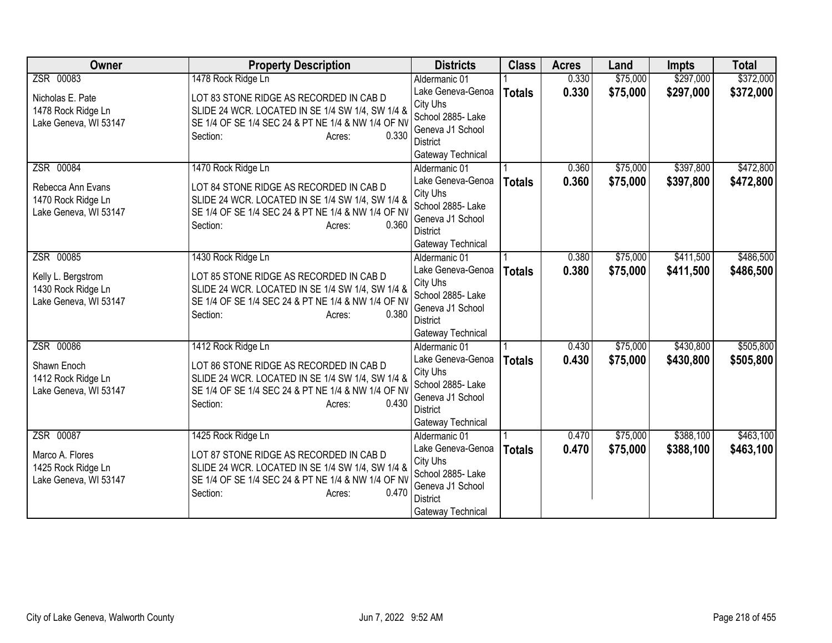| <b>Owner</b>                                                                   | <b>Property Description</b>                                                                                                                                                                            | <b>Districts</b>                                                                                                                | <b>Class</b>  | <b>Acres</b>   | Land                 | <b>Impts</b>           | <b>Total</b>           |
|--------------------------------------------------------------------------------|--------------------------------------------------------------------------------------------------------------------------------------------------------------------------------------------------------|---------------------------------------------------------------------------------------------------------------------------------|---------------|----------------|----------------------|------------------------|------------------------|
| ZSR 00083                                                                      | 1478 Rock Ridge Ln                                                                                                                                                                                     | Aldermanic 01                                                                                                                   |               | 0.330          | \$75,000             | \$297,000              | \$372,000              |
| Nicholas E. Pate<br>1478 Rock Ridge Ln<br>Lake Geneva, WI 53147                | LOT 83 STONE RIDGE AS RECORDED IN CAB D<br>SLIDE 24 WCR. LOCATED IN SE 1/4 SW 1/4, SW 1/4 &<br>SE 1/4 OF SE 1/4 SEC 24 & PT NE 1/4 & NW 1/4 OF NV<br>0.330<br>Section:<br>Acres:                       | Lake Geneva-Genoa<br>City Uhs<br>School 2885- Lake<br>Geneva J1 School<br><b>District</b><br>Gateway Technical                  | <b>Totals</b> | 0.330          | \$75,000             | \$297,000              | \$372,000              |
| ZSR 00084<br>Rebecca Ann Evans<br>1470 Rock Ridge Ln<br>Lake Geneva, WI 53147  | 1470 Rock Ridge Ln<br>LOT 84 STONE RIDGE AS RECORDED IN CAB D<br>SLIDE 24 WCR. LOCATED IN SE 1/4 SW 1/4, SW 1/4 &<br>SE 1/4 OF SE 1/4 SEC 24 & PT NE 1/4 & NW 1/4 OF NV<br>0.360<br>Section:<br>Acres: | Aldermanic 01<br>Lake Geneva-Genoa<br>City Uhs<br>School 2885- Lake<br>Geneva J1 School<br><b>District</b><br>Gateway Technical | <b>Totals</b> | 0.360<br>0.360 | \$75,000<br>\$75,000 | \$397,800<br>\$397,800 | \$472,800<br>\$472,800 |
| ZSR 00085<br>Kelly L. Bergstrom<br>1430 Rock Ridge Ln<br>Lake Geneva, WI 53147 | 1430 Rock Ridge Ln<br>LOT 85 STONE RIDGE AS RECORDED IN CAB D<br>SLIDE 24 WCR. LOCATED IN SE 1/4 SW 1/4, SW 1/4 &<br>SE 1/4 OF SE 1/4 SEC 24 & PT NE 1/4 & NW 1/4 OF NV<br>0.380<br>Section:<br>Acres: | Aldermanic 01<br>Lake Geneva-Genoa<br>City Uhs<br>School 2885- Lake<br>Geneva J1 School<br><b>District</b><br>Gateway Technical | <b>Totals</b> | 0.380<br>0.380 | \$75,000<br>\$75,000 | \$411,500<br>\$411,500 | \$486,500<br>\$486,500 |
| ZSR 00086<br>Shawn Enoch<br>1412 Rock Ridge Ln<br>Lake Geneva, WI 53147        | 1412 Rock Ridge Ln<br>LOT 86 STONE RIDGE AS RECORDED IN CAB D<br>SLIDE 24 WCR. LOCATED IN SE 1/4 SW 1/4, SW 1/4 &<br>SE 1/4 OF SE 1/4 SEC 24 & PT NE 1/4 & NW 1/4 OF NV<br>0.430<br>Section:<br>Acres: | Aldermanic 01<br>Lake Geneva-Genoa<br>City Uhs<br>School 2885- Lake<br>Geneva J1 School<br><b>District</b><br>Gateway Technical | <b>Totals</b> | 0.430<br>0.430 | \$75,000<br>\$75,000 | \$430,800<br>\$430,800 | \$505,800<br>\$505,800 |
| ZSR 00087<br>Marco A. Flores<br>1425 Rock Ridge Ln<br>Lake Geneva, WI 53147    | 1425 Rock Ridge Ln<br>LOT 87 STONE RIDGE AS RECORDED IN CAB D<br>SLIDE 24 WCR. LOCATED IN SE 1/4 SW 1/4, SW 1/4 &<br>SE 1/4 OF SE 1/4 SEC 24 & PT NE 1/4 & NW 1/4 OF NV<br>0.470<br>Section:<br>Acres: | Aldermanic 01<br>Lake Geneva-Genoa<br>City Uhs<br>School 2885- Lake<br>Geneva J1 School<br><b>District</b><br>Gateway Technical | <b>Totals</b> | 0.470<br>0.470 | \$75,000<br>\$75,000 | \$388,100<br>\$388,100 | \$463,100<br>\$463,100 |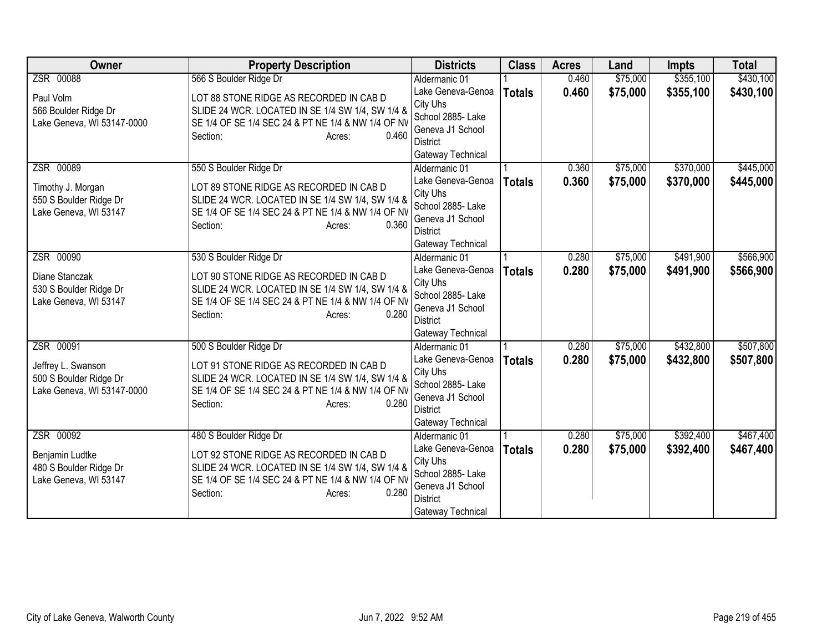| <b>Owner</b>                                    | <b>Property Description</b>                                                                 | <b>Districts</b>                   | <b>Class</b>  | <b>Acres</b> | Land     | <b>Impts</b> | <b>Total</b> |
|-------------------------------------------------|---------------------------------------------------------------------------------------------|------------------------------------|---------------|--------------|----------|--------------|--------------|
| ZSR 00088                                       | 566 S Boulder Ridge Dr                                                                      | Aldermanic 01                      |               | 0.460        | \$75,000 | \$355,100    | \$430,100    |
| Paul Volm                                       | LOT 88 STONE RIDGE AS RECORDED IN CAB D                                                     | Lake Geneva-Genoa                  | <b>Totals</b> | 0.460        | \$75,000 | \$355,100    | \$430,100    |
| 566 Boulder Ridge Dr                            | SLIDE 24 WCR. LOCATED IN SE 1/4 SW 1/4, SW 1/4 &                                            | City Uhs                           |               |              |          |              |              |
| Lake Geneva, WI 53147-0000                      | SE 1/4 OF SE 1/4 SEC 24 & PT NE 1/4 & NW 1/4 OF NV                                          | School 2885- Lake                  |               |              |          |              |              |
|                                                 | 0.460<br>Section:<br>Acres:                                                                 | Geneva J1 School                   |               |              |          |              |              |
|                                                 |                                                                                             | District                           |               |              |          |              |              |
| ZSR 00089                                       | 550 S Boulder Ridge Dr                                                                      | Gateway Technical<br>Aldermanic 01 |               | 0.360        | \$75,000 | \$370,000    | \$445,000    |
|                                                 |                                                                                             | Lake Geneva-Genoa                  |               | 0.360        | \$75,000 | \$370,000    |              |
| Timothy J. Morgan                               | LOT 89 STONE RIDGE AS RECORDED IN CAB D                                                     | City Uhs                           | <b>Totals</b> |              |          |              | \$445,000    |
| 550 S Boulder Ridge Dr                          | SLIDE 24 WCR. LOCATED IN SE 1/4 SW 1/4, SW 1/4 &                                            | School 2885- Lake                  |               |              |          |              |              |
| Lake Geneva, WI 53147                           | SE 1/4 OF SE 1/4 SEC 24 & PT NE 1/4 & NW 1/4 OF NV                                          | Geneva J1 School                   |               |              |          |              |              |
|                                                 | 0.360<br>Section:<br>Acres:                                                                 | <b>District</b>                    |               |              |          |              |              |
|                                                 |                                                                                             | Gateway Technical                  |               |              |          |              |              |
| ZSR 00090                                       | 530 S Boulder Ridge Dr                                                                      | Aldermanic 01                      |               | 0.280        | \$75,000 | \$491,900    | \$566,900    |
|                                                 |                                                                                             | Lake Geneva-Genoa                  | <b>Totals</b> | 0.280        | \$75,000 | \$491,900    | \$566,900    |
| Diane Stanczak                                  | LOT 90 STONE RIDGE AS RECORDED IN CAB D<br>SLIDE 24 WCR. LOCATED IN SE 1/4 SW 1/4, SW 1/4 & | City Uhs                           |               |              |          |              |              |
| 530 S Boulder Ridge Dr<br>Lake Geneva, WI 53147 | SE 1/4 OF SE 1/4 SEC 24 & PT NE 1/4 & NW 1/4 OF NV                                          | School 2885- Lake                  |               |              |          |              |              |
|                                                 | 0.280<br>Section:<br>Acres:                                                                 | Geneva J1 School                   |               |              |          |              |              |
|                                                 |                                                                                             | <b>District</b>                    |               |              |          |              |              |
|                                                 |                                                                                             | Gateway Technical                  |               |              |          |              |              |
| ZSR 00091                                       | 500 S Boulder Ridge Dr                                                                      | Aldermanic 01                      |               | 0.280        | \$75,000 | \$432,800    | \$507,800    |
| Jeffrey L. Swanson                              | LOT 91 STONE RIDGE AS RECORDED IN CAB D                                                     | Lake Geneva-Genoa<br>City Uhs      | <b>Totals</b> | 0.280        | \$75,000 | \$432,800    | \$507,800    |
| 500 S Boulder Ridge Dr                          | SLIDE 24 WCR. LOCATED IN SE 1/4 SW 1/4, SW 1/4 &                                            | School 2885- Lake                  |               |              |          |              |              |
| Lake Geneva, WI 53147-0000                      | SE 1/4 OF SE 1/4 SEC 24 & PT NE 1/4 & NW 1/4 OF NV                                          | Geneva J1 School                   |               |              |          |              |              |
|                                                 | 0.280<br>Section:<br>Acres:                                                                 | <b>District</b>                    |               |              |          |              |              |
|                                                 |                                                                                             | Gateway Technical                  |               |              |          |              |              |
| ZSR 00092                                       | 480 S Boulder Ridge Dr                                                                      | Aldermanic 01                      |               | 0.280        | \$75,000 | \$392,400    | \$467,400    |
|                                                 |                                                                                             | Lake Geneva-Genoa                  | <b>Totals</b> | 0.280        | \$75,000 | \$392,400    | \$467,400    |
| Benjamin Ludtke<br>480 S Boulder Ridge Dr       | LOT 92 STONE RIDGE AS RECORDED IN CAB D<br>SLIDE 24 WCR. LOCATED IN SE 1/4 SW 1/4, SW 1/4 & | City Uhs                           |               |              |          |              |              |
| Lake Geneva, WI 53147                           | SE 1/4 OF SE 1/4 SEC 24 & PT NE 1/4 & NW 1/4 OF NV                                          | School 2885- Lake                  |               |              |          |              |              |
|                                                 | 0.280<br>Section:<br>Acres:                                                                 | Geneva J1 School                   |               |              |          |              |              |
|                                                 |                                                                                             | <b>District</b>                    |               |              |          |              |              |
|                                                 |                                                                                             | Gateway Technical                  |               |              |          |              |              |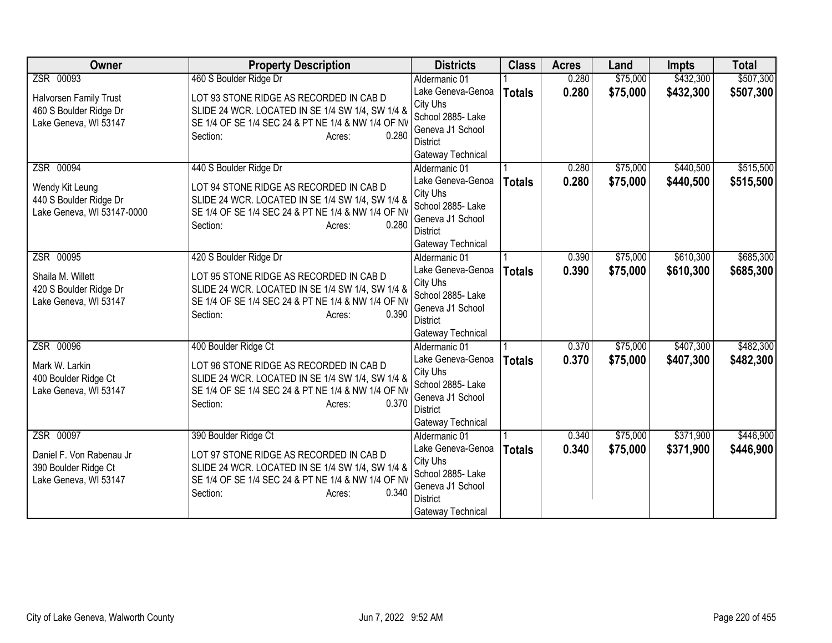| <b>Owner</b>                                                                           | <b>Property Description</b>                                                                                                                                                                                | <b>Districts</b>                                                                                                                | <b>Class</b>  | <b>Acres</b>   | Land                 | <b>Impts</b>           | <b>Total</b>           |
|----------------------------------------------------------------------------------------|------------------------------------------------------------------------------------------------------------------------------------------------------------------------------------------------------------|---------------------------------------------------------------------------------------------------------------------------------|---------------|----------------|----------------------|------------------------|------------------------|
| ZSR 00093                                                                              | 460 S Boulder Ridge Dr                                                                                                                                                                                     | Aldermanic 01                                                                                                                   |               | 0.280          | \$75,000             | \$432,300              | \$507,300              |
| Halvorsen Family Trust<br>460 S Boulder Ridge Dr<br>Lake Geneva, WI 53147              | LOT 93 STONE RIDGE AS RECORDED IN CAB D<br>SLIDE 24 WCR. LOCATED IN SE 1/4 SW 1/4, SW 1/4 &<br>SE 1/4 OF SE 1/4 SEC 24 & PT NE 1/4 & NW 1/4 OF NV                                                          | Lake Geneva-Genoa<br>City Uhs<br>School 2885- Lake<br>Geneva J1 School                                                          | <b>Totals</b> | 0.280          | \$75,000             | \$432,300              | \$507,300              |
|                                                                                        | 0.280<br>Section:<br>Acres:                                                                                                                                                                                | <b>District</b><br>Gateway Technical                                                                                            |               |                |                      |                        |                        |
| ZSR 00094<br>Wendy Kit Leung<br>440 S Boulder Ridge Dr<br>Lake Geneva, WI 53147-0000   | 440 S Boulder Ridge Dr<br>LOT 94 STONE RIDGE AS RECORDED IN CAB D<br>SLIDE 24 WCR. LOCATED IN SE 1/4 SW 1/4, SW 1/4 &<br>SE 1/4 OF SE 1/4 SEC 24 & PT NE 1/4 & NW 1/4 OF NV<br>0.280<br>Section:<br>Acres: | Aldermanic 01<br>Lake Geneva-Genoa<br>City Uhs<br>School 2885- Lake<br>Geneva J1 School<br><b>District</b><br>Gateway Technical | <b>Totals</b> | 0.280<br>0.280 | \$75,000<br>\$75,000 | \$440,500<br>\$440,500 | \$515,500<br>\$515,500 |
| ZSR 00095<br>Shaila M. Willett<br>420 S Boulder Ridge Dr<br>Lake Geneva, WI 53147      | 420 S Boulder Ridge Dr<br>LOT 95 STONE RIDGE AS RECORDED IN CAB D<br>SLIDE 24 WCR. LOCATED IN SE 1/4 SW 1/4, SW 1/4 &<br>SE 1/4 OF SE 1/4 SEC 24 & PT NE 1/4 & NW 1/4 OF NV<br>0.390<br>Section:<br>Acres: | Aldermanic 01<br>Lake Geneva-Genoa<br>City Uhs<br>School 2885- Lake<br>Geneva J1 School<br><b>District</b><br>Gateway Technical | <b>Totals</b> | 0.390<br>0.390 | \$75,000<br>\$75,000 | \$610,300<br>\$610,300 | \$685,300<br>\$685,300 |
| ZSR 00096<br>Mark W. Larkin<br>400 Boulder Ridge Ct<br>Lake Geneva, WI 53147           | 400 Boulder Ridge Ct<br>LOT 96 STONE RIDGE AS RECORDED IN CAB D<br>SLIDE 24 WCR. LOCATED IN SE 1/4 SW 1/4, SW 1/4 &<br>SE 1/4 OF SE 1/4 SEC 24 & PT NE 1/4 & NW 1/4 OF NV<br>0.370<br>Section:<br>Acres:   | Aldermanic 01<br>Lake Geneva-Genoa<br>City Uhs<br>School 2885- Lake<br>Geneva J1 School<br><b>District</b><br>Gateway Technical | <b>Totals</b> | 0.370<br>0.370 | \$75,000<br>\$75,000 | \$407,300<br>\$407,300 | \$482,300<br>\$482,300 |
| ZSR 00097<br>Daniel F. Von Rabenau Jr<br>390 Boulder Ridge Ct<br>Lake Geneva, WI 53147 | 390 Boulder Ridge Ct<br>LOT 97 STONE RIDGE AS RECORDED IN CAB D<br>SLIDE 24 WCR. LOCATED IN SE 1/4 SW 1/4, SW 1/4 &<br>SE 1/4 OF SE 1/4 SEC 24 & PT NE 1/4 & NW 1/4 OF NV<br>0.340<br>Section:<br>Acres:   | Aldermanic 01<br>Lake Geneva-Genoa<br>City Uhs<br>School 2885- Lake<br>Geneva J1 School<br><b>District</b><br>Gateway Technical | <b>Totals</b> | 0.340<br>0.340 | \$75,000<br>\$75,000 | \$371,900<br>\$371,900 | \$446,900<br>\$446,900 |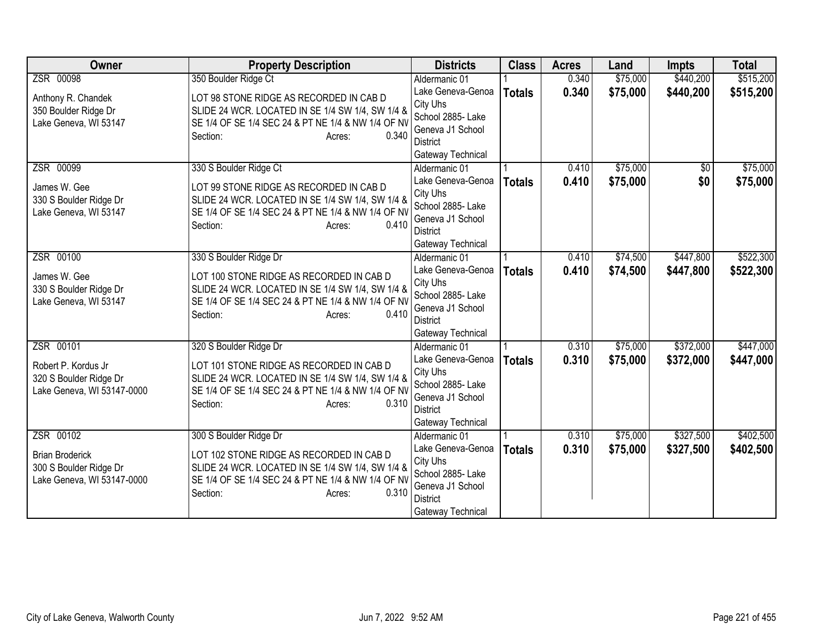| <b>Owner</b>                                                                                | <b>Property Description</b>                                                                                                                                                                                 | <b>Districts</b>                                                                                                                | <b>Class</b>  | <b>Acres</b>   | Land                 | <b>Impts</b>           | <b>Total</b>           |
|---------------------------------------------------------------------------------------------|-------------------------------------------------------------------------------------------------------------------------------------------------------------------------------------------------------------|---------------------------------------------------------------------------------------------------------------------------------|---------------|----------------|----------------------|------------------------|------------------------|
| ZSR 00098                                                                                   | 350 Boulder Ridge Ct                                                                                                                                                                                        | Aldermanic 01                                                                                                                   |               | 0.340          | \$75,000             | \$440,200              | \$515,200              |
| Anthony R. Chandek<br>350 Boulder Ridge Dr<br>Lake Geneva, WI 53147                         | LOT 98 STONE RIDGE AS RECORDED IN CAB D<br>SLIDE 24 WCR. LOCATED IN SE 1/4 SW 1/4, SW 1/4 &<br>SE 1/4 OF SE 1/4 SEC 24 & PT NE 1/4 & NW 1/4 OF NV<br>0.340<br>Section:<br>Acres:                            | Lake Geneva-Genoa<br>City Uhs<br>School 2885- Lake<br>Geneva J1 School<br>District<br>Gateway Technical                         | <b>Totals</b> | 0.340          | \$75,000             | \$440,200              | \$515,200              |
| ZSR 00099<br>James W. Gee<br>330 S Boulder Ridge Dr<br>Lake Geneva, WI 53147                | 330 S Boulder Ridge Ct<br>LOT 99 STONE RIDGE AS RECORDED IN CAB D<br>SLIDE 24 WCR. LOCATED IN SE 1/4 SW 1/4, SW 1/4 &<br>SE 1/4 OF SE 1/4 SEC 24 & PT NE 1/4 & NW 1/4 OF NV<br>0.410<br>Section:<br>Acres:  | Aldermanic 01<br>Lake Geneva-Genoa<br>City Uhs<br>School 2885- Lake<br>Geneva J1 School<br><b>District</b><br>Gateway Technical | <b>Totals</b> | 0.410<br>0.410 | \$75,000<br>\$75,000 | $\sqrt{6}$<br>\$0      | \$75,000<br>\$75,000   |
| ZSR 00100<br>James W. Gee<br>330 S Boulder Ridge Dr<br>Lake Geneva, WI 53147                | 330 S Boulder Ridge Dr<br>LOT 100 STONE RIDGE AS RECORDED IN CAB D<br>SLIDE 24 WCR. LOCATED IN SE 1/4 SW 1/4, SW 1/4 &<br>SE 1/4 OF SE 1/4 SEC 24 & PT NE 1/4 & NW 1/4 OF NV<br>0.410<br>Section:<br>Acres: | Aldermanic 01<br>Lake Geneva-Genoa<br>City Uhs<br>School 2885- Lake<br>Geneva J1 School<br>District<br>Gateway Technical        | <b>Totals</b> | 0.410<br>0.410 | \$74,500<br>\$74,500 | \$447,800<br>\$447,800 | \$522,300<br>\$522,300 |
| ZSR 00101<br>Robert P. Kordus Jr<br>320 S Boulder Ridge Dr<br>Lake Geneva, WI 53147-0000    | 320 S Boulder Ridge Dr<br>LOT 101 STONE RIDGE AS RECORDED IN CAB D<br>SLIDE 24 WCR. LOCATED IN SE 1/4 SW 1/4, SW 1/4 &<br>SE 1/4 OF SE 1/4 SEC 24 & PT NE 1/4 & NW 1/4 OF NV<br>0.310<br>Section:<br>Acres: | Aldermanic 01<br>Lake Geneva-Genoa<br>City Uhs<br>School 2885- Lake<br>Geneva J1 School<br><b>District</b><br>Gateway Technical | <b>Totals</b> | 0.310<br>0.310 | \$75,000<br>\$75,000 | \$372,000<br>\$372,000 | \$447,000<br>\$447,000 |
| ZSR 00102<br><b>Brian Broderick</b><br>300 S Boulder Ridge Dr<br>Lake Geneva, WI 53147-0000 | 300 S Boulder Ridge Dr<br>LOT 102 STONE RIDGE AS RECORDED IN CAB D<br>SLIDE 24 WCR. LOCATED IN SE 1/4 SW 1/4, SW 1/4 &<br>SE 1/4 OF SE 1/4 SEC 24 & PT NE 1/4 & NW 1/4 OF NV<br>0.310<br>Section:<br>Acres: | Aldermanic 01<br>Lake Geneva-Genoa<br>City Uhs<br>School 2885- Lake<br>Geneva J1 School<br><b>District</b><br>Gateway Technical | <b>Totals</b> | 0.310<br>0.310 | \$75,000<br>\$75,000 | \$327,500<br>\$327,500 | \$402,500<br>\$402,500 |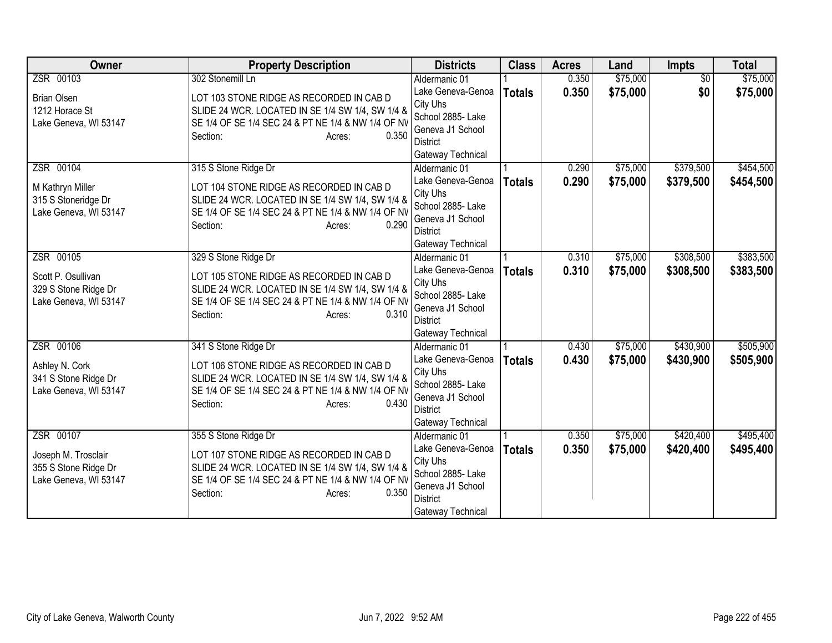| <b>Owner</b>                                                         | <b>Property Description</b>                                                                                                                                                       | <b>Districts</b>                                                                                               | <b>Class</b>  | <b>Acres</b> | Land     | Impts           | <b>Total</b> |
|----------------------------------------------------------------------|-----------------------------------------------------------------------------------------------------------------------------------------------------------------------------------|----------------------------------------------------------------------------------------------------------------|---------------|--------------|----------|-----------------|--------------|
| ZSR 00103                                                            | 302 Stonemill Ln                                                                                                                                                                  | Aldermanic 01                                                                                                  |               | 0.350        | \$75,000 | $\overline{50}$ | \$75,000     |
| <b>Brian Olsen</b><br>1212 Horace St                                 | LOT 103 STONE RIDGE AS RECORDED IN CAB D<br>SLIDE 24 WCR. LOCATED IN SE 1/4 SW 1/4, SW 1/4 &                                                                                      | Lake Geneva-Genoa<br>City Uhs<br>School 2885- Lake                                                             | <b>Totals</b> | 0.350        | \$75,000 | \$0             | \$75,000     |
| Lake Geneva, WI 53147                                                | SE 1/4 OF SE 1/4 SEC 24 & PT NE 1/4 & NW 1/4 OF NV<br>0.350<br>Section:<br>Acres:                                                                                                 | Geneva J1 School<br>District<br>Gateway Technical                                                              |               |              |          |                 |              |
| ZSR 00104                                                            | 315 S Stone Ridge Dr                                                                                                                                                              | Aldermanic 01                                                                                                  |               | 0.290        | \$75,000 | \$379,500       | \$454,500    |
| M Kathryn Miller<br>315 S Stoneridge Dr<br>Lake Geneva, WI 53147     | LOT 104 STONE RIDGE AS RECORDED IN CAB D<br>SLIDE 24 WCR. LOCATED IN SE 1/4 SW 1/4, SW 1/4 &<br>SE 1/4 OF SE 1/4 SEC 24 & PT NE 1/4 & NW 1/4 OF NV                                | Lake Geneva-Genoa<br>City Uhs<br>School 2885- Lake                                                             | <b>Totals</b> | 0.290        | \$75,000 | \$379,500       | \$454,500    |
|                                                                      | 0.290<br>Section:<br>Acres:                                                                                                                                                       | Geneva J1 School<br><b>District</b><br>Gateway Technical                                                       |               |              |          |                 |              |
| ZSR 00105                                                            | 329 S Stone Ridge Dr                                                                                                                                                              | Aldermanic 01                                                                                                  |               | 0.310        | \$75,000 | \$308,500       | \$383,500    |
| Scott P. Osullivan<br>329 S Stone Ridge Dr<br>Lake Geneva, WI 53147  | LOT 105 STONE RIDGE AS RECORDED IN CAB D<br>SLIDE 24 WCR. LOCATED IN SE 1/4 SW 1/4, SW 1/4 &<br>SE 1/4 OF SE 1/4 SEC 24 & PT NE 1/4 & NW 1/4 OF NV<br>0.310<br>Section:<br>Acres: | Lake Geneva-Genoa<br>City Uhs<br>School 2885- Lake<br>Geneva J1 School<br>District<br>Gateway Technical        | <b>Totals</b> | 0.310        | \$75,000 | \$308,500       | \$383,500    |
| ZSR 00106                                                            | 341 S Stone Ridge Dr                                                                                                                                                              | Aldermanic 01                                                                                                  |               | 0.430        | \$75,000 | \$430,900       | \$505,900    |
| Ashley N. Cork<br>341 S Stone Ridge Dr<br>Lake Geneva, WI 53147      | LOT 106 STONE RIDGE AS RECORDED IN CAB D<br>SLIDE 24 WCR. LOCATED IN SE 1/4 SW 1/4, SW 1/4 &<br>SE 1/4 OF SE 1/4 SEC 24 & PT NE 1/4 & NW 1/4 OF NV<br>0.430<br>Section:<br>Acres: | Lake Geneva-Genoa<br>City Uhs<br>School 2885- Lake<br>Geneva J1 School<br><b>District</b><br>Gateway Technical | <b>Totals</b> | 0.430        | \$75,000 | \$430,900       | \$505,900    |
| ZSR 00107                                                            | 355 S Stone Ridge Dr                                                                                                                                                              | Aldermanic 01                                                                                                  |               | 0.350        | \$75,000 | \$420,400       | \$495,400    |
| Joseph M. Trosclair<br>355 S Stone Ridge Dr<br>Lake Geneva, WI 53147 | LOT 107 STONE RIDGE AS RECORDED IN CAB D<br>SLIDE 24 WCR. LOCATED IN SE 1/4 SW 1/4, SW 1/4 &<br>SE 1/4 OF SE 1/4 SEC 24 & PT NE 1/4 & NW 1/4 OF NV<br>0.350<br>Section:<br>Acres: | Lake Geneva-Genoa<br>City Uhs<br>School 2885- Lake<br>Geneva J1 School<br><b>District</b><br>Gateway Technical | <b>Totals</b> | 0.350        | \$75,000 | \$420,400       | \$495,400    |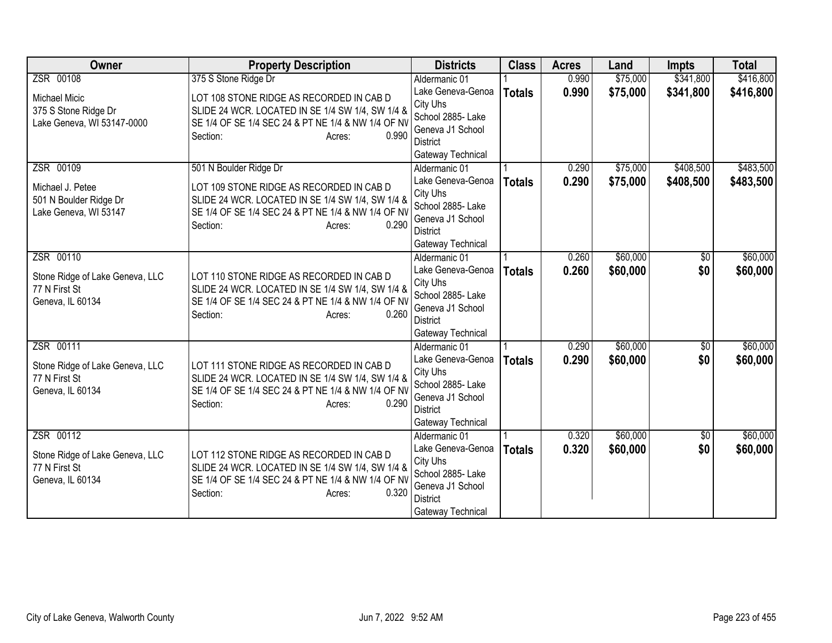| <b>Owner</b>                    | <b>Property Description</b>                                 | <b>Districts</b>                     | <b>Class</b>  | <b>Acres</b> | Land     | <b>Impts</b>    | <b>Total</b> |
|---------------------------------|-------------------------------------------------------------|--------------------------------------|---------------|--------------|----------|-----------------|--------------|
| ZSR 00108                       | 375 S Stone Ridge Dr                                        | Aldermanic 01                        |               | 0.990        | \$75,000 | \$341,800       | \$416,800    |
| <b>Michael Micic</b>            | LOT 108 STONE RIDGE AS RECORDED IN CAB D                    | Lake Geneva-Genoa                    | <b>Totals</b> | 0.990        | \$75,000 | \$341,800       | \$416,800    |
| 375 S Stone Ridge Dr            | SLIDE 24 WCR. LOCATED IN SE 1/4 SW 1/4, SW 1/4 &            | City Uhs                             |               |              |          |                 |              |
| Lake Geneva, WI 53147-0000      | SE 1/4 OF SE 1/4 SEC 24 & PT NE 1/4 & NW 1/4 OF NV          | School 2885- Lake                    |               |              |          |                 |              |
|                                 | 0.990<br>Section:<br>Acres:                                 | Geneva J1 School                     |               |              |          |                 |              |
|                                 |                                                             | <b>District</b><br>Gateway Technical |               |              |          |                 |              |
| ZSR 00109                       | 501 N Boulder Ridge Dr                                      | Aldermanic 01                        |               | 0.290        | \$75,000 | \$408,500       | \$483,500    |
|                                 |                                                             | Lake Geneva-Genoa                    | <b>Totals</b> | 0.290        | \$75,000 | \$408,500       | \$483,500    |
| Michael J. Petee                | LOT 109 STONE RIDGE AS RECORDED IN CAB D                    | City Uhs                             |               |              |          |                 |              |
| 501 N Boulder Ridge Dr          | SLIDE 24 WCR. LOCATED IN SE 1/4 SW 1/4, SW 1/4 &            | School 2885- Lake                    |               |              |          |                 |              |
| Lake Geneva, WI 53147           | SE 1/4 OF SE 1/4 SEC 24 & PT NE 1/4 & NW 1/4 OF NV          | Geneva J1 School                     |               |              |          |                 |              |
|                                 | 0.290<br>Section:<br>Acres:                                 | <b>District</b>                      |               |              |          |                 |              |
|                                 |                                                             | Gateway Technical                    |               |              |          |                 |              |
| ZSR 00110                       |                                                             | Aldermanic 01                        |               | 0.260        | \$60,000 | \$0             | \$60,000     |
| Stone Ridge of Lake Geneva, LLC | LOT 110 STONE RIDGE AS RECORDED IN CAB D                    | Lake Geneva-Genoa                    | <b>Totals</b> | 0.260        | \$60,000 | \$0             | \$60,000     |
| 77 N First St                   | SLIDE 24 WCR. LOCATED IN SE 1/4 SW 1/4, SW 1/4 &            | City Uhs                             |               |              |          |                 |              |
| Geneva, IL 60134                | SE 1/4 OF SE 1/4 SEC 24 & PT NE 1/4 & NW 1/4 OF NV          | School 2885- Lake                    |               |              |          |                 |              |
|                                 | 0.260<br>Section:<br>Acres:                                 | Geneva J1 School                     |               |              |          |                 |              |
|                                 |                                                             | <b>District</b>                      |               |              |          |                 |              |
|                                 |                                                             | Gateway Technical                    |               |              |          |                 |              |
| ZSR 00111                       |                                                             | Aldermanic 01                        |               | 0.290        | \$60,000 | $\overline{50}$ | \$60,000     |
| Stone Ridge of Lake Geneva, LLC | LOT 111 STONE RIDGE AS RECORDED IN CAB D                    | Lake Geneva-Genoa                    | <b>Totals</b> | 0.290        | \$60,000 | \$0             | \$60,000     |
| 77 N First St                   | SLIDE 24 WCR. LOCATED IN SE 1/4 SW 1/4, SW 1/4 &            | City Uhs<br>School 2885- Lake        |               |              |          |                 |              |
| Geneva, IL 60134                | SE 1/4 OF SE 1/4 SEC 24 & PT NE 1/4 & NW 1/4 OF NV          | Geneva J1 School                     |               |              |          |                 |              |
|                                 | 0.290<br>Section:<br>Acres:                                 | <b>District</b>                      |               |              |          |                 |              |
|                                 |                                                             | Gateway Technical                    |               |              |          |                 |              |
| ZSR 00112                       |                                                             | Aldermanic 01                        |               | 0.320        | \$60,000 | $\overline{50}$ | \$60,000     |
|                                 |                                                             | Lake Geneva-Genoa                    | <b>Totals</b> | 0.320        | \$60,000 | \$0             | \$60,000     |
| Stone Ridge of Lake Geneva, LLC | LOT 112 STONE RIDGE AS RECORDED IN CAB D                    | City Uhs                             |               |              |          |                 |              |
| 77 N First St                   | SLIDE 24 WCR. LOCATED IN SE 1/4 SW 1/4, SW 1/4 &            | School 2885- Lake                    |               |              |          |                 |              |
| Geneva, IL 60134                | SE 1/4 OF SE 1/4 SEC 24 & PT NE 1/4 & NW 1/4 OF NV<br>0.320 | Geneva J1 School                     |               |              |          |                 |              |
|                                 | Section:<br>Acres:                                          | <b>District</b>                      |               |              |          |                 |              |
|                                 |                                                             | Gateway Technical                    |               |              |          |                 |              |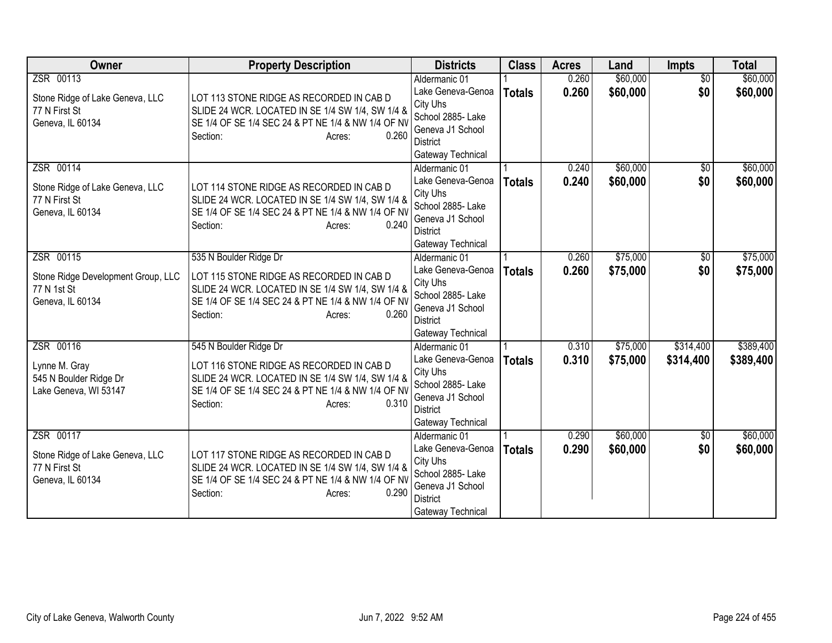| <b>Owner</b>                                                                       | <b>Property Description</b>                                                                                                                                                                                 | <b>Districts</b>                                                                                                                | <b>Class</b>  | <b>Acres</b>   | Land                 | Impts                  | <b>Total</b>           |
|------------------------------------------------------------------------------------|-------------------------------------------------------------------------------------------------------------------------------------------------------------------------------------------------------------|---------------------------------------------------------------------------------------------------------------------------------|---------------|----------------|----------------------|------------------------|------------------------|
| ZSR 00113<br>Stone Ridge of Lake Geneva, LLC<br>77 N First St<br>Geneva, IL 60134  | LOT 113 STONE RIDGE AS RECORDED IN CAB D<br>SLIDE 24 WCR. LOCATED IN SE 1/4 SW 1/4, SW 1/4 &<br>SE 1/4 OF SE 1/4 SEC 24 & PT NE 1/4 & NW 1/4 OF NV<br>0.260<br>Section:<br>Acres:                           | Aldermanic 01<br>Lake Geneva-Genoa<br>City Uhs<br>School 2885- Lake<br>Geneva J1 School<br>District<br>Gateway Technical        | <b>Totals</b> | 0.260<br>0.260 | \$60,000<br>\$60,000 | $\overline{50}$<br>\$0 | \$60,000<br>\$60,000   |
| ZSR 00114<br>Stone Ridge of Lake Geneva, LLC<br>77 N First St<br>Geneva, IL 60134  | LOT 114 STONE RIDGE AS RECORDED IN CAB D<br>SLIDE 24 WCR. LOCATED IN SE 1/4 SW 1/4, SW 1/4 &<br>SE 1/4 OF SE 1/4 SEC 24 & PT NE 1/4 & NW 1/4 OF NV<br>Section:<br>0.240<br>Acres:                           | Aldermanic 01<br>Lake Geneva-Genoa<br>City Uhs<br>School 2885- Lake<br>Geneva J1 School<br><b>District</b><br>Gateway Technical | <b>Totals</b> | 0.240<br>0.240 | \$60,000<br>\$60,000 | \$0<br>\$0             | \$60,000<br>\$60,000   |
| ZSR 00115<br>Stone Ridge Development Group, LLC<br>77 N 1st St<br>Geneva, IL 60134 | 535 N Boulder Ridge Dr<br>LOT 115 STONE RIDGE AS RECORDED IN CAB D<br>SLIDE 24 WCR. LOCATED IN SE 1/4 SW 1/4, SW 1/4 &<br>SE 1/4 OF SE 1/4 SEC 24 & PT NE 1/4 & NW 1/4 OF NV<br>0.260<br>Section:<br>Acres: | Aldermanic 01<br>Lake Geneva-Genoa<br>City Uhs<br>School 2885- Lake<br>Geneva J1 School<br><b>District</b><br>Gateway Technical | <b>Totals</b> | 0.260<br>0.260 | \$75,000<br>\$75,000 | \$0<br>\$0             | \$75,000<br>\$75,000   |
| ZSR 00116<br>Lynne M. Gray<br>545 N Boulder Ridge Dr<br>Lake Geneva, WI 53147      | 545 N Boulder Ridge Dr<br>LOT 116 STONE RIDGE AS RECORDED IN CAB D<br>SLIDE 24 WCR. LOCATED IN SE 1/4 SW 1/4, SW 1/4 &<br>SE 1/4 OF SE 1/4 SEC 24 & PT NE 1/4 & NW 1/4 OF NV<br>0.310<br>Section:<br>Acres: | Aldermanic 01<br>Lake Geneva-Genoa<br>City Uhs<br>School 2885- Lake<br>Geneva J1 School<br>District<br>Gateway Technical        | <b>Totals</b> | 0.310<br>0.310 | \$75,000<br>\$75,000 | \$314,400<br>\$314,400 | \$389,400<br>\$389,400 |
| ZSR 00117<br>Stone Ridge of Lake Geneva, LLC<br>77 N First St<br>Geneva, IL 60134  | LOT 117 STONE RIDGE AS RECORDED IN CAB D<br>SLIDE 24 WCR. LOCATED IN SE 1/4 SW 1/4, SW 1/4 &<br>SE 1/4 OF SE 1/4 SEC 24 & PT NE 1/4 & NW 1/4 OF NV<br>0.290<br>Section:<br>Acres:                           | Aldermanic 01<br>Lake Geneva-Genoa<br>City Uhs<br>School 2885- Lake<br>Geneva J1 School<br><b>District</b><br>Gateway Technical | <b>Totals</b> | 0.290<br>0.290 | \$60,000<br>\$60,000 | $\sqrt{6}$<br>\$0      | \$60,000<br>\$60,000   |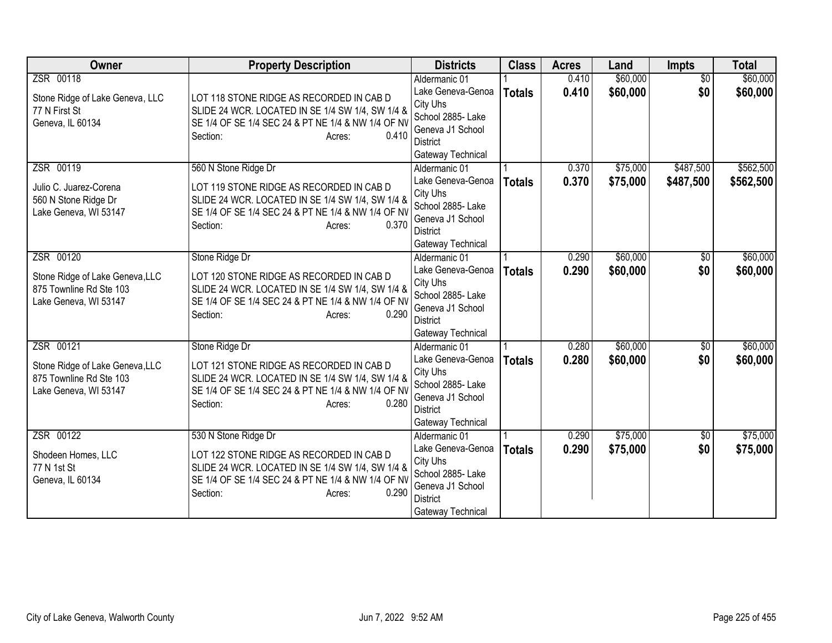| Owner                                                                                            | <b>Property Description</b>                                                                                                                                                                               | <b>Districts</b>                                                                                                                | <b>Class</b>  | <b>Acres</b>   | Land                 | Impts                  | <b>Total</b>           |
|--------------------------------------------------------------------------------------------------|-----------------------------------------------------------------------------------------------------------------------------------------------------------------------------------------------------------|---------------------------------------------------------------------------------------------------------------------------------|---------------|----------------|----------------------|------------------------|------------------------|
| ZSR 00118<br>Stone Ridge of Lake Geneva, LLC<br>77 N First St<br>Geneva, IL 60134                | LOT 118 STONE RIDGE AS RECORDED IN CAB D<br>SLIDE 24 WCR. LOCATED IN SE 1/4 SW 1/4, SW 1/4 &<br>SE 1/4 OF SE 1/4 SEC 24 & PT NE 1/4 & NW 1/4 OF NV<br>0.410<br>Section:<br>Acres:                         | Aldermanic 01<br>Lake Geneva-Genoa<br>City Uhs<br>School 2885- Lake<br>Geneva J1 School<br><b>District</b><br>Gateway Technical | <b>Totals</b> | 0.410<br>0.410 | \$60,000<br>\$60,000 | $\overline{50}$<br>\$0 | \$60,000<br>\$60,000   |
| ZSR 00119<br>Julio C. Juarez-Corena<br>560 N Stone Ridge Dr<br>Lake Geneva, WI 53147             | 560 N Stone Ridge Dr<br>LOT 119 STONE RIDGE AS RECORDED IN CAB D<br>SLIDE 24 WCR. LOCATED IN SE 1/4 SW 1/4, SW 1/4 &<br>SE 1/4 OF SE 1/4 SEC 24 & PT NE 1/4 & NW 1/4 OF NV<br>Section:<br>0.370<br>Acres: | Aldermanic 01<br>Lake Geneva-Genoa<br>City Uhs<br>School 2885- Lake<br>Geneva J1 School<br><b>District</b><br>Gateway Technical | <b>Totals</b> | 0.370<br>0.370 | \$75,000<br>\$75,000 | \$487,500<br>\$487,500 | \$562,500<br>\$562,500 |
| ZSR 00120<br>Stone Ridge of Lake Geneva, LLC<br>875 Townline Rd Ste 103<br>Lake Geneva, WI 53147 | Stone Ridge Dr<br>LOT 120 STONE RIDGE AS RECORDED IN CAB D<br>SLIDE 24 WCR. LOCATED IN SE 1/4 SW 1/4, SW 1/4 &<br>SE 1/4 OF SE 1/4 SEC 24 & PT NE 1/4 & NW 1/4 OF NV<br>0.290<br>Section:<br>Acres:       | Aldermanic 01<br>Lake Geneva-Genoa<br>City Uhs<br>School 2885- Lake<br>Geneva J1 School<br><b>District</b><br>Gateway Technical | <b>Totals</b> | 0.290<br>0.290 | \$60,000<br>\$60,000 | \$0<br>\$0             | \$60,000<br>\$60,000   |
| ZSR 00121<br>Stone Ridge of Lake Geneva, LLC<br>875 Townline Rd Ste 103<br>Lake Geneva, WI 53147 | Stone Ridge Dr<br>LOT 121 STONE RIDGE AS RECORDED IN CAB D<br>SLIDE 24 WCR. LOCATED IN SE 1/4 SW 1/4, SW 1/4 &<br>SE 1/4 OF SE 1/4 SEC 24 & PT NE 1/4 & NW 1/4 OF NV<br>0.280<br>Section:<br>Acres:       | Aldermanic 01<br>Lake Geneva-Genoa<br>City Uhs<br>School 2885- Lake<br>Geneva J1 School<br><b>District</b><br>Gateway Technical | <b>Totals</b> | 0.280<br>0.280 | \$60,000<br>\$60,000 | $\overline{50}$<br>\$0 | \$60,000<br>\$60,000   |
| ZSR 00122<br>Shodeen Homes, LLC<br>77 N 1st St<br>Geneva, IL 60134                               | 530 N Stone Ridge Dr<br>LOT 122 STONE RIDGE AS RECORDED IN CAB D<br>SLIDE 24 WCR. LOCATED IN SE 1/4 SW 1/4, SW 1/4 &<br>SE 1/4 OF SE 1/4 SEC 24 & PT NE 1/4 & NW 1/4 OF NV<br>0.290<br>Section:<br>Acres: | Aldermanic 01<br>Lake Geneva-Genoa<br>City Uhs<br>School 2885- Lake<br>Geneva J1 School<br><b>District</b><br>Gateway Technical | <b>Totals</b> | 0.290<br>0.290 | \$75,000<br>\$75,000 | $\overline{50}$<br>\$0 | \$75,000<br>\$75,000   |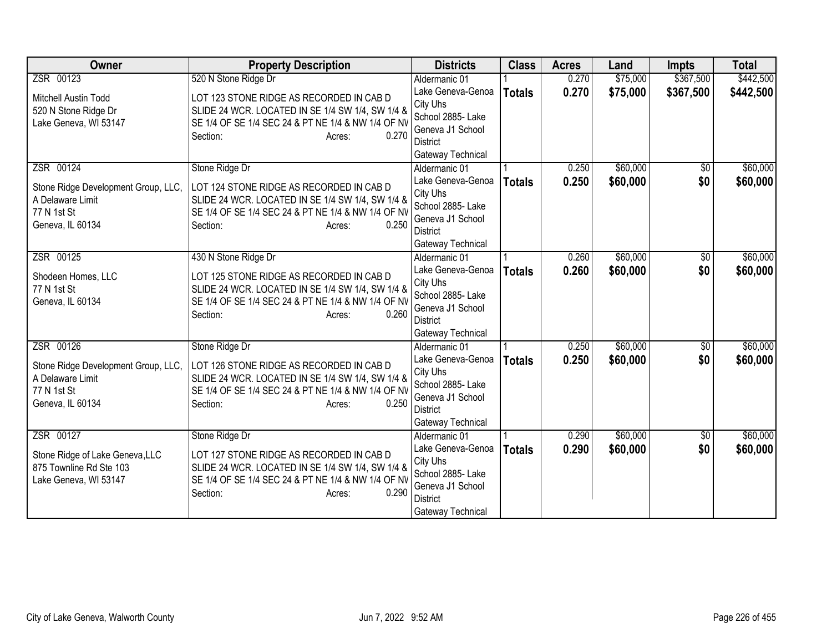| <b>Owner</b>                                                                               | <b>Property Description</b>                                                                                                                                                       | <b>Districts</b>                                                                                               | <b>Class</b>  | <b>Acres</b>   | Land                 | <b>Impts</b>      | <b>Total</b>         |
|--------------------------------------------------------------------------------------------|-----------------------------------------------------------------------------------------------------------------------------------------------------------------------------------|----------------------------------------------------------------------------------------------------------------|---------------|----------------|----------------------|-------------------|----------------------|
| ZSR 00123                                                                                  | 520 N Stone Ridge Dr                                                                                                                                                              | Aldermanic 01                                                                                                  |               | 0.270          | \$75,000             | \$367,500         | \$442,500            |
| Mitchell Austin Todd<br>520 N Stone Ridge Dr<br>Lake Geneva, WI 53147                      | LOT 123 STONE RIDGE AS RECORDED IN CAB D<br>SLIDE 24 WCR. LOCATED IN SE 1/4 SW 1/4, SW 1/4 &<br>SE 1/4 OF SE 1/4 SEC 24 & PT NE 1/4 & NW 1/4 OF NV<br>0.270<br>Section:<br>Acres: | Lake Geneva-Genoa<br>City Uhs<br>School 2885- Lake<br>Geneva J1 School<br><b>District</b><br>Gateway Technical | <b>Totals</b> | 0.270          | \$75,000             | \$367,500         | \$442,500            |
| ZSR 00124<br>Stone Ridge Development Group, LLC,                                           | Stone Ridge Dr<br>LOT 124 STONE RIDGE AS RECORDED IN CAB D                                                                                                                        | Aldermanic 01<br>Lake Geneva-Genoa<br>City Uhs                                                                 | <b>Totals</b> | 0.250<br>0.250 | \$60,000<br>\$60,000 | $\sqrt{6}$<br>\$0 | \$60,000<br>\$60,000 |
| A Delaware Limit<br>77 N 1st St<br>Geneva, IL 60134                                        | SLIDE 24 WCR. LOCATED IN SE 1/4 SW 1/4, SW 1/4 &<br>SE 1/4 OF SE 1/4 SEC 24 & PT NE 1/4 & NW 1/4 OF NV<br>0.250<br>Section:<br>Acres:                                             | School 2885- Lake<br>Geneva J1 School<br><b>District</b><br>Gateway Technical                                  |               |                |                      |                   |                      |
| ZSR 00125                                                                                  | 430 N Stone Ridge Dr                                                                                                                                                              | Aldermanic 01                                                                                                  |               | 0.260          | \$60,000             | \$0               | \$60,000             |
| Shodeen Homes, LLC<br>77 N 1st St<br>Geneva, IL 60134                                      | LOT 125 STONE RIDGE AS RECORDED IN CAB D<br>SLIDE 24 WCR. LOCATED IN SE 1/4 SW 1/4, SW 1/4 &<br>SE 1/4 OF SE 1/4 SEC 24 & PT NE 1/4 & NW 1/4 OF NV<br>0.260<br>Section:<br>Acres: | Lake Geneva-Genoa<br>City Uhs<br>School 2885- Lake<br>Geneva J1 School<br><b>District</b><br>Gateway Technical | <b>Totals</b> | 0.260          | \$60,000             | \$0               | \$60,000             |
| ZSR 00126                                                                                  | Stone Ridge Dr                                                                                                                                                                    | Aldermanic 01                                                                                                  |               | 0.250          | \$60,000             | $\overline{50}$   | \$60,000             |
| Stone Ridge Development Group, LLC,<br>A Delaware Limit<br>77 N 1st St<br>Geneva, IL 60134 | LOT 126 STONE RIDGE AS RECORDED IN CAB D<br>SLIDE 24 WCR. LOCATED IN SE 1/4 SW 1/4, SW 1/4 &<br>SE 1/4 OF SE 1/4 SEC 24 & PT NE 1/4 & NW 1/4 OF NV<br>0.250<br>Section:<br>Acres: | Lake Geneva-Genoa<br>City Uhs<br>School 2885- Lake<br>Geneva J1 School<br><b>District</b><br>Gateway Technical | <b>Totals</b> | 0.250          | \$60,000             | \$0               | \$60,000             |
| ZSR 00127                                                                                  | Stone Ridge Dr                                                                                                                                                                    | Aldermanic 01                                                                                                  |               | 0.290          | \$60,000             | $\overline{50}$   | \$60,000             |
| Stone Ridge of Lake Geneva, LLC<br>875 Townline Rd Ste 103<br>Lake Geneva, WI 53147        | LOT 127 STONE RIDGE AS RECORDED IN CAB D<br>SLIDE 24 WCR. LOCATED IN SE 1/4 SW 1/4, SW 1/4 &<br>SE 1/4 OF SE 1/4 SEC 24 & PT NE 1/4 & NW 1/4 OF NV<br>0.290<br>Section:<br>Acres: | Lake Geneva-Genoa<br>City Uhs<br>School 2885- Lake<br>Geneva J1 School<br><b>District</b><br>Gateway Technical | <b>Totals</b> | 0.290          | \$60,000             | \$0               | \$60,000             |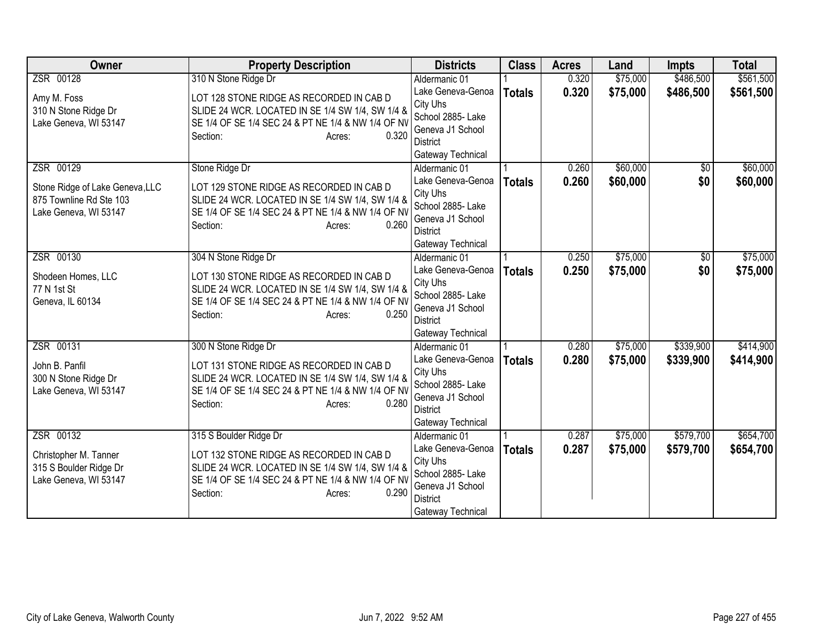| <b>Owner</b>                                                                        | <b>Property Description</b>                                                                                                                                                       | <b>Districts</b>                                                                                               | <b>Class</b>  | <b>Acres</b> | Land     | <b>Impts</b>    | <b>Total</b> |
|-------------------------------------------------------------------------------------|-----------------------------------------------------------------------------------------------------------------------------------------------------------------------------------|----------------------------------------------------------------------------------------------------------------|---------------|--------------|----------|-----------------|--------------|
| ZSR 00128                                                                           | 310 N Stone Ridge Dr                                                                                                                                                              | Aldermanic 01                                                                                                  |               | 0.320        | \$75,000 | \$486,500       | \$561,500    |
| Amy M. Foss<br>310 N Stone Ridge Dr<br>Lake Geneva, WI 53147                        | LOT 128 STONE RIDGE AS RECORDED IN CAB D<br>SLIDE 24 WCR. LOCATED IN SE 1/4 SW 1/4, SW 1/4 &<br>SE 1/4 OF SE 1/4 SEC 24 & PT NE 1/4 & NW 1/4 OF NV                                | Lake Geneva-Genoa<br>City Uhs<br>School 2885- Lake                                                             | <b>Totals</b> | 0.320        | \$75,000 | \$486,500       | \$561,500    |
|                                                                                     | 0.320<br>Section:<br>Acres:                                                                                                                                                       | Geneva J1 School<br>District<br>Gateway Technical                                                              |               |              |          |                 |              |
| ZSR 00129                                                                           | Stone Ridge Dr                                                                                                                                                                    | Aldermanic 01                                                                                                  |               | 0.260        | \$60,000 | $\overline{30}$ | \$60,000     |
| Stone Ridge of Lake Geneva, LLC<br>875 Townline Rd Ste 103<br>Lake Geneva, WI 53147 | LOT 129 STONE RIDGE AS RECORDED IN CAB D<br>SLIDE 24 WCR. LOCATED IN SE 1/4 SW 1/4, SW 1/4 &<br>SE 1/4 OF SE 1/4 SEC 24 & PT NE 1/4 & NW 1/4 OF NV<br>0.260<br>Section:<br>Acres: | Lake Geneva-Genoa<br>City Uhs<br>School 2885- Lake<br>Geneva J1 School<br><b>District</b>                      | <b>Totals</b> | 0.260        | \$60,000 | \$0             | \$60,000     |
|                                                                                     |                                                                                                                                                                                   | Gateway Technical                                                                                              |               |              |          |                 |              |
| ZSR 00130                                                                           | 304 N Stone Ridge Dr                                                                                                                                                              | Aldermanic 01                                                                                                  |               | 0.250        | \$75,000 | \$0             | \$75,000     |
| Shodeen Homes, LLC<br>77 N 1st St<br>Geneva, IL 60134                               | LOT 130 STONE RIDGE AS RECORDED IN CAB D<br>SLIDE 24 WCR. LOCATED IN SE 1/4 SW 1/4, SW 1/4 &<br>SE 1/4 OF SE 1/4 SEC 24 & PT NE 1/4 & NW 1/4 OF NV<br>0.250<br>Section:<br>Acres: | Lake Geneva-Genoa<br>City Uhs<br>School 2885- Lake<br>Geneva J1 School<br><b>District</b><br>Gateway Technical | <b>Totals</b> | 0.250        | \$75,000 | \$0             | \$75,000     |
| ZSR 00131                                                                           | 300 N Stone Ridge Dr                                                                                                                                                              | Aldermanic 01                                                                                                  |               | 0.280        | \$75,000 | \$339,900       | \$414,900    |
| John B. Panfil<br>300 N Stone Ridge Dr<br>Lake Geneva, WI 53147                     | LOT 131 STONE RIDGE AS RECORDED IN CAB D<br>SLIDE 24 WCR. LOCATED IN SE 1/4 SW 1/4, SW 1/4 &<br>SE 1/4 OF SE 1/4 SEC 24 & PT NE 1/4 & NW 1/4 OF NV<br>0.280<br>Section:<br>Acres: | Lake Geneva-Genoa<br>City Uhs<br>School 2885- Lake<br>Geneva J1 School<br><b>District</b><br>Gateway Technical | <b>Totals</b> | 0.280        | \$75,000 | \$339,900       | \$414,900    |
| ZSR 00132                                                                           | 315 S Boulder Ridge Dr                                                                                                                                                            | Aldermanic 01                                                                                                  |               | 0.287        | \$75,000 | \$579,700       | \$654,700    |
| Christopher M. Tanner<br>315 S Boulder Ridge Dr<br>Lake Geneva, WI 53147            | LOT 132 STONE RIDGE AS RECORDED IN CAB D<br>SLIDE 24 WCR. LOCATED IN SE 1/4 SW 1/4, SW 1/4 &<br>SE 1/4 OF SE 1/4 SEC 24 & PT NE 1/4 & NW 1/4 OF NV<br>Section:<br>0.290<br>Acres: | Lake Geneva-Genoa<br>City Uhs<br>School 2885- Lake<br>Geneva J1 School<br><b>District</b><br>Gateway Technical | <b>Totals</b> | 0.287        | \$75,000 | \$579,700       | \$654,700    |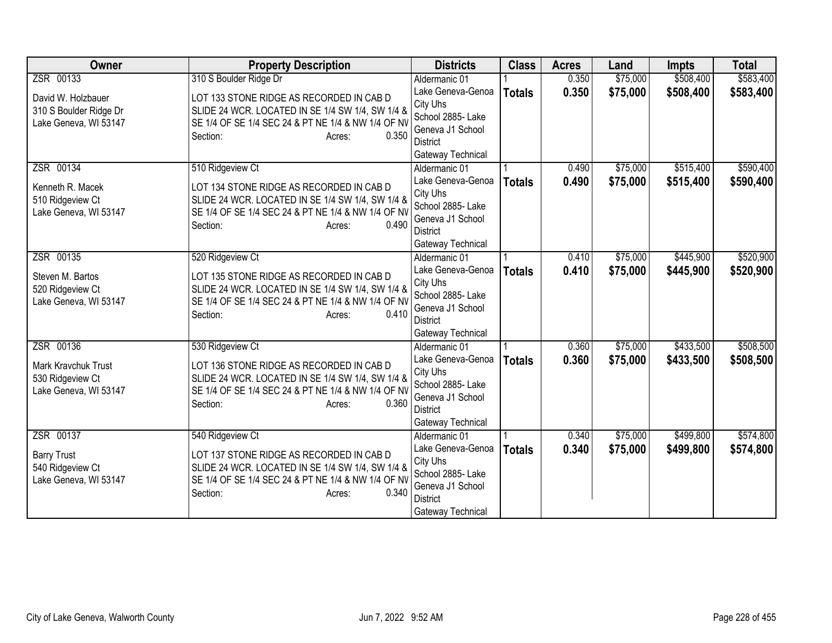| <b>Owner</b>                                                          | <b>Property Description</b>                                                                                                                                                       | <b>Districts</b>                                                                                               | <b>Class</b>  | <b>Acres</b> | Land     | <b>Impts</b> | <b>Total</b> |
|-----------------------------------------------------------------------|-----------------------------------------------------------------------------------------------------------------------------------------------------------------------------------|----------------------------------------------------------------------------------------------------------------|---------------|--------------|----------|--------------|--------------|
| ZSR 00133                                                             | 310 S Boulder Ridge Dr                                                                                                                                                            | Aldermanic 01                                                                                                  |               | 0.350        | \$75,000 | \$508,400    | \$583,400    |
| David W. Holzbauer<br>310 S Boulder Ridge Dr<br>Lake Geneva, WI 53147 | LOT 133 STONE RIDGE AS RECORDED IN CAB D<br>SLIDE 24 WCR. LOCATED IN SE 1/4 SW 1/4, SW 1/4 &<br>SE 1/4 OF SE 1/4 SEC 24 & PT NE 1/4 & NW 1/4 OF NV<br>Section:<br>0.350<br>Acres: | Lake Geneva-Genoa<br>City Uhs<br>School 2885- Lake<br>Geneva J1 School<br><b>District</b>                      | <b>Totals</b> | 0.350        | \$75,000 | \$508,400    | \$583,400    |
| ZSR 00134                                                             | 510 Ridgeview Ct                                                                                                                                                                  | Gateway Technical<br>Aldermanic 01                                                                             |               | 0.490        | \$75,000 | \$515,400    | \$590,400    |
| Kenneth R. Macek<br>510 Ridgeview Ct<br>Lake Geneva, WI 53147         | LOT 134 STONE RIDGE AS RECORDED IN CAB D<br>SLIDE 24 WCR. LOCATED IN SE 1/4 SW 1/4, SW 1/4 &<br>SE 1/4 OF SE 1/4 SEC 24 & PT NE 1/4 & NW 1/4 OF NV<br>0.490<br>Section:<br>Acres: | Lake Geneva-Genoa<br>City Uhs<br>School 2885- Lake<br>Geneva J1 School<br><b>District</b><br>Gateway Technical | <b>Totals</b> | 0.490        | \$75,000 | \$515,400    | \$590,400    |
| ZSR 00135                                                             | 520 Ridgeview Ct                                                                                                                                                                  | Aldermanic 01                                                                                                  |               | 0.410        | \$75,000 | \$445,900    | \$520,900    |
| Steven M. Bartos<br>520 Ridgeview Ct<br>Lake Geneva, WI 53147         | LOT 135 STONE RIDGE AS RECORDED IN CAB D<br>SLIDE 24 WCR. LOCATED IN SE 1/4 SW 1/4, SW 1/4 &<br>SE 1/4 OF SE 1/4 SEC 24 & PT NE 1/4 & NW 1/4 OF NV<br>0.410<br>Section:<br>Acres: | Lake Geneva-Genoa<br>City Uhs<br>School 2885- Lake<br>Geneva J1 School<br><b>District</b><br>Gateway Technical | <b>Totals</b> | 0.410        | \$75,000 | \$445,900    | \$520,900    |
| ZSR 00136                                                             | 530 Ridgeview Ct                                                                                                                                                                  | Aldermanic 01                                                                                                  |               | 0.360        | \$75,000 | \$433,500    | \$508,500    |
| Mark Kravchuk Trust<br>530 Ridgeview Ct<br>Lake Geneva, WI 53147      | LOT 136 STONE RIDGE AS RECORDED IN CAB D<br>SLIDE 24 WCR. LOCATED IN SE 1/4 SW 1/4, SW 1/4 &<br>SE 1/4 OF SE 1/4 SEC 24 & PT NE 1/4 & NW 1/4 OF NV<br>0.360<br>Section:<br>Acres: | Lake Geneva-Genoa<br>City Uhs<br>School 2885- Lake<br>Geneva J1 School<br><b>District</b><br>Gateway Technical | <b>Totals</b> | 0.360        | \$75,000 | \$433,500    | \$508,500    |
| ZSR 00137                                                             | 540 Ridgeview Ct                                                                                                                                                                  | Aldermanic 01                                                                                                  |               | 0.340        | \$75,000 | \$499,800    | \$574,800    |
| <b>Barry Trust</b><br>540 Ridgeview Ct<br>Lake Geneva, WI 53147       | LOT 137 STONE RIDGE AS RECORDED IN CAB D<br>SLIDE 24 WCR. LOCATED IN SE 1/4 SW 1/4, SW 1/4 &<br>SE 1/4 OF SE 1/4 SEC 24 & PT NE 1/4 & NW 1/4 OF NV<br>0.340<br>Section:<br>Acres: | Lake Geneva-Genoa<br>City Uhs<br>School 2885- Lake<br>Geneva J1 School<br><b>District</b><br>Gateway Technical | <b>Totals</b> | 0.340        | \$75,000 | \$499,800    | \$574,800    |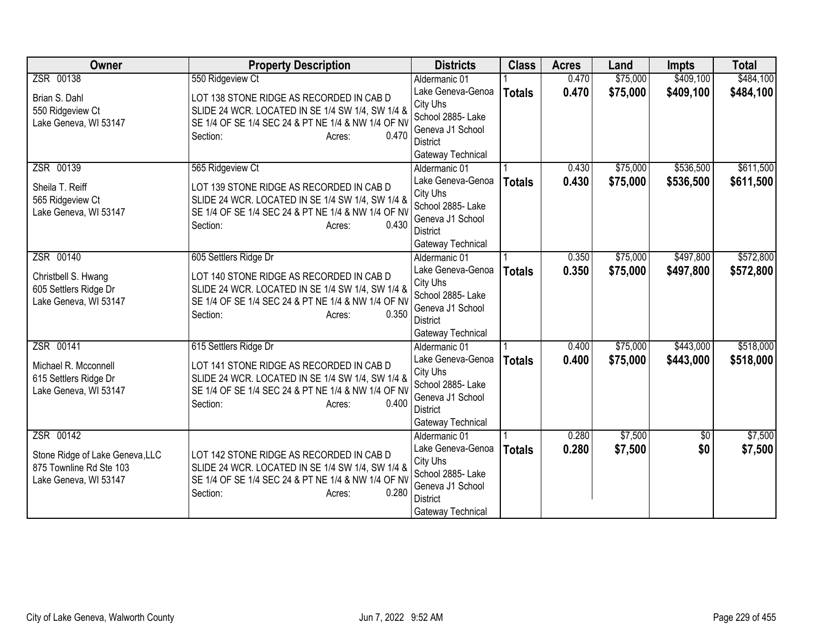| <b>Owner</b>                                   | <b>Property Description</b>                                                                            | <b>Districts</b>                    | <b>Class</b>  | <b>Acres</b> | Land     | <b>Impts</b>    | <b>Total</b> |
|------------------------------------------------|--------------------------------------------------------------------------------------------------------|-------------------------------------|---------------|--------------|----------|-----------------|--------------|
| ZSR 00138                                      | 550 Ridgeview Ct                                                                                       | Aldermanic 01                       |               | 0.470        | \$75,000 | \$409,100       | \$484,100    |
| Brian S. Dahl                                  | LOT 138 STONE RIDGE AS RECORDED IN CAB D                                                               | Lake Geneva-Genoa                   | <b>Totals</b> | 0.470        | \$75,000 | \$409,100       | \$484,100    |
| 550 Ridgeview Ct                               | SLIDE 24 WCR. LOCATED IN SE 1/4 SW 1/4, SW 1/4 &                                                       | City Uhs                            |               |              |          |                 |              |
| Lake Geneva, WI 53147                          | SE 1/4 OF SE 1/4 SEC 24 & PT NE 1/4 & NW 1/4 OF NV                                                     | School 2885- Lake                   |               |              |          |                 |              |
|                                                | 0.470<br>Section:<br>Acres:                                                                            | Geneva J1 School<br><b>District</b> |               |              |          |                 |              |
|                                                |                                                                                                        | Gateway Technical                   |               |              |          |                 |              |
| ZSR 00139                                      | 565 Ridgeview Ct                                                                                       | Aldermanic 01                       |               | 0.430        | \$75,000 | \$536,500       | \$611,500    |
|                                                |                                                                                                        | Lake Geneva-Genoa                   | <b>Totals</b> | 0.430        | \$75,000 | \$536,500       | \$611,500    |
| Sheila T. Reiff                                | LOT 139 STONE RIDGE AS RECORDED IN CAB D                                                               | City Uhs                            |               |              |          |                 |              |
| 565 Ridgeview Ct                               | SLIDE 24 WCR. LOCATED IN SE 1/4 SW 1/4, SW 1/4 &                                                       | School 2885- Lake                   |               |              |          |                 |              |
| Lake Geneva, WI 53147                          | SE 1/4 OF SE 1/4 SEC 24 & PT NE 1/4 & NW 1/4 OF NV                                                     | Geneva J1 School                    |               |              |          |                 |              |
|                                                | 0.430<br>Section:<br>Acres:                                                                            | <b>District</b>                     |               |              |          |                 |              |
|                                                |                                                                                                        | Gateway Technical                   |               |              |          |                 |              |
| ZSR 00140                                      | 605 Settlers Ridge Dr                                                                                  | Aldermanic 01                       |               | 0.350        | \$75,000 | \$497,800       | \$572,800    |
| Christbell S. Hwang                            | LOT 140 STONE RIDGE AS RECORDED IN CAB D                                                               | Lake Geneva-Genoa                   | <b>Totals</b> | 0.350        | \$75,000 | \$497,800       | \$572,800    |
| 605 Settlers Ridge Dr                          | SLIDE 24 WCR. LOCATED IN SE 1/4 SW 1/4, SW 1/4 &                                                       | City Uhs                            |               |              |          |                 |              |
| Lake Geneva, WI 53147                          | SE 1/4 OF SE 1/4 SEC 24 & PT NE 1/4 & NW 1/4 OF NV                                                     | School 2885- Lake                   |               |              |          |                 |              |
|                                                | 0.350<br>Section:<br>Acres:                                                                            | Geneva J1 School<br><b>District</b> |               |              |          |                 |              |
|                                                |                                                                                                        | Gateway Technical                   |               |              |          |                 |              |
| ZSR 00141                                      | 615 Settlers Ridge Dr                                                                                  | Aldermanic 01                       |               | 0.400        | \$75,000 | \$443,000       | \$518,000    |
|                                                |                                                                                                        | Lake Geneva-Genoa                   | <b>Totals</b> | 0.400        | \$75,000 | \$443,000       | \$518,000    |
| Michael R. Mcconnell                           | LOT 141 STONE RIDGE AS RECORDED IN CAB D                                                               | City Uhs                            |               |              |          |                 |              |
| 615 Settlers Ridge Dr<br>Lake Geneva, WI 53147 | SLIDE 24 WCR. LOCATED IN SE 1/4 SW 1/4, SW 1/4 &<br>SE 1/4 OF SE 1/4 SEC 24 & PT NE 1/4 & NW 1/4 OF NV | School 2885- Lake                   |               |              |          |                 |              |
|                                                | Section:<br>0.400<br>Acres:                                                                            | Geneva J1 School                    |               |              |          |                 |              |
|                                                |                                                                                                        | <b>District</b>                     |               |              |          |                 |              |
|                                                |                                                                                                        | Gateway Technical                   |               |              |          |                 |              |
| ZSR 00142                                      |                                                                                                        | Aldermanic 01                       |               | 0.280        | \$7,500  | $\overline{50}$ | \$7,500      |
| Stone Ridge of Lake Geneva, LLC                | LOT 142 STONE RIDGE AS RECORDED IN CAB D                                                               | Lake Geneva-Genoa                   | <b>Totals</b> | 0.280        | \$7,500  | \$0             | \$7,500      |
| 875 Townline Rd Ste 103                        | SLIDE 24 WCR. LOCATED IN SE 1/4 SW 1/4, SW 1/4 &                                                       | City Uhs<br>School 2885- Lake       |               |              |          |                 |              |
| Lake Geneva, WI 53147                          | SE 1/4 OF SE 1/4 SEC 24 & PT NE 1/4 & NW 1/4 OF NV                                                     | Geneva J1 School                    |               |              |          |                 |              |
|                                                | 0.280<br>Section:<br>Acres:                                                                            | <b>District</b>                     |               |              |          |                 |              |
|                                                |                                                                                                        | Gateway Technical                   |               |              |          |                 |              |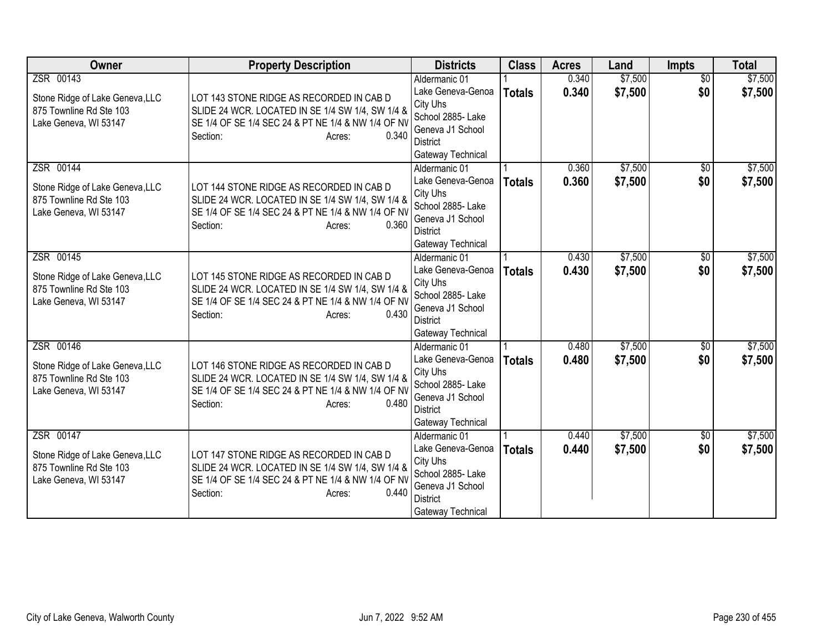| Owner                                                      | <b>Property Description</b>                        | <b>Districts</b>                   | <b>Class</b>  | <b>Acres</b> | Land    | Impts           | <b>Total</b> |
|------------------------------------------------------------|----------------------------------------------------|------------------------------------|---------------|--------------|---------|-----------------|--------------|
| ZSR 00143                                                  |                                                    | Aldermanic 01                      |               | 0.340        | \$7,500 | $\overline{50}$ | \$7,500      |
| Stone Ridge of Lake Geneva, LLC                            | LOT 143 STONE RIDGE AS RECORDED IN CAB D           | Lake Geneva-Genoa                  | <b>Totals</b> | 0.340        | \$7,500 | \$0             | \$7,500      |
| 875 Townline Rd Ste 103                                    | SLIDE 24 WCR. LOCATED IN SE 1/4 SW 1/4, SW 1/4 &   | City Uhs                           |               |              |         |                 |              |
| Lake Geneva, WI 53147                                      | SE 1/4 OF SE 1/4 SEC 24 & PT NE 1/4 & NW 1/4 OF NV | School 2885- Lake                  |               |              |         |                 |              |
|                                                            | Section:<br>0.340<br>Acres:                        | Geneva J1 School                   |               |              |         |                 |              |
|                                                            |                                                    | District                           |               |              |         |                 |              |
| ZSR 00144                                                  |                                                    | Gateway Technical<br>Aldermanic 01 |               | 0.360        | \$7,500 | $\overline{30}$ | \$7,500      |
|                                                            |                                                    | Lake Geneva-Genoa                  |               | 0.360        | \$7,500 | \$0             | \$7,500      |
| Stone Ridge of Lake Geneva, LLC                            | LOT 144 STONE RIDGE AS RECORDED IN CAB D           | City Uhs                           | <b>Totals</b> |              |         |                 |              |
| 875 Townline Rd Ste 103                                    | SLIDE 24 WCR. LOCATED IN SE 1/4 SW 1/4, SW 1/4 &   | School 2885- Lake                  |               |              |         |                 |              |
| Lake Geneva, WI 53147                                      | SE 1/4 OF SE 1/4 SEC 24 & PT NE 1/4 & NW 1/4 OF NV | Geneva J1 School                   |               |              |         |                 |              |
|                                                            | 0.360<br>Section:<br>Acres:                        | <b>District</b>                    |               |              |         |                 |              |
|                                                            |                                                    | Gateway Technical                  |               |              |         |                 |              |
| ZSR 00145                                                  |                                                    | Aldermanic 01                      |               | 0.430        | \$7,500 | \$0             | \$7,500      |
| Stone Ridge of Lake Geneva, LLC                            | LOT 145 STONE RIDGE AS RECORDED IN CAB D           | Lake Geneva-Genoa                  | <b>Totals</b> | 0.430        | \$7,500 | \$0             | \$7,500      |
| 875 Townline Rd Ste 103                                    | SLIDE 24 WCR. LOCATED IN SE 1/4 SW 1/4, SW 1/4 &   | City Uhs                           |               |              |         |                 |              |
| Lake Geneva, WI 53147                                      | SE 1/4 OF SE 1/4 SEC 24 & PT NE 1/4 & NW 1/4 OF NV | School 2885- Lake                  |               |              |         |                 |              |
|                                                            | 0.430<br>Section:<br>Acres:                        | Geneva J1 School                   |               |              |         |                 |              |
|                                                            |                                                    | <b>District</b>                    |               |              |         |                 |              |
|                                                            |                                                    | Gateway Technical                  |               |              |         |                 |              |
| ZSR 00146                                                  |                                                    | Aldermanic 01                      |               | 0.480        | \$7,500 | $\overline{50}$ | \$7,500      |
| Stone Ridge of Lake Geneva, LLC                            | LOT 146 STONE RIDGE AS RECORDED IN CAB D           | Lake Geneva-Genoa<br>City Uhs      | <b>Totals</b> | 0.480        | \$7,500 | \$0             | \$7,500      |
| 875 Townline Rd Ste 103                                    | SLIDE 24 WCR. LOCATED IN SE 1/4 SW 1/4, SW 1/4 &   | School 2885- Lake                  |               |              |         |                 |              |
| Lake Geneva, WI 53147                                      | SE 1/4 OF SE 1/4 SEC 24 & PT NE 1/4 & NW 1/4 OF NV | Geneva J1 School                   |               |              |         |                 |              |
|                                                            | 0.480<br>Section:<br>Acres:                        | <b>District</b>                    |               |              |         |                 |              |
|                                                            |                                                    | Gateway Technical                  |               |              |         |                 |              |
| ZSR 00147                                                  |                                                    | Aldermanic 01                      |               | 0.440        | \$7,500 | $\overline{50}$ | \$7,500      |
|                                                            | LOT 147 STONE RIDGE AS RECORDED IN CAB D           | Lake Geneva-Genoa                  | <b>Totals</b> | 0.440        | \$7,500 | \$0             | \$7,500      |
| Stone Ridge of Lake Geneva, LLC<br>875 Townline Rd Ste 103 | SLIDE 24 WCR. LOCATED IN SE 1/4 SW 1/4, SW 1/4 &   | City Uhs                           |               |              |         |                 |              |
| Lake Geneva, WI 53147                                      | SE 1/4 OF SE 1/4 SEC 24 & PT NE 1/4 & NW 1/4 OF NV | School 2885- Lake                  |               |              |         |                 |              |
|                                                            | 0.440<br>Section:<br>Acres:                        | Geneva J1 School                   |               |              |         |                 |              |
|                                                            |                                                    | <b>District</b>                    |               |              |         |                 |              |
|                                                            |                                                    | Gateway Technical                  |               |              |         |                 |              |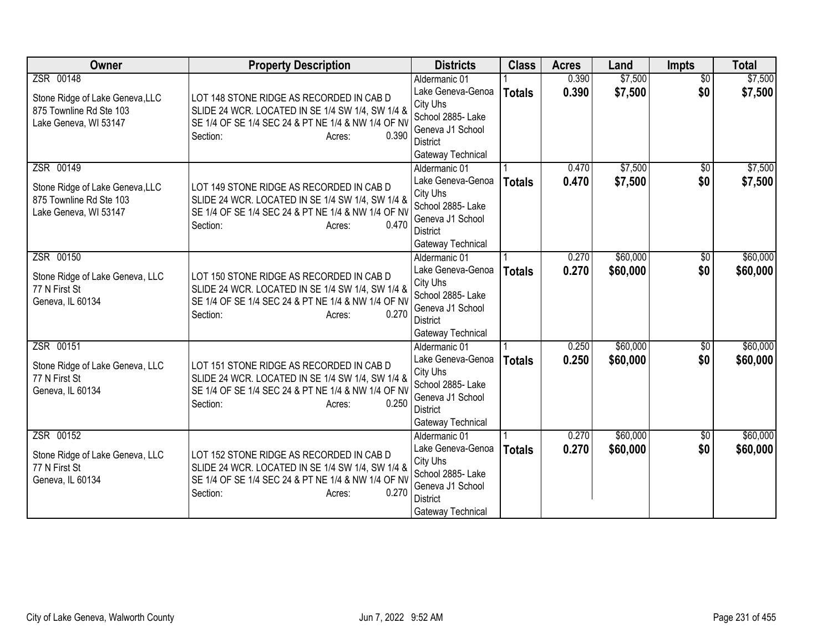| <b>Owner</b>                                               | <b>Property Description</b>                                                                            | <b>Districts</b>                      | <b>Class</b>  | <b>Acres</b> | Land     | Impts           | <b>Total</b> |
|------------------------------------------------------------|--------------------------------------------------------------------------------------------------------|---------------------------------------|---------------|--------------|----------|-----------------|--------------|
| ZSR 00148                                                  |                                                                                                        | Aldermanic 01                         |               | 0.390        | \$7,500  | $\overline{50}$ | \$7,500      |
| Stone Ridge of Lake Geneva, LLC                            | LOT 148 STONE RIDGE AS RECORDED IN CAB D                                                               | Lake Geneva-Genoa                     | <b>Totals</b> | 0.390        | \$7,500  | \$0             | \$7,500      |
| 875 Townline Rd Ste 103                                    | SLIDE 24 WCR. LOCATED IN SE 1/4 SW 1/4, SW 1/4 &                                                       | City Uhs                              |               |              |          |                 |              |
| Lake Geneva, WI 53147                                      | SE 1/4 OF SE 1/4 SEC 24 & PT NE 1/4 & NW 1/4 OF NV                                                     | School 2885- Lake<br>Geneva J1 School |               |              |          |                 |              |
|                                                            | Section:<br>0.390<br>Acres:                                                                            | District                              |               |              |          |                 |              |
|                                                            |                                                                                                        | Gateway Technical                     |               |              |          |                 |              |
| ZSR 00149                                                  |                                                                                                        | Aldermanic 01                         |               | 0.470        | \$7,500  | \$0             | \$7,500      |
|                                                            |                                                                                                        | Lake Geneva-Genoa                     | <b>Totals</b> | 0.470        | \$7,500  | \$0             | \$7,500      |
| Stone Ridge of Lake Geneva, LLC<br>875 Townline Rd Ste 103 | LOT 149 STONE RIDGE AS RECORDED IN CAB D                                                               | City Uhs                              |               |              |          |                 |              |
| Lake Geneva, WI 53147                                      | SLIDE 24 WCR. LOCATED IN SE 1/4 SW 1/4, SW 1/4 &<br>SE 1/4 OF SE 1/4 SEC 24 & PT NE 1/4 & NW 1/4 OF NV | School 2885- Lake                     |               |              |          |                 |              |
|                                                            | Section:<br>0.470<br>Acres:                                                                            | Geneva J1 School                      |               |              |          |                 |              |
|                                                            |                                                                                                        | <b>District</b>                       |               |              |          |                 |              |
|                                                            |                                                                                                        | Gateway Technical                     |               |              |          |                 |              |
| ZSR 00150                                                  |                                                                                                        | Aldermanic 01                         |               | 0.270        | \$60,000 | \$0             | \$60,000     |
| Stone Ridge of Lake Geneva, LLC                            | LOT 150 STONE RIDGE AS RECORDED IN CAB D                                                               | Lake Geneva-Genoa                     | <b>Totals</b> | 0.270        | \$60,000 | \$0             | \$60,000     |
| 77 N First St                                              | SLIDE 24 WCR. LOCATED IN SE 1/4 SW 1/4, SW 1/4 &                                                       | City Uhs<br>School 2885- Lake         |               |              |          |                 |              |
| Geneva, IL 60134                                           | SE 1/4 OF SE 1/4 SEC 24 & PT NE 1/4 & NW 1/4 OF NV                                                     | Geneva J1 School                      |               |              |          |                 |              |
|                                                            | 0.270<br>Section:<br>Acres:                                                                            | <b>District</b>                       |               |              |          |                 |              |
|                                                            |                                                                                                        | Gateway Technical                     |               |              |          |                 |              |
| ZSR 00151                                                  |                                                                                                        | Aldermanic 01                         |               | 0.250        | \$60,000 | $\overline{60}$ | \$60,000     |
| Stone Ridge of Lake Geneva, LLC                            | LOT 151 STONE RIDGE AS RECORDED IN CAB D                                                               | Lake Geneva-Genoa                     | <b>Totals</b> | 0.250        | \$60,000 | \$0             | \$60,000     |
| 77 N First St                                              | SLIDE 24 WCR. LOCATED IN SE 1/4 SW 1/4, SW 1/4 &                                                       | City Uhs                              |               |              |          |                 |              |
| Geneva, IL 60134                                           | SE 1/4 OF SE 1/4 SEC 24 & PT NE 1/4 & NW 1/4 OF NV                                                     | School 2885- Lake                     |               |              |          |                 |              |
|                                                            | 0.250<br>Section:<br>Acres:                                                                            | Geneva J1 School                      |               |              |          |                 |              |
|                                                            |                                                                                                        | <b>District</b>                       |               |              |          |                 |              |
| ZSR 00152                                                  |                                                                                                        | Gateway Technical<br>Aldermanic 01    |               | 0.270        | \$60,000 | $\sqrt{6}$      | \$60,000     |
|                                                            |                                                                                                        | Lake Geneva-Genoa                     | <b>Totals</b> | 0.270        | \$60,000 | \$0             | \$60,000     |
| Stone Ridge of Lake Geneva, LLC                            | LOT 152 STONE RIDGE AS RECORDED IN CAB D                                                               | City Uhs                              |               |              |          |                 |              |
| 77 N First St                                              | SLIDE 24 WCR. LOCATED IN SE 1/4 SW 1/4, SW 1/4 &                                                       | School 2885- Lake                     |               |              |          |                 |              |
| Geneva, IL 60134                                           | SE 1/4 OF SE 1/4 SEC 24 & PT NE 1/4 & NW 1/4 OF NV                                                     | Geneva J1 School                      |               |              |          |                 |              |
|                                                            | 0.270<br>Section:<br>Acres:                                                                            | <b>District</b>                       |               |              |          |                 |              |
|                                                            |                                                                                                        | Gateway Technical                     |               |              |          |                 |              |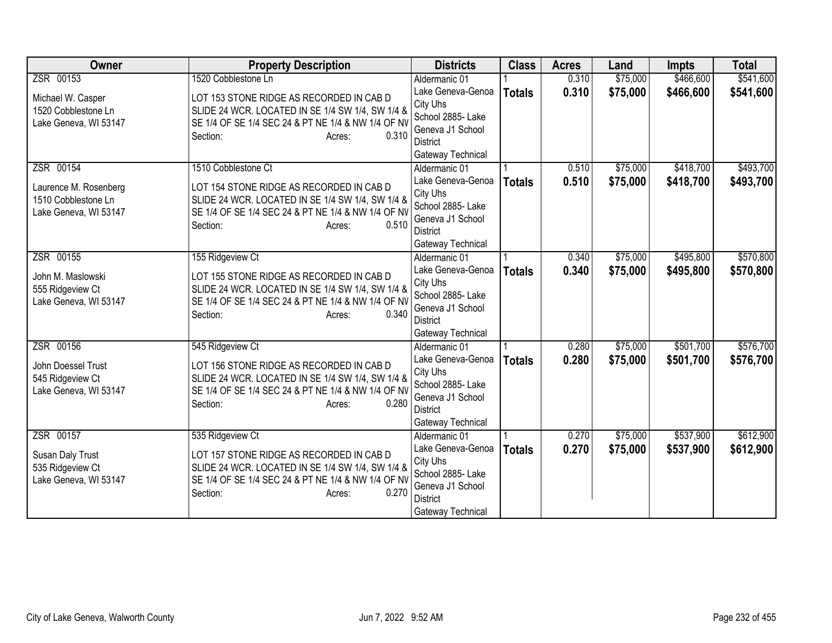| <b>Owner</b>                                                                       | <b>Property Description</b>                                                                                                                                                                              | <b>Districts</b>                                                                                                                | <b>Class</b>  | <b>Acres</b>   | Land                 | <b>Impts</b>           | <b>Total</b>           |
|------------------------------------------------------------------------------------|----------------------------------------------------------------------------------------------------------------------------------------------------------------------------------------------------------|---------------------------------------------------------------------------------------------------------------------------------|---------------|----------------|----------------------|------------------------|------------------------|
| ZSR 00153                                                                          | 1520 Cobblestone Ln                                                                                                                                                                                      | Aldermanic 01                                                                                                                   |               | 0.310          | \$75,000             | \$466,600              | \$541,600              |
| Michael W. Casper<br>1520 Cobblestone Ln<br>Lake Geneva, WI 53147                  | LOT 153 STONE RIDGE AS RECORDED IN CAB D<br>SLIDE 24 WCR. LOCATED IN SE 1/4 SW 1/4, SW 1/4 &<br>SE 1/4 OF SE 1/4 SEC 24 & PT NE 1/4 & NW 1/4 OF NV<br>0.310<br>Section:<br>Acres:                        | Lake Geneva-Genoa<br>City Uhs<br>School 2885- Lake<br>Geneva J1 School<br>District<br>Gateway Technical                         | <b>Totals</b> | 0.310          | \$75,000             | \$466,600              | \$541,600              |
| ZSR 00154<br>Laurence M. Rosenberg<br>1510 Cobblestone Ln<br>Lake Geneva, WI 53147 | 1510 Cobblestone Ct<br>LOT 154 STONE RIDGE AS RECORDED IN CAB D<br>SLIDE 24 WCR. LOCATED IN SE 1/4 SW 1/4, SW 1/4 &<br>SE 1/4 OF SE 1/4 SEC 24 & PT NE 1/4 & NW 1/4 OF NV<br>0.510<br>Section:<br>Acres: | Aldermanic 01<br>Lake Geneva-Genoa<br>City Uhs<br>School 2885- Lake<br>Geneva J1 School<br><b>District</b><br>Gateway Technical | <b>Totals</b> | 0.510<br>0.510 | \$75,000<br>\$75,000 | \$418,700<br>\$418,700 | \$493,700<br>\$493,700 |
| ZSR 00155<br>John M. Maslowski<br>555 Ridgeview Ct<br>Lake Geneva, WI 53147        | 155 Ridgeview Ct<br>LOT 155 STONE RIDGE AS RECORDED IN CAB D<br>SLIDE 24 WCR. LOCATED IN SE 1/4 SW 1/4, SW 1/4 &<br>SE 1/4 OF SE 1/4 SEC 24 & PT NE 1/4 & NW 1/4 OF NV<br>0.340<br>Section:<br>Acres:    | Aldermanic 01<br>Lake Geneva-Genoa<br>City Uhs<br>School 2885- Lake<br>Geneva J1 School<br>District<br>Gateway Technical        | <b>Totals</b> | 0.340<br>0.340 | \$75,000<br>\$75,000 | \$495,800<br>\$495,800 | \$570,800<br>\$570,800 |
| ZSR 00156<br>John Doessel Trust<br>545 Ridgeview Ct<br>Lake Geneva, WI 53147       | 545 Ridgeview Ct<br>LOT 156 STONE RIDGE AS RECORDED IN CAB D<br>SLIDE 24 WCR. LOCATED IN SE 1/4 SW 1/4, SW 1/4 &<br>SE 1/4 OF SE 1/4 SEC 24 & PT NE 1/4 & NW 1/4 OF NV<br>0.280<br>Section:<br>Acres:    | Aldermanic 01<br>Lake Geneva-Genoa<br>City Uhs<br>School 2885- Lake<br>Geneva J1 School<br><b>District</b><br>Gateway Technical | <b>Totals</b> | 0.280<br>0.280 | \$75,000<br>\$75,000 | \$501,700<br>\$501,700 | \$576,700<br>\$576,700 |
| ZSR 00157<br>Susan Daly Trust<br>535 Ridgeview Ct<br>Lake Geneva, WI 53147         | 535 Ridgeview Ct<br>LOT 157 STONE RIDGE AS RECORDED IN CAB D<br>SLIDE 24 WCR. LOCATED IN SE 1/4 SW 1/4, SW 1/4 &<br>SE 1/4 OF SE 1/4 SEC 24 & PT NE 1/4 & NW 1/4 OF NV<br>0.270<br>Section:<br>Acres:    | Aldermanic 01<br>Lake Geneva-Genoa<br>City Uhs<br>School 2885- Lake<br>Geneva J1 School<br><b>District</b><br>Gateway Technical | <b>Totals</b> | 0.270<br>0.270 | \$75,000<br>\$75,000 | \$537,900<br>\$537,900 | \$612,900<br>\$612,900 |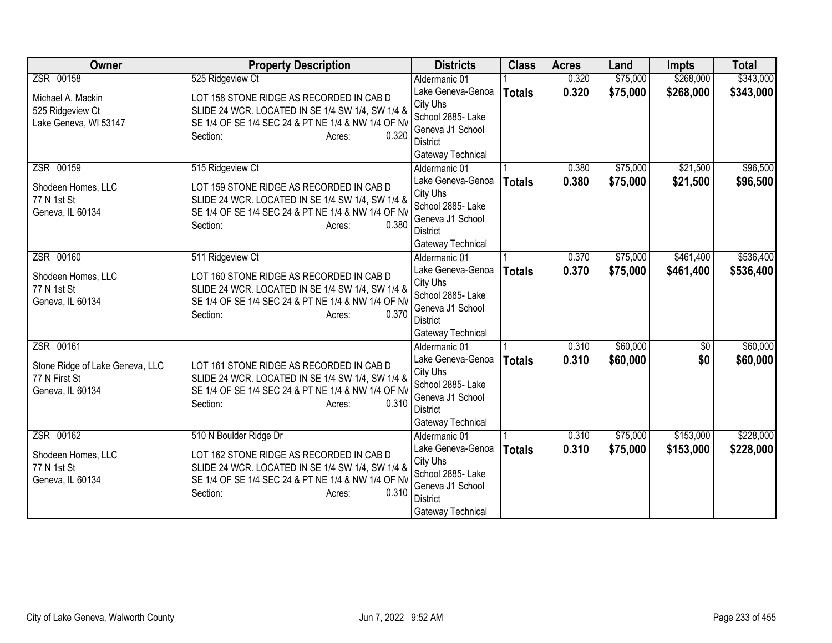| <b>Owner</b>                    | <b>Property Description</b>                                 | <b>Districts</b>              | <b>Class</b>  | <b>Acres</b> | Land     | <b>Impts</b>    | <b>Total</b> |
|---------------------------------|-------------------------------------------------------------|-------------------------------|---------------|--------------|----------|-----------------|--------------|
| ZSR 00158                       | 525 Ridgeview Ct                                            | Aldermanic 01                 |               | 0.320        | \$75,000 | \$268,000       | \$343,000    |
| Michael A. Mackin               | LOT 158 STONE RIDGE AS RECORDED IN CAB D                    | Lake Geneva-Genoa             | <b>Totals</b> | 0.320        | \$75,000 | \$268,000       | \$343,000    |
| 525 Ridgeview Ct                | SLIDE 24 WCR. LOCATED IN SE 1/4 SW 1/4, SW 1/4 &            | City Uhs                      |               |              |          |                 |              |
| Lake Geneva, WI 53147           | SE 1/4 OF SE 1/4 SEC 24 & PT NE 1/4 & NW 1/4 OF NV          | School 2885- Lake             |               |              |          |                 |              |
|                                 | 0.320<br>Section:<br>Acres:                                 | Geneva J1 School              |               |              |          |                 |              |
|                                 |                                                             | District                      |               |              |          |                 |              |
|                                 |                                                             | Gateway Technical             |               |              |          |                 |              |
| ZSR 00159                       | 515 Ridgeview Ct                                            | Aldermanic 01                 |               | 0.380        | \$75,000 | \$21,500        | \$96,500     |
| Shodeen Homes, LLC              | LOT 159 STONE RIDGE AS RECORDED IN CAB D                    | Lake Geneva-Genoa<br>City Uhs | <b>Totals</b> | 0.380        | \$75,000 | \$21,500        | \$96,500     |
| 77 N 1st St                     | SLIDE 24 WCR. LOCATED IN SE 1/4 SW 1/4, SW 1/4 &            | School 2885- Lake             |               |              |          |                 |              |
| Geneva, IL 60134                | SE 1/4 OF SE 1/4 SEC 24 & PT NE 1/4 & NW 1/4 OF NV          | Geneva J1 School              |               |              |          |                 |              |
|                                 | 0.380<br>Section:<br>Acres:                                 | <b>District</b>               |               |              |          |                 |              |
|                                 |                                                             | Gateway Technical             |               |              |          |                 |              |
| ZSR 00160                       | 511 Ridgeview Ct                                            | Aldermanic 01                 |               | 0.370        | \$75,000 | \$461,400       | \$536,400    |
|                                 |                                                             | Lake Geneva-Genoa             | <b>Totals</b> | 0.370        | \$75,000 | \$461,400       | \$536,400    |
| Shodeen Homes, LLC              | LOT 160 STONE RIDGE AS RECORDED IN CAB D                    | City Uhs                      |               |              |          |                 |              |
| 77 N 1st St                     | SLIDE 24 WCR. LOCATED IN SE 1/4 SW 1/4, SW 1/4 &            | School 2885- Lake             |               |              |          |                 |              |
| Geneva, IL 60134                | SE 1/4 OF SE 1/4 SEC 24 & PT NE 1/4 & NW 1/4 OF NV<br>0.370 | Geneva J1 School              |               |              |          |                 |              |
|                                 | Section:<br>Acres:                                          | District                      |               |              |          |                 |              |
|                                 |                                                             | Gateway Technical             |               |              |          |                 |              |
| ZSR 00161                       |                                                             | Aldermanic 01                 |               | 0.310        | \$60,000 | $\overline{50}$ | \$60,000     |
| Stone Ridge of Lake Geneva, LLC | LOT 161 STONE RIDGE AS RECORDED IN CAB D                    | Lake Geneva-Genoa             | <b>Totals</b> | 0.310        | \$60,000 | \$0             | \$60,000     |
| 77 N First St                   | SLIDE 24 WCR. LOCATED IN SE 1/4 SW 1/4, SW 1/4 &            | City Uhs                      |               |              |          |                 |              |
| Geneva, IL 60134                | SE 1/4 OF SE 1/4 SEC 24 & PT NE 1/4 & NW 1/4 OF NV          | School 2885- Lake             |               |              |          |                 |              |
|                                 | 0.310<br>Section:<br>Acres:                                 | Geneva J1 School              |               |              |          |                 |              |
|                                 |                                                             | <b>District</b>               |               |              |          |                 |              |
| ZSR 00162                       |                                                             | Gateway Technical             |               | 0.310        | \$75,000 | \$153,000       | \$228,000    |
|                                 | 510 N Boulder Ridge Dr                                      | Aldermanic 01                 |               |              |          |                 |              |
| Shodeen Homes, LLC              | LOT 162 STONE RIDGE AS RECORDED IN CAB D                    | Lake Geneva-Genoa<br>City Uhs | <b>Totals</b> | 0.310        | \$75,000 | \$153,000       | \$228,000    |
| 77 N 1st St                     | SLIDE 24 WCR. LOCATED IN SE 1/4 SW 1/4, SW 1/4 &            | School 2885- Lake             |               |              |          |                 |              |
| Geneva, IL 60134                | SE 1/4 OF SE 1/4 SEC 24 & PT NE 1/4 & NW 1/4 OF NV          | Geneva J1 School              |               |              |          |                 |              |
|                                 | 0.310<br>Section:<br>Acres:                                 | <b>District</b>               |               |              |          |                 |              |
|                                 |                                                             | Gateway Technical             |               |              |          |                 |              |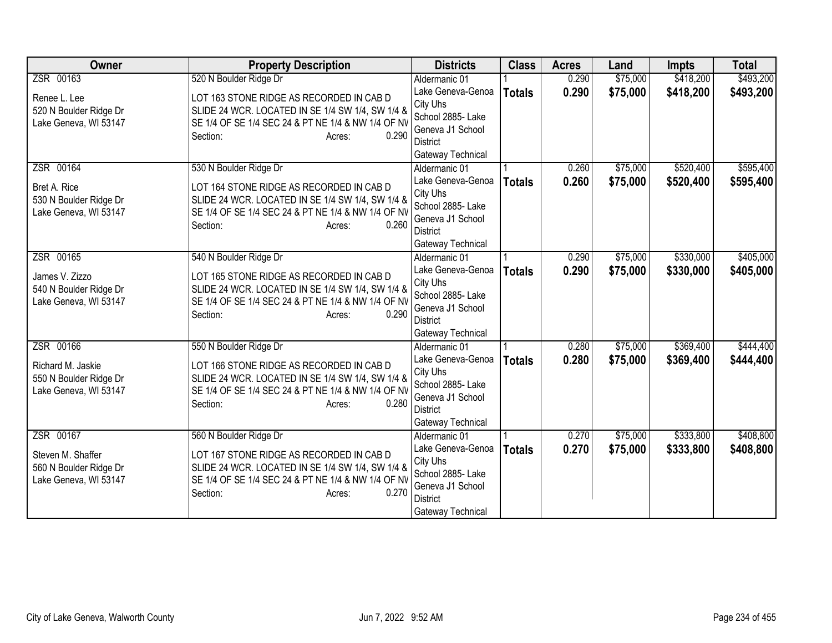| <b>Owner</b>                                                                      | <b>Property Description</b>                                                                                                                                                                                 | <b>Districts</b>                                                                                                                | <b>Class</b>  | <b>Acres</b>   | Land                 | <b>Impts</b>           | <b>Total</b>           |
|-----------------------------------------------------------------------------------|-------------------------------------------------------------------------------------------------------------------------------------------------------------------------------------------------------------|---------------------------------------------------------------------------------------------------------------------------------|---------------|----------------|----------------------|------------------------|------------------------|
| ZSR 00163                                                                         | 520 N Boulder Ridge Dr                                                                                                                                                                                      | Aldermanic 01                                                                                                                   |               | 0.290          | \$75,000             | \$418,200              | \$493,200              |
| Renee L. Lee<br>520 N Boulder Ridge Dr<br>Lake Geneva, WI 53147                   | LOT 163 STONE RIDGE AS RECORDED IN CAB D<br>SLIDE 24 WCR. LOCATED IN SE 1/4 SW 1/4, SW 1/4 &<br>SE 1/4 OF SE 1/4 SEC 24 & PT NE 1/4 & NW 1/4 OF NV<br>0.290<br>Section:<br>Acres:                           | Lake Geneva-Genoa<br>City Uhs<br>School 2885- Lake<br>Geneva J1 School<br><b>District</b><br>Gateway Technical                  | <b>Totals</b> | 0.290          | \$75,000             | \$418,200              | \$493,200              |
| ZSR 00164<br>Bret A. Rice<br>530 N Boulder Ridge Dr<br>Lake Geneva, WI 53147      | 530 N Boulder Ridge Dr<br>LOT 164 STONE RIDGE AS RECORDED IN CAB D<br>SLIDE 24 WCR. LOCATED IN SE 1/4 SW 1/4, SW 1/4 &<br>SE 1/4 OF SE 1/4 SEC 24 & PT NE 1/4 & NW 1/4 OF NV<br>0.260<br>Section:<br>Acres: | Aldermanic 01<br>Lake Geneva-Genoa<br>City Uhs<br>School 2885- Lake<br>Geneva J1 School<br><b>District</b><br>Gateway Technical | <b>Totals</b> | 0.260<br>0.260 | \$75,000<br>\$75,000 | \$520,400<br>\$520,400 | \$595,400<br>\$595,400 |
| ZSR 00165<br>James V. Zizzo<br>540 N Boulder Ridge Dr<br>Lake Geneva, WI 53147    | 540 N Boulder Ridge Dr<br>LOT 165 STONE RIDGE AS RECORDED IN CAB D<br>SLIDE 24 WCR. LOCATED IN SE 1/4 SW 1/4, SW 1/4 &<br>SE 1/4 OF SE 1/4 SEC 24 & PT NE 1/4 & NW 1/4 OF NV<br>0.290<br>Section:<br>Acres: | Aldermanic 01<br>Lake Geneva-Genoa<br>City Uhs<br>School 2885- Lake<br>Geneva J1 School<br>District<br>Gateway Technical        | <b>Totals</b> | 0.290<br>0.290 | \$75,000<br>\$75,000 | \$330,000<br>\$330,000 | \$405,000<br>\$405,000 |
| ZSR 00166<br>Richard M. Jaskie<br>550 N Boulder Ridge Dr<br>Lake Geneva, WI 53147 | 550 N Boulder Ridge Dr<br>LOT 166 STONE RIDGE AS RECORDED IN CAB D<br>SLIDE 24 WCR. LOCATED IN SE 1/4 SW 1/4, SW 1/4 &<br>SE 1/4 OF SE 1/4 SEC 24 & PT NE 1/4 & NW 1/4 OF NV<br>0.280<br>Section:<br>Acres: | Aldermanic 01<br>Lake Geneva-Genoa<br>City Uhs<br>School 2885- Lake<br>Geneva J1 School<br><b>District</b><br>Gateway Technical | <b>Totals</b> | 0.280<br>0.280 | \$75,000<br>\$75,000 | \$369,400<br>\$369,400 | \$444,400<br>\$444,400 |
| ZSR 00167<br>Steven M. Shaffer<br>560 N Boulder Ridge Dr<br>Lake Geneva, WI 53147 | 560 N Boulder Ridge Dr<br>LOT 167 STONE RIDGE AS RECORDED IN CAB D<br>SLIDE 24 WCR. LOCATED IN SE 1/4 SW 1/4, SW 1/4 &<br>SE 1/4 OF SE 1/4 SEC 24 & PT NE 1/4 & NW 1/4 OF NV<br>0.270<br>Section:<br>Acres: | Aldermanic 01<br>Lake Geneva-Genoa<br>City Uhs<br>School 2885- Lake<br>Geneva J1 School<br><b>District</b><br>Gateway Technical | <b>Totals</b> | 0.270<br>0.270 | \$75,000<br>\$75,000 | \$333,800<br>\$333,800 | \$408,800<br>\$408,800 |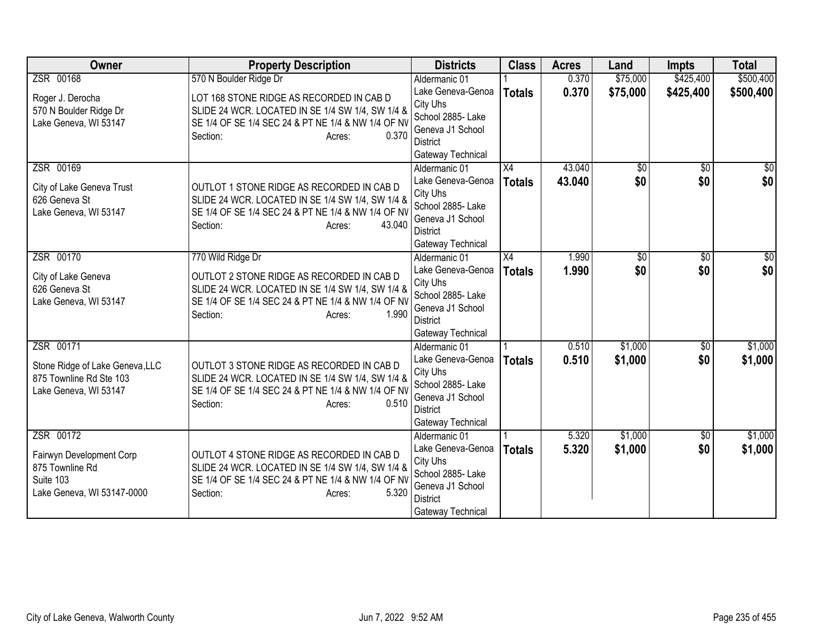| Owner                                                                                               | <b>Property Description</b>                                                                                                                                                                             | <b>Districts</b>                                                                                                                | <b>Class</b>                     | <b>Acres</b>     | Land                   | <b>Impts</b>           | <b>Total</b>           |
|-----------------------------------------------------------------------------------------------------|---------------------------------------------------------------------------------------------------------------------------------------------------------------------------------------------------------|---------------------------------------------------------------------------------------------------------------------------------|----------------------------------|------------------|------------------------|------------------------|------------------------|
| ZSR 00168                                                                                           | 570 N Boulder Ridge Dr                                                                                                                                                                                  | Aldermanic 01                                                                                                                   |                                  | 0.370            | \$75,000               | \$425,400              | \$500,400              |
| Roger J. Derocha<br>570 N Boulder Ridge Dr<br>Lake Geneva, WI 53147                                 | LOT 168 STONE RIDGE AS RECORDED IN CAB D<br>SLIDE 24 WCR. LOCATED IN SE 1/4 SW 1/4, SW 1/4 &<br>SE 1/4 OF SE 1/4 SEC 24 & PT NE 1/4 & NW 1/4 OF NV<br>Section:<br>0.370<br>Acres:                       | Lake Geneva-Genoa<br>City Uhs<br>School 2885- Lake<br>Geneva J1 School<br><b>District</b><br>Gateway Technical                  | <b>Totals</b>                    | 0.370            | \$75,000               | \$425,400              | \$500,400              |
| ZSR 00169<br>City of Lake Geneva Trust<br>626 Geneva St<br>Lake Geneva, WI 53147                    | OUTLOT 1 STONE RIDGE AS RECORDED IN CAB D<br>SLIDE 24 WCR. LOCATED IN SE 1/4 SW 1/4, SW 1/4 &<br>SE 1/4 OF SE 1/4 SEC 24 & PT NE 1/4 & NW 1/4 OF NV<br>Section:<br>43.040<br>Acres:                     | Aldermanic 01<br>Lake Geneva-Genoa<br>City Uhs<br>School 2885- Lake<br>Geneva J1 School<br><b>District</b><br>Gateway Technical | $\overline{X4}$<br><b>Totals</b> | 43.040<br>43.040 | $\overline{50}$<br>\$0 | $\overline{50}$<br>\$0 | $\overline{30}$<br>\$0 |
| ZSR 00170<br>City of Lake Geneva<br>626 Geneva St<br>Lake Geneva, WI 53147                          | 770 Wild Ridge Dr<br>OUTLOT 2 STONE RIDGE AS RECORDED IN CAB D<br>SLIDE 24 WCR. LOCATED IN SE 1/4 SW 1/4, SW 1/4 &<br>SE 1/4 OF SE 1/4 SEC 24 & PT NE 1/4 & NW 1/4 OF NV<br>1.990<br>Section:<br>Acres: | Aldermanic 01<br>Lake Geneva-Genoa<br>City Uhs<br>School 2885- Lake<br>Geneva J1 School<br><b>District</b><br>Gateway Technical | $\overline{X4}$<br><b>Totals</b> | 1.990<br>1.990   | $\overline{50}$<br>\$0 | \$0<br>\$0             | \$0<br>\$0             |
| ZSR 00171<br>Stone Ridge of Lake Geneva, LLC<br>875 Townline Rd Ste 103<br>Lake Geneva, WI 53147    | OUTLOT 3 STONE RIDGE AS RECORDED IN CAB D<br>SLIDE 24 WCR. LOCATED IN SE 1/4 SW 1/4, SW 1/4 &<br>SE 1/4 OF SE 1/4 SEC 24 & PT NE 1/4 & NW 1/4 OF NV<br>Section:<br>0.510<br>Acres:                      | Aldermanic 01<br>Lake Geneva-Genoa<br>City Uhs<br>School 2885- Lake<br>Geneva J1 School<br><b>District</b><br>Gateway Technical | <b>Totals</b>                    | 0.510<br>0.510   | \$1,000<br>\$1,000     | $\overline{50}$<br>\$0 | \$1,000<br>\$1,000     |
| ZSR 00172<br>Fairwyn Development Corp<br>875 Townline Rd<br>Suite 103<br>Lake Geneva, WI 53147-0000 | OUTLOT 4 STONE RIDGE AS RECORDED IN CAB D<br>SLIDE 24 WCR. LOCATED IN SE 1/4 SW 1/4, SW 1/4 &<br>SE 1/4 OF SE 1/4 SEC 24 & PT NE 1/4 & NW 1/4 OF NV<br>Section:<br>5.320<br>Acres:                      | Aldermanic 01<br>Lake Geneva-Genoa<br>City Uhs<br>School 2885- Lake<br>Geneva J1 School<br><b>District</b><br>Gateway Technical | <b>Totals</b>                    | 5.320<br>5.320   | \$1,000<br>\$1,000     | $\overline{50}$<br>\$0 | \$1,000<br>\$1,000     |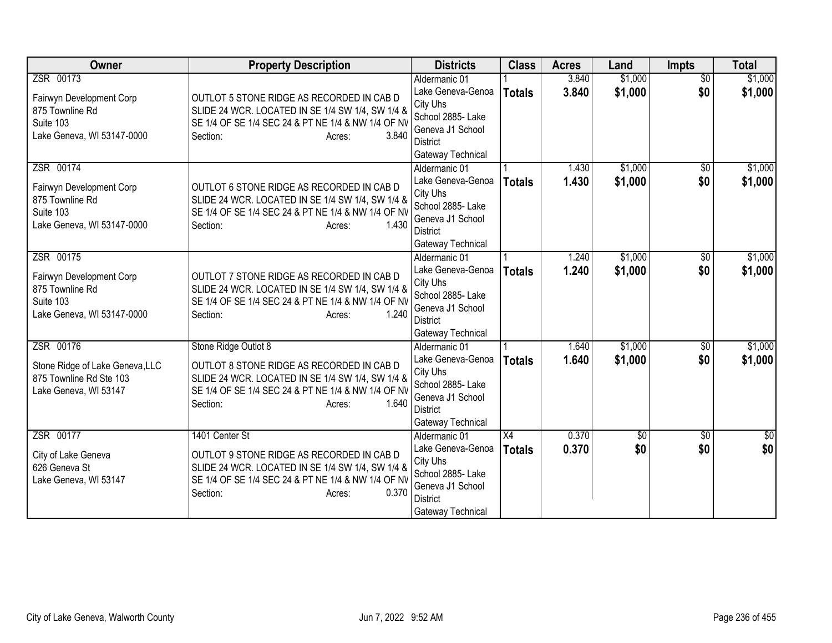| <b>Owner</b>                                                                                        | <b>Property Description</b>                                                                                                                                                                                | <b>Districts</b>                                                                                                                                     | <b>Class</b>                     | <b>Acres</b>   | Land                   | <b>Impts</b>           | <b>Total</b>       |
|-----------------------------------------------------------------------------------------------------|------------------------------------------------------------------------------------------------------------------------------------------------------------------------------------------------------------|------------------------------------------------------------------------------------------------------------------------------------------------------|----------------------------------|----------------|------------------------|------------------------|--------------------|
| ZSR 00173<br>Fairwyn Development Corp<br>875 Townline Rd<br>Suite 103<br>Lake Geneva, WI 53147-0000 | OUTLOT 5 STONE RIDGE AS RECORDED IN CAB D<br>SLIDE 24 WCR. LOCATED IN SE 1/4 SW 1/4, SW 1/4 &<br>SE 1/4 OF SE 1/4 SEC 24 & PT NE 1/4 & NW 1/4 OF NV<br>3.840<br>Section:<br>Acres:                         | Aldermanic 01<br>Lake Geneva-Genoa<br>City Uhs<br>School 2885- Lake<br>Geneva J1 School<br><b>District</b>                                           | <b>Totals</b>                    | 3.840<br>3.840 | \$1,000<br>\$1,000     | $\overline{50}$<br>\$0 | \$1,000<br>\$1,000 |
| ZSR 00174<br>Fairwyn Development Corp<br>875 Townline Rd<br>Suite 103<br>Lake Geneva, WI 53147-0000 | OUTLOT 6 STONE RIDGE AS RECORDED IN CAB D<br>SLIDE 24 WCR. LOCATED IN SE 1/4 SW 1/4, SW 1/4 &<br>SE 1/4 OF SE 1/4 SEC 24 & PT NE 1/4 & NW 1/4 OF NV<br>Section:<br>1.430<br>Acres:                         | Gateway Technical<br>Aldermanic 01<br>Lake Geneva-Genoa<br>City Uhs<br>School 2885- Lake<br>Geneva J1 School<br><b>District</b><br>Gateway Technical | <b>Totals</b>                    | 1.430<br>1.430 | \$1,000<br>\$1,000     | \$0<br>\$0             | \$1,000<br>\$1,000 |
| ZSR 00175<br>Fairwyn Development Corp<br>875 Townline Rd<br>Suite 103<br>Lake Geneva, WI 53147-0000 | OUTLOT 7 STONE RIDGE AS RECORDED IN CAB D<br>SLIDE 24 WCR. LOCATED IN SE 1/4 SW 1/4, SW 1/4 &<br>SE 1/4 OF SE 1/4 SEC 24 & PT NE 1/4 & NW 1/4 OF NV<br>1.240<br>Section:<br>Acres:                         | Aldermanic 01<br>Lake Geneva-Genoa<br>City Uhs<br>School 2885- Lake<br>Geneva J1 School<br><b>District</b><br>Gateway Technical                      | <b>Totals</b>                    | 1.240<br>1.240 | \$1,000<br>\$1,000     | \$0<br>\$0             | \$1,000<br>\$1,000 |
| ZSR 00176<br>Stone Ridge of Lake Geneva, LLC<br>875 Townline Rd Ste 103<br>Lake Geneva, WI 53147    | Stone Ridge Outlot 8<br>OUTLOT 8 STONE RIDGE AS RECORDED IN CAB D<br>SLIDE 24 WCR. LOCATED IN SE 1/4 SW 1/4, SW 1/4 &<br>SE 1/4 OF SE 1/4 SEC 24 & PT NE 1/4 & NW 1/4 OF NV<br>1.640<br>Section:<br>Acres: | Aldermanic 01<br>Lake Geneva-Genoa<br>City Uhs<br>School 2885- Lake<br>Geneva J1 School<br><b>District</b><br>Gateway Technical                      | <b>Totals</b>                    | 1.640<br>1.640 | \$1,000<br>\$1,000     | $\overline{50}$<br>\$0 | \$1,000<br>\$1,000 |
| ZSR 00177<br>City of Lake Geneva<br>626 Geneva St<br>Lake Geneva, WI 53147                          | 1401 Center St<br>OUTLOT 9 STONE RIDGE AS RECORDED IN CAB D<br>SLIDE 24 WCR. LOCATED IN SE 1/4 SW 1/4, SW 1/4 &<br>SE 1/4 OF SE 1/4 SEC 24 & PT NE 1/4 & NW 1/4 OF NV<br>0.370<br>Section:<br>Acres:       | Aldermanic 01<br>Lake Geneva-Genoa<br>City Uhs<br>School 2885- Lake<br>Geneva J1 School<br><b>District</b><br>Gateway Technical                      | $\overline{X4}$<br><b>Totals</b> | 0.370<br>0.370 | $\overline{30}$<br>\$0 | $\overline{50}$<br>\$0 | $\sqrt{30}$<br>\$0 |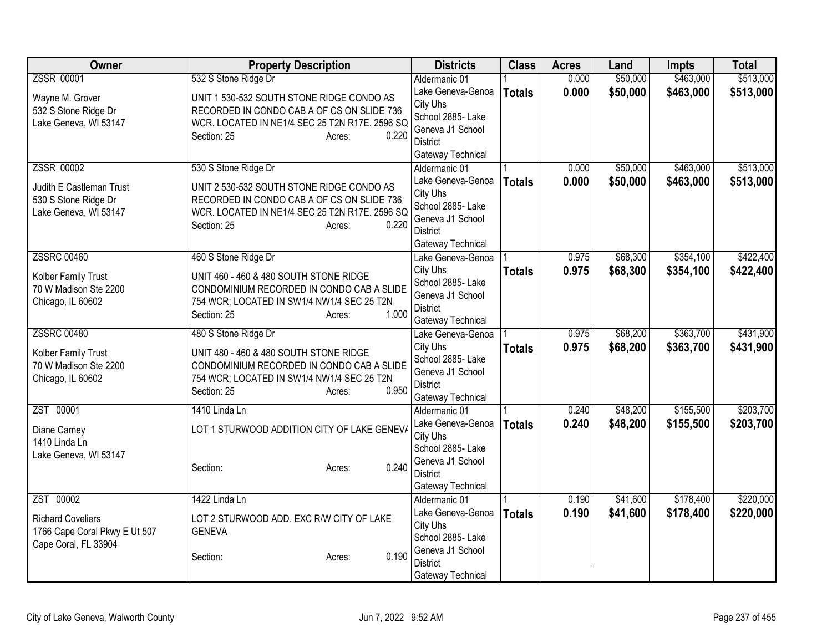| <b>Owner</b>                                                                      | <b>Property Description</b>                                                                                                                                                 | <b>Districts</b>                                                                                               | <b>Class</b>  | <b>Acres</b> | Land     | <b>Impts</b> | <b>Total</b> |
|-----------------------------------------------------------------------------------|-----------------------------------------------------------------------------------------------------------------------------------------------------------------------------|----------------------------------------------------------------------------------------------------------------|---------------|--------------|----------|--------------|--------------|
| <b>ZSSR 00001</b>                                                                 | 532 S Stone Ridge Dr                                                                                                                                                        | Aldermanic 01                                                                                                  |               | 0.000        | \$50,000 | \$463,000    | \$513,000    |
| Wayne M. Grover<br>532 S Stone Ridge Dr<br>Lake Geneva, WI 53147                  | UNIT 1 530-532 SOUTH STONE RIDGE CONDO AS<br>RECORDED IN CONDO CAB A OF CS ON SLIDE 736<br>WCR. LOCATED IN NE1/4 SEC 25 T2N R17E. 2596 SQ<br>0.220<br>Section: 25<br>Acres: | Lake Geneva-Genoa<br>City Uhs<br>School 2885- Lake<br>Geneva J1 School<br><b>District</b><br>Gateway Technical | <b>Totals</b> | 0.000        | \$50,000 | \$463,000    | \$513,000    |
| ZSSR 00002                                                                        | 530 S Stone Ridge Dr                                                                                                                                                        | Aldermanic 01                                                                                                  |               | 0.000        | \$50,000 | \$463,000    | \$513,000    |
| Judith E Castleman Trust<br>530 S Stone Ridge Dr<br>Lake Geneva, WI 53147         | UNIT 2 530-532 SOUTH STONE RIDGE CONDO AS<br>RECORDED IN CONDO CAB A OF CS ON SLIDE 736<br>WCR. LOCATED IN NE1/4 SEC 25 T2N R17E. 2596 SQ<br>0.220<br>Section: 25<br>Acres: | Lake Geneva-Genoa<br>City Uhs<br>School 2885- Lake<br>Geneva J1 School<br><b>District</b><br>Gateway Technical | <b>Totals</b> | 0.000        | \$50,000 | \$463,000    | \$513,000    |
| <b>ZSSRC 00460</b>                                                                | 460 S Stone Ridge Dr                                                                                                                                                        | Lake Geneva-Genoa                                                                                              |               | 0.975        | \$68,300 | \$354,100    | \$422,400    |
| Kolber Family Trust<br>70 W Madison Ste 2200<br>Chicago, IL 60602                 | UNIT 460 - 460 & 480 SOUTH STONE RIDGE<br>CONDOMINIUM RECORDED IN CONDO CAB A SLIDE<br>754 WCR; LOCATED IN SW1/4 NW1/4 SEC 25 T2N<br>1.000<br>Section: 25<br>Acres:         | City Uhs<br>School 2885- Lake<br>Geneva J1 School<br><b>District</b><br>Gateway Technical                      | <b>Totals</b> | 0.975        | \$68,300 | \$354,100    | \$422,400    |
| <b>ZSSRC 00480</b>                                                                | 480 S Stone Ridge Dr                                                                                                                                                        | Lake Geneva-Genoa                                                                                              |               | 0.975        | \$68,200 | \$363,700    | \$431,900    |
| Kolber Family Trust<br>70 W Madison Ste 2200<br>Chicago, IL 60602                 | UNIT 480 - 460 & 480 SOUTH STONE RIDGE<br>CONDOMINIUM RECORDED IN CONDO CAB A SLIDE<br>754 WCR; LOCATED IN SW1/4 NW1/4 SEC 25 T2N<br>0.950<br>Section: 25<br>Acres:         | City Uhs<br>School 2885- Lake<br>Geneva J1 School<br><b>District</b><br>Gateway Technical                      | <b>Totals</b> | 0.975        | \$68,200 | \$363,700    | \$431,900    |
| ZST 00001                                                                         | 1410 Linda Ln                                                                                                                                                               | Aldermanic 01                                                                                                  |               | 0.240        | \$48,200 | \$155,500    | \$203,700    |
| Diane Carney<br>1410 Linda Ln<br>Lake Geneva, WI 53147                            | LOT 1 STURWOOD ADDITION CITY OF LAKE GENEV/<br>0.240<br>Section:<br>Acres:                                                                                                  | Lake Geneva-Genoa<br>City Uhs<br>School 2885-Lake<br>Geneva J1 School<br><b>District</b><br>Gateway Technical  | <b>Totals</b> | 0.240        | \$48,200 | \$155,500    | \$203,700    |
| ZST 00002                                                                         | 1422 Linda Ln                                                                                                                                                               | Aldermanic 01                                                                                                  |               | 0.190        | \$41,600 | \$178,400    | \$220,000    |
| <b>Richard Coveliers</b><br>1766 Cape Coral Pkwy E Ut 507<br>Cape Coral, FL 33904 | LOT 2 STURWOOD ADD. EXC R/W CITY OF LAKE<br><b>GENEVA</b><br>0.190<br>Section:<br>Acres:                                                                                    | Lake Geneva-Genoa<br>City Uhs<br>School 2885- Lake<br>Geneva J1 School<br><b>District</b>                      | <b>Totals</b> | 0.190        | \$41,600 | \$178,400    | \$220,000    |
|                                                                                   |                                                                                                                                                                             | Gateway Technical                                                                                              |               |              |          |              |              |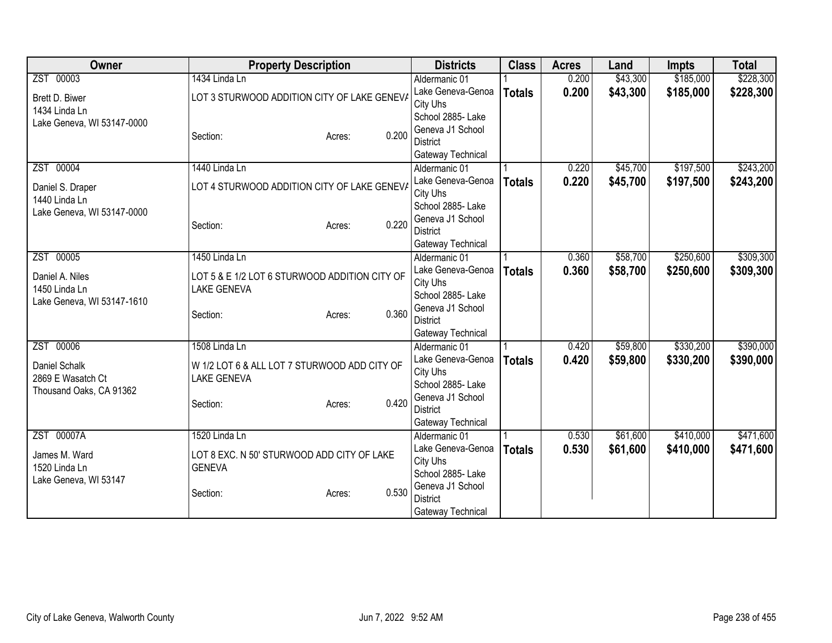| Owner                      | <b>Property Description</b>                   | <b>Districts</b>              | <b>Class</b>  | <b>Acres</b> | Land     | <b>Impts</b> | <b>Total</b> |
|----------------------------|-----------------------------------------------|-------------------------------|---------------|--------------|----------|--------------|--------------|
| ZST 00003                  | 1434 Linda Ln                                 | Aldermanic 01                 |               | 0.200        | \$43,300 | \$185,000    | \$228,300    |
| Brett D. Biwer             | LOT 3 STURWOOD ADDITION CITY OF LAKE GENEV/   | Lake Geneva-Genoa             | <b>Totals</b> | 0.200        | \$43,300 | \$185,000    | \$228,300    |
| 1434 Linda Ln              |                                               | City Uhs                      |               |              |          |              |              |
| Lake Geneva, WI 53147-0000 |                                               | School 2885- Lake             |               |              |          |              |              |
|                            | 0.200<br>Section:<br>Acres:                   | Geneva J1 School              |               |              |          |              |              |
|                            |                                               | District                      |               |              |          |              |              |
|                            |                                               | Gateway Technical             |               |              |          |              |              |
| ZST 00004                  | 1440 Linda Ln                                 | Aldermanic 01                 |               | 0.220        | \$45,700 | \$197,500    | \$243,200    |
| Daniel S. Draper           | LOT 4 STURWOOD ADDITION CITY OF LAKE GENEV/   | Lake Geneva-Genoa             | <b>Totals</b> | 0.220        | \$45,700 | \$197,500    | \$243,200    |
| 1440 Linda Ln              |                                               | City Uhs<br>School 2885- Lake |               |              |          |              |              |
| Lake Geneva, WI 53147-0000 |                                               | Geneva J1 School              |               |              |          |              |              |
|                            | 0.220<br>Section:<br>Acres:                   | <b>District</b>               |               |              |          |              |              |
|                            |                                               | Gateway Technical             |               |              |          |              |              |
| ZST 00005                  | 1450 Linda Ln                                 | Aldermanic 01                 |               | 0.360        | \$58,700 | \$250,600    | \$309,300    |
|                            |                                               | Lake Geneva-Genoa             | <b>Totals</b> | 0.360        | \$58,700 | \$250,600    | \$309,300    |
| Daniel A. Niles            | LOT 5 & E 1/2 LOT 6 STURWOOD ADDITION CITY OF | City Uhs                      |               |              |          |              |              |
| 1450 Linda Ln              | <b>LAKE GENEVA</b>                            | School 2885- Lake             |               |              |          |              |              |
| Lake Geneva, WI 53147-1610 |                                               | Geneva J1 School              |               |              |          |              |              |
|                            | 0.360<br>Section:<br>Acres:                   | <b>District</b>               |               |              |          |              |              |
|                            |                                               | Gateway Technical             |               |              |          |              |              |
| ZST 00006                  | 1508 Linda Ln                                 | Aldermanic 01                 |               | 0.420        | \$59,800 | \$330,200    | \$390,000    |
| Daniel Schalk              | W 1/2 LOT 6 & ALL LOT 7 STURWOOD ADD CITY OF  | Lake Geneva-Genoa             | <b>Totals</b> | 0.420        | \$59,800 | \$330,200    | \$390,000    |
| 2869 E Wasatch Ct          | <b>LAKE GENEVA</b>                            | City Uhs                      |               |              |          |              |              |
| Thousand Oaks, CA 91362    |                                               | School 2885- Lake             |               |              |          |              |              |
|                            | 0.420<br>Section:<br>Acres:                   | Geneva J1 School              |               |              |          |              |              |
|                            |                                               | <b>District</b>               |               |              |          |              |              |
|                            |                                               | Gateway Technical             |               |              |          |              |              |
| ZST 00007A                 | 1520 Linda Ln                                 | Aldermanic 01                 |               | 0.530        | \$61,600 | \$410,000    | \$471,600    |
| James M. Ward              | LOT 8 EXC. N 50' STURWOOD ADD CITY OF LAKE    | Lake Geneva-Genoa             | <b>Totals</b> | 0.530        | \$61,600 | \$410,000    | \$471,600    |
| 1520 Linda Ln              | <b>GENEVA</b>                                 | City Uhs                      |               |              |          |              |              |
| Lake Geneva, WI 53147      |                                               | School 2885- Lake             |               |              |          |              |              |
|                            | 0.530<br>Section:<br>Acres:                   | Geneva J1 School              |               |              |          |              |              |
|                            |                                               | <b>District</b>               |               |              |          |              |              |
|                            |                                               | Gateway Technical             |               |              |          |              |              |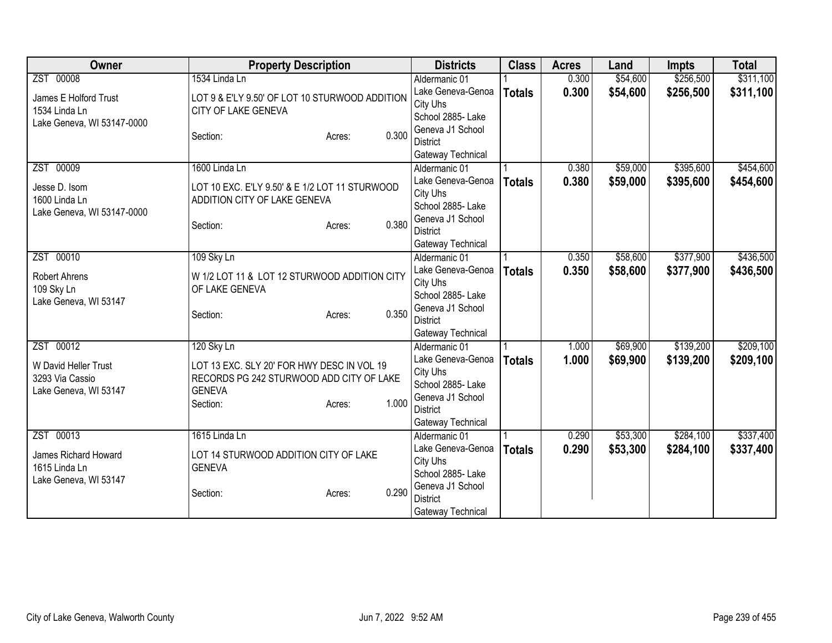| <b>Owner</b>               | <b>Property Description</b>                    | <b>Districts</b>                    | <b>Class</b>  | <b>Acres</b> | Land     | <b>Impts</b> | <b>Total</b> |
|----------------------------|------------------------------------------------|-------------------------------------|---------------|--------------|----------|--------------|--------------|
| ZST 00008                  | 1534 Linda Ln                                  | Aldermanic 01                       |               | 0.300        | \$54,600 | \$256,500    | \$311,100    |
| James E Holford Trust      | LOT 9 & E'LY 9.50' OF LOT 10 STURWOOD ADDITION | Lake Geneva-Genoa                   | <b>Totals</b> | 0.300        | \$54,600 | \$256,500    | \$311,100    |
| 1534 Linda Ln              | CITY OF LAKE GENEVA                            | City Uhs                            |               |              |          |              |              |
| Lake Geneva, WI 53147-0000 |                                                | School 2885- Lake                   |               |              |          |              |              |
|                            | 0.300<br>Section:<br>Acres:                    | Geneva J1 School                    |               |              |          |              |              |
|                            |                                                | <b>District</b>                     |               |              |          |              |              |
| ZST 00009                  | 1600 Linda Ln                                  | Gateway Technical<br>Aldermanic 01  |               | 0.380        | \$59,000 | \$395,600    | \$454,600    |
|                            |                                                | Lake Geneva-Genoa                   |               | 0.380        | \$59,000 | \$395,600    |              |
| Jesse D. Isom              | LOT 10 EXC. E'LY 9.50' & E 1/2 LOT 11 STURWOOD | City Uhs                            | <b>Totals</b> |              |          |              | \$454,600    |
| 1600 Linda Ln              | ADDITION CITY OF LAKE GENEVA                   | School 2885- Lake                   |               |              |          |              |              |
| Lake Geneva, WI 53147-0000 |                                                | Geneva J1 School                    |               |              |          |              |              |
|                            | 0.380<br>Section:<br>Acres:                    | <b>District</b>                     |               |              |          |              |              |
|                            |                                                | Gateway Technical                   |               |              |          |              |              |
| ZST 00010                  | 109 Sky Ln                                     | Aldermanic 01                       |               | 0.350        | \$58,600 | \$377,900    | \$436,500    |
|                            |                                                | Lake Geneva-Genoa                   | <b>Totals</b> | 0.350        | \$58,600 | \$377,900    | \$436,500    |
| <b>Robert Ahrens</b>       | W 1/2 LOT 11 & LOT 12 STURWOOD ADDITION CITY   | City Uhs                            |               |              |          |              |              |
| 109 Sky Ln                 | OF LAKE GENEVA                                 | School 2885- Lake                   |               |              |          |              |              |
| Lake Geneva, WI 53147      | 0.350<br>Section:<br>Acres:                    | Geneva J1 School                    |               |              |          |              |              |
|                            |                                                | <b>District</b>                     |               |              |          |              |              |
|                            |                                                | Gateway Technical                   |               |              |          |              |              |
| ZST 00012                  | 120 Sky Ln                                     | Aldermanic 01                       |               | 1.000        | \$69,900 | \$139,200    | \$209,100    |
| W David Heller Trust       | LOT 13 EXC. SLY 20' FOR HWY DESC IN VOL 19     | Lake Geneva-Genoa                   | <b>Totals</b> | 1.000        | \$69,900 | \$139,200    | \$209,100    |
| 3293 Via Cassio            | RECORDS PG 242 STURWOOD ADD CITY OF LAKE       | City Uhs                            |               |              |          |              |              |
| Lake Geneva, WI 53147      | <b>GENEVA</b>                                  | School 2885- Lake                   |               |              |          |              |              |
|                            | 1.000<br>Section:<br>Acres:                    | Geneva J1 School<br><b>District</b> |               |              |          |              |              |
|                            |                                                | Gateway Technical                   |               |              |          |              |              |
| ZST 00013                  | 1615 Linda Ln                                  | Aldermanic 01                       |               | 0.290        | \$53,300 | \$284,100    | \$337,400    |
|                            |                                                | Lake Geneva-Genoa                   |               | 0.290        | \$53,300 | \$284,100    | \$337,400    |
| James Richard Howard       | LOT 14 STURWOOD ADDITION CITY OF LAKE          | City Uhs                            | <b>Totals</b> |              |          |              |              |
| 1615 Linda Ln              | <b>GENEVA</b>                                  | School 2885- Lake                   |               |              |          |              |              |
| Lake Geneva, WI 53147      |                                                | Geneva J1 School                    |               |              |          |              |              |
|                            | 0.290<br>Section:<br>Acres:                    | <b>District</b>                     |               |              |          |              |              |
|                            |                                                | Gateway Technical                   |               |              |          |              |              |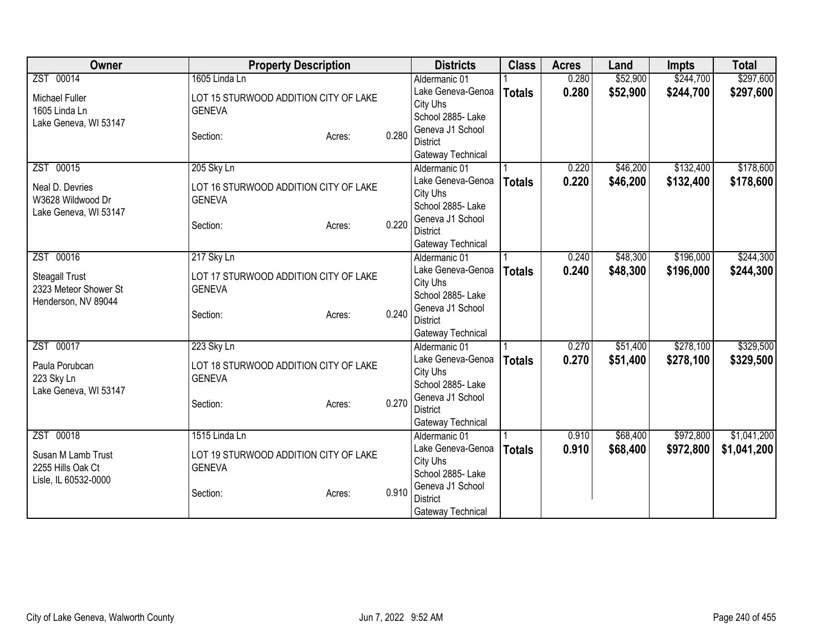| Owner                                          | <b>Property Description</b>           |       | <b>Districts</b>                     | <b>Class</b>  | <b>Acres</b> | Land     | <b>Impts</b> | <b>Total</b> |
|------------------------------------------------|---------------------------------------|-------|--------------------------------------|---------------|--------------|----------|--------------|--------------|
| ZST 00014                                      | 1605 Linda Ln                         |       | Aldermanic 01                        |               | 0.280        | \$52,900 | \$244,700    | \$297,600    |
| Michael Fuller                                 | LOT 15 STURWOOD ADDITION CITY OF LAKE |       | Lake Geneva-Genoa                    | <b>Totals</b> | 0.280        | \$52,900 | \$244,700    | \$297,600    |
| 1605 Linda Ln                                  | <b>GENEVA</b>                         |       | City Uhs                             |               |              |          |              |              |
| Lake Geneva, WI 53147                          |                                       |       | School 2885- Lake                    |               |              |          |              |              |
|                                                | Section:<br>Acres:                    | 0.280 | Geneva J1 School                     |               |              |          |              |              |
|                                                |                                       |       | <b>District</b>                      |               |              |          |              |              |
| ZST 00015                                      | 205 Sky Ln                            |       | Gateway Technical<br>Aldermanic 01   |               | 0.220        | \$46,200 | \$132,400    | \$178,600    |
|                                                |                                       |       | Lake Geneva-Genoa                    |               | 0.220        | \$46,200 |              |              |
| Neal D. Devries                                | LOT 16 STURWOOD ADDITION CITY OF LAKE |       | City Uhs                             | <b>Totals</b> |              |          | \$132,400    | \$178,600    |
| W3628 Wildwood Dr                              | <b>GENEVA</b>                         |       | School 2885- Lake                    |               |              |          |              |              |
| Lake Geneva, WI 53147                          |                                       |       | Geneva J1 School                     |               |              |          |              |              |
|                                                | Section:<br>Acres:                    | 0.220 | <b>District</b>                      |               |              |          |              |              |
|                                                |                                       |       | Gateway Technical                    |               |              |          |              |              |
| ZST 00016                                      | 217 Sky Ln                            |       | Aldermanic 01                        |               | 0.240        | \$48,300 | \$196,000    | \$244,300    |
|                                                | LOT 17 STURWOOD ADDITION CITY OF LAKE |       | Lake Geneva-Genoa                    | <b>Totals</b> | 0.240        | \$48,300 | \$196,000    | \$244,300    |
| <b>Steagall Trust</b><br>2323 Meteor Shower St | <b>GENEVA</b>                         |       | City Uhs                             |               |              |          |              |              |
| Henderson, NV 89044                            |                                       |       | School 2885- Lake                    |               |              |          |              |              |
|                                                | Section:<br>Acres:                    | 0.240 | Geneva J1 School                     |               |              |          |              |              |
|                                                |                                       |       | <b>District</b>                      |               |              |          |              |              |
|                                                |                                       |       | Gateway Technical                    |               |              |          |              |              |
| ZST 00017                                      | 223 Sky Ln                            |       | Aldermanic 01                        |               | 0.270        | \$51,400 | \$278,100    | \$329,500    |
| Paula Porubcan                                 | LOT 18 STURWOOD ADDITION CITY OF LAKE |       | Lake Geneva-Genoa                    | <b>Totals</b> | 0.270        | \$51,400 | \$278,100    | \$329,500    |
| 223 Sky Ln                                     | <b>GENEVA</b>                         |       | City Uhs                             |               |              |          |              |              |
| Lake Geneva, WI 53147                          |                                       |       | School 2885-Lake<br>Geneva J1 School |               |              |          |              |              |
|                                                | Section:<br>Acres:                    | 0.270 | <b>District</b>                      |               |              |          |              |              |
|                                                |                                       |       | Gateway Technical                    |               |              |          |              |              |
| ZST 00018                                      | 1515 Linda Ln                         |       | Aldermanic 01                        |               | 0.910        | \$68,400 | \$972,800    | \$1,041,200  |
|                                                |                                       |       | Lake Geneva-Genoa                    | <b>Totals</b> | 0.910        | \$68,400 | \$972,800    | \$1,041,200  |
| Susan M Lamb Trust                             | LOT 19 STURWOOD ADDITION CITY OF LAKE |       | City Uhs                             |               |              |          |              |              |
| 2255 Hills Oak Ct                              | <b>GENEVA</b>                         |       | School 2885-Lake                     |               |              |          |              |              |
| Lisle, IL 60532-0000                           |                                       | 0.910 | Geneva J1 School                     |               |              |          |              |              |
|                                                | Section:<br>Acres:                    |       | <b>District</b>                      |               |              |          |              |              |
|                                                |                                       |       | Gateway Technical                    |               |              |          |              |              |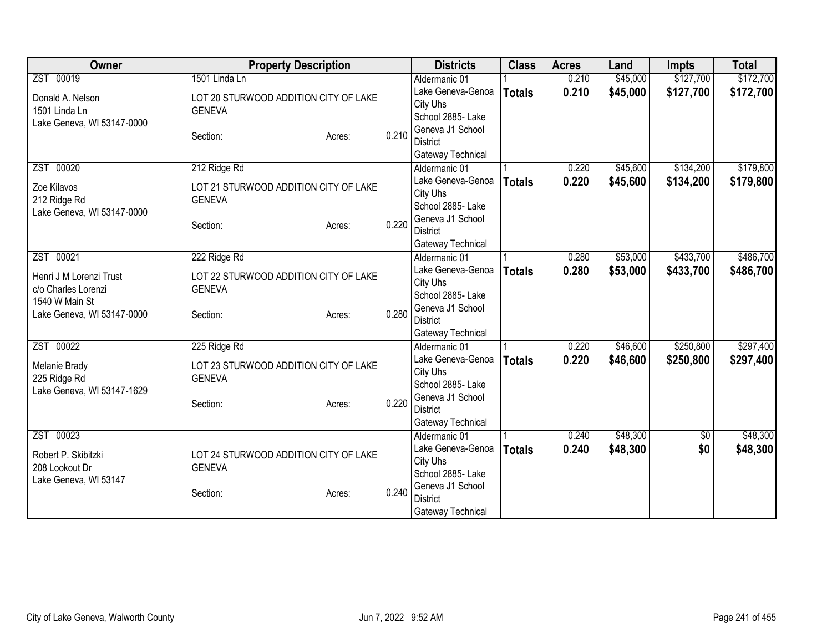| Owner                      | <b>Property Description</b>           |       | <b>Districts</b>                   | <b>Class</b>  | <b>Acres</b> | Land     | <b>Impts</b> | <b>Total</b> |
|----------------------------|---------------------------------------|-------|------------------------------------|---------------|--------------|----------|--------------|--------------|
| ZST 00019                  | 1501 Linda Ln                         |       | Aldermanic 01                      |               | 0.210        | \$45,000 | \$127,700    | \$172,700    |
| Donald A. Nelson           | LOT 20 STURWOOD ADDITION CITY OF LAKE |       | Lake Geneva-Genoa                  | <b>Totals</b> | 0.210        | \$45,000 | \$127,700    | \$172,700    |
| 1501 Linda Ln              | <b>GENEVA</b>                         |       | City Uhs                           |               |              |          |              |              |
| Lake Geneva, WI 53147-0000 |                                       |       | School 2885- Lake                  |               |              |          |              |              |
|                            | Section:<br>Acres:                    | 0.210 | Geneva J1 School                   |               |              |          |              |              |
|                            |                                       |       | <b>District</b>                    |               |              |          |              |              |
| ZST 00020                  | 212 Ridge Rd                          |       | Gateway Technical<br>Aldermanic 01 |               | 0.220        | \$45,600 | \$134,200    | \$179,800    |
|                            |                                       |       | Lake Geneva-Genoa                  |               | 0.220        | \$45,600 | \$134,200    | \$179,800    |
| Zoe Kilavos                | LOT 21 STURWOOD ADDITION CITY OF LAKE |       | City Uhs                           | <b>Totals</b> |              |          |              |              |
| 212 Ridge Rd               | <b>GENEVA</b>                         |       | School 2885- Lake                  |               |              |          |              |              |
| Lake Geneva, WI 53147-0000 |                                       |       | Geneva J1 School                   |               |              |          |              |              |
|                            | Section:<br>Acres:                    | 0.220 | <b>District</b>                    |               |              |          |              |              |
|                            |                                       |       | Gateway Technical                  |               |              |          |              |              |
| ZST 00021                  | 222 Ridge Rd                          |       | Aldermanic 01                      |               | 0.280        | \$53,000 | \$433,700    | \$486,700    |
| Henri J M Lorenzi Trust    | LOT 22 STURWOOD ADDITION CITY OF LAKE |       | Lake Geneva-Genoa                  | <b>Totals</b> | 0.280        | \$53,000 | \$433,700    | \$486,700    |
| c/o Charles Lorenzi        | <b>GENEVA</b>                         |       | City Uhs                           |               |              |          |              |              |
| 1540 W Main St             |                                       |       | School 2885- Lake                  |               |              |          |              |              |
| Lake Geneva, WI 53147-0000 | Section:<br>Acres:                    | 0.280 | Geneva J1 School                   |               |              |          |              |              |
|                            |                                       |       | <b>District</b>                    |               |              |          |              |              |
|                            |                                       |       | Gateway Technical                  |               |              |          |              |              |
| ZST 00022                  | 225 Ridge Rd                          |       | Aldermanic 01                      |               | 0.220        | \$46,600 | \$250,800    | \$297,400    |
| Melanie Brady              | LOT 23 STURWOOD ADDITION CITY OF LAKE |       | Lake Geneva-Genoa                  | <b>Totals</b> | 0.220        | \$46,600 | \$250,800    | \$297,400    |
| 225 Ridge Rd               | <b>GENEVA</b>                         |       | City Uhs<br>School 2885-Lake       |               |              |          |              |              |
| Lake Geneva, WI 53147-1629 |                                       |       | Geneva J1 School                   |               |              |          |              |              |
|                            | Section:<br>Acres:                    | 0.220 | <b>District</b>                    |               |              |          |              |              |
|                            |                                       |       | Gateway Technical                  |               |              |          |              |              |
| ZST 00023                  |                                       |       | Aldermanic 01                      |               | 0.240        | \$48,300 | $\sqrt{6}$   | \$48,300     |
|                            |                                       |       | Lake Geneva-Genoa                  | <b>Totals</b> | 0.240        | \$48,300 | \$0          | \$48,300     |
| Robert P. Skibitzki        | LOT 24 STURWOOD ADDITION CITY OF LAKE |       | City Uhs                           |               |              |          |              |              |
| 208 Lookout Dr             | <b>GENEVA</b>                         |       | School 2885-Lake                   |               |              |          |              |              |
| Lake Geneva, WI 53147      | Section:<br>Acres:                    | 0.240 | Geneva J1 School                   |               |              |          |              |              |
|                            |                                       |       | <b>District</b>                    |               |              |          |              |              |
|                            |                                       |       | Gateway Technical                  |               |              |          |              |              |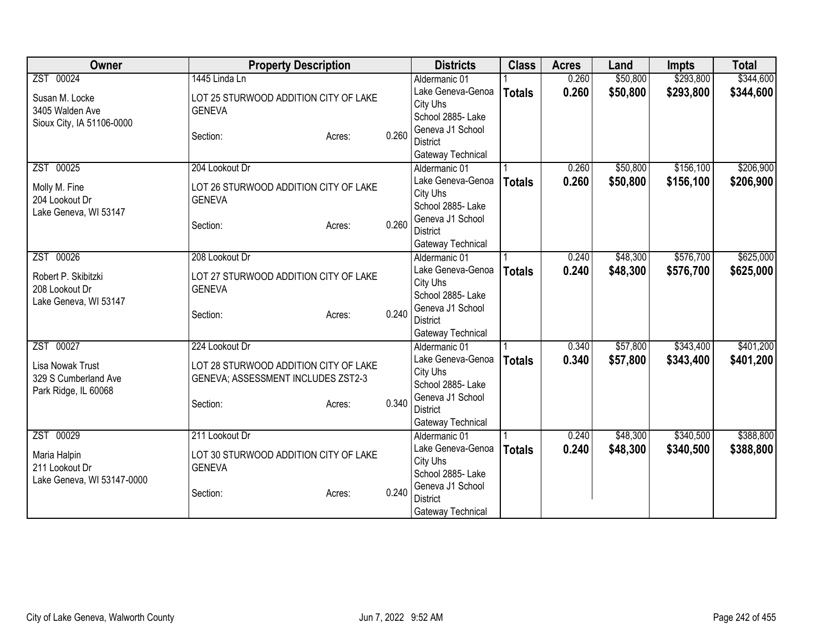| Owner                                   | <b>Property Description</b>                            |        |       | <b>Districts</b>                    | <b>Class</b>  | <b>Acres</b> | Land     | <b>Impts</b> | <b>Total</b> |
|-----------------------------------------|--------------------------------------------------------|--------|-------|-------------------------------------|---------------|--------------|----------|--------------|--------------|
| ZST 00024                               | 1445 Linda Ln                                          |        |       | Aldermanic 01                       |               | 0.260        | \$50,800 | \$293,800    | \$344,600    |
| Susan M. Locke                          | LOT 25 STURWOOD ADDITION CITY OF LAKE                  |        |       | Lake Geneva-Genoa                   | <b>Totals</b> | 0.260        | \$50,800 | \$293,800    | \$344,600    |
| 3405 Walden Ave                         | <b>GENEVA</b>                                          |        |       | City Uhs                            |               |              |          |              |              |
| Sioux City, IA 51106-0000               |                                                        |        |       | School 2885- Lake                   |               |              |          |              |              |
|                                         | Section:                                               | Acres: | 0.260 | Geneva J1 School                    |               |              |          |              |              |
|                                         |                                                        |        |       | <b>District</b>                     |               |              |          |              |              |
| ZST 00025                               | 204 Lookout Dr                                         |        |       | Gateway Technical<br>Aldermanic 01  |               | 0.260        | \$50,800 | \$156,100    | \$206,900    |
|                                         |                                                        |        |       | Lake Geneva-Genoa                   |               | 0.260        | \$50,800 |              |              |
| Molly M. Fine                           | LOT 26 STURWOOD ADDITION CITY OF LAKE                  |        |       | City Uhs                            | <b>Totals</b> |              |          | \$156,100    | \$206,900    |
| 204 Lookout Dr                          | <b>GENEVA</b>                                          |        |       | School 2885- Lake                   |               |              |          |              |              |
| Lake Geneva, WI 53147                   |                                                        |        |       | Geneva J1 School                    |               |              |          |              |              |
|                                         | Section:                                               | Acres: | 0.260 | <b>District</b>                     |               |              |          |              |              |
|                                         |                                                        |        |       | Gateway Technical                   |               |              |          |              |              |
| ZST 00026                               | 208 Lookout Dr                                         |        |       | Aldermanic 01                       |               | 0.240        | \$48,300 | \$576,700    | \$625,000    |
|                                         |                                                        |        |       | Lake Geneva-Genoa                   | <b>Totals</b> | 0.240        | \$48,300 | \$576,700    | \$625,000    |
| Robert P. Skibitzki                     | LOT 27 STURWOOD ADDITION CITY OF LAKE<br><b>GENEVA</b> |        |       | City Uhs                            |               |              |          |              |              |
| 208 Lookout Dr<br>Lake Geneva, WI 53147 |                                                        |        |       | School 2885- Lake                   |               |              |          |              |              |
|                                         | Section:                                               | Acres: | 0.240 | Geneva J1 School                    |               |              |          |              |              |
|                                         |                                                        |        |       | <b>District</b>                     |               |              |          |              |              |
|                                         |                                                        |        |       | Gateway Technical                   |               |              |          |              |              |
| ZST 00027                               | 224 Lookout Dr                                         |        |       | Aldermanic 01                       |               | 0.340        | \$57,800 | \$343,400    | \$401,200    |
| Lisa Nowak Trust                        | LOT 28 STURWOOD ADDITION CITY OF LAKE                  |        |       | Lake Geneva-Genoa                   | <b>Totals</b> | 0.340        | \$57,800 | \$343,400    | \$401,200    |
| 329 S Cumberland Ave                    | GENEVA; ASSESSMENT INCLUDES ZST2-3                     |        |       | City Uhs                            |               |              |          |              |              |
| Park Ridge, IL 60068                    |                                                        |        |       | School 2885- Lake                   |               |              |          |              |              |
|                                         | Section:                                               | Acres: | 0.340 | Geneva J1 School<br><b>District</b> |               |              |          |              |              |
|                                         |                                                        |        |       | Gateway Technical                   |               |              |          |              |              |
| ZST 00029                               | 211 Lookout Dr                                         |        |       | Aldermanic 01                       |               | 0.240        | \$48,300 | \$340,500    | \$388,800    |
|                                         |                                                        |        |       | Lake Geneva-Genoa                   | <b>Totals</b> | 0.240        | \$48,300 | \$340,500    | \$388,800    |
| Maria Halpin                            | LOT 30 STURWOOD ADDITION CITY OF LAKE                  |        |       | City Uhs                            |               |              |          |              |              |
| 211 Lookout Dr                          | <b>GENEVA</b>                                          |        |       | School 2885- Lake                   |               |              |          |              |              |
| Lake Geneva, WI 53147-0000              |                                                        |        |       | Geneva J1 School                    |               |              |          |              |              |
|                                         | Section:                                               | Acres: | 0.240 | <b>District</b>                     |               |              |          |              |              |
|                                         |                                                        |        |       | Gateway Technical                   |               |              |          |              |              |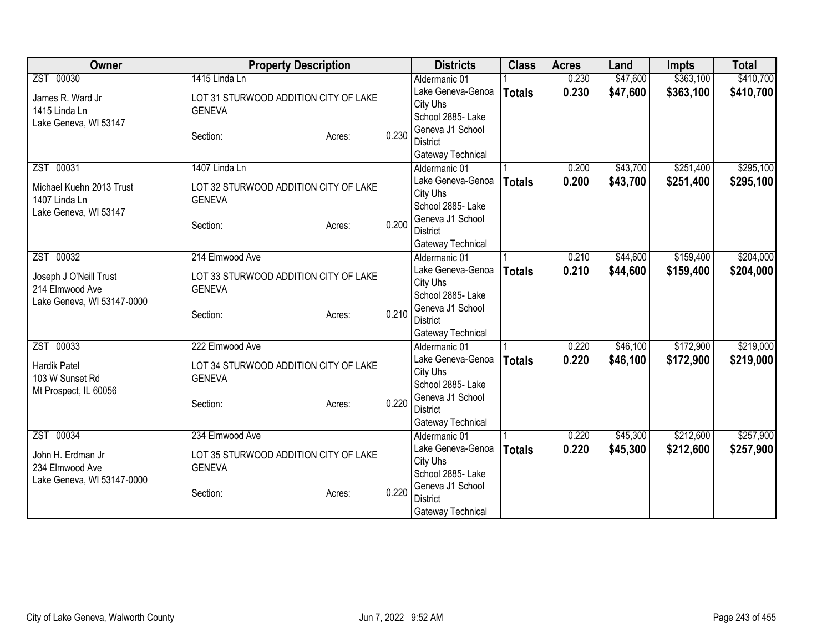| ZST 00030<br>1415 Linda Ln<br>\$47,600<br>\$363,100<br>0.230<br>Aldermanic 01<br>0.230<br>\$47,600<br>\$363,100<br>Lake Geneva-Genoa<br><b>Totals</b><br>LOT 31 STURWOOD ADDITION CITY OF LAKE<br>James R. Ward Jr<br>City Uhs<br>1415 Linda Ln<br><b>GENEVA</b><br>School 2885- Lake<br>Lake Geneva, WI 53147<br>Geneva J1 School<br>0.230<br>Section:<br>Acres:<br><b>District</b><br>Gateway Technical<br>\$251,400<br>\$43,700<br>ZST 00031<br>1407 Linda Ln<br>0.200<br>Aldermanic 01<br>0.200<br>\$43,700<br>Lake Geneva-Genoa<br>\$251,400<br><b>Totals</b><br>Michael Kuehn 2013 Trust<br>LOT 32 STURWOOD ADDITION CITY OF LAKE<br>City Uhs<br>1407 Linda Ln<br><b>GENEVA</b><br>School 2885- Lake<br>Lake Geneva, WI 53147<br>Geneva J1 School<br>0.200<br>Section:<br>Acres:<br><b>District</b><br>Gateway Technical<br>\$159,400<br>ZST 00032<br>214 Elmwood Ave<br>\$44,600<br>0.210<br>Aldermanic 01<br>Lake Geneva-Genoa<br>0.210<br>\$44,600<br>\$159,400<br><b>Totals</b><br>Joseph J O'Neill Trust<br>LOT 33 STURWOOD ADDITION CITY OF LAKE<br>City Uhs<br>214 Elmwood Ave<br><b>GENEVA</b><br>School 2885- Lake<br>Lake Geneva, WI 53147-0000<br>Geneva J1 School<br>0.210<br>Section:<br>Acres:<br><b>District</b><br>Gateway Technical<br>ZST 00033<br>222 Elmwood Ave<br>\$46,100<br>\$172,900<br>0.220<br>Aldermanic 01<br>0.220<br>Lake Geneva-Genoa<br>\$46,100<br>\$172,900<br><b>Totals</b><br><b>Hardik Patel</b><br>LOT 34 STURWOOD ADDITION CITY OF LAKE<br>City Uhs<br><b>GENEVA</b><br>103 W Sunset Rd<br>School 2885- Lake<br>Mt Prospect, IL 60056<br>Geneva J1 School<br>0.220<br>Section:<br>Acres:<br><b>District</b><br>Gateway Technical<br>\$212,600<br>ZST 00034<br>234 Elmwood Ave<br>\$45,300<br>Aldermanic 01<br>0.220<br>Lake Geneva-Genoa<br>0.220<br>\$45,300<br>\$212,600<br><b>Totals</b><br>John H. Erdman Jr<br>LOT 35 STURWOOD ADDITION CITY OF LAKE<br>City Uhs<br>234 Elmwood Ave<br><b>GENEVA</b><br>School 2885-Lake<br>Lake Geneva, WI 53147-0000<br>Geneva J1 School<br>0.220<br>Section:<br>Acres:<br><b>District</b> | Owner | <b>Property Description</b> | <b>Districts</b>  | <b>Class</b> | <b>Acres</b> | Land | <b>Impts</b> | <b>Total</b> |
|---------------------------------------------------------------------------------------------------------------------------------------------------------------------------------------------------------------------------------------------------------------------------------------------------------------------------------------------------------------------------------------------------------------------------------------------------------------------------------------------------------------------------------------------------------------------------------------------------------------------------------------------------------------------------------------------------------------------------------------------------------------------------------------------------------------------------------------------------------------------------------------------------------------------------------------------------------------------------------------------------------------------------------------------------------------------------------------------------------------------------------------------------------------------------------------------------------------------------------------------------------------------------------------------------------------------------------------------------------------------------------------------------------------------------------------------------------------------------------------------------------------------------------------------------------------------------------------------------------------------------------------------------------------------------------------------------------------------------------------------------------------------------------------------------------------------------------------------------------------------------------------------------------------------------------------------------------------------------------------------------------------------------------------------------------------------------------|-------|-----------------------------|-------------------|--------------|--------------|------|--------------|--------------|
| \$410,700                                                                                                                                                                                                                                                                                                                                                                                                                                                                                                                                                                                                                                                                                                                                                                                                                                                                                                                                                                                                                                                                                                                                                                                                                                                                                                                                                                                                                                                                                                                                                                                                                                                                                                                                                                                                                                                                                                                                                                                                                                                                       |       |                             |                   |              |              |      |              | \$410,700    |
|                                                                                                                                                                                                                                                                                                                                                                                                                                                                                                                                                                                                                                                                                                                                                                                                                                                                                                                                                                                                                                                                                                                                                                                                                                                                                                                                                                                                                                                                                                                                                                                                                                                                                                                                                                                                                                                                                                                                                                                                                                                                                 |       |                             |                   |              |              |      |              |              |
| \$295,100<br>\$295,100<br>\$204,000<br>\$204,000                                                                                                                                                                                                                                                                                                                                                                                                                                                                                                                                                                                                                                                                                                                                                                                                                                                                                                                                                                                                                                                                                                                                                                                                                                                                                                                                                                                                                                                                                                                                                                                                                                                                                                                                                                                                                                                                                                                                                                                                                                |       |                             |                   |              |              |      |              |              |
|                                                                                                                                                                                                                                                                                                                                                                                                                                                                                                                                                                                                                                                                                                                                                                                                                                                                                                                                                                                                                                                                                                                                                                                                                                                                                                                                                                                                                                                                                                                                                                                                                                                                                                                                                                                                                                                                                                                                                                                                                                                                                 |       |                             |                   |              |              |      |              |              |
|                                                                                                                                                                                                                                                                                                                                                                                                                                                                                                                                                                                                                                                                                                                                                                                                                                                                                                                                                                                                                                                                                                                                                                                                                                                                                                                                                                                                                                                                                                                                                                                                                                                                                                                                                                                                                                                                                                                                                                                                                                                                                 |       |                             |                   |              |              |      |              |              |
|                                                                                                                                                                                                                                                                                                                                                                                                                                                                                                                                                                                                                                                                                                                                                                                                                                                                                                                                                                                                                                                                                                                                                                                                                                                                                                                                                                                                                                                                                                                                                                                                                                                                                                                                                                                                                                                                                                                                                                                                                                                                                 |       |                             |                   |              |              |      |              |              |
|                                                                                                                                                                                                                                                                                                                                                                                                                                                                                                                                                                                                                                                                                                                                                                                                                                                                                                                                                                                                                                                                                                                                                                                                                                                                                                                                                                                                                                                                                                                                                                                                                                                                                                                                                                                                                                                                                                                                                                                                                                                                                 |       |                             |                   |              |              |      |              |              |
|                                                                                                                                                                                                                                                                                                                                                                                                                                                                                                                                                                                                                                                                                                                                                                                                                                                                                                                                                                                                                                                                                                                                                                                                                                                                                                                                                                                                                                                                                                                                                                                                                                                                                                                                                                                                                                                                                                                                                                                                                                                                                 |       |                             |                   |              |              |      |              |              |
|                                                                                                                                                                                                                                                                                                                                                                                                                                                                                                                                                                                                                                                                                                                                                                                                                                                                                                                                                                                                                                                                                                                                                                                                                                                                                                                                                                                                                                                                                                                                                                                                                                                                                                                                                                                                                                                                                                                                                                                                                                                                                 |       |                             |                   |              |              |      |              |              |
|                                                                                                                                                                                                                                                                                                                                                                                                                                                                                                                                                                                                                                                                                                                                                                                                                                                                                                                                                                                                                                                                                                                                                                                                                                                                                                                                                                                                                                                                                                                                                                                                                                                                                                                                                                                                                                                                                                                                                                                                                                                                                 |       |                             |                   |              |              |      |              |              |
|                                                                                                                                                                                                                                                                                                                                                                                                                                                                                                                                                                                                                                                                                                                                                                                                                                                                                                                                                                                                                                                                                                                                                                                                                                                                                                                                                                                                                                                                                                                                                                                                                                                                                                                                                                                                                                                                                                                                                                                                                                                                                 |       |                             |                   |              |              |      |              |              |
|                                                                                                                                                                                                                                                                                                                                                                                                                                                                                                                                                                                                                                                                                                                                                                                                                                                                                                                                                                                                                                                                                                                                                                                                                                                                                                                                                                                                                                                                                                                                                                                                                                                                                                                                                                                                                                                                                                                                                                                                                                                                                 |       |                             |                   |              |              |      |              |              |
|                                                                                                                                                                                                                                                                                                                                                                                                                                                                                                                                                                                                                                                                                                                                                                                                                                                                                                                                                                                                                                                                                                                                                                                                                                                                                                                                                                                                                                                                                                                                                                                                                                                                                                                                                                                                                                                                                                                                                                                                                                                                                 |       |                             |                   |              |              |      |              |              |
|                                                                                                                                                                                                                                                                                                                                                                                                                                                                                                                                                                                                                                                                                                                                                                                                                                                                                                                                                                                                                                                                                                                                                                                                                                                                                                                                                                                                                                                                                                                                                                                                                                                                                                                                                                                                                                                                                                                                                                                                                                                                                 |       |                             |                   |              |              |      |              |              |
|                                                                                                                                                                                                                                                                                                                                                                                                                                                                                                                                                                                                                                                                                                                                                                                                                                                                                                                                                                                                                                                                                                                                                                                                                                                                                                                                                                                                                                                                                                                                                                                                                                                                                                                                                                                                                                                                                                                                                                                                                                                                                 |       |                             |                   |              |              |      |              |              |
|                                                                                                                                                                                                                                                                                                                                                                                                                                                                                                                                                                                                                                                                                                                                                                                                                                                                                                                                                                                                                                                                                                                                                                                                                                                                                                                                                                                                                                                                                                                                                                                                                                                                                                                                                                                                                                                                                                                                                                                                                                                                                 |       |                             |                   |              |              |      |              |              |
|                                                                                                                                                                                                                                                                                                                                                                                                                                                                                                                                                                                                                                                                                                                                                                                                                                                                                                                                                                                                                                                                                                                                                                                                                                                                                                                                                                                                                                                                                                                                                                                                                                                                                                                                                                                                                                                                                                                                                                                                                                                                                 |       |                             |                   |              |              |      |              |              |
| \$219,000<br>\$219,000<br>\$257,900<br>\$257,900                                                                                                                                                                                                                                                                                                                                                                                                                                                                                                                                                                                                                                                                                                                                                                                                                                                                                                                                                                                                                                                                                                                                                                                                                                                                                                                                                                                                                                                                                                                                                                                                                                                                                                                                                                                                                                                                                                                                                                                                                                |       |                             |                   |              |              |      |              |              |
|                                                                                                                                                                                                                                                                                                                                                                                                                                                                                                                                                                                                                                                                                                                                                                                                                                                                                                                                                                                                                                                                                                                                                                                                                                                                                                                                                                                                                                                                                                                                                                                                                                                                                                                                                                                                                                                                                                                                                                                                                                                                                 |       |                             |                   |              |              |      |              |              |
|                                                                                                                                                                                                                                                                                                                                                                                                                                                                                                                                                                                                                                                                                                                                                                                                                                                                                                                                                                                                                                                                                                                                                                                                                                                                                                                                                                                                                                                                                                                                                                                                                                                                                                                                                                                                                                                                                                                                                                                                                                                                                 |       |                             |                   |              |              |      |              |              |
|                                                                                                                                                                                                                                                                                                                                                                                                                                                                                                                                                                                                                                                                                                                                                                                                                                                                                                                                                                                                                                                                                                                                                                                                                                                                                                                                                                                                                                                                                                                                                                                                                                                                                                                                                                                                                                                                                                                                                                                                                                                                                 |       |                             |                   |              |              |      |              |              |
|                                                                                                                                                                                                                                                                                                                                                                                                                                                                                                                                                                                                                                                                                                                                                                                                                                                                                                                                                                                                                                                                                                                                                                                                                                                                                                                                                                                                                                                                                                                                                                                                                                                                                                                                                                                                                                                                                                                                                                                                                                                                                 |       |                             |                   |              |              |      |              |              |
|                                                                                                                                                                                                                                                                                                                                                                                                                                                                                                                                                                                                                                                                                                                                                                                                                                                                                                                                                                                                                                                                                                                                                                                                                                                                                                                                                                                                                                                                                                                                                                                                                                                                                                                                                                                                                                                                                                                                                                                                                                                                                 |       |                             |                   |              |              |      |              |              |
|                                                                                                                                                                                                                                                                                                                                                                                                                                                                                                                                                                                                                                                                                                                                                                                                                                                                                                                                                                                                                                                                                                                                                                                                                                                                                                                                                                                                                                                                                                                                                                                                                                                                                                                                                                                                                                                                                                                                                                                                                                                                                 |       |                             |                   |              |              |      |              |              |
|                                                                                                                                                                                                                                                                                                                                                                                                                                                                                                                                                                                                                                                                                                                                                                                                                                                                                                                                                                                                                                                                                                                                                                                                                                                                                                                                                                                                                                                                                                                                                                                                                                                                                                                                                                                                                                                                                                                                                                                                                                                                                 |       |                             |                   |              |              |      |              |              |
|                                                                                                                                                                                                                                                                                                                                                                                                                                                                                                                                                                                                                                                                                                                                                                                                                                                                                                                                                                                                                                                                                                                                                                                                                                                                                                                                                                                                                                                                                                                                                                                                                                                                                                                                                                                                                                                                                                                                                                                                                                                                                 |       |                             |                   |              |              |      |              |              |
|                                                                                                                                                                                                                                                                                                                                                                                                                                                                                                                                                                                                                                                                                                                                                                                                                                                                                                                                                                                                                                                                                                                                                                                                                                                                                                                                                                                                                                                                                                                                                                                                                                                                                                                                                                                                                                                                                                                                                                                                                                                                                 |       |                             |                   |              |              |      |              |              |
|                                                                                                                                                                                                                                                                                                                                                                                                                                                                                                                                                                                                                                                                                                                                                                                                                                                                                                                                                                                                                                                                                                                                                                                                                                                                                                                                                                                                                                                                                                                                                                                                                                                                                                                                                                                                                                                                                                                                                                                                                                                                                 |       |                             |                   |              |              |      |              |              |
|                                                                                                                                                                                                                                                                                                                                                                                                                                                                                                                                                                                                                                                                                                                                                                                                                                                                                                                                                                                                                                                                                                                                                                                                                                                                                                                                                                                                                                                                                                                                                                                                                                                                                                                                                                                                                                                                                                                                                                                                                                                                                 |       |                             |                   |              |              |      |              |              |
|                                                                                                                                                                                                                                                                                                                                                                                                                                                                                                                                                                                                                                                                                                                                                                                                                                                                                                                                                                                                                                                                                                                                                                                                                                                                                                                                                                                                                                                                                                                                                                                                                                                                                                                                                                                                                                                                                                                                                                                                                                                                                 |       |                             |                   |              |              |      |              |              |
|                                                                                                                                                                                                                                                                                                                                                                                                                                                                                                                                                                                                                                                                                                                                                                                                                                                                                                                                                                                                                                                                                                                                                                                                                                                                                                                                                                                                                                                                                                                                                                                                                                                                                                                                                                                                                                                                                                                                                                                                                                                                                 |       |                             |                   |              |              |      |              |              |
|                                                                                                                                                                                                                                                                                                                                                                                                                                                                                                                                                                                                                                                                                                                                                                                                                                                                                                                                                                                                                                                                                                                                                                                                                                                                                                                                                                                                                                                                                                                                                                                                                                                                                                                                                                                                                                                                                                                                                                                                                                                                                 |       |                             |                   |              |              |      |              |              |
|                                                                                                                                                                                                                                                                                                                                                                                                                                                                                                                                                                                                                                                                                                                                                                                                                                                                                                                                                                                                                                                                                                                                                                                                                                                                                                                                                                                                                                                                                                                                                                                                                                                                                                                                                                                                                                                                                                                                                                                                                                                                                 |       |                             | Gateway Technical |              |              |      |              |              |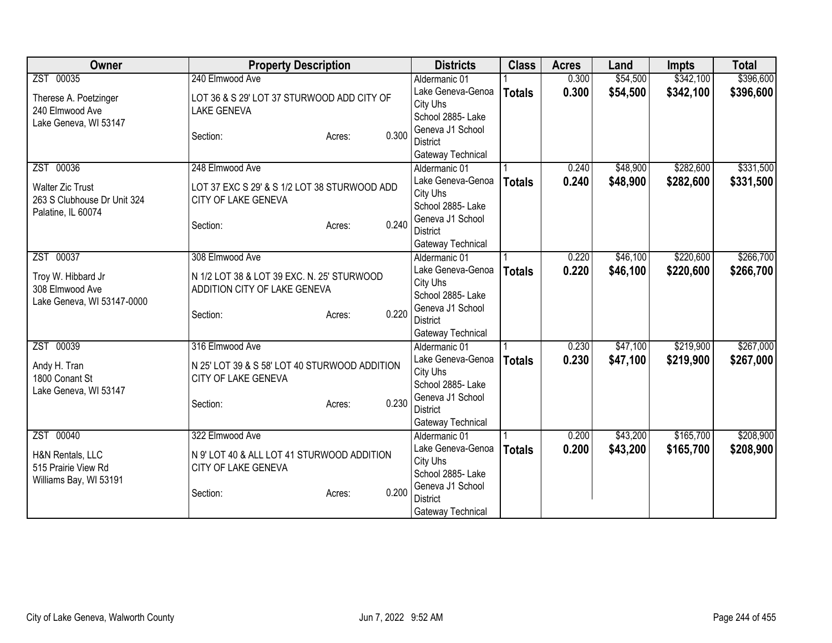| <b>Owner</b>                | <b>Property Description</b>                   |                 | <b>Districts</b>                   | <b>Class</b>  | <b>Acres</b> | Land     | <b>Impts</b> | <b>Total</b> |
|-----------------------------|-----------------------------------------------|-----------------|------------------------------------|---------------|--------------|----------|--------------|--------------|
| ZST 00035                   | 240 Elmwood Ave                               |                 | Aldermanic 01                      |               | 0.300        | \$54,500 | \$342,100    | \$396,600    |
| Therese A. Poetzinger       | LOT 36 & S 29' LOT 37 STURWOOD ADD CITY OF    |                 | Lake Geneva-Genoa                  | <b>Totals</b> | 0.300        | \$54,500 | \$342,100    | \$396,600    |
| 240 Elmwood Ave             | <b>LAKE GENEVA</b>                            |                 | City Uhs                           |               |              |          |              |              |
| Lake Geneva, WI 53147       |                                               |                 | School 2885- Lake                  |               |              |          |              |              |
|                             | Section:                                      | 0.300<br>Acres: | Geneva J1 School                   |               |              |          |              |              |
|                             |                                               |                 | <b>District</b>                    |               |              |          |              |              |
|                             |                                               |                 | Gateway Technical                  |               |              |          |              |              |
| ZST 00036                   | 248 Elmwood Ave                               |                 | Aldermanic 01                      |               | 0.240        | \$48,900 | \$282,600    | \$331,500    |
| <b>Walter Zic Trust</b>     | LOT 37 EXC S 29' & S 1/2 LOT 38 STURWOOD ADD  |                 | Lake Geneva-Genoa<br>City Uhs      | <b>Totals</b> | 0.240        | \$48,900 | \$282,600    | \$331,500    |
| 263 S Clubhouse Dr Unit 324 | CITY OF LAKE GENEVA                           |                 | School 2885- Lake                  |               |              |          |              |              |
| Palatine, IL 60074          |                                               |                 | Geneva J1 School                   |               |              |          |              |              |
|                             | Section:                                      | 0.240<br>Acres: | <b>District</b>                    |               |              |          |              |              |
|                             |                                               |                 | Gateway Technical                  |               |              |          |              |              |
| ZST 00037                   | 308 Elmwood Ave                               |                 | Aldermanic 01                      |               | 0.220        | \$46,100 | \$220,600    | \$266,700    |
|                             |                                               |                 | Lake Geneva-Genoa                  | <b>Totals</b> | 0.220        | \$46,100 | \$220,600    | \$266,700    |
| Troy W. Hibbard Jr          | N 1/2 LOT 38 & LOT 39 EXC. N. 25' STURWOOD    |                 | City Uhs                           |               |              |          |              |              |
| 308 Elmwood Ave             | ADDITION CITY OF LAKE GENEVA                  |                 | School 2885- Lake                  |               |              |          |              |              |
| Lake Geneva, WI 53147-0000  |                                               | 0.220           | Geneva J1 School                   |               |              |          |              |              |
|                             | Section:                                      | Acres:          | <b>District</b>                    |               |              |          |              |              |
|                             |                                               |                 | Gateway Technical                  |               |              |          |              |              |
| ZST 00039                   | 316 Elmwood Ave                               |                 | Aldermanic 01                      |               | 0.230        | \$47,100 | \$219,900    | \$267,000    |
| Andy H. Tran                | N 25' LOT 39 & S 58' LOT 40 STURWOOD ADDITION |                 | Lake Geneva-Genoa                  | <b>Totals</b> | 0.230        | \$47,100 | \$219,900    | \$267,000    |
| 1800 Conant St              | CITY OF LAKE GENEVA                           |                 | City Uhs                           |               |              |          |              |              |
| Lake Geneva, WI 53147       |                                               |                 | School 2885- Lake                  |               |              |          |              |              |
|                             | Section:                                      | 0.230<br>Acres: | Geneva J1 School                   |               |              |          |              |              |
|                             |                                               |                 | <b>District</b>                    |               |              |          |              |              |
| ZST 00040                   | 322 Elmwood Ave                               |                 | Gateway Technical<br>Aldermanic 01 |               | 0.200        | \$43,200 | \$165,700    | \$208,900    |
|                             |                                               |                 | Lake Geneva-Genoa                  |               |              |          |              |              |
| H&N Rentals, LLC            | N 9' LOT 40 & ALL LOT 41 STURWOOD ADDITION    |                 | City Uhs                           | <b>Totals</b> | 0.200        | \$43,200 | \$165,700    | \$208,900    |
| 515 Prairie View Rd         | CITY OF LAKE GENEVA                           |                 | School 2885- Lake                  |               |              |          |              |              |
| Williams Bay, WI 53191      |                                               |                 | Geneva J1 School                   |               |              |          |              |              |
|                             | Section:                                      | 0.200<br>Acres: | <b>District</b>                    |               |              |          |              |              |
|                             |                                               |                 | Gateway Technical                  |               |              |          |              |              |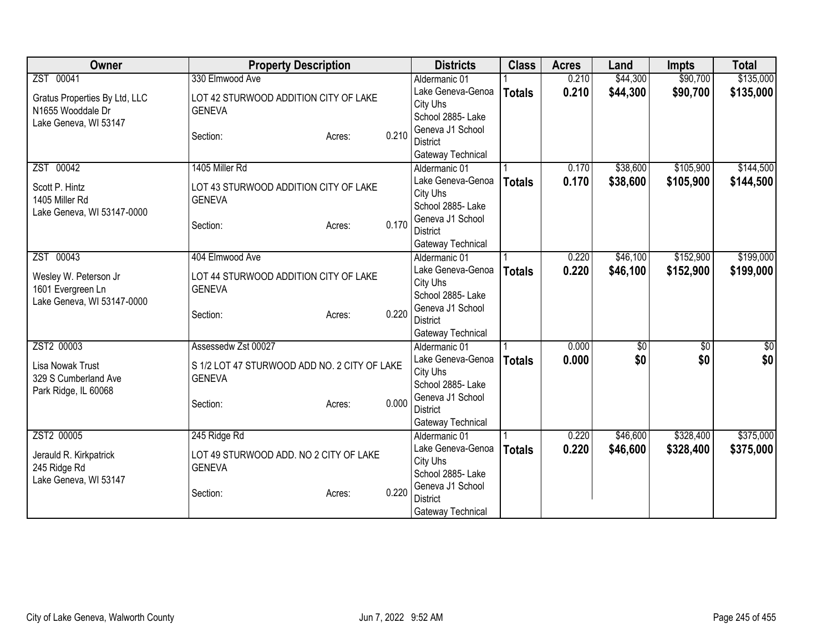| Owner                                                                    | <b>Property Description</b>                                                  |       | <b>Districts</b>                                                       | <b>Class</b>  | <b>Acres</b> | Land     | <b>Impts</b> | <b>Total</b> |
|--------------------------------------------------------------------------|------------------------------------------------------------------------------|-------|------------------------------------------------------------------------|---------------|--------------|----------|--------------|--------------|
| ZST 00041                                                                | 330 Elmwood Ave                                                              |       | Aldermanic 01                                                          |               | 0.210        | \$44,300 | \$90,700     | \$135,000    |
| Gratus Properties By Ltd, LLC<br>N1655 Wooddale Dr                       | LOT 42 STURWOOD ADDITION CITY OF LAKE<br><b>GENEVA</b>                       |       | Lake Geneva-Genoa<br>City Uhs<br>School 2885- Lake                     | <b>Totals</b> | 0.210        | \$44,300 | \$90,700     | \$135,000    |
| Lake Geneva, WI 53147                                                    | Section:<br>Acres:                                                           | 0.210 | Geneva J1 School<br><b>District</b><br>Gateway Technical               |               |              |          |              |              |
| ZST 00042                                                                | 1405 Miller Rd                                                               |       | Aldermanic 01                                                          |               | 0.170        | \$38,600 | \$105,900    | \$144,500    |
| Scott P. Hintz<br>1405 Miller Rd<br>Lake Geneva, WI 53147-0000           | LOT 43 STURWOOD ADDITION CITY OF LAKE<br><b>GENEVA</b><br>Section:<br>Acres: | 0.170 | Lake Geneva-Genoa<br>City Uhs<br>School 2885- Lake<br>Geneva J1 School | <b>Totals</b> | 0.170        | \$38,600 | \$105,900    | \$144,500    |
|                                                                          |                                                                              |       | <b>District</b>                                                        |               |              |          |              |              |
| ZST 00043                                                                | 404 Elmwood Ave                                                              |       | Gateway Technical<br>Aldermanic 01                                     |               | 0.220        | \$46,100 | \$152,900    | \$199,000    |
| Wesley W. Peterson Jr<br>1601 Evergreen Ln<br>Lake Geneva, WI 53147-0000 | LOT 44 STURWOOD ADDITION CITY OF LAKE<br><b>GENEVA</b>                       |       | Lake Geneva-Genoa<br>City Uhs<br>School 2885- Lake                     | <b>Totals</b> | 0.220        | \$46,100 | \$152,900    | \$199,000    |
|                                                                          | Section:<br>Acres:                                                           | 0.220 | Geneva J1 School<br><b>District</b><br>Gateway Technical               |               |              |          |              |              |
| ZST2 00003                                                               | Assessedw Zst 00027                                                          |       | Aldermanic 01                                                          |               | 0.000        | \$0      | \$0          | \$0          |
| Lisa Nowak Trust<br>329 S Cumberland Ave                                 | S 1/2 LOT 47 STURWOOD ADD NO. 2 CITY OF LAKE<br><b>GENEVA</b>                |       | Lake Geneva-Genoa<br>City Uhs<br>School 2885- Lake                     | <b>Totals</b> | 0.000        | \$0      | \$0          | \$0          |
| Park Ridge, IL 60068                                                     | Section:<br>Acres:                                                           | 0.000 | Geneva J1 School<br><b>District</b><br>Gateway Technical               |               |              |          |              |              |
| ZST2 00005                                                               | 245 Ridge Rd                                                                 |       | Aldermanic 01                                                          |               | 0.220        | \$46,600 | \$328,400    | \$375,000    |
| Jerauld R. Kirkpatrick<br>245 Ridge Rd<br>Lake Geneva, WI 53147          | LOT 49 STURWOOD ADD. NO 2 CITY OF LAKE<br><b>GENEVA</b>                      |       | Lake Geneva-Genoa<br>City Uhs<br>School 2885- Lake                     | <b>Totals</b> | 0.220        | \$46,600 | \$328,400    | \$375,000    |
|                                                                          | Section:<br>Acres:                                                           | 0.220 | Geneva J1 School<br><b>District</b><br>Gateway Technical               |               |              |          |              |              |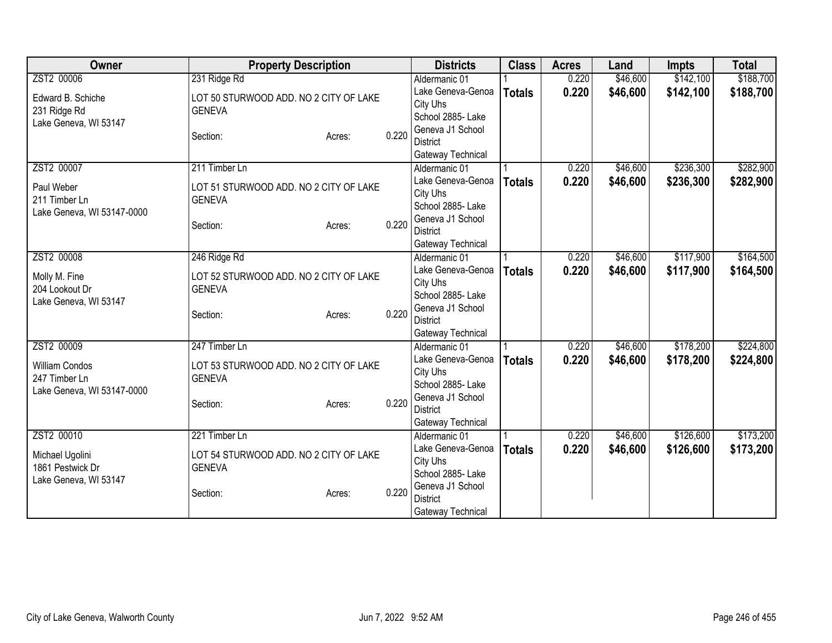| Owner                                       | <b>Property Description</b>                             |       | <b>Districts</b>                   | <b>Class</b>  | <b>Acres</b> | Land     | <b>Impts</b> | <b>Total</b> |
|---------------------------------------------|---------------------------------------------------------|-------|------------------------------------|---------------|--------------|----------|--------------|--------------|
| ZST2 00006                                  | 231 Ridge Rd                                            |       | Aldermanic 01                      |               | 0.220        | \$46,600 | \$142,100    | \$188,700    |
| Edward B. Schiche                           | LOT 50 STURWOOD ADD. NO 2 CITY OF LAKE                  |       | Lake Geneva-Genoa                  | <b>Totals</b> | 0.220        | \$46,600 | \$142,100    | \$188,700    |
| 231 Ridge Rd                                | <b>GENEVA</b>                                           |       | City Uhs                           |               |              |          |              |              |
| Lake Geneva, WI 53147                       |                                                         |       | School 2885- Lake                  |               |              |          |              |              |
|                                             | Section:<br>Acres:                                      | 0.220 | Geneva J1 School                   |               |              |          |              |              |
|                                             |                                                         |       | <b>District</b>                    |               |              |          |              |              |
|                                             |                                                         |       | Gateway Technical                  |               |              |          |              |              |
| ZST2 00007                                  | 211 Timber Ln                                           |       | Aldermanic 01                      |               | 0.220        | \$46,600 | \$236,300    | \$282,900    |
| Paul Weber                                  | LOT 51 STURWOOD ADD. NO 2 CITY OF LAKE                  |       | Lake Geneva-Genoa                  | <b>Totals</b> | 0.220        | \$46,600 | \$236,300    | \$282,900    |
| 211 Timber Ln                               | <b>GENEVA</b>                                           |       | City Uhs                           |               |              |          |              |              |
| Lake Geneva, WI 53147-0000                  |                                                         |       | School 2885- Lake                  |               |              |          |              |              |
|                                             | Section:<br>Acres:                                      | 0.220 | Geneva J1 School                   |               |              |          |              |              |
|                                             |                                                         |       | <b>District</b>                    |               |              |          |              |              |
| ZST2 00008                                  | 246 Ridge Rd                                            |       | Gateway Technical<br>Aldermanic 01 |               | 0.220        | \$46,600 | \$117,900    | \$164,500    |
|                                             |                                                         |       | Lake Geneva-Genoa                  |               | 0.220        |          |              |              |
| Molly M. Fine                               | LOT 52 STURWOOD ADD. NO 2 CITY OF LAKE                  |       | City Uhs                           | <b>Totals</b> |              | \$46,600 | \$117,900    | \$164,500    |
| 204 Lookout Dr                              | <b>GENEVA</b>                                           |       | School 2885- Lake                  |               |              |          |              |              |
| Lake Geneva, WI 53147                       |                                                         |       | Geneva J1 School                   |               |              |          |              |              |
|                                             | Section:<br>Acres:                                      | 0.220 | <b>District</b>                    |               |              |          |              |              |
|                                             |                                                         |       | Gateway Technical                  |               |              |          |              |              |
| ZST2 00009                                  | 247 Timber Ln                                           |       | Aldermanic 01                      |               | 0.220        | \$46,600 | \$178,200    | \$224,800    |
|                                             |                                                         |       | Lake Geneva-Genoa                  | <b>Totals</b> | 0.220        | \$46,600 | \$178,200    | \$224,800    |
| <b>William Condos</b>                       | LOT 53 STURWOOD ADD. NO 2 CITY OF LAKE<br><b>GENEVA</b> |       | City Uhs                           |               |              |          |              |              |
| 247 Timber Ln<br>Lake Geneva, WI 53147-0000 |                                                         |       | School 2885- Lake                  |               |              |          |              |              |
|                                             | Section:<br>Acres:                                      | 0.220 | Geneva J1 School                   |               |              |          |              |              |
|                                             |                                                         |       | <b>District</b>                    |               |              |          |              |              |
|                                             |                                                         |       | Gateway Technical                  |               |              |          |              |              |
| ZST2 00010                                  | 221 Timber Ln                                           |       | Aldermanic 01                      |               | 0.220        | \$46,600 | \$126,600    | \$173,200    |
| Michael Ugolini                             | LOT 54 STURWOOD ADD. NO 2 CITY OF LAKE                  |       | Lake Geneva-Genoa                  | <b>Totals</b> | 0.220        | \$46,600 | \$126,600    | \$173,200    |
| 1861 Pestwick Dr                            | <b>GENEVA</b>                                           |       | City Uhs                           |               |              |          |              |              |
| Lake Geneva, WI 53147                       |                                                         |       | School 2885- Lake                  |               |              |          |              |              |
|                                             | Section:<br>Acres:                                      | 0.220 | Geneva J1 School                   |               |              |          |              |              |
|                                             |                                                         |       | <b>District</b>                    |               |              |          |              |              |
|                                             |                                                         |       | Gateway Technical                  |               |              |          |              |              |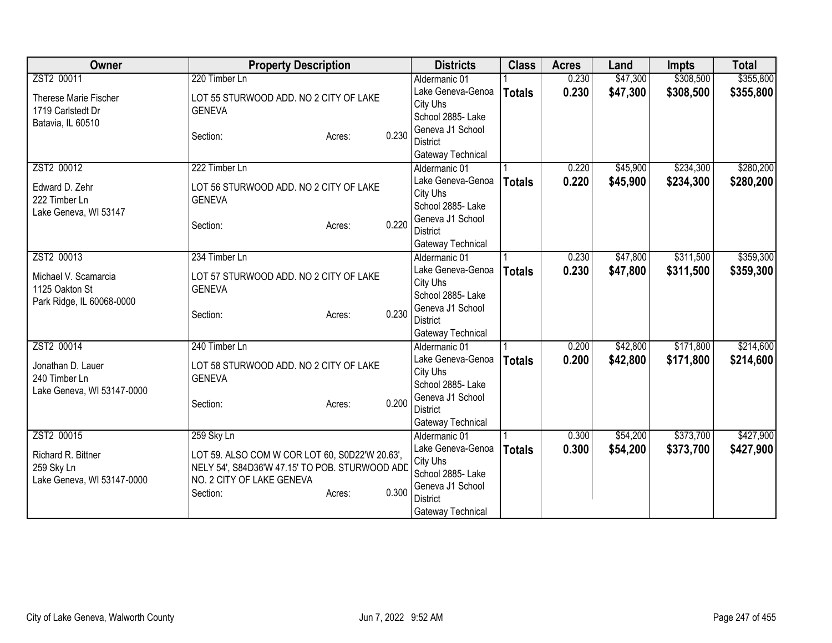| Owner                      | <b>Property Description</b>                    |       | <b>Districts</b>                    | <b>Class</b>  | <b>Acres</b> | Land     | <b>Impts</b> | <b>Total</b> |
|----------------------------|------------------------------------------------|-------|-------------------------------------|---------------|--------------|----------|--------------|--------------|
| ZST2 00011                 | 220 Timber Ln                                  |       | Aldermanic 01                       |               | 0.230        | \$47,300 | \$308,500    | \$355,800    |
| Therese Marie Fischer      | LOT 55 STURWOOD ADD. NO 2 CITY OF LAKE         |       | Lake Geneva-Genoa                   | <b>Totals</b> | 0.230        | \$47,300 | \$308,500    | \$355,800    |
| 1719 Carlstedt Dr          | <b>GENEVA</b>                                  |       | City Uhs                            |               |              |          |              |              |
| Batavia, IL 60510          |                                                |       | School 2885- Lake                   |               |              |          |              |              |
|                            | Section:<br>Acres:                             | 0.230 | Geneva J1 School                    |               |              |          |              |              |
|                            |                                                |       | <b>District</b>                     |               |              |          |              |              |
|                            |                                                |       | Gateway Technical                   |               |              |          |              |              |
| ZST2 00012                 | 222 Timber Ln                                  |       | Aldermanic 01                       |               | 0.220        | \$45,900 | \$234,300    | \$280,200    |
| Edward D. Zehr             | LOT 56 STURWOOD ADD. NO 2 CITY OF LAKE         |       | Lake Geneva-Genoa                   | <b>Totals</b> | 0.220        | \$45,900 | \$234,300    | \$280,200    |
| 222 Timber Ln              | <b>GENEVA</b>                                  |       | City Uhs                            |               |              |          |              |              |
| Lake Geneva, WI 53147      |                                                |       | School 2885- Lake                   |               |              |          |              |              |
|                            | Section:<br>Acres:                             | 0.220 | Geneva J1 School<br><b>District</b> |               |              |          |              |              |
|                            |                                                |       | Gateway Technical                   |               |              |          |              |              |
| ZST2 00013                 | 234 Timber Ln                                  |       | Aldermanic 01                       |               | 0.230        | \$47,800 | \$311,500    | \$359,300    |
|                            |                                                |       | Lake Geneva-Genoa                   |               | 0.230        | \$47,800 | \$311,500    | \$359,300    |
| Michael V. Scamarcia       | LOT 57 STURWOOD ADD. NO 2 CITY OF LAKE         |       | City Uhs                            | <b>Totals</b> |              |          |              |              |
| 1125 Oakton St             | <b>GENEVA</b>                                  |       | School 2885- Lake                   |               |              |          |              |              |
| Park Ridge, IL 60068-0000  |                                                |       | Geneva J1 School                    |               |              |          |              |              |
|                            | Section:<br>Acres:                             | 0.230 | <b>District</b>                     |               |              |          |              |              |
|                            |                                                |       | Gateway Technical                   |               |              |          |              |              |
| ZST2 00014                 | 240 Timber Ln                                  |       | Aldermanic 01                       |               | 0.200        | \$42,800 | \$171,800    | \$214,600    |
| Jonathan D. Lauer          | LOT 58 STURWOOD ADD. NO 2 CITY OF LAKE         |       | Lake Geneva-Genoa                   | <b>Totals</b> | 0.200        | \$42,800 | \$171,800    | \$214,600    |
| 240 Timber Ln              | <b>GENEVA</b>                                  |       | City Uhs                            |               |              |          |              |              |
| Lake Geneva, WI 53147-0000 |                                                |       | School 2885- Lake                   |               |              |          |              |              |
|                            | Section:<br>Acres:                             | 0.200 | Geneva J1 School                    |               |              |          |              |              |
|                            |                                                |       | <b>District</b>                     |               |              |          |              |              |
|                            |                                                |       | Gateway Technical                   |               |              |          |              |              |
| ZST2 00015                 | 259 Sky Ln                                     |       | Aldermanic 01                       |               | 0.300        | \$54,200 | \$373,700    | \$427,900    |
| Richard R. Bittner         | LOT 59. ALSO COM W COR LOT 60, S0D22'W 20.63', |       | Lake Geneva-Genoa                   | <b>Totals</b> | 0.300        | \$54,200 | \$373,700    | \$427,900    |
| 259 Sky Ln                 | NELY 54', S84D36'W 47.15' TO POB. STURWOOD ADD |       | City Uhs                            |               |              |          |              |              |
| Lake Geneva, WI 53147-0000 | NO. 2 CITY OF LAKE GENEVA                      |       | School 2885- Lake                   |               |              |          |              |              |
|                            | Section:<br>Acres:                             | 0.300 | Geneva J1 School                    |               |              |          |              |              |
|                            |                                                |       | <b>District</b>                     |               |              |          |              |              |
|                            |                                                |       | Gateway Technical                   |               |              |          |              |              |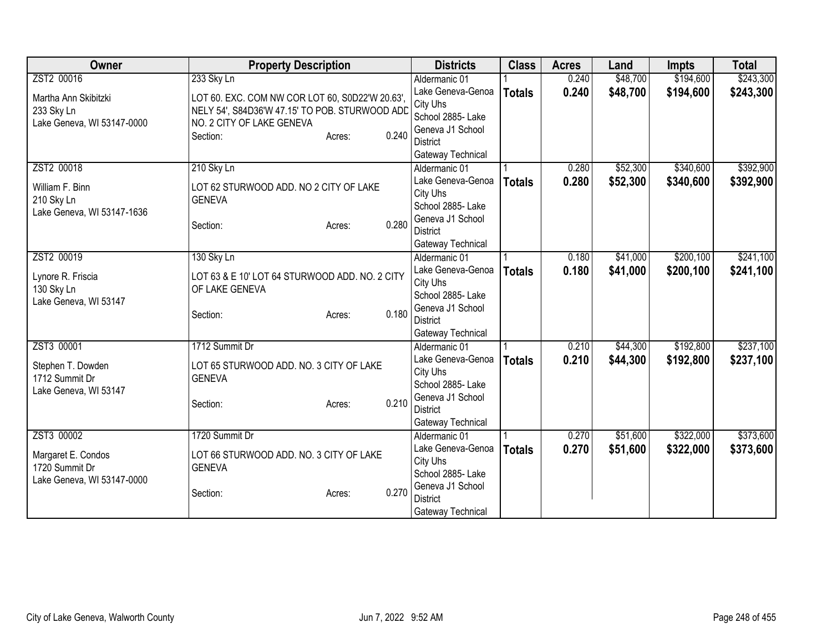| Owner                      | <b>Property Description</b>                     |                 | <b>Districts</b>                   | <b>Class</b>  | <b>Acres</b> | Land     | <b>Impts</b> | <b>Total</b> |
|----------------------------|-------------------------------------------------|-----------------|------------------------------------|---------------|--------------|----------|--------------|--------------|
| ZST2 00016                 | 233 Sky Ln                                      |                 | Aldermanic 01                      |               | 0.240        | \$48,700 | \$194,600    | \$243,300    |
| Martha Ann Skibitzki       | LOT 60. EXC. COM NW COR LOT 60, S0D22'W 20.63', |                 | Lake Geneva-Genoa                  | <b>Totals</b> | 0.240        | \$48,700 | \$194,600    | \$243,300    |
| 233 Sky Ln                 | NELY 54', S84D36'W 47.15' TO POB. STURWOOD ADD  |                 | City Uhs                           |               |              |          |              |              |
| Lake Geneva, WI 53147-0000 | NO. 2 CITY OF LAKE GENEVA                       |                 | School 2885- Lake                  |               |              |          |              |              |
|                            | Section:                                        | 0.240<br>Acres: | Geneva J1 School                   |               |              |          |              |              |
|                            |                                                 |                 | <b>District</b>                    |               |              |          |              |              |
|                            |                                                 |                 | Gateway Technical                  |               |              |          |              |              |
| ZST2 00018                 | 210 Sky Ln                                      |                 | Aldermanic 01                      |               | 0.280        | \$52,300 | \$340,600    | \$392,900    |
| William F. Binn            | LOT 62 STURWOOD ADD. NO 2 CITY OF LAKE          |                 | Lake Geneva-Genoa                  | <b>Totals</b> | 0.280        | \$52,300 | \$340,600    | \$392,900    |
| 210 Sky Ln                 | <b>GENEVA</b>                                   |                 | City Uhs                           |               |              |          |              |              |
| Lake Geneva, WI 53147-1636 |                                                 |                 | School 2885- Lake                  |               |              |          |              |              |
|                            | Section:                                        | 0.280<br>Acres: | Geneva J1 School                   |               |              |          |              |              |
|                            |                                                 |                 | <b>District</b>                    |               |              |          |              |              |
| ZST2 00019                 | 130 Sky Ln                                      |                 | Gateway Technical                  |               | 0.180        | \$41,000 | \$200,100    | \$241,100    |
|                            |                                                 |                 | Aldermanic 01<br>Lake Geneva-Genoa |               |              |          |              |              |
| Lynore R. Friscia          | LOT 63 & E 10' LOT 64 STURWOOD ADD. NO. 2 CITY  |                 | City Uhs                           | <b>Totals</b> | 0.180        | \$41,000 | \$200,100    | \$241,100    |
| 130 Sky Ln                 | OF LAKE GENEVA                                  |                 | School 2885- Lake                  |               |              |          |              |              |
| Lake Geneva, WI 53147      |                                                 |                 | Geneva J1 School                   |               |              |          |              |              |
|                            | Section:                                        | 0.180<br>Acres: | <b>District</b>                    |               |              |          |              |              |
|                            |                                                 |                 | Gateway Technical                  |               |              |          |              |              |
| ZST3 00001                 | 1712 Summit Dr                                  |                 | Aldermanic 01                      |               | 0.210        | \$44,300 | \$192,800    | \$237,100    |
|                            |                                                 |                 | Lake Geneva-Genoa                  | <b>Totals</b> | 0.210        | \$44,300 | \$192,800    | \$237,100    |
| Stephen T. Dowden          | LOT 65 STURWOOD ADD. NO. 3 CITY OF LAKE         |                 | City Uhs                           |               |              |          |              |              |
| 1712 Summit Dr             | <b>GENEVA</b>                                   |                 | School 2885- Lake                  |               |              |          |              |              |
| Lake Geneva, WI 53147      | Section:                                        | 0.210           | Geneva J1 School                   |               |              |          |              |              |
|                            |                                                 | Acres:          | <b>District</b>                    |               |              |          |              |              |
|                            |                                                 |                 | Gateway Technical                  |               |              |          |              |              |
| ZST3 00002                 | 1720 Summit Dr                                  |                 | Aldermanic 01                      |               | 0.270        | \$51,600 | \$322,000    | \$373,600    |
| Margaret E. Condos         | LOT 66 STURWOOD ADD. NO. 3 CITY OF LAKE         |                 | Lake Geneva-Genoa                  | <b>Totals</b> | 0.270        | \$51,600 | \$322,000    | \$373,600    |
| 1720 Summit Dr             | <b>GENEVA</b>                                   |                 | City Uhs                           |               |              |          |              |              |
| Lake Geneva, WI 53147-0000 |                                                 |                 | School 2885- Lake                  |               |              |          |              |              |
|                            | Section:                                        | 0.270<br>Acres: | Geneva J1 School                   |               |              |          |              |              |
|                            |                                                 |                 | <b>District</b>                    |               |              |          |              |              |
|                            |                                                 |                 | Gateway Technical                  |               |              |          |              |              |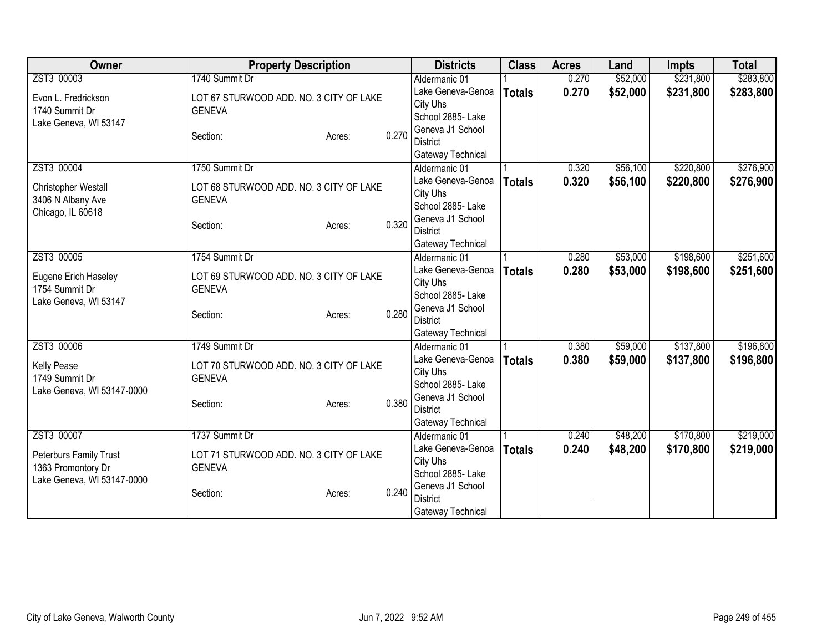| Owner                      | <b>Property Description</b>             |        |       | <b>Districts</b>              | <b>Class</b>  | <b>Acres</b> | Land     | <b>Impts</b> | <b>Total</b> |
|----------------------------|-----------------------------------------|--------|-------|-------------------------------|---------------|--------------|----------|--------------|--------------|
| ZST3 00003                 | 1740 Summit Dr                          |        |       | Aldermanic 01                 |               | 0.270        | \$52,000 | \$231,800    | \$283,800    |
| Evon L. Fredrickson        | LOT 67 STURWOOD ADD. NO. 3 CITY OF LAKE |        |       | Lake Geneva-Genoa             | <b>Totals</b> | 0.270        | \$52,000 | \$231,800    | \$283,800    |
| 1740 Summit Dr             | <b>GENEVA</b>                           |        |       | City Uhs                      |               |              |          |              |              |
| Lake Geneva, WI 53147      |                                         |        |       | School 2885- Lake             |               |              |          |              |              |
|                            | Section:                                | Acres: | 0.270 | Geneva J1 School              |               |              |          |              |              |
|                            |                                         |        |       | <b>District</b>               |               |              |          |              |              |
|                            |                                         |        |       | Gateway Technical             |               |              |          |              |              |
| ZST3 00004                 | 1750 Summit Dr                          |        |       | Aldermanic 01                 |               | 0.320        | \$56,100 | \$220,800    | \$276,900    |
| Christopher Westall        | LOT 68 STURWOOD ADD. NO. 3 CITY OF LAKE |        |       | Lake Geneva-Genoa             | <b>Totals</b> | 0.320        | \$56,100 | \$220,800    | \$276,900    |
| 3406 N Albany Ave          | <b>GENEVA</b>                           |        |       | City Uhs<br>School 2885- Lake |               |              |          |              |              |
| Chicago, IL 60618          |                                         |        |       | Geneva J1 School              |               |              |          |              |              |
|                            | Section:                                | Acres: | 0.320 | <b>District</b>               |               |              |          |              |              |
|                            |                                         |        |       | Gateway Technical             |               |              |          |              |              |
| ZST3 00005                 | 1754 Summit Dr                          |        |       | Aldermanic 01                 |               | 0.280        | \$53,000 | \$198,600    | \$251,600    |
|                            |                                         |        |       | Lake Geneva-Genoa             | <b>Totals</b> | 0.280        | \$53,000 | \$198,600    | \$251,600    |
| Eugene Erich Haseley       | LOT 69 STURWOOD ADD. NO. 3 CITY OF LAKE |        |       | City Uhs                      |               |              |          |              |              |
| 1754 Summit Dr             | <b>GENEVA</b>                           |        |       | School 2885- Lake             |               |              |          |              |              |
| Lake Geneva, WI 53147      |                                         |        |       | Geneva J1 School              |               |              |          |              |              |
|                            | Section:                                | Acres: | 0.280 | <b>District</b>               |               |              |          |              |              |
|                            |                                         |        |       | Gateway Technical             |               |              |          |              |              |
| ZST3 00006                 | 1749 Summit Dr                          |        |       | Aldermanic 01                 |               | 0.380        | \$59,000 | \$137,800    | \$196,800    |
| Kelly Pease                | LOT 70 STURWOOD ADD. NO. 3 CITY OF LAKE |        |       | Lake Geneva-Genoa             | <b>Totals</b> | 0.380        | \$59,000 | \$137,800    | \$196,800    |
| 1749 Summit Dr             | <b>GENEVA</b>                           |        |       | City Uhs                      |               |              |          |              |              |
| Lake Geneva, WI 53147-0000 |                                         |        |       | School 2885- Lake             |               |              |          |              |              |
|                            | Section:                                | Acres: | 0.380 | Geneva J1 School              |               |              |          |              |              |
|                            |                                         |        |       | <b>District</b>               |               |              |          |              |              |
|                            |                                         |        |       | Gateway Technical             |               |              |          |              |              |
| ZST3 00007                 | 1737 Summit Dr                          |        |       | Aldermanic 01                 |               | 0.240        | \$48,200 | \$170,800    | \$219,000    |
| Peterburs Family Trust     | LOT 71 STURWOOD ADD. NO. 3 CITY OF LAKE |        |       | Lake Geneva-Genoa             | <b>Totals</b> | 0.240        | \$48,200 | \$170,800    | \$219,000    |
| 1363 Promontory Dr         | <b>GENEVA</b>                           |        |       | City Uhs                      |               |              |          |              |              |
| Lake Geneva, WI 53147-0000 |                                         |        |       | School 2885-Lake              |               |              |          |              |              |
|                            | Section:                                | Acres: | 0.240 | Geneva J1 School              |               |              |          |              |              |
|                            |                                         |        |       | <b>District</b>               |               |              |          |              |              |
|                            |                                         |        |       | Gateway Technical             |               |              |          |              |              |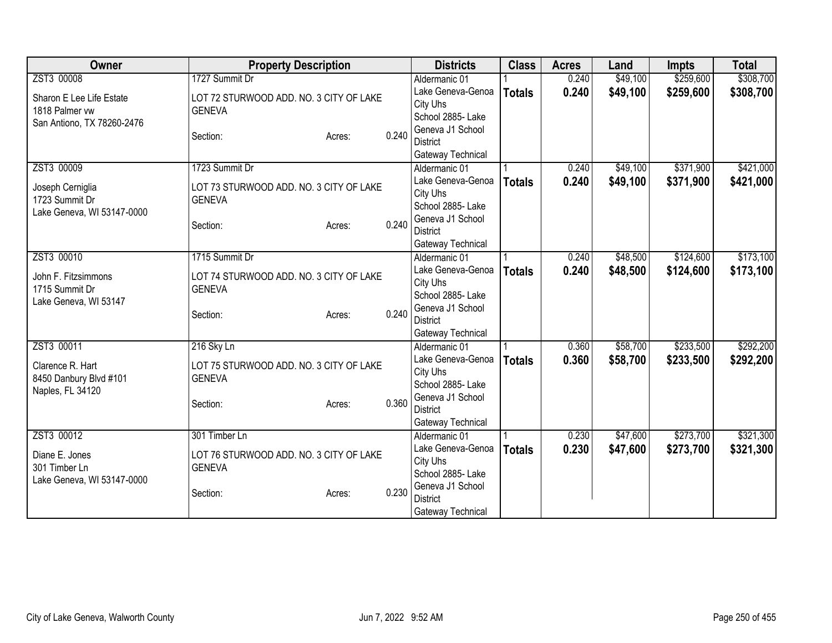| Owner                      | <b>Property Description</b>             |        |       | <b>Districts</b>  | <b>Class</b>  | <b>Acres</b> | Land     | <b>Impts</b> | <b>Total</b> |
|----------------------------|-----------------------------------------|--------|-------|-------------------|---------------|--------------|----------|--------------|--------------|
| ZST3 00008                 | 1727 Summit Dr                          |        |       | Aldermanic 01     |               | 0.240        | \$49,100 | \$259,600    | \$308,700    |
| Sharon E Lee Life Estate   | LOT 72 STURWOOD ADD. NO. 3 CITY OF LAKE |        |       | Lake Geneva-Genoa | <b>Totals</b> | 0.240        | \$49,100 | \$259,600    | \$308,700    |
| 1818 Palmer vw             | <b>GENEVA</b>                           |        |       | City Uhs          |               |              |          |              |              |
| San Antiono, TX 78260-2476 |                                         |        |       | School 2885-Lake  |               |              |          |              |              |
|                            | Section:                                | Acres: | 0.240 | Geneva J1 School  |               |              |          |              |              |
|                            |                                         |        |       | <b>District</b>   |               |              |          |              |              |
|                            |                                         |        |       | Gateway Technical |               |              |          |              |              |
| ZST3 00009                 | 1723 Summit Dr                          |        |       | Aldermanic 01     |               | 0.240        | \$49,100 | \$371,900    | \$421,000    |
| Joseph Cerniglia           | LOT 73 STURWOOD ADD. NO. 3 CITY OF LAKE |        |       | Lake Geneva-Genoa | <b>Totals</b> | 0.240        | \$49,100 | \$371,900    | \$421,000    |
| 1723 Summit Dr             | <b>GENEVA</b>                           |        |       | City Uhs          |               |              |          |              |              |
| Lake Geneva, WI 53147-0000 |                                         |        |       | School 2885- Lake |               |              |          |              |              |
|                            | Section:                                | Acres: | 0.240 | Geneva J1 School  |               |              |          |              |              |
|                            |                                         |        |       | <b>District</b>   |               |              |          |              |              |
|                            |                                         |        |       | Gateway Technical |               |              |          |              |              |
| ZST3 00010                 | 1715 Summit Dr                          |        |       | Aldermanic 01     |               | 0.240        | \$48,500 | \$124,600    | \$173,100    |
| John F. Fitzsimmons        | LOT 74 STURWOOD ADD. NO. 3 CITY OF LAKE |        |       | Lake Geneva-Genoa | <b>Totals</b> | 0.240        | \$48,500 | \$124,600    | \$173,100    |
| 1715 Summit Dr             | <b>GENEVA</b>                           |        |       | City Uhs          |               |              |          |              |              |
| Lake Geneva, WI 53147      |                                         |        |       | School 2885- Lake |               |              |          |              |              |
|                            | Section:                                | Acres: | 0.240 | Geneva J1 School  |               |              |          |              |              |
|                            |                                         |        |       | <b>District</b>   |               |              |          |              |              |
|                            |                                         |        |       | Gateway Technical |               |              |          |              |              |
| ZST3 00011                 | 216 Sky Ln                              |        |       | Aldermanic 01     |               | 0.360        | \$58,700 | \$233,500    | \$292,200    |
| Clarence R. Hart           | LOT 75 STURWOOD ADD. NO. 3 CITY OF LAKE |        |       | Lake Geneva-Genoa | <b>Totals</b> | 0.360        | \$58,700 | \$233,500    | \$292,200    |
| 8450 Danbury Blvd #101     | <b>GENEVA</b>                           |        |       | City Uhs          |               |              |          |              |              |
| Naples, FL 34120           |                                         |        |       | School 2885-Lake  |               |              |          |              |              |
|                            | Section:                                | Acres: | 0.360 | Geneva J1 School  |               |              |          |              |              |
|                            |                                         |        |       | <b>District</b>   |               |              |          |              |              |
|                            |                                         |        |       | Gateway Technical |               |              |          |              |              |
| ZST3 00012                 | 301 Timber Ln                           |        |       | Aldermanic 01     |               | 0.230        | \$47,600 | \$273,700    | \$321,300    |
| Diane E. Jones             | LOT 76 STURWOOD ADD. NO. 3 CITY OF LAKE |        |       | Lake Geneva-Genoa | <b>Totals</b> | 0.230        | \$47,600 | \$273,700    | \$321,300    |
| 301 Timber Ln              | <b>GENEVA</b>                           |        |       | City Uhs          |               |              |          |              |              |
| Lake Geneva, WI 53147-0000 |                                         |        |       | School 2885- Lake |               |              |          |              |              |
|                            | Section:                                | Acres: | 0.230 | Geneva J1 School  |               |              |          |              |              |
|                            |                                         |        |       | <b>District</b>   |               |              |          |              |              |
|                            |                                         |        |       | Gateway Technical |               |              |          |              |              |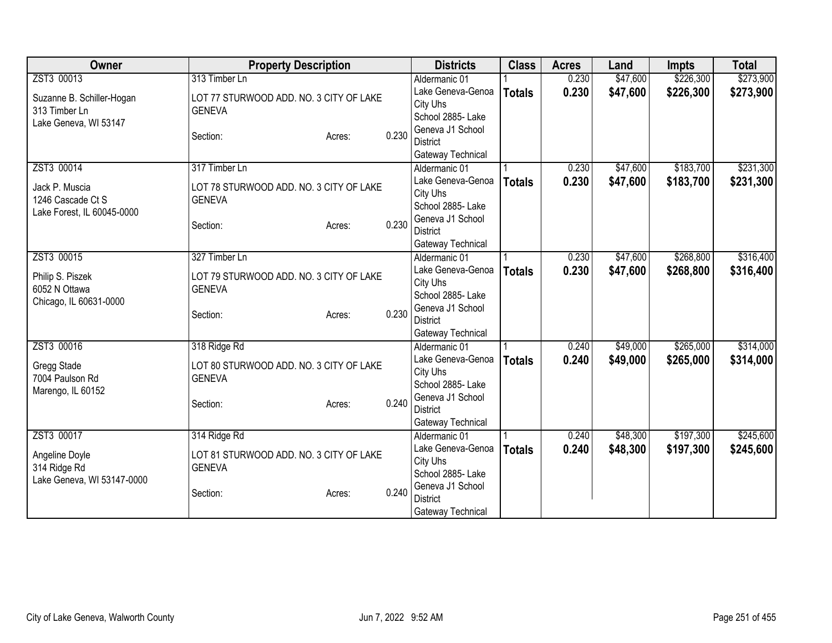| Owner                      | <b>Property Description</b>             |        |       | <b>Districts</b>                    | <b>Class</b>  | <b>Acres</b> | Land     | <b>Impts</b> | <b>Total</b> |
|----------------------------|-----------------------------------------|--------|-------|-------------------------------------|---------------|--------------|----------|--------------|--------------|
| ZST3 00013                 | 313 Timber Ln                           |        |       | Aldermanic 01                       |               | 0.230        | \$47,600 | \$226,300    | \$273,900    |
| Suzanne B. Schiller-Hogan  | LOT 77 STURWOOD ADD. NO. 3 CITY OF LAKE |        |       | Lake Geneva-Genoa                   | <b>Totals</b> | 0.230        | \$47,600 | \$226,300    | \$273,900    |
| 313 Timber Ln              | <b>GENEVA</b>                           |        |       | City Uhs                            |               |              |          |              |              |
| Lake Geneva, WI 53147      |                                         |        |       | School 2885- Lake                   |               |              |          |              |              |
|                            | Section:                                | Acres: | 0.230 | Geneva J1 School                    |               |              |          |              |              |
|                            |                                         |        |       | <b>District</b>                     |               |              |          |              |              |
|                            |                                         |        |       | Gateway Technical                   |               |              |          |              |              |
| ZST3 00014                 | 317 Timber Ln                           |        |       | Aldermanic 01                       |               | 0.230        | \$47,600 | \$183,700    | \$231,300    |
| Jack P. Muscia             | LOT 78 STURWOOD ADD. NO. 3 CITY OF LAKE |        |       | Lake Geneva-Genoa                   | <b>Totals</b> | 0.230        | \$47,600 | \$183,700    | \$231,300    |
| 1246 Cascade Ct S          | <b>GENEVA</b>                           |        |       | City Uhs                            |               |              |          |              |              |
| Lake Forest, IL 60045-0000 |                                         |        |       | School 2885- Lake                   |               |              |          |              |              |
|                            | Section:                                | Acres: | 0.230 | Geneva J1 School                    |               |              |          |              |              |
|                            |                                         |        |       | <b>District</b>                     |               |              |          |              |              |
|                            |                                         |        |       | Gateway Technical                   |               |              |          |              |              |
| ZST3 00015                 | 327 Timber Ln                           |        |       | Aldermanic 01                       |               | 0.230        | \$47,600 | \$268,800    | \$316,400    |
| Philip S. Piszek           | LOT 79 STURWOOD ADD. NO. 3 CITY OF LAKE |        |       | Lake Geneva-Genoa                   | <b>Totals</b> | 0.230        | \$47,600 | \$268,800    | \$316,400    |
| 6052 N Ottawa              | <b>GENEVA</b>                           |        |       | City Uhs                            |               |              |          |              |              |
| Chicago, IL 60631-0000     |                                         |        |       | School 2885- Lake                   |               |              |          |              |              |
|                            | Section:                                | Acres: | 0.230 | Geneva J1 School<br><b>District</b> |               |              |          |              |              |
|                            |                                         |        |       |                                     |               |              |          |              |              |
| ZST3 00016                 | 318 Ridge Rd                            |        |       | Gateway Technical<br>Aldermanic 01  |               | 0.240        | \$49,000 | \$265,000    | \$314,000    |
|                            |                                         |        |       | Lake Geneva-Genoa                   |               | 0.240        |          |              |              |
| Gregg Stade                | LOT 80 STURWOOD ADD. NO. 3 CITY OF LAKE |        |       | City Uhs                            | <b>Totals</b> |              | \$49,000 | \$265,000    | \$314,000    |
| 7004 Paulson Rd            | <b>GENEVA</b>                           |        |       | School 2885-Lake                    |               |              |          |              |              |
| Marengo, IL 60152          |                                         |        |       | Geneva J1 School                    |               |              |          |              |              |
|                            | Section:                                | Acres: | 0.240 | <b>District</b>                     |               |              |          |              |              |
|                            |                                         |        |       | Gateway Technical                   |               |              |          |              |              |
| ZST3 00017                 | 314 Ridge Rd                            |        |       | Aldermanic 01                       |               | 0.240        | \$48,300 | \$197,300    | \$245,600    |
|                            |                                         |        |       | Lake Geneva-Genoa                   | <b>Totals</b> | 0.240        | \$48,300 | \$197,300    | \$245,600    |
| Angeline Doyle             | LOT 81 STURWOOD ADD. NO. 3 CITY OF LAKE |        |       | City Uhs                            |               |              |          |              |              |
| 314 Ridge Rd               | <b>GENEVA</b>                           |        |       | School 2885-Lake                    |               |              |          |              |              |
| Lake Geneva, WI 53147-0000 |                                         |        |       | Geneva J1 School                    |               |              |          |              |              |
|                            | Section:                                | Acres: | 0.240 | <b>District</b>                     |               |              |          |              |              |
|                            |                                         |        |       | Gateway Technical                   |               |              |          |              |              |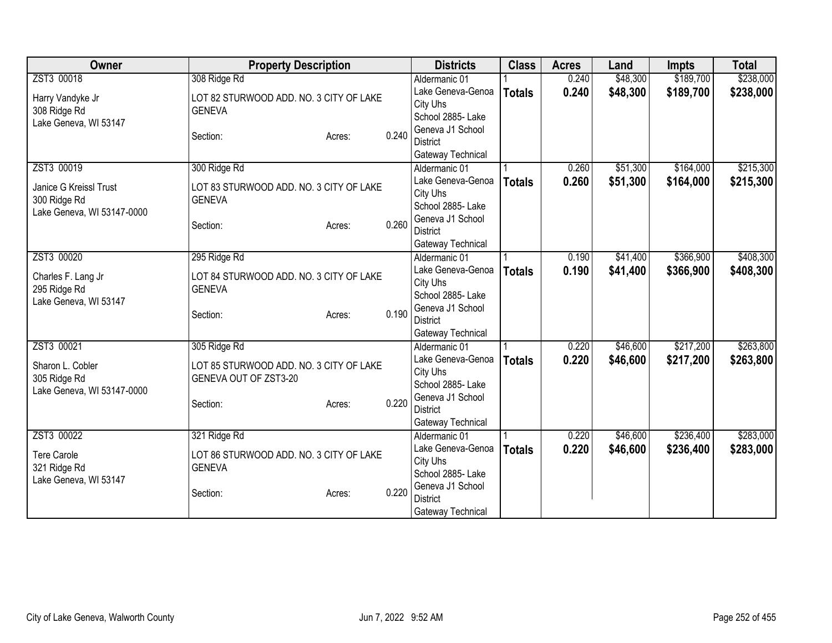| Owner                                      | <b>Property Description</b>             |        |       | <b>Districts</b>                    | <b>Class</b>  | <b>Acres</b> | Land     | <b>Impts</b> | <b>Total</b> |
|--------------------------------------------|-----------------------------------------|--------|-------|-------------------------------------|---------------|--------------|----------|--------------|--------------|
| ZST3 00018                                 | 308 Ridge Rd                            |        |       | Aldermanic 01                       |               | 0.240        | \$48,300 | \$189,700    | \$238,000    |
| Harry Vandyke Jr                           | LOT 82 STURWOOD ADD. NO. 3 CITY OF LAKE |        |       | Lake Geneva-Genoa                   | <b>Totals</b> | 0.240        | \$48,300 | \$189,700    | \$238,000    |
| 308 Ridge Rd                               | <b>GENEVA</b>                           |        |       | City Uhs                            |               |              |          |              |              |
| Lake Geneva, WI 53147                      |                                         |        |       | School 2885- Lake                   |               |              |          |              |              |
|                                            | Section:                                | Acres: | 0.240 | Geneva J1 School                    |               |              |          |              |              |
|                                            |                                         |        |       | <b>District</b>                     |               |              |          |              |              |
|                                            |                                         |        |       | Gateway Technical                   |               |              |          |              |              |
| ZST3 00019                                 | 300 Ridge Rd                            |        |       | Aldermanic 01                       |               | 0.260        | \$51,300 | \$164,000    | \$215,300    |
| Janice G Kreissl Trust                     | LOT 83 STURWOOD ADD. NO. 3 CITY OF LAKE |        |       | Lake Geneva-Genoa                   | <b>Totals</b> | 0.260        | \$51,300 | \$164,000    | \$215,300    |
| 300 Ridge Rd                               | <b>GENEVA</b>                           |        |       | City Uhs                            |               |              |          |              |              |
| Lake Geneva, WI 53147-0000                 |                                         |        |       | School 2885- Lake                   |               |              |          |              |              |
|                                            | Section:                                | Acres: | 0.260 | Geneva J1 School<br><b>District</b> |               |              |          |              |              |
|                                            |                                         |        |       | Gateway Technical                   |               |              |          |              |              |
| ZST3 00020                                 | 295 Ridge Rd                            |        |       | Aldermanic 01                       |               | 0.190        | \$41,400 | \$366,900    | \$408,300    |
|                                            |                                         |        |       | Lake Geneva-Genoa                   | <b>Totals</b> | 0.190        | \$41,400 | \$366,900    | \$408,300    |
| Charles F. Lang Jr                         | LOT 84 STURWOOD ADD. NO. 3 CITY OF LAKE |        |       | City Uhs                            |               |              |          |              |              |
| 295 Ridge Rd                               | <b>GENEVA</b>                           |        |       | School 2885- Lake                   |               |              |          |              |              |
| Lake Geneva, WI 53147                      |                                         |        |       | Geneva J1 School                    |               |              |          |              |              |
|                                            | Section:                                | Acres: | 0.190 | <b>District</b>                     |               |              |          |              |              |
|                                            |                                         |        |       | Gateway Technical                   |               |              |          |              |              |
| ZST3 00021                                 | 305 Ridge Rd                            |        |       | Aldermanic 01                       |               | 0.220        | \$46,600 | \$217,200    | \$263,800    |
|                                            |                                         |        |       | Lake Geneva-Genoa                   | <b>Totals</b> | 0.220        | \$46,600 | \$217,200    | \$263,800    |
| Sharon L. Cobler                           | LOT 85 STURWOOD ADD. NO. 3 CITY OF LAKE |        |       | City Uhs                            |               |              |          |              |              |
| 305 Ridge Rd<br>Lake Geneva, WI 53147-0000 | GENEVA OUT OF ZST3-20                   |        |       | School 2885- Lake                   |               |              |          |              |              |
|                                            | Section:                                | Acres: | 0.220 | Geneva J1 School                    |               |              |          |              |              |
|                                            |                                         |        |       | <b>District</b>                     |               |              |          |              |              |
|                                            |                                         |        |       | Gateway Technical                   |               |              |          |              |              |
| ZST3 00022                                 | 321 Ridge Rd                            |        |       | Aldermanic 01                       |               | 0.220        | \$46,600 | \$236,400    | \$283,000    |
| <b>Tere Carole</b>                         | LOT 86 STURWOOD ADD. NO. 3 CITY OF LAKE |        |       | Lake Geneva-Genoa                   | <b>Totals</b> | 0.220        | \$46,600 | \$236,400    | \$283,000    |
| 321 Ridge Rd                               | <b>GENEVA</b>                           |        |       | City Uhs                            |               |              |          |              |              |
| Lake Geneva, WI 53147                      |                                         |        |       | School 2885-Lake                    |               |              |          |              |              |
|                                            | Section:                                | Acres: | 0.220 | Geneva J1 School                    |               |              |          |              |              |
|                                            |                                         |        |       | <b>District</b>                     |               |              |          |              |              |
|                                            |                                         |        |       | Gateway Technical                   |               |              |          |              |              |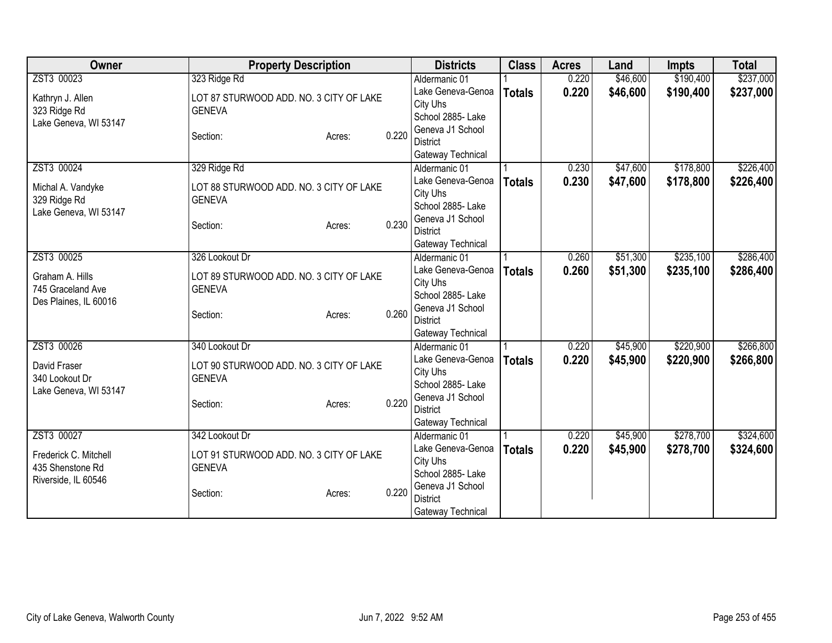| Owner                                   | <b>Property Description</b>             |        |          | <b>Districts</b>                   | <b>Class</b>  | <b>Acres</b> | Land      | <b>Impts</b> | <b>Total</b> |
|-----------------------------------------|-----------------------------------------|--------|----------|------------------------------------|---------------|--------------|-----------|--------------|--------------|
| ZST3 00023                              | 323 Ridge Rd                            |        |          | Aldermanic 01                      |               | 0.220        | \$46,600  | \$190,400    | \$237,000    |
| Kathryn J. Allen                        | LOT 87 STURWOOD ADD. NO. 3 CITY OF LAKE |        |          | Lake Geneva-Genoa                  | <b>Totals</b> | 0.220        | \$46,600  | \$190,400    | \$237,000    |
| 323 Ridge Rd                            | <b>GENEVA</b>                           |        |          | City Uhs                           |               |              |           |              |              |
| Lake Geneva, WI 53147                   |                                         |        |          | School 2885- Lake                  |               |              |           |              |              |
|                                         | Section:                                | Acres: | 0.220    | Geneva J1 School                   |               |              |           |              |              |
|                                         |                                         |        |          | <b>District</b>                    |               |              |           |              |              |
|                                         |                                         |        |          | Gateway Technical                  |               |              |           |              |              |
| ZST3 00024                              | 329 Ridge Rd                            |        |          | Aldermanic 01                      |               | 0.230        | \$47,600  | \$178,800    | \$226,400    |
| Michal A. Vandyke                       | LOT 88 STURWOOD ADD. NO. 3 CITY OF LAKE |        |          | Lake Geneva-Genoa                  | <b>Totals</b> | 0.230        | \$47,600  | \$178,800    | \$226,400    |
| 329 Ridge Rd                            | <b>GENEVA</b>                           |        |          | City Uhs                           |               |              |           |              |              |
| Lake Geneva, WI 53147                   |                                         |        |          | School 2885- Lake                  |               |              |           |              |              |
|                                         | Section:                                | Acres: | 0.230    | Geneva J1 School                   |               |              |           |              |              |
|                                         |                                         |        |          | <b>District</b>                    |               |              |           |              |              |
| ZST3 00025                              | 326 Lookout Dr                          |        |          | Gateway Technical<br>Aldermanic 01 |               | 0.260        | \$51,300  | \$235,100    | \$286,400    |
|                                         |                                         |        |          | Lake Geneva-Genoa                  |               | 0.260        | \$51,300  |              |              |
| Graham A. Hills                         | LOT 89 STURWOOD ADD. NO. 3 CITY OF LAKE |        | City Uhs | <b>Totals</b>                      |               |              | \$235,100 | \$286,400    |              |
| 745 Graceland Ave                       | <b>GENEVA</b>                           |        |          | School 2885- Lake                  |               |              |           |              |              |
| Des Plaines, IL 60016                   |                                         |        |          | Geneva J1 School                   |               |              |           |              |              |
|                                         | Section:                                | Acres: | 0.260    | <b>District</b>                    |               |              |           |              |              |
|                                         |                                         |        |          | Gateway Technical                  |               |              |           |              |              |
| ZST3 00026                              | 340 Lookout Dr                          |        |          | Aldermanic 01                      |               | 0.220        | \$45,900  | \$220,900    | \$266,800    |
|                                         |                                         |        |          | Lake Geneva-Genoa                  | <b>Totals</b> | 0.220        | \$45,900  | \$220,900    | \$266,800    |
| David Fraser                            | LOT 90 STURWOOD ADD. NO. 3 CITY OF LAKE |        |          | City Uhs                           |               |              |           |              |              |
| 340 Lookout Dr<br>Lake Geneva, WI 53147 | <b>GENEVA</b>                           |        |          | School 2885- Lake                  |               |              |           |              |              |
|                                         | Section:                                | Acres: | 0.220    | Geneva J1 School                   |               |              |           |              |              |
|                                         |                                         |        |          | <b>District</b>                    |               |              |           |              |              |
|                                         |                                         |        |          | Gateway Technical                  |               |              |           |              |              |
| ZST3 00027                              | 342 Lookout Dr                          |        |          | Aldermanic 01                      |               | 0.220        | \$45,900  | \$278,700    | \$324,600    |
| Frederick C. Mitchell                   | LOT 91 STURWOOD ADD. NO. 3 CITY OF LAKE |        |          | Lake Geneva-Genoa                  | <b>Totals</b> | 0.220        | \$45,900  | \$278,700    | \$324,600    |
| 435 Shenstone Rd                        | <b>GENEVA</b>                           |        |          | City Uhs                           |               |              |           |              |              |
| Riverside, IL 60546                     |                                         |        |          | School 2885-Lake                   |               |              |           |              |              |
|                                         | Section:                                | Acres: | 0.220    | Geneva J1 School                   |               |              |           |              |              |
|                                         |                                         |        |          | <b>District</b>                    |               |              |           |              |              |
|                                         |                                         |        |          | Gateway Technical                  |               |              |           |              |              |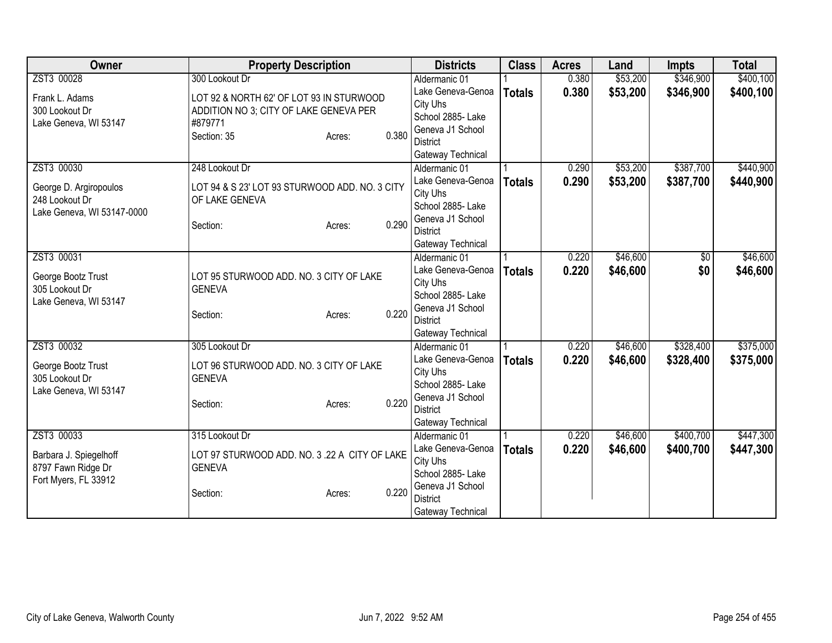| Owner                                   | <b>Property Description</b>                              |       | <b>Districts</b>                   | <b>Class</b>  | <b>Acres</b> | Land     | <b>Impts</b> | <b>Total</b> |
|-----------------------------------------|----------------------------------------------------------|-------|------------------------------------|---------------|--------------|----------|--------------|--------------|
| ZST3 00028                              | 300 Lookout Dr                                           |       | Aldermanic 01                      |               | 0.380        | \$53,200 | \$346,900    | \$400,100    |
| Frank L. Adams                          | LOT 92 & NORTH 62' OF LOT 93 IN STURWOOD                 |       | Lake Geneva-Genoa                  | <b>Totals</b> | 0.380        | \$53,200 | \$346,900    | \$400,100    |
| 300 Lookout Dr                          | ADDITION NO 3; CITY OF LAKE GENEVA PER                   |       | City Uhs                           |               |              |          |              |              |
| Lake Geneva, WI 53147                   | #879771                                                  |       | School 2885-Lake                   |               |              |          |              |              |
|                                         | Section: 35<br>Acres:                                    | 0.380 | Geneva J1 School                   |               |              |          |              |              |
|                                         |                                                          |       | <b>District</b>                    |               |              |          |              |              |
|                                         |                                                          |       | Gateway Technical                  |               |              |          |              |              |
| ZST3 00030                              | 248 Lookout Dr                                           |       | Aldermanic 01                      |               | 0.290        | \$53,200 | \$387,700    | \$440,900    |
| George D. Argiropoulos                  | LOT 94 & S 23' LOT 93 STURWOOD ADD. NO. 3 CITY           |       | Lake Geneva-Genoa                  | <b>Totals</b> | 0.290        | \$53,200 | \$387,700    | \$440,900    |
| 248 Lookout Dr                          | OF LAKE GENEVA                                           |       | City Uhs                           |               |              |          |              |              |
| Lake Geneva, WI 53147-0000              |                                                          |       | School 2885- Lake                  |               |              |          |              |              |
|                                         | Section:<br>Acres:                                       | 0.290 | Geneva J1 School                   |               |              |          |              |              |
|                                         |                                                          |       | <b>District</b>                    |               |              |          |              |              |
| ZST3 00031                              |                                                          |       | Gateway Technical<br>Aldermanic 01 |               | 0.220        | \$46,600 | \$0          | \$46,600     |
|                                         |                                                          |       | Lake Geneva-Genoa                  |               | 0.220        | \$46,600 | \$0          |              |
| George Bootz Trust                      | LOT 95 STURWOOD ADD. NO. 3 CITY OF LAKE                  |       | City Uhs                           | <b>Totals</b> |              |          |              | \$46,600     |
| 305 Lookout Dr                          | <b>GENEVA</b>                                            |       | School 2885- Lake                  |               |              |          |              |              |
| Lake Geneva, WI 53147                   |                                                          |       | Geneva J1 School                   |               |              |          |              |              |
|                                         | Section:<br>Acres:                                       | 0.220 | <b>District</b>                    |               |              |          |              |              |
|                                         |                                                          |       | Gateway Technical                  |               |              |          |              |              |
| ZST3 00032                              | 305 Lookout Dr                                           |       | Aldermanic 01                      |               | 0.220        | \$46,600 | \$328,400    | \$375,000    |
|                                         |                                                          |       | Lake Geneva-Genoa                  | <b>Totals</b> | 0.220        | \$46,600 | \$328,400    | \$375,000    |
| George Bootz Trust                      | LOT 96 STURWOOD ADD. NO. 3 CITY OF LAKE<br><b>GENEVA</b> |       | City Uhs                           |               |              |          |              |              |
| 305 Lookout Dr<br>Lake Geneva, WI 53147 |                                                          |       | School 2885- Lake                  |               |              |          |              |              |
|                                         | Section:<br>Acres:                                       | 0.220 | Geneva J1 School                   |               |              |          |              |              |
|                                         |                                                          |       | <b>District</b>                    |               |              |          |              |              |
|                                         |                                                          |       | Gateway Technical                  |               |              |          |              |              |
| ZST3 00033                              | 315 Lookout Dr                                           |       | Aldermanic 01                      |               | 0.220        | \$46,600 | \$400,700    | \$447,300    |
| Barbara J. Spiegelhoff                  | LOT 97 STURWOOD ADD. NO. 3 .22 A CITY OF LAKE            |       | Lake Geneva-Genoa                  | <b>Totals</b> | 0.220        | \$46,600 | \$400,700    | \$447,300    |
| 8797 Fawn Ridge Dr                      | <b>GENEVA</b>                                            |       | City Uhs                           |               |              |          |              |              |
| Fort Myers, FL 33912                    |                                                          |       | School 2885- Lake                  |               |              |          |              |              |
|                                         | Section:<br>Acres:                                       | 0.220 | Geneva J1 School                   |               |              |          |              |              |
|                                         |                                                          |       | <b>District</b>                    |               |              |          |              |              |
|                                         |                                                          |       | Gateway Technical                  |               |              |          |              |              |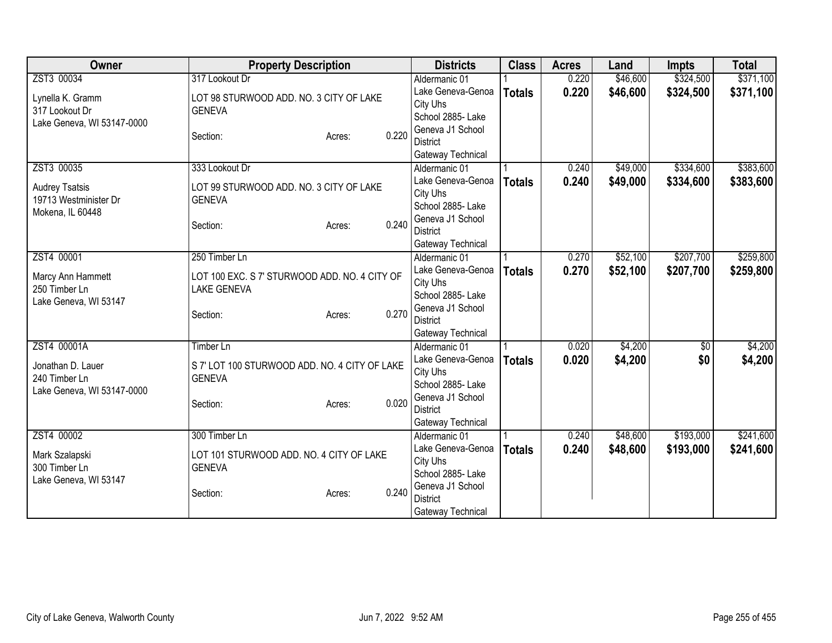| Owner                      | <b>Property Description</b>                   |        |       | <b>Districts</b>                    | <b>Class</b>  | <b>Acres</b> | Land     | <b>Impts</b>    | <b>Total</b> |
|----------------------------|-----------------------------------------------|--------|-------|-------------------------------------|---------------|--------------|----------|-----------------|--------------|
| ZST3 00034                 | 317 Lookout Dr                                |        |       | Aldermanic 01                       |               | 0.220        | \$46,600 | \$324,500       | \$371,100    |
| Lynella K. Gramm           | LOT 98 STURWOOD ADD. NO. 3 CITY OF LAKE       |        |       | Lake Geneva-Genoa                   | <b>Totals</b> | 0.220        | \$46,600 | \$324,500       | \$371,100    |
| 317 Lookout Dr             | <b>GENEVA</b>                                 |        |       | City Uhs                            |               |              |          |                 |              |
| Lake Geneva, WI 53147-0000 |                                               |        |       | School 2885- Lake                   |               |              |          |                 |              |
|                            | Section:                                      | Acres: | 0.220 | Geneva J1 School                    |               |              |          |                 |              |
|                            |                                               |        |       | <b>District</b>                     |               |              |          |                 |              |
| ZST3 00035                 |                                               |        |       | Gateway Technical                   |               |              |          | \$334,600       |              |
|                            | 333 Lookout Dr                                |        |       | Aldermanic 01<br>Lake Geneva-Genoa  |               | 0.240        | \$49,000 |                 | \$383,600    |
| <b>Audrey Tsatsis</b>      | LOT 99 STURWOOD ADD. NO. 3 CITY OF LAKE       |        |       | City Uhs                            | <b>Totals</b> | 0.240        | \$49,000 | \$334,600       | \$383,600    |
| 19713 Westminister Dr      | <b>GENEVA</b>                                 |        |       | School 2885- Lake                   |               |              |          |                 |              |
| Mokena, IL 60448           |                                               |        |       | Geneva J1 School                    |               |              |          |                 |              |
|                            | Section:                                      | Acres: | 0.240 | <b>District</b>                     |               |              |          |                 |              |
|                            |                                               |        |       | Gateway Technical                   |               |              |          |                 |              |
| ZST4 00001                 | 250 Timber Ln                                 |        |       | Aldermanic 01                       |               | 0.270        | \$52,100 | \$207,700       | \$259,800    |
|                            |                                               |        |       | Lake Geneva-Genoa                   | <b>Totals</b> | 0.270        | \$52,100 | \$207,700       | \$259,800    |
| Marcy Ann Hammett          | LOT 100 EXC. S 7' STURWOOD ADD. NO. 4 CITY OF |        |       | City Uhs                            |               |              |          |                 |              |
| 250 Timber Ln              | <b>LAKE GENEVA</b>                            |        |       | School 2885- Lake                   |               |              |          |                 |              |
| Lake Geneva, WI 53147      |                                               |        | 0.270 | Geneva J1 School                    |               |              |          |                 |              |
|                            | Section:                                      | Acres: |       | <b>District</b>                     |               |              |          |                 |              |
|                            |                                               |        |       | Gateway Technical                   |               |              |          |                 |              |
| ZST4 00001A                | <b>Timber Ln</b>                              |        |       | Aldermanic 01                       |               | 0.020        | \$4,200  | $\overline{60}$ | \$4,200      |
| Jonathan D. Lauer          | S 7' LOT 100 STURWOOD ADD. NO. 4 CITY OF LAKE |        |       | Lake Geneva-Genoa                   | <b>Totals</b> | 0.020        | \$4,200  | \$0             | \$4,200      |
| 240 Timber Ln              | <b>GENEVA</b>                                 |        |       | City Uhs                            |               |              |          |                 |              |
| Lake Geneva, WI 53147-0000 |                                               |        |       | School 2885-Lake                    |               |              |          |                 |              |
|                            | Section:                                      | Acres: | 0.020 | Geneva J1 School<br><b>District</b> |               |              |          |                 |              |
|                            |                                               |        |       | Gateway Technical                   |               |              |          |                 |              |
| ZST4 00002                 | 300 Timber Ln                                 |        |       | Aldermanic 01                       |               | 0.240        | \$48,600 | \$193,000       | \$241,600    |
|                            |                                               |        |       | Lake Geneva-Genoa                   |               | 0.240        | \$48,600 | \$193,000       | \$241,600    |
| Mark Szalapski             | LOT 101 STURWOOD ADD. NO. 4 CITY OF LAKE      |        |       | City Uhs                            | <b>Totals</b> |              |          |                 |              |
| 300 Timber Ln              | <b>GENEVA</b>                                 |        |       | School 2885-Lake                    |               |              |          |                 |              |
| Lake Geneva, WI 53147      |                                               |        |       | Geneva J1 School                    |               |              |          |                 |              |
|                            | Section:                                      | Acres: | 0.240 | <b>District</b>                     |               |              |          |                 |              |
|                            |                                               |        |       | Gateway Technical                   |               |              |          |                 |              |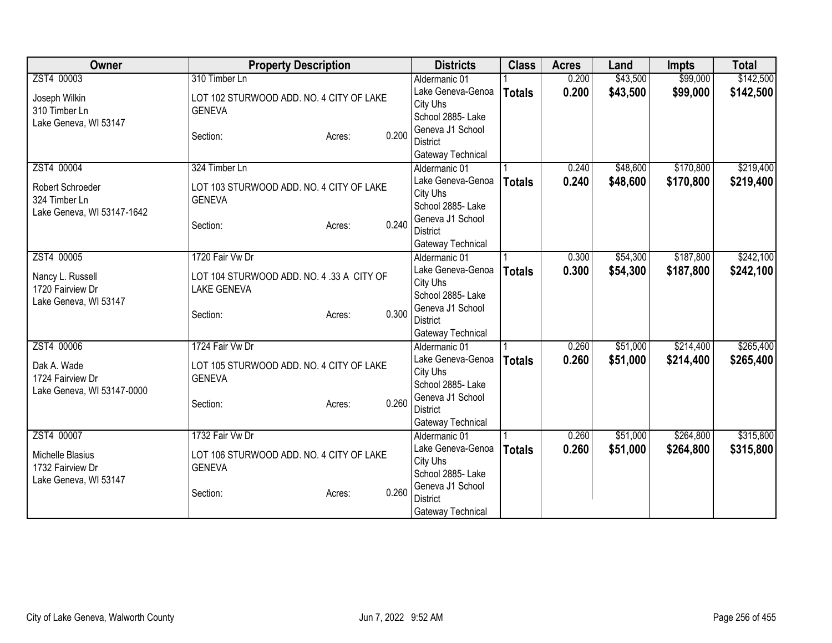| Owner                      | <b>Property Description</b>               |                 | <b>Districts</b>  | <b>Class</b>  | <b>Acres</b> | Land     | <b>Impts</b> | <b>Total</b> |
|----------------------------|-------------------------------------------|-----------------|-------------------|---------------|--------------|----------|--------------|--------------|
| ZST4 00003                 | 310 Timber Ln                             |                 | Aldermanic 01     |               | 0.200        | \$43,500 | \$99,000     | \$142,500    |
| Joseph Wilkin              | LOT 102 STURWOOD ADD. NO. 4 CITY OF LAKE  |                 | Lake Geneva-Genoa | <b>Totals</b> | 0.200        | \$43,500 | \$99,000     | \$142,500    |
| 310 Timber Ln              | <b>GENEVA</b>                             |                 | City Uhs          |               |              |          |              |              |
| Lake Geneva, WI 53147      |                                           |                 | School 2885- Lake |               |              |          |              |              |
|                            | Section:                                  | 0.200<br>Acres: | Geneva J1 School  |               |              |          |              |              |
|                            |                                           |                 | <b>District</b>   |               |              |          |              |              |
|                            |                                           |                 | Gateway Technical |               |              |          |              |              |
| ZST4 00004                 | 324 Timber Ln                             |                 | Aldermanic 01     |               | 0.240        | \$48,600 | \$170,800    | \$219,400    |
| Robert Schroeder           | LOT 103 STURWOOD ADD. NO. 4 CITY OF LAKE  |                 | Lake Geneva-Genoa | <b>Totals</b> | 0.240        | \$48,600 | \$170,800    | \$219,400    |
| 324 Timber Ln              | <b>GENEVA</b>                             |                 | City Uhs          |               |              |          |              |              |
| Lake Geneva, WI 53147-1642 |                                           |                 | School 2885- Lake |               |              |          |              |              |
|                            | Section:                                  | 0.240<br>Acres: | Geneva J1 School  |               |              |          |              |              |
|                            |                                           |                 | <b>District</b>   |               |              |          |              |              |
|                            |                                           |                 | Gateway Technical |               |              |          |              |              |
| ZST4 00005                 | 1720 Fair Vw Dr                           |                 | Aldermanic 01     |               | 0.300        | \$54,300 | \$187,800    | \$242,100    |
| Nancy L. Russell           | LOT 104 STURWOOD ADD. NO. 4 .33 A CITY OF |                 | Lake Geneva-Genoa | <b>Totals</b> | 0.300        | \$54,300 | \$187,800    | \$242,100    |
| 1720 Fairview Dr           | <b>LAKE GENEVA</b>                        |                 | City Uhs          |               |              |          |              |              |
| Lake Geneva, WI 53147      |                                           |                 | School 2885- Lake |               |              |          |              |              |
|                            | Section:                                  | 0.300<br>Acres: | Geneva J1 School  |               |              |          |              |              |
|                            |                                           |                 | <b>District</b>   |               |              |          |              |              |
|                            |                                           |                 | Gateway Technical |               |              |          |              |              |
| ZST4 00006                 | 1724 Fair Vw Dr                           |                 | Aldermanic 01     |               | 0.260        | \$51,000 | \$214,400    | \$265,400    |
| Dak A. Wade                | LOT 105 STURWOOD ADD. NO. 4 CITY OF LAKE  |                 | Lake Geneva-Genoa | <b>Totals</b> | 0.260        | \$51,000 | \$214,400    | \$265,400    |
| 1724 Fairview Dr           | <b>GENEVA</b>                             |                 | City Uhs          |               |              |          |              |              |
| Lake Geneva, WI 53147-0000 |                                           |                 | School 2885- Lake |               |              |          |              |              |
|                            | Section:                                  | 0.260<br>Acres: | Geneva J1 School  |               |              |          |              |              |
|                            |                                           |                 | <b>District</b>   |               |              |          |              |              |
|                            |                                           |                 | Gateway Technical |               |              |          |              |              |
| ZST4 00007                 | 1732 Fair Vw Dr                           |                 | Aldermanic 01     |               | 0.260        | \$51,000 | \$264,800    | \$315,800    |
| <b>Michelle Blasius</b>    | LOT 106 STURWOOD ADD. NO. 4 CITY OF LAKE  |                 | Lake Geneva-Genoa | <b>Totals</b> | 0.260        | \$51,000 | \$264,800    | \$315,800    |
| 1732 Fairview Dr           | <b>GENEVA</b>                             |                 | City Uhs          |               |              |          |              |              |
| Lake Geneva, WI 53147      |                                           |                 | School 2885- Lake |               |              |          |              |              |
|                            | Section:                                  | 0.260<br>Acres: | Geneva J1 School  |               |              |          |              |              |
|                            |                                           |                 | <b>District</b>   |               |              |          |              |              |
|                            |                                           |                 | Gateway Technical |               |              |          |              |              |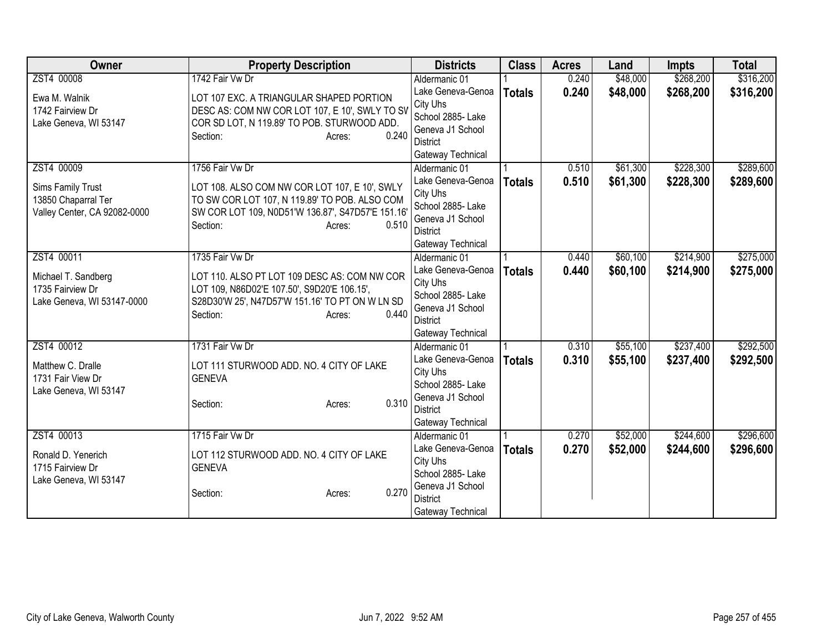| Owner                        | <b>Property Description</b>                       | <b>Districts</b>                    | <b>Class</b>  | <b>Acres</b> | Land     | <b>Impts</b> | <b>Total</b> |
|------------------------------|---------------------------------------------------|-------------------------------------|---------------|--------------|----------|--------------|--------------|
| ZST4 00008                   | 1742 Fair Vw Dr                                   | Aldermanic 01                       |               | 0.240        | \$48,000 | \$268,200    | \$316,200    |
| Ewa M. Walnik                | LOT 107 EXC. A TRIANGULAR SHAPED PORTION          | Lake Geneva-Genoa                   | <b>Totals</b> | 0.240        | \$48,000 | \$268,200    | \$316,200    |
| 1742 Fairview Dr             | DESC AS: COM NW COR LOT 107, E 10', SWLY TO SV    | City Uhs                            |               |              |          |              |              |
| Lake Geneva, WI 53147        | COR SD LOT, N 119.89' TO POB. STURWOOD ADD.       | School 2885- Lake                   |               |              |          |              |              |
|                              | 0.240<br>Section:<br>Acres:                       | Geneva J1 School                    |               |              |          |              |              |
|                              |                                                   | <b>District</b>                     |               |              |          |              |              |
|                              |                                                   | Gateway Technical                   |               |              |          |              |              |
| ZST4 00009                   | 1756 Fair Vw Dr                                   | Aldermanic 01                       |               | 0.510        | \$61,300 | \$228,300    | \$289,600    |
| Sims Family Trust            | LOT 108. ALSO COM NW COR LOT 107, E 10', SWLY     | Lake Geneva-Genoa                   | <b>Totals</b> | 0.510        | \$61,300 | \$228,300    | \$289,600    |
| 13850 Chaparral Ter          | TO SW COR LOT 107, N 119.89' TO POB. ALSO COM     | City Uhs                            |               |              |          |              |              |
| Valley Center, CA 92082-0000 | SW COR LOT 109, N0D51'W 136.87', S47D57'E 151.16' | School 2885- Lake                   |               |              |          |              |              |
|                              | 0.510<br>Section:<br>Acres:                       | Geneva J1 School                    |               |              |          |              |              |
|                              |                                                   | District                            |               |              |          |              |              |
|                              |                                                   | Gateway Technical                   |               |              |          |              |              |
| ZST4 00011                   | 1735 Fair Vw Dr                                   | Aldermanic 01                       |               | 0.440        | \$60,100 | \$214,900    | \$275,000    |
| Michael T. Sandberg          | LOT 110. ALSO PT LOT 109 DESC AS: COM NW COR      | Lake Geneva-Genoa                   | <b>Totals</b> | 0.440        | \$60,100 | \$214,900    | \$275,000    |
| 1735 Fairview Dr             | LOT 109, N86D02'E 107.50', S9D20'E 106.15',       | City Uhs                            |               |              |          |              |              |
| Lake Geneva, WI 53147-0000   | S28D30'W 25', N47D57'W 151.16' TO PT ON W LN SD   | School 2885- Lake                   |               |              |          |              |              |
|                              | 0.440<br>Section:<br>Acres:                       | Geneva J1 School                    |               |              |          |              |              |
|                              |                                                   | <b>District</b>                     |               |              |          |              |              |
|                              |                                                   | Gateway Technical                   |               |              |          |              |              |
| ZST4 00012                   | 1731 Fair Vw Dr                                   | Aldermanic 01                       |               | 0.310        | \$55,100 | \$237,400    | \$292,500    |
| Matthew C. Dralle            | LOT 111 STURWOOD ADD. NO. 4 CITY OF LAKE          | Lake Geneva-Genoa                   | <b>Totals</b> | 0.310        | \$55,100 | \$237,400    | \$292,500    |
| 1731 Fair View Dr            | <b>GENEVA</b>                                     | City Uhs                            |               |              |          |              |              |
| Lake Geneva, WI 53147        |                                                   | School 2885- Lake                   |               |              |          |              |              |
|                              | 0.310<br>Section:<br>Acres:                       | Geneva J1 School<br><b>District</b> |               |              |          |              |              |
|                              |                                                   |                                     |               |              |          |              |              |
| ZST4 00013                   | 1715 Fair Vw Dr                                   | Gateway Technical                   |               |              |          | \$244,600    | \$296,600    |
|                              |                                                   | Aldermanic 01<br>Lake Geneva-Genoa  |               | 0.270        | \$52,000 |              |              |
| Ronald D. Yenerich           | LOT 112 STURWOOD ADD. NO. 4 CITY OF LAKE          | City Uhs                            | <b>Totals</b> | 0.270        | \$52,000 | \$244,600    | \$296,600    |
| 1715 Fairview Dr             | <b>GENEVA</b>                                     | School 2885- Lake                   |               |              |          |              |              |
| Lake Geneva, WI 53147        |                                                   | Geneva J1 School                    |               |              |          |              |              |
|                              | 0.270<br>Section:<br>Acres:                       | <b>District</b>                     |               |              |          |              |              |
|                              |                                                   | Gateway Technical                   |               |              |          |              |              |
|                              |                                                   |                                     |               |              |          |              |              |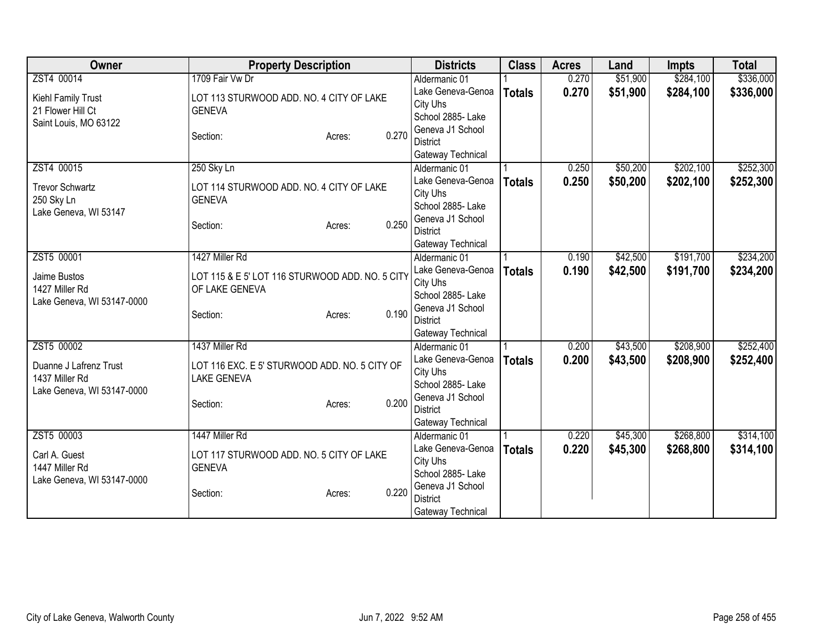| Owner                      | <b>Property Description</b>                     |       | <b>Districts</b>  | <b>Class</b>  | <b>Acres</b> | Land     | <b>Impts</b> | <b>Total</b> |
|----------------------------|-------------------------------------------------|-------|-------------------|---------------|--------------|----------|--------------|--------------|
| ZST4 00014                 | 1709 Fair Vw Dr                                 |       | Aldermanic 01     |               | 0.270        | \$51,900 | \$284,100    | \$336,000    |
| Kiehl Family Trust         | LOT 113 STURWOOD ADD. NO. 4 CITY OF LAKE        |       | Lake Geneva-Genoa | <b>Totals</b> | 0.270        | \$51,900 | \$284,100    | \$336,000    |
| 21 Flower Hill Ct          | <b>GENEVA</b>                                   |       | City Uhs          |               |              |          |              |              |
| Saint Louis, MO 63122      |                                                 |       | School 2885- Lake |               |              |          |              |              |
|                            | Section:<br>Acres:                              | 0.270 | Geneva J1 School  |               |              |          |              |              |
|                            |                                                 |       | <b>District</b>   |               |              |          |              |              |
|                            |                                                 |       | Gateway Technical |               |              |          |              |              |
| ZST4 00015                 | 250 Sky Ln                                      |       | Aldermanic 01     |               | 0.250        | \$50,200 | \$202,100    | \$252,300    |
| <b>Trevor Schwartz</b>     | LOT 114 STURWOOD ADD. NO. 4 CITY OF LAKE        |       | Lake Geneva-Genoa | <b>Totals</b> | 0.250        | \$50,200 | \$202,100    | \$252,300    |
| 250 Sky Ln                 | <b>GENEVA</b>                                   |       | City Uhs          |               |              |          |              |              |
| Lake Geneva, WI 53147      |                                                 |       | School 2885- Lake |               |              |          |              |              |
|                            | Section:<br>Acres:                              | 0.250 | Geneva J1 School  |               |              |          |              |              |
|                            |                                                 |       | <b>District</b>   |               |              |          |              |              |
|                            |                                                 |       | Gateway Technical |               |              |          |              |              |
| ZST5 00001                 | 1427 Miller Rd                                  |       | Aldermanic 01     |               | 0.190        | \$42,500 | \$191,700    | \$234,200    |
| Jaime Bustos               | LOT 115 & E 5' LOT 116 STURWOOD ADD. NO. 5 CITY |       | Lake Geneva-Genoa | <b>Totals</b> | 0.190        | \$42,500 | \$191,700    | \$234,200    |
| 1427 Miller Rd             | OF LAKE GENEVA                                  |       | City Uhs          |               |              |          |              |              |
| Lake Geneva, WI 53147-0000 |                                                 |       | School 2885- Lake |               |              |          |              |              |
|                            | Section:<br>Acres:                              | 0.190 | Geneva J1 School  |               |              |          |              |              |
|                            |                                                 |       | <b>District</b>   |               |              |          |              |              |
|                            |                                                 |       | Gateway Technical |               |              |          |              |              |
| ZST5 00002                 | 1437 Miller Rd                                  |       | Aldermanic 01     |               | 0.200        | \$43,500 | \$208,900    | \$252,400    |
| Duanne J Lafrenz Trust     | LOT 116 EXC. E 5' STURWOOD ADD. NO. 5 CITY OF   |       | Lake Geneva-Genoa | <b>Totals</b> | 0.200        | \$43,500 | \$208,900    | \$252,400    |
| 1437 Miller Rd             | <b>LAKE GENEVA</b>                              |       | City Uhs          |               |              |          |              |              |
| Lake Geneva, WI 53147-0000 |                                                 |       | School 2885- Lake |               |              |          |              |              |
|                            | Section:<br>Acres:                              | 0.200 | Geneva J1 School  |               |              |          |              |              |
|                            |                                                 |       | <b>District</b>   |               |              |          |              |              |
|                            |                                                 |       | Gateway Technical |               |              |          |              |              |
| ZST5 00003                 | 1447 Miller Rd                                  |       | Aldermanic 01     |               | 0.220        | \$45,300 | \$268,800    | \$314,100    |
| Carl A. Guest              | LOT 117 STURWOOD ADD. NO. 5 CITY OF LAKE        |       | Lake Geneva-Genoa | <b>Totals</b> | 0.220        | \$45,300 | \$268,800    | \$314,100    |
| 1447 Miller Rd             | <b>GENEVA</b>                                   |       | City Uhs          |               |              |          |              |              |
| Lake Geneva, WI 53147-0000 |                                                 |       | School 2885- Lake |               |              |          |              |              |
|                            | Section:<br>Acres:                              | 0.220 | Geneva J1 School  |               |              |          |              |              |
|                            |                                                 |       | <b>District</b>   |               |              |          |              |              |
|                            |                                                 |       | Gateway Technical |               |              |          |              |              |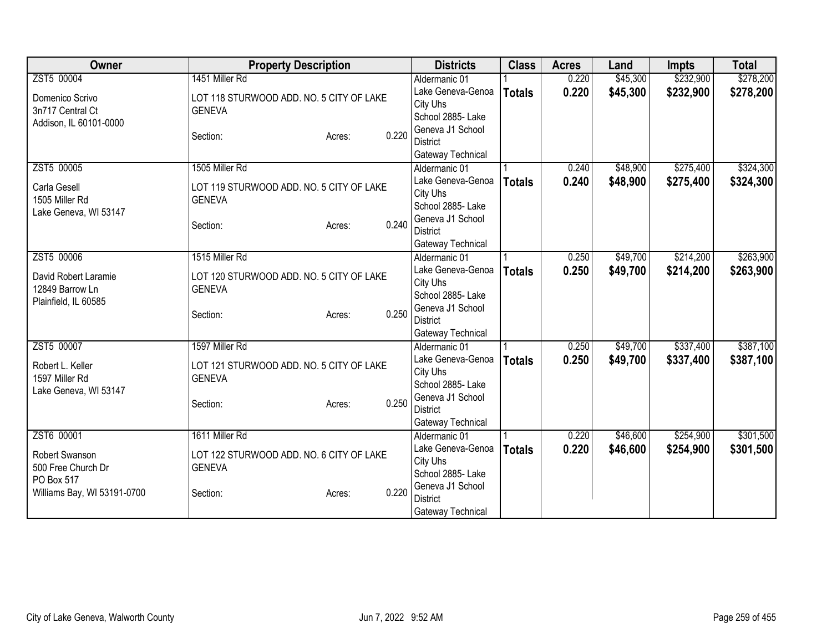| Owner                       | <b>Property Description</b>              |        |       | <b>Districts</b>  | <b>Class</b>  | <b>Acres</b> | Land     | <b>Impts</b> | <b>Total</b> |
|-----------------------------|------------------------------------------|--------|-------|-------------------|---------------|--------------|----------|--------------|--------------|
| ZST5 00004                  | 1451 Miller Rd                           |        |       | Aldermanic 01     |               | 0.220        | \$45,300 | \$232,900    | \$278,200    |
| Domenico Scrivo             | LOT 118 STURWOOD ADD. NO. 5 CITY OF LAKE |        |       | Lake Geneva-Genoa | <b>Totals</b> | 0.220        | \$45,300 | \$232,900    | \$278,200    |
| 3n717 Central Ct            | <b>GENEVA</b>                            |        |       | City Uhs          |               |              |          |              |              |
| Addison, IL 60101-0000      |                                          |        |       | School 2885- Lake |               |              |          |              |              |
|                             | Section:                                 | Acres: | 0.220 | Geneva J1 School  |               |              |          |              |              |
|                             |                                          |        |       | <b>District</b>   |               |              |          |              |              |
|                             |                                          |        |       | Gateway Technical |               |              |          |              |              |
| ZST5 00005                  | 1505 Miller Rd                           |        |       | Aldermanic 01     |               | 0.240        | \$48,900 | \$275,400    | \$324,300    |
| Carla Gesell                | LOT 119 STURWOOD ADD. NO. 5 CITY OF LAKE |        |       | Lake Geneva-Genoa | <b>Totals</b> | 0.240        | \$48,900 | \$275,400    | \$324,300    |
| 1505 Miller Rd              | <b>GENEVA</b>                            |        |       | City Uhs          |               |              |          |              |              |
| Lake Geneva, WI 53147       |                                          |        |       | School 2885- Lake |               |              |          |              |              |
|                             | Section:                                 | Acres: | 0.240 | Geneva J1 School  |               |              |          |              |              |
|                             |                                          |        |       | <b>District</b>   |               |              |          |              |              |
|                             |                                          |        |       | Gateway Technical |               |              |          |              |              |
| ZST5 00006                  | 1515 Miller Rd                           |        |       | Aldermanic 01     |               | 0.250        | \$49,700 | \$214,200    | \$263,900    |
| David Robert Laramie        | LOT 120 STURWOOD ADD. NO. 5 CITY OF LAKE |        |       | Lake Geneva-Genoa | <b>Totals</b> | 0.250        | \$49,700 | \$214,200    | \$263,900    |
| 12849 Barrow Ln             | <b>GENEVA</b>                            |        |       | City Uhs          |               |              |          |              |              |
| Plainfield, IL 60585        |                                          |        |       | School 2885- Lake |               |              |          |              |              |
|                             | Section:                                 | Acres: | 0.250 | Geneva J1 School  |               |              |          |              |              |
|                             |                                          |        |       | <b>District</b>   |               |              |          |              |              |
|                             |                                          |        |       | Gateway Technical |               |              |          |              |              |
| ZST5 00007                  | 1597 Miller Rd                           |        |       | Aldermanic 01     |               | 0.250        | \$49,700 | \$337,400    | \$387,100    |
| Robert L. Keller            | LOT 121 STURWOOD ADD. NO. 5 CITY OF LAKE |        |       | Lake Geneva-Genoa | <b>Totals</b> | 0.250        | \$49,700 | \$337,400    | \$387,100    |
| 1597 Miller Rd              | <b>GENEVA</b>                            |        |       | City Uhs          |               |              |          |              |              |
| Lake Geneva, WI 53147       |                                          |        |       | School 2885- Lake |               |              |          |              |              |
|                             | Section:                                 | Acres: | 0.250 | Geneva J1 School  |               |              |          |              |              |
|                             |                                          |        |       | <b>District</b>   |               |              |          |              |              |
|                             |                                          |        |       | Gateway Technical |               |              |          |              |              |
| ZST6 00001                  | 1611 Miller Rd                           |        |       | Aldermanic 01     |               | 0.220        | \$46,600 | \$254,900    | \$301,500    |
| Robert Swanson              | LOT 122 STURWOOD ADD. NO. 6 CITY OF LAKE |        |       | Lake Geneva-Genoa | <b>Totals</b> | 0.220        | \$46,600 | \$254,900    | \$301,500    |
| 500 Free Church Dr          | <b>GENEVA</b>                            |        |       | City Uhs          |               |              |          |              |              |
| PO Box 517                  |                                          |        |       | School 2885-Lake  |               |              |          |              |              |
| Williams Bay, WI 53191-0700 | Section:                                 | Acres: | 0.220 | Geneva J1 School  |               |              |          |              |              |
|                             |                                          |        |       | <b>District</b>   |               |              |          |              |              |
|                             |                                          |        |       | Gateway Technical |               |              |          |              |              |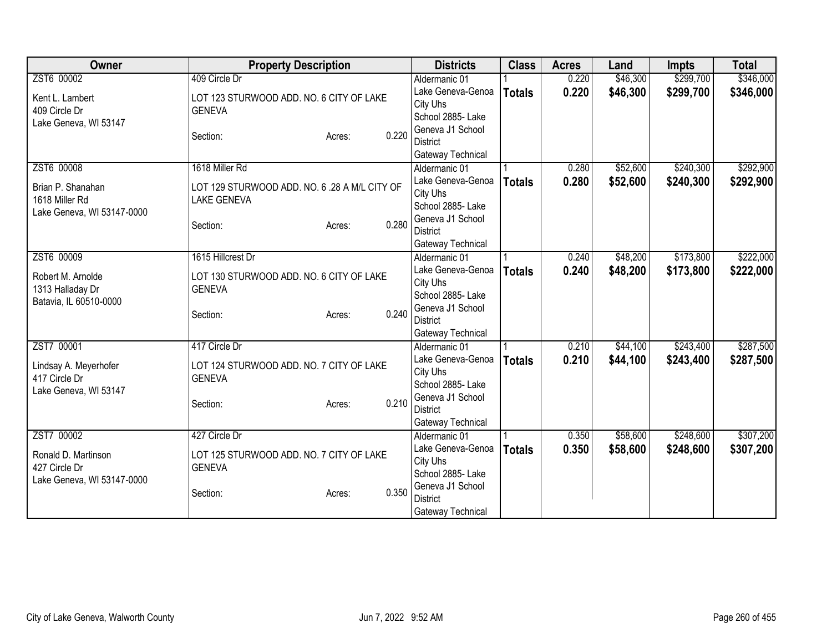| Owner                      | <b>Property Description</b>                   |                 | <b>Districts</b>  | <b>Class</b>  | <b>Acres</b> | Land     | <b>Impts</b> | <b>Total</b> |
|----------------------------|-----------------------------------------------|-----------------|-------------------|---------------|--------------|----------|--------------|--------------|
| ZST6 00002                 | 409 Circle Dr                                 |                 | Aldermanic 01     |               | 0.220        | \$46,300 | \$299,700    | \$346,000    |
| Kent L. Lambert            | LOT 123 STURWOOD ADD. NO. 6 CITY OF LAKE      |                 | Lake Geneva-Genoa | <b>Totals</b> | 0.220        | \$46,300 | \$299,700    | \$346,000    |
| 409 Circle Dr              | <b>GENEVA</b>                                 |                 | City Uhs          |               |              |          |              |              |
| Lake Geneva, WI 53147      |                                               |                 | School 2885- Lake |               |              |          |              |              |
|                            | Section:                                      | 0.220<br>Acres: | Geneva J1 School  |               |              |          |              |              |
|                            |                                               |                 | <b>District</b>   |               |              |          |              |              |
|                            |                                               |                 | Gateway Technical |               |              |          |              |              |
| ZST6 00008                 | 1618 Miller Rd                                |                 | Aldermanic 01     |               | 0.280        | \$52,600 | \$240,300    | \$292,900    |
| Brian P. Shanahan          | LOT 129 STURWOOD ADD. NO. 6 .28 A M/L CITY OF |                 | Lake Geneva-Genoa | <b>Totals</b> | 0.280        | \$52,600 | \$240,300    | \$292,900    |
| 1618 Miller Rd             | <b>LAKE GENEVA</b>                            |                 | City Uhs          |               |              |          |              |              |
| Lake Geneva, WI 53147-0000 |                                               |                 | School 2885- Lake |               |              |          |              |              |
|                            | Section:                                      | 0.280<br>Acres: | Geneva J1 School  |               |              |          |              |              |
|                            |                                               |                 | <b>District</b>   |               |              |          |              |              |
|                            |                                               |                 | Gateway Technical |               |              |          |              |              |
| ZST6 00009                 | 1615 Hillcrest Dr                             |                 | Aldermanic 01     |               | 0.240        | \$48,200 | \$173,800    | \$222,000    |
| Robert M. Arnolde          | LOT 130 STURWOOD ADD. NO. 6 CITY OF LAKE      |                 | Lake Geneva-Genoa | <b>Totals</b> | 0.240        | \$48,200 | \$173,800    | \$222,000    |
| 1313 Halladay Dr           | <b>GENEVA</b>                                 |                 | City Uhs          |               |              |          |              |              |
| Batavia, IL 60510-0000     |                                               |                 | School 2885- Lake |               |              |          |              |              |
|                            | Section:                                      | 0.240<br>Acres: | Geneva J1 School  |               |              |          |              |              |
|                            |                                               |                 | <b>District</b>   |               |              |          |              |              |
|                            |                                               |                 | Gateway Technical |               |              |          |              |              |
| ZST7 00001                 | 417 Circle Dr                                 |                 | Aldermanic 01     |               | 0.210        | \$44,100 | \$243,400    | \$287,500    |
| Lindsay A. Meyerhofer      | LOT 124 STURWOOD ADD. NO. 7 CITY OF LAKE      |                 | Lake Geneva-Genoa | <b>Totals</b> | 0.210        | \$44,100 | \$243,400    | \$287,500    |
| 417 Circle Dr              | <b>GENEVA</b>                                 |                 | City Uhs          |               |              |          |              |              |
| Lake Geneva, WI 53147      |                                               |                 | School 2885- Lake |               |              |          |              |              |
|                            | Section:                                      | 0.210<br>Acres: | Geneva J1 School  |               |              |          |              |              |
|                            |                                               |                 | <b>District</b>   |               |              |          |              |              |
|                            |                                               |                 | Gateway Technical |               |              |          |              |              |
| ZST7 00002                 | 427 Circle Dr                                 |                 | Aldermanic 01     |               | 0.350        | \$58,600 | \$248,600    | \$307,200    |
| Ronald D. Martinson        | LOT 125 STURWOOD ADD. NO. 7 CITY OF LAKE      |                 | Lake Geneva-Genoa | <b>Totals</b> | 0.350        | \$58,600 | \$248,600    | \$307,200    |
| 427 Circle Dr              | <b>GENEVA</b>                                 |                 | City Uhs          |               |              |          |              |              |
| Lake Geneva, WI 53147-0000 |                                               |                 | School 2885- Lake |               |              |          |              |              |
|                            | Section:                                      | 0.350<br>Acres: | Geneva J1 School  |               |              |          |              |              |
|                            |                                               |                 | <b>District</b>   |               |              |          |              |              |
|                            |                                               |                 | Gateway Technical |               |              |          |              |              |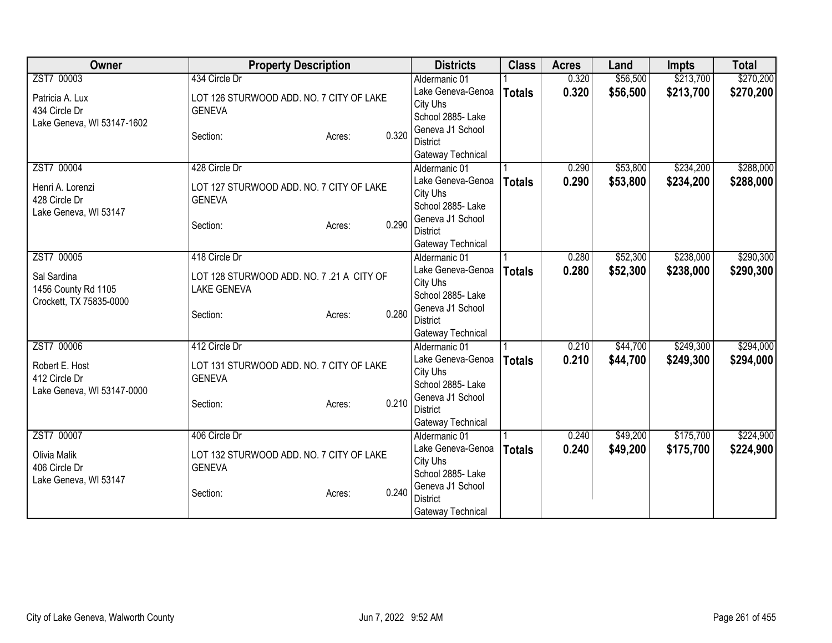| Owner                      | <b>Property Description</b>               |                 | <b>Districts</b>                    | <b>Class</b>  | <b>Acres</b> | Land     | <b>Impts</b> | <b>Total</b> |
|----------------------------|-------------------------------------------|-----------------|-------------------------------------|---------------|--------------|----------|--------------|--------------|
| ZST7 00003                 | 434 Circle Dr                             |                 | Aldermanic 01                       |               | 0.320        | \$56,500 | \$213,700    | \$270,200    |
| Patricia A. Lux            | LOT 126 STURWOOD ADD. NO. 7 CITY OF LAKE  |                 | Lake Geneva-Genoa                   | <b>Totals</b> | 0.320        | \$56,500 | \$213,700    | \$270,200    |
| 434 Circle Dr              | <b>GENEVA</b>                             |                 | City Uhs                            |               |              |          |              |              |
| Lake Geneva, WI 53147-1602 |                                           |                 | School 2885- Lake                   |               |              |          |              |              |
|                            | Section:                                  | 0.320<br>Acres: | Geneva J1 School                    |               |              |          |              |              |
|                            |                                           |                 | <b>District</b>                     |               |              |          |              |              |
|                            |                                           |                 | Gateway Technical                   |               |              |          |              |              |
| ZST7 00004                 | 428 Circle Dr                             |                 | Aldermanic 01                       |               | 0.290        | \$53,800 | \$234,200    | \$288,000    |
| Henri A. Lorenzi           | LOT 127 STURWOOD ADD. NO. 7 CITY OF LAKE  |                 | Lake Geneva-Genoa                   | <b>Totals</b> | 0.290        | \$53,800 | \$234,200    | \$288,000    |
| 428 Circle Dr              | <b>GENEVA</b>                             |                 | City Uhs                            |               |              |          |              |              |
| Lake Geneva, WI 53147      |                                           |                 | School 2885- Lake                   |               |              |          |              |              |
|                            | Section:                                  | 0.290<br>Acres: | Geneva J1 School                    |               |              |          |              |              |
|                            |                                           |                 | <b>District</b>                     |               |              |          |              |              |
|                            |                                           |                 | Gateway Technical                   |               |              |          |              |              |
| ZST7 00005                 | 418 Circle Dr                             |                 | Aldermanic 01                       |               | 0.280        | \$52,300 | \$238,000    | \$290,300    |
| Sal Sardina                | LOT 128 STURWOOD ADD. NO. 7 .21 A CITY OF |                 | Lake Geneva-Genoa                   | <b>Totals</b> | 0.280        | \$52,300 | \$238,000    | \$290,300    |
| 1456 County Rd 1105        | <b>LAKE GENEVA</b>                        |                 | City Uhs                            |               |              |          |              |              |
| Crockett, TX 75835-0000    |                                           |                 | School 2885- Lake                   |               |              |          |              |              |
|                            | Section:                                  | 0.280<br>Acres: | Geneva J1 School                    |               |              |          |              |              |
|                            |                                           |                 | <b>District</b>                     |               |              |          |              |              |
|                            |                                           |                 | Gateway Technical                   |               |              |          |              |              |
| ZST7 00006                 | 412 Circle Dr                             |                 | Aldermanic 01                       |               | 0.210        | \$44,700 | \$249,300    | \$294,000    |
| Robert E. Host             | LOT 131 STURWOOD ADD. NO. 7 CITY OF LAKE  |                 | Lake Geneva-Genoa                   | <b>Totals</b> | 0.210        | \$44,700 | \$249,300    | \$294,000    |
| 412 Circle Dr              | <b>GENEVA</b>                             |                 | City Uhs                            |               |              |          |              |              |
| Lake Geneva, WI 53147-0000 |                                           |                 | School 2885- Lake                   |               |              |          |              |              |
|                            | Section:                                  | 0.210<br>Acres: | Geneva J1 School<br><b>District</b> |               |              |          |              |              |
|                            |                                           |                 | Gateway Technical                   |               |              |          |              |              |
| ZST7 00007                 | 406 Circle Dr                             |                 | Aldermanic 01                       |               | 0.240        | \$49,200 | \$175,700    | \$224,900    |
|                            |                                           |                 | Lake Geneva-Genoa                   |               |              |          |              |              |
| Olivia Malik               | LOT 132 STURWOOD ADD. NO. 7 CITY OF LAKE  |                 | City Uhs                            | <b>Totals</b> | 0.240        | \$49,200 | \$175,700    | \$224,900    |
| 406 Circle Dr              | <b>GENEVA</b>                             |                 | School 2885- Lake                   |               |              |          |              |              |
| Lake Geneva, WI 53147      |                                           |                 | Geneva J1 School                    |               |              |          |              |              |
|                            | Section:                                  | 0.240<br>Acres: | <b>District</b>                     |               |              |          |              |              |
|                            |                                           |                 | Gateway Technical                   |               |              |          |              |              |
|                            |                                           |                 |                                     |               |              |          |              |              |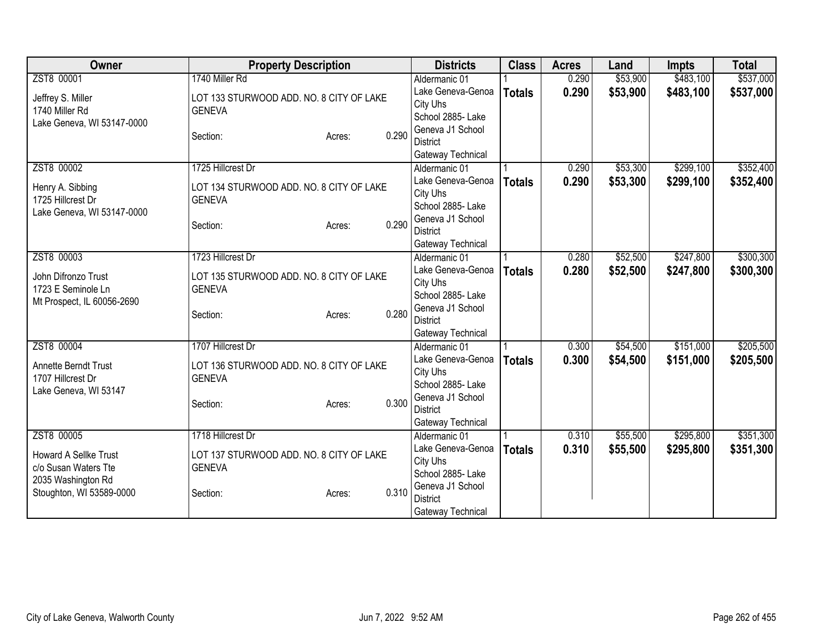| Owner                        | <b>Property Description</b>              |        |                          | <b>Districts</b>  | <b>Class</b>  | <b>Acres</b> | Land     | <b>Impts</b> | <b>Total</b> |
|------------------------------|------------------------------------------|--------|--------------------------|-------------------|---------------|--------------|----------|--------------|--------------|
| ZST8 00001                   | 1740 Miller Rd                           |        |                          | Aldermanic 01     |               | 0.290        | \$53,900 | \$483,100    | \$537,000    |
| Jeffrey S. Miller            | LOT 133 STURWOOD ADD. NO. 8 CITY OF LAKE |        |                          | Lake Geneva-Genoa | <b>Totals</b> | 0.290        | \$53,900 | \$483,100    | \$537,000    |
| 1740 Miller Rd               | <b>GENEVA</b>                            |        | City Uhs                 |                   |               |              |          |              |              |
| Lake Geneva, WI 53147-0000   |                                          |        |                          | School 2885- Lake |               |              |          |              |              |
|                              | Section:                                 | Acres: | 0.290                    | Geneva J1 School  |               |              |          |              |              |
|                              |                                          |        | <b>District</b>          |                   |               |              |          |              |              |
|                              |                                          |        |                          | Gateway Technical |               |              |          |              |              |
| ZST8 00002                   | 1725 Hillcrest Dr                        |        |                          | Aldermanic 01     |               | 0.290        | \$53,300 | \$299,100    | \$352,400    |
| Henry A. Sibbing             | LOT 134 STURWOOD ADD. NO. 8 CITY OF LAKE |        |                          | Lake Geneva-Genoa | <b>Totals</b> | 0.290        | \$53,300 | \$299,100    | \$352,400    |
| 1725 Hillcrest Dr            | <b>GENEVA</b>                            |        | City Uhs                 |                   |               |              |          |              |              |
| Lake Geneva, WI 53147-0000   |                                          |        |                          | School 2885- Lake |               |              |          |              |              |
|                              | Section:                                 | Acres: | 0.290                    | Geneva J1 School  |               |              |          |              |              |
|                              |                                          |        | <b>District</b>          |                   |               |              |          |              |              |
|                              |                                          |        |                          | Gateway Technical |               |              |          |              |              |
| ZST8 00003                   | 1723 Hillcrest Dr                        |        |                          | Aldermanic 01     |               | 0.280        | \$52,500 | \$247,800    | \$300,300    |
| John Difronzo Trust          | LOT 135 STURWOOD ADD. NO. 8 CITY OF LAKE |        |                          | Lake Geneva-Genoa | <b>Totals</b> | 0.280        | \$52,500 | \$247,800    | \$300,300    |
| 1723 E Seminole Ln           | <b>GENEVA</b>                            |        | City Uhs                 |                   |               |              |          |              |              |
| Mt Prospect, IL 60056-2690   |                                          |        |                          | School 2885- Lake |               |              |          |              |              |
|                              | Section:                                 | Acres: | 0.280                    | Geneva J1 School  |               |              |          |              |              |
|                              |                                          |        | <b>District</b>          |                   |               |              |          |              |              |
|                              | 1707 Hillcrest Dr                        |        |                          | Gateway Technical |               |              |          |              |              |
| ZST8 00004                   |                                          |        |                          | Aldermanic 01     |               | 0.300        | \$54,500 | \$151,000    | \$205,500    |
| Annette Berndt Trust         | LOT 136 STURWOOD ADD. NO. 8 CITY OF LAKE |        |                          | Lake Geneva-Genoa | <b>Totals</b> | 0.300        | \$54,500 | \$151,000    | \$205,500    |
| 1707 Hillcrest Dr            | <b>GENEVA</b>                            |        | City Uhs                 | School 2885- Lake |               |              |          |              |              |
| Lake Geneva, WI 53147        |                                          |        |                          | Geneva J1 School  |               |              |          |              |              |
|                              | Section:                                 | Acres: | 0.300<br><b>District</b> |                   |               |              |          |              |              |
|                              |                                          |        |                          | Gateway Technical |               |              |          |              |              |
| ZST8 00005                   | 1718 Hillcrest Dr                        |        |                          | Aldermanic 01     |               | 0.310        | \$55,500 | \$295,800    | \$351,300    |
|                              |                                          |        |                          | Lake Geneva-Genoa |               | 0.310        |          |              |              |
| <b>Howard A Sellke Trust</b> | LOT 137 STURWOOD ADD. NO. 8 CITY OF LAKE |        | City Uhs                 |                   | <b>Totals</b> |              | \$55,500 | \$295,800    | \$351,300    |
| c/o Susan Waters Tte         | <b>GENEVA</b>                            |        |                          | School 2885- Lake |               |              |          |              |              |
| 2035 Washington Rd           |                                          |        |                          | Geneva J1 School  |               |              |          |              |              |
| Stoughton, WI 53589-0000     | Section:                                 | Acres: | 0.310<br><b>District</b> |                   |               |              |          |              |              |
|                              |                                          |        |                          | Gateway Technical |               |              |          |              |              |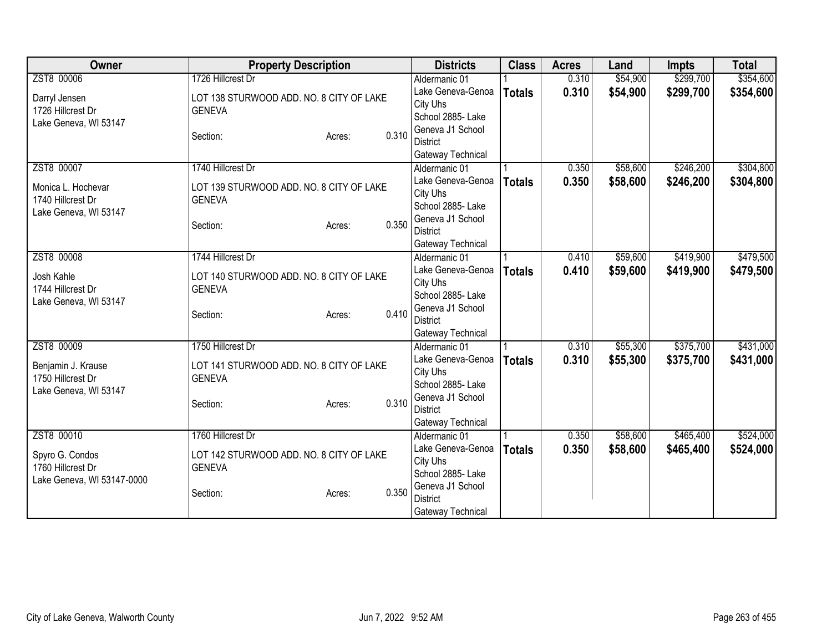| Owner                                                  | <b>Property Description</b>              |                 | <b>Districts</b>  | <b>Class</b>  | <b>Acres</b> | Land      | <b>Impts</b> | <b>Total</b> |
|--------------------------------------------------------|------------------------------------------|-----------------|-------------------|---------------|--------------|-----------|--------------|--------------|
| ZST8 00006                                             | 1726 Hillcrest Dr                        |                 | Aldermanic 01     |               | 0.310        | \$54,900  | \$299,700    | \$354,600    |
| Darryl Jensen                                          | LOT 138 STURWOOD ADD. NO. 8 CITY OF LAKE |                 | Lake Geneva-Genoa | <b>Totals</b> | 0.310        | \$54,900  | \$299,700    | \$354,600    |
| 1726 Hillcrest Dr                                      | <b>GENEVA</b>                            |                 | City Uhs          |               |              |           |              |              |
| Lake Geneva, WI 53147                                  |                                          |                 | School 2885- Lake |               |              |           |              |              |
|                                                        | Section:                                 | 0.310<br>Acres: | Geneva J1 School  |               |              |           |              |              |
|                                                        |                                          |                 | <b>District</b>   |               |              |           |              |              |
|                                                        |                                          |                 | Gateway Technical |               |              |           |              |              |
| ZST8 00007                                             | 1740 Hillcrest Dr                        |                 | Aldermanic 01     |               | 0.350        | \$58,600  | \$246,200    | \$304,800    |
| Monica L. Hochevar                                     | LOT 139 STURWOOD ADD. NO. 8 CITY OF LAKE |                 | Lake Geneva-Genoa | <b>Totals</b> | 0.350        | \$58,600  | \$246,200    | \$304,800    |
| 1740 Hillcrest Dr                                      | <b>GENEVA</b>                            |                 | City Uhs          |               |              |           |              |              |
| Lake Geneva, WI 53147                                  |                                          |                 | School 2885- Lake |               |              |           |              |              |
|                                                        | Section:                                 | 0.350<br>Acres: | Geneva J1 School  |               |              |           |              |              |
|                                                        |                                          |                 | <b>District</b>   |               |              |           |              |              |
|                                                        |                                          |                 | Gateway Technical |               |              |           |              |              |
| ZST8 00008                                             | 1744 Hillcrest Dr                        |                 | Aldermanic 01     |               | 0.410        | \$59,600  | \$419,900    | \$479,500    |
| Josh Kahle<br>LOT 140 STURWOOD ADD. NO. 8 CITY OF LAKE | Lake Geneva-Genoa                        | <b>Totals</b>   | 0.410             | \$59,600      | \$419,900    | \$479,500 |              |              |
| 1744 Hillcrest Dr                                      | <b>GENEVA</b>                            |                 | City Uhs          |               |              |           |              |              |
| Lake Geneva, WI 53147                                  |                                          |                 | School 2885- Lake |               |              |           |              |              |
|                                                        | Section:                                 | 0.410<br>Acres: | Geneva J1 School  |               |              |           |              |              |
|                                                        |                                          |                 | <b>District</b>   |               |              |           |              |              |
|                                                        |                                          |                 | Gateway Technical |               |              |           |              |              |
| ZST8 00009                                             | 1750 Hillcrest Dr                        |                 | Aldermanic 01     |               | 0.310        | \$55,300  | \$375,700    | \$431,000    |
| Benjamin J. Krause                                     | LOT 141 STURWOOD ADD. NO. 8 CITY OF LAKE |                 | Lake Geneva-Genoa | <b>Totals</b> | 0.310        | \$55,300  | \$375,700    | \$431,000    |
| 1750 Hillcrest Dr                                      | <b>GENEVA</b>                            |                 | City Uhs          |               |              |           |              |              |
| Lake Geneva, WI 53147                                  |                                          |                 | School 2885- Lake |               |              |           |              |              |
|                                                        | Section:                                 | 0.310<br>Acres: | Geneva J1 School  |               |              |           |              |              |
|                                                        |                                          |                 | <b>District</b>   |               |              |           |              |              |
|                                                        |                                          |                 | Gateway Technical |               |              |           |              |              |
| ZST8 00010                                             | 1760 Hillcrest Dr                        |                 | Aldermanic 01     |               | 0.350        | \$58,600  | \$465,400    | \$524,000    |
| Spyro G. Condos                                        | LOT 142 STURWOOD ADD. NO. 8 CITY OF LAKE |                 | Lake Geneva-Genoa | <b>Totals</b> | 0.350        | \$58,600  | \$465,400    | \$524,000    |
| 1760 Hillcrest Dr                                      | <b>GENEVA</b>                            |                 | City Uhs          |               |              |           |              |              |
| Lake Geneva, WI 53147-0000                             |                                          |                 | School 2885- Lake |               |              |           |              |              |
|                                                        | Section:                                 | 0.350<br>Acres: | Geneva J1 School  |               |              |           |              |              |
|                                                        |                                          |                 | <b>District</b>   |               |              |           |              |              |
|                                                        |                                          |                 | Gateway Technical |               |              |           |              |              |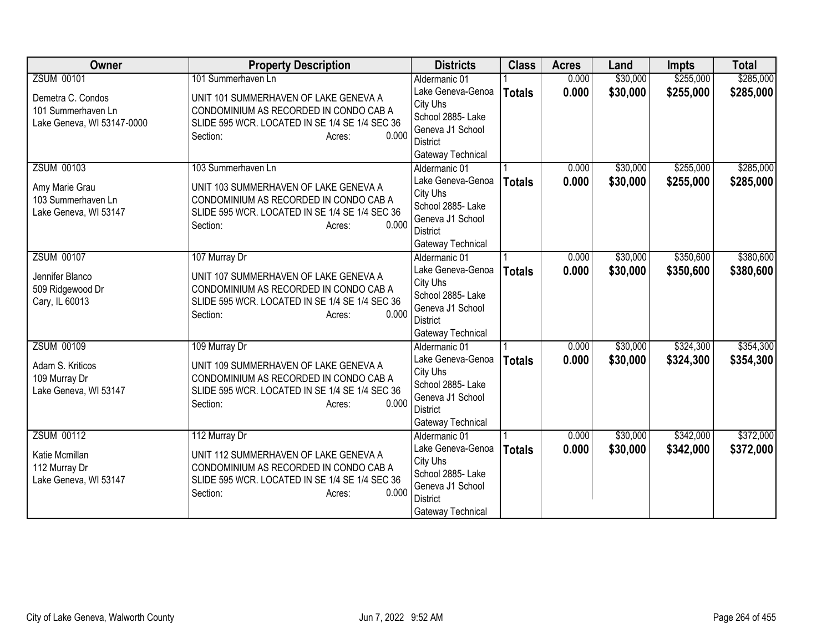| <b>Owner</b>               | <b>Property Description</b>                    | <b>Districts</b>                    | <b>Class</b>  | <b>Acres</b> | Land     | <b>Impts</b> | <b>Total</b> |
|----------------------------|------------------------------------------------|-------------------------------------|---------------|--------------|----------|--------------|--------------|
| <b>ZSUM 00101</b>          | 101 Summerhaven Ln                             | Aldermanic 01                       |               | 0.000        | \$30,000 | \$255,000    | \$285,000    |
| Demetra C. Condos          | UNIT 101 SUMMERHAVEN OF LAKE GENEVA A          | Lake Geneva-Genoa                   | <b>Totals</b> | 0.000        | \$30,000 | \$255,000    | \$285,000    |
| 101 Summerhaven Ln         | CONDOMINIUM AS RECORDED IN CONDO CAB A         | City Uhs                            |               |              |          |              |              |
| Lake Geneva, WI 53147-0000 | SLIDE 595 WCR. LOCATED IN SE 1/4 SE 1/4 SEC 36 | School 2885- Lake                   |               |              |          |              |              |
|                            | 0.000<br>Section:<br>Acres:                    | Geneva J1 School                    |               |              |          |              |              |
|                            |                                                | District                            |               |              |          |              |              |
|                            |                                                | Gateway Technical                   |               |              |          |              |              |
| <b>ZSUM 00103</b>          | 103 Summerhaven Ln                             | Aldermanic 01                       |               | 0.000        | \$30,000 | \$255,000    | \$285,000    |
| Amy Marie Grau             | UNIT 103 SUMMERHAVEN OF LAKE GENEVA A          | Lake Geneva-Genoa                   | <b>Totals</b> | 0.000        | \$30,000 | \$255,000    | \$285,000    |
| 103 Summerhaven Ln         | CONDOMINIUM AS RECORDED IN CONDO CAB A         | City Uhs                            |               |              |          |              |              |
| Lake Geneva, WI 53147      | SLIDE 595 WCR. LOCATED IN SE 1/4 SE 1/4 SEC 36 | School 2885- Lake                   |               |              |          |              |              |
|                            | 0.000<br>Section:<br>Acres:                    | Geneva J1 School                    |               |              |          |              |              |
|                            |                                                | <b>District</b>                     |               |              |          |              |              |
|                            |                                                | Gateway Technical                   |               |              |          |              |              |
| <b>ZSUM 00107</b>          | 107 Murray Dr                                  | Aldermanic 01                       |               | 0.000        | \$30,000 | \$350,600    | \$380,600    |
| Jennifer Blanco            | UNIT 107 SUMMERHAVEN OF LAKE GENEVA A          | Lake Geneva-Genoa                   | <b>Totals</b> | 0.000        | \$30,000 | \$350,600    | \$380,600    |
| 509 Ridgewood Dr           | CONDOMINIUM AS RECORDED IN CONDO CAB A         | City Uhs                            |               |              |          |              |              |
| Cary, IL 60013             | SLIDE 595 WCR. LOCATED IN SE 1/4 SE 1/4 SEC 36 | School 2885- Lake                   |               |              |          |              |              |
|                            | 0.000<br>Section:<br>Acres:                    | Geneva J1 School<br><b>District</b> |               |              |          |              |              |
|                            |                                                | Gateway Technical                   |               |              |          |              |              |
| <b>ZSUM 00109</b>          | 109 Murray Dr                                  | Aldermanic 01                       |               | 0.000        | \$30,000 | \$324,300    | \$354,300    |
|                            |                                                | Lake Geneva-Genoa                   | <b>Totals</b> | 0.000        | \$30,000 | \$324,300    | \$354,300    |
| Adam S. Kriticos           | UNIT 109 SUMMERHAVEN OF LAKE GENEVA A          | City Uhs                            |               |              |          |              |              |
| 109 Murray Dr              | CONDOMINIUM AS RECORDED IN CONDO CAB A         | School 2885- Lake                   |               |              |          |              |              |
| Lake Geneva, WI 53147      | SLIDE 595 WCR. LOCATED IN SE 1/4 SE 1/4 SEC 36 | Geneva J1 School                    |               |              |          |              |              |
|                            | 0.000<br>Section:<br>Acres:                    | <b>District</b>                     |               |              |          |              |              |
|                            |                                                | Gateway Technical                   |               |              |          |              |              |
| <b>ZSUM 00112</b>          | 112 Murray Dr                                  | Aldermanic 01                       |               | 0.000        | \$30,000 | \$342,000    | \$372,000    |
|                            |                                                | Lake Geneva-Genoa                   | <b>Totals</b> | 0.000        | \$30,000 | \$342,000    | \$372,000    |
| Katie Mcmillan             | UNIT 112 SUMMERHAVEN OF LAKE GENEVA A          | City Uhs                            |               |              |          |              |              |
| 112 Murray Dr              | CONDOMINIUM AS RECORDED IN CONDO CAB A         | School 2885- Lake                   |               |              |          |              |              |
| Lake Geneva, WI 53147      | SLIDE 595 WCR. LOCATED IN SE 1/4 SE 1/4 SEC 36 | Geneva J1 School                    |               |              |          |              |              |
|                            | 0.000<br>Section:<br>Acres:                    | <b>District</b>                     |               |              |          |              |              |
|                            |                                                | Gateway Technical                   |               |              |          |              |              |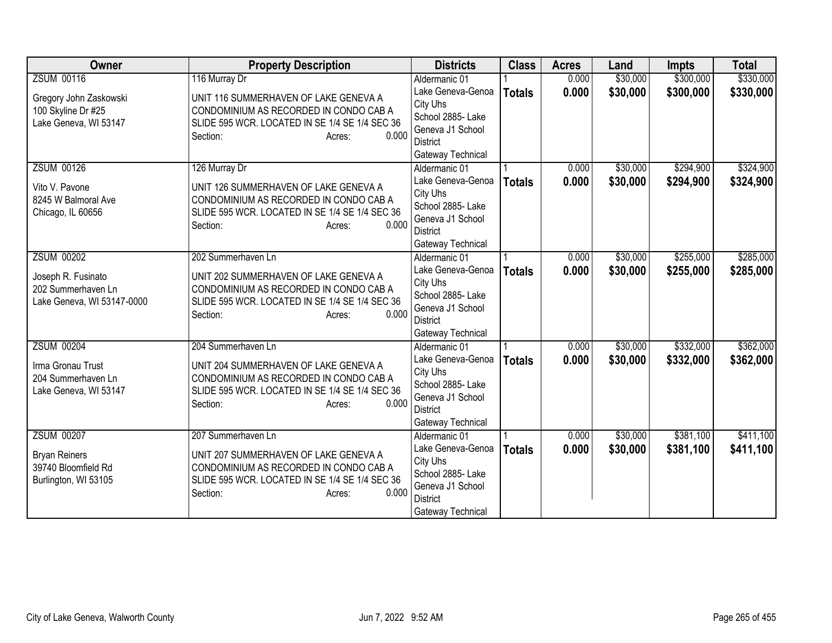| <b>Owner</b>               | <b>Property Description</b>                    | <b>Districts</b>              | <b>Class</b>  | <b>Acres</b> | Land     | <b>Impts</b> | <b>Total</b> |
|----------------------------|------------------------------------------------|-------------------------------|---------------|--------------|----------|--------------|--------------|
| <b>ZSUM 00116</b>          | 116 Murray Dr                                  | Aldermanic 01                 |               | 0.000        | \$30,000 | \$300,000    | \$330,000    |
| Gregory John Zaskowski     | UNIT 116 SUMMERHAVEN OF LAKE GENEVA A          | Lake Geneva-Genoa             | <b>Totals</b> | 0.000        | \$30,000 | \$300,000    | \$330,000    |
| 100 Skyline Dr #25         | CONDOMINIUM AS RECORDED IN CONDO CAB A         | City Uhs                      |               |              |          |              |              |
| Lake Geneva, WI 53147      | SLIDE 595 WCR. LOCATED IN SE 1/4 SE 1/4 SEC 36 | School 2885- Lake             |               |              |          |              |              |
|                            | 0.000<br>Section:<br>Acres:                    | Geneva J1 School              |               |              |          |              |              |
|                            |                                                | <b>District</b>               |               |              |          |              |              |
|                            |                                                | Gateway Technical             |               |              |          |              |              |
| <b>ZSUM 00126</b>          | 126 Murray Dr                                  | Aldermanic 01                 |               | 0.000        | \$30,000 | \$294,900    | \$324,900    |
| Vito V. Pavone             | UNIT 126 SUMMERHAVEN OF LAKE GENEVA A          | Lake Geneva-Genoa             | <b>Totals</b> | 0.000        | \$30,000 | \$294,900    | \$324,900    |
| 8245 W Balmoral Ave        | CONDOMINIUM AS RECORDED IN CONDO CAB A         | City Uhs<br>School 2885- Lake |               |              |          |              |              |
| Chicago, IL 60656          | SLIDE 595 WCR. LOCATED IN SE 1/4 SE 1/4 SEC 36 | Geneva J1 School              |               |              |          |              |              |
|                            | 0.000<br>Section:<br>Acres:                    | <b>District</b>               |               |              |          |              |              |
|                            |                                                | Gateway Technical             |               |              |          |              |              |
| <b>ZSUM 00202</b>          | 202 Summerhaven Ln                             | Aldermanic 01                 |               | 0.000        | \$30,000 | \$255,000    | \$285,000    |
|                            |                                                | Lake Geneva-Genoa             | <b>Totals</b> | 0.000        | \$30,000 | \$255,000    | \$285,000    |
| Joseph R. Fusinato         | UNIT 202 SUMMERHAVEN OF LAKE GENEVA A          | City Uhs                      |               |              |          |              |              |
| 202 Summerhaven Ln         | CONDOMINIUM AS RECORDED IN CONDO CAB A         | School 2885- Lake             |               |              |          |              |              |
| Lake Geneva, WI 53147-0000 | SLIDE 595 WCR. LOCATED IN SE 1/4 SE 1/4 SEC 36 | Geneva J1 School              |               |              |          |              |              |
|                            | 0.000<br>Section:<br>Acres:                    | <b>District</b>               |               |              |          |              |              |
|                            |                                                | Gateway Technical             |               |              |          |              |              |
| <b>ZSUM 00204</b>          | 204 Summerhaven Ln                             | Aldermanic 01                 |               | 0.000        | \$30,000 | \$332,000    | \$362,000    |
| Irma Gronau Trust          | UNIT 204 SUMMERHAVEN OF LAKE GENEVA A          | Lake Geneva-Genoa             | <b>Totals</b> | 0.000        | \$30,000 | \$332,000    | \$362,000    |
| 204 Summerhaven Ln         | CONDOMINIUM AS RECORDED IN CONDO CAB A         | City Uhs                      |               |              |          |              |              |
| Lake Geneva, WI 53147      | SLIDE 595 WCR. LOCATED IN SE 1/4 SE 1/4 SEC 36 | School 2885- Lake             |               |              |          |              |              |
|                            | 0.000<br>Section:<br>Acres:                    | Geneva J1 School              |               |              |          |              |              |
|                            |                                                | <b>District</b>               |               |              |          |              |              |
|                            |                                                | Gateway Technical             |               |              |          |              |              |
| <b>ZSUM 00207</b>          | 207 Summerhaven Ln                             | Aldermanic 01                 |               | 0.000        | \$30,000 | \$381,100    | \$411,100    |
| <b>Bryan Reiners</b>       | UNIT 207 SUMMERHAVEN OF LAKE GENEVA A          | Lake Geneva-Genoa<br>City Uhs | <b>Totals</b> | 0.000        | \$30,000 | \$381,100    | \$411,100    |
| 39740 Bloomfield Rd        | CONDOMINIUM AS RECORDED IN CONDO CAB A         | School 2885- Lake             |               |              |          |              |              |
| Burlington, WI 53105       | SLIDE 595 WCR. LOCATED IN SE 1/4 SE 1/4 SEC 36 | Geneva J1 School              |               |              |          |              |              |
|                            | 0.000<br>Section:<br>Acres:                    | <b>District</b>               |               |              |          |              |              |
|                            |                                                | Gateway Technical             |               |              |          |              |              |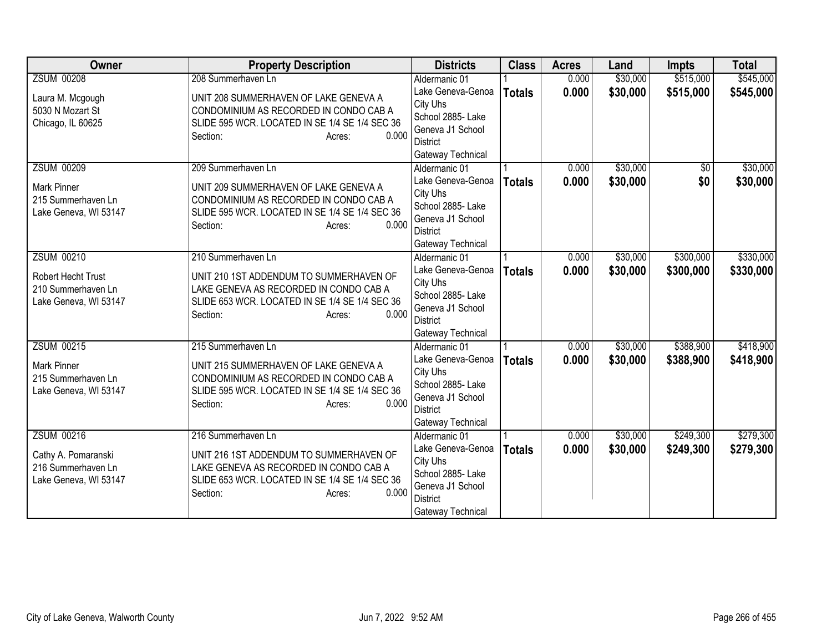| Owner                                                                    | <b>Property Description</b>                                                                                                                                        | <b>Districts</b>                                                                                               | <b>Class</b>  | <b>Acres</b> | Land     | <b>Impts</b> | <b>Total</b> |
|--------------------------------------------------------------------------|--------------------------------------------------------------------------------------------------------------------------------------------------------------------|----------------------------------------------------------------------------------------------------------------|---------------|--------------|----------|--------------|--------------|
| <b>ZSUM 00208</b>                                                        | 208 Summerhaven Ln                                                                                                                                                 | Aldermanic 01                                                                                                  |               | 0.000        | \$30,000 | \$515,000    | \$545,000    |
| Laura M. Mcgough<br>5030 N Mozart St<br>Chicago, IL 60625                | UNIT 208 SUMMERHAVEN OF LAKE GENEVA A<br>CONDOMINIUM AS RECORDED IN CONDO CAB A<br>SLIDE 595 WCR. LOCATED IN SE 1/4 SE 1/4 SEC 36<br>0.000<br>Section:<br>Acres:   | Lake Geneva-Genoa<br>City Uhs<br>School 2885- Lake<br>Geneva J1 School<br>District<br>Gateway Technical        | <b>Totals</b> | 0.000        | \$30,000 | \$515,000    | \$545,000    |
| <b>ZSUM 00209</b>                                                        | 209 Summerhaven Ln                                                                                                                                                 | Aldermanic 01                                                                                                  |               | 0.000        | \$30,000 | $\sqrt{6}$   | \$30,000     |
| <b>Mark Pinner</b><br>215 Summerhaven Ln<br>Lake Geneva, WI 53147        | UNIT 209 SUMMERHAVEN OF LAKE GENEVA A<br>CONDOMINIUM AS RECORDED IN CONDO CAB A<br>SLIDE 595 WCR. LOCATED IN SE 1/4 SE 1/4 SEC 36<br>0.000<br>Section:<br>Acres:   | Lake Geneva-Genoa<br>City Uhs<br>School 2885- Lake<br>Geneva J1 School<br><b>District</b><br>Gateway Technical | <b>Totals</b> | 0.000        | \$30,000 | \$0          | \$30,000     |
| <b>ZSUM 00210</b>                                                        | 210 Summerhaven Ln                                                                                                                                                 | Aldermanic 01                                                                                                  |               | 0.000        | \$30,000 | \$300,000    | \$330,000    |
| <b>Robert Hecht Trust</b><br>210 Summerhaven Ln<br>Lake Geneva, WI 53147 | UNIT 210 1ST ADDENDUM TO SUMMERHAVEN OF<br>LAKE GENEVA AS RECORDED IN CONDO CAB A<br>SLIDE 653 WCR. LOCATED IN SE 1/4 SE 1/4 SEC 36<br>0.000<br>Section:<br>Acres: | Lake Geneva-Genoa<br>City Uhs<br>School 2885- Lake<br>Geneva J1 School<br><b>District</b><br>Gateway Technical | <b>Totals</b> | 0.000        | \$30,000 | \$300,000    | \$330,000    |
| <b>ZSUM 00215</b>                                                        | 215 Summerhaven Ln                                                                                                                                                 | Aldermanic 01                                                                                                  |               | 0.000        | \$30,000 | \$388,900    | \$418,900    |
| <b>Mark Pinner</b><br>215 Summerhaven Ln<br>Lake Geneva, WI 53147        | UNIT 215 SUMMERHAVEN OF LAKE GENEVA A<br>CONDOMINIUM AS RECORDED IN CONDO CAB A<br>SLIDE 595 WCR. LOCATED IN SE 1/4 SE 1/4 SEC 36<br>0.000<br>Section:<br>Acres:   | Lake Geneva-Genoa<br>City Uhs<br>School 2885- Lake<br>Geneva J1 School<br><b>District</b><br>Gateway Technical | <b>Totals</b> | 0.000        | \$30,000 | \$388,900    | \$418,900    |
| <b>ZSUM 00216</b>                                                        | 216 Summerhaven Ln                                                                                                                                                 | Aldermanic 01                                                                                                  |               | 0.000        | \$30,000 | \$249,300    | \$279,300    |
| Cathy A. Pomaranski<br>216 Summerhaven Ln<br>Lake Geneva, WI 53147       | UNIT 216 1ST ADDENDUM TO SUMMERHAVEN OF<br>LAKE GENEVA AS RECORDED IN CONDO CAB A<br>SLIDE 653 WCR. LOCATED IN SE 1/4 SE 1/4 SEC 36<br>0.000<br>Section:<br>Acres: | Lake Geneva-Genoa<br>City Uhs<br>School 2885- Lake<br>Geneva J1 School<br><b>District</b><br>Gateway Technical | <b>Totals</b> | 0.000        | \$30,000 | \$249,300    | \$279,300    |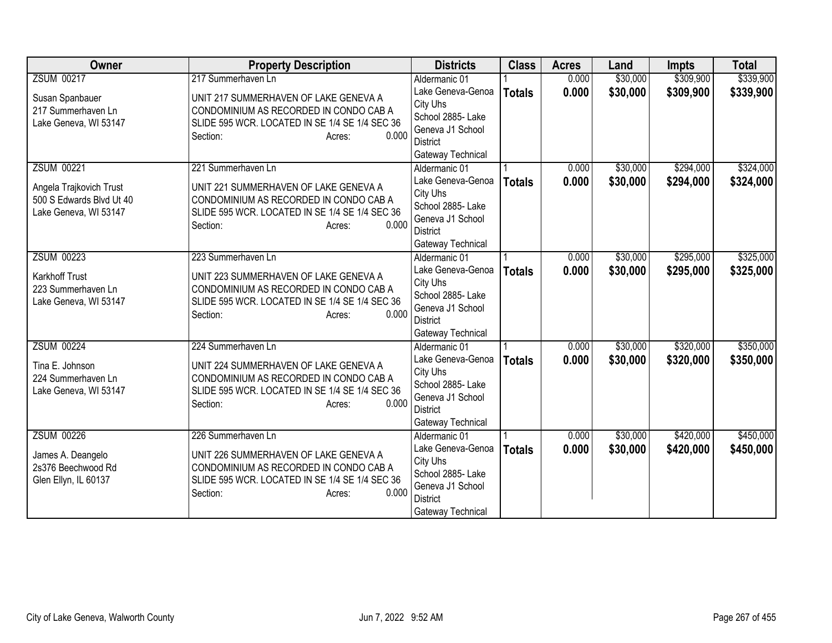| Owner                    | <b>Property Description</b>                    | <b>Districts</b>              | <b>Class</b>  | <b>Acres</b> | Land     | <b>Impts</b> | <b>Total</b> |
|--------------------------|------------------------------------------------|-------------------------------|---------------|--------------|----------|--------------|--------------|
| <b>ZSUM 00217</b>        | 217 Summerhaven Ln                             | Aldermanic 01                 |               | 0.000        | \$30,000 | \$309,900    | \$339,900    |
| Susan Spanbauer          | UNIT 217 SUMMERHAVEN OF LAKE GENEVA A          | Lake Geneva-Genoa             | <b>Totals</b> | 0.000        | \$30,000 | \$309,900    | \$339,900    |
| 217 Summerhaven Ln       | CONDOMINIUM AS RECORDED IN CONDO CAB A         | City Uhs                      |               |              |          |              |              |
| Lake Geneva, WI 53147    | SLIDE 595 WCR. LOCATED IN SE 1/4 SE 1/4 SEC 36 | School 2885- Lake             |               |              |          |              |              |
|                          | 0.000<br>Section:<br>Acres:                    | Geneva J1 School              |               |              |          |              |              |
|                          |                                                | District                      |               |              |          |              |              |
|                          |                                                | Gateway Technical             |               |              |          |              |              |
| <b>ZSUM 00221</b>        | 221 Summerhaven Ln                             | Aldermanic 01                 |               | 0.000        | \$30,000 | \$294,000    | \$324,000    |
| Angela Trajkovich Trust  | UNIT 221 SUMMERHAVEN OF LAKE GENEVA A          | Lake Geneva-Genoa             | <b>Totals</b> | 0.000        | \$30,000 | \$294,000    | \$324,000    |
| 500 S Edwards Blvd Ut 40 | CONDOMINIUM AS RECORDED IN CONDO CAB A         | City Uhs                      |               |              |          |              |              |
| Lake Geneva, WI 53147    | SLIDE 595 WCR. LOCATED IN SE 1/4 SE 1/4 SEC 36 | School 2885- Lake             |               |              |          |              |              |
|                          | 0.000<br>Section:<br>Acres:                    | Geneva J1 School              |               |              |          |              |              |
|                          |                                                | <b>District</b>               |               |              |          |              |              |
| <b>ZSUM 00223</b>        |                                                | Gateway Technical             |               |              | \$30,000 | \$295,000    |              |
|                          | 223 Summerhaven Ln                             | Aldermanic 01                 |               | 0.000        |          |              | \$325,000    |
| Karkhoff Trust           | UNIT 223 SUMMERHAVEN OF LAKE GENEVA A          | Lake Geneva-Genoa<br>City Uhs | <b>Totals</b> | 0.000        | \$30,000 | \$295,000    | \$325,000    |
| 223 Summerhaven Ln       | CONDOMINIUM AS RECORDED IN CONDO CAB A         | School 2885- Lake             |               |              |          |              |              |
| Lake Geneva, WI 53147    | SLIDE 595 WCR. LOCATED IN SE 1/4 SE 1/4 SEC 36 | Geneva J1 School              |               |              |          |              |              |
|                          | 0.000<br>Section:<br>Acres:                    | <b>District</b>               |               |              |          |              |              |
|                          |                                                | Gateway Technical             |               |              |          |              |              |
| <b>ZSUM 00224</b>        | 224 Summerhaven Ln                             | Aldermanic 01                 |               | 0.000        | \$30,000 | \$320,000    | \$350,000    |
|                          |                                                | Lake Geneva-Genoa             | <b>Totals</b> | 0.000        | \$30,000 | \$320,000    | \$350,000    |
| Tina E. Johnson          | UNIT 224 SUMMERHAVEN OF LAKE GENEVA A          | City Uhs                      |               |              |          |              |              |
| 224 Summerhaven Ln       | CONDOMINIUM AS RECORDED IN CONDO CAB A         | School 2885- Lake             |               |              |          |              |              |
| Lake Geneva, WI 53147    | SLIDE 595 WCR. LOCATED IN SE 1/4 SE 1/4 SEC 36 | Geneva J1 School              |               |              |          |              |              |
|                          | 0.000<br>Section:<br>Acres:                    | <b>District</b>               |               |              |          |              |              |
|                          |                                                | Gateway Technical             |               |              |          |              |              |
| <b>ZSUM 00226</b>        | 226 Summerhaven Ln                             | Aldermanic 01                 |               | 0.000        | \$30,000 | \$420,000    | \$450,000    |
| James A. Deangelo        | UNIT 226 SUMMERHAVEN OF LAKE GENEVA A          | Lake Geneva-Genoa             | <b>Totals</b> | 0.000        | \$30,000 | \$420,000    | \$450,000    |
| 2s376 Beechwood Rd       | CONDOMINIUM AS RECORDED IN CONDO CAB A         | City Uhs                      |               |              |          |              |              |
| Glen Ellyn, IL 60137     | SLIDE 595 WCR. LOCATED IN SE 1/4 SE 1/4 SEC 36 | School 2885- Lake             |               |              |          |              |              |
|                          | 0.000<br>Section:<br>Acres:                    | Geneva J1 School              |               |              |          |              |              |
|                          |                                                | <b>District</b>               |               |              |          |              |              |
|                          |                                                | Gateway Technical             |               |              |          |              |              |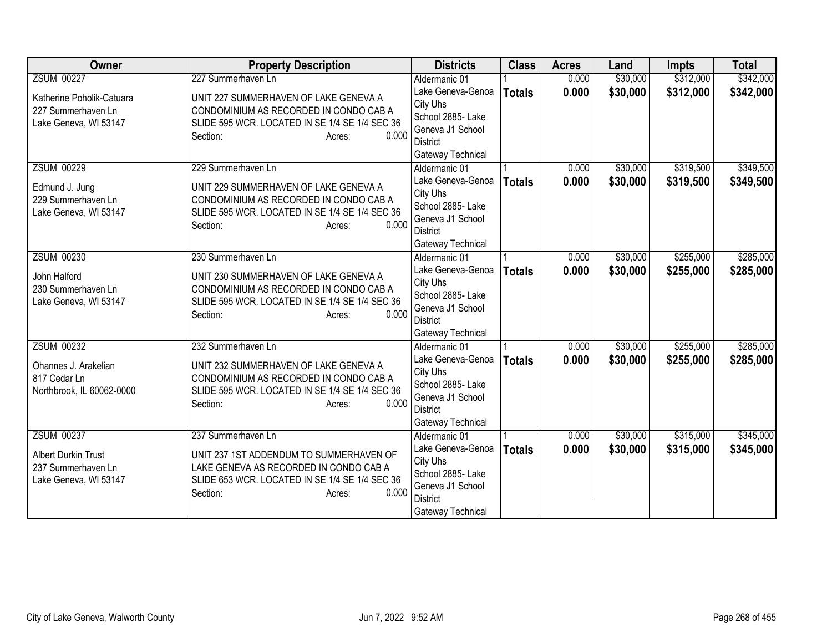| <b>Owner</b>                         | <b>Property Description</b>                                                     | <b>Districts</b>                   | <b>Class</b>  | <b>Acres</b> | Land     | <b>Impts</b> | <b>Total</b> |
|--------------------------------------|---------------------------------------------------------------------------------|------------------------------------|---------------|--------------|----------|--------------|--------------|
| <b>ZSUM 00227</b>                    | 227 Summerhaven Ln                                                              | Aldermanic 01                      |               | 0.000        | \$30,000 | \$312,000    | \$342,000    |
| Katherine Poholik-Catuara            | UNIT 227 SUMMERHAVEN OF LAKE GENEVA A                                           | Lake Geneva-Genoa                  | <b>Totals</b> | 0.000        | \$30,000 | \$312,000    | \$342,000    |
| 227 Summerhaven Ln                   | CONDOMINIUM AS RECORDED IN CONDO CAB A                                          | City Uhs                           |               |              |          |              |              |
| Lake Geneva, WI 53147                | SLIDE 595 WCR. LOCATED IN SE 1/4 SE 1/4 SEC 36                                  | School 2885- Lake                  |               |              |          |              |              |
|                                      | 0.000<br>Section:<br>Acres:                                                     | Geneva J1 School                   |               |              |          |              |              |
|                                      |                                                                                 | District                           |               |              |          |              |              |
|                                      |                                                                                 | Gateway Technical                  |               |              |          |              |              |
| <b>ZSUM 00229</b>                    | 229 Summerhaven Ln                                                              | Aldermanic 01                      |               | 0.000        | \$30,000 | \$319,500    | \$349,500    |
| Edmund J. Jung                       | UNIT 229 SUMMERHAVEN OF LAKE GENEVA A                                           | Lake Geneva-Genoa                  | <b>Totals</b> | 0.000        | \$30,000 | \$319,500    | \$349,500    |
| 229 Summerhaven Ln                   | CONDOMINIUM AS RECORDED IN CONDO CAB A                                          | City Uhs                           |               |              |          |              |              |
| Lake Geneva, WI 53147                | SLIDE 595 WCR. LOCATED IN SE 1/4 SE 1/4 SEC 36                                  | School 2885- Lake                  |               |              |          |              |              |
|                                      | 0.000<br>Section:<br>Acres:                                                     | Geneva J1 School                   |               |              |          |              |              |
|                                      |                                                                                 | <b>District</b>                    |               |              |          |              |              |
| <b>ZSUM 00230</b>                    | 230 Summerhaven Ln                                                              | Gateway Technical<br>Aldermanic 01 |               | 0.000        | \$30,000 | \$255,000    | \$285,000    |
|                                      |                                                                                 | Lake Geneva-Genoa                  |               |              |          |              |              |
| John Halford                         | UNIT 230 SUMMERHAVEN OF LAKE GENEVA A                                           | City Uhs                           | <b>Totals</b> | 0.000        | \$30,000 | \$255,000    | \$285,000    |
| 230 Summerhaven Ln                   | CONDOMINIUM AS RECORDED IN CONDO CAB A                                          | School 2885- Lake                  |               |              |          |              |              |
| Lake Geneva, WI 53147                | SLIDE 595 WCR. LOCATED IN SE 1/4 SE 1/4 SEC 36                                  | Geneva J1 School                   |               |              |          |              |              |
|                                      | 0.000<br>Section:<br>Acres:                                                     | <b>District</b>                    |               |              |          |              |              |
|                                      |                                                                                 | Gateway Technical                  |               |              |          |              |              |
| <b>ZSUM 00232</b>                    | 232 Summerhaven Ln                                                              | Aldermanic 01                      |               | 0.000        | \$30,000 | \$255,000    | \$285,000    |
|                                      |                                                                                 | Lake Geneva-Genoa                  | <b>Totals</b> | 0.000        | \$30,000 | \$255,000    | \$285,000    |
| Ohannes J. Arakelian<br>817 Cedar Ln | UNIT 232 SUMMERHAVEN OF LAKE GENEVA A<br>CONDOMINIUM AS RECORDED IN CONDO CAB A | City Uhs                           |               |              |          |              |              |
| Northbrook, IL 60062-0000            | SLIDE 595 WCR. LOCATED IN SE 1/4 SE 1/4 SEC 36                                  | School 2885- Lake                  |               |              |          |              |              |
|                                      | 0.000<br>Section:<br>Acres:                                                     | Geneva J1 School                   |               |              |          |              |              |
|                                      |                                                                                 | <b>District</b>                    |               |              |          |              |              |
|                                      |                                                                                 | Gateway Technical                  |               |              |          |              |              |
| <b>ZSUM 00237</b>                    | 237 Summerhaven Ln                                                              | Aldermanic 01                      |               | 0.000        | \$30,000 | \$315,000    | \$345,000    |
| <b>Albert Durkin Trust</b>           | UNIT 237 1ST ADDENDUM TO SUMMERHAVEN OF                                         | Lake Geneva-Genoa                  | <b>Totals</b> | 0.000        | \$30,000 | \$315,000    | \$345,000    |
| 237 Summerhaven Ln                   | LAKE GENEVA AS RECORDED IN CONDO CAB A                                          | City Uhs                           |               |              |          |              |              |
| Lake Geneva, WI 53147                | SLIDE 653 WCR. LOCATED IN SE 1/4 SE 1/4 SEC 36                                  | School 2885- Lake                  |               |              |          |              |              |
|                                      | 0.000<br>Section:<br>Acres:                                                     | Geneva J1 School                   |               |              |          |              |              |
|                                      |                                                                                 | <b>District</b>                    |               |              |          |              |              |
|                                      |                                                                                 | Gateway Technical                  |               |              |          |              |              |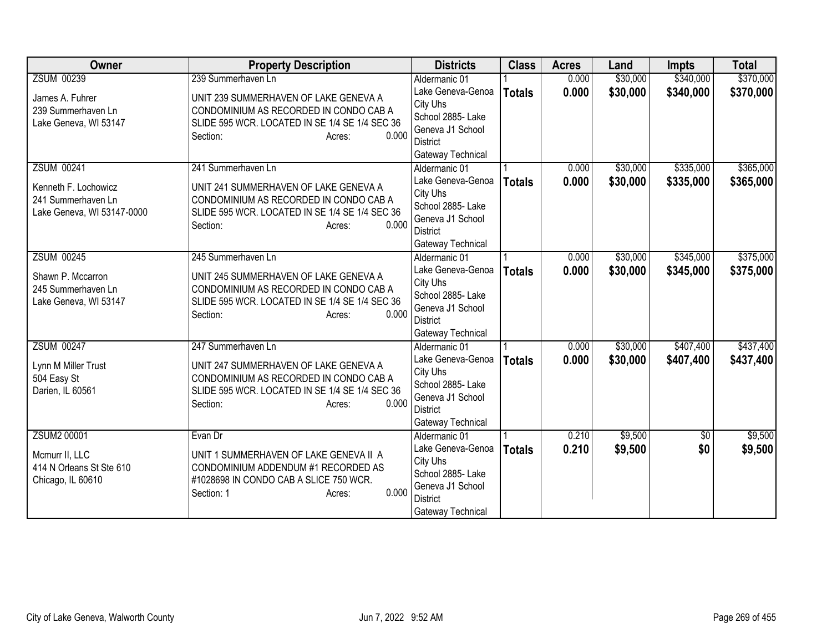| <b>Owner</b>               | <b>Property Description</b>                    | <b>Districts</b>              | <b>Class</b>  | <b>Acres</b> | Land     | <b>Impts</b>    | <b>Total</b> |
|----------------------------|------------------------------------------------|-------------------------------|---------------|--------------|----------|-----------------|--------------|
| <b>ZSUM 00239</b>          | 239 Summerhaven Ln                             | Aldermanic 01                 |               | 0.000        | \$30,000 | \$340,000       | \$370,000    |
| James A. Fuhrer            | UNIT 239 SUMMERHAVEN OF LAKE GENEVA A          | Lake Geneva-Genoa             | <b>Totals</b> | 0.000        | \$30,000 | \$340,000       | \$370,000    |
| 239 Summerhaven Ln         | CONDOMINIUM AS RECORDED IN CONDO CAB A         | City Uhs                      |               |              |          |                 |              |
| Lake Geneva, WI 53147      | SLIDE 595 WCR. LOCATED IN SE 1/4 SE 1/4 SEC 36 | School 2885- Lake             |               |              |          |                 |              |
|                            | 0.000<br>Section:<br>Acres:                    | Geneva J1 School              |               |              |          |                 |              |
|                            |                                                | District                      |               |              |          |                 |              |
|                            |                                                | Gateway Technical             |               |              |          |                 |              |
| <b>ZSUM 00241</b>          | 241 Summerhaven Ln                             | Aldermanic 01                 |               | 0.000        | \$30,000 | \$335,000       | \$365,000    |
| Kenneth F. Lochowicz       | UNIT 241 SUMMERHAVEN OF LAKE GENEVA A          | Lake Geneva-Genoa             | <b>Totals</b> | 0.000        | \$30,000 | \$335,000       | \$365,000    |
| 241 Summerhaven Ln         | CONDOMINIUM AS RECORDED IN CONDO CAB A         | City Uhs<br>School 2885- Lake |               |              |          |                 |              |
| Lake Geneva, WI 53147-0000 | SLIDE 595 WCR. LOCATED IN SE 1/4 SE 1/4 SEC 36 | Geneva J1 School              |               |              |          |                 |              |
|                            | 0.000<br>Section:<br>Acres:                    | <b>District</b>               |               |              |          |                 |              |
|                            |                                                | Gateway Technical             |               |              |          |                 |              |
| <b>ZSUM 00245</b>          | 245 Summerhaven Ln                             | Aldermanic 01                 |               | 0.000        | \$30,000 | \$345,000       | \$375,000    |
|                            |                                                | Lake Geneva-Genoa             | <b>Totals</b> | 0.000        | \$30,000 | \$345,000       | \$375,000    |
| Shawn P. Mccarron          | UNIT 245 SUMMERHAVEN OF LAKE GENEVA A          | City Uhs                      |               |              |          |                 |              |
| 245 Summerhaven Ln         | CONDOMINIUM AS RECORDED IN CONDO CAB A         | School 2885- Lake             |               |              |          |                 |              |
| Lake Geneva, WI 53147      | SLIDE 595 WCR. LOCATED IN SE 1/4 SE 1/4 SEC 36 | Geneva J1 School              |               |              |          |                 |              |
|                            | 0.000<br>Section:<br>Acres:                    | <b>District</b>               |               |              |          |                 |              |
|                            |                                                | Gateway Technical             |               |              |          |                 |              |
| <b>ZSUM 00247</b>          | 247 Summerhaven Ln                             | Aldermanic 01                 |               | 0.000        | \$30,000 | \$407,400       | \$437,400    |
| Lynn M Miller Trust        | UNIT 247 SUMMERHAVEN OF LAKE GENEVA A          | Lake Geneva-Genoa             | <b>Totals</b> | 0.000        | \$30,000 | \$407,400       | \$437,400    |
| 504 Easy St                | CONDOMINIUM AS RECORDED IN CONDO CAB A         | City Uhs                      |               |              |          |                 |              |
| Darien, IL 60561           | SLIDE 595 WCR. LOCATED IN SE 1/4 SE 1/4 SEC 36 | School 2885- Lake             |               |              |          |                 |              |
|                            | 0.000<br>Section:<br>Acres:                    | Geneva J1 School              |               |              |          |                 |              |
|                            |                                                | <b>District</b>               |               |              |          |                 |              |
|                            |                                                | Gateway Technical             |               |              |          |                 |              |
| ZSUM2 00001                | Evan Dr                                        | Aldermanic 01                 |               | 0.210        | \$9,500  | $\overline{50}$ | \$9,500      |
| Mcmurr II, LLC             | UNIT 1 SUMMERHAVEN OF LAKE GENEVA II A         | Lake Geneva-Genoa<br>City Uhs | <b>Totals</b> | 0.210        | \$9,500  | \$0             | \$9,500      |
| 414 N Orleans St Ste 610   | CONDOMINIUM ADDENDUM #1 RECORDED AS            | School 2885- Lake             |               |              |          |                 |              |
| Chicago, IL 60610          | #1028698 IN CONDO CAB A SLICE 750 WCR.         | Geneva J1 School              |               |              |          |                 |              |
|                            | 0.000<br>Section: 1<br>Acres:                  | <b>District</b>               |               |              |          |                 |              |
|                            |                                                | Gateway Technical             |               |              |          |                 |              |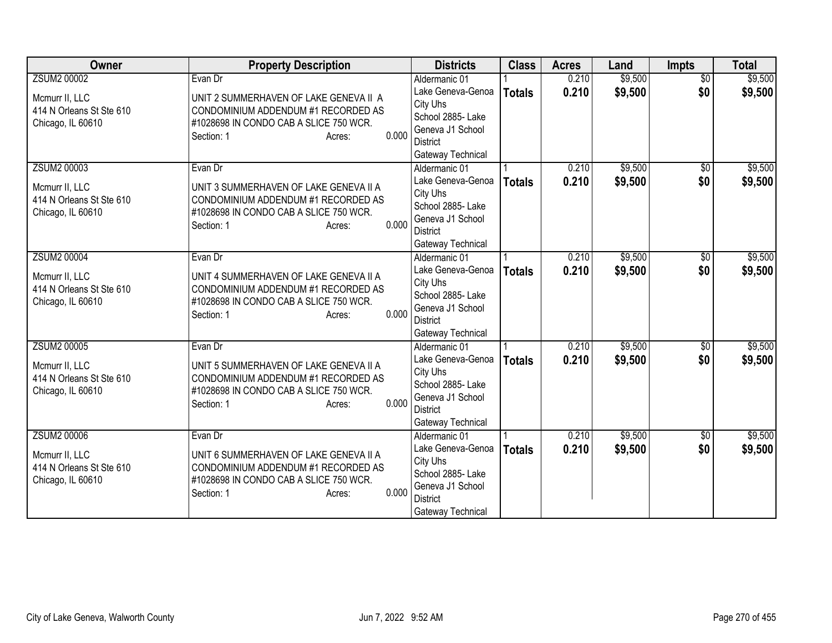| Owner                                                           | <b>Property Description</b>                                                                                                                              | <b>Districts</b>                                                                                               | <b>Class</b>  | <b>Acres</b> | Land    | Impts           | <b>Total</b> |
|-----------------------------------------------------------------|----------------------------------------------------------------------------------------------------------------------------------------------------------|----------------------------------------------------------------------------------------------------------------|---------------|--------------|---------|-----------------|--------------|
| <b>ZSUM2 00002</b>                                              | Evan Dr                                                                                                                                                  | Aldermanic 01                                                                                                  |               | 0.210        | \$9,500 | $\overline{50}$ | \$9,500      |
| Mcmurr II, LLC<br>414 N Orleans St Ste 610<br>Chicago, IL 60610 | UNIT 2 SUMMERHAVEN OF LAKE GENEVA II A<br>CONDOMINIUM ADDENDUM #1 RECORDED AS<br>#1028698 IN CONDO CAB A SLICE 750 WCR.<br>0.000<br>Section: 1<br>Acres: | Lake Geneva-Genoa<br>City Uhs<br>School 2885- Lake<br>Geneva J1 School<br><b>District</b><br>Gateway Technical | <b>Totals</b> | 0.210        | \$9,500 | \$0             | \$9,500      |
| <b>ZSUM2 00003</b>                                              | Evan Dr                                                                                                                                                  | Aldermanic 01                                                                                                  |               | 0.210        | \$9,500 | \$0             | \$9,500      |
| Mcmurr II, LLC<br>414 N Orleans St Ste 610<br>Chicago, IL 60610 | UNIT 3 SUMMERHAVEN OF LAKE GENEVA II A<br>CONDOMINIUM ADDENDUM #1 RECORDED AS<br>#1028698 IN CONDO CAB A SLICE 750 WCR.<br>0.000<br>Section: 1<br>Acres: | Lake Geneva-Genoa<br>City Uhs<br>School 2885- Lake<br>Geneva J1 School<br><b>District</b><br>Gateway Technical | <b>Totals</b> | 0.210        | \$9,500 | \$0             | \$9,500      |
| <b>ZSUM2 00004</b>                                              | Evan Dr                                                                                                                                                  | Aldermanic 01                                                                                                  |               | 0.210        | \$9,500 | \$0             | \$9,500      |
| Mcmurr II, LLC<br>414 N Orleans St Ste 610<br>Chicago, IL 60610 | UNIT 4 SUMMERHAVEN OF LAKE GENEVA II A<br>CONDOMINIUM ADDENDUM #1 RECORDED AS<br>#1028698 IN CONDO CAB A SLICE 750 WCR.<br>0.000<br>Section: 1<br>Acres: | Lake Geneva-Genoa<br>City Uhs<br>School 2885- Lake<br>Geneva J1 School<br><b>District</b><br>Gateway Technical | <b>Totals</b> | 0.210        | \$9,500 | \$0             | \$9,500      |
| <b>ZSUM2 00005</b>                                              | Evan Dr                                                                                                                                                  | Aldermanic 01                                                                                                  |               | 0.210        | \$9,500 | $\overline{60}$ | \$9,500      |
| Mcmurr II, LLC<br>414 N Orleans St Ste 610<br>Chicago, IL 60610 | UNIT 5 SUMMERHAVEN OF LAKE GENEVA II A<br>CONDOMINIUM ADDENDUM #1 RECORDED AS<br>#1028698 IN CONDO CAB A SLICE 750 WCR.<br>0.000<br>Section: 1<br>Acres: | Lake Geneva-Genoa<br>City Uhs<br>School 2885- Lake<br>Geneva J1 School<br><b>District</b><br>Gateway Technical | <b>Totals</b> | 0.210        | \$9,500 | \$0             | \$9,500      |
| <b>ZSUM2 00006</b>                                              | Evan Dr                                                                                                                                                  | Aldermanic 01                                                                                                  |               | 0.210        | \$9,500 | $\overline{50}$ | \$9,500      |
| Mcmurr II, LLC<br>414 N Orleans St Ste 610<br>Chicago, IL 60610 | UNIT 6 SUMMERHAVEN OF LAKE GENEVA II A<br>CONDOMINIUM ADDENDUM #1 RECORDED AS<br>#1028698 IN CONDO CAB A SLICE 750 WCR.<br>0.000<br>Section: 1<br>Acres: | Lake Geneva-Genoa<br>City Uhs<br>School 2885- Lake<br>Geneva J1 School<br><b>District</b><br>Gateway Technical | <b>Totals</b> | 0.210        | \$9,500 | \$0             | \$9,500      |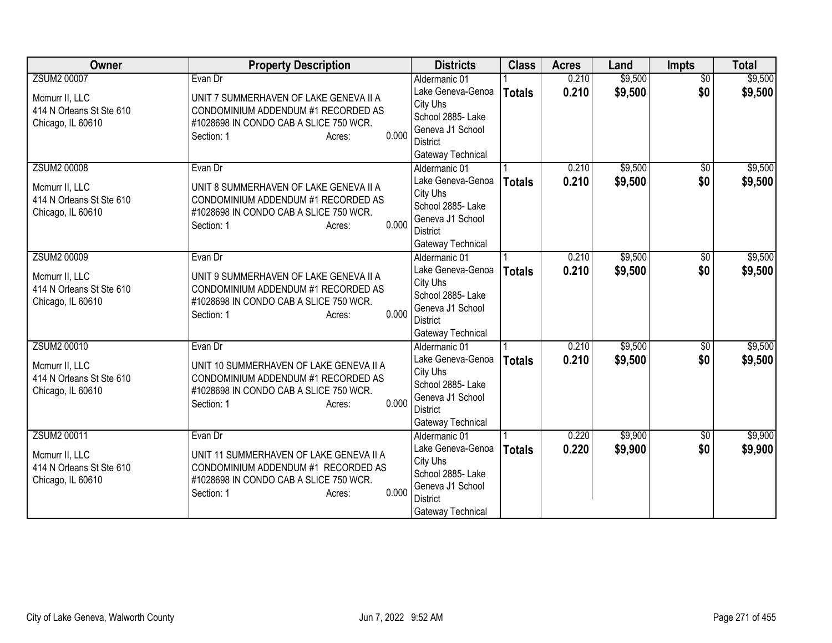| Owner                                                           | <b>Property Description</b>                                                                                                                               | <b>Districts</b>                                                                                               | <b>Class</b>  | <b>Acres</b> | Land    | Impts           | <b>Total</b> |
|-----------------------------------------------------------------|-----------------------------------------------------------------------------------------------------------------------------------------------------------|----------------------------------------------------------------------------------------------------------------|---------------|--------------|---------|-----------------|--------------|
| <b>ZSUM2 00007</b>                                              | Evan Dr                                                                                                                                                   | Aldermanic 01                                                                                                  |               | 0.210        | \$9,500 | $\overline{50}$ | \$9,500      |
| Mcmurr II, LLC<br>414 N Orleans St Ste 610<br>Chicago, IL 60610 | UNIT 7 SUMMERHAVEN OF LAKE GENEVA II A<br>CONDOMINIUM ADDENDUM #1 RECORDED AS<br>#1028698 IN CONDO CAB A SLICE 750 WCR.<br>0.000<br>Section: 1<br>Acres:  | Lake Geneva-Genoa<br>City Uhs<br>School 2885- Lake<br>Geneva J1 School<br><b>District</b><br>Gateway Technical | <b>Totals</b> | 0.210        | \$9,500 | \$0             | \$9,500      |
| <b>ZSUM2 00008</b>                                              | Evan Dr                                                                                                                                                   | Aldermanic 01                                                                                                  |               | 0.210        | \$9,500 | \$0             | \$9,500      |
| Mcmurr II, LLC<br>414 N Orleans St Ste 610<br>Chicago, IL 60610 | UNIT 8 SUMMERHAVEN OF LAKE GENEVA II A<br>CONDOMINIUM ADDENDUM #1 RECORDED AS<br>#1028698 IN CONDO CAB A SLICE 750 WCR.<br>0.000<br>Section: 1<br>Acres:  | Lake Geneva-Genoa<br>City Uhs<br>School 2885- Lake<br>Geneva J1 School<br><b>District</b><br>Gateway Technical | <b>Totals</b> | 0.210        | \$9,500 | \$0             | \$9,500      |
| <b>ZSUM2 00009</b>                                              | Evan Dr                                                                                                                                                   | Aldermanic 01                                                                                                  |               | 0.210        | \$9,500 | \$0             | \$9,500      |
| Mcmurr II, LLC<br>414 N Orleans St Ste 610<br>Chicago, IL 60610 | UNIT 9 SUMMERHAVEN OF LAKE GENEVA II A<br>CONDOMINIUM ADDENDUM #1 RECORDED AS<br>#1028698 IN CONDO CAB A SLICE 750 WCR.<br>0.000<br>Section: 1<br>Acres:  | Lake Geneva-Genoa<br>City Uhs<br>School 2885- Lake<br>Geneva J1 School<br><b>District</b><br>Gateway Technical | <b>Totals</b> | 0.210        | \$9,500 | \$0             | \$9,500      |
| <b>ZSUM2 00010</b>                                              | Evan Dr                                                                                                                                                   | Aldermanic 01                                                                                                  |               | 0.210        | \$9,500 | $\overline{60}$ | \$9,500      |
| Mcmurr II, LLC<br>414 N Orleans St Ste 610<br>Chicago, IL 60610 | UNIT 10 SUMMERHAVEN OF LAKE GENEVA II A<br>CONDOMINIUM ADDENDUM #1 RECORDED AS<br>#1028698 IN CONDO CAB A SLICE 750 WCR.<br>0.000<br>Section: 1<br>Acres: | Lake Geneva-Genoa<br>City Uhs<br>School 2885- Lake<br>Geneva J1 School<br><b>District</b><br>Gateway Technical | <b>Totals</b> | 0.210        | \$9,500 | \$0             | \$9,500      |
| ZSUM2 00011                                                     | Evan Dr                                                                                                                                                   | Aldermanic 01                                                                                                  |               | 0.220        | \$9,900 | $\overline{50}$ | \$9,900      |
| Mcmurr II, LLC<br>414 N Orleans St Ste 610<br>Chicago, IL 60610 | UNIT 11 SUMMERHAVEN OF LAKE GENEVA II A<br>CONDOMINIUM ADDENDUM #1 RECORDED AS<br>#1028698 IN CONDO CAB A SLICE 750 WCR.<br>0.000<br>Section: 1<br>Acres: | Lake Geneva-Genoa<br>City Uhs<br>School 2885- Lake<br>Geneva J1 School<br><b>District</b><br>Gateway Technical | <b>Totals</b> | 0.220        | \$9,900 | \$0             | \$9,900      |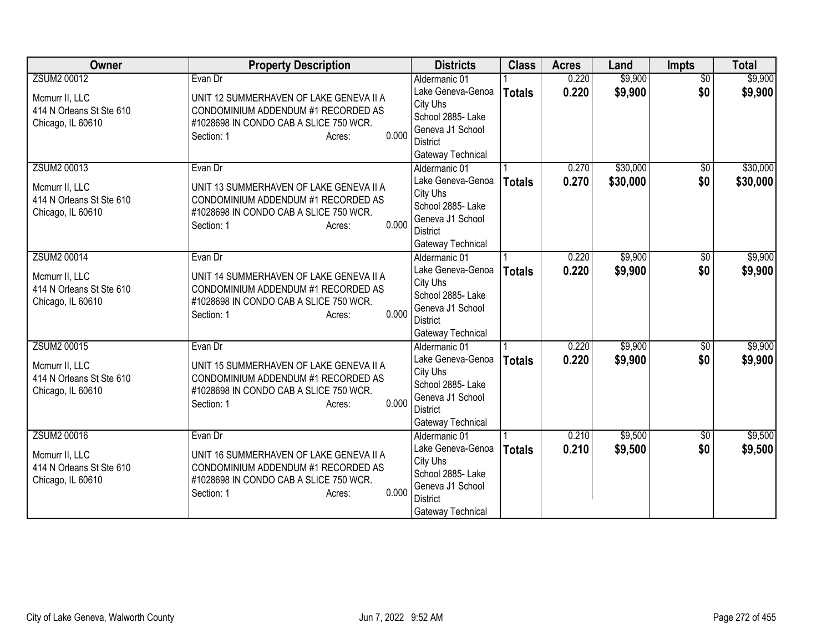| Owner                    | <b>Property Description</b>                                                   | <b>Districts</b>                    | <b>Class</b>  | <b>Acres</b> | Land     | Impts           | <b>Total</b> |
|--------------------------|-------------------------------------------------------------------------------|-------------------------------------|---------------|--------------|----------|-----------------|--------------|
| ZSUM2 00012              | Evan Dr                                                                       | Aldermanic 01                       |               | 0.220        | \$9,900  | $\overline{50}$ | \$9,900      |
| Mcmurr II, LLC           | UNIT 12 SUMMERHAVEN OF LAKE GENEVA II A                                       | Lake Geneva-Genoa                   | <b>Totals</b> | 0.220        | \$9,900  | \$0             | \$9,900      |
| 414 N Orleans St Ste 610 | CONDOMINIUM ADDENDUM #1 RECORDED AS                                           | City Uhs                            |               |              |          |                 |              |
| Chicago, IL 60610        | #1028698 IN CONDO CAB A SLICE 750 WCR.                                        | School 2885- Lake                   |               |              |          |                 |              |
|                          | 0.000<br>Section: 1<br>Acres:                                                 | Geneva J1 School<br><b>District</b> |               |              |          |                 |              |
|                          |                                                                               | Gateway Technical                   |               |              |          |                 |              |
| ZSUM2 00013              | Evan Dr                                                                       | Aldermanic 01                       |               | 0.270        | \$30,000 | \$0             | \$30,000     |
|                          |                                                                               | Lake Geneva-Genoa                   | <b>Totals</b> | 0.270        | \$30,000 | \$0             | \$30,000     |
| Mcmurr II, LLC           | UNIT 13 SUMMERHAVEN OF LAKE GENEVA II A                                       | City Uhs                            |               |              |          |                 |              |
| 414 N Orleans St Ste 610 | CONDOMINIUM ADDENDUM #1 RECORDED AS<br>#1028698 IN CONDO CAB A SLICE 750 WCR. | School 2885- Lake                   |               |              |          |                 |              |
| Chicago, IL 60610        | 0.000<br>Section: 1<br>Acres:                                                 | Geneva J1 School                    |               |              |          |                 |              |
|                          |                                                                               | <b>District</b>                     |               |              |          |                 |              |
|                          |                                                                               | Gateway Technical                   |               |              |          |                 |              |
| ZSUM2 00014              | Evan Dr                                                                       | Aldermanic 01                       |               | 0.220        | \$9,900  | \$0             | \$9,900      |
| Mcmurr II, LLC           | UNIT 14 SUMMERHAVEN OF LAKE GENEVA II A                                       | Lake Geneva-Genoa                   | <b>Totals</b> | 0.220        | \$9,900  | \$0             | \$9,900      |
| 414 N Orleans St Ste 610 | CONDOMINIUM ADDENDUM #1 RECORDED AS                                           | City Uhs<br>School 2885- Lake       |               |              |          |                 |              |
| Chicago, IL 60610        | #1028698 IN CONDO CAB A SLICE 750 WCR.                                        | Geneva J1 School                    |               |              |          |                 |              |
|                          | 0.000<br>Section: 1<br>Acres:                                                 | <b>District</b>                     |               |              |          |                 |              |
|                          |                                                                               | Gateway Technical                   |               |              |          |                 |              |
| <b>ZSUM2 00015</b>       | Evan Dr                                                                       | Aldermanic 01                       |               | 0.220        | \$9,900  | $\overline{60}$ | \$9,900      |
| Mcmurr II, LLC           | UNIT 15 SUMMERHAVEN OF LAKE GENEVA II A                                       | Lake Geneva-Genoa                   | <b>Totals</b> | 0.220        | \$9,900  | \$0             | \$9,900      |
| 414 N Orleans St Ste 610 | CONDOMINIUM ADDENDUM #1 RECORDED AS                                           | City Uhs                            |               |              |          |                 |              |
| Chicago, IL 60610        | #1028698 IN CONDO CAB A SLICE 750 WCR.                                        | School 2885- Lake                   |               |              |          |                 |              |
|                          | 0.000<br>Section: 1<br>Acres:                                                 | Geneva J1 School<br><b>District</b> |               |              |          |                 |              |
|                          |                                                                               | Gateway Technical                   |               |              |          |                 |              |
| <b>ZSUM2 00016</b>       | Evan Dr                                                                       | Aldermanic 01                       |               | 0.210        | \$9,500  | $\overline{50}$ | \$9,500      |
|                          |                                                                               | Lake Geneva-Genoa                   | <b>Totals</b> | 0.210        | \$9,500  | \$0             | \$9,500      |
| Mcmurr II, LLC           | UNIT 16 SUMMERHAVEN OF LAKE GENEVA II A                                       | City Uhs                            |               |              |          |                 |              |
| 414 N Orleans St Ste 610 | CONDOMINIUM ADDENDUM #1 RECORDED AS                                           | School 2885- Lake                   |               |              |          |                 |              |
| Chicago, IL 60610        | #1028698 IN CONDO CAB A SLICE 750 WCR.<br>0.000<br>Section: 1                 | Geneva J1 School                    |               |              |          |                 |              |
|                          | Acres:                                                                        | <b>District</b>                     |               |              |          |                 |              |
|                          |                                                                               | Gateway Technical                   |               |              |          |                 |              |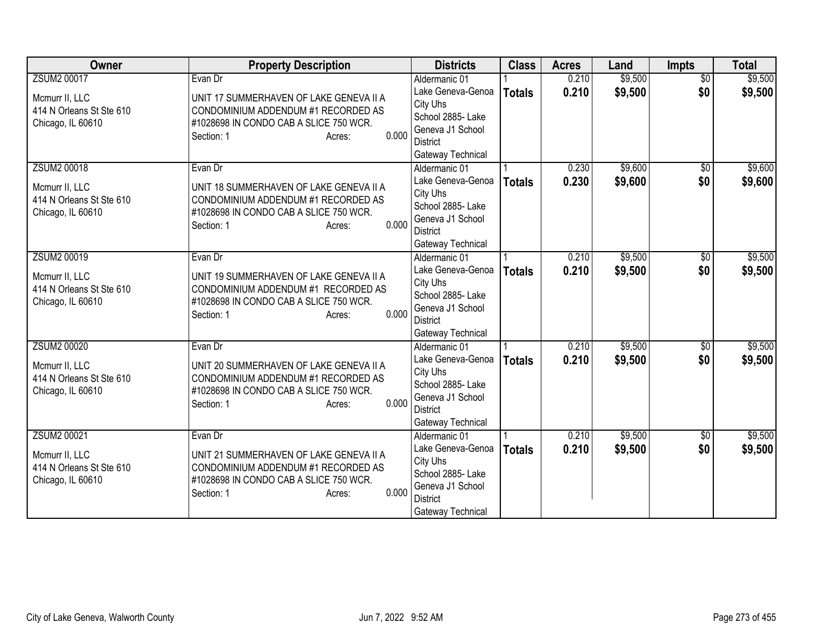| Owner                                                           | <b>Property Description</b>                                                                                                                               | <b>Districts</b>                                                                                               | <b>Class</b>  | <b>Acres</b> | Land    | Impts           | <b>Total</b> |
|-----------------------------------------------------------------|-----------------------------------------------------------------------------------------------------------------------------------------------------------|----------------------------------------------------------------------------------------------------------------|---------------|--------------|---------|-----------------|--------------|
| <b>ZSUM2 00017</b>                                              | Evan Dr                                                                                                                                                   | Aldermanic 01                                                                                                  |               | 0.210        | \$9,500 | $\overline{50}$ | \$9,500      |
| Mcmurr II, LLC<br>414 N Orleans St Ste 610<br>Chicago, IL 60610 | UNIT 17 SUMMERHAVEN OF LAKE GENEVA II A<br>CONDOMINIUM ADDENDUM #1 RECORDED AS<br>#1028698 IN CONDO CAB A SLICE 750 WCR.<br>0.000<br>Section: 1<br>Acres: | Lake Geneva-Genoa<br>City Uhs<br>School 2885- Lake<br>Geneva J1 School<br><b>District</b>                      | <b>Totals</b> | 0.210        | \$9,500 | \$0             | \$9,500      |
| <b>ZSUM2 00018</b>                                              | Evan Dr                                                                                                                                                   | Gateway Technical<br>Aldermanic 01                                                                             |               | 0.230        | \$9,600 | \$0             | \$9,600      |
| Mcmurr II, LLC<br>414 N Orleans St Ste 610<br>Chicago, IL 60610 | UNIT 18 SUMMERHAVEN OF LAKE GENEVA II A<br>CONDOMINIUM ADDENDUM #1 RECORDED AS<br>#1028698 IN CONDO CAB A SLICE 750 WCR.<br>0.000<br>Section: 1<br>Acres: | Lake Geneva-Genoa<br>City Uhs<br>School 2885- Lake<br>Geneva J1 School<br><b>District</b><br>Gateway Technical | <b>Totals</b> | 0.230        | \$9,600 | \$0             | \$9,600      |
| ZSUM2 00019                                                     | Evan Dr                                                                                                                                                   | Aldermanic 01                                                                                                  |               | 0.210        | \$9,500 | \$0             | \$9,500      |
| Mcmurr II, LLC<br>414 N Orleans St Ste 610<br>Chicago, IL 60610 | UNIT 19 SUMMERHAVEN OF LAKE GENEVA II A<br>CONDOMINIUM ADDENDUM #1 RECORDED AS<br>#1028698 IN CONDO CAB A SLICE 750 WCR.<br>0.000<br>Section: 1<br>Acres: | Lake Geneva-Genoa<br>City Uhs<br>School 2885- Lake<br>Geneva J1 School<br><b>District</b><br>Gateway Technical | <b>Totals</b> | 0.210        | \$9,500 | \$0             | \$9,500      |
| <b>ZSUM2 00020</b>                                              | Evan Dr                                                                                                                                                   | Aldermanic 01                                                                                                  |               | 0.210        | \$9,500 | $\overline{30}$ | \$9,500      |
| Mcmurr II, LLC<br>414 N Orleans St Ste 610<br>Chicago, IL 60610 | UNIT 20 SUMMERHAVEN OF LAKE GENEVA II A<br>CONDOMINIUM ADDENDUM #1 RECORDED AS<br>#1028698 IN CONDO CAB A SLICE 750 WCR.<br>0.000<br>Section: 1<br>Acres: | Lake Geneva-Genoa<br>City Uhs<br>School 2885- Lake<br>Geneva J1 School<br><b>District</b><br>Gateway Technical | <b>Totals</b> | 0.210        | \$9,500 | \$0             | \$9,500      |
| ZSUM2 00021                                                     | Evan Dr                                                                                                                                                   | Aldermanic 01                                                                                                  |               | 0.210        | \$9,500 | $\overline{50}$ | \$9,500      |
| Mcmurr II, LLC<br>414 N Orleans St Ste 610<br>Chicago, IL 60610 | UNIT 21 SUMMERHAVEN OF LAKE GENEVA II A<br>CONDOMINIUM ADDENDUM #1 RECORDED AS<br>#1028698 IN CONDO CAB A SLICE 750 WCR.<br>0.000<br>Section: 1<br>Acres: | Lake Geneva-Genoa<br>City Uhs<br>School 2885- Lake<br>Geneva J1 School<br><b>District</b><br>Gateway Technical | <b>Totals</b> | 0.210        | \$9,500 | \$0             | \$9,500      |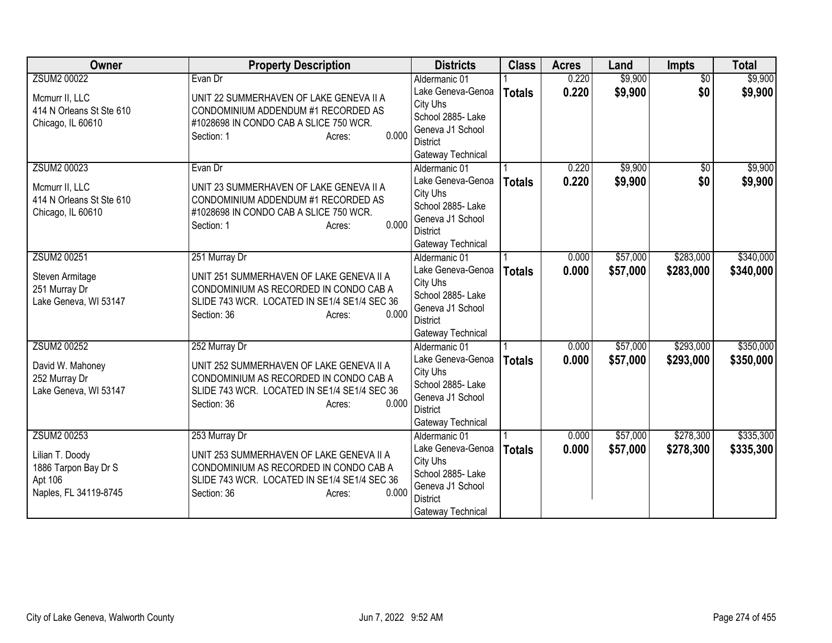| Owner                    | <b>Property Description</b>                  | <b>Districts</b>                     | <b>Class</b>  | <b>Acres</b> | Land     | <b>Impts</b>    | <b>Total</b> |
|--------------------------|----------------------------------------------|--------------------------------------|---------------|--------------|----------|-----------------|--------------|
| <b>ZSUM2 00022</b>       | Evan Dr                                      | Aldermanic 01                        |               | 0.220        | \$9,900  | $\overline{30}$ | \$9,900      |
| Mcmurr II, LLC           | UNIT 22 SUMMERHAVEN OF LAKE GENEVA II A      | Lake Geneva-Genoa                    | <b>Totals</b> | 0.220        | \$9,900  | \$0             | \$9,900      |
| 414 N Orleans St Ste 610 | CONDOMINIUM ADDENDUM #1 RECORDED AS          | City Uhs                             |               |              |          |                 |              |
| Chicago, IL 60610        | #1028698 IN CONDO CAB A SLICE 750 WCR.       | School 2885- Lake                    |               |              |          |                 |              |
|                          | 0.000<br>Section: 1<br>Acres:                | Geneva J1 School                     |               |              |          |                 |              |
|                          |                                              | <b>District</b><br>Gateway Technical |               |              |          |                 |              |
| <b>ZSUM2 00023</b>       | Evan Dr                                      | Aldermanic 01                        |               | 0.220        | \$9,900  | $\overline{50}$ | \$9,900      |
|                          |                                              | Lake Geneva-Genoa                    | <b>Totals</b> | 0.220        | \$9,900  | \$0             | \$9,900      |
| Mcmurr II, LLC           | UNIT 23 SUMMERHAVEN OF LAKE GENEVA II A      | City Uhs                             |               |              |          |                 |              |
| 414 N Orleans St Ste 610 | CONDOMINIUM ADDENDUM #1 RECORDED AS          | School 2885- Lake                    |               |              |          |                 |              |
| Chicago, IL 60610        | #1028698 IN CONDO CAB A SLICE 750 WCR.       | Geneva J1 School                     |               |              |          |                 |              |
|                          | 0.000<br>Section: 1<br>Acres:                | <b>District</b>                      |               |              |          |                 |              |
|                          |                                              | Gateway Technical                    |               |              |          |                 |              |
| ZSUM2 00251              | 251 Murray Dr                                | Aldermanic 01                        |               | 0.000        | \$57,000 | \$283,000       | \$340,000    |
| Steven Armitage          | UNIT 251 SUMMERHAVEN OF LAKE GENEVA II A     | Lake Geneva-Genoa                    | <b>Totals</b> | 0.000        | \$57,000 | \$283,000       | \$340,000    |
| 251 Murray Dr            | CONDOMINIUM AS RECORDED IN CONDO CAB A       | City Uhs                             |               |              |          |                 |              |
| Lake Geneva, WI 53147    | SLIDE 743 WCR. LOCATED IN SE1/4 SE1/4 SEC 36 | School 2885- Lake                    |               |              |          |                 |              |
|                          | 0.000<br>Section: 36<br>Acres:               | Geneva J1 School                     |               |              |          |                 |              |
|                          |                                              | <b>District</b>                      |               |              |          |                 |              |
|                          |                                              | Gateway Technical                    |               |              |          |                 |              |
| ZSUM2 00252              | 252 Murray Dr                                | Aldermanic 01<br>Lake Geneva-Genoa   |               | 0.000        | \$57,000 | \$293,000       | \$350,000    |
| David W. Mahoney         | UNIT 252 SUMMERHAVEN OF LAKE GENEVA II A     | City Uhs                             | <b>Totals</b> | 0.000        | \$57,000 | \$293,000       | \$350,000    |
| 252 Murray Dr            | CONDOMINIUM AS RECORDED IN CONDO CAB A       | School 2885- Lake                    |               |              |          |                 |              |
| Lake Geneva, WI 53147    | SLIDE 743 WCR. LOCATED IN SE1/4 SE1/4 SEC 36 | Geneva J1 School                     |               |              |          |                 |              |
|                          | 0.000<br>Section: 36<br>Acres:               | <b>District</b>                      |               |              |          |                 |              |
|                          |                                              | Gateway Technical                    |               |              |          |                 |              |
| <b>ZSUM2 00253</b>       | 253 Murray Dr                                | Aldermanic 01                        |               | 0.000        | \$57,000 | \$278,300       | \$335,300    |
| Lilian T. Doody          | UNIT 253 SUMMERHAVEN OF LAKE GENEVA II A     | Lake Geneva-Genoa                    | <b>Totals</b> | 0.000        | \$57,000 | \$278,300       | \$335,300    |
| 1886 Tarpon Bay Dr S     | CONDOMINIUM AS RECORDED IN CONDO CAB A       | City Uhs                             |               |              |          |                 |              |
| Apt 106                  | SLIDE 743 WCR. LOCATED IN SE1/4 SE1/4 SEC 36 | School 2885- Lake                    |               |              |          |                 |              |
| Naples, FL 34119-8745    | 0.000<br>Section: 36<br>Acres:               | Geneva J1 School                     |               |              |          |                 |              |
|                          |                                              | <b>District</b>                      |               |              |          |                 |              |
|                          |                                              | Gateway Technical                    |               |              |          |                 |              |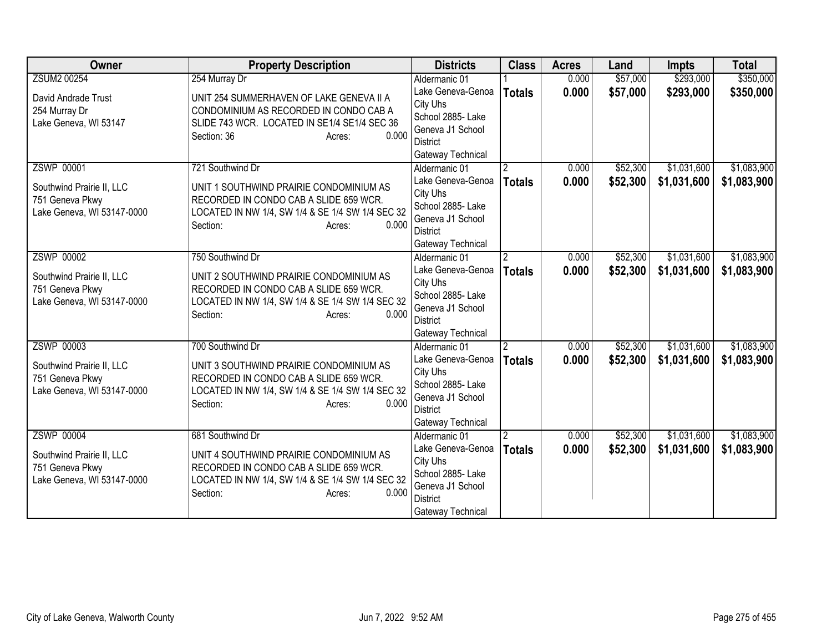| <b>Owner</b>               | <b>Property Description</b>                                                     | <b>Districts</b>                      | <b>Class</b>   | <b>Acres</b> | Land     | <b>Impts</b> | <b>Total</b> |
|----------------------------|---------------------------------------------------------------------------------|---------------------------------------|----------------|--------------|----------|--------------|--------------|
| <b>ZSUM2 00254</b>         | 254 Murray Dr                                                                   | Aldermanic 01                         |                | 0.000        | \$57,000 | \$293,000    | \$350,000    |
| David Andrade Trust        | UNIT 254 SUMMERHAVEN OF LAKE GENEVA II A                                        | Lake Geneva-Genoa                     | <b>Totals</b>  | 0.000        | \$57,000 | \$293,000    | \$350,000    |
| 254 Murray Dr              | CONDOMINIUM AS RECORDED IN CONDO CAB A                                          | City Uhs                              |                |              |          |              |              |
| Lake Geneva, WI 53147      | SLIDE 743 WCR. LOCATED IN SE1/4 SE1/4 SEC 36                                    | School 2885- Lake                     |                |              |          |              |              |
|                            | 0.000<br>Section: 36<br>Acres:                                                  | Geneva J1 School                      |                |              |          |              |              |
|                            |                                                                                 | District<br>Gateway Technical         |                |              |          |              |              |
| <b>ZSWP 00001</b>          | 721 Southwind Dr                                                                | Aldermanic 01                         | 2              | 0.000        | \$52,300 | \$1,031,600  | \$1,083,900  |
|                            |                                                                                 | Lake Geneva-Genoa                     | <b>Totals</b>  | 0.000        | \$52,300 | \$1,031,600  | \$1,083,900  |
| Southwind Prairie II, LLC  | UNIT 1 SOUTHWIND PRAIRIE CONDOMINIUM AS                                         | City Uhs                              |                |              |          |              |              |
| 751 Geneva Pkwy            | RECORDED IN CONDO CAB A SLIDE 659 WCR.                                          | School 2885- Lake                     |                |              |          |              |              |
| Lake Geneva, WI 53147-0000 | LOCATED IN NW 1/4, SW 1/4 & SE 1/4 SW 1/4 SEC 32                                | Geneva J1 School                      |                |              |          |              |              |
|                            | 0.000<br>Section:<br>Acres:                                                     | District                              |                |              |          |              |              |
|                            |                                                                                 | Gateway Technical                     |                |              |          |              |              |
| <b>ZSWP 00002</b>          | 750 Southwind Dr                                                                | Aldermanic 01                         | $\mathfrak{p}$ | 0.000        | \$52,300 | \$1,031,600  | \$1,083,900  |
| Southwind Prairie II, LLC  | UNIT 2 SOUTHWIND PRAIRIE CONDOMINIUM AS                                         | Lake Geneva-Genoa                     | <b>Totals</b>  | 0.000        | \$52,300 | \$1,031,600  | \$1,083,900  |
| 751 Geneva Pkwy            | RECORDED IN CONDO CAB A SLIDE 659 WCR.                                          | City Uhs                              |                |              |          |              |              |
| Lake Geneva, WI 53147-0000 | LOCATED IN NW 1/4, SW 1/4 & SE 1/4 SW 1/4 SEC 32                                | School 2885- Lake                     |                |              |          |              |              |
|                            | 0.000<br>Section:<br>Acres:                                                     | Geneva J1 School<br>District          |                |              |          |              |              |
|                            |                                                                                 | Gateway Technical                     |                |              |          |              |              |
| <b>ZSWP 00003</b>          | 700 Southwind Dr                                                                | Aldermanic 01                         |                | 0.000        | \$52,300 | \$1,031,600  | \$1,083,900  |
|                            |                                                                                 | Lake Geneva-Genoa                     | <b>Totals</b>  | 0.000        | \$52,300 | \$1,031,600  | \$1,083,900  |
| Southwind Prairie II, LLC  | UNIT 3 SOUTHWIND PRAIRIE CONDOMINIUM AS                                         | City Uhs                              |                |              |          |              |              |
| 751 Geneva Pkwy            | RECORDED IN CONDO CAB A SLIDE 659 WCR.                                          | School 2885- Lake                     |                |              |          |              |              |
| Lake Geneva, WI 53147-0000 | LOCATED IN NW 1/4, SW 1/4 & SE 1/4 SW 1/4 SEC 32<br>0.000<br>Section:<br>Acres: | Geneva J1 School                      |                |              |          |              |              |
|                            |                                                                                 | <b>District</b>                       |                |              |          |              |              |
|                            |                                                                                 | Gateway Technical                     |                |              |          |              |              |
| <b>ZSWP 00004</b>          | 681 Southwind Dr                                                                | Aldermanic 01                         |                | 0.000        | \$52,300 | \$1,031,600  | \$1,083,900  |
| Southwind Prairie II, LLC  | UNIT 4 SOUTHWIND PRAIRIE CONDOMINIUM AS                                         | Lake Geneva-Genoa                     | <b>Totals</b>  | 0.000        | \$52,300 | \$1,031,600  | \$1,083,900  |
| 751 Geneva Pkwy            | RECORDED IN CONDO CAB A SLIDE 659 WCR.                                          | City Uhs                              |                |              |          |              |              |
| Lake Geneva, WI 53147-0000 | LOCATED IN NW 1/4, SW 1/4 & SE 1/4 SW 1/4 SEC 32                                | School 2885- Lake<br>Geneva J1 School |                |              |          |              |              |
|                            | 0.000<br>Section:<br>Acres:                                                     | <b>District</b>                       |                |              |          |              |              |
|                            |                                                                                 | Gateway Technical                     |                |              |          |              |              |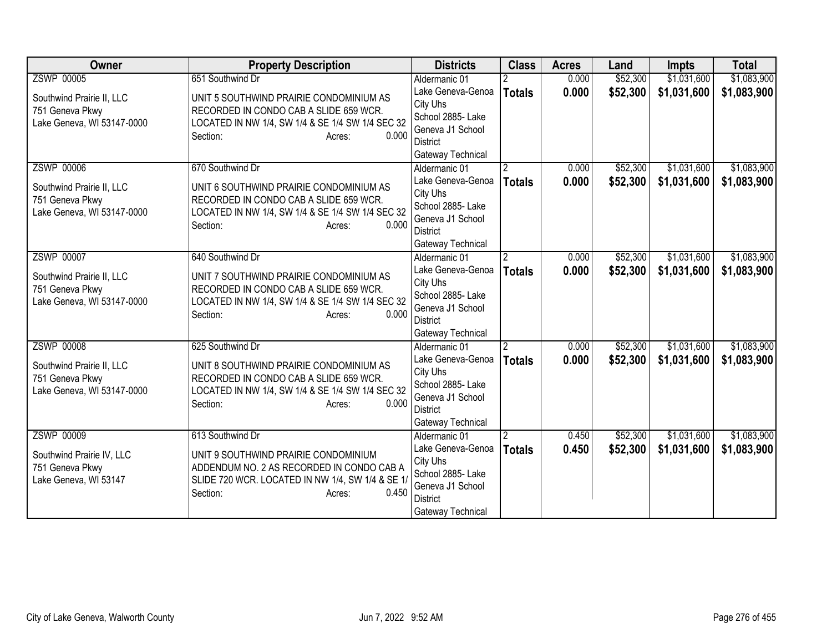| Owner                                                                                           | <b>Property Description</b>                                                                                                                                                              | <b>Districts</b>                                                                                                                | <b>Class</b>                    | <b>Acres</b>   | Land                 | <b>Impts</b>               | <b>Total</b>               |
|-------------------------------------------------------------------------------------------------|------------------------------------------------------------------------------------------------------------------------------------------------------------------------------------------|---------------------------------------------------------------------------------------------------------------------------------|---------------------------------|----------------|----------------------|----------------------------|----------------------------|
| <b>ZSWP 00005</b>                                                                               | 651 Southwind Dr                                                                                                                                                                         | Aldermanic 01                                                                                                                   |                                 | 0.000          | \$52,300             | \$1,031,600                | \$1,083,900                |
| Southwind Prairie II, LLC<br>751 Geneva Pkwy<br>Lake Geneva, WI 53147-0000                      | UNIT 5 SOUTHWIND PRAIRIE CONDOMINIUM AS<br>RECORDED IN CONDO CAB A SLIDE 659 WCR.<br>LOCATED IN NW 1/4, SW 1/4 & SE 1/4 SW 1/4 SEC 32<br>0.000<br>Section:<br>Acres:                     | Lake Geneva-Genoa<br>City Uhs<br>School 2885- Lake<br>Geneva J1 School<br>District<br>Gateway Technical                         | <b>Totals</b>                   | 0.000          | \$52,300             | \$1,031,600                | \$1,083,900                |
| <b>ZSWP 00006</b><br>Southwind Prairie II, LLC<br>751 Geneva Pkwy<br>Lake Geneva, WI 53147-0000 | 670 Southwind Dr<br>UNIT 6 SOUTHWIND PRAIRIE CONDOMINIUM AS<br>RECORDED IN CONDO CAB A SLIDE 659 WCR.<br>LOCATED IN NW 1/4, SW 1/4 & SE 1/4 SW 1/4 SEC 32<br>0.000<br>Section:<br>Acres: | Aldermanic 01<br>Lake Geneva-Genoa<br>City Uhs<br>School 2885- Lake<br>Geneva J1 School<br><b>District</b><br>Gateway Technical | 2<br><b>Totals</b>              | 0.000<br>0.000 | \$52,300<br>\$52,300 | \$1,031,600<br>\$1,031,600 | \$1,083,900<br>\$1,083,900 |
| <b>ZSWP 00007</b><br>Southwind Prairie II, LLC<br>751 Geneva Pkwy<br>Lake Geneva, WI 53147-0000 | 640 Southwind Dr<br>UNIT 7 SOUTHWIND PRAIRIE CONDOMINIUM AS<br>RECORDED IN CONDO CAB A SLIDE 659 WCR.<br>LOCATED IN NW 1/4, SW 1/4 & SE 1/4 SW 1/4 SEC 32<br>0.000<br>Section:<br>Acres: | Aldermanic 01<br>Lake Geneva-Genoa<br>City Uhs<br>School 2885- Lake<br>Geneva J1 School<br><b>District</b><br>Gateway Technical | $\overline{2}$<br><b>Totals</b> | 0.000<br>0.000 | \$52,300<br>\$52,300 | \$1,031,600<br>\$1,031,600 | \$1,083,900<br>\$1,083,900 |
| <b>ZSWP 00008</b><br>Southwind Prairie II, LLC<br>751 Geneva Pkwy<br>Lake Geneva, WI 53147-0000 | 625 Southwind Dr<br>UNIT 8 SOUTHWIND PRAIRIE CONDOMINIUM AS<br>RECORDED IN CONDO CAB A SLIDE 659 WCR.<br>LOCATED IN NW 1/4, SW 1/4 & SE 1/4 SW 1/4 SEC 32<br>Section:<br>0.000<br>Acres: | Aldermanic 01<br>Lake Geneva-Genoa<br>City Uhs<br>School 2885- Lake<br>Geneva J1 School<br><b>District</b><br>Gateway Technical | $\overline{2}$<br><b>Totals</b> | 0.000<br>0.000 | \$52,300<br>\$52,300 | \$1,031,600<br>\$1,031,600 | \$1,083,900<br>\$1,083,900 |
| <b>ZSWP 00009</b><br>Southwind Prairie IV, LLC<br>751 Geneva Pkwy<br>Lake Geneva, WI 53147      | 613 Southwind Dr<br>UNIT 9 SOUTHWIND PRAIRIE CONDOMINIUM<br>ADDENDUM NO. 2 AS RECORDED IN CONDO CAB A<br>SLIDE 720 WCR. LOCATED IN NW 1/4, SW 1/4 & SE 1/<br>Section:<br>0.450<br>Acres: | Aldermanic 01<br>Lake Geneva-Genoa<br>City Uhs<br>School 2885- Lake<br>Geneva J1 School<br><b>District</b><br>Gateway Technical | <b>Totals</b>                   | 0.450<br>0.450 | \$52,300<br>\$52,300 | \$1,031,600<br>\$1,031,600 | \$1,083,900<br>\$1,083,900 |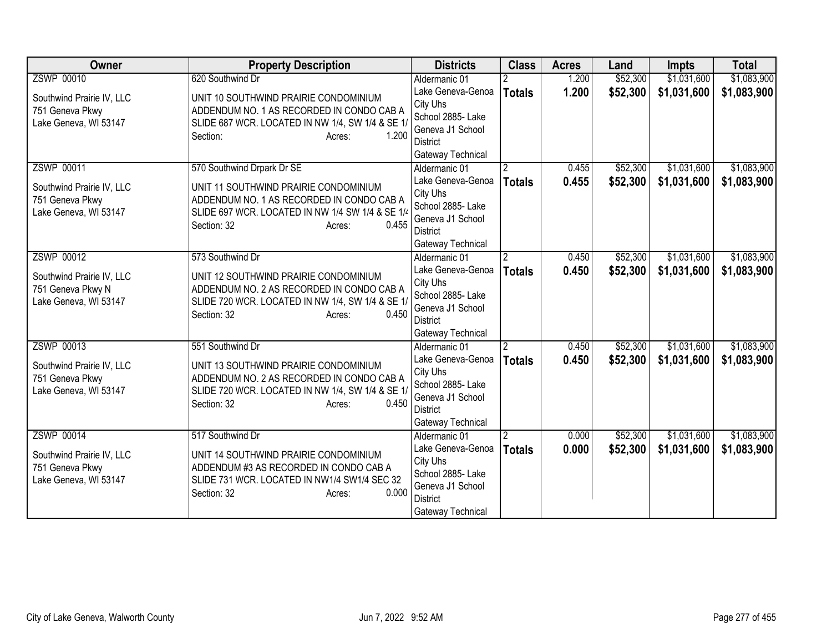| Owner                                        | <b>Property Description</b>                                                        | <b>Districts</b>                                   | <b>Class</b>   | <b>Acres</b> | Land     | Impts       | <b>Total</b> |
|----------------------------------------------|------------------------------------------------------------------------------------|----------------------------------------------------|----------------|--------------|----------|-------------|--------------|
| <b>ZSWP 00010</b>                            | 620 Southwind Dr                                                                   | Aldermanic 01                                      |                | 1.200        | \$52,300 | \$1,031,600 | \$1,083,900  |
| Southwind Prairie IV, LLC<br>751 Geneva Pkwy | UNIT 10 SOUTHWIND PRAIRIE CONDOMINIUM<br>ADDENDUM NO. 1 AS RECORDED IN CONDO CAB A | Lake Geneva-Genoa<br>City Uhs<br>School 2885- Lake | <b>Totals</b>  | 1.200        | \$52,300 | \$1,031,600 | \$1,083,900  |
| Lake Geneva, WI 53147                        | SLIDE 687 WCR. LOCATED IN NW 1/4, SW 1/4 & SE 1/<br>Section:<br>1.200<br>Acres:    | Geneva J1 School<br>District<br>Gateway Technical  |                |              |          |             |              |
| <b>ZSWP 00011</b>                            | 570 Southwind Drpark Dr SE                                                         | Aldermanic 01                                      | 2              | 0.455        | \$52,300 | \$1,031,600 | \$1,083,900  |
| Southwind Prairie IV, LLC                    | UNIT 11 SOUTHWIND PRAIRIE CONDOMINIUM                                              | Lake Geneva-Genoa<br>City Uhs                      | <b>Totals</b>  | 0.455        | \$52,300 | \$1,031,600 | \$1,083,900  |
| 751 Geneva Pkwy                              | ADDENDUM NO. 1 AS RECORDED IN CONDO CAB A                                          | School 2885- Lake                                  |                |              |          |             |              |
| Lake Geneva, WI 53147                        | SLIDE 697 WCR. LOCATED IN NW 1/4 SW 1/4 & SE 1/4<br>0.455<br>Section: 32<br>Acres: | Geneva J1 School                                   |                |              |          |             |              |
|                                              |                                                                                    | <b>District</b>                                    |                |              |          |             |              |
|                                              |                                                                                    | Gateway Technical                                  |                |              |          |             |              |
| ZSWP 00012                                   | 573 Southwind Dr                                                                   | Aldermanic 01                                      | $\overline{2}$ | 0.450        | \$52,300 | \$1,031,600 | \$1,083,900  |
| Southwind Prairie IV, LLC                    | UNIT 12 SOUTHWIND PRAIRIE CONDOMINIUM                                              | Lake Geneva-Genoa<br>City Uhs                      | <b>Totals</b>  | 0.450        | \$52,300 | \$1,031,600 | \$1,083,900  |
| 751 Geneva Pkwy N                            | ADDENDUM NO. 2 AS RECORDED IN CONDO CAB A                                          | School 2885- Lake                                  |                |              |          |             |              |
| Lake Geneva, WI 53147                        | SLIDE 720 WCR. LOCATED IN NW 1/4, SW 1/4 & SE 1/                                   | Geneva J1 School                                   |                |              |          |             |              |
|                                              | 0.450<br>Section: 32<br>Acres:                                                     | <b>District</b>                                    |                |              |          |             |              |
|                                              |                                                                                    | Gateway Technical                                  |                |              |          |             |              |
| ZSWP 00013                                   | 551 Southwind Dr                                                                   | Aldermanic 01                                      | $\overline{2}$ | 0.450        | \$52,300 | \$1,031,600 | \$1,083,900  |
| Southwind Prairie IV, LLC                    | UNIT 13 SOUTHWIND PRAIRIE CONDOMINIUM                                              | Lake Geneva-Genoa<br>City Uhs                      | <b>Totals</b>  | 0.450        | \$52,300 | \$1,031,600 | \$1,083,900  |
| 751 Geneva Pkwy                              | ADDENDUM NO. 2 AS RECORDED IN CONDO CAB A                                          | School 2885- Lake                                  |                |              |          |             |              |
| Lake Geneva, WI 53147                        | SLIDE 720 WCR. LOCATED IN NW 1/4, SW 1/4 & SE 1/                                   | Geneva J1 School                                   |                |              |          |             |              |
|                                              | Section: 32<br>0.450<br>Acres:                                                     | <b>District</b>                                    |                |              |          |             |              |
|                                              |                                                                                    | Gateway Technical                                  |                |              |          |             |              |
| <b>ZSWP 00014</b>                            | 517 Southwind Dr                                                                   | Aldermanic 01                                      |                | 0.000        | \$52,300 | \$1,031,600 | \$1,083,900  |
| Southwind Prairie IV, LLC                    | UNIT 14 SOUTHWIND PRAIRIE CONDOMINIUM                                              | Lake Geneva-Genoa                                  | <b>Totals</b>  | 0.000        | \$52,300 | \$1,031,600 | \$1,083,900  |
| 751 Geneva Pkwy                              | ADDENDUM #3 AS RECORDED IN CONDO CAB A                                             | City Uhs<br>School 2885- Lake                      |                |              |          |             |              |
| Lake Geneva, WI 53147                        | SLIDE 731 WCR. LOCATED IN NW1/4 SW1/4 SEC 32                                       | Geneva J1 School                                   |                |              |          |             |              |
|                                              | 0.000<br>Section: 32<br>Acres:                                                     | <b>District</b>                                    |                |              |          |             |              |
|                                              |                                                                                    | Gateway Technical                                  |                |              |          |             |              |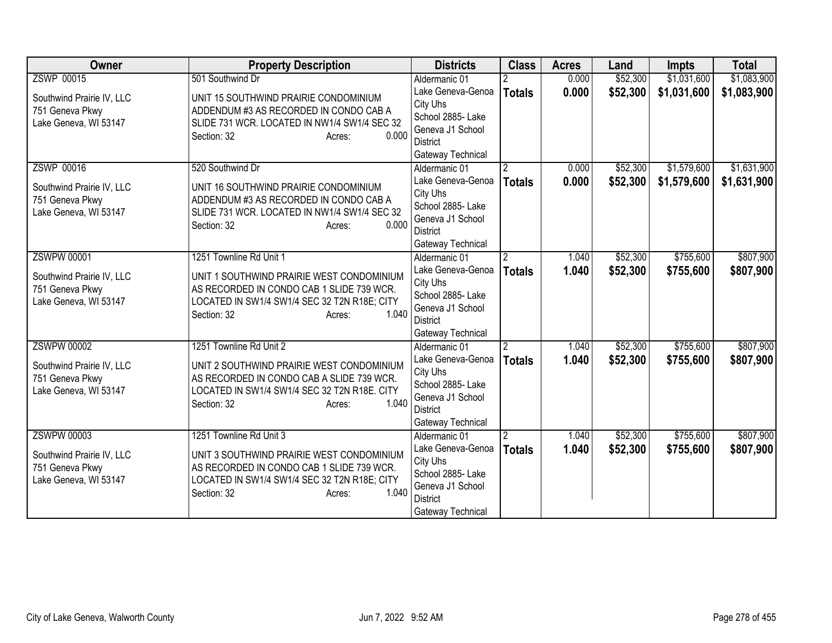| Owner                                    | <b>Property Description</b>                                                            | <b>Districts</b>                   | <b>Class</b>   | <b>Acres</b> | Land     | <b>Impts</b> | <b>Total</b> |
|------------------------------------------|----------------------------------------------------------------------------------------|------------------------------------|----------------|--------------|----------|--------------|--------------|
| <b>ZSWP 00015</b>                        | 501 Southwind Dr                                                                       | Aldermanic 01                      |                | 0.000        | \$52,300 | \$1,031,600  | \$1,083,900  |
| Southwind Prairie IV, LLC                | UNIT 15 SOUTHWIND PRAIRIE CONDOMINIUM                                                  | Lake Geneva-Genoa                  | <b>Totals</b>  | 0.000        | \$52,300 | \$1,031,600  | \$1,083,900  |
| 751 Geneva Pkwy                          | ADDENDUM #3 AS RECORDED IN CONDO CAB A                                                 | City Uhs                           |                |              |          |              |              |
| Lake Geneva, WI 53147                    | SLIDE 731 WCR. LOCATED IN NW1/4 SW1/4 SEC 32                                           | School 2885- Lake                  |                |              |          |              |              |
|                                          | 0.000<br>Section: 32<br>Acres:                                                         | Geneva J1 School                   |                |              |          |              |              |
|                                          |                                                                                        | District                           |                |              |          |              |              |
|                                          |                                                                                        | Gateway Technical                  |                |              |          |              |              |
| <b>ZSWP 00016</b>                        | 520 Southwind Dr                                                                       | Aldermanic 01                      | $\mathbf{2}$   | 0.000        | \$52,300 | \$1,579,600  | \$1,631,900  |
| Southwind Prairie IV, LLC                | UNIT 16 SOUTHWIND PRAIRIE CONDOMINIUM                                                  | Lake Geneva-Genoa                  | <b>Totals</b>  | 0.000        | \$52,300 | \$1,579,600  | \$1,631,900  |
| 751 Geneva Pkwy                          | ADDENDUM #3 AS RECORDED IN CONDO CAB A                                                 | City Uhs                           |                |              |          |              |              |
| Lake Geneva, WI 53147                    | SLIDE 731 WCR. LOCATED IN NW1/4 SW1/4 SEC 32                                           | School 2885- Lake                  |                |              |          |              |              |
|                                          | 0.000<br>Section: 32<br>Acres:                                                         | Geneva J1 School                   |                |              |          |              |              |
|                                          |                                                                                        | <b>District</b>                    |                |              |          |              |              |
| <b>ZSWPW 00001</b>                       | 1251 Townline Rd Unit 1                                                                | Gateway Technical<br>Aldermanic 01 | $\overline{2}$ | 1.040        | \$52,300 | \$755,600    | \$807,900    |
|                                          |                                                                                        | Lake Geneva-Genoa                  |                |              |          |              |              |
| Southwind Prairie IV, LLC                | UNIT 1 SOUTHWIND PRAIRIE WEST CONDOMINIUM                                              | City Uhs                           | <b>Totals</b>  | 1.040        | \$52,300 | \$755,600    | \$807,900    |
| 751 Geneva Pkwy                          | AS RECORDED IN CONDO CAB 1 SLIDE 739 WCR.                                              | School 2885- Lake                  |                |              |          |              |              |
| Lake Geneva, WI 53147                    | LOCATED IN SW1/4 SW1/4 SEC 32 T2N R18E; CITY                                           | Geneva J1 School                   |                |              |          |              |              |
|                                          | 1.040<br>Section: 32<br>Acres:                                                         | District                           |                |              |          |              |              |
|                                          |                                                                                        | Gateway Technical                  |                |              |          |              |              |
| <b>ZSWPW 00002</b>                       | 1251 Townline Rd Unit 2                                                                | Aldermanic 01                      | $\overline{2}$ | 1.040        | \$52,300 | \$755,600    | \$807,900    |
|                                          |                                                                                        | Lake Geneva-Genoa                  | <b>Totals</b>  | 1.040        | \$52,300 | \$755,600    | \$807,900    |
| Southwind Prairie IV, LLC                | UNIT 2 SOUTHWIND PRAIRIE WEST CONDOMINIUM<br>AS RECORDED IN CONDO CAB A SLIDE 739 WCR. | City Uhs                           |                |              |          |              |              |
| 751 Geneva Pkwy<br>Lake Geneva, WI 53147 | LOCATED IN SW1/4 SW1/4 SEC 32 T2N R18E. CITY                                           | School 2885- Lake                  |                |              |          |              |              |
|                                          | 1.040<br>Section: 32<br>Acres:                                                         | Geneva J1 School                   |                |              |          |              |              |
|                                          |                                                                                        | <b>District</b>                    |                |              |          |              |              |
|                                          |                                                                                        | Gateway Technical                  |                |              |          |              |              |
| <b>ZSWPW 00003</b>                       | 1251 Townline Rd Unit 3                                                                | Aldermanic 01                      |                | 1.040        | \$52,300 | \$755,600    | \$807,900    |
| Southwind Prairie IV, LLC                | UNIT 3 SOUTHWIND PRAIRIE WEST CONDOMINIUM                                              | Lake Geneva-Genoa                  | <b>Totals</b>  | 1.040        | \$52,300 | \$755,600    | \$807,900    |
| 751 Geneva Pkwy                          | AS RECORDED IN CONDO CAB 1 SLIDE 739 WCR.                                              | City Uhs                           |                |              |          |              |              |
| Lake Geneva, WI 53147                    | LOCATED IN SW1/4 SW1/4 SEC 32 T2N R18E; CITY                                           | School 2885- Lake                  |                |              |          |              |              |
|                                          | 1.040<br>Section: 32<br>Acres:                                                         | Geneva J1 School                   |                |              |          |              |              |
|                                          |                                                                                        | <b>District</b>                    |                |              |          |              |              |
|                                          |                                                                                        | Gateway Technical                  |                |              |          |              |              |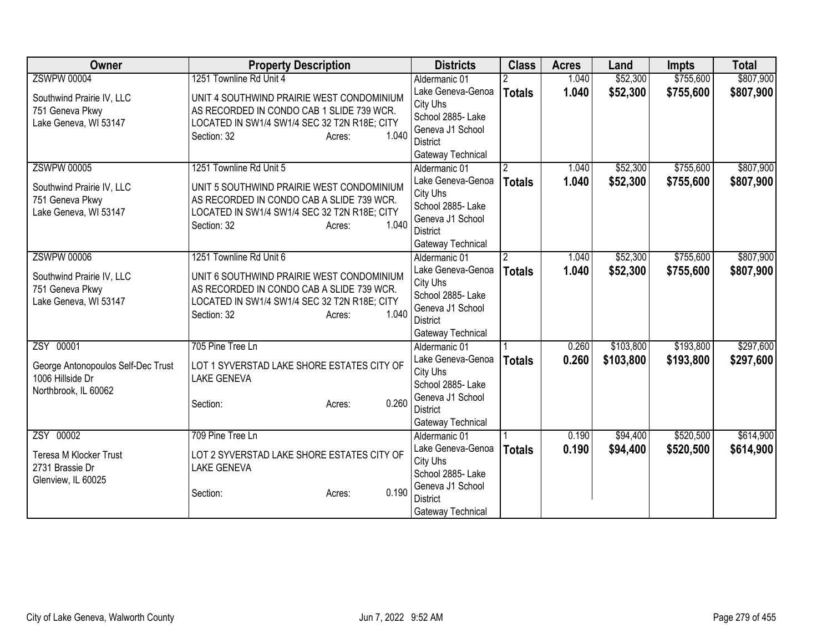| Owner                                                  | <b>Property Description</b>                                      | <b>Districts</b>                   | <b>Class</b>          | <b>Acres</b> | Land      | <b>Impts</b> | <b>Total</b> |
|--------------------------------------------------------|------------------------------------------------------------------|------------------------------------|-----------------------|--------------|-----------|--------------|--------------|
| <b>ZSWPW 00004</b>                                     | 1251 Townline Rd Unit 4                                          | Aldermanic 01                      |                       | 1.040        | \$52,300  | \$755,600    | \$807,900    |
| Southwind Prairie IV, LLC                              | UNIT 4 SOUTHWIND PRAIRIE WEST CONDOMINIUM                        | Lake Geneva-Genoa                  | <b>Totals</b>         | 1.040        | \$52,300  | \$755,600    | \$807,900    |
| 751 Geneva Pkwy                                        | AS RECORDED IN CONDO CAB 1 SLIDE 739 WCR.                        | City Uhs                           |                       |              |           |              |              |
| Lake Geneva, WI 53147                                  | LOCATED IN SW1/4 SW1/4 SEC 32 T2N R18E; CITY                     | School 2885- Lake                  |                       |              |           |              |              |
|                                                        | 1.040<br>Section: 32<br>Acres:                                   | Geneva J1 School                   |                       |              |           |              |              |
|                                                        |                                                                  | District                           |                       |              |           |              |              |
|                                                        |                                                                  | Gateway Technical                  |                       |              |           |              |              |
| <b>ZSWPW 00005</b>                                     | 1251 Townline Rd Unit 5                                          | Aldermanic 01                      | $\mathbf{2}^{\prime}$ | 1.040        | \$52,300  | \$755,600    | \$807,900    |
| Southwind Prairie IV, LLC                              | UNIT 5 SOUTHWIND PRAIRIE WEST CONDOMINIUM                        | Lake Geneva-Genoa                  | <b>Totals</b>         | 1.040        | \$52,300  | \$755,600    | \$807,900    |
| 751 Geneva Pkwy                                        | AS RECORDED IN CONDO CAB A SLIDE 739 WCR.                        | City Uhs                           |                       |              |           |              |              |
| Lake Geneva, WI 53147                                  | LOCATED IN SW1/4 SW1/4 SEC 32 T2N R18E; CITY                     | School 2885- Lake                  |                       |              |           |              |              |
|                                                        | 1.040<br>Section: 32<br>Acres:                                   | Geneva J1 School                   |                       |              |           |              |              |
|                                                        |                                                                  | District                           |                       |              |           |              |              |
| <b>ZSWPW 00006</b>                                     | 1251 Townline Rd Unit 6                                          | Gateway Technical<br>Aldermanic 01 | 2                     | 1.040        | \$52,300  | \$755,600    | \$807,900    |
|                                                        |                                                                  | Lake Geneva-Genoa                  |                       |              |           |              |              |
| Southwind Prairie IV, LLC                              | UNIT 6 SOUTHWIND PRAIRIE WEST CONDOMINIUM                        | City Uhs                           | <b>Totals</b>         | 1.040        | \$52,300  | \$755,600    | \$807,900    |
| 751 Geneva Pkwy                                        | AS RECORDED IN CONDO CAB A SLIDE 739 WCR.                        | School 2885- Lake                  |                       |              |           |              |              |
| Lake Geneva, WI 53147                                  | LOCATED IN SW1/4 SW1/4 SEC 32 T2N R18E; CITY                     | Geneva J1 School                   |                       |              |           |              |              |
|                                                        | 1.040<br>Section: 32<br>Acres:                                   | <b>District</b>                    |                       |              |           |              |              |
|                                                        |                                                                  | Gateway Technical                  |                       |              |           |              |              |
| ZSY 00001                                              | 705 Pine Tree Ln                                                 | Aldermanic 01                      |                       | 0.260        | \$103,800 | \$193,800    | \$297,600    |
|                                                        |                                                                  | Lake Geneva-Genoa                  | <b>Totals</b>         | 0.260        | \$103,800 | \$193,800    | \$297,600    |
| George Antonopoulos Self-Dec Trust<br>1006 Hillside Dr | LOT 1 SYVERSTAD LAKE SHORE ESTATES CITY OF<br><b>LAKE GENEVA</b> | City Uhs                           |                       |              |           |              |              |
| Northbrook, IL 60062                                   |                                                                  | School 2885- Lake                  |                       |              |           |              |              |
|                                                        | 0.260<br>Section:<br>Acres:                                      | Geneva J1 School                   |                       |              |           |              |              |
|                                                        |                                                                  | <b>District</b>                    |                       |              |           |              |              |
|                                                        |                                                                  | Gateway Technical                  |                       |              |           |              |              |
| ZSY 00002                                              | 709 Pine Tree Ln                                                 | Aldermanic 01                      |                       | 0.190        | \$94,400  | \$520,500    | \$614,900    |
| Teresa M Klocker Trust                                 | LOT 2 SYVERSTAD LAKE SHORE ESTATES CITY OF                       | Lake Geneva-Genoa                  | <b>Totals</b>         | 0.190        | \$94,400  | \$520,500    | \$614,900    |
| 2731 Brassie Dr                                        | <b>LAKE GENEVA</b>                                               | City Uhs                           |                       |              |           |              |              |
| Glenview, IL 60025                                     |                                                                  | School 2885- Lake                  |                       |              |           |              |              |
|                                                        | 0.190<br>Section:<br>Acres:                                      | Geneva J1 School                   |                       |              |           |              |              |
|                                                        |                                                                  | <b>District</b>                    |                       |              |           |              |              |
|                                                        |                                                                  | Gateway Technical                  |                       |              |           |              |              |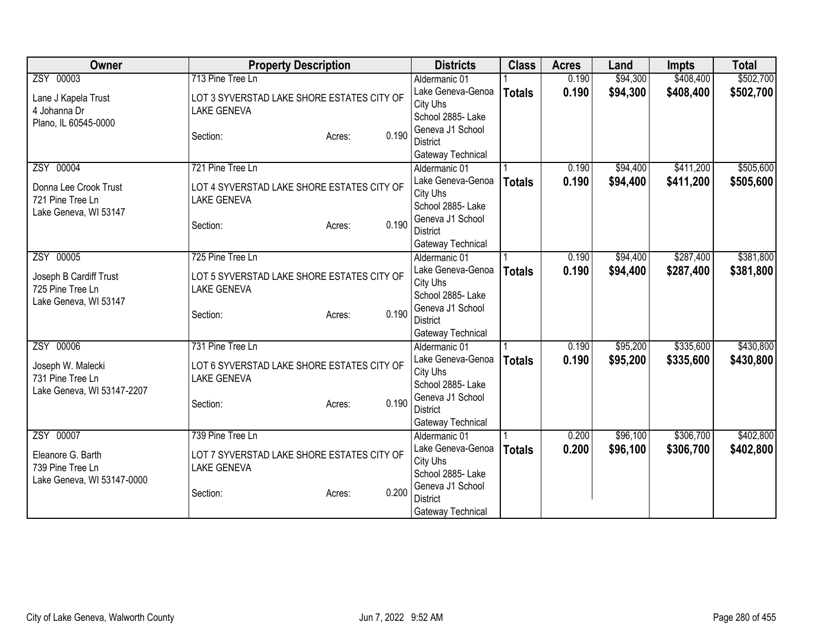| Owner                      | <b>Property Description</b>                | <b>Districts</b>  | <b>Class</b>  | <b>Acres</b> | Land     | <b>Impts</b> | <b>Total</b> |
|----------------------------|--------------------------------------------|-------------------|---------------|--------------|----------|--------------|--------------|
| ZSY 00003                  | 713 Pine Tree Ln                           | Aldermanic 01     |               | 0.190        | \$94,300 | \$408,400    | \$502,700    |
| Lane J Kapela Trust        | LOT 3 SYVERSTAD LAKE SHORE ESTATES CITY OF | Lake Geneva-Genoa | <b>Totals</b> | 0.190        | \$94,300 | \$408,400    | \$502,700    |
| 4 Johanna Dr               | <b>LAKE GENEVA</b>                         | City Uhs          |               |              |          |              |              |
| Plano, IL 60545-0000       |                                            | School 2885-Lake  |               |              |          |              |              |
|                            | 0.190<br>Section:<br>Acres:                | Geneva J1 School  |               |              |          |              |              |
|                            |                                            | <b>District</b>   |               |              |          |              |              |
|                            |                                            | Gateway Technical |               |              |          |              |              |
| ZSY 00004                  | 721 Pine Tree Ln                           | Aldermanic 01     |               | 0.190        | \$94,400 | \$411,200    | \$505,600    |
| Donna Lee Crook Trust      | LOT 4 SYVERSTAD LAKE SHORE ESTATES CITY OF | Lake Geneva-Genoa | <b>Totals</b> | 0.190        | \$94,400 | \$411,200    | \$505,600    |
| 721 Pine Tree Ln           | <b>LAKE GENEVA</b>                         | City Uhs          |               |              |          |              |              |
| Lake Geneva, WI 53147      |                                            | School 2885- Lake |               |              |          |              |              |
|                            | 0.190<br>Section:<br>Acres:                | Geneva J1 School  |               |              |          |              |              |
|                            |                                            | <b>District</b>   |               |              |          |              |              |
|                            |                                            | Gateway Technical |               |              |          |              |              |
| ZSY 00005                  | 725 Pine Tree Ln                           | Aldermanic 01     |               | 0.190        | \$94,400 | \$287,400    | \$381,800    |
| Joseph B Cardiff Trust     | LOT 5 SYVERSTAD LAKE SHORE ESTATES CITY OF | Lake Geneva-Genoa | <b>Totals</b> | 0.190        | \$94,400 | \$287,400    | \$381,800    |
| 725 Pine Tree Ln           | <b>LAKE GENEVA</b>                         | City Uhs          |               |              |          |              |              |
| Lake Geneva, WI 53147      |                                            | School 2885- Lake |               |              |          |              |              |
|                            | 0.190<br>Section:<br>Acres:                | Geneva J1 School  |               |              |          |              |              |
|                            |                                            | <b>District</b>   |               |              |          |              |              |
|                            |                                            | Gateway Technical |               |              |          |              |              |
| ZSY 00006                  | 731 Pine Tree Ln                           | Aldermanic 01     |               | 0.190        | \$95,200 | \$335,600    | \$430,800    |
| Joseph W. Malecki          | LOT 6 SYVERSTAD LAKE SHORE ESTATES CITY OF | Lake Geneva-Genoa | <b>Totals</b> | 0.190        | \$95,200 | \$335,600    | \$430,800    |
| 731 Pine Tree Ln           | <b>LAKE GENEVA</b>                         | City Uhs          |               |              |          |              |              |
| Lake Geneva, WI 53147-2207 |                                            | School 2885- Lake |               |              |          |              |              |
|                            | 0.190<br>Section:<br>Acres:                | Geneva J1 School  |               |              |          |              |              |
|                            |                                            | <b>District</b>   |               |              |          |              |              |
|                            |                                            | Gateway Technical |               |              |          |              |              |
| ZSY 00007                  | 739 Pine Tree Ln                           | Aldermanic 01     |               | 0.200        | \$96,100 | \$306,700    | \$402,800    |
| Eleanore G. Barth          | LOT 7 SYVERSTAD LAKE SHORE ESTATES CITY OF | Lake Geneva-Genoa | <b>Totals</b> | 0.200        | \$96,100 | \$306,700    | \$402,800    |
| 739 Pine Tree Ln           | <b>LAKE GENEVA</b>                         | City Uhs          |               |              |          |              |              |
| Lake Geneva, WI 53147-0000 |                                            | School 2885- Lake |               |              |          |              |              |
|                            | 0.200<br>Section:<br>Acres:                | Geneva J1 School  |               |              |          |              |              |
|                            |                                            | <b>District</b>   |               |              |          |              |              |
|                            |                                            | Gateway Technical |               |              |          |              |              |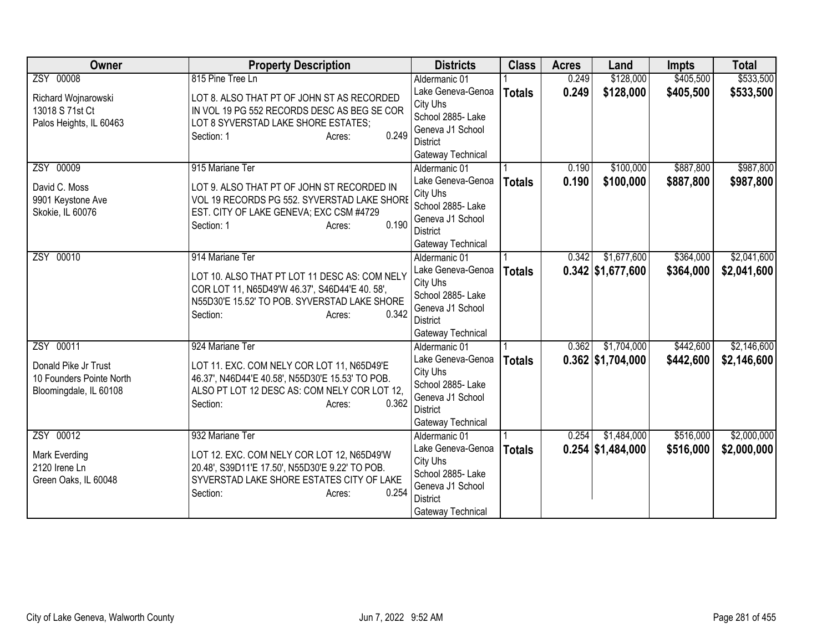| <b>Owner</b>             | <b>Property Description</b>                      | <b>Districts</b>              | <b>Class</b>  | <b>Acres</b> | Land                | <b>Impts</b> | <b>Total</b> |
|--------------------------|--------------------------------------------------|-------------------------------|---------------|--------------|---------------------|--------------|--------------|
| ZSY 00008                | 815 Pine Tree Ln                                 | Aldermanic 01                 |               | 0.249        | \$128,000           | \$405,500    | \$533,500    |
| Richard Wojnarowski      | LOT 8. ALSO THAT PT OF JOHN ST AS RECORDED       | Lake Geneva-Genoa             | <b>Totals</b> | 0.249        | \$128,000           | \$405,500    | \$533,500    |
| 13018 S 71st Ct          | IN VOL 19 PG 552 RECORDS DESC AS BEG SE COR      | City Uhs                      |               |              |                     |              |              |
| Palos Heights, IL 60463  | LOT 8 SYVERSTAD LAKE SHORE ESTATES;              | School 2885- Lake             |               |              |                     |              |              |
|                          | 0.249<br>Section: 1<br>Acres:                    | Geneva J1 School              |               |              |                     |              |              |
|                          |                                                  | <b>District</b>               |               |              |                     |              |              |
|                          |                                                  | Gateway Technical             |               |              |                     |              |              |
| ZSY 00009                | 915 Mariane Ter                                  | Aldermanic 01                 |               | 0.190        | \$100,000           | \$887,800    | \$987,800    |
| David C. Moss            | LOT 9. ALSO THAT PT OF JOHN ST RECORDED IN       | Lake Geneva-Genoa             | <b>Totals</b> | 0.190        | \$100,000           | \$887,800    | \$987,800    |
| 9901 Keystone Ave        | VOL 19 RECORDS PG 552. SYVERSTAD LAKE SHORE      | City Uhs<br>School 2885- Lake |               |              |                     |              |              |
| Skokie, IL 60076         | EST. CITY OF LAKE GENEVA; EXC CSM #4729          | Geneva J1 School              |               |              |                     |              |              |
|                          | 0.190<br>Section: 1<br>Acres:                    | <b>District</b>               |               |              |                     |              |              |
|                          |                                                  | Gateway Technical             |               |              |                     |              |              |
| ZSY 00010                | 914 Mariane Ter                                  | Aldermanic 01                 |               | 0.342        | \$1,677,600         | \$364,000    | \$2,041,600  |
|                          |                                                  | Lake Geneva-Genoa             | <b>Totals</b> |              | $0.342$ \$1,677,600 | \$364,000    | \$2,041,600  |
|                          | LOT 10. ALSO THAT PT LOT 11 DESC AS: COM NELY    | City Uhs                      |               |              |                     |              |              |
|                          | COR LOT 11, N65D49'W 46.37', S46D44'E 40. 58',   | School 2885- Lake             |               |              |                     |              |              |
|                          | N55D30'E 15.52' TO POB. SYVERSTAD LAKE SHORE     | Geneva J1 School              |               |              |                     |              |              |
|                          | 0.342<br>Section:<br>Acres:                      | <b>District</b>               |               |              |                     |              |              |
|                          |                                                  | Gateway Technical             |               |              |                     |              |              |
| ZSY 00011                | 924 Mariane Ter                                  | Aldermanic 01                 |               | 0.362        | \$1,704,000         | \$442,600    | \$2,146,600  |
| Donald Pike Jr Trust     | LOT 11. EXC. COM NELY COR LOT 11, N65D49'E       | Lake Geneva-Genoa             | <b>Totals</b> |              | $0.362$ \$1,704,000 | \$442,600    | \$2,146,600  |
| 10 Founders Pointe North | 46.37', N46D44'E 40.58', N55D30'E 15.53' TO POB. | City Uhs                      |               |              |                     |              |              |
| Bloomingdale, IL 60108   | ALSO PT LOT 12 DESC AS: COM NELY COR LOT 12,     | School 2885- Lake             |               |              |                     |              |              |
|                          | 0.362<br>Section:<br>Acres:                      | Geneva J1 School              |               |              |                     |              |              |
|                          |                                                  | <b>District</b>               |               |              |                     |              |              |
|                          |                                                  | Gateway Technical             |               |              |                     |              |              |
| ZSY 00012                | 932 Mariane Ter                                  | Aldermanic 01                 |               | 0.254        | \$1,484,000         | \$516,000    | \$2,000,000  |
| Mark Everding            | LOT 12. EXC. COM NELY COR LOT 12, N65D49'W       | Lake Geneva-Genoa<br>City Uhs | <b>Totals</b> |              | $0.254$ \$1,484,000 | \$516,000    | \$2,000,000  |
| 2120 Irene Ln            | 20.48', S39D11'E 17.50', N55D30'E 9.22' TO POB.  | School 2885- Lake             |               |              |                     |              |              |
| Green Oaks, IL 60048     | SYVERSTAD LAKE SHORE ESTATES CITY OF LAKE        | Geneva J1 School              |               |              |                     |              |              |
|                          | 0.254<br>Section:<br>Acres:                      | <b>District</b>               |               |              |                     |              |              |
|                          |                                                  | Gateway Technical             |               |              |                     |              |              |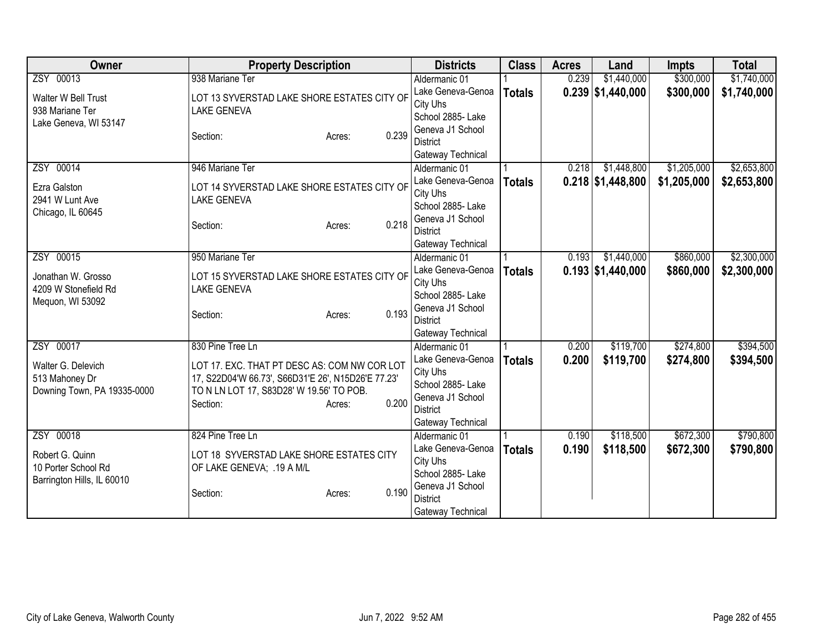| Owner                                  | <b>Property Description</b>                                       | <b>Districts</b>                      | <b>Class</b>  | <b>Acres</b> | Land                | <b>Impts</b> | <b>Total</b> |
|----------------------------------------|-------------------------------------------------------------------|---------------------------------------|---------------|--------------|---------------------|--------------|--------------|
| ZSY 00013                              | 938 Mariane Ter                                                   | Aldermanic 01                         |               | 0.239        | \$1,440,000         | \$300,000    | \$1,740,000  |
| Walter W Bell Trust<br>938 Mariane Ter | LOT 13 SYVERSTAD LAKE SHORE ESTATES CITY OF<br><b>LAKE GENEVA</b> | Lake Geneva-Genoa<br>City Uhs         | <b>Totals</b> |              | $0.239$ \$1,440,000 | \$300,000    | \$1,740,000  |
| Lake Geneva, WI 53147                  |                                                                   | School 2885- Lake<br>Geneva J1 School |               |              |                     |              |              |
|                                        | 0.239<br>Section:<br>Acres:                                       | District                              |               |              |                     |              |              |
|                                        |                                                                   | Gateway Technical                     |               |              |                     |              |              |
| ZSY 00014                              | 946 Mariane Ter                                                   | Aldermanic 01                         |               | 0.218        | \$1,448,800         | \$1,205,000  | \$2,653,800  |
| Ezra Galston                           | LOT 14 SYVERSTAD LAKE SHORE ESTATES CITY OF                       | Lake Geneva-Genoa                     | <b>Totals</b> |              | $0.218$ \$1,448,800 | \$1,205,000  | \$2,653,800  |
| 2941 W Lunt Ave                        | <b>LAKE GENEVA</b>                                                | City Uhs                              |               |              |                     |              |              |
| Chicago, IL 60645                      |                                                                   | School 2885- Lake                     |               |              |                     |              |              |
|                                        | 0.218<br>Section:<br>Acres:                                       | Geneva J1 School<br><b>District</b>   |               |              |                     |              |              |
|                                        |                                                                   | Gateway Technical                     |               |              |                     |              |              |
| ZSY 00015                              | 950 Mariane Ter                                                   | Aldermanic 01                         |               | 0.193        | \$1,440,000         | \$860,000    | \$2,300,000  |
|                                        |                                                                   | Lake Geneva-Genoa                     | <b>Totals</b> |              | $0.193$ \$1,440,000 | \$860,000    | \$2,300,000  |
| Jonathan W. Grosso                     | LOT 15 SYVERSTAD LAKE SHORE ESTATES CITY OF                       | City Uhs                              |               |              |                     |              |              |
| 4209 W Stonefield Rd                   | <b>LAKE GENEVA</b>                                                | School 2885- Lake                     |               |              |                     |              |              |
| Mequon, WI 53092                       | 0.193                                                             | Geneva J1 School                      |               |              |                     |              |              |
|                                        | Section:<br>Acres:                                                | <b>District</b>                       |               |              |                     |              |              |
|                                        |                                                                   | Gateway Technical                     |               |              |                     |              |              |
| ZSY 00017                              | 830 Pine Tree Ln                                                  | Aldermanic 01                         |               | 0.200        | \$119,700           | \$274,800    | \$394,500    |
| Walter G. Delevich                     | LOT 17. EXC. THAT PT DESC AS: COM NW COR LOT                      | Lake Geneva-Genoa                     | <b>Totals</b> | 0.200        | \$119,700           | \$274,800    | \$394,500    |
| 513 Mahoney Dr                         | 17, S22D04'W 66.73', S66D31'E 26', N15D26'E 77.23'                | City Uhs                              |               |              |                     |              |              |
| Downing Town, PA 19335-0000            | TO N LN LOT 17, S83D28' W 19.56' TO POB.                          | School 2885- Lake<br>Geneva J1 School |               |              |                     |              |              |
|                                        | 0.200<br>Section:<br>Acres:                                       | <b>District</b>                       |               |              |                     |              |              |
|                                        |                                                                   | Gateway Technical                     |               |              |                     |              |              |
| ZSY 00018                              | 824 Pine Tree Ln                                                  | Aldermanic 01                         |               | 0.190        | \$118,500           | \$672,300    | \$790,800    |
|                                        |                                                                   | Lake Geneva-Genoa                     | <b>Totals</b> | 0.190        | \$118,500           | \$672,300    | \$790,800    |
| Robert G. Quinn                        | LOT 18 SYVERSTAD LAKE SHORE ESTATES CITY                          | City Uhs                              |               |              |                     |              |              |
| 10 Porter School Rd                    | OF LAKE GENEVA; .19 A M/L                                         | School 2885- Lake                     |               |              |                     |              |              |
| Barrington Hills, IL 60010             | 0.190<br>Section:<br>Acres:                                       | Geneva J1 School                      |               |              |                     |              |              |
|                                        |                                                                   | <b>District</b>                       |               |              |                     |              |              |
|                                        |                                                                   | Gateway Technical                     |               |              |                     |              |              |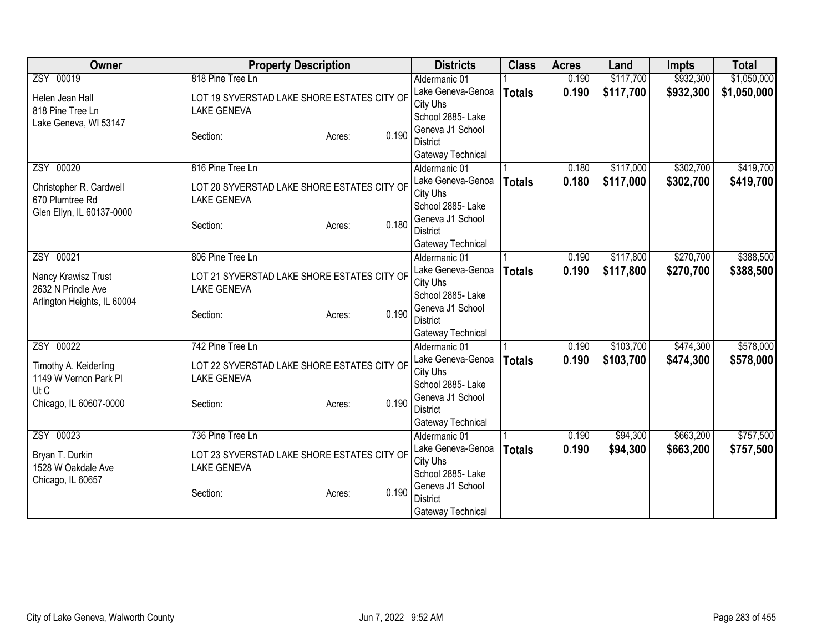| <b>Owner</b>                | <b>Property Description</b>                 | <b>Districts</b>                   | <b>Class</b>  | <b>Acres</b> | Land      | <b>Impts</b> | <b>Total</b> |
|-----------------------------|---------------------------------------------|------------------------------------|---------------|--------------|-----------|--------------|--------------|
| ZSY 00019                   | 818 Pine Tree Ln                            | Aldermanic 01                      |               | 0.190        | \$117,700 | \$932,300    | \$1,050,000  |
| Helen Jean Hall             | LOT 19 SYVERSTAD LAKE SHORE ESTATES CITY OF | Lake Geneva-Genoa                  | <b>Totals</b> | 0.190        | \$117,700 | \$932,300    | \$1,050,000  |
| 818 Pine Tree Ln            | <b>LAKE GENEVA</b>                          | City Uhs                           |               |              |           |              |              |
| Lake Geneva, WI 53147       |                                             | School 2885- Lake                  |               |              |           |              |              |
|                             | 0.190<br>Section:<br>Acres:                 | Geneva J1 School                   |               |              |           |              |              |
|                             |                                             | <b>District</b>                    |               |              |           |              |              |
|                             |                                             | Gateway Technical                  |               |              |           |              |              |
| ZSY 00020                   | 816 Pine Tree Ln                            | Aldermanic 01                      |               | 0.180        | \$117,000 | \$302,700    | \$419,700    |
| Christopher R. Cardwell     | LOT 20 SYVERSTAD LAKE SHORE ESTATES CITY OF | Lake Geneva-Genoa                  | <b>Totals</b> | 0.180        | \$117,000 | \$302,700    | \$419,700    |
| 670 Plumtree Rd             | <b>LAKE GENEVA</b>                          | City Uhs                           |               |              |           |              |              |
| Glen Ellyn, IL 60137-0000   |                                             | School 2885- Lake                  |               |              |           |              |              |
|                             | 0.180<br>Section:<br>Acres:                 | Geneva J1 School                   |               |              |           |              |              |
|                             |                                             | <b>District</b>                    |               |              |           |              |              |
|                             |                                             | Gateway Technical                  |               |              |           |              |              |
| ZSY 00021                   | 806 Pine Tree Ln                            | Aldermanic 01                      |               | 0.190        | \$117,800 | \$270,700    | \$388,500    |
| Nancy Krawisz Trust         | LOT 21 SYVERSTAD LAKE SHORE ESTATES CITY OF | Lake Geneva-Genoa                  | <b>Totals</b> | 0.190        | \$117,800 | \$270,700    | \$388,500    |
| 2632 N Prindle Ave          | <b>LAKE GENEVA</b>                          | City Uhs                           |               |              |           |              |              |
| Arlington Heights, IL 60004 |                                             | School 2885- Lake                  |               |              |           |              |              |
|                             | 0.190<br>Section:<br>Acres:                 | Geneva J1 School                   |               |              |           |              |              |
|                             |                                             | <b>District</b>                    |               |              |           |              |              |
| ZSY 00022                   | 742 Pine Tree Ln                            | Gateway Technical<br>Aldermanic 01 |               | 0.190        | \$103,700 | \$474,300    | \$578,000    |
|                             |                                             |                                    |               |              |           |              |              |
| Timothy A. Keiderling       | LOT 22 SYVERSTAD LAKE SHORE ESTATES CITY OF | Lake Geneva-Genoa<br>City Uhs      | <b>Totals</b> | 0.190        | \$103,700 | \$474,300    | \$578,000    |
| 1149 W Vernon Park Pl       | <b>LAKE GENEVA</b>                          | School 2885-Lake                   |               |              |           |              |              |
| Ut C                        |                                             | Geneva J1 School                   |               |              |           |              |              |
| Chicago, IL 60607-0000      | 0.190<br>Section:<br>Acres:                 | <b>District</b>                    |               |              |           |              |              |
|                             |                                             | Gateway Technical                  |               |              |           |              |              |
| ZSY 00023                   | 736 Pine Tree Ln                            | Aldermanic 01                      |               | 0.190        | \$94,300  | \$663,200    | \$757,500    |
|                             |                                             | Lake Geneva-Genoa                  | <b>Totals</b> | 0.190        | \$94,300  | \$663,200    | \$757,500    |
| Bryan T. Durkin             | LOT 23 SYVERSTAD LAKE SHORE ESTATES CITY OF | City Uhs                           |               |              |           |              |              |
| 1528 W Oakdale Ave          | <b>LAKE GENEVA</b>                          | School 2885-Lake                   |               |              |           |              |              |
| Chicago, IL 60657           |                                             | Geneva J1 School                   |               |              |           |              |              |
|                             | 0.190<br>Section:<br>Acres:                 | <b>District</b>                    |               |              |           |              |              |
|                             |                                             | Gateway Technical                  |               |              |           |              |              |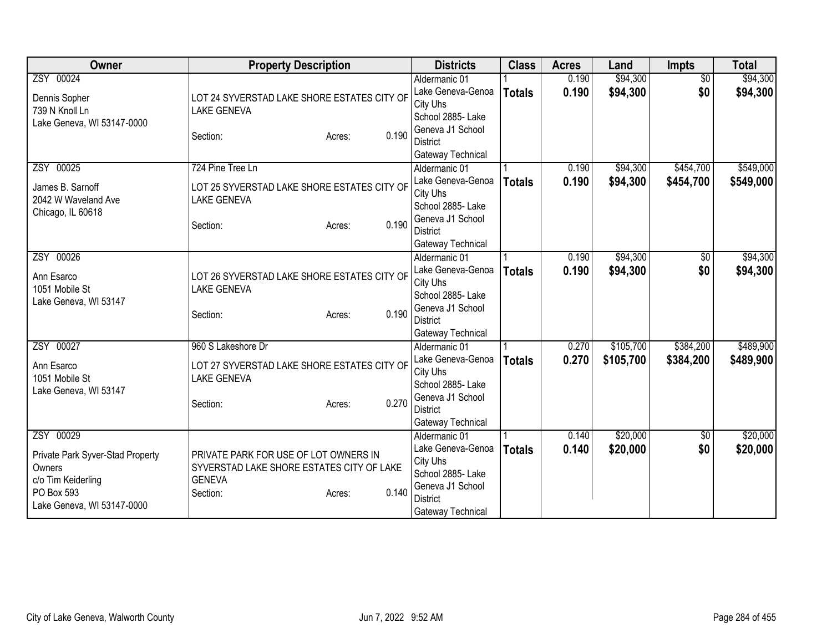| <b>Owner</b>                                                                                                              | <b>Property Description</b>                                                                                                        | <b>Districts</b>                                                                                                                | <b>Class</b>  | <b>Acres</b>   | Land                   | Impts                  | <b>Total</b>           |
|---------------------------------------------------------------------------------------------------------------------------|------------------------------------------------------------------------------------------------------------------------------------|---------------------------------------------------------------------------------------------------------------------------------|---------------|----------------|------------------------|------------------------|------------------------|
| ZSY 00024<br>Dennis Sopher<br>739 N Knoll Ln<br>Lake Geneva, WI 53147-0000                                                | LOT 24 SYVERSTAD LAKE SHORE ESTATES CITY OF<br><b>LAKE GENEVA</b>                                                                  | Aldermanic 01<br>Lake Geneva-Genoa<br>City Uhs<br>School 2885- Lake<br>Geneva J1 School                                         | <b>Totals</b> | 0.190<br>0.190 | \$94,300<br>\$94,300   | $\overline{50}$<br>\$0 | \$94,300<br>\$94,300   |
|                                                                                                                           | 0.190<br>Section:<br>Acres:                                                                                                        | <b>District</b><br>Gateway Technical                                                                                            |               |                |                        |                        |                        |
| ZSY 00025<br>James B. Sarnoff<br>2042 W Waveland Ave<br>Chicago, IL 60618                                                 | 724 Pine Tree Ln<br>LOT 25 SYVERSTAD LAKE SHORE ESTATES CITY OF<br><b>LAKE GENEVA</b><br>0.190<br>Section:<br>Acres:               | Aldermanic 01<br>Lake Geneva-Genoa<br>City Uhs<br>School 2885- Lake<br>Geneva J1 School<br><b>District</b><br>Gateway Technical | <b>Totals</b> | 0.190<br>0.190 | \$94,300<br>\$94,300   | \$454,700<br>\$454,700 | \$549,000<br>\$549,000 |
| ZSY 00026<br>Ann Esarco<br>1051 Mobile St<br>Lake Geneva, WI 53147                                                        | LOT 26 SYVERSTAD LAKE SHORE ESTATES CITY OF<br><b>LAKE GENEVA</b><br>0.190<br>Section:<br>Acres:                                   | Aldermanic 01<br>Lake Geneva-Genoa<br>City Uhs<br>School 2885- Lake<br>Geneva J1 School<br><b>District</b><br>Gateway Technical | <b>Totals</b> | 0.190<br>0.190 | \$94,300<br>\$94,300   | \$0<br>\$0             | \$94,300<br>\$94,300   |
| ZSY 00027<br>Ann Esarco<br>1051 Mobile St<br>Lake Geneva, WI 53147                                                        | 960 S Lakeshore Dr<br>LOT 27 SYVERSTAD LAKE SHORE ESTATES CITY OF<br><b>LAKE GENEVA</b><br>0.270<br>Section:<br>Acres:             | Aldermanic 01<br>Lake Geneva-Genoa<br>City Uhs<br>School 2885- Lake<br>Geneva J1 School<br><b>District</b><br>Gateway Technical | <b>Totals</b> | 0.270<br>0.270 | \$105,700<br>\$105,700 | \$384,200<br>\$384,200 | \$489,900<br>\$489,900 |
| ZSY 00029<br>Private Park Syver-Stad Property<br>Owners<br>c/o Tim Keiderling<br>PO Box 593<br>Lake Geneva, WI 53147-0000 | PRIVATE PARK FOR USE OF LOT OWNERS IN<br>SYVERSTAD LAKE SHORE ESTATES CITY OF LAKE<br><b>GENEVA</b><br>0.140<br>Section:<br>Acres: | Aldermanic 01<br>Lake Geneva-Genoa<br>City Uhs<br>School 2885- Lake<br>Geneva J1 School<br><b>District</b><br>Gateway Technical | <b>Totals</b> | 0.140<br>0.140 | \$20,000<br>\$20,000   | $\overline{50}$<br>\$0 | \$20,000<br>\$20,000   |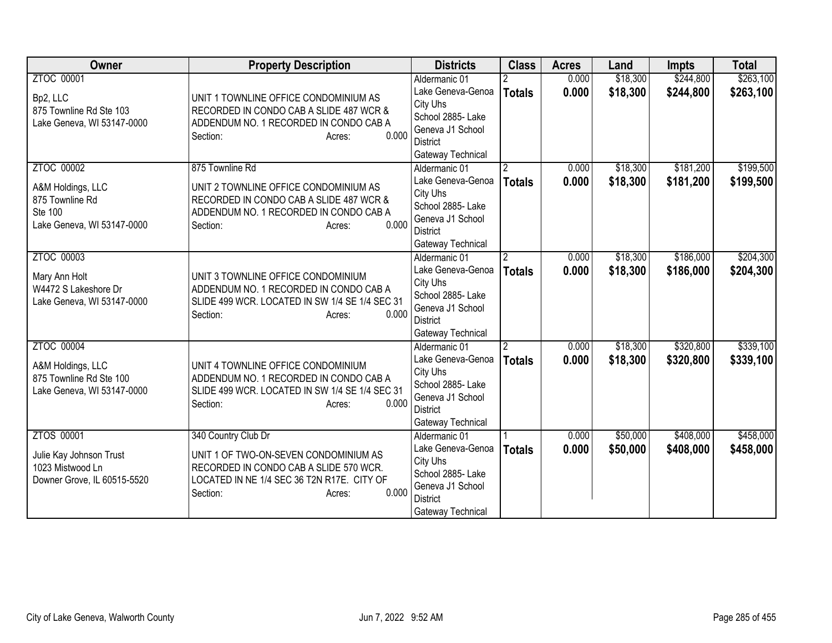| <b>Owner</b>                                                                                       | <b>Property Description</b>                                                                                                                                                         | <b>Districts</b>                                                                                                                | <b>Class</b>                    | <b>Acres</b>   | Land                 | <b>Impts</b>           | <b>Total</b>           |
|----------------------------------------------------------------------------------------------------|-------------------------------------------------------------------------------------------------------------------------------------------------------------------------------------|---------------------------------------------------------------------------------------------------------------------------------|---------------------------------|----------------|----------------------|------------------------|------------------------|
| ZTOC 00001<br>Bp2, LLC<br>875 Townline Rd Ste 103<br>Lake Geneva, WI 53147-0000                    | UNIT 1 TOWNLINE OFFICE CONDOMINIUM AS<br>RECORDED IN CONDO CAB A SLIDE 487 WCR &<br>ADDENDUM NO. 1 RECORDED IN CONDO CAB A<br>0.000<br>Section:<br>Acres:                           | Aldermanic 01<br>Lake Geneva-Genoa<br>City Uhs<br>School 2885- Lake<br>Geneva J1 School<br><b>District</b><br>Gateway Technical | <b>Totals</b>                   | 0.000<br>0.000 | \$18,300<br>\$18,300 | \$244,800<br>\$244,800 | \$263,100<br>\$263,100 |
| ZTOC 00002<br>A&M Holdings, LLC<br>875 Townline Rd<br><b>Ste 100</b><br>Lake Geneva, WI 53147-0000 | 875 Townline Rd<br>UNIT 2 TOWNLINE OFFICE CONDOMINIUM AS<br>RECORDED IN CONDO CAB A SLIDE 487 WCR &<br>ADDENDUM NO. 1 RECORDED IN CONDO CAB A<br>0.000<br>Section:<br>Acres:        | Aldermanic 01<br>Lake Geneva-Genoa<br>City Uhs<br>School 2885- Lake<br>Geneva J1 School<br><b>District</b><br>Gateway Technical | $\overline{2}$<br><b>Totals</b> | 0.000<br>0.000 | \$18,300<br>\$18,300 | \$181,200<br>\$181,200 | \$199,500<br>\$199,500 |
| ZTOC 00003<br>Mary Ann Holt<br>W4472 S Lakeshore Dr<br>Lake Geneva, WI 53147-0000                  | UNIT 3 TOWNLINE OFFICE CONDOMINIUM<br>ADDENDUM NO. 1 RECORDED IN CONDO CAB A<br>SLIDE 499 WCR. LOCATED IN SW 1/4 SE 1/4 SEC 31<br>0.000<br>Section:<br>Acres:                       | Aldermanic 01<br>Lake Geneva-Genoa<br>City Uhs<br>School 2885- Lake<br>Geneva J1 School<br><b>District</b><br>Gateway Technical | $\overline{2}$<br><b>Totals</b> | 0.000<br>0.000 | \$18,300<br>\$18,300 | \$186,000<br>\$186,000 | \$204,300<br>\$204,300 |
| ZTOC 00004<br>A&M Holdings, LLC<br>875 Townline Rd Ste 100<br>Lake Geneva, WI 53147-0000           | UNIT 4 TOWNLINE OFFICE CONDOMINIUM<br>ADDENDUM NO. 1 RECORDED IN CONDO CAB A<br>SLIDE 499 WCR. LOCATED IN SW 1/4 SE 1/4 SEC 31<br>0.000<br>Section:<br>Acres:                       | Aldermanic 01<br>Lake Geneva-Genoa<br>City Uhs<br>School 2885- Lake<br>Geneva J1 School<br><b>District</b><br>Gateway Technical | $\overline{2}$<br><b>Totals</b> | 0.000<br>0.000 | \$18,300<br>\$18,300 | \$320,800<br>\$320,800 | \$339,100<br>\$339,100 |
| ZTOS 00001<br>Julie Kay Johnson Trust<br>1023 Mistwood Ln<br>Downer Grove, IL 60515-5520           | 340 Country Club Dr<br>UNIT 1 OF TWO-ON-SEVEN CONDOMINIUM AS<br>RECORDED IN CONDO CAB A SLIDE 570 WCR.<br>LOCATED IN NE 1/4 SEC 36 T2N R17E. CITY OF<br>0.000<br>Section:<br>Acres: | Aldermanic 01<br>Lake Geneva-Genoa<br>City Uhs<br>School 2885- Lake<br>Geneva J1 School<br><b>District</b><br>Gateway Technical | <b>Totals</b>                   | 0.000<br>0.000 | \$50,000<br>\$50,000 | \$408,000<br>\$408,000 | \$458,000<br>\$458,000 |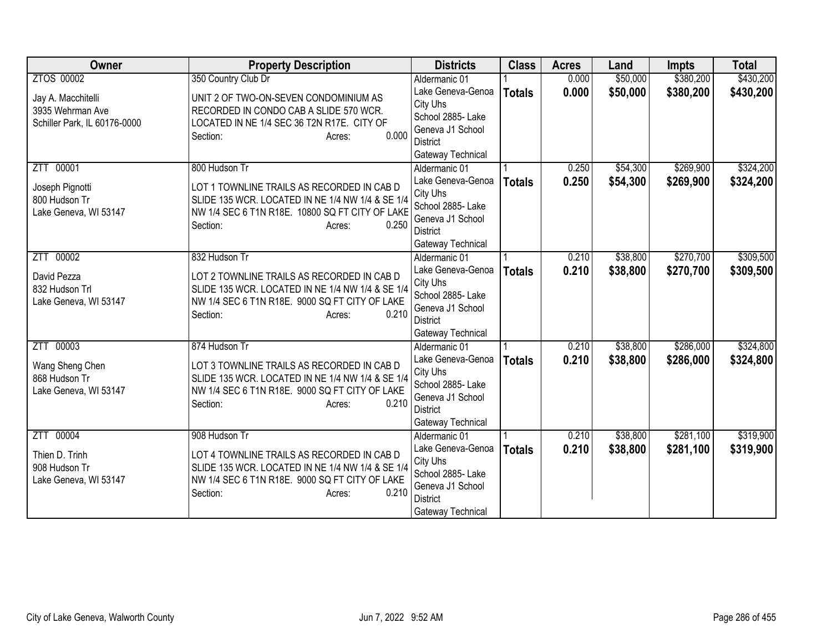| <b>Owner</b>                 | <b>Property Description</b>                             | <b>Districts</b>                   | <b>Class</b>  | <b>Acres</b> | Land     | <b>Impts</b> | <b>Total</b> |
|------------------------------|---------------------------------------------------------|------------------------------------|---------------|--------------|----------|--------------|--------------|
| ZTOS 00002                   | 350 Country Club Dr                                     | Aldermanic 01                      |               | 0.000        | \$50,000 | \$380,200    | \$430,200    |
| Jay A. Macchitelli           | UNIT 2 OF TWO-ON-SEVEN CONDOMINIUM AS                   | Lake Geneva-Genoa                  | <b>Totals</b> | 0.000        | \$50,000 | \$380,200    | \$430,200    |
| 3935 Wehrman Ave             | RECORDED IN CONDO CAB A SLIDE 570 WCR.                  | City Uhs                           |               |              |          |              |              |
| Schiller Park, IL 60176-0000 | LOCATED IN NE 1/4 SEC 36 T2N R17E. CITY OF              | School 2885- Lake                  |               |              |          |              |              |
|                              | 0.000<br>Section:<br>Acres:                             | Geneva J1 School                   |               |              |          |              |              |
|                              |                                                         | <b>District</b>                    |               |              |          |              |              |
|                              |                                                         | Gateway Technical                  |               |              |          |              |              |
| ZTT 00001                    | 800 Hudson Tr                                           | Aldermanic 01<br>Lake Geneva-Genoa |               | 0.250        | \$54,300 | \$269,900    | \$324,200    |
| Joseph Pignotti              | LOT 1 TOWNLINE TRAILS AS RECORDED IN CAB D              | City Uhs                           | <b>Totals</b> | 0.250        | \$54,300 | \$269,900    | \$324,200    |
| 800 Hudson Tr                | SLIDE 135 WCR. LOCATED IN NE 1/4 NW 1/4 & SE 1/4        | School 2885- Lake                  |               |              |          |              |              |
| Lake Geneva, WI 53147        | NW 1/4 SEC 6 T1N R18E. 10800 SQ FT CITY OF LAKE         | Geneva J1 School                   |               |              |          |              |              |
|                              | 0.250<br>Section:<br>Acres:                             | <b>District</b>                    |               |              |          |              |              |
|                              |                                                         | Gateway Technical                  |               |              |          |              |              |
| 00002<br>ZTT                 | 832 Hudson Tr                                           | Aldermanic 01                      |               | 0.210        | \$38,800 | \$270,700    | \$309,500    |
|                              |                                                         | Lake Geneva-Genoa                  | <b>Totals</b> | 0.210        | \$38,800 | \$270,700    | \$309,500    |
| David Pezza                  | LOT 2 TOWNLINE TRAILS AS RECORDED IN CAB D              | City Uhs                           |               |              |          |              |              |
| 832 Hudson Trl               | SLIDE 135 WCR. LOCATED IN NE 1/4 NW 1/4 & SE 1/4        | School 2885- Lake                  |               |              |          |              |              |
| Lake Geneva, WI 53147        | NW 1/4 SEC 6 T1N R18E. 9000 SQ FT CITY OF LAKE<br>0.210 | Geneva J1 School                   |               |              |          |              |              |
|                              | Section:<br>Acres:                                      | District                           |               |              |          |              |              |
|                              |                                                         | Gateway Technical                  |               |              |          |              |              |
| ZTT 00003                    | 874 Hudson Tr                                           | Aldermanic 01                      |               | 0.210        | \$38,800 | \$286,000    | \$324,800    |
| Wang Sheng Chen              | LOT 3 TOWNLINE TRAILS AS RECORDED IN CAB D              | Lake Geneva-Genoa                  | <b>Totals</b> | 0.210        | \$38,800 | \$286,000    | \$324,800    |
| 868 Hudson Tr                | SLIDE 135 WCR. LOCATED IN NE 1/4 NW 1/4 & SE 1/4        | City Uhs                           |               |              |          |              |              |
| Lake Geneva, WI 53147        | NW 1/4 SEC 6 T1N R18E. 9000 SQ FT CITY OF LAKE          | School 2885- Lake                  |               |              |          |              |              |
|                              | 0.210<br>Section:<br>Acres:                             | Geneva J1 School                   |               |              |          |              |              |
|                              |                                                         | <b>District</b>                    |               |              |          |              |              |
|                              |                                                         | Gateway Technical                  |               |              |          |              |              |
| ZTT 00004                    | 908 Hudson Tr                                           | Aldermanic 01                      |               | 0.210        | \$38,800 | \$281,100    | \$319,900    |
| Thien D. Trinh               | LOT 4 TOWNLINE TRAILS AS RECORDED IN CAB D              | Lake Geneva-Genoa<br>City Uhs      | <b>Totals</b> | 0.210        | \$38,800 | \$281,100    | \$319,900    |
| 908 Hudson Tr                | SLIDE 135 WCR. LOCATED IN NE 1/4 NW 1/4 & SE 1/4        | School 2885- Lake                  |               |              |          |              |              |
| Lake Geneva, WI 53147        | NW 1/4 SEC 6 T1N R18E. 9000 SQ FT CITY OF LAKE          | Geneva J1 School                   |               |              |          |              |              |
|                              | 0.210<br>Section:<br>Acres:                             | <b>District</b>                    |               |              |          |              |              |
|                              |                                                         | Gateway Technical                  |               |              |          |              |              |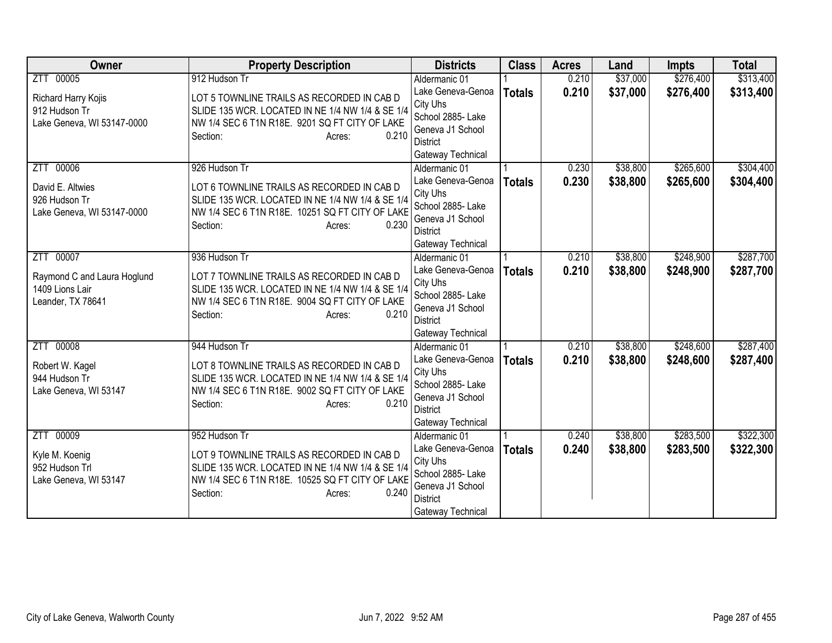| <b>Owner</b>                                                                        | <b>Property Description</b>                                                                                                                                                                       | <b>Districts</b>                                                                                                                | <b>Class</b>  | <b>Acres</b>   | Land                 | <b>Impts</b>           | <b>Total</b>           |
|-------------------------------------------------------------------------------------|---------------------------------------------------------------------------------------------------------------------------------------------------------------------------------------------------|---------------------------------------------------------------------------------------------------------------------------------|---------------|----------------|----------------------|------------------------|------------------------|
| ZTT 00005                                                                           | 912 Hudson Tr                                                                                                                                                                                     | Aldermanic 01                                                                                                                   |               | 0.210          | \$37,000             | \$276,400              | \$313,400              |
| Richard Harry Kojis<br>912 Hudson Tr<br>Lake Geneva, WI 53147-0000                  | LOT 5 TOWNLINE TRAILS AS RECORDED IN CAB D<br>SLIDE 135 WCR. LOCATED IN NE 1/4 NW 1/4 & SE 1/4<br>NW 1/4 SEC 6 T1N R18E. 9201 SQ FT CITY OF LAKE<br>0.210<br>Section:<br>Acres:                   | Lake Geneva-Genoa<br>City Uhs<br>School 2885- Lake<br>Geneva J1 School<br>District<br>Gateway Technical                         | <b>Totals</b> | 0.210          | \$37,000             | \$276,400              | \$313,400              |
| ZTT 00006<br>David E. Altwies<br>926 Hudson Tr<br>Lake Geneva, WI 53147-0000        | 926 Hudson Tr<br>LOT 6 TOWNLINE TRAILS AS RECORDED IN CAB D<br>SLIDE 135 WCR. LOCATED IN NE 1/4 NW 1/4 & SE 1/4<br>NW 1/4 SEC 6 T1N R18E. 10251 SQ FT CITY OF LAKE<br>0.230<br>Section:<br>Acres: | Aldermanic 01<br>Lake Geneva-Genoa<br>City Uhs<br>School 2885- Lake<br>Geneva J1 School<br><b>District</b><br>Gateway Technical | <b>Totals</b> | 0.230<br>0.230 | \$38,800<br>\$38,800 | \$265,600<br>\$265,600 | \$304,400<br>\$304,400 |
| 00007<br>ZTT<br>Raymond C and Laura Hoglund<br>1409 Lions Lair<br>Leander, TX 78641 | 936 Hudson Tr<br>LOT 7 TOWNLINE TRAILS AS RECORDED IN CAB D<br>SLIDE 135 WCR. LOCATED IN NE 1/4 NW 1/4 & SE 1/4<br>NW 1/4 SEC 6 T1N R18E. 9004 SQ FT CITY OF LAKE<br>0.210<br>Section:<br>Acres:  | Aldermanic 01<br>Lake Geneva-Genoa<br>City Uhs<br>School 2885- Lake<br>Geneva J1 School<br><b>District</b><br>Gateway Technical | <b>Totals</b> | 0.210<br>0.210 | \$38,800<br>\$38,800 | \$248,900<br>\$248,900 | \$287,700<br>\$287,700 |
| ZTT 00008<br>Robert W. Kagel<br>944 Hudson Tr<br>Lake Geneva, WI 53147              | 944 Hudson Tr<br>LOT 8 TOWNLINE TRAILS AS RECORDED IN CAB D<br>SLIDE 135 WCR. LOCATED IN NE 1/4 NW 1/4 & SE 1/4<br>NW 1/4 SEC 6 T1N R18E. 9002 SQ FT CITY OF LAKE<br>0.210<br>Section:<br>Acres:  | Aldermanic 01<br>Lake Geneva-Genoa<br>City Uhs<br>School 2885- Lake<br>Geneva J1 School<br><b>District</b><br>Gateway Technical | <b>Totals</b> | 0.210<br>0.210 | \$38,800<br>\$38,800 | \$248,600<br>\$248,600 | \$287,400<br>\$287,400 |
| ZTT 00009<br>Kyle M. Koenig<br>952 Hudson Trl<br>Lake Geneva, WI 53147              | 952 Hudson Tr<br>LOT 9 TOWNLINE TRAILS AS RECORDED IN CAB D<br>SLIDE 135 WCR. LOCATED IN NE 1/4 NW 1/4 & SE 1/4<br>NW 1/4 SEC 6 T1N R18E. 10525 SQ FT CITY OF LAKE<br>0.240<br>Section:<br>Acres: | Aldermanic 01<br>Lake Geneva-Genoa<br>City Uhs<br>School 2885- Lake<br>Geneva J1 School<br><b>District</b><br>Gateway Technical | <b>Totals</b> | 0.240<br>0.240 | \$38,800<br>\$38,800 | \$283,500<br>\$283,500 | \$322,300<br>\$322,300 |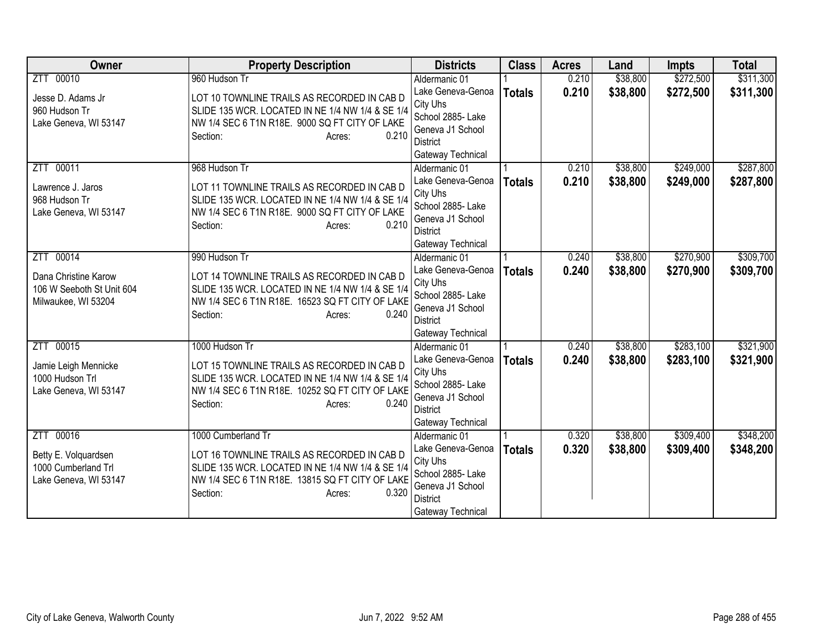| <b>Owner</b>                             | <b>Property Description</b>                                                                         | <b>Districts</b>                    | <b>Class</b>  | <b>Acres</b> | Land     | <b>Impts</b> | <b>Total</b> |
|------------------------------------------|-----------------------------------------------------------------------------------------------------|-------------------------------------|---------------|--------------|----------|--------------|--------------|
| ZTT 00010                                | 960 Hudson Tr                                                                                       | Aldermanic 01                       |               | 0.210        | \$38,800 | \$272,500    | \$311,300    |
| Jesse D. Adams Jr                        | LOT 10 TOWNLINE TRAILS AS RECORDED IN CAB D                                                         | Lake Geneva-Genoa                   | <b>Totals</b> | 0.210        | \$38,800 | \$272,500    | \$311,300    |
| 960 Hudson Tr                            | SLIDE 135 WCR. LOCATED IN NE 1/4 NW 1/4 & SE 1/4                                                    | City Uhs                            |               |              |          |              |              |
| Lake Geneva, WI 53147                    | NW 1/4 SEC 6 T1N R18E. 9000 SQ FT CITY OF LAKE                                                      | School 2885- Lake                   |               |              |          |              |              |
|                                          | 0.210<br>Section:<br>Acres:                                                                         | Geneva J1 School<br><b>District</b> |               |              |          |              |              |
|                                          |                                                                                                     | Gateway Technical                   |               |              |          |              |              |
| ZTT 00011                                | 968 Hudson Tr                                                                                       | Aldermanic 01                       |               | 0.210        | \$38,800 | \$249,000    | \$287,800    |
|                                          |                                                                                                     | Lake Geneva-Genoa                   | <b>Totals</b> | 0.210        | \$38,800 | \$249,000    | \$287,800    |
| Lawrence J. Jaros                        | LOT 11 TOWNLINE TRAILS AS RECORDED IN CAB D                                                         | City Uhs                            |               |              |          |              |              |
| 968 Hudson Tr                            | SLIDE 135 WCR. LOCATED IN NE 1/4 NW 1/4 & SE 1/4                                                    | School 2885- Lake                   |               |              |          |              |              |
| Lake Geneva, WI 53147                    | NW 1/4 SEC 6 T1N R18E. 9000 SQ FT CITY OF LAKE                                                      | Geneva J1 School                    |               |              |          |              |              |
|                                          | 0.210<br>Section:<br>Acres:                                                                         | <b>District</b>                     |               |              |          |              |              |
|                                          |                                                                                                     | Gateway Technical                   |               |              |          |              |              |
| 00014<br>ZTT                             | 990 Hudson Tr                                                                                       | Aldermanic 01                       |               | 0.240        | \$38,800 | \$270,900    | \$309,700    |
| Dana Christine Karow                     | LOT 14 TOWNLINE TRAILS AS RECORDED IN CAB D                                                         | Lake Geneva-Genoa                   | <b>Totals</b> | 0.240        | \$38,800 | \$270,900    | \$309,700    |
| 106 W Seeboth St Unit 604                | SLIDE 135 WCR. LOCATED IN NE 1/4 NW 1/4 & SE 1/4                                                    | City Uhs                            |               |              |          |              |              |
| Milwaukee, WI 53204                      | NW 1/4 SEC 6 T1N R18E. 16523 SQ FT CITY OF LAKE                                                     | School 2885- Lake                   |               |              |          |              |              |
|                                          | 0.240<br>Section:<br>Acres:                                                                         | Geneva J1 School<br><b>District</b> |               |              |          |              |              |
|                                          |                                                                                                     | Gateway Technical                   |               |              |          |              |              |
| ZTT 00015                                | 1000 Hudson Tr                                                                                      | Aldermanic 01                       |               | 0.240        | \$38,800 | \$283,100    | \$321,900    |
|                                          |                                                                                                     | Lake Geneva-Genoa                   | <b>Totals</b> | 0.240        | \$38,800 | \$283,100    | \$321,900    |
| Jamie Leigh Mennicke                     | LOT 15 TOWNLINE TRAILS AS RECORDED IN CAB D                                                         | City Uhs                            |               |              |          |              |              |
| 1000 Hudson Trl<br>Lake Geneva, WI 53147 | SLIDE 135 WCR. LOCATED IN NE 1/4 NW 1/4 & SE 1/4<br>NW 1/4 SEC 6 T1N R18E. 10252 SQ FT CITY OF LAKE | School 2885- Lake                   |               |              |          |              |              |
|                                          | 0.240<br>Section:<br>Acres:                                                                         | Geneva J1 School                    |               |              |          |              |              |
|                                          |                                                                                                     | <b>District</b>                     |               |              |          |              |              |
|                                          |                                                                                                     | Gateway Technical                   |               |              |          |              |              |
| ZTT 00016                                | 1000 Cumberland Tr                                                                                  | Aldermanic 01                       |               | 0.320        | \$38,800 | \$309,400    | \$348,200    |
| Betty E. Volquardsen                     | LOT 16 TOWNLINE TRAILS AS RECORDED IN CAB D                                                         | Lake Geneva-Genoa                   | <b>Totals</b> | 0.320        | \$38,800 | \$309,400    | \$348,200    |
| 1000 Cumberland Trl                      | SLIDE 135 WCR. LOCATED IN NE 1/4 NW 1/4 & SE 1/4                                                    | City Uhs<br>School 2885- Lake       |               |              |          |              |              |
| Lake Geneva, WI 53147                    | NW 1/4 SEC 6 T1N R18E. 13815 SQ FT CITY OF LAKE                                                     | Geneva J1 School                    |               |              |          |              |              |
|                                          | 0.320<br>Section:<br>Acres:                                                                         | <b>District</b>                     |               |              |          |              |              |
|                                          |                                                                                                     | Gateway Technical                   |               |              |          |              |              |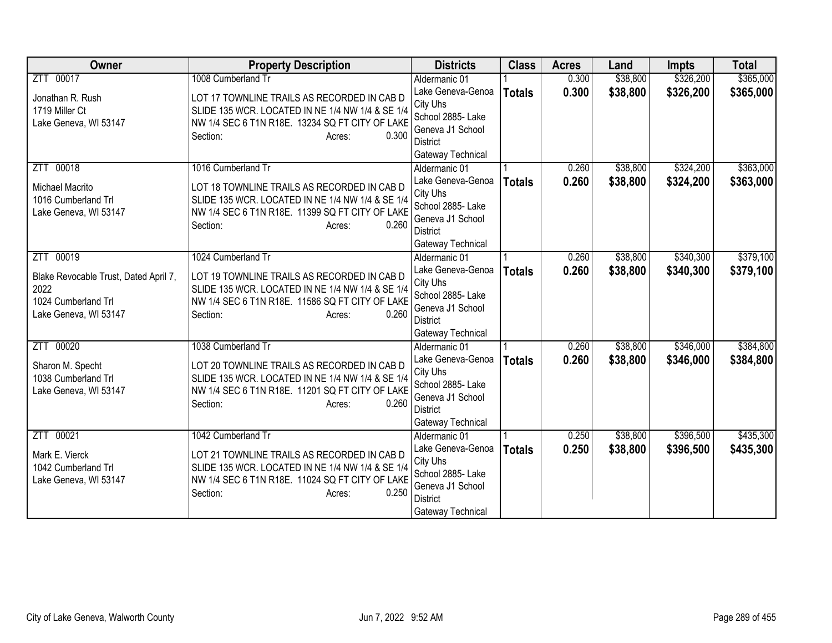| <b>Owner</b>                                                                                                  | <b>Property Description</b>                                                                                                                                                                             | <b>Districts</b>                                                                                                                | <b>Class</b>  | <b>Acres</b>   | Land                 | <b>Impts</b>           | <b>Total</b>           |
|---------------------------------------------------------------------------------------------------------------|---------------------------------------------------------------------------------------------------------------------------------------------------------------------------------------------------------|---------------------------------------------------------------------------------------------------------------------------------|---------------|----------------|----------------------|------------------------|------------------------|
| ZTT 00017                                                                                                     | 1008 Cumberland Tr                                                                                                                                                                                      | Aldermanic 01                                                                                                                   |               | 0.300          | \$38,800             | \$326,200              | \$365,000              |
| Jonathan R. Rush<br>1719 Miller Ct<br>Lake Geneva, WI 53147                                                   | LOT 17 TOWNLINE TRAILS AS RECORDED IN CAB D<br>SLIDE 135 WCR. LOCATED IN NE 1/4 NW 1/4 & SE 1/4<br>NW 1/4 SEC 6 T1N R18E. 13234 SQ FT CITY OF LAKE<br>0.300<br>Section:<br>Acres:                       | Lake Geneva-Genoa<br>City Uhs<br>School 2885- Lake<br>Geneva J1 School<br><b>District</b>                                       | <b>Totals</b> | 0.300          | \$38,800             | \$326,200              | \$365,000              |
|                                                                                                               |                                                                                                                                                                                                         | Gateway Technical                                                                                                               |               |                |                      |                        |                        |
| ZTT 00018<br>Michael Macrito<br>1016 Cumberland Trl<br>Lake Geneva, WI 53147                                  | 1016 Cumberland Tr<br>LOT 18 TOWNLINE TRAILS AS RECORDED IN CAB D<br>SLIDE 135 WCR. LOCATED IN NE 1/4 NW 1/4 & SE 1/4<br>NW 1/4 SEC 6 T1N R18E. 11399 SQ FT CITY OF LAKE<br>0.260<br>Section:<br>Acres: | Aldermanic 01<br>Lake Geneva-Genoa<br>City Uhs<br>School 2885- Lake<br>Geneva J1 School<br><b>District</b><br>Gateway Technical | <b>Totals</b> | 0.260<br>0.260 | \$38,800<br>\$38,800 | \$324,200<br>\$324,200 | \$363,000<br>\$363,000 |
| 00019<br>ZTT<br>Blake Revocable Trust, Dated April 7,<br>2022<br>1024 Cumberland Trl<br>Lake Geneva, WI 53147 | 1024 Cumberland Tr<br>LOT 19 TOWNLINE TRAILS AS RECORDED IN CAB D<br>SLIDE 135 WCR. LOCATED IN NE 1/4 NW 1/4 & SE 1/4<br>NW 1/4 SEC 6 T1N R18E. 11586 SQ FT CITY OF LAKE<br>0.260<br>Section:<br>Acres: | Aldermanic 01<br>Lake Geneva-Genoa<br>City Uhs<br>School 2885- Lake<br>Geneva J1 School<br><b>District</b><br>Gateway Technical | <b>Totals</b> | 0.260<br>0.260 | \$38,800<br>\$38,800 | \$340,300<br>\$340,300 | \$379,100<br>\$379,100 |
| ZTT 00020<br>Sharon M. Specht<br>1038 Cumberland Trl<br>Lake Geneva, WI 53147                                 | 1038 Cumberland Tr<br>LOT 20 TOWNLINE TRAILS AS RECORDED IN CAB D<br>SLIDE 135 WCR. LOCATED IN NE 1/4 NW 1/4 & SE 1/4<br>NW 1/4 SEC 6 T1N R18E. 11201 SQ FT CITY OF LAKE<br>0.260<br>Section:<br>Acres: | Aldermanic 01<br>Lake Geneva-Genoa<br>City Uhs<br>School 2885- Lake<br>Geneva J1 School<br><b>District</b><br>Gateway Technical | <b>Totals</b> | 0.260<br>0.260 | \$38,800<br>\$38,800 | \$346,000<br>\$346,000 | \$384,800<br>\$384,800 |
| ZTT 00021<br>Mark E. Vierck<br>1042 Cumberland Trl<br>Lake Geneva, WI 53147                                   | 1042 Cumberland Tr<br>LOT 21 TOWNLINE TRAILS AS RECORDED IN CAB D<br>SLIDE 135 WCR. LOCATED IN NE 1/4 NW 1/4 & SE 1/4<br>NW 1/4 SEC 6 T1N R18E. 11024 SQ FT CITY OF LAKE<br>0.250<br>Section:<br>Acres: | Aldermanic 01<br>Lake Geneva-Genoa<br>City Uhs<br>School 2885- Lake<br>Geneva J1 School<br><b>District</b><br>Gateway Technical | <b>Totals</b> | 0.250<br>0.250 | \$38,800<br>\$38,800 | \$396,500<br>\$396,500 | \$435,300<br>\$435,300 |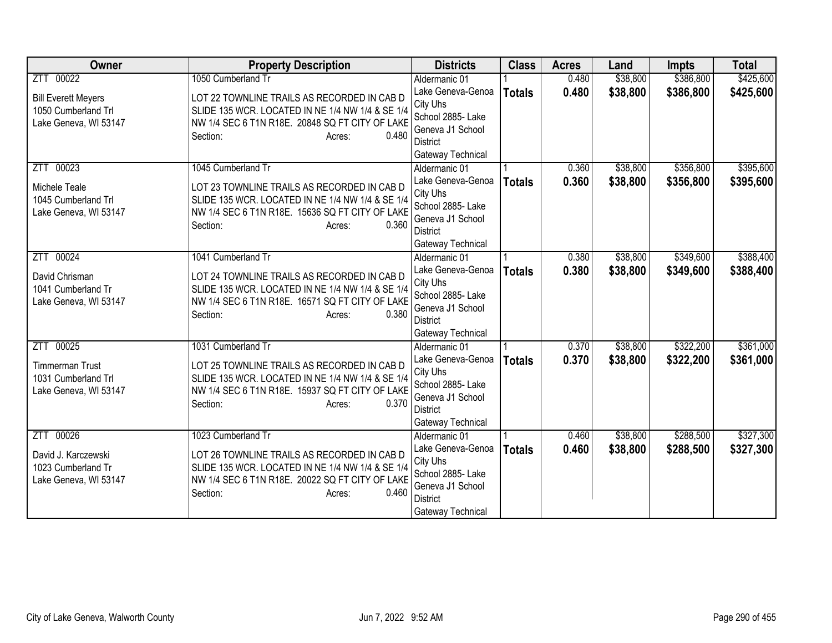| <b>Owner</b>                                                                         | <b>Property Description</b>                                                                                                                                                                             | <b>Districts</b>                                                                                                                | <b>Class</b>  | <b>Acres</b>   | Land                 | <b>Impts</b>           | <b>Total</b>           |
|--------------------------------------------------------------------------------------|---------------------------------------------------------------------------------------------------------------------------------------------------------------------------------------------------------|---------------------------------------------------------------------------------------------------------------------------------|---------------|----------------|----------------------|------------------------|------------------------|
| ZTT 00022                                                                            | 1050 Cumberland Tr                                                                                                                                                                                      | Aldermanic 01                                                                                                                   |               | 0.480          | \$38,800             | \$386,800              | \$425,600              |
| <b>Bill Everett Meyers</b><br>1050 Cumberland Trl<br>Lake Geneva, WI 53147           | LOT 22 TOWNLINE TRAILS AS RECORDED IN CAB D<br>SLIDE 135 WCR. LOCATED IN NE 1/4 NW 1/4 & SE 1/4<br>NW 1/4 SEC 6 T1N R18E. 20848 SQ FT CITY OF LAKE<br>0.480<br>Section:<br>Acres:                       | Lake Geneva-Genoa<br>City Uhs<br>School 2885- Lake<br>Geneva J1 School<br><b>District</b><br>Gateway Technical                  | <b>Totals</b> | 0.480          | \$38,800             | \$386,800              | \$425,600              |
| ZTT 00023<br>Michele Teale<br>1045 Cumberland Trl<br>Lake Geneva, WI 53147           | 1045 Cumberland Tr<br>LOT 23 TOWNLINE TRAILS AS RECORDED IN CAB D<br>SLIDE 135 WCR. LOCATED IN NE 1/4 NW 1/4 & SE 1/4<br>NW 1/4 SEC 6 T1N R18E. 15636 SQ FT CITY OF LAKE<br>0.360<br>Section:<br>Acres: | Aldermanic 01<br>Lake Geneva-Genoa<br>City Uhs<br>School 2885- Lake<br>Geneva J1 School<br><b>District</b><br>Gateway Technical | <b>Totals</b> | 0.360<br>0.360 | \$38,800<br>\$38,800 | \$356,800<br>\$356,800 | \$395,600<br>\$395,600 |
| 00024<br><b>ZTT</b><br>David Chrisman<br>1041 Cumberland Tr<br>Lake Geneva, WI 53147 | 1041 Cumberland Tr<br>LOT 24 TOWNLINE TRAILS AS RECORDED IN CAB D<br>SLIDE 135 WCR. LOCATED IN NE 1/4 NW 1/4 & SE 1/4<br>NW 1/4 SEC 6 T1N R18E. 16571 SQ FT CITY OF LAKE<br>0.380<br>Section:<br>Acres: | Aldermanic 01<br>Lake Geneva-Genoa<br>City Uhs<br>School 2885- Lake<br>Geneva J1 School<br><b>District</b><br>Gateway Technical | <b>Totals</b> | 0.380<br>0.380 | \$38,800<br>\$38,800 | \$349,600<br>\$349,600 | \$388,400<br>\$388,400 |
| ZTT 00025<br><b>Timmerman Trust</b><br>1031 Cumberland Trl<br>Lake Geneva, WI 53147  | 1031 Cumberland Tr<br>LOT 25 TOWNLINE TRAILS AS RECORDED IN CAB D<br>SLIDE 135 WCR. LOCATED IN NE 1/4 NW 1/4 & SE 1/4<br>NW 1/4 SEC 6 T1N R18E. 15937 SQ FT CITY OF LAKE<br>0.370<br>Section:<br>Acres: | Aldermanic 01<br>Lake Geneva-Genoa<br>City Uhs<br>School 2885- Lake<br>Geneva J1 School<br><b>District</b><br>Gateway Technical | <b>Totals</b> | 0.370<br>0.370 | \$38,800<br>\$38,800 | \$322,200<br>\$322,200 | \$361,000<br>\$361,000 |
| ZTT 00026<br>David J. Karczewski<br>1023 Cumberland Tr<br>Lake Geneva, WI 53147      | 1023 Cumberland Tr<br>LOT 26 TOWNLINE TRAILS AS RECORDED IN CAB D<br>SLIDE 135 WCR. LOCATED IN NE 1/4 NW 1/4 & SE 1/4<br>NW 1/4 SEC 6 T1N R18E. 20022 SQ FT CITY OF LAKE<br>0.460<br>Section:<br>Acres: | Aldermanic 01<br>Lake Geneva-Genoa<br>City Uhs<br>School 2885- Lake<br>Geneva J1 School<br><b>District</b><br>Gateway Technical | <b>Totals</b> | 0.460<br>0.460 | \$38,800<br>\$38,800 | \$288,500<br>\$288,500 | \$327,300<br>\$327,300 |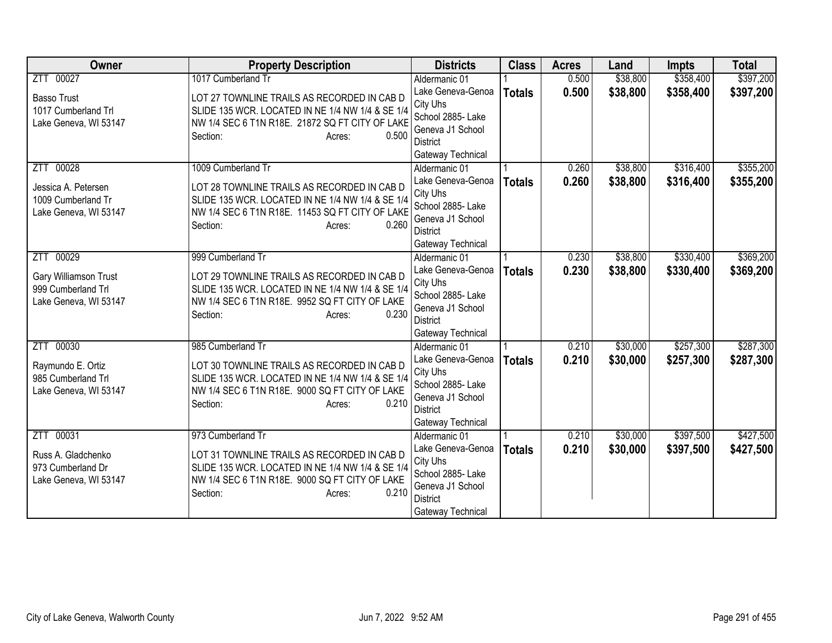| <b>Owner</b>                                                                    | <b>Property Description</b>                                                                                                                                                                             | <b>Districts</b>                                                                                                                | <b>Class</b>  | <b>Acres</b>   | Land                 | <b>Impts</b>           | <b>Total</b>           |
|---------------------------------------------------------------------------------|---------------------------------------------------------------------------------------------------------------------------------------------------------------------------------------------------------|---------------------------------------------------------------------------------------------------------------------------------|---------------|----------------|----------------------|------------------------|------------------------|
| ZTT 00027                                                                       | 1017 Cumberland Tr                                                                                                                                                                                      | Aldermanic 01                                                                                                                   |               | 0.500          | \$38,800             | \$358,400              | \$397,200              |
| <b>Basso Trust</b><br>1017 Cumberland Trl<br>Lake Geneva, WI 53147              | LOT 27 TOWNLINE TRAILS AS RECORDED IN CAB D<br>SLIDE 135 WCR. LOCATED IN NE 1/4 NW 1/4 & SE 1/4<br>NW 1/4 SEC 6 T1N R18E. 21872 SQ FT CITY OF LAKE<br>0.500<br>Section:<br>Acres:                       | Lake Geneva-Genoa<br>City Uhs<br>School 2885- Lake<br>Geneva J1 School<br><b>District</b>                                       | <b>Totals</b> | 0.500          | \$38,800             | \$358,400              | \$397,200              |
|                                                                                 |                                                                                                                                                                                                         | Gateway Technical                                                                                                               |               |                |                      |                        |                        |
| ZTT 00028<br>Jessica A. Petersen<br>1009 Cumberland Tr<br>Lake Geneva, WI 53147 | 1009 Cumberland Tr<br>LOT 28 TOWNLINE TRAILS AS RECORDED IN CAB D<br>SLIDE 135 WCR. LOCATED IN NE 1/4 NW 1/4 & SE 1/4<br>NW 1/4 SEC 6 T1N R18E. 11453 SQ FT CITY OF LAKE<br>0.260<br>Section:<br>Acres: | Aldermanic 01<br>Lake Geneva-Genoa<br>City Uhs<br>School 2885- Lake<br>Geneva J1 School<br><b>District</b><br>Gateway Technical | <b>Totals</b> | 0.260<br>0.260 | \$38,800<br>\$38,800 | \$316,400<br>\$316,400 | \$355,200<br>\$355,200 |
| 00029<br>ZTT                                                                    | 999 Cumberland Tr                                                                                                                                                                                       | Aldermanic 01                                                                                                                   |               | 0.230          | \$38,800             | \$330,400              | \$369,200              |
| Gary Williamson Trust<br>999 Cumberland Trl<br>Lake Geneva, WI 53147            | LOT 29 TOWNLINE TRAILS AS RECORDED IN CAB D<br>SLIDE 135 WCR. LOCATED IN NE 1/4 NW 1/4 & SE 1/4<br>NW 1/4 SEC 6 T1N R18E. 9952 SQ FT CITY OF LAKE<br>0.230<br>Section:<br>Acres:                        | Lake Geneva-Genoa<br>City Uhs<br>School 2885- Lake<br>Geneva J1 School<br><b>District</b><br>Gateway Technical                  | <b>Totals</b> | 0.230          | \$38,800             | \$330,400              | \$369,200              |
| ZTT 00030                                                                       | 985 Cumberland Tr                                                                                                                                                                                       | Aldermanic 01                                                                                                                   |               | 0.210          | \$30,000             | \$257,300              | \$287,300              |
| Raymundo E. Ortiz<br>985 Cumberland Trl<br>Lake Geneva, WI 53147                | LOT 30 TOWNLINE TRAILS AS RECORDED IN CAB D<br>SLIDE 135 WCR. LOCATED IN NE 1/4 NW 1/4 & SE 1/4<br>NW 1/4 SEC 6 T1N R18E. 9000 SQ FT CITY OF LAKE<br>0.210<br>Section:<br>Acres:                        | Lake Geneva-Genoa<br>City Uhs<br>School 2885- Lake<br>Geneva J1 School<br><b>District</b><br>Gateway Technical                  | <b>Totals</b> | 0.210          | \$30,000             | \$257,300              | \$287,300              |
| ZTT 00031                                                                       | 973 Cumberland Tr                                                                                                                                                                                       | Aldermanic 01                                                                                                                   |               | 0.210          | \$30,000             | \$397,500              | \$427,500              |
| Russ A. Gladchenko<br>973 Cumberland Dr<br>Lake Geneva, WI 53147                | LOT 31 TOWNLINE TRAILS AS RECORDED IN CAB D<br>SLIDE 135 WCR. LOCATED IN NE 1/4 NW 1/4 & SE 1/4<br>NW 1/4 SEC 6 T1N R18E. 9000 SQ FT CITY OF LAKE<br>0.210<br>Section:<br>Acres:                        | Lake Geneva-Genoa<br>City Uhs<br>School 2885- Lake<br>Geneva J1 School<br><b>District</b><br>Gateway Technical                  | <b>Totals</b> | 0.210          | \$30,000             | \$397,500              | \$427,500              |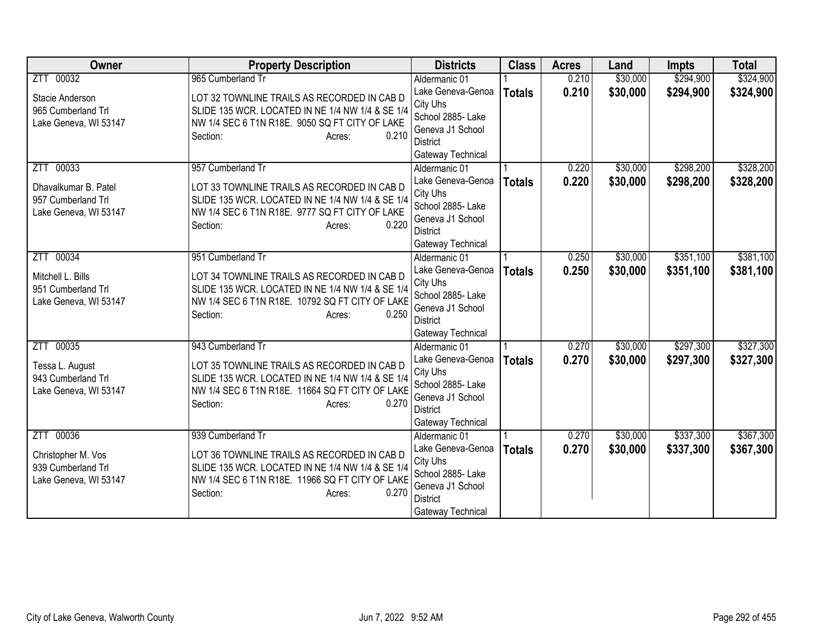| <b>Owner</b>                                                                     | <b>Property Description</b>                                                                                                                                                                            | <b>Districts</b>                                                                                                                | <b>Class</b>  | <b>Acres</b>   | Land                 | <b>Impts</b>           | <b>Total</b>           |
|----------------------------------------------------------------------------------|--------------------------------------------------------------------------------------------------------------------------------------------------------------------------------------------------------|---------------------------------------------------------------------------------------------------------------------------------|---------------|----------------|----------------------|------------------------|------------------------|
| ZTT 00032                                                                        | 965 Cumberland Tr                                                                                                                                                                                      | Aldermanic 01                                                                                                                   |               | 0.210          | \$30,000             | \$294,900              | \$324,900              |
| Stacie Anderson<br>965 Cumberland Trl<br>Lake Geneva, WI 53147                   | LOT 32 TOWNLINE TRAILS AS RECORDED IN CAB D<br>SLIDE 135 WCR. LOCATED IN NE 1/4 NW 1/4 & SE 1/4<br>NW 1/4 SEC 6 T1N R18E. 9050 SQ FT CITY OF LAKE<br>0.210<br>Section:<br>Acres:                       | Lake Geneva-Genoa<br>City Uhs<br>School 2885- Lake<br>Geneva J1 School<br><b>District</b><br>Gateway Technical                  | <b>Totals</b> | 0.210          | \$30,000             | \$294,900              | \$324,900              |
| ZTT 00033<br>Dhavalkumar B. Patel<br>957 Cumberland Trl<br>Lake Geneva, WI 53147 | 957 Cumberland Tr<br>LOT 33 TOWNLINE TRAILS AS RECORDED IN CAB D<br>SLIDE 135 WCR. LOCATED IN NE 1/4 NW 1/4 & SE 1/4<br>NW 1/4 SEC 6 T1N R18E. 9777 SQ FT CITY OF LAKE<br>0.220<br>Section:<br>Acres:  | Aldermanic 01<br>Lake Geneva-Genoa<br>City Uhs<br>School 2885- Lake<br>Geneva J1 School<br><b>District</b><br>Gateway Technical | <b>Totals</b> | 0.220<br>0.220 | \$30,000<br>\$30,000 | \$298,200<br>\$298,200 | \$328,200<br>\$328,200 |
| 00034<br>ZTT<br>Mitchell L. Bills<br>951 Cumberland Trl<br>Lake Geneva, WI 53147 | 951 Cumberland Tr<br>LOT 34 TOWNLINE TRAILS AS RECORDED IN CAB D<br>SLIDE 135 WCR. LOCATED IN NE 1/4 NW 1/4 & SE 1/4<br>NW 1/4 SEC 6 T1N R18E. 10792 SQ FT CITY OF LAKE<br>0.250<br>Section:<br>Acres: | Aldermanic 01<br>Lake Geneva-Genoa<br>City Uhs<br>School 2885- Lake<br>Geneva J1 School<br><b>District</b><br>Gateway Technical | <b>Totals</b> | 0.250<br>0.250 | \$30,000<br>\$30,000 | \$351,100<br>\$351,100 | \$381,100<br>\$381,100 |
| ZTT 00035<br>Tessa L. August<br>943 Cumberland Trl<br>Lake Geneva, WI 53147      | 943 Cumberland Tr<br>LOT 35 TOWNLINE TRAILS AS RECORDED IN CAB D<br>SLIDE 135 WCR. LOCATED IN NE 1/4 NW 1/4 & SE 1/4<br>NW 1/4 SEC 6 T1N R18E. 11664 SQ FT CITY OF LAKE<br>0.270<br>Section:<br>Acres: | Aldermanic 01<br>Lake Geneva-Genoa<br>City Uhs<br>School 2885- Lake<br>Geneva J1 School<br><b>District</b><br>Gateway Technical | <b>Totals</b> | 0.270<br>0.270 | \$30,000<br>\$30,000 | \$297,300<br>\$297,300 | \$327,300<br>\$327,300 |
| ZTT 00036<br>Christopher M. Vos<br>939 Cumberland Trl<br>Lake Geneva, WI 53147   | 939 Cumberland Tr<br>LOT 36 TOWNLINE TRAILS AS RECORDED IN CAB D<br>SLIDE 135 WCR. LOCATED IN NE 1/4 NW 1/4 & SE 1/4<br>NW 1/4 SEC 6 T1N R18E. 11966 SQ FT CITY OF LAKE<br>0.270<br>Section:<br>Acres: | Aldermanic 01<br>Lake Geneva-Genoa<br>City Uhs<br>School 2885- Lake<br>Geneva J1 School<br><b>District</b><br>Gateway Technical | <b>Totals</b> | 0.270<br>0.270 | \$30,000<br>\$30,000 | \$337,300<br>\$337,300 | \$367,300<br>\$367,300 |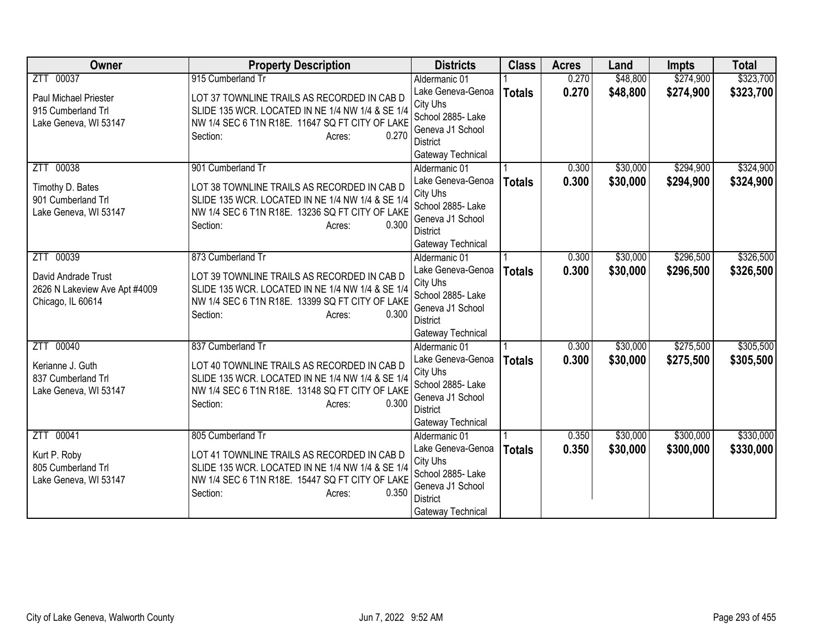| <b>Owner</b>                                                                              | <b>Property Description</b>                                                                                                                                                                            | <b>Districts</b>                                                                                                                | <b>Class</b>  | <b>Acres</b>   | Land                 | <b>Impts</b>           | <b>Total</b>           |
|-------------------------------------------------------------------------------------------|--------------------------------------------------------------------------------------------------------------------------------------------------------------------------------------------------------|---------------------------------------------------------------------------------------------------------------------------------|---------------|----------------|----------------------|------------------------|------------------------|
| ZTT 00037                                                                                 | 915 Cumberland Tr                                                                                                                                                                                      | Aldermanic 01                                                                                                                   |               | 0.270          | \$48,800             | \$274,900              | \$323,700              |
| Paul Michael Priester<br>915 Cumberland Trl<br>Lake Geneva, WI 53147                      | LOT 37 TOWNLINE TRAILS AS RECORDED IN CAB D<br>SLIDE 135 WCR. LOCATED IN NE 1/4 NW 1/4 & SE 1/4<br>NW 1/4 SEC 6 T1N R18E. 11647 SQ FT CITY OF LAKE<br>0.270<br>Section:<br>Acres:                      | Lake Geneva-Genoa<br>City Uhs<br>School 2885- Lake<br>Geneva J1 School<br><b>District</b><br>Gateway Technical                  | <b>Totals</b> | 0.270          | \$48,800             | \$274,900              | \$323,700              |
| ZTT 00038<br>Timothy D. Bates<br>901 Cumberland Trl<br>Lake Geneva, WI 53147              | 901 Cumberland Tr<br>LOT 38 TOWNLINE TRAILS AS RECORDED IN CAB D<br>SLIDE 135 WCR. LOCATED IN NE 1/4 NW 1/4 & SE 1/4<br>NW 1/4 SEC 6 T1N R18E. 13236 SQ FT CITY OF LAKE<br>0.300<br>Section:<br>Acres: | Aldermanic 01<br>Lake Geneva-Genoa<br>City Uhs<br>School 2885- Lake<br>Geneva J1 School<br><b>District</b><br>Gateway Technical | <b>Totals</b> | 0.300<br>0.300 | \$30,000<br>\$30,000 | \$294,900<br>\$294,900 | \$324,900<br>\$324,900 |
| 00039<br>ZTT<br>David Andrade Trust<br>2626 N Lakeview Ave Apt #4009<br>Chicago, IL 60614 | 873 Cumberland Tr<br>LOT 39 TOWNLINE TRAILS AS RECORDED IN CAB D<br>SLIDE 135 WCR. LOCATED IN NE 1/4 NW 1/4 & SE 1/4<br>NW 1/4 SEC 6 T1N R18E. 13399 SQ FT CITY OF LAKE<br>0.300<br>Section:<br>Acres: | Aldermanic 01<br>Lake Geneva-Genoa<br>City Uhs<br>School 2885- Lake<br>Geneva J1 School<br>District<br>Gateway Technical        | <b>Totals</b> | 0.300<br>0.300 | \$30,000<br>\$30,000 | \$296,500<br>\$296,500 | \$326,500<br>\$326,500 |
| ZTT 00040<br>Kerianne J. Guth<br>837 Cumberland Trl<br>Lake Geneva, WI 53147              | 837 Cumberland Tr<br>LOT 40 TOWNLINE TRAILS AS RECORDED IN CAB D<br>SLIDE 135 WCR. LOCATED IN NE 1/4 NW 1/4 & SE 1/4<br>NW 1/4 SEC 6 T1N R18E. 13148 SQ FT CITY OF LAKE<br>0.300<br>Section:<br>Acres: | Aldermanic 01<br>Lake Geneva-Genoa<br>City Uhs<br>School 2885- Lake<br>Geneva J1 School<br><b>District</b><br>Gateway Technical | <b>Totals</b> | 0.300<br>0.300 | \$30,000<br>\$30,000 | \$275,500<br>\$275,500 | \$305,500<br>\$305,500 |
| ZTT 00041<br>Kurt P. Roby<br>805 Cumberland Trl<br>Lake Geneva, WI 53147                  | 805 Cumberland Tr<br>LOT 41 TOWNLINE TRAILS AS RECORDED IN CAB D<br>SLIDE 135 WCR. LOCATED IN NE 1/4 NW 1/4 & SE 1/4<br>NW 1/4 SEC 6 T1N R18E. 15447 SQ FT CITY OF LAKE<br>0.350<br>Section:<br>Acres: | Aldermanic 01<br>Lake Geneva-Genoa<br>City Uhs<br>School 2885- Lake<br>Geneva J1 School<br><b>District</b><br>Gateway Technical | <b>Totals</b> | 0.350<br>0.350 | \$30,000<br>\$30,000 | \$300,000<br>\$300,000 | \$330,000<br>\$330,000 |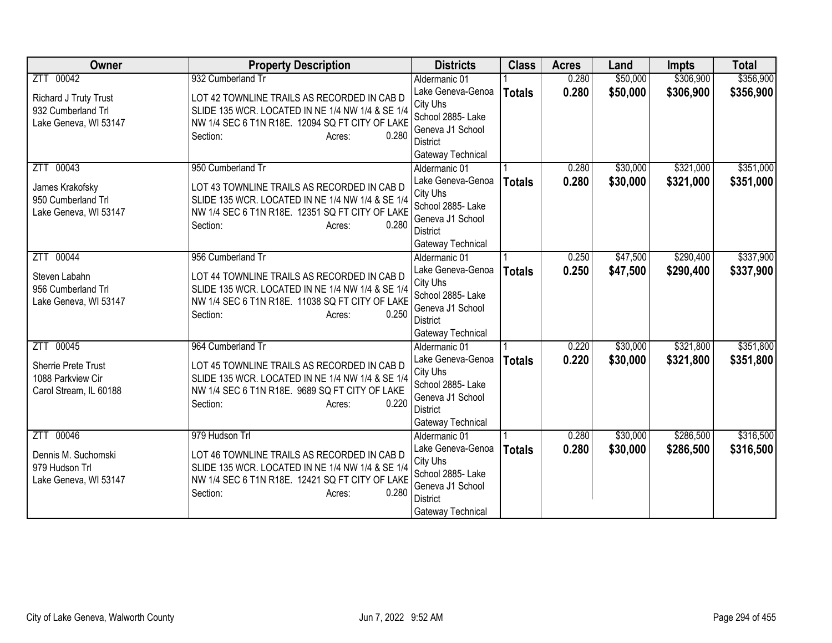| <b>Owner</b>                                                                | <b>Property Description</b>                                                                                                                                                                            | <b>Districts</b>                                                                                                                | <b>Class</b>  | <b>Acres</b>   | Land                 | <b>Impts</b>           | <b>Total</b>           |
|-----------------------------------------------------------------------------|--------------------------------------------------------------------------------------------------------------------------------------------------------------------------------------------------------|---------------------------------------------------------------------------------------------------------------------------------|---------------|----------------|----------------------|------------------------|------------------------|
| ZTT 00042                                                                   | 932 Cumberland Tr                                                                                                                                                                                      | Aldermanic 01                                                                                                                   |               | 0.280          | \$50,000             | \$306,900              | \$356,900              |
| Richard J Truty Trust<br>932 Cumberland Trl<br>Lake Geneva, WI 53147        | LOT 42 TOWNLINE TRAILS AS RECORDED IN CAB D<br>SLIDE 135 WCR. LOCATED IN NE 1/4 NW 1/4 & SE 1/4<br>NW 1/4 SEC 6 T1N R18E. 12094 SQ FT CITY OF LAKE<br>0.280<br>Section:<br>Acres:                      | Lake Geneva-Genoa<br>City Uhs<br>School 2885- Lake<br>Geneva J1 School<br><b>District</b>                                       | <b>Totals</b> | 0.280          | \$50,000             | \$306,900              | \$356,900              |
|                                                                             |                                                                                                                                                                                                        | Gateway Technical                                                                                                               |               |                |                      |                        |                        |
| ZTT 00043<br>James Krakofsky<br>950 Cumberland Trl<br>Lake Geneva, WI 53147 | 950 Cumberland Tr<br>LOT 43 TOWNLINE TRAILS AS RECORDED IN CAB D<br>SLIDE 135 WCR. LOCATED IN NE 1/4 NW 1/4 & SE 1/4<br>NW 1/4 SEC 6 T1N R18E. 12351 SQ FT CITY OF LAKE<br>0.280<br>Section:<br>Acres: | Aldermanic 01<br>Lake Geneva-Genoa<br>City Uhs<br>School 2885- Lake<br>Geneva J1 School<br><b>District</b><br>Gateway Technical | <b>Totals</b> | 0.280<br>0.280 | \$30,000<br>\$30,000 | \$321,000<br>\$321,000 | \$351,000<br>\$351,000 |
| 00044<br><b>ZTT</b>                                                         | 956 Cumberland Tr                                                                                                                                                                                      | Aldermanic 01                                                                                                                   |               | 0.250          | \$47,500             | \$290,400              | \$337,900              |
| Steven Labahn<br>956 Cumberland Trl<br>Lake Geneva, WI 53147                | LOT 44 TOWNLINE TRAILS AS RECORDED IN CAB D<br>SLIDE 135 WCR. LOCATED IN NE 1/4 NW 1/4 & SE 1/4<br>NW 1/4 SEC 6 T1N R18E. 11038 SQ FT CITY OF LAKE<br>0.250<br>Section:<br>Acres:                      | Lake Geneva-Genoa<br>City Uhs<br>School 2885- Lake<br>Geneva J1 School<br><b>District</b><br>Gateway Technical                  | <b>Totals</b> | 0.250          | \$47,500             | \$290,400              | \$337,900              |
| ZTT 00045                                                                   | 964 Cumberland Tr                                                                                                                                                                                      | Aldermanic 01                                                                                                                   |               | 0.220          | \$30,000             | \$321,800              | \$351,800              |
| Sherrie Prete Trust<br>1088 Parkview Cir<br>Carol Stream, IL 60188          | LOT 45 TOWNLINE TRAILS AS RECORDED IN CAB D<br>SLIDE 135 WCR. LOCATED IN NE 1/4 NW 1/4 & SE 1/4<br>NW 1/4 SEC 6 T1N R18E. 9689 SQ FT CITY OF LAKE<br>0.220<br>Section:<br>Acres:                       | Lake Geneva-Genoa<br>City Uhs<br>School 2885- Lake<br>Geneva J1 School<br><b>District</b><br>Gateway Technical                  | <b>Totals</b> | 0.220          | \$30,000             | \$321,800              | \$351,800              |
| ZTT 00046                                                                   | 979 Hudson Trl                                                                                                                                                                                         | Aldermanic 01                                                                                                                   |               | 0.280          | \$30,000             | \$286,500              | \$316,500              |
| Dennis M. Suchomski<br>979 Hudson Trl<br>Lake Geneva, WI 53147              | LOT 46 TOWNLINE TRAILS AS RECORDED IN CAB D<br>SLIDE 135 WCR. LOCATED IN NE 1/4 NW 1/4 & SE 1/4<br>NW 1/4 SEC 6 T1N R18E. 12421 SQ FT CITY OF LAKE<br>0.280<br>Section:<br>Acres:                      | Lake Geneva-Genoa<br>City Uhs<br>School 2885- Lake<br>Geneva J1 School<br><b>District</b><br>Gateway Technical                  | <b>Totals</b> | 0.280          | \$30,000             | \$286,500              | \$316,500              |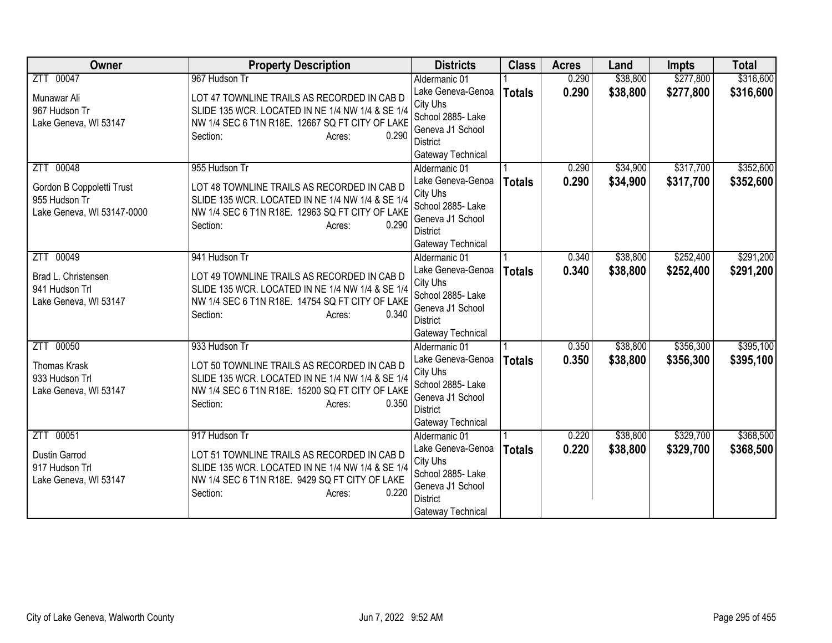| <b>Owner</b>                          | <b>Property Description</b>                                                                     | <b>Districts</b>                   | <b>Class</b>  | <b>Acres</b> | Land     | <b>Impts</b> | <b>Total</b> |
|---------------------------------------|-------------------------------------------------------------------------------------------------|------------------------------------|---------------|--------------|----------|--------------|--------------|
| ZTT 00047                             | 967 Hudson Tr                                                                                   | Aldermanic 01                      |               | 0.290        | \$38,800 | \$277,800    | \$316,600    |
| Munawar Ali                           | LOT 47 TOWNLINE TRAILS AS RECORDED IN CAB D                                                     | Lake Geneva-Genoa                  | <b>Totals</b> | 0.290        | \$38,800 | \$277,800    | \$316,600    |
| 967 Hudson Tr                         | SLIDE 135 WCR. LOCATED IN NE 1/4 NW 1/4 & SE 1/4                                                | City Uhs                           |               |              |          |              |              |
| Lake Geneva, WI 53147                 | NW 1/4 SEC 6 T1N R18E. 12667 SQ FT CITY OF LAKE                                                 | School 2885- Lake                  |               |              |          |              |              |
|                                       | 0.290<br>Section:<br>Acres:                                                                     | Geneva J1 School                   |               |              |          |              |              |
|                                       |                                                                                                 | <b>District</b>                    |               |              |          |              |              |
| ZTT 00048                             | 955 Hudson Tr                                                                                   | Gateway Technical<br>Aldermanic 01 |               | 0.290        | \$34,900 | \$317,700    | \$352,600    |
|                                       |                                                                                                 | Lake Geneva-Genoa                  |               | 0.290        |          |              |              |
| Gordon B Coppoletti Trust             | LOT 48 TOWNLINE TRAILS AS RECORDED IN CAB D                                                     | City Uhs                           | <b>Totals</b> |              | \$34,900 | \$317,700    | \$352,600    |
| 955 Hudson Tr                         | SLIDE 135 WCR. LOCATED IN NE 1/4 NW 1/4 & SE 1/4                                                | School 2885- Lake                  |               |              |          |              |              |
| Lake Geneva, WI 53147-0000            | NW 1/4 SEC 6 T1N R18E. 12963 SQ FT CITY OF LAKE                                                 | Geneva J1 School                   |               |              |          |              |              |
|                                       | 0.290<br>Section:<br>Acres:                                                                     | <b>District</b>                    |               |              |          |              |              |
|                                       |                                                                                                 | Gateway Technical                  |               |              |          |              |              |
| 00049<br>ZTT                          | 941 Hudson Tr                                                                                   | Aldermanic 01                      |               | 0.340        | \$38,800 | \$252,400    | \$291,200    |
|                                       |                                                                                                 | Lake Geneva-Genoa                  | <b>Totals</b> | 0.340        | \$38,800 | \$252,400    | \$291,200    |
| Brad L. Christensen<br>941 Hudson Trl | LOT 49 TOWNLINE TRAILS AS RECORDED IN CAB D<br>SLIDE 135 WCR. LOCATED IN NE 1/4 NW 1/4 & SE 1/4 | City Uhs                           |               |              |          |              |              |
| Lake Geneva, WI 53147                 | NW 1/4 SEC 6 T1N R18E. 14754 SQ FT CITY OF LAKE                                                 | School 2885- Lake                  |               |              |          |              |              |
|                                       | 0.340<br>Section:<br>Acres:                                                                     | Geneva J1 School                   |               |              |          |              |              |
|                                       |                                                                                                 | <b>District</b>                    |               |              |          |              |              |
|                                       |                                                                                                 | Gateway Technical                  |               |              |          |              |              |
| ZTT 00050                             | 933 Hudson Tr                                                                                   | Aldermanic 01                      |               | 0.350        | \$38,800 | \$356,300    | \$395,100    |
| <b>Thomas Krask</b>                   | LOT 50 TOWNLINE TRAILS AS RECORDED IN CAB D                                                     | Lake Geneva-Genoa                  | <b>Totals</b> | 0.350        | \$38,800 | \$356,300    | \$395,100    |
| 933 Hudson Trl                        | SLIDE 135 WCR. LOCATED IN NE 1/4 NW 1/4 & SE 1/4                                                | City Uhs<br>School 2885- Lake      |               |              |          |              |              |
| Lake Geneva, WI 53147                 | NW 1/4 SEC 6 T1N R18E. 15200 SQ FT CITY OF LAKE                                                 | Geneva J1 School                   |               |              |          |              |              |
|                                       | 0.350<br>Section:<br>Acres:                                                                     | <b>District</b>                    |               |              |          |              |              |
|                                       |                                                                                                 | Gateway Technical                  |               |              |          |              |              |
| ZTT 00051                             | 917 Hudson Tr                                                                                   | Aldermanic 01                      |               | 0.220        | \$38,800 | \$329,700    | \$368,500    |
|                                       |                                                                                                 | Lake Geneva-Genoa                  | <b>Totals</b> | 0.220        | \$38,800 | \$329,700    | \$368,500    |
| Dustin Garrod                         | LOT 51 TOWNLINE TRAILS AS RECORDED IN CAB D                                                     | City Uhs                           |               |              |          |              |              |
| 917 Hudson Trl                        | SLIDE 135 WCR. LOCATED IN NE 1/4 NW 1/4 & SE 1/4                                                | School 2885- Lake                  |               |              |          |              |              |
| Lake Geneva, WI 53147                 | NW 1/4 SEC 6 T1N R18E. 9429 SQ FT CITY OF LAKE<br>0.220                                         | Geneva J1 School                   |               |              |          |              |              |
|                                       | Section:<br>Acres:                                                                              | <b>District</b>                    |               |              |          |              |              |
|                                       |                                                                                                 | Gateway Technical                  |               |              |          |              |              |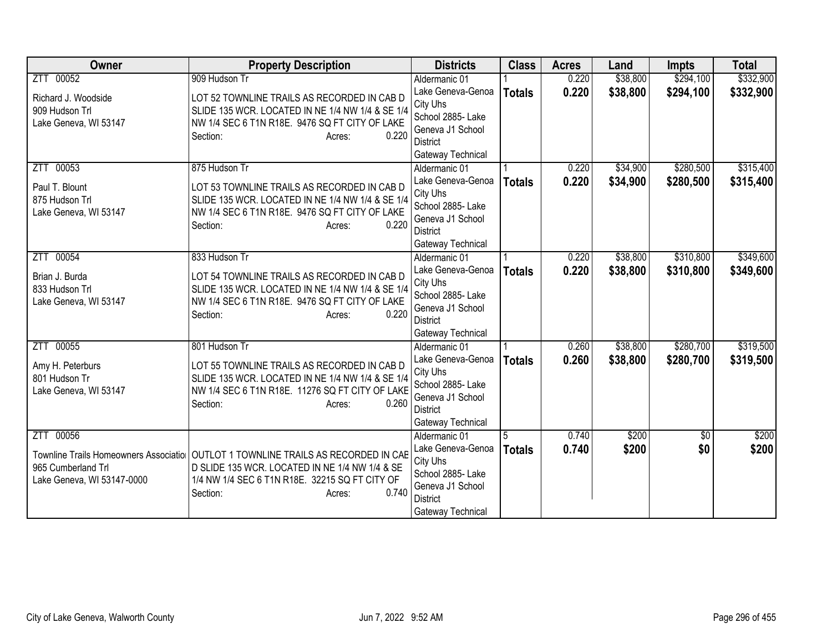| <b>Owner</b>               | <b>Property Description</b>                                                                                                           | <b>Districts</b>                   | <b>Class</b>  | <b>Acres</b> | Land     | <b>Impts</b>    | <b>Total</b> |
|----------------------------|---------------------------------------------------------------------------------------------------------------------------------------|------------------------------------|---------------|--------------|----------|-----------------|--------------|
| ZTT 00052                  | 909 Hudson Tr                                                                                                                         | Aldermanic 01                      |               | 0.220        | \$38,800 | \$294,100       | \$332,900    |
| Richard J. Woodside        | LOT 52 TOWNLINE TRAILS AS RECORDED IN CAB D                                                                                           | Lake Geneva-Genoa                  | <b>Totals</b> | 0.220        | \$38,800 | \$294,100       | \$332,900    |
| 909 Hudson Trl             | SLIDE 135 WCR. LOCATED IN NE 1/4 NW 1/4 & SE 1/4                                                                                      | City Uhs                           |               |              |          |                 |              |
| Lake Geneva, WI 53147      | NW 1/4 SEC 6 T1N R18E. 9476 SQ FT CITY OF LAKE                                                                                        | School 2885- Lake                  |               |              |          |                 |              |
|                            | 0.220<br>Section:<br>Acres:                                                                                                           | Geneva J1 School                   |               |              |          |                 |              |
|                            |                                                                                                                                       | <b>District</b>                    |               |              |          |                 |              |
| ZTT 00053                  | 875 Hudson Tr                                                                                                                         | Gateway Technical<br>Aldermanic 01 |               | 0.220        | \$34,900 | \$280,500       | \$315,400    |
|                            |                                                                                                                                       | Lake Geneva-Genoa                  |               | 0.220        | \$34,900 | \$280,500       |              |
| Paul T. Blount             | LOT 53 TOWNLINE TRAILS AS RECORDED IN CAB D                                                                                           | City Uhs                           | <b>Totals</b> |              |          |                 | \$315,400    |
| 875 Hudson Trl             | SLIDE 135 WCR. LOCATED IN NE 1/4 NW 1/4 & SE 1/4                                                                                      | School 2885- Lake                  |               |              |          |                 |              |
| Lake Geneva, WI 53147      | NW 1/4 SEC 6 T1N R18E. 9476 SQ FT CITY OF LAKE                                                                                        | Geneva J1 School                   |               |              |          |                 |              |
|                            | 0.220<br>Section:<br>Acres:                                                                                                           | <b>District</b>                    |               |              |          |                 |              |
|                            |                                                                                                                                       | Gateway Technical                  |               |              |          |                 |              |
| 00054<br>ZTT               | 833 Hudson Tr                                                                                                                         | Aldermanic 01                      |               | 0.220        | \$38,800 | \$310,800       | \$349,600    |
| Brian J. Burda             |                                                                                                                                       | Lake Geneva-Genoa                  | <b>Totals</b> | 0.220        | \$38,800 | \$310,800       | \$349,600    |
| 833 Hudson Trl             | LOT 54 TOWNLINE TRAILS AS RECORDED IN CAB D<br>SLIDE 135 WCR. LOCATED IN NE 1/4 NW 1/4 & SE 1/4                                       | City Uhs                           |               |              |          |                 |              |
| Lake Geneva, WI 53147      | NW 1/4 SEC 6 T1N R18E. 9476 SQ FT CITY OF LAKE                                                                                        | School 2885- Lake                  |               |              |          |                 |              |
|                            | 0.220<br>Section:<br>Acres:                                                                                                           | Geneva J1 School                   |               |              |          |                 |              |
|                            |                                                                                                                                       | <b>District</b>                    |               |              |          |                 |              |
|                            |                                                                                                                                       | Gateway Technical                  |               |              |          |                 |              |
| ZTT 00055                  | 801 Hudson Tr                                                                                                                         | Aldermanic 01                      |               | 0.260        | \$38,800 | \$280,700       | \$319,500    |
| Amy H. Peterburs           | LOT 55 TOWNLINE TRAILS AS RECORDED IN CAB D                                                                                           | Lake Geneva-Genoa<br>City Uhs      | <b>Totals</b> | 0.260        | \$38,800 | \$280,700       | \$319,500    |
| 801 Hudson Tr              | SLIDE 135 WCR. LOCATED IN NE 1/4 NW 1/4 & SE 1/4                                                                                      | School 2885- Lake                  |               |              |          |                 |              |
| Lake Geneva, WI 53147      | NW 1/4 SEC 6 T1N R18E. 11276 SQ FT CITY OF LAKE                                                                                       | Geneva J1 School                   |               |              |          |                 |              |
|                            | 0.260<br>Section:<br>Acres:                                                                                                           | <b>District</b>                    |               |              |          |                 |              |
|                            |                                                                                                                                       | Gateway Technical                  |               |              |          |                 |              |
| ZTT 00056                  |                                                                                                                                       | Aldermanic 01                      |               | 0.740        | \$200    | $\overline{50}$ | \$200        |
|                            |                                                                                                                                       | Lake Geneva-Genoa                  | <b>Totals</b> | 0.740        | \$200    | \$0             | \$200        |
| 965 Cumberland Trl         | Townline Trails Homeowners Associatio   OUTLOT 1 TOWNLINE TRAILS AS RECORDED IN CAB<br>D SLIDE 135 WCR. LOCATED IN NE 1/4 NW 1/4 & SE | City Uhs                           |               |              |          |                 |              |
| Lake Geneva, WI 53147-0000 | 1/4 NW 1/4 SEC 6 T1N R18E. 32215 SQ FT CITY OF                                                                                        | School 2885- Lake                  |               |              |          |                 |              |
|                            | 0.740<br>Section:<br>Acres:                                                                                                           | Geneva J1 School                   |               |              |          |                 |              |
|                            |                                                                                                                                       | <b>District</b>                    |               |              |          |                 |              |
|                            |                                                                                                                                       | Gateway Technical                  |               |              |          |                 |              |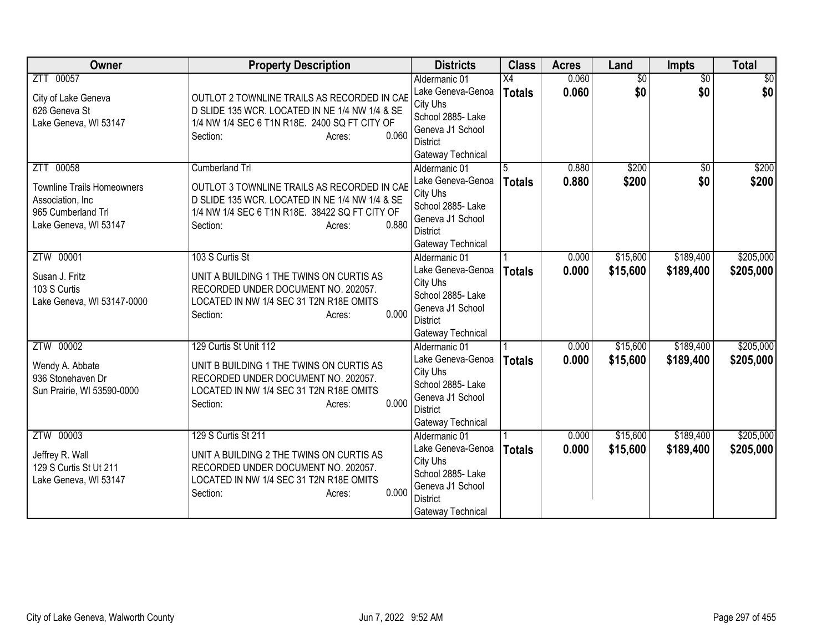| Owner                                                                                                              | <b>Property Description</b>                                                                                                                                                                      | <b>Districts</b>                                                                                                                | <b>Class</b>                     | <b>Acres</b>   | Land                   | Impts                  | <b>Total</b>           |
|--------------------------------------------------------------------------------------------------------------------|--------------------------------------------------------------------------------------------------------------------------------------------------------------------------------------------------|---------------------------------------------------------------------------------------------------------------------------------|----------------------------------|----------------|------------------------|------------------------|------------------------|
| ZTT 00057<br>City of Lake Geneva<br>626 Geneva St<br>Lake Geneva, WI 53147                                         | OUTLOT 2 TOWNLINE TRAILS AS RECORDED IN CAB<br>D SLIDE 135 WCR. LOCATED IN NE 1/4 NW 1/4 & SE<br>1/4 NW 1/4 SEC 6 T1N R18E. 2400 SQ FT CITY OF<br>0.060<br>Section:<br>Acres:                    | Aldermanic 01<br>Lake Geneva-Genoa<br>City Uhs<br>School 2885- Lake<br>Geneva J1 School<br><b>District</b><br>Gateway Technical | $\overline{X4}$<br><b>Totals</b> | 0.060<br>0.060 | $\overline{50}$<br>\$0 | $\overline{50}$<br>\$0 | $\overline{50}$<br>\$0 |
| ZTT 00058<br><b>Townline Trails Homeowners</b><br>Association, Inc.<br>965 Cumberland Trl<br>Lake Geneva, WI 53147 | Cumberland Trl<br>OUTLOT 3 TOWNLINE TRAILS AS RECORDED IN CAE<br>D SLIDE 135 WCR. LOCATED IN NE 1/4 NW 1/4 & SE<br>1/4 NW 1/4 SEC 6 T1N R18E. 38422 SQ FT CITY OF<br>0.880<br>Section:<br>Acres: | Aldermanic 01<br>Lake Geneva-Genoa<br>City Uhs<br>School 2885- Lake<br>Geneva J1 School<br><b>District</b><br>Gateway Technical | 5<br><b>Totals</b>               | 0.880<br>0.880 | \$200<br>\$200         | $\overline{30}$<br>\$0 | \$200<br>\$200         |
| ZTW 00001<br>Susan J. Fritz<br>103 S Curtis<br>Lake Geneva, WI 53147-0000                                          | 103 S Curtis St<br>UNIT A BUILDING 1 THE TWINS ON CURTIS AS<br>RECORDED UNDER DOCUMENT NO. 202057.<br>LOCATED IN NW 1/4 SEC 31 T2N R18E OMITS<br>0.000<br>Section:<br>Acres:                     | Aldermanic 01<br>Lake Geneva-Genoa<br>City Uhs<br>School 2885- Lake<br>Geneva J1 School<br><b>District</b><br>Gateway Technical | <b>Totals</b>                    | 0.000<br>0.000 | \$15,600<br>\$15,600   | \$189,400<br>\$189,400 | \$205,000<br>\$205,000 |
| ZTW 00002<br>Wendy A. Abbate<br>936 Stonehaven Dr<br>Sun Prairie, WI 53590-0000                                    | 129 Curtis St Unit 112<br>UNIT B BUILDING 1 THE TWINS ON CURTIS AS<br>RECORDED UNDER DOCUMENT NO. 202057.<br>LOCATED IN NW 1/4 SEC 31 T2N R18E OMITS<br>0.000<br>Section:<br>Acres:              | Aldermanic 01<br>Lake Geneva-Genoa<br>City Uhs<br>School 2885- Lake<br>Geneva J1 School<br><b>District</b><br>Gateway Technical | <b>Totals</b>                    | 0.000<br>0.000 | \$15,600<br>\$15,600   | \$189,400<br>\$189,400 | \$205,000<br>\$205,000 |
| ZTW 00003<br>Jeffrey R. Wall<br>129 S Curtis St Ut 211<br>Lake Geneva, WI 53147                                    | 129 S Curtis St 211<br>UNIT A BUILDING 2 THE TWINS ON CURTIS AS<br>RECORDED UNDER DOCUMENT NO. 202057.<br>LOCATED IN NW 1/4 SEC 31 T2N R18E OMITS<br>0.000<br>Section:<br>Acres:                 | Aldermanic 01<br>Lake Geneva-Genoa<br>City Uhs<br>School 2885-Lake<br>Geneva J1 School<br><b>District</b><br>Gateway Technical  | <b>Totals</b>                    | 0.000<br>0.000 | \$15,600<br>\$15,600   | \$189,400<br>\$189,400 | \$205,000<br>\$205,000 |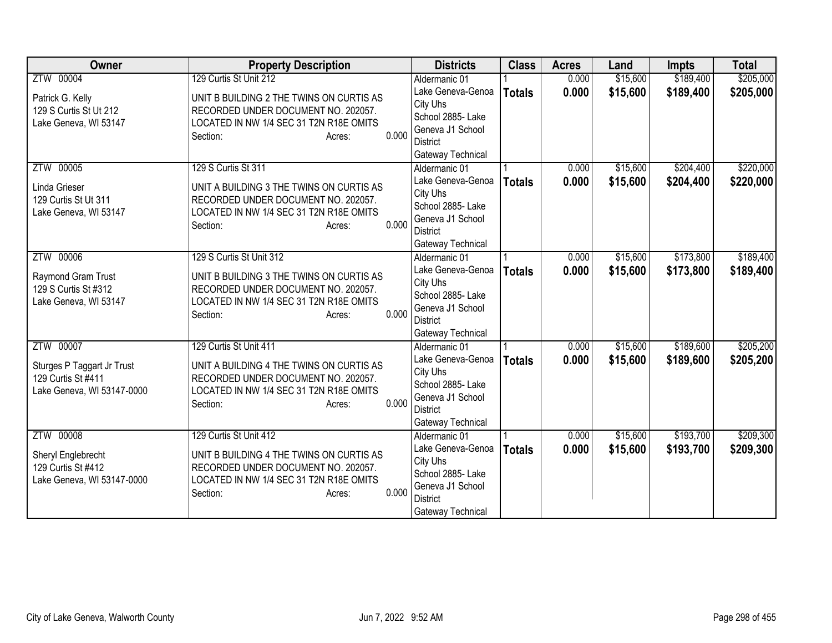| <b>Owner</b>                                                                                | <b>Property Description</b>                                                                                                                                                           | <b>Districts</b>                                                                                                                | <b>Class</b>  | <b>Acres</b>   | Land                 | <b>Impts</b>           | <b>Total</b>           |
|---------------------------------------------------------------------------------------------|---------------------------------------------------------------------------------------------------------------------------------------------------------------------------------------|---------------------------------------------------------------------------------------------------------------------------------|---------------|----------------|----------------------|------------------------|------------------------|
| ZTW 00004                                                                                   | 129 Curtis St Unit 212                                                                                                                                                                | Aldermanic 01                                                                                                                   |               | 0.000          | \$15,600             | \$189,400              | \$205,000              |
| Patrick G. Kelly<br>129 S Curtis St Ut 212<br>Lake Geneva, WI 53147                         | UNIT B BUILDING 2 THE TWINS ON CURTIS AS<br>RECORDED UNDER DOCUMENT NO. 202057.<br>LOCATED IN NW 1/4 SEC 31 T2N R18E OMITS<br>0.000<br>Section:<br>Acres:                             | Lake Geneva-Genoa<br>City Uhs<br>School 2885- Lake<br>Geneva J1 School<br><b>District</b><br>Gateway Technical                  | <b>Totals</b> | 0.000          | \$15,600             | \$189,400              | \$205,000              |
| ZTW 00005<br>Linda Grieser<br>129 Curtis St Ut 311<br>Lake Geneva, WI 53147                 | 129 S Curtis St 311<br>UNIT A BUILDING 3 THE TWINS ON CURTIS AS<br>RECORDED UNDER DOCUMENT NO. 202057.<br>LOCATED IN NW 1/4 SEC 31 T2N R18E OMITS<br>0.000<br>Section:<br>Acres:      | Aldermanic 01<br>Lake Geneva-Genoa<br>City Uhs<br>School 2885- Lake<br>Geneva J1 School<br><b>District</b><br>Gateway Technical | <b>Totals</b> | 0.000<br>0.000 | \$15,600<br>\$15,600 | \$204,400<br>\$204,400 | \$220,000<br>\$220,000 |
| ZTW 00006<br>Raymond Gram Trust<br>129 S Curtis St #312<br>Lake Geneva, WI 53147            | 129 S Curtis St Unit 312<br>UNIT B BUILDING 3 THE TWINS ON CURTIS AS<br>RECORDED UNDER DOCUMENT NO. 202057.<br>LOCATED IN NW 1/4 SEC 31 T2N R18E OMITS<br>0.000<br>Section:<br>Acres: | Aldermanic 01<br>Lake Geneva-Genoa<br>City Uhs<br>School 2885- Lake<br>Geneva J1 School<br><b>District</b><br>Gateway Technical | <b>Totals</b> | 0.000<br>0.000 | \$15,600<br>\$15,600 | \$173,800<br>\$173,800 | \$189,400<br>\$189,400 |
| ZTW 00007<br>Sturges P Taggart Jr Trust<br>129 Curtis St #411<br>Lake Geneva, WI 53147-0000 | 129 Curtis St Unit 411<br>UNIT A BUILDING 4 THE TWINS ON CURTIS AS<br>RECORDED UNDER DOCUMENT NO. 202057.<br>LOCATED IN NW 1/4 SEC 31 T2N R18E OMITS<br>0.000<br>Section:<br>Acres:   | Aldermanic 01<br>Lake Geneva-Genoa<br>City Uhs<br>School 2885- Lake<br>Geneva J1 School<br><b>District</b><br>Gateway Technical | <b>Totals</b> | 0.000<br>0.000 | \$15,600<br>\$15,600 | \$189,600<br>\$189,600 | \$205,200<br>\$205,200 |
| ZTW 00008<br>Sheryl Englebrecht<br>129 Curtis St #412<br>Lake Geneva, WI 53147-0000         | 129 Curtis St Unit 412<br>UNIT B BUILDING 4 THE TWINS ON CURTIS AS<br>RECORDED UNDER DOCUMENT NO. 202057.<br>LOCATED IN NW 1/4 SEC 31 T2N R18E OMITS<br>0.000<br>Section:<br>Acres:   | Aldermanic 01<br>Lake Geneva-Genoa<br>City Uhs<br>School 2885- Lake<br>Geneva J1 School<br><b>District</b><br>Gateway Technical | <b>Totals</b> | 0.000<br>0.000 | \$15,600<br>\$15,600 | \$193,700<br>\$193,700 | \$209,300<br>\$209,300 |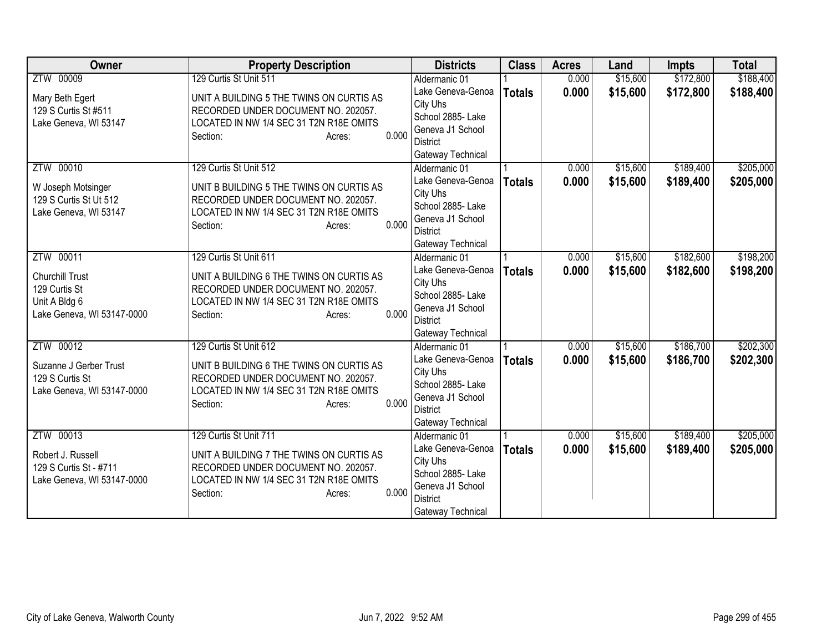| <b>Owner</b>               | <b>Property Description</b>                      | <b>Districts</b>                   | <b>Class</b>  | <b>Acres</b> | Land     | <b>Impts</b> | <b>Total</b> |
|----------------------------|--------------------------------------------------|------------------------------------|---------------|--------------|----------|--------------|--------------|
| ZTW 00009                  | 129 Curtis St Unit 511                           | Aldermanic 01                      |               | 0.000        | \$15,600 | \$172,800    | \$188,400    |
| Mary Beth Egert            | UNIT A BUILDING 5 THE TWINS ON CURTIS AS         | Lake Geneva-Genoa                  | <b>Totals</b> | 0.000        | \$15,600 | \$172,800    | \$188,400    |
| 129 S Curtis St #511       | RECORDED UNDER DOCUMENT NO. 202057.              | City Uhs                           |               |              |          |              |              |
| Lake Geneva, WI 53147      | LOCATED IN NW 1/4 SEC 31 T2N R18E OMITS          | School 2885- Lake                  |               |              |          |              |              |
|                            | 0.000<br>Section:<br>Acres:                      | Geneva J1 School                   |               |              |          |              |              |
|                            |                                                  | <b>District</b>                    |               |              |          |              |              |
|                            |                                                  | Gateway Technical                  |               |              |          |              |              |
| ZTW 00010                  | 129 Curtis St Unit 512                           | Aldermanic 01                      |               | 0.000        | \$15,600 | \$189,400    | \$205,000    |
| W Joseph Motsinger         | UNIT B BUILDING 5 THE TWINS ON CURTIS AS         | Lake Geneva-Genoa                  | <b>Totals</b> | 0.000        | \$15,600 | \$189,400    | \$205,000    |
| 129 S Curtis St Ut 512     | RECORDED UNDER DOCUMENT NO. 202057.              | City Uhs<br>School 2885- Lake      |               |              |          |              |              |
| Lake Geneva, WI 53147      | LOCATED IN NW 1/4 SEC 31 T2N R18E OMITS          | Geneva J1 School                   |               |              |          |              |              |
|                            | 0.000<br>Section:<br>Acres:                      | <b>District</b>                    |               |              |          |              |              |
|                            |                                                  | Gateway Technical                  |               |              |          |              |              |
| ZTW 00011                  | 129 Curtis St Unit 611                           | Aldermanic 01                      |               | 0.000        | \$15,600 | \$182,600    | \$198,200    |
|                            |                                                  | Lake Geneva-Genoa                  | <b>Totals</b> | 0.000        | \$15,600 | \$182,600    | \$198,200    |
| Churchill Trust            | UNIT A BUILDING 6 THE TWINS ON CURTIS AS         | City Uhs                           |               |              |          |              |              |
| 129 Curtis St              | RECORDED UNDER DOCUMENT NO. 202057.              | School 2885- Lake                  |               |              |          |              |              |
| Unit A Bldg 6              | LOCATED IN NW 1/4 SEC 31 T2N R18E OMITS<br>0.000 | Geneva J1 School                   |               |              |          |              |              |
| Lake Geneva, WI 53147-0000 | Section:<br>Acres:                               | <b>District</b>                    |               |              |          |              |              |
|                            |                                                  | Gateway Technical                  |               |              |          |              |              |
| ZTW 00012                  | 129 Curtis St Unit 612                           | Aldermanic 01                      |               | 0.000        | \$15,600 | \$186,700    | \$202,300    |
| Suzanne J Gerber Trust     | UNIT B BUILDING 6 THE TWINS ON CURTIS AS         | Lake Geneva-Genoa                  | <b>Totals</b> | 0.000        | \$15,600 | \$186,700    | \$202,300    |
| 129 S Curtis St            | RECORDED UNDER DOCUMENT NO. 202057.              | City Uhs                           |               |              |          |              |              |
| Lake Geneva, WI 53147-0000 | LOCATED IN NW 1/4 SEC 31 T2N R18E OMITS          | School 2885- Lake                  |               |              |          |              |              |
|                            | 0.000<br>Section:<br>Acres:                      | Geneva J1 School                   |               |              |          |              |              |
|                            |                                                  | <b>District</b>                    |               |              |          |              |              |
| ZTW 00013                  | 129 Curtis St Unit 711                           | Gateway Technical<br>Aldermanic 01 |               | 0.000        | \$15,600 | \$189,400    | \$205,000    |
|                            |                                                  | Lake Geneva-Genoa                  |               | 0.000        | \$15,600 | \$189,400    |              |
| Robert J. Russell          | UNIT A BUILDING 7 THE TWINS ON CURTIS AS         | City Uhs                           | <b>Totals</b> |              |          |              | \$205,000    |
| 129 S Curtis St - #711     | RECORDED UNDER DOCUMENT NO. 202057.              | School 2885-Lake                   |               |              |          |              |              |
| Lake Geneva, WI 53147-0000 | LOCATED IN NW 1/4 SEC 31 T2N R18E OMITS          | Geneva J1 School                   |               |              |          |              |              |
|                            | 0.000<br>Section:<br>Acres:                      | <b>District</b>                    |               |              |          |              |              |
|                            |                                                  | Gateway Technical                  |               |              |          |              |              |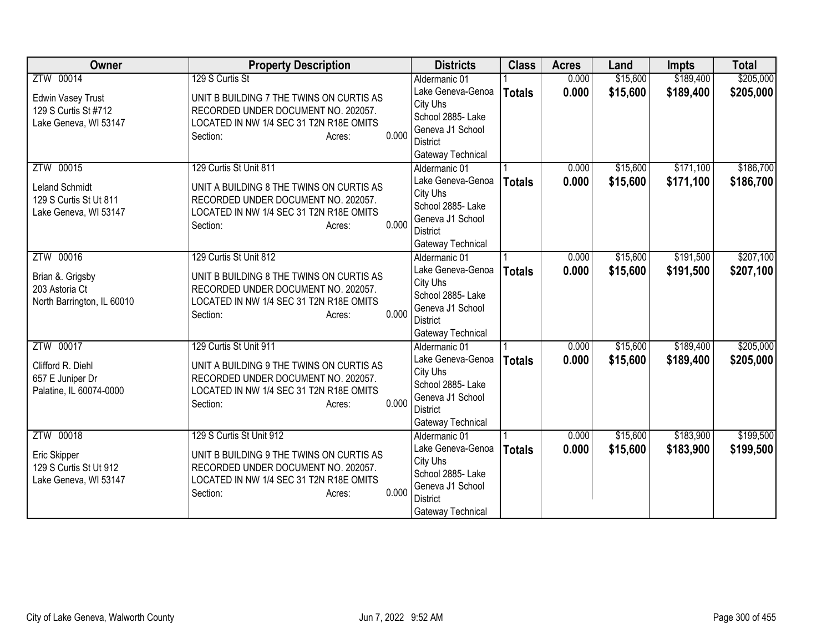| <b>Owner</b>                                                              | <b>Property Description</b>                                                                                                                               | <b>Districts</b>                                                                                               | <b>Class</b>  | <b>Acres</b> | Land     | <b>Impts</b> | <b>Total</b> |
|---------------------------------------------------------------------------|-----------------------------------------------------------------------------------------------------------------------------------------------------------|----------------------------------------------------------------------------------------------------------------|---------------|--------------|----------|--------------|--------------|
| ZTW 00014                                                                 | 129 S Curtis St                                                                                                                                           | Aldermanic 01                                                                                                  |               | 0.000        | \$15,600 | \$189,400    | \$205,000    |
| <b>Edwin Vasey Trust</b><br>129 S Curtis St #712<br>Lake Geneva, WI 53147 | UNIT B BUILDING 7 THE TWINS ON CURTIS AS<br>RECORDED UNDER DOCUMENT NO. 202057.<br>LOCATED IN NW 1/4 SEC 31 T2N R18E OMITS<br>0.000<br>Section:<br>Acres: | Lake Geneva-Genoa<br>City Uhs<br>School 2885- Lake<br>Geneva J1 School<br><b>District</b>                      | <b>Totals</b> | 0.000        | \$15,600 | \$189,400    | \$205,000    |
| ZTW 00015                                                                 | 129 Curtis St Unit 811                                                                                                                                    | Gateway Technical<br>Aldermanic 01                                                                             |               | 0.000        | \$15,600 | \$171,100    | \$186,700    |
| <b>Leland Schmidt</b><br>129 S Curtis St Ut 811<br>Lake Geneva, WI 53147  | UNIT A BUILDING 8 THE TWINS ON CURTIS AS<br>RECORDED UNDER DOCUMENT NO. 202057.<br>LOCATED IN NW 1/4 SEC 31 T2N R18E OMITS<br>0.000<br>Section:<br>Acres: | Lake Geneva-Genoa<br>City Uhs<br>School 2885- Lake<br>Geneva J1 School<br><b>District</b><br>Gateway Technical | <b>Totals</b> | 0.000        | \$15,600 | \$171,100    | \$186,700    |
| ZTW 00016                                                                 | 129 Curtis St Unit 812                                                                                                                                    | Aldermanic 01                                                                                                  |               | 0.000        | \$15,600 | \$191,500    | \$207,100    |
| Brian &. Grigsby<br>203 Astoria Ct<br>North Barrington, IL 60010          | UNIT B BUILDING 8 THE TWINS ON CURTIS AS<br>RECORDED UNDER DOCUMENT NO. 202057.<br>LOCATED IN NW 1/4 SEC 31 T2N R18E OMITS<br>0.000<br>Section:<br>Acres: | Lake Geneva-Genoa<br>City Uhs<br>School 2885- Lake<br>Geneva J1 School<br><b>District</b><br>Gateway Technical | <b>Totals</b> | 0.000        | \$15,600 | \$191,500    | \$207,100    |
| ZTW 00017                                                                 | 129 Curtis St Unit 911                                                                                                                                    | Aldermanic 01                                                                                                  |               | 0.000        | \$15,600 | \$189,400    | \$205,000    |
| Clifford R. Diehl<br>657 E Juniper Dr<br>Palatine, IL 60074-0000          | UNIT A BUILDING 9 THE TWINS ON CURTIS AS<br>RECORDED UNDER DOCUMENT NO. 202057.<br>LOCATED IN NW 1/4 SEC 31 T2N R18E OMITS<br>0.000<br>Section:<br>Acres: | Lake Geneva-Genoa<br>City Uhs<br>School 2885- Lake<br>Geneva J1 School<br><b>District</b><br>Gateway Technical | <b>Totals</b> | 0.000        | \$15,600 | \$189,400    | \$205,000    |
| ZTW 00018                                                                 | 129 S Curtis St Unit 912                                                                                                                                  | Aldermanic 01                                                                                                  |               | 0.000        | \$15,600 | \$183,900    | \$199,500    |
| Eric Skipper<br>129 S Curtis St Ut 912<br>Lake Geneva, WI 53147           | UNIT B BUILDING 9 THE TWINS ON CURTIS AS<br>RECORDED UNDER DOCUMENT NO. 202057.<br>LOCATED IN NW 1/4 SEC 31 T2N R18E OMITS<br>0.000<br>Section:<br>Acres: | Lake Geneva-Genoa<br>City Uhs<br>School 2885-Lake<br>Geneva J1 School<br><b>District</b><br>Gateway Technical  | <b>Totals</b> | 0.000        | \$15,600 | \$183,900    | \$199,500    |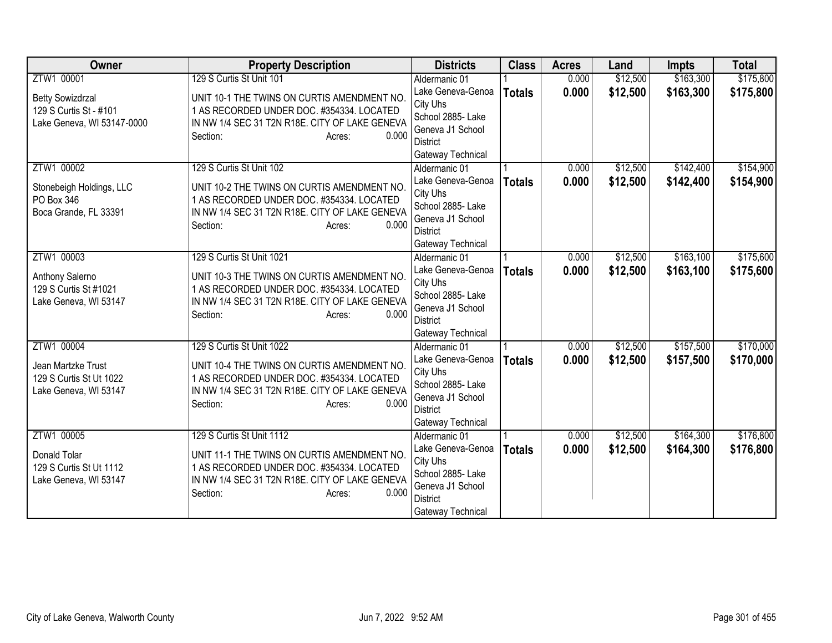| <b>Owner</b>                                                                         | <b>Property Description</b>                                                                                                                                                                            | <b>Districts</b>                                                                                                                | <b>Class</b>  | <b>Acres</b>   | Land                 | <b>Impts</b>           | <b>Total</b>           |
|--------------------------------------------------------------------------------------|--------------------------------------------------------------------------------------------------------------------------------------------------------------------------------------------------------|---------------------------------------------------------------------------------------------------------------------------------|---------------|----------------|----------------------|------------------------|------------------------|
| ZTW1 00001                                                                           | 129 S Curtis St Unit 101                                                                                                                                                                               | Aldermanic 01                                                                                                                   |               | 0.000          | \$12,500             | \$163,300              | \$175,800              |
| <b>Betty Sowizdrzal</b><br>129 S Curtis St - #101<br>Lake Geneva, WI 53147-0000      | UNIT 10-1 THE TWINS ON CURTIS AMENDMENT NO.<br>1 AS RECORDED UNDER DOC. #354334. LOCATED<br>IN NW 1/4 SEC 31 T2N R18E. CITY OF LAKE GENEVA<br>0.000<br>Section:<br>Acres:                              | Lake Geneva-Genoa<br>City Uhs<br>School 2885- Lake<br>Geneva J1 School<br><b>District</b><br>Gateway Technical                  | <b>Totals</b> | 0.000          | \$12,500             | \$163,300              | \$175,800              |
| ZTW1 00002<br>Stonebeigh Holdings, LLC<br>PO Box 346<br>Boca Grande, FL 33391        | 129 S Curtis St Unit 102<br>UNIT 10-2 THE TWINS ON CURTIS AMENDMENT NO.<br>1 AS RECORDED UNDER DOC. #354334. LOCATED<br>IN NW 1/4 SEC 31 T2N R18E. CITY OF LAKE GENEVA<br>0.000<br>Section:<br>Acres:  | Aldermanic 01<br>Lake Geneva-Genoa<br>City Uhs<br>School 2885- Lake<br>Geneva J1 School<br><b>District</b><br>Gateway Technical | <b>Totals</b> | 0.000<br>0.000 | \$12,500<br>\$12,500 | \$142,400<br>\$142,400 | \$154,900<br>\$154,900 |
| ZTW1 00003<br>Anthony Salerno<br>129 S Curtis St #1021<br>Lake Geneva, WI 53147      | 129 S Curtis St Unit 1021<br>UNIT 10-3 THE TWINS ON CURTIS AMENDMENT NO.<br>1 AS RECORDED UNDER DOC. #354334. LOCATED<br>IN NW 1/4 SEC 31 T2N R18E. CITY OF LAKE GENEVA<br>0.000<br>Section:<br>Acres: | Aldermanic 01<br>Lake Geneva-Genoa<br>City Uhs<br>School 2885- Lake<br>Geneva J1 School<br><b>District</b><br>Gateway Technical | <b>Totals</b> | 0.000<br>0.000 | \$12,500<br>\$12,500 | \$163,100<br>\$163,100 | \$175,600<br>\$175,600 |
| ZTW1 00004<br>Jean Martzke Trust<br>129 S Curtis St Ut 1022<br>Lake Geneva, WI 53147 | 129 S Curtis St Unit 1022<br>UNIT 10-4 THE TWINS ON CURTIS AMENDMENT NO.<br>1 AS RECORDED UNDER DOC. #354334. LOCATED<br>IN NW 1/4 SEC 31 T2N R18E. CITY OF LAKE GENEVA<br>0.000<br>Section:<br>Acres: | Aldermanic 01<br>Lake Geneva-Genoa<br>City Uhs<br>School 2885- Lake<br>Geneva J1 School<br><b>District</b><br>Gateway Technical | <b>Totals</b> | 0.000<br>0.000 | \$12,500<br>\$12,500 | \$157,500<br>\$157,500 | \$170,000<br>\$170,000 |
| ZTW1 00005<br>Donald Tolar<br>129 S Curtis St Ut 1112<br>Lake Geneva, WI 53147       | 129 S Curtis St Unit 1112<br>UNIT 11-1 THE TWINS ON CURTIS AMENDMENT NO.<br>1 AS RECORDED UNDER DOC. #354334. LOCATED<br>IN NW 1/4 SEC 31 T2N R18E. CITY OF LAKE GENEVA<br>0.000<br>Section:<br>Acres: | Aldermanic 01<br>Lake Geneva-Genoa<br>City Uhs<br>School 2885- Lake<br>Geneva J1 School<br><b>District</b><br>Gateway Technical | <b>Totals</b> | 0.000<br>0.000 | \$12,500<br>\$12,500 | \$164,300<br>\$164,300 | \$176,800<br>\$176,800 |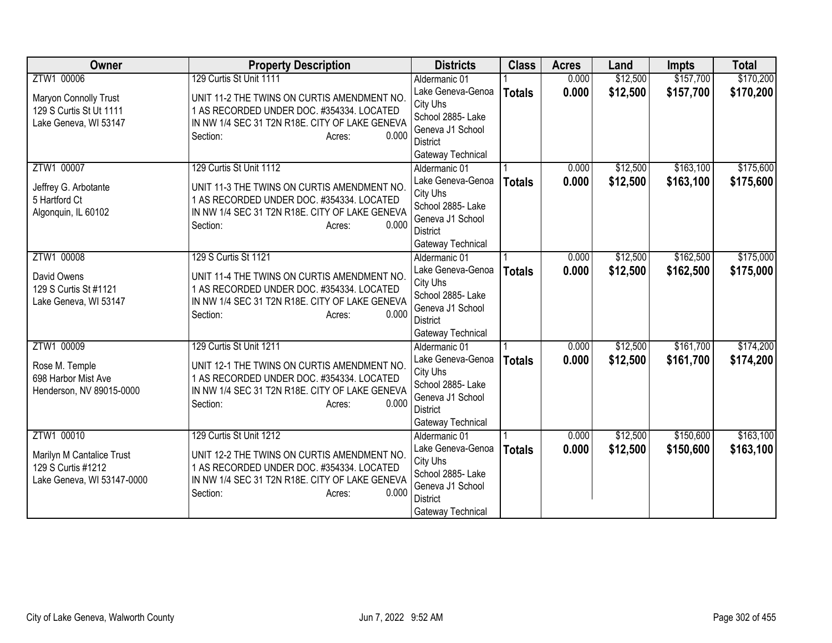| Owner                                                                                       | <b>Property Description</b>                                                                                                                                                                          | <b>Districts</b>                                                                                                                | <b>Class</b>  | <b>Acres</b>   | Land                 | <b>Impts</b>           | <b>Total</b>           |
|---------------------------------------------------------------------------------------------|------------------------------------------------------------------------------------------------------------------------------------------------------------------------------------------------------|---------------------------------------------------------------------------------------------------------------------------------|---------------|----------------|----------------------|------------------------|------------------------|
| ZTW1 00006                                                                                  | 129 Curtis St Unit 1111                                                                                                                                                                              | Aldermanic 01                                                                                                                   |               | 0.000          | \$12,500             | \$157,700              | \$170,200              |
| Maryon Connolly Trust<br>129 S Curtis St Ut 1111<br>Lake Geneva, WI 53147                   | UNIT 11-2 THE TWINS ON CURTIS AMENDMENT NO.<br>1 AS RECORDED UNDER DOC. #354334. LOCATED<br>IN NW 1/4 SEC 31 T2N R18E. CITY OF LAKE GENEVA<br>0.000<br>Section:<br>Acres:                            | Lake Geneva-Genoa<br>City Uhs<br>School 2885- Lake<br>Geneva J1 School<br>District<br>Gateway Technical                         | <b>Totals</b> | 0.000          | \$12,500             | \$157,700              | \$170,200              |
| ZTW1 00007<br>Jeffrey G. Arbotante<br>5 Hartford Ct<br>Algonquin, IL 60102                  | 129 Curtis St Unit 1112<br>UNIT 11-3 THE TWINS ON CURTIS AMENDMENT NO.<br>1 AS RECORDED UNDER DOC. #354334. LOCATED<br>IN NW 1/4 SEC 31 T2N R18E. CITY OF LAKE GENEVA<br>0.000<br>Section:<br>Acres: | Aldermanic 01<br>Lake Geneva-Genoa<br>City Uhs<br>School 2885- Lake<br>Geneva J1 School<br><b>District</b><br>Gateway Technical | <b>Totals</b> | 0.000<br>0.000 | \$12,500<br>\$12,500 | \$163,100<br>\$163,100 | \$175,600<br>\$175,600 |
| ZTW1 00008<br>David Owens<br>129 S Curtis St #1121<br>Lake Geneva, WI 53147                 | 129 S Curtis St 1121<br>UNIT 11-4 THE TWINS ON CURTIS AMENDMENT NO.<br>1 AS RECORDED UNDER DOC. #354334. LOCATED<br>IN NW 1/4 SEC 31 T2N R18E. CITY OF LAKE GENEVA<br>0.000<br>Section:<br>Acres:    | Aldermanic 01<br>Lake Geneva-Genoa<br>City Uhs<br>School 2885- Lake<br>Geneva J1 School<br><b>District</b><br>Gateway Technical | <b>Totals</b> | 0.000<br>0.000 | \$12,500<br>\$12,500 | \$162,500<br>\$162,500 | \$175,000<br>\$175,000 |
| ZTW1 00009<br>Rose M. Temple<br>698 Harbor Mist Ave<br>Henderson, NV 89015-0000             | 129 Curtis St Unit 1211<br>UNIT 12-1 THE TWINS ON CURTIS AMENDMENT NO.<br>1 AS RECORDED UNDER DOC. #354334. LOCATED<br>IN NW 1/4 SEC 31 T2N R18E. CITY OF LAKE GENEVA<br>Section:<br>0.000<br>Acres: | Aldermanic 01<br>Lake Geneva-Genoa<br>City Uhs<br>School 2885- Lake<br>Geneva J1 School<br><b>District</b><br>Gateway Technical | <b>Totals</b> | 0.000<br>0.000 | \$12,500<br>\$12,500 | \$161,700<br>\$161,700 | \$174,200<br>\$174,200 |
| ZTW1 00010<br>Marilyn M Cantalice Trust<br>129 S Curtis #1212<br>Lake Geneva, WI 53147-0000 | 129 Curtis St Unit 1212<br>UNIT 12-2 THE TWINS ON CURTIS AMENDMENT NO.<br>1 AS RECORDED UNDER DOC. #354334. LOCATED<br>IN NW 1/4 SEC 31 T2N R18E. CITY OF LAKE GENEVA<br>0.000<br>Section:<br>Acres: | Aldermanic 01<br>Lake Geneva-Genoa<br>City Uhs<br>School 2885- Lake<br>Geneva J1 School<br><b>District</b><br>Gateway Technical | <b>Totals</b> | 0.000<br>0.000 | \$12,500<br>\$12,500 | \$150,600<br>\$150,600 | \$163,100<br>\$163,100 |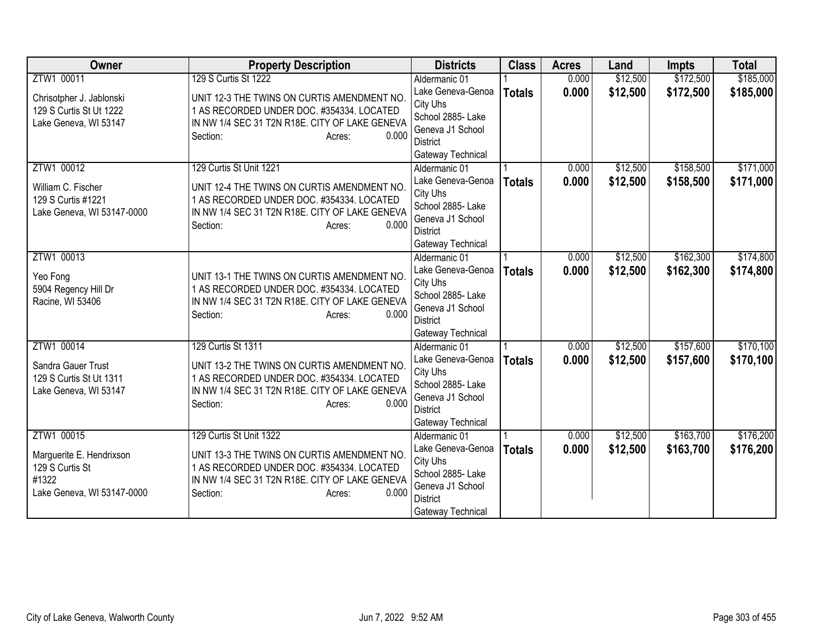| <b>Owner</b>                                | <b>Property Description</b>                    | <b>Districts</b>                   | <b>Class</b>  | <b>Acres</b> | Land     | <b>Impts</b> | <b>Total</b> |
|---------------------------------------------|------------------------------------------------|------------------------------------|---------------|--------------|----------|--------------|--------------|
| ZTW1 00011                                  | 129 S Curtis St 1222                           | Aldermanic 01                      |               | 0.000        | \$12,500 | \$172,500    | \$185,000    |
| Chrisotpher J. Jablonski                    | UNIT 12-3 THE TWINS ON CURTIS AMENDMENT NO.    | Lake Geneva-Genoa                  | <b>Totals</b> | 0.000        | \$12,500 | \$172,500    | \$185,000    |
| 129 S Curtis St Ut 1222                     | 1 AS RECORDED UNDER DOC. #354334. LOCATED      | City Uhs                           |               |              |          |              |              |
| Lake Geneva, WI 53147                       | IN NW 1/4 SEC 31 T2N R18E. CITY OF LAKE GENEVA | School 2885- Lake                  |               |              |          |              |              |
|                                             | 0.000<br>Section:<br>Acres:                    | Geneva J1 School                   |               |              |          |              |              |
|                                             |                                                | District                           |               |              |          |              |              |
| ZTW1 00012                                  | 129 Curtis St Unit 1221                        | Gateway Technical<br>Aldermanic 01 |               | 0.000        | \$12,500 | \$158,500    | \$171,000    |
|                                             |                                                | Lake Geneva-Genoa                  |               | 0.000        | \$12,500 | \$158,500    | \$171,000    |
| William C. Fischer                          | UNIT 12-4 THE TWINS ON CURTIS AMENDMENT NO.    | City Uhs                           | <b>Totals</b> |              |          |              |              |
| 129 S Curtis #1221                          | 1 AS RECORDED UNDER DOC. #354334. LOCATED      | School 2885- Lake                  |               |              |          |              |              |
| Lake Geneva, WI 53147-0000                  | IN NW 1/4 SEC 31 T2N R18E. CITY OF LAKE GENEVA | Geneva J1 School                   |               |              |          |              |              |
|                                             | 0.000<br>Section:<br>Acres:                    | <b>District</b>                    |               |              |          |              |              |
|                                             |                                                | Gateway Technical                  |               |              |          |              |              |
| ZTW1 00013                                  |                                                | Aldermanic 01                      |               | 0.000        | \$12,500 | \$162,300    | \$174,800    |
|                                             | UNIT 13-1 THE TWINS ON CURTIS AMENDMENT NO.    | Lake Geneva-Genoa                  | <b>Totals</b> | 0.000        | \$12,500 | \$162,300    | \$174,800    |
| Yeo Fong<br>5904 Regency Hill Dr            | 1 AS RECORDED UNDER DOC. #354334. LOCATED      | City Uhs                           |               |              |          |              |              |
| Racine, WI 53406                            | IN NW 1/4 SEC 31 T2N R18E. CITY OF LAKE GENEVA | School 2885- Lake                  |               |              |          |              |              |
|                                             | 0.000<br>Section:<br>Acres:                    | Geneva J1 School                   |               |              |          |              |              |
|                                             |                                                | <b>District</b>                    |               |              |          |              |              |
|                                             |                                                | Gateway Technical                  |               |              |          |              |              |
| ZTW1 00014                                  | 129 Curtis St 1311                             | Aldermanic 01                      |               | 0.000        | \$12,500 | \$157,600    | \$170,100    |
| Sandra Gauer Trust                          | UNIT 13-2 THE TWINS ON CURTIS AMENDMENT NO.    | Lake Geneva-Genoa<br>City Uhs      | <b>Totals</b> | 0.000        | \$12,500 | \$157,600    | \$170,100    |
| 129 S Curtis St Ut 1311                     | 1 AS RECORDED UNDER DOC. #354334. LOCATED      | School 2885- Lake                  |               |              |          |              |              |
| Lake Geneva, WI 53147                       | IN NW 1/4 SEC 31 T2N R18E. CITY OF LAKE GENEVA | Geneva J1 School                   |               |              |          |              |              |
|                                             | 0.000<br>Section:<br>Acres:                    | <b>District</b>                    |               |              |          |              |              |
|                                             |                                                | Gateway Technical                  |               |              |          |              |              |
| ZTW1 00015                                  | 129 Curtis St Unit 1322                        | Aldermanic 01                      |               | 0.000        | \$12,500 | \$163,700    | \$176,200    |
|                                             | UNIT 13-3 THE TWINS ON CURTIS AMENDMENT NO.    | Lake Geneva-Genoa                  | <b>Totals</b> | 0.000        | \$12,500 | \$163,700    | \$176,200    |
| Marguerite E. Hendrixson<br>129 S Curtis St | 1 AS RECORDED UNDER DOC. #354334. LOCATED      | City Uhs                           |               |              |          |              |              |
| #1322                                       | IN NW 1/4 SEC 31 T2N R18E. CITY OF LAKE GENEVA | School 2885- Lake                  |               |              |          |              |              |
| Lake Geneva, WI 53147-0000                  | 0.000<br>Section:<br>Acres:                    | Geneva J1 School                   |               |              |          |              |              |
|                                             |                                                | <b>District</b>                    |               |              |          |              |              |
|                                             |                                                | Gateway Technical                  |               |              |          |              |              |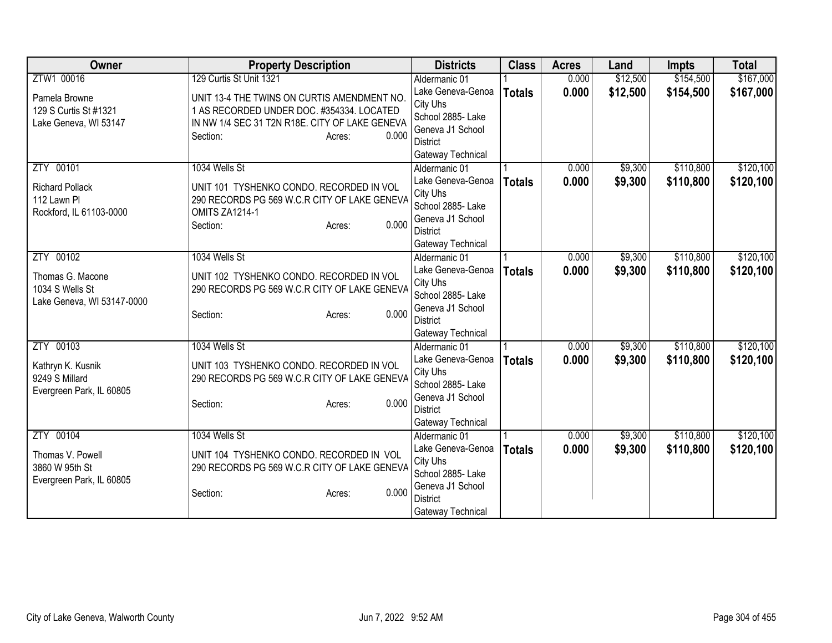| <b>Owner</b>               | <b>Property Description</b>                    | <b>Districts</b>                    | <b>Class</b>  | <b>Acres</b> | Land     | <b>Impts</b> | <b>Total</b> |
|----------------------------|------------------------------------------------|-------------------------------------|---------------|--------------|----------|--------------|--------------|
| ZTW1 00016                 | 129 Curtis St Unit 1321                        | Aldermanic 01                       |               | 0.000        | \$12,500 | \$154,500    | \$167,000    |
| Pamela Browne              | UNIT 13-4 THE TWINS ON CURTIS AMENDMENT NO.    | Lake Geneva-Genoa                   | <b>Totals</b> | 0.000        | \$12,500 | \$154,500    | \$167,000    |
| 129 S Curtis St #1321      | 1 AS RECORDED UNDER DOC. #354334. LOCATED      | City Uhs                            |               |              |          |              |              |
| Lake Geneva, WI 53147      | IN NW 1/4 SEC 31 T2N R18E. CITY OF LAKE GENEVA | School 2885- Lake                   |               |              |          |              |              |
|                            | 0.000<br>Section:<br>Acres:                    | Geneva J1 School                    |               |              |          |              |              |
|                            |                                                | <b>District</b>                     |               |              |          |              |              |
|                            |                                                | Gateway Technical                   |               |              |          |              |              |
| ZTY 00101                  | 1034 Wells St                                  | Aldermanic 01                       |               | 0.000        | \$9,300  | \$110,800    | \$120,100    |
| <b>Richard Pollack</b>     | UNIT 101 TYSHENKO CONDO. RECORDED IN VOL       | Lake Geneva-Genoa                   | <b>Totals</b> | 0.000        | \$9,300  | \$110,800    | \$120,100    |
| 112 Lawn Pl                | 290 RECORDS PG 569 W.C.R CITY OF LAKE GENEVA   | City Uhs                            |               |              |          |              |              |
| Rockford, IL 61103-0000    | OMITS ZA1214-1                                 | School 2885- Lake                   |               |              |          |              |              |
|                            | 0.000<br>Section:<br>Acres:                    | Geneva J1 School                    |               |              |          |              |              |
|                            |                                                | <b>District</b>                     |               |              |          |              |              |
|                            |                                                | Gateway Technical                   |               |              |          |              |              |
| ZTY 00102                  | 1034 Wells St                                  | Aldermanic 01                       |               | 0.000        | \$9,300  | \$110,800    | \$120,100    |
| Thomas G. Macone           | UNIT 102 TYSHENKO CONDO. RECORDED IN VOL       | Lake Geneva-Genoa                   | <b>Totals</b> | 0.000        | \$9,300  | \$110,800    | \$120,100    |
| 1034 S Wells St            | 290 RECORDS PG 569 W.C.R CITY OF LAKE GENEVA   | City Uhs                            |               |              |          |              |              |
| Lake Geneva, WI 53147-0000 |                                                | School 2885- Lake                   |               |              |          |              |              |
|                            | 0.000<br>Section:<br>Acres:                    | Geneva J1 School                    |               |              |          |              |              |
|                            |                                                | <b>District</b>                     |               |              |          |              |              |
|                            |                                                | Gateway Technical                   |               |              |          |              |              |
| ZTY 00103                  | 1034 Wells St                                  | Aldermanic 01                       |               | 0.000        | \$9,300  | \$110,800    | \$120,100    |
| Kathryn K. Kusnik          | UNIT 103 TYSHENKO CONDO. RECORDED IN VOL       | Lake Geneva-Genoa                   | <b>Totals</b> | 0.000        | \$9,300  | \$110,800    | \$120,100    |
| 9249 S Millard             | 290 RECORDS PG 569 W.C.R CITY OF LAKE GENEVA   | City Uhs                            |               |              |          |              |              |
| Evergreen Park, IL 60805   |                                                | School 2885- Lake                   |               |              |          |              |              |
|                            | 0.000<br>Section:<br>Acres:                    | Geneva J1 School                    |               |              |          |              |              |
|                            |                                                | <b>District</b>                     |               |              |          |              |              |
|                            |                                                | Gateway Technical                   |               |              |          | \$110,800    | \$120,100    |
| ZTY 00104                  | 1034 Wells St                                  | Aldermanic 01                       |               | 0.000        | \$9,300  |              |              |
| Thomas V. Powell           | UNIT 104 TYSHENKO CONDO. RECORDED IN VOL       | Lake Geneva-Genoa                   | <b>Totals</b> | 0.000        | \$9,300  | \$110,800    | \$120,100    |
| 3860 W 95th St             | 290 RECORDS PG 569 W.C.R CITY OF LAKE GENEVA   | City Uhs                            |               |              |          |              |              |
| Evergreen Park, IL 60805   |                                                | School 2885- Lake                   |               |              |          |              |              |
|                            | 0.000<br>Section:<br>Acres:                    | Geneva J1 School<br><b>District</b> |               |              |          |              |              |
|                            |                                                |                                     |               |              |          |              |              |
|                            |                                                | Gateway Technical                   |               |              |          |              |              |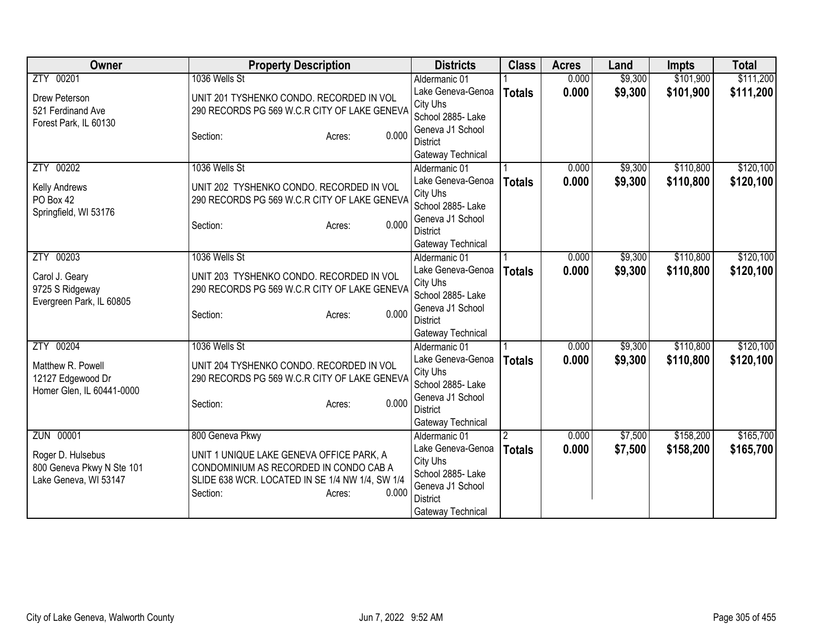| <b>Owner</b>              | <b>Property Description</b>                     | <b>Districts</b>              | <b>Class</b>  | <b>Acres</b> | Land    | <b>Impts</b> | <b>Total</b> |
|---------------------------|-------------------------------------------------|-------------------------------|---------------|--------------|---------|--------------|--------------|
| ZTY 00201                 | 1036 Wells St                                   | Aldermanic 01                 |               | 0.000        | \$9,300 | \$101,900    | \$111,200    |
| Drew Peterson             | UNIT 201 TYSHENKO CONDO. RECORDED IN VOL        | Lake Geneva-Genoa             | <b>Totals</b> | 0.000        | \$9,300 | \$101,900    | \$111,200    |
| 521 Ferdinand Ave         | 290 RECORDS PG 569 W.C.R CITY OF LAKE GENEVA    | City Uhs                      |               |              |         |              |              |
| Forest Park, IL 60130     |                                                 | School 2885- Lake             |               |              |         |              |              |
|                           | 0.000<br>Section:<br>Acres:                     | Geneva J1 School              |               |              |         |              |              |
|                           |                                                 | <b>District</b>               |               |              |         |              |              |
|                           |                                                 | Gateway Technical             |               |              |         |              |              |
| ZTY 00202                 | 1036 Wells St                                   | Aldermanic 01                 |               | 0.000        | \$9,300 | \$110,800    | \$120,100    |
| Kelly Andrews             | UNIT 202 TYSHENKO CONDO. RECORDED IN VOL        | Lake Geneva-Genoa             | <b>Totals</b> | 0.000        | \$9,300 | \$110,800    | \$120,100    |
| PO Box 42                 | 290 RECORDS PG 569 W.C.R CITY OF LAKE GENEVA    | City Uhs<br>School 2885- Lake |               |              |         |              |              |
| Springfield, WI 53176     |                                                 | Geneva J1 School              |               |              |         |              |              |
|                           | 0.000<br>Section:<br>Acres:                     | <b>District</b>               |               |              |         |              |              |
|                           |                                                 | Gateway Technical             |               |              |         |              |              |
| ZTY 00203                 | 1036 Wells St                                   | Aldermanic 01                 |               | 0.000        | \$9,300 | \$110,800    | \$120,100    |
|                           |                                                 | Lake Geneva-Genoa             | <b>Totals</b> | 0.000        | \$9,300 | \$110,800    | \$120,100    |
| Carol J. Geary            | UNIT 203 TYSHENKO CONDO. RECORDED IN VOL        | City Uhs                      |               |              |         |              |              |
| 9725 S Ridgeway           | 290 RECORDS PG 569 W.C.R CITY OF LAKE GENEVA    | School 2885- Lake             |               |              |         |              |              |
| Evergreen Park, IL 60805  |                                                 | Geneva J1 School              |               |              |         |              |              |
|                           | 0.000<br>Section:<br>Acres:                     | <b>District</b>               |               |              |         |              |              |
|                           |                                                 | Gateway Technical             |               |              |         |              |              |
| ZTY 00204                 | 1036 Wells St                                   | Aldermanic 01                 |               | 0.000        | \$9,300 | \$110,800    | \$120,100    |
| Matthew R. Powell         | UNIT 204 TYSHENKO CONDO. RECORDED IN VOL        | Lake Geneva-Genoa             | <b>Totals</b> | 0.000        | \$9,300 | \$110,800    | \$120,100    |
| 12127 Edgewood Dr         | 290 RECORDS PG 569 W.C.R CITY OF LAKE GENEVA    | City Uhs                      |               |              |         |              |              |
| Homer Glen, IL 60441-0000 |                                                 | School 2885- Lake             |               |              |         |              |              |
|                           | 0.000<br>Section:<br>Acres:                     | Geneva J1 School              |               |              |         |              |              |
|                           |                                                 | <b>District</b>               |               |              |         |              |              |
|                           |                                                 | Gateway Technical             |               |              |         |              |              |
| <b>ZUN 00001</b>          | 800 Geneva Pkwy                                 | Aldermanic 01                 |               | 0.000        | \$7,500 | \$158,200    | \$165,700    |
| Roger D. Hulsebus         | UNIT 1 UNIQUE LAKE GENEVA OFFICE PARK, A        | Lake Geneva-Genoa             | <b>Totals</b> | 0.000        | \$7,500 | \$158,200    | \$165,700    |
| 800 Geneva Pkwy N Ste 101 | CONDOMINIUM AS RECORDED IN CONDO CAB A          | City Uhs                      |               |              |         |              |              |
| Lake Geneva, WI 53147     | SLIDE 638 WCR. LOCATED IN SE 1/4 NW 1/4, SW 1/4 | School 2885-Lake              |               |              |         |              |              |
|                           | Section:<br>0.000<br>Acres:                     | Geneva J1 School              |               |              |         |              |              |
|                           |                                                 | <b>District</b>               |               |              |         |              |              |
|                           |                                                 | Gateway Technical             |               |              |         |              |              |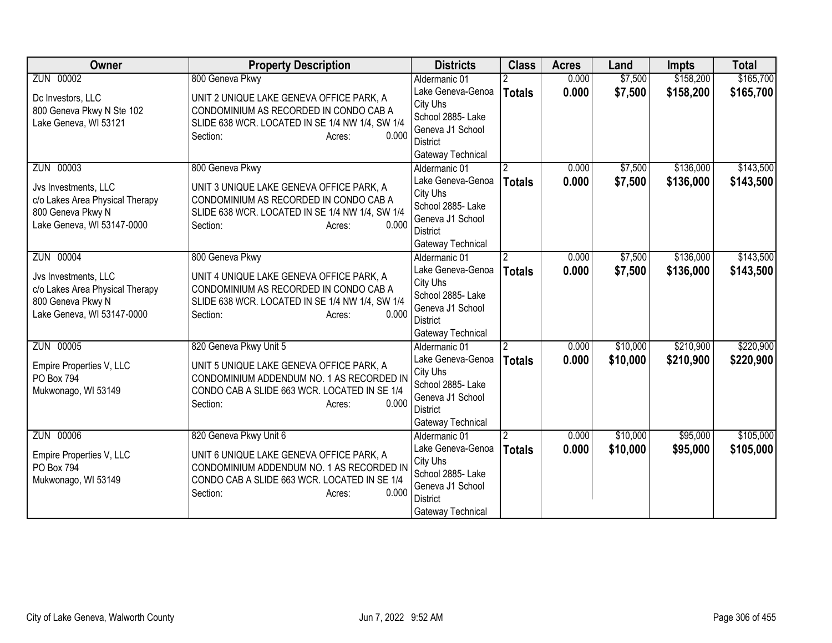| Owner                                                                                                                   | <b>Property Description</b>                                                                                                                                                                    | <b>Districts</b>                                                                                                                | <b>Class</b>                    | <b>Acres</b>   | Land                 | <b>Impts</b>           | <b>Total</b>           |
|-------------------------------------------------------------------------------------------------------------------------|------------------------------------------------------------------------------------------------------------------------------------------------------------------------------------------------|---------------------------------------------------------------------------------------------------------------------------------|---------------------------------|----------------|----------------------|------------------------|------------------------|
| ZUN 00002                                                                                                               | 800 Geneva Pkwy                                                                                                                                                                                | Aldermanic 01                                                                                                                   |                                 | 0.000          | \$7,500              | \$158,200              | \$165,700              |
| Dc Investors, LLC<br>800 Geneva Pkwy N Ste 102<br>Lake Geneva, WI 53121                                                 | UNIT 2 UNIQUE LAKE GENEVA OFFICE PARK, A<br>CONDOMINIUM AS RECORDED IN CONDO CAB A<br>SLIDE 638 WCR. LOCATED IN SE 1/4 NW 1/4, SW 1/4<br>0.000<br>Section:<br>Acres:                           | Lake Geneva-Genoa<br>City Uhs<br>School 2885- Lake<br>Geneva J1 School<br><b>District</b><br>Gateway Technical                  | <b>Totals</b>                   | 0.000          | \$7,500              | \$158,200              | \$165,700              |
| ZUN 00003<br>Jvs Investments, LLC<br>c/o Lakes Area Physical Therapy<br>800 Geneva Pkwy N<br>Lake Geneva, WI 53147-0000 | 800 Geneva Pkwy<br>UNIT 3 UNIQUE LAKE GENEVA OFFICE PARK, A<br>CONDOMINIUM AS RECORDED IN CONDO CAB A<br>SLIDE 638 WCR. LOCATED IN SE 1/4 NW 1/4, SW 1/4<br>Section:<br>0.000<br>Acres:        | Aldermanic 01<br>Lake Geneva-Genoa<br>City Uhs<br>School 2885- Lake<br>Geneva J1 School<br><b>District</b><br>Gateway Technical | 2<br><b>Totals</b>              | 0.000<br>0.000 | \$7,500<br>\$7,500   | \$136,000<br>\$136,000 | \$143,500<br>\$143,500 |
| ZUN 00004<br>Jvs Investments, LLC<br>c/o Lakes Area Physical Therapy<br>800 Geneva Pkwy N<br>Lake Geneva, WI 53147-0000 | 800 Geneva Pkwy<br>UNIT 4 UNIQUE LAKE GENEVA OFFICE PARK, A<br>CONDOMINIUM AS RECORDED IN CONDO CAB A<br>SLIDE 638 WCR. LOCATED IN SE 1/4 NW 1/4, SW 1/4<br>0.000<br>Section:<br>Acres:        | Aldermanic 01<br>Lake Geneva-Genoa<br>City Uhs<br>School 2885- Lake<br>Geneva J1 School<br><b>District</b><br>Gateway Technical | $\overline{2}$<br><b>Totals</b> | 0.000<br>0.000 | \$7,500<br>\$7,500   | \$136,000<br>\$136,000 | \$143,500<br>\$143,500 |
| ZUN 00005<br>Empire Properties V, LLC<br>PO Box 794<br>Mukwonago, WI 53149                                              | 820 Geneva Pkwy Unit 5<br>UNIT 5 UNIQUE LAKE GENEVA OFFICE PARK, A<br>CONDOMINIUM ADDENDUM NO. 1 AS RECORDED IN<br>CONDO CAB A SLIDE 663 WCR. LOCATED IN SE 1/4<br>0.000<br>Section:<br>Acres: | Aldermanic 01<br>Lake Geneva-Genoa<br>City Uhs<br>School 2885-Lake<br>Geneva J1 School<br><b>District</b><br>Gateway Technical  | $\overline{2}$<br><b>Totals</b> | 0.000<br>0.000 | \$10,000<br>\$10,000 | \$210,900<br>\$210,900 | \$220,900<br>\$220,900 |
| <b>ZUN 00006</b><br>Empire Properties V, LLC<br><b>PO Box 794</b><br>Mukwonago, WI 53149                                | 820 Geneva Pkwy Unit 6<br>UNIT 6 UNIQUE LAKE GENEVA OFFICE PARK, A<br>CONDOMINIUM ADDENDUM NO. 1 AS RECORDED IN<br>CONDO CAB A SLIDE 663 WCR. LOCATED IN SE 1/4<br>Section:<br>0.000<br>Acres: | Aldermanic 01<br>Lake Geneva-Genoa<br>City Uhs<br>School 2885-Lake<br>Geneva J1 School<br><b>District</b><br>Gateway Technical  | <b>Totals</b>                   | 0.000<br>0.000 | \$10,000<br>\$10,000 | \$95,000<br>\$95,000   | \$105,000<br>\$105,000 |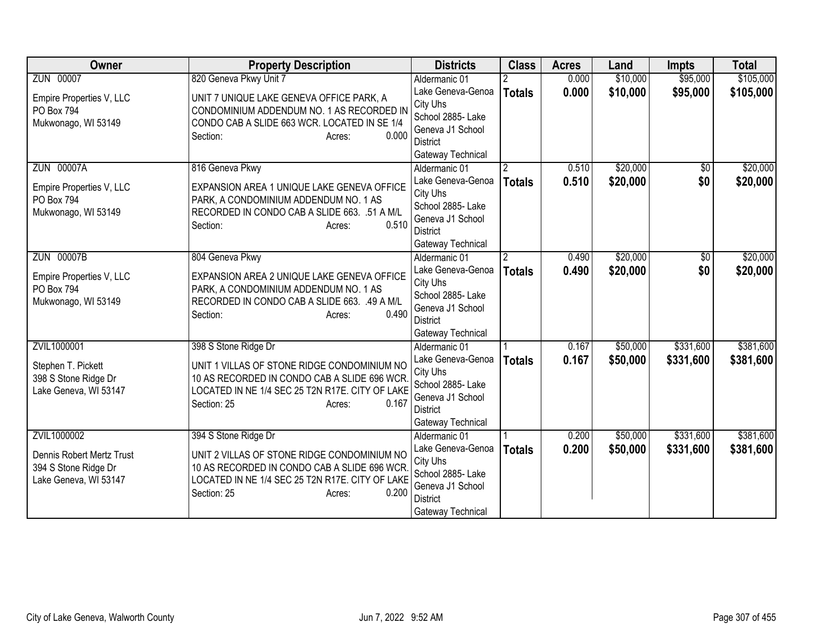| Owner                                                                                     | <b>Property Description</b>                                                                                                                                                                             | <b>Districts</b>                                                                                                                | <b>Class</b>                    | <b>Acres</b>   | Land                 | <b>Impts</b>           | <b>Total</b>           |
|-------------------------------------------------------------------------------------------|---------------------------------------------------------------------------------------------------------------------------------------------------------------------------------------------------------|---------------------------------------------------------------------------------------------------------------------------------|---------------------------------|----------------|----------------------|------------------------|------------------------|
| ZUN 00007                                                                                 | 820 Geneva Pkwy Unit 7                                                                                                                                                                                  | Aldermanic 01                                                                                                                   |                                 | 0.000          | \$10,000             | \$95,000               | \$105,000              |
| Empire Properties V, LLC<br>PO Box 794<br>Mukwonago, WI 53149                             | UNIT 7 UNIQUE LAKE GENEVA OFFICE PARK, A<br>CONDOMINIUM ADDENDUM NO. 1 AS RECORDED IN<br>CONDO CAB A SLIDE 663 WCR. LOCATED IN SE 1/4<br>0.000<br>Section:<br>Acres:                                    | Lake Geneva-Genoa<br>City Uhs<br>School 2885- Lake<br>Geneva J1 School<br>District<br>Gateway Technical                         | <b>Totals</b>                   | 0.000          | \$10,000             | \$95,000               | \$105,000              |
| <b>ZUN 00007A</b><br>Empire Properties V, LLC<br>PO Box 794<br>Mukwonago, WI 53149        | 816 Geneva Pkwy<br>EXPANSION AREA 1 UNIQUE LAKE GENEVA OFFICE<br>PARK, A CONDOMINIUM ADDENDUM NO. 1 AS<br>RECORDED IN CONDO CAB A SLIDE 663. .51 A M/L<br>0.510<br>Section:<br>Acres:                   | Aldermanic 01<br>Lake Geneva-Genoa<br>City Uhs<br>School 2885-Lake<br>Geneva J1 School<br>District<br>Gateway Technical         | <b>Totals</b>                   | 0.510<br>0.510 | \$20,000<br>\$20,000 | \$0<br>\$0             | \$20,000<br>\$20,000   |
| <b>ZUN 00007B</b><br>Empire Properties V, LLC<br>PO Box 794<br>Mukwonago, WI 53149        | 804 Geneva Pkwy<br>EXPANSION AREA 2 UNIQUE LAKE GENEVA OFFICE<br>PARK, A CONDOMINIUM ADDENDUM NO. 1 AS<br>RECORDED IN CONDO CAB A SLIDE 663. .49 A M/L<br>0.490<br>Section:<br>Acres:                   | Aldermanic 01<br>Lake Geneva-Genoa<br>City Uhs<br>School 2885-Lake<br>Geneva J1 School<br><b>District</b><br>Gateway Technical  | $\overline{2}$<br><b>Totals</b> | 0.490<br>0.490 | \$20,000<br>\$20,000 | \$0<br>\$0             | \$20,000<br>\$20,000   |
| ZVIL1000001<br>Stephen T. Pickett<br>398 S Stone Ridge Dr<br>Lake Geneva, WI 53147        | 398 S Stone Ridge Dr<br>UNIT 1 VILLAS OF STONE RIDGE CONDOMINIUM NO<br>10 AS RECORDED IN CONDO CAB A SLIDE 696 WCR<br>LOCATED IN NE 1/4 SEC 25 T2N R17E. CITY OF LAKE<br>0.167<br>Section: 25<br>Acres: | Aldermanic 01<br>Lake Geneva-Genoa<br>City Uhs<br>School 2885- Lake<br>Geneva J1 School<br><b>District</b><br>Gateway Technical | <b>Totals</b>                   | 0.167<br>0.167 | \$50,000<br>\$50,000 | \$331,600<br>\$331,600 | \$381,600<br>\$381,600 |
| ZVIL1000002<br>Dennis Robert Mertz Trust<br>394 S Stone Ridge Dr<br>Lake Geneva, WI 53147 | 394 S Stone Ridge Dr<br>UNIT 2 VILLAS OF STONE RIDGE CONDOMINIUM NO<br>10 AS RECORDED IN CONDO CAB A SLIDE 696 WCR<br>LOCATED IN NE 1/4 SEC 25 T2N R17E. CITY OF LAKE<br>0.200<br>Section: 25<br>Acres: | Aldermanic 01<br>Lake Geneva-Genoa<br>City Uhs<br>School 2885- Lake<br>Geneva J1 School<br><b>District</b><br>Gateway Technical | <b>Totals</b>                   | 0.200<br>0.200 | \$50,000<br>\$50,000 | \$331,600<br>\$331,600 | \$381,600<br>\$381,600 |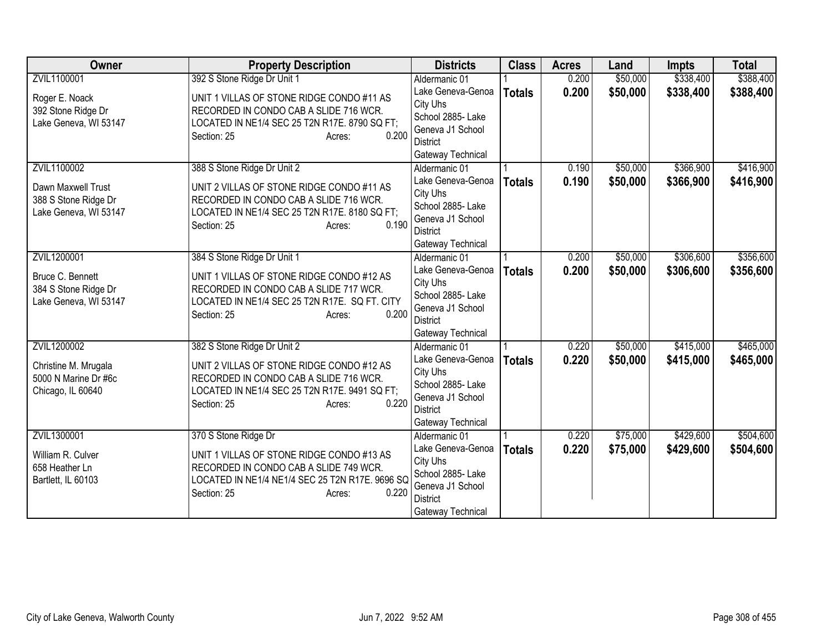| <b>Owner</b>                                                                       | <b>Property Description</b>                                                                                                                                                                           | <b>Districts</b>                                                                                                                | <b>Class</b>  | <b>Acres</b>   | Land                 | <b>Impts</b>           | <b>Total</b>           |
|------------------------------------------------------------------------------------|-------------------------------------------------------------------------------------------------------------------------------------------------------------------------------------------------------|---------------------------------------------------------------------------------------------------------------------------------|---------------|----------------|----------------------|------------------------|------------------------|
| ZVIL1100001                                                                        | 392 S Stone Ridge Dr Unit 1                                                                                                                                                                           | Aldermanic 01                                                                                                                   |               | 0.200          | \$50,000             | \$338,400              | \$388,400              |
| Roger E. Noack<br>392 Stone Ridge Dr<br>Lake Geneva, WI 53147                      | UNIT 1 VILLAS OF STONE RIDGE CONDO #11 AS<br>RECORDED IN CONDO CAB A SLIDE 716 WCR.<br>LOCATED IN NE1/4 SEC 25 T2N R17E. 8790 SQ FT;<br>0.200<br>Section: 25<br>Acres:                                | Lake Geneva-Genoa<br>City Uhs<br>School 2885- Lake<br>Geneva J1 School<br>District<br>Gateway Technical                         | <b>Totals</b> | 0.200          | \$50,000             | \$338,400              | \$388,400              |
| ZVIL1100002<br>Dawn Maxwell Trust<br>388 S Stone Ridge Dr<br>Lake Geneva, WI 53147 | 388 S Stone Ridge Dr Unit 2<br>UNIT 2 VILLAS OF STONE RIDGE CONDO #11 AS<br>RECORDED IN CONDO CAB A SLIDE 716 WCR.<br>LOCATED IN NE1/4 SEC 25 T2N R17E. 8180 SQ FT;<br>0.190<br>Section: 25<br>Acres: | Aldermanic 01<br>Lake Geneva-Genoa<br>City Uhs<br>School 2885- Lake<br>Geneva J1 School<br><b>District</b><br>Gateway Technical | <b>Totals</b> | 0.190<br>0.190 | \$50,000<br>\$50,000 | \$366,900<br>\$366,900 | \$416,900<br>\$416,900 |
| ZVIL1200001<br>Bruce C. Bennett<br>384 S Stone Ridge Dr<br>Lake Geneva, WI 53147   | 384 S Stone Ridge Dr Unit 1<br>UNIT 1 VILLAS OF STONE RIDGE CONDO #12 AS<br>RECORDED IN CONDO CAB A SLIDE 717 WCR.<br>LOCATED IN NE1/4 SEC 25 T2N R17E. SQ FT. CITY<br>0.200<br>Section: 25<br>Acres: | Aldermanic 01<br>Lake Geneva-Genoa<br>City Uhs<br>School 2885- Lake<br>Geneva J1 School<br><b>District</b><br>Gateway Technical | <b>Totals</b> | 0.200<br>0.200 | \$50,000<br>\$50,000 | \$306,600<br>\$306,600 | \$356,600<br>\$356,600 |
| ZVIL1200002<br>Christine M. Mrugala<br>5000 N Marine Dr #6c<br>Chicago, IL 60640   | 382 S Stone Ridge Dr Unit 2<br>UNIT 2 VILLAS OF STONE RIDGE CONDO #12 AS<br>RECORDED IN CONDO CAB A SLIDE 716 WCR.<br>LOCATED IN NE1/4 SEC 25 T2N R17E. 9491 SQ FT;<br>0.220<br>Section: 25<br>Acres: | Aldermanic 01<br>Lake Geneva-Genoa<br>City Uhs<br>School 2885- Lake<br>Geneva J1 School<br><b>District</b><br>Gateway Technical | <b>Totals</b> | 0.220<br>0.220 | \$50,000<br>\$50,000 | \$415,000<br>\$415,000 | \$465,000<br>\$465,000 |
| ZVIL1300001<br>William R. Culver<br>658 Heather Ln<br>Bartlett, IL 60103           | 370 S Stone Ridge Dr<br>UNIT 1 VILLAS OF STONE RIDGE CONDO #13 AS<br>RECORDED IN CONDO CAB A SLIDE 749 WCR.<br>LOCATED IN NE1/4 NE1/4 SEC 25 T2N R17E. 9696 SQ<br>0.220<br>Section: 25<br>Acres:      | Aldermanic 01<br>Lake Geneva-Genoa<br>City Uhs<br>School 2885- Lake<br>Geneva J1 School<br><b>District</b><br>Gateway Technical | <b>Totals</b> | 0.220<br>0.220 | \$75,000<br>\$75,000 | \$429,600<br>\$429,600 | \$504,600<br>\$504,600 |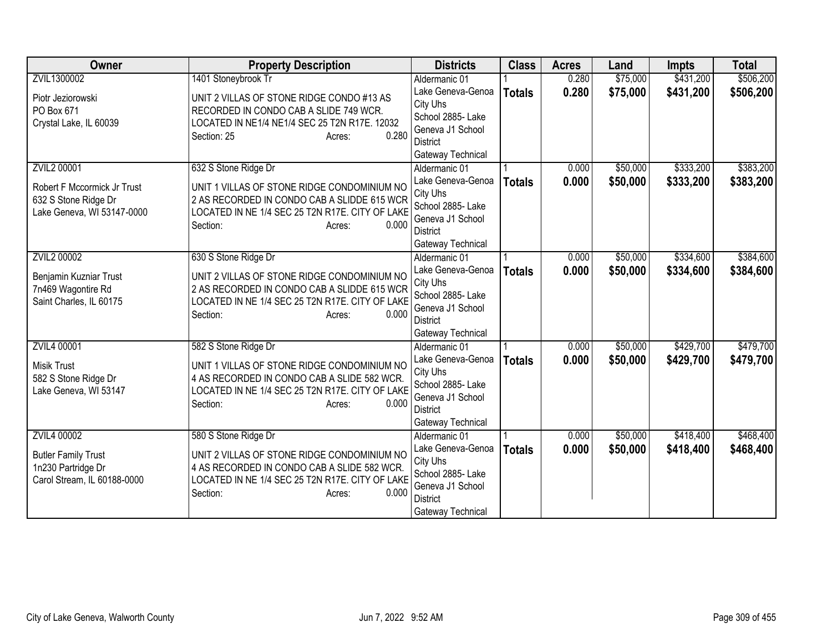| <b>Owner</b>                                                                                            | <b>Property Description</b>                                                                                                                                                                          | <b>Districts</b>                                                                                                                | <b>Class</b>  | <b>Acres</b>   | Land                 | <b>Impts</b>           | <b>Total</b>           |
|---------------------------------------------------------------------------------------------------------|------------------------------------------------------------------------------------------------------------------------------------------------------------------------------------------------------|---------------------------------------------------------------------------------------------------------------------------------|---------------|----------------|----------------------|------------------------|------------------------|
| ZVIL1300002                                                                                             | 1401 Stoneybrook Tr                                                                                                                                                                                  | Aldermanic 01                                                                                                                   |               | 0.280          | \$75,000             | \$431,200              | \$506,200              |
| Piotr Jeziorowski<br>PO Box 671<br>Crystal Lake, IL 60039                                               | UNIT 2 VILLAS OF STONE RIDGE CONDO #13 AS<br>RECORDED IN CONDO CAB A SLIDE 749 WCR.<br>LOCATED IN NE1/4 NE1/4 SEC 25 T2N R17E. 12032                                                                 | Lake Geneva-Genoa<br>City Uhs<br>School 2885- Lake                                                                              | <b>Totals</b> | 0.280          | \$75,000             | \$431,200              | \$506,200              |
|                                                                                                         | 0.280<br>Section: 25<br>Acres:                                                                                                                                                                       | Geneva J1 School<br><b>District</b><br>Gateway Technical                                                                        |               |                |                      |                        |                        |
| <b>ZVIL2 00001</b><br>Robert F Mccormick Jr Trust<br>632 S Stone Ridge Dr<br>Lake Geneva, WI 53147-0000 | 632 S Stone Ridge Dr<br>UNIT 1 VILLAS OF STONE RIDGE CONDOMINIUM NO<br>2 AS RECORDED IN CONDO CAB A SLIDDE 615 WCR<br>LOCATED IN NE 1/4 SEC 25 T2N R17E. CITY OF LAKE<br>0.000<br>Section:<br>Acres: | Aldermanic 01<br>Lake Geneva-Genoa<br>City Uhs<br>School 2885- Lake<br>Geneva J1 School<br><b>District</b><br>Gateway Technical | <b>Totals</b> | 0.000<br>0.000 | \$50,000<br>\$50,000 | \$333,200<br>\$333,200 | \$383,200<br>\$383,200 |
| ZVIL2 00002                                                                                             | 630 S Stone Ridge Dr                                                                                                                                                                                 | Aldermanic 01                                                                                                                   |               | 0.000          | \$50,000             | \$334,600              | \$384,600              |
| Benjamin Kuzniar Trust<br>7n469 Wagontire Rd<br>Saint Charles, IL 60175                                 | UNIT 2 VILLAS OF STONE RIDGE CONDOMINIUM NO<br>2 AS RECORDED IN CONDO CAB A SLIDDE 615 WCR<br>LOCATED IN NE 1/4 SEC 25 T2N R17E. CITY OF LAKE<br>0.000<br>Section:<br>Acres:                         | Lake Geneva-Genoa<br>City Uhs<br>School 2885- Lake<br>Geneva J1 School<br><b>District</b><br>Gateway Technical                  | <b>Totals</b> | 0.000          | \$50,000             | \$334,600              | \$384,600              |
| <b>ZVIL4 00001</b><br><b>Misik Trust</b><br>582 S Stone Ridge Dr<br>Lake Geneva, WI 53147               | 582 S Stone Ridge Dr<br>UNIT 1 VILLAS OF STONE RIDGE CONDOMINIUM NO<br>4 AS RECORDED IN CONDO CAB A SLIDE 582 WCR.<br>LOCATED IN NE 1/4 SEC 25 T2N R17E. CITY OF LAKE<br>0.000<br>Section:<br>Acres: | Aldermanic 01<br>Lake Geneva-Genoa<br>City Uhs<br>School 2885- Lake<br>Geneva J1 School<br><b>District</b><br>Gateway Technical | <b>Totals</b> | 0.000<br>0.000 | \$50,000<br>\$50,000 | \$429,700<br>\$429,700 | \$479,700<br>\$479,700 |
| <b>ZVIL4 00002</b><br><b>Butler Family Trust</b><br>1n230 Partridge Dr<br>Carol Stream, IL 60188-0000   | 580 S Stone Ridge Dr<br>UNIT 2 VILLAS OF STONE RIDGE CONDOMINIUM NO<br>4 AS RECORDED IN CONDO CAB A SLIDE 582 WCR.<br>LOCATED IN NE 1/4 SEC 25 T2N R17E. CITY OF LAKE<br>0.000<br>Section:<br>Acres: | Aldermanic 01<br>Lake Geneva-Genoa<br>City Uhs<br>School 2885- Lake<br>Geneva J1 School<br><b>District</b><br>Gateway Technical | <b>Totals</b> | 0.000<br>0.000 | \$50,000<br>\$50,000 | \$418,400<br>\$418,400 | \$468,400<br>\$468,400 |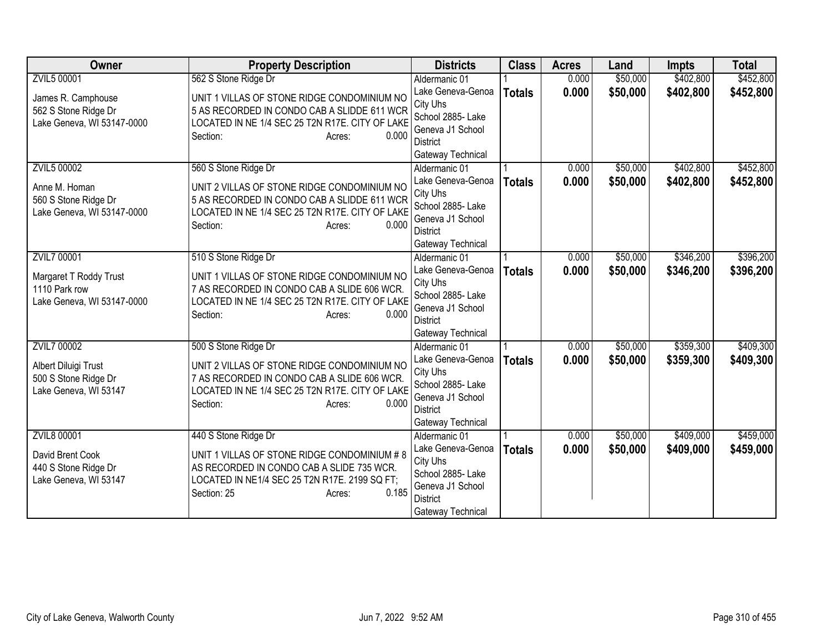| <b>Owner</b>                                                             | <b>Property Description</b>                                                                                                                   | <b>Districts</b>                                         | <b>Class</b>  | <b>Acres</b> | Land     | <b>Impts</b> | <b>Total</b> |
|--------------------------------------------------------------------------|-----------------------------------------------------------------------------------------------------------------------------------------------|----------------------------------------------------------|---------------|--------------|----------|--------------|--------------|
| ZVIL5 00001                                                              | 562 S Stone Ridge Dr                                                                                                                          | Aldermanic 01                                            |               | 0.000        | \$50,000 | \$402,800    | \$452,800    |
| James R. Camphouse<br>562 S Stone Ridge Dr<br>Lake Geneva, WI 53147-0000 | UNIT 1 VILLAS OF STONE RIDGE CONDOMINIUM NO<br>5 AS RECORDED IN CONDO CAB A SLIDDE 611 WCR<br>LOCATED IN NE 1/4 SEC 25 T2N R17E. CITY OF LAKE | Lake Geneva-Genoa<br>City Uhs<br>School 2885- Lake       | <b>Totals</b> | 0.000        | \$50,000 | \$402,800    | \$452,800    |
|                                                                          | 0.000<br>Section:<br>Acres:                                                                                                                   | Geneva J1 School<br><b>District</b><br>Gateway Technical |               |              |          |              |              |
| <b>ZVIL5 00002</b>                                                       | 560 S Stone Ridge Dr                                                                                                                          | Aldermanic 01                                            |               | 0.000        | \$50,000 | \$402,800    | \$452,800    |
| Anne M. Homan                                                            | UNIT 2 VILLAS OF STONE RIDGE CONDOMINIUM NO                                                                                                   | Lake Geneva-Genoa                                        | <b>Totals</b> | 0.000        | \$50,000 | \$402,800    | \$452,800    |
| 560 S Stone Ridge Dr                                                     | 5 AS RECORDED IN CONDO CAB A SLIDDE 611 WCR                                                                                                   | City Uhs                                                 |               |              |          |              |              |
| Lake Geneva, WI 53147-0000                                               | LOCATED IN NE 1/4 SEC 25 T2N R17E. CITY OF LAKE                                                                                               | School 2885- Lake<br>Geneva J1 School                    |               |              |          |              |              |
|                                                                          | 0.000<br>Section:<br>Acres:                                                                                                                   | <b>District</b>                                          |               |              |          |              |              |
|                                                                          |                                                                                                                                               | Gateway Technical                                        |               |              |          |              |              |
| <b>ZVIL7 00001</b>                                                       | 510 S Stone Ridge Dr                                                                                                                          | Aldermanic 01                                            |               | 0.000        | \$50,000 | \$346,200    | \$396,200    |
|                                                                          | UNIT 1 VILLAS OF STONE RIDGE CONDOMINIUM NO                                                                                                   | Lake Geneva-Genoa                                        | <b>Totals</b> | 0.000        | \$50,000 | \$346,200    | \$396,200    |
| Margaret T Roddy Trust<br>1110 Park row                                  | 7 AS RECORDED IN CONDO CAB A SLIDE 606 WCR.                                                                                                   | City Uhs                                                 |               |              |          |              |              |
| Lake Geneva, WI 53147-0000                                               | LOCATED IN NE 1/4 SEC 25 T2N R17E. CITY OF LAKE                                                                                               | School 2885- Lake                                        |               |              |          |              |              |
|                                                                          | 0.000<br>Section:<br>Acres:                                                                                                                   | Geneva J1 School                                         |               |              |          |              |              |
|                                                                          |                                                                                                                                               | <b>District</b><br>Gateway Technical                     |               |              |          |              |              |
| <b>ZVIL7 00002</b>                                                       | 500 S Stone Ridge Dr                                                                                                                          | Aldermanic 01                                            |               | 0.000        | \$50,000 | \$359,300    | \$409,300    |
|                                                                          |                                                                                                                                               | Lake Geneva-Genoa                                        | <b>Totals</b> | 0.000        | \$50,000 | \$359,300    | \$409,300    |
| Albert Diluigi Trust                                                     | UNIT 2 VILLAS OF STONE RIDGE CONDOMINIUM NO                                                                                                   | City Uhs                                                 |               |              |          |              |              |
| 500 S Stone Ridge Dr<br>Lake Geneva, WI 53147                            | 7 AS RECORDED IN CONDO CAB A SLIDE 606 WCR.<br>LOCATED IN NE 1/4 SEC 25 T2N R17E. CITY OF LAKE                                                | School 2885- Lake                                        |               |              |          |              |              |
|                                                                          | 0.000<br>Section:<br>Acres:                                                                                                                   | Geneva J1 School<br><b>District</b>                      |               |              |          |              |              |
|                                                                          |                                                                                                                                               | Gateway Technical                                        |               |              |          |              |              |
| <b>ZVIL8 00001</b>                                                       | 440 S Stone Ridge Dr                                                                                                                          | Aldermanic 01                                            |               | 0.000        | \$50,000 | \$409,000    | \$459,000    |
| David Brent Cook                                                         | UNIT 1 VILLAS OF STONE RIDGE CONDOMINIUM # 8                                                                                                  | Lake Geneva-Genoa                                        | <b>Totals</b> | 0.000        | \$50,000 | \$409,000    | \$459,000    |
| 440 S Stone Ridge Dr                                                     | AS RECORDED IN CONDO CAB A SLIDE 735 WCR.                                                                                                     | City Uhs                                                 |               |              |          |              |              |
| Lake Geneva, WI 53147                                                    | LOCATED IN NE1/4 SEC 25 T2N R17E. 2199 SQ FT;                                                                                                 | School 2885- Lake<br>Geneva J1 School                    |               |              |          |              |              |
|                                                                          | 0.185<br>Section: 25<br>Acres:                                                                                                                | <b>District</b>                                          |               |              |          |              |              |
|                                                                          |                                                                                                                                               | Gateway Technical                                        |               |              |          |              |              |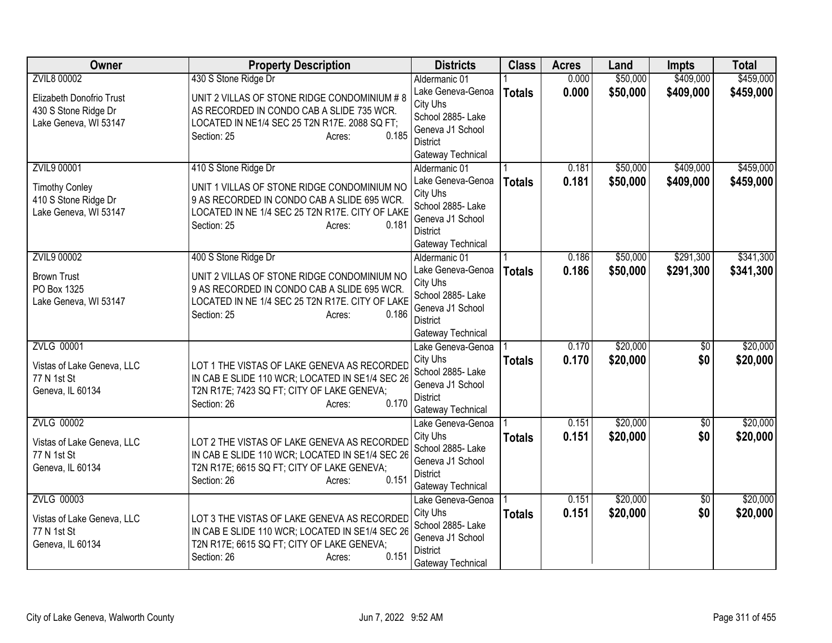| Owner                             | <b>Property Description</b>                                                                    | <b>Districts</b>                     | <b>Class</b>  | <b>Acres</b> | Land     | <b>Impts</b>    | <b>Total</b> |
|-----------------------------------|------------------------------------------------------------------------------------------------|--------------------------------------|---------------|--------------|----------|-----------------|--------------|
| <b>ZVIL8 00002</b>                | 430 S Stone Ridge Dr                                                                           | Aldermanic 01                        |               | 0.000        | \$50,000 | \$409,000       | \$459,000    |
| Elizabeth Donofrio Trust          | UNIT 2 VILLAS OF STONE RIDGE CONDOMINIUM # 8                                                   | Lake Geneva-Genoa                    | <b>Totals</b> | 0.000        | \$50,000 | \$409,000       | \$459,000    |
| 430 S Stone Ridge Dr              | AS RECORDED IN CONDO CAB A SLIDE 735 WCR.                                                      | City Uhs                             |               |              |          |                 |              |
| Lake Geneva, WI 53147             | LOCATED IN NE1/4 SEC 25 T2N R17E. 2088 SQ FT;                                                  | School 2885- Lake                    |               |              |          |                 |              |
|                                   | 0.185<br>Section: 25<br>Acres:                                                                 | Geneva J1 School                     |               |              |          |                 |              |
|                                   |                                                                                                | District                             |               |              |          |                 |              |
|                                   |                                                                                                | Gateway Technical                    |               |              | \$50,000 | \$409,000       | \$459,000    |
| <b>ZVIL9 00001</b>                | 410 S Stone Ridge Dr                                                                           | Aldermanic 01<br>Lake Geneva-Genoa   |               | 0.181        |          |                 |              |
| <b>Timothy Conley</b>             | UNIT 1 VILLAS OF STONE RIDGE CONDOMINIUM NO                                                    | City Uhs                             | <b>Totals</b> | 0.181        | \$50,000 | \$409,000       | \$459,000    |
| 410 S Stone Ridge Dr              | 9 AS RECORDED IN CONDO CAB A SLIDE 695 WCR.                                                    | School 2885- Lake                    |               |              |          |                 |              |
| Lake Geneva, WI 53147             | LOCATED IN NE 1/4 SEC 25 T2N R17E. CITY OF LAKE                                                | Geneva J1 School                     |               |              |          |                 |              |
|                                   | 0.181<br>Section: 25<br>Acres:                                                                 | <b>District</b>                      |               |              |          |                 |              |
|                                   |                                                                                                | Gateway Technical                    |               |              |          |                 |              |
| ZVIL9 00002                       | 400 S Stone Ridge Dr                                                                           | Aldermanic 01                        |               | 0.186        | \$50,000 | \$291,300       | \$341,300    |
|                                   |                                                                                                | Lake Geneva-Genoa                    | <b>Totals</b> | 0.186        | \$50,000 | \$291,300       | \$341,300    |
| <b>Brown Trust</b><br>PO Box 1325 | UNIT 2 VILLAS OF STONE RIDGE CONDOMINIUM NO                                                    | City Uhs                             |               |              |          |                 |              |
| Lake Geneva, WI 53147             | 9 AS RECORDED IN CONDO CAB A SLIDE 695 WCR.<br>LOCATED IN NE 1/4 SEC 25 T2N R17E. CITY OF LAKE | School 2885- Lake                    |               |              |          |                 |              |
|                                   | 0.186<br>Section: 25<br>Acres:                                                                 | Geneva J1 School                     |               |              |          |                 |              |
|                                   |                                                                                                | <b>District</b>                      |               |              |          |                 |              |
|                                   |                                                                                                | Gateway Technical                    |               |              |          |                 |              |
| <b>ZVLG 00001</b>                 |                                                                                                | Lake Geneva-Genoa                    |               | 0.170        | \$20,000 | $\overline{50}$ | \$20,000     |
| Vistas of Lake Geneva, LLC        | LOT 1 THE VISTAS OF LAKE GENEVA AS RECORDED                                                    | City Uhs                             | <b>Totals</b> | 0.170        | \$20,000 | \$0             | \$20,000     |
| 77 N 1st St                       | IN CAB E SLIDE 110 WCR; LOCATED IN SE1/4 SEC 26                                                | School 2885- Lake                    |               |              |          |                 |              |
| Geneva, IL 60134                  | T2N R17E; 7423 SQ FT; CITY OF LAKE GENEVA;                                                     | Geneva J1 School                     |               |              |          |                 |              |
|                                   | 0.170<br>Section: 26<br>Acres:                                                                 | <b>District</b><br>Gateway Technical |               |              |          |                 |              |
| <b>ZVLG 00002</b>                 |                                                                                                | Lake Geneva-Genoa                    |               | 0.151        | \$20,000 | $\overline{30}$ | \$20,000     |
|                                   |                                                                                                | City Uhs                             | <b>Totals</b> | 0.151        | \$20,000 | \$0             | \$20,000     |
| Vistas of Lake Geneva, LLC        | LOT 2 THE VISTAS OF LAKE GENEVA AS RECORDED                                                    | School 2885- Lake                    |               |              |          |                 |              |
| 77 N 1st St                       | IN CAB E SLIDE 110 WCR; LOCATED IN SE1/4 SEC 26                                                | Geneva J1 School                     |               |              |          |                 |              |
| Geneva, IL 60134                  | T2N R17E; 6615 SQ FT; CITY OF LAKE GENEVA;                                                     | District                             |               |              |          |                 |              |
|                                   | 0.151<br>Section: 26<br>Acres:                                                                 | Gateway Technical                    |               |              |          |                 |              |
| <b>ZVLG 00003</b>                 |                                                                                                | Lake Geneva-Genoa                    |               | 0.151        | \$20,000 | $\overline{50}$ | \$20,000     |
| Vistas of Lake Geneva, LLC        | LOT 3 THE VISTAS OF LAKE GENEVA AS RECORDED                                                    | City Uhs                             | <b>Totals</b> | 0.151        | \$20,000 | \$0             | \$20,000     |
| 77 N 1st St                       | IN CAB E SLIDE 110 WCR; LOCATED IN SE1/4 SEC 26                                                | School 2885- Lake                    |               |              |          |                 |              |
| Geneva, IL 60134                  | T2N R17E; 6615 SQ FT; CITY OF LAKE GENEVA;                                                     | Geneva J1 School                     |               |              |          |                 |              |
|                                   | 0.151<br>Section: 26<br>Acres:                                                                 | <b>District</b>                      |               |              |          |                 |              |
|                                   |                                                                                                | Gateway Technical                    |               |              |          |                 |              |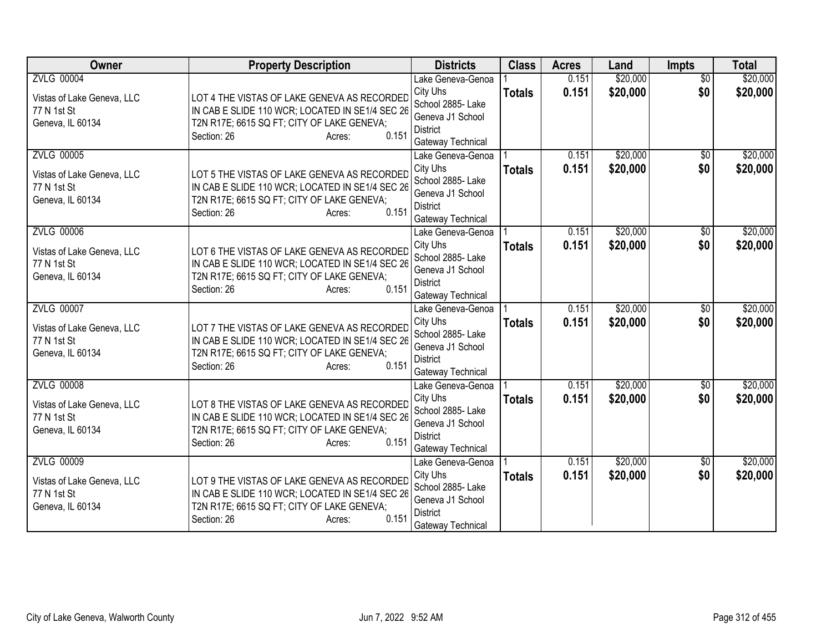| Owner                                                                              | <b>Property Description</b>                                                                                                                                                    | <b>Districts</b>                                                                                               | <b>Class</b>  | <b>Acres</b>   | Land                 | <b>Impts</b>           | <b>Total</b>         |
|------------------------------------------------------------------------------------|--------------------------------------------------------------------------------------------------------------------------------------------------------------------------------|----------------------------------------------------------------------------------------------------------------|---------------|----------------|----------------------|------------------------|----------------------|
| <b>ZVLG 00004</b><br>Vistas of Lake Geneva, LLC<br>77 N 1st St<br>Geneva, IL 60134 | LOT 4 THE VISTAS OF LAKE GENEVA AS RECORDED<br>IN CAB E SLIDE 110 WCR; LOCATED IN SE1/4 SEC 26<br>T2N R17E; 6615 SQ FT; CITY OF LAKE GENEVA;                                   | Lake Geneva-Genoa<br>City Uhs<br>School 2885- Lake<br>Geneva J1 School                                         | <b>Totals</b> | 0.151<br>0.151 | \$20,000<br>\$20,000 | $\overline{50}$<br>\$0 | \$20,000<br>\$20,000 |
| <b>ZVLG 00005</b><br>Vistas of Lake Geneva, LLC                                    | 0.151<br>Section: 26<br>Acres:<br>LOT 5 THE VISTAS OF LAKE GENEVA AS RECORDED                                                                                                  | <b>District</b><br>Gateway Technical<br>Lake Geneva-Genoa<br>City Uhs                                          | <b>Totals</b> | 0.151<br>0.151 | \$20,000<br>\$20,000 | $\overline{30}$<br>\$0 | \$20,000<br>\$20,000 |
| 77 N 1st St<br>Geneva, IL 60134                                                    | IN CAB E SLIDE 110 WCR; LOCATED IN SE1/4 SEC 26<br>T2N R17E; 6615 SQ FT; CITY OF LAKE GENEVA;<br>0.151<br>Section: 26<br>Acres:                                                | School 2885- Lake<br>Geneva J1 School<br><b>District</b><br>Gateway Technical                                  |               |                |                      |                        |                      |
| <b>ZVLG 00006</b><br>Vistas of Lake Geneva, LLC<br>77 N 1st St<br>Geneva, IL 60134 | LOT 6 THE VISTAS OF LAKE GENEVA AS RECORDED<br>IN CAB E SLIDE 110 WCR; LOCATED IN SE1/4 SEC 26<br>T2N R17E; 6615 SQ FT; CITY OF LAKE GENEVA;<br>0.151<br>Section: 26<br>Acres: | Lake Geneva-Genoa<br>City Uhs<br>School 2885- Lake<br>Geneva J1 School<br><b>District</b><br>Gateway Technical | <b>Totals</b> | 0.151<br>0.151 | \$20,000<br>\$20,000 | \$0<br>\$0             | \$20,000<br>\$20,000 |
| <b>ZVLG 00007</b><br>Vistas of Lake Geneva, LLC<br>77 N 1st St<br>Geneva, IL 60134 | LOT 7 THE VISTAS OF LAKE GENEVA AS RECORDED<br>IN CAB E SLIDE 110 WCR; LOCATED IN SE1/4 SEC 26<br>T2N R17E; 6615 SQ FT; CITY OF LAKE GENEVA;<br>0.151<br>Section: 26<br>Acres: | Lake Geneva-Genoa<br>City Uhs<br>School 2885- Lake<br>Geneva J1 School<br><b>District</b><br>Gateway Technical | <b>Totals</b> | 0.151<br>0.151 | \$20,000<br>\$20,000 | $\overline{50}$<br>\$0 | \$20,000<br>\$20,000 |
| <b>ZVLG 00008</b><br>Vistas of Lake Geneva, LLC<br>77 N 1st St<br>Geneva, IL 60134 | LOT 8 THE VISTAS OF LAKE GENEVA AS RECORDED<br>IN CAB E SLIDE 110 WCR; LOCATED IN SE1/4 SEC 26<br>T2N R17E; 6615 SQ FT; CITY OF LAKE GENEVA;<br>Section: 26<br>0.151<br>Acres: | Lake Geneva-Genoa<br>City Uhs<br>School 2885- Lake<br>Geneva J1 School<br><b>District</b><br>Gateway Technical | <b>Totals</b> | 0.151<br>0.151 | \$20,000<br>\$20,000 | $\sqrt{$0}$<br>\$0     | \$20,000<br>\$20,000 |
| <b>ZVLG 00009</b><br>Vistas of Lake Geneva, LLC<br>77 N 1st St<br>Geneva, IL 60134 | LOT 9 THE VISTAS OF LAKE GENEVA AS RECORDED<br>IN CAB E SLIDE 110 WCR; LOCATED IN SE1/4 SEC 26<br>T2N R17E; 6615 SQ FT; CITY OF LAKE GENEVA;<br>0.151<br>Section: 26<br>Acres: | Lake Geneva-Genoa<br>City Uhs<br>School 2885- Lake<br>Geneva J1 School<br><b>District</b><br>Gateway Technical | <b>Totals</b> | 0.151<br>0.151 | \$20,000<br>\$20,000 | \$0<br>\$0             | \$20,000<br>\$20,000 |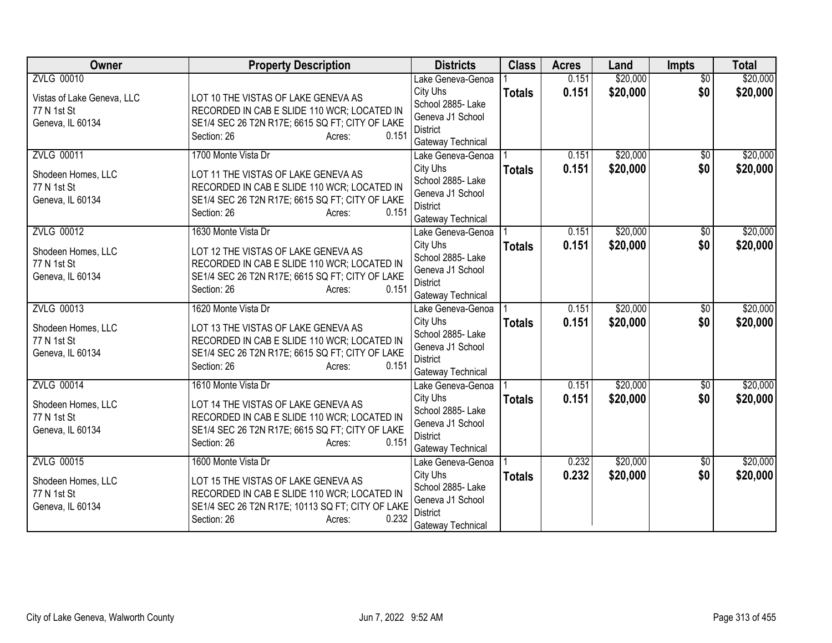| Owner                                                                              | <b>Property Description</b>                                                                                                                                                                     | <b>Districts</b>                                                                                               | <b>Class</b>  | <b>Acres</b>   | Land                 | <b>Impts</b>           | <b>Total</b>         |
|------------------------------------------------------------------------------------|-------------------------------------------------------------------------------------------------------------------------------------------------------------------------------------------------|----------------------------------------------------------------------------------------------------------------|---------------|----------------|----------------------|------------------------|----------------------|
| <b>ZVLG 00010</b><br>Vistas of Lake Geneva, LLC<br>77 N 1st St<br>Geneva, IL 60134 | LOT 10 THE VISTAS OF LAKE GENEVA AS<br>RECORDED IN CAB E SLIDE 110 WCR; LOCATED IN<br>SE1/4 SEC 26 T2N R17E; 6615 SQ FT; CITY OF LAKE<br>Section: 26<br>0.151<br>Acres:                         | Lake Geneva-Genoa<br>City Uhs<br>School 2885- Lake<br>Geneva J1 School<br><b>District</b><br>Gateway Technical | <b>Totals</b> | 0.151<br>0.151 | \$20,000<br>\$20,000 | $\overline{50}$<br>\$0 | \$20,000<br>\$20,000 |
| <b>ZVLG 00011</b><br>Shodeen Homes, LLC<br>77 N 1st St<br>Geneva, IL 60134         | 1700 Monte Vista Dr<br>LOT 11 THE VISTAS OF LAKE GENEVA AS<br>RECORDED IN CAB E SLIDE 110 WCR; LOCATED IN<br>SE1/4 SEC 26 T2N R17E; 6615 SQ FT; CITY OF LAKE<br>Section: 26<br>0.151<br>Acres:  | Lake Geneva-Genoa<br>City Uhs<br>School 2885- Lake<br>Geneva J1 School<br><b>District</b><br>Gateway Technical | <b>Totals</b> | 0.151<br>0.151 | \$20,000<br>\$20,000 | $\overline{50}$<br>\$0 | \$20,000<br>\$20,000 |
| <b>ZVLG 00012</b><br>Shodeen Homes, LLC<br>77 N 1st St<br>Geneva, IL 60134         | 1630 Monte Vista Dr<br>LOT 12 THE VISTAS OF LAKE GENEVA AS<br>RECORDED IN CAB E SLIDE 110 WCR; LOCATED IN<br>SE1/4 SEC 26 T2N R17E; 6615 SQ FT; CITY OF LAKE<br>0.151<br>Section: 26<br>Acres:  | Lake Geneva-Genoa<br>City Uhs<br>School 2885- Lake<br>Geneva J1 School<br><b>District</b><br>Gateway Technical | <b>Totals</b> | 0.151<br>0.151 | \$20,000<br>\$20,000 | \$0<br>\$0             | \$20,000<br>\$20,000 |
| <b>ZVLG 00013</b><br>Shodeen Homes, LLC<br>77 N 1st St<br>Geneva, IL 60134         | 1620 Monte Vista Dr<br>LOT 13 THE VISTAS OF LAKE GENEVA AS<br>RECORDED IN CAB E SLIDE 110 WCR; LOCATED IN<br>SE1/4 SEC 26 T2N R17E; 6615 SQ FT; CITY OF LAKE<br>0.151<br>Section: 26<br>Acres:  | Lake Geneva-Genoa<br>City Uhs<br>School 2885- Lake<br>Geneva J1 School<br><b>District</b><br>Gateway Technical | <b>Totals</b> | 0.151<br>0.151 | \$20,000<br>\$20,000 | $\overline{50}$<br>\$0 | \$20,000<br>\$20,000 |
| <b>ZVLG 00014</b><br>Shodeen Homes, LLC<br>77 N 1st St<br>Geneva, IL 60134         | 1610 Monte Vista Dr<br>LOT 14 THE VISTAS OF LAKE GENEVA AS<br>RECORDED IN CAB E SLIDE 110 WCR; LOCATED IN<br>SE1/4 SEC 26 T2N R17E; 6615 SQ FT; CITY OF LAKE<br>Section: 26<br>0.151<br>Acres:  | Lake Geneva-Genoa<br>City Uhs<br>School 2885- Lake<br>Geneva J1 School<br><b>District</b><br>Gateway Technical | <b>Totals</b> | 0.151<br>0.151 | \$20,000<br>\$20,000 | $\sqrt{$0}$<br>\$0     | \$20,000<br>\$20,000 |
| <b>ZVLG 00015</b><br>Shodeen Homes, LLC<br>77 N 1st St<br>Geneva, IL 60134         | 1600 Monte Vista Dr<br>LOT 15 THE VISTAS OF LAKE GENEVA AS<br>RECORDED IN CAB E SLIDE 110 WCR; LOCATED IN<br>SE1/4 SEC 26 T2N R17E; 10113 SQ FT; CITY OF LAKE<br>0.232<br>Section: 26<br>Acres: | Lake Geneva-Genoa<br>City Uhs<br>School 2885- Lake<br>Geneva J1 School<br><b>District</b><br>Gateway Technical | <b>Totals</b> | 0.232<br>0.232 | \$20,000<br>\$20,000 | \$0<br>\$0             | \$20,000<br>\$20,000 |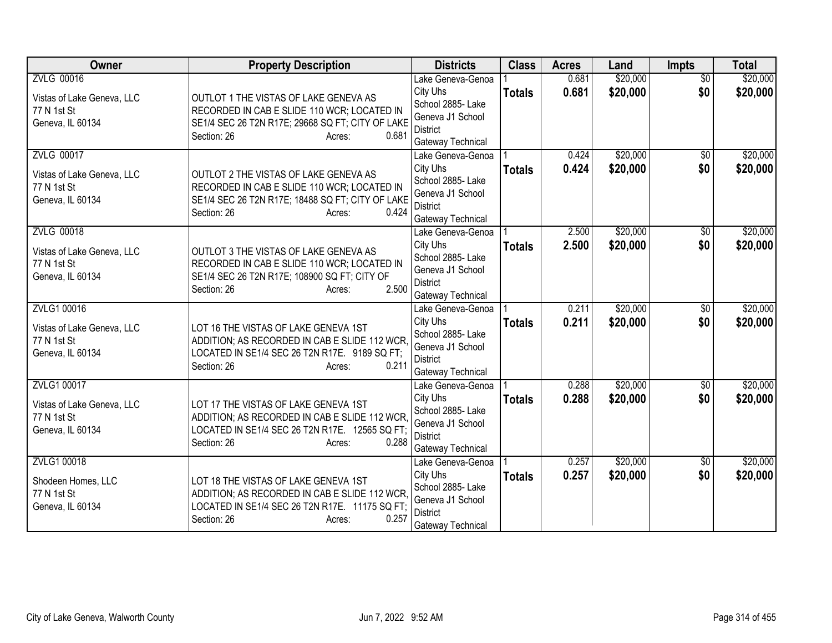| Owner                                                                              | <b>Property Description</b>                                                                                                                                                | <b>Districts</b>                                                                                               | <b>Class</b>  | <b>Acres</b>   | Land                 | <b>Impts</b>           | <b>Total</b>         |
|------------------------------------------------------------------------------------|----------------------------------------------------------------------------------------------------------------------------------------------------------------------------|----------------------------------------------------------------------------------------------------------------|---------------|----------------|----------------------|------------------------|----------------------|
| <b>ZVLG 00016</b><br>Vistas of Lake Geneva, LLC<br>77 N 1st St<br>Geneva, IL 60134 | OUTLOT 1 THE VISTAS OF LAKE GENEVA AS<br>RECORDED IN CAB E SLIDE 110 WCR; LOCATED IN<br>SE1/4 SEC 26 T2N R17E; 29668 SQ FT; CITY OF LAKE<br>Section: 26<br>0.681<br>Acres: | Lake Geneva-Genoa<br>City Uhs<br>School 2885- Lake<br>Geneva J1 School<br><b>District</b><br>Gateway Technical | <b>Totals</b> | 0.681<br>0.681 | \$20,000<br>\$20,000 | $\overline{50}$<br>\$0 | \$20,000<br>\$20,000 |
| <b>ZVLG 00017</b><br>Vistas of Lake Geneva, LLC<br>77 N 1st St<br>Geneva, IL 60134 | OUTLOT 2 THE VISTAS OF LAKE GENEVA AS<br>RECORDED IN CAB E SLIDE 110 WCR; LOCATED IN<br>SE1/4 SEC 26 T2N R17E; 18488 SQ FT; CITY OF LAKE<br>0.424<br>Section: 26<br>Acres: | Lake Geneva-Genoa<br>City Uhs<br>School 2885- Lake<br>Geneva J1 School<br><b>District</b><br>Gateway Technical | <b>Totals</b> | 0.424<br>0.424 | \$20,000<br>\$20,000 | $\overline{50}$<br>\$0 | \$20,000<br>\$20,000 |
| <b>ZVLG 00018</b><br>Vistas of Lake Geneva, LLC<br>77 N 1st St<br>Geneva, IL 60134 | OUTLOT 3 THE VISTAS OF LAKE GENEVA AS<br>RECORDED IN CAB E SLIDE 110 WCR; LOCATED IN<br>SE1/4 SEC 26 T2N R17E; 108900 SQ FT; CITY OF<br>2.500<br>Section: 26<br>Acres:     | Lake Geneva-Genoa<br>City Uhs<br>School 2885- Lake<br>Geneva J1 School<br><b>District</b><br>Gateway Technical | <b>Totals</b> | 2.500<br>2.500 | \$20,000<br>\$20,000 | \$0<br>\$0             | \$20,000<br>\$20,000 |
| ZVLG1 00016<br>Vistas of Lake Geneva, LLC<br>77 N 1st St<br>Geneva, IL 60134       | LOT 16 THE VISTAS OF LAKE GENEVA 1ST<br>ADDITION; AS RECORDED IN CAB E SLIDE 112 WCR,<br>LOCATED IN SE1/4 SEC 26 T2N R17E. 9189 SQ FT;<br>0.211<br>Section: 26<br>Acres:   | Lake Geneva-Genoa<br>City Uhs<br>School 2885- Lake<br>Geneva J1 School<br><b>District</b><br>Gateway Technical | <b>Totals</b> | 0.211<br>0.211 | \$20,000<br>\$20,000 | $\overline{50}$<br>\$0 | \$20,000<br>\$20,000 |
| ZVLG1 00017<br>Vistas of Lake Geneva, LLC<br>77 N 1st St<br>Geneva, IL 60134       | LOT 17 THE VISTAS OF LAKE GENEVA 1ST<br>ADDITION; AS RECORDED IN CAB E SLIDE 112 WCR.<br>LOCATED IN SE1/4 SEC 26 T2N R17E. 12565 SQ FT;<br>Section: 26<br>0.288<br>Acres:  | Lake Geneva-Genoa<br>City Uhs<br>School 2885- Lake<br>Geneva J1 School<br><b>District</b><br>Gateway Technical | <b>Totals</b> | 0.288<br>0.288 | \$20,000<br>\$20,000 | $\sqrt{$0}$<br>\$0     | \$20,000<br>\$20,000 |
| ZVLG1 00018<br>Shodeen Homes, LLC<br>77 N 1st St<br>Geneva, IL 60134               | LOT 18 THE VISTAS OF LAKE GENEVA 1ST<br>ADDITION; AS RECORDED IN CAB E SLIDE 112 WCR,<br>LOCATED IN SE1/4 SEC 26 T2N R17E. 11175 SQ FT;<br>0.257<br>Section: 26<br>Acres:  | Lake Geneva-Genoa<br>City Uhs<br>School 2885- Lake<br>Geneva J1 School<br>District<br>Gateway Technical        | <b>Totals</b> | 0.257<br>0.257 | \$20,000<br>\$20,000 | \$0<br>\$0             | \$20,000<br>\$20,000 |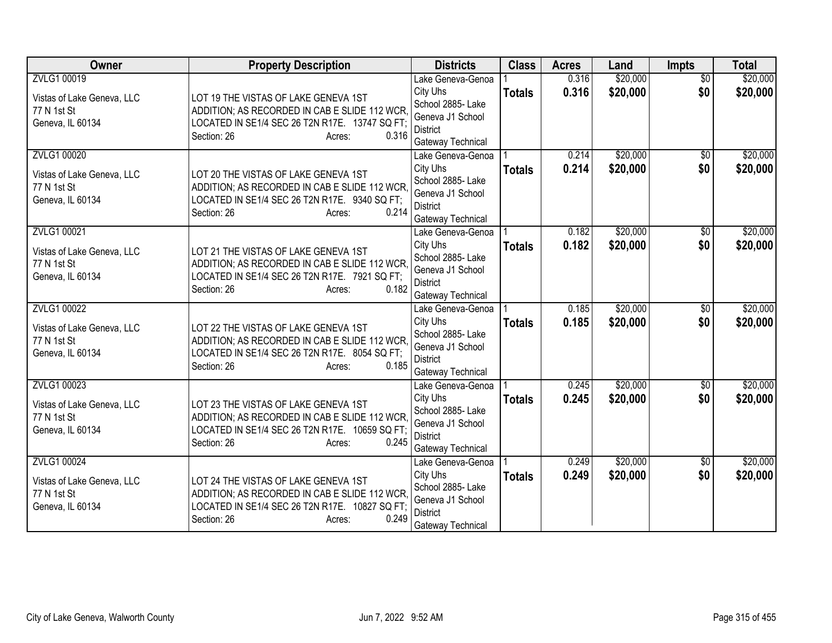| <b>Owner</b>                                                                        | <b>Property Description</b>                                                                                                                                               | <b>Districts</b>                                                                                               | <b>Class</b>  | <b>Acres</b>   | Land                 | <b>Impts</b>           | <b>Total</b>         |
|-------------------------------------------------------------------------------------|---------------------------------------------------------------------------------------------------------------------------------------------------------------------------|----------------------------------------------------------------------------------------------------------------|---------------|----------------|----------------------|------------------------|----------------------|
| ZVLG1 00019<br>Vistas of Lake Geneva, LLC<br>77 N 1st St<br>Geneva, IL 60134        | LOT 19 THE VISTAS OF LAKE GENEVA 1ST<br>ADDITION; AS RECORDED IN CAB E SLIDE 112 WCR,<br>LOCATED IN SE1/4 SEC 26 T2N R17E. 13747 SQ FT;<br>0.316<br>Section: 26<br>Acres: | Lake Geneva-Genoa<br>City Uhs<br>School 2885- Lake<br>Geneva J1 School<br><b>District</b><br>Gateway Technical | <b>Totals</b> | 0.316<br>0.316 | \$20,000<br>\$20,000 | $\overline{50}$<br>\$0 | \$20,000<br>\$20,000 |
| <b>ZVLG1 00020</b><br>Vistas of Lake Geneva, LLC<br>77 N 1st St<br>Geneva, IL 60134 | LOT 20 THE VISTAS OF LAKE GENEVA 1ST<br>ADDITION; AS RECORDED IN CAB E SLIDE 112 WCR.<br>LOCATED IN SE1/4 SEC 26 T2N R17E. 9340 SQ FT;<br>0.214<br>Section: 26<br>Acres:  | Lake Geneva-Genoa<br>City Uhs<br>School 2885- Lake<br>Geneva J1 School<br><b>District</b><br>Gateway Technical | <b>Totals</b> | 0.214<br>0.214 | \$20,000<br>\$20,000 | \$0<br>\$0             | \$20,000<br>\$20,000 |
| ZVLG1 00021<br>Vistas of Lake Geneva, LLC<br>77 N 1st St<br>Geneva, IL 60134        | LOT 21 THE VISTAS OF LAKE GENEVA 1ST<br>ADDITION; AS RECORDED IN CAB E SLIDE 112 WCR,<br>LOCATED IN SE1/4 SEC 26 T2N R17E. 7921 SQ FT;<br>0.182<br>Section: 26<br>Acres:  | Lake Geneva-Genoa<br>City Uhs<br>School 2885- Lake<br>Geneva J1 School<br><b>District</b><br>Gateway Technical | <b>Totals</b> | 0.182<br>0.182 | \$20,000<br>\$20,000 | \$0<br>\$0             | \$20,000<br>\$20,000 |
| ZVLG1 00022<br>Vistas of Lake Geneva, LLC<br>77 N 1st St<br>Geneva, IL 60134        | LOT 22 THE VISTAS OF LAKE GENEVA 1ST<br>ADDITION; AS RECORDED IN CAB E SLIDE 112 WCR,<br>LOCATED IN SE1/4 SEC 26 T2N R17E. 8054 SQ FT;<br>0.185<br>Section: 26<br>Acres:  | Lake Geneva-Genoa<br>City Uhs<br>School 2885- Lake<br>Geneva J1 School<br><b>District</b><br>Gateway Technical | <b>Totals</b> | 0.185<br>0.185 | \$20,000<br>\$20,000 | \$0<br>\$0             | \$20,000<br>\$20,000 |
| ZVLG1 00023<br>Vistas of Lake Geneva, LLC<br>77 N 1st St<br>Geneva, IL 60134        | LOT 23 THE VISTAS OF LAKE GENEVA 1ST<br>ADDITION; AS RECORDED IN CAB E SLIDE 112 WCR.<br>LOCATED IN SE1/4 SEC 26 T2N R17E. 10659 SQ FT;<br>0.245<br>Section: 26<br>Acres: | Lake Geneva-Genoa<br>City Uhs<br>School 2885- Lake<br>Geneva J1 School<br><b>District</b><br>Gateway Technical | <b>Totals</b> | 0.245<br>0.245 | \$20,000<br>\$20,000 | $\overline{60}$<br>\$0 | \$20,000<br>\$20,000 |
| ZVLG1 00024<br>Vistas of Lake Geneva, LLC<br>77 N 1st St<br>Geneva, IL 60134        | LOT 24 THE VISTAS OF LAKE GENEVA 1ST<br>ADDITION; AS RECORDED IN CAB E SLIDE 112 WCR,<br>LOCATED IN SE1/4 SEC 26 T2N R17E. 10827 SQ FT;<br>0.249<br>Section: 26<br>Acres: | Lake Geneva-Genoa<br>City Uhs<br>School 2885- Lake<br>Geneva J1 School<br>District<br>Gateway Technical        | <b>Totals</b> | 0.249<br>0.249 | \$20,000<br>\$20,000 | \$0<br>\$0             | \$20,000<br>\$20,000 |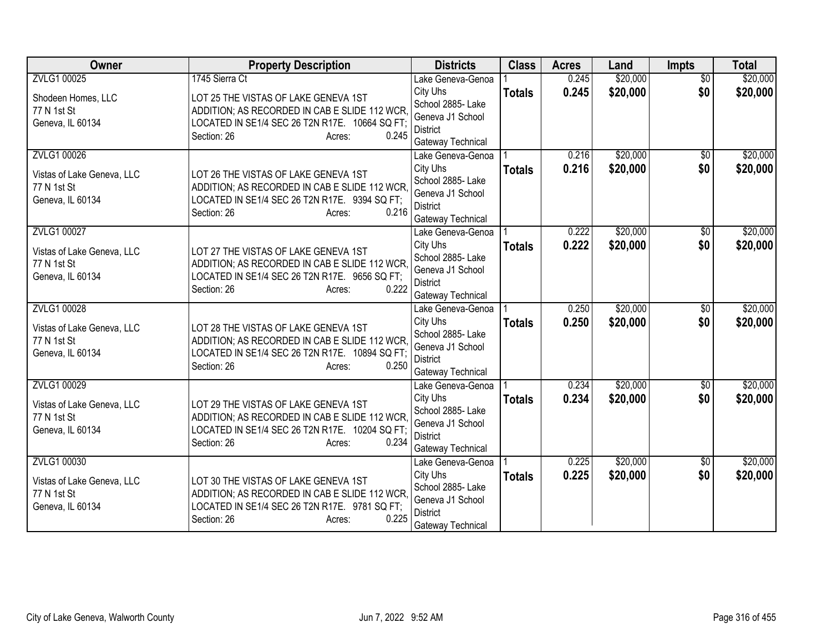| Owner                      | <b>Property Description</b>                                           | <b>Districts</b>                       | <b>Class</b>  | <b>Acres</b> | Land     | <b>Impts</b>    | <b>Total</b> |
|----------------------------|-----------------------------------------------------------------------|----------------------------------------|---------------|--------------|----------|-----------------|--------------|
| ZVLG1 00025                | 1745 Sierra Ct                                                        | Lake Geneva-Genoa                      |               | 0.245        | \$20,000 | $\overline{50}$ | \$20,000     |
| Shodeen Homes, LLC         | LOT 25 THE VISTAS OF LAKE GENEVA 1ST                                  | City Uhs                               | <b>Totals</b> | 0.245        | \$20,000 | \$0             | \$20,000     |
| 77 N 1st St                | ADDITION; AS RECORDED IN CAB E SLIDE 112 WCR,                         | School 2885- Lake                      |               |              |          |                 |              |
| Geneva, IL 60134           | LOCATED IN SE1/4 SEC 26 T2N R17E. 10664 SQ FT;                        | Geneva J1 School<br><b>District</b>    |               |              |          |                 |              |
|                            | 0.245<br>Section: 26<br>Acres:                                        | Gateway Technical                      |               |              |          |                 |              |
| ZVLG1 00026                |                                                                       | Lake Geneva-Genoa                      |               | 0.216        | \$20,000 | $\overline{30}$ | \$20,000     |
|                            |                                                                       | City Uhs                               | <b>Totals</b> | 0.216        | \$20,000 | \$0             | \$20,000     |
| Vistas of Lake Geneva, LLC | LOT 26 THE VISTAS OF LAKE GENEVA 1ST                                  | School 2885- Lake                      |               |              |          |                 |              |
| 77 N 1st St                | ADDITION; AS RECORDED IN CAB E SLIDE 112 WCR.                         | Geneva J1 School                       |               |              |          |                 |              |
| Geneva, IL 60134           | LOCATED IN SE1/4 SEC 26 T2N R17E. 9394 SQ FT;<br>Section: 26<br>0.216 | <b>District</b>                        |               |              |          |                 |              |
|                            | Acres:                                                                | Gateway Technical                      |               |              |          |                 |              |
| ZVLG1 00027                |                                                                       | Lake Geneva-Genoa                      |               | 0.222        | \$20,000 | \$0             | \$20,000     |
| Vistas of Lake Geneva, LLC | LOT 27 THE VISTAS OF LAKE GENEVA 1ST                                  | City Uhs                               | <b>Totals</b> | 0.222        | \$20,000 | \$0             | \$20,000     |
| 77 N 1st St                | ADDITION; AS RECORDED IN CAB E SLIDE 112 WCR,                         | School 2885- Lake                      |               |              |          |                 |              |
| Geneva, IL 60134           | LOCATED IN SE1/4 SEC 26 T2N R17E. 9656 SQ FT;                         | Geneva J1 School                       |               |              |          |                 |              |
|                            | 0.222<br>Section: 26<br>Acres:                                        | <b>District</b>                        |               |              |          |                 |              |
| ZVLG1 00028                |                                                                       | Gateway Technical<br>Lake Geneva-Genoa |               | 0.250        | \$20,000 | $\overline{50}$ | \$20,000     |
|                            |                                                                       | City Uhs                               | <b>Totals</b> | 0.250        | \$20,000 | \$0             | \$20,000     |
| Vistas of Lake Geneva, LLC | LOT 28 THE VISTAS OF LAKE GENEVA 1ST                                  | School 2885- Lake                      |               |              |          |                 |              |
| 77 N 1st St                | ADDITION; AS RECORDED IN CAB E SLIDE 112 WCR,                         | Geneva J1 School                       |               |              |          |                 |              |
| Geneva, IL 60134           | LOCATED IN SE1/4 SEC 26 T2N R17E. 10894 SQ FT;                        | <b>District</b>                        |               |              |          |                 |              |
|                            | 0.250<br>Section: 26<br>Acres:                                        | Gateway Technical                      |               |              |          |                 |              |
| ZVLG1 00029                |                                                                       | Lake Geneva-Genoa                      |               | 0.234        | \$20,000 | $\sqrt{$0}$     | \$20,000     |
| Vistas of Lake Geneva, LLC | LOT 29 THE VISTAS OF LAKE GENEVA 1ST                                  | City Uhs                               | <b>Totals</b> | 0.234        | \$20,000 | \$0             | \$20,000     |
| 77 N 1st St                | ADDITION; AS RECORDED IN CAB E SLIDE 112 WCR.                         | School 2885- Lake                      |               |              |          |                 |              |
| Geneva, IL 60134           | LOCATED IN SE1/4 SEC 26 T2N R17E. 10204 SQ FT;                        | Geneva J1 School                       |               |              |          |                 |              |
|                            | 0.234<br>Section: 26<br>Acres:                                        | <b>District</b>                        |               |              |          |                 |              |
| ZVLG1 00030                |                                                                       | Gateway Technical<br>Lake Geneva-Genoa |               | 0.225        | \$20,000 | \$0             | \$20,000     |
|                            |                                                                       | City Uhs                               | <b>Totals</b> | 0.225        | \$20,000 | \$0             | \$20,000     |
| Vistas of Lake Geneva, LLC | LOT 30 THE VISTAS OF LAKE GENEVA 1ST                                  | School 2885- Lake                      |               |              |          |                 |              |
| 77 N 1st St                | ADDITION; AS RECORDED IN CAB E SLIDE 112 WCR,                         | Geneva J1 School                       |               |              |          |                 |              |
| Geneva, IL 60134           | LOCATED IN SE1/4 SEC 26 T2N R17E. 9781 SQ FT;                         | District                               |               |              |          |                 |              |
|                            | 0.225<br>Section: 26<br>Acres:                                        | Gateway Technical                      |               |              |          |                 |              |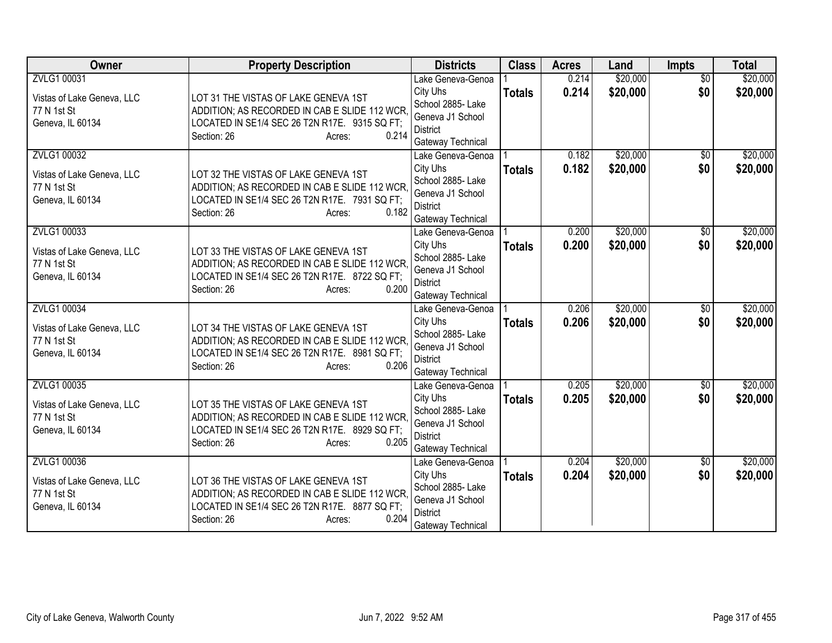| Owner                                                                        | <b>Property Description</b>                                                                                                                                              | <b>Districts</b>                                                                                               | <b>Class</b>  | <b>Acres</b>   | Land                 | <b>Impts</b>           | <b>Total</b>         |
|------------------------------------------------------------------------------|--------------------------------------------------------------------------------------------------------------------------------------------------------------------------|----------------------------------------------------------------------------------------------------------------|---------------|----------------|----------------------|------------------------|----------------------|
| ZVLG1 00031<br>Vistas of Lake Geneva, LLC<br>77 N 1st St<br>Geneva, IL 60134 | LOT 31 THE VISTAS OF LAKE GENEVA 1ST<br>ADDITION; AS RECORDED IN CAB E SLIDE 112 WCR,<br>LOCATED IN SE1/4 SEC 26 T2N R17E. 9315 SQ FT;<br>0.214<br>Section: 26<br>Acres: | Lake Geneva-Genoa<br>City Uhs<br>School 2885- Lake<br>Geneva J1 School<br><b>District</b><br>Gateway Technical | <b>Totals</b> | 0.214<br>0.214 | \$20,000<br>\$20,000 | $\overline{50}$<br>\$0 | \$20,000<br>\$20,000 |
| ZVLG1 00032<br>Vistas of Lake Geneva, LLC<br>77 N 1st St<br>Geneva, IL 60134 | LOT 32 THE VISTAS OF LAKE GENEVA 1ST<br>ADDITION; AS RECORDED IN CAB E SLIDE 112 WCR.<br>LOCATED IN SE1/4 SEC 26 T2N R17E. 7931 SQ FT;<br>Section: 26<br>0.182<br>Acres: | Lake Geneva-Genoa<br>City Uhs<br>School 2885- Lake<br>Geneva J1 School<br><b>District</b><br>Gateway Technical | <b>Totals</b> | 0.182<br>0.182 | \$20,000<br>\$20,000 | $\overline{50}$<br>\$0 | \$20,000<br>\$20,000 |
| ZVLG1 00033<br>Vistas of Lake Geneva, LLC<br>77 N 1st St<br>Geneva, IL 60134 | LOT 33 THE VISTAS OF LAKE GENEVA 1ST<br>ADDITION; AS RECORDED IN CAB E SLIDE 112 WCR,<br>LOCATED IN SE1/4 SEC 26 T2N R17E. 8722 SQ FT;<br>0.200<br>Section: 26<br>Acres: | Lake Geneva-Genoa<br>City Uhs<br>School 2885- Lake<br>Geneva J1 School<br><b>District</b><br>Gateway Technical | <b>Totals</b> | 0.200<br>0.200 | \$20,000<br>\$20,000 | \$0<br>\$0             | \$20,000<br>\$20,000 |
| ZVLG1 00034<br>Vistas of Lake Geneva, LLC<br>77 N 1st St<br>Geneva, IL 60134 | LOT 34 THE VISTAS OF LAKE GENEVA 1ST<br>ADDITION; AS RECORDED IN CAB E SLIDE 112 WCR,<br>LOCATED IN SE1/4 SEC 26 T2N R17E. 8981 SQ FT;<br>0.206<br>Section: 26<br>Acres: | Lake Geneva-Genoa<br>City Uhs<br>School 2885- Lake<br>Geneva J1 School<br><b>District</b><br>Gateway Technical | <b>Totals</b> | 0.206<br>0.206 | \$20,000<br>\$20,000 | $\overline{50}$<br>\$0 | \$20,000<br>\$20,000 |
| ZVLG1 00035<br>Vistas of Lake Geneva, LLC<br>77 N 1st St<br>Geneva, IL 60134 | LOT 35 THE VISTAS OF LAKE GENEVA 1ST<br>ADDITION; AS RECORDED IN CAB E SLIDE 112 WCR.<br>LOCATED IN SE1/4 SEC 26 T2N R17E. 8929 SQ FT;<br>Section: 26<br>0.205<br>Acres: | Lake Geneva-Genoa<br>City Uhs<br>School 2885- Lake<br>Geneva J1 School<br><b>District</b><br>Gateway Technical | <b>Totals</b> | 0.205<br>0.205 | \$20,000<br>\$20,000 | $\sqrt{$0}$<br>\$0     | \$20,000<br>\$20,000 |
| ZVLG1 00036<br>Vistas of Lake Geneva, LLC<br>77 N 1st St<br>Geneva, IL 60134 | LOT 36 THE VISTAS OF LAKE GENEVA 1ST<br>ADDITION; AS RECORDED IN CAB E SLIDE 112 WCR,<br>LOCATED IN SE1/4 SEC 26 T2N R17E. 8877 SQ FT;<br>0.204<br>Section: 26<br>Acres: | Lake Geneva-Genoa<br>City Uhs<br>School 2885- Lake<br>Geneva J1 School<br><b>District</b><br>Gateway Technical | <b>Totals</b> | 0.204<br>0.204 | \$20,000<br>\$20,000 | \$0<br>\$0             | \$20,000<br>\$20,000 |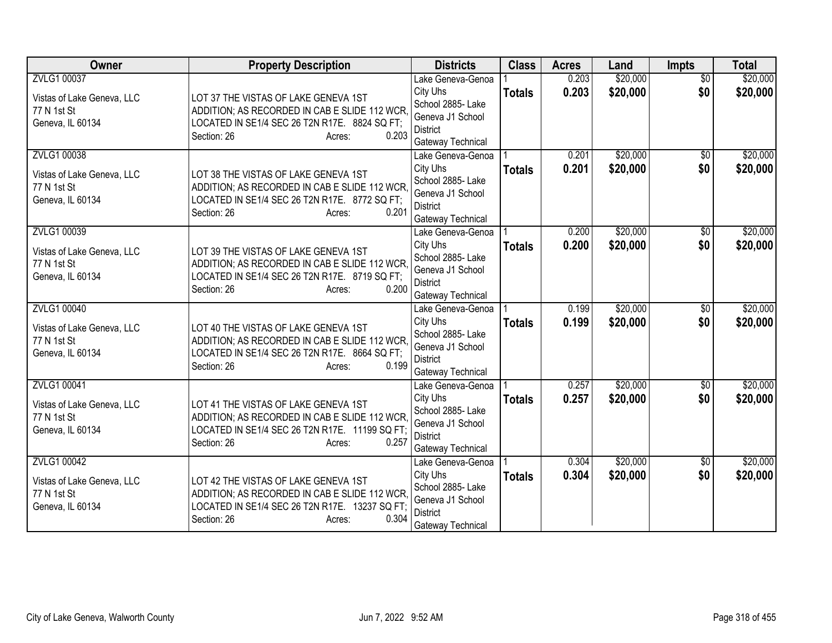| Owner                                                                        | <b>Property Description</b>                                                                                                                                               | <b>Districts</b>                                                                                               | <b>Class</b>  | <b>Acres</b>   | Land                 | <b>Impts</b>           | <b>Total</b>         |
|------------------------------------------------------------------------------|---------------------------------------------------------------------------------------------------------------------------------------------------------------------------|----------------------------------------------------------------------------------------------------------------|---------------|----------------|----------------------|------------------------|----------------------|
| ZVLG1 00037<br>Vistas of Lake Geneva, LLC<br>77 N 1st St<br>Geneva, IL 60134 | LOT 37 THE VISTAS OF LAKE GENEVA 1ST<br>ADDITION; AS RECORDED IN CAB E SLIDE 112 WCR,<br>LOCATED IN SE1/4 SEC 26 T2N R17E. 8824 SQ FT;<br>0.203<br>Section: 26<br>Acres:  | Lake Geneva-Genoa<br>City Uhs<br>School 2885- Lake<br>Geneva J1 School<br><b>District</b><br>Gateway Technical | <b>Totals</b> | 0.203<br>0.203 | \$20,000<br>\$20,000 | $\overline{50}$<br>\$0 | \$20,000<br>\$20,000 |
| ZVLG1 00038<br>Vistas of Lake Geneva, LLC<br>77 N 1st St<br>Geneva, IL 60134 | LOT 38 THE VISTAS OF LAKE GENEVA 1ST<br>ADDITION; AS RECORDED IN CAB E SLIDE 112 WCR.<br>LOCATED IN SE1/4 SEC 26 T2N R17E. 8772 SQ FT;<br>Section: 26<br>0.201<br>Acres:  | Lake Geneva-Genoa<br>City Uhs<br>School 2885- Lake<br>Geneva J1 School<br><b>District</b><br>Gateway Technical | <b>Totals</b> | 0.201<br>0.201 | \$20,000<br>\$20,000 | $\overline{50}$<br>\$0 | \$20,000<br>\$20,000 |
| ZVLG1 00039<br>Vistas of Lake Geneva, LLC<br>77 N 1st St<br>Geneva, IL 60134 | LOT 39 THE VISTAS OF LAKE GENEVA 1ST<br>ADDITION; AS RECORDED IN CAB E SLIDE 112 WCR,<br>LOCATED IN SE1/4 SEC 26 T2N R17E. 8719 SQ FT;<br>0.200<br>Section: 26<br>Acres:  | Lake Geneva-Genoa<br>City Uhs<br>School 2885- Lake<br>Geneva J1 School<br><b>District</b><br>Gateway Technical | <b>Totals</b> | 0.200<br>0.200 | \$20,000<br>\$20,000 | \$0<br>\$0             | \$20,000<br>\$20,000 |
| ZVLG1 00040<br>Vistas of Lake Geneva, LLC<br>77 N 1st St<br>Geneva, IL 60134 | LOT 40 THE VISTAS OF LAKE GENEVA 1ST<br>ADDITION; AS RECORDED IN CAB E SLIDE 112 WCR,<br>LOCATED IN SE1/4 SEC 26 T2N R17E. 8664 SQ FT;<br>0.199<br>Section: 26<br>Acres:  | Lake Geneva-Genoa<br>City Uhs<br>School 2885- Lake<br>Geneva J1 School<br><b>District</b><br>Gateway Technical | <b>Totals</b> | 0.199<br>0.199 | \$20,000<br>\$20,000 | $\overline{50}$<br>\$0 | \$20,000<br>\$20,000 |
| ZVLG1 00041<br>Vistas of Lake Geneva, LLC<br>77 N 1st St<br>Geneva, IL 60134 | LOT 41 THE VISTAS OF LAKE GENEVA 1ST<br>ADDITION; AS RECORDED IN CAB E SLIDE 112 WCR.<br>LOCATED IN SE1/4 SEC 26 T2N R17E. 11199 SQ FT;<br>Section: 26<br>0.257<br>Acres: | Lake Geneva-Genoa<br>City Uhs<br>School 2885- Lake<br>Geneva J1 School<br><b>District</b><br>Gateway Technical | <b>Totals</b> | 0.257<br>0.257 | \$20,000<br>\$20,000 | $\sqrt{$0}$<br>\$0     | \$20,000<br>\$20,000 |
| ZVLG1 00042<br>Vistas of Lake Geneva, LLC<br>77 N 1st St<br>Geneva, IL 60134 | LOT 42 THE VISTAS OF LAKE GENEVA 1ST<br>ADDITION; AS RECORDED IN CAB E SLIDE 112 WCR.<br>LOCATED IN SE1/4 SEC 26 T2N R17E. 13237 SQ FT;<br>0.304<br>Section: 26<br>Acres: | Lake Geneva-Genoa<br>City Uhs<br>School 2885- Lake<br>Geneva J1 School<br>District<br>Gateway Technical        | <b>Totals</b> | 0.304<br>0.304 | \$20,000<br>\$20,000 | \$0<br>\$0             | \$20,000<br>\$20,000 |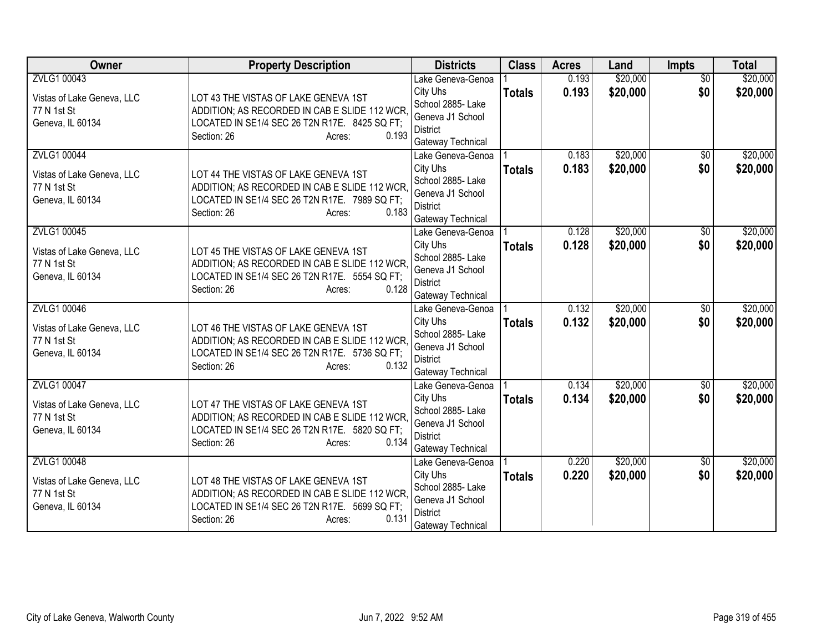| Owner                                                                               | <b>Property Description</b>                                                                                                                                              | <b>Districts</b>                                                                                               | <b>Class</b>  | <b>Acres</b>   | Land                 | <b>Impts</b>           | <b>Total</b>         |
|-------------------------------------------------------------------------------------|--------------------------------------------------------------------------------------------------------------------------------------------------------------------------|----------------------------------------------------------------------------------------------------------------|---------------|----------------|----------------------|------------------------|----------------------|
| ZVLG1 00043<br>Vistas of Lake Geneva, LLC<br>77 N 1st St<br>Geneva, IL 60134        | LOT 43 THE VISTAS OF LAKE GENEVA 1ST<br>ADDITION; AS RECORDED IN CAB E SLIDE 112 WCR,<br>LOCATED IN SE1/4 SEC 26 T2N R17E. 8425 SQ FT;<br>0.193<br>Section: 26<br>Acres: | Lake Geneva-Genoa<br>City Uhs<br>School 2885- Lake<br>Geneva J1 School<br><b>District</b><br>Gateway Technical | <b>Totals</b> | 0.193<br>0.193 | \$20,000<br>\$20,000 | $\overline{50}$<br>\$0 | \$20,000<br>\$20,000 |
| <b>ZVLG1 00044</b><br>Vistas of Lake Geneva, LLC<br>77 N 1st St<br>Geneva, IL 60134 | LOT 44 THE VISTAS OF LAKE GENEVA 1ST<br>ADDITION; AS RECORDED IN CAB E SLIDE 112 WCR.<br>LOCATED IN SE1/4 SEC 26 T2N R17E. 7989 SQ FT;<br>Section: 26<br>0.183<br>Acres: | Lake Geneva-Genoa<br>City Uhs<br>School 2885- Lake<br>Geneva J1 School<br><b>District</b><br>Gateway Technical | <b>Totals</b> | 0.183<br>0.183 | \$20,000<br>\$20,000 | $\overline{30}$<br>\$0 | \$20,000<br>\$20,000 |
| ZVLG1 00045<br>Vistas of Lake Geneva, LLC<br>77 N 1st St<br>Geneva, IL 60134        | LOT 45 THE VISTAS OF LAKE GENEVA 1ST<br>ADDITION; AS RECORDED IN CAB E SLIDE 112 WCR,<br>LOCATED IN SE1/4 SEC 26 T2N R17E. 5554 SQ FT;<br>0.128<br>Section: 26<br>Acres: | Lake Geneva-Genoa<br>City Uhs<br>School 2885- Lake<br>Geneva J1 School<br><b>District</b><br>Gateway Technical | <b>Totals</b> | 0.128<br>0.128 | \$20,000<br>\$20,000 | \$0<br>\$0             | \$20,000<br>\$20,000 |
| ZVLG1 00046<br>Vistas of Lake Geneva, LLC<br>77 N 1st St<br>Geneva, IL 60134        | LOT 46 THE VISTAS OF LAKE GENEVA 1ST<br>ADDITION; AS RECORDED IN CAB E SLIDE 112 WCR,<br>LOCATED IN SE1/4 SEC 26 T2N R17E. 5736 SQ FT;<br>0.132<br>Section: 26<br>Acres: | Lake Geneva-Genoa<br>City Uhs<br>School 2885- Lake<br>Geneva J1 School<br><b>District</b><br>Gateway Technical | <b>Totals</b> | 0.132<br>0.132 | \$20,000<br>\$20,000 | $\overline{50}$<br>\$0 | \$20,000<br>\$20,000 |
| ZVLG1 00047<br>Vistas of Lake Geneva, LLC<br>77 N 1st St<br>Geneva, IL 60134        | LOT 47 THE VISTAS OF LAKE GENEVA 1ST<br>ADDITION; AS RECORDED IN CAB E SLIDE 112 WCR.<br>LOCATED IN SE1/4 SEC 26 T2N R17E. 5820 SQ FT;<br>0.134<br>Section: 26<br>Acres: | Lake Geneva-Genoa<br>City Uhs<br>School 2885- Lake<br>Geneva J1 School<br><b>District</b><br>Gateway Technical | <b>Totals</b> | 0.134<br>0.134 | \$20,000<br>\$20,000 | $\sqrt{$0}$<br>\$0     | \$20,000<br>\$20,000 |
| ZVLG1 00048<br>Vistas of Lake Geneva, LLC<br>77 N 1st St<br>Geneva, IL 60134        | LOT 48 THE VISTAS OF LAKE GENEVA 1ST<br>ADDITION; AS RECORDED IN CAB E SLIDE 112 WCR,<br>LOCATED IN SE1/4 SEC 26 T2N R17E. 5699 SQ FT;<br>0.131<br>Section: 26<br>Acres: | Lake Geneva-Genoa<br>City Uhs<br>School 2885- Lake<br>Geneva J1 School<br>District<br>Gateway Technical        | <b>Totals</b> | 0.220<br>0.220 | \$20,000<br>\$20,000 | \$0<br>\$0             | \$20,000<br>\$20,000 |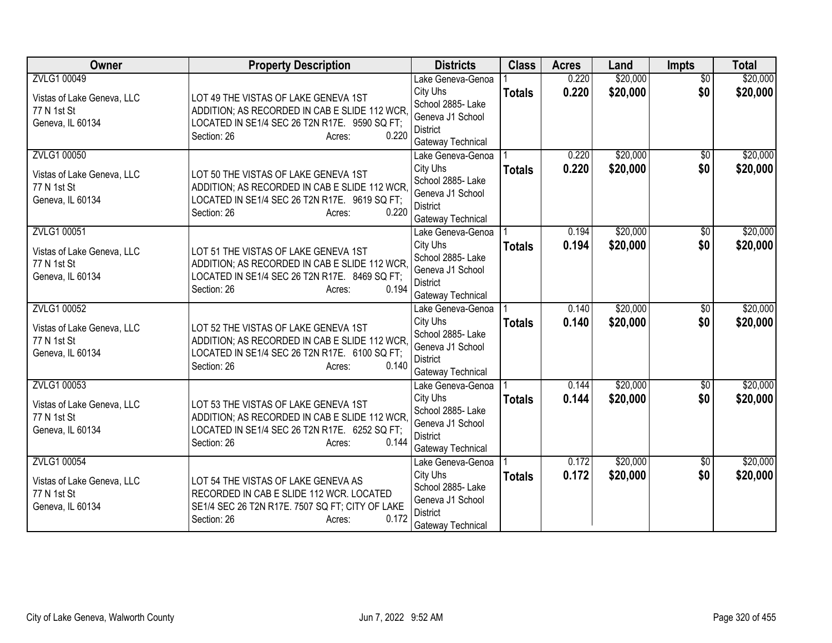| Owner                                                                        | <b>Property Description</b>                                                                                                                                              | <b>Districts</b>                                                                                               | <b>Class</b>  | <b>Acres</b>   | Land                 | <b>Impts</b>           | <b>Total</b>         |
|------------------------------------------------------------------------------|--------------------------------------------------------------------------------------------------------------------------------------------------------------------------|----------------------------------------------------------------------------------------------------------------|---------------|----------------|----------------------|------------------------|----------------------|
| ZVLG1 00049<br>Vistas of Lake Geneva, LLC<br>77 N 1st St<br>Geneva, IL 60134 | LOT 49 THE VISTAS OF LAKE GENEVA 1ST<br>ADDITION; AS RECORDED IN CAB E SLIDE 112 WCR,<br>LOCATED IN SE1/4 SEC 26 T2N R17E. 9590 SQ FT;                                   | Lake Geneva-Genoa<br>City Uhs<br>School 2885- Lake<br>Geneva J1 School                                         | <b>Totals</b> | 0.220<br>0.220 | \$20,000<br>\$20,000 | $\overline{50}$<br>\$0 | \$20,000<br>\$20,000 |
| ZVLG1 00050                                                                  | 0.220<br>Section: 26<br>Acres:<br>LOT 50 THE VISTAS OF LAKE GENEVA 1ST                                                                                                   | <b>District</b><br>Gateway Technical<br>Lake Geneva-Genoa<br>City Uhs                                          | <b>Totals</b> | 0.220<br>0.220 | \$20,000<br>\$20,000 | $\overline{30}$<br>\$0 | \$20,000<br>\$20,000 |
| Vistas of Lake Geneva, LLC<br>77 N 1st St<br>Geneva, IL 60134                | ADDITION; AS RECORDED IN CAB E SLIDE 112 WCR.<br>LOCATED IN SE1/4 SEC 26 T2N R17E. 9619 SQ FT;<br>Section: 26<br>0.220<br>Acres:                                         | School 2885- Lake<br>Geneva J1 School<br><b>District</b><br>Gateway Technical                                  |               |                |                      |                        |                      |
| ZVLG1 00051<br>Vistas of Lake Geneva, LLC<br>77 N 1st St<br>Geneva, IL 60134 | LOT 51 THE VISTAS OF LAKE GENEVA 1ST<br>ADDITION; AS RECORDED IN CAB E SLIDE 112 WCR,<br>LOCATED IN SE1/4 SEC 26 T2N R17E. 8469 SQ FT;<br>0.194<br>Section: 26<br>Acres: | Lake Geneva-Genoa<br>City Uhs<br>School 2885- Lake<br>Geneva J1 School<br><b>District</b><br>Gateway Technical | <b>Totals</b> | 0.194<br>0.194 | \$20,000<br>\$20,000 | \$0<br>\$0             | \$20,000<br>\$20,000 |
| ZVLG1 00052<br>Vistas of Lake Geneva, LLC<br>77 N 1st St<br>Geneva, IL 60134 | LOT 52 THE VISTAS OF LAKE GENEVA 1ST<br>ADDITION; AS RECORDED IN CAB E SLIDE 112 WCR,<br>LOCATED IN SE1/4 SEC 26 T2N R17E. 6100 SQ FT;<br>0.140<br>Section: 26<br>Acres: | Lake Geneva-Genoa<br>City Uhs<br>School 2885- Lake<br>Geneva J1 School<br><b>District</b><br>Gateway Technical | <b>Totals</b> | 0.140<br>0.140 | \$20,000<br>\$20,000 | $\overline{50}$<br>\$0 | \$20,000<br>\$20,000 |
| ZVLG1 00053<br>Vistas of Lake Geneva, LLC<br>77 N 1st St<br>Geneva, IL 60134 | LOT 53 THE VISTAS OF LAKE GENEVA 1ST<br>ADDITION; AS RECORDED IN CAB E SLIDE 112 WCR.<br>LOCATED IN SE1/4 SEC 26 T2N R17E. 6252 SQ FT;<br>0.144<br>Section: 26<br>Acres: | Lake Geneva-Genoa<br>City Uhs<br>School 2885- Lake<br>Geneva J1 School<br><b>District</b><br>Gateway Technical | <b>Totals</b> | 0.144<br>0.144 | \$20,000<br>\$20,000 | $\sqrt{$0}$<br>\$0     | \$20,000<br>\$20,000 |
| ZVLG1 00054<br>Vistas of Lake Geneva, LLC<br>77 N 1st St<br>Geneva, IL 60134 | LOT 54 THE VISTAS OF LAKE GENEVA AS<br>RECORDED IN CAB E SLIDE 112 WCR. LOCATED<br>SE1/4 SEC 26 T2N R17E. 7507 SQ FT; CITY OF LAKE<br>0.172<br>Section: 26<br>Acres:     | Lake Geneva-Genoa<br>City Uhs<br>School 2885- Lake<br>Geneva J1 School<br><b>District</b><br>Gateway Technical | <b>Totals</b> | 0.172<br>0.172 | \$20,000<br>\$20,000 | \$0<br>\$0             | \$20,000<br>\$20,000 |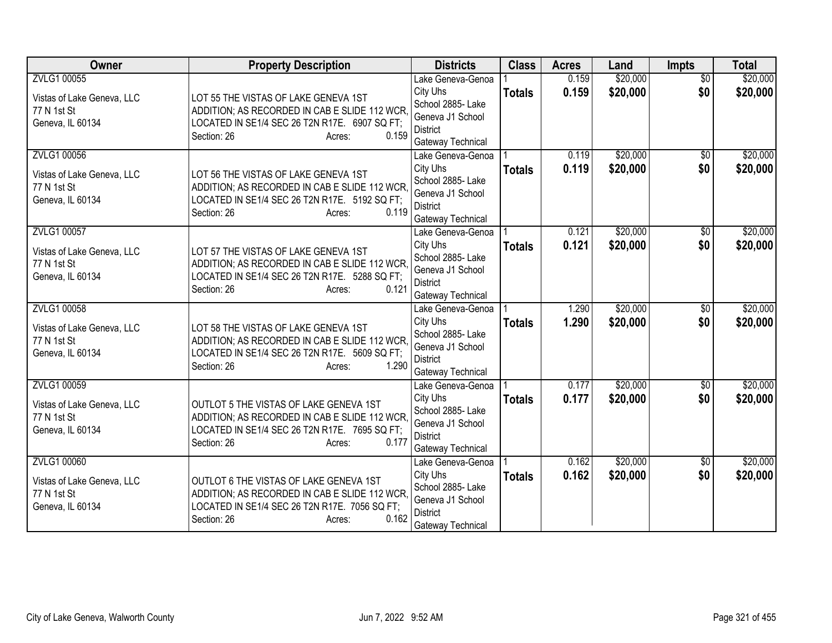| Owner                                                                        | <b>Property Description</b>                                                                                                                                                | <b>Districts</b>                                                                                               | <b>Class</b>  | <b>Acres</b>   | Land                 | <b>Impts</b>           | <b>Total</b>         |
|------------------------------------------------------------------------------|----------------------------------------------------------------------------------------------------------------------------------------------------------------------------|----------------------------------------------------------------------------------------------------------------|---------------|----------------|----------------------|------------------------|----------------------|
| ZVLG1 00055<br>Vistas of Lake Geneva, LLC                                    | LOT 55 THE VISTAS OF LAKE GENEVA 1ST                                                                                                                                       | Lake Geneva-Genoa<br>City Uhs                                                                                  | <b>Totals</b> | 0.159<br>0.159 | \$20,000<br>\$20,000 | $\overline{50}$<br>\$0 | \$20,000<br>\$20,000 |
| 77 N 1st St<br>Geneva, IL 60134                                              | ADDITION; AS RECORDED IN CAB E SLIDE 112 WCR,<br>LOCATED IN SE1/4 SEC 26 T2N R17E. 6907 SQ FT;<br>0.159<br>Section: 26<br>Acres:                                           | School 2885- Lake<br>Geneva J1 School<br><b>District</b><br>Gateway Technical                                  |               |                |                      |                        |                      |
| ZVLG1 00056<br>Vistas of Lake Geneva, LLC<br>77 N 1st St<br>Geneva, IL 60134 | LOT 56 THE VISTAS OF LAKE GENEVA 1ST<br>ADDITION; AS RECORDED IN CAB E SLIDE 112 WCR.<br>LOCATED IN SE1/4 SEC 26 T2N R17E. 5192 SQ FT;<br>Section: 26<br>0.119<br>Acres:   | Lake Geneva-Genoa<br>City Uhs<br>School 2885- Lake<br>Geneva J1 School<br><b>District</b><br>Gateway Technical | <b>Totals</b> | 0.119<br>0.119 | \$20,000<br>\$20,000 | $\overline{30}$<br>\$0 | \$20,000<br>\$20,000 |
| ZVLG1 00057<br>Vistas of Lake Geneva, LLC<br>77 N 1st St<br>Geneva, IL 60134 | LOT 57 THE VISTAS OF LAKE GENEVA 1ST<br>ADDITION; AS RECORDED IN CAB E SLIDE 112 WCR,<br>LOCATED IN SE1/4 SEC 26 T2N R17E. 5288 SQ FT;<br>0.121<br>Section: 26<br>Acres:   | Lake Geneva-Genoa<br>City Uhs<br>School 2885- Lake<br>Geneva J1 School<br><b>District</b><br>Gateway Technical | <b>Totals</b> | 0.121<br>0.121 | \$20,000<br>\$20,000 | \$0<br>\$0             | \$20,000<br>\$20,000 |
| ZVLG1 00058<br>Vistas of Lake Geneva, LLC<br>77 N 1st St<br>Geneva, IL 60134 | LOT 58 THE VISTAS OF LAKE GENEVA 1ST<br>ADDITION; AS RECORDED IN CAB E SLIDE 112 WCR,<br>LOCATED IN SE1/4 SEC 26 T2N R17E. 5609 SQ FT;<br>1.290<br>Section: 26<br>Acres:   | Lake Geneva-Genoa<br>City Uhs<br>School 2885- Lake<br>Geneva J1 School<br><b>District</b><br>Gateway Technical | <b>Totals</b> | 1.290<br>1.290 | \$20,000<br>\$20,000 | $\overline{50}$<br>\$0 | \$20,000<br>\$20,000 |
| ZVLG1 00059<br>Vistas of Lake Geneva, LLC<br>77 N 1st St<br>Geneva, IL 60134 | OUTLOT 5 THE VISTAS OF LAKE GENEVA 1ST<br>ADDITION; AS RECORDED IN CAB E SLIDE 112 WCR.<br>LOCATED IN SE1/4 SEC 26 T2N R17E. 7695 SQ FT;<br>Section: 26<br>0.177<br>Acres: | Lake Geneva-Genoa<br>City Uhs<br>School 2885- Lake<br>Geneva J1 School<br><b>District</b><br>Gateway Technical | <b>Totals</b> | 0.177<br>0.177 | \$20,000<br>\$20,000 | $\sqrt{$0}$<br>\$0     | \$20,000<br>\$20,000 |
| ZVLG1 00060<br>Vistas of Lake Geneva, LLC<br>77 N 1st St<br>Geneva, IL 60134 | OUTLOT 6 THE VISTAS OF LAKE GENEVA 1ST<br>ADDITION; AS RECORDED IN CAB E SLIDE 112 WCR.<br>LOCATED IN SE1/4 SEC 26 T2N R17E. 7056 SQ FT;<br>0.162<br>Section: 26<br>Acres: | Lake Geneva-Genoa<br>City Uhs<br>School 2885- Lake<br>Geneva J1 School<br><b>District</b><br>Gateway Technical | <b>Totals</b> | 0.162<br>0.162 | \$20,000<br>\$20,000 | \$0<br>\$0             | \$20,000<br>\$20,000 |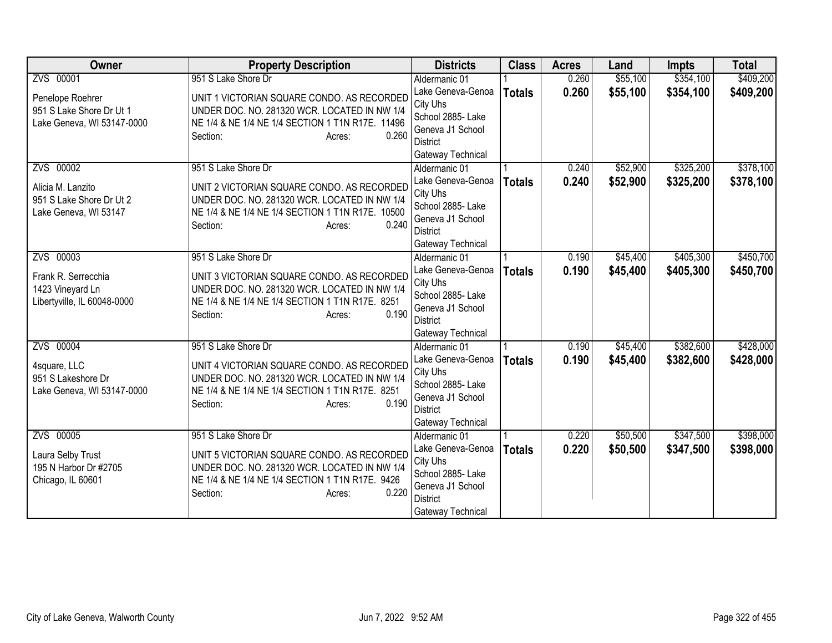| <b>Owner</b>                                                                        | <b>Property Description</b>                                                                                                                                                                          | <b>Districts</b>                                                                                                                | <b>Class</b>  | <b>Acres</b>   | Land                 | <b>Impts</b>           | <b>Total</b>           |
|-------------------------------------------------------------------------------------|------------------------------------------------------------------------------------------------------------------------------------------------------------------------------------------------------|---------------------------------------------------------------------------------------------------------------------------------|---------------|----------------|----------------------|------------------------|------------------------|
| ZVS 00001                                                                           | 951 S Lake Shore Dr                                                                                                                                                                                  | Aldermanic 01                                                                                                                   |               | 0.260          | \$55,100             | \$354,100              | \$409,200              |
| Penelope Roehrer<br>951 S Lake Shore Dr Ut 1<br>Lake Geneva, WI 53147-0000          | UNIT 1 VICTORIAN SQUARE CONDO. AS RECORDED<br>UNDER DOC. NO. 281320 WCR. LOCATED IN NW 1/4<br>NE 1/4 & NE 1/4 NE 1/4 SECTION 1 T1N R17E. 11496                                                       | Lake Geneva-Genoa<br>City Uhs<br>School 2885- Lake<br>Geneva J1 School                                                          | <b>Totals</b> | 0.260          | \$55,100             | \$354,100              | \$409,200              |
|                                                                                     | 0.260<br>Section:<br>Acres:                                                                                                                                                                          | <b>District</b><br>Gateway Technical                                                                                            |               |                |                      |                        |                        |
| ZVS 00002<br>Alicia M. Lanzito<br>951 S Lake Shore Dr Ut 2<br>Lake Geneva, WI 53147 | 951 S Lake Shore Dr<br>UNIT 2 VICTORIAN SQUARE CONDO. AS RECORDED<br>UNDER DOC. NO. 281320 WCR. LOCATED IN NW 1/4<br>NE 1/4 & NE 1/4 NE 1/4 SECTION 1 T1N R17E. 10500<br>0.240<br>Section:<br>Acres: | Aldermanic 01<br>Lake Geneva-Genoa<br>City Uhs<br>School 2885- Lake<br>Geneva J1 School<br><b>District</b><br>Gateway Technical | <b>Totals</b> | 0.240<br>0.240 | \$52,900<br>\$52,900 | \$325,200<br>\$325,200 | \$378,100<br>\$378,100 |
| ZVS 00003<br>Frank R. Serrecchia<br>1423 Vineyard Ln<br>Libertyville, IL 60048-0000 | 951 S Lake Shore Dr<br>UNIT 3 VICTORIAN SQUARE CONDO. AS RECORDED<br>UNDER DOC. NO. 281320 WCR. LOCATED IN NW 1/4<br>NE 1/4 & NE 1/4 NE 1/4 SECTION 1 T1N R17E. 8251<br>0.190<br>Section:<br>Acres:  | Aldermanic 01<br>Lake Geneva-Genoa<br>City Uhs<br>School 2885- Lake<br>Geneva J1 School<br><b>District</b><br>Gateway Technical | <b>Totals</b> | 0.190<br>0.190 | \$45,400<br>\$45,400 | \$405,300<br>\$405,300 | \$450,700<br>\$450,700 |
| ZVS 00004<br>4square, LLC<br>951 S Lakeshore Dr<br>Lake Geneva, WI 53147-0000       | 951 S Lake Shore Dr<br>UNIT 4 VICTORIAN SQUARE CONDO. AS RECORDED<br>UNDER DOC. NO. 281320 WCR. LOCATED IN NW 1/4<br>NE 1/4 & NE 1/4 NE 1/4 SECTION 1 T1N R17E. 8251<br>0.190<br>Section:<br>Acres:  | Aldermanic 01<br>Lake Geneva-Genoa<br>City Uhs<br>School 2885- Lake<br>Geneva J1 School<br><b>District</b><br>Gateway Technical | <b>Totals</b> | 0.190<br>0.190 | \$45,400<br>\$45,400 | \$382,600<br>\$382,600 | \$428,000<br>\$428,000 |
| ZVS 00005<br>Laura Selby Trust<br>195 N Harbor Dr #2705<br>Chicago, IL 60601        | 951 S Lake Shore Dr<br>UNIT 5 VICTORIAN SQUARE CONDO. AS RECORDED<br>UNDER DOC. NO. 281320 WCR. LOCATED IN NW 1/4<br>NE 1/4 & NE 1/4 NE 1/4 SECTION 1 T1N R17E. 9426<br>0.220<br>Section:<br>Acres:  | Aldermanic 01<br>Lake Geneva-Genoa<br>City Uhs<br>School 2885- Lake<br>Geneva J1 School<br><b>District</b><br>Gateway Technical | <b>Totals</b> | 0.220<br>0.220 | \$50,500<br>\$50,500 | \$347,500<br>\$347,500 | \$398,000<br>\$398,000 |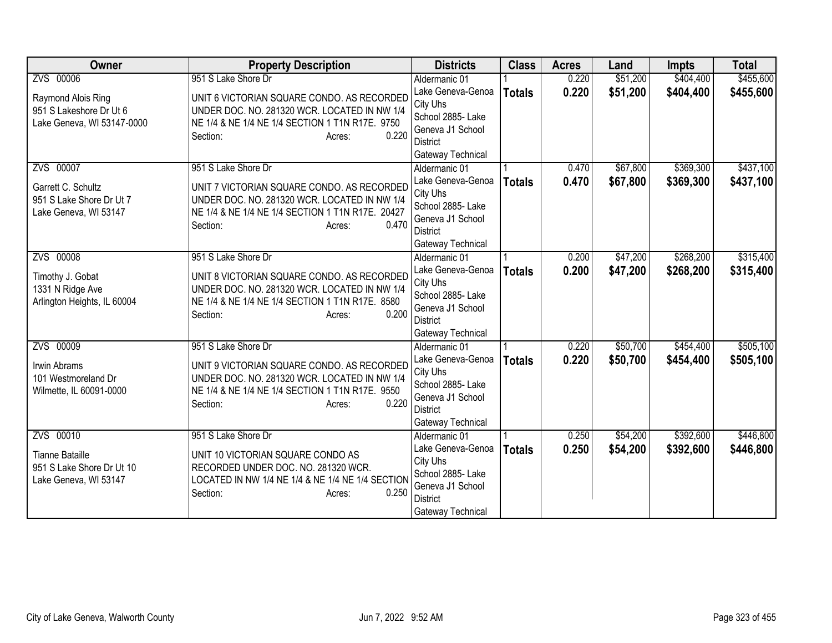| <b>Owner</b>                                                                              | <b>Property Description</b>                                                                                                                                                                          | <b>Districts</b>                                                                                                                | <b>Class</b>  | <b>Acres</b>   | Land                 | <b>Impts</b>           | <b>Total</b>           |
|-------------------------------------------------------------------------------------------|------------------------------------------------------------------------------------------------------------------------------------------------------------------------------------------------------|---------------------------------------------------------------------------------------------------------------------------------|---------------|----------------|----------------------|------------------------|------------------------|
| ZVS 00006                                                                                 | 951 S Lake Shore Dr                                                                                                                                                                                  | Aldermanic 01                                                                                                                   |               | 0.220          | \$51,200             | \$404,400              | \$455,600              |
| Raymond Alois Ring<br>951 S Lakeshore Dr Ut 6<br>Lake Geneva, WI 53147-0000               | UNIT 6 VICTORIAN SQUARE CONDO. AS RECORDED<br>UNDER DOC. NO. 281320 WCR. LOCATED IN NW 1/4<br>NE 1/4 & NE 1/4 NE 1/4 SECTION 1 T1N R17E. 9750<br>0.220<br>Section:<br>Acres:                         | Lake Geneva-Genoa<br>City Uhs<br>School 2885- Lake<br>Geneva J1 School<br><b>District</b>                                       | <b>Totals</b> | 0.220          | \$51,200             | \$404,400              | \$455,600              |
|                                                                                           |                                                                                                                                                                                                      | Gateway Technical                                                                                                               |               |                |                      |                        |                        |
| ZVS 00007<br>Garrett C. Schultz<br>951 S Lake Shore Dr Ut 7<br>Lake Geneva, WI 53147      | 951 S Lake Shore Dr<br>UNIT 7 VICTORIAN SQUARE CONDO. AS RECORDED<br>UNDER DOC. NO. 281320 WCR. LOCATED IN NW 1/4<br>NE 1/4 & NE 1/4 NE 1/4 SECTION 1 T1N R17E. 20427<br>0.470<br>Section:<br>Acres: | Aldermanic 01<br>Lake Geneva-Genoa<br>City Uhs<br>School 2885- Lake<br>Geneva J1 School<br><b>District</b><br>Gateway Technical | <b>Totals</b> | 0.470<br>0.470 | \$67,800<br>\$67,800 | \$369,300<br>\$369,300 | \$437,100<br>\$437,100 |
| ZVS 00008<br>Timothy J. Gobat<br>1331 N Ridge Ave<br>Arlington Heights, IL 60004          | 951 S Lake Shore Dr<br>UNIT 8 VICTORIAN SQUARE CONDO. AS RECORDED<br>UNDER DOC. NO. 281320 WCR. LOCATED IN NW 1/4<br>NE 1/4 & NE 1/4 NE 1/4 SECTION 1 T1N R17E. 8580<br>0.200<br>Section:<br>Acres:  | Aldermanic 01<br>Lake Geneva-Genoa<br>City Uhs<br>School 2885- Lake<br>Geneva J1 School<br><b>District</b><br>Gateway Technical | <b>Totals</b> | 0.200<br>0.200 | \$47,200<br>\$47,200 | \$268,200<br>\$268,200 | \$315,400<br>\$315,400 |
| ZVS 00009<br>Irwin Abrams<br>101 Westmoreland Dr<br>Wilmette, IL 60091-0000               | 951 S Lake Shore Dr<br>UNIT 9 VICTORIAN SQUARE CONDO. AS RECORDED<br>UNDER DOC. NO. 281320 WCR. LOCATED IN NW 1/4<br>NE 1/4 & NE 1/4 NE 1/4 SECTION 1 T1N R17E. 9550<br>0.220<br>Section:<br>Acres:  | Aldermanic 01<br>Lake Geneva-Genoa<br>City Uhs<br>School 2885- Lake<br>Geneva J1 School<br><b>District</b><br>Gateway Technical | <b>Totals</b> | 0.220<br>0.220 | \$50,700<br>\$50,700 | \$454,400<br>\$454,400 | \$505,100<br>\$505,100 |
| ZVS 00010<br><b>Tianne Bataille</b><br>951 S Lake Shore Dr Ut 10<br>Lake Geneva, WI 53147 | 951 S Lake Shore Dr<br>UNIT 10 VICTORIAN SQUARE CONDO AS<br>RECORDED UNDER DOC. NO. 281320 WCR.<br>LOCATED IN NW 1/4 NE 1/4 & NE 1/4 NE 1/4 SECTION<br>0.250<br>Section:<br>Acres:                   | Aldermanic 01<br>Lake Geneva-Genoa<br>City Uhs<br>School 2885- Lake<br>Geneva J1 School<br><b>District</b><br>Gateway Technical | <b>Totals</b> | 0.250<br>0.250 | \$54,200<br>\$54,200 | \$392,600<br>\$392,600 | \$446,800<br>\$446,800 |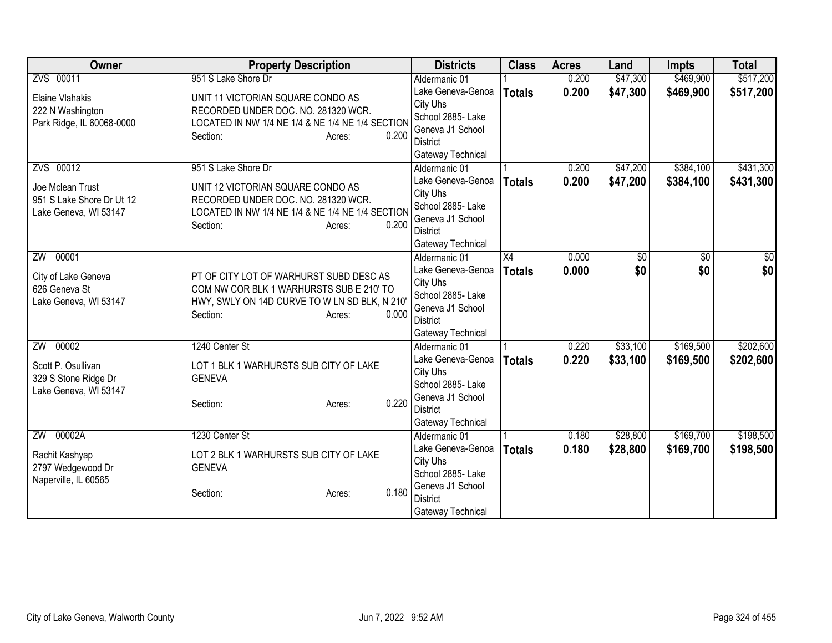| Owner                     | <b>Property Description</b>                      | <b>Districts</b>  | <b>Class</b>    | <b>Acres</b> | Land     | <b>Impts</b> | <b>Total</b> |
|---------------------------|--------------------------------------------------|-------------------|-----------------|--------------|----------|--------------|--------------|
| ZVS 00011                 | 951 S Lake Shore Dr                              | Aldermanic 01     |                 | 0.200        | \$47,300 | \$469,900    | \$517,200    |
| Elaine Vlahakis           | UNIT 11 VICTORIAN SQUARE CONDO AS                | Lake Geneva-Genoa | <b>Totals</b>   | 0.200        | \$47,300 | \$469,900    | \$517,200    |
| 222 N Washington          | RECORDED UNDER DOC. NO. 281320 WCR.              | City Uhs          |                 |              |          |              |              |
| Park Ridge, IL 60068-0000 | LOCATED IN NW 1/4 NE 1/4 & NE 1/4 NE 1/4 SECTION | School 2885- Lake |                 |              |          |              |              |
|                           | 0.200<br>Section:<br>Acres:                      | Geneva J1 School  |                 |              |          |              |              |
|                           |                                                  | <b>District</b>   |                 |              |          |              |              |
|                           |                                                  | Gateway Technical |                 |              |          |              |              |
| ZVS 00012                 | 951 S Lake Shore Dr                              | Aldermanic 01     |                 | 0.200        | \$47,200 | \$384,100    | \$431,300    |
| Joe Mclean Trust          | UNIT 12 VICTORIAN SQUARE CONDO AS                | Lake Geneva-Genoa | <b>Totals</b>   | 0.200        | \$47,200 | \$384,100    | \$431,300    |
| 951 S Lake Shore Dr Ut 12 | RECORDED UNDER DOC. NO. 281320 WCR.              | City Uhs          |                 |              |          |              |              |
| Lake Geneva, WI 53147     | LOCATED IN NW 1/4 NE 1/4 & NE 1/4 NE 1/4 SECTION | School 2885- Lake |                 |              |          |              |              |
|                           | Section:<br>0.200<br>Acres:                      | Geneva J1 School  |                 |              |          |              |              |
|                           |                                                  | District          |                 |              |          |              |              |
|                           |                                                  | Gateway Technical |                 |              |          |              |              |
| ZW 00001                  |                                                  | Aldermanic 01     | $\overline{X4}$ | 0.000        | \$0      | \$0          | \$0          |
| City of Lake Geneva       | PT OF CITY LOT OF WARHURST SUBD DESC AS          | Lake Geneva-Genoa | <b>Totals</b>   | 0.000        | \$0      | \$0          | \$0          |
| 626 Geneva St             | COM NW COR BLK 1 WARHURSTS SUB E 210' TO         | City Uhs          |                 |              |          |              |              |
| Lake Geneva, WI 53147     | HWY, SWLY ON 14D CURVE TO W LN SD BLK, N 210'    | School 2885- Lake |                 |              |          |              |              |
|                           | 0.000                                            | Geneva J1 School  |                 |              |          |              |              |
|                           | Section:<br>Acres:                               | <b>District</b>   |                 |              |          |              |              |
|                           |                                                  | Gateway Technical |                 |              |          |              |              |
| ZW 00002                  | 1240 Center St                                   | Aldermanic 01     |                 | 0.220        | \$33,100 | \$169,500    | \$202,600    |
| Scott P. Osullivan        | LOT 1 BLK 1 WARHURSTS SUB CITY OF LAKE           | Lake Geneva-Genoa | <b>Totals</b>   | 0.220        | \$33,100 | \$169,500    | \$202,600    |
| 329 S Stone Ridge Dr      | <b>GENEVA</b>                                    | City Uhs          |                 |              |          |              |              |
| Lake Geneva, WI 53147     |                                                  | School 2885- Lake |                 |              |          |              |              |
|                           | 0.220<br>Section:<br>Acres:                      | Geneva J1 School  |                 |              |          |              |              |
|                           |                                                  | <b>District</b>   |                 |              |          |              |              |
|                           |                                                  | Gateway Technical |                 |              |          |              |              |
| ZW 00002A                 | 1230 Center St                                   | Aldermanic 01     |                 | 0.180        | \$28,800 | \$169,700    | \$198,500    |
| Rachit Kashyap            | LOT 2 BLK 1 WARHURSTS SUB CITY OF LAKE           | Lake Geneva-Genoa | <b>Totals</b>   | 0.180        | \$28,800 | \$169,700    | \$198,500    |
| 2797 Wedgewood Dr         | <b>GENEVA</b>                                    | City Uhs          |                 |              |          |              |              |
| Naperville, IL 60565      |                                                  | School 2885-Lake  |                 |              |          |              |              |
|                           | 0.180<br>Section:<br>Acres:                      | Geneva J1 School  |                 |              |          |              |              |
|                           |                                                  | <b>District</b>   |                 |              |          |              |              |
|                           |                                                  | Gateway Technical |                 |              |          |              |              |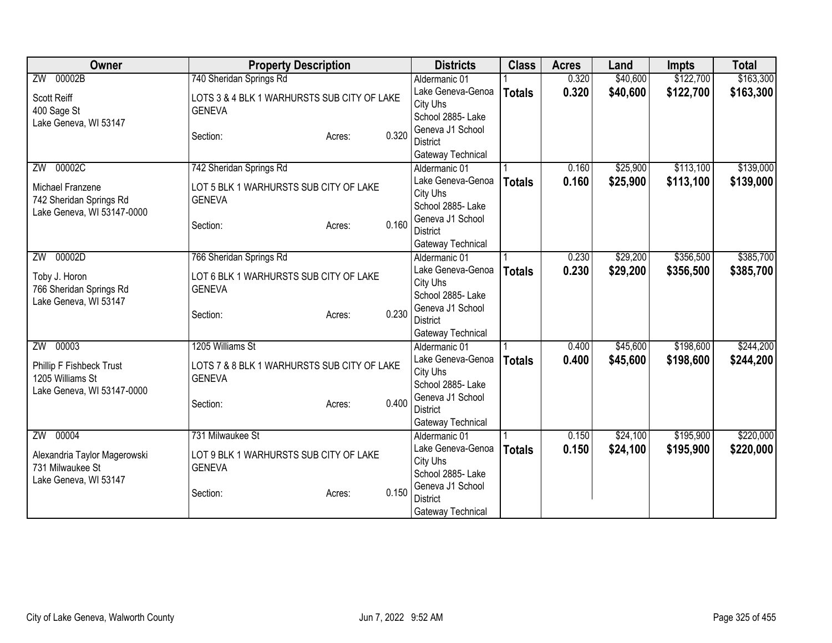| Owner                        | <b>Property Description</b>                 |        |          | <b>Districts</b>              | <b>Class</b>  | <b>Acres</b> | Land     | <b>Impts</b> | <b>Total</b> |
|------------------------------|---------------------------------------------|--------|----------|-------------------------------|---------------|--------------|----------|--------------|--------------|
| ZW 00002B                    | 740 Sheridan Springs Rd                     |        |          | Aldermanic 01                 |               | 0.320        | \$40,600 | \$122,700    | \$163,300    |
| <b>Scott Reiff</b>           | LOTS 3 & 4 BLK 1 WARHURSTS SUB CITY OF LAKE |        |          | Lake Geneva-Genoa             | <b>Totals</b> | 0.320        | \$40,600 | \$122,700    | \$163,300    |
| 400 Sage St                  | <b>GENEVA</b>                               |        |          | City Uhs                      |               |              |          |              |              |
| Lake Geneva, WI 53147        |                                             |        |          | School 2885- Lake             |               |              |          |              |              |
|                              | Section:                                    | Acres: | 0.320    | Geneva J1 School              |               |              |          |              |              |
|                              |                                             |        |          | <b>District</b>               |               |              |          |              |              |
|                              |                                             |        |          | Gateway Technical             |               |              |          |              |              |
| 00002C<br>ZW                 | 742 Sheridan Springs Rd                     |        |          | Aldermanic 01                 |               | 0.160        | \$25,900 | \$113,100    | \$139,000    |
| Michael Franzene             | LOT 5 BLK 1 WARHURSTS SUB CITY OF LAKE      |        |          | Lake Geneva-Genoa             | <b>Totals</b> | 0.160        | \$25,900 | \$113,100    | \$139,000    |
| 742 Sheridan Springs Rd      | <b>GENEVA</b>                               |        |          | City Uhs<br>School 2885- Lake |               |              |          |              |              |
| Lake Geneva, WI 53147-0000   |                                             |        |          | Geneva J1 School              |               |              |          |              |              |
|                              | Section:                                    | Acres: | 0.160    | <b>District</b>               |               |              |          |              |              |
|                              |                                             |        |          | Gateway Technical             |               |              |          |              |              |
| ZW 00002D                    | 766 Sheridan Springs Rd                     |        |          | Aldermanic 01                 |               | 0.230        | \$29,200 | \$356,500    | \$385,700    |
|                              |                                             |        |          | Lake Geneva-Genoa             | <b>Totals</b> | 0.230        | \$29,200 | \$356,500    | \$385,700    |
| Toby J. Horon                | LOT 6 BLK 1 WARHURSTS SUB CITY OF LAKE      |        | City Uhs |                               |               |              |          |              |              |
| 766 Sheridan Springs Rd      | <b>GENEVA</b>                               |        |          | School 2885- Lake             |               |              |          |              |              |
| Lake Geneva, WI 53147        |                                             |        | 0.230    | Geneva J1 School              |               |              |          |              |              |
|                              | Section:                                    | Acres: |          | <b>District</b>               |               |              |          |              |              |
|                              |                                             |        |          | Gateway Technical             |               |              |          |              |              |
| ZW 00003                     | 1205 Williams St                            |        |          | Aldermanic 01                 |               | 0.400        | \$45,600 | \$198,600    | \$244,200    |
| Phillip F Fishbeck Trust     | LOTS 7 & 8 BLK 1 WARHURSTS SUB CITY OF LAKE |        |          | Lake Geneva-Genoa             | <b>Totals</b> | 0.400        | \$45,600 | \$198,600    | \$244,200    |
| 1205 Williams St             | <b>GENEVA</b>                               |        |          | City Uhs                      |               |              |          |              |              |
| Lake Geneva, WI 53147-0000   |                                             |        |          | School 2885- Lake             |               |              |          |              |              |
|                              | Section:                                    | Acres: | 0.400    | Geneva J1 School              |               |              |          |              |              |
|                              |                                             |        |          | <b>District</b>               |               |              |          |              |              |
|                              |                                             |        |          | Gateway Technical             |               |              |          |              |              |
| ZW 00004                     | 731 Milwaukee St                            |        |          | Aldermanic 01                 |               | 0.150        | \$24,100 | \$195,900    | \$220,000    |
| Alexandria Taylor Magerowski | LOT 9 BLK 1 WARHURSTS SUB CITY OF LAKE      |        |          | Lake Geneva-Genoa             | <b>Totals</b> | 0.150        | \$24,100 | \$195,900    | \$220,000    |
| 731 Milwaukee St             | <b>GENEVA</b>                               |        |          | City Uhs<br>School 2885- Lake |               |              |          |              |              |
| Lake Geneva, WI 53147        |                                             |        |          | Geneva J1 School              |               |              |          |              |              |
|                              | Section:                                    | Acres: | 0.150    | <b>District</b>               |               |              |          |              |              |
|                              |                                             |        |          | Gateway Technical             |               |              |          |              |              |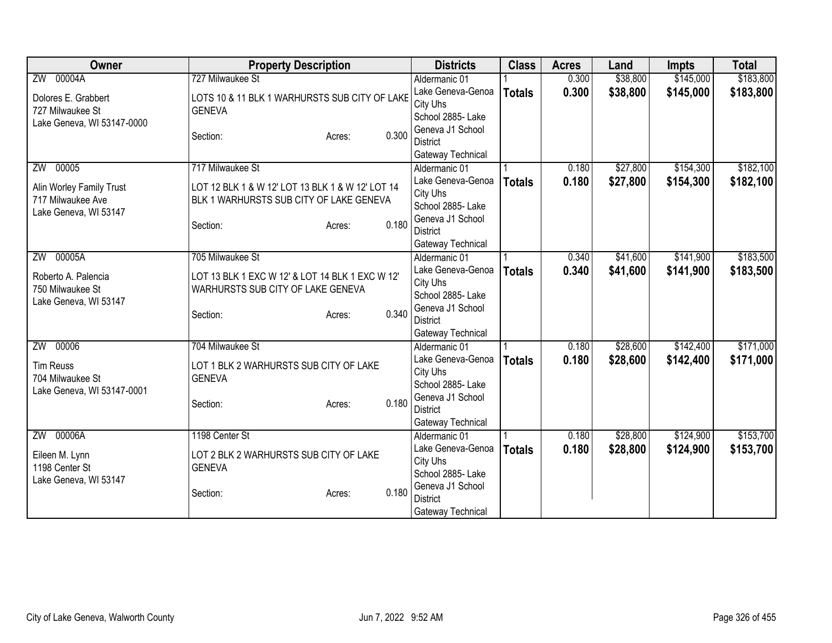| <b>Owner</b>               | <b>Property Description</b>                      | <b>Districts</b>  | <b>Class</b>  | <b>Acres</b> | Land     | <b>Impts</b> | <b>Total</b> |
|----------------------------|--------------------------------------------------|-------------------|---------------|--------------|----------|--------------|--------------|
| ZW 00004A                  | 727 Milwaukee St                                 | Aldermanic 01     |               | 0.300        | \$38,800 | \$145,000    | \$183,800    |
| Dolores E. Grabbert        | LOTS 10 & 11 BLK 1 WARHURSTS SUB CITY OF LAKE    | Lake Geneva-Genoa | <b>Totals</b> | 0.300        | \$38,800 | \$145,000    | \$183,800    |
| 727 Milwaukee St           | <b>GENEVA</b>                                    | City Uhs          |               |              |          |              |              |
| Lake Geneva, WI 53147-0000 |                                                  | School 2885- Lake |               |              |          |              |              |
|                            | 0.300<br>Section:<br>Acres:                      | Geneva J1 School  |               |              |          |              |              |
|                            |                                                  | <b>District</b>   |               |              |          |              |              |
|                            |                                                  | Gateway Technical |               |              |          |              |              |
| 00005<br>ZW                | 717 Milwaukee St                                 | Aldermanic 01     |               | 0.180        | \$27,800 | \$154,300    | \$182,100    |
| Alin Worley Family Trust   | LOT 12 BLK 1 & W 12' LOT 13 BLK 1 & W 12' LOT 14 | Lake Geneva-Genoa | <b>Totals</b> | 0.180        | \$27,800 | \$154,300    | \$182,100    |
| 717 Milwaukee Ave          | BLK 1 WARHURSTS SUB CITY OF LAKE GENEVA          | City Uhs          |               |              |          |              |              |
| Lake Geneva, WI 53147      |                                                  | School 2885- Lake |               |              |          |              |              |
|                            | 0.180<br>Section:<br>Acres:                      | Geneva J1 School  |               |              |          |              |              |
|                            |                                                  | <b>District</b>   |               |              |          |              |              |
|                            |                                                  | Gateway Technical |               |              |          |              |              |
| ZW 00005A                  | 705 Milwaukee St                                 | Aldermanic 01     |               | 0.340        | \$41,600 | \$141,900    | \$183,500    |
| Roberto A. Palencia        | LOT 13 BLK 1 EXC W 12' & LOT 14 BLK 1 EXC W 12'  | Lake Geneva-Genoa | <b>Totals</b> | 0.340        | \$41,600 | \$141,900    | \$183,500    |
| 750 Milwaukee St           | WARHURSTS SUB CITY OF LAKE GENEVA                | City Uhs          |               |              |          |              |              |
| Lake Geneva, WI 53147      |                                                  | School 2885- Lake |               |              |          |              |              |
|                            | 0.340<br>Section:<br>Acres:                      | Geneva J1 School  |               |              |          |              |              |
|                            |                                                  | <b>District</b>   |               |              |          |              |              |
|                            |                                                  | Gateway Technical |               |              |          |              |              |
| ZW 00006                   | 704 Milwaukee St                                 | Aldermanic 01     |               | 0.180        | \$28,600 | \$142,400    | \$171,000    |
| <b>Tim Reuss</b>           | LOT 1 BLK 2 WARHURSTS SUB CITY OF LAKE           | Lake Geneva-Genoa | <b>Totals</b> | 0.180        | \$28,600 | \$142,400    | \$171,000    |
| 704 Milwaukee St           | <b>GENEVA</b>                                    | City Uhs          |               |              |          |              |              |
| Lake Geneva, WI 53147-0001 |                                                  | School 2885- Lake |               |              |          |              |              |
|                            | 0.180<br>Section:<br>Acres:                      | Geneva J1 School  |               |              |          |              |              |
|                            |                                                  | <b>District</b>   |               |              |          |              |              |
|                            |                                                  | Gateway Technical |               |              |          |              |              |
| ZW 00006A                  | 1198 Center St                                   | Aldermanic 01     |               | 0.180        | \$28,800 | \$124,900    | \$153,700    |
| Eileen M. Lynn             | LOT 2 BLK 2 WARHURSTS SUB CITY OF LAKE           | Lake Geneva-Genoa | <b>Totals</b> | 0.180        | \$28,800 | \$124,900    | \$153,700    |
| 1198 Center St             | <b>GENEVA</b>                                    | City Uhs          |               |              |          |              |              |
| Lake Geneva, WI 53147      |                                                  | School 2885-Lake  |               |              |          |              |              |
|                            | 0.180<br>Section:<br>Acres:                      | Geneva J1 School  |               |              |          |              |              |
|                            |                                                  | <b>District</b>   |               |              |          |              |              |
|                            |                                                  | Gateway Technical |               |              |          |              |              |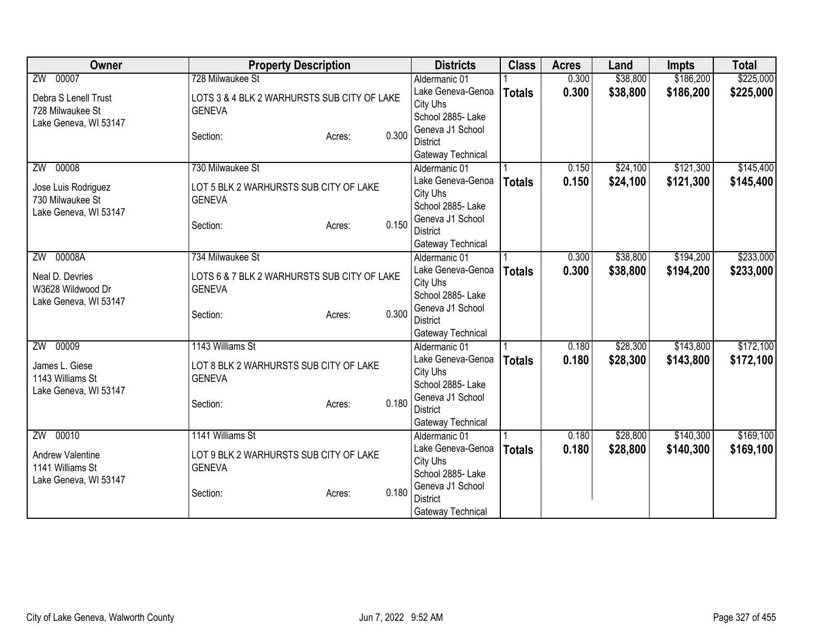| Owner                 | <b>Property Description</b>                 |       | <b>Districts</b>                    | <b>Class</b>  | <b>Acres</b> | Land     | <b>Impts</b> | <b>Total</b> |
|-----------------------|---------------------------------------------|-------|-------------------------------------|---------------|--------------|----------|--------------|--------------|
| ZW 00007              | 728 Milwaukee St                            |       | Aldermanic 01                       |               | 0.300        | \$38,800 | \$186,200    | \$225,000    |
| Debra S Lenell Trust  | LOTS 3 & 4 BLK 2 WARHURSTS SUB CITY OF LAKE |       | Lake Geneva-Genoa                   | <b>Totals</b> | 0.300        | \$38,800 | \$186,200    | \$225,000    |
| 728 Milwaukee St      | <b>GENEVA</b>                               |       | City Uhs                            |               |              |          |              |              |
| Lake Geneva, WI 53147 |                                             |       | School 2885- Lake                   |               |              |          |              |              |
|                       | Section:<br>Acres:                          | 0.300 | Geneva J1 School                    |               |              |          |              |              |
|                       |                                             |       | <b>District</b>                     |               |              |          |              |              |
|                       |                                             |       | Gateway Technical                   |               |              |          |              |              |
| 00008<br>ZW           | 730 Milwaukee St                            |       | Aldermanic 01                       |               | 0.150        | \$24,100 | \$121,300    | \$145,400    |
| Jose Luis Rodriguez   | LOT 5 BLK 2 WARHURSTS SUB CITY OF LAKE      |       | Lake Geneva-Genoa                   | <b>Totals</b> | 0.150        | \$24,100 | \$121,300    | \$145,400    |
| 730 Milwaukee St      | <b>GENEVA</b>                               |       | City Uhs<br>School 2885- Lake       |               |              |          |              |              |
| Lake Geneva, WI 53147 |                                             |       | Geneva J1 School                    |               |              |          |              |              |
|                       | Section:<br>Acres:                          | 0.150 | <b>District</b>                     |               |              |          |              |              |
|                       |                                             |       | Gateway Technical                   |               |              |          |              |              |
| ZW 00008A             | 734 Milwaukee St                            |       | Aldermanic 01                       |               | 0.300        | \$38,800 | \$194,200    | \$233,000    |
|                       |                                             |       | Lake Geneva-Genoa                   | <b>Totals</b> | 0.300        | \$38,800 | \$194,200    | \$233,000    |
| Neal D. Devries       | LOTS 6 & 7 BLK 2 WARHURSTS SUB CITY OF LAKE |       | City Uhs                            |               |              |          |              |              |
| W3628 Wildwood Dr     | <b>GENEVA</b>                               |       | School 2885- Lake                   |               |              |          |              |              |
| Lake Geneva, WI 53147 |                                             |       | Geneva J1 School                    |               |              |          |              |              |
|                       | Section:<br>Acres:                          | 0.300 | <b>District</b>                     |               |              |          |              |              |
|                       |                                             |       | Gateway Technical                   |               |              |          |              |              |
| ZW 00009              | 1143 Williams St                            |       | Aldermanic 01                       |               | 0.180        | \$28,300 | \$143,800    | \$172,100    |
| James L. Giese        | LOT 8 BLK 2 WARHURSTS SUB CITY OF LAKE      |       | Lake Geneva-Genoa                   | <b>Totals</b> | 0.180        | \$28,300 | \$143,800    | \$172,100    |
| 1143 Williams St      | <b>GENEVA</b>                               |       | City Uhs                            |               |              |          |              |              |
| Lake Geneva, WI 53147 |                                             |       | School 2885- Lake                   |               |              |          |              |              |
|                       | Section:<br>Acres:                          | 0.180 | Geneva J1 School                    |               |              |          |              |              |
|                       |                                             |       | <b>District</b>                     |               |              |          |              |              |
|                       |                                             |       | Gateway Technical                   |               |              |          |              |              |
| ZW 00010              | 1141 Williams St                            |       | Aldermanic 01                       |               | 0.180        | \$28,800 | \$140,300    | \$169,100    |
| Andrew Valentine      | LOT 9 BLK 2 WARHURSTS SUB CITY OF LAKE      |       | Lake Geneva-Genoa                   | <b>Totals</b> | 0.180        | \$28,800 | \$140,300    | \$169,100    |
| 1141 Williams St      | <b>GENEVA</b>                               |       | City Uhs                            |               |              |          |              |              |
| Lake Geneva, WI 53147 |                                             |       | School 2885- Lake                   |               |              |          |              |              |
|                       | Section:<br>Acres:                          | 0.180 | Geneva J1 School<br><b>District</b> |               |              |          |              |              |
|                       |                                             |       |                                     |               |              |          |              |              |
|                       |                                             |       | Gateway Technical                   |               |              |          |              |              |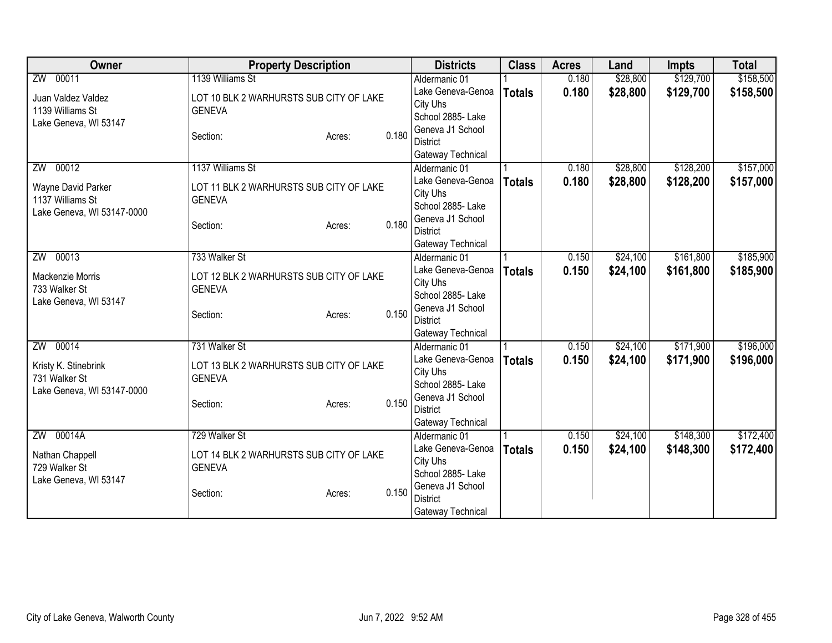| Owner                      | <b>Property Description</b>             |       | <b>Districts</b>  | <b>Class</b>  | <b>Acres</b> | Land     | <b>Impts</b> | <b>Total</b> |
|----------------------------|-----------------------------------------|-------|-------------------|---------------|--------------|----------|--------------|--------------|
| ZW 00011                   | 1139 Williams St                        |       | Aldermanic 01     |               | 0.180        | \$28,800 | \$129,700    | \$158,500    |
| Juan Valdez Valdez         | LOT 10 BLK 2 WARHURSTS SUB CITY OF LAKE |       | Lake Geneva-Genoa | <b>Totals</b> | 0.180        | \$28,800 | \$129,700    | \$158,500    |
| 1139 Williams St           | <b>GENEVA</b>                           |       | City Uhs          |               |              |          |              |              |
| Lake Geneva, WI 53147      |                                         |       | School 2885- Lake |               |              |          |              |              |
|                            | Section:<br>Acres:                      | 0.180 | Geneva J1 School  |               |              |          |              |              |
|                            |                                         |       | <b>District</b>   |               |              |          |              |              |
|                            |                                         |       | Gateway Technical |               |              |          |              |              |
| 00012<br>ZW                | 1137 Williams St                        |       | Aldermanic 01     |               | 0.180        | \$28,800 | \$128,200    | \$157,000    |
| Wayne David Parker         | LOT 11 BLK 2 WARHURSTS SUB CITY OF LAKE |       | Lake Geneva-Genoa | <b>Totals</b> | 0.180        | \$28,800 | \$128,200    | \$157,000    |
| 1137 Williams St           | <b>GENEVA</b>                           |       | City Uhs          |               |              |          |              |              |
| Lake Geneva, WI 53147-0000 |                                         |       | School 2885- Lake |               |              |          |              |              |
|                            | Section:<br>Acres:                      | 0.180 | Geneva J1 School  |               |              |          |              |              |
|                            |                                         |       | <b>District</b>   |               |              |          |              |              |
|                            |                                         |       | Gateway Technical |               |              |          |              |              |
| ZW 00013                   | 733 Walker St                           |       | Aldermanic 01     |               | 0.150        | \$24,100 | \$161,800    | \$185,900    |
| Mackenzie Morris           | LOT 12 BLK 2 WARHURSTS SUB CITY OF LAKE |       | Lake Geneva-Genoa | <b>Totals</b> | 0.150        | \$24,100 | \$161,800    | \$185,900    |
| 733 Walker St              | <b>GENEVA</b>                           |       | City Uhs          |               |              |          |              |              |
| Lake Geneva, WI 53147      |                                         |       | School 2885- Lake |               |              |          |              |              |
|                            | Section:<br>Acres:                      | 0.150 | Geneva J1 School  |               |              |          |              |              |
|                            |                                         |       | <b>District</b>   |               |              |          |              |              |
|                            |                                         |       | Gateway Technical |               |              |          |              |              |
| ZW 00014                   | 731 Walker St                           |       | Aldermanic 01     |               | 0.150        | \$24,100 | \$171,900    | \$196,000    |
| Kristy K. Stinebrink       | LOT 13 BLK 2 WARHURSTS SUB CITY OF LAKE |       | Lake Geneva-Genoa | <b>Totals</b> | 0.150        | \$24,100 | \$171,900    | \$196,000    |
| 731 Walker St              | <b>GENEVA</b>                           |       | City Uhs          |               |              |          |              |              |
| Lake Geneva, WI 53147-0000 |                                         |       | School 2885- Lake |               |              |          |              |              |
|                            | Section:<br>Acres:                      | 0.150 | Geneva J1 School  |               |              |          |              |              |
|                            |                                         |       | <b>District</b>   |               |              |          |              |              |
|                            |                                         |       | Gateway Technical |               |              |          |              |              |
| ZW 00014A                  | 729 Walker St                           |       | Aldermanic 01     |               | 0.150        | \$24,100 | \$148,300    | \$172,400    |
| Nathan Chappell            | LOT 14 BLK 2 WARHURSTS SUB CITY OF LAKE |       | Lake Geneva-Genoa | <b>Totals</b> | 0.150        | \$24,100 | \$148,300    | \$172,400    |
| 729 Walker St              | <b>GENEVA</b>                           |       | City Uhs          |               |              |          |              |              |
| Lake Geneva, WI 53147      |                                         |       | School 2885- Lake |               |              |          |              |              |
|                            | Section:<br>Acres:                      | 0.150 | Geneva J1 School  |               |              |          |              |              |
|                            |                                         |       | <b>District</b>   |               |              |          |              |              |
|                            |                                         |       | Gateway Technical |               |              |          |              |              |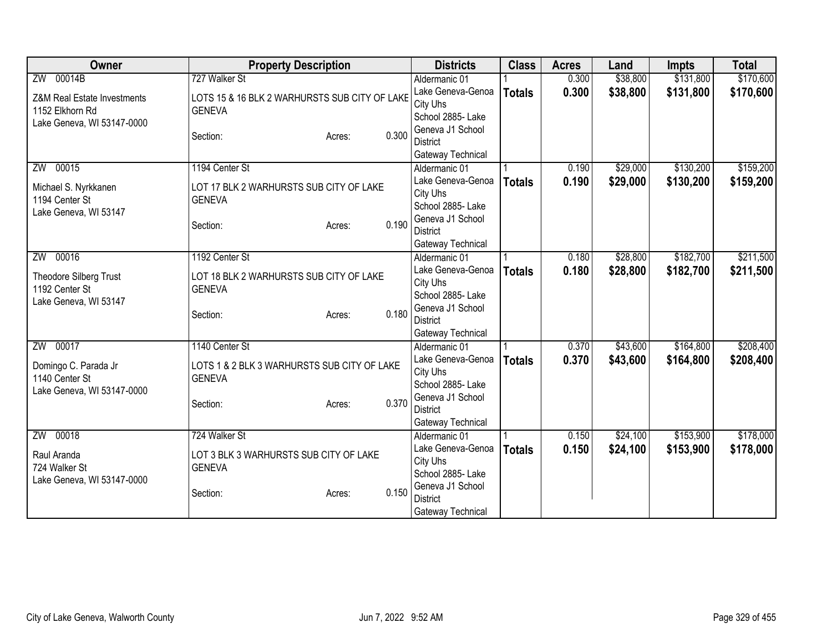| Owner                       | <b>Property Description</b>                   | <b>Districts</b>                    | <b>Class</b>  | <b>Acres</b> | Land     | <b>Impts</b> | <b>Total</b> |
|-----------------------------|-----------------------------------------------|-------------------------------------|---------------|--------------|----------|--------------|--------------|
| ZW 00014B                   | 727 Walker St                                 | Aldermanic 01                       |               | 0.300        | \$38,800 | \$131,800    | \$170,600    |
| Z&M Real Estate Investments | LOTS 15 & 16 BLK 2 WARHURSTS SUB CITY OF LAKE | Lake Geneva-Genoa                   | <b>Totals</b> | 0.300        | \$38,800 | \$131,800    | \$170,600    |
| 1152 Elkhorn Rd             | <b>GENEVA</b>                                 | City Uhs                            |               |              |          |              |              |
| Lake Geneva, WI 53147-0000  |                                               | School 2885- Lake                   |               |              |          |              |              |
|                             | 0.300<br>Section:<br>Acres:                   | Geneva J1 School                    |               |              |          |              |              |
|                             |                                               | District                            |               |              |          |              |              |
|                             |                                               | Gateway Technical                   |               |              |          |              |              |
| ZW 00015                    | 1194 Center St                                | Aldermanic 01                       |               | 0.190        | \$29,000 | \$130,200    | \$159,200    |
| Michael S. Nyrkkanen        | LOT 17 BLK 2 WARHURSTS SUB CITY OF LAKE       | Lake Geneva-Genoa                   | <b>Totals</b> | 0.190        | \$29,000 | \$130,200    | \$159,200    |
| 1194 Center St              | <b>GENEVA</b>                                 | City Uhs<br>School 2885- Lake       |               |              |          |              |              |
| Lake Geneva, WI 53147       |                                               | Geneva J1 School                    |               |              |          |              |              |
|                             | 0.190<br>Section:<br>Acres:                   | <b>District</b>                     |               |              |          |              |              |
|                             |                                               | Gateway Technical                   |               |              |          |              |              |
| ZW 00016                    | 1192 Center St                                | Aldermanic 01                       |               | 0.180        | \$28,800 | \$182,700    | \$211,500    |
|                             |                                               | Lake Geneva-Genoa                   | <b>Totals</b> | 0.180        | \$28,800 | \$182,700    | \$211,500    |
| Theodore Silberg Trust      | LOT 18 BLK 2 WARHURSTS SUB CITY OF LAKE       | City Uhs                            |               |              |          |              |              |
| 1192 Center St              | <b>GENEVA</b>                                 | School 2885- Lake                   |               |              |          |              |              |
| Lake Geneva, WI 53147       |                                               | Geneva J1 School                    |               |              |          |              |              |
|                             | 0.180<br>Section:<br>Acres:                   | <b>District</b>                     |               |              |          |              |              |
|                             |                                               | Gateway Technical                   |               |              |          |              |              |
| ZW 00017                    | 1140 Center St                                | Aldermanic 01                       |               | 0.370        | \$43,600 | \$164,800    | \$208,400    |
| Domingo C. Parada Jr        | LOTS 1 & 2 BLK 3 WARHURSTS SUB CITY OF LAKE   | Lake Geneva-Genoa                   | <b>Totals</b> | 0.370        | \$43,600 | \$164,800    | \$208,400    |
| 1140 Center St              | <b>GENEVA</b>                                 | City Uhs                            |               |              |          |              |              |
| Lake Geneva, WI 53147-0000  |                                               | School 2885- Lake                   |               |              |          |              |              |
|                             | 0.370<br>Section:<br>Acres:                   | Geneva J1 School                    |               |              |          |              |              |
|                             |                                               | <b>District</b>                     |               |              |          |              |              |
|                             |                                               | Gateway Technical                   |               |              |          |              |              |
| ZW 00018                    | 724 Walker St                                 | Aldermanic 01                       |               | 0.150        | \$24,100 | \$153,900    | \$178,000    |
| Raul Aranda                 | LOT 3 BLK 3 WARHURSTS SUB CITY OF LAKE        | Lake Geneva-Genoa                   | <b>Totals</b> | 0.150        | \$24,100 | \$153,900    | \$178,000    |
| 724 Walker St               | <b>GENEVA</b>                                 | City Uhs                            |               |              |          |              |              |
| Lake Geneva, WI 53147-0000  |                                               | School 2885- Lake                   |               |              |          |              |              |
|                             | 0.150<br>Section:<br>Acres:                   | Geneva J1 School<br><b>District</b> |               |              |          |              |              |
|                             |                                               | Gateway Technical                   |               |              |          |              |              |
|                             |                                               |                                     |               |              |          |              |              |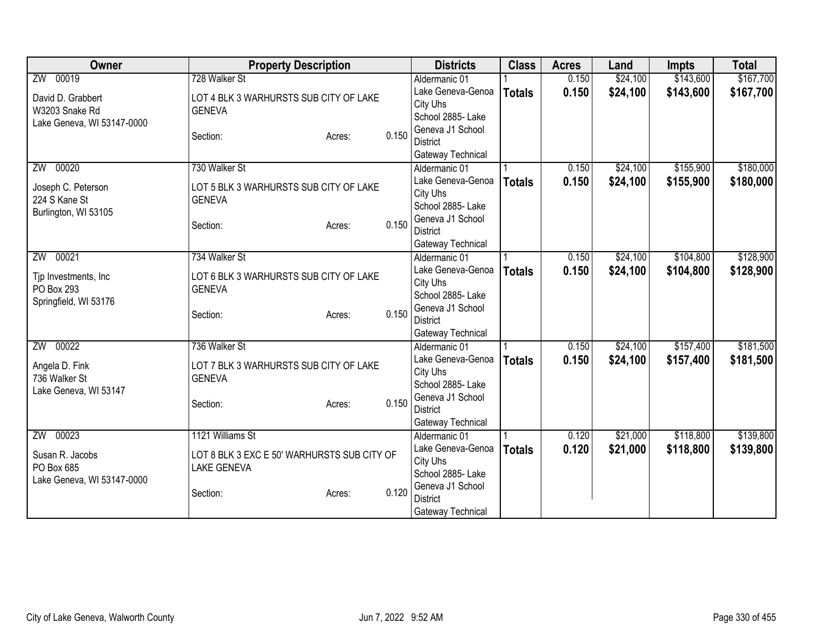| Owner                      | <b>Property Description</b>                 |        |       | <b>Districts</b>                    | <b>Class</b>  | <b>Acres</b> | Land     | <b>Impts</b> | <b>Total</b> |
|----------------------------|---------------------------------------------|--------|-------|-------------------------------------|---------------|--------------|----------|--------------|--------------|
| ZW 00019                   | 728 Walker St                               |        |       | Aldermanic 01                       |               | 0.150        | \$24,100 | \$143,600    | \$167,700    |
| David D. Grabbert          | LOT 4 BLK 3 WARHURSTS SUB CITY OF LAKE      |        |       | Lake Geneva-Genoa                   | <b>Totals</b> | 0.150        | \$24,100 | \$143,600    | \$167,700    |
| W3203 Snake Rd             | <b>GENEVA</b>                               |        |       | City Uhs                            |               |              |          |              |              |
| Lake Geneva, WI 53147-0000 |                                             |        |       | School 2885- Lake                   |               |              |          |              |              |
|                            | Section:                                    | Acres: | 0.150 | Geneva J1 School                    |               |              |          |              |              |
|                            |                                             |        |       | <b>District</b>                     |               |              |          |              |              |
|                            |                                             |        |       | Gateway Technical                   |               |              |          |              |              |
| 00020<br>ZW                | 730 Walker St                               |        |       | Aldermanic 01<br>Lake Geneva-Genoa  |               | 0.150        | \$24,100 | \$155,900    | \$180,000    |
| Joseph C. Peterson         | LOT 5 BLK 3 WARHURSTS SUB CITY OF LAKE      |        |       | City Uhs                            | <b>Totals</b> | 0.150        | \$24,100 | \$155,900    | \$180,000    |
| 224 S Kane St              | <b>GENEVA</b>                               |        |       | School 2885- Lake                   |               |              |          |              |              |
| Burlington, WI 53105       |                                             |        |       | Geneva J1 School                    |               |              |          |              |              |
|                            | Section:                                    | Acres: | 0.150 | <b>District</b>                     |               |              |          |              |              |
|                            |                                             |        |       | Gateway Technical                   |               |              |          |              |              |
| ZW 00021                   | 734 Walker St                               |        |       | Aldermanic 01                       |               | 0.150        | \$24,100 | \$104,800    | \$128,900    |
|                            |                                             |        |       | Lake Geneva-Genoa                   | <b>Totals</b> | 0.150        | \$24,100 | \$104,800    | \$128,900    |
| Tjp Investments, Inc       | LOT 6 BLK 3 WARHURSTS SUB CITY OF LAKE      |        |       | City Uhs                            |               |              |          |              |              |
| PO Box 293                 | <b>GENEVA</b>                               |        |       | School 2885- Lake                   |               |              |          |              |              |
| Springfield, WI 53176      | Section:                                    | Acres: | 0.150 | Geneva J1 School                    |               |              |          |              |              |
|                            |                                             |        |       | <b>District</b>                     |               |              |          |              |              |
|                            |                                             |        |       | Gateway Technical                   |               |              |          |              |              |
| ZW 00022                   | 736 Walker St                               |        |       | Aldermanic 01                       |               | 0.150        | \$24,100 | \$157,400    | \$181,500    |
| Angela D. Fink             | LOT 7 BLK 3 WARHURSTS SUB CITY OF LAKE      |        |       | Lake Geneva-Genoa                   | <b>Totals</b> | 0.150        | \$24,100 | \$157,400    | \$181,500    |
| 736 Walker St              | <b>GENEVA</b>                               |        |       | City Uhs                            |               |              |          |              |              |
| Lake Geneva, WI 53147      |                                             |        |       | School 2885-Lake                    |               |              |          |              |              |
|                            | Section:                                    | Acres: | 0.150 | Geneva J1 School<br><b>District</b> |               |              |          |              |              |
|                            |                                             |        |       | Gateway Technical                   |               |              |          |              |              |
| ZW 00023                   | 1121 Williams St                            |        |       | Aldermanic 01                       |               | 0.120        | \$21,000 | \$118,800    | \$139,800    |
|                            |                                             |        |       | Lake Geneva-Genoa                   | <b>Totals</b> | 0.120        | \$21,000 | \$118,800    | \$139,800    |
| Susan R. Jacobs            | LOT 8 BLK 3 EXC E 50' WARHURSTS SUB CITY OF |        |       | City Uhs                            |               |              |          |              |              |
| PO Box 685                 | <b>LAKE GENEVA</b>                          |        |       | School 2885-Lake                    |               |              |          |              |              |
| Lake Geneva, WI 53147-0000 |                                             |        |       | Geneva J1 School                    |               |              |          |              |              |
|                            | Section:                                    | Acres: | 0.120 | <b>District</b>                     |               |              |          |              |              |
|                            |                                             |        |       | Gateway Technical                   |               |              |          |              |              |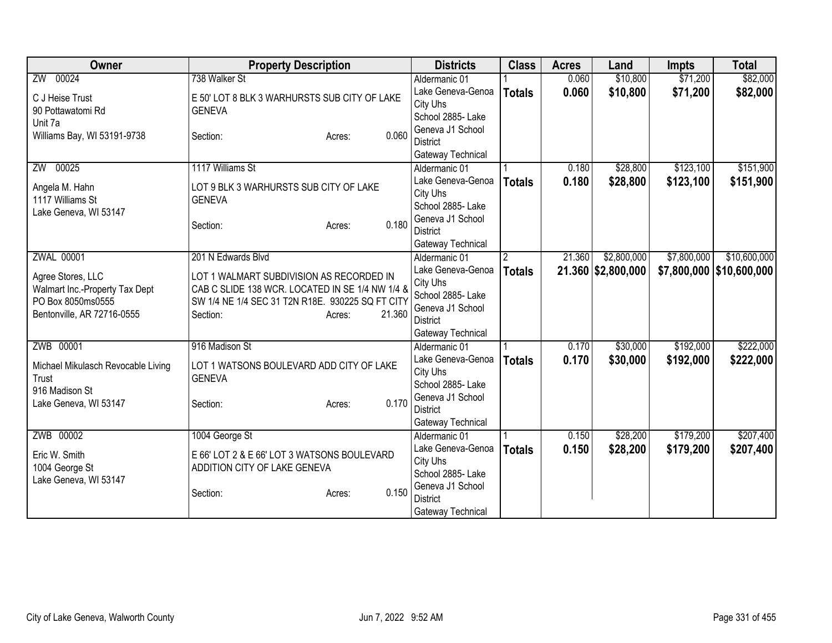| <b>Owner</b>                       | <b>Property Description</b>                      | <b>Districts</b>  | <b>Class</b>  | <b>Acres</b> | Land               | <b>Impts</b> | <b>Total</b>               |
|------------------------------------|--------------------------------------------------|-------------------|---------------|--------------|--------------------|--------------|----------------------------|
| ZW 00024                           | 738 Walker St                                    | Aldermanic 01     |               | 0.060        | \$10,800           | \$71,200     | \$82,000                   |
| C J Heise Trust                    | E 50' LOT 8 BLK 3 WARHURSTS SUB CITY OF LAKE     | Lake Geneva-Genoa | <b>Totals</b> | 0.060        | \$10,800           | \$71,200     | \$82,000                   |
| 90 Pottawatomi Rd                  | <b>GENEVA</b>                                    | City Uhs          |               |              |                    |              |                            |
| Unit 7a                            |                                                  | School 2885-Lake  |               |              |                    |              |                            |
| Williams Bay, WI 53191-9738        | 0.060<br>Section:<br>Acres:                      | Geneva J1 School  |               |              |                    |              |                            |
|                                    |                                                  | <b>District</b>   |               |              |                    |              |                            |
|                                    |                                                  | Gateway Technical |               |              |                    |              |                            |
| 00025<br>ZW                        | 1117 Williams St                                 | Aldermanic 01     |               | 0.180        | \$28,800           | \$123,100    | \$151,900                  |
| Angela M. Hahn                     | LOT 9 BLK 3 WARHURSTS SUB CITY OF LAKE           | Lake Geneva-Genoa | <b>Totals</b> | 0.180        | \$28,800           | \$123,100    | \$151,900                  |
| 1117 Williams St                   | <b>GENEVA</b>                                    | City Uhs          |               |              |                    |              |                            |
| Lake Geneva, WI 53147              |                                                  | School 2885- Lake |               |              |                    |              |                            |
|                                    | 0.180<br>Section:<br>Acres:                      | Geneva J1 School  |               |              |                    |              |                            |
|                                    |                                                  | <b>District</b>   |               |              |                    |              |                            |
|                                    |                                                  | Gateway Technical |               |              |                    |              |                            |
| <b>ZWAL 00001</b>                  | 201 N Edwards Blvd                               | Aldermanic 01     | 2             | 21.360       | \$2,800,000        | \$7,800,000  | \$10,600,000               |
| Agree Stores, LLC                  | LOT 1 WALMART SUBDIVISION AS RECORDED IN         | Lake Geneva-Genoa | <b>Totals</b> |              | 21.360 \$2,800,000 |              | \$7,800,000   \$10,600,000 |
| Walmart Inc.-Property Tax Dept     | CAB C SLIDE 138 WCR. LOCATED IN SE 1/4 NW 1/4 &  | City Uhs          |               |              |                    |              |                            |
| PO Box 8050ms0555                  | SW 1/4 NE 1/4 SEC 31 T2N R18E. 930225 SQ FT CITY | School 2885- Lake |               |              |                    |              |                            |
| Bentonville, AR 72716-0555         | 21.360<br>Section:<br>Acres:                     | Geneva J1 School  |               |              |                    |              |                            |
|                                    |                                                  | <b>District</b>   |               |              |                    |              |                            |
|                                    |                                                  | Gateway Technical |               |              |                    |              |                            |
| ZWB 00001                          | 916 Madison St                                   | Aldermanic 01     |               | 0.170        | \$30,000           | \$192,000    | \$222,000                  |
| Michael Mikulasch Revocable Living | LOT 1 WATSONS BOULEVARD ADD CITY OF LAKE         | Lake Geneva-Genoa | <b>Totals</b> | 0.170        | \$30,000           | \$192,000    | \$222,000                  |
| Trust                              | <b>GENEVA</b>                                    | City Uhs          |               |              |                    |              |                            |
| 916 Madison St                     |                                                  | School 2885- Lake |               |              |                    |              |                            |
| Lake Geneva, WI 53147              | 0.170<br>Section:<br>Acres:                      | Geneva J1 School  |               |              |                    |              |                            |
|                                    |                                                  | <b>District</b>   |               |              |                    |              |                            |
|                                    |                                                  | Gateway Technical |               |              |                    |              |                            |
| ZWB 00002                          | 1004 George St                                   | Aldermanic 01     |               | 0.150        | \$28,200           | \$179,200    | \$207,400                  |
| Eric W. Smith                      | E 66' LOT 2 & E 66' LOT 3 WATSONS BOULEVARD      | Lake Geneva-Genoa | <b>Totals</b> | 0.150        | \$28,200           | \$179,200    | \$207,400                  |
| 1004 George St                     | ADDITION CITY OF LAKE GENEVA                     | City Uhs          |               |              |                    |              |                            |
| Lake Geneva, WI 53147              |                                                  | School 2885- Lake |               |              |                    |              |                            |
|                                    | 0.150<br>Section:<br>Acres:                      | Geneva J1 School  |               |              |                    |              |                            |
|                                    |                                                  | <b>District</b>   |               |              |                    |              |                            |
|                                    |                                                  | Gateway Technical |               |              |                    |              |                            |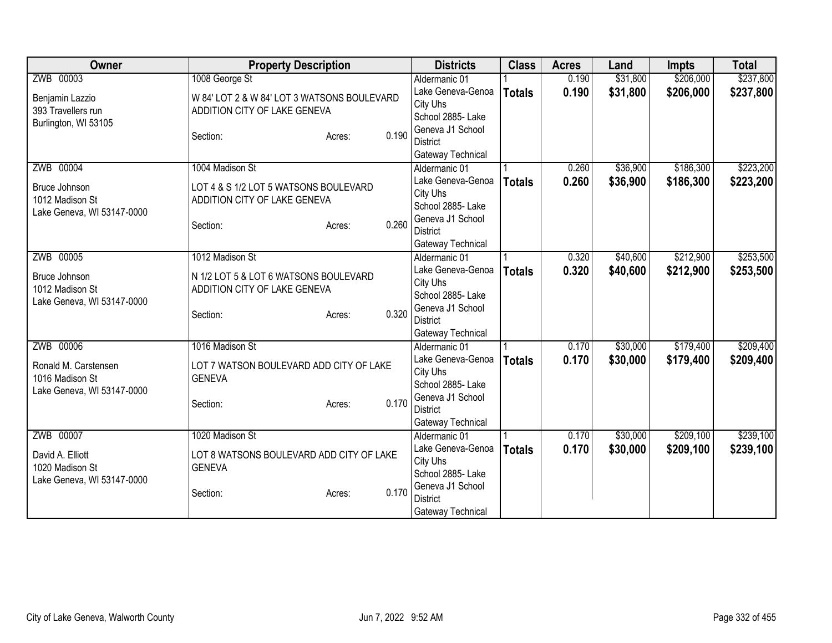| Owner                      | <b>Property Description</b>                 | <b>Districts</b>  | <b>Class</b>  | <b>Acres</b> | Land     | <b>Impts</b> | <b>Total</b> |
|----------------------------|---------------------------------------------|-------------------|---------------|--------------|----------|--------------|--------------|
| ZWB 00003                  | 1008 George St                              | Aldermanic 01     |               | 0.190        | \$31,800 | \$206,000    | \$237,800    |
| Benjamin Lazzio            | W 84' LOT 2 & W 84' LOT 3 WATSONS BOULEVARD | Lake Geneva-Genoa | <b>Totals</b> | 0.190        | \$31,800 | \$206,000    | \$237,800    |
| 393 Travellers run         | ADDITION CITY OF LAKE GENEVA                | City Uhs          |               |              |          |              |              |
| Burlington, WI 53105       |                                             | School 2885- Lake |               |              |          |              |              |
|                            | 0.190<br>Section:<br>Acres:                 | Geneva J1 School  |               |              |          |              |              |
|                            |                                             | <b>District</b>   |               |              |          |              |              |
|                            |                                             | Gateway Technical |               |              |          |              |              |
| ZWB 00004                  | 1004 Madison St                             | Aldermanic 01     |               | 0.260        | \$36,900 | \$186,300    | \$223,200    |
| Bruce Johnson              | LOT 4 & S 1/2 LOT 5 WATSONS BOULEVARD       | Lake Geneva-Genoa | <b>Totals</b> | 0.260        | \$36,900 | \$186,300    | \$223,200    |
| 1012 Madison St            | ADDITION CITY OF LAKE GENEVA                | City Uhs          |               |              |          |              |              |
| Lake Geneva, WI 53147-0000 |                                             | School 2885- Lake |               |              |          |              |              |
|                            | 0.260<br>Section:<br>Acres:                 | Geneva J1 School  |               |              |          |              |              |
|                            |                                             | <b>District</b>   |               |              |          |              |              |
|                            |                                             | Gateway Technical |               |              |          |              |              |
| ZWB 00005                  | 1012 Madison St                             | Aldermanic 01     |               | 0.320        | \$40,600 | \$212,900    | \$253,500    |
| Bruce Johnson              | N 1/2 LOT 5 & LOT 6 WATSONS BOULEVARD       | Lake Geneva-Genoa | <b>Totals</b> | 0.320        | \$40,600 | \$212,900    | \$253,500    |
| 1012 Madison St            | ADDITION CITY OF LAKE GENEVA                | City Uhs          |               |              |          |              |              |
| Lake Geneva, WI 53147-0000 |                                             | School 2885- Lake |               |              |          |              |              |
|                            | 0.320<br>Section:<br>Acres:                 | Geneva J1 School  |               |              |          |              |              |
|                            |                                             | <b>District</b>   |               |              |          |              |              |
|                            |                                             | Gateway Technical |               |              |          |              |              |
| ZWB 00006                  | 1016 Madison St                             | Aldermanic 01     |               | 0.170        | \$30,000 | \$179,400    | \$209,400    |
| Ronald M. Carstensen       | LOT 7 WATSON BOULEVARD ADD CITY OF LAKE     | Lake Geneva-Genoa | <b>Totals</b> | 0.170        | \$30,000 | \$179,400    | \$209,400    |
| 1016 Madison St            | <b>GENEVA</b>                               | City Uhs          |               |              |          |              |              |
| Lake Geneva, WI 53147-0000 |                                             | School 2885- Lake |               |              |          |              |              |
|                            | 0.170<br>Section:<br>Acres:                 | Geneva J1 School  |               |              |          |              |              |
|                            |                                             | <b>District</b>   |               |              |          |              |              |
|                            |                                             | Gateway Technical |               |              |          |              |              |
| ZWB 00007                  | 1020 Madison St                             | Aldermanic 01     |               | 0.170        | \$30,000 | \$209,100    | \$239,100    |
| David A. Elliott           | LOT 8 WATSONS BOULEVARD ADD CITY OF LAKE    | Lake Geneva-Genoa | <b>Totals</b> | 0.170        | \$30,000 | \$209,100    | \$239,100    |
| 1020 Madison St            | <b>GENEVA</b>                               | City Uhs          |               |              |          |              |              |
| Lake Geneva, WI 53147-0000 |                                             | School 2885- Lake |               |              |          |              |              |
|                            | 0.170<br>Section:<br>Acres:                 | Geneva J1 School  |               |              |          |              |              |
|                            |                                             | <b>District</b>   |               |              |          |              |              |
|                            |                                             | Gateway Technical |               |              |          |              |              |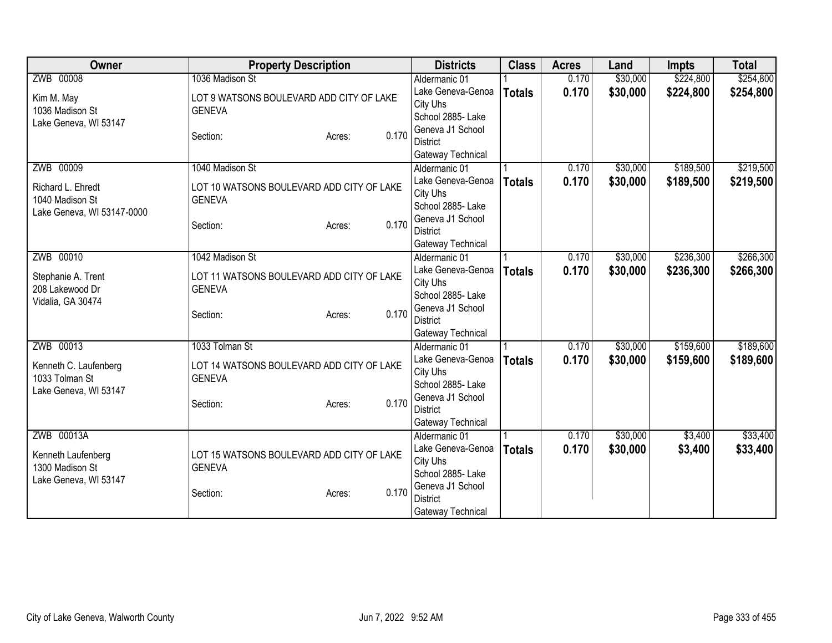| Owner                      | <b>Property Description</b>               | <b>Districts</b>                    | <b>Class</b>  | <b>Acres</b> | Land     | <b>Impts</b> | <b>Total</b> |
|----------------------------|-------------------------------------------|-------------------------------------|---------------|--------------|----------|--------------|--------------|
| ZWB 00008                  | 1036 Madison St                           | Aldermanic 01                       |               | 0.170        | \$30,000 | \$224,800    | \$254,800    |
| Kim M. May                 | LOT 9 WATSONS BOULEVARD ADD CITY OF LAKE  | Lake Geneva-Genoa                   | <b>Totals</b> | 0.170        | \$30,000 | \$224,800    | \$254,800    |
| 1036 Madison St            | <b>GENEVA</b>                             | City Uhs                            |               |              |          |              |              |
| Lake Geneva, WI 53147      |                                           | School 2885- Lake                   |               |              |          |              |              |
|                            | 0.170<br>Section:<br>Acres:               | Geneva J1 School                    |               |              |          |              |              |
|                            |                                           | <b>District</b>                     |               |              |          |              |              |
|                            |                                           | Gateway Technical                   |               |              |          |              |              |
| ZWB 00009                  | 1040 Madison St                           | Aldermanic 01                       |               | 0.170        | \$30,000 | \$189,500    | \$219,500    |
| Richard L. Ehredt          | LOT 10 WATSONS BOULEVARD ADD CITY OF LAKE | Lake Geneva-Genoa                   | <b>Totals</b> | 0.170        | \$30,000 | \$189,500    | \$219,500    |
| 1040 Madison St            | <b>GENEVA</b>                             | City Uhs                            |               |              |          |              |              |
| Lake Geneva, WI 53147-0000 |                                           | School 2885- Lake                   |               |              |          |              |              |
|                            | 0.170<br>Section:<br>Acres:               | Geneva J1 School                    |               |              |          |              |              |
|                            |                                           | <b>District</b>                     |               |              |          |              |              |
|                            |                                           | Gateway Technical                   |               |              |          |              |              |
| ZWB 00010                  | 1042 Madison St                           | Aldermanic 01                       |               | 0.170        | \$30,000 | \$236,300    | \$266,300    |
| Stephanie A. Trent         | LOT 11 WATSONS BOULEVARD ADD CITY OF LAKE | Lake Geneva-Genoa                   | <b>Totals</b> | 0.170        | \$30,000 | \$236,300    | \$266,300    |
| 208 Lakewood Dr            | <b>GENEVA</b>                             | City Uhs                            |               |              |          |              |              |
| Vidalia, GA 30474          |                                           | School 2885- Lake                   |               |              |          |              |              |
|                            | 0.170<br>Section:<br>Acres:               | Geneva J1 School<br><b>District</b> |               |              |          |              |              |
|                            |                                           |                                     |               |              |          |              |              |
| ZWB 00013                  | 1033 Tolman St                            | Gateway Technical<br>Aldermanic 01  |               | 0.170        | \$30,000 | \$159,600    | \$189,600    |
|                            |                                           |                                     |               |              |          |              |              |
| Kenneth C. Laufenberg      | LOT 14 WATSONS BOULEVARD ADD CITY OF LAKE | Lake Geneva-Genoa<br>City Uhs       | <b>Totals</b> | 0.170        | \$30,000 | \$159,600    | \$189,600    |
| 1033 Tolman St             | <b>GENEVA</b>                             | School 2885- Lake                   |               |              |          |              |              |
| Lake Geneva, WI 53147      |                                           | Geneva J1 School                    |               |              |          |              |              |
|                            | 0.170<br>Section:<br>Acres:               | <b>District</b>                     |               |              |          |              |              |
|                            |                                           | Gateway Technical                   |               |              |          |              |              |
| ZWB 00013A                 |                                           | Aldermanic 01                       |               | 0.170        | \$30,000 | \$3,400      | \$33,400     |
|                            |                                           | Lake Geneva-Genoa                   | <b>Totals</b> | 0.170        | \$30,000 | \$3,400      | \$33,400     |
| Kenneth Laufenberg         | LOT 15 WATSONS BOULEVARD ADD CITY OF LAKE | City Uhs                            |               |              |          |              |              |
| 1300 Madison St            | <b>GENEVA</b>                             | School 2885- Lake                   |               |              |          |              |              |
| Lake Geneva, WI 53147      |                                           | Geneva J1 School                    |               |              |          |              |              |
|                            | 0.170<br>Section:<br>Acres:               | <b>District</b>                     |               |              |          |              |              |
|                            |                                           | Gateway Technical                   |               |              |          |              |              |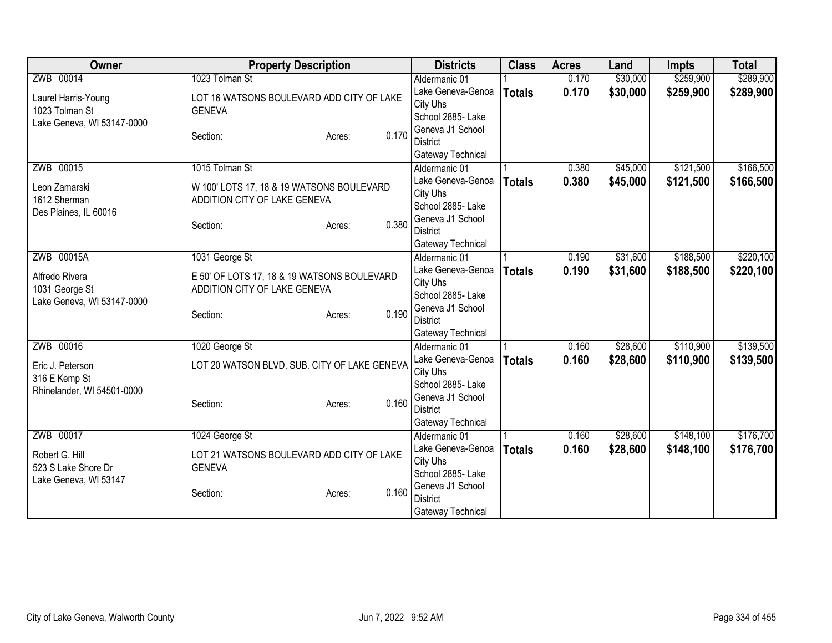| <b>Owner</b>               | <b>Property Description</b>                  | <b>Districts</b>                   | <b>Class</b>  | <b>Acres</b> | Land     | <b>Impts</b> | <b>Total</b> |
|----------------------------|----------------------------------------------|------------------------------------|---------------|--------------|----------|--------------|--------------|
| ZWB 00014                  | 1023 Tolman St                               | Aldermanic 01                      |               | 0.170        | \$30,000 | \$259,900    | \$289,900    |
| Laurel Harris-Young        | LOT 16 WATSONS BOULEVARD ADD CITY OF LAKE    | Lake Geneva-Genoa                  | <b>Totals</b> | 0.170        | \$30,000 | \$259,900    | \$289,900    |
| 1023 Tolman St             | <b>GENEVA</b>                                | City Uhs                           |               |              |          |              |              |
| Lake Geneva, WI 53147-0000 |                                              | School 2885- Lake                  |               |              |          |              |              |
|                            | 0.170<br>Section:<br>Acres:                  | Geneva J1 School                   |               |              |          |              |              |
|                            |                                              | <b>District</b>                    |               |              |          |              |              |
|                            | 1015 Tolman St                               | Gateway Technical                  |               |              |          | \$121,500    | \$166,500    |
| ZWB 00015                  |                                              | Aldermanic 01<br>Lake Geneva-Genoa |               | 0.380        | \$45,000 |              |              |
| Leon Zamarski              | W 100' LOTS 17, 18 & 19 WATSONS BOULEVARD    | City Uhs                           | <b>Totals</b> | 0.380        | \$45,000 | \$121,500    | \$166,500    |
| 1612 Sherman               | ADDITION CITY OF LAKE GENEVA                 | School 2885- Lake                  |               |              |          |              |              |
| Des Plaines, IL 60016      |                                              | Geneva J1 School                   |               |              |          |              |              |
|                            | 0.380<br>Section:<br>Acres:                  | <b>District</b>                    |               |              |          |              |              |
|                            |                                              | Gateway Technical                  |               |              |          |              |              |
| ZWB 00015A                 | 1031 George St                               | Aldermanic 01                      |               | 0.190        | \$31,600 | \$188,500    | \$220,100    |
|                            |                                              | Lake Geneva-Genoa                  | <b>Totals</b> | 0.190        | \$31,600 | \$188,500    | \$220,100    |
| Alfredo Rivera             | E 50' OF LOTS 17, 18 & 19 WATSONS BOULEVARD  | City Uhs                           |               |              |          |              |              |
| 1031 George St             | ADDITION CITY OF LAKE GENEVA                 | School 2885- Lake                  |               |              |          |              |              |
| Lake Geneva, WI 53147-0000 | 0.190                                        | Geneva J1 School                   |               |              |          |              |              |
|                            | Section:<br>Acres:                           | <b>District</b>                    |               |              |          |              |              |
|                            |                                              | Gateway Technical                  |               |              |          |              |              |
| ZWB 00016                  | 1020 George St                               | Aldermanic 01                      |               | 0.160        | \$28,600 | \$110,900    | \$139,500    |
| Eric J. Peterson           | LOT 20 WATSON BLVD. SUB. CITY OF LAKE GENEVA | Lake Geneva-Genoa                  | <b>Totals</b> | 0.160        | \$28,600 | \$110,900    | \$139,500    |
| 316 E Kemp St              |                                              | City Uhs                           |               |              |          |              |              |
| Rhinelander, WI 54501-0000 |                                              | School 2885-Lake                   |               |              |          |              |              |
|                            | 0.160<br>Section:<br>Acres:                  | Geneva J1 School                   |               |              |          |              |              |
|                            |                                              | <b>District</b>                    |               |              |          |              |              |
|                            |                                              | Gateway Technical                  |               |              |          |              |              |
| ZWB 00017                  | 1024 George St                               | Aldermanic 01                      |               | 0.160        | \$28,600 | \$148,100    | \$176,700    |
| Robert G. Hill             | LOT 21 WATSONS BOULEVARD ADD CITY OF LAKE    | Lake Geneva-Genoa<br>City Uhs      | <b>Totals</b> | 0.160        | \$28,600 | \$148,100    | \$176,700    |
| 523 S Lake Shore Dr        | <b>GENEVA</b>                                | School 2885-Lake                   |               |              |          |              |              |
| Lake Geneva, WI 53147      |                                              | Geneva J1 School                   |               |              |          |              |              |
|                            | 0.160<br>Section:<br>Acres:                  | <b>District</b>                    |               |              |          |              |              |
|                            |                                              | Gateway Technical                  |               |              |          |              |              |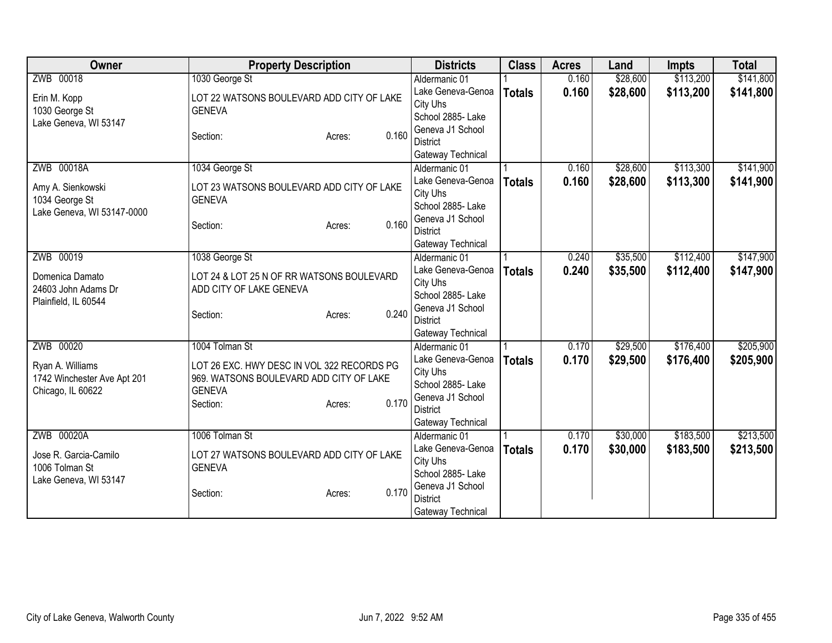| Owner                                            | <b>Property Description</b>                                                           | <b>Districts</b>                    | <b>Class</b>  | <b>Acres</b> | Land     | <b>Impts</b> | <b>Total</b> |
|--------------------------------------------------|---------------------------------------------------------------------------------------|-------------------------------------|---------------|--------------|----------|--------------|--------------|
| ZWB 00018                                        | 1030 George St                                                                        | Aldermanic 01                       |               | 0.160        | \$28,600 | \$113,200    | \$141,800    |
| Erin M. Kopp                                     | LOT 22 WATSONS BOULEVARD ADD CITY OF LAKE                                             | Lake Geneva-Genoa                   | <b>Totals</b> | 0.160        | \$28,600 | \$113,200    | \$141,800    |
| 1030 George St                                   | <b>GENEVA</b>                                                                         | City Uhs                            |               |              |          |              |              |
| Lake Geneva, WI 53147                            |                                                                                       | School 2885- Lake                   |               |              |          |              |              |
|                                                  | 0.160<br>Section:<br>Acres:                                                           | Geneva J1 School                    |               |              |          |              |              |
|                                                  |                                                                                       | <b>District</b>                     |               |              |          |              |              |
|                                                  |                                                                                       | Gateway Technical                   |               |              |          |              |              |
| ZWB 00018A                                       | 1034 George St                                                                        | Aldermanic 01                       |               | 0.160        | \$28,600 | \$113,300    | \$141,900    |
| Amy A. Sienkowski                                | LOT 23 WATSONS BOULEVARD ADD CITY OF LAKE                                             | Lake Geneva-Genoa                   | <b>Totals</b> | 0.160        | \$28,600 | \$113,300    | \$141,900    |
| 1034 George St                                   | <b>GENEVA</b>                                                                         | City Uhs                            |               |              |          |              |              |
| Lake Geneva, WI 53147-0000                       |                                                                                       | School 2885- Lake                   |               |              |          |              |              |
|                                                  | 0.160<br>Section:<br>Acres:                                                           | Geneva J1 School<br><b>District</b> |               |              |          |              |              |
|                                                  |                                                                                       |                                     |               |              |          |              |              |
| ZWB 00019                                        | 1038 George St                                                                        | Gateway Technical<br>Aldermanic 01  |               | 0.240        | \$35,500 | \$112,400    | \$147,900    |
|                                                  |                                                                                       | Lake Geneva-Genoa                   |               | 0.240        | \$35,500 | \$112,400    | \$147,900    |
| Domenica Damato                                  | LOT 24 & LOT 25 N OF RR WATSONS BOULEVARD                                             | City Uhs                            | <b>Totals</b> |              |          |              |              |
| 24603 John Adams Dr                              | ADD CITY OF LAKE GENEVA                                                               | School 2885- Lake                   |               |              |          |              |              |
| Plainfield, IL 60544                             |                                                                                       | Geneva J1 School                    |               |              |          |              |              |
|                                                  | 0.240<br>Section:<br>Acres:                                                           | <b>District</b>                     |               |              |          |              |              |
|                                                  |                                                                                       | Gateway Technical                   |               |              |          |              |              |
| ZWB 00020                                        | 1004 Tolman St                                                                        | Aldermanic 01                       |               | 0.170        | \$29,500 | \$176,400    | \$205,900    |
|                                                  |                                                                                       | Lake Geneva-Genoa                   | <b>Totals</b> | 0.170        | \$29,500 | \$176,400    | \$205,900    |
| Ryan A. Williams                                 | LOT 26 EXC. HWY DESC IN VOL 322 RECORDS PG<br>969. WATSONS BOULEVARD ADD CITY OF LAKE | City Uhs                            |               |              |          |              |              |
| 1742 Winchester Ave Apt 201<br>Chicago, IL 60622 | <b>GENEVA</b>                                                                         | School 2885- Lake                   |               |              |          |              |              |
|                                                  | 0.170<br>Section:<br>Acres:                                                           | Geneva J1 School                    |               |              |          |              |              |
|                                                  |                                                                                       | <b>District</b>                     |               |              |          |              |              |
|                                                  |                                                                                       | Gateway Technical                   |               |              |          |              |              |
| ZWB 00020A                                       | 1006 Tolman St                                                                        | Aldermanic 01                       |               | 0.170        | \$30,000 | \$183,500    | \$213,500    |
| Jose R. Garcia-Camilo                            | LOT 27 WATSONS BOULEVARD ADD CITY OF LAKE                                             | Lake Geneva-Genoa                   | <b>Totals</b> | 0.170        | \$30,000 | \$183,500    | \$213,500    |
| 1006 Tolman St                                   | <b>GENEVA</b>                                                                         | City Uhs                            |               |              |          |              |              |
| Lake Geneva, WI 53147                            |                                                                                       | School 2885- Lake                   |               |              |          |              |              |
|                                                  | 0.170<br>Section:<br>Acres:                                                           | Geneva J1 School                    |               |              |          |              |              |
|                                                  |                                                                                       | <b>District</b>                     |               |              |          |              |              |
|                                                  |                                                                                       | Gateway Technical                   |               |              |          |              |              |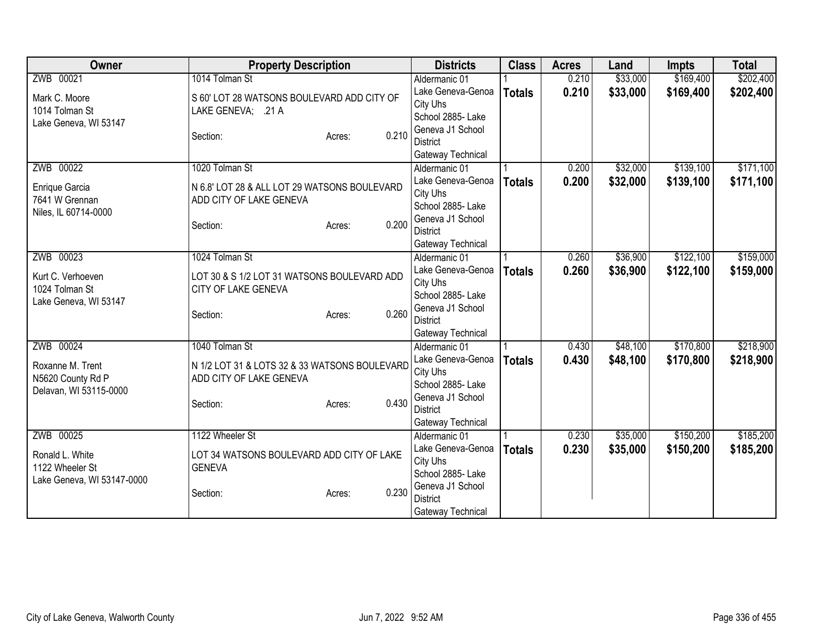| Owner                      | <b>Property Description</b>                   | <b>Districts</b>  | <b>Class</b>  | <b>Acres</b> | Land     | <b>Impts</b> | <b>Total</b> |
|----------------------------|-----------------------------------------------|-------------------|---------------|--------------|----------|--------------|--------------|
| ZWB 00021                  | 1014 Tolman St                                | Aldermanic 01     |               | 0.210        | \$33,000 | \$169,400    | \$202,400    |
| Mark C. Moore              | S 60' LOT 28 WATSONS BOULEVARD ADD CITY OF    | Lake Geneva-Genoa | <b>Totals</b> | 0.210        | \$33,000 | \$169,400    | \$202,400    |
| 1014 Tolman St             | LAKE GENEVA; .21 A                            | City Uhs          |               |              |          |              |              |
| Lake Geneva, WI 53147      |                                               | School 2885- Lake |               |              |          |              |              |
|                            | 0.210<br>Section:<br>Acres:                   | Geneva J1 School  |               |              |          |              |              |
|                            |                                               | <b>District</b>   |               |              |          |              |              |
|                            |                                               | Gateway Technical |               |              |          |              |              |
| ZWB 00022                  | 1020 Tolman St                                | Aldermanic 01     |               | 0.200        | \$32,000 | \$139,100    | \$171,100    |
| Enrique Garcia             | N 6.8' LOT 28 & ALL LOT 29 WATSONS BOULEVARD  | Lake Geneva-Genoa | <b>Totals</b> | 0.200        | \$32,000 | \$139,100    | \$171,100    |
| 7641 W Grennan             | ADD CITY OF LAKE GENEVA                       | City Uhs          |               |              |          |              |              |
| Niles, IL 60714-0000       |                                               | School 2885- Lake |               |              |          |              |              |
|                            | 0.200<br>Section:<br>Acres:                   | Geneva J1 School  |               |              |          |              |              |
|                            |                                               | <b>District</b>   |               |              |          |              |              |
|                            |                                               | Gateway Technical |               |              |          |              |              |
| ZWB 00023                  | 1024 Tolman St                                | Aldermanic 01     |               | 0.260        | \$36,900 | \$122,100    | \$159,000    |
| Kurt C. Verhoeven          | LOT 30 & S 1/2 LOT 31 WATSONS BOULEVARD ADD   | Lake Geneva-Genoa | <b>Totals</b> | 0.260        | \$36,900 | \$122,100    | \$159,000    |
| 1024 Tolman St             | CITY OF LAKE GENEVA                           | City Uhs          |               |              |          |              |              |
| Lake Geneva, WI 53147      |                                               | School 2885- Lake |               |              |          |              |              |
|                            | 0.260<br>Section:<br>Acres:                   | Geneva J1 School  |               |              |          |              |              |
|                            |                                               | <b>District</b>   |               |              |          |              |              |
|                            |                                               | Gateway Technical |               |              |          |              |              |
| ZWB 00024                  | 1040 Tolman St                                | Aldermanic 01     |               | 0.430        | \$48,100 | \$170,800    | \$218,900    |
| Roxanne M. Trent           | N 1/2 LOT 31 & LOTS 32 & 33 WATSONS BOULEVARD | Lake Geneva-Genoa | <b>Totals</b> | 0.430        | \$48,100 | \$170,800    | \$218,900    |
| N5620 County Rd P          | ADD CITY OF LAKE GENEVA                       | City Uhs          |               |              |          |              |              |
| Delavan, WI 53115-0000     |                                               | School 2885- Lake |               |              |          |              |              |
|                            | 0.430<br>Section:<br>Acres:                   | Geneva J1 School  |               |              |          |              |              |
|                            |                                               | <b>District</b>   |               |              |          |              |              |
|                            |                                               | Gateway Technical |               |              |          |              |              |
| ZWB 00025                  | 1122 Wheeler St                               | Aldermanic 01     |               | 0.230        | \$35,000 | \$150,200    | \$185,200    |
| Ronald L. White            | LOT 34 WATSONS BOULEVARD ADD CITY OF LAKE     | Lake Geneva-Genoa | <b>Totals</b> | 0.230        | \$35,000 | \$150,200    | \$185,200    |
| 1122 Wheeler St            | <b>GENEVA</b>                                 | City Uhs          |               |              |          |              |              |
| Lake Geneva, WI 53147-0000 |                                               | School 2885- Lake |               |              |          |              |              |
|                            | 0.230<br>Section:<br>Acres:                   | Geneva J1 School  |               |              |          |              |              |
|                            |                                               | <b>District</b>   |               |              |          |              |              |
|                            |                                               | Gateway Technical |               |              |          |              |              |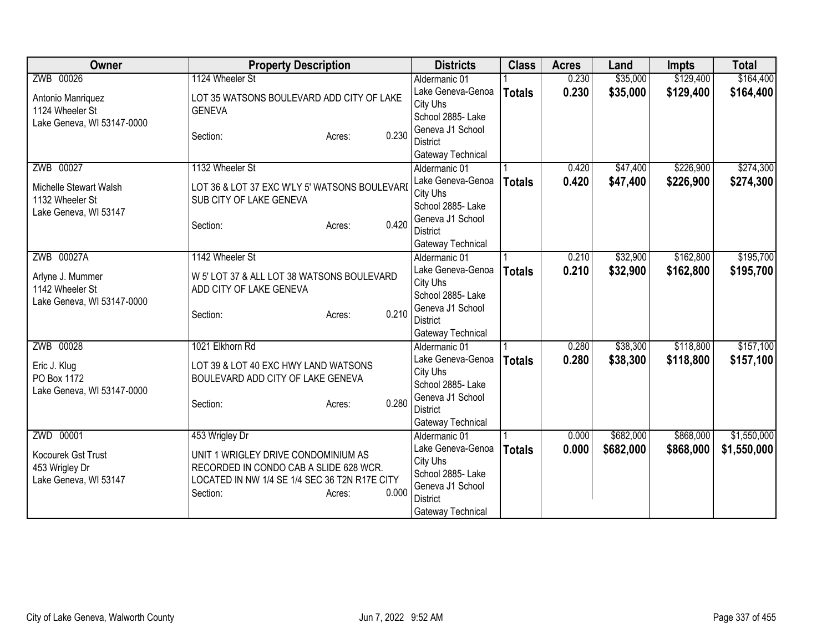| Owner                      | <b>Property Description</b>                   | <b>Districts</b>                   | <b>Class</b>  | <b>Acres</b> | Land      | <b>Impts</b> | <b>Total</b> |
|----------------------------|-----------------------------------------------|------------------------------------|---------------|--------------|-----------|--------------|--------------|
| ZWB 00026                  | 1124 Wheeler St                               | Aldermanic 01                      |               | 0.230        | \$35,000  | \$129,400    | \$164,400    |
| Antonio Manriquez          | LOT 35 WATSONS BOULEVARD ADD CITY OF LAKE     | Lake Geneva-Genoa                  | <b>Totals</b> | 0.230        | \$35,000  | \$129,400    | \$164,400    |
| 1124 Wheeler St            | <b>GENEVA</b>                                 | City Uhs                           |               |              |           |              |              |
| Lake Geneva, WI 53147-0000 |                                               | School 2885- Lake                  |               |              |           |              |              |
|                            | 0.230<br>Section:<br>Acres:                   | Geneva J1 School                   |               |              |           |              |              |
|                            |                                               | <b>District</b>                    |               |              |           |              |              |
|                            |                                               | Gateway Technical                  |               |              |           |              |              |
| ZWB 00027                  | 1132 Wheeler St                               | Aldermanic 01<br>Lake Geneva-Genoa |               | 0.420        | \$47,400  | \$226,900    | \$274,300    |
| Michelle Stewart Walsh     | LOT 36 & LOT 37 EXC W'LY 5' WATSONS BOULEVARI | City Uhs                           | <b>Totals</b> | 0.420        | \$47,400  | \$226,900    | \$274,300    |
| 1132 Wheeler St            | SUB CITY OF LAKE GENEVA                       | School 2885- Lake                  |               |              |           |              |              |
| Lake Geneva, WI 53147      |                                               | Geneva J1 School                   |               |              |           |              |              |
|                            | 0.420<br>Section:<br>Acres:                   | <b>District</b>                    |               |              |           |              |              |
|                            |                                               | Gateway Technical                  |               |              |           |              |              |
| ZWB 00027A                 | 1142 Wheeler St                               | Aldermanic 01                      |               | 0.210        | \$32,900  | \$162,800    | \$195,700    |
|                            |                                               | Lake Geneva-Genoa                  | <b>Totals</b> | 0.210        | \$32,900  | \$162,800    | \$195,700    |
| Arlyne J. Mummer           | W 5' LOT 37 & ALL LOT 38 WATSONS BOULEVARD    | City Uhs                           |               |              |           |              |              |
| 1142 Wheeler St            | ADD CITY OF LAKE GENEVA                       | School 2885- Lake                  |               |              |           |              |              |
| Lake Geneva, WI 53147-0000 | 0.210                                         | Geneva J1 School                   |               |              |           |              |              |
|                            | Section:<br>Acres:                            | <b>District</b>                    |               |              |           |              |              |
|                            |                                               | Gateway Technical                  |               |              |           |              |              |
| ZWB 00028                  | 1021 Elkhorn Rd                               | Aldermanic 01                      |               | 0.280        | \$38,300  | \$118,800    | \$157,100    |
| Eric J. Klug               | LOT 39 & LOT 40 EXC HWY LAND WATSONS          | Lake Geneva-Genoa                  | <b>Totals</b> | 0.280        | \$38,300  | \$118,800    | \$157,100    |
| PO Box 1172                | BOULEVARD ADD CITY OF LAKE GENEVA             | City Uhs                           |               |              |           |              |              |
| Lake Geneva, WI 53147-0000 |                                               | School 2885- Lake                  |               |              |           |              |              |
|                            | 0.280<br>Section:<br>Acres:                   | Geneva J1 School                   |               |              |           |              |              |
|                            |                                               | <b>District</b>                    |               |              |           |              |              |
|                            |                                               | Gateway Technical                  |               |              |           |              |              |
| ZWD 00001                  | 453 Wrigley Dr                                | Aldermanic 01<br>Lake Geneva-Genoa |               | 0.000        | \$682,000 | \$868,000    | \$1,550,000  |
| Kocourek Gst Trust         | UNIT 1 WRIGLEY DRIVE CONDOMINIUM AS           | City Uhs                           | <b>Totals</b> | 0.000        | \$682,000 | \$868,000    | \$1,550,000  |
| 453 Wrigley Dr             | RECORDED IN CONDO CAB A SLIDE 628 WCR.        | School 2885- Lake                  |               |              |           |              |              |
| Lake Geneva, WI 53147      | LOCATED IN NW 1/4 SE 1/4 SEC 36 T2N R17E CITY | Geneva J1 School                   |               |              |           |              |              |
|                            | 0.000<br>Section:<br>Acres:                   | <b>District</b>                    |               |              |           |              |              |
|                            |                                               | Gateway Technical                  |               |              |           |              |              |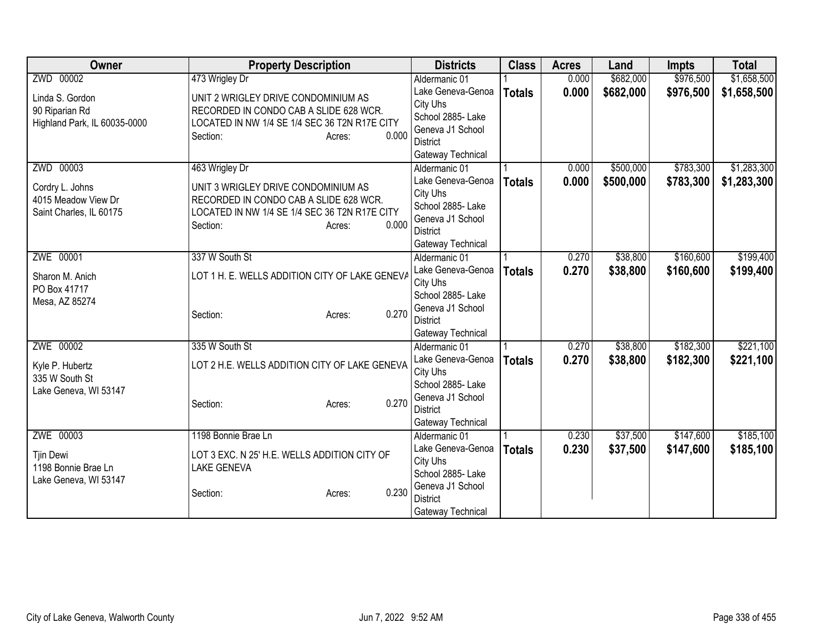| <b>Owner</b>                 | <b>Property Description</b>                    | <b>Districts</b>              | <b>Class</b>  | <b>Acres</b> | Land      | <b>Impts</b> | <b>Total</b> |
|------------------------------|------------------------------------------------|-------------------------------|---------------|--------------|-----------|--------------|--------------|
| ZWD 00002                    | 473 Wrigley Dr                                 | Aldermanic 01                 |               | 0.000        | \$682,000 | \$976,500    | \$1,658,500  |
| Linda S. Gordon              | UNIT 2 WRIGLEY DRIVE CONDOMINIUM AS            | Lake Geneva-Genoa             | <b>Totals</b> | 0.000        | \$682,000 | \$976,500    | \$1,658,500  |
| 90 Riparian Rd               | RECORDED IN CONDO CAB A SLIDE 628 WCR.         | City Uhs                      |               |              |           |              |              |
| Highland Park, IL 60035-0000 | LOCATED IN NW 1/4 SE 1/4 SEC 36 T2N R17E CITY  | School 2885- Lake             |               |              |           |              |              |
|                              | 0.000<br>Section:<br>Acres:                    | Geneva J1 School              |               |              |           |              |              |
|                              |                                                | <b>District</b>               |               |              |           |              |              |
|                              |                                                | Gateway Technical             |               |              |           |              |              |
| ZWD 00003                    | 463 Wrigley Dr                                 | Aldermanic 01                 |               | 0.000        | \$500,000 | \$783,300    | \$1,283,300  |
| Cordry L. Johns              | UNIT 3 WRIGLEY DRIVE CONDOMINIUM AS            | Lake Geneva-Genoa             | <b>Totals</b> | 0.000        | \$500,000 | \$783,300    | \$1,283,300  |
| 4015 Meadow View Dr          | RECORDED IN CONDO CAB A SLIDE 628 WCR.         | City Uhs                      |               |              |           |              |              |
| Saint Charles, IL 60175      | LOCATED IN NW 1/4 SE 1/4 SEC 36 T2N R17E CITY  | School 2885- Lake             |               |              |           |              |              |
|                              | 0.000<br>Section:<br>Acres:                    | Geneva J1 School              |               |              |           |              |              |
|                              |                                                | District                      |               |              |           |              |              |
|                              |                                                | Gateway Technical             |               |              |           |              |              |
| ZWE 00001                    | 337 W South St                                 | Aldermanic 01                 |               | 0.270        | \$38,800  | \$160,600    | \$199,400    |
| Sharon M. Anich              | LOT 1 H. E. WELLS ADDITION CITY OF LAKE GENEVA | Lake Geneva-Genoa             | <b>Totals</b> | 0.270        | \$38,800  | \$160,600    | \$199,400    |
| PO Box 41717                 |                                                | City Uhs                      |               |              |           |              |              |
| Mesa, AZ 85274               |                                                | School 2885- Lake             |               |              |           |              |              |
|                              | 0.270<br>Section:<br>Acres:                    | Geneva J1 School              |               |              |           |              |              |
|                              |                                                | <b>District</b>               |               |              |           |              |              |
| ZWE 00002                    |                                                | Gateway Technical             |               | 0.270        |           | \$182,300    | \$221,100    |
|                              | 335 W South St                                 | Aldermanic 01                 |               |              | \$38,800  |              |              |
| Kyle P. Hubertz              | LOT 2 H.E. WELLS ADDITION CITY OF LAKE GENEVA  | Lake Geneva-Genoa             | <b>Totals</b> | 0.270        | \$38,800  | \$182,300    | \$221,100    |
| 335 W South St               |                                                | City Uhs<br>School 2885- Lake |               |              |           |              |              |
| Lake Geneva, WI 53147        |                                                | Geneva J1 School              |               |              |           |              |              |
|                              | 0.270<br>Section:<br>Acres:                    | <b>District</b>               |               |              |           |              |              |
|                              |                                                | Gateway Technical             |               |              |           |              |              |
| ZWE 00003                    | 1198 Bonnie Brae Ln                            | Aldermanic 01                 |               | 0.230        | \$37,500  | \$147,600    | \$185,100    |
|                              |                                                | Lake Geneva-Genoa             | <b>Totals</b> | 0.230        | \$37,500  | \$147,600    | \$185,100    |
| Tjin Dewi                    | LOT 3 EXC. N 25' H.E. WELLS ADDITION CITY OF   | City Uhs                      |               |              |           |              |              |
| 1198 Bonnie Brae Ln          | <b>LAKE GENEVA</b>                             | School 2885- Lake             |               |              |           |              |              |
| Lake Geneva, WI 53147        |                                                | Geneva J1 School              |               |              |           |              |              |
|                              | 0.230<br>Section:<br>Acres:                    | <b>District</b>               |               |              |           |              |              |
|                              |                                                | Gateway Technical             |               |              |           |              |              |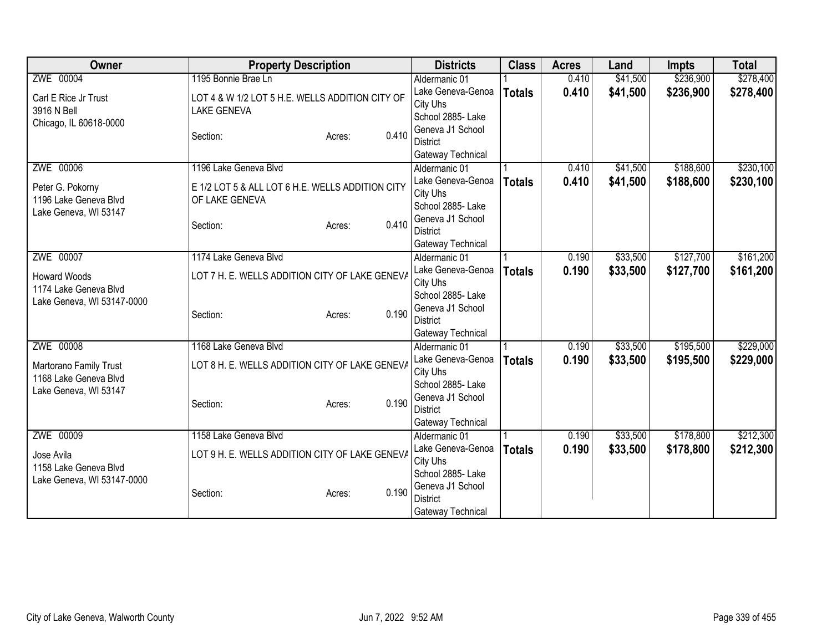| Owner                      | <b>Property Description</b>                      | <b>Districts</b>                      | <b>Class</b>  | <b>Acres</b> | Land     | <b>Impts</b> | <b>Total</b> |
|----------------------------|--------------------------------------------------|---------------------------------------|---------------|--------------|----------|--------------|--------------|
| ZWE 00004                  | 1195 Bonnie Brae Ln                              | Aldermanic 01                         |               | 0.410        | \$41,500 | \$236,900    | \$278,400    |
| Carl E Rice Jr Trust       | LOT 4 & W 1/2 LOT 5 H.E. WELLS ADDITION CITY OF  | Lake Geneva-Genoa                     | <b>Totals</b> | 0.410        | \$41,500 | \$236,900    | \$278,400    |
| 3916 N Bell                | <b>LAKE GENEVA</b>                               | City Uhs                              |               |              |          |              |              |
| Chicago, IL 60618-0000     |                                                  | School 2885- Lake                     |               |              |          |              |              |
|                            | 0.410<br>Section:<br>Acres:                      | Geneva J1 School<br><b>District</b>   |               |              |          |              |              |
|                            |                                                  | Gateway Technical                     |               |              |          |              |              |
| ZWE 00006                  | 1196 Lake Geneva Blvd                            | Aldermanic 01                         |               | 0.410        | \$41,500 | \$188,600    | \$230,100    |
|                            |                                                  | Lake Geneva-Genoa                     | <b>Totals</b> | 0.410        | \$41,500 | \$188,600    | \$230,100    |
| Peter G. Pokorny           | E 1/2 LOT 5 & ALL LOT 6 H.E. WELLS ADDITION CITY | City Uhs                              |               |              |          |              |              |
| 1196 Lake Geneva Blvd      | OF LAKE GENEVA                                   | School 2885- Lake                     |               |              |          |              |              |
| Lake Geneva, WI 53147      |                                                  | Geneva J1 School                      |               |              |          |              |              |
|                            | 0.410<br>Section:<br>Acres:                      | <b>District</b>                       |               |              |          |              |              |
|                            |                                                  | Gateway Technical                     |               |              |          |              |              |
| ZWE 00007                  | 1174 Lake Geneva Blvd                            | Aldermanic 01<br>Lake Geneva-Genoa    |               | 0.190        | \$33,500 | \$127,700    | \$161,200    |
| <b>Howard Woods</b>        | LOT 7 H. E. WELLS ADDITION CITY OF LAKE GENEVA   |                                       | <b>Totals</b> | 0.190        | \$33,500 | \$127,700    | \$161,200    |
| 1174 Lake Geneva Blvd      |                                                  | City Uhs                              |               |              |          |              |              |
| Lake Geneva, WI 53147-0000 |                                                  | School 2885- Lake                     |               |              |          |              |              |
|                            | 0.190<br>Section:<br>Acres:                      | Geneva J1 School<br><b>District</b>   |               |              |          |              |              |
|                            |                                                  | Gateway Technical                     |               |              |          |              |              |
| ZWE 00008                  | 1168 Lake Geneva Blvd                            | Aldermanic 01                         |               | 0.190        | \$33,500 | \$195,500    | \$229,000    |
|                            |                                                  | Lake Geneva-Genoa                     | <b>Totals</b> | 0.190        | \$33,500 | \$195,500    | \$229,000    |
| Martorano Family Trust     | LOT 8 H. E. WELLS ADDITION CITY OF LAKE GENEVA   | City Uhs                              |               |              |          |              |              |
| 1168 Lake Geneva Blvd      |                                                  | School 2885- Lake                     |               |              |          |              |              |
| Lake Geneva, WI 53147      | 0.190<br>Section:<br>Acres:                      | Geneva J1 School                      |               |              |          |              |              |
|                            |                                                  | <b>District</b>                       |               |              |          |              |              |
|                            |                                                  | Gateway Technical                     |               |              |          |              |              |
| ZWE 00009                  | 1158 Lake Geneva Blvd                            | Aldermanic 01                         |               | 0.190        | \$33,500 | \$178,800    | \$212,300    |
| Jose Avila                 | LOT 9 H. E. WELLS ADDITION CITY OF LAKE GENEVA   | Lake Geneva-Genoa                     | <b>Totals</b> | 0.190        | \$33,500 | \$178,800    | \$212,300    |
| 1158 Lake Geneva Blvd      |                                                  | City Uhs                              |               |              |          |              |              |
| Lake Geneva, WI 53147-0000 |                                                  | School 2885- Lake<br>Geneva J1 School |               |              |          |              |              |
|                            | 0.190<br>Section:<br>Acres:                      | <b>District</b>                       |               |              |          |              |              |
|                            |                                                  | Gateway Technical                     |               |              |          |              |              |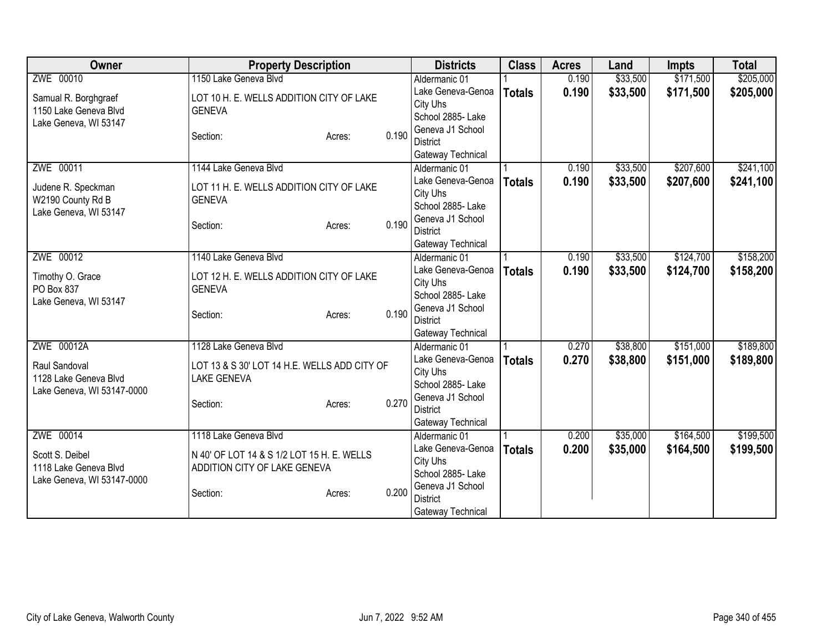| Owner                      | <b>Property Description</b>                  |        |       | <b>Districts</b>                    | <b>Class</b>  | <b>Acres</b> | Land     | <b>Impts</b> | <b>Total</b> |
|----------------------------|----------------------------------------------|--------|-------|-------------------------------------|---------------|--------------|----------|--------------|--------------|
| ZWE 00010                  | 1150 Lake Geneva Blvd                        |        |       | Aldermanic 01                       |               | 0.190        | \$33,500 | \$171,500    | \$205,000    |
| Samual R. Borghgraef       | LOT 10 H. E. WELLS ADDITION CITY OF LAKE     |        |       | Lake Geneva-Genoa                   | <b>Totals</b> | 0.190        | \$33,500 | \$171,500    | \$205,000    |
| 1150 Lake Geneva Blvd      | <b>GENEVA</b>                                |        |       | City Uhs                            |               |              |          |              |              |
| Lake Geneva, WI 53147      |                                              |        |       | School 2885- Lake                   |               |              |          |              |              |
|                            | Section:                                     | Acres: | 0.190 | Geneva J1 School                    |               |              |          |              |              |
|                            |                                              |        |       | <b>District</b>                     |               |              |          |              |              |
|                            |                                              |        |       | Gateway Technical                   |               |              |          |              |              |
| ZWE 00011                  | 1144 Lake Geneva Blvd                        |        |       | Aldermanic 01                       |               | 0.190        | \$33,500 | \$207,600    | \$241,100    |
| Judene R. Speckman         | LOT 11 H. E. WELLS ADDITION CITY OF LAKE     |        |       | Lake Geneva-Genoa<br>City Uhs       | <b>Totals</b> | 0.190        | \$33,500 | \$207,600    | \$241,100    |
| W2190 County Rd B          | <b>GENEVA</b>                                |        |       | School 2885- Lake                   |               |              |          |              |              |
| Lake Geneva, WI 53147      |                                              |        |       | Geneva J1 School                    |               |              |          |              |              |
|                            | Section:                                     | Acres: | 0.190 | <b>District</b>                     |               |              |          |              |              |
|                            |                                              |        |       | Gateway Technical                   |               |              |          |              |              |
| ZWE 00012                  | 1140 Lake Geneva Blvd                        |        |       | Aldermanic 01                       |               | 0.190        | \$33,500 | \$124,700    | \$158,200    |
|                            |                                              |        |       | Lake Geneva-Genoa                   | <b>Totals</b> | 0.190        | \$33,500 | \$124,700    | \$158,200    |
| Timothy O. Grace           | LOT 12 H. E. WELLS ADDITION CITY OF LAKE     |        |       | City Uhs                            |               |              |          |              |              |
| PO Box 837                 | <b>GENEVA</b>                                |        |       | School 2885- Lake                   |               |              |          |              |              |
| Lake Geneva, WI 53147      | Section:                                     | Acres: | 0.190 | Geneva J1 School                    |               |              |          |              |              |
|                            |                                              |        |       | <b>District</b>                     |               |              |          |              |              |
|                            |                                              |        |       | Gateway Technical                   |               |              |          |              |              |
| ZWE 00012A                 | 1128 Lake Geneva Blvd                        |        |       | Aldermanic 01                       |               | 0.270        | \$38,800 | \$151,000    | \$189,800    |
| Raul Sandoval              | LOT 13 & S 30' LOT 14 H.E. WELLS ADD CITY OF |        |       | Lake Geneva-Genoa                   | <b>Totals</b> | 0.270        | \$38,800 | \$151,000    | \$189,800    |
| 1128 Lake Geneva Blvd      | <b>LAKE GENEVA</b>                           |        |       | City Uhs                            |               |              |          |              |              |
| Lake Geneva, WI 53147-0000 |                                              |        |       | School 2885- Lake                   |               |              |          |              |              |
|                            | Section:                                     | Acres: | 0.270 | Geneva J1 School<br><b>District</b> |               |              |          |              |              |
|                            |                                              |        |       | Gateway Technical                   |               |              |          |              |              |
| ZWE 00014                  | 1118 Lake Geneva Blvd                        |        |       | Aldermanic 01                       |               | 0.200        | \$35,000 | \$164,500    | \$199,500    |
|                            |                                              |        |       | Lake Geneva-Genoa                   | <b>Totals</b> | 0.200        | \$35,000 | \$164,500    | \$199,500    |
| Scott S. Deibel            | N 40' OF LOT 14 & S 1/2 LOT 15 H. E. WELLS   |        |       | City Uhs                            |               |              |          |              |              |
| 1118 Lake Geneva Blvd      | ADDITION CITY OF LAKE GENEVA                 |        |       | School 2885- Lake                   |               |              |          |              |              |
| Lake Geneva, WI 53147-0000 |                                              |        |       | Geneva J1 School                    |               |              |          |              |              |
|                            | Section:                                     | Acres: | 0.200 | <b>District</b>                     |               |              |          |              |              |
|                            |                                              |        |       | Gateway Technical                   |               |              |          |              |              |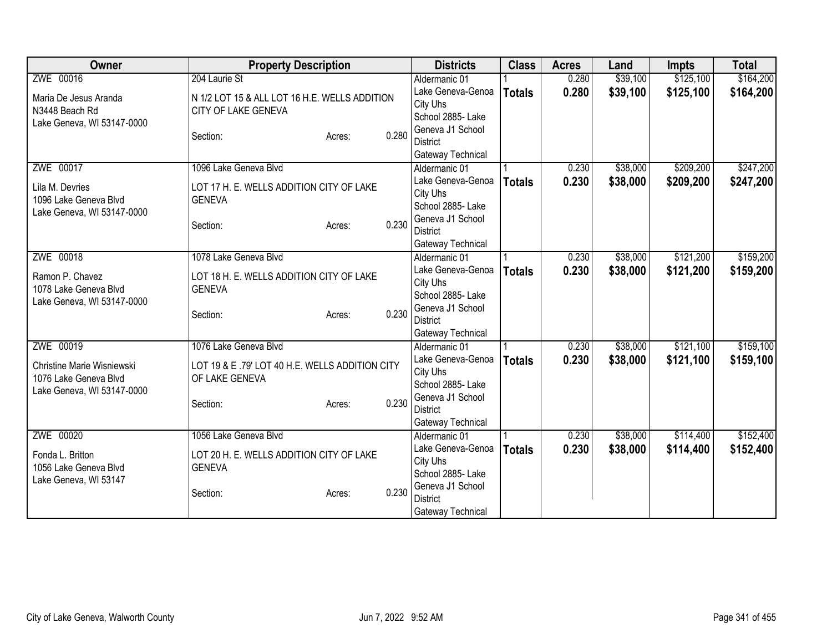| ZWE 00016<br>\$39,100<br>\$125,100<br>Aldermanic 01<br>0.280<br>0.280<br>\$39,100<br>\$125,100<br>Lake Geneva-Genoa<br><b>Totals</b><br>N 1/2 LOT 15 & ALL LOT 16 H.E. WELLS ADDITION<br>Maria De Jesus Aranda<br>City Uhs<br>CITY OF LAKE GENEVA<br>N3448 Beach Rd<br>School 2885- Lake<br>Lake Geneva, WI 53147-0000<br>Geneva J1 School<br>0.280<br>Section:<br>Acres:<br><b>District</b><br>Gateway Technical<br>ZWE 00017<br>1096 Lake Geneva Blvd<br>\$38,000<br>\$209,200<br>0.230<br>Aldermanic 01<br>0.230<br>Lake Geneva-Genoa<br>\$38,000<br>\$209,200<br><b>Totals</b><br>Lila M. Devries<br>LOT 17 H. E. WELLS ADDITION CITY OF LAKE<br>City Uhs<br>1096 Lake Geneva Blvd<br><b>GENEVA</b><br>School 2885- Lake<br>Lake Geneva, WI 53147-0000<br>Geneva J1 School<br>0.230<br>Section:<br>Acres:<br><b>District</b><br>Gateway Technical<br>\$121,200<br>ZWE 00018<br>\$38,000<br>1078 Lake Geneva Blvd<br>0.230<br>Aldermanic 01<br>Lake Geneva-Genoa<br>0.230<br>\$38,000<br>\$121,200<br><b>Totals</b><br>Ramon P. Chavez<br>LOT 18 H. E. WELLS ADDITION CITY OF LAKE<br>City Uhs<br>1078 Lake Geneva Blvd<br><b>GENEVA</b><br>School 2885- Lake<br>Lake Geneva, WI 53147-0000<br>Geneva J1 School<br>0.230<br>Section:<br>Acres:<br><b>District</b><br>Gateway Technical<br>ZWE 00019<br>\$121,100<br>1076 Lake Geneva Blvd<br>0.230<br>\$38,000<br>Aldermanic 01<br>Lake Geneva-Genoa<br>0.230<br>\$38,000<br>\$121,100<br><b>Totals</b><br>LOT 19 & E .79' LOT 40 H.E. WELLS ADDITION CITY<br>Christine Marie Wisniewski<br>City Uhs<br>1076 Lake Geneva Blvd<br>OF LAKE GENEVA<br>School 2885- Lake<br>Lake Geneva, WI 53147-0000<br>Geneva J1 School<br>0.230<br>Section:<br>Acres:<br><b>District</b><br>Gateway Technical<br>ZWE 00020<br>\$114,400<br>1056 Lake Geneva Blvd<br>\$38,000<br>Aldermanic 01<br>0.230<br>Lake Geneva-Genoa<br>0.230<br>\$38,000<br>\$114,400<br><b>Totals</b><br>LOT 20 H. E. WELLS ADDITION CITY OF LAKE<br>Fonda L. Britton<br>City Uhs<br>1056 Lake Geneva Blvd<br><b>GENEVA</b><br>School 2885-Lake<br>Lake Geneva, WI 53147<br>Geneva J1 School<br>0.230<br>Section:<br>Acres:<br><b>District</b> | Owner | <b>Property Description</b> | <b>Districts</b>  | <b>Class</b> | <b>Acres</b> | Land | <b>Impts</b> | <b>Total</b> |
|------------------------------------------------------------------------------------------------------------------------------------------------------------------------------------------------------------------------------------------------------------------------------------------------------------------------------------------------------------------------------------------------------------------------------------------------------------------------------------------------------------------------------------------------------------------------------------------------------------------------------------------------------------------------------------------------------------------------------------------------------------------------------------------------------------------------------------------------------------------------------------------------------------------------------------------------------------------------------------------------------------------------------------------------------------------------------------------------------------------------------------------------------------------------------------------------------------------------------------------------------------------------------------------------------------------------------------------------------------------------------------------------------------------------------------------------------------------------------------------------------------------------------------------------------------------------------------------------------------------------------------------------------------------------------------------------------------------------------------------------------------------------------------------------------------------------------------------------------------------------------------------------------------------------------------------------------------------------------------------------------------------------------------------------------------------------------------------------------------------------------------------------------------|-------|-----------------------------|-------------------|--------------|--------------|------|--------------|--------------|
|                                                                                                                                                                                                                                                                                                                                                                                                                                                                                                                                                                                                                                                                                                                                                                                                                                                                                                                                                                                                                                                                                                                                                                                                                                                                                                                                                                                                                                                                                                                                                                                                                                                                                                                                                                                                                                                                                                                                                                                                                                                                                                                                                            |       | 204 Laurie St               |                   |              |              |      |              | \$164,200    |
|                                                                                                                                                                                                                                                                                                                                                                                                                                                                                                                                                                                                                                                                                                                                                                                                                                                                                                                                                                                                                                                                                                                                                                                                                                                                                                                                                                                                                                                                                                                                                                                                                                                                                                                                                                                                                                                                                                                                                                                                                                                                                                                                                            |       |                             |                   |              |              |      |              | \$164,200    |
| \$247,200<br>\$247,200<br>\$159,200<br>\$159,200                                                                                                                                                                                                                                                                                                                                                                                                                                                                                                                                                                                                                                                                                                                                                                                                                                                                                                                                                                                                                                                                                                                                                                                                                                                                                                                                                                                                                                                                                                                                                                                                                                                                                                                                                                                                                                                                                                                                                                                                                                                                                                           |       |                             |                   |              |              |      |              |              |
|                                                                                                                                                                                                                                                                                                                                                                                                                                                                                                                                                                                                                                                                                                                                                                                                                                                                                                                                                                                                                                                                                                                                                                                                                                                                                                                                                                                                                                                                                                                                                                                                                                                                                                                                                                                                                                                                                                                                                                                                                                                                                                                                                            |       |                             |                   |              |              |      |              |              |
|                                                                                                                                                                                                                                                                                                                                                                                                                                                                                                                                                                                                                                                                                                                                                                                                                                                                                                                                                                                                                                                                                                                                                                                                                                                                                                                                                                                                                                                                                                                                                                                                                                                                                                                                                                                                                                                                                                                                                                                                                                                                                                                                                            |       |                             |                   |              |              |      |              |              |
|                                                                                                                                                                                                                                                                                                                                                                                                                                                                                                                                                                                                                                                                                                                                                                                                                                                                                                                                                                                                                                                                                                                                                                                                                                                                                                                                                                                                                                                                                                                                                                                                                                                                                                                                                                                                                                                                                                                                                                                                                                                                                                                                                            |       |                             |                   |              |              |      |              |              |
|                                                                                                                                                                                                                                                                                                                                                                                                                                                                                                                                                                                                                                                                                                                                                                                                                                                                                                                                                                                                                                                                                                                                                                                                                                                                                                                                                                                                                                                                                                                                                                                                                                                                                                                                                                                                                                                                                                                                                                                                                                                                                                                                                            |       |                             |                   |              |              |      |              |              |
|                                                                                                                                                                                                                                                                                                                                                                                                                                                                                                                                                                                                                                                                                                                                                                                                                                                                                                                                                                                                                                                                                                                                                                                                                                                                                                                                                                                                                                                                                                                                                                                                                                                                                                                                                                                                                                                                                                                                                                                                                                                                                                                                                            |       |                             |                   |              |              |      |              |              |
|                                                                                                                                                                                                                                                                                                                                                                                                                                                                                                                                                                                                                                                                                                                                                                                                                                                                                                                                                                                                                                                                                                                                                                                                                                                                                                                                                                                                                                                                                                                                                                                                                                                                                                                                                                                                                                                                                                                                                                                                                                                                                                                                                            |       |                             |                   |              |              |      |              |              |
|                                                                                                                                                                                                                                                                                                                                                                                                                                                                                                                                                                                                                                                                                                                                                                                                                                                                                                                                                                                                                                                                                                                                                                                                                                                                                                                                                                                                                                                                                                                                                                                                                                                                                                                                                                                                                                                                                                                                                                                                                                                                                                                                                            |       |                             |                   |              |              |      |              |              |
|                                                                                                                                                                                                                                                                                                                                                                                                                                                                                                                                                                                                                                                                                                                                                                                                                                                                                                                                                                                                                                                                                                                                                                                                                                                                                                                                                                                                                                                                                                                                                                                                                                                                                                                                                                                                                                                                                                                                                                                                                                                                                                                                                            |       |                             |                   |              |              |      |              |              |
|                                                                                                                                                                                                                                                                                                                                                                                                                                                                                                                                                                                                                                                                                                                                                                                                                                                                                                                                                                                                                                                                                                                                                                                                                                                                                                                                                                                                                                                                                                                                                                                                                                                                                                                                                                                                                                                                                                                                                                                                                                                                                                                                                            |       |                             |                   |              |              |      |              |              |
|                                                                                                                                                                                                                                                                                                                                                                                                                                                                                                                                                                                                                                                                                                                                                                                                                                                                                                                                                                                                                                                                                                                                                                                                                                                                                                                                                                                                                                                                                                                                                                                                                                                                                                                                                                                                                                                                                                                                                                                                                                                                                                                                                            |       |                             |                   |              |              |      |              |              |
|                                                                                                                                                                                                                                                                                                                                                                                                                                                                                                                                                                                                                                                                                                                                                                                                                                                                                                                                                                                                                                                                                                                                                                                                                                                                                                                                                                                                                                                                                                                                                                                                                                                                                                                                                                                                                                                                                                                                                                                                                                                                                                                                                            |       |                             |                   |              |              |      |              |              |
|                                                                                                                                                                                                                                                                                                                                                                                                                                                                                                                                                                                                                                                                                                                                                                                                                                                                                                                                                                                                                                                                                                                                                                                                                                                                                                                                                                                                                                                                                                                                                                                                                                                                                                                                                                                                                                                                                                                                                                                                                                                                                                                                                            |       |                             |                   |              |              |      |              |              |
|                                                                                                                                                                                                                                                                                                                                                                                                                                                                                                                                                                                                                                                                                                                                                                                                                                                                                                                                                                                                                                                                                                                                                                                                                                                                                                                                                                                                                                                                                                                                                                                                                                                                                                                                                                                                                                                                                                                                                                                                                                                                                                                                                            |       |                             |                   |              |              |      |              |              |
| \$159,100<br>\$159,100<br>\$152,400<br>\$152,400                                                                                                                                                                                                                                                                                                                                                                                                                                                                                                                                                                                                                                                                                                                                                                                                                                                                                                                                                                                                                                                                                                                                                                                                                                                                                                                                                                                                                                                                                                                                                                                                                                                                                                                                                                                                                                                                                                                                                                                                                                                                                                           |       |                             |                   |              |              |      |              |              |
|                                                                                                                                                                                                                                                                                                                                                                                                                                                                                                                                                                                                                                                                                                                                                                                                                                                                                                                                                                                                                                                                                                                                                                                                                                                                                                                                                                                                                                                                                                                                                                                                                                                                                                                                                                                                                                                                                                                                                                                                                                                                                                                                                            |       |                             |                   |              |              |      |              |              |
|                                                                                                                                                                                                                                                                                                                                                                                                                                                                                                                                                                                                                                                                                                                                                                                                                                                                                                                                                                                                                                                                                                                                                                                                                                                                                                                                                                                                                                                                                                                                                                                                                                                                                                                                                                                                                                                                                                                                                                                                                                                                                                                                                            |       |                             |                   |              |              |      |              |              |
|                                                                                                                                                                                                                                                                                                                                                                                                                                                                                                                                                                                                                                                                                                                                                                                                                                                                                                                                                                                                                                                                                                                                                                                                                                                                                                                                                                                                                                                                                                                                                                                                                                                                                                                                                                                                                                                                                                                                                                                                                                                                                                                                                            |       |                             |                   |              |              |      |              |              |
|                                                                                                                                                                                                                                                                                                                                                                                                                                                                                                                                                                                                                                                                                                                                                                                                                                                                                                                                                                                                                                                                                                                                                                                                                                                                                                                                                                                                                                                                                                                                                                                                                                                                                                                                                                                                                                                                                                                                                                                                                                                                                                                                                            |       |                             |                   |              |              |      |              |              |
|                                                                                                                                                                                                                                                                                                                                                                                                                                                                                                                                                                                                                                                                                                                                                                                                                                                                                                                                                                                                                                                                                                                                                                                                                                                                                                                                                                                                                                                                                                                                                                                                                                                                                                                                                                                                                                                                                                                                                                                                                                                                                                                                                            |       |                             |                   |              |              |      |              |              |
|                                                                                                                                                                                                                                                                                                                                                                                                                                                                                                                                                                                                                                                                                                                                                                                                                                                                                                                                                                                                                                                                                                                                                                                                                                                                                                                                                                                                                                                                                                                                                                                                                                                                                                                                                                                                                                                                                                                                                                                                                                                                                                                                                            |       |                             |                   |              |              |      |              |              |
|                                                                                                                                                                                                                                                                                                                                                                                                                                                                                                                                                                                                                                                                                                                                                                                                                                                                                                                                                                                                                                                                                                                                                                                                                                                                                                                                                                                                                                                                                                                                                                                                                                                                                                                                                                                                                                                                                                                                                                                                                                                                                                                                                            |       |                             |                   |              |              |      |              |              |
|                                                                                                                                                                                                                                                                                                                                                                                                                                                                                                                                                                                                                                                                                                                                                                                                                                                                                                                                                                                                                                                                                                                                                                                                                                                                                                                                                                                                                                                                                                                                                                                                                                                                                                                                                                                                                                                                                                                                                                                                                                                                                                                                                            |       |                             |                   |              |              |      |              |              |
|                                                                                                                                                                                                                                                                                                                                                                                                                                                                                                                                                                                                                                                                                                                                                                                                                                                                                                                                                                                                                                                                                                                                                                                                                                                                                                                                                                                                                                                                                                                                                                                                                                                                                                                                                                                                                                                                                                                                                                                                                                                                                                                                                            |       |                             |                   |              |              |      |              |              |
|                                                                                                                                                                                                                                                                                                                                                                                                                                                                                                                                                                                                                                                                                                                                                                                                                                                                                                                                                                                                                                                                                                                                                                                                                                                                                                                                                                                                                                                                                                                                                                                                                                                                                                                                                                                                                                                                                                                                                                                                                                                                                                                                                            |       |                             |                   |              |              |      |              |              |
|                                                                                                                                                                                                                                                                                                                                                                                                                                                                                                                                                                                                                                                                                                                                                                                                                                                                                                                                                                                                                                                                                                                                                                                                                                                                                                                                                                                                                                                                                                                                                                                                                                                                                                                                                                                                                                                                                                                                                                                                                                                                                                                                                            |       |                             |                   |              |              |      |              |              |
|                                                                                                                                                                                                                                                                                                                                                                                                                                                                                                                                                                                                                                                                                                                                                                                                                                                                                                                                                                                                                                                                                                                                                                                                                                                                                                                                                                                                                                                                                                                                                                                                                                                                                                                                                                                                                                                                                                                                                                                                                                                                                                                                                            |       |                             |                   |              |              |      |              |              |
|                                                                                                                                                                                                                                                                                                                                                                                                                                                                                                                                                                                                                                                                                                                                                                                                                                                                                                                                                                                                                                                                                                                                                                                                                                                                                                                                                                                                                                                                                                                                                                                                                                                                                                                                                                                                                                                                                                                                                                                                                                                                                                                                                            |       |                             |                   |              |              |      |              |              |
|                                                                                                                                                                                                                                                                                                                                                                                                                                                                                                                                                                                                                                                                                                                                                                                                                                                                                                                                                                                                                                                                                                                                                                                                                                                                                                                                                                                                                                                                                                                                                                                                                                                                                                                                                                                                                                                                                                                                                                                                                                                                                                                                                            |       |                             |                   |              |              |      |              |              |
|                                                                                                                                                                                                                                                                                                                                                                                                                                                                                                                                                                                                                                                                                                                                                                                                                                                                                                                                                                                                                                                                                                                                                                                                                                                                                                                                                                                                                                                                                                                                                                                                                                                                                                                                                                                                                                                                                                                                                                                                                                                                                                                                                            |       |                             |                   |              |              |      |              |              |
|                                                                                                                                                                                                                                                                                                                                                                                                                                                                                                                                                                                                                                                                                                                                                                                                                                                                                                                                                                                                                                                                                                                                                                                                                                                                                                                                                                                                                                                                                                                                                                                                                                                                                                                                                                                                                                                                                                                                                                                                                                                                                                                                                            |       |                             | Gateway Technical |              |              |      |              |              |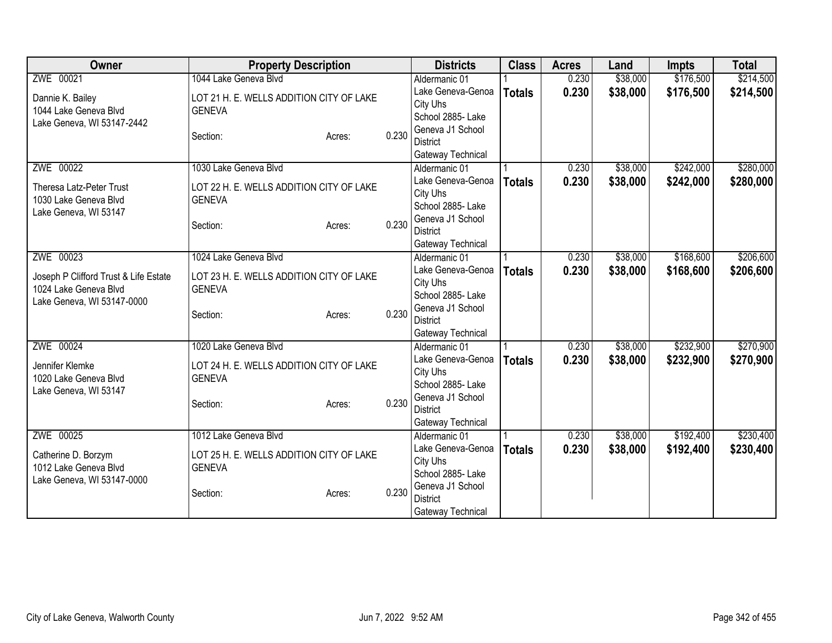| <b>Owner</b>                          | <b>Property Description</b>              |        |       | <b>Districts</b>                   | <b>Class</b>  | <b>Acres</b> | Land     | <b>Impts</b> | <b>Total</b> |
|---------------------------------------|------------------------------------------|--------|-------|------------------------------------|---------------|--------------|----------|--------------|--------------|
| ZWE 00021                             | 1044 Lake Geneva Blvd                    |        |       | Aldermanic 01                      |               | 0.230        | \$38,000 | \$176,500    | \$214,500    |
| Dannie K. Bailey                      | LOT 21 H. E. WELLS ADDITION CITY OF LAKE |        |       | Lake Geneva-Genoa                  | <b>Totals</b> | 0.230        | \$38,000 | \$176,500    | \$214,500    |
| 1044 Lake Geneva Blvd                 | <b>GENEVA</b>                            |        |       | City Uhs                           |               |              |          |              |              |
| Lake Geneva, WI 53147-2442            |                                          |        |       | School 2885- Lake                  |               |              |          |              |              |
|                                       | Section:                                 | Acres: | 0.230 | Geneva J1 School                   |               |              |          |              |              |
|                                       |                                          |        |       | <b>District</b>                    |               |              |          |              |              |
|                                       |                                          |        |       | Gateway Technical                  |               |              |          |              |              |
| ZWE 00022                             | 1030 Lake Geneva Blvd                    |        |       | Aldermanic 01                      |               | 0.230        | \$38,000 | \$242,000    | \$280,000    |
| Theresa Latz-Peter Trust              | LOT 22 H. E. WELLS ADDITION CITY OF LAKE |        |       | Lake Geneva-Genoa                  | <b>Totals</b> | 0.230        | \$38,000 | \$242,000    | \$280,000    |
| 1030 Lake Geneva Blvd                 | <b>GENEVA</b>                            |        |       | City Uhs                           |               |              |          |              |              |
| Lake Geneva, WI 53147                 |                                          |        |       | School 2885- Lake                  |               |              |          |              |              |
|                                       | Section:                                 | Acres: | 0.230 | Geneva J1 School                   |               |              |          |              |              |
|                                       |                                          |        |       | <b>District</b>                    |               |              |          |              |              |
| ZWE 00023                             | 1024 Lake Geneva Blvd                    |        |       | Gateway Technical<br>Aldermanic 01 |               | 0.230        | \$38,000 | \$168,600    | \$206,600    |
|                                       |                                          |        |       | Lake Geneva-Genoa                  |               |              |          |              |              |
| Joseph P Clifford Trust & Life Estate | LOT 23 H. E. WELLS ADDITION CITY OF LAKE |        |       | City Uhs                           | <b>Totals</b> | 0.230        | \$38,000 | \$168,600    | \$206,600    |
| 1024 Lake Geneva Blvd                 | <b>GENEVA</b>                            |        |       | School 2885- Lake                  |               |              |          |              |              |
| Lake Geneva, WI 53147-0000            |                                          |        |       | Geneva J1 School                   |               |              |          |              |              |
|                                       | Section:                                 | Acres: | 0.230 | <b>District</b>                    |               |              |          |              |              |
|                                       |                                          |        |       | Gateway Technical                  |               |              |          |              |              |
| ZWE 00024                             | 1020 Lake Geneva Blvd                    |        |       | Aldermanic 01                      |               | 0.230        | \$38,000 | \$232,900    | \$270,900    |
|                                       |                                          |        |       | Lake Geneva-Genoa                  | <b>Totals</b> | 0.230        | \$38,000 | \$232,900    | \$270,900    |
| Jennifer Klemke                       | LOT 24 H. E. WELLS ADDITION CITY OF LAKE |        |       | City Uhs                           |               |              |          |              |              |
| 1020 Lake Geneva Blvd                 | <b>GENEVA</b>                            |        |       | School 2885- Lake                  |               |              |          |              |              |
| Lake Geneva, WI 53147                 |                                          |        |       | Geneva J1 School                   |               |              |          |              |              |
|                                       | Section:                                 | Acres: | 0.230 | <b>District</b>                    |               |              |          |              |              |
|                                       |                                          |        |       | Gateway Technical                  |               |              |          |              |              |
| ZWE 00025                             | 1012 Lake Geneva Blvd                    |        |       | Aldermanic 01                      |               | 0.230        | \$38,000 | \$192,400    | \$230,400    |
| Catherine D. Borzym                   | LOT 25 H. E. WELLS ADDITION CITY OF LAKE |        |       | Lake Geneva-Genoa                  | <b>Totals</b> | 0.230        | \$38,000 | \$192,400    | \$230,400    |
| 1012 Lake Geneva Blvd                 | <b>GENEVA</b>                            |        |       | City Uhs                           |               |              |          |              |              |
| Lake Geneva, WI 53147-0000            |                                          |        |       | School 2885- Lake                  |               |              |          |              |              |
|                                       | Section:                                 | Acres: | 0.230 | Geneva J1 School                   |               |              |          |              |              |
|                                       |                                          |        |       | <b>District</b>                    |               |              |          |              |              |
|                                       |                                          |        |       | Gateway Technical                  |               |              |          |              |              |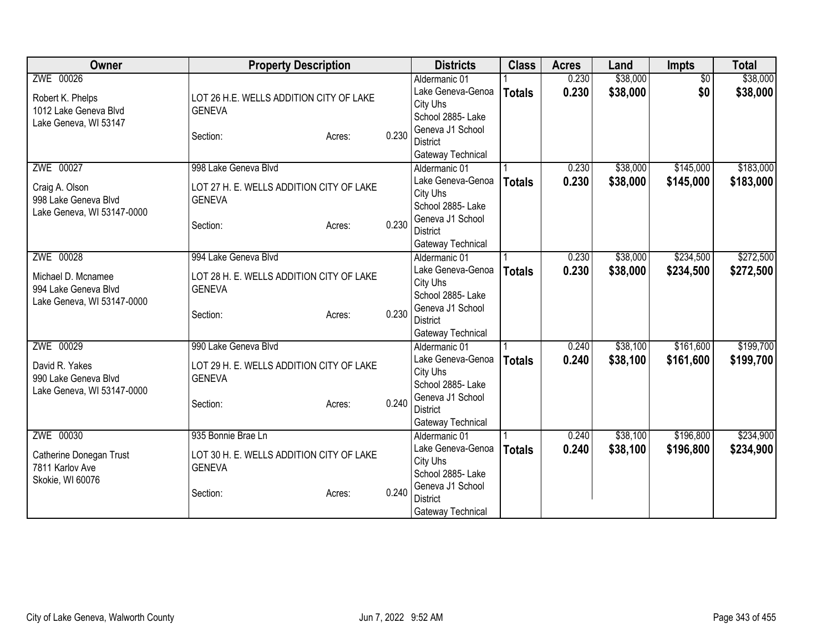| Owner                      | <b>Property Description</b>              |        |       | <b>Districts</b>  | <b>Class</b>  | <b>Acres</b> | Land     | Impts           | <b>Total</b> |
|----------------------------|------------------------------------------|--------|-------|-------------------|---------------|--------------|----------|-----------------|--------------|
| ZWE 00026                  |                                          |        |       | Aldermanic 01     |               | 0.230        | \$38,000 | $\overline{50}$ | \$38,000     |
| Robert K. Phelps           | LOT 26 H.E. WELLS ADDITION CITY OF LAKE  |        |       | Lake Geneva-Genoa | <b>Totals</b> | 0.230        | \$38,000 | \$0             | \$38,000     |
| 1012 Lake Geneva Blvd      | <b>GENEVA</b>                            |        |       | City Uhs          |               |              |          |                 |              |
| Lake Geneva, WI 53147      |                                          |        |       | School 2885- Lake |               |              |          |                 |              |
|                            | Section:                                 | Acres: | 0.230 | Geneva J1 School  |               |              |          |                 |              |
|                            |                                          |        |       | <b>District</b>   |               |              |          |                 |              |
|                            |                                          |        |       | Gateway Technical |               |              |          |                 |              |
| ZWE 00027                  | 998 Lake Geneva Blvd                     |        |       | Aldermanic 01     |               | 0.230        | \$38,000 | \$145,000       | \$183,000    |
| Craig A. Olson             | LOT 27 H. E. WELLS ADDITION CITY OF LAKE |        |       | Lake Geneva-Genoa | <b>Totals</b> | 0.230        | \$38,000 | \$145,000       | \$183,000    |
| 998 Lake Geneva Blvd       | <b>GENEVA</b>                            |        |       | City Uhs          |               |              |          |                 |              |
| Lake Geneva, WI 53147-0000 |                                          |        |       | School 2885- Lake |               |              |          |                 |              |
|                            | Section:                                 | Acres: | 0.230 | Geneva J1 School  |               |              |          |                 |              |
|                            |                                          |        |       | <b>District</b>   |               |              |          |                 |              |
|                            |                                          |        |       | Gateway Technical |               |              |          |                 |              |
| ZWE 00028                  | 994 Lake Geneva Blvd                     |        |       | Aldermanic 01     |               | 0.230        | \$38,000 | \$234,500       | \$272,500    |
| Michael D. Mcnamee         | LOT 28 H. E. WELLS ADDITION CITY OF LAKE |        |       | Lake Geneva-Genoa | <b>Totals</b> | 0.230        | \$38,000 | \$234,500       | \$272,500    |
| 994 Lake Geneva Blvd       | <b>GENEVA</b>                            |        |       | City Uhs          |               |              |          |                 |              |
| Lake Geneva, WI 53147-0000 |                                          |        |       | School 2885- Lake |               |              |          |                 |              |
|                            | Section:                                 | Acres: | 0.230 | Geneva J1 School  |               |              |          |                 |              |
|                            |                                          |        |       | <b>District</b>   |               |              |          |                 |              |
|                            |                                          |        |       | Gateway Technical |               |              |          |                 |              |
| ZWE 00029                  | 990 Lake Geneva Blvd                     |        |       | Aldermanic 01     |               | 0.240        | \$38,100 | \$161,600       | \$199,700    |
| David R. Yakes             | LOT 29 H. E. WELLS ADDITION CITY OF LAKE |        |       | Lake Geneva-Genoa | <b>Totals</b> | 0.240        | \$38,100 | \$161,600       | \$199,700    |
| 990 Lake Geneva Blvd       | <b>GENEVA</b>                            |        |       | City Uhs          |               |              |          |                 |              |
| Lake Geneva, WI 53147-0000 |                                          |        |       | School 2885- Lake |               |              |          |                 |              |
|                            | Section:                                 | Acres: | 0.240 | Geneva J1 School  |               |              |          |                 |              |
|                            |                                          |        |       | <b>District</b>   |               |              |          |                 |              |
|                            |                                          |        |       | Gateway Technical |               |              |          |                 |              |
| ZWE 00030                  | 935 Bonnie Brae Ln                       |        |       | Aldermanic 01     |               | 0.240        | \$38,100 | \$196,800       | \$234,900    |
| Catherine Donegan Trust    | LOT 30 H. E. WELLS ADDITION CITY OF LAKE |        |       | Lake Geneva-Genoa | <b>Totals</b> | 0.240        | \$38,100 | \$196,800       | \$234,900    |
| 7811 Karlov Ave            | <b>GENEVA</b>                            |        |       | City Uhs          |               |              |          |                 |              |
| Skokie, WI 60076           |                                          |        |       | School 2885-Lake  |               |              |          |                 |              |
|                            | Section:                                 | Acres: | 0.240 | Geneva J1 School  |               |              |          |                 |              |
|                            |                                          |        |       | <b>District</b>   |               |              |          |                 |              |
|                            |                                          |        |       | Gateway Technical |               |              |          |                 |              |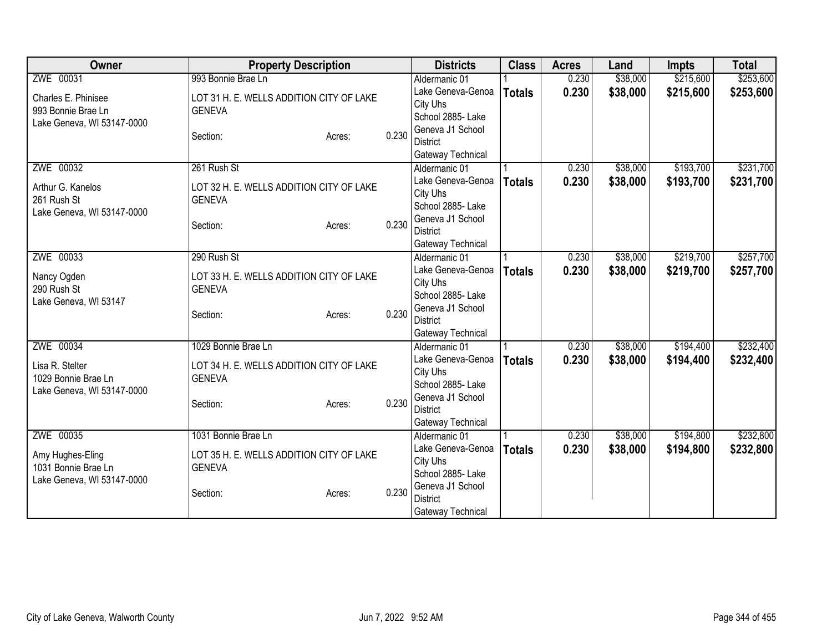| <b>Class</b><br>Owner<br><b>Property Description</b><br><b>Districts</b><br><b>Acres</b><br>Land<br><b>Impts</b>                        | <b>Total</b> |
|-----------------------------------------------------------------------------------------------------------------------------------------|--------------|
| ZWE 00031<br>993 Bonnie Brae Ln<br>\$38,000<br>\$215,600<br>0.230<br>Aldermanic 01                                                      | \$253,600    |
| 0.230<br>\$38,000<br>\$215,600<br>Lake Geneva-Genoa<br><b>Totals</b><br>LOT 31 H. E. WELLS ADDITION CITY OF LAKE<br>Charles E. Phinisee | \$253,600    |
| City Uhs<br><b>GENEVA</b><br>993 Bonnie Brae Ln                                                                                         |              |
| School 2885- Lake<br>Lake Geneva, WI 53147-0000                                                                                         |              |
| Geneva J1 School<br>0.230<br>Section:<br>Acres:                                                                                         |              |
| <b>District</b>                                                                                                                         |              |
| Gateway Technical<br>ZWE 00032<br>\$38,000<br>\$193,700<br>261 Rush St<br>Aldermanic 01<br>0.230                                        | \$231,700    |
| 0.230<br>Lake Geneva-Genoa<br>\$38,000<br>\$193,700<br><b>Totals</b>                                                                    | \$231,700    |
| Arthur G. Kanelos<br>LOT 32 H. E. WELLS ADDITION CITY OF LAKE<br>City Uhs                                                               |              |
| 261 Rush St<br><b>GENEVA</b><br>School 2885-Lake                                                                                        |              |
| Lake Geneva, WI 53147-0000<br>Geneva J1 School                                                                                          |              |
| 0.230<br>Section:<br>Acres:<br><b>District</b>                                                                                          |              |
| Gateway Technical                                                                                                                       |              |
| ZWE 00033<br>290 Rush St<br>\$38,000<br>\$219,700<br>0.230<br>Aldermanic 01                                                             | \$257,700    |
| Lake Geneva-Genoa<br>0.230<br>\$38,000<br>\$219,700<br><b>Totals</b><br>LOT 33 H. E. WELLS ADDITION CITY OF LAKE<br>Nancy Ogden         | \$257,700    |
| City Uhs<br>290 Rush St<br><b>GENEVA</b>                                                                                                |              |
| School 2885- Lake<br>Lake Geneva, WI 53147                                                                                              |              |
| Geneva J1 School<br>0.230<br>Section:<br>Acres:<br><b>District</b>                                                                      |              |
| Gateway Technical                                                                                                                       |              |
| ZWE 00034<br>\$194,400<br>1029 Bonnie Brae Ln<br>0.230<br>\$38,000<br>Aldermanic 01                                                     | \$232,400    |
| Lake Geneva-Genoa<br>0.230<br>\$38,000<br>\$194,400<br><b>Totals</b>                                                                    | \$232,400    |
| Lisa R. Stelter<br>LOT 34 H. E. WELLS ADDITION CITY OF LAKE<br>City Uhs                                                                 |              |
| 1029 Bonnie Brae Ln<br><b>GENEVA</b><br>School 2885- Lake                                                                               |              |
| Lake Geneva, WI 53147-0000<br>Geneva J1 School<br>0.230                                                                                 |              |
| Section:<br>Acres:<br><b>District</b>                                                                                                   |              |
| Gateway Technical                                                                                                                       |              |
| ZWE 00035<br>\$194,800<br>1031 Bonnie Brae Ln<br>\$38,000<br>Aldermanic 01<br>0.230                                                     | \$232,800    |
| Lake Geneva-Genoa<br>0.230<br>\$38,000<br>\$194,800<br><b>Totals</b><br>LOT 35 H. E. WELLS ADDITION CITY OF LAKE<br>Amy Hughes-Eling    | \$232,800    |
| City Uhs<br>1031 Bonnie Brae Ln<br><b>GENEVA</b>                                                                                        |              |
| School 2885- Lake<br>Lake Geneva, WI 53147-0000                                                                                         |              |
| Geneva J1 School<br>0.230<br>Section:<br>Acres:<br><b>District</b>                                                                      |              |
| Gateway Technical                                                                                                                       |              |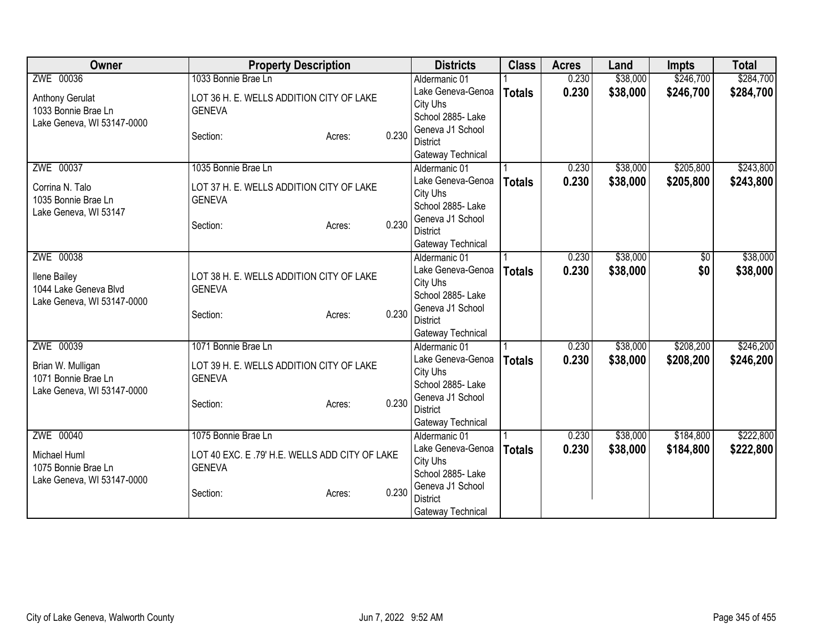| ZWE 00036<br>1033 Bonnie Brae Ln<br>\$38,000<br>\$246,700<br>0.230<br>Aldermanic 01<br>0.230<br>\$38,000<br>\$246,700<br>Lake Geneva-Genoa<br><b>Totals</b><br>LOT 36 H. E. WELLS ADDITION CITY OF LAKE<br>Anthony Gerulat<br>City Uhs<br>1033 Bonnie Brae Ln<br><b>GENEVA</b><br>School 2885- Lake<br>Lake Geneva, WI 53147-0000<br>Geneva J1 School<br>0.230<br>Section:<br>Acres:<br><b>District</b><br>Gateway Technical<br>ZWE 00037<br>\$38,000<br>\$205,800<br>1035 Bonnie Brae Ln<br>0.230<br>Aldermanic 01<br>0.230<br>Lake Geneva-Genoa<br>\$38,000<br>\$205,800<br><b>Totals</b><br>Corrina N. Talo<br>LOT 37 H. E. WELLS ADDITION CITY OF LAKE<br>City Uhs<br><b>GENEVA</b><br>1035 Bonnie Brae Ln<br>School 2885- Lake<br>Lake Geneva, WI 53147<br>Geneva J1 School<br>0.230<br>Section:<br>Acres:<br><b>District</b><br>Gateway Technical<br>ZWE 00038<br>\$38,000<br>0.230<br>\$0<br>Aldermanic 01<br>Lake Geneva-Genoa<br>0.230<br>\$38,000<br>\$0<br><b>Totals</b><br><b>Ilene Bailey</b><br>LOT 38 H. E. WELLS ADDITION CITY OF LAKE<br>City Uhs<br>1044 Lake Geneva Blvd<br><b>GENEVA</b><br>School 2885- Lake<br>Lake Geneva, WI 53147-0000<br>Geneva J1 School<br>0.230<br>Section:<br>Acres:<br><b>District</b><br>Gateway Technical<br>ZWE 00039<br>\$208,200<br>1071 Bonnie Brae Ln<br>0.230<br>\$38,000<br>Aldermanic 01<br>Lake Geneva-Genoa<br>0.230<br>\$38,000<br>\$208,200<br><b>Totals</b><br>LOT 39 H. E. WELLS ADDITION CITY OF LAKE<br>Brian W. Mulligan<br>City Uhs<br>1071 Bonnie Brae Ln<br><b>GENEVA</b><br>School 2885- Lake<br>Lake Geneva, WI 53147-0000<br>Geneva J1 School<br>0.230<br>Section:<br>Acres:<br><b>District</b><br>Gateway Technical<br>ZWE 00040<br>1075 Bonnie Brae Ln<br>\$184,800<br>\$38,000<br>Aldermanic 01<br>0.230<br>Lake Geneva-Genoa<br>0.230<br>\$38,000<br>\$184,800<br><b>Totals</b><br>LOT 40 EXC. E .79' H.E. WELLS ADD CITY OF LAKE<br>Michael Huml<br>City Uhs<br><b>GENEVA</b><br>1075 Bonnie Brae Ln<br>School 2885- Lake<br>Lake Geneva, WI 53147-0000<br>Geneva J1 School<br>0.230<br>Section:<br>Acres:<br><b>District</b> | Owner | <b>Property Description</b> | <b>Districts</b>  | <b>Class</b> | <b>Acres</b> | Land | <b>Impts</b> | <b>Total</b> |
|------------------------------------------------------------------------------------------------------------------------------------------------------------------------------------------------------------------------------------------------------------------------------------------------------------------------------------------------------------------------------------------------------------------------------------------------------------------------------------------------------------------------------------------------------------------------------------------------------------------------------------------------------------------------------------------------------------------------------------------------------------------------------------------------------------------------------------------------------------------------------------------------------------------------------------------------------------------------------------------------------------------------------------------------------------------------------------------------------------------------------------------------------------------------------------------------------------------------------------------------------------------------------------------------------------------------------------------------------------------------------------------------------------------------------------------------------------------------------------------------------------------------------------------------------------------------------------------------------------------------------------------------------------------------------------------------------------------------------------------------------------------------------------------------------------------------------------------------------------------------------------------------------------------------------------------------------------------------------------------------------------------------------------------------------------------------------------------------------------|-------|-----------------------------|-------------------|--------------|--------------|------|--------------|--------------|
|                                                                                                                                                                                                                                                                                                                                                                                                                                                                                                                                                                                                                                                                                                                                                                                                                                                                                                                                                                                                                                                                                                                                                                                                                                                                                                                                                                                                                                                                                                                                                                                                                                                                                                                                                                                                                                                                                                                                                                                                                                                                                                            |       |                             |                   |              |              |      |              | \$284,700    |
|                                                                                                                                                                                                                                                                                                                                                                                                                                                                                                                                                                                                                                                                                                                                                                                                                                                                                                                                                                                                                                                                                                                                                                                                                                                                                                                                                                                                                                                                                                                                                                                                                                                                                                                                                                                                                                                                                                                                                                                                                                                                                                            |       |                             |                   |              |              |      |              | \$284,700    |
| \$243,800<br>\$243,800<br>\$38,000<br>\$38,000<br>\$246,200                                                                                                                                                                                                                                                                                                                                                                                                                                                                                                                                                                                                                                                                                                                                                                                                                                                                                                                                                                                                                                                                                                                                                                                                                                                                                                                                                                                                                                                                                                                                                                                                                                                                                                                                                                                                                                                                                                                                                                                                                                                |       |                             |                   |              |              |      |              |              |
|                                                                                                                                                                                                                                                                                                                                                                                                                                                                                                                                                                                                                                                                                                                                                                                                                                                                                                                                                                                                                                                                                                                                                                                                                                                                                                                                                                                                                                                                                                                                                                                                                                                                                                                                                                                                                                                                                                                                                                                                                                                                                                            |       |                             |                   |              |              |      |              |              |
|                                                                                                                                                                                                                                                                                                                                                                                                                                                                                                                                                                                                                                                                                                                                                                                                                                                                                                                                                                                                                                                                                                                                                                                                                                                                                                                                                                                                                                                                                                                                                                                                                                                                                                                                                                                                                                                                                                                                                                                                                                                                                                            |       |                             |                   |              |              |      |              |              |
|                                                                                                                                                                                                                                                                                                                                                                                                                                                                                                                                                                                                                                                                                                                                                                                                                                                                                                                                                                                                                                                                                                                                                                                                                                                                                                                                                                                                                                                                                                                                                                                                                                                                                                                                                                                                                                                                                                                                                                                                                                                                                                            |       |                             |                   |              |              |      |              |              |
|                                                                                                                                                                                                                                                                                                                                                                                                                                                                                                                                                                                                                                                                                                                                                                                                                                                                                                                                                                                                                                                                                                                                                                                                                                                                                                                                                                                                                                                                                                                                                                                                                                                                                                                                                                                                                                                                                                                                                                                                                                                                                                            |       |                             |                   |              |              |      |              |              |
|                                                                                                                                                                                                                                                                                                                                                                                                                                                                                                                                                                                                                                                                                                                                                                                                                                                                                                                                                                                                                                                                                                                                                                                                                                                                                                                                                                                                                                                                                                                                                                                                                                                                                                                                                                                                                                                                                                                                                                                                                                                                                                            |       |                             |                   |              |              |      |              |              |
|                                                                                                                                                                                                                                                                                                                                                                                                                                                                                                                                                                                                                                                                                                                                                                                                                                                                                                                                                                                                                                                                                                                                                                                                                                                                                                                                                                                                                                                                                                                                                                                                                                                                                                                                                                                                                                                                                                                                                                                                                                                                                                            |       |                             |                   |              |              |      |              |              |
|                                                                                                                                                                                                                                                                                                                                                                                                                                                                                                                                                                                                                                                                                                                                                                                                                                                                                                                                                                                                                                                                                                                                                                                                                                                                                                                                                                                                                                                                                                                                                                                                                                                                                                                                                                                                                                                                                                                                                                                                                                                                                                            |       |                             |                   |              |              |      |              |              |
|                                                                                                                                                                                                                                                                                                                                                                                                                                                                                                                                                                                                                                                                                                                                                                                                                                                                                                                                                                                                                                                                                                                                                                                                                                                                                                                                                                                                                                                                                                                                                                                                                                                                                                                                                                                                                                                                                                                                                                                                                                                                                                            |       |                             |                   |              |              |      |              |              |
|                                                                                                                                                                                                                                                                                                                                                                                                                                                                                                                                                                                                                                                                                                                                                                                                                                                                                                                                                                                                                                                                                                                                                                                                                                                                                                                                                                                                                                                                                                                                                                                                                                                                                                                                                                                                                                                                                                                                                                                                                                                                                                            |       |                             |                   |              |              |      |              |              |
|                                                                                                                                                                                                                                                                                                                                                                                                                                                                                                                                                                                                                                                                                                                                                                                                                                                                                                                                                                                                                                                                                                                                                                                                                                                                                                                                                                                                                                                                                                                                                                                                                                                                                                                                                                                                                                                                                                                                                                                                                                                                                                            |       |                             |                   |              |              |      |              |              |
|                                                                                                                                                                                                                                                                                                                                                                                                                                                                                                                                                                                                                                                                                                                                                                                                                                                                                                                                                                                                                                                                                                                                                                                                                                                                                                                                                                                                                                                                                                                                                                                                                                                                                                                                                                                                                                                                                                                                                                                                                                                                                                            |       |                             |                   |              |              |      |              |              |
|                                                                                                                                                                                                                                                                                                                                                                                                                                                                                                                                                                                                                                                                                                                                                                                                                                                                                                                                                                                                                                                                                                                                                                                                                                                                                                                                                                                                                                                                                                                                                                                                                                                                                                                                                                                                                                                                                                                                                                                                                                                                                                            |       |                             |                   |              |              |      |              |              |
|                                                                                                                                                                                                                                                                                                                                                                                                                                                                                                                                                                                                                                                                                                                                                                                                                                                                                                                                                                                                                                                                                                                                                                                                                                                                                                                                                                                                                                                                                                                                                                                                                                                                                                                                                                                                                                                                                                                                                                                                                                                                                                            |       |                             |                   |              |              |      |              |              |
| \$246,200<br>\$222,800<br>\$222,800                                                                                                                                                                                                                                                                                                                                                                                                                                                                                                                                                                                                                                                                                                                                                                                                                                                                                                                                                                                                                                                                                                                                                                                                                                                                                                                                                                                                                                                                                                                                                                                                                                                                                                                                                                                                                                                                                                                                                                                                                                                                        |       |                             |                   |              |              |      |              |              |
|                                                                                                                                                                                                                                                                                                                                                                                                                                                                                                                                                                                                                                                                                                                                                                                                                                                                                                                                                                                                                                                                                                                                                                                                                                                                                                                                                                                                                                                                                                                                                                                                                                                                                                                                                                                                                                                                                                                                                                                                                                                                                                            |       |                             |                   |              |              |      |              |              |
|                                                                                                                                                                                                                                                                                                                                                                                                                                                                                                                                                                                                                                                                                                                                                                                                                                                                                                                                                                                                                                                                                                                                                                                                                                                                                                                                                                                                                                                                                                                                                                                                                                                                                                                                                                                                                                                                                                                                                                                                                                                                                                            |       |                             |                   |              |              |      |              |              |
|                                                                                                                                                                                                                                                                                                                                                                                                                                                                                                                                                                                                                                                                                                                                                                                                                                                                                                                                                                                                                                                                                                                                                                                                                                                                                                                                                                                                                                                                                                                                                                                                                                                                                                                                                                                                                                                                                                                                                                                                                                                                                                            |       |                             |                   |              |              |      |              |              |
|                                                                                                                                                                                                                                                                                                                                                                                                                                                                                                                                                                                                                                                                                                                                                                                                                                                                                                                                                                                                                                                                                                                                                                                                                                                                                                                                                                                                                                                                                                                                                                                                                                                                                                                                                                                                                                                                                                                                                                                                                                                                                                            |       |                             |                   |              |              |      |              |              |
|                                                                                                                                                                                                                                                                                                                                                                                                                                                                                                                                                                                                                                                                                                                                                                                                                                                                                                                                                                                                                                                                                                                                                                                                                                                                                                                                                                                                                                                                                                                                                                                                                                                                                                                                                                                                                                                                                                                                                                                                                                                                                                            |       |                             |                   |              |              |      |              |              |
|                                                                                                                                                                                                                                                                                                                                                                                                                                                                                                                                                                                                                                                                                                                                                                                                                                                                                                                                                                                                                                                                                                                                                                                                                                                                                                                                                                                                                                                                                                                                                                                                                                                                                                                                                                                                                                                                                                                                                                                                                                                                                                            |       |                             |                   |              |              |      |              |              |
|                                                                                                                                                                                                                                                                                                                                                                                                                                                                                                                                                                                                                                                                                                                                                                                                                                                                                                                                                                                                                                                                                                                                                                                                                                                                                                                                                                                                                                                                                                                                                                                                                                                                                                                                                                                                                                                                                                                                                                                                                                                                                                            |       |                             |                   |              |              |      |              |              |
|                                                                                                                                                                                                                                                                                                                                                                                                                                                                                                                                                                                                                                                                                                                                                                                                                                                                                                                                                                                                                                                                                                                                                                                                                                                                                                                                                                                                                                                                                                                                                                                                                                                                                                                                                                                                                                                                                                                                                                                                                                                                                                            |       |                             |                   |              |              |      |              |              |
|                                                                                                                                                                                                                                                                                                                                                                                                                                                                                                                                                                                                                                                                                                                                                                                                                                                                                                                                                                                                                                                                                                                                                                                                                                                                                                                                                                                                                                                                                                                                                                                                                                                                                                                                                                                                                                                                                                                                                                                                                                                                                                            |       |                             |                   |              |              |      |              |              |
|                                                                                                                                                                                                                                                                                                                                                                                                                                                                                                                                                                                                                                                                                                                                                                                                                                                                                                                                                                                                                                                                                                                                                                                                                                                                                                                                                                                                                                                                                                                                                                                                                                                                                                                                                                                                                                                                                                                                                                                                                                                                                                            |       |                             |                   |              |              |      |              |              |
|                                                                                                                                                                                                                                                                                                                                                                                                                                                                                                                                                                                                                                                                                                                                                                                                                                                                                                                                                                                                                                                                                                                                                                                                                                                                                                                                                                                                                                                                                                                                                                                                                                                                                                                                                                                                                                                                                                                                                                                                                                                                                                            |       |                             |                   |              |              |      |              |              |
|                                                                                                                                                                                                                                                                                                                                                                                                                                                                                                                                                                                                                                                                                                                                                                                                                                                                                                                                                                                                                                                                                                                                                                                                                                                                                                                                                                                                                                                                                                                                                                                                                                                                                                                                                                                                                                                                                                                                                                                                                                                                                                            |       |                             |                   |              |              |      |              |              |
|                                                                                                                                                                                                                                                                                                                                                                                                                                                                                                                                                                                                                                                                                                                                                                                                                                                                                                                                                                                                                                                                                                                                                                                                                                                                                                                                                                                                                                                                                                                                                                                                                                                                                                                                                                                                                                                                                                                                                                                                                                                                                                            |       |                             |                   |              |              |      |              |              |
|                                                                                                                                                                                                                                                                                                                                                                                                                                                                                                                                                                                                                                                                                                                                                                                                                                                                                                                                                                                                                                                                                                                                                                                                                                                                                                                                                                                                                                                                                                                                                                                                                                                                                                                                                                                                                                                                                                                                                                                                                                                                                                            |       |                             |                   |              |              |      |              |              |
|                                                                                                                                                                                                                                                                                                                                                                                                                                                                                                                                                                                                                                                                                                                                                                                                                                                                                                                                                                                                                                                                                                                                                                                                                                                                                                                                                                                                                                                                                                                                                                                                                                                                                                                                                                                                                                                                                                                                                                                                                                                                                                            |       |                             |                   |              |              |      |              |              |
|                                                                                                                                                                                                                                                                                                                                                                                                                                                                                                                                                                                                                                                                                                                                                                                                                                                                                                                                                                                                                                                                                                                                                                                                                                                                                                                                                                                                                                                                                                                                                                                                                                                                                                                                                                                                                                                                                                                                                                                                                                                                                                            |       |                             | Gateway Technical |              |              |      |              |              |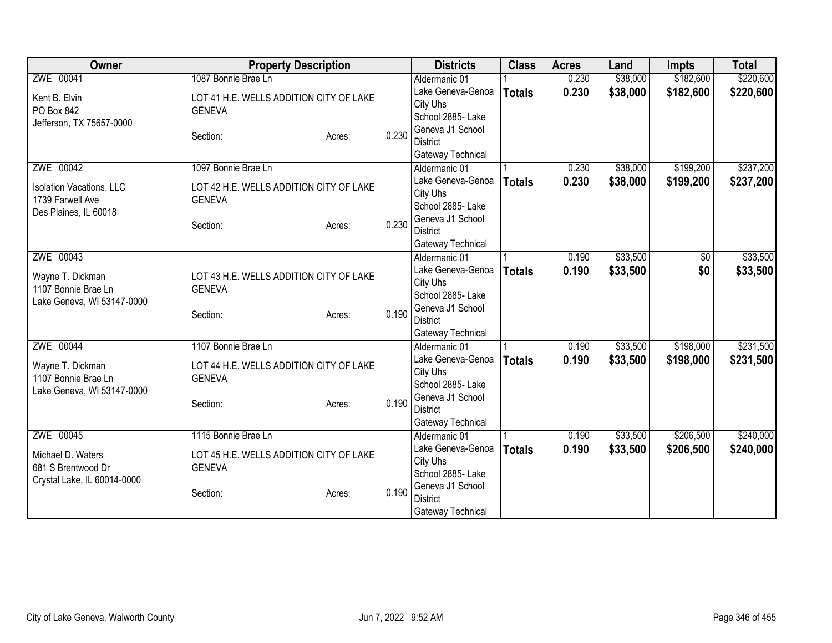| Owner                           | <b>Property Description</b>             |       | <b>Districts</b>              | <b>Class</b>  | <b>Acres</b> | Land     | <b>Impts</b> | <b>Total</b> |
|---------------------------------|-----------------------------------------|-------|-------------------------------|---------------|--------------|----------|--------------|--------------|
| ZWE 00041                       | 1087 Bonnie Brae Ln                     |       | Aldermanic 01                 |               | 0.230        | \$38,000 | \$182,600    | \$220,600    |
| Kent B. Elvin                   | LOT 41 H.E. WELLS ADDITION CITY OF LAKE |       | Lake Geneva-Genoa             | <b>Totals</b> | 0.230        | \$38,000 | \$182,600    | \$220,600    |
| PO Box 842                      | <b>GENEVA</b>                           |       | City Uhs                      |               |              |          |              |              |
| Jefferson, TX 75657-0000        |                                         |       | School 2885- Lake             |               |              |          |              |              |
|                                 | Section:<br>Acres:                      | 0.230 | Geneva J1 School              |               |              |          |              |              |
|                                 |                                         |       | <b>District</b>               |               |              |          |              |              |
|                                 |                                         |       | Gateway Technical             |               |              |          |              |              |
| ZWE 00042                       | 1097 Bonnie Brae Ln                     |       | Aldermanic 01                 |               | 0.230        | \$38,000 | \$199,200    | \$237,200    |
| <b>Isolation Vacations, LLC</b> | LOT 42 H.E. WELLS ADDITION CITY OF LAKE |       | Lake Geneva-Genoa             | <b>Totals</b> | 0.230        | \$38,000 | \$199,200    | \$237,200    |
| 1739 Farwell Ave                | <b>GENEVA</b>                           |       | City Uhs<br>School 2885- Lake |               |              |          |              |              |
| Des Plaines, IL 60018           |                                         |       | Geneva J1 School              |               |              |          |              |              |
|                                 | Section:<br>Acres:                      | 0.230 | <b>District</b>               |               |              |          |              |              |
|                                 |                                         |       | Gateway Technical             |               |              |          |              |              |
| ZWE 00043                       |                                         |       | Aldermanic 01                 |               | 0.190        | \$33,500 | \$0          | \$33,500     |
|                                 |                                         |       | Lake Geneva-Genoa             | <b>Totals</b> | 0.190        | \$33,500 | \$0          | \$33,500     |
| Wayne T. Dickman                | LOT 43 H.E. WELLS ADDITION CITY OF LAKE |       | City Uhs                      |               |              |          |              |              |
| 1107 Bonnie Brae Ln             | <b>GENEVA</b>                           |       | School 2885- Lake             |               |              |          |              |              |
| Lake Geneva, WI 53147-0000      |                                         |       | Geneva J1 School              |               |              |          |              |              |
|                                 | Section:<br>Acres:                      | 0.190 | <b>District</b>               |               |              |          |              |              |
|                                 |                                         |       | Gateway Technical             |               |              |          |              |              |
| ZWE 00044                       | 1107 Bonnie Brae Ln                     |       | Aldermanic 01                 |               | 0.190        | \$33,500 | \$198,000    | \$231,500    |
| Wayne T. Dickman                | LOT 44 H.E. WELLS ADDITION CITY OF LAKE |       | Lake Geneva-Genoa             | <b>Totals</b> | 0.190        | \$33,500 | \$198,000    | \$231,500    |
| 1107 Bonnie Brae Ln             | <b>GENEVA</b>                           |       | City Uhs                      |               |              |          |              |              |
| Lake Geneva, WI 53147-0000      |                                         |       | School 2885- Lake             |               |              |          |              |              |
|                                 | Section:<br>Acres:                      | 0.190 | Geneva J1 School              |               |              |          |              |              |
|                                 |                                         |       | <b>District</b>               |               |              |          |              |              |
|                                 |                                         |       | Gateway Technical             |               |              |          |              |              |
| ZWE 00045                       | 1115 Bonnie Brae Ln                     |       | Aldermanic 01                 |               | 0.190        | \$33,500 | \$206,500    | \$240,000    |
| Michael D. Waters               | LOT 45 H.E. WELLS ADDITION CITY OF LAKE |       | Lake Geneva-Genoa             | <b>Totals</b> | 0.190        | \$33,500 | \$206,500    | \$240,000    |
| 681 S Brentwood Dr              | <b>GENEVA</b>                           |       | City Uhs                      |               |              |          |              |              |
| Crystal Lake, IL 60014-0000     |                                         |       | School 2885- Lake             |               |              |          |              |              |
|                                 | Section:<br>Acres:                      | 0.190 | Geneva J1 School              |               |              |          |              |              |
|                                 |                                         |       | <b>District</b>               |               |              |          |              |              |
|                                 |                                         |       | Gateway Technical             |               |              |          |              |              |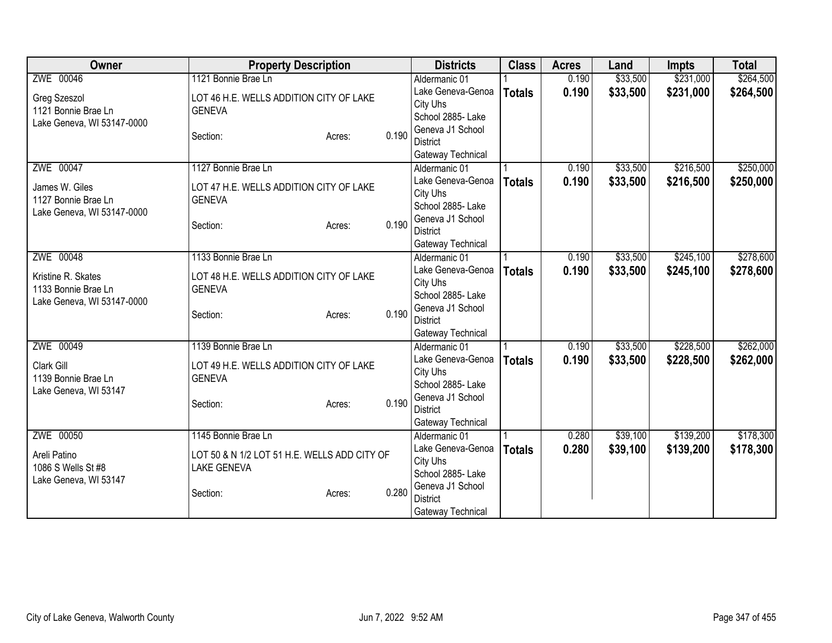| ZWE 00046<br>1121 Bonnie Brae Ln<br>\$33,500<br>\$231,000<br>Aldermanic 01<br>0.190<br>0.190<br>\$33,500<br>\$231,000<br>Lake Geneva-Genoa<br><b>Totals</b><br>LOT 46 H.E. WELLS ADDITION CITY OF LAKE<br>Greg Szeszol<br>City Uhs<br>1121 Bonnie Brae Ln<br><b>GENEVA</b><br>School 2885- Lake<br>Lake Geneva, WI 53147-0000<br>Geneva J1 School<br>0.190<br>Section:<br>Acres:<br><b>District</b><br>Gateway Technical<br>ZWE 00047<br>\$33,500<br>\$216,500<br>1127 Bonnie Brae Ln<br>0.190<br>Aldermanic 01<br>0.190<br>Lake Geneva-Genoa<br>\$33,500<br>\$216,500<br><b>Totals</b><br>James W. Giles<br>LOT 47 H.E. WELLS ADDITION CITY OF LAKE<br>City Uhs<br><b>GENEVA</b><br>1127 Bonnie Brae Ln<br>School 2885- Lake<br>Lake Geneva, WI 53147-0000<br>Geneva J1 School<br>0.190<br>Section:<br>Acres:<br><b>District</b><br>Gateway Technical<br>ZWE 00048<br>\$33,500<br>\$245,100<br>1133 Bonnie Brae Ln<br>0.190<br>Aldermanic 01<br>Lake Geneva-Genoa<br>0.190<br>\$33,500<br>\$245,100<br><b>Totals</b><br>Kristine R. Skates<br>LOT 48 H.E. WELLS ADDITION CITY OF LAKE<br>City Uhs<br><b>GENEVA</b><br>1133 Bonnie Brae Ln<br>School 2885- Lake<br>Lake Geneva, WI 53147-0000<br>Geneva J1 School<br>0.190<br>Section:<br>Acres:<br><b>District</b><br>Gateway Technical<br>ZWE 00049<br>\$228,500<br>1139 Bonnie Brae Ln<br>0.190<br>\$33,500<br>Aldermanic 01<br>Lake Geneva-Genoa<br>\$33,500<br>0.190<br>\$228,500<br><b>Totals</b><br>Clark Gill<br>LOT 49 H.E. WELLS ADDITION CITY OF LAKE<br>City Uhs<br>1139 Bonnie Brae Ln<br><b>GENEVA</b><br>School 2885- Lake<br>Lake Geneva, WI 53147<br>Geneva J1 School<br>0.190<br>Section:<br>Acres:<br><b>District</b><br>Gateway Technical<br>ZWE 00050<br>\$139,200<br>1145 Bonnie Brae Ln<br>\$39,100<br>Aldermanic 01<br>0.280<br>Lake Geneva-Genoa<br>0.280<br>\$39,100<br>\$139,200<br><b>Totals</b><br>LOT 50 & N 1/2 LOT 51 H.E. WELLS ADD CITY OF<br>Areli Patino<br>City Uhs<br>1086 S Wells St #8<br><b>LAKE GENEVA</b><br>School 2885- Lake<br>Lake Geneva, WI 53147<br>Geneva J1 School<br>0.280<br>Section:<br>Acres:<br><b>District</b> | Owner | <b>Property Description</b> | <b>Districts</b>  | <b>Class</b> | <b>Acres</b> | Land | <b>Impts</b> | <b>Total</b> |
|--------------------------------------------------------------------------------------------------------------------------------------------------------------------------------------------------------------------------------------------------------------------------------------------------------------------------------------------------------------------------------------------------------------------------------------------------------------------------------------------------------------------------------------------------------------------------------------------------------------------------------------------------------------------------------------------------------------------------------------------------------------------------------------------------------------------------------------------------------------------------------------------------------------------------------------------------------------------------------------------------------------------------------------------------------------------------------------------------------------------------------------------------------------------------------------------------------------------------------------------------------------------------------------------------------------------------------------------------------------------------------------------------------------------------------------------------------------------------------------------------------------------------------------------------------------------------------------------------------------------------------------------------------------------------------------------------------------------------------------------------------------------------------------------------------------------------------------------------------------------------------------------------------------------------------------------------------------------------------------------------------------------------------------------------------------------------------------------------------------------------|-------|-----------------------------|-------------------|--------------|--------------|------|--------------|--------------|
| \$264,500                                                                                                                                                                                                                                                                                                                                                                                                                                                                                                                                                                                                                                                                                                                                                                                                                                                                                                                                                                                                                                                                                                                                                                                                                                                                                                                                                                                                                                                                                                                                                                                                                                                                                                                                                                                                                                                                                                                                                                                                                                                                                                                |       |                             |                   |              |              |      |              | \$264,500    |
|                                                                                                                                                                                                                                                                                                                                                                                                                                                                                                                                                                                                                                                                                                                                                                                                                                                                                                                                                                                                                                                                                                                                                                                                                                                                                                                                                                                                                                                                                                                                                                                                                                                                                                                                                                                                                                                                                                                                                                                                                                                                                                                          |       |                             |                   |              |              |      |              |              |
| \$250,000<br>\$250,000<br>\$278,600<br>\$278,600                                                                                                                                                                                                                                                                                                                                                                                                                                                                                                                                                                                                                                                                                                                                                                                                                                                                                                                                                                                                                                                                                                                                                                                                                                                                                                                                                                                                                                                                                                                                                                                                                                                                                                                                                                                                                                                                                                                                                                                                                                                                         |       |                             |                   |              |              |      |              |              |
|                                                                                                                                                                                                                                                                                                                                                                                                                                                                                                                                                                                                                                                                                                                                                                                                                                                                                                                                                                                                                                                                                                                                                                                                                                                                                                                                                                                                                                                                                                                                                                                                                                                                                                                                                                                                                                                                                                                                                                                                                                                                                                                          |       |                             |                   |              |              |      |              |              |
|                                                                                                                                                                                                                                                                                                                                                                                                                                                                                                                                                                                                                                                                                                                                                                                                                                                                                                                                                                                                                                                                                                                                                                                                                                                                                                                                                                                                                                                                                                                                                                                                                                                                                                                                                                                                                                                                                                                                                                                                                                                                                                                          |       |                             |                   |              |              |      |              |              |
|                                                                                                                                                                                                                                                                                                                                                                                                                                                                                                                                                                                                                                                                                                                                                                                                                                                                                                                                                                                                                                                                                                                                                                                                                                                                                                                                                                                                                                                                                                                                                                                                                                                                                                                                                                                                                                                                                                                                                                                                                                                                                                                          |       |                             |                   |              |              |      |              |              |
|                                                                                                                                                                                                                                                                                                                                                                                                                                                                                                                                                                                                                                                                                                                                                                                                                                                                                                                                                                                                                                                                                                                                                                                                                                                                                                                                                                                                                                                                                                                                                                                                                                                                                                                                                                                                                                                                                                                                                                                                                                                                                                                          |       |                             |                   |              |              |      |              |              |
|                                                                                                                                                                                                                                                                                                                                                                                                                                                                                                                                                                                                                                                                                                                                                                                                                                                                                                                                                                                                                                                                                                                                                                                                                                                                                                                                                                                                                                                                                                                                                                                                                                                                                                                                                                                                                                                                                                                                                                                                                                                                                                                          |       |                             |                   |              |              |      |              |              |
|                                                                                                                                                                                                                                                                                                                                                                                                                                                                                                                                                                                                                                                                                                                                                                                                                                                                                                                                                                                                                                                                                                                                                                                                                                                                                                                                                                                                                                                                                                                                                                                                                                                                                                                                                                                                                                                                                                                                                                                                                                                                                                                          |       |                             |                   |              |              |      |              |              |
|                                                                                                                                                                                                                                                                                                                                                                                                                                                                                                                                                                                                                                                                                                                                                                                                                                                                                                                                                                                                                                                                                                                                                                                                                                                                                                                                                                                                                                                                                                                                                                                                                                                                                                                                                                                                                                                                                                                                                                                                                                                                                                                          |       |                             |                   |              |              |      |              |              |
|                                                                                                                                                                                                                                                                                                                                                                                                                                                                                                                                                                                                                                                                                                                                                                                                                                                                                                                                                                                                                                                                                                                                                                                                                                                                                                                                                                                                                                                                                                                                                                                                                                                                                                                                                                                                                                                                                                                                                                                                                                                                                                                          |       |                             |                   |              |              |      |              |              |
|                                                                                                                                                                                                                                                                                                                                                                                                                                                                                                                                                                                                                                                                                                                                                                                                                                                                                                                                                                                                                                                                                                                                                                                                                                                                                                                                                                                                                                                                                                                                                                                                                                                                                                                                                                                                                                                                                                                                                                                                                                                                                                                          |       |                             |                   |              |              |      |              |              |
|                                                                                                                                                                                                                                                                                                                                                                                                                                                                                                                                                                                                                                                                                                                                                                                                                                                                                                                                                                                                                                                                                                                                                                                                                                                                                                                                                                                                                                                                                                                                                                                                                                                                                                                                                                                                                                                                                                                                                                                                                                                                                                                          |       |                             |                   |              |              |      |              |              |
|                                                                                                                                                                                                                                                                                                                                                                                                                                                                                                                                                                                                                                                                                                                                                                                                                                                                                                                                                                                                                                                                                                                                                                                                                                                                                                                                                                                                                                                                                                                                                                                                                                                                                                                                                                                                                                                                                                                                                                                                                                                                                                                          |       |                             |                   |              |              |      |              |              |
|                                                                                                                                                                                                                                                                                                                                                                                                                                                                                                                                                                                                                                                                                                                                                                                                                                                                                                                                                                                                                                                                                                                                                                                                                                                                                                                                                                                                                                                                                                                                                                                                                                                                                                                                                                                                                                                                                                                                                                                                                                                                                                                          |       |                             |                   |              |              |      |              |              |
|                                                                                                                                                                                                                                                                                                                                                                                                                                                                                                                                                                                                                                                                                                                                                                                                                                                                                                                                                                                                                                                                                                                                                                                                                                                                                                                                                                                                                                                                                                                                                                                                                                                                                                                                                                                                                                                                                                                                                                                                                                                                                                                          |       |                             |                   |              |              |      |              |              |
| \$262,000<br>\$262,000<br>\$178,300<br>\$178,300                                                                                                                                                                                                                                                                                                                                                                                                                                                                                                                                                                                                                                                                                                                                                                                                                                                                                                                                                                                                                                                                                                                                                                                                                                                                                                                                                                                                                                                                                                                                                                                                                                                                                                                                                                                                                                                                                                                                                                                                                                                                         |       |                             |                   |              |              |      |              |              |
|                                                                                                                                                                                                                                                                                                                                                                                                                                                                                                                                                                                                                                                                                                                                                                                                                                                                                                                                                                                                                                                                                                                                                                                                                                                                                                                                                                                                                                                                                                                                                                                                                                                                                                                                                                                                                                                                                                                                                                                                                                                                                                                          |       |                             |                   |              |              |      |              |              |
|                                                                                                                                                                                                                                                                                                                                                                                                                                                                                                                                                                                                                                                                                                                                                                                                                                                                                                                                                                                                                                                                                                                                                                                                                                                                                                                                                                                                                                                                                                                                                                                                                                                                                                                                                                                                                                                                                                                                                                                                                                                                                                                          |       |                             |                   |              |              |      |              |              |
|                                                                                                                                                                                                                                                                                                                                                                                                                                                                                                                                                                                                                                                                                                                                                                                                                                                                                                                                                                                                                                                                                                                                                                                                                                                                                                                                                                                                                                                                                                                                                                                                                                                                                                                                                                                                                                                                                                                                                                                                                                                                                                                          |       |                             |                   |              |              |      |              |              |
|                                                                                                                                                                                                                                                                                                                                                                                                                                                                                                                                                                                                                                                                                                                                                                                                                                                                                                                                                                                                                                                                                                                                                                                                                                                                                                                                                                                                                                                                                                                                                                                                                                                                                                                                                                                                                                                                                                                                                                                                                                                                                                                          |       |                             |                   |              |              |      |              |              |
|                                                                                                                                                                                                                                                                                                                                                                                                                                                                                                                                                                                                                                                                                                                                                                                                                                                                                                                                                                                                                                                                                                                                                                                                                                                                                                                                                                                                                                                                                                                                                                                                                                                                                                                                                                                                                                                                                                                                                                                                                                                                                                                          |       |                             |                   |              |              |      |              |              |
|                                                                                                                                                                                                                                                                                                                                                                                                                                                                                                                                                                                                                                                                                                                                                                                                                                                                                                                                                                                                                                                                                                                                                                                                                                                                                                                                                                                                                                                                                                                                                                                                                                                                                                                                                                                                                                                                                                                                                                                                                                                                                                                          |       |                             |                   |              |              |      |              |              |
|                                                                                                                                                                                                                                                                                                                                                                                                                                                                                                                                                                                                                                                                                                                                                                                                                                                                                                                                                                                                                                                                                                                                                                                                                                                                                                                                                                                                                                                                                                                                                                                                                                                                                                                                                                                                                                                                                                                                                                                                                                                                                                                          |       |                             |                   |              |              |      |              |              |
|                                                                                                                                                                                                                                                                                                                                                                                                                                                                                                                                                                                                                                                                                                                                                                                                                                                                                                                                                                                                                                                                                                                                                                                                                                                                                                                                                                                                                                                                                                                                                                                                                                                                                                                                                                                                                                                                                                                                                                                                                                                                                                                          |       |                             |                   |              |              |      |              |              |
|                                                                                                                                                                                                                                                                                                                                                                                                                                                                                                                                                                                                                                                                                                                                                                                                                                                                                                                                                                                                                                                                                                                                                                                                                                                                                                                                                                                                                                                                                                                                                                                                                                                                                                                                                                                                                                                                                                                                                                                                                                                                                                                          |       |                             |                   |              |              |      |              |              |
|                                                                                                                                                                                                                                                                                                                                                                                                                                                                                                                                                                                                                                                                                                                                                                                                                                                                                                                                                                                                                                                                                                                                                                                                                                                                                                                                                                                                                                                                                                                                                                                                                                                                                                                                                                                                                                                                                                                                                                                                                                                                                                                          |       |                             |                   |              |              |      |              |              |
|                                                                                                                                                                                                                                                                                                                                                                                                                                                                                                                                                                                                                                                                                                                                                                                                                                                                                                                                                                                                                                                                                                                                                                                                                                                                                                                                                                                                                                                                                                                                                                                                                                                                                                                                                                                                                                                                                                                                                                                                                                                                                                                          |       |                             |                   |              |              |      |              |              |
|                                                                                                                                                                                                                                                                                                                                                                                                                                                                                                                                                                                                                                                                                                                                                                                                                                                                                                                                                                                                                                                                                                                                                                                                                                                                                                                                                                                                                                                                                                                                                                                                                                                                                                                                                                                                                                                                                                                                                                                                                                                                                                                          |       |                             |                   |              |              |      |              |              |
|                                                                                                                                                                                                                                                                                                                                                                                                                                                                                                                                                                                                                                                                                                                                                                                                                                                                                                                                                                                                                                                                                                                                                                                                                                                                                                                                                                                                                                                                                                                                                                                                                                                                                                                                                                                                                                                                                                                                                                                                                                                                                                                          |       |                             |                   |              |              |      |              |              |
|                                                                                                                                                                                                                                                                                                                                                                                                                                                                                                                                                                                                                                                                                                                                                                                                                                                                                                                                                                                                                                                                                                                                                                                                                                                                                                                                                                                                                                                                                                                                                                                                                                                                                                                                                                                                                                                                                                                                                                                                                                                                                                                          |       |                             |                   |              |              |      |              |              |
|                                                                                                                                                                                                                                                                                                                                                                                                                                                                                                                                                                                                                                                                                                                                                                                                                                                                                                                                                                                                                                                                                                                                                                                                                                                                                                                                                                                                                                                                                                                                                                                                                                                                                                                                                                                                                                                                                                                                                                                                                                                                                                                          |       |                             |                   |              |              |      |              |              |
|                                                                                                                                                                                                                                                                                                                                                                                                                                                                                                                                                                                                                                                                                                                                                                                                                                                                                                                                                                                                                                                                                                                                                                                                                                                                                                                                                                                                                                                                                                                                                                                                                                                                                                                                                                                                                                                                                                                                                                                                                                                                                                                          |       |                             | Gateway Technical |              |              |      |              |              |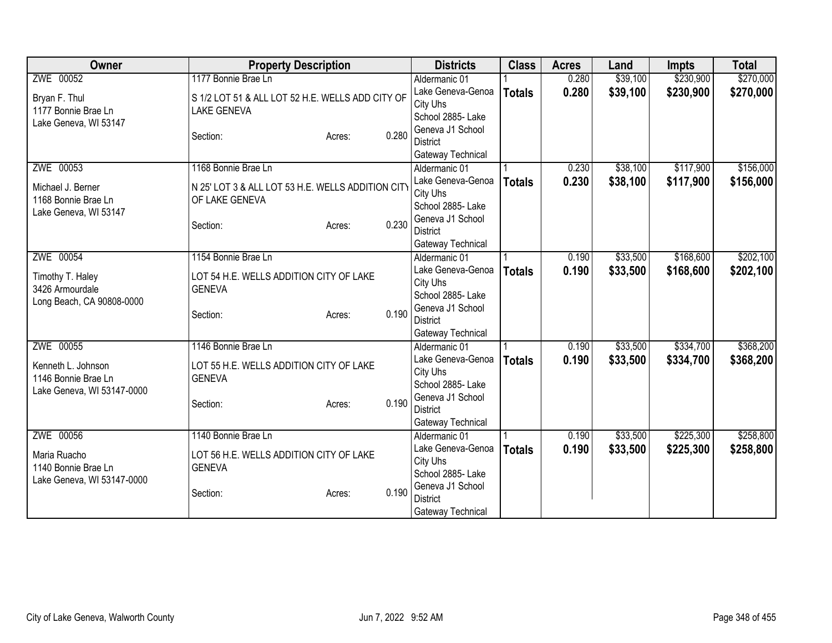| ZWE 00052<br>1177 Bonnie Brae Ln<br>\$39,100<br>\$230,900<br>Aldermanic 01<br>0.280<br>0.280<br>\$39,100<br>\$230,900<br>Lake Geneva-Genoa<br><b>Totals</b><br>S 1/2 LOT 51 & ALL LOT 52 H.E. WELLS ADD CITY OF<br>Bryan F. Thul<br>City Uhs<br>1177 Bonnie Brae Ln<br><b>LAKE GENEVA</b><br>School 2885- Lake<br>Lake Geneva, WI 53147<br>Geneva J1 School<br>0.280<br>Section:<br>Acres:<br><b>District</b><br>Gateway Technical<br>ZWE 00053<br>\$38,100<br>\$117,900<br>1168 Bonnie Brae Ln<br>0.230<br>Aldermanic 01<br>0.230<br>Lake Geneva-Genoa<br>\$38,100<br>\$117,900<br><b>Totals</b><br>N 25' LOT 3 & ALL LOT 53 H.E. WELLS ADDITION CITY<br>Michael J. Berner<br>City Uhs<br>OF LAKE GENEVA<br>1168 Bonnie Brae Ln<br>School 2885- Lake<br>Lake Geneva, WI 53147<br>Geneva J1 School<br>0.230<br>Section:<br>Acres:<br><b>District</b><br>Gateway Technical<br>\$33,500<br>\$168,600<br>ZWE 00054<br>1154 Bonnie Brae Ln<br>0.190<br>Aldermanic 01<br>Lake Geneva-Genoa<br>0.190<br>\$33,500<br>\$168,600<br><b>Totals</b><br>Timothy T. Haley<br>LOT 54 H.E. WELLS ADDITION CITY OF LAKE<br>City Uhs<br>3426 Armourdale<br><b>GENEVA</b><br>School 2885- Lake<br>Long Beach, CA 90808-0000<br>Geneva J1 School<br>0.190<br>Section:<br>Acres:<br><b>District</b><br>Gateway Technical<br>ZWE 00055<br>\$334,700<br>1146 Bonnie Brae Ln<br>0.190<br>\$33,500<br>Aldermanic 01<br>Lake Geneva-Genoa<br>\$33,500<br>\$334,700<br>0.190<br><b>Totals</b><br>LOT 55 H.E. WELLS ADDITION CITY OF LAKE<br>Kenneth L. Johnson<br>City Uhs<br>1146 Bonnie Brae Ln<br><b>GENEVA</b><br>School 2885- Lake<br>Lake Geneva, WI 53147-0000<br>Geneva J1 School<br>0.190<br>Section:<br>Acres:<br><b>District</b><br>Gateway Technical<br>ZWE 00056<br>\$33,500<br>\$225,300<br>1140 Bonnie Brae Ln<br>Aldermanic 01<br>0.190<br>Lake Geneva-Genoa<br>0.190<br>\$33,500<br>\$225,300<br><b>Totals</b><br>LOT 56 H.E. WELLS ADDITION CITY OF LAKE<br>Maria Ruacho<br>City Uhs<br>1140 Bonnie Brae Ln<br><b>GENEVA</b><br>School 2885- Lake<br>Lake Geneva, WI 53147-0000<br>Geneva J1 School<br>0.190<br>Section:<br>Acres:<br><b>District</b> | Owner | <b>Property Description</b> |  | <b>Districts</b>  | <b>Class</b> | <b>Acres</b> | Land | <b>Impts</b> | <b>Total</b> |
|-----------------------------------------------------------------------------------------------------------------------------------------------------------------------------------------------------------------------------------------------------------------------------------------------------------------------------------------------------------------------------------------------------------------------------------------------------------------------------------------------------------------------------------------------------------------------------------------------------------------------------------------------------------------------------------------------------------------------------------------------------------------------------------------------------------------------------------------------------------------------------------------------------------------------------------------------------------------------------------------------------------------------------------------------------------------------------------------------------------------------------------------------------------------------------------------------------------------------------------------------------------------------------------------------------------------------------------------------------------------------------------------------------------------------------------------------------------------------------------------------------------------------------------------------------------------------------------------------------------------------------------------------------------------------------------------------------------------------------------------------------------------------------------------------------------------------------------------------------------------------------------------------------------------------------------------------------------------------------------------------------------------------------------------------------------------------------------------------------------------------------------------------|-------|-----------------------------|--|-------------------|--------------|--------------|------|--------------|--------------|
| \$270,000                                                                                                                                                                                                                                                                                                                                                                                                                                                                                                                                                                                                                                                                                                                                                                                                                                                                                                                                                                                                                                                                                                                                                                                                                                                                                                                                                                                                                                                                                                                                                                                                                                                                                                                                                                                                                                                                                                                                                                                                                                                                                                                                     |       |                             |  |                   |              |              |      |              | \$270,000    |
| \$156,000<br>\$156,000                                                                                                                                                                                                                                                                                                                                                                                                                                                                                                                                                                                                                                                                                                                                                                                                                                                                                                                                                                                                                                                                                                                                                                                                                                                                                                                                                                                                                                                                                                                                                                                                                                                                                                                                                                                                                                                                                                                                                                                                                                                                                                                        |       |                             |  |                   |              |              |      |              |              |
|                                                                                                                                                                                                                                                                                                                                                                                                                                                                                                                                                                                                                                                                                                                                                                                                                                                                                                                                                                                                                                                                                                                                                                                                                                                                                                                                                                                                                                                                                                                                                                                                                                                                                                                                                                                                                                                                                                                                                                                                                                                                                                                                               |       |                             |  |                   |              |              |      |              |              |
|                                                                                                                                                                                                                                                                                                                                                                                                                                                                                                                                                                                                                                                                                                                                                                                                                                                                                                                                                                                                                                                                                                                                                                                                                                                                                                                                                                                                                                                                                                                                                                                                                                                                                                                                                                                                                                                                                                                                                                                                                                                                                                                                               |       |                             |  |                   |              |              |      |              |              |
|                                                                                                                                                                                                                                                                                                                                                                                                                                                                                                                                                                                                                                                                                                                                                                                                                                                                                                                                                                                                                                                                                                                                                                                                                                                                                                                                                                                                                                                                                                                                                                                                                                                                                                                                                                                                                                                                                                                                                                                                                                                                                                                                               |       |                             |  |                   |              |              |      |              |              |
|                                                                                                                                                                                                                                                                                                                                                                                                                                                                                                                                                                                                                                                                                                                                                                                                                                                                                                                                                                                                                                                                                                                                                                                                                                                                                                                                                                                                                                                                                                                                                                                                                                                                                                                                                                                                                                                                                                                                                                                                                                                                                                                                               |       |                             |  |                   |              |              |      |              |              |
|                                                                                                                                                                                                                                                                                                                                                                                                                                                                                                                                                                                                                                                                                                                                                                                                                                                                                                                                                                                                                                                                                                                                                                                                                                                                                                                                                                                                                                                                                                                                                                                                                                                                                                                                                                                                                                                                                                                                                                                                                                                                                                                                               |       |                             |  |                   |              |              |      |              |              |
|                                                                                                                                                                                                                                                                                                                                                                                                                                                                                                                                                                                                                                                                                                                                                                                                                                                                                                                                                                                                                                                                                                                                                                                                                                                                                                                                                                                                                                                                                                                                                                                                                                                                                                                                                                                                                                                                                                                                                                                                                                                                                                                                               |       |                             |  |                   |              |              |      |              |              |
|                                                                                                                                                                                                                                                                                                                                                                                                                                                                                                                                                                                                                                                                                                                                                                                                                                                                                                                                                                                                                                                                                                                                                                                                                                                                                                                                                                                                                                                                                                                                                                                                                                                                                                                                                                                                                                                                                                                                                                                                                                                                                                                                               |       |                             |  |                   |              |              |      |              |              |
|                                                                                                                                                                                                                                                                                                                                                                                                                                                                                                                                                                                                                                                                                                                                                                                                                                                                                                                                                                                                                                                                                                                                                                                                                                                                                                                                                                                                                                                                                                                                                                                                                                                                                                                                                                                                                                                                                                                                                                                                                                                                                                                                               |       |                             |  |                   |              |              |      |              |              |
|                                                                                                                                                                                                                                                                                                                                                                                                                                                                                                                                                                                                                                                                                                                                                                                                                                                                                                                                                                                                                                                                                                                                                                                                                                                                                                                                                                                                                                                                                                                                                                                                                                                                                                                                                                                                                                                                                                                                                                                                                                                                                                                                               |       |                             |  |                   |              |              |      |              |              |
| \$202,100<br>\$202,100<br>\$368,200                                                                                                                                                                                                                                                                                                                                                                                                                                                                                                                                                                                                                                                                                                                                                                                                                                                                                                                                                                                                                                                                                                                                                                                                                                                                                                                                                                                                                                                                                                                                                                                                                                                                                                                                                                                                                                                                                                                                                                                                                                                                                                           |       |                             |  |                   |              |              |      |              |              |
|                                                                                                                                                                                                                                                                                                                                                                                                                                                                                                                                                                                                                                                                                                                                                                                                                                                                                                                                                                                                                                                                                                                                                                                                                                                                                                                                                                                                                                                                                                                                                                                                                                                                                                                                                                                                                                                                                                                                                                                                                                                                                                                                               |       |                             |  |                   |              |              |      |              |              |
|                                                                                                                                                                                                                                                                                                                                                                                                                                                                                                                                                                                                                                                                                                                                                                                                                                                                                                                                                                                                                                                                                                                                                                                                                                                                                                                                                                                                                                                                                                                                                                                                                                                                                                                                                                                                                                                                                                                                                                                                                                                                                                                                               |       |                             |  |                   |              |              |      |              |              |
|                                                                                                                                                                                                                                                                                                                                                                                                                                                                                                                                                                                                                                                                                                                                                                                                                                                                                                                                                                                                                                                                                                                                                                                                                                                                                                                                                                                                                                                                                                                                                                                                                                                                                                                                                                                                                                                                                                                                                                                                                                                                                                                                               |       |                             |  |                   |              |              |      |              |              |
|                                                                                                                                                                                                                                                                                                                                                                                                                                                                                                                                                                                                                                                                                                                                                                                                                                                                                                                                                                                                                                                                                                                                                                                                                                                                                                                                                                                                                                                                                                                                                                                                                                                                                                                                                                                                                                                                                                                                                                                                                                                                                                                                               |       |                             |  |                   |              |              |      |              |              |
| \$368,200<br>\$258,800<br>\$258,800                                                                                                                                                                                                                                                                                                                                                                                                                                                                                                                                                                                                                                                                                                                                                                                                                                                                                                                                                                                                                                                                                                                                                                                                                                                                                                                                                                                                                                                                                                                                                                                                                                                                                                                                                                                                                                                                                                                                                                                                                                                                                                           |       |                             |  |                   |              |              |      |              |              |
|                                                                                                                                                                                                                                                                                                                                                                                                                                                                                                                                                                                                                                                                                                                                                                                                                                                                                                                                                                                                                                                                                                                                                                                                                                                                                                                                                                                                                                                                                                                                                                                                                                                                                                                                                                                                                                                                                                                                                                                                                                                                                                                                               |       |                             |  |                   |              |              |      |              |              |
|                                                                                                                                                                                                                                                                                                                                                                                                                                                                                                                                                                                                                                                                                                                                                                                                                                                                                                                                                                                                                                                                                                                                                                                                                                                                                                                                                                                                                                                                                                                                                                                                                                                                                                                                                                                                                                                                                                                                                                                                                                                                                                                                               |       |                             |  |                   |              |              |      |              |              |
|                                                                                                                                                                                                                                                                                                                                                                                                                                                                                                                                                                                                                                                                                                                                                                                                                                                                                                                                                                                                                                                                                                                                                                                                                                                                                                                                                                                                                                                                                                                                                                                                                                                                                                                                                                                                                                                                                                                                                                                                                                                                                                                                               |       |                             |  |                   |              |              |      |              |              |
|                                                                                                                                                                                                                                                                                                                                                                                                                                                                                                                                                                                                                                                                                                                                                                                                                                                                                                                                                                                                                                                                                                                                                                                                                                                                                                                                                                                                                                                                                                                                                                                                                                                                                                                                                                                                                                                                                                                                                                                                                                                                                                                                               |       |                             |  |                   |              |              |      |              |              |
|                                                                                                                                                                                                                                                                                                                                                                                                                                                                                                                                                                                                                                                                                                                                                                                                                                                                                                                                                                                                                                                                                                                                                                                                                                                                                                                                                                                                                                                                                                                                                                                                                                                                                                                                                                                                                                                                                                                                                                                                                                                                                                                                               |       |                             |  |                   |              |              |      |              |              |
|                                                                                                                                                                                                                                                                                                                                                                                                                                                                                                                                                                                                                                                                                                                                                                                                                                                                                                                                                                                                                                                                                                                                                                                                                                                                                                                                                                                                                                                                                                                                                                                                                                                                                                                                                                                                                                                                                                                                                                                                                                                                                                                                               |       |                             |  |                   |              |              |      |              |              |
|                                                                                                                                                                                                                                                                                                                                                                                                                                                                                                                                                                                                                                                                                                                                                                                                                                                                                                                                                                                                                                                                                                                                                                                                                                                                                                                                                                                                                                                                                                                                                                                                                                                                                                                                                                                                                                                                                                                                                                                                                                                                                                                                               |       |                             |  |                   |              |              |      |              |              |
|                                                                                                                                                                                                                                                                                                                                                                                                                                                                                                                                                                                                                                                                                                                                                                                                                                                                                                                                                                                                                                                                                                                                                                                                                                                                                                                                                                                                                                                                                                                                                                                                                                                                                                                                                                                                                                                                                                                                                                                                                                                                                                                                               |       |                             |  |                   |              |              |      |              |              |
|                                                                                                                                                                                                                                                                                                                                                                                                                                                                                                                                                                                                                                                                                                                                                                                                                                                                                                                                                                                                                                                                                                                                                                                                                                                                                                                                                                                                                                                                                                                                                                                                                                                                                                                                                                                                                                                                                                                                                                                                                                                                                                                                               |       |                             |  |                   |              |              |      |              |              |
|                                                                                                                                                                                                                                                                                                                                                                                                                                                                                                                                                                                                                                                                                                                                                                                                                                                                                                                                                                                                                                                                                                                                                                                                                                                                                                                                                                                                                                                                                                                                                                                                                                                                                                                                                                                                                                                                                                                                                                                                                                                                                                                                               |       |                             |  |                   |              |              |      |              |              |
|                                                                                                                                                                                                                                                                                                                                                                                                                                                                                                                                                                                                                                                                                                                                                                                                                                                                                                                                                                                                                                                                                                                                                                                                                                                                                                                                                                                                                                                                                                                                                                                                                                                                                                                                                                                                                                                                                                                                                                                                                                                                                                                                               |       |                             |  |                   |              |              |      |              |              |
|                                                                                                                                                                                                                                                                                                                                                                                                                                                                                                                                                                                                                                                                                                                                                                                                                                                                                                                                                                                                                                                                                                                                                                                                                                                                                                                                                                                                                                                                                                                                                                                                                                                                                                                                                                                                                                                                                                                                                                                                                                                                                                                                               |       |                             |  |                   |              |              |      |              |              |
|                                                                                                                                                                                                                                                                                                                                                                                                                                                                                                                                                                                                                                                                                                                                                                                                                                                                                                                                                                                                                                                                                                                                                                                                                                                                                                                                                                                                                                                                                                                                                                                                                                                                                                                                                                                                                                                                                                                                                                                                                                                                                                                                               |       |                             |  |                   |              |              |      |              |              |
|                                                                                                                                                                                                                                                                                                                                                                                                                                                                                                                                                                                                                                                                                                                                                                                                                                                                                                                                                                                                                                                                                                                                                                                                                                                                                                                                                                                                                                                                                                                                                                                                                                                                                                                                                                                                                                                                                                                                                                                                                                                                                                                                               |       |                             |  |                   |              |              |      |              |              |
|                                                                                                                                                                                                                                                                                                                                                                                                                                                                                                                                                                                                                                                                                                                                                                                                                                                                                                                                                                                                                                                                                                                                                                                                                                                                                                                                                                                                                                                                                                                                                                                                                                                                                                                                                                                                                                                                                                                                                                                                                                                                                                                                               |       |                             |  |                   |              |              |      |              |              |
|                                                                                                                                                                                                                                                                                                                                                                                                                                                                                                                                                                                                                                                                                                                                                                                                                                                                                                                                                                                                                                                                                                                                                                                                                                                                                                                                                                                                                                                                                                                                                                                                                                                                                                                                                                                                                                                                                                                                                                                                                                                                                                                                               |       |                             |  |                   |              |              |      |              |              |
|                                                                                                                                                                                                                                                                                                                                                                                                                                                                                                                                                                                                                                                                                                                                                                                                                                                                                                                                                                                                                                                                                                                                                                                                                                                                                                                                                                                                                                                                                                                                                                                                                                                                                                                                                                                                                                                                                                                                                                                                                                                                                                                                               |       |                             |  | Gateway Technical |              |              |      |              |              |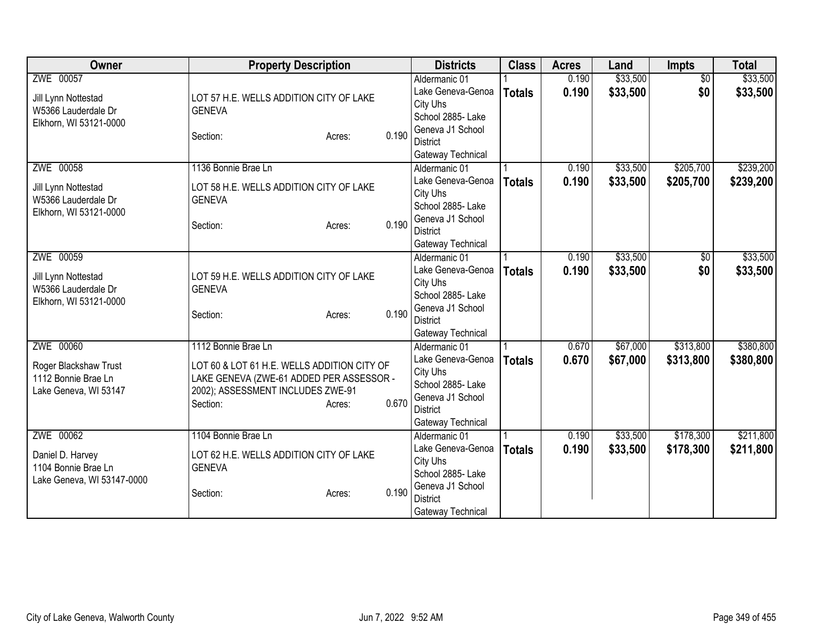| Owner                                                                              | <b>Property Description</b>                                                                                                                                                        | <b>Districts</b>                                                                                                                | <b>Class</b>  | <b>Acres</b>   | Land                 | Impts                  | <b>Total</b>           |
|------------------------------------------------------------------------------------|------------------------------------------------------------------------------------------------------------------------------------------------------------------------------------|---------------------------------------------------------------------------------------------------------------------------------|---------------|----------------|----------------------|------------------------|------------------------|
| ZWE 00057<br>Jill Lynn Nottestad<br>W5366 Lauderdale Dr                            | LOT 57 H.E. WELLS ADDITION CITY OF LAKE<br><b>GENEVA</b>                                                                                                                           | Aldermanic 01<br>Lake Geneva-Genoa<br>City Uhs<br>School 2885- Lake                                                             | <b>Totals</b> | 0.190<br>0.190 | \$33,500<br>\$33,500 | $\overline{50}$<br>\$0 | \$33,500<br>\$33,500   |
| Elkhorn, WI 53121-0000                                                             | 0.190<br>Section:<br>Acres:                                                                                                                                                        | Geneva J1 School<br><b>District</b><br>Gateway Technical                                                                        |               |                |                      |                        |                        |
| ZWE 00058<br>Jill Lynn Nottestad<br>W5366 Lauderdale Dr<br>Elkhorn, WI 53121-0000  | 1136 Bonnie Brae Ln<br>LOT 58 H.E. WELLS ADDITION CITY OF LAKE<br><b>GENEVA</b><br>0.190<br>Section:<br>Acres:                                                                     | Aldermanic 01<br>Lake Geneva-Genoa<br>City Uhs<br>School 2885- Lake<br>Geneva J1 School<br><b>District</b><br>Gateway Technical | <b>Totals</b> | 0.190<br>0.190 | \$33,500<br>\$33,500 | \$205,700<br>\$205,700 | \$239,200<br>\$239,200 |
| ZWE 00059<br>Jill Lynn Nottestad<br>W5366 Lauderdale Dr<br>Elkhorn, WI 53121-0000  | LOT 59 H.E. WELLS ADDITION CITY OF LAKE<br><b>GENEVA</b><br>0.190<br>Section:<br>Acres:                                                                                            | Aldermanic 01<br>Lake Geneva-Genoa<br>City Uhs<br>School 2885- Lake<br>Geneva J1 School<br><b>District</b><br>Gateway Technical | <b>Totals</b> | 0.190<br>0.190 | \$33,500<br>\$33,500 | \$0<br>\$0             | \$33,500<br>\$33,500   |
| ZWE 00060<br>Roger Blackshaw Trust<br>1112 Bonnie Brae Ln<br>Lake Geneva, WI 53147 | 1112 Bonnie Brae Ln<br>LOT 60 & LOT 61 H.E. WELLS ADDITION CITY OF<br>LAKE GENEVA (ZWE-61 ADDED PER ASSESSOR -<br>2002); ASSESSMENT INCLUDES ZWE-91<br>0.670<br>Section:<br>Acres: | Aldermanic 01<br>Lake Geneva-Genoa<br>City Uhs<br>School 2885- Lake<br>Geneva J1 School<br><b>District</b><br>Gateway Technical | <b>Totals</b> | 0.670<br>0.670 | \$67,000<br>\$67,000 | \$313,800<br>\$313,800 | \$380,800<br>\$380,800 |
| ZWE 00062<br>Daniel D. Harvey<br>1104 Bonnie Brae Ln<br>Lake Geneva, WI 53147-0000 | 1104 Bonnie Brae Ln<br>LOT 62 H.E. WELLS ADDITION CITY OF LAKE<br><b>GENEVA</b><br>0.190<br>Section:<br>Acres:                                                                     | Aldermanic 01<br>Lake Geneva-Genoa<br>City Uhs<br>School 2885- Lake<br>Geneva J1 School<br><b>District</b><br>Gateway Technical | <b>Totals</b> | 0.190<br>0.190 | \$33,500<br>\$33,500 | \$178,300<br>\$178,300 | \$211,800<br>\$211,800 |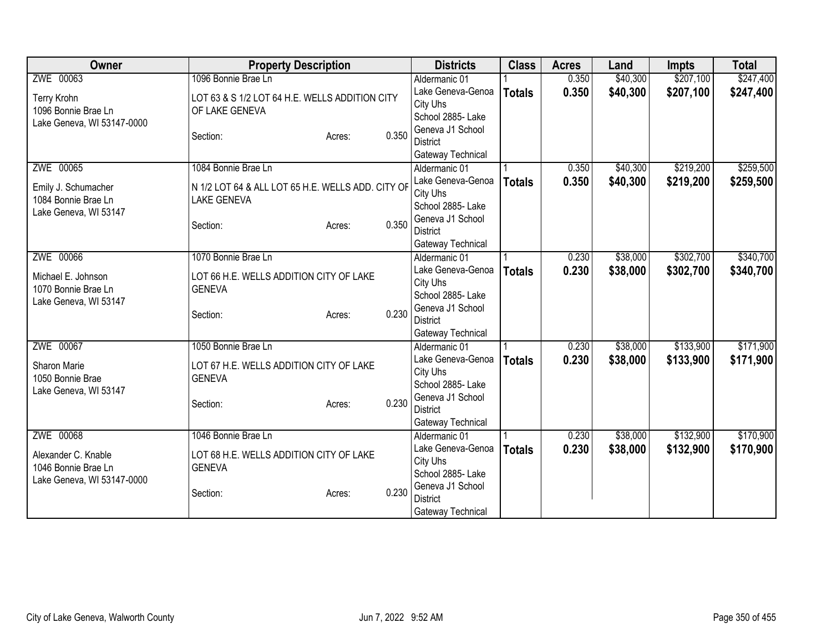| Owner                                                         | <b>Property Description</b>                       |        |          | <b>Districts</b>                    | <b>Class</b>  | <b>Acres</b> | Land     | <b>Impts</b> | <b>Total</b> |
|---------------------------------------------------------------|---------------------------------------------------|--------|----------|-------------------------------------|---------------|--------------|----------|--------------|--------------|
| ZWE 00063                                                     | 1096 Bonnie Brae Ln                               |        |          | Aldermanic 01                       |               | 0.350        | \$40,300 | \$207,100    | \$247,400    |
| Terry Krohn                                                   | LOT 63 & S 1/2 LOT 64 H.E. WELLS ADDITION CITY    |        |          | Lake Geneva-Genoa                   | <b>Totals</b> | 0.350        | \$40,300 | \$207,100    | \$247,400    |
| 1096 Bonnie Brae Ln                                           | OF LAKE GENEVA                                    |        |          | City Uhs                            |               |              |          |              |              |
| Lake Geneva, WI 53147-0000                                    |                                                   |        |          | School 2885- Lake                   |               |              |          |              |              |
|                                                               | Section:                                          | Acres: | 0.350    | Geneva J1 School                    |               |              |          |              |              |
|                                                               |                                                   |        |          | <b>District</b>                     |               |              |          |              |              |
|                                                               |                                                   |        |          | Gateway Technical                   |               |              |          |              |              |
| ZWE 00065                                                     | 1084 Bonnie Brae Ln                               |        |          | Aldermanic 01                       |               | 0.350        | \$40,300 | \$219,200    | \$259,500    |
| Emily J. Schumacher                                           | N 1/2 LOT 64 & ALL LOT 65 H.E. WELLS ADD. CITY OF |        |          | Lake Geneva-Genoa                   | <b>Totals</b> | 0.350        | \$40,300 | \$219,200    | \$259,500    |
| 1084 Bonnie Brae Ln                                           | <b>LAKE GENEVA</b>                                |        |          | City Uhs                            |               |              |          |              |              |
| Lake Geneva, WI 53147                                         |                                                   |        |          | School 2885- Lake                   |               |              |          |              |              |
|                                                               | Section:                                          | Acres: | 0.350    | Geneva J1 School<br><b>District</b> |               |              |          |              |              |
|                                                               |                                                   |        |          |                                     |               |              |          |              |              |
| ZWE 00066                                                     | 1070 Bonnie Brae Ln                               |        |          | Gateway Technical<br>Aldermanic 01  |               | 0.230        | \$38,000 | \$302,700    | \$340,700    |
|                                                               |                                                   |        |          | Lake Geneva-Genoa                   |               | 0.230        | \$38,000 | \$302,700    | \$340,700    |
| Michael E. Johnson<br>LOT 66 H.E. WELLS ADDITION CITY OF LAKE |                                                   |        | City Uhs | <b>Totals</b>                       |               |              |          |              |              |
| 1070 Bonnie Brae Ln                                           | <b>GENEVA</b>                                     |        |          | School 2885- Lake                   |               |              |          |              |              |
| Lake Geneva, WI 53147                                         |                                                   |        |          | Geneva J1 School                    |               |              |          |              |              |
|                                                               | Section:                                          | Acres: | 0.230    | <b>District</b>                     |               |              |          |              |              |
|                                                               |                                                   |        |          | Gateway Technical                   |               |              |          |              |              |
| ZWE 00067                                                     | 1050 Bonnie Brae Ln                               |        |          | Aldermanic 01                       |               | 0.230        | \$38,000 | \$133,900    | \$171,900    |
| Sharon Marie                                                  | LOT 67 H.E. WELLS ADDITION CITY OF LAKE           |        |          | Lake Geneva-Genoa                   | <b>Totals</b> | 0.230        | \$38,000 | \$133,900    | \$171,900    |
| 1050 Bonnie Brae                                              | <b>GENEVA</b>                                     |        |          | City Uhs                            |               |              |          |              |              |
| Lake Geneva, WI 53147                                         |                                                   |        |          | School 2885- Lake                   |               |              |          |              |              |
|                                                               | Section:                                          | Acres: | 0.230    | Geneva J1 School                    |               |              |          |              |              |
|                                                               |                                                   |        |          | <b>District</b>                     |               |              |          |              |              |
|                                                               |                                                   |        |          | Gateway Technical                   |               |              |          |              |              |
| ZWE 00068                                                     | 1046 Bonnie Brae Ln                               |        |          | Aldermanic 01                       |               | 0.230        | \$38,000 | \$132,900    | \$170,900    |
| Alexander C. Knable                                           | LOT 68 H.E. WELLS ADDITION CITY OF LAKE           |        |          | Lake Geneva-Genoa                   | <b>Totals</b> | 0.230        | \$38,000 | \$132,900    | \$170,900    |
| 1046 Bonnie Brae Ln                                           | <b>GENEVA</b>                                     |        |          | City Uhs                            |               |              |          |              |              |
| Lake Geneva, WI 53147-0000                                    |                                                   |        |          | School 2885- Lake                   |               |              |          |              |              |
|                                                               | Section:                                          | Acres: | 0.230    | Geneva J1 School                    |               |              |          |              |              |
|                                                               |                                                   |        |          | <b>District</b>                     |               |              |          |              |              |
|                                                               |                                                   |        |          | Gateway Technical                   |               |              |          |              |              |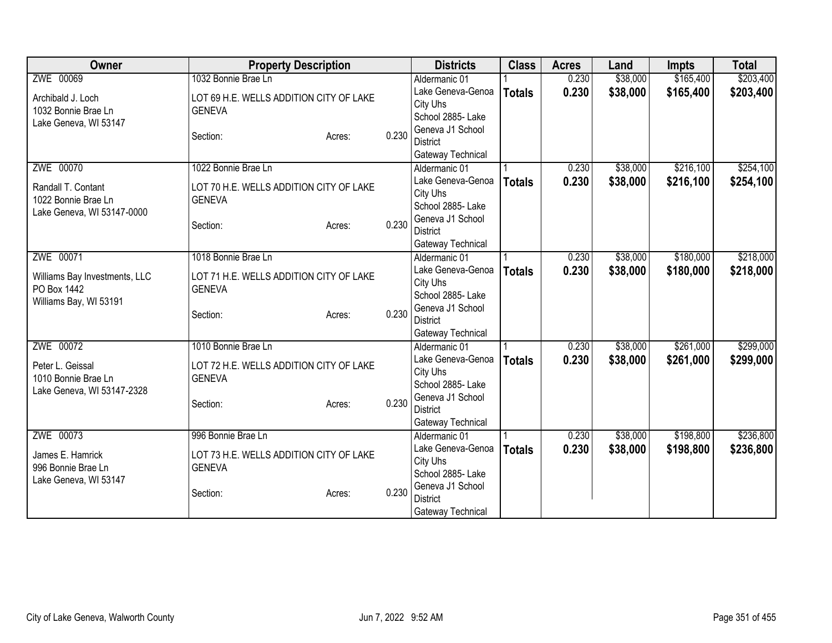| ZWE 00069<br>1032 Bonnie Brae Ln<br>\$38,000<br>\$165,400<br>0.230<br>Aldermanic 01<br>\$38,000<br>0.230<br>\$165,400<br>Lake Geneva-Genoa<br><b>Totals</b><br>LOT 69 H.E. WELLS ADDITION CITY OF LAKE<br>Archibald J. Loch<br>City Uhs<br>1032 Bonnie Brae Ln<br><b>GENEVA</b><br>School 2885- Lake<br>Lake Geneva, WI 53147<br>Geneva J1 School<br>0.230<br>Section:<br>Acres:<br><b>District</b><br>Gateway Technical<br>ZWE 00070<br>\$38,000<br>\$216,100<br>1022 Bonnie Brae Ln<br>0.230<br>Aldermanic 01<br>0.230<br>Lake Geneva-Genoa<br>\$38,000<br>\$216,100<br><b>Totals</b><br>Randall T. Contant<br>LOT 70 H.E. WELLS ADDITION CITY OF LAKE<br>City Uhs<br><b>GENEVA</b><br>1022 Bonnie Brae Ln<br>School 2885- Lake<br>Lake Geneva, WI 53147-0000<br>Geneva J1 School<br>0.230<br>Section:<br>Acres:<br><b>District</b><br>Gateway Technical<br>ZWE 00071<br>\$38,000<br>\$180,000<br>1018 Bonnie Brae Ln<br>0.230<br>Aldermanic 01<br>Lake Geneva-Genoa<br>0.230<br>\$38,000<br>\$180,000<br><b>Totals</b><br>Williams Bay Investments, LLC<br>LOT 71 H.E. WELLS ADDITION CITY OF LAKE<br>City Uhs<br>PO Box 1442<br><b>GENEVA</b><br>School 2885- Lake<br>Williams Bay, WI 53191<br>Geneva J1 School<br>0.230<br>Section:<br>Acres:<br><b>District</b><br>Gateway Technical<br>ZWE 00072<br>\$261,000<br>1010 Bonnie Brae Ln<br>0.230<br>\$38,000<br>Aldermanic 01<br>Lake Geneva-Genoa<br>0.230<br>\$38,000<br>\$261,000<br><b>Totals</b><br>LOT 72 H.E. WELLS ADDITION CITY OF LAKE<br>Peter L. Geissal<br>City Uhs<br><b>GENEVA</b><br>1010 Bonnie Brae Ln<br>School 2885- Lake<br>Lake Geneva, WI 53147-2328<br>Geneva J1 School<br>0.230<br>Section:<br>Acres:<br><b>District</b><br>Gateway Technical<br>ZWE 00073<br>\$198,800<br>996 Bonnie Brae Ln<br>\$38,000<br>Aldermanic 01<br>0.230<br>Lake Geneva-Genoa<br>0.230<br>\$38,000<br>\$198,800<br><b>Totals</b><br>LOT 73 H.E. WELLS ADDITION CITY OF LAKE<br>James E. Hamrick<br>City Uhs<br><b>GENEVA</b><br>996 Bonnie Brae Ln<br>School 2885- Lake<br>Lake Geneva, WI 53147<br>Geneva J1 School<br>0.230<br>Section:<br>Acres:<br><b>District</b> | Owner | <b>Property Description</b> |  | <b>Districts</b>  | <b>Class</b> | <b>Acres</b> | Land | <b>Impts</b> | <b>Total</b> |
|---------------------------------------------------------------------------------------------------------------------------------------------------------------------------------------------------------------------------------------------------------------------------------------------------------------------------------------------------------------------------------------------------------------------------------------------------------------------------------------------------------------------------------------------------------------------------------------------------------------------------------------------------------------------------------------------------------------------------------------------------------------------------------------------------------------------------------------------------------------------------------------------------------------------------------------------------------------------------------------------------------------------------------------------------------------------------------------------------------------------------------------------------------------------------------------------------------------------------------------------------------------------------------------------------------------------------------------------------------------------------------------------------------------------------------------------------------------------------------------------------------------------------------------------------------------------------------------------------------------------------------------------------------------------------------------------------------------------------------------------------------------------------------------------------------------------------------------------------------------------------------------------------------------------------------------------------------------------------------------------------------------------------------------------------------------------------------------------------------------------------------|-------|-----------------------------|--|-------------------|--------------|--------------|------|--------------|--------------|
|                                                                                                                                                                                                                                                                                                                                                                                                                                                                                                                                                                                                                                                                                                                                                                                                                                                                                                                                                                                                                                                                                                                                                                                                                                                                                                                                                                                                                                                                                                                                                                                                                                                                                                                                                                                                                                                                                                                                                                                                                                                                                                                                 |       |                             |  |                   |              |              |      |              | \$203,400    |
|                                                                                                                                                                                                                                                                                                                                                                                                                                                                                                                                                                                                                                                                                                                                                                                                                                                                                                                                                                                                                                                                                                                                                                                                                                                                                                                                                                                                                                                                                                                                                                                                                                                                                                                                                                                                                                                                                                                                                                                                                                                                                                                                 |       |                             |  |                   |              |              |      |              | \$203,400    |
| \$254,100<br>\$254,100<br>\$218,000<br>\$218,000                                                                                                                                                                                                                                                                                                                                                                                                                                                                                                                                                                                                                                                                                                                                                                                                                                                                                                                                                                                                                                                                                                                                                                                                                                                                                                                                                                                                                                                                                                                                                                                                                                                                                                                                                                                                                                                                                                                                                                                                                                                                                |       |                             |  |                   |              |              |      |              |              |
|                                                                                                                                                                                                                                                                                                                                                                                                                                                                                                                                                                                                                                                                                                                                                                                                                                                                                                                                                                                                                                                                                                                                                                                                                                                                                                                                                                                                                                                                                                                                                                                                                                                                                                                                                                                                                                                                                                                                                                                                                                                                                                                                 |       |                             |  |                   |              |              |      |              |              |
|                                                                                                                                                                                                                                                                                                                                                                                                                                                                                                                                                                                                                                                                                                                                                                                                                                                                                                                                                                                                                                                                                                                                                                                                                                                                                                                                                                                                                                                                                                                                                                                                                                                                                                                                                                                                                                                                                                                                                                                                                                                                                                                                 |       |                             |  |                   |              |              |      |              |              |
|                                                                                                                                                                                                                                                                                                                                                                                                                                                                                                                                                                                                                                                                                                                                                                                                                                                                                                                                                                                                                                                                                                                                                                                                                                                                                                                                                                                                                                                                                                                                                                                                                                                                                                                                                                                                                                                                                                                                                                                                                                                                                                                                 |       |                             |  |                   |              |              |      |              |              |
|                                                                                                                                                                                                                                                                                                                                                                                                                                                                                                                                                                                                                                                                                                                                                                                                                                                                                                                                                                                                                                                                                                                                                                                                                                                                                                                                                                                                                                                                                                                                                                                                                                                                                                                                                                                                                                                                                                                                                                                                                                                                                                                                 |       |                             |  |                   |              |              |      |              |              |
|                                                                                                                                                                                                                                                                                                                                                                                                                                                                                                                                                                                                                                                                                                                                                                                                                                                                                                                                                                                                                                                                                                                                                                                                                                                                                                                                                                                                                                                                                                                                                                                                                                                                                                                                                                                                                                                                                                                                                                                                                                                                                                                                 |       |                             |  |                   |              |              |      |              |              |
|                                                                                                                                                                                                                                                                                                                                                                                                                                                                                                                                                                                                                                                                                                                                                                                                                                                                                                                                                                                                                                                                                                                                                                                                                                                                                                                                                                                                                                                                                                                                                                                                                                                                                                                                                                                                                                                                                                                                                                                                                                                                                                                                 |       |                             |  |                   |              |              |      |              |              |
|                                                                                                                                                                                                                                                                                                                                                                                                                                                                                                                                                                                                                                                                                                                                                                                                                                                                                                                                                                                                                                                                                                                                                                                                                                                                                                                                                                                                                                                                                                                                                                                                                                                                                                                                                                                                                                                                                                                                                                                                                                                                                                                                 |       |                             |  |                   |              |              |      |              |              |
|                                                                                                                                                                                                                                                                                                                                                                                                                                                                                                                                                                                                                                                                                                                                                                                                                                                                                                                                                                                                                                                                                                                                                                                                                                                                                                                                                                                                                                                                                                                                                                                                                                                                                                                                                                                                                                                                                                                                                                                                                                                                                                                                 |       |                             |  |                   |              |              |      |              |              |
|                                                                                                                                                                                                                                                                                                                                                                                                                                                                                                                                                                                                                                                                                                                                                                                                                                                                                                                                                                                                                                                                                                                                                                                                                                                                                                                                                                                                                                                                                                                                                                                                                                                                                                                                                                                                                                                                                                                                                                                                                                                                                                                                 |       |                             |  |                   |              |              |      |              |              |
|                                                                                                                                                                                                                                                                                                                                                                                                                                                                                                                                                                                                                                                                                                                                                                                                                                                                                                                                                                                                                                                                                                                                                                                                                                                                                                                                                                                                                                                                                                                                                                                                                                                                                                                                                                                                                                                                                                                                                                                                                                                                                                                                 |       |                             |  |                   |              |              |      |              |              |
|                                                                                                                                                                                                                                                                                                                                                                                                                                                                                                                                                                                                                                                                                                                                                                                                                                                                                                                                                                                                                                                                                                                                                                                                                                                                                                                                                                                                                                                                                                                                                                                                                                                                                                                                                                                                                                                                                                                                                                                                                                                                                                                                 |       |                             |  |                   |              |              |      |              |              |
|                                                                                                                                                                                                                                                                                                                                                                                                                                                                                                                                                                                                                                                                                                                                                                                                                                                                                                                                                                                                                                                                                                                                                                                                                                                                                                                                                                                                                                                                                                                                                                                                                                                                                                                                                                                                                                                                                                                                                                                                                                                                                                                                 |       |                             |  |                   |              |              |      |              |              |
|                                                                                                                                                                                                                                                                                                                                                                                                                                                                                                                                                                                                                                                                                                                                                                                                                                                                                                                                                                                                                                                                                                                                                                                                                                                                                                                                                                                                                                                                                                                                                                                                                                                                                                                                                                                                                                                                                                                                                                                                                                                                                                                                 |       |                             |  |                   |              |              |      |              |              |
| \$299,000<br>\$299,000<br>\$236,800<br>\$236,800                                                                                                                                                                                                                                                                                                                                                                                                                                                                                                                                                                                                                                                                                                                                                                                                                                                                                                                                                                                                                                                                                                                                                                                                                                                                                                                                                                                                                                                                                                                                                                                                                                                                                                                                                                                                                                                                                                                                                                                                                                                                                |       |                             |  |                   |              |              |      |              |              |
|                                                                                                                                                                                                                                                                                                                                                                                                                                                                                                                                                                                                                                                                                                                                                                                                                                                                                                                                                                                                                                                                                                                                                                                                                                                                                                                                                                                                                                                                                                                                                                                                                                                                                                                                                                                                                                                                                                                                                                                                                                                                                                                                 |       |                             |  |                   |              |              |      |              |              |
|                                                                                                                                                                                                                                                                                                                                                                                                                                                                                                                                                                                                                                                                                                                                                                                                                                                                                                                                                                                                                                                                                                                                                                                                                                                                                                                                                                                                                                                                                                                                                                                                                                                                                                                                                                                                                                                                                                                                                                                                                                                                                                                                 |       |                             |  |                   |              |              |      |              |              |
|                                                                                                                                                                                                                                                                                                                                                                                                                                                                                                                                                                                                                                                                                                                                                                                                                                                                                                                                                                                                                                                                                                                                                                                                                                                                                                                                                                                                                                                                                                                                                                                                                                                                                                                                                                                                                                                                                                                                                                                                                                                                                                                                 |       |                             |  |                   |              |              |      |              |              |
|                                                                                                                                                                                                                                                                                                                                                                                                                                                                                                                                                                                                                                                                                                                                                                                                                                                                                                                                                                                                                                                                                                                                                                                                                                                                                                                                                                                                                                                                                                                                                                                                                                                                                                                                                                                                                                                                                                                                                                                                                                                                                                                                 |       |                             |  |                   |              |              |      |              |              |
|                                                                                                                                                                                                                                                                                                                                                                                                                                                                                                                                                                                                                                                                                                                                                                                                                                                                                                                                                                                                                                                                                                                                                                                                                                                                                                                                                                                                                                                                                                                                                                                                                                                                                                                                                                                                                                                                                                                                                                                                                                                                                                                                 |       |                             |  |                   |              |              |      |              |              |
|                                                                                                                                                                                                                                                                                                                                                                                                                                                                                                                                                                                                                                                                                                                                                                                                                                                                                                                                                                                                                                                                                                                                                                                                                                                                                                                                                                                                                                                                                                                                                                                                                                                                                                                                                                                                                                                                                                                                                                                                                                                                                                                                 |       |                             |  |                   |              |              |      |              |              |
|                                                                                                                                                                                                                                                                                                                                                                                                                                                                                                                                                                                                                                                                                                                                                                                                                                                                                                                                                                                                                                                                                                                                                                                                                                                                                                                                                                                                                                                                                                                                                                                                                                                                                                                                                                                                                                                                                                                                                                                                                                                                                                                                 |       |                             |  |                   |              |              |      |              |              |
|                                                                                                                                                                                                                                                                                                                                                                                                                                                                                                                                                                                                                                                                                                                                                                                                                                                                                                                                                                                                                                                                                                                                                                                                                                                                                                                                                                                                                                                                                                                                                                                                                                                                                                                                                                                                                                                                                                                                                                                                                                                                                                                                 |       |                             |  |                   |              |              |      |              |              |
|                                                                                                                                                                                                                                                                                                                                                                                                                                                                                                                                                                                                                                                                                                                                                                                                                                                                                                                                                                                                                                                                                                                                                                                                                                                                                                                                                                                                                                                                                                                                                                                                                                                                                                                                                                                                                                                                                                                                                                                                                                                                                                                                 |       |                             |  |                   |              |              |      |              |              |
|                                                                                                                                                                                                                                                                                                                                                                                                                                                                                                                                                                                                                                                                                                                                                                                                                                                                                                                                                                                                                                                                                                                                                                                                                                                                                                                                                                                                                                                                                                                                                                                                                                                                                                                                                                                                                                                                                                                                                                                                                                                                                                                                 |       |                             |  |                   |              |              |      |              |              |
|                                                                                                                                                                                                                                                                                                                                                                                                                                                                                                                                                                                                                                                                                                                                                                                                                                                                                                                                                                                                                                                                                                                                                                                                                                                                                                                                                                                                                                                                                                                                                                                                                                                                                                                                                                                                                                                                                                                                                                                                                                                                                                                                 |       |                             |  |                   |              |              |      |              |              |
|                                                                                                                                                                                                                                                                                                                                                                                                                                                                                                                                                                                                                                                                                                                                                                                                                                                                                                                                                                                                                                                                                                                                                                                                                                                                                                                                                                                                                                                                                                                                                                                                                                                                                                                                                                                                                                                                                                                                                                                                                                                                                                                                 |       |                             |  |                   |              |              |      |              |              |
|                                                                                                                                                                                                                                                                                                                                                                                                                                                                                                                                                                                                                                                                                                                                                                                                                                                                                                                                                                                                                                                                                                                                                                                                                                                                                                                                                                                                                                                                                                                                                                                                                                                                                                                                                                                                                                                                                                                                                                                                                                                                                                                                 |       |                             |  |                   |              |              |      |              |              |
|                                                                                                                                                                                                                                                                                                                                                                                                                                                                                                                                                                                                                                                                                                                                                                                                                                                                                                                                                                                                                                                                                                                                                                                                                                                                                                                                                                                                                                                                                                                                                                                                                                                                                                                                                                                                                                                                                                                                                                                                                                                                                                                                 |       |                             |  |                   |              |              |      |              |              |
|                                                                                                                                                                                                                                                                                                                                                                                                                                                                                                                                                                                                                                                                                                                                                                                                                                                                                                                                                                                                                                                                                                                                                                                                                                                                                                                                                                                                                                                                                                                                                                                                                                                                                                                                                                                                                                                                                                                                                                                                                                                                                                                                 |       |                             |  |                   |              |              |      |              |              |
|                                                                                                                                                                                                                                                                                                                                                                                                                                                                                                                                                                                                                                                                                                                                                                                                                                                                                                                                                                                                                                                                                                                                                                                                                                                                                                                                                                                                                                                                                                                                                                                                                                                                                                                                                                                                                                                                                                                                                                                                                                                                                                                                 |       |                             |  | Gateway Technical |              |              |      |              |              |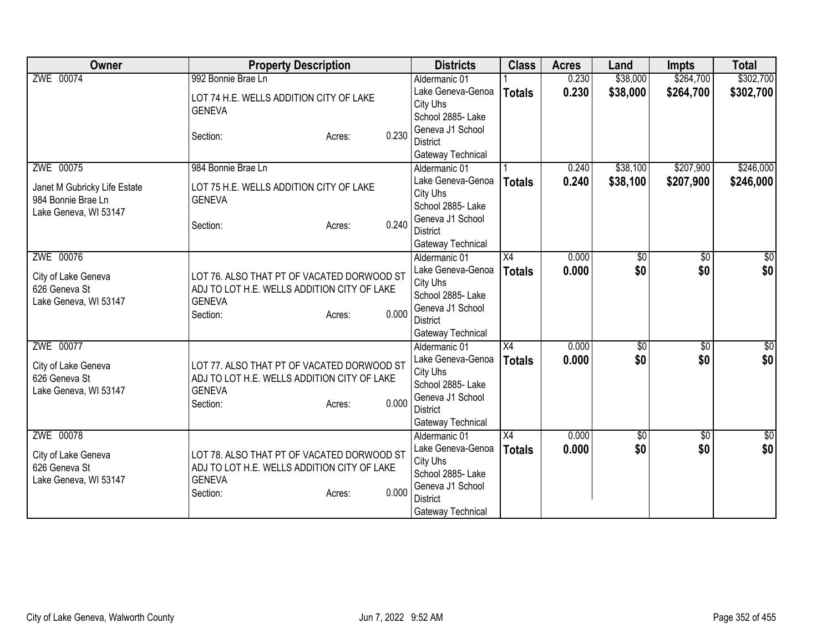| <b>Owner</b>                                                                | <b>Property Description</b>                                                                                                               | <b>Districts</b>                                                                                               | <b>Class</b>    | <b>Acres</b> | Land       | <b>Impts</b>    | <b>Total</b>  |
|-----------------------------------------------------------------------------|-------------------------------------------------------------------------------------------------------------------------------------------|----------------------------------------------------------------------------------------------------------------|-----------------|--------------|------------|-----------------|---------------|
| ZWE 00074                                                                   | 992 Bonnie Brae Ln                                                                                                                        | Aldermanic 01                                                                                                  |                 | 0.230        | \$38,000   | \$264,700       | \$302,700     |
|                                                                             | LOT 74 H.E. WELLS ADDITION CITY OF LAKE<br><b>GENEVA</b>                                                                                  | Lake Geneva-Genoa<br>City Uhs<br>School 2885- Lake                                                             | <b>Totals</b>   | 0.230        | \$38,000   | \$264,700       | \$302,700     |
|                                                                             | 0.230<br>Section:<br>Acres:                                                                                                               | Geneva J1 School<br><b>District</b><br>Gateway Technical                                                       |                 |              |            |                 |               |
| ZWE 00075                                                                   | 984 Bonnie Brae Ln                                                                                                                        | Aldermanic 01                                                                                                  |                 | 0.240        | \$38,100   | \$207,900       | \$246,000     |
| Janet M Gubricky Life Estate<br>984 Bonnie Brae Ln<br>Lake Geneva, WI 53147 | LOT 75 H.E. WELLS ADDITION CITY OF LAKE<br><b>GENEVA</b><br>0.240<br>Section:<br>Acres:                                                   | Lake Geneva-Genoa<br>City Uhs<br>School 2885- Lake<br>Geneva J1 School<br><b>District</b><br>Gateway Technical | <b>Totals</b>   | 0.240        | \$38,100   | \$207,900       | \$246,000     |
| ZWE 00076                                                                   |                                                                                                                                           | Aldermanic 01                                                                                                  | X4              | 0.000        | \$0        | \$0             | \$0           |
| City of Lake Geneva<br>626 Geneva St<br>Lake Geneva, WI 53147               | LOT 76. ALSO THAT PT OF VACATED DORWOOD ST<br>ADJ TO LOT H.E. WELLS ADDITION CITY OF LAKE<br><b>GENEVA</b><br>0.000<br>Section:<br>Acres: | Lake Geneva-Genoa<br>City Uhs<br>School 2885- Lake<br>Geneva J1 School<br><b>District</b><br>Gateway Technical | <b>Totals</b>   | 0.000        | \$0        | \$0             | \$0           |
| ZWE 00077                                                                   |                                                                                                                                           | Aldermanic 01                                                                                                  | X4              | 0.000        | \$0        | $\overline{50}$ | \$0           |
| City of Lake Geneva<br>626 Geneva St<br>Lake Geneva, WI 53147               | LOT 77. ALSO THAT PT OF VACATED DORWOOD ST<br>ADJ TO LOT H.E. WELLS ADDITION CITY OF LAKE<br><b>GENEVA</b><br>0.000<br>Section:<br>Acres: | Lake Geneva-Genoa<br>City Uhs<br>School 2885- Lake<br>Geneva J1 School<br><b>District</b><br>Gateway Technical | <b>Totals</b>   | 0.000        | \$0        | \$0             | \$0           |
| ZWE 00078                                                                   |                                                                                                                                           | Aldermanic 01                                                                                                  | $\overline{X4}$ | 0.000        | $\sqrt{6}$ | $\overline{30}$ | $\frac{1}{6}$ |
| City of Lake Geneva<br>626 Geneva St<br>Lake Geneva, WI 53147               | LOT 78. ALSO THAT PT OF VACATED DORWOOD ST<br>ADJ TO LOT H.E. WELLS ADDITION CITY OF LAKE<br><b>GENEVA</b><br>0.000<br>Section:<br>Acres: | Lake Geneva-Genoa<br>City Uhs<br>School 2885- Lake<br>Geneva J1 School<br><b>District</b><br>Gateway Technical | <b>Totals</b>   | 0.000        | \$0        | \$0             | \$0           |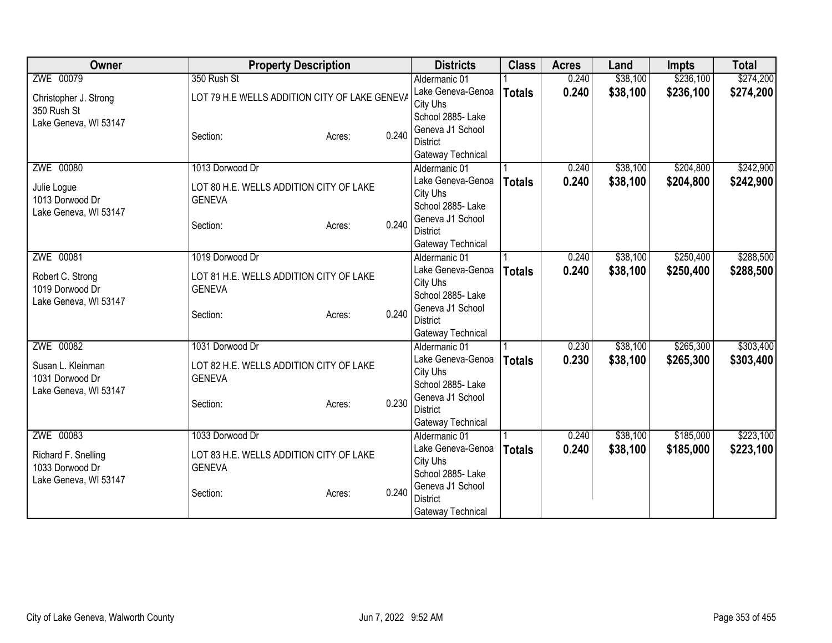| Owner                                | <b>Property Description</b>                              |       | <b>Districts</b>                    | <b>Class</b>  | <b>Acres</b> | Land     | <b>Impts</b> | <b>Total</b> |
|--------------------------------------|----------------------------------------------------------|-------|-------------------------------------|---------------|--------------|----------|--------------|--------------|
| ZWE 00079                            | 350 Rush St                                              |       | Aldermanic 01                       |               | 0.240        | \$38,100 | \$236,100    | \$274,200    |
| Christopher J. Strong                | LOT 79 H.E WELLS ADDITION CITY OF LAKE GENEVA            |       | Lake Geneva-Genoa                   | <b>Totals</b> | 0.240        | \$38,100 | \$236,100    | \$274,200    |
| 350 Rush St                          |                                                          |       | City Uhs                            |               |              |          |              |              |
| Lake Geneva, WI 53147                |                                                          |       | School 2885- Lake                   |               |              |          |              |              |
|                                      | Section:<br>Acres:                                       | 0.240 | Geneva J1 School                    |               |              |          |              |              |
|                                      |                                                          |       | <b>District</b>                     |               |              |          |              |              |
|                                      |                                                          |       | Gateway Technical                   |               |              |          |              |              |
| ZWE 00080                            | 1013 Dorwood Dr                                          |       | Aldermanic 01                       |               | 0.240        | \$38,100 | \$204,800    | \$242,900    |
| Julie Logue                          | LOT 80 H.E. WELLS ADDITION CITY OF LAKE                  |       | Lake Geneva-Genoa                   | <b>Totals</b> | 0.240        | \$38,100 | \$204,800    | \$242,900    |
| 1013 Dorwood Dr                      | <b>GENEVA</b>                                            |       | City Uhs                            |               |              |          |              |              |
| Lake Geneva, WI 53147                |                                                          |       | School 2885- Lake                   |               |              |          |              |              |
|                                      | Section:<br>Acres:                                       | 0.240 | Geneva J1 School<br><b>District</b> |               |              |          |              |              |
|                                      |                                                          |       |                                     |               |              |          |              |              |
| ZWE 00081                            | 1019 Dorwood Dr                                          |       | Gateway Technical<br>Aldermanic 01  |               | 0.240        | \$38,100 | \$250,400    | \$288,500    |
|                                      |                                                          |       | Lake Geneva-Genoa                   |               | 0.240        | \$38,100 | \$250,400    | \$288,500    |
| Robert C. Strong                     | LOT 81 H.E. WELLS ADDITION CITY OF LAKE                  |       | City Uhs                            | <b>Totals</b> |              |          |              |              |
| 1019 Dorwood Dr                      | <b>GENEVA</b>                                            |       | School 2885- Lake                   |               |              |          |              |              |
| Lake Geneva, WI 53147                |                                                          |       | Geneva J1 School                    |               |              |          |              |              |
|                                      | Section:<br>Acres:                                       | 0.240 | <b>District</b>                     |               |              |          |              |              |
|                                      |                                                          |       | Gateway Technical                   |               |              |          |              |              |
| ZWE 00082                            | 1031 Dorwood Dr                                          |       | Aldermanic 01                       |               | 0.230        | \$38,100 | \$265,300    | \$303,400    |
|                                      |                                                          |       | Lake Geneva-Genoa                   | <b>Totals</b> | 0.230        | \$38,100 | \$265,300    | \$303,400    |
| Susan L. Kleinman<br>1031 Dorwood Dr | LOT 82 H.E. WELLS ADDITION CITY OF LAKE<br><b>GENEVA</b> |       | City Uhs                            |               |              |          |              |              |
| Lake Geneva, WI 53147                |                                                          |       | School 2885- Lake                   |               |              |          |              |              |
|                                      | Section:<br>Acres:                                       | 0.230 | Geneva J1 School                    |               |              |          |              |              |
|                                      |                                                          |       | <b>District</b>                     |               |              |          |              |              |
|                                      |                                                          |       | Gateway Technical                   |               |              |          |              |              |
| ZWE 00083                            | 1033 Dorwood Dr                                          |       | Aldermanic 01                       |               | 0.240        | \$38,100 | \$185,000    | \$223,100    |
| Richard F. Snelling                  | LOT 83 H.E. WELLS ADDITION CITY OF LAKE                  |       | Lake Geneva-Genoa                   | <b>Totals</b> | 0.240        | \$38,100 | \$185,000    | \$223,100    |
| 1033 Dorwood Dr                      | <b>GENEVA</b>                                            |       | City Uhs                            |               |              |          |              |              |
| Lake Geneva, WI 53147                |                                                          |       | School 2885- Lake                   |               |              |          |              |              |
|                                      | Section:<br>Acres:                                       | 0.240 | Geneva J1 School                    |               |              |          |              |              |
|                                      |                                                          |       | <b>District</b>                     |               |              |          |              |              |
|                                      |                                                          |       | Gateway Technical                   |               |              |          |              |              |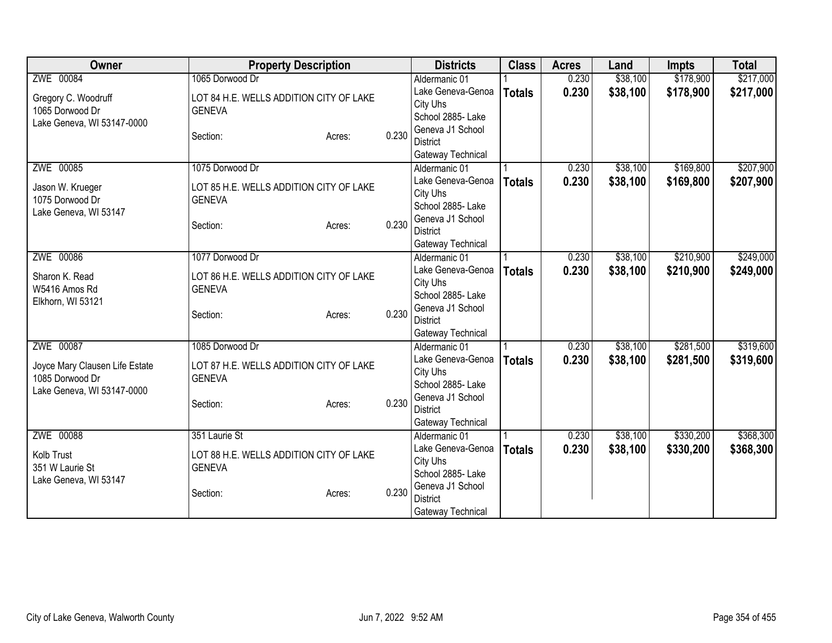| <b>Owner</b>                   | <b>Property Description</b>             |        |       | <b>Districts</b>                     | <b>Class</b>  | <b>Acres</b> | Land     | <b>Impts</b> | <b>Total</b> |
|--------------------------------|-----------------------------------------|--------|-------|--------------------------------------|---------------|--------------|----------|--------------|--------------|
| ZWE 00084                      | 1065 Dorwood Dr                         |        |       | Aldermanic 01                        |               | 0.230        | \$38,100 | \$178,900    | \$217,000    |
| Gregory C. Woodruff            | LOT 84 H.E. WELLS ADDITION CITY OF LAKE |        |       | Lake Geneva-Genoa                    | <b>Totals</b> | 0.230        | \$38,100 | \$178,900    | \$217,000    |
| 1065 Dorwood Dr                | <b>GENEVA</b>                           |        |       | City Uhs                             |               |              |          |              |              |
| Lake Geneva, WI 53147-0000     |                                         |        |       | School 2885- Lake                    |               |              |          |              |              |
|                                | Section:                                | Acres: | 0.230 | Geneva J1 School                     |               |              |          |              |              |
|                                |                                         |        |       | <b>District</b>                      |               |              |          |              |              |
|                                |                                         |        |       | Gateway Technical                    |               |              |          |              |              |
| ZWE 00085                      | 1075 Dorwood Dr                         |        |       | Aldermanic 01                        |               | 0.230        | \$38,100 | \$169,800    | \$207,900    |
| Jason W. Krueger               | LOT 85 H.E. WELLS ADDITION CITY OF LAKE |        |       | Lake Geneva-Genoa                    | <b>Totals</b> | 0.230        | \$38,100 | \$169,800    | \$207,900    |
| 1075 Dorwood Dr                | <b>GENEVA</b>                           |        |       | City Uhs<br>School 2885- Lake        |               |              |          |              |              |
| Lake Geneva, WI 53147          |                                         |        |       | Geneva J1 School                     |               |              |          |              |              |
|                                | Section:                                | Acres: | 0.230 | <b>District</b>                      |               |              |          |              |              |
|                                |                                         |        |       | Gateway Technical                    |               |              |          |              |              |
| ZWE 00086                      | 1077 Dorwood Dr                         |        |       | Aldermanic 01                        |               | 0.230        | \$38,100 | \$210,900    | \$249,000    |
|                                |                                         |        |       | Lake Geneva-Genoa                    | <b>Totals</b> | 0.230        | \$38,100 | \$210,900    | \$249,000    |
| Sharon K. Read                 | LOT 86 H.E. WELLS ADDITION CITY OF LAKE |        |       | City Uhs                             |               |              |          |              |              |
| W5416 Amos Rd                  | <b>GENEVA</b>                           |        |       | School 2885- Lake                    |               |              |          |              |              |
| Elkhorn, WI 53121              |                                         |        | 0.230 | Geneva J1 School                     |               |              |          |              |              |
|                                | Section:                                | Acres: |       | <b>District</b>                      |               |              |          |              |              |
|                                |                                         |        |       | Gateway Technical                    |               |              |          |              |              |
| ZWE 00087                      | 1085 Dorwood Dr                         |        |       | Aldermanic 01                        |               | 0.230        | \$38,100 | \$281,500    | \$319,600    |
| Joyce Mary Clausen Life Estate | LOT 87 H.E. WELLS ADDITION CITY OF LAKE |        |       | Lake Geneva-Genoa                    | <b>Totals</b> | 0.230        | \$38,100 | \$281,500    | \$319,600    |
| 1085 Dorwood Dr                | <b>GENEVA</b>                           |        |       | City Uhs                             |               |              |          |              |              |
| Lake Geneva, WI 53147-0000     |                                         |        |       | School 2885-Lake                     |               |              |          |              |              |
|                                | Section:                                | Acres: | 0.230 | Geneva J1 School                     |               |              |          |              |              |
|                                |                                         |        |       | <b>District</b>                      |               |              |          |              |              |
|                                |                                         |        |       | Gateway Technical                    |               |              |          |              |              |
| ZWE 00088                      | 351 Laurie St                           |        |       | Aldermanic 01                        |               | 0.230        | \$38,100 | \$330,200    | \$368,300    |
| Kolb Trust                     | LOT 88 H.E. WELLS ADDITION CITY OF LAKE |        |       | Lake Geneva-Genoa                    | <b>Totals</b> | 0.230        | \$38,100 | \$330,200    | \$368,300    |
| 351 W Laurie St                | <b>GENEVA</b>                           |        |       | City Uhs                             |               |              |          |              |              |
| Lake Geneva, WI 53147          |                                         |        |       | School 2885-Lake<br>Geneva J1 School |               |              |          |              |              |
|                                | Section:                                | Acres: | 0.230 | <b>District</b>                      |               |              |          |              |              |
|                                |                                         |        |       | Gateway Technical                    |               |              |          |              |              |
|                                |                                         |        |       |                                      |               |              |          |              |              |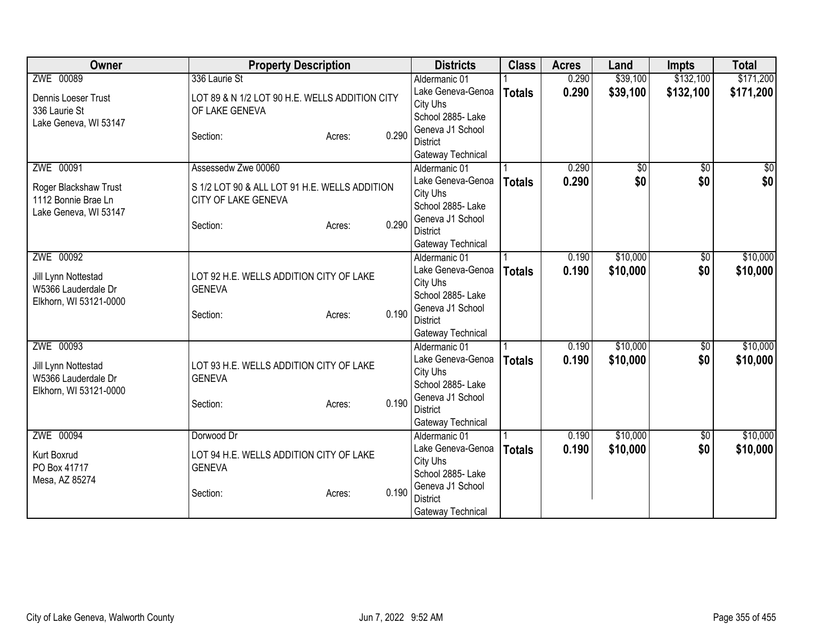| Owner                  | <b>Property Description</b>                    |        |       | <b>Districts</b>                    | <b>Class</b>  | <b>Acres</b> | Land     | <b>Impts</b>    | <b>Total</b>  |
|------------------------|------------------------------------------------|--------|-------|-------------------------------------|---------------|--------------|----------|-----------------|---------------|
| ZWE 00089              | 336 Laurie St                                  |        |       | Aldermanic 01                       |               | 0.290        | \$39,100 | \$132,100       | \$171,200     |
| Dennis Loeser Trust    | LOT 89 & N 1/2 LOT 90 H.E. WELLS ADDITION CITY |        |       | Lake Geneva-Genoa                   | <b>Totals</b> | 0.290        | \$39,100 | \$132,100       | \$171,200     |
| 336 Laurie St          | OF LAKE GENEVA                                 |        |       | City Uhs                            |               |              |          |                 |               |
| Lake Geneva, WI 53147  |                                                |        |       | School 2885- Lake                   |               |              |          |                 |               |
|                        | Section:                                       | Acres: | 0.290 | Geneva J1 School                    |               |              |          |                 |               |
|                        |                                                |        |       | <b>District</b>                     |               |              |          |                 |               |
|                        |                                                |        |       | Gateway Technical                   |               |              |          |                 |               |
| ZWE 00091              | Assessedw Zwe 00060                            |        |       | Aldermanic 01                       |               | 0.290        | \$0      | $\overline{50}$ | $\frac{1}{6}$ |
| Roger Blackshaw Trust  | S 1/2 LOT 90 & ALL LOT 91 H.E. WELLS ADDITION  |        |       | Lake Geneva-Genoa                   | <b>Totals</b> | 0.290        | \$0      | \$0             | \$0           |
| 1112 Bonnie Brae Ln    | CITY OF LAKE GENEVA                            |        |       | City Uhs                            |               |              |          |                 |               |
| Lake Geneva, WI 53147  |                                                |        |       | School 2885- Lake                   |               |              |          |                 |               |
|                        | Section:                                       | Acres: | 0.290 | Geneva J1 School                    |               |              |          |                 |               |
|                        |                                                |        |       | <b>District</b>                     |               |              |          |                 |               |
|                        |                                                |        |       | Gateway Technical                   |               |              |          |                 |               |
| ZWE 00092              |                                                |        |       | Aldermanic 01                       |               | 0.190        | \$10,000 | \$0             | \$10,000      |
| Jill Lynn Nottestad    | LOT 92 H.E. WELLS ADDITION CITY OF LAKE        |        |       | Lake Geneva-Genoa                   | <b>Totals</b> | 0.190        | \$10,000 | \$0             | \$10,000      |
| W5366 Lauderdale Dr    | <b>GENEVA</b>                                  |        |       | City Uhs                            |               |              |          |                 |               |
| Elkhorn, WI 53121-0000 |                                                |        |       | School 2885- Lake                   |               |              |          |                 |               |
|                        | Section:                                       | Acres: | 0.190 | Geneva J1 School                    |               |              |          |                 |               |
|                        |                                                |        |       | <b>District</b>                     |               |              |          |                 |               |
|                        |                                                |        |       | Gateway Technical                   |               |              |          |                 |               |
| ZWE 00093              |                                                |        |       | Aldermanic 01                       |               | 0.190        | \$10,000 | \$0             | \$10,000      |
| Jill Lynn Nottestad    | LOT 93 H.E. WELLS ADDITION CITY OF LAKE        |        |       | Lake Geneva-Genoa                   | <b>Totals</b> | 0.190        | \$10,000 | \$0             | \$10,000      |
| W5366 Lauderdale Dr    | <b>GENEVA</b>                                  |        |       | City Uhs                            |               |              |          |                 |               |
| Elkhorn, WI 53121-0000 |                                                |        |       | School 2885- Lake                   |               |              |          |                 |               |
|                        | Section:                                       | Acres: | 0.190 | Geneva J1 School                    |               |              |          |                 |               |
|                        |                                                |        |       | <b>District</b>                     |               |              |          |                 |               |
|                        |                                                |        |       | Gateway Technical                   |               |              |          |                 |               |
| ZWE 00094              | Dorwood Dr                                     |        |       | Aldermanic 01                       |               | 0.190        | \$10,000 | $\sqrt{6}$      | \$10,000      |
| Kurt Boxrud            | LOT 94 H.E. WELLS ADDITION CITY OF LAKE        |        |       | Lake Geneva-Genoa                   | <b>Totals</b> | 0.190        | \$10,000 | \$0             | \$10,000      |
| PO Box 41717           | <b>GENEVA</b>                                  |        |       | City Uhs<br>School 2885-Lake        |               |              |          |                 |               |
| Mesa, AZ 85274         |                                                |        |       |                                     |               |              |          |                 |               |
|                        | Section:                                       | Acres: | 0.190 | Geneva J1 School<br><b>District</b> |               |              |          |                 |               |
|                        |                                                |        |       |                                     |               |              |          |                 |               |
|                        |                                                |        |       | Gateway Technical                   |               |              |          |                 |               |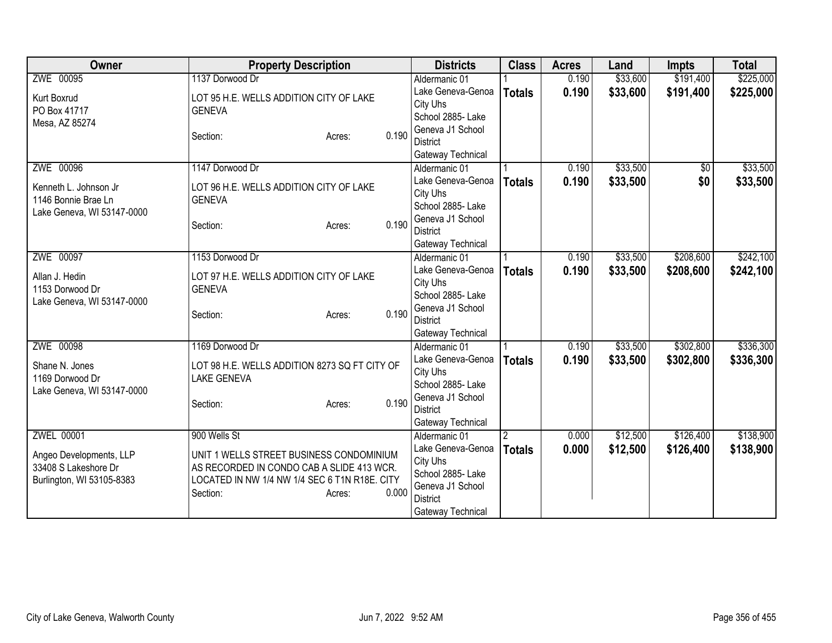| Owner                                                                        | <b>Property Description</b>                                                                                                                                           | <b>Districts</b>                                                                                               | <b>Class</b>  | <b>Acres</b> | Land     | <b>Impts</b> | <b>Total</b> |
|------------------------------------------------------------------------------|-----------------------------------------------------------------------------------------------------------------------------------------------------------------------|----------------------------------------------------------------------------------------------------------------|---------------|--------------|----------|--------------|--------------|
| ZWE 00095                                                                    | 1137 Dorwood Dr                                                                                                                                                       | Aldermanic 01                                                                                                  |               | 0.190        | \$33,600 | \$191,400    | \$225,000    |
| Kurt Boxrud<br>PO Box 41717                                                  | LOT 95 H.E. WELLS ADDITION CITY OF LAKE<br><b>GENEVA</b>                                                                                                              | Lake Geneva-Genoa<br>City Uhs<br>School 2885- Lake                                                             | <b>Totals</b> | 0.190        | \$33,600 | \$191,400    | \$225,000    |
| Mesa, AZ 85274                                                               | 0.190<br>Section:<br>Acres:                                                                                                                                           | Geneva J1 School<br><b>District</b><br>Gateway Technical                                                       |               |              |          |              |              |
| ZWE 00096                                                                    | 1147 Dorwood Dr                                                                                                                                                       | Aldermanic 01                                                                                                  |               | 0.190        | \$33,500 | $\sqrt{6}$   | \$33,500     |
| Kenneth L. Johnson Jr<br>1146 Bonnie Brae Ln<br>Lake Geneva, WI 53147-0000   | LOT 96 H.E. WELLS ADDITION CITY OF LAKE<br><b>GENEVA</b><br>0.190<br>Section:<br>Acres:                                                                               | Lake Geneva-Genoa<br>City Uhs<br>School 2885- Lake<br>Geneva J1 School<br><b>District</b><br>Gateway Technical | <b>Totals</b> | 0.190        | \$33,500 | \$0          | \$33,500     |
| ZWE 00097                                                                    | 1153 Dorwood Dr                                                                                                                                                       | Aldermanic 01                                                                                                  |               | 0.190        | \$33,500 | \$208,600    | \$242,100    |
| Allan J. Hedin<br>1153 Dorwood Dr<br>Lake Geneva, WI 53147-0000              | LOT 97 H.E. WELLS ADDITION CITY OF LAKE<br><b>GENEVA</b><br>0.190<br>Section:<br>Acres:                                                                               | Lake Geneva-Genoa<br>City Uhs<br>School 2885- Lake<br>Geneva J1 School<br><b>District</b><br>Gateway Technical | <b>Totals</b> | 0.190        | \$33,500 | \$208,600    | \$242,100    |
| ZWE 00098                                                                    | 1169 Dorwood Dr                                                                                                                                                       | Aldermanic 01                                                                                                  |               | 0.190        | \$33,500 | \$302,800    | \$336,300    |
| Shane N. Jones<br>1169 Dorwood Dr<br>Lake Geneva, WI 53147-0000              | LOT 98 H.E. WELLS ADDITION 8273 SQ FT CITY OF<br><b>LAKE GENEVA</b><br>0.190<br>Section:<br>Acres:                                                                    | Lake Geneva-Genoa<br>City Uhs<br>School 2885- Lake<br>Geneva J1 School<br><b>District</b><br>Gateway Technical | <b>Totals</b> | 0.190        | \$33,500 | \$302,800    | \$336,300    |
| <b>ZWEL 00001</b>                                                            | 900 Wells St                                                                                                                                                          | Aldermanic 01                                                                                                  |               | 0.000        | \$12,500 | \$126,400    | \$138,900    |
| Angeo Developments, LLP<br>33408 S Lakeshore Dr<br>Burlington, WI 53105-8383 | UNIT 1 WELLS STREET BUSINESS CONDOMINIUM<br>AS RECORDED IN CONDO CAB A SLIDE 413 WCR.<br>LOCATED IN NW 1/4 NW 1/4 SEC 6 T1N R18E. CITY<br>0.000<br>Section:<br>Acres: | Lake Geneva-Genoa<br>City Uhs<br>School 2885- Lake<br>Geneva J1 School<br><b>District</b><br>Gateway Technical | <b>Totals</b> | 0.000        | \$12,500 | \$126,400    | \$138,900    |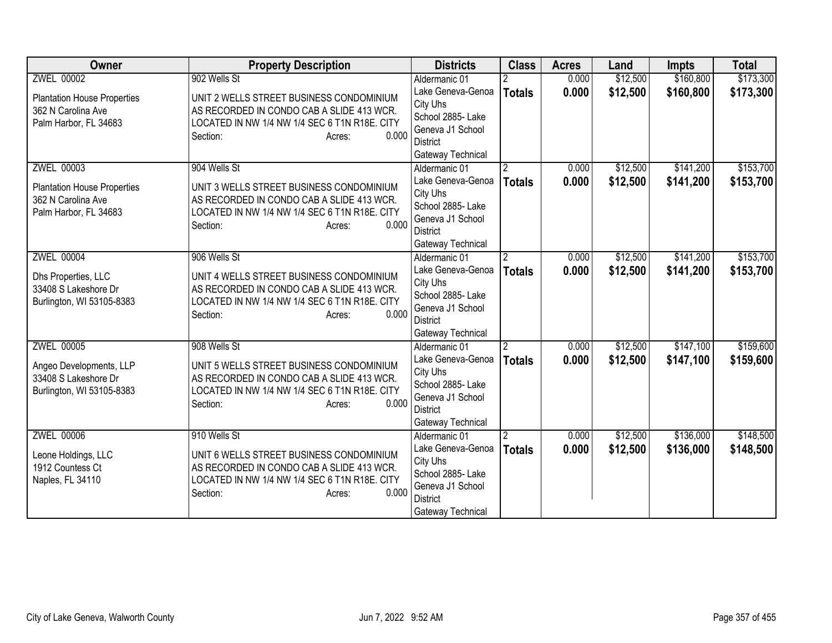| <b>Owner</b>                       | <b>Property Description</b>                   | <b>Districts</b>              | <b>Class</b>   | <b>Acres</b> | Land     | <b>Impts</b> | <b>Total</b> |
|------------------------------------|-----------------------------------------------|-------------------------------|----------------|--------------|----------|--------------|--------------|
| <b>ZWEL 00002</b>                  | 902 Wells St                                  | Aldermanic 01                 |                | 0.000        | \$12,500 | \$160,800    | \$173,300    |
| <b>Plantation House Properties</b> | UNIT 2 WELLS STREET BUSINESS CONDOMINIUM      | Lake Geneva-Genoa             | <b>Totals</b>  | 0.000        | \$12,500 | \$160,800    | \$173,300    |
| 362 N Carolina Ave                 | AS RECORDED IN CONDO CAB A SLIDE 413 WCR.     | City Uhs                      |                |              |          |              |              |
| Palm Harbor, FL 34683              | LOCATED IN NW 1/4 NW 1/4 SEC 6 T1N R18E. CITY | School 2885- Lake             |                |              |          |              |              |
|                                    | 0.000<br>Section:<br>Acres:                   | Geneva J1 School              |                |              |          |              |              |
|                                    |                                               | District                      |                |              |          |              |              |
|                                    |                                               | Gateway Technical             |                |              |          |              |              |
| <b>ZWEL 00003</b>                  | 904 Wells St                                  | Aldermanic 01                 | $\mathbf{2}$   | 0.000        | \$12,500 | \$141,200    | \$153,700    |
| <b>Plantation House Properties</b> | UNIT 3 WELLS STREET BUSINESS CONDOMINIUM      | Lake Geneva-Genoa             | <b>Totals</b>  | 0.000        | \$12,500 | \$141,200    | \$153,700    |
| 362 N Carolina Ave                 | AS RECORDED IN CONDO CAB A SLIDE 413 WCR.     | City Uhs<br>School 2885- Lake |                |              |          |              |              |
| Palm Harbor, FL 34683              | LOCATED IN NW 1/4 NW 1/4 SEC 6 T1N R18E. CITY | Geneva J1 School              |                |              |          |              |              |
|                                    | 0.000<br>Section:<br>Acres:                   | <b>District</b>               |                |              |          |              |              |
|                                    |                                               | Gateway Technical             |                |              |          |              |              |
| <b>ZWEL 00004</b>                  | 906 Wells St                                  | Aldermanic 01                 | $\overline{2}$ | 0.000        | \$12,500 | \$141,200    | \$153,700    |
|                                    |                                               | Lake Geneva-Genoa             | <b>Totals</b>  | 0.000        | \$12,500 | \$141,200    | \$153,700    |
| Dhs Properties, LLC                | UNIT 4 WELLS STREET BUSINESS CONDOMINIUM      | City Uhs                      |                |              |          |              |              |
| 33408 S Lakeshore Dr               | AS RECORDED IN CONDO CAB A SLIDE 413 WCR.     | School 2885-Lake              |                |              |          |              |              |
| Burlington, WI 53105-8383          | LOCATED IN NW 1/4 NW 1/4 SEC 6 T1N R18E. CITY | Geneva J1 School              |                |              |          |              |              |
|                                    | 0.000<br>Section:<br>Acres:                   | <b>District</b>               |                |              |          |              |              |
|                                    |                                               | Gateway Technical             |                |              |          |              |              |
| <b>ZWEL 00005</b>                  | 908 Wells St                                  | Aldermanic 01                 | $\overline{2}$ | 0.000        | \$12,500 | \$147,100    | \$159,600    |
| Angeo Developments, LLP            | UNIT 5 WELLS STREET BUSINESS CONDOMINIUM      | Lake Geneva-Genoa             | <b>Totals</b>  | 0.000        | \$12,500 | \$147,100    | \$159,600    |
| 33408 S Lakeshore Dr               | AS RECORDED IN CONDO CAB A SLIDE 413 WCR.     | City Uhs                      |                |              |          |              |              |
| Burlington, WI 53105-8383          | LOCATED IN NW 1/4 NW 1/4 SEC 6 T1N R18E. CITY | School 2885- Lake             |                |              |          |              |              |
|                                    | 0.000<br>Section:<br>Acres:                   | Geneva J1 School              |                |              |          |              |              |
|                                    |                                               | <b>District</b>               |                |              |          |              |              |
|                                    |                                               | Gateway Technical             |                |              |          |              |              |
| <b>ZWEL 00006</b>                  | 910 Wells St                                  | Aldermanic 01                 |                | 0.000        | \$12,500 | \$136,000    | \$148,500    |
| Leone Holdings, LLC                | UNIT 6 WELLS STREET BUSINESS CONDOMINIUM      | Lake Geneva-Genoa<br>City Uhs | <b>Totals</b>  | 0.000        | \$12,500 | \$136,000    | \$148,500    |
| 1912 Countess Ct                   | AS RECORDED IN CONDO CAB A SLIDE 413 WCR.     | School 2885-Lake              |                |              |          |              |              |
| Naples, FL 34110                   | LOCATED IN NW 1/4 NW 1/4 SEC 6 T1N R18E. CITY | Geneva J1 School              |                |              |          |              |              |
|                                    | 0.000<br>Section:<br>Acres:                   | <b>District</b>               |                |              |          |              |              |
|                                    |                                               | Gateway Technical             |                |              |          |              |              |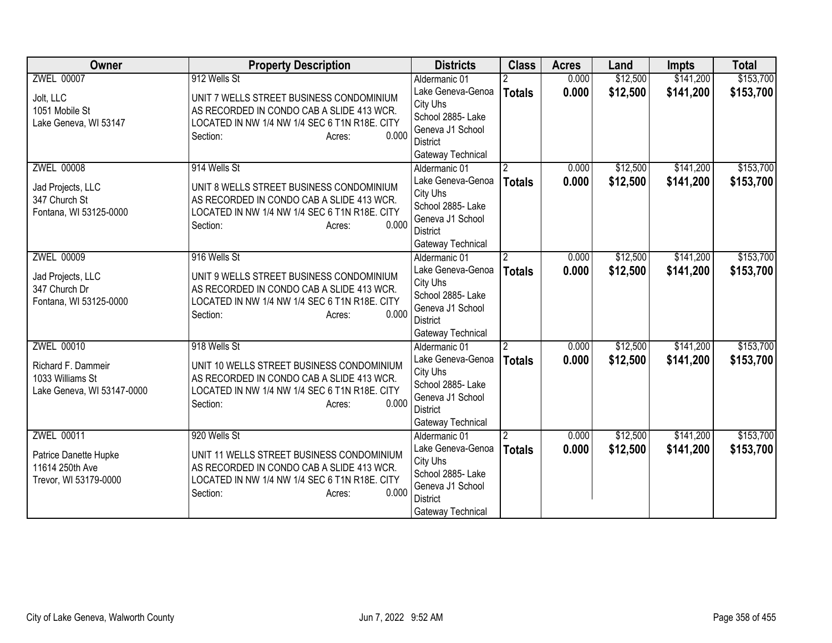| Owner                      | <b>Property Description</b>                   | <b>Districts</b>              | <b>Class</b>   | <b>Acres</b> | Land     | <b>Impts</b> | <b>Total</b> |
|----------------------------|-----------------------------------------------|-------------------------------|----------------|--------------|----------|--------------|--------------|
| <b>ZWEL 00007</b>          | 912 Wells St                                  | Aldermanic 01                 |                | 0.000        | \$12,500 | \$141,200    | \$153,700    |
| Jolt, LLC                  | UNIT 7 WELLS STREET BUSINESS CONDOMINIUM      | Lake Geneva-Genoa             | <b>Totals</b>  | 0.000        | \$12,500 | \$141,200    | \$153,700    |
| 1051 Mobile St             | AS RECORDED IN CONDO CAB A SLIDE 413 WCR.     | City Uhs                      |                |              |          |              |              |
| Lake Geneva, WI 53147      | LOCATED IN NW 1/4 NW 1/4 SEC 6 T1N R18E. CITY | School 2885- Lake             |                |              |          |              |              |
|                            | 0.000<br>Section:<br>Acres:                   | Geneva J1 School              |                |              |          |              |              |
|                            |                                               | <b>District</b>               |                |              |          |              |              |
|                            |                                               | Gateway Technical             |                |              |          |              |              |
| <b>ZWEL 00008</b>          | 914 Wells St                                  | Aldermanic 01                 | $\overline{2}$ | 0.000        | \$12,500 | \$141,200    | \$153,700    |
| Jad Projects, LLC          | UNIT 8 WELLS STREET BUSINESS CONDOMINIUM      | Lake Geneva-Genoa             | <b>Totals</b>  | 0.000        | \$12,500 | \$141,200    | \$153,700    |
| 347 Church St              | AS RECORDED IN CONDO CAB A SLIDE 413 WCR.     | City Uhs<br>School 2885- Lake |                |              |          |              |              |
| Fontana, WI 53125-0000     | LOCATED IN NW 1/4 NW 1/4 SEC 6 T1N R18E. CITY | Geneva J1 School              |                |              |          |              |              |
|                            | 0.000<br>Section:<br>Acres:                   | <b>District</b>               |                |              |          |              |              |
|                            |                                               | Gateway Technical             |                |              |          |              |              |
| <b>ZWEL 00009</b>          | 916 Wells St                                  | Aldermanic 01                 | $\overline{2}$ | 0.000        | \$12,500 | \$141,200    | \$153,700    |
|                            |                                               | Lake Geneva-Genoa             | <b>Totals</b>  | 0.000        | \$12,500 | \$141,200    | \$153,700    |
| Jad Projects, LLC          | UNIT 9 WELLS STREET BUSINESS CONDOMINIUM      | City Uhs                      |                |              |          |              |              |
| 347 Church Dr              | AS RECORDED IN CONDO CAB A SLIDE 413 WCR.     | School 2885- Lake             |                |              |          |              |              |
| Fontana, WI 53125-0000     | LOCATED IN NW 1/4 NW 1/4 SEC 6 T1N R18E. CITY | Geneva J1 School              |                |              |          |              |              |
|                            | 0.000<br>Section:<br>Acres:                   | <b>District</b>               |                |              |          |              |              |
|                            |                                               | Gateway Technical             |                |              |          |              |              |
| ZWEL 00010                 | 918 Wells St                                  | Aldermanic 01                 | $\overline{2}$ | 0.000        | \$12,500 | \$141,200    | \$153,700    |
| Richard F. Dammeir         | UNIT 10 WELLS STREET BUSINESS CONDOMINIUM     | Lake Geneva-Genoa             | <b>Totals</b>  | 0.000        | \$12,500 | \$141,200    | \$153,700    |
| 1033 Williams St           | AS RECORDED IN CONDO CAB A SLIDE 413 WCR.     | City Uhs                      |                |              |          |              |              |
| Lake Geneva, WI 53147-0000 | LOCATED IN NW 1/4 NW 1/4 SEC 6 T1N R18E. CITY | School 2885- Lake             |                |              |          |              |              |
|                            | 0.000<br>Section:<br>Acres:                   | Geneva J1 School              |                |              |          |              |              |
|                            |                                               | <b>District</b>               |                |              |          |              |              |
|                            |                                               | Gateway Technical             |                |              |          |              |              |
| <b>ZWEL 00011</b>          | 920 Wells St                                  | Aldermanic 01                 |                | 0.000        | \$12,500 | \$141,200    | \$153,700    |
| Patrice Danette Hupke      | UNIT 11 WELLS STREET BUSINESS CONDOMINIUM     | Lake Geneva-Genoa<br>City Uhs | <b>Totals</b>  | 0.000        | \$12,500 | \$141,200    | \$153,700    |
| 11614 250th Ave            | AS RECORDED IN CONDO CAB A SLIDE 413 WCR.     | School 2885-Lake              |                |              |          |              |              |
| Trevor, WI 53179-0000      | LOCATED IN NW 1/4 NW 1/4 SEC 6 T1N R18E. CITY | Geneva J1 School              |                |              |          |              |              |
|                            | 0.000<br>Section:<br>Acres:                   | <b>District</b>               |                |              |          |              |              |
|                            |                                               | Gateway Technical             |                |              |          |              |              |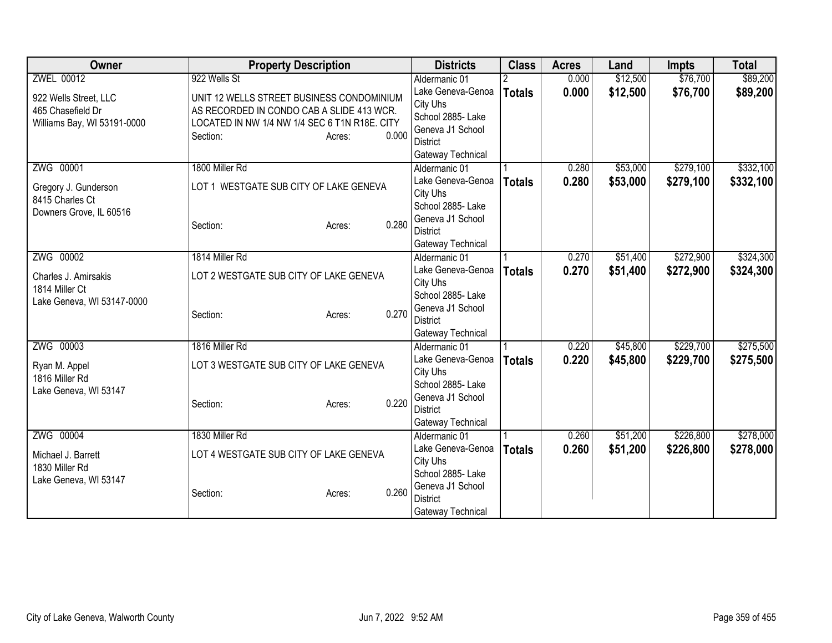| Owner                           | <b>Property Description</b>                   |                 | <b>Districts</b>                   | <b>Class</b>  | <b>Acres</b> | Land     | <b>Impts</b> | <b>Total</b> |
|---------------------------------|-----------------------------------------------|-----------------|------------------------------------|---------------|--------------|----------|--------------|--------------|
| ZWEL 00012                      | 922 Wells St                                  |                 | Aldermanic 01                      |               | 0.000        | \$12,500 | \$76,700     | \$89,200     |
| 922 Wells Street, LLC           | UNIT 12 WELLS STREET BUSINESS CONDOMINIUM     |                 | Lake Geneva-Genoa                  | <b>Totals</b> | 0.000        | \$12,500 | \$76,700     | \$89,200     |
| 465 Chasefield Dr               | AS RECORDED IN CONDO CAB A SLIDE 413 WCR.     |                 | City Uhs                           |               |              |          |              |              |
| Williams Bay, WI 53191-0000     | LOCATED IN NW 1/4 NW 1/4 SEC 6 T1N R18E. CITY |                 | School 2885-Lake                   |               |              |          |              |              |
|                                 | Section:                                      | 0.000<br>Acres: | Geneva J1 School                   |               |              |          |              |              |
|                                 |                                               |                 | District                           |               |              |          |              |              |
|                                 |                                               |                 | Gateway Technical                  |               |              |          |              |              |
| ZWG 00001                       | 1800 Miller Rd                                |                 | Aldermanic 01                      |               | 0.280        | \$53,000 | \$279,100    | \$332,100    |
| Gregory J. Gunderson            | LOT 1 WESTGATE SUB CITY OF LAKE GENEVA        |                 | Lake Geneva-Genoa                  | <b>Totals</b> | 0.280        | \$53,000 | \$279,100    | \$332,100    |
| 8415 Charles Ct                 |                                               |                 | City Uhs                           |               |              |          |              |              |
| Downers Grove, IL 60516         |                                               |                 | School 2885- Lake                  |               |              |          |              |              |
|                                 | Section:                                      | 0.280<br>Acres: | Geneva J1 School                   |               |              |          |              |              |
|                                 |                                               |                 | <b>District</b>                    |               |              |          |              |              |
| ZWG 00002                       | 1814 Miller Rd                                |                 | Gateway Technical<br>Aldermanic 01 |               | 0.270        | \$51,400 | \$272,900    | \$324,300    |
|                                 |                                               |                 | Lake Geneva-Genoa                  |               | 0.270        | \$51,400 | \$272,900    |              |
| Charles J. Amirsakis            | LOT 2 WESTGATE SUB CITY OF LAKE GENEVA        |                 | City Uhs                           | <b>Totals</b> |              |          |              | \$324,300    |
| 1814 Miller Ct                  |                                               |                 | School 2885- Lake                  |               |              |          |              |              |
| Lake Geneva, WI 53147-0000      |                                               |                 | Geneva J1 School                   |               |              |          |              |              |
|                                 | Section:                                      | 0.270<br>Acres: | <b>District</b>                    |               |              |          |              |              |
|                                 |                                               |                 | Gateway Technical                  |               |              |          |              |              |
| ZWG 00003                       | 1816 Miller Rd                                |                 | Aldermanic 01                      |               | 0.220        | \$45,800 | \$229,700    | \$275,500    |
|                                 |                                               |                 | Lake Geneva-Genoa                  | <b>Totals</b> | 0.220        | \$45,800 | \$229,700    | \$275,500    |
| Ryan M. Appel<br>1816 Miller Rd | LOT 3 WESTGATE SUB CITY OF LAKE GENEVA        |                 | City Uhs                           |               |              |          |              |              |
| Lake Geneva, WI 53147           |                                               |                 | School 2885- Lake                  |               |              |          |              |              |
|                                 | Section:                                      | 0.220<br>Acres: | Geneva J1 School                   |               |              |          |              |              |
|                                 |                                               |                 | <b>District</b>                    |               |              |          |              |              |
|                                 |                                               |                 | Gateway Technical                  |               |              |          |              |              |
| ZWG 00004                       | 1830 Miller Rd                                |                 | Aldermanic 01                      |               | 0.260        | \$51,200 | \$226,800    | \$278,000    |
| Michael J. Barrett              | LOT 4 WESTGATE SUB CITY OF LAKE GENEVA        |                 | Lake Geneva-Genoa                  | <b>Totals</b> | 0.260        | \$51,200 | \$226,800    | \$278,000    |
| 1830 Miller Rd                  |                                               |                 | City Uhs                           |               |              |          |              |              |
| Lake Geneva, WI 53147           |                                               |                 | School 2885- Lake                  |               |              |          |              |              |
|                                 | Section:                                      | 0.260<br>Acres: | Geneva J1 School                   |               |              |          |              |              |
|                                 |                                               |                 | <b>District</b>                    |               |              |          |              |              |
|                                 |                                               |                 | Gateway Technical                  |               |              |          |              |              |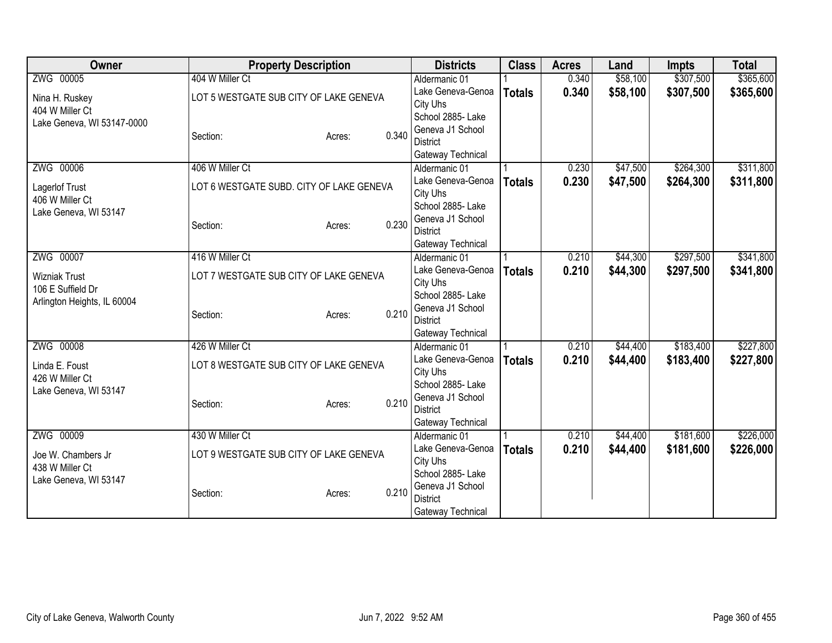| Owner                       | <b>Property Description</b>              |                 | <b>Districts</b>  | <b>Class</b>  | <b>Acres</b> | Land     | <b>Impts</b> | <b>Total</b> |
|-----------------------------|------------------------------------------|-----------------|-------------------|---------------|--------------|----------|--------------|--------------|
| ZWG 00005                   | 404 W Miller Ct                          |                 | Aldermanic 01     |               | 0.340        | \$58,100 | \$307,500    | \$365,600    |
| Nina H. Ruskey              | LOT 5 WESTGATE SUB CITY OF LAKE GENEVA   |                 | Lake Geneva-Genoa | <b>Totals</b> | 0.340        | \$58,100 | \$307,500    | \$365,600    |
| 404 W Miller Ct             |                                          |                 | City Uhs          |               |              |          |              |              |
| Lake Geneva, WI 53147-0000  |                                          |                 | School 2885- Lake |               |              |          |              |              |
|                             | Section:                                 | 0.340<br>Acres: | Geneva J1 School  |               |              |          |              |              |
|                             |                                          |                 | <b>District</b>   |               |              |          |              |              |
|                             |                                          |                 | Gateway Technical |               |              |          |              |              |
| ZWG 00006                   | 406 W Miller Ct                          |                 | Aldermanic 01     |               | 0.230        | \$47,500 | \$264,300    | \$311,800    |
| Lagerlof Trust              | LOT 6 WESTGATE SUBD. CITY OF LAKE GENEVA |                 | Lake Geneva-Genoa | <b>Totals</b> | 0.230        | \$47,500 | \$264,300    | \$311,800    |
| 406 W Miller Ct             |                                          |                 | City Uhs          |               |              |          |              |              |
| Lake Geneva, WI 53147       |                                          |                 | School 2885- Lake |               |              |          |              |              |
|                             | Section:                                 | 0.230<br>Acres: | Geneva J1 School  |               |              |          |              |              |
|                             |                                          |                 | <b>District</b>   |               |              |          |              |              |
|                             |                                          |                 | Gateway Technical |               |              |          |              |              |
| ZWG 00007                   | 416 W Miller Ct                          |                 | Aldermanic 01     |               | 0.210        | \$44,300 | \$297,500    | \$341,800    |
| <b>Wizniak Trust</b>        | LOT 7 WESTGATE SUB CITY OF LAKE GENEVA   |                 | Lake Geneva-Genoa | <b>Totals</b> | 0.210        | \$44,300 | \$297,500    | \$341,800    |
| 106 E Suffield Dr           |                                          | City Uhs        |                   |               |              |          |              |              |
| Arlington Heights, IL 60004 |                                          |                 | School 2885- Lake |               |              |          |              |              |
|                             | Section:                                 | 0.210<br>Acres: | Geneva J1 School  |               |              |          |              |              |
|                             |                                          |                 | <b>District</b>   |               |              |          |              |              |
|                             |                                          |                 | Gateway Technical |               |              |          |              |              |
| ZWG 00008                   | 426 W Miller Ct                          |                 | Aldermanic 01     |               | 0.210        | \$44,400 | \$183,400    | \$227,800    |
| Linda E. Foust              | LOT 8 WESTGATE SUB CITY OF LAKE GENEVA   |                 | Lake Geneva-Genoa | <b>Totals</b> | 0.210        | \$44,400 | \$183,400    | \$227,800    |
| 426 W Miller Ct             |                                          |                 | City Uhs          |               |              |          |              |              |
| Lake Geneva, WI 53147       |                                          |                 | School 2885- Lake |               |              |          |              |              |
|                             | Section:                                 | 0.210<br>Acres: | Geneva J1 School  |               |              |          |              |              |
|                             |                                          |                 | <b>District</b>   |               |              |          |              |              |
|                             |                                          |                 | Gateway Technical |               |              |          |              |              |
| ZWG 00009                   | 430 W Miller Ct                          |                 | Aldermanic 01     |               | 0.210        | \$44,400 | \$181,600    | \$226,000    |
| Joe W. Chambers Jr          | LOT 9 WESTGATE SUB CITY OF LAKE GENEVA   |                 | Lake Geneva-Genoa | <b>Totals</b> | 0.210        | \$44,400 | \$181,600    | \$226,000    |
| 438 W Miller Ct             |                                          |                 | City Uhs          |               |              |          |              |              |
| Lake Geneva, WI 53147       |                                          |                 | School 2885-Lake  |               |              |          |              |              |
|                             | Section:                                 | 0.210<br>Acres: | Geneva J1 School  |               |              |          |              |              |
|                             |                                          |                 | <b>District</b>   |               |              |          |              |              |
|                             |                                          |                 | Gateway Technical |               |              |          |              |              |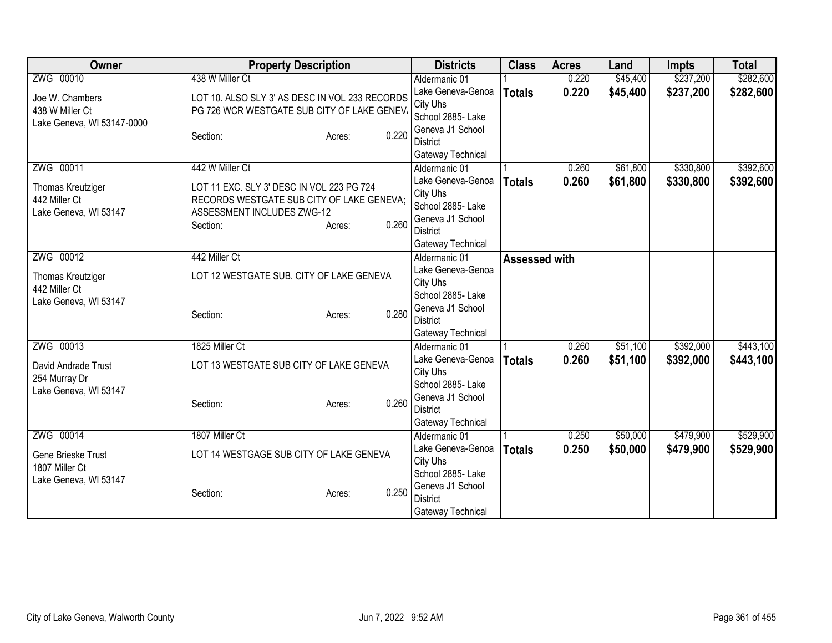| Owner                      | <b>Property Description</b>                    |       | <b>Districts</b>                     | <b>Class</b>  | <b>Acres</b> | Land     | <b>Impts</b> | <b>Total</b> |
|----------------------------|------------------------------------------------|-------|--------------------------------------|---------------|--------------|----------|--------------|--------------|
| ZWG 00010                  | 438 W Miller Ct                                |       | Aldermanic 01                        |               | 0.220        | \$45,400 | \$237,200    | \$282,600    |
| Joe W. Chambers            | LOT 10. ALSO SLY 3' AS DESC IN VOL 233 RECORDS |       | Lake Geneva-Genoa                    | <b>Totals</b> | 0.220        | \$45,400 | \$237,200    | \$282,600    |
| 438 W Miller Ct            | PG 726 WCR WESTGATE SUB CITY OF LAKE GENEV/    |       | City Uhs                             |               |              |          |              |              |
| Lake Geneva, WI 53147-0000 |                                                |       | School 2885- Lake                    |               |              |          |              |              |
|                            | Section:<br>Acres:                             | 0.220 | Geneva J1 School                     |               |              |          |              |              |
|                            |                                                |       | <b>District</b><br>Gateway Technical |               |              |          |              |              |
| ZWG 00011                  | 442 W Miller Ct                                |       | Aldermanic 01                        |               | 0.260        | \$61,800 | \$330,800    | \$392,600    |
|                            |                                                |       | Lake Geneva-Genoa                    | <b>Totals</b> | 0.260        | \$61,800 | \$330,800    | \$392,600    |
| Thomas Kreutziger          | LOT 11 EXC. SLY 3' DESC IN VOL 223 PG 724      |       | City Uhs                             |               |              |          |              |              |
| 442 Miller Ct              | RECORDS WESTGATE SUB CITY OF LAKE GENEVA;      |       | School 2885- Lake                    |               |              |          |              |              |
| Lake Geneva, WI 53147      | ASSESSMENT INCLUDES ZWG-12                     |       | Geneva J1 School                     |               |              |          |              |              |
|                            | Section:<br>Acres:                             | 0.260 | <b>District</b>                      |               |              |          |              |              |
|                            |                                                |       | Gateway Technical                    |               |              |          |              |              |
| ZWG 00012                  | 442 Miller Ct                                  |       | Aldermanic 01                        | Assessed with |              |          |              |              |
| Thomas Kreutziger          | LOT 12 WESTGATE SUB. CITY OF LAKE GENEVA       |       | Lake Geneva-Genoa                    |               |              |          |              |              |
| 442 Miller Ct              |                                                |       | City Uhs                             |               |              |          |              |              |
| Lake Geneva, WI 53147      |                                                |       | School 2885- Lake                    |               |              |          |              |              |
|                            | Section:<br>Acres:                             | 0.280 | Geneva J1 School                     |               |              |          |              |              |
|                            |                                                |       | <b>District</b>                      |               |              |          |              |              |
|                            |                                                |       | Gateway Technical                    |               |              |          |              |              |
| ZWG 00013                  | 1825 Miller Ct                                 |       | Aldermanic 01                        |               | 0.260        | \$51,100 | \$392,000    | \$443,100    |
| David Andrade Trust        | LOT 13 WESTGATE SUB CITY OF LAKE GENEVA        |       | Lake Geneva-Genoa                    | <b>Totals</b> | 0.260        | \$51,100 | \$392,000    | \$443,100    |
| 254 Murray Dr              |                                                |       | City Uhs<br>School 2885- Lake        |               |              |          |              |              |
| Lake Geneva, WI 53147      |                                                |       | Geneva J1 School                     |               |              |          |              |              |
|                            | Section:<br>Acres:                             | 0.260 | <b>District</b>                      |               |              |          |              |              |
|                            |                                                |       | Gateway Technical                    |               |              |          |              |              |
| ZWG 00014                  | 1807 Miller Ct                                 |       | Aldermanic 01                        |               | 0.250        | \$50,000 | \$479,900    | \$529,900    |
|                            |                                                |       | Lake Geneva-Genoa                    | <b>Totals</b> | 0.250        | \$50,000 | \$479,900    | \$529,900    |
| Gene Brieske Trust         | LOT 14 WESTGAGE SUB CITY OF LAKE GENEVA        |       | City Uhs                             |               |              |          |              |              |
| 1807 Miller Ct             |                                                |       | School 2885-Lake                     |               |              |          |              |              |
| Lake Geneva, WI 53147      | Section:<br>Acres:                             | 0.250 | Geneva J1 School                     |               |              |          |              |              |
|                            |                                                |       | <b>District</b>                      |               |              |          |              |              |
|                            |                                                |       | Gateway Technical                    |               |              |          |              |              |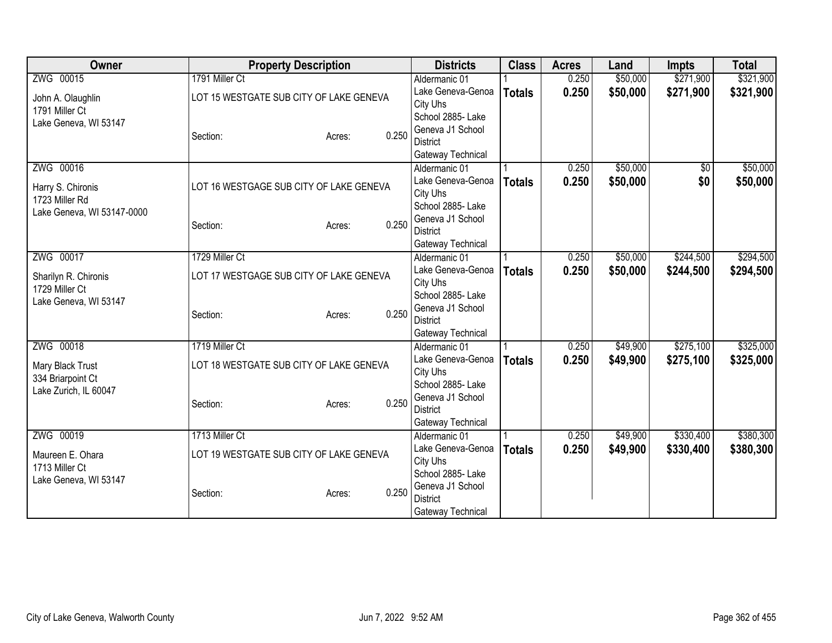| Owner                                  | <b>Property Description</b>             |                 | <b>Districts</b>                   | <b>Class</b>  | <b>Acres</b> | Land     | <b>Impts</b> | <b>Total</b> |
|----------------------------------------|-----------------------------------------|-----------------|------------------------------------|---------------|--------------|----------|--------------|--------------|
| ZWG 00015                              | 1791 Miller Ct                          |                 | Aldermanic 01                      |               | 0.250        | \$50,000 | \$271,900    | \$321,900    |
| John A. Olaughlin                      | LOT 15 WESTGATE SUB CITY OF LAKE GENEVA |                 | Lake Geneva-Genoa                  | <b>Totals</b> | 0.250        | \$50,000 | \$271,900    | \$321,900    |
| 1791 Miller Ct                         |                                         |                 | City Uhs                           |               |              |          |              |              |
| Lake Geneva, WI 53147                  |                                         |                 | School 2885- Lake                  |               |              |          |              |              |
|                                        | Section:                                | 0.250<br>Acres: | Geneva J1 School                   |               |              |          |              |              |
|                                        |                                         |                 | <b>District</b>                    |               |              |          |              |              |
| ZWG 00016                              |                                         |                 | Gateway Technical<br>Aldermanic 01 |               | 0.250        | \$50,000 | \$0          | \$50,000     |
|                                        |                                         |                 | Lake Geneva-Genoa                  |               | 0.250        | \$50,000 | \$0          | \$50,000     |
| Harry S. Chironis                      | LOT 16 WESTGAGE SUB CITY OF LAKE GENEVA |                 | City Uhs                           | <b>Totals</b> |              |          |              |              |
| 1723 Miller Rd                         |                                         |                 | School 2885- Lake                  |               |              |          |              |              |
| Lake Geneva, WI 53147-0000             |                                         |                 | Geneva J1 School                   |               |              |          |              |              |
|                                        | Section:                                | 0.250<br>Acres: | <b>District</b>                    |               |              |          |              |              |
|                                        |                                         |                 | Gateway Technical                  |               |              |          |              |              |
| ZWG 00017                              | 1729 Miller Ct                          |                 | Aldermanic 01                      |               | 0.250        | \$50,000 | \$244,500    | \$294,500    |
|                                        | LOT 17 WESTGAGE SUB CITY OF LAKE GENEVA |                 | Lake Geneva-Genoa                  | <b>Totals</b> | 0.250        | \$50,000 | \$244,500    | \$294,500    |
| Sharilyn R. Chironis<br>1729 Miller Ct |                                         |                 | City Uhs                           |               |              |          |              |              |
| Lake Geneva, WI 53147                  |                                         |                 | School 2885- Lake                  |               |              |          |              |              |
|                                        | Section:                                | 0.250<br>Acres: | Geneva J1 School                   |               |              |          |              |              |
|                                        |                                         |                 | <b>District</b>                    |               |              |          |              |              |
|                                        |                                         |                 | Gateway Technical                  |               |              |          |              |              |
| ZWG 00018                              | 1719 Miller Ct                          |                 | Aldermanic 01                      |               | 0.250        | \$49,900 | \$275,100    | \$325,000    |
| Mary Black Trust                       | LOT 18 WESTGATE SUB CITY OF LAKE GENEVA |                 | Lake Geneva-Genoa                  | <b>Totals</b> | 0.250        | \$49,900 | \$275,100    | \$325,000    |
| 334 Briarpoint Ct                      |                                         |                 | City Uhs<br>School 2885-Lake       |               |              |          |              |              |
| Lake Zurich, IL 60047                  |                                         |                 | Geneva J1 School                   |               |              |          |              |              |
|                                        | Section:                                | 0.250<br>Acres: | <b>District</b>                    |               |              |          |              |              |
|                                        |                                         |                 | Gateway Technical                  |               |              |          |              |              |
| ZWG 00019                              | 1713 Miller Ct                          |                 | Aldermanic 01                      |               | 0.250        | \$49,900 | \$330,400    | \$380,300    |
|                                        |                                         |                 | Lake Geneva-Genoa                  | <b>Totals</b> | 0.250        | \$49,900 | \$330,400    | \$380,300    |
| Maureen E. Ohara                       | LOT 19 WESTGATE SUB CITY OF LAKE GENEVA |                 | City Uhs                           |               |              |          |              |              |
| 1713 Miller Ct                         |                                         |                 | School 2885- Lake                  |               |              |          |              |              |
| Lake Geneva, WI 53147                  |                                         |                 | Geneva J1 School                   |               |              |          |              |              |
|                                        | Section:                                | 0.250<br>Acres: | <b>District</b>                    |               |              |          |              |              |
|                                        |                                         |                 | Gateway Technical                  |               |              |          |              |              |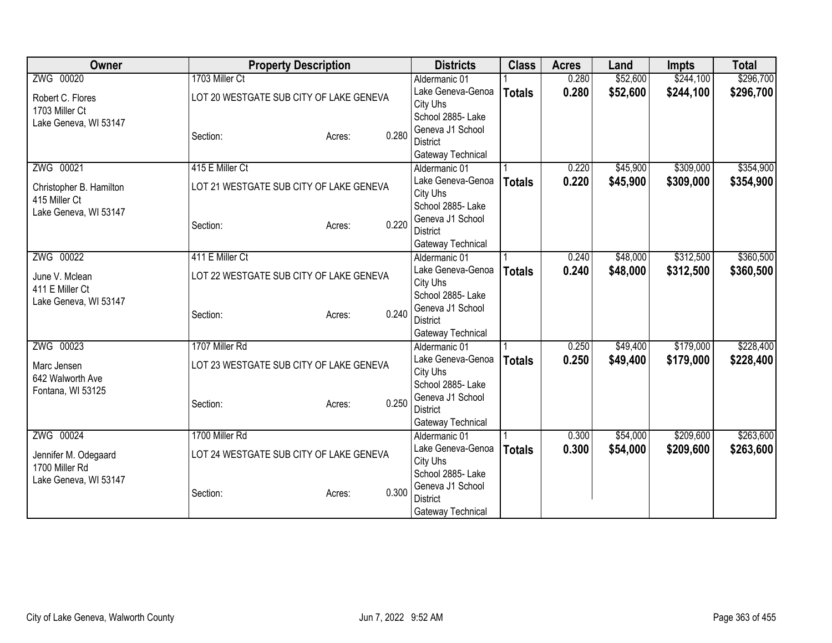| Owner                   | <b>Property Description</b>             |                 | <b>Districts</b>                    | <b>Class</b>  | <b>Acres</b> | Land     | <b>Impts</b> | <b>Total</b> |
|-------------------------|-----------------------------------------|-----------------|-------------------------------------|---------------|--------------|----------|--------------|--------------|
| ZWG 00020               | 1703 Miller Ct                          |                 | Aldermanic 01                       |               | 0.280        | \$52,600 | \$244,100    | \$296,700    |
| Robert C. Flores        | LOT 20 WESTGATE SUB CITY OF LAKE GENEVA |                 | Lake Geneva-Genoa                   | <b>Totals</b> | 0.280        | \$52,600 | \$244,100    | \$296,700    |
| 1703 Miller Ct          |                                         |                 | City Uhs                            |               |              |          |              |              |
| Lake Geneva, WI 53147   |                                         |                 | School 2885-Lake                    |               |              |          |              |              |
|                         | Section:                                | 0.280<br>Acres: | Geneva J1 School                    |               |              |          |              |              |
|                         |                                         |                 | <b>District</b>                     |               |              |          |              |              |
|                         |                                         |                 | Gateway Technical                   |               |              |          |              |              |
| ZWG 00021               | 415 E Miller Ct                         |                 | Aldermanic 01                       |               | 0.220        | \$45,900 | \$309,000    | \$354,900    |
| Christopher B. Hamilton | LOT 21 WESTGATE SUB CITY OF LAKE GENEVA |                 | Lake Geneva-Genoa<br>City Uhs       | <b>Totals</b> | 0.220        | \$45,900 | \$309,000    | \$354,900    |
| 415 Miller Ct           |                                         |                 | School 2885- Lake                   |               |              |          |              |              |
| Lake Geneva, WI 53147   |                                         |                 | Geneva J1 School                    |               |              |          |              |              |
|                         | Section:                                | 0.220<br>Acres: | <b>District</b>                     |               |              |          |              |              |
|                         |                                         |                 | Gateway Technical                   |               |              |          |              |              |
| ZWG 00022               | 411 E Miller Ct                         |                 | Aldermanic 01                       |               | 0.240        | \$48,000 | \$312,500    | \$360,500    |
|                         |                                         |                 | Lake Geneva-Genoa                   | <b>Totals</b> | 0.240        | \$48,000 | \$312,500    | \$360,500    |
| June V. Mclean          | LOT 22 WESTGATE SUB CITY OF LAKE GENEVA |                 | City Uhs                            |               |              |          |              |              |
| 411 E Miller Ct         |                                         |                 | School 2885- Lake                   |               |              |          |              |              |
| Lake Geneva, WI 53147   | Section:                                | 0.240<br>Acres: | Geneva J1 School                    |               |              |          |              |              |
|                         |                                         |                 | <b>District</b>                     |               |              |          |              |              |
|                         |                                         |                 | Gateway Technical                   |               |              |          |              |              |
| ZWG 00023               | 1707 Miller Rd                          |                 | Aldermanic 01                       |               | 0.250        | \$49,400 | \$179,000    | \$228,400    |
| Marc Jensen             | LOT 23 WESTGATE SUB CITY OF LAKE GENEVA |                 | Lake Geneva-Genoa                   | <b>Totals</b> | 0.250        | \$49,400 | \$179,000    | \$228,400    |
| 642 Walworth Ave        |                                         |                 | City Uhs                            |               |              |          |              |              |
| Fontana, WI 53125       |                                         |                 | School 2885- Lake                   |               |              |          |              |              |
|                         | Section:                                | 0.250<br>Acres: | Geneva J1 School<br><b>District</b> |               |              |          |              |              |
|                         |                                         |                 | Gateway Technical                   |               |              |          |              |              |
| ZWG 00024               | 1700 Miller Rd                          |                 | Aldermanic 01                       |               | 0.300        | \$54,000 | \$209,600    | \$263,600    |
|                         |                                         |                 | Lake Geneva-Genoa                   | <b>Totals</b> | 0.300        | \$54,000 | \$209,600    | \$263,600    |
| Jennifer M. Odegaard    | LOT 24 WESTGATE SUB CITY OF LAKE GENEVA |                 | City Uhs                            |               |              |          |              |              |
| 1700 Miller Rd          |                                         |                 | School 2885- Lake                   |               |              |          |              |              |
| Lake Geneva, WI 53147   |                                         |                 | Geneva J1 School                    |               |              |          |              |              |
|                         | Section:                                | 0.300<br>Acres: | District                            |               |              |          |              |              |
|                         |                                         |                 | Gateway Technical                   |               |              |          |              |              |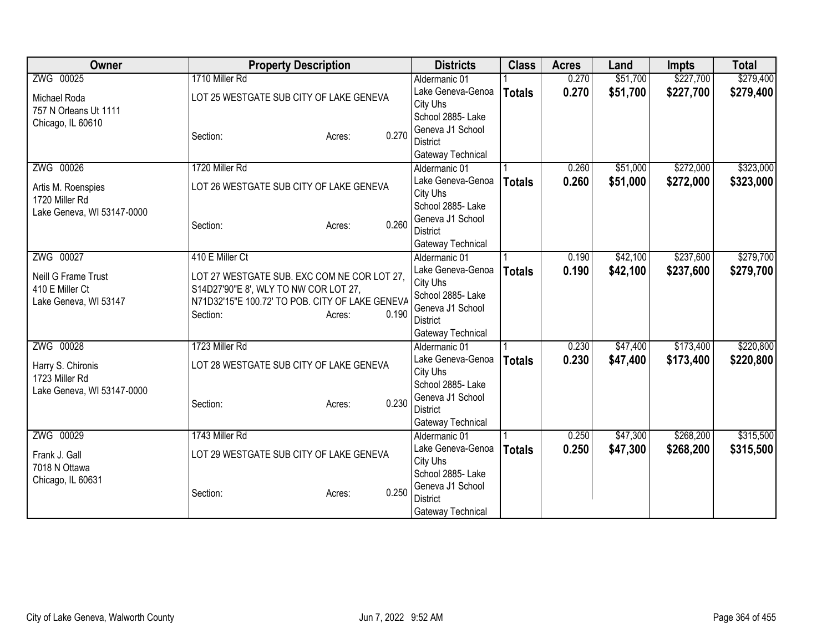| Owner                      | <b>Property Description</b>                     |                 | <b>Districts</b>  | <b>Class</b>  | <b>Acres</b> | Land     | <b>Impts</b> | <b>Total</b> |
|----------------------------|-------------------------------------------------|-----------------|-------------------|---------------|--------------|----------|--------------|--------------|
| ZWG 00025                  | 1710 Miller Rd                                  |                 | Aldermanic 01     |               | 0.270        | \$51,700 | \$227,700    | \$279,400    |
| Michael Roda               | LOT 25 WESTGATE SUB CITY OF LAKE GENEVA         |                 | Lake Geneva-Genoa | <b>Totals</b> | 0.270        | \$51,700 | \$227,700    | \$279,400    |
| 757 N Orleans Ut 1111      |                                                 |                 | City Uhs          |               |              |          |              |              |
| Chicago, IL 60610          |                                                 |                 | School 2885- Lake |               |              |          |              |              |
|                            | Section:                                        | 0.270<br>Acres: | Geneva J1 School  |               |              |          |              |              |
|                            |                                                 |                 | <b>District</b>   |               |              |          |              |              |
|                            |                                                 |                 | Gateway Technical |               |              |          |              |              |
| ZWG 00026                  | 1720 Miller Rd                                  |                 | Aldermanic 01     |               | 0.260        | \$51,000 | \$272,000    | \$323,000    |
| Artis M. Roenspies         | LOT 26 WESTGATE SUB CITY OF LAKE GENEVA         |                 | Lake Geneva-Genoa | <b>Totals</b> | 0.260        | \$51,000 | \$272,000    | \$323,000    |
| 1720 Miller Rd             |                                                 |                 | City Uhs          |               |              |          |              |              |
| Lake Geneva, WI 53147-0000 |                                                 |                 | School 2885- Lake |               |              |          |              |              |
|                            | Section:                                        | 0.260<br>Acres: | Geneva J1 School  |               |              |          |              |              |
|                            |                                                 |                 | <b>District</b>   |               |              |          |              |              |
|                            |                                                 |                 | Gateway Technical |               |              |          |              |              |
| ZWG 00027                  | 410 E Miller Ct                                 |                 | Aldermanic 01     |               | 0.190        | \$42,100 | \$237,600    | \$279,700    |
| Neill G Frame Trust        | LOT 27 WESTGATE SUB. EXC COM NE COR LOT 27,     |                 | Lake Geneva-Genoa | <b>Totals</b> | 0.190        | \$42,100 | \$237,600    | \$279,700    |
| 410 E Miller Ct            | S14D27'90"E 8', WLY TO NW COR LOT 27,           |                 | City Uhs          |               |              |          |              |              |
| Lake Geneva, WI 53147      | N71D32'15"E 100.72' TO POB. CITY OF LAKE GENEVA |                 | School 2885- Lake |               |              |          |              |              |
|                            | Section:                                        | 0.190<br>Acres: | Geneva J1 School  |               |              |          |              |              |
|                            |                                                 |                 | <b>District</b>   |               |              |          |              |              |
|                            |                                                 |                 | Gateway Technical |               |              |          |              |              |
| ZWG 00028                  | 1723 Miller Rd                                  |                 | Aldermanic 01     |               | 0.230        | \$47,400 | \$173,400    | \$220,800    |
| Harry S. Chironis          | LOT 28 WESTGATE SUB CITY OF LAKE GENEVA         |                 | Lake Geneva-Genoa | <b>Totals</b> | 0.230        | \$47,400 | \$173,400    | \$220,800    |
| 1723 Miller Rd             |                                                 |                 | City Uhs          |               |              |          |              |              |
| Lake Geneva, WI 53147-0000 |                                                 |                 | School 2885- Lake |               |              |          |              |              |
|                            | Section:                                        | 0.230<br>Acres: | Geneva J1 School  |               |              |          |              |              |
|                            |                                                 |                 | <b>District</b>   |               |              |          |              |              |
|                            |                                                 |                 | Gateway Technical |               |              |          |              |              |
| ZWG 00029                  | 1743 Miller Rd                                  |                 | Aldermanic 01     |               | 0.250        | \$47,300 | \$268,200    | \$315,500    |
| Frank J. Gall              | LOT 29 WESTGATE SUB CITY OF LAKE GENEVA         |                 | Lake Geneva-Genoa | <b>Totals</b> | 0.250        | \$47,300 | \$268,200    | \$315,500    |
| 7018 N Ottawa              |                                                 |                 | City Uhs          |               |              |          |              |              |
| Chicago, IL 60631          |                                                 |                 | School 2885-Lake  |               |              |          |              |              |
|                            | Section:                                        | 0.250<br>Acres: | Geneva J1 School  |               |              |          |              |              |
|                            |                                                 |                 | <b>District</b>   |               |              |          |              |              |
|                            |                                                 |                 | Gateway Technical |               |              |          |              |              |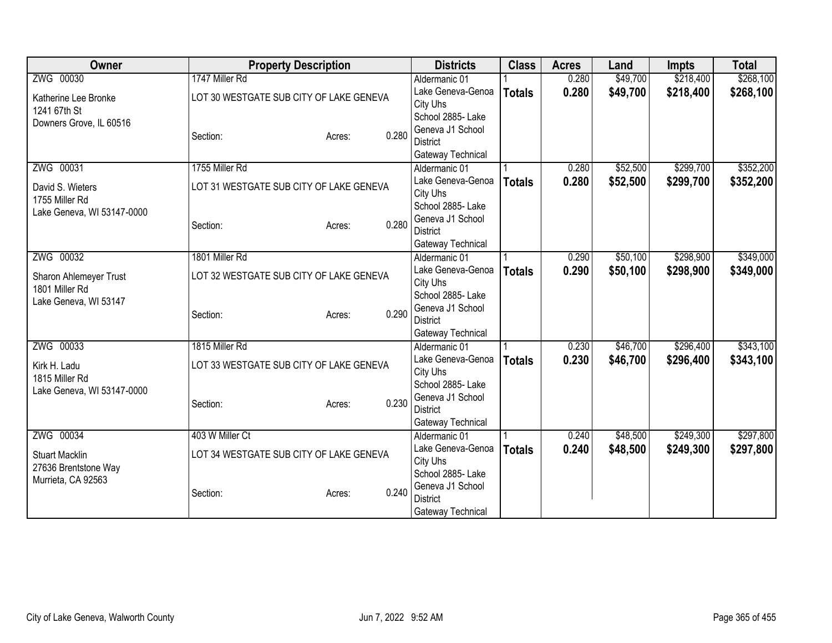| Owner                                        | <b>Property Description</b>             |        |       | <b>Districts</b>                   | <b>Class</b>  | <b>Acres</b> | Land     | <b>Impts</b> | <b>Total</b> |
|----------------------------------------------|-----------------------------------------|--------|-------|------------------------------------|---------------|--------------|----------|--------------|--------------|
| ZWG 00030                                    | 1747 Miller Rd                          |        |       | Aldermanic 01                      |               | 0.280        | \$49,700 | \$218,400    | \$268,100    |
| Katherine Lee Bronke                         | LOT 30 WESTGATE SUB CITY OF LAKE GENEVA |        |       | Lake Geneva-Genoa                  | <b>Totals</b> | 0.280        | \$49,700 | \$218,400    | \$268,100    |
| 1241 67th St                                 |                                         |        |       | City Uhs                           |               |              |          |              |              |
| Downers Grove, IL 60516                      |                                         |        |       | School 2885- Lake                  |               |              |          |              |              |
|                                              | Section:                                | Acres: | 0.280 | Geneva J1 School                   |               |              |          |              |              |
|                                              |                                         |        |       | <b>District</b>                    |               |              |          |              |              |
|                                              |                                         |        |       | Gateway Technical                  |               |              |          |              |              |
| ZWG 00031                                    | 1755 Miller Rd                          |        |       | Aldermanic 01                      |               | 0.280        | \$52,500 | \$299,700    | \$352,200    |
| David S. Wieters                             | LOT 31 WESTGATE SUB CITY OF LAKE GENEVA |        |       | Lake Geneva-Genoa                  | <b>Totals</b> | 0.280        | \$52,500 | \$299,700    | \$352,200    |
| 1755 Miller Rd                               |                                         |        |       | City Uhs                           |               |              |          |              |              |
| Lake Geneva, WI 53147-0000                   |                                         |        |       | School 2885- Lake                  |               |              |          |              |              |
|                                              | Section:                                | Acres: | 0.280 | Geneva J1 School                   |               |              |          |              |              |
|                                              |                                         |        |       | <b>District</b>                    |               |              |          |              |              |
| ZWG 00032                                    | 1801 Miller Rd                          |        |       | Gateway Technical<br>Aldermanic 01 |               | 0.290        | \$50,100 | \$298,900    | \$349,000    |
|                                              |                                         |        |       | Lake Geneva-Genoa                  |               | 0.290        | \$50,100 |              |              |
| Sharon Ahlemeyer Trust                       | LOT 32 WESTGATE SUB CITY OF LAKE GENEVA |        |       | City Uhs                           | <b>Totals</b> |              |          | \$298,900    | \$349,000    |
| 1801 Miller Rd                               |                                         |        |       | School 2885- Lake                  |               |              |          |              |              |
| Lake Geneva, WI 53147                        |                                         |        |       | Geneva J1 School                   |               |              |          |              |              |
|                                              | Section:                                | Acres: | 0.290 | <b>District</b>                    |               |              |          |              |              |
|                                              |                                         |        |       | Gateway Technical                  |               |              |          |              |              |
| ZWG 00033                                    | 1815 Miller Rd                          |        |       | Aldermanic 01                      |               | 0.230        | \$46,700 | \$296,400    | \$343,100    |
|                                              |                                         |        |       | Lake Geneva-Genoa                  | <b>Totals</b> | 0.230        | \$46,700 | \$296,400    | \$343,100    |
| Kirk H. Ladu                                 | LOT 33 WESTGATE SUB CITY OF LAKE GENEVA |        |       | City Uhs                           |               |              |          |              |              |
| 1815 Miller Rd<br>Lake Geneva, WI 53147-0000 |                                         |        |       | School 2885- Lake                  |               |              |          |              |              |
|                                              | Section:                                | Acres: | 0.230 | Geneva J1 School                   |               |              |          |              |              |
|                                              |                                         |        |       | <b>District</b>                    |               |              |          |              |              |
|                                              |                                         |        |       | Gateway Technical                  |               |              |          |              |              |
| ZWG 00034                                    | 403 W Miller Ct                         |        |       | Aldermanic 01                      |               | 0.240        | \$48,500 | \$249,300    | \$297,800    |
| <b>Stuart Macklin</b>                        | LOT 34 WESTGATE SUB CITY OF LAKE GENEVA |        |       | Lake Geneva-Genoa                  | <b>Totals</b> | 0.240        | \$48,500 | \$249,300    | \$297,800    |
| 27636 Brentstone Way                         |                                         |        |       | City Uhs                           |               |              |          |              |              |
| Murrieta, CA 92563                           |                                         |        |       | School 2885- Lake                  |               |              |          |              |              |
|                                              | Section:                                | Acres: | 0.240 | Geneva J1 School                   |               |              |          |              |              |
|                                              |                                         |        |       | <b>District</b>                    |               |              |          |              |              |
|                                              |                                         |        |       | Gateway Technical                  |               |              |          |              |              |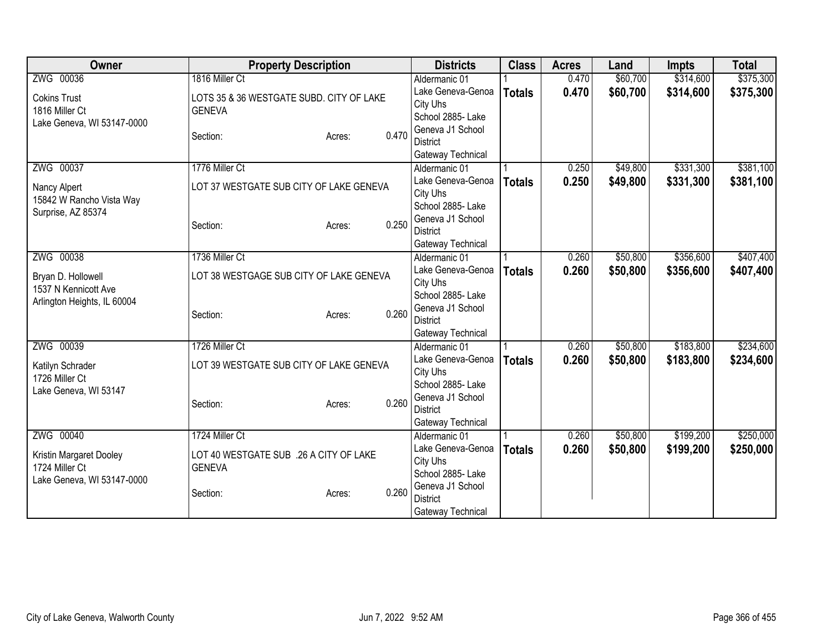| Owner                       | <b>Property Description</b>              |        |       | <b>Districts</b>                    | <b>Class</b>  | <b>Acres</b> | Land     | <b>Impts</b> | <b>Total</b> |
|-----------------------------|------------------------------------------|--------|-------|-------------------------------------|---------------|--------------|----------|--------------|--------------|
| ZWG 00036                   | 1816 Miller Ct                           |        |       | Aldermanic 01                       |               | 0.470        | \$60,700 | \$314,600    | \$375,300    |
| <b>Cokins Trust</b>         | LOTS 35 & 36 WESTGATE SUBD. CITY OF LAKE |        |       | Lake Geneva-Genoa                   | <b>Totals</b> | 0.470        | \$60,700 | \$314,600    | \$375,300    |
| 1816 Miller Ct              | <b>GENEVA</b>                            |        |       | City Uhs                            |               |              |          |              |              |
| Lake Geneva, WI 53147-0000  |                                          |        |       | School 2885- Lake                   |               |              |          |              |              |
|                             | Section:                                 | Acres: | 0.470 | Geneva J1 School                    |               |              |          |              |              |
|                             |                                          |        |       | <b>District</b>                     |               |              |          |              |              |
|                             |                                          |        |       | Gateway Technical                   |               |              |          |              |              |
| ZWG 00037                   | 1776 Miller Ct                           |        |       | Aldermanic 01                       |               | 0.250        | \$49,800 | \$331,300    | \$381,100    |
| Nancy Alpert                | LOT 37 WESTGATE SUB CITY OF LAKE GENEVA  |        |       | Lake Geneva-Genoa                   | <b>Totals</b> | 0.250        | \$49,800 | \$331,300    | \$381,100    |
| 15842 W Rancho Vista Way    |                                          |        |       | City Uhs                            |               |              |          |              |              |
| Surprise, AZ 85374          |                                          |        |       | School 2885- Lake                   |               |              |          |              |              |
|                             | Section:                                 | Acres: | 0.250 | Geneva J1 School                    |               |              |          |              |              |
|                             |                                          |        |       | <b>District</b>                     |               |              |          |              |              |
|                             |                                          |        |       | Gateway Technical                   |               |              |          |              |              |
| ZWG 00038                   | 1736 Miller Ct                           |        |       | Aldermanic 01                       |               | 0.260        | \$50,800 | \$356,600    | \$407,400    |
| Bryan D. Hollowell          | LOT 38 WESTGAGE SUB CITY OF LAKE GENEVA  |        |       | Lake Geneva-Genoa                   | <b>Totals</b> | 0.260        | \$50,800 | \$356,600    | \$407,400    |
| 1537 N Kennicott Ave        |                                          |        |       | City Uhs                            |               |              |          |              |              |
| Arlington Heights, IL 60004 |                                          |        |       | School 2885- Lake                   |               |              |          |              |              |
|                             | Section:                                 | Acres: | 0.260 | Geneva J1 School<br><b>District</b> |               |              |          |              |              |
|                             |                                          |        |       |                                     |               |              |          |              |              |
| ZWG 00039                   | 1726 Miller Ct                           |        |       | Gateway Technical<br>Aldermanic 01  |               | 0.260        | \$50,800 | \$183,800    | \$234,600    |
|                             |                                          |        |       | Lake Geneva-Genoa                   |               | 0.260        | \$50,800 |              |              |
| Katilyn Schrader            | LOT 39 WESTGATE SUB CITY OF LAKE GENEVA  |        |       | City Uhs                            | <b>Totals</b> |              |          | \$183,800    | \$234,600    |
| 1726 Miller Ct              |                                          |        |       | School 2885- Lake                   |               |              |          |              |              |
| Lake Geneva, WI 53147       |                                          |        |       | Geneva J1 School                    |               |              |          |              |              |
|                             | Section:                                 | Acres: | 0.260 | <b>District</b>                     |               |              |          |              |              |
|                             |                                          |        |       | Gateway Technical                   |               |              |          |              |              |
| ZWG 00040                   | 1724 Miller Ct                           |        |       | Aldermanic 01                       |               | 0.260        | \$50,800 | \$199,200    | \$250,000    |
|                             |                                          |        |       | Lake Geneva-Genoa                   | <b>Totals</b> | 0.260        | \$50,800 | \$199,200    | \$250,000    |
| Kristin Margaret Dooley     | LOT 40 WESTGATE SUB .26 A CITY OF LAKE   |        |       | City Uhs                            |               |              |          |              |              |
| 1724 Miller Ct              | <b>GENEVA</b>                            |        |       | School 2885-Lake                    |               |              |          |              |              |
| Lake Geneva, WI 53147-0000  |                                          |        |       | Geneva J1 School                    |               |              |          |              |              |
|                             | Section:                                 | Acres: | 0.260 | <b>District</b>                     |               |              |          |              |              |
|                             |                                          |        |       | Gateway Technical                   |               |              |          |              |              |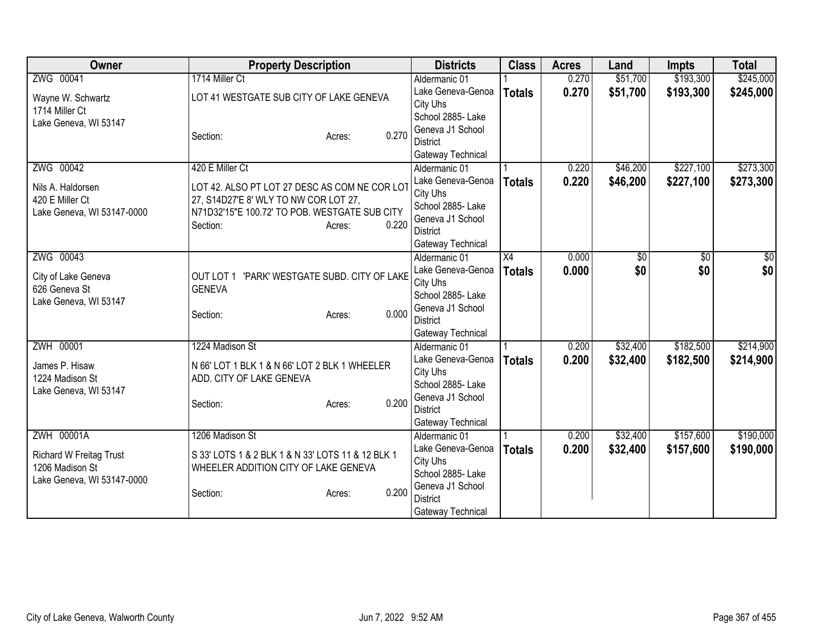| Owner                      | <b>Property Description</b>                       | <b>Districts</b>                   | <b>Class</b>    | <b>Acres</b> | Land     | <b>Impts</b> | <b>Total</b> |
|----------------------------|---------------------------------------------------|------------------------------------|-----------------|--------------|----------|--------------|--------------|
| ZWG 00041                  | 1714 Miller Ct                                    | Aldermanic 01                      |                 | 0.270        | \$51,700 | \$193,300    | \$245,000    |
| Wayne W. Schwartz          | LOT 41 WESTGATE SUB CITY OF LAKE GENEVA           | Lake Geneva-Genoa                  | <b>Totals</b>   | 0.270        | \$51,700 | \$193,300    | \$245,000    |
| 1714 Miller Ct             |                                                   | City Uhs                           |                 |              |          |              |              |
| Lake Geneva, WI 53147      |                                                   | School 2885- Lake                  |                 |              |          |              |              |
|                            | 0.270<br>Section:<br>Acres:                       | Geneva J1 School                   |                 |              |          |              |              |
|                            |                                                   | <b>District</b>                    |                 |              |          |              |              |
| ZWG 00042                  | 420 E Miller Ct                                   | Gateway Technical<br>Aldermanic 01 |                 | 0.220        | \$46,200 | \$227,100    | \$273,300    |
|                            |                                                   | Lake Geneva-Genoa                  | <b>Totals</b>   | 0.220        | \$46,200 | \$227,100    | \$273,300    |
| Nils A. Haldorsen          | LOT 42. ALSO PT LOT 27 DESC AS COM NE COR LOT     | City Uhs                           |                 |              |          |              |              |
| 420 E Miller Ct            | 27, S14D27'E 8' WLY TO NW COR LOT 27,             | School 2885- Lake                  |                 |              |          |              |              |
| Lake Geneva, WI 53147-0000 | N71D32'15"E 100.72' TO POB. WESTGATE SUB CITY     | Geneva J1 School                   |                 |              |          |              |              |
|                            | 0.220<br>Section:<br>Acres:                       | <b>District</b>                    |                 |              |          |              |              |
|                            |                                                   | Gateway Technical                  |                 |              |          |              |              |
| ZWG 00043                  |                                                   | Aldermanic 01                      | $\overline{X4}$ | 0.000        | \$0      | \$0          | \$0          |
| City of Lake Geneva        | OUT LOT 1 'PARK' WESTGATE SUBD. CITY OF LAKE      | Lake Geneva-Genoa                  | <b>Totals</b>   | 0.000        | \$0      | \$0          | \$0          |
| 626 Geneva St              | <b>GENEVA</b>                                     | City Uhs                           |                 |              |          |              |              |
| Lake Geneva, WI 53147      |                                                   | School 2885- Lake                  |                 |              |          |              |              |
|                            | 0.000<br>Section:<br>Acres:                       | Geneva J1 School                   |                 |              |          |              |              |
|                            |                                                   | <b>District</b>                    |                 |              |          |              |              |
|                            | 1224 Madison St                                   | Gateway Technical                  |                 |              |          |              |              |
| ZWH 00001                  |                                                   | Aldermanic 01<br>Lake Geneva-Genoa |                 | 0.200        | \$32,400 | \$182,500    | \$214,900    |
| James P. Hisaw             | N 66' LOT 1 BLK 1 & N 66' LOT 2 BLK 1 WHEELER     | City Uhs                           | <b>Totals</b>   | 0.200        | \$32,400 | \$182,500    | \$214,900    |
| 1224 Madison St            | ADD. CITY OF LAKE GENEVA                          | School 2885- Lake                  |                 |              |          |              |              |
| Lake Geneva, WI 53147      |                                                   | Geneva J1 School                   |                 |              |          |              |              |
|                            | 0.200<br>Section:<br>Acres:                       | <b>District</b>                    |                 |              |          |              |              |
|                            |                                                   | Gateway Technical                  |                 |              |          |              |              |
| ZWH 00001A                 | 1206 Madison St                                   | Aldermanic 01                      |                 | 0.200        | \$32,400 | \$157,600    | \$190,000    |
| Richard W Freitag Trust    | S 33' LOTS 1 & 2 BLK 1 & N 33' LOTS 11 & 12 BLK 1 | Lake Geneva-Genoa                  | <b>Totals</b>   | 0.200        | \$32,400 | \$157,600    | \$190,000    |
| 1206 Madison St            | WHEELER ADDITION CITY OF LAKE GENEVA              | City Uhs                           |                 |              |          |              |              |
| Lake Geneva, WI 53147-0000 |                                                   | School 2885- Lake                  |                 |              |          |              |              |
|                            | 0.200<br>Section:<br>Acres:                       | Geneva J1 School                   |                 |              |          |              |              |
|                            |                                                   | <b>District</b>                    |                 |              |          |              |              |
|                            |                                                   | Gateway Technical                  |                 |              |          |              |              |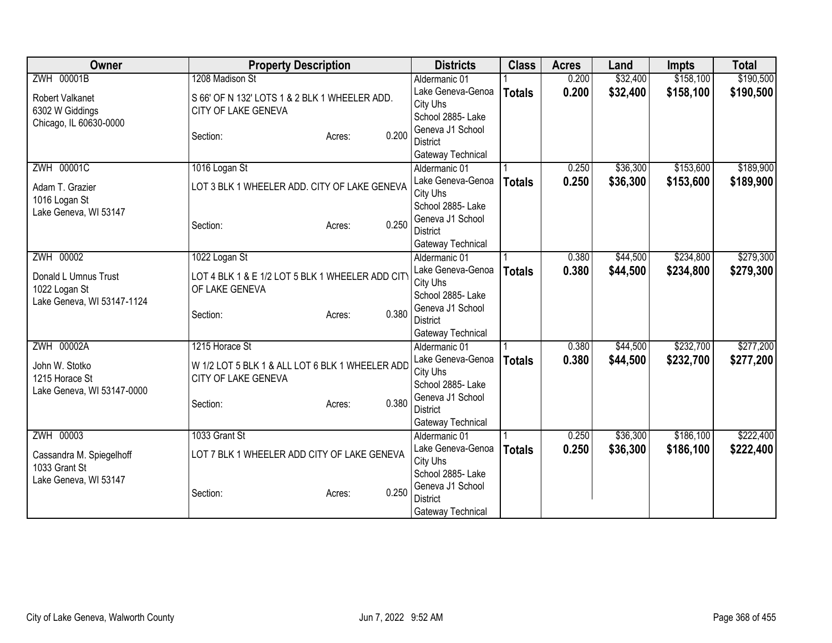| Owner                      | <b>Property Description</b>                     | <b>Districts</b>                    | <b>Class</b>  | <b>Acres</b> | Land     | <b>Impts</b> | <b>Total</b> |
|----------------------------|-------------------------------------------------|-------------------------------------|---------------|--------------|----------|--------------|--------------|
| ZWH 00001B                 | 1208 Madison St                                 | Aldermanic 01                       |               | 0.200        | \$32,400 | \$158,100    | \$190,500    |
| Robert Valkanet            | S 66' OF N 132' LOTS 1 & 2 BLK 1 WHEELER ADD.   | Lake Geneva-Genoa                   | <b>Totals</b> | 0.200        | \$32,400 | \$158,100    | \$190,500    |
| 6302 W Giddings            | CITY OF LAKE GENEVA                             | City Uhs                            |               |              |          |              |              |
| Chicago, IL 60630-0000     |                                                 | School 2885- Lake                   |               |              |          |              |              |
|                            | 0.200<br>Section:<br>Acres:                     | Geneva J1 School                    |               |              |          |              |              |
|                            |                                                 | <b>District</b>                     |               |              |          |              |              |
|                            |                                                 | Gateway Technical                   |               |              |          |              |              |
| <b>ZWH 00001C</b>          | 1016 Logan St                                   | Aldermanic 01                       |               | 0.250        | \$36,300 | \$153,600    | \$189,900    |
| Adam T. Grazier            | LOT 3 BLK 1 WHEELER ADD. CITY OF LAKE GENEVA    | Lake Geneva-Genoa                   | <b>Totals</b> | 0.250        | \$36,300 | \$153,600    | \$189,900    |
| 1016 Logan St              |                                                 | City Uhs                            |               |              |          |              |              |
| Lake Geneva, WI 53147      |                                                 | School 2885- Lake                   |               |              |          |              |              |
|                            | 0.250<br>Section:<br>Acres:                     | Geneva J1 School                    |               |              |          |              |              |
|                            |                                                 | <b>District</b>                     |               |              |          |              |              |
|                            |                                                 | Gateway Technical                   |               |              |          |              |              |
| ZWH 00002                  | 1022 Logan St                                   | Aldermanic 01                       |               | 0.380        | \$44,500 | \$234,800    | \$279,300    |
| Donald L Umnus Trust       | LOT 4 BLK 1 & E 1/2 LOT 5 BLK 1 WHEELER ADD CIT | Lake Geneva-Genoa                   | <b>Totals</b> | 0.380        | \$44,500 | \$234,800    | \$279,300    |
| 1022 Logan St              | OF LAKE GENEVA                                  | City Uhs<br>School 2885- Lake       |               |              |          |              |              |
| Lake Geneva, WI 53147-1124 |                                                 |                                     |               |              |          |              |              |
|                            | 0.380<br>Section:<br>Acres:                     | Geneva J1 School<br><b>District</b> |               |              |          |              |              |
|                            |                                                 | Gateway Technical                   |               |              |          |              |              |
| ZWH 00002A                 | 1215 Horace St                                  | Aldermanic 01                       |               | 0.380        | \$44,500 | \$232,700    | \$277,200    |
|                            |                                                 | Lake Geneva-Genoa                   |               | 0.380        | \$44,500 | \$232,700    | \$277,200    |
| John W. Stotko             | W 1/2 LOT 5 BLK 1 & ALL LOT 6 BLK 1 WHEELER ADD | City Uhs                            | <b>Totals</b> |              |          |              |              |
| 1215 Horace St             | CITY OF LAKE GENEVA                             | School 2885- Lake                   |               |              |          |              |              |
| Lake Geneva, WI 53147-0000 |                                                 | Geneva J1 School                    |               |              |          |              |              |
|                            | 0.380<br>Section:<br>Acres:                     | <b>District</b>                     |               |              |          |              |              |
|                            |                                                 | Gateway Technical                   |               |              |          |              |              |
| ZWH 00003                  | 1033 Grant St                                   | Aldermanic 01                       |               | 0.250        | \$36,300 | \$186,100    | \$222,400    |
|                            |                                                 | Lake Geneva-Genoa                   | <b>Totals</b> | 0.250        | \$36,300 | \$186,100    | \$222,400    |
| Cassandra M. Spiegelhoff   | LOT 7 BLK 1 WHEELER ADD CITY OF LAKE GENEVA     | City Uhs                            |               |              |          |              |              |
| 1033 Grant St              |                                                 | School 2885-Lake                    |               |              |          |              |              |
| Lake Geneva, WI 53147      |                                                 | Geneva J1 School                    |               |              |          |              |              |
|                            | 0.250<br>Section:<br>Acres:                     | <b>District</b>                     |               |              |          |              |              |
|                            |                                                 | Gateway Technical                   |               |              |          |              |              |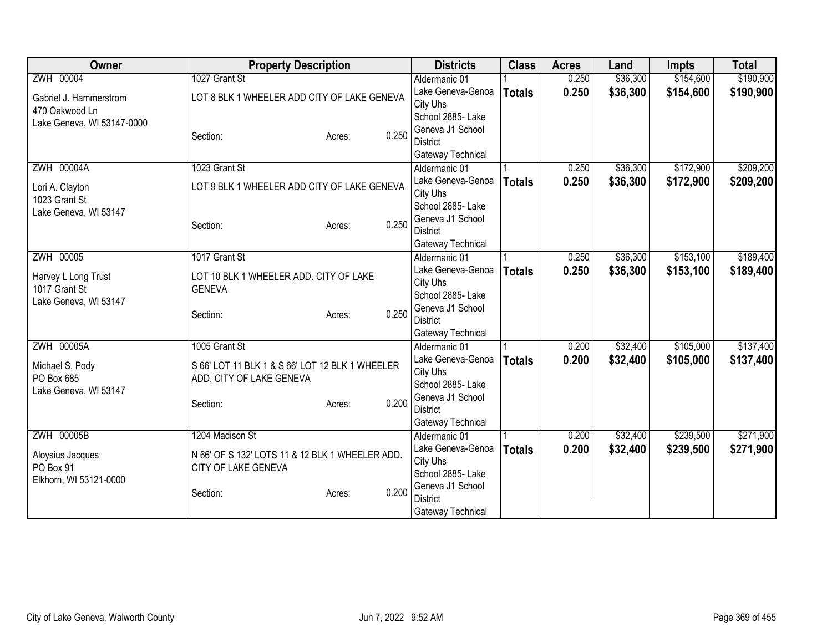| ZWH 00004<br>1027 Grant St<br>\$154,600<br>\$190,900<br>0.250<br>\$36,300<br>Aldermanic 01<br>0.250<br>\$36,300<br>\$154,600<br>Lake Geneva-Genoa<br>\$190,900<br><b>Totals</b><br>LOT 8 BLK 1 WHEELER ADD CITY OF LAKE GENEVA<br>Gabriel J. Hammerstrom<br>City Uhs<br>470 Oakwood Ln<br>School 2885- Lake<br>Lake Geneva, WI 53147-0000<br>Geneva J1 School<br>0.250<br>Section:<br>Acres:<br>District |
|----------------------------------------------------------------------------------------------------------------------------------------------------------------------------------------------------------------------------------------------------------------------------------------------------------------------------------------------------------------------------------------------------------|
|                                                                                                                                                                                                                                                                                                                                                                                                          |
|                                                                                                                                                                                                                                                                                                                                                                                                          |
|                                                                                                                                                                                                                                                                                                                                                                                                          |
|                                                                                                                                                                                                                                                                                                                                                                                                          |
|                                                                                                                                                                                                                                                                                                                                                                                                          |
|                                                                                                                                                                                                                                                                                                                                                                                                          |
| Gateway Technical                                                                                                                                                                                                                                                                                                                                                                                        |
| ZWH 00004A<br>\$36,300<br>\$172,900<br>\$209,200<br>1023 Grant St<br>0.250<br>Aldermanic 01                                                                                                                                                                                                                                                                                                              |
| 0.250<br>Lake Geneva-Genoa<br>\$36,300<br>\$172,900<br>\$209,200<br><b>Totals</b><br>LOT 9 BLK 1 WHEELER ADD CITY OF LAKE GENEVA<br>Lori A. Clayton                                                                                                                                                                                                                                                      |
| City Uhs<br>1023 Grant St<br>School 2885- Lake                                                                                                                                                                                                                                                                                                                                                           |
| Lake Geneva, WI 53147<br>Geneva J1 School                                                                                                                                                                                                                                                                                                                                                                |
| 0.250<br>Section:<br>Acres:<br><b>District</b>                                                                                                                                                                                                                                                                                                                                                           |
| Gateway Technical                                                                                                                                                                                                                                                                                                                                                                                        |
| \$153,100<br>\$189,400<br>ZWH 00005<br>1017 Grant St<br>0.250<br>\$36,300<br>Aldermanic 01                                                                                                                                                                                                                                                                                                               |
| Lake Geneva-Genoa<br>0.250<br>\$36,300<br>\$153,100<br>\$189,400<br><b>Totals</b>                                                                                                                                                                                                                                                                                                                        |
| Harvey L Long Trust<br>LOT 10 BLK 1 WHEELER ADD. CITY OF LAKE<br>City Uhs                                                                                                                                                                                                                                                                                                                                |
| 1017 Grant St<br><b>GENEVA</b><br>School 2885- Lake                                                                                                                                                                                                                                                                                                                                                      |
| Lake Geneva, WI 53147<br>Geneva J1 School                                                                                                                                                                                                                                                                                                                                                                |
| 0.250<br>Section:<br>Acres:<br><b>District</b>                                                                                                                                                                                                                                                                                                                                                           |
| Gateway Technical                                                                                                                                                                                                                                                                                                                                                                                        |
| ZWH 00005A<br>\$105,000<br>\$137,400<br>1005 Grant St<br>\$32,400<br>0.200<br>Aldermanic 01                                                                                                                                                                                                                                                                                                              |
| Lake Geneva-Genoa<br>0.200<br>\$32,400<br>\$105,000<br>\$137,400<br><b>Totals</b><br>Michael S. Pody<br>S 66' LOT 11 BLK 1 & S 66' LOT 12 BLK 1 WHEELER                                                                                                                                                                                                                                                  |
| City Uhs<br>PO Box 685<br>ADD. CITY OF LAKE GENEVA                                                                                                                                                                                                                                                                                                                                                       |
| School 2885- Lake<br>Lake Geneva, WI 53147                                                                                                                                                                                                                                                                                                                                                               |
| Geneva J1 School<br>0.200<br>Section:<br>Acres:                                                                                                                                                                                                                                                                                                                                                          |
| <b>District</b>                                                                                                                                                                                                                                                                                                                                                                                          |
| Gateway Technical                                                                                                                                                                                                                                                                                                                                                                                        |
| <b>ZWH 00005B</b><br>1204 Madison St<br>\$32,400<br>\$239,500<br>\$271,900<br>0.200<br>Aldermanic 01                                                                                                                                                                                                                                                                                                     |
| Lake Geneva-Genoa<br>0.200<br>\$32,400<br>\$239,500<br>\$271,900<br><b>Totals</b><br>N 66' OF S 132' LOTS 11 & 12 BLK 1 WHEELER ADD.<br>Aloysius Jacques                                                                                                                                                                                                                                                 |
| City Uhs<br>PO Box 91<br>CITY OF LAKE GENEVA                                                                                                                                                                                                                                                                                                                                                             |
| School 2885- Lake<br>Elkhorn, WI 53121-0000<br>Geneva J1 School                                                                                                                                                                                                                                                                                                                                          |
| 0.200<br>Section:<br>Acres:<br><b>District</b>                                                                                                                                                                                                                                                                                                                                                           |
| Gateway Technical                                                                                                                                                                                                                                                                                                                                                                                        |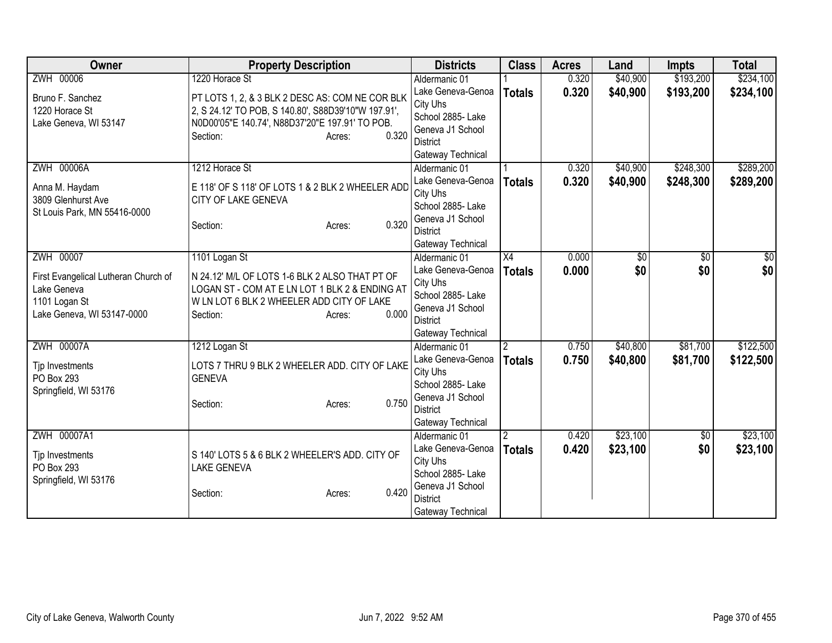| Owner                                | <b>Property Description</b>                         | <b>Districts</b>              | <b>Class</b>   | <b>Acres</b> | Land     | <b>Impts</b> | <b>Total</b> |
|--------------------------------------|-----------------------------------------------------|-------------------------------|----------------|--------------|----------|--------------|--------------|
| ZWH 00006                            | 1220 Horace St                                      | Aldermanic 01                 |                | 0.320        | \$40,900 | \$193,200    | \$234,100    |
| Bruno F. Sanchez                     | PT LOTS 1, 2, & 3 BLK 2 DESC AS: COM NE COR BLK     | Lake Geneva-Genoa             | <b>Totals</b>  | 0.320        | \$40,900 | \$193,200    | \$234,100    |
| 1220 Horace St                       | 2, S 24.12' TO POB, S 140.80', S88D39'10"W 197.91', | City Uhs                      |                |              |          |              |              |
| Lake Geneva, WI 53147                | N0D00'05"E 140.74', N88D37'20"E 197.91' TO POB.     | School 2885- Lake             |                |              |          |              |              |
|                                      | 0.320<br>Section:<br>Acres:                         | Geneva J1 School              |                |              |          |              |              |
|                                      |                                                     | <b>District</b>               |                |              |          |              |              |
|                                      |                                                     | Gateway Technical             |                |              |          |              |              |
| <b>ZWH 00006A</b>                    | 1212 Horace St                                      | Aldermanic 01                 |                | 0.320        | \$40,900 | \$248,300    | \$289,200    |
| Anna M. Haydam                       | E 118' OF S 118' OF LOTS 1 & 2 BLK 2 WHEELER ADD    | Lake Geneva-Genoa             | <b>Totals</b>  | 0.320        | \$40,900 | \$248,300    | \$289,200    |
| 3809 Glenhurst Ave                   | CITY OF LAKE GENEVA                                 | City Uhs                      |                |              |          |              |              |
| St Louis Park, MN 55416-0000         |                                                     | School 2885- Lake             |                |              |          |              |              |
|                                      | 0.320<br>Section:<br>Acres:                         | Geneva J1 School              |                |              |          |              |              |
|                                      |                                                     | <b>District</b>               |                |              |          |              |              |
| ZWH 00007                            |                                                     | Gateway Technical             |                |              |          |              |              |
|                                      | 1101 Logan St                                       | Aldermanic 01                 | X4             | 0.000        | \$0      | \$0          | \$0          |
| First Evangelical Lutheran Church of | N 24.12' M/L OF LOTS 1-6 BLK 2 ALSO THAT PT OF      | Lake Geneva-Genoa             | <b>Totals</b>  | 0.000        | \$0      | \$0          | \$0          |
| Lake Geneva                          | LOGAN ST - COM AT E LN LOT 1 BLK 2 & ENDING AT      | City Uhs<br>School 2885- Lake |                |              |          |              |              |
| 1101 Logan St                        | W LN LOT 6 BLK 2 WHEELER ADD CITY OF LAKE           | Geneva J1 School              |                |              |          |              |              |
| Lake Geneva, WI 53147-0000           | 0.000<br>Section:<br>Acres:                         | <b>District</b>               |                |              |          |              |              |
|                                      |                                                     | Gateway Technical             |                |              |          |              |              |
| ZWH 00007A                           | 1212 Logan St                                       | Aldermanic 01                 | $\overline{2}$ | 0.750        | \$40,800 | \$81,700     | \$122,500    |
|                                      |                                                     | Lake Geneva-Genoa             | <b>Totals</b>  | 0.750        | \$40,800 | \$81,700     | \$122,500    |
| Tjp Investments                      | LOTS 7 THRU 9 BLK 2 WHEELER ADD. CITY OF LAKE       | City Uhs                      |                |              |          |              |              |
| PO Box 293                           | <b>GENEVA</b>                                       | School 2885- Lake             |                |              |          |              |              |
| Springfield, WI 53176                |                                                     | Geneva J1 School              |                |              |          |              |              |
|                                      | 0.750<br>Section:<br>Acres:                         | <b>District</b>               |                |              |          |              |              |
|                                      |                                                     | Gateway Technical             |                |              |          |              |              |
| ZWH 00007A1                          |                                                     | Aldermanic 01                 | $\overline{2}$ | 0.420        | \$23,100 | $\sqrt{6}$   | \$23,100     |
| Tjp Investments                      | S 140' LOTS 5 & 6 BLK 2 WHEELER'S ADD. CITY OF      | Lake Geneva-Genoa             | <b>Totals</b>  | 0.420        | \$23,100 | \$0          | \$23,100     |
| PO Box 293                           | <b>LAKE GENEVA</b>                                  | City Uhs                      |                |              |          |              |              |
| Springfield, WI 53176                |                                                     | School 2885-Lake              |                |              |          |              |              |
|                                      | 0.420<br>Section:<br>Acres:                         | Geneva J1 School              |                |              |          |              |              |
|                                      |                                                     | <b>District</b>               |                |              |          |              |              |
|                                      |                                                     | Gateway Technical             |                |              |          |              |              |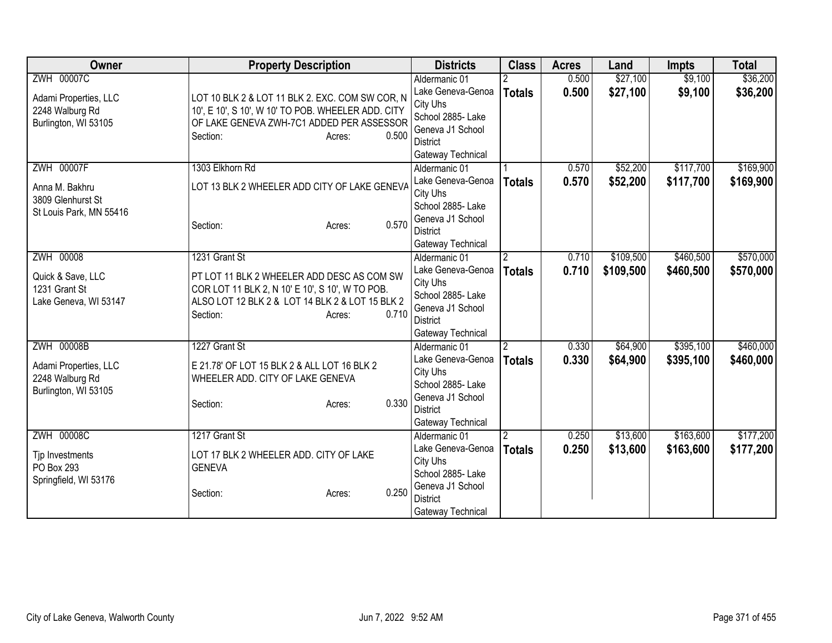| Owner                   | <b>Property Description</b>                        |       | <b>Districts</b>              | <b>Class</b>   | <b>Acres</b> | Land      | <b>Impts</b> | <b>Total</b> |
|-------------------------|----------------------------------------------------|-------|-------------------------------|----------------|--------------|-----------|--------------|--------------|
| <b>ZWH 00007C</b>       |                                                    |       | Aldermanic 01                 |                | 0.500        | \$27,100  | \$9,100      | \$36,200     |
| Adami Properties, LLC   | LOT 10 BLK 2 & LOT 11 BLK 2. EXC. COM SW COR, N    |       | Lake Geneva-Genoa             | <b>Totals</b>  | 0.500        | \$27,100  | \$9,100      | \$36,200     |
| 2248 Walburg Rd         | 10', E 10', S 10', W 10' TO POB. WHEELER ADD. CITY |       | City Uhs                      |                |              |           |              |              |
| Burlington, WI 53105    | OF LAKE GENEVA ZWH-7C1 ADDED PER ASSESSOR          |       | School 2885- Lake             |                |              |           |              |              |
|                         | Section:<br>Acres:                                 | 0.500 | Geneva J1 School              |                |              |           |              |              |
|                         |                                                    |       | District                      |                |              |           |              |              |
|                         |                                                    |       | Gateway Technical             |                |              |           |              |              |
| <b>ZWH 00007F</b>       | 1303 Elkhorn Rd                                    |       | Aldermanic 01                 |                | 0.570        | \$52,200  | \$117,700    | \$169,900    |
| Anna M. Bakhru          | LOT 13 BLK 2 WHEELER ADD CITY OF LAKE GENEVA       |       | Lake Geneva-Genoa             | <b>Totals</b>  | 0.570        | \$52,200  | \$117,700    | \$169,900    |
| 3809 Glenhurst St       |                                                    |       | City Uhs<br>School 2885- Lake |                |              |           |              |              |
| St Louis Park, MN 55416 |                                                    |       | Geneva J1 School              |                |              |           |              |              |
|                         | Section:<br>Acres:                                 | 0.570 | <b>District</b>               |                |              |           |              |              |
|                         |                                                    |       | Gateway Technical             |                |              |           |              |              |
| ZWH 00008               | 1231 Grant St                                      |       | Aldermanic 01                 | $\overline{2}$ | 0.710        | \$109,500 | \$460,500    | \$570,000    |
|                         |                                                    |       | Lake Geneva-Genoa             | <b>Totals</b>  | 0.710        | \$109,500 | \$460,500    | \$570,000    |
| Quick & Save, LLC       | PT LOT 11 BLK 2 WHEELER ADD DESC AS COM SW         |       | City Uhs                      |                |              |           |              |              |
| 1231 Grant St           | COR LOT 11 BLK 2, N 10' E 10', S 10', W TO POB.    |       | School 2885- Lake             |                |              |           |              |              |
| Lake Geneva, WI 53147   | ALSO LOT 12 BLK 2 & LOT 14 BLK 2 & LOT 15 BLK 2    |       | Geneva J1 School              |                |              |           |              |              |
|                         | Section:<br>Acres:                                 | 0.710 | <b>District</b>               |                |              |           |              |              |
|                         |                                                    |       | Gateway Technical             |                |              |           |              |              |
| <b>ZWH 00008B</b>       | 1227 Grant St                                      |       | Aldermanic 01                 | $\overline{2}$ | 0.330        | \$64,900  | \$395,100    | \$460,000    |
| Adami Properties, LLC   | E 21.78' OF LOT 15 BLK 2 & ALL LOT 16 BLK 2        |       | Lake Geneva-Genoa             | <b>Totals</b>  | 0.330        | \$64,900  | \$395,100    | \$460,000    |
| 2248 Walburg Rd         | WHEELER ADD. CITY OF LAKE GENEVA                   |       | City Uhs                      |                |              |           |              |              |
| Burlington, WI 53105    |                                                    |       | School 2885- Lake             |                |              |           |              |              |
|                         | Section:<br>Acres:                                 | 0.330 | Geneva J1 School              |                |              |           |              |              |
|                         |                                                    |       | <b>District</b>               |                |              |           |              |              |
|                         |                                                    |       | Gateway Technical             |                |              |           |              |              |
| <b>ZWH 00008C</b>       | 1217 Grant St                                      |       | Aldermanic 01                 |                | 0.250        | \$13,600  | \$163,600    | \$177,200    |
| Tjp Investments         | LOT 17 BLK 2 WHEELER ADD. CITY OF LAKE             |       | Lake Geneva-Genoa             | <b>Totals</b>  | 0.250        | \$13,600  | \$163,600    | \$177,200    |
| PO Box 293              | <b>GENEVA</b>                                      |       | City Uhs<br>School 2885-Lake  |                |              |           |              |              |
| Springfield, WI 53176   |                                                    |       | Geneva J1 School              |                |              |           |              |              |
|                         | Section:<br>Acres:                                 | 0.250 | <b>District</b>               |                |              |           |              |              |
|                         |                                                    |       | Gateway Technical             |                |              |           |              |              |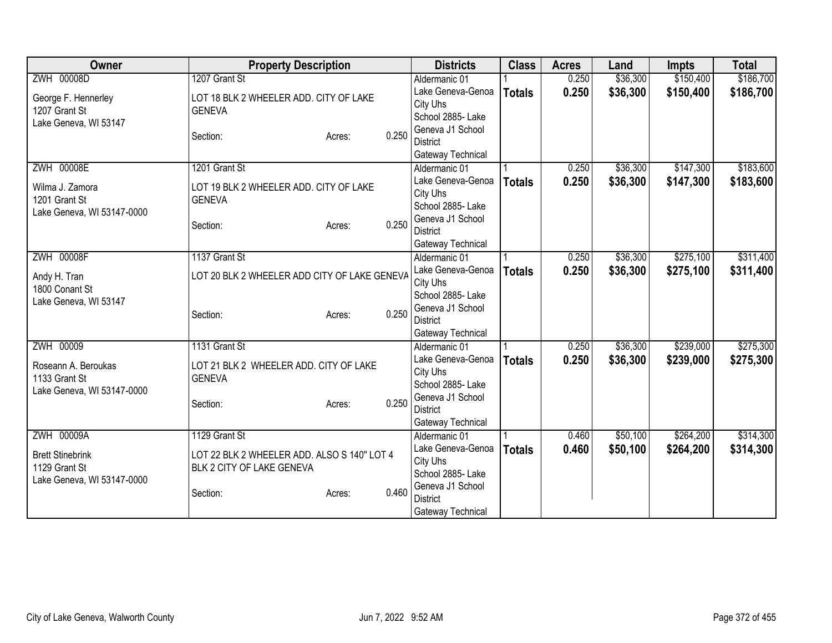| <b>Owner</b>                   | <b>Property Description</b>                  |                 | <b>Districts</b>                   | <b>Class</b>  | <b>Acres</b> | Land     | <b>Impts</b> | <b>Total</b> |
|--------------------------------|----------------------------------------------|-----------------|------------------------------------|---------------|--------------|----------|--------------|--------------|
| ZWH 00008D                     | 1207 Grant St                                |                 | Aldermanic 01                      |               | 0.250        | \$36,300 | \$150,400    | \$186,700    |
| George F. Hennerley            | LOT 18 BLK 2 WHEELER ADD. CITY OF LAKE       |                 | Lake Geneva-Genoa                  | <b>Totals</b> | 0.250        | \$36,300 | \$150,400    | \$186,700    |
| 1207 Grant St                  | <b>GENEVA</b>                                |                 | City Uhs                           |               |              |          |              |              |
| Lake Geneva, WI 53147          |                                              |                 | School 2885- Lake                  |               |              |          |              |              |
|                                | Section:                                     | 0.250<br>Acres: | Geneva J1 School                   |               |              |          |              |              |
|                                |                                              |                 | <b>District</b>                    |               |              |          |              |              |
| ZWH 00008E                     | 1201 Grant St                                |                 | Gateway Technical                  |               | 0.250        | \$36,300 | \$147,300    | \$183,600    |
|                                |                                              |                 | Aldermanic 01<br>Lake Geneva-Genoa |               |              |          |              |              |
| Wilma J. Zamora                | LOT 19 BLK 2 WHEELER ADD. CITY OF LAKE       |                 | City Uhs                           | <b>Totals</b> | 0.250        | \$36,300 | \$147,300    | \$183,600    |
| 1201 Grant St                  | <b>GENEVA</b>                                |                 | School 2885- Lake                  |               |              |          |              |              |
| Lake Geneva, WI 53147-0000     |                                              |                 | Geneva J1 School                   |               |              |          |              |              |
|                                | Section:                                     | 0.250<br>Acres: | <b>District</b>                    |               |              |          |              |              |
|                                |                                              |                 | Gateway Technical                  |               |              |          |              |              |
| <b>ZWH 00008F</b>              | 1137 Grant St                                |                 | Aldermanic 01                      |               | 0.250        | \$36,300 | \$275,100    | \$311,400    |
|                                |                                              |                 | Lake Geneva-Genoa                  | <b>Totals</b> | 0.250        | \$36,300 | \$275,100    | \$311,400    |
| Andy H. Tran<br>1800 Conant St | LOT 20 BLK 2 WHEELER ADD CITY OF LAKE GENEVA |                 | City Uhs                           |               |              |          |              |              |
| Lake Geneva, WI 53147          |                                              |                 | School 2885- Lake                  |               |              |          |              |              |
|                                | Section:                                     | 0.250<br>Acres: | Geneva J1 School                   |               |              |          |              |              |
|                                |                                              |                 | <b>District</b>                    |               |              |          |              |              |
|                                |                                              |                 | Gateway Technical                  |               |              |          |              |              |
| ZWH 00009                      | 1131 Grant St                                |                 | Aldermanic 01                      |               | 0.250        | \$36,300 | \$239,000    | \$275,300    |
| Roseann A. Beroukas            | LOT 21 BLK 2 WHEELER ADD. CITY OF LAKE       |                 | Lake Geneva-Genoa                  | <b>Totals</b> | 0.250        | \$36,300 | \$239,000    | \$275,300    |
| 1133 Grant St                  | <b>GENEVA</b>                                |                 | City Uhs<br>School 2885- Lake      |               |              |          |              |              |
| Lake Geneva, WI 53147-0000     |                                              |                 | Geneva J1 School                   |               |              |          |              |              |
|                                | Section:                                     | 0.250<br>Acres: | <b>District</b>                    |               |              |          |              |              |
|                                |                                              |                 | Gateway Technical                  |               |              |          |              |              |
| <b>ZWH 00009A</b>              | 1129 Grant St                                |                 | Aldermanic 01                      |               | 0.460        | \$50,100 | \$264,200    | \$314,300    |
|                                |                                              |                 | Lake Geneva-Genoa                  | <b>Totals</b> | 0.460        | \$50,100 | \$264,200    | \$314,300    |
| <b>Brett Stinebrink</b>        | LOT 22 BLK 2 WHEELER ADD. ALSO S 140" LOT 4  |                 | City Uhs                           |               |              |          |              |              |
| 1129 Grant St                  | BLK 2 CITY OF LAKE GENEVA                    |                 | School 2885- Lake                  |               |              |          |              |              |
| Lake Geneva, WI 53147-0000     |                                              | 0.460           | Geneva J1 School                   |               |              |          |              |              |
|                                | Section:                                     | Acres:          | <b>District</b>                    |               |              |          |              |              |
|                                |                                              |                 | Gateway Technical                  |               |              |          |              |              |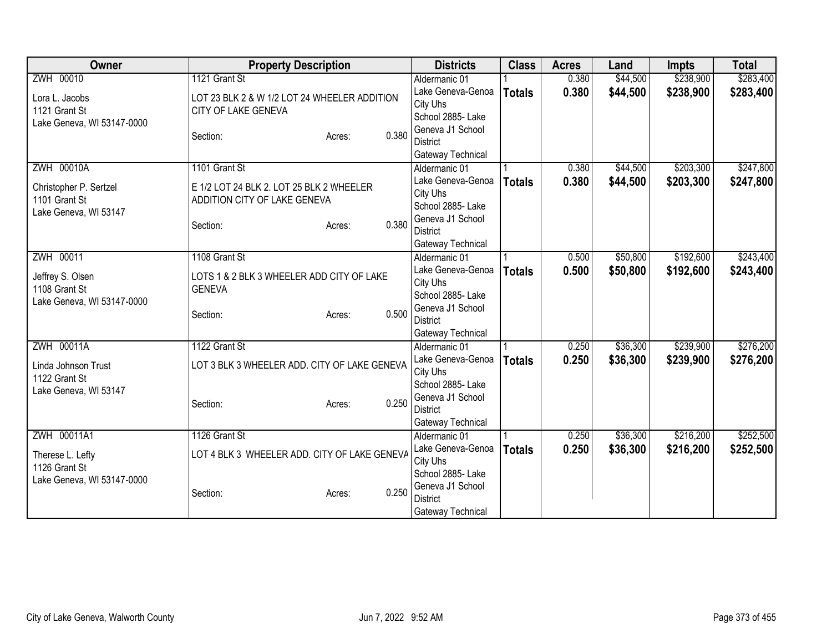| Owner                      | <b>Property Description</b>                  |       | <b>Districts</b>                    | <b>Class</b>  | <b>Acres</b> | Land     | <b>Impts</b> | <b>Total</b> |
|----------------------------|----------------------------------------------|-------|-------------------------------------|---------------|--------------|----------|--------------|--------------|
| ZWH 00010                  | 1121 Grant St                                |       | Aldermanic 01                       |               | 0.380        | \$44,500 | \$238,900    | \$283,400    |
| Lora L. Jacobs             | LOT 23 BLK 2 & W 1/2 LOT 24 WHEELER ADDITION |       | Lake Geneva-Genoa                   | <b>Totals</b> | 0.380        | \$44,500 | \$238,900    | \$283,400    |
| 1121 Grant St              | CITY OF LAKE GENEVA                          |       | City Uhs                            |               |              |          |              |              |
| Lake Geneva, WI 53147-0000 |                                              |       | School 2885- Lake                   |               |              |          |              |              |
|                            | Section:<br>Acres:                           | 0.380 | Geneva J1 School                    |               |              |          |              |              |
|                            |                                              |       | <b>District</b>                     |               |              |          |              |              |
|                            |                                              |       | Gateway Technical                   |               |              |          |              |              |
| <b>ZWH 00010A</b>          | 1101 Grant St                                |       | Aldermanic 01                       |               | 0.380        | \$44,500 | \$203,300    | \$247,800    |
| Christopher P. Sertzel     | E 1/2 LOT 24 BLK 2. LOT 25 BLK 2 WHEELER     |       | Lake Geneva-Genoa                   | <b>Totals</b> | 0.380        | \$44,500 | \$203,300    | \$247,800    |
| 1101 Grant St              | ADDITION CITY OF LAKE GENEVA                 |       | City Uhs                            |               |              |          |              |              |
| Lake Geneva, WI 53147      |                                              |       | School 2885- Lake                   |               |              |          |              |              |
|                            | Section:<br>Acres:                           | 0.380 | Geneva J1 School<br><b>District</b> |               |              |          |              |              |
|                            |                                              |       |                                     |               |              |          |              |              |
| ZWH 00011                  | 1108 Grant St                                |       | Gateway Technical<br>Aldermanic 01  |               | 0.500        | \$50,800 | \$192,600    | \$243,400    |
|                            |                                              |       | Lake Geneva-Genoa                   |               | 0.500        | \$50,800 | \$192,600    | \$243,400    |
| Jeffrey S. Olsen           | LOTS 1 & 2 BLK 3 WHEELER ADD CITY OF LAKE    |       | City Uhs                            | <b>Totals</b> |              |          |              |              |
| 1108 Grant St              | <b>GENEVA</b>                                |       | School 2885- Lake                   |               |              |          |              |              |
| Lake Geneva, WI 53147-0000 |                                              |       | Geneva J1 School                    |               |              |          |              |              |
|                            | Section:<br>Acres:                           | 0.500 | <b>District</b>                     |               |              |          |              |              |
|                            |                                              |       | Gateway Technical                   |               |              |          |              |              |
| ZWH 00011A                 | 1122 Grant St                                |       | Aldermanic 01                       |               | 0.250        | \$36,300 | \$239,900    | \$276,200    |
| Linda Johnson Trust        | LOT 3 BLK 3 WHEELER ADD. CITY OF LAKE GENEVA |       | Lake Geneva-Genoa                   | <b>Totals</b> | 0.250        | \$36,300 | \$239,900    | \$276,200    |
| 1122 Grant St              |                                              |       | City Uhs                            |               |              |          |              |              |
| Lake Geneva, WI 53147      |                                              |       | School 2885- Lake                   |               |              |          |              |              |
|                            | Section:<br>Acres:                           | 0.250 | Geneva J1 School                    |               |              |          |              |              |
|                            |                                              |       | <b>District</b>                     |               |              |          |              |              |
|                            |                                              |       | Gateway Technical                   |               |              |          |              |              |
| ZWH 00011A1                | 1126 Grant St                                |       | Aldermanic 01                       |               | 0.250        | \$36,300 | \$216,200    | \$252,500    |
| Therese L. Lefty           | LOT 4 BLK 3 WHEELER ADD. CITY OF LAKE GENEVA |       | Lake Geneva-Genoa                   | <b>Totals</b> | 0.250        | \$36,300 | \$216,200    | \$252,500    |
| 1126 Grant St              |                                              |       | City Uhs                            |               |              |          |              |              |
| Lake Geneva, WI 53147-0000 |                                              |       | School 2885- Lake                   |               |              |          |              |              |
|                            | Section:<br>Acres:                           | 0.250 | Geneva J1 School                    |               |              |          |              |              |
|                            |                                              |       | <b>District</b>                     |               |              |          |              |              |
|                            |                                              |       | Gateway Technical                   |               |              |          |              |              |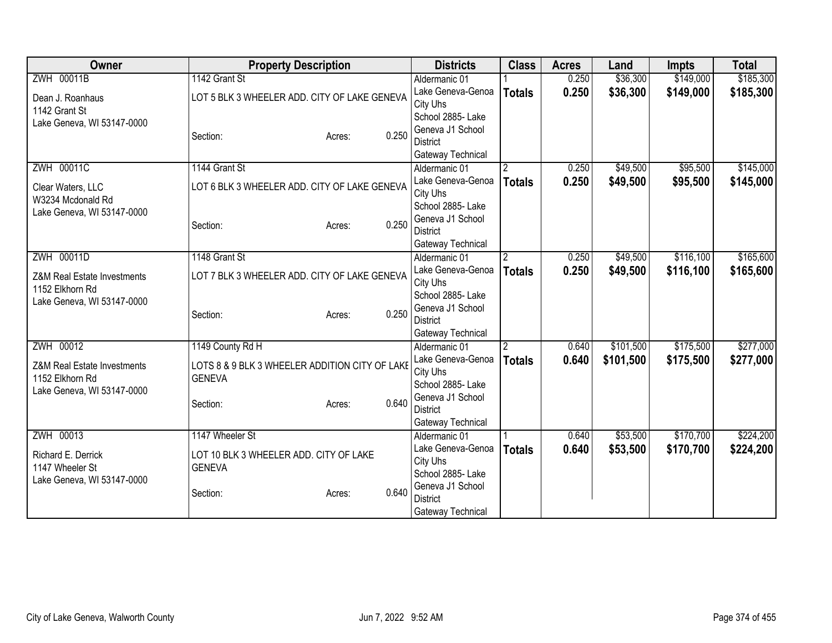| Owner                       | <b>Property Description</b>                    | <b>Districts</b>                    | <b>Class</b>   | <b>Acres</b> | Land      | <b>Impts</b> | <b>Total</b> |
|-----------------------------|------------------------------------------------|-------------------------------------|----------------|--------------|-----------|--------------|--------------|
| ZWH 00011B                  | 1142 Grant St                                  | Aldermanic 01                       |                | 0.250        | \$36,300  | \$149,000    | \$185,300    |
| Dean J. Roanhaus            | LOT 5 BLK 3 WHEELER ADD. CITY OF LAKE GENEVA   | Lake Geneva-Genoa                   | <b>Totals</b>  | 0.250        | \$36,300  | \$149,000    | \$185,300    |
| 1142 Grant St               |                                                | City Uhs                            |                |              |           |              |              |
| Lake Geneva, WI 53147-0000  |                                                | School 2885- Lake                   |                |              |           |              |              |
|                             | 0.250<br>Section:<br>Acres:                    | Geneva J1 School                    |                |              |           |              |              |
|                             |                                                | <b>District</b>                     |                |              |           |              |              |
|                             | 1144 Grant St                                  | Gateway Technical                   |                |              |           |              |              |
| <b>ZWH 00011C</b>           |                                                | Aldermanic 01<br>Lake Geneva-Genoa  | $\overline{2}$ | 0.250        | \$49,500  | \$95,500     | \$145,000    |
| Clear Waters, LLC           | LOT 6 BLK 3 WHEELER ADD. CITY OF LAKE GENEVA   | City Uhs                            | <b>Totals</b>  | 0.250        | \$49,500  | \$95,500     | \$145,000    |
| W3234 Mcdonald Rd           |                                                | School 2885- Lake                   |                |              |           |              |              |
| Lake Geneva, WI 53147-0000  |                                                | Geneva J1 School                    |                |              |           |              |              |
|                             | 0.250<br>Section:<br>Acres:                    | <b>District</b>                     |                |              |           |              |              |
|                             |                                                | Gateway Technical                   |                |              |           |              |              |
| ZWH 00011D                  | 1148 Grant St                                  | Aldermanic 01                       | 2              | 0.250        | \$49,500  | \$116,100    | \$165,600    |
|                             |                                                | Lake Geneva-Genoa                   | <b>Totals</b>  | 0.250        | \$49,500  | \$116,100    | \$165,600    |
| Z&M Real Estate Investments | LOT 7 BLK 3 WHEELER ADD. CITY OF LAKE GENEVA   | City Uhs                            |                |              |           |              |              |
| 1152 Elkhorn Rd             |                                                | School 2885- Lake                   |                |              |           |              |              |
| Lake Geneva, WI 53147-0000  | 0.250<br>Section:<br>Acres:                    | Geneva J1 School                    |                |              |           |              |              |
|                             |                                                | <b>District</b>                     |                |              |           |              |              |
|                             |                                                | Gateway Technical                   |                |              |           |              |              |
| ZWH 00012                   | 1149 County Rd H                               | Aldermanic 01                       | $\overline{2}$ | 0.640        | \$101,500 | \$175,500    | \$277,000    |
| Z&M Real Estate Investments | LOTS 8 & 9 BLK 3 WHEELER ADDITION CITY OF LAKE | Lake Geneva-Genoa                   | <b>Totals</b>  | 0.640        | \$101,500 | \$175,500    | \$277,000    |
| 1152 Elkhorn Rd             | <b>GENEVA</b>                                  | City Uhs                            |                |              |           |              |              |
| Lake Geneva, WI 53147-0000  |                                                | School 2885- Lake                   |                |              |           |              |              |
|                             | 0.640<br>Section:<br>Acres:                    | Geneva J1 School<br><b>District</b> |                |              |           |              |              |
|                             |                                                | Gateway Technical                   |                |              |           |              |              |
| ZWH 00013                   | 1147 Wheeler St                                | Aldermanic 01                       |                | 0.640        | \$53,500  | \$170,700    | \$224,200    |
|                             |                                                | Lake Geneva-Genoa                   | <b>Totals</b>  | 0.640        | \$53,500  | \$170,700    | \$224,200    |
| Richard E. Derrick          | LOT 10 BLK 3 WHEELER ADD. CITY OF LAKE         | City Uhs                            |                |              |           |              |              |
| 1147 Wheeler St             | <b>GENEVA</b>                                  | School 2885- Lake                   |                |              |           |              |              |
| Lake Geneva, WI 53147-0000  |                                                | Geneva J1 School                    |                |              |           |              |              |
|                             | 0.640<br>Section:<br>Acres:                    | <b>District</b>                     |                |              |           |              |              |
|                             |                                                | Gateway Technical                   |                |              |           |              |              |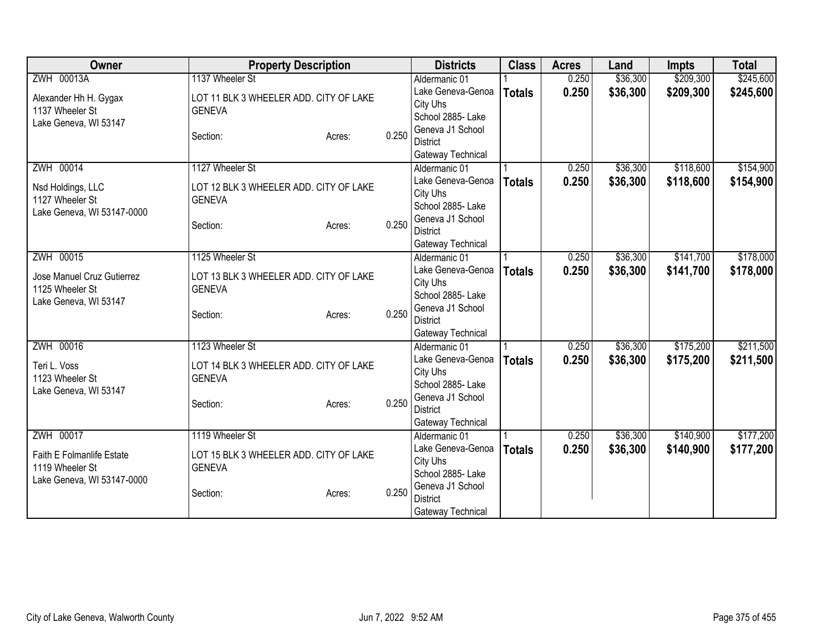| Owner                      | <b>Property Description</b>            |        |       | <b>Districts</b>                      | <b>Class</b>  | <b>Acres</b> | Land     | <b>Impts</b> | <b>Total</b> |
|----------------------------|----------------------------------------|--------|-------|---------------------------------------|---------------|--------------|----------|--------------|--------------|
| ZWH 00013A                 | 1137 Wheeler St                        |        |       | Aldermanic 01                         |               | 0.250        | \$36,300 | \$209,300    | \$245,600    |
| Alexander Hh H. Gygax      | LOT 11 BLK 3 WHEELER ADD. CITY OF LAKE |        |       | Lake Geneva-Genoa                     | <b>Totals</b> | 0.250        | \$36,300 | \$209,300    | \$245,600    |
| 1137 Wheeler St            | <b>GENEVA</b>                          |        |       | City Uhs                              |               |              |          |              |              |
| Lake Geneva, WI 53147      |                                        |        |       | School 2885- Lake                     |               |              |          |              |              |
|                            | Section:                               | Acres: | 0.250 | Geneva J1 School                      |               |              |          |              |              |
|                            |                                        |        |       | <b>District</b>                       |               |              |          |              |              |
|                            |                                        |        |       | Gateway Technical                     |               |              |          |              |              |
| ZWH 00014                  | 1127 Wheeler St                        |        |       | Aldermanic 01                         |               | 0.250        | \$36,300 | \$118,600    | \$154,900    |
| Nsd Holdings, LLC          | LOT 12 BLK 3 WHEELER ADD. CITY OF LAKE |        |       | Lake Geneva-Genoa                     | <b>Totals</b> | 0.250        | \$36,300 | \$118,600    | \$154,900    |
| 1127 Wheeler St            | <b>GENEVA</b>                          |        |       | City Uhs                              |               |              |          |              |              |
| Lake Geneva, WI 53147-0000 |                                        |        |       | School 2885- Lake<br>Geneva J1 School |               |              |          |              |              |
|                            | Section:                               | Acres: | 0.250 | <b>District</b>                       |               |              |          |              |              |
|                            |                                        |        |       | Gateway Technical                     |               |              |          |              |              |
| ZWH 00015                  | 1125 Wheeler St                        |        |       | Aldermanic 01                         |               | 0.250        | \$36,300 | \$141,700    | \$178,000    |
|                            |                                        |        |       | Lake Geneva-Genoa                     | <b>Totals</b> | 0.250        | \$36,300 | \$141,700    | \$178,000    |
| Jose Manuel Cruz Gutierrez | LOT 13 BLK 3 WHEELER ADD. CITY OF LAKE |        |       | City Uhs                              |               |              |          |              |              |
| 1125 Wheeler St            | <b>GENEVA</b>                          |        |       | School 2885- Lake                     |               |              |          |              |              |
| Lake Geneva, WI 53147      |                                        |        |       | Geneva J1 School                      |               |              |          |              |              |
|                            | Section:                               | Acres: | 0.250 | <b>District</b>                       |               |              |          |              |              |
|                            |                                        |        |       | Gateway Technical                     |               |              |          |              |              |
| ZWH 00016                  | 1123 Wheeler St                        |        |       | Aldermanic 01                         |               | 0.250        | \$36,300 | \$175,200    | \$211,500    |
| Teri L. Voss               | LOT 14 BLK 3 WHEELER ADD. CITY OF LAKE |        |       | Lake Geneva-Genoa                     | <b>Totals</b> | 0.250        | \$36,300 | \$175,200    | \$211,500    |
| 1123 Wheeler St            | <b>GENEVA</b>                          |        |       | City Uhs                              |               |              |          |              |              |
| Lake Geneva, WI 53147      |                                        |        |       | School 2885- Lake                     |               |              |          |              |              |
|                            | Section:                               | Acres: | 0.250 | Geneva J1 School                      |               |              |          |              |              |
|                            |                                        |        |       | <b>District</b>                       |               |              |          |              |              |
|                            |                                        |        |       | Gateway Technical                     |               |              |          |              |              |
| ZWH 00017                  | 1119 Wheeler St                        |        |       | Aldermanic 01                         |               | 0.250        | \$36,300 | \$140,900    | \$177,200    |
| Faith E Folmanlife Estate  | LOT 15 BLK 3 WHEELER ADD. CITY OF LAKE |        |       | Lake Geneva-Genoa                     | <b>Totals</b> | 0.250        | \$36,300 | \$140,900    | \$177,200    |
| 1119 Wheeler St            | <b>GENEVA</b>                          |        |       | City Uhs                              |               |              |          |              |              |
| Lake Geneva, WI 53147-0000 |                                        |        |       | School 2885-Lake                      |               |              |          |              |              |
|                            | Section:                               | Acres: | 0.250 | Geneva J1 School                      |               |              |          |              |              |
|                            |                                        |        |       | <b>District</b>                       |               |              |          |              |              |
|                            |                                        |        |       | Gateway Technical                     |               |              |          |              |              |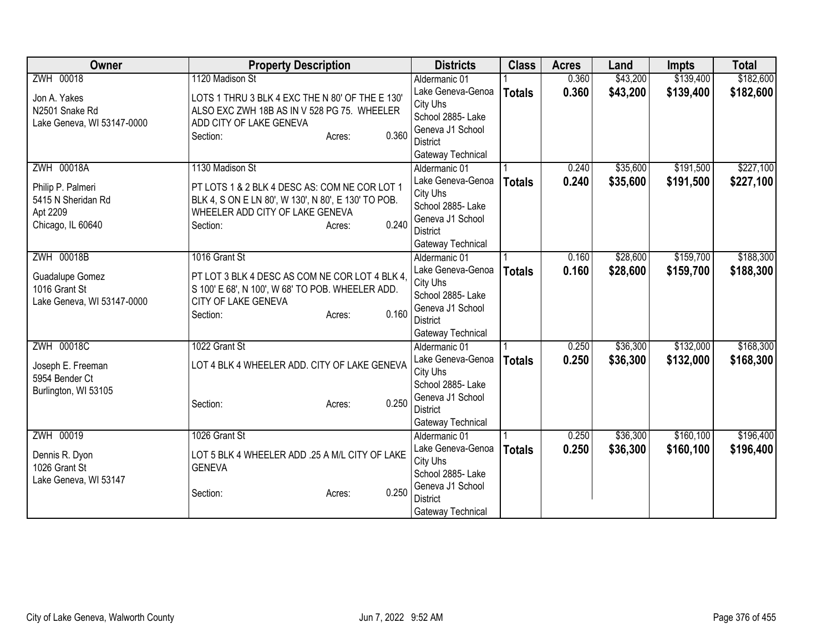| Owner                               | <b>Property Description</b>                         | <b>Districts</b>                   | <b>Class</b>  | <b>Acres</b> | Land     | <b>Impts</b> | <b>Total</b> |
|-------------------------------------|-----------------------------------------------------|------------------------------------|---------------|--------------|----------|--------------|--------------|
| ZWH 00018                           | 1120 Madison St                                     | Aldermanic 01                      |               | 0.360        | \$43,200 | \$139,400    | \$182,600    |
| Jon A. Yakes                        | LOTS 1 THRU 3 BLK 4 EXC THE N 80' OF THE E 130'     | Lake Geneva-Genoa                  | <b>Totals</b> | 0.360        | \$43,200 | \$139,400    | \$182,600    |
| N2501 Snake Rd                      | ALSO EXC ZWH 18B AS IN V 528 PG 75. WHEELER         | City Uhs                           |               |              |          |              |              |
| Lake Geneva, WI 53147-0000          | ADD CITY OF LAKE GENEVA                             | School 2885- Lake                  |               |              |          |              |              |
|                                     | 0.360<br>Section:<br>Acres:                         | Geneva J1 School                   |               |              |          |              |              |
|                                     |                                                     | <b>District</b>                    |               |              |          |              |              |
|                                     |                                                     | Gateway Technical                  |               |              |          |              |              |
| <b>ZWH 00018A</b>                   | 1130 Madison St                                     | Aldermanic 01                      |               | 0.240        | \$35,600 | \$191,500    | \$227,100    |
| Philip P. Palmeri                   | PT LOTS 1 & 2 BLK 4 DESC AS: COM NE COR LOT 1       | Lake Geneva-Genoa                  | <b>Totals</b> | 0.240        | \$35,600 | \$191,500    | \$227,100    |
| 5415 N Sheridan Rd                  | BLK 4, S ON E LN 80', W 130', N 80', E 130' TO POB. | City Uhs                           |               |              |          |              |              |
| Apt 2209                            | WHEELER ADD CITY OF LAKE GENEVA                     | School 2885- Lake                  |               |              |          |              |              |
| Chicago, IL 60640                   | 0.240<br>Section:<br>Acres:                         | Geneva J1 School                   |               |              |          |              |              |
|                                     |                                                     | <b>District</b>                    |               |              |          |              |              |
| ZWH 00018B                          | 1016 Grant St                                       | Gateway Technical<br>Aldermanic 01 |               | 0.160        | \$28,600 | \$159,700    | \$188,300    |
|                                     |                                                     | Lake Geneva-Genoa                  |               | 0.160        |          |              |              |
| Guadalupe Gomez                     | PT LOT 3 BLK 4 DESC AS COM NE COR LOT 4 BLK 4,      | City Uhs                           | <b>Totals</b> |              | \$28,600 | \$159,700    | \$188,300    |
| 1016 Grant St                       | S 100' E 68', N 100', W 68' TO POB. WHEELER ADD.    | School 2885- Lake                  |               |              |          |              |              |
| Lake Geneva, WI 53147-0000          | CITY OF LAKE GENEVA                                 | Geneva J1 School                   |               |              |          |              |              |
|                                     | 0.160<br>Section:<br>Acres:                         | <b>District</b>                    |               |              |          |              |              |
|                                     |                                                     | Gateway Technical                  |               |              |          |              |              |
| ZWH 00018C                          | 1022 Grant St                                       | Aldermanic 01                      |               | 0.250        | \$36,300 | \$132,000    | \$168,300    |
|                                     | LOT 4 BLK 4 WHEELER ADD. CITY OF LAKE GENEVA        | Lake Geneva-Genoa                  | <b>Totals</b> | 0.250        | \$36,300 | \$132,000    | \$168,300    |
| Joseph E. Freeman<br>5954 Bender Ct |                                                     | City Uhs                           |               |              |          |              |              |
| Burlington, WI 53105                |                                                     | School 2885- Lake                  |               |              |          |              |              |
|                                     | 0.250<br>Section:<br>Acres:                         | Geneva J1 School                   |               |              |          |              |              |
|                                     |                                                     | <b>District</b>                    |               |              |          |              |              |
|                                     |                                                     | Gateway Technical                  |               |              |          |              |              |
| ZWH 00019                           | 1026 Grant St                                       | Aldermanic 01                      |               | 0.250        | \$36,300 | \$160, 100   | \$196,400    |
| Dennis R. Dyon                      | LOT 5 BLK 4 WHEELER ADD .25 A M/L CITY OF LAKE      | Lake Geneva-Genoa                  | <b>Totals</b> | 0.250        | \$36,300 | \$160,100    | \$196,400    |
| 1026 Grant St                       | <b>GENEVA</b>                                       | City Uhs                           |               |              |          |              |              |
| Lake Geneva, WI 53147               |                                                     | School 2885- Lake                  |               |              |          |              |              |
|                                     | 0.250<br>Section:<br>Acres:                         | Geneva J1 School                   |               |              |          |              |              |
|                                     |                                                     | <b>District</b>                    |               |              |          |              |              |
|                                     |                                                     | Gateway Technical                  |               |              |          |              |              |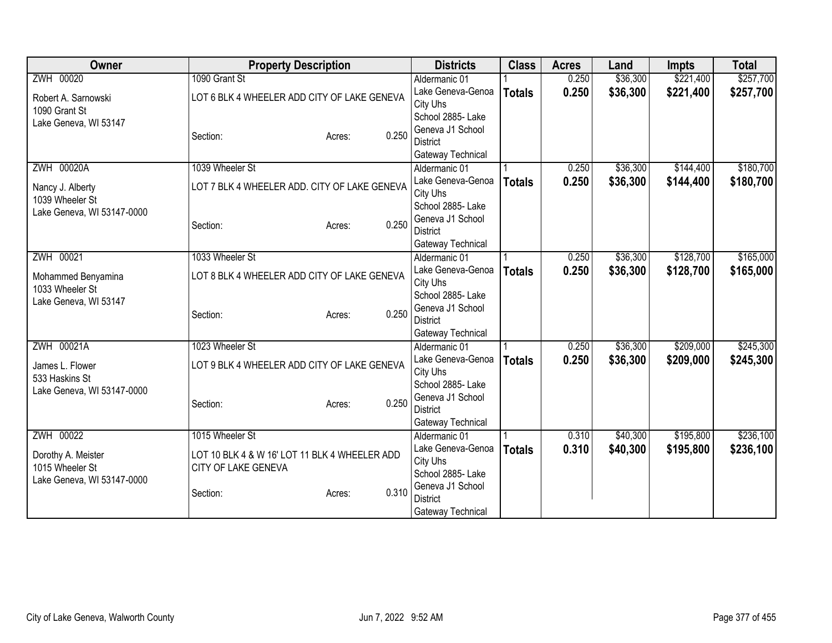| Owner                      | <b>Property Description</b>                   | <b>Districts</b>              | <b>Class</b>  | <b>Acres</b> | Land     | <b>Impts</b> | <b>Total</b> |
|----------------------------|-----------------------------------------------|-------------------------------|---------------|--------------|----------|--------------|--------------|
| ZWH 00020                  | 1090 Grant St                                 | Aldermanic 01                 |               | 0.250        | \$36,300 | \$221,400    | \$257,700    |
| Robert A. Sarnowski        | LOT 6 BLK 4 WHEELER ADD CITY OF LAKE GENEVA   | Lake Geneva-Genoa             | <b>Totals</b> | 0.250        | \$36,300 | \$221,400    | \$257,700    |
| 1090 Grant St              |                                               | City Uhs                      |               |              |          |              |              |
| Lake Geneva, WI 53147      |                                               | School 2885-Lake              |               |              |          |              |              |
|                            | 0.250<br>Section:<br>Acres:                   | Geneva J1 School              |               |              |          |              |              |
|                            |                                               | <b>District</b>               |               |              |          |              |              |
|                            |                                               | Gateway Technical             |               |              |          |              |              |
| ZWH 00020A                 | 1039 Wheeler St                               | Aldermanic 01                 |               | 0.250        | \$36,300 | \$144,400    | \$180,700    |
| Nancy J. Alberty           | LOT 7 BLK 4 WHEELER ADD. CITY OF LAKE GENEVA  | Lake Geneva-Genoa             | <b>Totals</b> | 0.250        | \$36,300 | \$144,400    | \$180,700    |
| 1039 Wheeler St            |                                               | City Uhs<br>School 2885- Lake |               |              |          |              |              |
| Lake Geneva, WI 53147-0000 |                                               | Geneva J1 School              |               |              |          |              |              |
|                            | 0.250<br>Section:<br>Acres:                   | <b>District</b>               |               |              |          |              |              |
|                            |                                               | Gateway Technical             |               |              |          |              |              |
| ZWH 00021                  | 1033 Wheeler St                               | Aldermanic 01                 |               | 0.250        | \$36,300 | \$128,700    | \$165,000    |
|                            |                                               | Lake Geneva-Genoa             | <b>Totals</b> | 0.250        | \$36,300 | \$128,700    | \$165,000    |
| Mohammed Benyamina         | LOT 8 BLK 4 WHEELER ADD CITY OF LAKE GENEVA   | City Uhs                      |               |              |          |              |              |
| 1033 Wheeler St            |                                               | School 2885- Lake             |               |              |          |              |              |
| Lake Geneva, WI 53147      |                                               | Geneva J1 School              |               |              |          |              |              |
|                            | 0.250<br>Section:<br>Acres:                   | <b>District</b>               |               |              |          |              |              |
|                            |                                               | Gateway Technical             |               |              |          |              |              |
| ZWH 00021A                 | 1023 Wheeler St                               | Aldermanic 01                 |               | 0.250        | \$36,300 | \$209,000    | \$245,300    |
| James L. Flower            | LOT 9 BLK 4 WHEELER ADD CITY OF LAKE GENEVA   | Lake Geneva-Genoa             | <b>Totals</b> | 0.250        | \$36,300 | \$209,000    | \$245,300    |
| 533 Haskins St             |                                               | City Uhs                      |               |              |          |              |              |
| Lake Geneva, WI 53147-0000 |                                               | School 2885- Lake             |               |              |          |              |              |
|                            | 0.250<br>Section:<br>Acres:                   | Geneva J1 School              |               |              |          |              |              |
|                            |                                               | <b>District</b>               |               |              |          |              |              |
|                            |                                               | Gateway Technical             |               |              |          |              |              |
| ZWH 00022                  | 1015 Wheeler St                               | Aldermanic 01                 |               | 0.310        | \$40,300 | \$195,800    | \$236,100    |
| Dorothy A. Meister         | LOT 10 BLK 4 & W 16' LOT 11 BLK 4 WHEELER ADD | Lake Geneva-Genoa             | <b>Totals</b> | 0.310        | \$40,300 | \$195,800    | \$236,100    |
| 1015 Wheeler St            | CITY OF LAKE GENEVA                           | City Uhs                      |               |              |          |              |              |
| Lake Geneva, WI 53147-0000 |                                               | School 2885- Lake             |               |              |          |              |              |
|                            | 0.310<br>Section:<br>Acres:                   | Geneva J1 School              |               |              |          |              |              |
|                            |                                               | <b>District</b>               |               |              |          |              |              |
|                            |                                               | Gateway Technical             |               |              |          |              |              |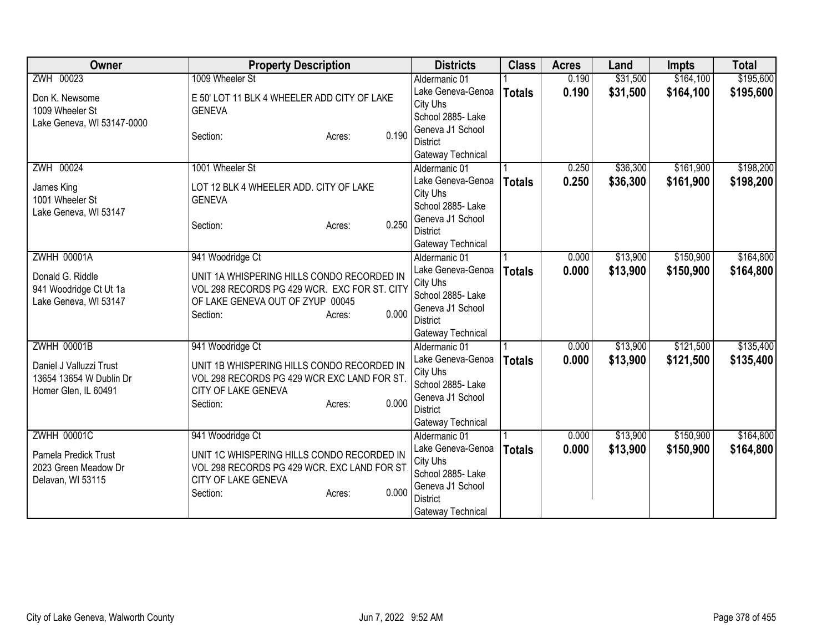| Owner                                                                      | <b>Property Description</b>                                                                                                                                   | <b>Districts</b>                                                                                               | <b>Class</b>  | <b>Acres</b> | Land     | <b>Impts</b> | <b>Total</b> |
|----------------------------------------------------------------------------|---------------------------------------------------------------------------------------------------------------------------------------------------------------|----------------------------------------------------------------------------------------------------------------|---------------|--------------|----------|--------------|--------------|
| ZWH 00023                                                                  | 1009 Wheeler St                                                                                                                                               | Aldermanic 01                                                                                                  |               | 0.190        | \$31,500 | \$164,100    | \$195,600    |
| Don K. Newsome<br>1009 Wheeler St                                          | E 50' LOT 11 BLK 4 WHEELER ADD CITY OF LAKE<br><b>GENEVA</b>                                                                                                  | Lake Geneva-Genoa<br>City Uhs<br>School 2885- Lake                                                             | <b>Totals</b> | 0.190        | \$31,500 | \$164,100    | \$195,600    |
| Lake Geneva, WI 53147-0000                                                 | 0.190<br>Section:<br>Acres:                                                                                                                                   | Geneva J1 School<br><b>District</b><br>Gateway Technical                                                       |               |              |          |              |              |
| ZWH 00024                                                                  | 1001 Wheeler St                                                                                                                                               | Aldermanic 01                                                                                                  |               | 0.250        | \$36,300 | \$161,900    | \$198,200    |
| James King<br>1001 Wheeler St<br>Lake Geneva, WI 53147                     | LOT 12 BLK 4 WHEELER ADD. CITY OF LAKE<br><b>GENEVA</b><br>0.250<br>Section:<br>Acres:                                                                        | Lake Geneva-Genoa<br>City Uhs<br>School 2885- Lake<br>Geneva J1 School<br><b>District</b>                      | <b>Totals</b> | 0.250        | \$36,300 | \$161,900    | \$198,200    |
|                                                                            |                                                                                                                                                               | Gateway Technical                                                                                              |               |              |          |              |              |
| <b>ZWHH 00001A</b>                                                         | 941 Woodridge Ct                                                                                                                                              | Aldermanic 01                                                                                                  |               | 0.000        | \$13,900 | \$150,900    | \$164,800    |
| Donald G. Riddle<br>941 Woodridge Ct Ut 1a<br>Lake Geneva, WI 53147        | UNIT 1A WHISPERING HILLS CONDO RECORDED IN<br>VOL 298 RECORDS PG 429 WCR. EXC FOR ST. CITY<br>OF LAKE GENEVA OUT OF ZYUP 00045<br>0.000<br>Section:<br>Acres: | Lake Geneva-Genoa<br>City Uhs<br>School 2885- Lake<br>Geneva J1 School<br><b>District</b><br>Gateway Technical | <b>Totals</b> | 0.000        | \$13,900 | \$150,900    | \$164,800    |
| <b>ZWHH 00001B</b>                                                         | 941 Woodridge Ct                                                                                                                                              | Aldermanic 01                                                                                                  |               | 0.000        | \$13,900 | \$121,500    | \$135,400    |
| Daniel J Valluzzi Trust<br>13654 13654 W Dublin Dr<br>Homer Glen, IL 60491 | UNIT 1B WHISPERING HILLS CONDO RECORDED IN<br>VOL 298 RECORDS PG 429 WCR EXC LAND FOR ST.<br>CITY OF LAKE GENEVA<br>0.000<br>Section:<br>Acres:               | Lake Geneva-Genoa<br>City Uhs<br>School 2885- Lake<br>Geneva J1 School<br><b>District</b><br>Gateway Technical | <b>Totals</b> | 0.000        | \$13,900 | \$121,500    | \$135,400    |
| <b>ZWHH 00001C</b>                                                         | 941 Woodridge Ct                                                                                                                                              | Aldermanic 01                                                                                                  |               | 0.000        | \$13,900 | \$150,900    | \$164,800    |
| Pamela Predick Trust<br>2023 Green Meadow Dr<br>Delavan, WI 53115          | UNIT 1C WHISPERING HILLS CONDO RECORDED IN<br>VOL 298 RECORDS PG 429 WCR. EXC LAND FOR ST<br>CITY OF LAKE GENEVA<br>0.000<br>Section:<br>Acres:               | Lake Geneva-Genoa<br>City Uhs<br>School 2885- Lake<br>Geneva J1 School<br><b>District</b><br>Gateway Technical | <b>Totals</b> | 0.000        | \$13,900 | \$150,900    | \$164,800    |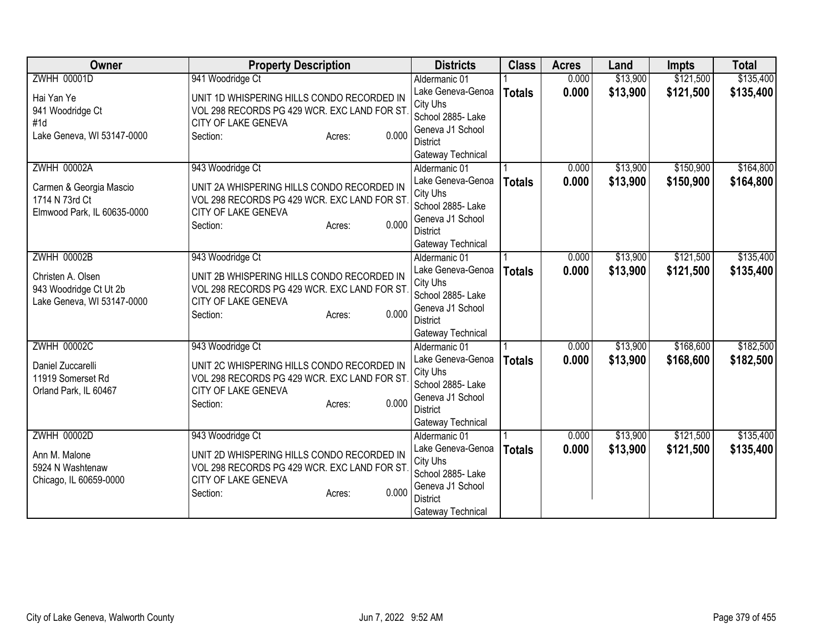| Owner                                                                                          | <b>Property Description</b>                                                                                                                                          | <b>Districts</b>                                                                                                                | <b>Class</b>  | <b>Acres</b>   | Land                 | <b>Impts</b>           | <b>Total</b>           |
|------------------------------------------------------------------------------------------------|----------------------------------------------------------------------------------------------------------------------------------------------------------------------|---------------------------------------------------------------------------------------------------------------------------------|---------------|----------------|----------------------|------------------------|------------------------|
| <b>ZWHH 00001D</b>                                                                             | 941 Woodridge Ct                                                                                                                                                     | Aldermanic 01                                                                                                                   |               | 0.000          | \$13,900             | \$121,500              | \$135,400              |
| Hai Yan Ye<br>941 Woodridge Ct<br>#1d<br>Lake Geneva, WI 53147-0000                            | UNIT 1D WHISPERING HILLS CONDO RECORDED IN<br>VOL 298 RECORDS PG 429 WCR. EXC LAND FOR ST<br>CITY OF LAKE GENEVA<br>0.000<br>Section:<br>Acres:                      | Lake Geneva-Genoa<br>City Uhs<br>School 2885- Lake<br>Geneva J1 School<br><b>District</b>                                       | <b>Totals</b> | 0.000          | \$13,900             | \$121,500              | \$135,400              |
|                                                                                                |                                                                                                                                                                      | Gateway Technical                                                                                                               |               |                |                      |                        |                        |
| <b>ZWHH 00002A</b><br>Carmen & Georgia Mascio<br>1714 N 73rd Ct<br>Elmwood Park, IL 60635-0000 | 943 Woodridge Ct<br>UNIT 2A WHISPERING HILLS CONDO RECORDED IN<br>VOL 298 RECORDS PG 429 WCR. EXC LAND FOR ST.<br>CITY OF LAKE GENEVA<br>0.000<br>Section:<br>Acres: | Aldermanic 01<br>Lake Geneva-Genoa<br>City Uhs<br>School 2885- Lake<br>Geneva J1 School<br><b>District</b><br>Gateway Technical | <b>Totals</b> | 0.000<br>0.000 | \$13,900<br>\$13,900 | \$150,900<br>\$150,900 | \$164,800<br>\$164,800 |
| <b>ZWHH 00002B</b>                                                                             | 943 Woodridge Ct                                                                                                                                                     | Aldermanic 01                                                                                                                   |               | 0.000          | \$13,900             | \$121,500              | \$135,400              |
| Christen A. Olsen<br>943 Woodridge Ct Ut 2b<br>Lake Geneva, WI 53147-0000                      | UNIT 2B WHISPERING HILLS CONDO RECORDED IN<br>VOL 298 RECORDS PG 429 WCR. EXC LAND FOR ST<br>CITY OF LAKE GENEVA<br>0.000<br>Section:<br>Acres:                      | Lake Geneva-Genoa<br>City Uhs<br>School 2885- Lake<br>Geneva J1 School<br><b>District</b><br>Gateway Technical                  | <b>Totals</b> | 0.000          | \$13,900             | \$121,500              | \$135,400              |
| <b>ZWHH 00002C</b>                                                                             | 943 Woodridge Ct                                                                                                                                                     | Aldermanic 01                                                                                                                   |               | 0.000          | \$13,900             | \$168,600              | \$182,500              |
| Daniel Zuccarelli<br>11919 Somerset Rd<br>Orland Park, IL 60467                                | UNIT 2C WHISPERING HILLS CONDO RECORDED IN<br>VOL 298 RECORDS PG 429 WCR. EXC LAND FOR ST<br>CITY OF LAKE GENEVA<br>0.000<br>Section:<br>Acres:                      | Lake Geneva-Genoa<br>City Uhs<br>School 2885- Lake<br>Geneva J1 School<br><b>District</b><br>Gateway Technical                  | <b>Totals</b> | 0.000          | \$13,900             | \$168,600              | \$182,500              |
| <b>ZWHH 00002D</b>                                                                             | 943 Woodridge Ct                                                                                                                                                     | Aldermanic 01                                                                                                                   |               | 0.000          | \$13,900             | \$121,500              | \$135,400              |
| Ann M. Malone<br>5924 N Washtenaw<br>Chicago, IL 60659-0000                                    | UNIT 2D WHISPERING HILLS CONDO RECORDED IN<br>VOL 298 RECORDS PG 429 WCR. EXC LAND FOR ST<br>CITY OF LAKE GENEVA<br>0.000<br>Section:<br>Acres:                      | Lake Geneva-Genoa<br>City Uhs<br>School 2885- Lake<br>Geneva J1 School<br><b>District</b><br>Gateway Technical                  | <b>Totals</b> | 0.000          | \$13,900             | \$121,500              | \$135,400              |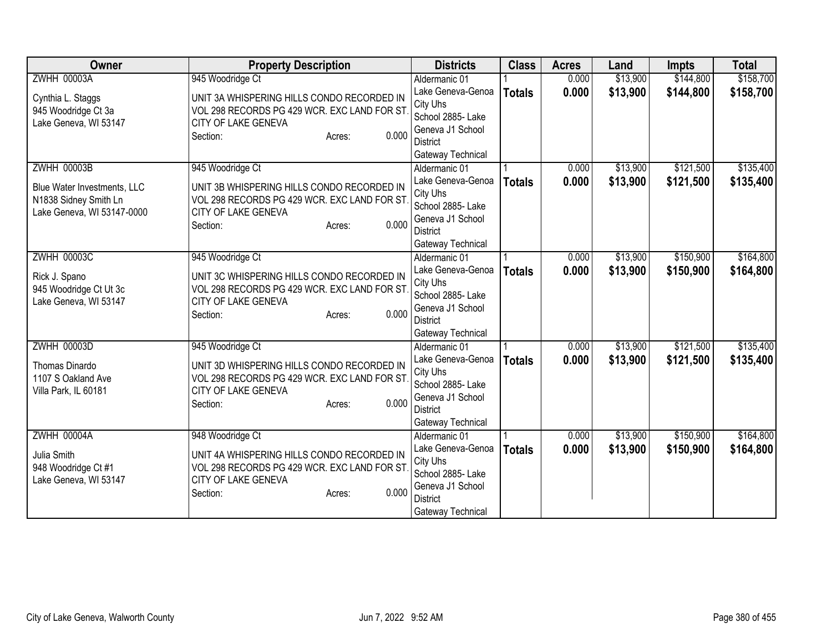| Owner                                                                                                    | <b>Property Description</b>                                                                                                                                          | <b>Districts</b>                                                                                                                | <b>Class</b>  | <b>Acres</b>   | Land                 | <b>Impts</b>           | <b>Total</b>           |
|----------------------------------------------------------------------------------------------------------|----------------------------------------------------------------------------------------------------------------------------------------------------------------------|---------------------------------------------------------------------------------------------------------------------------------|---------------|----------------|----------------------|------------------------|------------------------|
| <b>ZWHH 00003A</b>                                                                                       | 945 Woodridge Ct                                                                                                                                                     | Aldermanic 01                                                                                                                   |               | 0.000          | \$13,900             | \$144,800              | \$158,700              |
| Cynthia L. Staggs<br>945 Woodridge Ct 3a<br>Lake Geneva, WI 53147                                        | UNIT 3A WHISPERING HILLS CONDO RECORDED IN<br>VOL 298 RECORDS PG 429 WCR. EXC LAND FOR ST<br><b>CITY OF LAKE GENEVA</b>                                              | Lake Geneva-Genoa<br>City Uhs<br>School 2885- Lake<br>Geneva J1 School                                                          | <b>Totals</b> | 0.000          | \$13,900             | \$144,800              | \$158,700              |
|                                                                                                          | 0.000<br>Section:<br>Acres:                                                                                                                                          | <b>District</b><br>Gateway Technical                                                                                            |               |                |                      |                        |                        |
| <b>ZWHH 00003B</b><br>Blue Water Investments, LLC<br>N1838 Sidney Smith Ln<br>Lake Geneva, WI 53147-0000 | 945 Woodridge Ct<br>UNIT 3B WHISPERING HILLS CONDO RECORDED IN<br>VOL 298 RECORDS PG 429 WCR. EXC LAND FOR ST.<br>CITY OF LAKE GENEVA<br>0.000<br>Section:<br>Acres: | Aldermanic 01<br>Lake Geneva-Genoa<br>City Uhs<br>School 2885- Lake<br>Geneva J1 School<br><b>District</b><br>Gateway Technical | <b>Totals</b> | 0.000<br>0.000 | \$13,900<br>\$13,900 | \$121,500<br>\$121,500 | \$135,400<br>\$135,400 |
| <b>ZWHH 00003C</b><br>Rick J. Spano<br>945 Woodridge Ct Ut 3c<br>Lake Geneva, WI 53147                   | 945 Woodridge Ct<br>UNIT 3C WHISPERING HILLS CONDO RECORDED IN<br>VOL 298 RECORDS PG 429 WCR. EXC LAND FOR ST<br>CITY OF LAKE GENEVA<br>0.000<br>Section:<br>Acres:  | Aldermanic 01<br>Lake Geneva-Genoa<br>City Uhs<br>School 2885- Lake<br>Geneva J1 School<br><b>District</b><br>Gateway Technical | <b>Totals</b> | 0.000<br>0.000 | \$13,900<br>\$13,900 | \$150,900<br>\$150,900 | \$164,800<br>\$164,800 |
| <b>ZWHH 00003D</b><br>Thomas Dinardo<br>1107 S Oakland Ave<br>Villa Park, IL 60181                       | 945 Woodridge Ct<br>UNIT 3D WHISPERING HILLS CONDO RECORDED IN<br>VOL 298 RECORDS PG 429 WCR. EXC LAND FOR ST<br>CITY OF LAKE GENEVA<br>0.000<br>Section:<br>Acres:  | Aldermanic 01<br>Lake Geneva-Genoa<br>City Uhs<br>School 2885- Lake<br>Geneva J1 School<br><b>District</b><br>Gateway Technical | <b>Totals</b> | 0.000<br>0.000 | \$13,900<br>\$13,900 | \$121,500<br>\$121,500 | \$135,400<br>\$135,400 |
| <b>ZWHH 00004A</b><br>Julia Smith<br>948 Woodridge Ct #1<br>Lake Geneva, WI 53147                        | 948 Woodridge Ct<br>UNIT 4A WHISPERING HILLS CONDO RECORDED IN<br>VOL 298 RECORDS PG 429 WCR. EXC LAND FOR ST<br>CITY OF LAKE GENEVA<br>0.000<br>Section:<br>Acres:  | Aldermanic 01<br>Lake Geneva-Genoa<br>City Uhs<br>School 2885- Lake<br>Geneva J1 School<br><b>District</b><br>Gateway Technical | <b>Totals</b> | 0.000<br>0.000 | \$13,900<br>\$13,900 | \$150,900<br>\$150,900 | \$164,800<br>\$164,800 |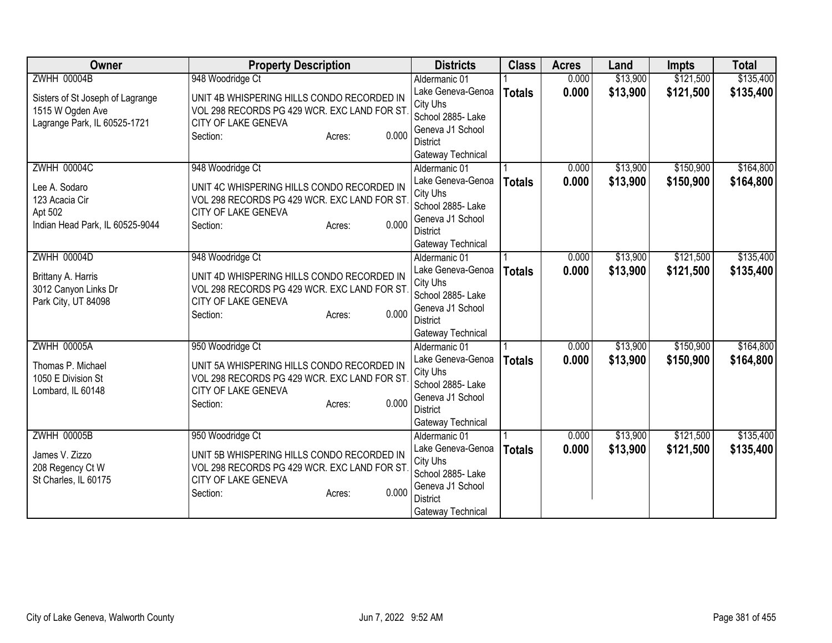| <b>Owner</b>                                                                                        | <b>Property Description</b>                                                                                                                                          | <b>Districts</b>                                                                                                                | <b>Class</b>  | <b>Acres</b>   | Land                 | <b>Impts</b>           | <b>Total</b>           |
|-----------------------------------------------------------------------------------------------------|----------------------------------------------------------------------------------------------------------------------------------------------------------------------|---------------------------------------------------------------------------------------------------------------------------------|---------------|----------------|----------------------|------------------------|------------------------|
| <b>ZWHH 00004B</b>                                                                                  | 948 Woodridge Ct                                                                                                                                                     | Aldermanic 01                                                                                                                   |               | 0.000          | \$13,900             | \$121,500              | \$135,400              |
| Sisters of St Joseph of Lagrange<br>1515 W Ogden Ave<br>Lagrange Park, IL 60525-1721                | UNIT 4B WHISPERING HILLS CONDO RECORDED IN<br>VOL 298 RECORDS PG 429 WCR. EXC LAND FOR ST<br>CITY OF LAKE GENEVA<br>0.000<br>Section:<br>Acres:                      | Lake Geneva-Genoa<br>City Uhs<br>School 2885- Lake<br>Geneva J1 School<br><b>District</b>                                       | <b>Totals</b> | 0.000          | \$13,900             | \$121,500              | \$135,400              |
|                                                                                                     |                                                                                                                                                                      | Gateway Technical                                                                                                               |               |                |                      |                        |                        |
| <b>ZWHH 00004C</b><br>Lee A. Sodaro<br>123 Acacia Cir<br>Apt 502<br>Indian Head Park, IL 60525-9044 | 948 Woodridge Ct<br>UNIT 4C WHISPERING HILLS CONDO RECORDED IN<br>VOL 298 RECORDS PG 429 WCR. EXC LAND FOR ST.<br>CITY OF LAKE GENEVA<br>0.000<br>Section:<br>Acres: | Aldermanic 01<br>Lake Geneva-Genoa<br>City Uhs<br>School 2885- Lake<br>Geneva J1 School<br><b>District</b><br>Gateway Technical | <b>Totals</b> | 0.000<br>0.000 | \$13,900<br>\$13,900 | \$150,900<br>\$150,900 | \$164,800<br>\$164,800 |
| <b>ZWHH 00004D</b>                                                                                  | 948 Woodridge Ct                                                                                                                                                     | Aldermanic 01                                                                                                                   |               | 0.000          | \$13,900             | \$121,500              | \$135,400              |
| Brittany A. Harris<br>3012 Canyon Links Dr<br>Park City, UT 84098                                   | UNIT 4D WHISPERING HILLS CONDO RECORDED IN<br>VOL 298 RECORDS PG 429 WCR. EXC LAND FOR ST<br>CITY OF LAKE GENEVA<br>0.000<br>Section:<br>Acres:                      | Lake Geneva-Genoa<br>City Uhs<br>School 2885- Lake<br>Geneva J1 School<br><b>District</b><br>Gateway Technical                  | <b>Totals</b> | 0.000          | \$13,900             | \$121,500              | \$135,400              |
| <b>ZWHH 00005A</b>                                                                                  | 950 Woodridge Ct                                                                                                                                                     | Aldermanic 01                                                                                                                   |               | 0.000          | \$13,900             | \$150,900              | \$164,800              |
| Thomas P. Michael<br>1050 E Division St<br>Lombard, IL 60148                                        | UNIT 5A WHISPERING HILLS CONDO RECORDED IN<br>VOL 298 RECORDS PG 429 WCR. EXC LAND FOR ST<br>CITY OF LAKE GENEVA<br>0.000<br>Section:<br>Acres:                      | Lake Geneva-Genoa<br>City Uhs<br>School 2885- Lake<br>Geneva J1 School<br><b>District</b><br>Gateway Technical                  | <b>Totals</b> | 0.000          | \$13,900             | \$150,900              | \$164,800              |
| <b>ZWHH 00005B</b>                                                                                  | 950 Woodridge Ct                                                                                                                                                     | Aldermanic 01                                                                                                                   |               | 0.000          | \$13,900             | \$121,500              | \$135,400              |
| James V. Zizzo<br>208 Regency Ct W<br>St Charles, IL 60175                                          | UNIT 5B WHISPERING HILLS CONDO RECORDED IN<br>VOL 298 RECORDS PG 429 WCR. EXC LAND FOR ST<br>CITY OF LAKE GENEVA<br>0.000<br>Section:<br>Acres:                      | Lake Geneva-Genoa<br>City Uhs<br>School 2885- Lake<br>Geneva J1 School<br><b>District</b><br>Gateway Technical                  | <b>Totals</b> | 0.000          | \$13,900             | \$121,500              | \$135,400              |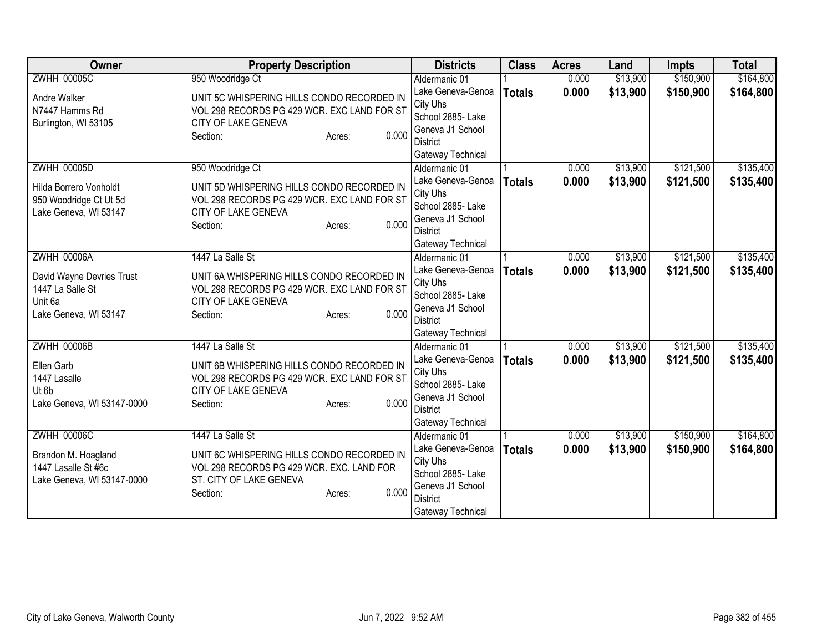| Owner                                                                                                   | <b>Property Description</b>                                                                                                                                           | <b>Districts</b>                                                                                                                | <b>Class</b>  | <b>Acres</b>   | Land                 | <b>Impts</b>           | <b>Total</b>           |
|---------------------------------------------------------------------------------------------------------|-----------------------------------------------------------------------------------------------------------------------------------------------------------------------|---------------------------------------------------------------------------------------------------------------------------------|---------------|----------------|----------------------|------------------------|------------------------|
| <b>ZWHH 00005C</b>                                                                                      | 950 Woodridge Ct                                                                                                                                                      | Aldermanic 01                                                                                                                   |               | 0.000          | \$13,900             | \$150,900              | \$164,800              |
| Andre Walker<br>N7447 Hamms Rd<br>Burlington, WI 53105                                                  | UNIT 5C WHISPERING HILLS CONDO RECORDED IN<br>VOL 298 RECORDS PG 429 WCR. EXC LAND FOR ST<br>CITY OF LAKE GENEVA<br>0.000<br>Section:<br>Acres:                       | Lake Geneva-Genoa<br>City Uhs<br>School 2885- Lake<br>Geneva J1 School<br><b>District</b><br>Gateway Technical                  | <b>Totals</b> | 0.000          | \$13,900             | \$150,900              | \$164,800              |
| <b>ZWHH 00005D</b><br>Hilda Borrero Vonholdt<br>950 Woodridge Ct Ut 5d<br>Lake Geneva, WI 53147         | 950 Woodridge Ct<br>UNIT 5D WHISPERING HILLS CONDO RECORDED IN<br>VOL 298 RECORDS PG 429 WCR. EXC LAND FOR ST<br>CITY OF LAKE GENEVA<br>0.000<br>Section:<br>Acres:   | Aldermanic 01<br>Lake Geneva-Genoa<br>City Uhs<br>School 2885- Lake<br>Geneva J1 School<br><b>District</b><br>Gateway Technical | <b>Totals</b> | 0.000<br>0.000 | \$13,900<br>\$13,900 | \$121,500<br>\$121,500 | \$135,400<br>\$135,400 |
| <b>ZWHH 00006A</b><br>David Wayne Devries Trust<br>1447 La Salle St<br>Unit 6a<br>Lake Geneva, WI 53147 | 1447 La Salle St<br>UNIT 6A WHISPERING HILLS CONDO RECORDED IN<br>VOL 298 RECORDS PG 429 WCR. EXC LAND FOR ST<br>CITY OF LAKE GENEVA<br>0.000<br>Section:<br>Acres:   | Aldermanic 01<br>Lake Geneva-Genoa<br>City Uhs<br>School 2885- Lake<br>Geneva J1 School<br><b>District</b><br>Gateway Technical | <b>Totals</b> | 0.000<br>0.000 | \$13,900<br>\$13,900 | \$121,500<br>\$121,500 | \$135,400<br>\$135,400 |
| <b>ZWHH 00006B</b><br>Ellen Garb<br>1447 Lasalle<br>Ut 6b<br>Lake Geneva, WI 53147-0000                 | 1447 La Salle St<br>UNIT 6B WHISPERING HILLS CONDO RECORDED IN<br>VOL 298 RECORDS PG 429 WCR. EXC LAND FOR ST<br>CITY OF LAKE GENEVA<br>0.000<br>Section:<br>Acres:   | Aldermanic 01<br>Lake Geneva-Genoa<br>City Uhs<br>School 2885- Lake<br>Geneva J1 School<br><b>District</b><br>Gateway Technical | <b>Totals</b> | 0.000<br>0.000 | \$13,900<br>\$13,900 | \$121,500<br>\$121,500 | \$135,400<br>\$135,400 |
| <b>ZWHH 00006C</b><br>Brandon M. Hoagland<br>1447 Lasalle St #6c<br>Lake Geneva, WI 53147-0000          | 1447 La Salle St<br>UNIT 6C WHISPERING HILLS CONDO RECORDED IN<br>VOL 298 RECORDS PG 429 WCR. EXC. LAND FOR<br>ST. CITY OF LAKE GENEVA<br>0.000<br>Section:<br>Acres: | Aldermanic 01<br>Lake Geneva-Genoa<br>City Uhs<br>School 2885- Lake<br>Geneva J1 School<br><b>District</b><br>Gateway Technical | <b>Totals</b> | 0.000<br>0.000 | \$13,900<br>\$13,900 | \$150,900<br>\$150,900 | \$164,800<br>\$164,800 |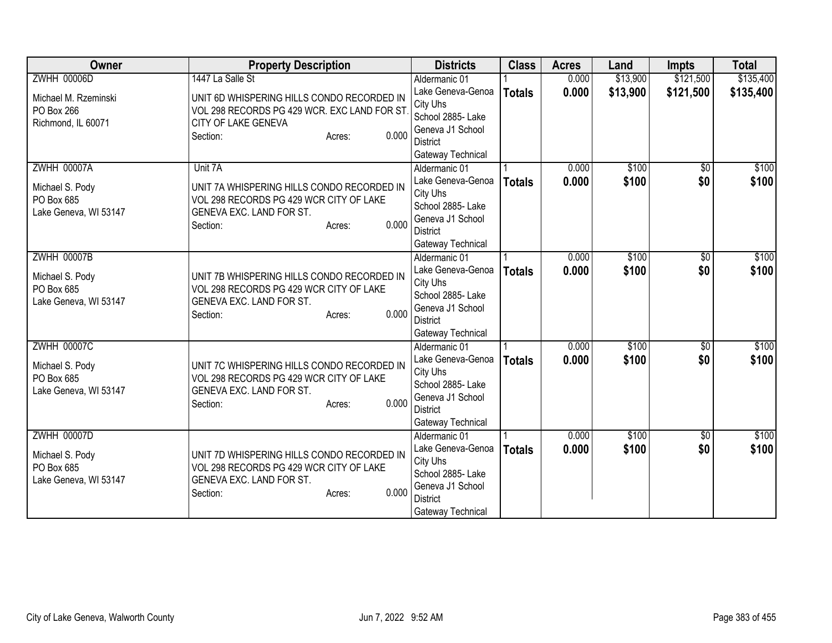| Owner                               | <b>Property Description</b>                                         | <b>Districts</b>                    | <b>Class</b>  | <b>Acres</b> | Land     | <b>Impts</b>    | <b>Total</b> |
|-------------------------------------|---------------------------------------------------------------------|-------------------------------------|---------------|--------------|----------|-----------------|--------------|
| <b>ZWHH 00006D</b>                  | 1447 La Salle St                                                    | Aldermanic 01                       |               | 0.000        | \$13,900 | \$121,500       | \$135,400    |
| Michael M. Rzeminski                | UNIT 6D WHISPERING HILLS CONDO RECORDED IN                          | Lake Geneva-Genoa                   | <b>Totals</b> | 0.000        | \$13,900 | \$121,500       | \$135,400    |
| PO Box 266                          | VOL 298 RECORDS PG 429 WCR. EXC LAND FOR ST                         | City Uhs                            |               |              |          |                 |              |
| Richmond, IL 60071                  | CITY OF LAKE GENEVA                                                 | School 2885- Lake                   |               |              |          |                 |              |
|                                     | 0.000<br>Section:<br>Acres:                                         | Geneva J1 School                    |               |              |          |                 |              |
|                                     |                                                                     | <b>District</b>                     |               |              |          |                 |              |
| <b>ZWHH 00007A</b>                  | Unit 7A                                                             | Gateway Technical                   |               | 0.000        | \$100    |                 | \$100        |
|                                     |                                                                     | Aldermanic 01<br>Lake Geneva-Genoa  |               | 0.000        | \$100    | \$0<br>\$0      | \$100        |
| Michael S. Pody                     | UNIT 7A WHISPERING HILLS CONDO RECORDED IN                          | City Uhs                            | <b>Totals</b> |              |          |                 |              |
| PO Box 685                          | VOL 298 RECORDS PG 429 WCR CITY OF LAKE                             | School 2885- Lake                   |               |              |          |                 |              |
| Lake Geneva, WI 53147               | GENEVA EXC. LAND FOR ST.                                            | Geneva J1 School                    |               |              |          |                 |              |
|                                     | 0.000<br>Section:<br>Acres:                                         | <b>District</b>                     |               |              |          |                 |              |
|                                     |                                                                     | Gateway Technical                   |               |              |          |                 |              |
| <b>ZWHH 00007B</b>                  |                                                                     | Aldermanic 01                       |               | 0.000        | \$100    | \$0             | \$100        |
|                                     |                                                                     | Lake Geneva-Genoa                   | <b>Totals</b> | 0.000        | \$100    | \$0             | \$100        |
| Michael S. Pody                     | UNIT 7B WHISPERING HILLS CONDO RECORDED IN                          | City Uhs                            |               |              |          |                 |              |
| PO Box 685<br>Lake Geneva, WI 53147 | VOL 298 RECORDS PG 429 WCR CITY OF LAKE<br>GENEVA EXC. LAND FOR ST. | School 2885- Lake                   |               |              |          |                 |              |
|                                     | 0.000<br>Section:<br>Acres:                                         | Geneva J1 School                    |               |              |          |                 |              |
|                                     |                                                                     | <b>District</b>                     |               |              |          |                 |              |
|                                     |                                                                     | Gateway Technical                   |               |              |          |                 |              |
| <b>ZWHH 00007C</b>                  |                                                                     | Aldermanic 01                       |               | 0.000        | \$100    | $\overline{50}$ | \$100        |
| Michael S. Pody                     | UNIT 7C WHISPERING HILLS CONDO RECORDED IN                          | Lake Geneva-Genoa                   | <b>Totals</b> | 0.000        | \$100    | \$0             | \$100        |
| PO Box 685                          | VOL 298 RECORDS PG 429 WCR CITY OF LAKE                             | City Uhs                            |               |              |          |                 |              |
| Lake Geneva, WI 53147               | GENEVA EXC. LAND FOR ST.                                            | School 2885-Lake                    |               |              |          |                 |              |
|                                     | 0.000<br>Section:<br>Acres:                                         | Geneva J1 School<br><b>District</b> |               |              |          |                 |              |
|                                     |                                                                     | Gateway Technical                   |               |              |          |                 |              |
| <b>ZWHH 00007D</b>                  |                                                                     | Aldermanic 01                       |               | 0.000        | \$100    | \$0             | \$100        |
|                                     |                                                                     | Lake Geneva-Genoa                   | <b>Totals</b> | 0.000        | \$100    | \$0             | \$100        |
| Michael S. Pody                     | UNIT 7D WHISPERING HILLS CONDO RECORDED IN                          | City Uhs                            |               |              |          |                 |              |
| PO Box 685                          | VOL 298 RECORDS PG 429 WCR CITY OF LAKE                             | School 2885- Lake                   |               |              |          |                 |              |
| Lake Geneva, WI 53147               | GENEVA EXC. LAND FOR ST.                                            | Geneva J1 School                    |               |              |          |                 |              |
|                                     | 0.000<br>Section:<br>Acres:                                         | <b>District</b>                     |               |              |          |                 |              |
|                                     |                                                                     | Gateway Technical                   |               |              |          |                 |              |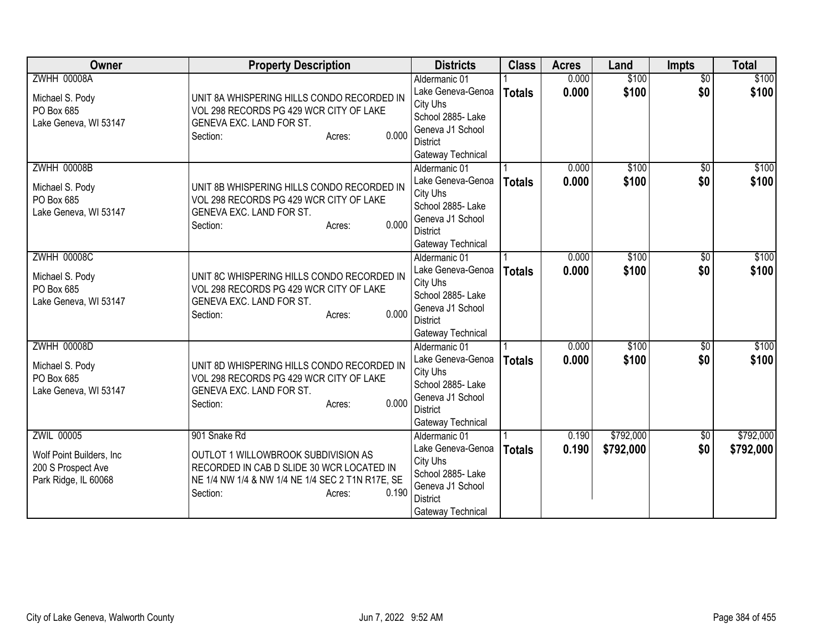| Owner                     | <b>Property Description</b>                             | <b>Districts</b>                      | <b>Class</b>  | <b>Acres</b> | Land      | <b>Impts</b>    | <b>Total</b> |
|---------------------------|---------------------------------------------------------|---------------------------------------|---------------|--------------|-----------|-----------------|--------------|
| <b>ZWHH 00008A</b>        |                                                         | Aldermanic 01                         |               | 0.000        | \$100     | $\overline{50}$ | \$100        |
| Michael S. Pody           | UNIT 8A WHISPERING HILLS CONDO RECORDED IN              | Lake Geneva-Genoa                     | <b>Totals</b> | 0.000        | \$100     | \$0             | \$100        |
| PO Box 685                | VOL 298 RECORDS PG 429 WCR CITY OF LAKE                 | City Uhs                              |               |              |           |                 |              |
| Lake Geneva, WI 53147     | GENEVA EXC. LAND FOR ST.                                | School 2885- Lake<br>Geneva J1 School |               |              |           |                 |              |
|                           | 0.000<br>Section:<br>Acres:                             | <b>District</b>                       |               |              |           |                 |              |
|                           |                                                         | Gateway Technical                     |               |              |           |                 |              |
| <b>ZWHH 00008B</b>        |                                                         | Aldermanic 01                         |               | 0.000        | \$100     | \$0             | \$100        |
| Michael S. Pody           | UNIT 8B WHISPERING HILLS CONDO RECORDED IN              | Lake Geneva-Genoa                     | <b>Totals</b> | 0.000        | \$100     | \$0             | \$100        |
| PO Box 685                | VOL 298 RECORDS PG 429 WCR CITY OF LAKE                 | City Uhs                              |               |              |           |                 |              |
| Lake Geneva, WI 53147     | GENEVA EXC. LAND FOR ST.                                | School 2885- Lake                     |               |              |           |                 |              |
|                           | 0.000<br>Section:<br>Acres:                             | Geneva J1 School                      |               |              |           |                 |              |
|                           |                                                         | <b>District</b>                       |               |              |           |                 |              |
| <b>ZWHH 00008C</b>        |                                                         | Gateway Technical<br>Aldermanic 01    |               | 0.000        | \$100     | \$0             | \$100        |
|                           |                                                         | Lake Geneva-Genoa                     | <b>Totals</b> | 0.000        | \$100     | \$0             | \$100        |
| Michael S. Pody           | UNIT 8C WHISPERING HILLS CONDO RECORDED IN              | City Uhs                              |               |              |           |                 |              |
| PO Box 685                | VOL 298 RECORDS PG 429 WCR CITY OF LAKE                 | School 2885- Lake                     |               |              |           |                 |              |
| Lake Geneva, WI 53147     | GENEVA EXC. LAND FOR ST.<br>0.000<br>Section:<br>Acres: | Geneva J1 School                      |               |              |           |                 |              |
|                           |                                                         | <b>District</b>                       |               |              |           |                 |              |
|                           |                                                         | Gateway Technical                     |               |              |           |                 |              |
| <b>ZWHH 00008D</b>        |                                                         | Aldermanic 01                         |               | 0.000        | \$100     | $\overline{50}$ | \$100        |
| Michael S. Pody           | UNIT 8D WHISPERING HILLS CONDO RECORDED IN              | Lake Geneva-Genoa<br>City Uhs         | <b>Totals</b> | 0.000        | \$100     | \$0             | \$100        |
| PO Box 685                | VOL 298 RECORDS PG 429 WCR CITY OF LAKE                 | School 2885- Lake                     |               |              |           |                 |              |
| Lake Geneva, WI 53147     | GENEVA EXC. LAND FOR ST.                                | Geneva J1 School                      |               |              |           |                 |              |
|                           | 0.000<br>Section:<br>Acres:                             | <b>District</b>                       |               |              |           |                 |              |
|                           |                                                         | Gateway Technical                     |               |              |           |                 |              |
| <b>ZWIL 00005</b>         | 901 Snake Rd                                            | Aldermanic 01                         |               | 0.190        | \$792,000 | $\sqrt{6}$      | \$792,000    |
| Wolf Point Builders, Inc. | OUTLOT 1 WILLOWBROOK SUBDIVISION AS                     | Lake Geneva-Genoa                     | <b>Totals</b> | 0.190        | \$792,000 | \$0             | \$792,000    |
| 200 S Prospect Ave        | RECORDED IN CAB D SLIDE 30 WCR LOCATED IN               | City Uhs                              |               |              |           |                 |              |
| Park Ridge, IL 60068      | NE 1/4 NW 1/4 & NW 1/4 NE 1/4 SEC 2 T1N R17E, SE        | School 2885- Lake<br>Geneva J1 School |               |              |           |                 |              |
|                           | 0.190<br>Section:<br>Acres:                             | <b>District</b>                       |               |              |           |                 |              |
|                           |                                                         | Gateway Technical                     |               |              |           |                 |              |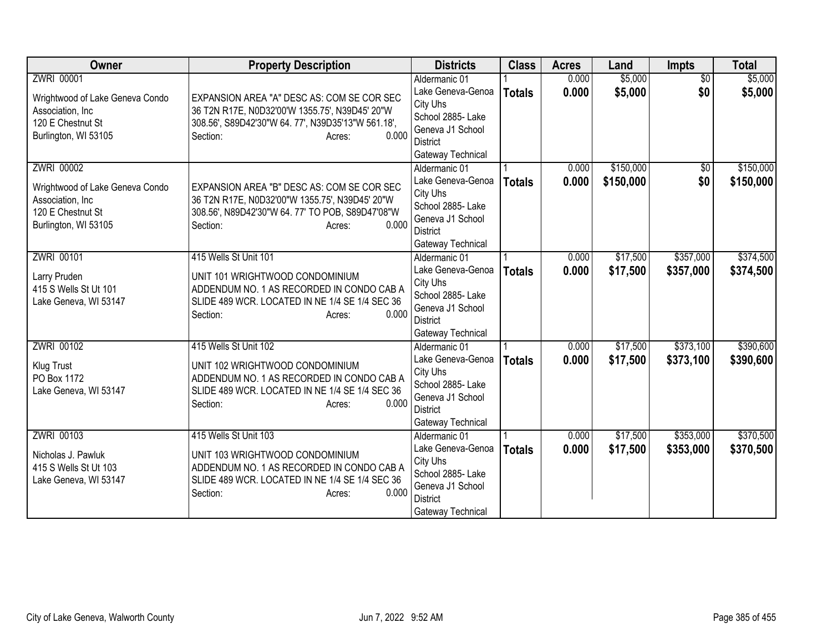| <b>Owner</b>                                                                                                           | <b>Property Description</b>                                                                                                                                                            | <b>Districts</b>                                                                                                                                     | <b>Class</b>  | <b>Acres</b>   | Land                   | Impts                  | <b>Total</b>           |
|------------------------------------------------------------------------------------------------------------------------|----------------------------------------------------------------------------------------------------------------------------------------------------------------------------------------|------------------------------------------------------------------------------------------------------------------------------------------------------|---------------|----------------|------------------------|------------------------|------------------------|
| <b>ZWRI 00001</b><br>Wrightwood of Lake Geneva Condo<br>Association, Inc<br>120 E Chestnut St<br>Burlington, WI 53105  | EXPANSION AREA "A" DESC AS: COM SE COR SEC<br>36 T2N R17E, N0D32'00'W 1355.75', N39D45' 20"W<br>308.56', S89D42'30"W 64.77', N39D35'13"W 561.18',<br>0.000<br>Section:<br>Acres:       | Aldermanic 01<br>Lake Geneva-Genoa<br>City Uhs<br>School 2885- Lake<br>Geneva J1 School<br><b>District</b>                                           | <b>Totals</b> | 0.000<br>0.000 | \$5,000<br>\$5,000     | $\overline{50}$<br>\$0 | \$5,000<br>\$5,000     |
| <b>ZWRI 00002</b><br>Wrightwood of Lake Geneva Condo<br>Association, Inc.<br>120 E Chestnut St<br>Burlington, WI 53105 | EXPANSION AREA "B" DESC AS: COM SE COR SEC<br>36 T2N R17E, N0D32'00"W 1355.75', N39D45' 20"W<br>308.56', N89D42'30"W 64. 77' TO POB, S89D47'08"W<br>0.000<br>Section:<br>Acres:        | Gateway Technical<br>Aldermanic 01<br>Lake Geneva-Genoa<br>City Uhs<br>School 2885- Lake<br>Geneva J1 School<br><b>District</b><br>Gateway Technical | <b>Totals</b> | 0.000<br>0.000 | \$150,000<br>\$150,000 | \$0<br>\$0             | \$150,000<br>\$150,000 |
| ZWRI 00101<br>Larry Pruden<br>415 S Wells St Ut 101<br>Lake Geneva, WI 53147                                           | 415 Wells St Unit 101<br>UNIT 101 WRIGHTWOOD CONDOMINIUM<br>ADDENDUM NO. 1 AS RECORDED IN CONDO CAB A<br>SLIDE 489 WCR. LOCATED IN NE 1/4 SE 1/4 SEC 36<br>0.000<br>Section:<br>Acres: | Aldermanic 01<br>Lake Geneva-Genoa<br>City Uhs<br>School 2885- Lake<br>Geneva J1 School<br><b>District</b><br>Gateway Technical                      | <b>Totals</b> | 0.000<br>0.000 | \$17,500<br>\$17,500   | \$357,000<br>\$357,000 | \$374,500<br>\$374,500 |
| <b>ZWRI 00102</b><br>Klug Trust<br>PO Box 1172<br>Lake Geneva, WI 53147                                                | 415 Wells St Unit 102<br>UNIT 102 WRIGHTWOOD CONDOMINIUM<br>ADDENDUM NO. 1 AS RECORDED IN CONDO CAB A<br>SLIDE 489 WCR. LOCATED IN NE 1/4 SE 1/4 SEC 36<br>0.000<br>Section:<br>Acres: | Aldermanic 01<br>Lake Geneva-Genoa<br>City Uhs<br>School 2885- Lake<br>Geneva J1 School<br><b>District</b><br>Gateway Technical                      | <b>Totals</b> | 0.000<br>0.000 | \$17,500<br>\$17,500   | \$373,100<br>\$373,100 | \$390,600<br>\$390,600 |
| ZWRI 00103<br>Nicholas J. Pawluk<br>415 S Wells St Ut 103<br>Lake Geneva, WI 53147                                     | 415 Wells St Unit 103<br>UNIT 103 WRIGHTWOOD CONDOMINIUM<br>ADDENDUM NO. 1 AS RECORDED IN CONDO CAB A<br>SLIDE 489 WCR. LOCATED IN NE 1/4 SE 1/4 SEC 36<br>0.000<br>Section:<br>Acres: | Aldermanic 01<br>Lake Geneva-Genoa<br>City Uhs<br>School 2885- Lake<br>Geneva J1 School<br><b>District</b><br>Gateway Technical                      | <b>Totals</b> | 0.000<br>0.000 | \$17,500<br>\$17,500   | \$353,000<br>\$353,000 | \$370,500<br>\$370,500 |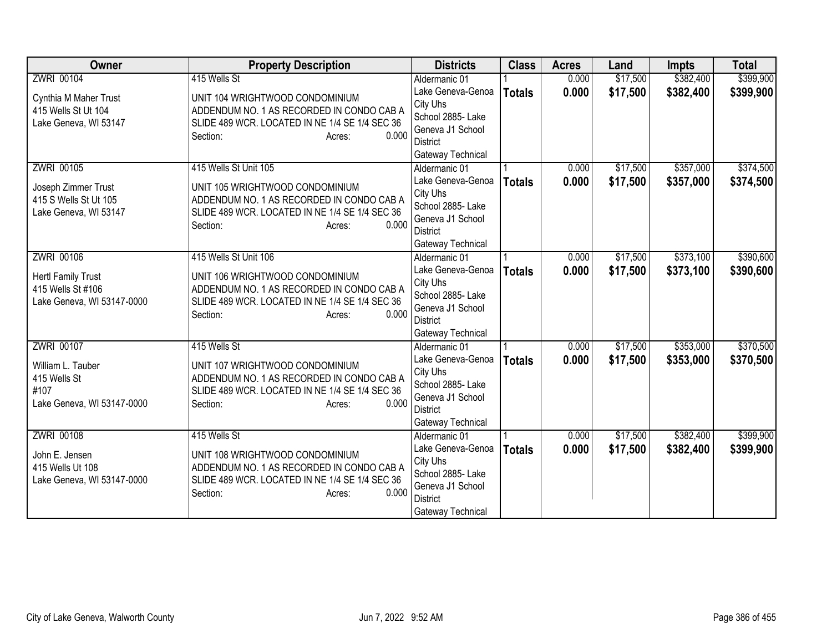| <b>Owner</b>               | <b>Property Description</b>                    | <b>Districts</b>                   | <b>Class</b>  | <b>Acres</b> | Land     | <b>Impts</b> | <b>Total</b> |
|----------------------------|------------------------------------------------|------------------------------------|---------------|--------------|----------|--------------|--------------|
| ZWRI 00104                 | 415 Wells St                                   | Aldermanic 01                      |               | 0.000        | \$17,500 | \$382,400    | \$399,900    |
| Cynthia M Maher Trust      | UNIT 104 WRIGHTWOOD CONDOMINIUM                | Lake Geneva-Genoa                  | <b>Totals</b> | 0.000        | \$17,500 | \$382,400    | \$399,900    |
| 415 Wells St Ut 104        | ADDENDUM NO. 1 AS RECORDED IN CONDO CAB A      | City Uhs                           |               |              |          |              |              |
| Lake Geneva, WI 53147      | SLIDE 489 WCR. LOCATED IN NE 1/4 SE 1/4 SEC 36 | School 2885- Lake                  |               |              |          |              |              |
|                            | 0.000<br>Section:<br>Acres:                    | Geneva J1 School                   |               |              |          |              |              |
|                            |                                                | District                           |               |              |          |              |              |
| ZWRI 00105                 | 415 Wells St Unit 105                          | Gateway Technical                  |               |              |          |              |              |
|                            |                                                | Aldermanic 01<br>Lake Geneva-Genoa |               | 0.000        | \$17,500 | \$357,000    | \$374,500    |
| Joseph Zimmer Trust        | UNIT 105 WRIGHTWOOD CONDOMINIUM                | City Uhs                           | <b>Totals</b> | 0.000        | \$17,500 | \$357,000    | \$374,500    |
| 415 S Wells St Ut 105      | ADDENDUM NO. 1 AS RECORDED IN CONDO CAB A      | School 2885- Lake                  |               |              |          |              |              |
| Lake Geneva, WI 53147      | SLIDE 489 WCR. LOCATED IN NE 1/4 SE 1/4 SEC 36 | Geneva J1 School                   |               |              |          |              |              |
|                            | 0.000<br>Section:<br>Acres:                    | <b>District</b>                    |               |              |          |              |              |
|                            |                                                | Gateway Technical                  |               |              |          |              |              |
| ZWRI 00106                 | 415 Wells St Unit 106                          | Aldermanic 01                      |               | 0.000        | \$17,500 | \$373,100    | \$390,600    |
|                            |                                                | Lake Geneva-Genoa                  | <b>Totals</b> | 0.000        | \$17,500 | \$373,100    | \$390,600    |
| <b>Hertl Family Trust</b>  | UNIT 106 WRIGHTWOOD CONDOMINIUM                | City Uhs                           |               |              |          |              |              |
| 415 Wells St #106          | ADDENDUM NO. 1 AS RECORDED IN CONDO CAB A      | School 2885- Lake                  |               |              |          |              |              |
| Lake Geneva, WI 53147-0000 | SLIDE 489 WCR. LOCATED IN NE 1/4 SE 1/4 SEC 36 | Geneva J1 School                   |               |              |          |              |              |
|                            | 0.000<br>Section:<br>Acres:                    | <b>District</b>                    |               |              |          |              |              |
|                            |                                                | Gateway Technical                  |               |              |          |              |              |
| <b>ZWRI 00107</b>          | 415 Wells St                                   | Aldermanic 01                      |               | 0.000        | \$17,500 | \$353,000    | \$370,500    |
| William L. Tauber          | UNIT 107 WRIGHTWOOD CONDOMINIUM                | Lake Geneva-Genoa                  | <b>Totals</b> | 0.000        | \$17,500 | \$353,000    | \$370,500    |
| 415 Wells St               | ADDENDUM NO. 1 AS RECORDED IN CONDO CAB A      | City Uhs                           |               |              |          |              |              |
| #107                       | SLIDE 489 WCR. LOCATED IN NE 1/4 SE 1/4 SEC 36 | School 2885- Lake                  |               |              |          |              |              |
| Lake Geneva, WI 53147-0000 | 0.000<br>Section:<br>Acres:                    | Geneva J1 School                   |               |              |          |              |              |
|                            |                                                | <b>District</b>                    |               |              |          |              |              |
|                            |                                                | Gateway Technical                  |               |              |          |              |              |
| <b>ZWRI 00108</b>          | 415 Wells St                                   | Aldermanic 01                      |               | 0.000        | \$17,500 | \$382,400    | \$399,900    |
| John E. Jensen             | UNIT 108 WRIGHTWOOD CONDOMINIUM                | Lake Geneva-Genoa<br>City Uhs      | <b>Totals</b> | 0.000        | \$17,500 | \$382,400    | \$399,900    |
| 415 Wells Ut 108           | ADDENDUM NO. 1 AS RECORDED IN CONDO CAB A      | School 2885- Lake                  |               |              |          |              |              |
| Lake Geneva, WI 53147-0000 | SLIDE 489 WCR. LOCATED IN NE 1/4 SE 1/4 SEC 36 | Geneva J1 School                   |               |              |          |              |              |
|                            | 0.000<br>Section:<br>Acres:                    | <b>District</b>                    |               |              |          |              |              |
|                            |                                                | Gateway Technical                  |               |              |          |              |              |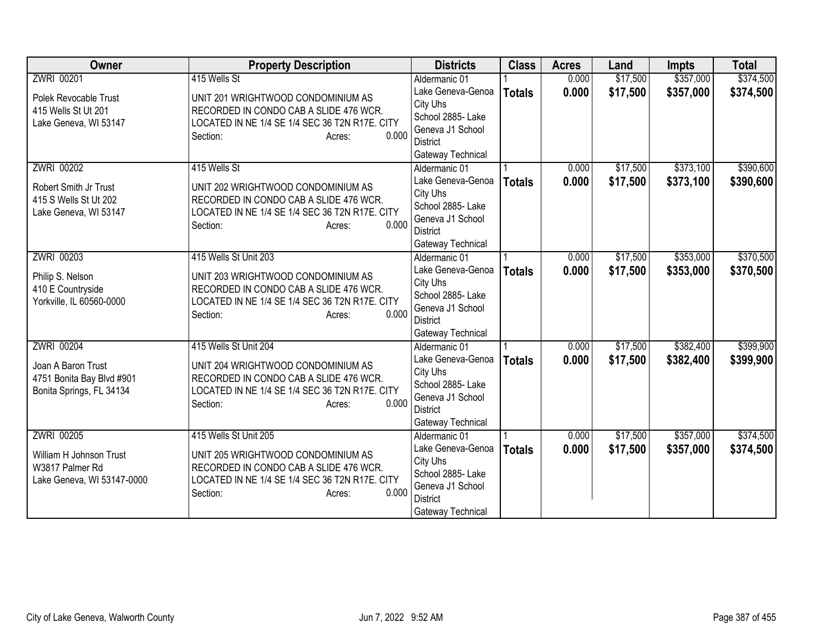| Owner                                                                                        | <b>Property Description</b>                                                                                                                                                   | <b>Districts</b>                                                                                                                | <b>Class</b>  | <b>Acres</b>   | Land                 | <b>Impts</b>           | <b>Total</b>           |
|----------------------------------------------------------------------------------------------|-------------------------------------------------------------------------------------------------------------------------------------------------------------------------------|---------------------------------------------------------------------------------------------------------------------------------|---------------|----------------|----------------------|------------------------|------------------------|
| ZWRI 00201                                                                                   | 415 Wells St                                                                                                                                                                  | Aldermanic 01                                                                                                                   |               | 0.000          | \$17,500             | \$357,000              | \$374,500              |
| Polek Revocable Trust<br>415 Wells St Ut 201<br>Lake Geneva, WI 53147                        | UNIT 201 WRIGHTWOOD CONDOMINIUM AS<br>RECORDED IN CONDO CAB A SLIDE 476 WCR.<br>LOCATED IN NE 1/4 SE 1/4 SEC 36 T2N R17E. CITY<br>0.000<br>Section:<br>Acres:                 | Lake Geneva-Genoa<br>City Uhs<br>School 2885- Lake<br>Geneva J1 School<br>District                                              | <b>Totals</b> | 0.000          | \$17,500             | \$357,000              | \$374,500              |
|                                                                                              |                                                                                                                                                                               | Gateway Technical                                                                                                               |               |                |                      |                        |                        |
| <b>ZWRI 00202</b><br>Robert Smith Jr Trust<br>415 S Wells St Ut 202<br>Lake Geneva, WI 53147 | 415 Wells St<br>UNIT 202 WRIGHTWOOD CONDOMINIUM AS<br>RECORDED IN CONDO CAB A SLIDE 476 WCR.<br>LOCATED IN NE 1/4 SE 1/4 SEC 36 T2N R17E. CITY<br>0.000<br>Section:<br>Acres: | Aldermanic 01<br>Lake Geneva-Genoa<br>City Uhs<br>School 2885- Lake<br>Geneva J1 School<br><b>District</b><br>Gateway Technical | <b>Totals</b> | 0.000<br>0.000 | \$17,500<br>\$17,500 | \$373,100<br>\$373,100 | \$390,600<br>\$390,600 |
| ZWRI 00203                                                                                   | 415 Wells St Unit 203                                                                                                                                                         | Aldermanic 01                                                                                                                   |               | 0.000          | \$17,500             | \$353,000              | \$370,500              |
| Philip S. Nelson<br>410 E Countryside<br>Yorkville, IL 60560-0000                            | UNIT 203 WRIGHTWOOD CONDOMINIUM AS<br>RECORDED IN CONDO CAB A SLIDE 476 WCR.<br>LOCATED IN NE 1/4 SE 1/4 SEC 36 T2N R17E. CITY<br>0.000<br>Section:<br>Acres:                 | Lake Geneva-Genoa<br>City Uhs<br>School 2885-Lake<br>Geneva J1 School<br><b>District</b><br>Gateway Technical                   | <b>Totals</b> | 0.000          | \$17,500             | \$353,000              | \$370,500              |
| ZWRI 00204                                                                                   | 415 Wells St Unit 204                                                                                                                                                         | Aldermanic 01                                                                                                                   |               | 0.000          | \$17,500             | \$382,400              | \$399,900              |
| Joan A Baron Trust<br>4751 Bonita Bay Blvd #901<br>Bonita Springs, FL 34134                  | UNIT 204 WRIGHTWOOD CONDOMINIUM AS<br>RECORDED IN CONDO CAB A SLIDE 476 WCR.<br>LOCATED IN NE 1/4 SE 1/4 SEC 36 T2N R17E. CITY<br>0.000<br>Section:<br>Acres:                 | Lake Geneva-Genoa<br>City Uhs<br>School 2885-Lake<br>Geneva J1 School<br><b>District</b><br>Gateway Technical                   | <b>Totals</b> | 0.000          | \$17,500             | \$382,400              | \$399,900              |
| ZWRI 00205                                                                                   | 415 Wells St Unit 205                                                                                                                                                         | Aldermanic 01                                                                                                                   |               | 0.000          | \$17,500             | \$357,000              | \$374,500              |
| William H Johnson Trust<br>W3817 Palmer Rd<br>Lake Geneva, WI 53147-0000                     | UNIT 205 WRIGHTWOOD CONDOMINIUM AS<br>RECORDED IN CONDO CAB A SLIDE 476 WCR.<br>LOCATED IN NE 1/4 SE 1/4 SEC 36 T2N R17E. CITY<br>0.000<br>Section:<br>Acres:                 | Lake Geneva-Genoa<br>City Uhs<br>School 2885- Lake<br>Geneva J1 School<br><b>District</b><br>Gateway Technical                  | <b>Totals</b> | 0.000          | \$17,500             | \$357,000              | \$374,500              |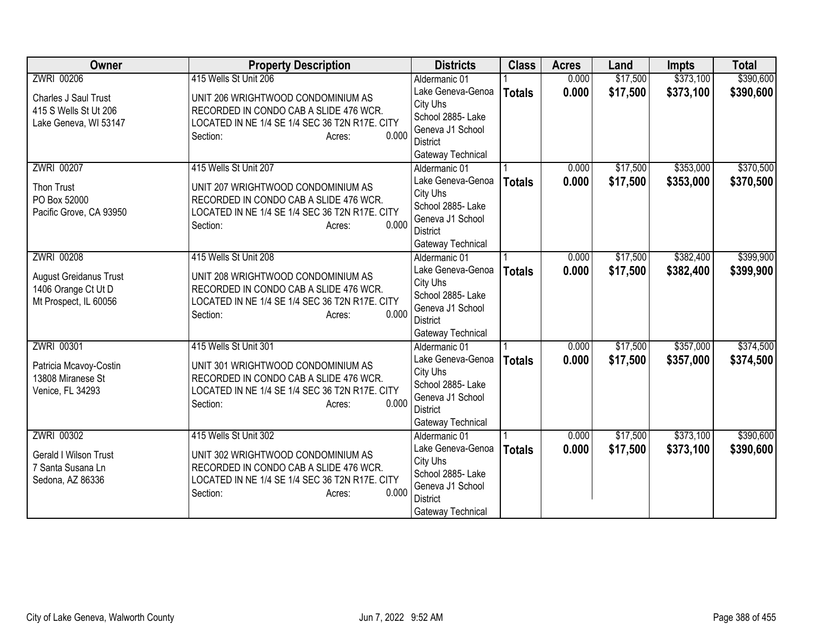| <b>Owner</b>                                 | <b>Property Description</b>                                                  | <b>Districts</b>                    | <b>Class</b>  | <b>Acres</b> | Land     | <b>Impts</b> | <b>Total</b> |
|----------------------------------------------|------------------------------------------------------------------------------|-------------------------------------|---------------|--------------|----------|--------------|--------------|
| <b>ZWRI 00206</b>                            | 415 Wells St Unit 206                                                        | Aldermanic 01                       |               | 0.000        | \$17,500 | \$373,100    | \$390,600    |
| Charles J Saul Trust                         | UNIT 206 WRIGHTWOOD CONDOMINIUM AS                                           | Lake Geneva-Genoa                   | <b>Totals</b> | 0.000        | \$17,500 | \$373,100    | \$390,600    |
| 415 S Wells St Ut 206                        | RECORDED IN CONDO CAB A SLIDE 476 WCR.                                       | City Uhs                            |               |              |          |              |              |
| Lake Geneva, WI 53147                        | LOCATED IN NE 1/4 SE 1/4 SEC 36 T2N R17E. CITY                               | School 2885- Lake                   |               |              |          |              |              |
|                                              | 0.000<br>Section:<br>Acres:                                                  | Geneva J1 School                    |               |              |          |              |              |
|                                              |                                                                              | District                            |               |              |          |              |              |
| <b>ZWRI 00207</b>                            | 415 Wells St Unit 207                                                        | Gateway Technical                   |               | 0.000        | \$17,500 | \$353,000    | \$370,500    |
|                                              |                                                                              | Aldermanic 01<br>Lake Geneva-Genoa  |               | 0.000        |          |              |              |
| Thon Trust                                   | UNIT 207 WRIGHTWOOD CONDOMINIUM AS                                           | City Uhs                            | <b>Totals</b> |              | \$17,500 | \$353,000    | \$370,500    |
| PO Box 52000                                 | RECORDED IN CONDO CAB A SLIDE 476 WCR.                                       | School 2885- Lake                   |               |              |          |              |              |
| Pacific Grove, CA 93950                      | LOCATED IN NE 1/4 SE 1/4 SEC 36 T2N R17E. CITY                               | Geneva J1 School                    |               |              |          |              |              |
|                                              | 0.000<br>Section:<br>Acres:                                                  | <b>District</b>                     |               |              |          |              |              |
|                                              |                                                                              | Gateway Technical                   |               |              |          |              |              |
| ZWRI 00208                                   | 415 Wells St Unit 208                                                        | Aldermanic 01                       |               | 0.000        | \$17,500 | \$382,400    | \$399,900    |
|                                              |                                                                              | Lake Geneva-Genoa                   | <b>Totals</b> | 0.000        | \$17,500 | \$382,400    | \$399,900    |
| <b>August Greidanus Trust</b>                | UNIT 208 WRIGHTWOOD CONDOMINIUM AS<br>RECORDED IN CONDO CAB A SLIDE 476 WCR. | City Uhs                            |               |              |          |              |              |
| 1406 Orange Ct Ut D<br>Mt Prospect, IL 60056 | LOCATED IN NE 1/4 SE 1/4 SEC 36 T2N R17E. CITY                               | School 2885- Lake                   |               |              |          |              |              |
|                                              | 0.000<br>Section:<br>Acres:                                                  | Geneva J1 School                    |               |              |          |              |              |
|                                              |                                                                              | <b>District</b>                     |               |              |          |              |              |
|                                              |                                                                              | Gateway Technical                   |               |              |          |              |              |
| ZWRI 00301                                   | 415 Wells St Unit 301                                                        | Aldermanic 01                       |               | 0.000        | \$17,500 | \$357,000    | \$374,500    |
| Patricia Mcavoy-Costin                       | UNIT 301 WRIGHTWOOD CONDOMINIUM AS                                           | Lake Geneva-Genoa                   | <b>Totals</b> | 0.000        | \$17,500 | \$357,000    | \$374,500    |
| 13808 Miranese St                            | RECORDED IN CONDO CAB A SLIDE 476 WCR.                                       | City Uhs                            |               |              |          |              |              |
| Venice, FL 34293                             | LOCATED IN NE 1/4 SE 1/4 SEC 36 T2N R17E. CITY                               | School 2885- Lake                   |               |              |          |              |              |
|                                              | 0.000<br>Section:<br>Acres:                                                  | Geneva J1 School<br><b>District</b> |               |              |          |              |              |
|                                              |                                                                              | Gateway Technical                   |               |              |          |              |              |
| ZWRI 00302                                   | 415 Wells St Unit 302                                                        | Aldermanic 01                       |               | 0.000        | \$17,500 | \$373,100    | \$390,600    |
|                                              |                                                                              | Lake Geneva-Genoa                   | <b>Totals</b> | 0.000        | \$17,500 | \$373,100    | \$390,600    |
| <b>Gerald I Wilson Trust</b>                 | UNIT 302 WRIGHTWOOD CONDOMINIUM AS                                           | City Uhs                            |               |              |          |              |              |
| 7 Santa Susana Ln                            | RECORDED IN CONDO CAB A SLIDE 476 WCR.                                       | School 2885- Lake                   |               |              |          |              |              |
| Sedona, AZ 86336                             | LOCATED IN NE 1/4 SE 1/4 SEC 36 T2N R17E. CITY                               | Geneva J1 School                    |               |              |          |              |              |
|                                              | 0.000<br>Section:<br>Acres:                                                  | <b>District</b>                     |               |              |          |              |              |
|                                              |                                                                              | Gateway Technical                   |               |              |          |              |              |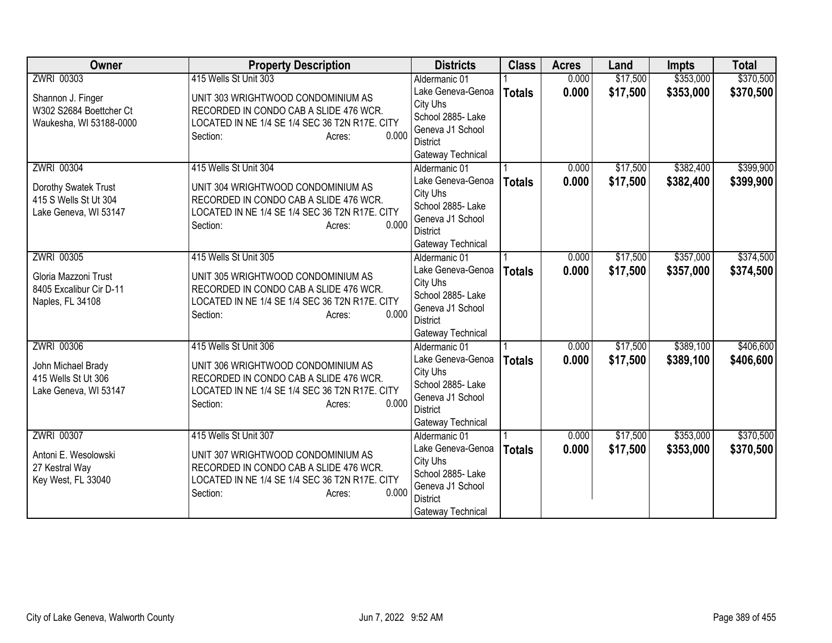| <b>Owner</b>                                                                         | <b>Property Description</b>                                                                                                                                                            | <b>Districts</b>                                                                                                                | <b>Class</b>  | <b>Acres</b>   | Land                 | <b>Impts</b>           | <b>Total</b>           |
|--------------------------------------------------------------------------------------|----------------------------------------------------------------------------------------------------------------------------------------------------------------------------------------|---------------------------------------------------------------------------------------------------------------------------------|---------------|----------------|----------------------|------------------------|------------------------|
| ZWRI 00303                                                                           | 415 Wells St Unit 303                                                                                                                                                                  | Aldermanic 01                                                                                                                   |               | 0.000          | \$17,500             | \$353,000              | \$370,500              |
| Shannon J. Finger<br>W302 S2684 Boettcher Ct<br>Waukesha, WI 53188-0000              | UNIT 303 WRIGHTWOOD CONDOMINIUM AS<br>RECORDED IN CONDO CAB A SLIDE 476 WCR.<br>LOCATED IN NE 1/4 SE 1/4 SEC 36 T2N R17E. CITY<br>0.000<br>Section:<br>Acres:                          | Lake Geneva-Genoa<br>City Uhs<br>School 2885- Lake<br>Geneva J1 School<br>District                                              | <b>Totals</b> | 0.000          | \$17,500             | \$353,000              | \$370,500              |
|                                                                                      |                                                                                                                                                                                        | Gateway Technical                                                                                                               |               |                |                      |                        |                        |
| ZWRI 00304<br>Dorothy Swatek Trust<br>415 S Wells St Ut 304<br>Lake Geneva, WI 53147 | 415 Wells St Unit 304<br>UNIT 304 WRIGHTWOOD CONDOMINIUM AS<br>RECORDED IN CONDO CAB A SLIDE 476 WCR.<br>LOCATED IN NE 1/4 SE 1/4 SEC 36 T2N R17E. CITY<br>0.000<br>Section:<br>Acres: | Aldermanic 01<br>Lake Geneva-Genoa<br>City Uhs<br>School 2885- Lake<br>Geneva J1 School<br><b>District</b><br>Gateway Technical | <b>Totals</b> | 0.000<br>0.000 | \$17,500<br>\$17,500 | \$382,400<br>\$382,400 | \$399,900<br>\$399,900 |
| ZWRI 00305                                                                           | 415 Wells St Unit 305                                                                                                                                                                  | Aldermanic 01                                                                                                                   |               | 0.000          | \$17,500             | \$357,000              | \$374,500              |
| Gloria Mazzoni Trust<br>8405 Excalibur Cir D-11<br>Naples, FL 34108                  | UNIT 305 WRIGHTWOOD CONDOMINIUM AS<br>RECORDED IN CONDO CAB A SLIDE 476 WCR.<br>LOCATED IN NE 1/4 SE 1/4 SEC 36 T2N R17E. CITY<br>0.000<br>Section:<br>Acres:                          | Lake Geneva-Genoa<br>City Uhs<br>School 2885-Lake<br>Geneva J1 School<br>District<br>Gateway Technical                          | <b>Totals</b> | 0.000          | \$17,500             | \$357,000              | \$374,500              |
| <b>ZWRI 00306</b>                                                                    | 415 Wells St Unit 306                                                                                                                                                                  | Aldermanic 01                                                                                                                   |               | 0.000          | \$17,500             | \$389,100              | \$406,600              |
| John Michael Brady<br>415 Wells St Ut 306<br>Lake Geneva, WI 53147                   | UNIT 306 WRIGHTWOOD CONDOMINIUM AS<br>RECORDED IN CONDO CAB A SLIDE 476 WCR.<br>LOCATED IN NE 1/4 SE 1/4 SEC 36 T2N R17E. CITY<br>0.000<br>Section:<br>Acres:                          | Lake Geneva-Genoa<br>City Uhs<br>School 2885- Lake<br>Geneva J1 School<br><b>District</b><br>Gateway Technical                  | <b>Totals</b> | 0.000          | \$17,500             | \$389,100              | \$406,600              |
| <b>ZWRI 00307</b>                                                                    | 415 Wells St Unit 307                                                                                                                                                                  | Aldermanic 01                                                                                                                   |               | 0.000          | \$17,500             | \$353,000              | \$370,500              |
| Antoni E. Wesolowski<br>27 Kestral Way<br>Key West, FL 33040                         | UNIT 307 WRIGHTWOOD CONDOMINIUM AS<br>RECORDED IN CONDO CAB A SLIDE 476 WCR.<br>LOCATED IN NE 1/4 SE 1/4 SEC 36 T2N R17E. CITY<br>0.000<br>Section:<br>Acres:                          | Lake Geneva-Genoa<br>City Uhs<br>School 2885- Lake<br>Geneva J1 School<br><b>District</b><br>Gateway Technical                  | <b>Totals</b> | 0.000          | \$17,500             | \$353,000              | \$370,500              |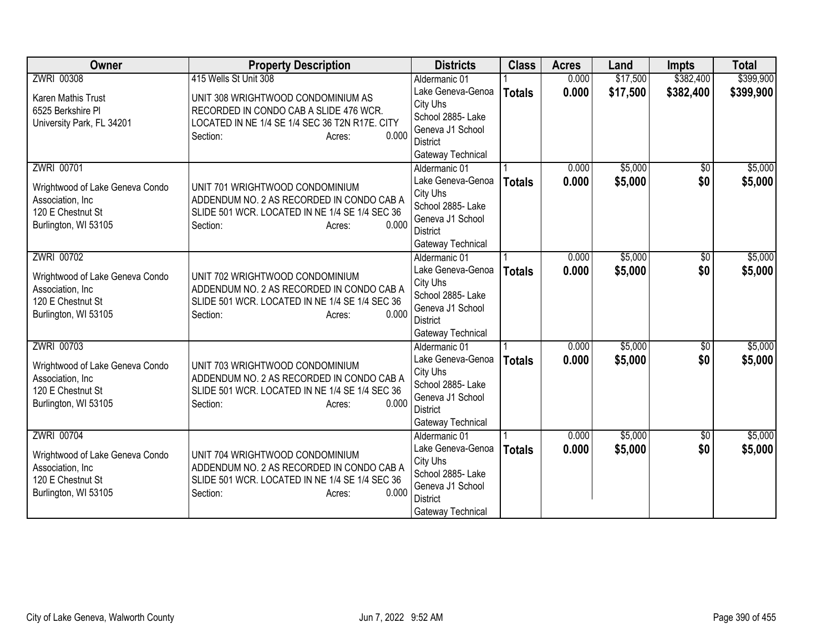| <b>Owner</b>                          | <b>Property Description</b>                                                  | <b>Districts</b>                    | <b>Class</b>  | <b>Acres</b> | Land     | <b>Impts</b>    | <b>Total</b> |
|---------------------------------------|------------------------------------------------------------------------------|-------------------------------------|---------------|--------------|----------|-----------------|--------------|
| <b>ZWRI 00308</b>                     | 415 Wells St Unit 308                                                        | Aldermanic 01                       |               | 0.000        | \$17,500 | \$382,400       | \$399,900    |
| Karen Mathis Trust                    | UNIT 308 WRIGHTWOOD CONDOMINIUM AS                                           | Lake Geneva-Genoa                   | <b>Totals</b> | 0.000        | \$17,500 | \$382,400       | \$399,900    |
| 6525 Berkshire PI                     | RECORDED IN CONDO CAB A SLIDE 476 WCR.                                       | City Uhs                            |               |              |          |                 |              |
| University Park, FL 34201             | LOCATED IN NE 1/4 SE 1/4 SEC 36 T2N R17E. CITY                               | School 2885- Lake                   |               |              |          |                 |              |
|                                       | 0.000<br>Section:<br>Acres:                                                  | Geneva J1 School                    |               |              |          |                 |              |
|                                       |                                                                              | District                            |               |              |          |                 |              |
|                                       |                                                                              | Gateway Technical                   |               |              |          |                 |              |
| <b>ZWRI 00701</b>                     |                                                                              | Aldermanic 01                       |               | 0.000        | \$5,000  | $\overline{30}$ | \$5,000      |
| Wrightwood of Lake Geneva Condo       | UNIT 701 WRIGHTWOOD CONDOMINIUM                                              | Lake Geneva-Genoa                   | <b>Totals</b> | 0.000        | \$5,000  | \$0             | \$5,000      |
| Association, Inc.                     | ADDENDUM NO. 2 AS RECORDED IN CONDO CAB A                                    | City Uhs                            |               |              |          |                 |              |
| 120 E Chestnut St                     | SLIDE 501 WCR. LOCATED IN NE 1/4 SE 1/4 SEC 36                               | School 2885- Lake                   |               |              |          |                 |              |
| Burlington, WI 53105                  | 0.000<br>Section:<br>Acres:                                                  | Geneva J1 School<br><b>District</b> |               |              |          |                 |              |
|                                       |                                                                              | Gateway Technical                   |               |              |          |                 |              |
| ZWRI 00702                            |                                                                              | Aldermanic 01                       |               | 0.000        | \$5,000  | \$0             | \$5,000      |
|                                       |                                                                              | Lake Geneva-Genoa                   |               | 0.000        | \$5,000  | \$0             | \$5,000      |
| Wrightwood of Lake Geneva Condo       | UNIT 702 WRIGHTWOOD CONDOMINIUM                                              | City Uhs                            | <b>Totals</b> |              |          |                 |              |
| Association, Inc                      | ADDENDUM NO. 2 AS RECORDED IN CONDO CAB A                                    | School 2885- Lake                   |               |              |          |                 |              |
| 120 E Chestnut St                     | SLIDE 501 WCR. LOCATED IN NE 1/4 SE 1/4 SEC 36                               | Geneva J1 School                    |               |              |          |                 |              |
| Burlington, WI 53105                  | 0.000<br>Section:<br>Acres:                                                  | <b>District</b>                     |               |              |          |                 |              |
|                                       |                                                                              | Gateway Technical                   |               |              |          |                 |              |
| ZWRI 00703                            |                                                                              | Aldermanic 01                       |               | 0.000        | \$5,000  | $\overline{50}$ | \$5,000      |
|                                       |                                                                              | Lake Geneva-Genoa                   | <b>Totals</b> | 0.000        | \$5,000  | \$0             | \$5,000      |
| Wrightwood of Lake Geneva Condo       | UNIT 703 WRIGHTWOOD CONDOMINIUM<br>ADDENDUM NO. 2 AS RECORDED IN CONDO CAB A | City Uhs                            |               |              |          |                 |              |
| Association, Inc<br>120 E Chestnut St | SLIDE 501 WCR. LOCATED IN NE 1/4 SE 1/4 SEC 36                               | School 2885- Lake                   |               |              |          |                 |              |
| Burlington, WI 53105                  | 0.000<br>Section:<br>Acres:                                                  | Geneva J1 School                    |               |              |          |                 |              |
|                                       |                                                                              | <b>District</b>                     |               |              |          |                 |              |
|                                       |                                                                              | Gateway Technical                   |               |              |          |                 |              |
| ZWRI 00704                            |                                                                              | Aldermanic 01                       |               | 0.000        | \$5,000  | \$0             | \$5,000      |
| Wrightwood of Lake Geneva Condo       | UNIT 704 WRIGHTWOOD CONDOMINIUM                                              | Lake Geneva-Genoa                   | <b>Totals</b> | 0.000        | \$5,000  | \$0             | \$5,000      |
| Association, Inc.                     | ADDENDUM NO. 2 AS RECORDED IN CONDO CAB A                                    | City Uhs                            |               |              |          |                 |              |
| 120 E Chestnut St                     | SLIDE 501 WCR. LOCATED IN NE 1/4 SE 1/4 SEC 36                               | School 2885- Lake                   |               |              |          |                 |              |
| Burlington, WI 53105                  | 0.000<br>Section:<br>Acres:                                                  | Geneva J1 School                    |               |              |          |                 |              |
|                                       |                                                                              | District                            |               |              |          |                 |              |
|                                       |                                                                              | Gateway Technical                   |               |              |          |                 |              |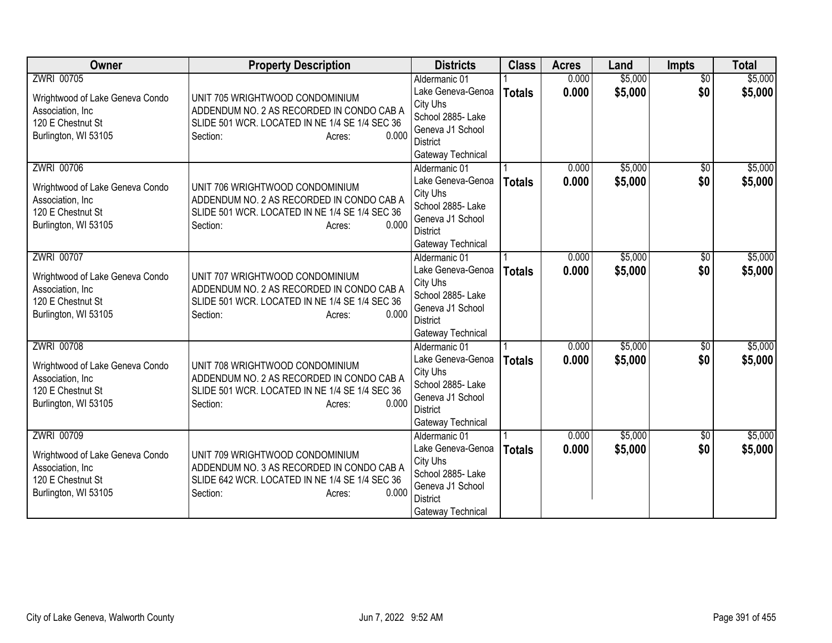| <b>Owner</b>                                        | <b>Property Description</b>                    | <b>Districts</b>                    | <b>Class</b>  | <b>Acres</b> | Land    | <b>Impts</b>    | <b>Total</b> |
|-----------------------------------------------------|------------------------------------------------|-------------------------------------|---------------|--------------|---------|-----------------|--------------|
| <b>ZWRI 00705</b>                                   |                                                | Aldermanic 01                       |               | 0.000        | \$5,000 | $\overline{30}$ | \$5,000      |
| Wrightwood of Lake Geneva Condo                     | UNIT 705 WRIGHTWOOD CONDOMINIUM                | Lake Geneva-Genoa                   | <b>Totals</b> | 0.000        | \$5,000 | \$0             | \$5,000      |
| Association, Inc.                                   | ADDENDUM NO. 2 AS RECORDED IN CONDO CAB A      | City Uhs                            |               |              |         |                 |              |
| 120 E Chestnut St                                   | SLIDE 501 WCR. LOCATED IN NE 1/4 SE 1/4 SEC 36 | School 2885- Lake                   |               |              |         |                 |              |
| Burlington, WI 53105                                | 0.000<br>Section:<br>Acres:                    | Geneva J1 School                    |               |              |         |                 |              |
|                                                     |                                                | <b>District</b>                     |               |              |         |                 |              |
| ZWRI 00706                                          |                                                | Gateway Technical<br>Aldermanic 01  |               | 0.000        | \$5,000 |                 | \$5,000      |
|                                                     |                                                | Lake Geneva-Genoa                   |               | 0.000        |         | \$0<br>\$0      |              |
| Wrightwood of Lake Geneva Condo                     | UNIT 706 WRIGHTWOOD CONDOMINIUM                | City Uhs                            | <b>Totals</b> |              | \$5,000 |                 | \$5,000      |
| Association, Inc                                    | ADDENDUM NO. 2 AS RECORDED IN CONDO CAB A      | School 2885- Lake                   |               |              |         |                 |              |
| 120 E Chestnut St                                   | SLIDE 501 WCR. LOCATED IN NE 1/4 SE 1/4 SEC 36 | Geneva J1 School                    |               |              |         |                 |              |
| Burlington, WI 53105                                | 0.000<br>Section:<br>Acres:                    | <b>District</b>                     |               |              |         |                 |              |
|                                                     |                                                | Gateway Technical                   |               |              |         |                 |              |
| <b>ZWRI 00707</b>                                   |                                                | Aldermanic 01                       |               | 0.000        | \$5,000 | \$0             | \$5,000      |
|                                                     | UNIT 707 WRIGHTWOOD CONDOMINIUM                | Lake Geneva-Genoa                   | <b>Totals</b> | 0.000        | \$5,000 | \$0             | \$5,000      |
| Wrightwood of Lake Geneva Condo<br>Association, Inc | ADDENDUM NO. 2 AS RECORDED IN CONDO CAB A      | City Uhs                            |               |              |         |                 |              |
| 120 E Chestnut St                                   | SLIDE 501 WCR. LOCATED IN NE 1/4 SE 1/4 SEC 36 | School 2885- Lake                   |               |              |         |                 |              |
| Burlington, WI 53105                                | 0.000<br>Section:<br>Acres:                    | Geneva J1 School                    |               |              |         |                 |              |
|                                                     |                                                | <b>District</b>                     |               |              |         |                 |              |
|                                                     |                                                | Gateway Technical                   |               |              |         |                 |              |
| <b>ZWRI 00708</b>                                   |                                                | Aldermanic 01                       |               | 0.000        | \$5,000 | $\overline{30}$ | \$5,000      |
| Wrightwood of Lake Geneva Condo                     | UNIT 708 WRIGHTWOOD CONDOMINIUM                | Lake Geneva-Genoa                   | <b>Totals</b> | 0.000        | \$5,000 | \$0             | \$5,000      |
| Association, Inc                                    | ADDENDUM NO. 2 AS RECORDED IN CONDO CAB A      | City Uhs                            |               |              |         |                 |              |
| 120 E Chestnut St                                   | SLIDE 501 WCR. LOCATED IN NE 1/4 SE 1/4 SEC 36 | School 2885- Lake                   |               |              |         |                 |              |
| Burlington, WI 53105                                | 0.000<br>Section:<br>Acres:                    | Geneva J1 School<br><b>District</b> |               |              |         |                 |              |
|                                                     |                                                | Gateway Technical                   |               |              |         |                 |              |
| <b>ZWRI 00709</b>                                   |                                                | Aldermanic 01                       |               | 0.000        | \$5,000 | \$0             | \$5,000      |
|                                                     |                                                | Lake Geneva-Genoa                   | <b>Totals</b> | 0.000        | \$5,000 | \$0             | \$5,000      |
| Wrightwood of Lake Geneva Condo                     | UNIT 709 WRIGHTWOOD CONDOMINIUM                | City Uhs                            |               |              |         |                 |              |
| Association, Inc                                    | ADDENDUM NO. 3 AS RECORDED IN CONDO CAB A      | School 2885- Lake                   |               |              |         |                 |              |
| 120 E Chestnut St                                   | SLIDE 642 WCR. LOCATED IN NE 1/4 SE 1/4 SEC 36 | Geneva J1 School                    |               |              |         |                 |              |
| Burlington, WI 53105                                | 0.000<br>Section:<br>Acres:                    | <b>District</b>                     |               |              |         |                 |              |
|                                                     |                                                | Gateway Technical                   |               |              |         |                 |              |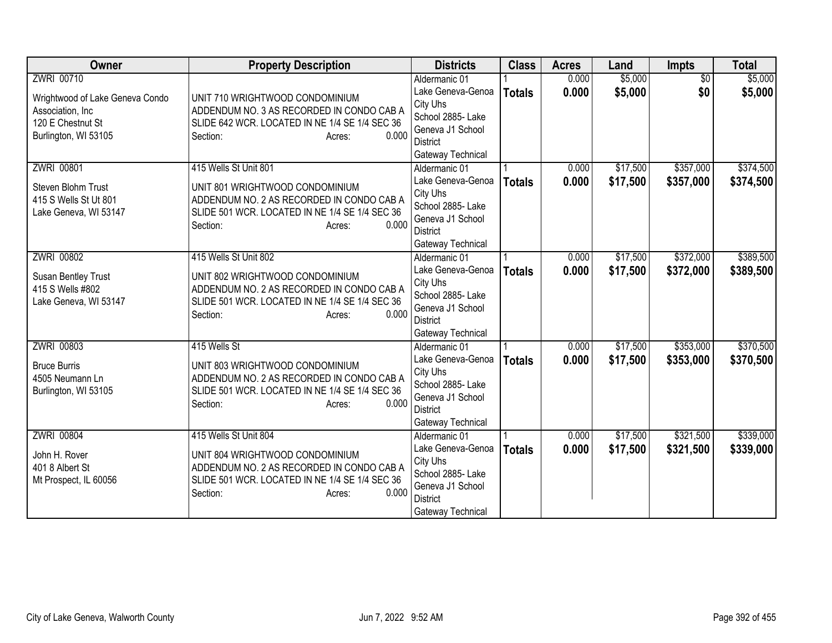| <b>Owner</b>                     | <b>Property Description</b>                                                  | <b>Districts</b>                   | <b>Class</b>  | <b>Acres</b> | Land     | Impts           | <b>Total</b> |
|----------------------------------|------------------------------------------------------------------------------|------------------------------------|---------------|--------------|----------|-----------------|--------------|
| ZWRI 00710                       |                                                                              | Aldermanic 01                      |               | 0.000        | \$5,000  | $\overline{50}$ | \$5,000      |
| Wrightwood of Lake Geneva Condo  | UNIT 710 WRIGHTWOOD CONDOMINIUM                                              | Lake Geneva-Genoa                  | <b>Totals</b> | 0.000        | \$5,000  | \$0             | \$5,000      |
| Association, Inc.                | ADDENDUM NO. 3 AS RECORDED IN CONDO CAB A                                    | City Uhs                           |               |              |          |                 |              |
| 120 E Chestnut St                | SLIDE 642 WCR. LOCATED IN NE 1/4 SE 1/4 SEC 36                               | School 2885- Lake                  |               |              |          |                 |              |
| Burlington, WI 53105             | 0.000<br>Section:<br>Acres:                                                  | Geneva J1 School<br>District       |               |              |          |                 |              |
|                                  |                                                                              | Gateway Technical                  |               |              |          |                 |              |
| <b>ZWRI 00801</b>                | 415 Wells St Unit 801                                                        | Aldermanic 01                      |               | 0.000        | \$17,500 | \$357,000       | \$374,500    |
|                                  |                                                                              | Lake Geneva-Genoa                  | <b>Totals</b> | 0.000        | \$17,500 | \$357,000       | \$374,500    |
| Steven Blohm Trust               | UNIT 801 WRIGHTWOOD CONDOMINIUM                                              | City Uhs                           |               |              |          |                 |              |
| 415 S Wells St Ut 801            | ADDENDUM NO. 2 AS RECORDED IN CONDO CAB A                                    | School 2885- Lake                  |               |              |          |                 |              |
| Lake Geneva, WI 53147            | SLIDE 501 WCR. LOCATED IN NE 1/4 SE 1/4 SEC 36                               | Geneva J1 School                   |               |              |          |                 |              |
|                                  | 0.000<br>Section:<br>Acres:                                                  | <b>District</b>                    |               |              |          |                 |              |
|                                  |                                                                              | Gateway Technical                  |               |              |          |                 |              |
| <b>ZWRI 00802</b>                | 415 Wells St Unit 802                                                        | Aldermanic 01                      |               | 0.000        | \$17,500 | \$372,000       | \$389,500    |
| Susan Bentley Trust              | UNIT 802 WRIGHTWOOD CONDOMINIUM                                              | Lake Geneva-Genoa                  | <b>Totals</b> | 0.000        | \$17,500 | \$372,000       | \$389,500    |
| 415 S Wells #802                 | ADDENDUM NO. 2 AS RECORDED IN CONDO CAB A                                    | City Uhs                           |               |              |          |                 |              |
| Lake Geneva, WI 53147            | SLIDE 501 WCR. LOCATED IN NE 1/4 SE 1/4 SEC 36                               | School 2885- Lake                  |               |              |          |                 |              |
|                                  | 0.000<br>Section:<br>Acres:                                                  | Geneva J1 School                   |               |              |          |                 |              |
|                                  |                                                                              | <b>District</b>                    |               |              |          |                 |              |
|                                  | 415 Wells St                                                                 | Gateway Technical                  |               |              |          | \$353,000       | \$370,500    |
| <b>ZWRI 00803</b>                |                                                                              | Aldermanic 01<br>Lake Geneva-Genoa |               | 0.000        | \$17,500 |                 |              |
| <b>Bruce Burris</b>              | UNIT 803 WRIGHTWOOD CONDOMINIUM                                              | City Uhs                           | <b>Totals</b> | 0.000        | \$17,500 | \$353,000       | \$370,500    |
| 4505 Neumann Ln                  | ADDENDUM NO. 2 AS RECORDED IN CONDO CAB A                                    | School 2885- Lake                  |               |              |          |                 |              |
| Burlington, WI 53105             | SLIDE 501 WCR. LOCATED IN NE 1/4 SE 1/4 SEC 36                               | Geneva J1 School                   |               |              |          |                 |              |
|                                  | 0.000<br>Section:<br>Acres:                                                  | <b>District</b>                    |               |              |          |                 |              |
|                                  |                                                                              | Gateway Technical                  |               |              |          |                 |              |
| ZWRI 00804                       | 415 Wells St Unit 804                                                        | Aldermanic 01                      |               | 0.000        | \$17,500 | \$321,500       | \$339,000    |
|                                  |                                                                              | Lake Geneva-Genoa                  | <b>Totals</b> | 0.000        | \$17,500 | \$321,500       | \$339,000    |
| John H. Rover<br>401 8 Albert St | UNIT 804 WRIGHTWOOD CONDOMINIUM<br>ADDENDUM NO. 2 AS RECORDED IN CONDO CAB A | City Uhs                           |               |              |          |                 |              |
| Mt Prospect, IL 60056            | SLIDE 501 WCR. LOCATED IN NE 1/4 SE 1/4 SEC 36                               | School 2885- Lake                  |               |              |          |                 |              |
|                                  | 0.000<br>Section:<br>Acres:                                                  | Geneva J1 School                   |               |              |          |                 |              |
|                                  |                                                                              | <b>District</b>                    |               |              |          |                 |              |
|                                  |                                                                              | Gateway Technical                  |               |              |          |                 |              |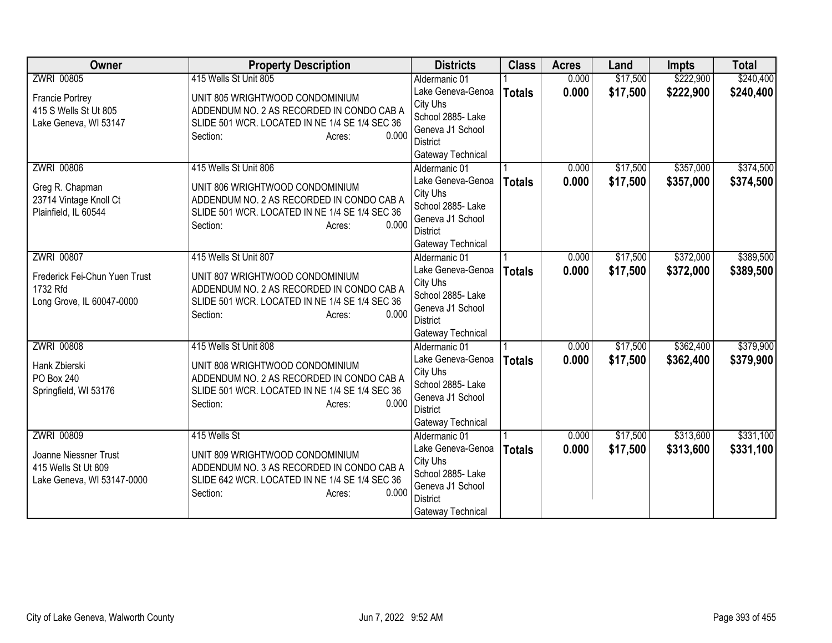| <b>Owner</b>                  | <b>Property Description</b>                    | <b>Districts</b>                      | <b>Class</b>  | <b>Acres</b> | Land     | <b>Impts</b> | <b>Total</b> |
|-------------------------------|------------------------------------------------|---------------------------------------|---------------|--------------|----------|--------------|--------------|
| <b>ZWRI 00805</b>             | 415 Wells St Unit 805                          | Aldermanic 01                         |               | 0.000        | \$17,500 | \$222,900    | \$240,400    |
| <b>Francie Portrey</b>        | UNIT 805 WRIGHTWOOD CONDOMINIUM                | Lake Geneva-Genoa                     | <b>Totals</b> | 0.000        | \$17,500 | \$222,900    | \$240,400    |
| 415 S Wells St Ut 805         | ADDENDUM NO. 2 AS RECORDED IN CONDO CAB A      | City Uhs                              |               |              |          |              |              |
| Lake Geneva, WI 53147         | SLIDE 501 WCR. LOCATED IN NE 1/4 SE 1/4 SEC 36 | School 2885- Lake                     |               |              |          |              |              |
|                               | 0.000<br>Section:<br>Acres:                    | Geneva J1 School                      |               |              |          |              |              |
|                               |                                                | District                              |               |              |          |              |              |
|                               |                                                | Gateway Technical                     |               |              |          |              |              |
| <b>ZWRI 00806</b>             | 415 Wells St Unit 806                          | Aldermanic 01                         |               | 0.000        | \$17,500 | \$357,000    | \$374,500    |
| Greg R. Chapman               | UNIT 806 WRIGHTWOOD CONDOMINIUM                | Lake Geneva-Genoa                     | <b>Totals</b> | 0.000        | \$17,500 | \$357,000    | \$374,500    |
| 23714 Vintage Knoll Ct        | ADDENDUM NO. 2 AS RECORDED IN CONDO CAB A      | City Uhs<br>School 2885- Lake         |               |              |          |              |              |
| Plainfield, IL 60544          | SLIDE 501 WCR. LOCATED IN NE 1/4 SE 1/4 SEC 36 | Geneva J1 School                      |               |              |          |              |              |
|                               | 0.000<br>Section:<br>Acres:                    | <b>District</b>                       |               |              |          |              |              |
|                               |                                                | Gateway Technical                     |               |              |          |              |              |
| <b>ZWRI 00807</b>             | 415 Wells St Unit 807                          | Aldermanic 01                         |               | 0.000        | \$17,500 | \$372,000    | \$389,500    |
|                               |                                                | Lake Geneva-Genoa                     | <b>Totals</b> | 0.000        | \$17,500 | \$372,000    | \$389,500    |
| Frederick Fei-Chun Yuen Trust | UNIT 807 WRIGHTWOOD CONDOMINIUM                | City Uhs                              |               |              |          |              |              |
| 1732 Rfd                      | ADDENDUM NO. 2 AS RECORDED IN CONDO CAB A      | School 2885- Lake                     |               |              |          |              |              |
| Long Grove, IL 60047-0000     | SLIDE 501 WCR. LOCATED IN NE 1/4 SE 1/4 SEC 36 | Geneva J1 School                      |               |              |          |              |              |
|                               | 0.000<br>Section:<br>Acres:                    | District                              |               |              |          |              |              |
|                               |                                                | Gateway Technical                     |               |              |          |              |              |
| <b>ZWRI 00808</b>             | 415 Wells St Unit 808                          | Aldermanic 01                         |               | 0.000        | \$17,500 | \$362,400    | \$379,900    |
| Hank Zbierski                 | UNIT 808 WRIGHTWOOD CONDOMINIUM                | Lake Geneva-Genoa                     | <b>Totals</b> | 0.000        | \$17,500 | \$362,400    | \$379,900    |
| PO Box 240                    | ADDENDUM NO. 2 AS RECORDED IN CONDO CAB A      | City Uhs                              |               |              |          |              |              |
| Springfield, WI 53176         | SLIDE 501 WCR. LOCATED IN NE 1/4 SE 1/4 SEC 36 | School 2885- Lake                     |               |              |          |              |              |
|                               | 0.000<br>Section:<br>Acres:                    | Geneva J1 School                      |               |              |          |              |              |
|                               |                                                | <b>District</b>                       |               |              |          |              |              |
|                               |                                                | Gateway Technical                     |               |              |          |              |              |
| <b>ZWRI 00809</b>             | 415 Wells St                                   | Aldermanic 01                         |               | 0.000        | \$17,500 | \$313,600    | \$331,100    |
| Joanne Niessner Trust         | UNIT 809 WRIGHTWOOD CONDOMINIUM                | Lake Geneva-Genoa                     | <b>Totals</b> | 0.000        | \$17,500 | \$313,600    | \$331,100    |
| 415 Wells St Ut 809           | ADDENDUM NO. 3 AS RECORDED IN CONDO CAB A      | City Uhs                              |               |              |          |              |              |
| Lake Geneva, WI 53147-0000    | SLIDE 642 WCR. LOCATED IN NE 1/4 SE 1/4 SEC 36 | School 2885- Lake<br>Geneva J1 School |               |              |          |              |              |
|                               | 0.000<br>Section:<br>Acres:                    | <b>District</b>                       |               |              |          |              |              |
|                               |                                                | Gateway Technical                     |               |              |          |              |              |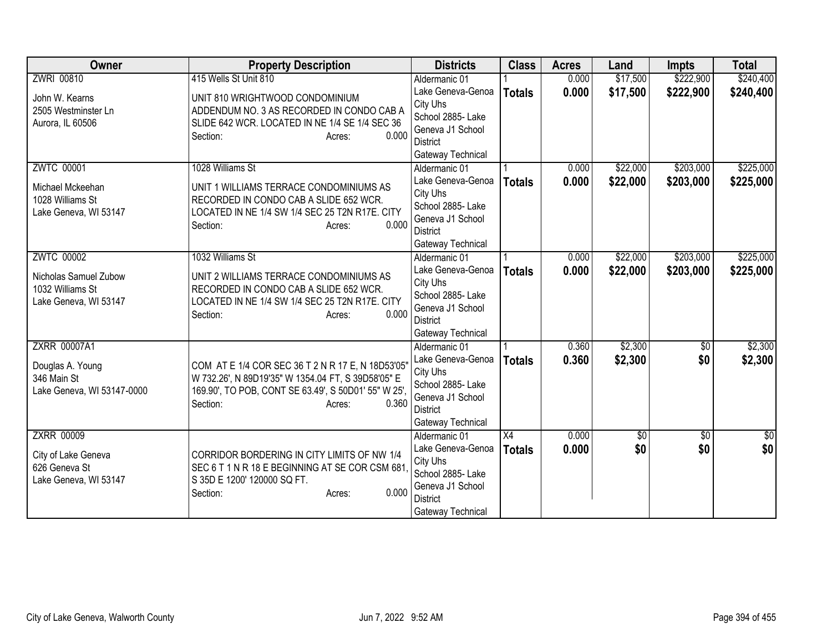| Owner                           | <b>Property Description</b>                                                                                | <b>Districts</b>                   | <b>Class</b>  | <b>Acres</b> | Land       | <b>Impts</b>    | <b>Total</b>  |
|---------------------------------|------------------------------------------------------------------------------------------------------------|------------------------------------|---------------|--------------|------------|-----------------|---------------|
| <b>ZWRI 00810</b>               | 415 Wells St Unit 810                                                                                      | Aldermanic 01                      |               | 0.000        | \$17,500   | \$222,900       | \$240,400     |
| John W. Kearns                  | UNIT 810 WRIGHTWOOD CONDOMINIUM                                                                            | Lake Geneva-Genoa                  | <b>Totals</b> | 0.000        | \$17,500   | \$222,900       | \$240,400     |
| 2505 Westminster Ln             | ADDENDUM NO. 3 AS RECORDED IN CONDO CAB A                                                                  | City Uhs                           |               |              |            |                 |               |
| Aurora, IL 60506                | SLIDE 642 WCR. LOCATED IN NE 1/4 SE 1/4 SEC 36                                                             | School 2885- Lake                  |               |              |            |                 |               |
|                                 | 0.000<br>Section:<br>Acres:                                                                                | Geneva J1 School                   |               |              |            |                 |               |
|                                 |                                                                                                            | District                           |               |              |            |                 |               |
|                                 |                                                                                                            | Gateway Technical                  |               |              |            |                 |               |
| <b>ZWTC 00001</b>               | 1028 Williams St                                                                                           | Aldermanic 01                      |               | 0.000        | \$22,000   | \$203,000       | \$225,000     |
| Michael Mckeehan                | UNIT 1 WILLIAMS TERRACE CONDOMINIUMS AS                                                                    | Lake Geneva-Genoa                  | <b>Totals</b> | 0.000        | \$22,000   | \$203,000       | \$225,000     |
| 1028 Williams St                | RECORDED IN CONDO CAB A SLIDE 652 WCR.                                                                     | City Uhs                           |               |              |            |                 |               |
| Lake Geneva, WI 53147           | LOCATED IN NE 1/4 SW 1/4 SEC 25 T2N R17E. CITY                                                             | School 2885- Lake                  |               |              |            |                 |               |
|                                 | 0.000<br>Section:<br>Acres:                                                                                | Geneva J1 School                   |               |              |            |                 |               |
|                                 |                                                                                                            | <b>District</b>                    |               |              |            |                 |               |
| <b>ZWTC 00002</b>               | 1032 Williams St                                                                                           | Gateway Technical<br>Aldermanic 01 |               | 0.000        | \$22,000   | \$203,000       | \$225,000     |
|                                 |                                                                                                            | Lake Geneva-Genoa                  |               |              |            |                 |               |
| Nicholas Samuel Zubow           | UNIT 2 WILLIAMS TERRACE CONDOMINIUMS AS                                                                    | City Uhs                           | <b>Totals</b> | 0.000        | \$22,000   | \$203,000       | \$225,000     |
| 1032 Williams St                | RECORDED IN CONDO CAB A SLIDE 652 WCR.                                                                     | School 2885-Lake                   |               |              |            |                 |               |
| Lake Geneva, WI 53147           | LOCATED IN NE 1/4 SW 1/4 SEC 25 T2N R17E. CITY                                                             | Geneva J1 School                   |               |              |            |                 |               |
|                                 | 0.000<br>Section:<br>Acres:                                                                                | <b>District</b>                    |               |              |            |                 |               |
|                                 |                                                                                                            | Gateway Technical                  |               |              |            |                 |               |
| <b>ZXRR 00007A1</b>             |                                                                                                            | Aldermanic 01                      |               | 0.360        | \$2,300    | $\overline{60}$ | \$2,300       |
|                                 |                                                                                                            | Lake Geneva-Genoa                  | <b>Totals</b> | 0.360        | \$2,300    | \$0             | \$2,300       |
| Douglas A. Young<br>346 Main St | COM AT E 1/4 COR SEC 36 T 2 N R 17 E, N 18D53'05'                                                          | City Uhs                           |               |              |            |                 |               |
| Lake Geneva, WI 53147-0000      | W 732.26', N 89D19'35" W 1354.04 FT, S 39D58'05" E<br>169.90', TO POB, CONT SE 63.49', S 50D01' 55" W 25', | School 2885- Lake                  |               |              |            |                 |               |
|                                 | Section:<br>0.360<br>Acres:                                                                                | Geneva J1 School                   |               |              |            |                 |               |
|                                 |                                                                                                            | <b>District</b>                    |               |              |            |                 |               |
|                                 |                                                                                                            | Gateway Technical                  |               |              |            |                 |               |
| <b>ZXRR 00009</b>               |                                                                                                            | Aldermanic 01                      | X4            | 0.000        | $\sqrt{6}$ | $\overline{50}$ | $\frac{6}{3}$ |
| City of Lake Geneva             | CORRIDOR BORDERING IN CITY LIMITS OF NW 1/4                                                                | Lake Geneva-Genoa                  | <b>Totals</b> | 0.000        | \$0        | \$0             | \$0           |
| 626 Geneva St                   | SEC 6 T 1 N R 18 E BEGINNING AT SE COR CSM 681                                                             | City Uhs                           |               |              |            |                 |               |
| Lake Geneva, WI 53147           | S 35D E 1200' 120000 SQ FT.                                                                                | School 2885- Lake                  |               |              |            |                 |               |
|                                 | 0.000<br>Section:<br>Acres:                                                                                | Geneva J1 School                   |               |              |            |                 |               |
|                                 |                                                                                                            | <b>District</b>                    |               |              |            |                 |               |
|                                 |                                                                                                            | Gateway Technical                  |               |              |            |                 |               |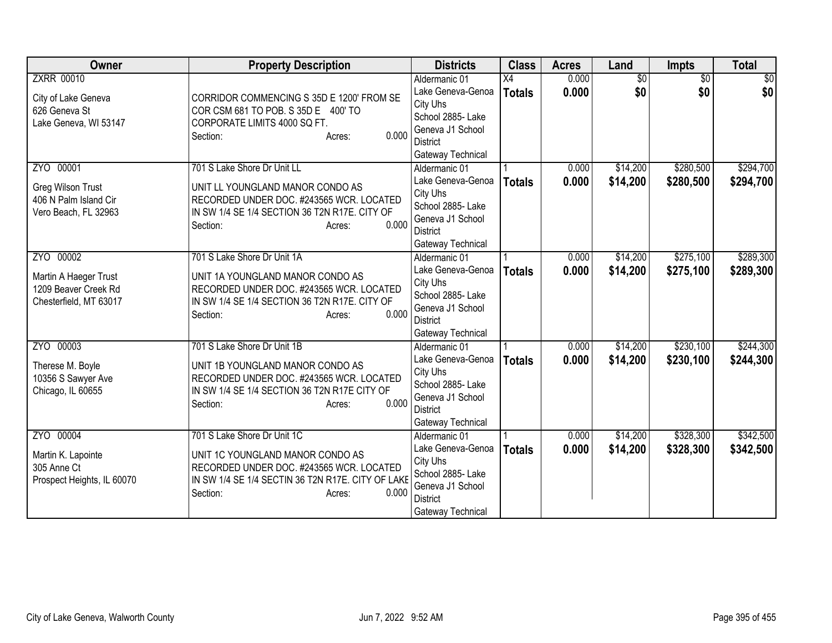| <b>Owner</b>                                                                         | <b>Property Description</b>                                                                                                                                                                     | <b>Districts</b>                                                                                                                | <b>Class</b>                     | <b>Acres</b>   | Land                   | Impts                  | <b>Total</b>           |
|--------------------------------------------------------------------------------------|-------------------------------------------------------------------------------------------------------------------------------------------------------------------------------------------------|---------------------------------------------------------------------------------------------------------------------------------|----------------------------------|----------------|------------------------|------------------------|------------------------|
| <b>ZXRR 00010</b><br>City of Lake Geneva<br>626 Geneva St<br>Lake Geneva, WI 53147   | CORRIDOR COMMENCING S 35D E 1200' FROM SE<br>COR CSM 681 TO POB. S 35D E 400' TO<br>CORPORATE LIMITS 4000 SQ FT.<br>0.000<br>Section:<br>Acres:                                                 | Aldermanic 01<br>Lake Geneva-Genoa<br>City Uhs<br>School 2885-Lake<br>Geneva J1 School<br><b>District</b><br>Gateway Technical  | $\overline{X4}$<br><b>Totals</b> | 0.000<br>0.000 | $\overline{50}$<br>\$0 | $\overline{50}$<br>\$0 | $\overline{50}$<br>\$0 |
| ZYO 00001<br>Greg Wilson Trust<br>406 N Palm Island Cir<br>Vero Beach, FL 32963      | 701 S Lake Shore Dr Unit LL<br>UNIT LL YOUNGLAND MANOR CONDO AS<br>RECORDED UNDER DOC. #243565 WCR. LOCATED<br>IN SW 1/4 SE 1/4 SECTION 36 T2N R17E. CITY OF<br>0.000<br>Section:<br>Acres:     | Aldermanic 01<br>Lake Geneva-Genoa<br>City Uhs<br>School 2885- Lake<br>Geneva J1 School<br><b>District</b><br>Gateway Technical | <b>Totals</b>                    | 0.000<br>0.000 | \$14,200<br>\$14,200   | \$280,500<br>\$280,500 | \$294,700<br>\$294,700 |
| ZYO 00002<br>Martin A Haeger Trust<br>1209 Beaver Creek Rd<br>Chesterfield, MT 63017 | 701 S Lake Shore Dr Unit 1A<br>UNIT 1A YOUNGLAND MANOR CONDO AS<br>RECORDED UNDER DOC. #243565 WCR. LOCATED<br>IN SW 1/4 SE 1/4 SECTION 36 T2N R17E. CITY OF<br>0.000<br>Section:<br>Acres:     | Aldermanic 01<br>Lake Geneva-Genoa<br>City Uhs<br>School 2885- Lake<br>Geneva J1 School<br><b>District</b><br>Gateway Technical | <b>Totals</b>                    | 0.000<br>0.000 | \$14,200<br>\$14,200   | \$275,100<br>\$275,100 | \$289,300<br>\$289,300 |
| ZYO 00003<br>Therese M. Boyle<br>10356 S Sawyer Ave<br>Chicago, IL 60655             | 701 S Lake Shore Dr Unit 1B<br>UNIT 1B YOUNGLAND MANOR CONDO AS<br>RECORDED UNDER DOC. #243565 WCR. LOCATED<br>IN SW 1/4 SE 1/4 SECTION 36 T2N R17E CITY OF<br>0.000<br>Section:<br>Acres:      | Aldermanic 01<br>Lake Geneva-Genoa<br>City Uhs<br>School 2885- Lake<br>Geneva J1 School<br><b>District</b><br>Gateway Technical | <b>Totals</b>                    | 0.000<br>0.000 | \$14,200<br>\$14,200   | \$230,100<br>\$230,100 | \$244,300<br>\$244,300 |
| ZYO 00004<br>Martin K. Lapointe<br>305 Anne Ct<br>Prospect Heights, IL 60070         | 701 S Lake Shore Dr Unit 1C<br>UNIT 1C YOUNGLAND MANOR CONDO AS<br>RECORDED UNDER DOC. #243565 WCR. LOCATED<br>IN SW 1/4 SE 1/4 SECTIN 36 T2N R17E. CITY OF LAKE<br>0.000<br>Section:<br>Acres: | Aldermanic 01<br>Lake Geneva-Genoa<br>City Uhs<br>School 2885- Lake<br>Geneva J1 School<br><b>District</b><br>Gateway Technical | <b>Totals</b>                    | 0.000<br>0.000 | \$14,200<br>\$14,200   | \$328,300<br>\$328,300 | \$342,500<br>\$342,500 |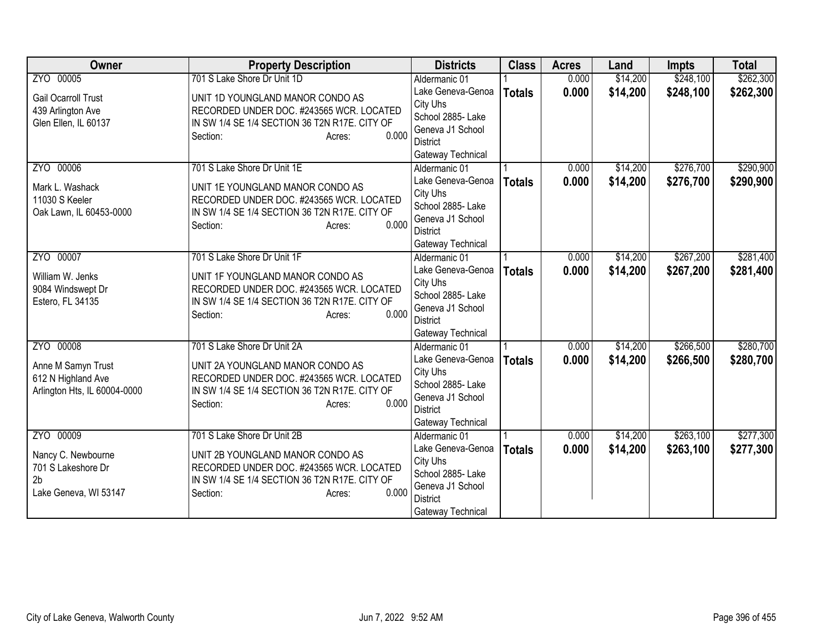| <b>Owner</b>                 | <b>Property Description</b>                   | <b>Districts</b>                    | <b>Class</b>  | <b>Acres</b> | Land     | <b>Impts</b> | <b>Total</b> |
|------------------------------|-----------------------------------------------|-------------------------------------|---------------|--------------|----------|--------------|--------------|
| ZYO 00005                    | 701 S Lake Shore Dr Unit 1D                   | Aldermanic 01                       |               | 0.000        | \$14,200 | \$248,100    | \$262,300    |
| <b>Gail Ocarroll Trust</b>   | UNIT 1D YOUNGLAND MANOR CONDO AS              | Lake Geneva-Genoa                   | <b>Totals</b> | 0.000        | \$14,200 | \$248,100    | \$262,300    |
| 439 Arlington Ave            | RECORDED UNDER DOC. #243565 WCR. LOCATED      | City Uhs                            |               |              |          |              |              |
| Glen Ellen, IL 60137         | IN SW 1/4 SE 1/4 SECTION 36 T2N R17E. CITY OF | School 2885- Lake                   |               |              |          |              |              |
|                              | 0.000<br>Section:<br>Acres:                   | Geneva J1 School<br>District        |               |              |          |              |              |
|                              |                                               | Gateway Technical                   |               |              |          |              |              |
| ZYO 00006                    | 701 S Lake Shore Dr Unit 1E                   | Aldermanic 01                       |               | 0.000        | \$14,200 | \$276,700    | \$290,900    |
|                              |                                               | Lake Geneva-Genoa                   | <b>Totals</b> | 0.000        | \$14,200 | \$276,700    | \$290,900    |
| Mark L. Washack              | UNIT 1E YOUNGLAND MANOR CONDO AS              | City Uhs                            |               |              |          |              |              |
| 11030 S Keeler               | RECORDED UNDER DOC. #243565 WCR. LOCATED      | School 2885- Lake                   |               |              |          |              |              |
| Oak Lawn, IL 60453-0000      | IN SW 1/4 SE 1/4 SECTION 36 T2N R17E. CITY OF | Geneva J1 School                    |               |              |          |              |              |
|                              | 0.000<br>Section:<br>Acres:                   | <b>District</b>                     |               |              |          |              |              |
|                              |                                               | Gateway Technical                   |               |              |          |              |              |
| ZYO 00007                    | 701 S Lake Shore Dr Unit 1F                   | Aldermanic 01                       |               | 0.000        | \$14,200 | \$267,200    | \$281,400    |
| William W. Jenks             | UNIT 1F YOUNGLAND MANOR CONDO AS              | Lake Geneva-Genoa                   | <b>Totals</b> | 0.000        | \$14,200 | \$267,200    | \$281,400    |
| 9084 Windswept Dr            | RECORDED UNDER DOC. #243565 WCR. LOCATED      | City Uhs                            |               |              |          |              |              |
| Estero, FL 34135             | IN SW 1/4 SE 1/4 SECTION 36 T2N R17E. CITY OF | School 2885-Lake                    |               |              |          |              |              |
|                              | 0.000<br>Section:<br>Acres:                   | Geneva J1 School                    |               |              |          |              |              |
|                              |                                               | <b>District</b>                     |               |              |          |              |              |
|                              |                                               | Gateway Technical                   |               |              |          |              |              |
| ZYO 00008                    | 701 S Lake Shore Dr Unit 2A                   | Aldermanic 01                       |               | 0.000        | \$14,200 | \$266,500    | \$280,700    |
| Anne M Samyn Trust           | UNIT 2A YOUNGLAND MANOR CONDO AS              | Lake Geneva-Genoa                   | <b>Totals</b> | 0.000        | \$14,200 | \$266,500    | \$280,700    |
| 612 N Highland Ave           | RECORDED UNDER DOC. #243565 WCR. LOCATED      | City Uhs                            |               |              |          |              |              |
| Arlington Hts, IL 60004-0000 | IN SW 1/4 SE 1/4 SECTION 36 T2N R17E. CITY OF | School 2885- Lake                   |               |              |          |              |              |
|                              | 0.000<br>Section:<br>Acres:                   | Geneva J1 School<br><b>District</b> |               |              |          |              |              |
|                              |                                               | Gateway Technical                   |               |              |          |              |              |
| ZYO 00009                    | 701 S Lake Shore Dr Unit 2B                   | Aldermanic 01                       |               | 0.000        | \$14,200 | \$263,100    | \$277,300    |
|                              |                                               | Lake Geneva-Genoa                   | <b>Totals</b> | 0.000        | \$14,200 | \$263,100    | \$277,300    |
| Nancy C. Newbourne           | UNIT 2B YOUNGLAND MANOR CONDO AS              | City Uhs                            |               |              |          |              |              |
| 701 S Lakeshore Dr           | RECORDED UNDER DOC. #243565 WCR. LOCATED      | School 2885- Lake                   |               |              |          |              |              |
| 2 <sub>b</sub>               | IN SW 1/4 SE 1/4 SECTION 36 T2N R17E. CITY OF | Geneva J1 School                    |               |              |          |              |              |
| Lake Geneva, WI 53147        | 0.000<br>Section:<br>Acres:                   | <b>District</b>                     |               |              |          |              |              |
|                              |                                               | Gateway Technical                   |               |              |          |              |              |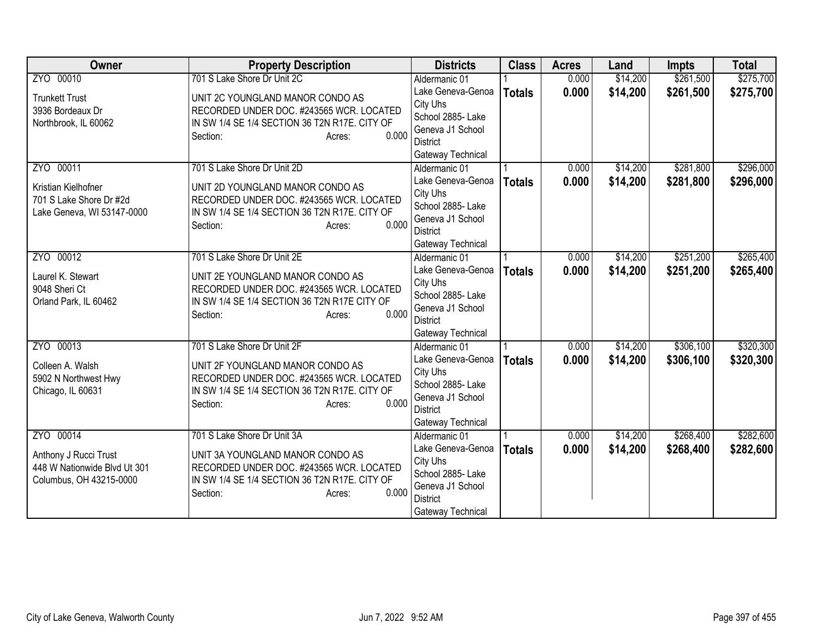| Owner                        | <b>Property Description</b>                   | <b>Districts</b>                   | <b>Class</b>  | <b>Acres</b> | Land     | <b>Impts</b> | <b>Total</b> |
|------------------------------|-----------------------------------------------|------------------------------------|---------------|--------------|----------|--------------|--------------|
| ZYO 00010                    | 701 S Lake Shore Dr Unit 2C                   | Aldermanic 01                      |               | 0.000        | \$14,200 | \$261,500    | \$275,700    |
| <b>Trunkett Trust</b>        | UNIT 2C YOUNGLAND MANOR CONDO AS              | Lake Geneva-Genoa                  | <b>Totals</b> | 0.000        | \$14,200 | \$261,500    | \$275,700    |
| 3936 Bordeaux Dr             | RECORDED UNDER DOC. #243565 WCR. LOCATED      | City Uhs                           |               |              |          |              |              |
| Northbrook, IL 60062         | IN SW 1/4 SE 1/4 SECTION 36 T2N R17E. CITY OF | School 2885-Lake                   |               |              |          |              |              |
|                              | 0.000<br>Section:<br>Acres:                   | Geneva J1 School                   |               |              |          |              |              |
|                              |                                               | District                           |               |              |          |              |              |
|                              |                                               | Gateway Technical                  |               |              |          |              |              |
| ZYO 00011                    | 701 S Lake Shore Dr Unit 2D                   | Aldermanic 01                      |               | 0.000        | \$14,200 | \$281,800    | \$296,000    |
| Kristian Kielhofner          | UNIT 2D YOUNGLAND MANOR CONDO AS              | Lake Geneva-Genoa                  | <b>Totals</b> | 0.000        | \$14,200 | \$281,800    | \$296,000    |
| 701 S Lake Shore Dr #2d      | RECORDED UNDER DOC. #243565 WCR. LOCATED      | City Uhs<br>School 2885- Lake      |               |              |          |              |              |
| Lake Geneva, WI 53147-0000   | IN SW 1/4 SE 1/4 SECTION 36 T2N R17E. CITY OF | Geneva J1 School                   |               |              |          |              |              |
|                              | 0.000<br>Section:<br>Acres:                   | <b>District</b>                    |               |              |          |              |              |
|                              |                                               | Gateway Technical                  |               |              |          |              |              |
| ZYO 00012                    | 701 S Lake Shore Dr Unit 2E                   | Aldermanic 01                      |               | 0.000        | \$14,200 | \$251,200    | \$265,400    |
|                              |                                               | Lake Geneva-Genoa                  | <b>Totals</b> | 0.000        | \$14,200 | \$251,200    | \$265,400    |
| Laurel K. Stewart            | UNIT 2E YOUNGLAND MANOR CONDO AS              | City Uhs                           |               |              |          |              |              |
| 9048 Sheri Ct                | RECORDED UNDER DOC. #243565 WCR. LOCATED      | School 2885- Lake                  |               |              |          |              |              |
| Orland Park, IL 60462        | IN SW 1/4 SE 1/4 SECTION 36 T2N R17E CITY OF  | Geneva J1 School                   |               |              |          |              |              |
|                              | 0.000<br>Section:<br>Acres:                   | <b>District</b>                    |               |              |          |              |              |
|                              |                                               | Gateway Technical                  |               |              |          |              |              |
| ZYO 00013                    | 701 S Lake Shore Dr Unit 2F                   | Aldermanic 01                      |               | 0.000        | \$14,200 | \$306,100    | \$320,300    |
| Colleen A. Walsh             | UNIT 2F YOUNGLAND MANOR CONDO AS              | Lake Geneva-Genoa                  | <b>Totals</b> | 0.000        | \$14,200 | \$306,100    | \$320,300    |
| 5902 N Northwest Hwy         | RECORDED UNDER DOC. #243565 WCR. LOCATED      | City Uhs                           |               |              |          |              |              |
| Chicago, IL 60631            | IN SW 1/4 SE 1/4 SECTION 36 T2N R17E. CITY OF | School 2885- Lake                  |               |              |          |              |              |
|                              | 0.000<br>Section:<br>Acres:                   | Geneva J1 School                   |               |              |          |              |              |
|                              |                                               | <b>District</b>                    |               |              |          |              |              |
| ZYO 00014                    |                                               | Gateway Technical                  |               |              |          |              |              |
|                              | 701 S Lake Shore Dr Unit 3A                   | Aldermanic 01<br>Lake Geneva-Genoa |               | 0.000        | \$14,200 | \$268,400    | \$282,600    |
| Anthony J Rucci Trust        | UNIT 3A YOUNGLAND MANOR CONDO AS              | City Uhs                           | <b>Totals</b> | 0.000        | \$14,200 | \$268,400    | \$282,600    |
| 448 W Nationwide Blvd Ut 301 | RECORDED UNDER DOC. #243565 WCR. LOCATED      | School 2885- Lake                  |               |              |          |              |              |
| Columbus, OH 43215-0000      | IN SW 1/4 SE 1/4 SECTION 36 T2N R17E. CITY OF | Geneva J1 School                   |               |              |          |              |              |
|                              | 0.000<br>Section:<br>Acres:                   | <b>District</b>                    |               |              |          |              |              |
|                              |                                               | Gateway Technical                  |               |              |          |              |              |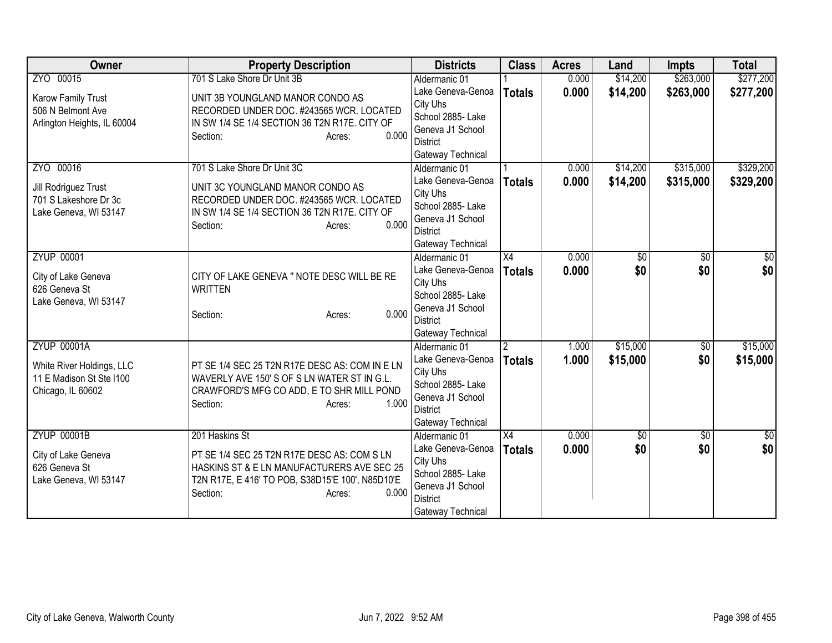| Owner                       | <b>Property Description</b>                      | <b>Districts</b>              | <b>Class</b>    | <b>Acres</b> | Land       | <b>Impts</b>    | <b>Total</b>  |
|-----------------------------|--------------------------------------------------|-------------------------------|-----------------|--------------|------------|-----------------|---------------|
| ZYO 00015                   | 701 S Lake Shore Dr Unit 3B                      | Aldermanic 01                 |                 | 0.000        | \$14,200   | \$263,000       | \$277,200     |
| Karow Family Trust          | UNIT 3B YOUNGLAND MANOR CONDO AS                 | Lake Geneva-Genoa             | <b>Totals</b>   | 0.000        | \$14,200   | \$263,000       | \$277,200     |
| 506 N Belmont Ave           | RECORDED UNDER DOC. #243565 WCR. LOCATED         | City Uhs                      |                 |              |            |                 |               |
| Arlington Heights, IL 60004 | IN SW 1/4 SE 1/4 SECTION 36 T2N R17E. CITY OF    | School 2885- Lake             |                 |              |            |                 |               |
|                             | 0.000<br>Section:<br>Acres:                      | Geneva J1 School              |                 |              |            |                 |               |
|                             |                                                  | District                      |                 |              |            |                 |               |
|                             |                                                  | Gateway Technical             |                 |              |            |                 |               |
| ZYO 00016                   | 701 S Lake Shore Dr Unit 3C                      | Aldermanic 01                 |                 | 0.000        | \$14,200   | \$315,000       | \$329,200     |
| Jill Rodriguez Trust        | UNIT 3C YOUNGLAND MANOR CONDO AS                 | Lake Geneva-Genoa             | <b>Totals</b>   | 0.000        | \$14,200   | \$315,000       | \$329,200     |
| 701 S Lakeshore Dr 3c       | RECORDED UNDER DOC. #243565 WCR. LOCATED         | City Uhs<br>School 2885- Lake |                 |              |            |                 |               |
| Lake Geneva, WI 53147       | IN SW 1/4 SE 1/4 SECTION 36 T2N R17E. CITY OF    | Geneva J1 School              |                 |              |            |                 |               |
|                             | 0.000<br>Section:<br>Acres:                      | <b>District</b>               |                 |              |            |                 |               |
|                             |                                                  | Gateway Technical             |                 |              |            |                 |               |
| <b>ZYUP 00001</b>           |                                                  | Aldermanic 01                 | $\overline{X4}$ | 0.000        | \$0        | $\overline{50}$ | \$0           |
|                             |                                                  | Lake Geneva-Genoa             | <b>Totals</b>   | 0.000        | \$0        | \$0             | \$0           |
| City of Lake Geneva         | CITY OF LAKE GENEVA " NOTE DESC WILL BE RE       | City Uhs                      |                 |              |            |                 |               |
| 626 Geneva St               | <b>WRITTEN</b>                                   | School 2885- Lake             |                 |              |            |                 |               |
| Lake Geneva, WI 53147       | 0.000                                            | Geneva J1 School              |                 |              |            |                 |               |
|                             | Section:<br>Acres:                               | <b>District</b>               |                 |              |            |                 |               |
|                             |                                                  | Gateway Technical             |                 |              |            |                 |               |
| <b>ZYUP 00001A</b>          |                                                  | Aldermanic 01                 | $\overline{2}$  | 1.000        | \$15,000   | $\overline{60}$ | \$15,000      |
| White River Holdings, LLC   | PT SE 1/4 SEC 25 T2N R17E DESC AS: COM IN E LN   | Lake Geneva-Genoa             | <b>Totals</b>   | 1.000        | \$15,000   | \$0             | \$15,000      |
| 11 E Madison St Ste I100    | WAVERLY AVE 150'S OF S LN WATER ST IN G.L.       | City Uhs                      |                 |              |            |                 |               |
| Chicago, IL 60602           | CRAWFORD'S MFG CO ADD, E TO SHR MILL POND        | School 2885- Lake             |                 |              |            |                 |               |
|                             | 1.000<br>Section:<br>Acres:                      | Geneva J1 School              |                 |              |            |                 |               |
|                             |                                                  | <b>District</b>               |                 |              |            |                 |               |
|                             |                                                  | Gateway Technical             |                 |              |            |                 |               |
| <b>ZYUP 00001B</b>          | 201 Haskins St                                   | Aldermanic 01                 | $\overline{X4}$ | 0.000        | $\sqrt{6}$ | $\overline{30}$ | $\frac{1}{6}$ |
| City of Lake Geneva         | PT SE 1/4 SEC 25 T2N R17E DESC AS: COM S LN      | Lake Geneva-Genoa             | <b>Totals</b>   | 0.000        | \$0        | \$0             | \$0           |
| 626 Geneva St               | HASKINS ST & E LN MANUFACTURERS AVE SEC 25       | City Uhs<br>School 2885- Lake |                 |              |            |                 |               |
| Lake Geneva, WI 53147       | T2N R17E, E 416' TO POB, S38D15'E 100', N85D10'E | Geneva J1 School              |                 |              |            |                 |               |
|                             | 0.000<br>Section:<br>Acres:                      | <b>District</b>               |                 |              |            |                 |               |
|                             |                                                  | Gateway Technical             |                 |              |            |                 |               |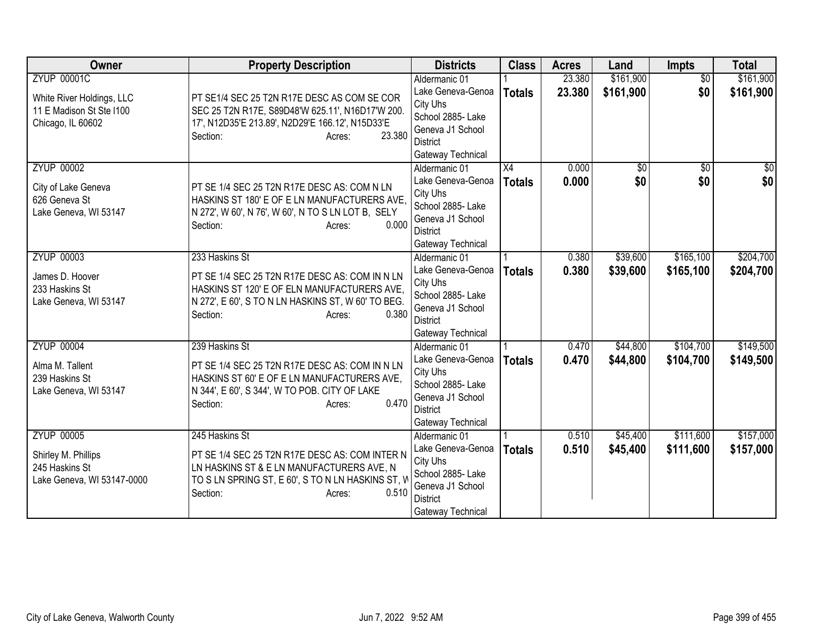| Owner                                                                                            | <b>Property Description</b>                                                                                                                                                                          | <b>Districts</b>                                                                                                                | <b>Class</b>        | <b>Acres</b>     | Land                   | Impts                  | <b>Total</b>            |
|--------------------------------------------------------------------------------------------------|------------------------------------------------------------------------------------------------------------------------------------------------------------------------------------------------------|---------------------------------------------------------------------------------------------------------------------------------|---------------------|------------------|------------------------|------------------------|-------------------------|
| <b>ZYUP 00001C</b><br>White River Holdings, LLC<br>11 E Madison St Ste I100<br>Chicago, IL 60602 | PT SE1/4 SEC 25 T2N R17E DESC AS COM SE COR<br>SEC 25 T2N R17E, S89D48'W 625.11', N16D17'W 200.<br>17', N12D35'E 213.89', N2D29'E 166.12', N15D33'E<br>23.380<br>Section:<br>Acres:                  | Aldermanic 01<br>Lake Geneva-Genoa<br>City Uhs<br>School 2885- Lake<br>Geneva J1 School<br>District<br>Gateway Technical        | <b>Totals</b>       | 23.380<br>23.380 | \$161,900<br>\$161,900 | $\overline{50}$<br>\$0 | \$161,900<br>\$161,900  |
| <b>ZYUP 00002</b><br>City of Lake Geneva<br>626 Geneva St<br>Lake Geneva, WI 53147               | PT SE 1/4 SEC 25 T2N R17E DESC AS: COM N LN<br>HASKINS ST 180' E OF E LN MANUFACTURERS AVE,<br>N 272', W 60', N 76', W 60', N TO S LN LOT B, SELY<br>0.000<br>Section:<br>Acres:                     | Aldermanic 01<br>Lake Geneva-Genoa<br>City Uhs<br>School 2885- Lake<br>Geneva J1 School<br><b>District</b><br>Gateway Technical | X4<br><b>Totals</b> | 0.000<br>0.000   | \$0<br>\$0             | $\overline{50}$<br>\$0 | $\overline{\$0}$<br>\$0 |
| <b>ZYUP 00003</b><br>James D. Hoover<br>233 Haskins St<br>Lake Geneva, WI 53147                  | 233 Haskins St<br>PT SE 1/4 SEC 25 T2N R17E DESC AS: COM IN N LN<br>HASKINS ST 120' E OF ELN MANUFACTURERS AVE,<br>N 272', E 60', S TO N LN HASKINS ST, W 60' TO BEG.<br>0.380<br>Section:<br>Acres: | Aldermanic 01<br>Lake Geneva-Genoa<br>City Uhs<br>School 2885- Lake<br>Geneva J1 School<br><b>District</b><br>Gateway Technical | <b>Totals</b>       | 0.380<br>0.380   | \$39,600<br>\$39,600   | \$165,100<br>\$165,100 | \$204,700<br>\$204,700  |
| <b>ZYUP 00004</b><br>Alma M. Tallent<br>239 Haskins St<br>Lake Geneva, WI 53147                  | 239 Haskins St<br>PT SE 1/4 SEC 25 T2N R17E DESC AS: COM IN N LN<br>HASKINS ST 60' E OF E LN MANUFACTURERS AVE,<br>N 344', E 60', S 344', W TO POB. CITY OF LAKE<br>0.470<br>Section:<br>Acres:      | Aldermanic 01<br>Lake Geneva-Genoa<br>City Uhs<br>School 2885- Lake<br>Geneva J1 School<br><b>District</b><br>Gateway Technical | <b>Totals</b>       | 0.470<br>0.470   | \$44,800<br>\$44,800   | \$104,700<br>\$104,700 | \$149,500<br>\$149,500  |
| <b>ZYUP 00005</b><br>Shirley M. Phillips<br>245 Haskins St<br>Lake Geneva, WI 53147-0000         | 245 Haskins St<br>PT SE 1/4 SEC 25 T2N R17E DESC AS: COM INTER N<br>LN HASKINS ST & E LN MANUFACTURERS AVE, N<br>TO S LN SPRING ST, E 60', S TO N LN HASKINS ST, V<br>Section:<br>0.510<br>Acres:    | Aldermanic 01<br>Lake Geneva-Genoa<br>City Uhs<br>School 2885- Lake<br>Geneva J1 School<br><b>District</b><br>Gateway Technical | <b>Totals</b>       | 0.510<br>0.510   | \$45,400<br>\$45,400   | \$111,600<br>\$111,600 | \$157,000<br>\$157,000  |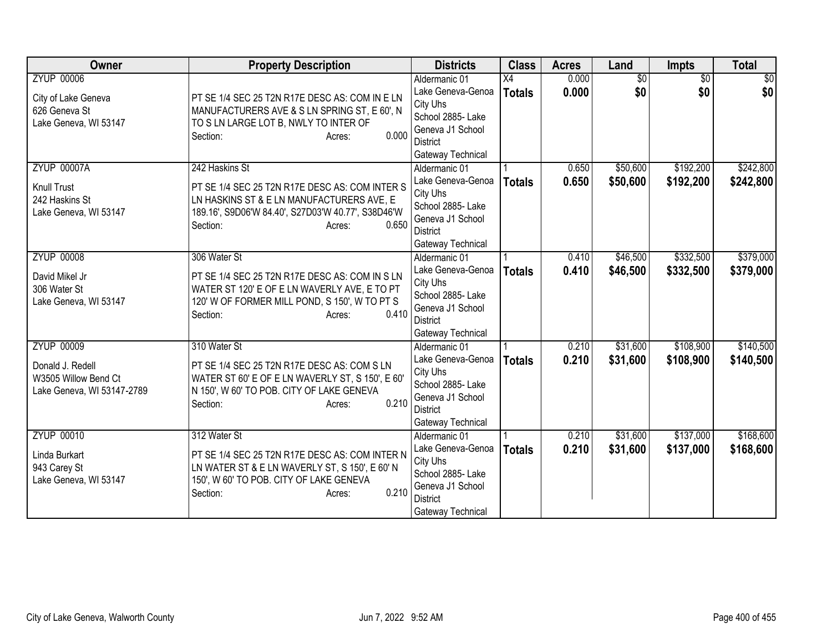| Owner                                                                                       | <b>Property Description</b>                                                                                                                                                                        | <b>Districts</b>                                                                                                                | <b>Class</b>        | <b>Acres</b>   | Land                   | Impts                  | <b>Total</b>           |
|---------------------------------------------------------------------------------------------|----------------------------------------------------------------------------------------------------------------------------------------------------------------------------------------------------|---------------------------------------------------------------------------------------------------------------------------------|---------------------|----------------|------------------------|------------------------|------------------------|
| <b>ZYUP 00006</b><br>City of Lake Geneva<br>626 Geneva St<br>Lake Geneva, WI 53147          | PT SE 1/4 SEC 25 T2N R17E DESC AS: COM IN E LN<br>MANUFACTURERS AVE & S LN SPRING ST, E 60', N<br>TO S LN LARGE LOT B, NWLY TO INTER OF<br>0.000<br>Section:<br>Acres:                             | Aldermanic 01<br>Lake Geneva-Genoa<br>City Uhs<br>School 2885- Lake<br>Geneva J1 School<br><b>District</b><br>Gateway Technical | X4<br><b>Totals</b> | 0.000<br>0.000 | $\overline{50}$<br>\$0 | $\overline{30}$<br>\$0 | $\overline{50}$<br>\$0 |
| <b>ZYUP 00007A</b><br><b>Knull Trust</b><br>242 Haskins St<br>Lake Geneva, WI 53147         | 242 Haskins St<br>PT SE 1/4 SEC 25 T2N R17E DESC AS: COM INTER S<br>LN HASKINS ST & E LN MANUFACTURERS AVE, E<br>189.16', S9D06'W 84.40', S27D03'W 40.77', S38D46'W<br>0.650<br>Section:<br>Acres: | Aldermanic 01<br>Lake Geneva-Genoa<br>City Uhs<br>School 2885- Lake<br>Geneva J1 School<br><b>District</b><br>Gateway Technical | <b>Totals</b>       | 0.650<br>0.650 | \$50,600<br>\$50,600   | \$192,200<br>\$192,200 | \$242,800<br>\$242,800 |
| <b>ZYUP 00008</b><br>David Mikel Jr<br>306 Water St<br>Lake Geneva, WI 53147                | 306 Water St<br>PT SE 1/4 SEC 25 T2N R17E DESC AS: COM IN S LN<br>WATER ST 120' E OF E LN WAVERLY AVE, E TO PT<br>120' W OF FORMER MILL POND, S 150', W TO PT S<br>0.410<br>Section:<br>Acres:     | Aldermanic 01<br>Lake Geneva-Genoa<br>City Uhs<br>School 2885- Lake<br>Geneva J1 School<br>District<br>Gateway Technical        | <b>Totals</b>       | 0.410<br>0.410 | \$46,500<br>\$46,500   | \$332,500<br>\$332,500 | \$379,000<br>\$379,000 |
| <b>ZYUP 00009</b><br>Donald J. Redell<br>W3505 Willow Bend Ct<br>Lake Geneva, WI 53147-2789 | 310 Water St<br>PT SE 1/4 SEC 25 T2N R17E DESC AS: COM S LN<br>WATER ST 60' E OF E LN WAVERLY ST, S 150', E 60'<br>N 150', W 60' TO POB. CITY OF LAKE GENEVA<br>0.210<br>Section:<br>Acres:        | Aldermanic 01<br>Lake Geneva-Genoa<br>City Uhs<br>School 2885- Lake<br>Geneva J1 School<br><b>District</b><br>Gateway Technical | <b>Totals</b>       | 0.210<br>0.210 | \$31,600<br>\$31,600   | \$108,900<br>\$108,900 | \$140,500<br>\$140,500 |
| <b>ZYUP 00010</b><br>Linda Burkart<br>943 Carey St<br>Lake Geneva, WI 53147                 | 312 Water St<br>PT SE 1/4 SEC 25 T2N R17E DESC AS: COM INTER N<br>LN WATER ST & E LN WAVERLY ST, S 150', E 60' N<br>150', W 60' TO POB. CITY OF LAKE GENEVA<br>0.210<br>Section:<br>Acres:         | Aldermanic 01<br>Lake Geneva-Genoa<br>City Uhs<br>School 2885- Lake<br>Geneva J1 School<br><b>District</b><br>Gateway Technical | <b>Totals</b>       | 0.210<br>0.210 | \$31,600<br>\$31,600   | \$137,000<br>\$137,000 | \$168,600<br>\$168,600 |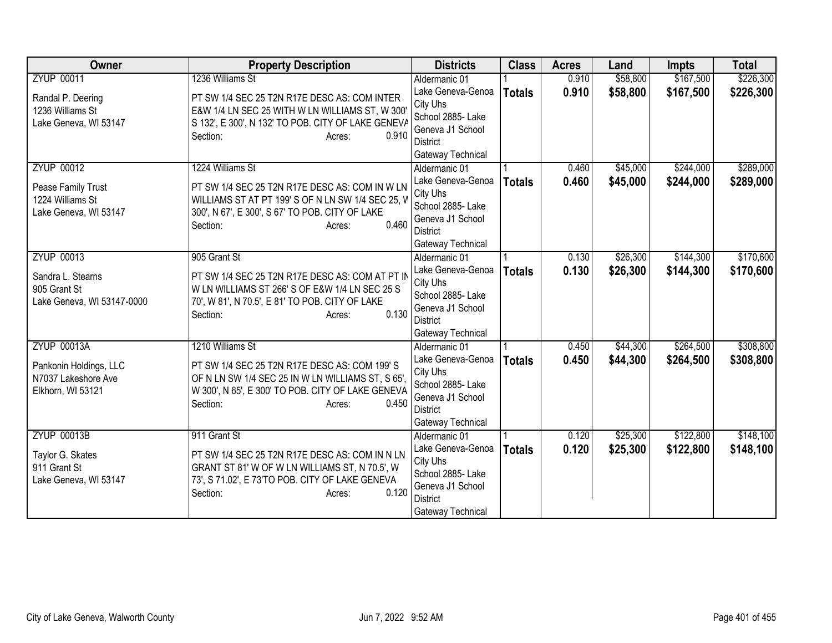| Owner                             | <b>Property Description</b>                                                                       | <b>Districts</b>                   | <b>Class</b>  | <b>Acres</b> | Land     | <b>Impts</b> | <b>Total</b> |
|-----------------------------------|---------------------------------------------------------------------------------------------------|------------------------------------|---------------|--------------|----------|--------------|--------------|
| <b>ZYUP 00011</b>                 | 1236 Williams St                                                                                  | Aldermanic 01                      |               | 0.910        | \$58,800 | \$167,500    | \$226,300    |
| Randal P. Deering                 | PT SW 1/4 SEC 25 T2N R17E DESC AS: COM INTER                                                      | Lake Geneva-Genoa                  | <b>Totals</b> | 0.910        | \$58,800 | \$167,500    | \$226,300    |
| 1236 Williams St                  | E&W 1/4 LN SEC 25 WITH W LN WILLIAMS ST, W 300                                                    | City Uhs                           |               |              |          |              |              |
| Lake Geneva, WI 53147             | S 132', E 300', N 132' TO POB. CITY OF LAKE GENEVA                                                | School 2885- Lake                  |               |              |          |              |              |
|                                   | 0.910<br>Section:<br>Acres:                                                                       | Geneva J1 School                   |               |              |          |              |              |
|                                   |                                                                                                   | District                           |               |              |          |              |              |
| <b>ZYUP 00012</b>                 | 1224 Williams St                                                                                  | Gateway Technical<br>Aldermanic 01 |               | 0.460        | \$45,000 | \$244,000    | \$289,000    |
|                                   |                                                                                                   | Lake Geneva-Genoa                  |               | 0.460        | \$45,000 | \$244,000    |              |
| Pease Family Trust                | PT SW 1/4 SEC 25 T2N R17E DESC AS: COM IN W LN                                                    | City Uhs                           | <b>Totals</b> |              |          |              | \$289,000    |
| 1224 Williams St                  | WILLIAMS ST AT PT 199'S OF N LN SW 1/4 SEC 25, V                                                  | School 2885- Lake                  |               |              |          |              |              |
| Lake Geneva, WI 53147             | 300', N 67', E 300', S 67' TO POB. CITY OF LAKE                                                   | Geneva J1 School                   |               |              |          |              |              |
|                                   | 0.460<br>Section:<br>Acres:                                                                       | <b>District</b>                    |               |              |          |              |              |
|                                   |                                                                                                   | Gateway Technical                  |               |              |          |              |              |
| <b>ZYUP 00013</b>                 | 905 Grant St                                                                                      | Aldermanic 01                      |               | 0.130        | \$26,300 | \$144,300    | \$170,600    |
|                                   |                                                                                                   | Lake Geneva-Genoa                  | <b>Totals</b> | 0.130        | \$26,300 | \$144,300    | \$170,600    |
| Sandra L. Stearns<br>905 Grant St | PT SW 1/4 SEC 25 T2N R17E DESC AS: COM AT PT IN<br>W LN WILLIAMS ST 266' S OF E&W 1/4 LN SEC 25 S | City Uhs                           |               |              |          |              |              |
| Lake Geneva, WI 53147-0000        | 70', W 81', N 70.5', E 81' TO POB. CITY OF LAKE                                                   | School 2885- Lake                  |               |              |          |              |              |
|                                   | 0.130<br>Section:<br>Acres:                                                                       | Geneva J1 School                   |               |              |          |              |              |
|                                   |                                                                                                   | <b>District</b>                    |               |              |          |              |              |
|                                   |                                                                                                   | Gateway Technical                  |               |              |          |              |              |
| <b>ZYUP 00013A</b>                | 1210 Williams St                                                                                  | Aldermanic 01                      |               | 0.450        | \$44,300 | \$264,500    | \$308,800    |
| Pankonin Holdings, LLC            | PT SW 1/4 SEC 25 T2N R17E DESC AS: COM 199'S                                                      | Lake Geneva-Genoa                  | <b>Totals</b> | 0.450        | \$44,300 | \$264,500    | \$308,800    |
| N7037 Lakeshore Ave               | OF N LN SW 1/4 SEC 25 IN W LN WILLIAMS ST, S 65',                                                 | City Uhs                           |               |              |          |              |              |
| Elkhorn, WI 53121                 | W 300', N 65', E 300' TO POB. CITY OF LAKE GENEVA                                                 | School 2885- Lake                  |               |              |          |              |              |
|                                   | 0.450<br>Section:<br>Acres:                                                                       | Geneva J1 School<br>District       |               |              |          |              |              |
|                                   |                                                                                                   | Gateway Technical                  |               |              |          |              |              |
| <b>ZYUP 00013B</b>                | 911 Grant St                                                                                      | Aldermanic 01                      |               | 0.120        | \$25,300 | \$122,800    | \$148,100    |
|                                   |                                                                                                   | Lake Geneva-Genoa                  | <b>Totals</b> | 0.120        | \$25,300 | \$122,800    | \$148,100    |
| Taylor G. Skates                  | PT SW 1/4 SEC 25 T2N R17E DESC AS: COM IN N LN                                                    | City Uhs                           |               |              |          |              |              |
| 911 Grant St                      | GRANT ST 81' W OF W LN WILLIAMS ST, N 70.5', W                                                    | School 2885- Lake                  |               |              |          |              |              |
| Lake Geneva, WI 53147             | 73', S 71.02', E 73'TO POB. CITY OF LAKE GENEVA                                                   | Geneva J1 School                   |               |              |          |              |              |
|                                   | 0.120<br>Section:<br>Acres:                                                                       | <b>District</b>                    |               |              |          |              |              |
|                                   |                                                                                                   | Gateway Technical                  |               |              |          |              |              |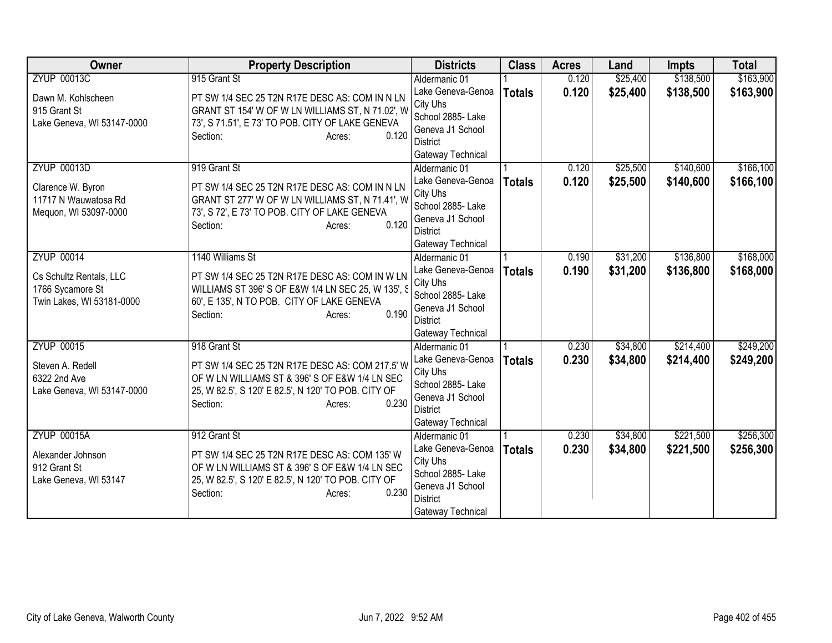| Owner                              | <b>Property Description</b>                                                                        | <b>Districts</b>                      | <b>Class</b>  | <b>Acres</b> | Land     | <b>Impts</b> | <b>Total</b> |
|------------------------------------|----------------------------------------------------------------------------------------------------|---------------------------------------|---------------|--------------|----------|--------------|--------------|
| <b>ZYUP 00013C</b>                 | 915 Grant St                                                                                       | Aldermanic 01                         |               | 0.120        | \$25,400 | \$138,500    | \$163,900    |
| Dawn M. Kohlscheen<br>915 Grant St | PT SW 1/4 SEC 25 T2N R17E DESC AS: COM IN N LN<br>GRANT ST 154' W OF W LN WILLIAMS ST, N 71.02', W | Lake Geneva-Genoa<br>City Uhs         | <b>Totals</b> | 0.120        | \$25,400 | \$138,500    | \$163,900    |
| Lake Geneva, WI 53147-0000         | 73', S 71.51', E 73' TO POB. CITY OF LAKE GENEVA                                                   | School 2885- Lake                     |               |              |          |              |              |
|                                    | 0.120<br>Section:<br>Acres:                                                                        | Geneva J1 School                      |               |              |          |              |              |
|                                    |                                                                                                    | District<br>Gateway Technical         |               |              |          |              |              |
| <b>ZYUP 00013D</b>                 | 919 Grant St                                                                                       | Aldermanic 01                         |               | 0.120        | \$25,500 | \$140,600    | \$166,100    |
|                                    |                                                                                                    | Lake Geneva-Genoa                     | <b>Totals</b> | 0.120        | \$25,500 | \$140,600    | \$166,100    |
| Clarence W. Byron                  | PT SW 1/4 SEC 25 T2N R17E DESC AS: COM IN N LN                                                     | City Uhs                              |               |              |          |              |              |
| 11717 N Wauwatosa Rd               | GRANT ST 277' W OF W LN WILLIAMS ST, N 71.41', W                                                   | School 2885- Lake                     |               |              |          |              |              |
| Mequon, WI 53097-0000              | 73', S 72', E 73' TO POB. CITY OF LAKE GENEVA<br>0.120<br>Section:                                 | Geneva J1 School                      |               |              |          |              |              |
|                                    | Acres:                                                                                             | <b>District</b>                       |               |              |          |              |              |
|                                    |                                                                                                    | Gateway Technical                     |               |              |          |              |              |
| <b>ZYUP 00014</b>                  | 1140 Williams St                                                                                   | Aldermanic 01                         |               | 0.190        | \$31,200 | \$136,800    | \$168,000    |
| Cs Schultz Rentals, LLC            | PT SW 1/4 SEC 25 T2N R17E DESC AS: COM IN W LN                                                     | Lake Geneva-Genoa                     | <b>Totals</b> | 0.190        | \$31,200 | \$136,800    | \$168,000    |
| 1766 Sycamore St                   | WILLIAMS ST 396' S OF E&W 1/4 LN SEC 25, W 135', S                                                 | City Uhs                              |               |              |          |              |              |
| Twin Lakes, WI 53181-0000          | 60', E 135', N TO POB. CITY OF LAKE GENEVA                                                         | School 2885- Lake<br>Geneva J1 School |               |              |          |              |              |
|                                    | 0.190<br>Section:<br>Acres:                                                                        | <b>District</b>                       |               |              |          |              |              |
|                                    |                                                                                                    | Gateway Technical                     |               |              |          |              |              |
| <b>ZYUP 00015</b>                  | 918 Grant St                                                                                       | Aldermanic 01                         |               | 0.230        | \$34,800 | \$214,400    | \$249,200    |
|                                    |                                                                                                    | Lake Geneva-Genoa                     | <b>Totals</b> | 0.230        | \$34,800 | \$214,400    | \$249,200    |
| Steven A. Redell<br>6322 2nd Ave   | PT SW 1/4 SEC 25 T2N R17E DESC AS: COM 217.5' W<br>OF W LN WILLIAMS ST & 396' S OF E&W 1/4 LN SEC  | City Uhs                              |               |              |          |              |              |
| Lake Geneva, WI 53147-0000         | 25, W 82.5', S 120' E 82.5', N 120' TO POB. CITY OF                                                | School 2885- Lake                     |               |              |          |              |              |
|                                    | 0.230<br>Section:<br>Acres:                                                                        | Geneva J1 School                      |               |              |          |              |              |
|                                    |                                                                                                    | <b>District</b>                       |               |              |          |              |              |
|                                    |                                                                                                    | Gateway Technical                     |               |              |          |              |              |
| <b>ZYUP 00015A</b>                 | 912 Grant St                                                                                       | Aldermanic 01                         |               | 0.230        | \$34,800 | \$221,500    | \$256,300    |
| Alexander Johnson                  | PT SW 1/4 SEC 25 T2N R17E DESC AS: COM 135' W                                                      | Lake Geneva-Genoa<br>City Uhs         | <b>Totals</b> | 0.230        | \$34,800 | \$221,500    | \$256,300    |
| 912 Grant St                       | OF W LN WILLIAMS ST & 396' S OF E&W 1/4 LN SEC                                                     | School 2885- Lake                     |               |              |          |              |              |
| Lake Geneva, WI 53147              | 25, W 82.5', S 120' E 82.5', N 120' TO POB. CITY OF                                                | Geneva J1 School                      |               |              |          |              |              |
|                                    | 0.230<br>Section:<br>Acres:                                                                        | <b>District</b>                       |               |              |          |              |              |
|                                    |                                                                                                    | Gateway Technical                     |               |              |          |              |              |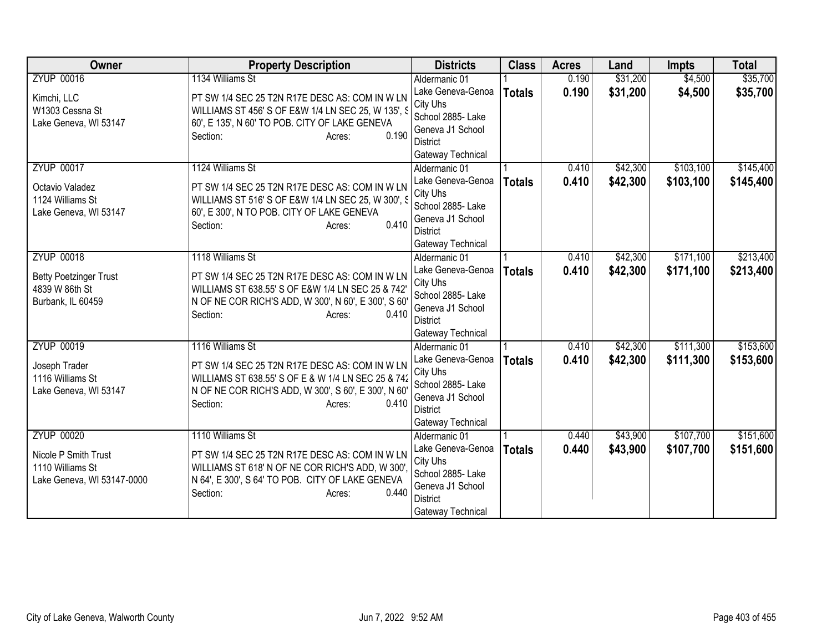| Owner                         | <b>Property Description</b>                          | <b>Districts</b>              | <b>Class</b>  | <b>Acres</b> | Land     | <b>Impts</b> | <b>Total</b> |
|-------------------------------|------------------------------------------------------|-------------------------------|---------------|--------------|----------|--------------|--------------|
| <b>ZYUP 00016</b>             | 1134 Williams St                                     | Aldermanic 01                 |               | 0.190        | \$31,200 | \$4,500      | \$35,700     |
| Kimchi, LLC                   | PT SW 1/4 SEC 25 T2N R17E DESC AS: COM IN W LN       | Lake Geneva-Genoa             | <b>Totals</b> | 0.190        | \$31,200 | \$4,500      | \$35,700     |
| W1303 Cessna St               | WILLIAMS ST 456' S OF E&W 1/4 LN SEC 25, W 135', S   | City Uhs                      |               |              |          |              |              |
| Lake Geneva, WI 53147         | 60', E 135', N 60' TO POB. CITY OF LAKE GENEVA       | School 2885- Lake             |               |              |          |              |              |
|                               | 0.190<br>Section:<br>Acres:                          | Geneva J1 School              |               |              |          |              |              |
|                               |                                                      | District                      |               |              |          |              |              |
|                               |                                                      | Gateway Technical             |               |              |          |              |              |
| <b>ZYUP 00017</b>             | 1124 Williams St                                     | Aldermanic 01                 |               | 0.410        | \$42,300 | \$103,100    | \$145,400    |
| Octavio Valadez               | PT SW 1/4 SEC 25 T2N R17E DESC AS: COM IN W LN       | Lake Geneva-Genoa             | <b>Totals</b> | 0.410        | \$42,300 | \$103,100    | \$145,400    |
| 1124 Williams St              | WILLIAMS ST 516' S OF E&W 1/4 LN SEC 25, W 300', S   | City Uhs<br>School 2885- Lake |               |              |          |              |              |
| Lake Geneva, WI 53147         | 60', E 300', N TO POB. CITY OF LAKE GENEVA           | Geneva J1 School              |               |              |          |              |              |
|                               | 0.410<br>Section:<br>Acres:                          | <b>District</b>               |               |              |          |              |              |
|                               |                                                      | Gateway Technical             |               |              |          |              |              |
| <b>ZYUP 00018</b>             | 1118 Williams St                                     | Aldermanic 01                 |               | 0.410        | \$42,300 | \$171,100    | \$213,400    |
|                               |                                                      | Lake Geneva-Genoa             | <b>Totals</b> | 0.410        | \$42,300 | \$171,100    | \$213,400    |
| <b>Betty Poetzinger Trust</b> | PT SW 1/4 SEC 25 T2N R17E DESC AS: COM IN W LN       | City Uhs                      |               |              |          |              |              |
| 4839 W 86th St                | WILLIAMS ST 638.55' S OF E&W 1/4 LN SEC 25 & 742'    | School 2885- Lake             |               |              |          |              |              |
| Burbank, IL 60459             | N OF NE COR RICH'S ADD, W 300', N 60', E 300', S 60  | Geneva J1 School              |               |              |          |              |              |
|                               | 0.410<br>Section:<br>Acres:                          | District                      |               |              |          |              |              |
|                               |                                                      | Gateway Technical             |               |              |          |              |              |
| <b>ZYUP 00019</b>             | 1116 Williams St                                     | Aldermanic 01                 |               | 0.410        | \$42,300 | \$111,300    | \$153,600    |
| Joseph Trader                 | PT SW 1/4 SEC 25 T2N R17E DESC AS: COM IN W LN       | Lake Geneva-Genoa             | <b>Totals</b> | 0.410        | \$42,300 | \$111,300    | \$153,600    |
| 1116 Williams St              | WILLIAMS ST 638.55' S OF E & W 1/4 LN SEC 25 & 742   | City Uhs                      |               |              |          |              |              |
| Lake Geneva, WI 53147         | N OF NE COR RICH'S ADD, W 300', S 60', E 300', N 60' | School 2885- Lake             |               |              |          |              |              |
|                               | 0.410<br>Section:<br>Acres:                          | Geneva J1 School              |               |              |          |              |              |
|                               |                                                      | <b>District</b>               |               |              |          |              |              |
|                               |                                                      | Gateway Technical             |               |              |          |              |              |
| <b>ZYUP 00020</b>             | 1110 Williams St                                     | Aldermanic 01                 |               | 0.440        | \$43,900 | \$107,700    | \$151,600    |
| Nicole P Smith Trust          | PT SW 1/4 SEC 25 T2N R17E DESC AS: COM IN W LN       | Lake Geneva-Genoa<br>City Uhs | <b>Totals</b> | 0.440        | \$43,900 | \$107,700    | \$151,600    |
| 1110 Williams St              | WILLIAMS ST 618' N OF NE COR RICH'S ADD, W 300'      | School 2885- Lake             |               |              |          |              |              |
| Lake Geneva, WI 53147-0000    | N 64', E 300', S 64' TO POB. CITY OF LAKE GENEVA     | Geneva J1 School              |               |              |          |              |              |
|                               | 0.440<br>Section:<br>Acres:                          | <b>District</b>               |               |              |          |              |              |
|                               |                                                      | Gateway Technical             |               |              |          |              |              |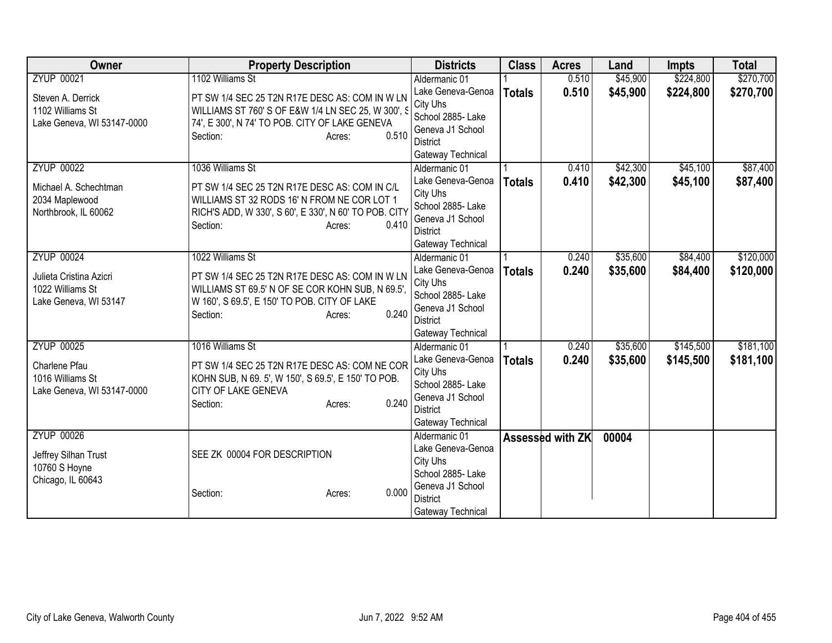| <b>Owner</b>               | <b>Property Description</b>                           | <b>Districts</b>                   | <b>Class</b>  | <b>Acres</b>     | Land     | <b>Impts</b> | <b>Total</b> |
|----------------------------|-------------------------------------------------------|------------------------------------|---------------|------------------|----------|--------------|--------------|
| <b>ZYUP 00021</b>          | 1102 Williams St                                      | Aldermanic 01                      |               | 0.510            | \$45,900 | \$224,800    | \$270,700    |
| Steven A. Derrick          | PT SW 1/4 SEC 25 T2N R17E DESC AS: COM IN W LN        | Lake Geneva-Genoa                  | <b>Totals</b> | 0.510            | \$45,900 | \$224,800    | \$270,700    |
| 1102 Williams St           | WILLIAMS ST 760' S OF E&W 1/4 LN SEC 25, W 300', S    | City Uhs                           |               |                  |          |              |              |
| Lake Geneva, WI 53147-0000 | 74', E 300', N 74' TO POB. CITY OF LAKE GENEVA        | School 2885- Lake                  |               |                  |          |              |              |
|                            | 0.510<br>Section:<br>Acres:                           | Geneva J1 School                   |               |                  |          |              |              |
|                            |                                                       | <b>District</b>                    |               |                  |          |              |              |
|                            |                                                       | Gateway Technical                  |               |                  |          |              |              |
| <b>ZYUP 00022</b>          | 1036 Williams St                                      | Aldermanic 01                      |               | 0.410            | \$42,300 | \$45,100     | \$87,400     |
| Michael A. Schechtman      | PT SW 1/4 SEC 25 T2N R17E DESC AS: COM IN C/L         | Lake Geneva-Genoa                  | <b>Totals</b> | 0.410            | \$42,300 | \$45,100     | \$87,400     |
| 2034 Maplewood             | WILLIAMS ST 32 RODS 16' N FROM NE COR LOT 1           | City Uhs                           |               |                  |          |              |              |
| Northbrook, IL 60062       | RICH'S ADD, W 330', S 60', E 330', N 60' TO POB. CITY | School 2885- Lake                  |               |                  |          |              |              |
|                            | 0.410<br>Section:<br>Acres:                           | Geneva J1 School                   |               |                  |          |              |              |
|                            |                                                       | <b>District</b>                    |               |                  |          |              |              |
|                            |                                                       | Gateway Technical                  |               |                  |          |              |              |
| <b>ZYUP 00024</b>          | 1022 Williams St                                      | Aldermanic 01                      |               | 0.240            | \$35,600 | \$84,400     | \$120,000    |
| Julieta Cristina Azicri    | PT SW 1/4 SEC 25 T2N R17E DESC AS: COM IN W LN        | Lake Geneva-Genoa                  | <b>Totals</b> | 0.240            | \$35,600 | \$84,400     | \$120,000    |
| 1022 Williams St           | WILLIAMS ST 69.5' N OF SE COR KOHN SUB, N 69.5',      | City Uhs                           |               |                  |          |              |              |
| Lake Geneva, WI 53147      | W 160', S 69.5', E 150' TO POB. CITY OF LAKE          | School 2885- Lake                  |               |                  |          |              |              |
|                            | 0.240<br>Section:<br>Acres:                           | Geneva J1 School                   |               |                  |          |              |              |
|                            |                                                       | <b>District</b>                    |               |                  |          |              |              |
|                            |                                                       | Gateway Technical                  |               |                  |          |              |              |
| <b>ZYUP 00025</b>          | 1016 Williams St                                      | Aldermanic 01                      |               | 0.240            | \$35,600 | \$145,500    | \$181,100    |
| Charlene Pfau              | PT SW 1/4 SEC 25 T2N R17E DESC AS: COM NE COR         | Lake Geneva-Genoa                  | <b>Totals</b> | 0.240            | \$35,600 | \$145,500    | \$181,100    |
| 1016 Williams St           | KOHN SUB, N 69. 5', W 150', S 69.5', E 150' TO POB.   | City Uhs                           |               |                  |          |              |              |
| Lake Geneva, WI 53147-0000 | CITY OF LAKE GENEVA                                   | School 2885- Lake                  |               |                  |          |              |              |
|                            | 0.240<br>Section:<br>Acres:                           | Geneva J1 School                   |               |                  |          |              |              |
|                            |                                                       | <b>District</b>                    |               |                  |          |              |              |
|                            |                                                       | Gateway Technical                  |               |                  |          |              |              |
| <b>ZYUP 00026</b>          |                                                       | Aldermanic 01<br>Lake Geneva-Genoa |               | Assessed with ZK | 00004    |              |              |
| Jeffrey Silhan Trust       | SEE ZK 00004 FOR DESCRIPTION                          |                                    |               |                  |          |              |              |
| 10760 S Hoyne              |                                                       | City Uhs<br>School 2885-Lake       |               |                  |          |              |              |
| Chicago, IL 60643          |                                                       | Geneva J1 School                   |               |                  |          |              |              |
|                            | 0.000<br>Section:<br>Acres:                           | <b>District</b>                    |               |                  |          |              |              |
|                            |                                                       | Gateway Technical                  |               |                  |          |              |              |
|                            |                                                       |                                    |               |                  |          |              |              |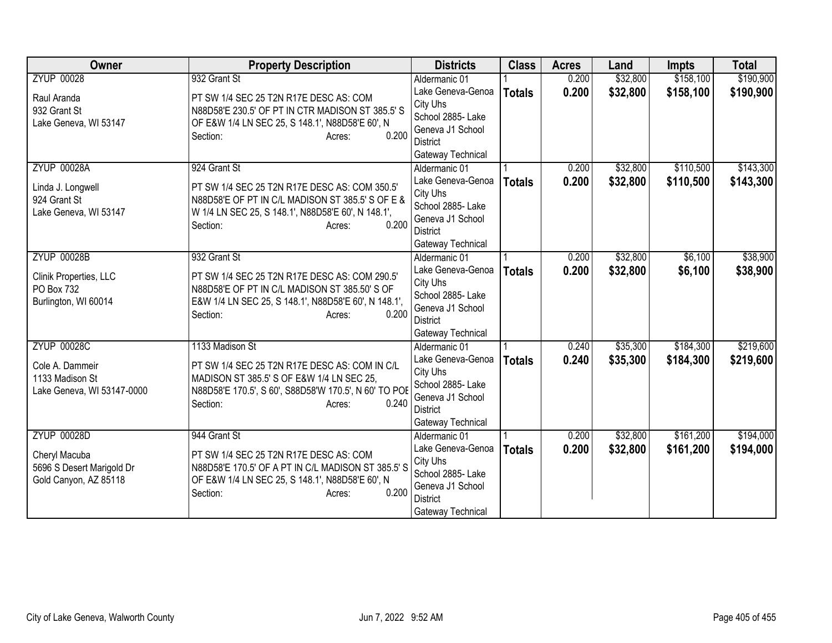| Owner                      | <b>Property Description</b>                           | <b>Districts</b>              | <b>Class</b>  | <b>Acres</b> | Land     | <b>Impts</b> | <b>Total</b> |
|----------------------------|-------------------------------------------------------|-------------------------------|---------------|--------------|----------|--------------|--------------|
| <b>ZYUP 00028</b>          | 932 Grant St                                          | Aldermanic 01                 |               | 0.200        | \$32,800 | \$158,100    | \$190,900    |
| Raul Aranda                | PT SW 1/4 SEC 25 T2N R17E DESC AS: COM                | Lake Geneva-Genoa             | <b>Totals</b> | 0.200        | \$32,800 | \$158,100    | \$190,900    |
| 932 Grant St               | N88D58'E 230.5' OF PT IN CTR MADISON ST 385.5' S      | City Uhs                      |               |              |          |              |              |
| Lake Geneva, WI 53147      | OF E&W 1/4 LN SEC 25, S 148.1', N88D58'E 60', N       | School 2885- Lake             |               |              |          |              |              |
|                            | 0.200<br>Section:<br>Acres:                           | Geneva J1 School              |               |              |          |              |              |
|                            |                                                       | District                      |               |              |          |              |              |
|                            |                                                       | Gateway Technical             |               |              |          |              |              |
| <b>ZYUP 00028A</b>         | 924 Grant St                                          | Aldermanic 01                 |               | 0.200        | \$32,800 | \$110,500    | \$143,300    |
| Linda J. Longwell          | PT SW 1/4 SEC 25 T2N R17E DESC AS: COM 350.5'         | Lake Geneva-Genoa             | <b>Totals</b> | 0.200        | \$32,800 | \$110,500    | \$143,300    |
| 924 Grant St               | N88D58'E OF PT IN C/L MADISON ST 385.5' S OF E &      | City Uhs<br>School 2885- Lake |               |              |          |              |              |
| Lake Geneva, WI 53147      | W 1/4 LN SEC 25, S 148.1', N88D58'E 60', N 148.1',    | Geneva J1 School              |               |              |          |              |              |
|                            | 0.200<br>Section:<br>Acres:                           | <b>District</b>               |               |              |          |              |              |
|                            |                                                       | Gateway Technical             |               |              |          |              |              |
| <b>ZYUP 00028B</b>         | 932 Grant St                                          | Aldermanic 01                 |               | 0.200        | \$32,800 | \$6,100      | \$38,900     |
|                            |                                                       | Lake Geneva-Genoa             | <b>Totals</b> | 0.200        | \$32,800 | \$6,100      | \$38,900     |
| Clinik Properties, LLC     | PT SW 1/4 SEC 25 T2N R17E DESC AS: COM 290.5'         | City Uhs                      |               |              |          |              |              |
| PO Box 732                 | N88D58'E OF PT IN C/L MADISON ST 385.50' S OF         | School 2885- Lake             |               |              |          |              |              |
| Burlington, WI 60014       | E&W 1/4 LN SEC 25, S 148.1', N88D58'E 60', N 148.1',  | Geneva J1 School              |               |              |          |              |              |
|                            | 0.200<br>Section:<br>Acres:                           | District                      |               |              |          |              |              |
|                            |                                                       | Gateway Technical             |               |              |          |              |              |
| <b>ZYUP 00028C</b>         | 1133 Madison St                                       | Aldermanic 01                 |               | 0.240        | \$35,300 | \$184,300    | \$219,600    |
| Cole A. Dammeir            | PT SW 1/4 SEC 25 T2N R17E DESC AS: COM IN C/L         | Lake Geneva-Genoa             | <b>Totals</b> | 0.240        | \$35,300 | \$184,300    | \$219,600    |
| 1133 Madison St            | MADISON ST 385.5' S OF E&W 1/4 LN SEC 25,             | City Uhs                      |               |              |          |              |              |
| Lake Geneva, WI 53147-0000 | N88D58'E 170.5', S 60', S88D58'W 170.5', N 60' TO POE | School 2885- Lake             |               |              |          |              |              |
|                            | 0.240<br>Section:<br>Acres:                           | Geneva J1 School              |               |              |          |              |              |
|                            |                                                       | <b>District</b>               |               |              |          |              |              |
|                            |                                                       | Gateway Technical             |               |              |          |              |              |
| <b>ZYUP 00028D</b>         | 944 Grant St                                          | Aldermanic 01                 |               | 0.200        | \$32,800 | \$161,200    | \$194,000    |
| Cheryl Macuba              | PT SW 1/4 SEC 25 T2N R17E DESC AS: COM                | Lake Geneva-Genoa<br>City Uhs | <b>Totals</b> | 0.200        | \$32,800 | \$161,200    | \$194,000    |
| 5696 S Desert Marigold Dr  | N88D58'E 170.5' OF A PT IN C/L MADISON ST 385.5' S    | School 2885- Lake             |               |              |          |              |              |
| Gold Canyon, AZ 85118      | OF E&W 1/4 LN SEC 25, S 148.1', N88D58'E 60', N       | Geneva J1 School              |               |              |          |              |              |
|                            | 0.200<br>Section:<br>Acres:                           | <b>District</b>               |               |              |          |              |              |
|                            |                                                       | Gateway Technical             |               |              |          |              |              |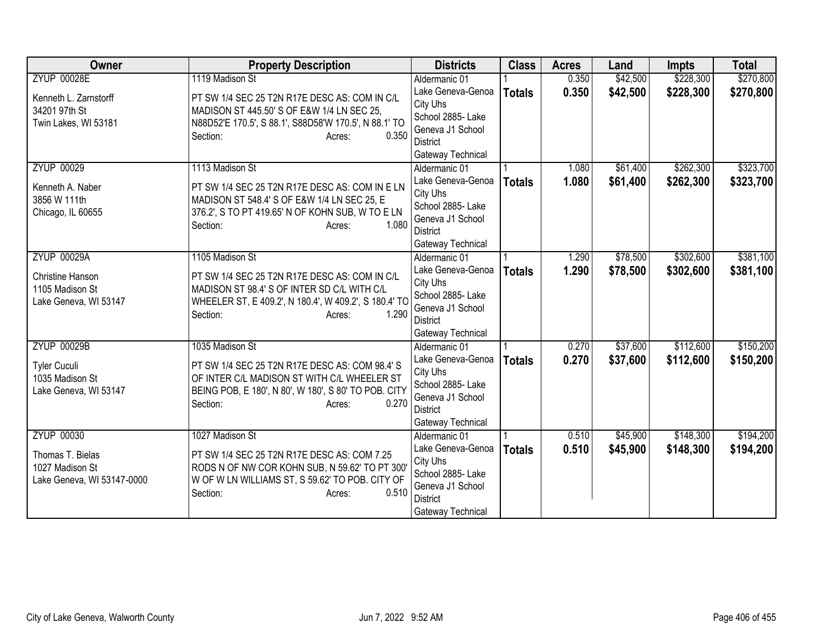| Owner                      | <b>Property Description</b>                           | <b>Districts</b>              | <b>Class</b>  | <b>Acres</b> | Land     | <b>Impts</b> | <b>Total</b> |
|----------------------------|-------------------------------------------------------|-------------------------------|---------------|--------------|----------|--------------|--------------|
| <b>ZYUP 00028E</b>         | 1119 Madison St                                       | Aldermanic 01                 |               | 0.350        | \$42,500 | \$228,300    | \$270,800    |
| Kenneth L. Zarnstorff      | PT SW 1/4 SEC 25 T2N R17E DESC AS: COM IN C/L         | Lake Geneva-Genoa             | <b>Totals</b> | 0.350        | \$42,500 | \$228,300    | \$270,800    |
| 34201 97th St              | MADISON ST 445.50' S OF E&W 1/4 LN SEC 25,            | City Uhs                      |               |              |          |              |              |
| Twin Lakes, WI 53181       | N88D52'E 170.5', S 88.1', S88D58'W 170.5', N 88.1' TO | School 2885- Lake             |               |              |          |              |              |
|                            | 0.350<br>Section:<br>Acres:                           | Geneva J1 School              |               |              |          |              |              |
|                            |                                                       | <b>District</b>               |               |              |          |              |              |
|                            |                                                       | Gateway Technical             |               |              |          |              |              |
| <b>ZYUP 00029</b>          | 1113 Madison St                                       | Aldermanic 01                 |               | 1.080        | \$61,400 | \$262,300    | \$323,700    |
| Kenneth A. Naber           | PT SW 1/4 SEC 25 T2N R17E DESC AS: COM IN E LN        | Lake Geneva-Genoa             | <b>Totals</b> | 1.080        | \$61,400 | \$262,300    | \$323,700    |
| 3856 W 111th               | MADISON ST 548.4' S OF E&W 1/4 LN SEC 25, E           | City Uhs<br>School 2885- Lake |               |              |          |              |              |
| Chicago, IL 60655          | 376.2', S TO PT 419.65' N OF KOHN SUB, W TO E LN      | Geneva J1 School              |               |              |          |              |              |
|                            | 1.080<br>Section:<br>Acres:                           | <b>District</b>               |               |              |          |              |              |
|                            |                                                       | Gateway Technical             |               |              |          |              |              |
| <b>ZYUP 00029A</b>         | 1105 Madison St                                       | Aldermanic 01                 |               | 1.290        | \$78,500 | \$302,600    | \$381,100    |
|                            |                                                       | Lake Geneva-Genoa             | <b>Totals</b> | 1.290        | \$78,500 | \$302,600    | \$381,100    |
| Christine Hanson           | PT SW 1/4 SEC 25 T2N R17E DESC AS: COM IN C/L         | City Uhs                      |               |              |          |              |              |
| 1105 Madison St            | MADISON ST 98.4' S OF INTER SD C/L WITH C/L           | School 2885- Lake             |               |              |          |              |              |
| Lake Geneva, WI 53147      | WHEELER ST, E 409.2', N 180.4', W 409.2', S 180.4' TO | Geneva J1 School              |               |              |          |              |              |
|                            | 1.290<br>Section:<br>Acres:                           | District                      |               |              |          |              |              |
|                            |                                                       | Gateway Technical             |               |              |          |              |              |
| <b>ZYUP 00029B</b>         | 1035 Madison St                                       | Aldermanic 01                 |               | 0.270        | \$37,600 | \$112,600    | \$150,200    |
| <b>Tyler Cuculi</b>        | PT SW 1/4 SEC 25 T2N R17E DESC AS: COM 98.4' S        | Lake Geneva-Genoa             | <b>Totals</b> | 0.270        | \$37,600 | \$112,600    | \$150,200    |
| 1035 Madison St            | OF INTER C/L MADISON ST WITH C/L WHEELER ST           | City Uhs                      |               |              |          |              |              |
| Lake Geneva, WI 53147      | BEING POB, E 180', N 80', W 180', S 80' TO POB. CITY  | School 2885- Lake             |               |              |          |              |              |
|                            | 0.270<br>Section:<br>Acres:                           | Geneva J1 School              |               |              |          |              |              |
|                            |                                                       | <b>District</b>               |               |              |          |              |              |
|                            |                                                       | Gateway Technical             |               |              |          |              |              |
| <b>ZYUP 00030</b>          | 1027 Madison St                                       | Aldermanic 01                 |               | 0.510        | \$45,900 | \$148,300    | \$194,200    |
| Thomas T. Bielas           | PT SW 1/4 SEC 25 T2N R17E DESC AS: COM 7.25           | Lake Geneva-Genoa<br>City Uhs | <b>Totals</b> | 0.510        | \$45,900 | \$148,300    | \$194,200    |
| 1027 Madison St            | RODS N OF NW COR KOHN SUB, N 59.62' TO PT 300'        | School 2885- Lake             |               |              |          |              |              |
| Lake Geneva, WI 53147-0000 | W OF W LN WILLIAMS ST, S 59.62' TO POB. CITY OF       | Geneva J1 School              |               |              |          |              |              |
|                            | 0.510<br>Section:<br>Acres:                           | <b>District</b>               |               |              |          |              |              |
|                            |                                                       | Gateway Technical             |               |              |          |              |              |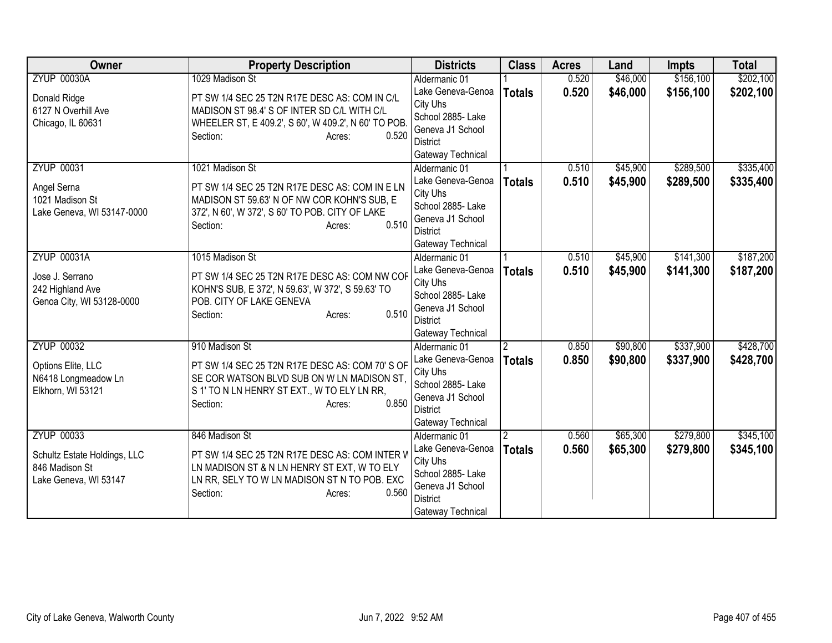| Owner                                          | <b>Property Description</b>                                                                   | <b>Districts</b>                   | <b>Class</b>  | <b>Acres</b> | Land     | <b>Impts</b> | <b>Total</b> |
|------------------------------------------------|-----------------------------------------------------------------------------------------------|------------------------------------|---------------|--------------|----------|--------------|--------------|
| <b>ZYUP 00030A</b>                             | 1029 Madison St                                                                               | Aldermanic 01                      |               | 0.520        | \$46,000 | \$156,100    | \$202,100    |
| Donald Ridge                                   | PT SW 1/4 SEC 25 T2N R17E DESC AS: COM IN C/L                                                 | Lake Geneva-Genoa                  | <b>Totals</b> | 0.520        | \$46,000 | \$156,100    | \$202,100    |
| 6127 N Overhill Ave                            | MADISON ST 98.4' S OF INTER SD C/L WITH C/L                                                   | City Uhs                           |               |              |          |              |              |
| Chicago, IL 60631                              | WHEELER ST, E 409.2', S 60', W 409.2', N 60' TO POB                                           | School 2885- Lake                  |               |              |          |              |              |
|                                                | 0.520<br>Section:<br>Acres:                                                                   | Geneva J1 School                   |               |              |          |              |              |
|                                                |                                                                                               | District                           |               |              |          |              |              |
| <b>ZYUP 00031</b>                              | 1021 Madison St                                                                               | Gateway Technical<br>Aldermanic 01 |               | 0.510        | \$45,900 | \$289,500    | \$335,400    |
|                                                |                                                                                               | Lake Geneva-Genoa                  |               | 0.510        | \$45,900 | \$289,500    | \$335,400    |
| Angel Serna                                    | PT SW 1/4 SEC 25 T2N R17E DESC AS: COM IN E LN                                                | City Uhs                           | <b>Totals</b> |              |          |              |              |
| 1021 Madison St                                | MADISON ST 59.63' N OF NW COR KOHN'S SUB, E                                                   | School 2885- Lake                  |               |              |          |              |              |
| Lake Geneva, WI 53147-0000                     | 372', N 60', W 372', S 60' TO POB. CITY OF LAKE                                               | Geneva J1 School                   |               |              |          |              |              |
|                                                | 0.510<br>Section:<br>Acres:                                                                   | <b>District</b>                    |               |              |          |              |              |
|                                                |                                                                                               | Gateway Technical                  |               |              |          |              |              |
| <b>ZYUP 00031A</b>                             | 1015 Madison St                                                                               | Aldermanic 01                      |               | 0.510        | \$45,900 | \$141,300    | \$187,200    |
| Jose J. Serrano                                | PT SW 1/4 SEC 25 T2N R17E DESC AS: COM NW COF                                                 | Lake Geneva-Genoa                  | <b>Totals</b> | 0.510        | \$45,900 | \$141,300    | \$187,200    |
| 242 Highland Ave                               | KOHN'S SUB, E 372', N 59.63', W 372', S 59.63' TO                                             | City Uhs                           |               |              |          |              |              |
| Genoa City, WI 53128-0000                      | POB. CITY OF LAKE GENEVA                                                                      | School 2885-Lake                   |               |              |          |              |              |
|                                                | 0.510<br>Section:<br>Acres:                                                                   | Geneva J1 School                   |               |              |          |              |              |
|                                                |                                                                                               | <b>District</b>                    |               |              |          |              |              |
|                                                |                                                                                               | Gateway Technical                  |               |              |          |              |              |
| <b>ZYUP 00032</b>                              | 910 Madison St                                                                                | Aldermanic 01                      | 2             | 0.850        | \$90,800 | \$337,900    | \$428,700    |
| Options Elite, LLC                             | PT SW 1/4 SEC 25 T2N R17E DESC AS: COM 70'S OF                                                | Lake Geneva-Genoa<br>City Uhs      | <b>Totals</b> | 0.850        | \$90,800 | \$337,900    | \$428,700    |
| N6418 Longmeadow Ln                            | SE COR WATSON BLVD SUB ON W LN MADISON ST.                                                    | School 2885- Lake                  |               |              |          |              |              |
| Elkhorn, WI 53121                              | S 1' TO N LN HENRY ST EXT., W TO ELY LN RR,                                                   | Geneva J1 School                   |               |              |          |              |              |
|                                                | 0.850<br>Section:<br>Acres:                                                                   | <b>District</b>                    |               |              |          |              |              |
|                                                |                                                                                               | Gateway Technical                  |               |              |          |              |              |
| <b>ZYUP 00033</b>                              | 846 Madison St                                                                                | Aldermanic 01                      |               | 0.560        | \$65,300 | \$279,800    | \$345,100    |
|                                                |                                                                                               | Lake Geneva-Genoa                  | <b>Totals</b> | 0.560        | \$65,300 | \$279,800    | \$345,100    |
| Schultz Estate Holdings, LLC<br>846 Madison St | PT SW 1/4 SEC 25 T2N R17E DESC AS: COM INTER V<br>LN MADISON ST & N LN HENRY ST EXT, W TO ELY | City Uhs                           |               |              |          |              |              |
| Lake Geneva, WI 53147                          | LN RR, SELY TO W LN MADISON ST N TO POB. EXC                                                  | School 2885- Lake                  |               |              |          |              |              |
|                                                | 0.560<br>Section:<br>Acres:                                                                   | Geneva J1 School                   |               |              |          |              |              |
|                                                |                                                                                               | District                           |               |              |          |              |              |
|                                                |                                                                                               | Gateway Technical                  |               |              |          |              |              |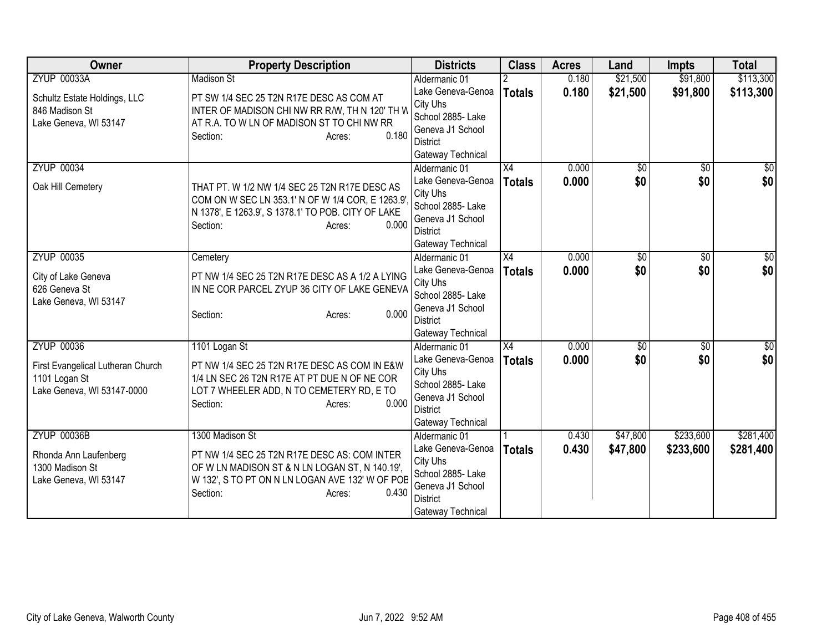| Owner                                                                            | <b>Property Description</b>                                                                                                                                                             | <b>Districts</b>                                                                                                                | <b>Class</b>        | <b>Acres</b>   | Land                   | <b>Impts</b>           | <b>Total</b>       |
|----------------------------------------------------------------------------------|-----------------------------------------------------------------------------------------------------------------------------------------------------------------------------------------|---------------------------------------------------------------------------------------------------------------------------------|---------------------|----------------|------------------------|------------------------|--------------------|
| <b>ZYUP 00033A</b>                                                               | <b>Madison St</b>                                                                                                                                                                       | Aldermanic 01                                                                                                                   |                     | 0.180          | \$21,500               | \$91,800               | \$113,300          |
| Schultz Estate Holdings, LLC<br>846 Madison St<br>Lake Geneva, WI 53147          | PT SW 1/4 SEC 25 T2N R17E DESC AS COM AT<br>INTER OF MADISON CHI NW RR R/W, TH N 120' TH W<br>AT R.A. TO W LN OF MADISON ST TO CHI NW RR<br>0.180<br>Section:<br>Acres:                 | Lake Geneva-Genoa<br>City Uhs<br>School 2885- Lake<br>Geneva J1 School<br><b>District</b><br>Gateway Technical                  | <b>Totals</b>       | 0.180          | \$21,500               | \$91,800               | \$113,300          |
| <b>ZYUP 00034</b><br>Oak Hill Cemetery                                           | THAT PT. W 1/2 NW 1/4 SEC 25 T2N R17E DESC AS<br>COM ON W SEC LN 353.1' N OF W 1/4 COR, E 1263.9'.<br>N 1378', E 1263.9', S 1378.1' TO POB. CITY OF LAKE<br>0.000<br>Section:<br>Acres: | Aldermanic 01<br>Lake Geneva-Genoa<br>City Uhs<br>School 2885- Lake<br>Geneva J1 School<br><b>District</b><br>Gateway Technical | X4<br><b>Totals</b> | 0.000<br>0.000 | $\overline{50}$<br>\$0 | $\overline{50}$<br>\$0 | $\sqrt{50}$<br>\$0 |
| <b>ZYUP 00035</b>                                                                | Cemetery                                                                                                                                                                                | Aldermanic 01                                                                                                                   | X4                  | 0.000          | $\overline{50}$        | $\overline{50}$        | \$0                |
| City of Lake Geneva<br>626 Geneva St<br>Lake Geneva, WI 53147                    | PT NW 1/4 SEC 25 T2N R17E DESC AS A 1/2 A LYING<br>IN NE COR PARCEL ZYUP 36 CITY OF LAKE GENEVA<br>0.000<br>Section:<br>Acres:                                                          | Lake Geneva-Genoa<br>City Uhs<br>School 2885- Lake<br>Geneva J1 School<br><b>District</b><br>Gateway Technical                  | <b>Totals</b>       | 0.000          | \$0                    | \$0                    | \$0                |
| <b>ZYUP 00036</b>                                                                | 1101 Logan St                                                                                                                                                                           | Aldermanic 01                                                                                                                   | X4                  | 0.000          | $\overline{50}$        | $\overline{50}$        | $\sqrt{50}$        |
| First Evangelical Lutheran Church<br>1101 Logan St<br>Lake Geneva, WI 53147-0000 | PT NW 1/4 SEC 25 T2N R17E DESC AS COM IN E&W<br>1/4 LN SEC 26 T2N R17E AT PT DUE N OF NE COR<br>LOT 7 WHEELER ADD, N TO CEMETERY RD, E TO<br>0.000<br>Section:<br>Acres:                | Lake Geneva-Genoa<br>City Uhs<br>School 2885- Lake<br>Geneva J1 School<br><b>District</b><br>Gateway Technical                  | <b>Totals</b>       | 0.000          | \$0                    | \$0                    | \$0                |
| <b>ZYUP 00036B</b>                                                               | 1300 Madison St                                                                                                                                                                         | Aldermanic 01                                                                                                                   |                     | 0.430          | \$47,800               | \$233,600              | \$281,400          |
| Rhonda Ann Laufenberg<br>1300 Madison St<br>Lake Geneva, WI 53147                | PT NW 1/4 SEC 25 T2N R17E DESC AS: COM INTER<br>OF W LN MADISON ST & N LN LOGAN ST, N 140.19',<br>W 132', S TO PT ON N LN LOGAN AVE 132' W OF POB<br>0.430<br>Section:<br>Acres:        | Lake Geneva-Genoa<br>City Uhs<br>School 2885- Lake<br>Geneva J1 School<br><b>District</b><br>Gateway Technical                  | <b>Totals</b>       | 0.430          | \$47,800               | \$233,600              | \$281,400          |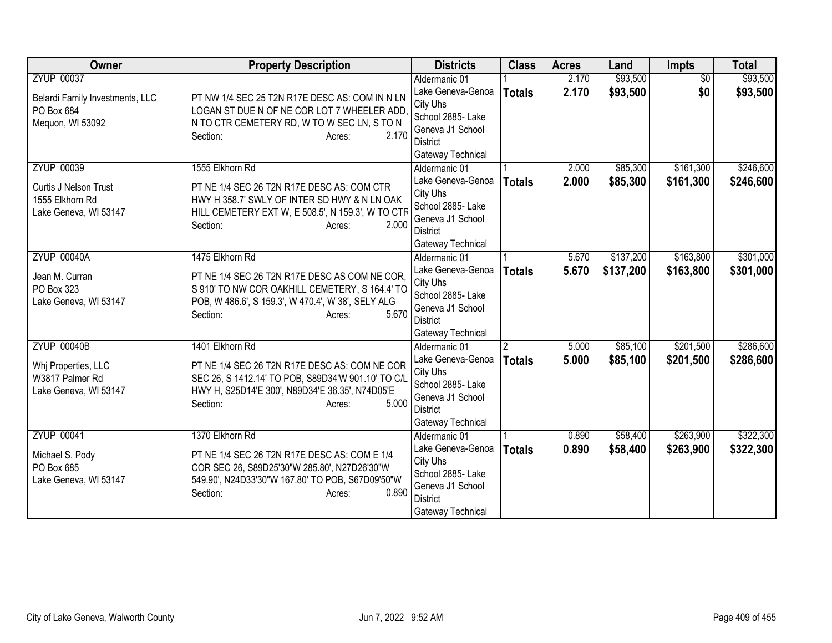| Owner                                                                                  | <b>Property Description</b>                                                                                                                                                                              | <b>Districts</b>                                                                                                                | <b>Class</b>                    | <b>Acres</b>   | Land                   | Impts                  | <b>Total</b>           |
|----------------------------------------------------------------------------------------|----------------------------------------------------------------------------------------------------------------------------------------------------------------------------------------------------------|---------------------------------------------------------------------------------------------------------------------------------|---------------------------------|----------------|------------------------|------------------------|------------------------|
| <b>ZYUP 00037</b><br>Belardi Family Investments, LLC<br>PO Box 684<br>Mequon, WI 53092 | PT NW 1/4 SEC 25 T2N R17E DESC AS: COM IN N LN<br>LOGAN ST DUE N OF NE COR LOT 7 WHEELER ADD<br>N TO CTR CEMETERY RD, W TO W SEC LN, S TO N<br>2.170<br>Section:<br>Acres:                               | Aldermanic 01<br>Lake Geneva-Genoa<br>City Uhs<br>School 2885- Lake<br>Geneva J1 School<br>District<br>Gateway Technical        | <b>Totals</b>                   | 2.170<br>2.170 | \$93,500<br>\$93,500   | $\overline{50}$<br>\$0 | \$93,500<br>\$93,500   |
| <b>ZYUP 00039</b><br>Curtis J Nelson Trust<br>1555 Elkhorn Rd<br>Lake Geneva, WI 53147 | 1555 Elkhorn Rd<br>PT NE 1/4 SEC 26 T2N R17E DESC AS: COM CTR<br>HWY H 358.7' SWLY OF INTER SD HWY & N LN OAK<br>HILL CEMETERY EXT W, E 508.5', N 159.3', W TO CTR<br>Section:<br>2.000<br>Acres:        | Aldermanic 01<br>Lake Geneva-Genoa<br>City Uhs<br>School 2885- Lake<br>Geneva J1 School<br>District<br>Gateway Technical        | <b>Totals</b>                   | 2.000<br>2.000 | \$85,300<br>\$85,300   | \$161,300<br>\$161,300 | \$246,600<br>\$246,600 |
| <b>ZYUP 00040A</b><br>Jean M. Curran<br>PO Box 323<br>Lake Geneva, WI 53147            | 1475 Elkhorn Rd<br>PT NE 1/4 SEC 26 T2N R17E DESC AS COM NE COR,<br>S 910' TO NW COR OAKHILL CEMETERY, S 164.4' TO<br>POB, W 486.6', S 159.3', W 470.4', W 38', SELY ALG<br>5.670<br>Section:<br>Acres:  | Aldermanic 01<br>Lake Geneva-Genoa<br>City Uhs<br>School 2885- Lake<br>Geneva J1 School<br><b>District</b><br>Gateway Technical | <b>Totals</b>                   | 5.670<br>5.670 | \$137,200<br>\$137,200 | \$163,800<br>\$163,800 | \$301,000<br>\$301,000 |
| <b>ZYUP 00040B</b><br>Whj Properties, LLC<br>W3817 Palmer Rd<br>Lake Geneva, WI 53147  | 1401 Elkhorn Rd<br>PT NE 1/4 SEC 26 T2N R17E DESC AS: COM NE COR<br>SEC 26, S 1412.14' TO POB, S89D34'W 901.10' TO C/L<br>HWY H, S25D14'E 300', N89D34'E 36.35', N74D05'E<br>5.000<br>Section:<br>Acres: | Aldermanic 01<br>Lake Geneva-Genoa<br>City Uhs<br>School 2885- Lake<br>Geneva J1 School<br><b>District</b><br>Gateway Technical | $\overline{2}$<br><b>Totals</b> | 5.000<br>5.000 | \$85,100<br>\$85,100   | \$201,500<br>\$201,500 | \$286,600<br>\$286,600 |
| <b>ZYUP 00041</b><br>Michael S. Pody<br>PO Box 685<br>Lake Geneva, WI 53147            | 1370 Elkhorn Rd<br>PT NE 1/4 SEC 26 T2N R17E DESC AS: COM E 1/4<br>COR SEC 26, S89D25'30"W 285.80', N27D26'30"W<br>549.90', N24D33'30"W 167.80' TO POB, S67D09'50"W<br>0.890<br>Section:<br>Acres:       | Aldermanic 01<br>Lake Geneva-Genoa<br>City Uhs<br>School 2885- Lake<br>Geneva J1 School<br><b>District</b><br>Gateway Technical | <b>Totals</b>                   | 0.890<br>0.890 | \$58,400<br>\$58,400   | \$263,900<br>\$263,900 | \$322,300<br>\$322,300 |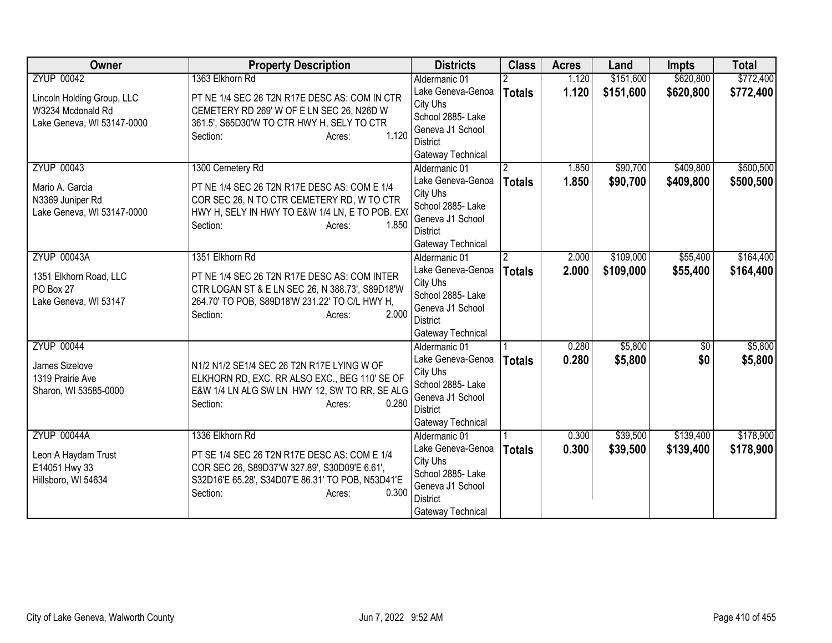| <b>Owner</b>                                                                           | <b>Property Description</b>                                                                                                                                                                          | <b>Districts</b>                                                                                                                | <b>Class</b>                    | <b>Acres</b>   | Land                   | <b>Impts</b>           | <b>Total</b>           |
|----------------------------------------------------------------------------------------|------------------------------------------------------------------------------------------------------------------------------------------------------------------------------------------------------|---------------------------------------------------------------------------------------------------------------------------------|---------------------------------|----------------|------------------------|------------------------|------------------------|
| <b>ZYUP 00042</b>                                                                      | 1363 Elkhorn Rd                                                                                                                                                                                      | Aldermanic 01                                                                                                                   |                                 | 1.120          | \$151,600              | \$620,800              | \$772,400              |
| Lincoln Holding Group, LLC<br>W3234 Mcdonald Rd<br>Lake Geneva, WI 53147-0000          | PT NE 1/4 SEC 26 T2N R17E DESC AS: COM IN CTR<br>CEMETERY RD 269' W OF E LN SEC 26, N26D W<br>361.5', S65D30'W TO CTR HWY H, SELY TO CTR<br>1.120<br>Section:<br>Acres:                              | Lake Geneva-Genoa<br>City Uhs<br>School 2885- Lake<br>Geneva J1 School<br><b>District</b><br>Gateway Technical                  | <b>Totals</b>                   | 1.120          | \$151,600              | \$620,800              | \$772,400              |
| <b>ZYUP 00043</b><br>Mario A. Garcia<br>N3369 Juniper Rd<br>Lake Geneva, WI 53147-0000 | 1300 Cemetery Rd<br>PT NE 1/4 SEC 26 T2N R17E DESC AS: COM E 1/4<br>COR SEC 26, N TO CTR CEMETERY RD, W TO CTR<br>HWY H, SELY IN HWY TO E&W 1/4 LN, E TO POB. EXO<br>1.850<br>Section:<br>Acres:     | Aldermanic 01<br>Lake Geneva-Genoa<br>City Uhs<br>School 2885- Lake<br>Geneva J1 School<br><b>District</b><br>Gateway Technical | $\overline{2}$<br><b>Totals</b> | 1.850<br>1.850 | \$90,700<br>\$90,700   | \$409,800<br>\$409,800 | \$500,500<br>\$500,500 |
| <b>ZYUP 00043A</b><br>1351 Elkhorn Road, LLC<br>PO Box 27<br>Lake Geneva, WI 53147     | 1351 Elkhorn Rd<br>PT NE 1/4 SEC 26 T2N R17E DESC AS: COM INTER<br>CTR LOGAN ST & E LN SEC 26, N 388.73', S89D18'W<br>264.70' TO POB, S89D18'W 231.22' TO C/L HWY H,<br>2.000<br>Section:<br>Acres:  | Aldermanic 01<br>Lake Geneva-Genoa<br>City Uhs<br>School 2885- Lake<br>Geneva J1 School<br>District<br>Gateway Technical        | $\overline{2}$<br><b>Totals</b> | 2.000<br>2.000 | \$109,000<br>\$109,000 | \$55,400<br>\$55,400   | \$164,400<br>\$164,400 |
| <b>ZYUP 00044</b><br>James Sizelove<br>1319 Prairie Ave<br>Sharon, WI 53585-0000       | N1/2 N1/2 SE1/4 SEC 26 T2N R17E LYING W OF<br>ELKHORN RD, EXC. RR ALSO EXC., BEG 110' SE OF<br>E&W 1/4 LN ALG SW LN HWY 12, SW TO RR, SE ALG<br>0.280<br>Section:<br>Acres:                          | Aldermanic 01<br>Lake Geneva-Genoa<br>City Uhs<br>School 2885- Lake<br>Geneva J1 School<br><b>District</b><br>Gateway Technical | <b>Totals</b>                   | 0.280<br>0.280 | \$5,800<br>\$5,800     | $\overline{50}$<br>\$0 | \$5,800<br>\$5,800     |
| <b>ZYUP 00044A</b><br>Leon A Haydam Trust<br>E14051 Hwy 33<br>Hillsboro, WI 54634      | 1336 Elkhorn Rd<br>PT SE 1/4 SEC 26 T2N R17E DESC AS: COM E 1/4<br>COR SEC 26, S89D37'W 327.89', S30D09'E 6.61',<br>S32D16'E 65.28', S34D07'E 86.31' TO POB, N53D41'E<br>0.300<br>Section:<br>Acres: | Aldermanic 01<br>Lake Geneva-Genoa<br>City Uhs<br>School 2885-Lake<br>Geneva J1 School<br><b>District</b><br>Gateway Technical  | <b>Totals</b>                   | 0.300<br>0.300 | \$39,500<br>\$39,500   | \$139,400<br>\$139,400 | \$178,900<br>\$178,900 |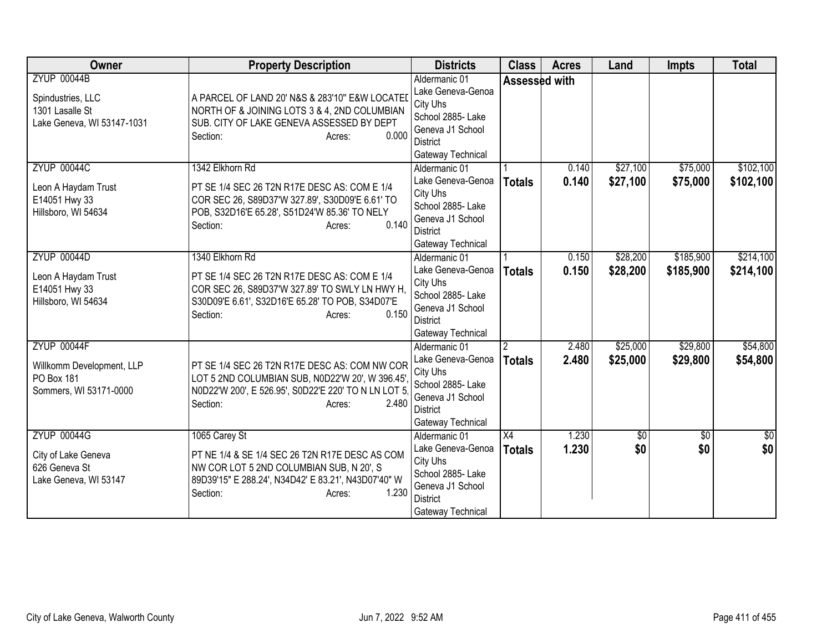| Owner                                                                                    | <b>Property Description</b>                                                                                                                                                                          | <b>Districts</b>                                                                                                                | <b>Class</b>        | <b>Acres</b>   | Land                 | <b>Impts</b>           | <b>Total</b>            |
|------------------------------------------------------------------------------------------|------------------------------------------------------------------------------------------------------------------------------------------------------------------------------------------------------|---------------------------------------------------------------------------------------------------------------------------------|---------------------|----------------|----------------------|------------------------|-------------------------|
| <b>ZYUP 00044B</b><br>Spindustries, LLC<br>1301 Lasalle St<br>Lake Geneva, WI 53147-1031 | A PARCEL OF LAND 20' N&S & 283'10" E&W LOCATEI<br>NORTH OF & JOINING LOTS 3 & 4, 2ND COLUMBIAN<br>SUB. CITY OF LAKE GENEVA ASSESSED BY DEPT<br>0.000<br>Section:<br>Acres:                           | Aldermanic 01<br>Lake Geneva-Genoa<br>City Uhs<br>School 2885- Lake<br>Geneva J1 School<br><b>District</b><br>Gateway Technical |                     | Assessed with  |                      |                        |                         |
| <b>ZYUP 00044C</b><br>Leon A Haydam Trust<br>E14051 Hwy 33<br>Hillsboro, WI 54634        | 1342 Elkhorn Rd<br>PT SE 1/4 SEC 26 T2N R17E DESC AS: COM E 1/4<br>COR SEC 26, S89D37'W 327.89', S30D09'E 6.61' TO<br>POB, S32D16'E 65.28', S51D24'W 85.36' TO NELY<br>0.140<br>Section:<br>Acres:   | Aldermanic 01<br>Lake Geneva-Genoa<br>City Uhs<br>School 2885- Lake<br>Geneva J1 School<br><b>District</b><br>Gateway Technical | <b>Totals</b>       | 0.140<br>0.140 | \$27,100<br>\$27,100 | \$75,000<br>\$75,000   | \$102,100<br>\$102,100  |
| <b>ZYUP 00044D</b><br>Leon A Haydam Trust<br>E14051 Hwy 33<br>Hillsboro, WI 54634        | 1340 Elkhorn Rd<br>PT SE 1/4 SEC 26 T2N R17E DESC AS: COM E 1/4<br>COR SEC 26, S89D37'W 327.89' TO SWLY LN HWY H,<br>S30D09'E 6.61', S32D16'E 65.28' TO POB, S34D07'E<br>0.150<br>Section:<br>Acres: | Aldermanic 01<br>Lake Geneva-Genoa<br>City Uhs<br>School 2885- Lake<br>Geneva J1 School<br><b>District</b><br>Gateway Technical | <b>Totals</b>       | 0.150<br>0.150 | \$28,200<br>\$28,200 | \$185,900<br>\$185,900 | \$214,100<br>\$214,100  |
| <b>ZYUP 00044F</b><br>Willkomm Development, LLP<br>PO Box 181<br>Sommers, WI 53171-0000  | PT SE 1/4 SEC 26 T2N R17E DESC AS: COM NW COR<br>LOT 5 2ND COLUMBIAN SUB, N0D22'W 20', W 396.45',<br>N0D22'W 200', E 526.95', S0D22'E 220' TO N LN LOT 5<br>2.480<br>Section:<br>Acres:              | Aldermanic 01<br>Lake Geneva-Genoa<br>City Uhs<br>School 2885- Lake<br>Geneva J1 School<br><b>District</b><br>Gateway Technical | 2<br><b>Totals</b>  | 2.480<br>2.480 | \$25,000<br>\$25,000 | \$29,800<br>\$29,800   | \$54,800<br>\$54,800    |
| <b>ZYUP 00044G</b><br>City of Lake Geneva<br>626 Geneva St<br>Lake Geneva, WI 53147      | 1065 Carey St<br>PT NE 1/4 & SE 1/4 SEC 26 T2N R17E DESC AS COM<br>NW COR LOT 5 2ND COLUMBIAN SUB, N 20', S<br>89D39'15" E 288.24', N34D42' E 83.21', N43D07'40" W<br>1.230<br>Section:<br>Acres:    | Aldermanic 01<br>Lake Geneva-Genoa<br>City Uhs<br>School 2885- Lake<br>Geneva J1 School<br><b>District</b><br>Gateway Technical | X4<br><b>Totals</b> | 1.230<br>1.230 | \$0<br>\$0           | $\overline{30}$<br>\$0 | $\overline{\$0}$<br>\$0 |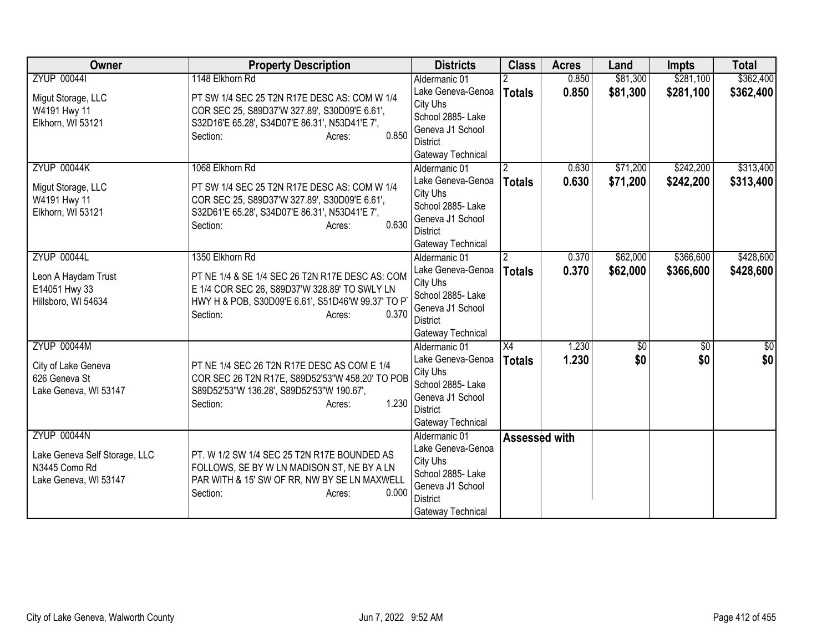| Owner                                                                                         | <b>Property Description</b>                                                                                                                                                                              | <b>Districts</b>                                                                                                                | <b>Class</b>                    | <b>Acres</b>   | Land                 | <b>Impts</b>           | <b>Total</b>           |
|-----------------------------------------------------------------------------------------------|----------------------------------------------------------------------------------------------------------------------------------------------------------------------------------------------------------|---------------------------------------------------------------------------------------------------------------------------------|---------------------------------|----------------|----------------------|------------------------|------------------------|
| <b>ZYUP 000441</b>                                                                            | 1148 Elkhorn Rd                                                                                                                                                                                          | Aldermanic 01                                                                                                                   |                                 | 0.850          | \$81,300             | \$281,100              | \$362,400              |
| Migut Storage, LLC<br>W4191 Hwy 11<br>Elkhorn, WI 53121                                       | PT SW 1/4 SEC 25 T2N R17E DESC AS: COM W 1/4<br>COR SEC 25, S89D37'W 327.89', S30D09'E 6.61',<br>S32D16'E 65.28', S34D07'E 86.31', N53D41'E 7',<br>0.850<br>Section:<br>Acres:                           | Lake Geneva-Genoa<br>City Uhs<br>School 2885-Lake<br>Geneva J1 School<br>District<br>Gateway Technical                          | <b>Totals</b>                   | 0.850          | \$81,300             | \$281,100              | \$362,400              |
| <b>ZYUP 00044K</b><br>Migut Storage, LLC<br>W4191 Hwy 11<br>Elkhorn, WI 53121                 | 1068 Elkhorn Rd<br>PT SW 1/4 SEC 25 T2N R17E DESC AS: COM W 1/4<br>COR SEC 25, S89D37'W 327.89', S30D09'E 6.61',<br>S32D61'E 65.28', S34D07'E 86.31', N53D41'E 7',<br>0.630<br>Section:<br>Acres:        | Aldermanic 01<br>Lake Geneva-Genoa<br>City Uhs<br>School 2885-Lake<br>Geneva J1 School<br><b>District</b><br>Gateway Technical  | 2<br><b>Totals</b>              | 0.630<br>0.630 | \$71,200<br>\$71,200 | \$242,200<br>\$242,200 | \$313,400<br>\$313,400 |
| <b>ZYUP 00044L</b><br>Leon A Haydam Trust<br>E14051 Hwy 33<br>Hillsboro, WI 54634             | 1350 Elkhorn Rd<br>PT NE 1/4 & SE 1/4 SEC 26 T2N R17E DESC AS: COM<br>E 1/4 COR SEC 26, S89D37'W 328.89' TO SWLY LN<br>HWY H & POB, S30D09'E 6.61', S51D46'W 99.37' TO P'<br>0.370<br>Section:<br>Acres: | Aldermanic 01<br>Lake Geneva-Genoa<br>City Uhs<br>School 2885- Lake<br>Geneva J1 School<br>District<br>Gateway Technical        | $\overline{2}$<br><b>Totals</b> | 0.370<br>0.370 | \$62,000<br>\$62,000 | \$366,600<br>\$366,600 | \$428,600<br>\$428,600 |
| <b>ZYUP 00044M</b><br>City of Lake Geneva<br>626 Geneva St<br>Lake Geneva, WI 53147           | PT NE 1/4 SEC 26 T2N R17E DESC AS COM E 1/4<br>COR SEC 26 T2N R17E, S89D52'53"W 458.20' TO POB<br>S89D52'53"W 136.28', S89D52'53"W 190.67',<br>1.230<br>Section:<br>Acres:                               | Aldermanic 01<br>Lake Geneva-Genoa<br>City Uhs<br>School 2885- Lake<br>Geneva J1 School<br><b>District</b><br>Gateway Technical | X4<br><b>Totals</b>             | 1.230<br>1.230 | $\sqrt{50}$<br>\$0   | $\overline{50}$<br>\$0 | \$0<br>\$0             |
| <b>ZYUP 00044N</b><br>Lake Geneva Self Storage, LLC<br>N3445 Como Rd<br>Lake Geneva, WI 53147 | PT. W 1/2 SW 1/4 SEC 25 T2N R17E BOUNDED AS<br>FOLLOWS, SE BY W LN MADISON ST, NE BY A LN<br>PAR WITH & 15' SW OF RR, NW BY SE LN MAXWELL<br>0.000<br>Section:<br>Acres:                                 | Aldermanic 01<br>Lake Geneva-Genoa<br>City Uhs<br>School 2885- Lake<br>Geneva J1 School<br><b>District</b><br>Gateway Technical | Assessed with                   |                |                      |                        |                        |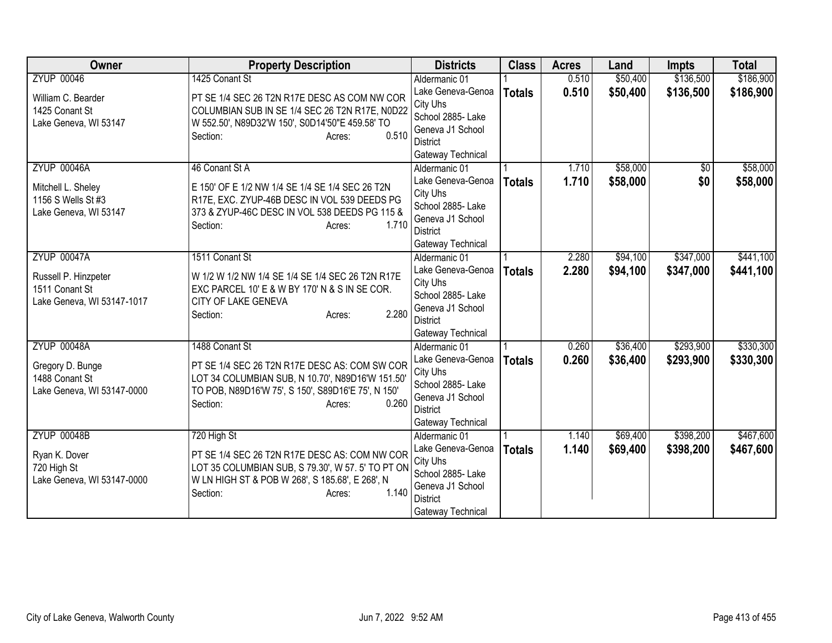| <b>Owner</b>               | <b>Property Description</b>                        | <b>Districts</b>                   | <b>Class</b>  | <b>Acres</b> | Land     | <b>Impts</b> | <b>Total</b> |
|----------------------------|----------------------------------------------------|------------------------------------|---------------|--------------|----------|--------------|--------------|
| <b>ZYUP 00046</b>          | 1425 Conant St                                     | Aldermanic 01                      |               | 0.510        | \$50,400 | \$136,500    | \$186,900    |
| William C. Bearder         | PT SE 1/4 SEC 26 T2N R17E DESC AS COM NW COR       | Lake Geneva-Genoa                  | <b>Totals</b> | 0.510        | \$50,400 | \$136,500    | \$186,900    |
| 1425 Conant St             | COLUMBIAN SUB IN SE 1/4 SEC 26 T2N R17E, N0D22     | City Uhs                           |               |              |          |              |              |
| Lake Geneva, WI 53147      | W 552.50', N89D32'W 150', S0D14'50"E 459.58' TO    | School 2885- Lake                  |               |              |          |              |              |
|                            | 0.510<br>Section:<br>Acres:                        | Geneva J1 School                   |               |              |          |              |              |
|                            |                                                    | District                           |               |              |          |              |              |
| <b>ZYUP 00046A</b>         | 46 Conant St A                                     | Gateway Technical<br>Aldermanic 01 |               | 1.710        | \$58,000 | $\sqrt{6}$   | \$58,000     |
|                            |                                                    | Lake Geneva-Genoa                  |               | 1.710        | \$58,000 | \$0          | \$58,000     |
| Mitchell L. Sheley         | E 150' OF E 1/2 NW 1/4 SE 1/4 SE 1/4 SEC 26 T2N    | City Uhs                           | <b>Totals</b> |              |          |              |              |
| 1156 S Wells St #3         | R17E, EXC. ZYUP-46B DESC IN VOL 539 DEEDS PG       | School 2885- Lake                  |               |              |          |              |              |
| Lake Geneva, WI 53147      | 373 & ZYUP-46C DESC IN VOL 538 DEEDS PG 115 &      | Geneva J1 School                   |               |              |          |              |              |
|                            | 1.710<br>Section:<br>Acres:                        | <b>District</b>                    |               |              |          |              |              |
|                            |                                                    | Gateway Technical                  |               |              |          |              |              |
| <b>ZYUP 00047A</b>         | 1511 Conant St                                     | Aldermanic 01                      |               | 2.280        | \$94,100 | \$347,000    | \$441,100    |
| Russell P. Hinzpeter       | W 1/2 W 1/2 NW 1/4 SE 1/4 SE 1/4 SEC 26 T2N R17E   | Lake Geneva-Genoa                  | <b>Totals</b> | 2.280        | \$94,100 | \$347,000    | \$441,100    |
| 1511 Conant St             | EXC PARCEL 10' E & W BY 170' N & S IN SE COR.      | City Uhs                           |               |              |          |              |              |
| Lake Geneva, WI 53147-1017 | CITY OF LAKE GENEVA                                | School 2885- Lake                  |               |              |          |              |              |
|                            | 2.280<br>Section:<br>Acres:                        | Geneva J1 School                   |               |              |          |              |              |
|                            |                                                    | <b>District</b>                    |               |              |          |              |              |
|                            |                                                    | Gateway Technical                  |               |              |          |              |              |
| <b>ZYUP 00048A</b>         | 1488 Conant St                                     | Aldermanic 01                      |               | 0.260        | \$36,400 | \$293,900    | \$330,300    |
| Gregory D. Bunge           | PT SE 1/4 SEC 26 T2N R17E DESC AS: COM SW COR      | Lake Geneva-Genoa<br>City Uhs      | <b>Totals</b> | 0.260        | \$36,400 | \$293,900    | \$330,300    |
| 1488 Conant St             | LOT 34 COLUMBIAN SUB, N 10.70', N89D16'W 151.50'   | School 2885- Lake                  |               |              |          |              |              |
| Lake Geneva, WI 53147-0000 | TO POB, N89D16'W 75', S 150', S89D16'E 75', N 150' | Geneva J1 School                   |               |              |          |              |              |
|                            | 0.260<br>Section:<br>Acres:                        | District                           |               |              |          |              |              |
|                            |                                                    | Gateway Technical                  |               |              |          |              |              |
| <b>ZYUP 00048B</b>         | 720 High St                                        | Aldermanic 01                      |               | 1.140        | \$69,400 | \$398,200    | \$467,600    |
| Ryan K. Dover              | PT SE 1/4 SEC 26 T2N R17E DESC AS: COM NW COR      | Lake Geneva-Genoa                  | <b>Totals</b> | 1.140        | \$69,400 | \$398,200    | \$467,600    |
| 720 High St                | LOT 35 COLUMBIAN SUB, S 79.30', W 57. 5' TO PT ON  | City Uhs                           |               |              |          |              |              |
| Lake Geneva, WI 53147-0000 | W LN HIGH ST & POB W 268', S 185.68', E 268', N    | School 2885- Lake                  |               |              |          |              |              |
|                            | 1.140<br>Section:<br>Acres:                        | Geneva J1 School                   |               |              |          |              |              |
|                            |                                                    | <b>District</b>                    |               |              |          |              |              |
|                            |                                                    | Gateway Technical                  |               |              |          |              |              |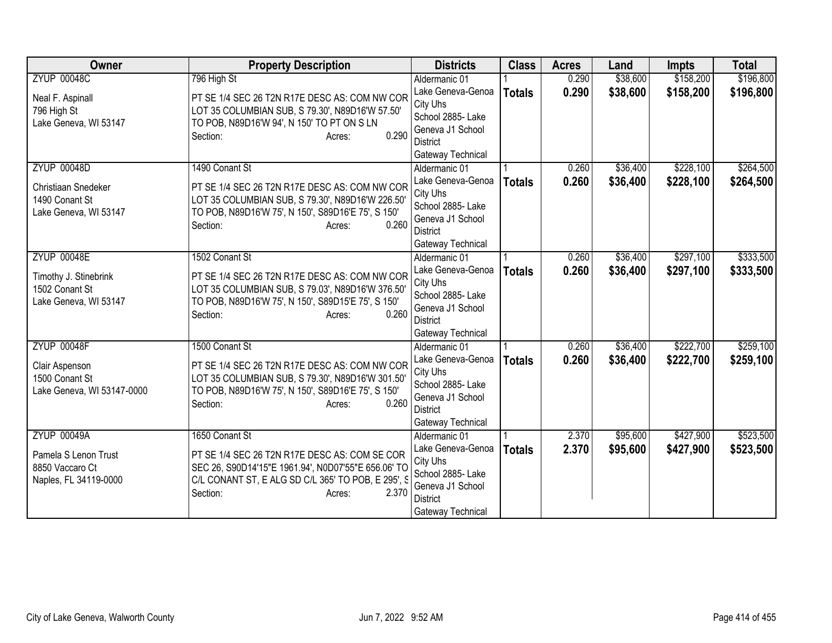| Owner                      | <b>Property Description</b>                         | <b>Districts</b>              | <b>Class</b>  | <b>Acres</b> | Land     | <b>Impts</b> | <b>Total</b> |
|----------------------------|-----------------------------------------------------|-------------------------------|---------------|--------------|----------|--------------|--------------|
| <b>ZYUP 00048C</b>         | 796 High St                                         | Aldermanic 01                 |               | 0.290        | \$38,600 | \$158,200    | \$196,800    |
| Neal F. Aspinall           | PT SE 1/4 SEC 26 T2N R17E DESC AS: COM NW COR       | Lake Geneva-Genoa             | <b>Totals</b> | 0.290        | \$38,600 | \$158,200    | \$196,800    |
| 796 High St                | LOT 35 COLUMBIAN SUB, S 79.30', N89D16'W 57.50'     | City Uhs                      |               |              |          |              |              |
| Lake Geneva, WI 53147      | TO POB, N89D16'W 94', N 150' TO PT ON S LN          | School 2885- Lake             |               |              |          |              |              |
|                            | 0.290<br>Section:<br>Acres:                         | Geneva J1 School              |               |              |          |              |              |
|                            |                                                     | <b>District</b>               |               |              |          |              |              |
|                            |                                                     | Gateway Technical             |               |              |          |              |              |
| <b>ZYUP 00048D</b>         | 1490 Conant St                                      | Aldermanic 01                 |               | 0.260        | \$36,400 | \$228,100    | \$264,500    |
| Christiaan Snedeker        | PT SE 1/4 SEC 26 T2N R17E DESC AS: COM NW COR       | Lake Geneva-Genoa             | <b>Totals</b> | 0.260        | \$36,400 | \$228,100    | \$264,500    |
| 1490 Conant St             | LOT 35 COLUMBIAN SUB, S 79.30', N89D16'W 226.50'    | City Uhs<br>School 2885- Lake |               |              |          |              |              |
| Lake Geneva, WI 53147      | TO POB, N89D16'W 75', N 150', S89D16'E 75', S 150'  | Geneva J1 School              |               |              |          |              |              |
|                            | 0.260<br>Section:<br>Acres:                         | <b>District</b>               |               |              |          |              |              |
|                            |                                                     | Gateway Technical             |               |              |          |              |              |
| <b>ZYUP 00048E</b>         | 1502 Conant St                                      | Aldermanic 01                 |               | 0.260        | \$36,400 | \$297,100    | \$333,500    |
|                            |                                                     | Lake Geneva-Genoa             | <b>Totals</b> | 0.260        | \$36,400 | \$297,100    | \$333,500    |
| Timothy J. Stinebrink      | PT SE 1/4 SEC 26 T2N R17E DESC AS: COM NW COR       | City Uhs                      |               |              |          |              |              |
| 1502 Conant St             | LOT 35 COLUMBIAN SUB, S 79.03', N89D16'W 376.50'    | School 2885- Lake             |               |              |          |              |              |
| Lake Geneva, WI 53147      | TO POB, N89D16'W 75', N 150', S89D15'E 75', S 150'  | Geneva J1 School              |               |              |          |              |              |
|                            | 0.260<br>Section:<br>Acres:                         | <b>District</b>               |               |              |          |              |              |
|                            |                                                     | Gateway Technical             |               |              |          |              |              |
| <b>ZYUP 00048F</b>         | 1500 Conant St                                      | Aldermanic 01                 |               | 0.260        | \$36,400 | \$222,700    | \$259,100    |
| Clair Aspenson             | PT SE 1/4 SEC 26 T2N R17E DESC AS: COM NW COR       | Lake Geneva-Genoa             | <b>Totals</b> | 0.260        | \$36,400 | \$222,700    | \$259,100    |
| 1500 Conant St             | LOT 35 COLUMBIAN SUB, S 79.30', N89D16'W 301.50'    | City Uhs                      |               |              |          |              |              |
| Lake Geneva, WI 53147-0000 | TO POB, N89D16'W 75', N 150', S89D16'E 75', S 150'  | School 2885- Lake             |               |              |          |              |              |
|                            | 0.260<br>Section:<br>Acres:                         | Geneva J1 School              |               |              |          |              |              |
|                            |                                                     | <b>District</b>               |               |              |          |              |              |
|                            |                                                     | Gateway Technical             |               |              |          |              |              |
| <b>ZYUP 00049A</b>         | 1650 Conant St                                      | Aldermanic 01                 |               | 2.370        | \$95,600 | \$427,900    | \$523,500    |
| Pamela S Lenon Trust       | PT SE 1/4 SEC 26 T2N R17E DESC AS: COM SE COR       | Lake Geneva-Genoa<br>City Uhs | <b>Totals</b> | 2.370        | \$95,600 | \$427,900    | \$523,500    |
| 8850 Vaccaro Ct            | SEC 26, S90D14'15"E 1961.94', N0D07'55"E 656.06' TO | School 2885- Lake             |               |              |          |              |              |
| Naples, FL 34119-0000      | C/L CONANT ST, E ALG SD C/L 365' TO POB, E 295', S  | Geneva J1 School              |               |              |          |              |              |
|                            | Section:<br>2.370<br>Acres:                         | <b>District</b>               |               |              |          |              |              |
|                            |                                                     | Gateway Technical             |               |              |          |              |              |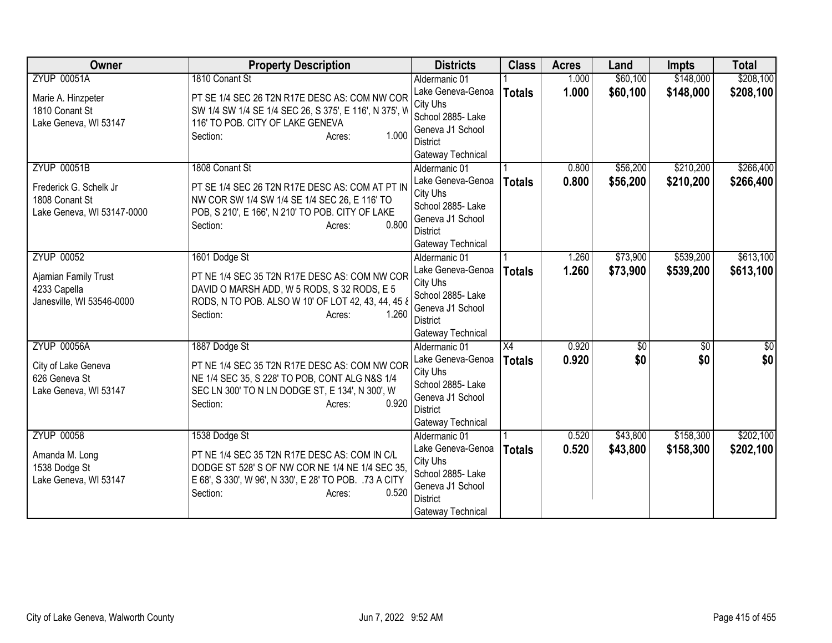| Owner                                     | <b>Property Description</b>                                                                  | <b>Districts</b>                   | <b>Class</b>    | <b>Acres</b> | Land        | <b>Impts</b>    | <b>Total</b> |
|-------------------------------------------|----------------------------------------------------------------------------------------------|------------------------------------|-----------------|--------------|-------------|-----------------|--------------|
| <b>ZYUP 00051A</b>                        | 1810 Conant St                                                                               | Aldermanic 01                      |                 | 1.000        | \$60,100    | \$148,000       | \$208,100    |
| Marie A. Hinzpeter                        | PT SE 1/4 SEC 26 T2N R17E DESC AS: COM NW COR                                                | Lake Geneva-Genoa                  | <b>Totals</b>   | 1.000        | \$60,100    | \$148,000       | \$208,100    |
| 1810 Conant St                            | SW 1/4 SW 1/4 SE 1/4 SEC 26, S 375', E 116', N 375', W                                       | City Uhs                           |                 |              |             |                 |              |
| Lake Geneva, WI 53147                     | 116' TO POB. CITY OF LAKE GENEVA                                                             | School 2885- Lake                  |                 |              |             |                 |              |
|                                           | 1.000<br>Section:<br>Acres:                                                                  | Geneva J1 School                   |                 |              |             |                 |              |
|                                           |                                                                                              | <b>District</b>                    |                 |              |             |                 |              |
| <b>ZYUP 00051B</b>                        | 1808 Conant St                                                                               | Gateway Technical<br>Aldermanic 01 |                 | 0.800        | \$56,200    | \$210,200       | \$266,400    |
|                                           |                                                                                              | Lake Geneva-Genoa                  |                 | 0.800        | \$56,200    |                 |              |
| Frederick G. Schelk Jr                    | PT SE 1/4 SEC 26 T2N R17E DESC AS: COM AT PT IN                                              | City Uhs                           | <b>Totals</b>   |              |             | \$210,200       | \$266,400    |
| 1808 Conant St                            | NW COR SW 1/4 SW 1/4 SE 1/4 SEC 26, E 116' TO                                                | School 2885- Lake                  |                 |              |             |                 |              |
| Lake Geneva, WI 53147-0000                | POB, S 210', E 166', N 210' TO POB. CITY OF LAKE                                             | Geneva J1 School                   |                 |              |             |                 |              |
|                                           | 0.800<br>Section:<br>Acres:                                                                  | <b>District</b>                    |                 |              |             |                 |              |
|                                           |                                                                                              | Gateway Technical                  |                 |              |             |                 |              |
| <b>ZYUP 00052</b>                         | 1601 Dodge St                                                                                | Aldermanic 01                      |                 | 1.260        | \$73,900    | \$539,200       | \$613,100    |
|                                           |                                                                                              | Lake Geneva-Genoa                  | <b>Totals</b>   | 1.260        | \$73,900    | \$539,200       | \$613,100    |
| Ajamian Family Trust                      | PT NE 1/4 SEC 35 T2N R17E DESC AS: COM NW COR<br>DAVID O MARSH ADD, W 5 RODS, S 32 RODS, E 5 | City Uhs                           |                 |              |             |                 |              |
| 4233 Capella<br>Janesville, WI 53546-0000 | RODS, N TO POB. ALSO W 10' OF LOT 42, 43, 44, 45 8                                           | School 2885- Lake                  |                 |              |             |                 |              |
|                                           | 1.260<br>Section:<br>Acres:                                                                  | Geneva J1 School                   |                 |              |             |                 |              |
|                                           |                                                                                              | District                           |                 |              |             |                 |              |
|                                           |                                                                                              | Gateway Technical                  |                 |              |             |                 |              |
| <b>ZYUP 00056A</b>                        | 1887 Dodge St                                                                                | Aldermanic 01                      | $\overline{X4}$ | 0.920        | $\sqrt{50}$ | $\overline{50}$ | \$0          |
| City of Lake Geneva                       | PT NE 1/4 SEC 35 T2N R17E DESC AS: COM NW COR                                                | Lake Geneva-Genoa                  | <b>Totals</b>   | 0.920        | \$0         | \$0             | \$0          |
| 626 Geneva St                             | NE 1/4 SEC 35, S 228' TO POB, CONT ALG N&S 1/4                                               | City Uhs<br>School 2885- Lake      |                 |              |             |                 |              |
| Lake Geneva, WI 53147                     | SEC LN 300' TO N LN DODGE ST, E 134', N 300', W                                              | Geneva J1 School                   |                 |              |             |                 |              |
|                                           | 0.920<br>Section:<br>Acres:                                                                  | <b>District</b>                    |                 |              |             |                 |              |
|                                           |                                                                                              | Gateway Technical                  |                 |              |             |                 |              |
| <b>ZYUP 00058</b>                         | 1538 Dodge St                                                                                | Aldermanic 01                      |                 | 0.520        | \$43,800    | \$158,300       | \$202,100    |
|                                           |                                                                                              | Lake Geneva-Genoa                  | <b>Totals</b>   | 0.520        | \$43,800    | \$158,300       | \$202,100    |
| Amanda M. Long                            | PT NE 1/4 SEC 35 T2N R17E DESC AS: COM IN C/L                                                | City Uhs                           |                 |              |             |                 |              |
| 1538 Dodge St                             | DODGE ST 528' S OF NW COR NE 1/4 NE 1/4 SEC 35,                                              | School 2885- Lake                  |                 |              |             |                 |              |
| Lake Geneva, WI 53147                     | E 68', S 330', W 96', N 330', E 28' TO POB. 73 A CITY<br>0.520                               | Geneva J1 School                   |                 |              |             |                 |              |
|                                           | Section:<br>Acres:                                                                           | <b>District</b>                    |                 |              |             |                 |              |
|                                           |                                                                                              | Gateway Technical                  |                 |              |             |                 |              |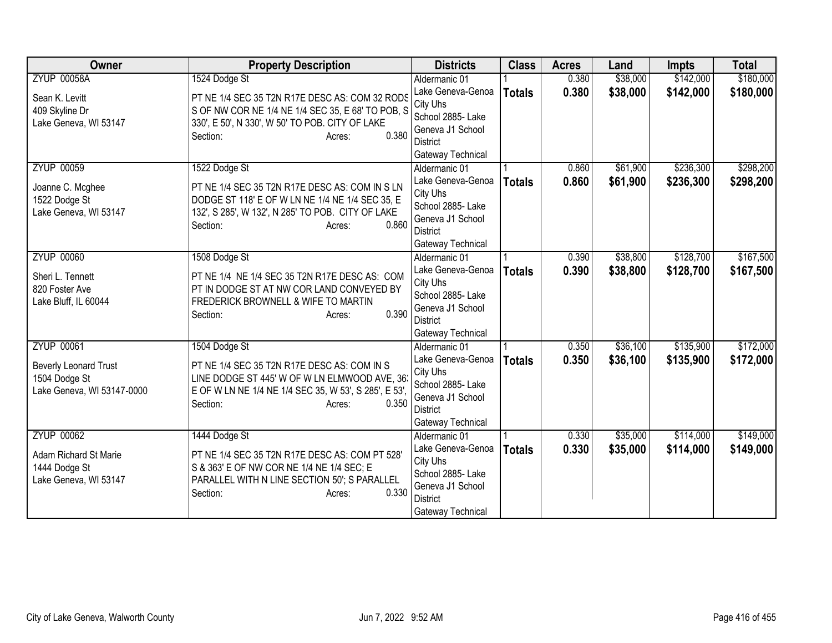| Owner                                                                       | <b>Property Description</b>                                                                                                                                                         | <b>Districts</b>                                                                                               | <b>Class</b>  | <b>Acres</b>   | Land                 | <b>Impts</b>           | <b>Total</b>           |
|-----------------------------------------------------------------------------|-------------------------------------------------------------------------------------------------------------------------------------------------------------------------------------|----------------------------------------------------------------------------------------------------------------|---------------|----------------|----------------------|------------------------|------------------------|
| <b>ZYUP 00058A</b>                                                          | 1524 Dodge St                                                                                                                                                                       | Aldermanic 01                                                                                                  |               | 0.380          | \$38,000             | \$142,000              | \$180,000              |
| Sean K. Levitt<br>409 Skyline Dr<br>Lake Geneva, WI 53147                   | PT NE 1/4 SEC 35 T2N R17E DESC AS: COM 32 RODS<br>S OF NW COR NE 1/4 NE 1/4 SEC 35, E 68' TO POB, S<br>330', E 50', N 330', W 50' TO POB. CITY OF LAKE                              | Lake Geneva-Genoa<br>City Uhs<br>School 2885- Lake                                                             | <b>Totals</b> | 0.380          | \$38,000             | \$142,000              | \$180,000              |
|                                                                             | 0.380<br>Section:<br>Acres:                                                                                                                                                         | Geneva J1 School<br><b>District</b><br>Gateway Technical                                                       |               |                |                      |                        |                        |
| <b>ZYUP 00059</b><br>Joanne C. Mcghee                                       | 1522 Dodge St<br>PT NE 1/4 SEC 35 T2N R17E DESC AS: COM IN S LN                                                                                                                     | Aldermanic 01<br>Lake Geneva-Genoa                                                                             | <b>Totals</b> | 0.860<br>0.860 | \$61,900<br>\$61,900 | \$236,300<br>\$236,300 | \$298,200<br>\$298,200 |
| 1522 Dodge St<br>Lake Geneva, WI 53147                                      | DODGE ST 118' E OF W LN NE 1/4 NE 1/4 SEC 35, E<br>132', S 285', W 132', N 285' TO POB. CITY OF LAKE<br>0.860<br>Section:<br>Acres:                                                 | City Uhs<br>School 2885- Lake<br>Geneva J1 School<br>District<br>Gateway Technical                             |               |                |                      |                        |                        |
| <b>ZYUP 00060</b>                                                           | 1508 Dodge St                                                                                                                                                                       | Aldermanic 01                                                                                                  |               | 0.390          | \$38,800             | \$128,700              | \$167,500              |
| Sheri L. Tennett<br>820 Foster Ave<br>Lake Bluff, IL 60044                  | PT NE 1/4 NE 1/4 SEC 35 T2N R17E DESC AS: COM<br>PT IN DODGE ST AT NW COR LAND CONVEYED BY<br>FREDERICK BROWNELL & WIFE TO MARTIN<br>0.390<br>Section:<br>Acres:                    | Lake Geneva-Genoa<br>City Uhs<br>School 2885- Lake<br>Geneva J1 School<br><b>District</b><br>Gateway Technical | <b>Totals</b> | 0.390          | \$38,800             | \$128,700              | \$167,500              |
| <b>ZYUP 00061</b>                                                           | 1504 Dodge St                                                                                                                                                                       | Aldermanic 01                                                                                                  |               | 0.350          | \$36,100             | \$135,900              | \$172,000              |
| <b>Beverly Leonard Trust</b><br>1504 Dodge St<br>Lake Geneva, WI 53147-0000 | PT NE 1/4 SEC 35 T2N R17E DESC AS: COM IN S<br>LINE DODGE ST 445' W OF W LN ELMWOOD AVE, 36<br>E OF W LN NE 1/4 NE 1/4 SEC 35, W 53', S 285', E 53',<br>Section:<br>0.350<br>Acres: | Lake Geneva-Genoa<br>City Uhs<br>School 2885- Lake<br>Geneva J1 School<br><b>District</b><br>Gateway Technical | <b>Totals</b> | 0.350          | \$36,100             | \$135,900              | \$172,000              |
| <b>ZYUP 00062</b>                                                           | 1444 Dodge St                                                                                                                                                                       | Aldermanic 01                                                                                                  |               | 0.330          | \$35,000             | \$114,000              | \$149,000              |
| Adam Richard St Marie<br>1444 Dodge St<br>Lake Geneva, WI 53147             | PT NE 1/4 SEC 35 T2N R17E DESC AS: COM PT 528'<br>S & 363' E OF NW COR NE 1/4 NE 1/4 SEC; E<br>PARALLEL WITH N LINE SECTION 50'; S PARALLEL<br>0.330<br>Section:<br>Acres:          | Lake Geneva-Genoa<br>City Uhs<br>School 2885- Lake<br>Geneva J1 School<br><b>District</b><br>Gateway Technical | <b>Totals</b> | 0.330          | \$35,000             | \$114,000              | \$149,000              |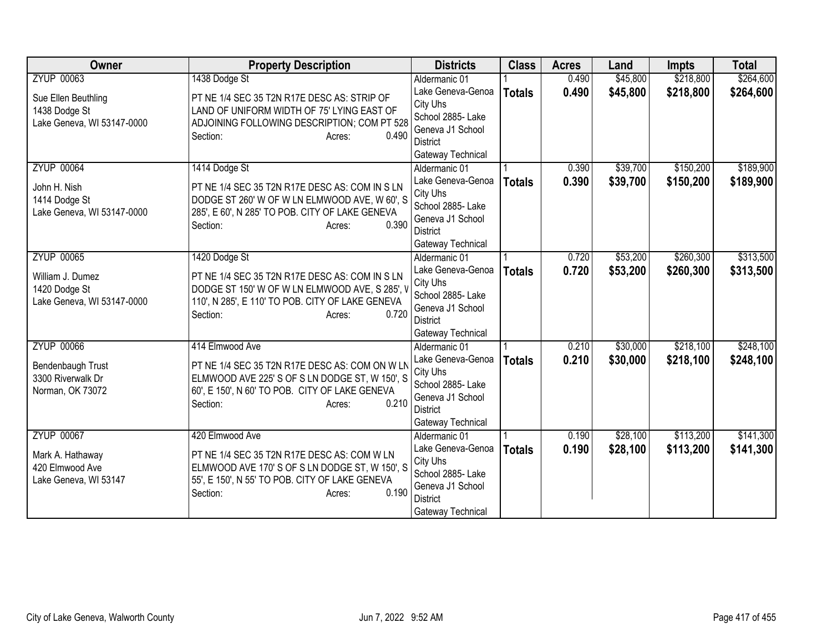| <b>Owner</b>               | <b>Property Description</b>                               | <b>Districts</b>              | <b>Class</b>  | <b>Acres</b> | Land     | <b>Impts</b> | <b>Total</b> |
|----------------------------|-----------------------------------------------------------|-------------------------------|---------------|--------------|----------|--------------|--------------|
| <b>ZYUP 00063</b>          | 1438 Dodge St                                             | Aldermanic 01                 |               | 0.490        | \$45,800 | \$218,800    | \$264,600    |
| Sue Ellen Beuthling        | PT NE 1/4 SEC 35 T2N R17E DESC AS: STRIP OF               | Lake Geneva-Genoa             | <b>Totals</b> | 0.490        | \$45,800 | \$218,800    | \$264,600    |
| 1438 Dodge St              | LAND OF UNIFORM WIDTH OF 75' LYING EAST OF                | City Uhs                      |               |              |          |              |              |
| Lake Geneva, WI 53147-0000 | ADJOINING FOLLOWING DESCRIPTION; COM PT 528               | School 2885- Lake             |               |              |          |              |              |
|                            | 0.490<br>Section:<br>Acres:                               | Geneva J1 School              |               |              |          |              |              |
|                            |                                                           | District                      |               |              |          |              |              |
|                            |                                                           | Gateway Technical             |               |              |          |              |              |
| <b>ZYUP 00064</b>          | 1414 Dodge St                                             | Aldermanic 01                 |               | 0.390        | \$39,700 | \$150,200    | \$189,900    |
| John H. Nish               | PT NE 1/4 SEC 35 T2N R17E DESC AS: COM IN S LN            | Lake Geneva-Genoa<br>City Uhs | <b>Totals</b> | 0.390        | \$39,700 | \$150,200    | \$189,900    |
| 1414 Dodge St              | DODGE ST 260' W OF W LN ELMWOOD AVE, W 60', S             | School 2885- Lake             |               |              |          |              |              |
| Lake Geneva, WI 53147-0000 | 285', E 60', N 285' TO POB. CITY OF LAKE GENEVA           | Geneva J1 School              |               |              |          |              |              |
|                            | 0.390<br>Section:<br>Acres:                               | <b>District</b>               |               |              |          |              |              |
|                            |                                                           | Gateway Technical             |               |              |          |              |              |
| <b>ZYUP 00065</b>          | 1420 Dodge St                                             | Aldermanic 01                 |               | 0.720        | \$53,200 | \$260,300    | \$313,500    |
|                            |                                                           | Lake Geneva-Genoa             | <b>Totals</b> | 0.720        | \$53,200 | \$260,300    | \$313,500    |
| William J. Dumez           | PT NE 1/4 SEC 35 T2N R17E DESC AS: COM IN S LN            | City Uhs                      |               |              |          |              |              |
| 1420 Dodge St              | DODGE ST 150' W OF W LN ELMWOOD AVE, S 285', V            | School 2885- Lake             |               |              |          |              |              |
| Lake Geneva, WI 53147-0000 | 110', N 285', E 110' TO POB. CITY OF LAKE GENEVA<br>0.720 | Geneva J1 School              |               |              |          |              |              |
|                            | Section:<br>Acres:                                        | <b>District</b>               |               |              |          |              |              |
|                            |                                                           | Gateway Technical             |               |              |          |              |              |
| <b>ZYUP 00066</b>          | 414 Elmwood Ave                                           | Aldermanic 01                 |               | 0.210        | \$30,000 | \$218,100    | \$248,100    |
| Bendenbaugh Trust          | PT NE 1/4 SEC 35 T2N R17E DESC AS: COM ON W LN            | Lake Geneva-Genoa             | <b>Totals</b> | 0.210        | \$30,000 | \$218,100    | \$248,100    |
| 3300 Riverwalk Dr          | ELMWOOD AVE 225' S OF S LN DODGE ST, W 150', S            | City Uhs                      |               |              |          |              |              |
| Norman, OK 73072           | 60', E 150', N 60' TO POB. CITY OF LAKE GENEVA            | School 2885- Lake             |               |              |          |              |              |
|                            | 0.210<br>Section:<br>Acres:                               | Geneva J1 School              |               |              |          |              |              |
|                            |                                                           | <b>District</b>               |               |              |          |              |              |
| <b>ZYUP 00067</b>          |                                                           | Gateway Technical             |               | 0.190        | \$28,100 | \$113,200    |              |
|                            | 420 Elmwood Ave                                           | Aldermanic 01                 |               |              |          |              | \$141,300    |
| Mark A. Hathaway           | PT NE 1/4 SEC 35 T2N R17E DESC AS: COM W LN               | Lake Geneva-Genoa<br>City Uhs | <b>Totals</b> | 0.190        | \$28,100 | \$113,200    | \$141,300    |
| 420 Elmwood Ave            | ELMWOOD AVE 170'S OF SLN DODGE ST, W 150', S              | School 2885- Lake             |               |              |          |              |              |
| Lake Geneva, WI 53147      | 55', E 150', N 55' TO POB. CITY OF LAKE GENEVA            | Geneva J1 School              |               |              |          |              |              |
|                            | 0.190<br>Section:<br>Acres:                               | <b>District</b>               |               |              |          |              |              |
|                            |                                                           | Gateway Technical             |               |              |          |              |              |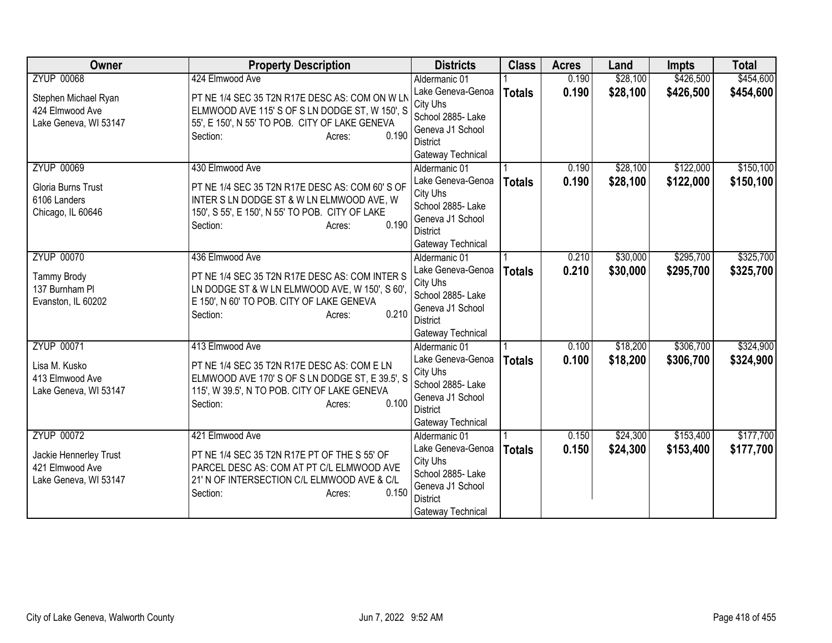| Owner                  | <b>Property Description</b>                     | <b>Districts</b>              | <b>Class</b>  | <b>Acres</b> | Land     | <b>Impts</b> | <b>Total</b> |
|------------------------|-------------------------------------------------|-------------------------------|---------------|--------------|----------|--------------|--------------|
| <b>ZYUP 00068</b>      | 424 Elmwood Ave                                 | Aldermanic 01                 |               | 0.190        | \$28,100 | \$426,500    | \$454,600    |
| Stephen Michael Ryan   | PT NE 1/4 SEC 35 T2N R17E DESC AS: COM ON W LN  | Lake Geneva-Genoa             | <b>Totals</b> | 0.190        | \$28,100 | \$426,500    | \$454,600    |
| 424 Elmwood Ave        | ELMWOOD AVE 115'S OF SLN DODGE ST, W 150', S    | City Uhs                      |               |              |          |              |              |
| Lake Geneva, WI 53147  | 55', E 150', N 55' TO POB. CITY OF LAKE GENEVA  | School 2885- Lake             |               |              |          |              |              |
|                        | 0.190<br>Section:<br>Acres:                     | Geneva J1 School              |               |              |          |              |              |
|                        |                                                 | District                      |               |              |          |              |              |
|                        |                                                 | Gateway Technical             |               |              |          |              |              |
| <b>ZYUP 00069</b>      | 430 Elmwood Ave                                 | Aldermanic 01                 |               | 0.190        | \$28,100 | \$122,000    | \$150,100    |
| Gloria Burns Trust     | PT NE 1/4 SEC 35 T2N R17E DESC AS: COM 60'S OF  | Lake Geneva-Genoa             | <b>Totals</b> | 0.190        | \$28,100 | \$122,000    | \$150,100    |
| 6106 Landers           | INTER S LN DODGE ST & W LN ELMWOOD AVE, W       | City Uhs<br>School 2885- Lake |               |              |          |              |              |
| Chicago, IL 60646      | 150', S 55', E 150', N 55' TO POB. CITY OF LAKE | Geneva J1 School              |               |              |          |              |              |
|                        | 0.190<br>Section:<br>Acres:                     | <b>District</b>               |               |              |          |              |              |
|                        |                                                 | Gateway Technical             |               |              |          |              |              |
| <b>ZYUP 00070</b>      | 436 Elmwood Ave                                 | Aldermanic 01                 |               | 0.210        | \$30,000 | \$295,700    | \$325,700    |
|                        |                                                 | Lake Geneva-Genoa             | <b>Totals</b> | 0.210        | \$30,000 | \$295,700    | \$325,700    |
| <b>Tammy Brody</b>     | PT NE 1/4 SEC 35 T2N R17E DESC AS: COM INTER S  | City Uhs                      |               |              |          |              |              |
| 137 Burnham Pl         | LN DODGE ST & W LN ELMWOOD AVE, W 150', S 60',  | School 2885- Lake             |               |              |          |              |              |
| Evanston, IL 60202     | E 150', N 60' TO POB. CITY OF LAKE GENEVA       | Geneva J1 School              |               |              |          |              |              |
|                        | 0.210<br>Section:<br>Acres:                     | <b>District</b>               |               |              |          |              |              |
|                        |                                                 | Gateway Technical             |               |              |          |              |              |
| <b>ZYUP 00071</b>      | 413 Elmwood Ave                                 | Aldermanic 01                 |               | 0.100        | \$18,200 | \$306,700    | \$324,900    |
| Lisa M. Kusko          | PT NE 1/4 SEC 35 T2N R17E DESC AS: COM E LN     | Lake Geneva-Genoa             | <b>Totals</b> | 0.100        | \$18,200 | \$306,700    | \$324,900    |
| 413 Elmwood Ave        | ELMWOOD AVE 170'S OF SLN DODGE ST, E 39.5', S   | City Uhs                      |               |              |          |              |              |
| Lake Geneva, WI 53147  | 115', W 39.5', N TO POB. CITY OF LAKE GENEVA    | School 2885- Lake             |               |              |          |              |              |
|                        | 0.100<br>Section:<br>Acres:                     | Geneva J1 School              |               |              |          |              |              |
|                        |                                                 | <b>District</b>               |               |              |          |              |              |
|                        |                                                 | Gateway Technical             |               |              |          |              |              |
| <b>ZYUP 00072</b>      | 421 Elmwood Ave                                 | Aldermanic 01                 |               | 0.150        | \$24,300 | \$153,400    | \$177,700    |
| Jackie Hennerley Trust | PT NE 1/4 SEC 35 T2N R17E PT OF THE S 55' OF    | Lake Geneva-Genoa             | <b>Totals</b> | 0.150        | \$24,300 | \$153,400    | \$177,700    |
| 421 Elmwood Ave        | PARCEL DESC AS: COM AT PT C/L ELMWOOD AVE       | City Uhs<br>School 2885- Lake |               |              |          |              |              |
| Lake Geneva, WI 53147  | 21' N OF INTERSECTION C/L ELMWOOD AVE & C/L     | Geneva J1 School              |               |              |          |              |              |
|                        | 0.150<br>Section:<br>Acres:                     | <b>District</b>               |               |              |          |              |              |
|                        |                                                 | Gateway Technical             |               |              |          |              |              |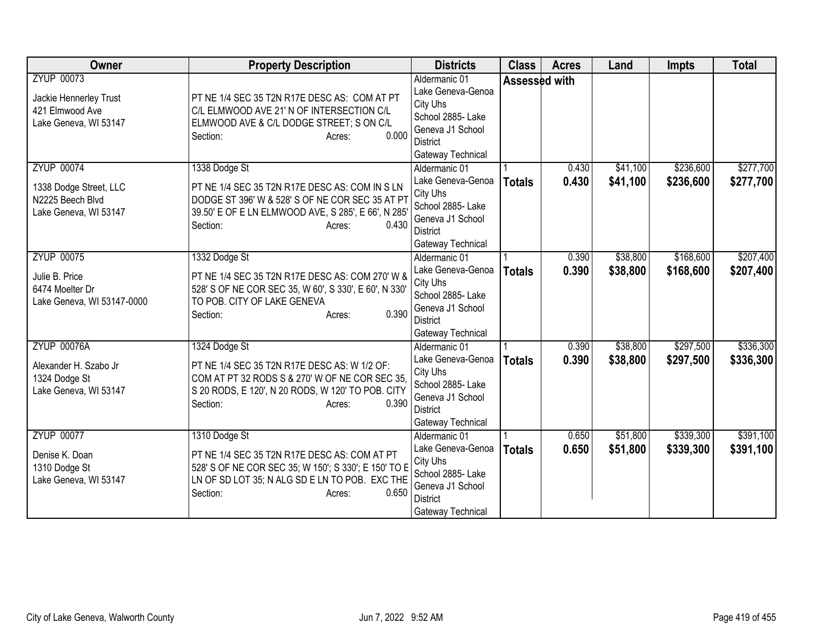| Owner                                                                                    | <b>Property Description</b>                                                                                                                                                                              | <b>Districts</b>                                                                                                                | <b>Class</b>  | <b>Acres</b>   | Land                 | <b>Impts</b>           | <b>Total</b>           |
|------------------------------------------------------------------------------------------|----------------------------------------------------------------------------------------------------------------------------------------------------------------------------------------------------------|---------------------------------------------------------------------------------------------------------------------------------|---------------|----------------|----------------------|------------------------|------------------------|
| <b>ZYUP 00073</b><br>Jackie Hennerley Trust<br>421 Elmwood Ave<br>Lake Geneva, WI 53147  | PT NE 1/4 SEC 35 T2N R17E DESC AS: COM AT PT<br>C/L ELMWOOD AVE 21' N OF INTERSECTION C/L<br>ELMWOOD AVE & C/L DODGE STREET; S ON C/L<br>0.000<br>Section:<br>Acres:                                     | Aldermanic 01<br>Lake Geneva-Genoa<br>City Uhs<br>School 2885-Lake<br>Geneva J1 School<br><b>District</b><br>Gateway Technical  |               | Assessed with  |                      |                        |                        |
| <b>ZYUP 00074</b><br>1338 Dodge Street, LLC<br>N2225 Beech Blvd<br>Lake Geneva, WI 53147 | 1338 Dodge St<br>PT NE 1/4 SEC 35 T2N R17E DESC AS: COM IN S LN<br>DODGE ST 396' W & 528' S OF NE COR SEC 35 AT PT<br>39.50' E OF E LN ELMWOOD AVE, S 285', E 66', N 285'<br>Section:<br>0.430<br>Acres: | Aldermanic 01<br>Lake Geneva-Genoa<br>City Uhs<br>School 2885- Lake<br>Geneva J1 School<br><b>District</b><br>Gateway Technical | <b>Totals</b> | 0.430<br>0.430 | \$41,100<br>\$41,100 | \$236,600<br>\$236,600 | \$277,700<br>\$277,700 |
| <b>ZYUP 00075</b><br>Julie B. Price<br>6474 Moelter Dr<br>Lake Geneva, WI 53147-0000     | 1332 Dodge St<br>PT NE 1/4 SEC 35 T2N R17E DESC AS: COM 270' W &<br>528' S OF NE COR SEC 35, W 60', S 330', E 60', N 330'<br>TO POB. CITY OF LAKE GENEVA<br>0.390<br>Section:<br>Acres:                  | Aldermanic 01<br>Lake Geneva-Genoa<br>City Uhs<br>School 2885- Lake<br>Geneva J1 School<br><b>District</b><br>Gateway Technical | <b>Totals</b> | 0.390<br>0.390 | \$38,800<br>\$38,800 | \$168,600<br>\$168,600 | \$207,400<br>\$207,400 |
| <b>ZYUP 00076A</b><br>Alexander H. Szabo Jr<br>1324 Dodge St<br>Lake Geneva, WI 53147    | 1324 Dodge St<br>PT NE 1/4 SEC 35 T2N R17E DESC AS: W 1/2 OF:<br>COM AT PT 32 RODS S & 270' W OF NE COR SEC 35,<br>S 20 RODS, E 120', N 20 RODS, W 120' TO POB. CITY<br>0.390<br>Section:<br>Acres:      | Aldermanic 01<br>Lake Geneva-Genoa<br>City Uhs<br>School 2885- Lake<br>Geneva J1 School<br><b>District</b><br>Gateway Technical | <b>Totals</b> | 0.390<br>0.390 | \$38,800<br>\$38,800 | \$297,500<br>\$297,500 | \$336,300<br>\$336,300 |
| <b>ZYUP 00077</b><br>Denise K. Doan<br>1310 Dodge St<br>Lake Geneva, WI 53147            | 1310 Dodge St<br>PT NE 1/4 SEC 35 T2N R17E DESC AS: COM AT PT<br>528' S OF NE COR SEC 35; W 150'; S 330'; E 150' TO E<br>LN OF SD LOT 35; N ALG SD E LN TO POB. EXC THE<br>0.650<br>Section:<br>Acres:   | Aldermanic 01<br>Lake Geneva-Genoa<br>City Uhs<br>School 2885- Lake<br>Geneva J1 School<br><b>District</b><br>Gateway Technical | <b>Totals</b> | 0.650<br>0.650 | \$51,800<br>\$51,800 | \$339,300<br>\$339,300 | \$391,100<br>\$391,100 |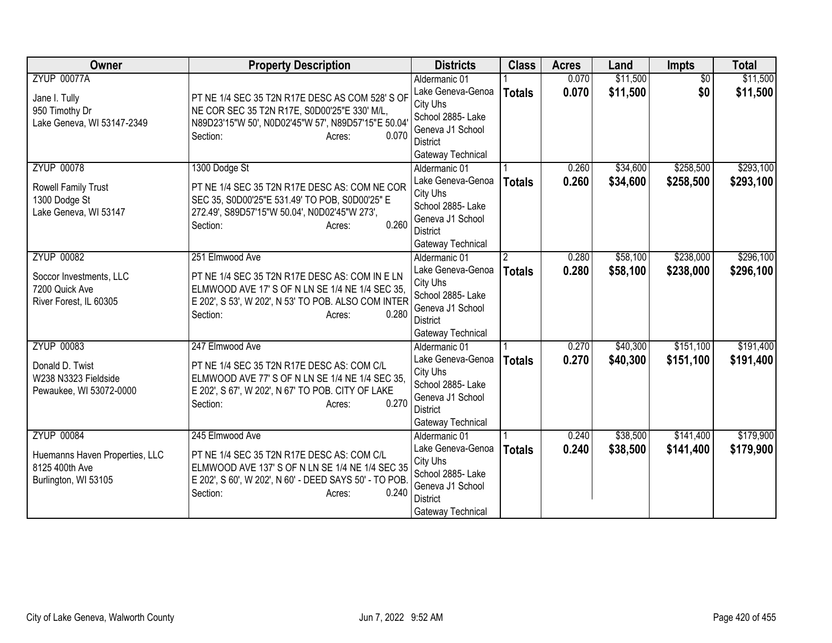| Owner                                                                                         | <b>Property Description</b>                                                                                                                                                                                | <b>Districts</b>                                                                                                                | <b>Class</b>                    | <b>Acres</b>   | Land                 | <b>Impts</b>           | <b>Total</b>           |
|-----------------------------------------------------------------------------------------------|------------------------------------------------------------------------------------------------------------------------------------------------------------------------------------------------------------|---------------------------------------------------------------------------------------------------------------------------------|---------------------------------|----------------|----------------------|------------------------|------------------------|
| <b>ZYUP 00077A</b><br>Jane I. Tully<br>950 Timothy Dr<br>Lake Geneva, WI 53147-2349           | PT NE 1/4 SEC 35 T2N R17E DESC AS COM 528' S OF<br>NE COR SEC 35 T2N R17E, S0D00'25"E 330' M/L,<br>N89D23'15"W 50', N0D02'45"W 57', N89D57'15"E 50.04<br>0.070<br>Section:<br>Acres:                       | Aldermanic 01<br>Lake Geneva-Genoa<br>City Uhs<br>School 2885- Lake<br>Geneva J1 School<br>District<br>Gateway Technical        | <b>Totals</b>                   | 0.070<br>0.070 | \$11,500<br>\$11,500 | $\overline{50}$<br>\$0 | \$11,500<br>\$11,500   |
| <b>ZYUP 00078</b><br>Rowell Family Trust<br>1300 Dodge St<br>Lake Geneva, WI 53147            | 1300 Dodge St<br>PT NE 1/4 SEC 35 T2N R17E DESC AS: COM NE COR<br>SEC 35, S0D00'25"E 531.49' TO POB, S0D00'25" E<br>272.49', S89D57'15"W 50.04', N0D02'45"W 273',<br>0.260<br>Section:<br>Acres:           | Aldermanic 01<br>Lake Geneva-Genoa<br>City Uhs<br>School 2885- Lake<br>Geneva J1 School<br><b>District</b><br>Gateway Technical | <b>Totals</b>                   | 0.260<br>0.260 | \$34,600<br>\$34,600 | \$258,500<br>\$258,500 | \$293,100<br>\$293,100 |
| <b>ZYUP 00082</b><br>Soccor Investments, LLC<br>7200 Quick Ave<br>River Forest, IL 60305      | 251 Elmwood Ave<br>PT NE 1/4 SEC 35 T2N R17E DESC AS: COM IN E LN<br>ELMWOOD AVE 17' S OF N LN SE 1/4 NE 1/4 SEC 35,<br>E 202', S 53', W 202', N 53' TO POB. ALSO COM INTER<br>0.280<br>Section:<br>Acres: | Aldermanic 01<br>Lake Geneva-Genoa<br>City Uhs<br>School 2885- Lake<br>Geneva J1 School<br><b>District</b><br>Gateway Technical | $\mathfrak{p}$<br><b>Totals</b> | 0.280<br>0.280 | \$58,100<br>\$58,100 | \$238,000<br>\$238,000 | \$296,100<br>\$296,100 |
| <b>ZYUP 00083</b><br>Donald D. Twist<br>W238 N3323 Fieldside<br>Pewaukee, WI 53072-0000       | 247 Elmwood Ave<br>PT NE 1/4 SEC 35 T2N R17E DESC AS: COM C/L<br>ELMWOOD AVE 77' S OF N LN SE 1/4 NE 1/4 SEC 35,<br>E 202', S 67', W 202', N 67' TO POB. CITY OF LAKE<br>0.270<br>Section:<br>Acres:       | Aldermanic 01<br>Lake Geneva-Genoa<br>City Uhs<br>School 2885- Lake<br>Geneva J1 School<br><b>District</b><br>Gateway Technical | <b>Totals</b>                   | 0.270<br>0.270 | \$40,300<br>\$40,300 | \$151,100<br>\$151,100 | \$191,400<br>\$191,400 |
| <b>ZYUP 00084</b><br>Huemanns Haven Properties, LLC<br>8125 400th Ave<br>Burlington, WI 53105 | 245 Elmwood Ave<br>PT NE 1/4 SEC 35 T2N R17E DESC AS: COM C/L<br>ELMWOOD AVE 137' S OF N LN SE 1/4 NE 1/4 SEC 35<br>E 202', S 60', W 202', N 60' - DEED SAYS 50' - TO POB.<br>Section:<br>0.240<br>Acres:  | Aldermanic 01<br>Lake Geneva-Genoa<br>City Uhs<br>School 2885- Lake<br>Geneva J1 School<br><b>District</b><br>Gateway Technical | <b>Totals</b>                   | 0.240<br>0.240 | \$38,500<br>\$38,500 | \$141,400<br>\$141,400 | \$179,900<br>\$179,900 |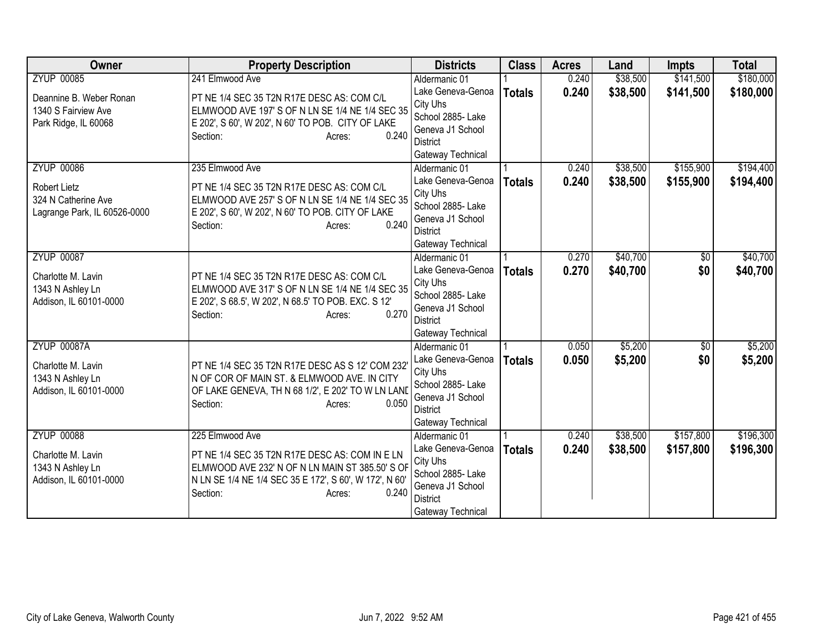| Owner                        | <b>Property Description</b>                                | <b>Districts</b>                    | <b>Class</b>  | <b>Acres</b> | Land     | <b>Impts</b>    | <b>Total</b> |
|------------------------------|------------------------------------------------------------|-------------------------------------|---------------|--------------|----------|-----------------|--------------|
| <b>ZYUP 00085</b>            | 241 Elmwood Ave                                            | Aldermanic 01                       |               | 0.240        | \$38,500 | \$141,500       | \$180,000    |
| Deannine B. Weber Ronan      | PT NE 1/4 SEC 35 T2N R17E DESC AS: COM C/L                 | Lake Geneva-Genoa                   | <b>Totals</b> | 0.240        | \$38,500 | \$141,500       | \$180,000    |
| 1340 S Fairview Ave          | ELMWOOD AVE 197' S OF N LN SE 1/4 NE 1/4 SEC 35            | City Uhs                            |               |              |          |                 |              |
| Park Ridge, IL 60068         | E 202', S 60', W 202', N 60' TO POB. CITY OF LAKE          | School 2885- Lake                   |               |              |          |                 |              |
|                              | 0.240<br>Section:<br>Acres:                                | Geneva J1 School<br>District        |               |              |          |                 |              |
|                              |                                                            | Gateway Technical                   |               |              |          |                 |              |
| <b>ZYUP 00086</b>            | 235 Elmwood Ave                                            | Aldermanic 01                       |               | 0.240        | \$38,500 | \$155,900       | \$194,400    |
|                              |                                                            | Lake Geneva-Genoa                   | <b>Totals</b> | 0.240        | \$38,500 | \$155,900       | \$194,400    |
| <b>Robert Lietz</b>          | PT NE 1/4 SEC 35 T2N R17E DESC AS: COM C/L                 | City Uhs                            |               |              |          |                 |              |
| 324 N Catherine Ave          | ELMWOOD AVE 257' S OF N LN SE 1/4 NE 1/4 SEC 35            | School 2885- Lake                   |               |              |          |                 |              |
| Lagrange Park, IL 60526-0000 | E 202', S 60', W 202', N 60' TO POB. CITY OF LAKE<br>0.240 | Geneva J1 School                    |               |              |          |                 |              |
|                              | Section:<br>Acres:                                         | <b>District</b>                     |               |              |          |                 |              |
|                              |                                                            | Gateway Technical                   |               |              |          |                 |              |
| <b>ZYUP 00087</b>            |                                                            | Aldermanic 01                       |               | 0.270        | \$40,700 | \$0             | \$40,700     |
| Charlotte M. Lavin           | PT NE 1/4 SEC 35 T2N R17E DESC AS: COM C/L                 | Lake Geneva-Genoa                   | <b>Totals</b> | 0.270        | \$40,700 | \$0             | \$40,700     |
| 1343 N Ashley Ln             | ELMWOOD AVE 317' S OF N LN SE 1/4 NE 1/4 SEC 35            | City Uhs                            |               |              |          |                 |              |
| Addison, IL 60101-0000       | E 202', S 68.5', W 202', N 68.5' TO POB. EXC. S 12'        | School 2885- Lake                   |               |              |          |                 |              |
|                              | 0.270<br>Section:<br>Acres:                                | Geneva J1 School<br><b>District</b> |               |              |          |                 |              |
|                              |                                                            | Gateway Technical                   |               |              |          |                 |              |
| <b>ZYUP 00087A</b>           |                                                            | Aldermanic 01                       |               | 0.050        | \$5,200  | $\overline{50}$ | \$5,200      |
|                              |                                                            | Lake Geneva-Genoa                   | <b>Totals</b> | 0.050        | \$5,200  | \$0             | \$5,200      |
| Charlotte M. Lavin           | PT NE 1/4 SEC 35 T2N R17E DESC AS S 12' COM 232'           | City Uhs                            |               |              |          |                 |              |
| 1343 N Ashley Ln             | N OF COR OF MAIN ST. & ELMWOOD AVE. IN CITY                | School 2885- Lake                   |               |              |          |                 |              |
| Addison, IL 60101-0000       | OF LAKE GENEVA, TH N 68 1/2', E 202' TO W LN LAND          | Geneva J1 School                    |               |              |          |                 |              |
|                              | Section:<br>0.050<br>Acres:                                | <b>District</b>                     |               |              |          |                 |              |
|                              |                                                            | Gateway Technical                   |               |              |          |                 |              |
| <b>ZYUP 00088</b>            | 225 Elmwood Ave                                            | Aldermanic 01                       |               | 0.240        | \$38,500 | \$157,800       | \$196,300    |
| Charlotte M. Lavin           | PT NE 1/4 SEC 35 T2N R17E DESC AS: COM IN E LN             | Lake Geneva-Genoa                   | <b>Totals</b> | 0.240        | \$38,500 | \$157,800       | \$196,300    |
| 1343 N Ashley Ln             | ELMWOOD AVE 232' N OF N LN MAIN ST 385.50' S OF            | City Uhs                            |               |              |          |                 |              |
| Addison, IL 60101-0000       | N LN SE 1/4 NE 1/4 SEC 35 E 172', S 60', W 172', N 60'     | School 2885- Lake                   |               |              |          |                 |              |
|                              | 0.240<br>Section:<br>Acres:                                | Geneva J1 School<br><b>District</b> |               |              |          |                 |              |
|                              |                                                            | Gateway Technical                   |               |              |          |                 |              |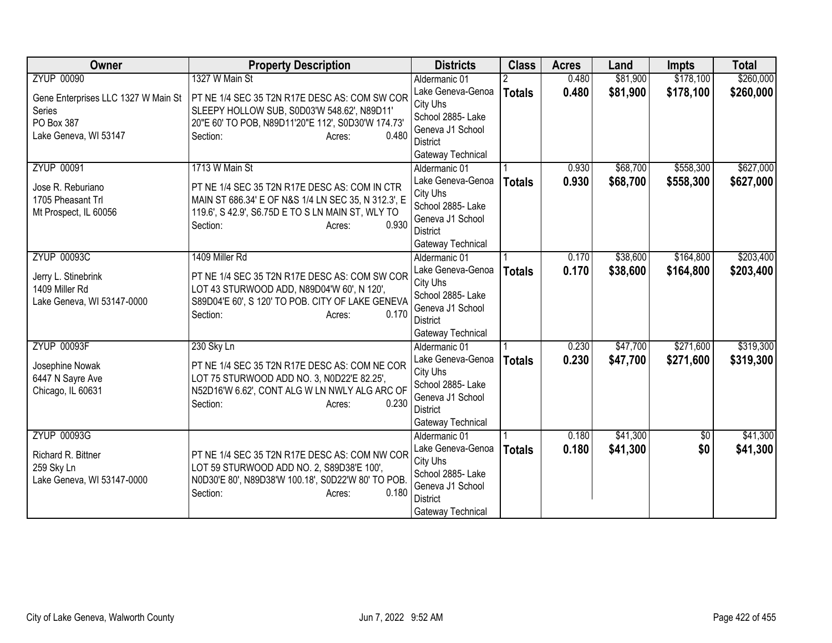| Owner                               | <b>Property Description</b>                         | <b>Districts</b>              | <b>Class</b>  | <b>Acres</b> | Land     | <b>Impts</b> | <b>Total</b> |
|-------------------------------------|-----------------------------------------------------|-------------------------------|---------------|--------------|----------|--------------|--------------|
| <b>ZYUP 00090</b>                   | 1327 W Main St                                      | Aldermanic 01                 |               | 0.480        | \$81,900 | \$178,100    | \$260,000    |
| Gene Enterprises LLC 1327 W Main St | PT NE 1/4 SEC 35 T2N R17E DESC AS: COM SW COR       | Lake Geneva-Genoa<br>City Uhs | <b>Totals</b> | 0.480        | \$81,900 | \$178,100    | \$260,000    |
| Series                              | SLEEPY HOLLOW SUB, S0D03'W 548.62', N89D11'         | School 2885- Lake             |               |              |          |              |              |
| PO Box 387                          | 20"E 60' TO POB, N89D11'20"E 112', S0D30'W 174.73'  | Geneva J1 School              |               |              |          |              |              |
| Lake Geneva, WI 53147               | 0.480<br>Section:<br>Acres:                         | District                      |               |              |          |              |              |
|                                     |                                                     | Gateway Technical             |               |              |          |              |              |
| <b>ZYUP 00091</b>                   | 1713 W Main St                                      | Aldermanic 01                 |               | 0.930        | \$68,700 | \$558,300    | \$627,000    |
| Jose R. Reburiano                   | PT NE 1/4 SEC 35 T2N R17E DESC AS: COM IN CTR       | Lake Geneva-Genoa             | <b>Totals</b> | 0.930        | \$68,700 | \$558,300    | \$627,000    |
| 1705 Pheasant Trl                   | MAIN ST 686.34' E OF N&S 1/4 LN SEC 35, N 312.3', E | City Uhs                      |               |              |          |              |              |
| Mt Prospect, IL 60056               | 119.6', S 42.9', S6.75D E TO S LN MAIN ST, WLY TO   | School 2885- Lake             |               |              |          |              |              |
|                                     | 0.930<br>Section:<br>Acres:                         | Geneva J1 School              |               |              |          |              |              |
|                                     |                                                     | <b>District</b>               |               |              |          |              |              |
|                                     |                                                     | Gateway Technical             |               |              |          |              |              |
| <b>ZYUP 00093C</b>                  | 1409 Miller Rd                                      | Aldermanic 01                 |               | 0.170        | \$38,600 | \$164,800    | \$203,400    |
| Jerry L. Stinebrink                 | PT NE 1/4 SEC 35 T2N R17E DESC AS: COM SW COR       | Lake Geneva-Genoa<br>City Uhs | <b>Totals</b> | 0.170        | \$38,600 | \$164,800    | \$203,400    |
| 1409 Miller Rd                      | LOT 43 STURWOOD ADD, N89D04'W 60', N 120',          | School 2885- Lake             |               |              |          |              |              |
| Lake Geneva, WI 53147-0000          | S89D04'E 60', S 120' TO POB. CITY OF LAKE GENEVA    | Geneva J1 School              |               |              |          |              |              |
|                                     | 0.170<br>Section:<br>Acres:                         | District                      |               |              |          |              |              |
|                                     |                                                     | Gateway Technical             |               |              |          |              |              |
| <b>ZYUP 00093F</b>                  | 230 Sky Ln                                          | Aldermanic 01                 |               | 0.230        | \$47,700 | \$271,600    | \$319,300    |
| Josephine Nowak                     | PT NE 1/4 SEC 35 T2N R17E DESC AS: COM NE COR       | Lake Geneva-Genoa             | <b>Totals</b> | 0.230        | \$47,700 | \$271,600    | \$319,300    |
| 6447 N Sayre Ave                    | LOT 75 STURWOOD ADD NO. 3, N0D22'E 82.25',          | City Uhs                      |               |              |          |              |              |
| Chicago, IL 60631                   | N52D16'W 6.62', CONT ALG W LN NWLY ALG ARC OF       | School 2885- Lake             |               |              |          |              |              |
|                                     | 0.230<br>Section:<br>Acres:                         | Geneva J1 School              |               |              |          |              |              |
|                                     |                                                     | <b>District</b>               |               |              |          |              |              |
|                                     |                                                     | Gateway Technical             |               |              |          |              |              |
| <b>ZYUP 00093G</b>                  |                                                     | Aldermanic 01                 |               | 0.180        | \$41,300 | $\sqrt{6}$   | \$41,300     |
| Richard R. Bittner                  | PT NE 1/4 SEC 35 T2N R17E DESC AS: COM NW COR       | Lake Geneva-Genoa             | <b>Totals</b> | 0.180        | \$41,300 | \$0          | \$41,300     |
| 259 Sky Ln                          | LOT 59 STURWOOD ADD NO. 2, S89D38'E 100',           | City Uhs<br>School 2885- Lake |               |              |          |              |              |
| Lake Geneva, WI 53147-0000          | N0D30'E 80', N89D38'W 100.18', S0D22'W 80' TO POB.  | Geneva J1 School              |               |              |          |              |              |
|                                     | 0.180<br>Section:<br>Acres:                         | <b>District</b>               |               |              |          |              |              |
|                                     |                                                     | Gateway Technical             |               |              |          |              |              |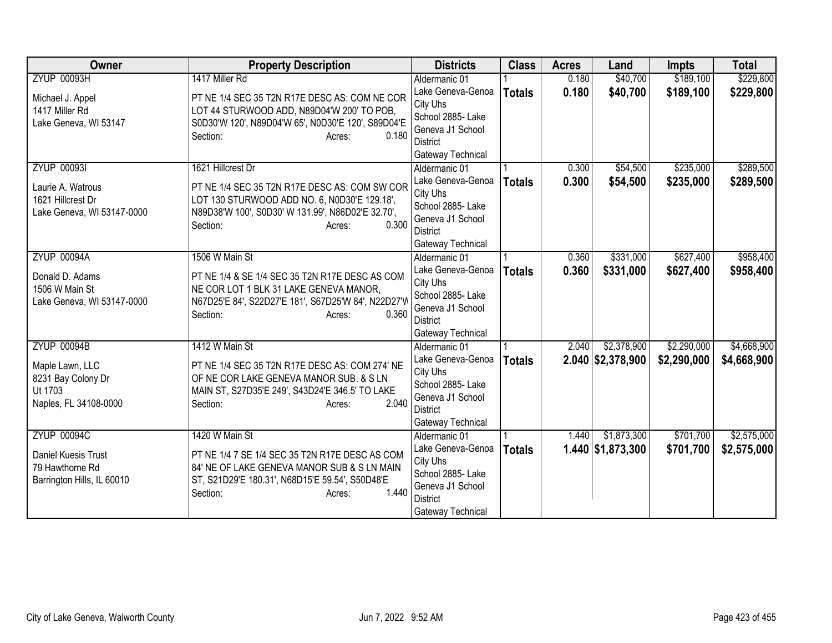| Owner                                  | <b>Property Description</b>                                                                   | <b>Districts</b>                   | <b>Class</b>  | <b>Acres</b> | Land                    | <b>Impts</b> | <b>Total</b> |
|----------------------------------------|-----------------------------------------------------------------------------------------------|------------------------------------|---------------|--------------|-------------------------|--------------|--------------|
| <b>ZYUP 00093H</b>                     | 1417 Miller Rd                                                                                | Aldermanic 01                      |               | 0.180        | \$40,700                | \$189,100    | \$229,800    |
| Michael J. Appel                       | PT NE 1/4 SEC 35 T2N R17E DESC AS: COM NE COR                                                 | Lake Geneva-Genoa                  | <b>Totals</b> | 0.180        | \$40,700                | \$189,100    | \$229,800    |
| 1417 Miller Rd                         | LOT 44 STURWOOD ADD, N89D04'W 200' TO POB,                                                    | City Uhs                           |               |              |                         |              |              |
| Lake Geneva, WI 53147                  | S0D30'W 120', N89D04'W 65', N0D30'E 120', S89D04'E                                            | School 2885- Lake                  |               |              |                         |              |              |
|                                        | 0.180<br>Section:<br>Acres:                                                                   | Geneva J1 School                   |               |              |                         |              |              |
|                                        |                                                                                               | District<br>Gateway Technical      |               |              |                         |              |              |
| <b>ZYUP 00093I</b>                     | 1621 Hillcrest Dr                                                                             | Aldermanic 01                      |               | 0.300        | \$54,500                | \$235,000    | \$289,500    |
|                                        |                                                                                               | Lake Geneva-Genoa                  | <b>Totals</b> | 0.300        | \$54,500                | \$235,000    | \$289,500    |
| Laurie A. Watrous                      | PT NE 1/4 SEC 35 T2N R17E DESC AS: COM SW COR                                                 | City Uhs                           |               |              |                         |              |              |
| 1621 Hillcrest Dr                      | LOT 130 STURWOOD ADD NO. 6, N0D30'E 129.18',                                                  | School 2885- Lake                  |               |              |                         |              |              |
| Lake Geneva, WI 53147-0000             | N89D38'W 100', S0D30' W 131.99', N86D02'E 32.70',                                             | Geneva J1 School                   |               |              |                         |              |              |
|                                        | Section:<br>0.300<br>Acres:                                                                   | <b>District</b>                    |               |              |                         |              |              |
|                                        |                                                                                               | Gateway Technical                  |               |              |                         |              |              |
| <b>ZYUP 00094A</b>                     | 1506 W Main St                                                                                | Aldermanic 01                      |               | 0.360        | \$331,000               | \$627,400    | \$958,400    |
| Donald D. Adams                        | PT NE 1/4 & SE 1/4 SEC 35 T2N R17E DESC AS COM                                                | Lake Geneva-Genoa                  | <b>Totals</b> | 0.360        | \$331,000               | \$627,400    | \$958,400    |
| 1506 W Main St                         | NE COR LOT 1 BLK 31 LAKE GENEVA MANOR,                                                        | City Uhs                           |               |              |                         |              |              |
| Lake Geneva, WI 53147-0000             | N67D25'E 84', S22D27'E 181', S67D25'W 84', N22D27'W                                           | School 2885- Lake                  |               |              |                         |              |              |
|                                        | 0.360<br>Section:<br>Acres:                                                                   | Geneva J1 School                   |               |              |                         |              |              |
|                                        |                                                                                               | District                           |               |              |                         |              |              |
|                                        |                                                                                               | Gateway Technical                  |               |              |                         |              |              |
| <b>ZYUP 00094B</b>                     | 1412 W Main St                                                                                | Aldermanic 01<br>Lake Geneva-Genoa |               | 2.040        | \$2,378,900             | \$2,290,000  | \$4,668,900  |
| Maple Lawn, LLC                        | PT NE 1/4 SEC 35 T2N R17E DESC AS: COM 274' NE                                                | City Uhs                           | <b>Totals</b> |              | $2.040$ \$2,378,900     | \$2,290,000  | \$4,668,900  |
| 8231 Bay Colony Dr                     | OF NE COR LAKE GENEVA MANOR SUB. & S LN                                                       | School 2885- Lake                  |               |              |                         |              |              |
| Ut 1703                                | MAIN ST, S27D35'E 249', S43D24'E 346.5' TO LAKE                                               | Geneva J1 School                   |               |              |                         |              |              |
| Naples, FL 34108-0000                  | 2.040<br>Section:<br>Acres:                                                                   | <b>District</b>                    |               |              |                         |              |              |
|                                        |                                                                                               | Gateway Technical                  |               |              |                         |              |              |
| <b>ZYUP 00094C</b>                     | 1420 W Main St                                                                                | Aldermanic 01                      |               | 1.440        | \$1,873,300             | \$701,700    | \$2,575,000  |
|                                        |                                                                                               | Lake Geneva-Genoa                  | <b>Totals</b> |              | $1.440 \,   1.873, 300$ | \$701,700    | \$2,575,000  |
| Daniel Kuesis Trust<br>79 Hawthorne Rd | PT NE 1/4 7 SE 1/4 SEC 35 T2N R17E DESC AS COM<br>84' NE OF LAKE GENEVA MANOR SUB & S LN MAIN | City Uhs                           |               |              |                         |              |              |
| Barrington Hills, IL 60010             | ST, S21D29'E 180.31', N68D15'E 59.54', S50D48'E                                               | School 2885-Lake                   |               |              |                         |              |              |
|                                        | 1.440<br>Section:<br>Acres:                                                                   | Geneva J1 School                   |               |              |                         |              |              |
|                                        |                                                                                               | <b>District</b>                    |               |              |                         |              |              |
|                                        |                                                                                               | Gateway Technical                  |               |              |                         |              |              |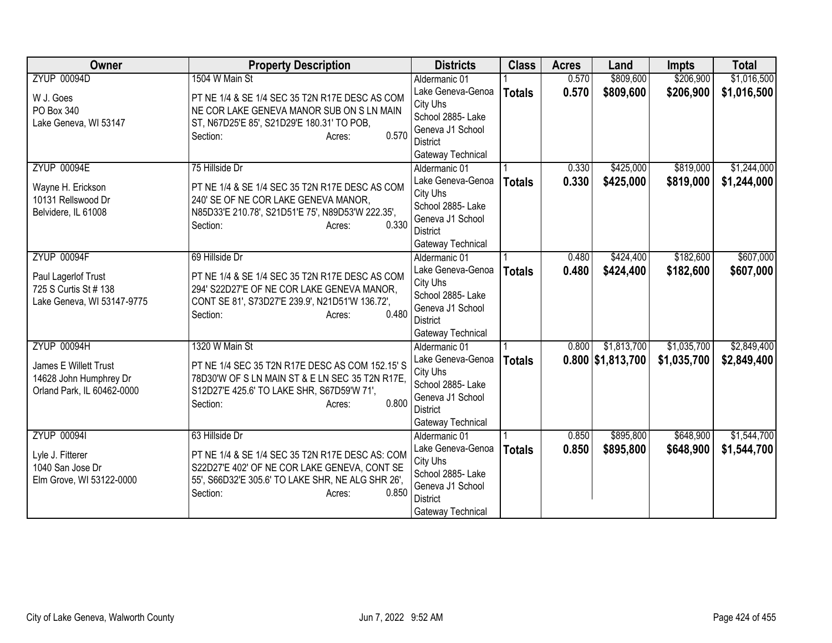| Owner                      | <b>Property Description</b>                       | <b>Districts</b>              | <b>Class</b>  | <b>Acres</b> | Land                | <b>Impts</b> | <b>Total</b> |
|----------------------------|---------------------------------------------------|-------------------------------|---------------|--------------|---------------------|--------------|--------------|
| <b>ZYUP 00094D</b>         | 1504 W Main St                                    | Aldermanic 01                 |               | 0.570        | \$809,600           | \$206,900    | \$1,016,500  |
| W J. Goes                  | PT NE 1/4 & SE 1/4 SEC 35 T2N R17E DESC AS COM    | Lake Geneva-Genoa             | <b>Totals</b> | 0.570        | \$809,600           | \$206,900    | \$1,016,500  |
| PO Box 340                 | NE COR LAKE GENEVA MANOR SUB ON S LN MAIN         | City Uhs                      |               |              |                     |              |              |
| Lake Geneva, WI 53147      | ST, N67D25'E 85', S21D29'E 180.31' TO POB,        | School 2885- Lake             |               |              |                     |              |              |
|                            | 0.570<br>Section:<br>Acres:                       | Geneva J1 School              |               |              |                     |              |              |
|                            |                                                   | <b>District</b>               |               |              |                     |              |              |
|                            |                                                   | Gateway Technical             |               |              |                     |              |              |
| <b>ZYUP 00094E</b>         | 75 Hillside Dr                                    | Aldermanic 01                 |               | 0.330        | \$425,000           | \$819,000    | \$1,244,000  |
| Wayne H. Erickson          | PT NE 1/4 & SE 1/4 SEC 35 T2N R17E DESC AS COM    | Lake Geneva-Genoa             | <b>Totals</b> | 0.330        | \$425,000           | \$819,000    | \$1,244,000  |
| 10131 Rellswood Dr         | 240' SE OF NE COR LAKE GENEVA MANOR,              | City Uhs<br>School 2885-Lake  |               |              |                     |              |              |
| Belvidere, IL 61008        | N85D33'E 210.78', S21D51'E 75', N89D53'W 222.35', | Geneva J1 School              |               |              |                     |              |              |
|                            | 0.330<br>Section:<br>Acres:                       | <b>District</b>               |               |              |                     |              |              |
|                            |                                                   | Gateway Technical             |               |              |                     |              |              |
| <b>ZYUP 00094F</b>         | 69 Hillside Dr                                    | Aldermanic 01                 |               | 0.480        | \$424,400           | \$182,600    | \$607,000    |
|                            |                                                   | Lake Geneva-Genoa             | <b>Totals</b> | 0.480        | \$424,400           | \$182,600    | \$607,000    |
| Paul Lagerlof Trust        | PT NE 1/4 & SE 1/4 SEC 35 T2N R17E DESC AS COM    | City Uhs                      |               |              |                     |              |              |
| 725 S Curtis St # 138      | 294' S22D27'E OF NE COR LAKE GENEVA MANOR,        | School 2885-Lake              |               |              |                     |              |              |
| Lake Geneva, WI 53147-9775 | CONT SE 81', S73D27'E 239.9', N21D51'W 136.72',   | Geneva J1 School              |               |              |                     |              |              |
|                            | 0.480<br>Section:<br>Acres:                       | <b>District</b>               |               |              |                     |              |              |
|                            |                                                   | Gateway Technical             |               |              |                     |              |              |
| <b>ZYUP 00094H</b>         | 1320 W Main St                                    | Aldermanic 01                 |               | 0.800        | \$1,813,700         | \$1,035,700  | \$2,849,400  |
| James E Willett Trust      | PT NE 1/4 SEC 35 T2N R17E DESC AS COM 152.15' S   | Lake Geneva-Genoa             | <b>Totals</b> |              | $0.800$ \$1,813,700 | \$1,035,700  | \$2,849,400  |
| 14628 John Humphrey Dr     | 78D30'W OF S LN MAIN ST & E LN SEC 35 T2N R17E,   | City Uhs                      |               |              |                     |              |              |
| Orland Park, IL 60462-0000 | S12D27'E 425.6' TO LAKE SHR, S67D59'W 71',        | School 2885- Lake             |               |              |                     |              |              |
|                            | 0.800<br>Section:<br>Acres:                       | Geneva J1 School              |               |              |                     |              |              |
|                            |                                                   | <b>District</b>               |               |              |                     |              |              |
|                            |                                                   | Gateway Technical             |               |              |                     |              |              |
| <b>ZYUP 000941</b>         | 63 Hillside Dr                                    | Aldermanic 01                 |               | 0.850        | \$895,800           | \$648,900    | \$1,544,700  |
| Lyle J. Fitterer           | PT NE 1/4 & SE 1/4 SEC 35 T2N R17E DESC AS: COM   | Lake Geneva-Genoa             | <b>Totals</b> | 0.850        | \$895,800           | \$648,900    | \$1,544,700  |
| 1040 San Jose Dr           | S22D27'E 402' OF NE COR LAKE GENEVA, CONT SE      | City Uhs<br>School 2885- Lake |               |              |                     |              |              |
| Elm Grove, WI 53122-0000   | 55', S66D32'E 305.6' TO LAKE SHR, NE ALG SHR 26', | Geneva J1 School              |               |              |                     |              |              |
|                            | 0.850<br>Section:<br>Acres:                       | <b>District</b>               |               |              |                     |              |              |
|                            |                                                   | Gateway Technical             |               |              |                     |              |              |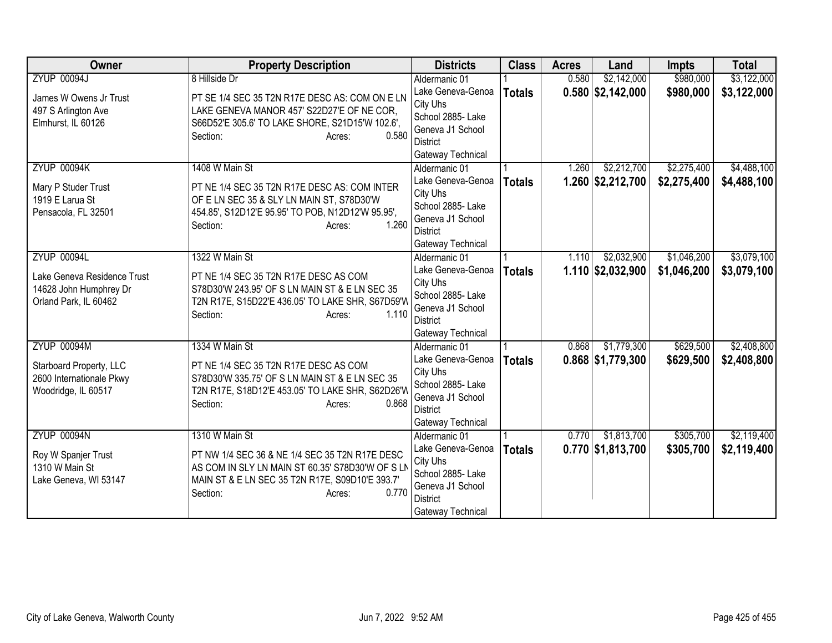| Owner                       | <b>Property Description</b>                       | <b>Districts</b>              | <b>Class</b>  | <b>Acres</b> | Land                | <b>Impts</b> | <b>Total</b> |
|-----------------------------|---------------------------------------------------|-------------------------------|---------------|--------------|---------------------|--------------|--------------|
| <b>ZYUP 00094J</b>          | 8 Hillside Dr                                     | Aldermanic 01                 |               | 0.580        | \$2,142,000         | \$980,000    | \$3,122,000  |
| James W Owens Jr Trust      | PT SE 1/4 SEC 35 T2N R17E DESC AS: COM ON E LN    | Lake Geneva-Genoa             | <b>Totals</b> |              | $0.580$ \$2,142,000 | \$980,000    | \$3,122,000  |
| 497 S Arlington Ave         | LAKE GENEVA MANOR 457' S22D27'E OF NE COR,        | City Uhs                      |               |              |                     |              |              |
| Elmhurst, IL 60126          | S66D52'E 305.6' TO LAKE SHORE, S21D15'W 102.6',   | School 2885- Lake             |               |              |                     |              |              |
|                             | 0.580<br>Section:<br>Acres:                       | Geneva J1 School              |               |              |                     |              |              |
|                             |                                                   | District                      |               |              |                     |              |              |
|                             |                                                   | Gateway Technical             |               |              |                     |              |              |
| <b>ZYUP 00094K</b>          | 1408 W Main St                                    | Aldermanic 01                 |               | 1.260        | \$2,212,700         | \$2,275,400  | \$4,488,100  |
| Mary P Studer Trust         | PT NE 1/4 SEC 35 T2N R17E DESC AS: COM INTER      | Lake Geneva-Genoa             | <b>Totals</b> |              | $1.260$ \$2,212,700 | \$2,275,400  | \$4,488,100  |
| 1919 E Larua St             | OF E LN SEC 35 & SLY LN MAIN ST, S78D30'W         | City Uhs<br>School 2885-Lake  |               |              |                     |              |              |
| Pensacola, FL 32501         | 454.85', S12D12'E 95.95' TO POB, N12D12'W 95.95', | Geneva J1 School              |               |              |                     |              |              |
|                             | 1.260<br>Section:<br>Acres:                       | <b>District</b>               |               |              |                     |              |              |
|                             |                                                   | Gateway Technical             |               |              |                     |              |              |
| <b>ZYUP 00094L</b>          | 1322 W Main St                                    | Aldermanic 01                 |               | 1.110        | \$2,032,900         | \$1,046,200  | \$3,079,100  |
|                             |                                                   | Lake Geneva-Genoa             | <b>Totals</b> |              | $1.110$ \$2,032,900 | \$1,046,200  | \$3,079,100  |
| Lake Geneva Residence Trust | PT NE 1/4 SEC 35 T2N R17E DESC AS COM             | City Uhs                      |               |              |                     |              |              |
| 14628 John Humphrey Dr      | S78D30'W 243.95' OF S LN MAIN ST & E LN SEC 35    | School 2885-Lake              |               |              |                     |              |              |
| Orland Park, IL 60462       | T2N R17E, S15D22'E 436.05' TO LAKE SHR, S67D59'W  | Geneva J1 School              |               |              |                     |              |              |
|                             | 1.110<br>Section:<br>Acres:                       | District                      |               |              |                     |              |              |
|                             |                                                   | Gateway Technical             |               |              |                     |              |              |
| <b>ZYUP 00094M</b>          | 1334 W Main St                                    | Aldermanic 01                 |               | 0.868        | \$1,779,300         | \$629,500    | \$2,408,800  |
| Starboard Property, LLC     | PT NE 1/4 SEC 35 T2N R17E DESC AS COM             | Lake Geneva-Genoa             | <b>Totals</b> |              | $0.868$ \$1,779,300 | \$629,500    | \$2,408,800  |
| 2600 Internationale Pkwy    | S78D30'W 335.75' OF S LN MAIN ST & E LN SEC 35    | City Uhs                      |               |              |                     |              |              |
| Woodridge, IL 60517         | T2N R17E, S18D12'E 453.05' TO LAKE SHR, S62D26'W  | School 2885-Lake              |               |              |                     |              |              |
|                             | 0.868<br>Section:<br>Acres:                       | Geneva J1 School              |               |              |                     |              |              |
|                             |                                                   | <b>District</b>               |               |              |                     |              |              |
|                             |                                                   | Gateway Technical             |               |              |                     |              |              |
| <b>ZYUP 00094N</b>          | 1310 W Main St                                    | Aldermanic 01                 |               | 0.770        | \$1,813,700         | \$305,700    | \$2,119,400  |
| Roy W Spanjer Trust         | PT NW 1/4 SEC 36 & NE 1/4 SEC 35 T2N R17E DESC    | Lake Geneva-Genoa<br>City Uhs | <b>Totals</b> |              | $0.770$ \$1,813,700 | \$305,700    | \$2,119,400  |
| 1310 W Main St              | AS COM IN SLY LN MAIN ST 60.35' S78D30'W OF S LN  | School 2885- Lake             |               |              |                     |              |              |
| Lake Geneva, WI 53147       | MAIN ST & E LN SEC 35 T2N R17E, S09D10'E 393.7'   | Geneva J1 School              |               |              |                     |              |              |
|                             | 0.770<br>Section:<br>Acres:                       | <b>District</b>               |               |              |                     |              |              |
|                             |                                                   | Gateway Technical             |               |              |                     |              |              |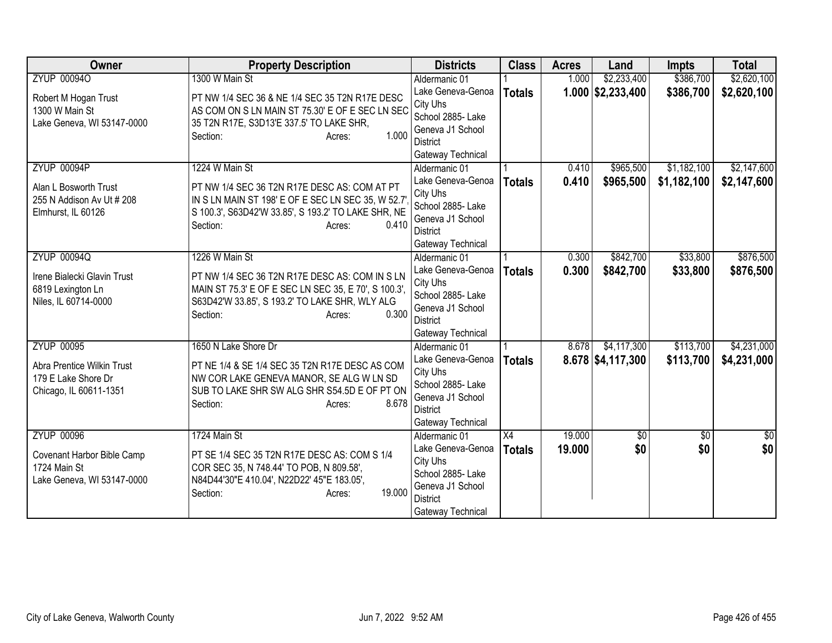| Owner                                      | <b>Property Description</b>                          | <b>Districts</b>              | <b>Class</b>    | <b>Acres</b> | Land                | <b>Impts</b>    | <b>Total</b>     |
|--------------------------------------------|------------------------------------------------------|-------------------------------|-----------------|--------------|---------------------|-----------------|------------------|
| <b>ZYUP 000940</b>                         | 1300 W Main St                                       | Aldermanic 01                 |                 | 1.000        | \$2,233,400         | \$386,700       | \$2,620,100      |
| Robert M Hogan Trust                       | PT NW 1/4 SEC 36 & NE 1/4 SEC 35 T2N R17E DESC       | Lake Geneva-Genoa             | <b>Totals</b>   |              | $1.000$ \$2,233,400 | \$386,700       | \$2,620,100      |
| 1300 W Main St                             | AS COM ON S LN MAIN ST 75.30' E OF E SEC LN SEC      | City Uhs                      |                 |              |                     |                 |                  |
| Lake Geneva, WI 53147-0000                 | 35 T2N R17E, S3D13'E 337.5' TO LAKE SHR,             | School 2885- Lake             |                 |              |                     |                 |                  |
|                                            | 1.000<br>Section:<br>Acres:                          | Geneva J1 School              |                 |              |                     |                 |                  |
|                                            |                                                      | District<br>Gateway Technical |                 |              |                     |                 |                  |
| <b>ZYUP 00094P</b>                         | 1224 W Main St                                       | Aldermanic 01                 |                 | 0.410        | \$965,500           | \$1,182,100     | \$2,147,600      |
|                                            |                                                      | Lake Geneva-Genoa             | <b>Totals</b>   | 0.410        | \$965,500           | \$1,182,100     | \$2,147,600      |
| Alan L Bosworth Trust                      | PT NW 1/4 SEC 36 T2N R17E DESC AS: COM AT PT         | City Uhs                      |                 |              |                     |                 |                  |
| 255 N Addison Av Ut # 208                  | IN S LN MAIN ST 198' E OF E SEC LN SEC 35, W 52.7    | School 2885- Lake             |                 |              |                     |                 |                  |
| Elmhurst, IL 60126                         | S 100.3', S63D42'W 33.85', S 193.2' TO LAKE SHR, NE  | Geneva J1 School              |                 |              |                     |                 |                  |
|                                            | 0.410<br>Section:<br>Acres:                          | District                      |                 |              |                     |                 |                  |
|                                            |                                                      | Gateway Technical             |                 |              |                     |                 |                  |
| <b>ZYUP 00094Q</b>                         | 1226 W Main St                                       | Aldermanic 01                 |                 | 0.300        | \$842,700           | \$33,800        | \$876,500        |
| Irene Bialecki Glavin Trust                | PT NW 1/4 SEC 36 T2N R17E DESC AS: COM IN S LN       | Lake Geneva-Genoa             | <b>Totals</b>   | 0.300        | \$842,700           | \$33,800        | \$876,500        |
| 6819 Lexington Ln                          | MAIN ST 75.3' E OF E SEC LN SEC 35, E 70', S 100.3', | City Uhs                      |                 |              |                     |                 |                  |
| Niles, IL 60714-0000                       | S63D42'W 33.85', S 193.2' TO LAKE SHR, WLY ALG       | School 2885- Lake             |                 |              |                     |                 |                  |
|                                            | 0.300<br>Section:<br>Acres:                          | Geneva J1 School              |                 |              |                     |                 |                  |
|                                            |                                                      | <b>District</b>               |                 |              |                     |                 |                  |
|                                            |                                                      | Gateway Technical             |                 |              |                     |                 |                  |
| <b>ZYUP 00095</b>                          | 1650 N Lake Shore Dr                                 | Aldermanic 01                 |                 | 8.678        | \$4,117,300         | \$113,700       | \$4,231,000      |
| Abra Prentice Wilkin Trust                 | PT NE 1/4 & SE 1/4 SEC 35 T2N R17E DESC AS COM       | Lake Geneva-Genoa<br>City Uhs | <b>Totals</b>   |              | $8.678$ \$4,117,300 | \$113,700       | \$4,231,000      |
| 179 E Lake Shore Dr                        | NW COR LAKE GENEVA MANOR, SE ALG W LN SD             | School 2885- Lake             |                 |              |                     |                 |                  |
| Chicago, IL 60611-1351                     | SUB TO LAKE SHR SW ALG SHR S54.5D E OF PT ON         | Geneva J1 School              |                 |              |                     |                 |                  |
|                                            | 8.678<br>Section:<br>Acres:                          | <b>District</b>               |                 |              |                     |                 |                  |
|                                            |                                                      | Gateway Technical             |                 |              |                     |                 |                  |
| <b>ZYUP 00096</b>                          | 1724 Main St                                         | Aldermanic 01                 | $\overline{X4}$ | 19.000       | \$0                 | $\overline{30}$ | $\overline{\$0}$ |
|                                            | PT SE 1/4 SEC 35 T2N R17E DESC AS: COM S 1/4         | Lake Geneva-Genoa             | <b>Totals</b>   | 19.000       | \$0                 | \$0             | \$0              |
| Covenant Harbor Bible Camp<br>1724 Main St | COR SEC 35, N 748.44' TO POB, N 809.58',             | City Uhs                      |                 |              |                     |                 |                  |
| Lake Geneva, WI 53147-0000                 | N84D44'30"E 410.04', N22D22' 45"E 183.05',           | School 2885- Lake             |                 |              |                     |                 |                  |
|                                            | 19.000<br>Section:<br>Acres:                         | Geneva J1 School              |                 |              |                     |                 |                  |
|                                            |                                                      | <b>District</b>               |                 |              |                     |                 |                  |
|                                            |                                                      | Gateway Technical             |                 |              |                     |                 |                  |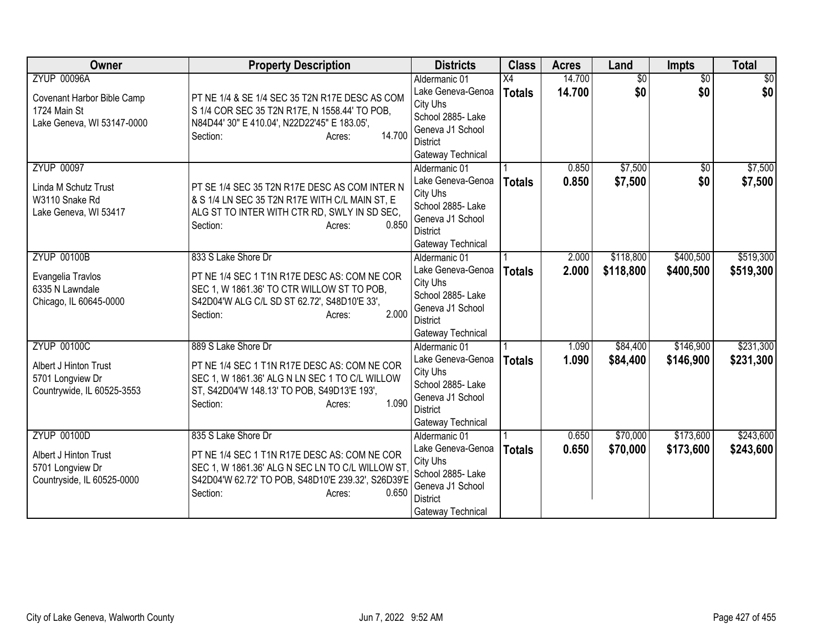| Owner                                                                                          | <b>Property Description</b>                                                                                                                                                                                 | <b>Districts</b>                                                                                                                | <b>Class</b>        | <b>Acres</b>     | Land                   | Impts                  | <b>Total</b>           |
|------------------------------------------------------------------------------------------------|-------------------------------------------------------------------------------------------------------------------------------------------------------------------------------------------------------------|---------------------------------------------------------------------------------------------------------------------------------|---------------------|------------------|------------------------|------------------------|------------------------|
| <b>ZYUP 00096A</b><br>Covenant Harbor Bible Camp<br>1724 Main St<br>Lake Geneva, WI 53147-0000 | PT NE 1/4 & SE 1/4 SEC 35 T2N R17E DESC AS COM<br>S 1/4 COR SEC 35 T2N R17E, N 1558.44' TO POB,<br>N84D44' 30" E 410.04', N22D22'45" E 183.05',<br>14.700<br>Section:<br>Acres:                             | Aldermanic 01<br>Lake Geneva-Genoa<br>City Uhs<br>School 2885- Lake<br>Geneva J1 School<br><b>District</b><br>Gateway Technical | X4<br><b>Totals</b> | 14.700<br>14.700 | $\overline{50}$<br>\$0 | $\overline{30}$<br>\$0 | $\overline{50}$<br>\$0 |
| <b>ZYUP 00097</b><br>Linda M Schutz Trust<br>W3110 Snake Rd<br>Lake Geneva, WI 53417           | PT SE 1/4 SEC 35 T2N R17E DESC AS COM INTER N<br>& S 1/4 LN SEC 35 T2N R17E WITH C/L MAIN ST, E<br>ALG ST TO INTER WITH CTR RD, SWLY IN SD SEC,<br>0.850<br>Section:<br>Acres:                              | Aldermanic 01<br>Lake Geneva-Genoa<br>City Uhs<br>School 2885-Lake<br>Geneva J1 School<br><b>District</b><br>Gateway Technical  | <b>Totals</b>       | 0.850<br>0.850   | \$7,500<br>\$7,500     | \$0<br>\$0             | \$7,500<br>\$7,500     |
| <b>ZYUP 00100B</b><br>Evangelia Travlos<br>6335 N Lawndale<br>Chicago, IL 60645-0000           | 833 S Lake Shore Dr<br>PT NE 1/4 SEC 1 T1N R17E DESC AS: COM NE COR<br>SEC 1, W 1861.36' TO CTR WILLOW ST TO POB,<br>S42D04'W ALG C/L SD ST 62.72', S48D10'E 33',<br>2.000<br>Section:<br>Acres:            | Aldermanic 01<br>Lake Geneva-Genoa<br>City Uhs<br>School 2885- Lake<br>Geneva J1 School<br><b>District</b><br>Gateway Technical | <b>Totals</b>       | 2.000<br>2.000   | \$118,800<br>\$118,800 | \$400,500<br>\$400,500 | \$519,300<br>\$519,300 |
| <b>ZYUP 00100C</b><br>Albert J Hinton Trust<br>5701 Longview Dr<br>Countrywide, IL 60525-3553  | 889 S Lake Shore Dr<br>PT NE 1/4 SEC 1 T1N R17E DESC AS: COM NE COR<br>SEC 1, W 1861.36' ALG N LN SEC 1 TO C/L WILLOW<br>ST, S42D04'W 148.13' TO POB, S49D13'E 193',<br>1.090<br>Section:<br>Acres:         | Aldermanic 01<br>Lake Geneva-Genoa<br>City Uhs<br>School 2885- Lake<br>Geneva J1 School<br><b>District</b><br>Gateway Technical | <b>Totals</b>       | 1.090<br>1.090   | \$84,400<br>\$84,400   | \$146,900<br>\$146,900 | \$231,300<br>\$231,300 |
| <b>ZYUP 00100D</b><br>Albert J Hinton Trust<br>5701 Longview Dr<br>Countryside, IL 60525-0000  | 835 S Lake Shore Dr<br>PT NE 1/4 SEC 1 T1N R17E DESC AS: COM NE COR<br>SEC 1, W 1861.36' ALG N SEC LN TO C/L WILLOW ST<br>S42D04'W 62.72' TO POB, S48D10'E 239.32', S26D39'E<br>0.650<br>Section:<br>Acres: | Aldermanic 01<br>Lake Geneva-Genoa<br>City Uhs<br>School 2885- Lake<br>Geneva J1 School<br><b>District</b><br>Gateway Technical | <b>Totals</b>       | 0.650<br>0.650   | \$70,000<br>\$70,000   | \$173,600<br>\$173,600 | \$243,600<br>\$243,600 |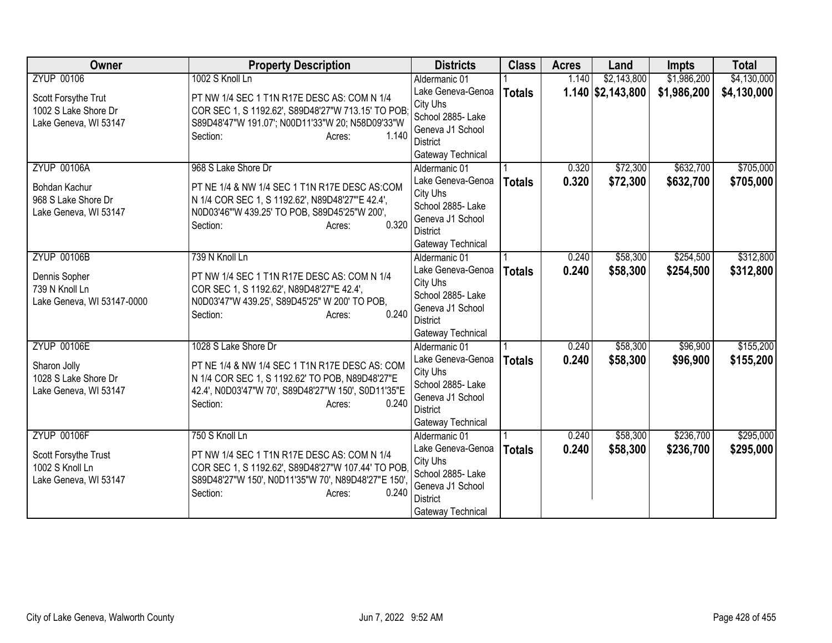| Owner                      | <b>Property Description</b>                         | <b>Districts</b>              | <b>Class</b>  | <b>Acres</b> | Land                       | <b>Impts</b> | <b>Total</b> |
|----------------------------|-----------------------------------------------------|-------------------------------|---------------|--------------|----------------------------|--------------|--------------|
| <b>ZYUP 00106</b>          | 1002 S Knoll Ln                                     | Aldermanic 01                 |               | 1.140        | \$2,143,800                | \$1,986,200  | \$4,130,000  |
| Scott Forsythe Trut        | PT NW 1/4 SEC 1 T1N R17E DESC AS: COM N 1/4         | Lake Geneva-Genoa             | <b>Totals</b> |              | $1.140 \,   \, $2,143,800$ | \$1,986,200  | \$4,130,000  |
| 1002 S Lake Shore Dr       | COR SEC 1, S 1192.62', S89D48'27"W 713.15' TO POB   | City Uhs                      |               |              |                            |              |              |
| Lake Geneva, WI 53147      | S89D48'47"W 191.07'; N00D11'33"W 20; N58D09'33"W    | School 2885- Lake             |               |              |                            |              |              |
|                            | 1.140<br>Section:<br>Acres:                         | Geneva J1 School              |               |              |                            |              |              |
|                            |                                                     | District                      |               |              |                            |              |              |
|                            |                                                     | Gateway Technical             |               |              |                            |              |              |
| <b>ZYUP 00106A</b>         | 968 S Lake Shore Dr                                 | Aldermanic 01                 |               | 0.320        | \$72,300                   | \$632,700    | \$705,000    |
| Bohdan Kachur              | PT NE 1/4 & NW 1/4 SEC 1 T1N R17E DESC AS:COM       | Lake Geneva-Genoa             | <b>Totals</b> | 0.320        | \$72,300                   | \$632,700    | \$705,000    |
| 968 S Lake Shore Dr        | N 1/4 COR SEC 1, S 1192.62', N89D48'27"'E 42.4',    | City Uhs<br>School 2885- Lake |               |              |                            |              |              |
| Lake Geneva, WI 53147      | N0D03'46"'W 439.25' TO POB, S89D45'25"W 200',       | Geneva J1 School              |               |              |                            |              |              |
|                            | 0.320<br>Section:<br>Acres:                         | <b>District</b>               |               |              |                            |              |              |
|                            |                                                     | Gateway Technical             |               |              |                            |              |              |
| <b>ZYUP 00106B</b>         | 739 N Knoll Ln                                      | Aldermanic 01                 |               | 0.240        | \$58,300                   | \$254,500    | \$312,800    |
|                            |                                                     | Lake Geneva-Genoa             | <b>Totals</b> | 0.240        | \$58,300                   | \$254,500    | \$312,800    |
| Dennis Sopher              | PT NW 1/4 SEC 1 T1N R17E DESC AS: COM N 1/4         | City Uhs                      |               |              |                            |              |              |
| 739 N Knoll Ln             | COR SEC 1, S 1192.62', N89D48'27"E 42.4',           | School 2885- Lake             |               |              |                            |              |              |
| Lake Geneva, WI 53147-0000 | N0D03'47"W 439.25', S89D45'25" W 200' TO POB,       | Geneva J1 School              |               |              |                            |              |              |
|                            | 0.240<br>Section:<br>Acres:                         | <b>District</b>               |               |              |                            |              |              |
|                            |                                                     | Gateway Technical             |               |              |                            |              |              |
| <b>ZYUP 00106E</b>         | 1028 S Lake Shore Dr                                | Aldermanic 01                 |               | 0.240        | \$58,300                   | \$96,900     | \$155,200    |
| Sharon Jolly               | PT NE 1/4 & NW 1/4 SEC 1 T1N R17E DESC AS: COM      | Lake Geneva-Genoa             | <b>Totals</b> | 0.240        | \$58,300                   | \$96,900     | \$155,200    |
| 1028 S Lake Shore Dr       | N 1/4 COR SEC 1, S 1192.62' TO POB, N89D48'27"E     | City Uhs                      |               |              |                            |              |              |
| Lake Geneva, WI 53147      | 42.4', N0D03'47"W 70', S89D48'27"W 150', S0D11'35"E | School 2885- Lake             |               |              |                            |              |              |
|                            | 0.240<br>Section:<br>Acres:                         | Geneva J1 School              |               |              |                            |              |              |
|                            |                                                     | <b>District</b>               |               |              |                            |              |              |
|                            |                                                     | Gateway Technical             |               |              |                            |              |              |
| <b>ZYUP 00106F</b>         | 750 S Knoll Ln                                      | Aldermanic 01                 |               | 0.240        | \$58,300                   | \$236,700    | \$295,000    |
| Scott Forsythe Trust       | PT NW 1/4 SEC 1 T1N R17E DESC AS: COM N 1/4         | Lake Geneva-Genoa<br>City Uhs | <b>Totals</b> | 0.240        | \$58,300                   | \$236,700    | \$295,000    |
| 1002 S Knoll Ln            | COR SEC 1, S 1192.62', S89D48'27"W 107.44' TO POB   | School 2885- Lake             |               |              |                            |              |              |
| Lake Geneva, WI 53147      | S89D48'27"W 150', N0D11'35"W 70', N89D48'27"E 150'  | Geneva J1 School              |               |              |                            |              |              |
|                            | 0.240<br>Section:<br>Acres:                         | <b>District</b>               |               |              |                            |              |              |
|                            |                                                     | Gateway Technical             |               |              |                            |              |              |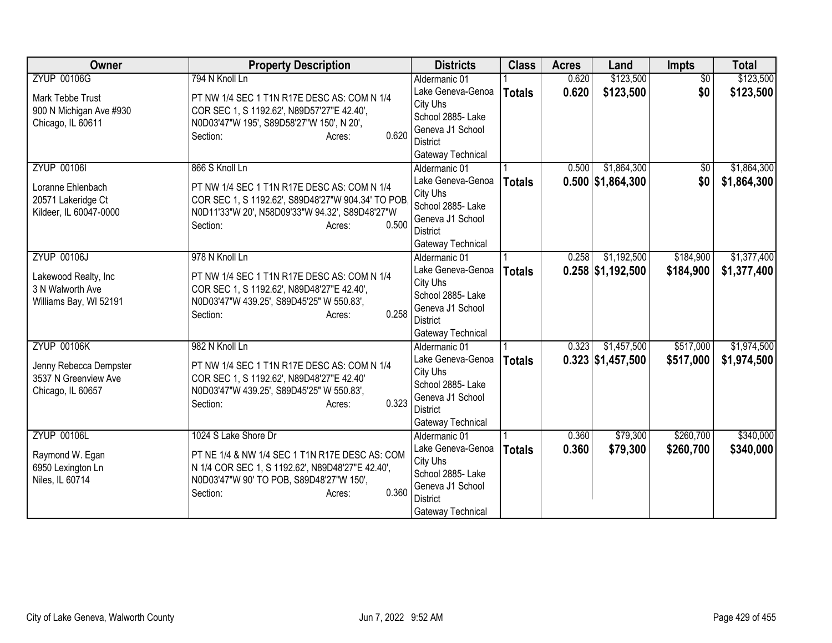| <b>Owner</b>            | <b>Property Description</b>                                              | <b>Districts</b>                      | <b>Class</b>  | <b>Acres</b> | Land                | <b>Impts</b>    | <b>Total</b> |
|-------------------------|--------------------------------------------------------------------------|---------------------------------------|---------------|--------------|---------------------|-----------------|--------------|
| <b>ZYUP 00106G</b>      | 794 N Knoll Ln                                                           | Aldermanic 01                         |               | 0.620        | \$123,500           | $\overline{50}$ | \$123,500    |
| Mark Tebbe Trust        | PT NW 1/4 SEC 1 T1N R17E DESC AS: COM N 1/4                              | Lake Geneva-Genoa                     | <b>Totals</b> | 0.620        | \$123,500           | \$0             | \$123,500    |
| 900 N Michigan Ave #930 | COR SEC 1, S 1192.62', N89D57'27"E 42.40',                               | City Uhs                              |               |              |                     |                 |              |
| Chicago, IL 60611       | N0D03'47"W 195', S89D58'27"W 150', N 20',                                | School 2885- Lake                     |               |              |                     |                 |              |
|                         | 0.620<br>Section:<br>Acres:                                              | Geneva J1 School                      |               |              |                     |                 |              |
|                         |                                                                          | <b>District</b><br>Gateway Technical  |               |              |                     |                 |              |
| <b>ZYUP 001061</b>      | 866 S Knoll Ln                                                           | Aldermanic 01                         |               | 0.500        | \$1,864,300         | \$0             | \$1,864,300  |
|                         |                                                                          | Lake Geneva-Genoa                     | <b>Totals</b> |              | $0.500$ \$1,864,300 | \$0             | \$1,864,300  |
| Loranne Ehlenbach       | PT NW 1/4 SEC 1 T1N R17E DESC AS: COM N 1/4                              | City Uhs                              |               |              |                     |                 |              |
| 20571 Lakeridge Ct      | COR SEC 1, S 1192.62', S89D48'27"W 904.34' TO POB.                       | School 2885- Lake                     |               |              |                     |                 |              |
| Kildeer, IL 60047-0000  | N0D11'33"W 20', N58D09'33"W 94.32', S89D48'27"W                          | Geneva J1 School                      |               |              |                     |                 |              |
|                         | 0.500<br>Section:<br>Acres:                                              | <b>District</b>                       |               |              |                     |                 |              |
|                         |                                                                          | Gateway Technical                     |               |              |                     |                 |              |
| <b>ZYUP 00106J</b>      | 978 N Knoll Ln                                                           | Aldermanic 01                         |               | 0.258        | \$1,192,500         | \$184,900       | \$1,377,400  |
| Lakewood Realty, Inc    | PT NW 1/4 SEC 1 T1N R17E DESC AS: COM N 1/4                              | Lake Geneva-Genoa                     | <b>Totals</b> |              | $0.258$ \$1,192,500 | \$184,900       | \$1,377,400  |
| 3 N Walworth Ave        | COR SEC 1, S 1192.62', N89D48'27"E 42.40',                               | City Uhs                              |               |              |                     |                 |              |
| Williams Bay, WI 52191  | N0D03'47"W 439.25', S89D45'25" W 550.83',                                | School 2885- Lake                     |               |              |                     |                 |              |
|                         | 0.258<br>Section:<br>Acres:                                              | Geneva J1 School<br><b>District</b>   |               |              |                     |                 |              |
|                         |                                                                          | Gateway Technical                     |               |              |                     |                 |              |
| <b>ZYUP 00106K</b>      | 982 N Knoll Ln                                                           | Aldermanic 01                         |               | 0.323        | \$1,457,500         | \$517,000       | \$1,974,500  |
|                         |                                                                          | Lake Geneva-Genoa                     | <b>Totals</b> |              | $0.323$ \$1,457,500 | \$517,000       | \$1,974,500  |
| Jenny Rebecca Dempster  | PT NW 1/4 SEC 1 T1N R17E DESC AS: COM N 1/4                              | City Uhs                              |               |              |                     |                 |              |
| 3537 N Greenview Ave    | COR SEC 1, S 1192.62', N89D48'27"E 42.40'                                | School 2885-Lake                      |               |              |                     |                 |              |
| Chicago, IL 60657       | N0D03'47"W 439.25', S89D45'25" W 550.83',<br>0.323<br>Section:<br>Acres: | Geneva J1 School                      |               |              |                     |                 |              |
|                         |                                                                          | <b>District</b>                       |               |              |                     |                 |              |
|                         |                                                                          | Gateway Technical                     |               |              |                     |                 |              |
| <b>ZYUP 00106L</b>      | 1024 S Lake Shore Dr                                                     | Aldermanic 01                         |               | 0.360        | \$79,300            | \$260,700       | \$340,000    |
| Raymond W. Egan         | PT NE 1/4 & NW 1/4 SEC 1 T1N R17E DESC AS: COM                           | Lake Geneva-Genoa                     | <b>Totals</b> | 0.360        | \$79,300            | \$260,700       | \$340,000    |
| 6950 Lexington Ln       | N 1/4 COR SEC 1, S 1192.62', N89D48'27"E 42.40',                         | City Uhs                              |               |              |                     |                 |              |
| Niles, IL 60714         | N0D03'47"W 90' TO POB, S89D48'27"W 150',                                 | School 2885- Lake<br>Geneva J1 School |               |              |                     |                 |              |
|                         | 0.360<br>Section:<br>Acres:                                              | <b>District</b>                       |               |              |                     |                 |              |
|                         |                                                                          | Gateway Technical                     |               |              |                     |                 |              |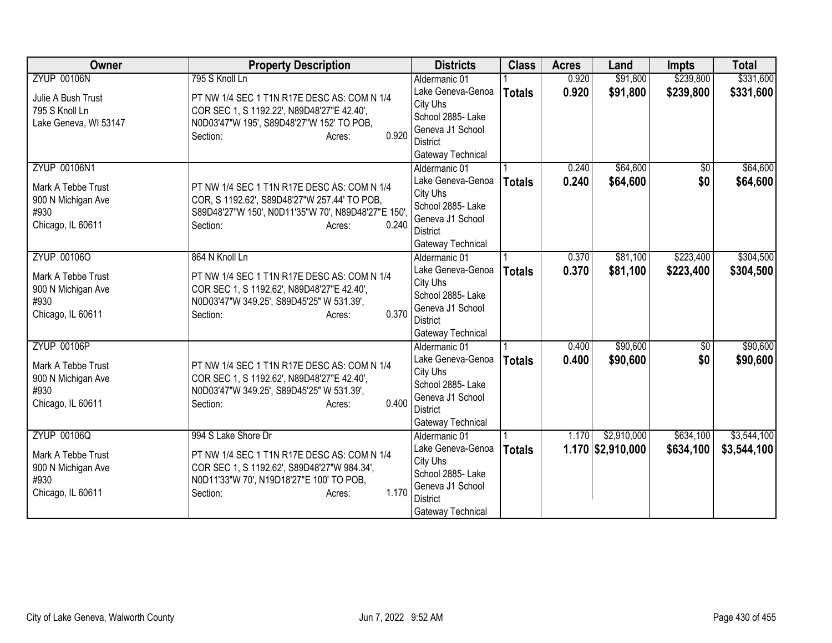| Owner                 | <b>Property Description</b>                        | <b>Districts</b>                   | <b>Class</b>  | <b>Acres</b> | Land                | <b>Impts</b>    | <b>Total</b> |
|-----------------------|----------------------------------------------------|------------------------------------|---------------|--------------|---------------------|-----------------|--------------|
| <b>ZYUP 00106N</b>    | 795 S Knoll Ln                                     | Aldermanic 01                      |               | 0.920        | \$91,800            | \$239,800       | \$331,600    |
| Julie A Bush Trust    | PT NW 1/4 SEC 1 T1N R17E DESC AS: COM N 1/4        | Lake Geneva-Genoa                  | <b>Totals</b> | 0.920        | \$91,800            | \$239,800       | \$331,600    |
| 795 S Knoll Ln        | COR SEC 1, S 1192.22', N89D48'27"E 42.40',         | City Uhs                           |               |              |                     |                 |              |
| Lake Geneva, WI 53147 | N0D03'47"W 195', S89D48'27"W 152' TO POB,          | School 2885- Lake                  |               |              |                     |                 |              |
|                       | 0.920<br>Section:<br>Acres:                        | Geneva J1 School                   |               |              |                     |                 |              |
|                       |                                                    | <b>District</b>                    |               |              |                     |                 |              |
|                       |                                                    | Gateway Technical                  |               |              |                     |                 |              |
| <b>ZYUP 00106N1</b>   |                                                    | Aldermanic 01                      |               | 0.240        | \$64,600            | $\sqrt{6}$      | \$64,600     |
| Mark A Tebbe Trust    | PT NW 1/4 SEC 1 T1N R17E DESC AS: COM N 1/4        | Lake Geneva-Genoa                  | <b>Totals</b> | 0.240        | \$64,600            | \$0             | \$64,600     |
| 900 N Michigan Ave    | COR, S 1192.62', S89D48'27"W 257.44' TO POB,       | City Uhs<br>School 2885- Lake      |               |              |                     |                 |              |
| #930                  | S89D48'27"W 150', N0D11'35"W 70', N89D48'27"E 150' | Geneva J1 School                   |               |              |                     |                 |              |
| Chicago, IL 60611     | 0.240<br>Section:<br>Acres:                        | <b>District</b>                    |               |              |                     |                 |              |
|                       |                                                    | Gateway Technical                  |               |              |                     |                 |              |
| <b>ZYUP 00106O</b>    | 864 N Knoll Ln                                     | Aldermanic 01                      |               | 0.370        | \$81,100            | \$223,400       | \$304,500    |
|                       |                                                    | Lake Geneva-Genoa                  | <b>Totals</b> | 0.370        | \$81,100            | \$223,400       | \$304,500    |
| Mark A Tebbe Trust    | PT NW 1/4 SEC 1 T1N R17E DESC AS: COM N 1/4        | City Uhs                           |               |              |                     |                 |              |
| 900 N Michigan Ave    | COR SEC 1, S 1192.62', N89D48'27"E 42.40',         | School 2885- Lake                  |               |              |                     |                 |              |
| #930                  | N0D03'47"W 349.25', S89D45'25" W 531.39',<br>0.370 | Geneva J1 School                   |               |              |                     |                 |              |
| Chicago, IL 60611     | Section:<br>Acres:                                 | <b>District</b>                    |               |              |                     |                 |              |
|                       |                                                    | Gateway Technical                  |               |              |                     |                 |              |
| <b>ZYUP 00106P</b>    |                                                    | Aldermanic 01                      |               | 0.400        | \$90,600            | $\overline{50}$ | \$90,600     |
| Mark A Tebbe Trust    | PT NW 1/4 SEC 1 T1N R17E DESC AS: COM N 1/4        | Lake Geneva-Genoa                  | <b>Totals</b> | 0.400        | \$90,600            | \$0             | \$90,600     |
| 900 N Michigan Ave    | COR SEC 1, S 1192.62', N89D48'27"E 42.40',         | City Uhs                           |               |              |                     |                 |              |
| #930                  | N0D03'47"W 349.25', S89D45'25" W 531.39',          | School 2885-Lake                   |               |              |                     |                 |              |
| Chicago, IL 60611     | 0.400<br>Section:<br>Acres:                        | Geneva J1 School                   |               |              |                     |                 |              |
|                       |                                                    | <b>District</b>                    |               |              |                     |                 |              |
| <b>ZYUP 00106Q</b>    | 994 S Lake Shore Dr                                | Gateway Technical<br>Aldermanic 01 |               | 1.170        | \$2,910,000         | \$634,100       | \$3,544,100  |
|                       |                                                    | Lake Geneva-Genoa                  |               |              |                     | \$634,100       |              |
| Mark A Tebbe Trust    | PT NW 1/4 SEC 1 T1N R17E DESC AS: COM N 1/4        | City Uhs                           | <b>Totals</b> |              | $1.170$ \$2,910,000 |                 | \$3,544,100  |
| 900 N Michigan Ave    | COR SEC 1, S 1192.62', S89D48'27"W 984.34',        | School 2885- Lake                  |               |              |                     |                 |              |
| #930                  | N0D11'33"W 70', N19D18'27"E 100' TO POB,           | Geneva J1 School                   |               |              |                     |                 |              |
| Chicago, IL 60611     | 1.170<br>Section:<br>Acres:                        | District                           |               |              |                     |                 |              |
|                       |                                                    | Gateway Technical                  |               |              |                     |                 |              |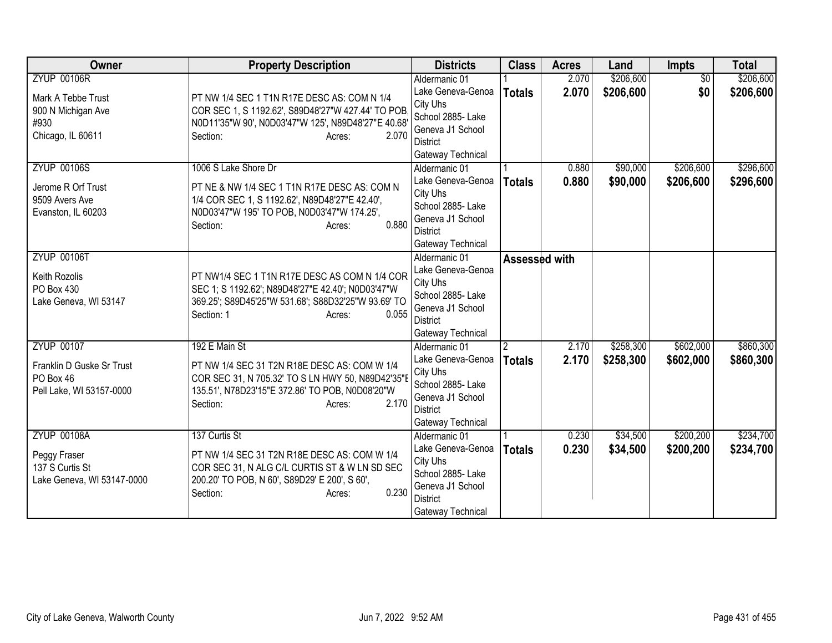| <b>ZYUP 00106R</b><br>\$206,600<br>$\overline{30}$<br>\$206,600<br>Aldermanic 01<br>2.070<br>2.070<br>\$206,600<br>\$0<br>\$206,600<br>Lake Geneva-Genoa<br><b>Totals</b><br>PT NW 1/4 SEC 1 T1N R17E DESC AS: COM N 1/4<br>Mark A Tebbe Trust<br>City Uhs<br>COR SEC 1, S 1192.62', S89D48'27"W 427.44' TO POB<br>900 N Michigan Ave<br>School 2885- Lake<br>#930<br>N0D11'35"W 90', N0D03'47"W 125', N89D48'27"E 40.68<br>Geneva J1 School<br>Chicago, IL 60611<br>Section:<br>2.070<br>Acres:<br><b>District</b><br>Gateway Technical<br>\$90,000<br>\$206,600<br><b>ZYUP 00106S</b><br>1006 S Lake Shore Dr<br>0.880<br>Aldermanic 01<br>Lake Geneva-Genoa<br>0.880<br>\$90,000<br>\$206,600<br><b>Totals</b><br>PT NE & NW 1/4 SEC 1 T1N R17E DESC AS: COM N<br>Jerome R Orf Trust<br>City Uhs<br>9509 Avers Ave<br>1/4 COR SEC 1, S 1192.62', N89D48'27"E 42.40',<br>School 2885- Lake<br>Evanston, IL 60203<br>N0D03'47"W 195' TO POB, N0D03'47"W 174.25',<br>Geneva J1 School<br>0.880<br>Section:<br>Acres:<br><b>District</b><br>Gateway Technical<br><b>ZYUP 00106T</b><br>Aldermanic 01<br>Assessed with<br>Lake Geneva-Genoa<br>PT NW1/4 SEC 1 T1N R17E DESC AS COM N 1/4 COR<br>Keith Rozolis<br>City Uhs<br>SEC 1; S 1192.62'; N89D48'27"E 42.40'; N0D03'47"W<br>PO Box 430<br>School 2885- Lake<br>369.25'; S89D45'25"W 531.68'; S88D32'25"W 93.69' TO<br>Lake Geneva, WI 53147<br>Geneva J1 School<br>0.055<br>Section: 1<br>Acres:<br><b>District</b><br>Gateway Technical<br>\$602,000<br><b>ZYUP 00107</b><br>192 E Main St<br>\$258,300<br>Aldermanic 01<br>$\overline{2}$<br>2.170<br>Lake Geneva-Genoa<br>2.170<br>\$258,300<br>\$602,000<br>\$860,300<br><b>Totals</b><br>Franklin D Guske Sr Trust<br>PT NW 1/4 SEC 31 T2N R18E DESC AS: COM W 1/4<br>City Uhs<br>COR SEC 31, N 705.32' TO S LN HWY 50, N89D42'35"E<br>PO Box 46<br>School 2885- Lake |
|--------------------------------------------------------------------------------------------------------------------------------------------------------------------------------------------------------------------------------------------------------------------------------------------------------------------------------------------------------------------------------------------------------------------------------------------------------------------------------------------------------------------------------------------------------------------------------------------------------------------------------------------------------------------------------------------------------------------------------------------------------------------------------------------------------------------------------------------------------------------------------------------------------------------------------------------------------------------------------------------------------------------------------------------------------------------------------------------------------------------------------------------------------------------------------------------------------------------------------------------------------------------------------------------------------------------------------------------------------------------------------------------------------------------------------------------------------------------------------------------------------------------------------------------------------------------------------------------------------------------------------------------------------------------------------------------------------------------------------------------------------------------------------------------------------------------------------------------------------------------------------|
|                                                                                                                                                                                                                                                                                                                                                                                                                                                                                                                                                                                                                                                                                                                                                                                                                                                                                                                                                                                                                                                                                                                                                                                                                                                                                                                                                                                                                                                                                                                                                                                                                                                                                                                                                                                                                                                                                |
|                                                                                                                                                                                                                                                                                                                                                                                                                                                                                                                                                                                                                                                                                                                                                                                                                                                                                                                                                                                                                                                                                                                                                                                                                                                                                                                                                                                                                                                                                                                                                                                                                                                                                                                                                                                                                                                                                |
| \$296,600<br>\$296,600                                                                                                                                                                                                                                                                                                                                                                                                                                                                                                                                                                                                                                                                                                                                                                                                                                                                                                                                                                                                                                                                                                                                                                                                                                                                                                                                                                                                                                                                                                                                                                                                                                                                                                                                                                                                                                                         |
|                                                                                                                                                                                                                                                                                                                                                                                                                                                                                                                                                                                                                                                                                                                                                                                                                                                                                                                                                                                                                                                                                                                                                                                                                                                                                                                                                                                                                                                                                                                                                                                                                                                                                                                                                                                                                                                                                |
|                                                                                                                                                                                                                                                                                                                                                                                                                                                                                                                                                                                                                                                                                                                                                                                                                                                                                                                                                                                                                                                                                                                                                                                                                                                                                                                                                                                                                                                                                                                                                                                                                                                                                                                                                                                                                                                                                |
|                                                                                                                                                                                                                                                                                                                                                                                                                                                                                                                                                                                                                                                                                                                                                                                                                                                                                                                                                                                                                                                                                                                                                                                                                                                                                                                                                                                                                                                                                                                                                                                                                                                                                                                                                                                                                                                                                |
|                                                                                                                                                                                                                                                                                                                                                                                                                                                                                                                                                                                                                                                                                                                                                                                                                                                                                                                                                                                                                                                                                                                                                                                                                                                                                                                                                                                                                                                                                                                                                                                                                                                                                                                                                                                                                                                                                |
|                                                                                                                                                                                                                                                                                                                                                                                                                                                                                                                                                                                                                                                                                                                                                                                                                                                                                                                                                                                                                                                                                                                                                                                                                                                                                                                                                                                                                                                                                                                                                                                                                                                                                                                                                                                                                                                                                |
|                                                                                                                                                                                                                                                                                                                                                                                                                                                                                                                                                                                                                                                                                                                                                                                                                                                                                                                                                                                                                                                                                                                                                                                                                                                                                                                                                                                                                                                                                                                                                                                                                                                                                                                                                                                                                                                                                |
|                                                                                                                                                                                                                                                                                                                                                                                                                                                                                                                                                                                                                                                                                                                                                                                                                                                                                                                                                                                                                                                                                                                                                                                                                                                                                                                                                                                                                                                                                                                                                                                                                                                                                                                                                                                                                                                                                |
|                                                                                                                                                                                                                                                                                                                                                                                                                                                                                                                                                                                                                                                                                                                                                                                                                                                                                                                                                                                                                                                                                                                                                                                                                                                                                                                                                                                                                                                                                                                                                                                                                                                                                                                                                                                                                                                                                |
|                                                                                                                                                                                                                                                                                                                                                                                                                                                                                                                                                                                                                                                                                                                                                                                                                                                                                                                                                                                                                                                                                                                                                                                                                                                                                                                                                                                                                                                                                                                                                                                                                                                                                                                                                                                                                                                                                |
|                                                                                                                                                                                                                                                                                                                                                                                                                                                                                                                                                                                                                                                                                                                                                                                                                                                                                                                                                                                                                                                                                                                                                                                                                                                                                                                                                                                                                                                                                                                                                                                                                                                                                                                                                                                                                                                                                |
|                                                                                                                                                                                                                                                                                                                                                                                                                                                                                                                                                                                                                                                                                                                                                                                                                                                                                                                                                                                                                                                                                                                                                                                                                                                                                                                                                                                                                                                                                                                                                                                                                                                                                                                                                                                                                                                                                |
| \$860,300                                                                                                                                                                                                                                                                                                                                                                                                                                                                                                                                                                                                                                                                                                                                                                                                                                                                                                                                                                                                                                                                                                                                                                                                                                                                                                                                                                                                                                                                                                                                                                                                                                                                                                                                                                                                                                                                      |
|                                                                                                                                                                                                                                                                                                                                                                                                                                                                                                                                                                                                                                                                                                                                                                                                                                                                                                                                                                                                                                                                                                                                                                                                                                                                                                                                                                                                                                                                                                                                                                                                                                                                                                                                                                                                                                                                                |
|                                                                                                                                                                                                                                                                                                                                                                                                                                                                                                                                                                                                                                                                                                                                                                                                                                                                                                                                                                                                                                                                                                                                                                                                                                                                                                                                                                                                                                                                                                                                                                                                                                                                                                                                                                                                                                                                                |
|                                                                                                                                                                                                                                                                                                                                                                                                                                                                                                                                                                                                                                                                                                                                                                                                                                                                                                                                                                                                                                                                                                                                                                                                                                                                                                                                                                                                                                                                                                                                                                                                                                                                                                                                                                                                                                                                                |
|                                                                                                                                                                                                                                                                                                                                                                                                                                                                                                                                                                                                                                                                                                                                                                                                                                                                                                                                                                                                                                                                                                                                                                                                                                                                                                                                                                                                                                                                                                                                                                                                                                                                                                                                                                                                                                                                                |
|                                                                                                                                                                                                                                                                                                                                                                                                                                                                                                                                                                                                                                                                                                                                                                                                                                                                                                                                                                                                                                                                                                                                                                                                                                                                                                                                                                                                                                                                                                                                                                                                                                                                                                                                                                                                                                                                                |
|                                                                                                                                                                                                                                                                                                                                                                                                                                                                                                                                                                                                                                                                                                                                                                                                                                                                                                                                                                                                                                                                                                                                                                                                                                                                                                                                                                                                                                                                                                                                                                                                                                                                                                                                                                                                                                                                                |
|                                                                                                                                                                                                                                                                                                                                                                                                                                                                                                                                                                                                                                                                                                                                                                                                                                                                                                                                                                                                                                                                                                                                                                                                                                                                                                                                                                                                                                                                                                                                                                                                                                                                                                                                                                                                                                                                                |
|                                                                                                                                                                                                                                                                                                                                                                                                                                                                                                                                                                                                                                                                                                                                                                                                                                                                                                                                                                                                                                                                                                                                                                                                                                                                                                                                                                                                                                                                                                                                                                                                                                                                                                                                                                                                                                                                                |
| Pell Lake, WI 53157-0000<br>135.51', N78D23'15"E 372.86' TO POB, N0D08'20"W                                                                                                                                                                                                                                                                                                                                                                                                                                                                                                                                                                                                                                                                                                                                                                                                                                                                                                                                                                                                                                                                                                                                                                                                                                                                                                                                                                                                                                                                                                                                                                                                                                                                                                                                                                                                    |
| Geneva J1 School<br>2.170<br>Section:<br>Acres:                                                                                                                                                                                                                                                                                                                                                                                                                                                                                                                                                                                                                                                                                                                                                                                                                                                                                                                                                                                                                                                                                                                                                                                                                                                                                                                                                                                                                                                                                                                                                                                                                                                                                                                                                                                                                                |
| <b>District</b>                                                                                                                                                                                                                                                                                                                                                                                                                                                                                                                                                                                                                                                                                                                                                                                                                                                                                                                                                                                                                                                                                                                                                                                                                                                                                                                                                                                                                                                                                                                                                                                                                                                                                                                                                                                                                                                                |
| Gateway Technical                                                                                                                                                                                                                                                                                                                                                                                                                                                                                                                                                                                                                                                                                                                                                                                                                                                                                                                                                                                                                                                                                                                                                                                                                                                                                                                                                                                                                                                                                                                                                                                                                                                                                                                                                                                                                                                              |
| <b>ZYUP 00108A</b><br>\$200,200<br>\$234,700<br>137 Curtis St<br>0.230<br>\$34,500<br>Aldermanic 01                                                                                                                                                                                                                                                                                                                                                                                                                                                                                                                                                                                                                                                                                                                                                                                                                                                                                                                                                                                                                                                                                                                                                                                                                                                                                                                                                                                                                                                                                                                                                                                                                                                                                                                                                                            |
| \$34,500<br>\$200,200<br>\$234,700<br>Lake Geneva-Genoa<br>0.230<br><b>Totals</b><br>PT NW 1/4 SEC 31 T2N R18E DESC AS: COM W 1/4<br>Peggy Fraser                                                                                                                                                                                                                                                                                                                                                                                                                                                                                                                                                                                                                                                                                                                                                                                                                                                                                                                                                                                                                                                                                                                                                                                                                                                                                                                                                                                                                                                                                                                                                                                                                                                                                                                              |
| City Uhs<br>137 S Curtis St<br>COR SEC 31, N ALG C/L CURTIS ST & W LN SD SEC                                                                                                                                                                                                                                                                                                                                                                                                                                                                                                                                                                                                                                                                                                                                                                                                                                                                                                                                                                                                                                                                                                                                                                                                                                                                                                                                                                                                                                                                                                                                                                                                                                                                                                                                                                                                   |
| School 2885- Lake<br>200.20' TO POB, N 60', S89D29' E 200', S 60',<br>Lake Geneva, WI 53147-0000                                                                                                                                                                                                                                                                                                                                                                                                                                                                                                                                                                                                                                                                                                                                                                                                                                                                                                                                                                                                                                                                                                                                                                                                                                                                                                                                                                                                                                                                                                                                                                                                                                                                                                                                                                               |
| Geneva J1 School<br>0.230<br>Section:<br>Acres:<br><b>District</b>                                                                                                                                                                                                                                                                                                                                                                                                                                                                                                                                                                                                                                                                                                                                                                                                                                                                                                                                                                                                                                                                                                                                                                                                                                                                                                                                                                                                                                                                                                                                                                                                                                                                                                                                                                                                             |
| Gateway Technical                                                                                                                                                                                                                                                                                                                                                                                                                                                                                                                                                                                                                                                                                                                                                                                                                                                                                                                                                                                                                                                                                                                                                                                                                                                                                                                                                                                                                                                                                                                                                                                                                                                                                                                                                                                                                                                              |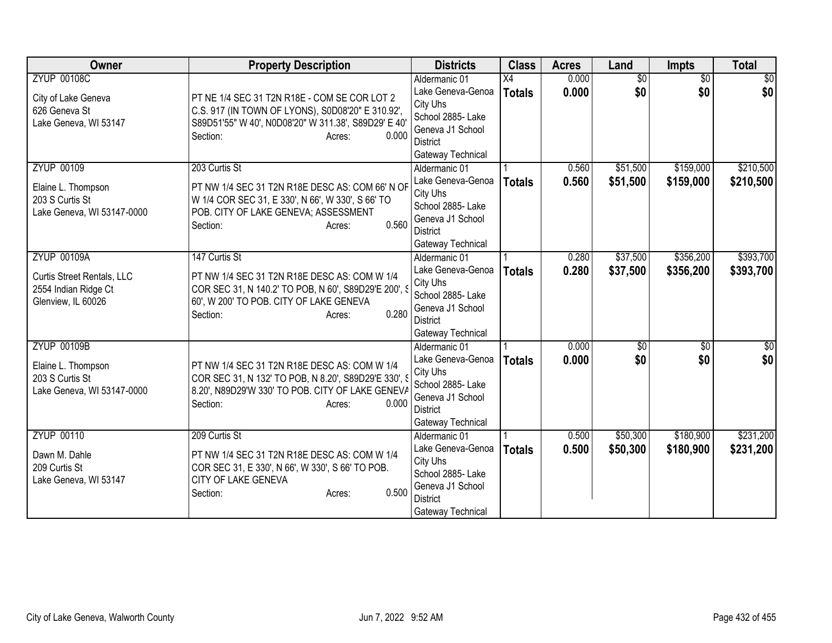| Owner                                                                                          | <b>Property Description</b>                                                                                                                                                                     | <b>Districts</b>                                                                                                                | <b>Class</b>        | <b>Acres</b>   | Land                   | Impts                  | <b>Total</b>           |
|------------------------------------------------------------------------------------------------|-------------------------------------------------------------------------------------------------------------------------------------------------------------------------------------------------|---------------------------------------------------------------------------------------------------------------------------------|---------------------|----------------|------------------------|------------------------|------------------------|
| <b>ZYUP 00108C</b><br>City of Lake Geneva<br>626 Geneva St<br>Lake Geneva, WI 53147            | PT NE 1/4 SEC 31 T2N R18E - COM SE COR LOT 2<br>C.S. 917 (IN TOWN OF LYONS), S0D08'20" E 310.92',<br>S89D51'55" W 40', N0D08'20" W 311.38', S89D29' E 40'<br>0.000<br>Section:<br>Acres:        | Aldermanic 01<br>Lake Geneva-Genoa<br>City Uhs<br>School 2885- Lake<br>Geneva J1 School<br>District<br>Gateway Technical        | X4<br><b>Totals</b> | 0.000<br>0.000 | $\overline{50}$<br>\$0 | $\overline{50}$<br>\$0 | $\overline{50}$<br>\$0 |
| <b>ZYUP 00109</b><br>Elaine L. Thompson<br>203 S Curtis St<br>Lake Geneva, WI 53147-0000       | 203 Curtis St<br>PT NW 1/4 SEC 31 T2N R18E DESC AS: COM 66' N OF<br>W 1/4 COR SEC 31, E 330', N 66', W 330', S 66' TO<br>POB. CITY OF LAKE GENEVA; ASSESSMENT<br>0.560<br>Section:<br>Acres:    | Aldermanic 01<br>Lake Geneva-Genoa<br>City Uhs<br>School 2885- Lake<br>Geneva J1 School<br><b>District</b><br>Gateway Technical | <b>Totals</b>       | 0.560<br>0.560 | \$51,500<br>\$51,500   | \$159,000<br>\$159,000 | \$210,500<br>\$210,500 |
| <b>ZYUP 00109A</b><br>Curtis Street Rentals, LLC<br>2554 Indian Ridge Ct<br>Glenview, IL 60026 | 147 Curtis St<br>PT NW 1/4 SEC 31 T2N R18E DESC AS: COM W 1/4<br>COR SEC 31, N 140.2' TO POB, N 60', S89D29'E 200', S<br>60', W 200' TO POB. CITY OF LAKE GENEVA<br>0.280<br>Section:<br>Acres: | Aldermanic 01<br>Lake Geneva-Genoa<br>City Uhs<br>School 2885- Lake<br>Geneva J1 School<br><b>District</b><br>Gateway Technical | <b>Totals</b>       | 0.280<br>0.280 | \$37,500<br>\$37,500   | \$356,200<br>\$356,200 | \$393,700<br>\$393,700 |
| <b>ZYUP 00109B</b><br>Elaine L. Thompson<br>203 S Curtis St<br>Lake Geneva, WI 53147-0000      | PT NW 1/4 SEC 31 T2N R18E DESC AS: COM W 1/4<br>COR SEC 31, N 132' TO POB, N 8.20', S89D29'E 330', S<br>8.20', N89D29'W 330' TO POB. CITY OF LAKE GENEVA<br>0.000<br>Section:<br>Acres:         | Aldermanic 01<br>Lake Geneva-Genoa<br>City Uhs<br>School 2885- Lake<br>Geneva J1 School<br><b>District</b><br>Gateway Technical | <b>Totals</b>       | 0.000<br>0.000 | $\sqrt{50}$<br>\$0     | $\overline{50}$<br>\$0 | $\sqrt{30}$<br>\$0     |
| <b>ZYUP 00110</b><br>Dawn M. Dahle<br>209 Curtis St<br>Lake Geneva, WI 53147                   | 209 Curtis St<br>PT NW 1/4 SEC 31 T2N R18E DESC AS: COM W 1/4<br>COR SEC 31, E 330', N 66', W 330', S 66' TO POB.<br>CITY OF LAKE GENEVA<br>0.500<br>Section:<br>Acres:                         | Aldermanic 01<br>Lake Geneva-Genoa<br>City Uhs<br>School 2885- Lake<br>Geneva J1 School<br><b>District</b><br>Gateway Technical | <b>Totals</b>       | 0.500<br>0.500 | \$50,300<br>\$50,300   | \$180,900<br>\$180,900 | \$231,200<br>\$231,200 |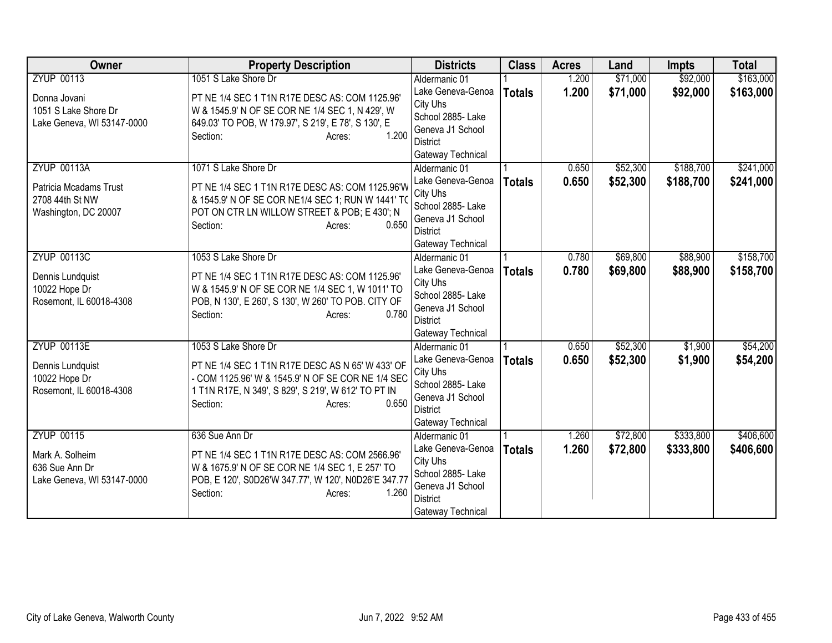| Owner                                                                                   | <b>Property Description</b>                                                                                                                                                                                         | <b>Districts</b>                                                                                                                | <b>Class</b>  | <b>Acres</b>   | Land                 | <b>Impts</b>           | <b>Total</b>           |
|-----------------------------------------------------------------------------------------|---------------------------------------------------------------------------------------------------------------------------------------------------------------------------------------------------------------------|---------------------------------------------------------------------------------------------------------------------------------|---------------|----------------|----------------------|------------------------|------------------------|
| <b>ZYUP 00113</b>                                                                       | 1051 S Lake Shore Dr                                                                                                                                                                                                | Aldermanic 01                                                                                                                   |               | 1.200          | \$71,000             | \$92,000               | \$163,000              |
| Donna Jovani<br>1051 S Lake Shore Dr<br>Lake Geneva, WI 53147-0000                      | PT NE 1/4 SEC 1 T1N R17E DESC AS: COM 1125.96'<br>W & 1545.9' N OF SE COR NE 1/4 SEC 1, N 429', W<br>649.03' TO POB, W 179.97', S 219', E 78', S 130', E<br>1.200<br>Section:<br>Acres:                             | Lake Geneva-Genoa<br>City Uhs<br>School 2885- Lake<br>Geneva J1 School<br><b>District</b>                                       | <b>Totals</b> | 1.200          | \$71,000             | \$92,000               | \$163,000              |
|                                                                                         |                                                                                                                                                                                                                     | Gateway Technical                                                                                                               |               |                |                      |                        |                        |
| <b>ZYUP 00113A</b><br>Patricia Mcadams Trust<br>2708 44th St NW<br>Washington, DC 20007 | 1071 S Lake Shore Dr<br>PT NE 1/4 SEC 1 T1N R17E DESC AS: COM 1125.96'W<br>& 1545.9' N OF SE COR NE1/4 SEC 1; RUN W 1441' TO<br>POT ON CTR LN WILLOW STREET & POB; E 430'; N<br>0.650<br>Section:<br>Acres:         | Aldermanic 01<br>Lake Geneva-Genoa<br>City Uhs<br>School 2885- Lake<br>Geneva J1 School<br><b>District</b><br>Gateway Technical | <b>Totals</b> | 0.650<br>0.650 | \$52,300<br>\$52,300 | \$188,700<br>\$188,700 | \$241,000<br>\$241,000 |
| <b>ZYUP 00113C</b><br>Dennis Lundquist<br>10022 Hope Dr<br>Rosemont, IL 60018-4308      | 1053 S Lake Shore Dr<br>PT NE 1/4 SEC 1 T1N R17E DESC AS: COM 1125.96'<br>W & 1545.9' N OF SE COR NE 1/4 SEC 1, W 1011' TO<br>POB, N 130', E 260', S 130', W 260' TO POB. CITY OF<br>0.780<br>Section:<br>Acres:    | Aldermanic 01<br>Lake Geneva-Genoa<br>City Uhs<br>School 2885- Lake<br>Geneva J1 School<br><b>District</b><br>Gateway Technical | <b>Totals</b> | 0.780<br>0.780 | \$69,800<br>\$69,800 | \$88,900<br>\$88,900   | \$158,700<br>\$158,700 |
| <b>ZYUP 00113E</b><br>Dennis Lundquist<br>10022 Hope Dr<br>Rosemont, IL 60018-4308      | 1053 S Lake Shore Dr<br>PT NE 1/4 SEC 1 T1N R17E DESC AS N 65' W 433' OF<br>- COM 1125.96' W & 1545.9' N OF SE COR NE 1/4 SEC<br>1 T1N R17E, N 349', S 829', S 219', W 612' TO PT IN<br>0.650<br>Section:<br>Acres: | Aldermanic 01<br>Lake Geneva-Genoa<br>City Uhs<br>School 2885- Lake<br>Geneva J1 School<br><b>District</b><br>Gateway Technical | <b>Totals</b> | 0.650<br>0.650 | \$52,300<br>\$52,300 | \$1,900<br>\$1,900     | \$54,200<br>\$54,200   |
| <b>ZYUP 00115</b><br>Mark A. Solheim<br>636 Sue Ann Dr<br>Lake Geneva, WI 53147-0000    | 636 Sue Ann Dr<br>PT NE 1/4 SEC 1 T1N R17E DESC AS: COM 2566.96'<br>W & 1675.9' N OF SE COR NE 1/4 SEC 1, E 257' TO<br>POB, E 120', S0D26'W 347.77', W 120', N0D26'E 347.77<br>Section:<br>1.260<br>Acres:          | Aldermanic 01<br>Lake Geneva-Genoa<br>City Uhs<br>School 2885- Lake<br>Geneva J1 School<br><b>District</b><br>Gateway Technical | <b>Totals</b> | 1.260<br>1.260 | \$72,800<br>\$72,800 | \$333,800<br>\$333,800 | \$406,600<br>\$406,600 |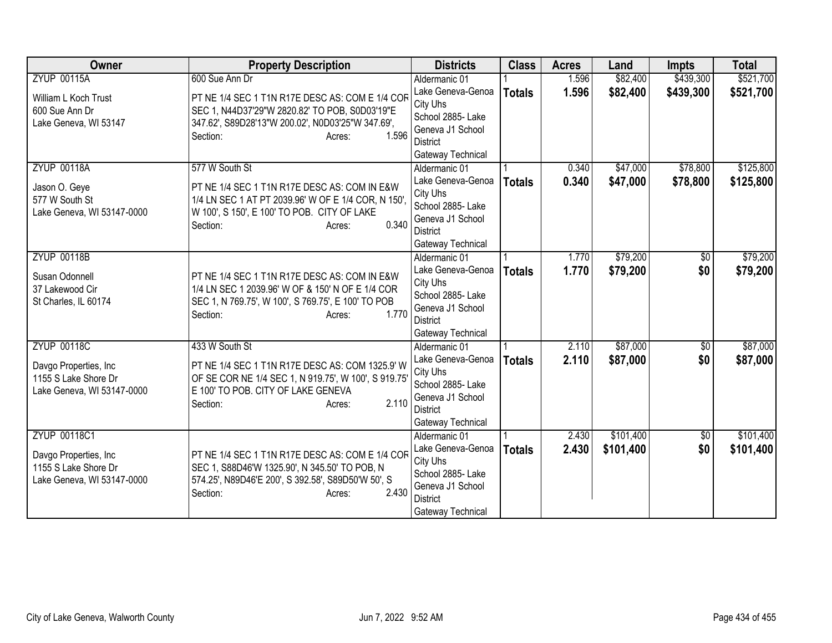| Owner                      | <b>Property Description</b>                                             | <b>Districts</b>              | <b>Class</b>  | <b>Acres</b> | Land      | <b>Impts</b>    | <b>Total</b> |
|----------------------------|-------------------------------------------------------------------------|-------------------------------|---------------|--------------|-----------|-----------------|--------------|
| <b>ZYUP 00115A</b>         | 600 Sue Ann Dr                                                          | Aldermanic 01                 |               | 1.596        | \$82,400  | \$439,300       | \$521,700    |
| William L Koch Trust       | PT NE 1/4 SEC 1 T1N R17E DESC AS: COM E 1/4 COF                         | Lake Geneva-Genoa             | <b>Totals</b> | 1.596        | \$82,400  | \$439,300       | \$521,700    |
| 600 Sue Ann Dr             | SEC 1, N44D37'29"W 2820.82' TO POB, S0D03'19"E                          | City Uhs                      |               |              |           |                 |              |
| Lake Geneva, WI 53147      | 347.62', S89D28'13"W 200.02', N0D03'25"W 347.69',                       | School 2885- Lake             |               |              |           |                 |              |
|                            | 1.596<br>Section:<br>Acres:                                             | Geneva J1 School              |               |              |           |                 |              |
|                            |                                                                         | District<br>Gateway Technical |               |              |           |                 |              |
| <b>ZYUP 00118A</b>         | 577 W South St                                                          | Aldermanic 01                 |               | 0.340        | \$47,000  | \$78,800        | \$125,800    |
|                            |                                                                         | Lake Geneva-Genoa             | <b>Totals</b> | 0.340        | \$47,000  | \$78,800        | \$125,800    |
| Jason O. Geye              | PT NE 1/4 SEC 1 T1N R17E DESC AS: COM IN E&W                            | City Uhs                      |               |              |           |                 |              |
| 577 W South St             | 1/4 LN SEC 1 AT PT 2039.96' W OF E 1/4 COR, N 150'.                     | School 2885- Lake             |               |              |           |                 |              |
| Lake Geneva, WI 53147-0000 | W 100', S 150', E 100' TO POB. CITY OF LAKE                             | Geneva J1 School              |               |              |           |                 |              |
|                            | 0.340<br>Section:<br>Acres:                                             | <b>District</b>               |               |              |           |                 |              |
|                            |                                                                         | Gateway Technical             |               |              |           |                 |              |
| <b>ZYUP 00118B</b>         |                                                                         | Aldermanic 01                 |               | 1.770        | \$79,200  | \$0             | \$79,200     |
| Susan Odonnell             | PT NE 1/4 SEC 1 T1N R17E DESC AS: COM IN E&W                            | Lake Geneva-Genoa             | <b>Totals</b> | 1.770        | \$79,200  | \$0             | \$79,200     |
| 37 Lakewood Cir            | 1/4 LN SEC 1 2039.96' W OF & 150' N OF E 1/4 COR                        | City Uhs                      |               |              |           |                 |              |
| St Charles, IL 60174       | SEC 1, N 769.75', W 100', S 769.75', E 100' TO POB                      | School 2885- Lake             |               |              |           |                 |              |
|                            | 1.770<br>Section:<br>Acres:                                             | Geneva J1 School              |               |              |           |                 |              |
|                            |                                                                         | <b>District</b>               |               |              |           |                 |              |
|                            |                                                                         | Gateway Technical             |               |              |           |                 |              |
| <b>ZYUP 00118C</b>         | 433 W South St                                                          | Aldermanic 01                 |               | 2.110        | \$87,000  | $\overline{50}$ | \$87,000     |
| Davgo Properties, Inc.     | PT NE 1/4 SEC 1 T1N R17E DESC AS: COM 1325.9' W                         | Lake Geneva-Genoa             | <b>Totals</b> | 2.110        | \$87,000  | \$0             | \$87,000     |
| 1155 S Lake Shore Dr       | OF SE COR NE 1/4 SEC 1, N 919.75', W 100', S 919.75'                    | City Uhs<br>School 2885- Lake |               |              |           |                 |              |
| Lake Geneva, WI 53147-0000 | E 100' TO POB. CITY OF LAKE GENEVA                                      | Geneva J1 School              |               |              |           |                 |              |
|                            | 2.110<br>Section:<br>Acres:                                             | <b>District</b>               |               |              |           |                 |              |
|                            |                                                                         | Gateway Technical             |               |              |           |                 |              |
| <b>ZYUP 00118C1</b>        |                                                                         | Aldermanic 01                 |               | 2.430        | \$101,400 | $\overline{50}$ | \$101,400    |
|                            |                                                                         | Lake Geneva-Genoa             | <b>Totals</b> | 2.430        | \$101,400 | \$0             | \$101,400    |
| Davgo Properties, Inc      | PT NE 1/4 SEC 1 T1N R17E DESC AS: COM E 1/4 COR                         | City Uhs                      |               |              |           |                 |              |
| 1155 S Lake Shore Dr       | SEC 1, S88D46'W 1325.90', N 345.50' TO POB, N                           | School 2885- Lake             |               |              |           |                 |              |
| Lake Geneva, WI 53147-0000 | 574.25', N89D46'E 200', S 392.58', S89D50'W 50', S<br>2.430<br>Section: | Geneva J1 School              |               |              |           |                 |              |
|                            | Acres:                                                                  | <b>District</b>               |               |              |           |                 |              |
|                            |                                                                         | Gateway Technical             |               |              |           |                 |              |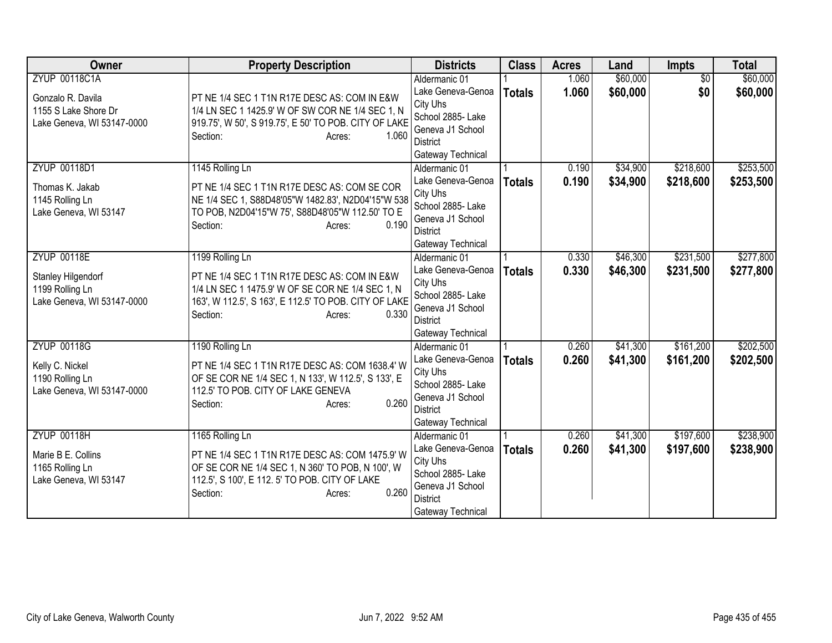| Owner                                                                                           | <b>Property Description</b>                                                                                                                                                                                 | <b>Districts</b>                                                                                                                | <b>Class</b>  | <b>Acres</b>   | Land                 | <b>Impts</b>           | <b>Total</b>           |
|-------------------------------------------------------------------------------------------------|-------------------------------------------------------------------------------------------------------------------------------------------------------------------------------------------------------------|---------------------------------------------------------------------------------------------------------------------------------|---------------|----------------|----------------------|------------------------|------------------------|
| <b>ZYUP 00118C1A</b><br>Gonzalo R. Davila<br>1155 S Lake Shore Dr<br>Lake Geneva, WI 53147-0000 | PT NE 1/4 SEC 1 T1N R17E DESC AS: COM IN E&W<br>1/4 LN SEC 1 1425.9' W OF SW COR NE 1/4 SEC 1, N<br>919.75', W 50', S 919.75', E 50' TO POB. CITY OF LAKE<br>1.060<br>Section:<br>Acres:                    | Aldermanic 01<br>Lake Geneva-Genoa<br>City Uhs<br>School 2885- Lake<br>Geneva J1 School<br>District<br>Gateway Technical        | <b>Totals</b> | 1.060<br>1.060 | \$60,000<br>\$60,000 | $\overline{50}$<br>\$0 | \$60,000<br>\$60,000   |
| ZYUP 00118D1<br>Thomas K. Jakab<br>1145 Rolling Ln<br>Lake Geneva, WI 53147                     | 1145 Rolling Ln<br>PT NE 1/4 SEC 1 T1N R17E DESC AS: COM SE COR<br>NE 1/4 SEC 1, S88D48'05"W 1482.83', N2D04'15"W 538<br>TO POB, N2D04'15"W 75', S88D48'05"W 112.50' TO E<br>0.190<br>Section:<br>Acres:    | Aldermanic 01<br>Lake Geneva-Genoa<br>City Uhs<br>School 2885- Lake<br>Geneva J1 School<br><b>District</b><br>Gateway Technical | <b>Totals</b> | 0.190<br>0.190 | \$34,900<br>\$34,900 | \$218,600<br>\$218,600 | \$253,500<br>\$253,500 |
| <b>ZYUP 00118E</b><br>Stanley Hilgendorf<br>1199 Rolling Ln<br>Lake Geneva, WI 53147-0000       | 1199 Rolling Ln<br>PT NE 1/4 SEC 1 T1N R17E DESC AS: COM IN E&W<br>1/4 LN SEC 1 1475.9' W OF SE COR NE 1/4 SEC 1, N<br>163', W 112.5', S 163', E 112.5' TO POB. CITY OF LAKE<br>0.330<br>Section:<br>Acres: | Aldermanic 01<br>Lake Geneva-Genoa<br>City Uhs<br>School 2885- Lake<br>Geneva J1 School<br>District<br>Gateway Technical        | <b>Totals</b> | 0.330<br>0.330 | \$46,300<br>\$46,300 | \$231,500<br>\$231,500 | \$277,800<br>\$277,800 |
| <b>ZYUP 00118G</b><br>Kelly C. Nickel<br>1190 Rolling Ln<br>Lake Geneva, WI 53147-0000          | 1190 Rolling Ln<br>PT NE 1/4 SEC 1 T1N R17E DESC AS: COM 1638.4' W<br>OF SE COR NE 1/4 SEC 1, N 133', W 112.5', S 133', E<br>112.5' TO POB. CITY OF LAKE GENEVA<br>0.260<br>Section:<br>Acres:              | Aldermanic 01<br>Lake Geneva-Genoa<br>City Uhs<br>School 2885- Lake<br>Geneva J1 School<br><b>District</b><br>Gateway Technical | <b>Totals</b> | 0.260<br>0.260 | \$41,300<br>\$41,300 | \$161,200<br>\$161,200 | \$202,500<br>\$202,500 |
| <b>ZYUP 00118H</b><br>Marie B E. Collins<br>1165 Rolling Ln<br>Lake Geneva, WI 53147            | 1165 Rolling Ln<br>PT NE 1/4 SEC 1 T1N R17E DESC AS: COM 1475.9' W<br>OF SE COR NE 1/4 SEC 1, N 360' TO POB, N 100', W<br>112.5', S 100', E 112. 5' TO POB. CITY OF LAKE<br>0.260<br>Section:<br>Acres:     | Aldermanic 01<br>Lake Geneva-Genoa<br>City Uhs<br>School 2885- Lake<br>Geneva J1 School<br><b>District</b><br>Gateway Technical | <b>Totals</b> | 0.260<br>0.260 | \$41,300<br>\$41,300 | \$197,600<br>\$197,600 | \$238,900<br>\$238,900 |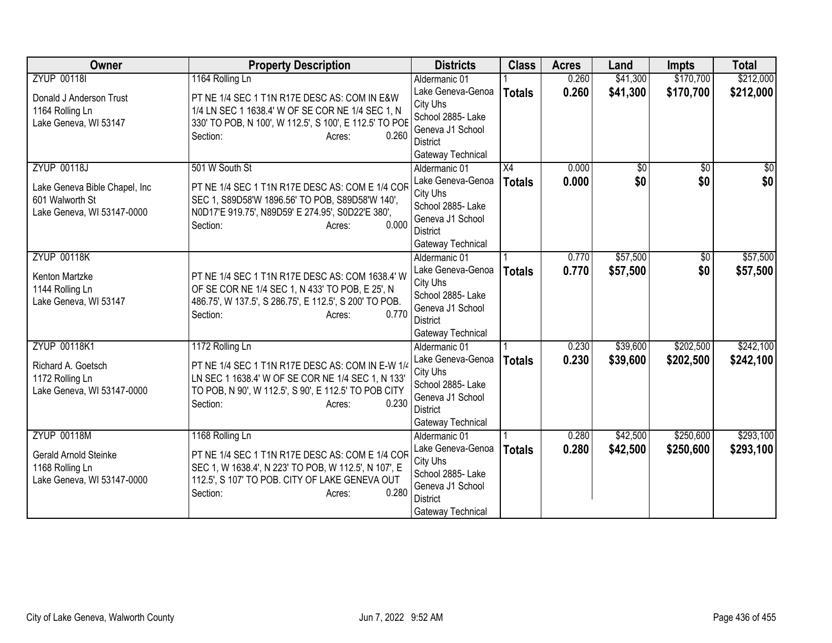| Owner                                                                                                | <b>Property Description</b>                                                                                                                                                                                     | <b>Districts</b>                                                                                                                | <b>Class</b>                     | <b>Acres</b>   | Land                 | <b>Impts</b>           | <b>Total</b>           |
|------------------------------------------------------------------------------------------------------|-----------------------------------------------------------------------------------------------------------------------------------------------------------------------------------------------------------------|---------------------------------------------------------------------------------------------------------------------------------|----------------------------------|----------------|----------------------|------------------------|------------------------|
| <b>ZYUP 00118I</b>                                                                                   | 1164 Rolling Ln                                                                                                                                                                                                 | Aldermanic 01                                                                                                                   |                                  | 0.260          | \$41,300             | \$170,700              | \$212,000              |
| Donald J Anderson Trust<br>1164 Rolling Ln<br>Lake Geneva, WI 53147                                  | PT NE 1/4 SEC 1 T1N R17E DESC AS: COM IN E&W<br>1/4 LN SEC 1 1638.4' W OF SE COR NE 1/4 SEC 1, N<br>330' TO POB, N 100', W 112.5', S 100', E 112.5' TO POE<br>0.260<br>Section:<br>Acres:                       | Lake Geneva-Genoa<br>City Uhs<br>School 2885- Lake<br>Geneva J1 School<br>District<br>Gateway Technical                         | <b>Totals</b>                    | 0.260          | \$41,300             | \$170,700              | \$212,000              |
| <b>ZYUP 00118J</b><br>Lake Geneva Bible Chapel, Inc<br>601 Walworth St<br>Lake Geneva, WI 53147-0000 | 501 W South St<br>PT NE 1/4 SEC 1 T1N R17E DESC AS: COM E 1/4 COR<br>SEC 1, S89D58'W 1896.56' TO POB, S89D58'W 140',<br>N0D17'E 919.75', N89D59' E 274.95', S0D22'E 380',<br>0.000<br>Section:<br>Acres:        | Aldermanic 01<br>Lake Geneva-Genoa<br>City Uhs<br>School 2885- Lake<br>Geneva J1 School<br><b>District</b><br>Gateway Technical | $\overline{X4}$<br><b>Totals</b> | 0.000<br>0.000 | \$0<br>\$0           | $\overline{50}$<br>\$0 | $\overline{50}$<br>\$0 |
| <b>ZYUP 00118K</b><br>Kenton Martzke<br>1144 Rolling Ln<br>Lake Geneva, WI 53147                     | PT NE 1/4 SEC 1 T1N R17E DESC AS: COM 1638.4' W<br>OF SE COR NE 1/4 SEC 1, N 433' TO POB, E 25', N<br>486.75', W 137.5', S 286.75', E 112.5', S 200' TO POB.<br>0.770<br>Section:<br>Acres:                     | Aldermanic 01<br>Lake Geneva-Genoa<br>City Uhs<br>School 2885- Lake<br>Geneva J1 School<br>District<br>Gateway Technical        | <b>Totals</b>                    | 0.770<br>0.770 | \$57,500<br>\$57,500 | \$0<br>\$0             | \$57,500<br>\$57,500   |
| <b>ZYUP 00118K1</b><br>Richard A. Goetsch<br>1172 Rolling Ln<br>Lake Geneva, WI 53147-0000           | 1172 Rolling Ln<br>PT NE 1/4 SEC 1 T1N R17E DESC AS: COM IN E-W 1/4<br>LN SEC 1 1638.4' W OF SE COR NE 1/4 SEC 1, N 133'<br>TO POB, N 90', W 112.5', S 90', E 112.5' TO POB CITY<br>0.230<br>Section:<br>Acres: | Aldermanic 01<br>Lake Geneva-Genoa<br>City Uhs<br>School 2885- Lake<br>Geneva J1 School<br><b>District</b><br>Gateway Technical | <b>Totals</b>                    | 0.230<br>0.230 | \$39,600<br>\$39,600 | \$202,500<br>\$202,500 | \$242,100<br>\$242,100 |
| <b>ZYUP 00118M</b><br>Gerald Arnold Steinke<br>1168 Rolling Ln<br>Lake Geneva, WI 53147-0000         | 1168 Rolling Ln<br>PT NE 1/4 SEC 1 T1N R17E DESC AS: COM E 1/4 COR<br>SEC 1, W 1638.4', N 223' TO POB, W 112.5', N 107', E<br>112.5', S 107' TO POB. CITY OF LAKE GENEVA OUT<br>0.280<br>Section:<br>Acres:     | Aldermanic 01<br>Lake Geneva-Genoa<br>City Uhs<br>School 2885- Lake<br>Geneva J1 School<br><b>District</b><br>Gateway Technical | <b>Totals</b>                    | 0.280<br>0.280 | \$42,500<br>\$42,500 | \$250,600<br>\$250,600 | \$293,100<br>\$293,100 |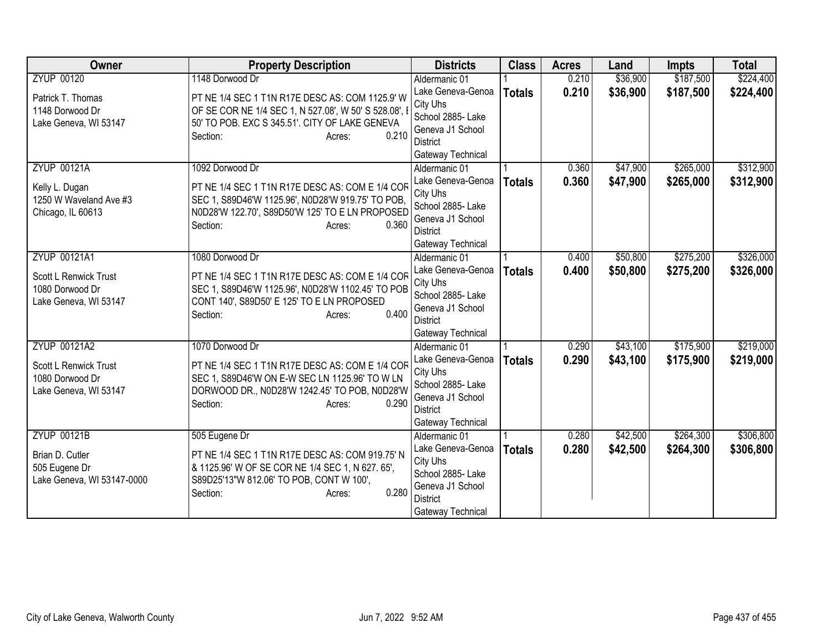| Owner                                                             | <b>Property Description</b>                                                                                                                                                               | <b>Districts</b>                                                                                               | <b>Class</b>  | <b>Acres</b> | Land     | <b>Impts</b> | <b>Total</b> |
|-------------------------------------------------------------------|-------------------------------------------------------------------------------------------------------------------------------------------------------------------------------------------|----------------------------------------------------------------------------------------------------------------|---------------|--------------|----------|--------------|--------------|
| <b>ZYUP 00120</b>                                                 | 1148 Dorwood Dr                                                                                                                                                                           | Aldermanic 01                                                                                                  |               | 0.210        | \$36,900 | \$187,500    | \$224,400    |
| Patrick T. Thomas<br>1148 Dorwood Dr<br>Lake Geneva, WI 53147     | PT NE 1/4 SEC 1 T1N R17E DESC AS: COM 1125.9' W<br>OF SE COR NE 1/4 SEC 1, N 527.08', W 50' S 528.08', I<br>50' TO POB. EXC S 345.51'. CITY OF LAKE GENEVA<br>0.210<br>Section:<br>Acres: | Lake Geneva-Genoa<br>City Uhs<br>School 2885- Lake<br>Geneva J1 School<br>District<br>Gateway Technical        | <b>Totals</b> | 0.210        | \$36,900 | \$187,500    | \$224,400    |
| <b>ZYUP 00121A</b>                                                | 1092 Dorwood Dr                                                                                                                                                                           | Aldermanic 01                                                                                                  |               | 0.360        | \$47,900 | \$265,000    | \$312,900    |
| Kelly L. Dugan<br>1250 W Waveland Ave #3<br>Chicago, IL 60613     | PT NE 1/4 SEC 1 T1N R17E DESC AS: COM E 1/4 COR<br>SEC 1, S89D46'W 1125.96', N0D28'W 919.75' TO POB,<br>N0D28'W 122.70', S89D50'W 125' TO E LN PROPOSED<br>Section:<br>0.360<br>Acres:    | Lake Geneva-Genoa<br>City Uhs<br>School 2885- Lake<br>Geneva J1 School<br>District<br>Gateway Technical        | <b>Totals</b> | 0.360        | \$47,900 | \$265,000    | \$312,900    |
| ZYUP 00121A1                                                      | 1080 Dorwood Dr                                                                                                                                                                           | Aldermanic 01                                                                                                  |               | 0.400        | \$50,800 | \$275,200    | \$326,000    |
| Scott L Renwick Trust<br>1080 Dorwood Dr<br>Lake Geneva, WI 53147 | PT NE 1/4 SEC 1 T1N R17E DESC AS: COM E 1/4 COR<br>SEC 1, S89D46'W 1125.96', N0D28'W 1102.45' TO POB<br>CONT 140', S89D50' E 125' TO E LN PROPOSED<br>0.400<br>Section:<br>Acres:         | Lake Geneva-Genoa<br>City Uhs<br>School 2885- Lake<br>Geneva J1 School<br><b>District</b><br>Gateway Technical | <b>Totals</b> | 0.400        | \$50,800 | \$275,200    | \$326,000    |
| ZYUP 00121A2                                                      | 1070 Dorwood Dr                                                                                                                                                                           | Aldermanic 01                                                                                                  |               | 0.290        | \$43,100 | \$175,900    | \$219,000    |
| Scott L Renwick Trust<br>1080 Dorwood Dr<br>Lake Geneva, WI 53147 | PT NE 1/4 SEC 1 T1N R17E DESC AS: COM E 1/4 COR<br>SEC 1, S89D46'W ON E-W SEC LN 1125.96' TO W LN<br>DORWOOD DR., N0D28'W 1242.45' TO POB, N0D28'W<br>Section:<br>0.290<br>Acres:         | Lake Geneva-Genoa<br>City Uhs<br>School 2885- Lake<br>Geneva J1 School<br><b>District</b><br>Gateway Technical | <b>Totals</b> | 0.290        | \$43,100 | \$175,900    | \$219,000    |
| <b>ZYUP 00121B</b>                                                | 505 Eugene Dr                                                                                                                                                                             | Aldermanic 01                                                                                                  |               | 0.280        | \$42,500 | \$264,300    | \$306,800    |
| Brian D. Cutler<br>505 Eugene Dr<br>Lake Geneva, WI 53147-0000    | PT NE 1/4 SEC 1 T1N R17E DESC AS: COM 919.75' N<br>& 1125.96' W OF SE COR NE 1/4 SEC 1, N 627. 65',<br>S89D25'13"W 812.06' TO POB, CONT W 100',<br>0.280<br>Section:<br>Acres:            | Lake Geneva-Genoa<br>City Uhs<br>School 2885- Lake<br>Geneva J1 School<br><b>District</b><br>Gateway Technical | <b>Totals</b> | 0.280        | \$42,500 | \$264,300    | \$306,800    |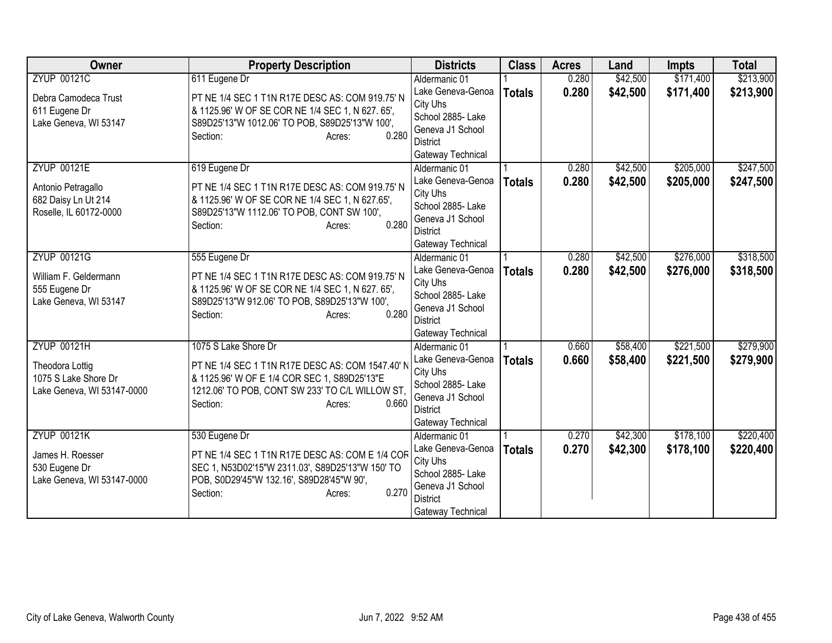| Owner                      | <b>Property Description</b>                            | <b>Districts</b>              | <b>Class</b>  | <b>Acres</b> | Land     | <b>Impts</b> | <b>Total</b> |
|----------------------------|--------------------------------------------------------|-------------------------------|---------------|--------------|----------|--------------|--------------|
| <b>ZYUP 00121C</b>         | 611 Eugene Dr                                          | Aldermanic 01                 |               | 0.280        | \$42,500 | \$171,400    | \$213,900    |
| Debra Camodeca Trust       | PT NE 1/4 SEC 1 T1N R17E DESC AS: COM 919.75' N        | Lake Geneva-Genoa             | <b>Totals</b> | 0.280        | \$42,500 | \$171,400    | \$213,900    |
| 611 Eugene Dr              | & 1125.96' W OF SE COR NE 1/4 SEC 1, N 627. 65',       | City Uhs                      |               |              |          |              |              |
| Lake Geneva, WI 53147      | S89D25'13"W 1012.06' TO POB, S89D25'13"W 100',         | School 2885- Lake             |               |              |          |              |              |
|                            | 0.280<br>Section:<br>Acres:                            | Geneva J1 School              |               |              |          |              |              |
|                            |                                                        | District                      |               |              |          |              |              |
|                            |                                                        | Gateway Technical             |               |              |          |              |              |
| <b>ZYUP 00121E</b>         | 619 Eugene Dr                                          | Aldermanic 01                 |               | 0.280        | \$42,500 | \$205,000    | \$247,500    |
| Antonio Petragallo         | PT NE 1/4 SEC 1 T1N R17E DESC AS: COM 919.75' N        | Lake Geneva-Genoa             | <b>Totals</b> | 0.280        | \$42,500 | \$205,000    | \$247,500    |
| 682 Daisy Ln Ut 214        | & 1125.96' W OF SE COR NE 1/4 SEC 1, N 627.65',        | City Uhs<br>School 2885- Lake |               |              |          |              |              |
| Roselle, IL 60172-0000     | S89D25'13"W 1112.06' TO POB, CONT SW 100',             | Geneva J1 School              |               |              |          |              |              |
|                            | 0.280<br>Section:<br>Acres:                            | <b>District</b>               |               |              |          |              |              |
|                            |                                                        | Gateway Technical             |               |              |          |              |              |
| <b>ZYUP 00121G</b>         | 555 Eugene Dr                                          | Aldermanic 01                 |               | 0.280        | \$42,500 | \$276,000    | \$318,500    |
|                            |                                                        | Lake Geneva-Genoa             | <b>Totals</b> | 0.280        | \$42,500 | \$276,000    | \$318,500    |
| William F. Geldermann      | PT NE 1/4 SEC 1 T1N R17E DESC AS: COM 919.75' N        | City Uhs                      |               |              |          |              |              |
| 555 Eugene Dr              | & 1125.96' W OF SE COR NE 1/4 SEC 1, N 627. 65',       | School 2885- Lake             |               |              |          |              |              |
| Lake Geneva, WI 53147      | S89D25'13"W 912.06' TO POB, S89D25'13"W 100',<br>0.280 | Geneva J1 School              |               |              |          |              |              |
|                            | Section:<br>Acres:                                     | <b>District</b>               |               |              |          |              |              |
|                            |                                                        | Gateway Technical             |               |              |          |              |              |
| <b>ZYUP 00121H</b>         | 1075 S Lake Shore Dr                                   | Aldermanic 01                 |               | 0.660        | \$58,400 | \$221,500    | \$279,900    |
| <b>Theodora Lottig</b>     | PT NE 1/4 SEC 1 T1N R17E DESC AS: COM 1547.40' N       | Lake Geneva-Genoa             | <b>Totals</b> | 0.660        | \$58,400 | \$221,500    | \$279,900    |
| 1075 S Lake Shore Dr       | & 1125.96' W OF E 1/4 COR SEC 1, S89D25'13"E           | City Uhs                      |               |              |          |              |              |
| Lake Geneva, WI 53147-0000 | 1212.06' TO POB, CONT SW 233' TO C/L WILLOW ST,        | School 2885- Lake             |               |              |          |              |              |
|                            | 0.660<br>Section:<br>Acres:                            | Geneva J1 School              |               |              |          |              |              |
|                            |                                                        | <b>District</b>               |               |              |          |              |              |
|                            |                                                        | Gateway Technical             |               |              |          |              |              |
| <b>ZYUP 00121K</b>         | 530 Eugene Dr                                          | Aldermanic 01                 |               | 0.270        | \$42,300 | \$178,100    | \$220,400    |
| James H. Roesser           | PT NE 1/4 SEC 1 T1N R17E DESC AS: COM E 1/4 COR        | Lake Geneva-Genoa<br>City Uhs | <b>Totals</b> | 0.270        | \$42,300 | \$178,100    | \$220,400    |
| 530 Eugene Dr              | SEC 1, N53D02'15"W 2311.03', S89D25'13"W 150' TO       | School 2885- Lake             |               |              |          |              |              |
| Lake Geneva, WI 53147-0000 | POB, S0D29'45"W 132.16', S89D28'45"W 90',              | Geneva J1 School              |               |              |          |              |              |
|                            | 0.270<br>Section:<br>Acres:                            | <b>District</b>               |               |              |          |              |              |
|                            |                                                        | Gateway Technical             |               |              |          |              |              |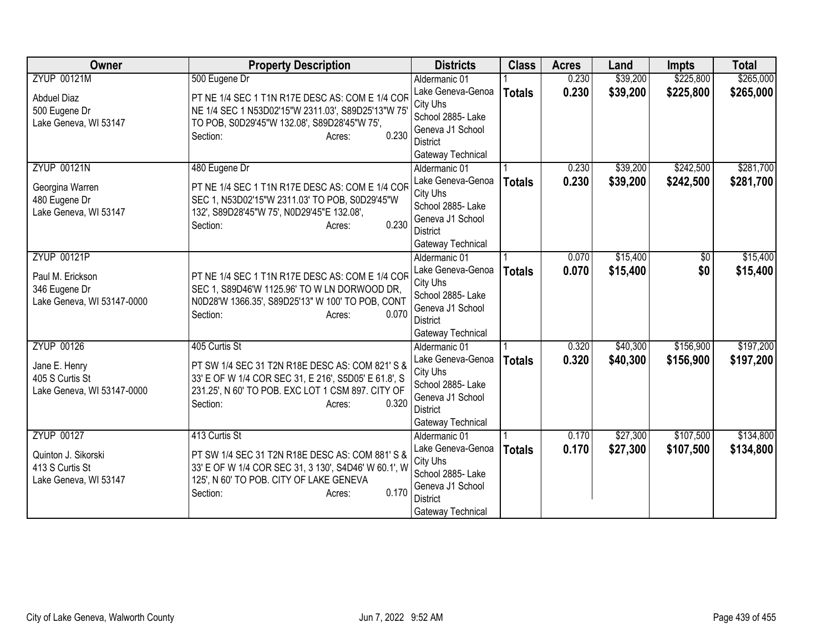| Owner                      | <b>Property Description</b>                                | <b>Districts</b>                    | <b>Class</b>  | <b>Acres</b> | Land     | <b>Impts</b> | <b>Total</b> |
|----------------------------|------------------------------------------------------------|-------------------------------------|---------------|--------------|----------|--------------|--------------|
| <b>ZYUP 00121M</b>         | 500 Eugene Dr                                              | Aldermanic 01                       |               | 0.230        | \$39,200 | \$225,800    | \$265,000    |
| <b>Abduel Diaz</b>         | PT NE 1/4 SEC 1 T1N R17E DESC AS: COM E 1/4 COF            | Lake Geneva-Genoa                   | <b>Totals</b> | 0.230        | \$39,200 | \$225,800    | \$265,000    |
| 500 Eugene Dr              | NE 1/4 SEC 1 N53D02'15"W 2311.03', S89D25'13"W 75          | City Uhs                            |               |              |          |              |              |
| Lake Geneva, WI 53147      | TO POB, S0D29'45"W 132.08', S89D28'45"W 75',               | School 2885- Lake                   |               |              |          |              |              |
|                            | 0.230<br>Section:<br>Acres:                                | Geneva J1 School<br><b>District</b> |               |              |          |              |              |
|                            |                                                            | Gateway Technical                   |               |              |          |              |              |
| <b>ZYUP 00121N</b>         | 480 Eugene Dr                                              | Aldermanic 01                       |               | 0.230        | \$39,200 | \$242,500    | \$281,700    |
|                            |                                                            | Lake Geneva-Genoa                   | <b>Totals</b> | 0.230        | \$39,200 | \$242,500    | \$281,700    |
| Georgina Warren            | PT NE 1/4 SEC 1 T1N R17E DESC AS: COM E 1/4 COF            | City Uhs                            |               |              |          |              |              |
| 480 Eugene Dr              | SEC 1, N53D02'15"W 2311.03' TO POB, S0D29'45"W             | School 2885- Lake                   |               |              |          |              |              |
| Lake Geneva, WI 53147      | 132', S89D28'45"W 75', N0D29'45"E 132.08',<br>0.230        | Geneva J1 School                    |               |              |          |              |              |
|                            | Section:<br>Acres:                                         | <b>District</b>                     |               |              |          |              |              |
|                            |                                                            | Gateway Technical                   |               |              |          |              |              |
| <b>ZYUP 00121P</b>         |                                                            | Aldermanic 01                       |               | 0.070        | \$15,400 | \$0          | \$15,400     |
| Paul M. Erickson           | PT NE 1/4 SEC 1 T1N R17E DESC AS: COM E 1/4 COR            | Lake Geneva-Genoa                   | <b>Totals</b> | 0.070        | \$15,400 | \$0          | \$15,400     |
| 346 Eugene Dr              | SEC 1, S89D46'W 1125.96' TO W LN DORWOOD DR,               | City Uhs                            |               |              |          |              |              |
| Lake Geneva, WI 53147-0000 | N0D28'W 1366.35', S89D25'13" W 100' TO POB, CONT           | School 2885- Lake                   |               |              |          |              |              |
|                            | 0.070<br>Section:<br>Acres:                                | Geneva J1 School<br>District        |               |              |          |              |              |
|                            |                                                            | Gateway Technical                   |               |              |          |              |              |
| <b>ZYUP 00126</b>          | 405 Curtis St                                              | Aldermanic 01                       |               | 0.320        | \$40,300 | \$156,900    | \$197,200    |
|                            |                                                            | Lake Geneva-Genoa                   | <b>Totals</b> | 0.320        | \$40,300 | \$156,900    | \$197,200    |
| Jane E. Henry              | PT SW 1/4 SEC 31 T2N R18E DESC AS: COM 821' S &            | City Uhs                            |               |              |          |              |              |
| 405 S Curtis St            | 33' E OF W 1/4 COR SEC 31, E 216', S5D05' E 61.8', S       | School 2885- Lake                   |               |              |          |              |              |
| Lake Geneva, WI 53147-0000 | 231.25', N 60' TO POB. EXC LOT 1 CSM 897. CITY OF<br>0.320 | Geneva J1 School                    |               |              |          |              |              |
|                            | Section:<br>Acres:                                         | <b>District</b>                     |               |              |          |              |              |
|                            |                                                            | Gateway Technical                   |               |              |          |              |              |
| <b>ZYUP 00127</b>          | 413 Curtis St                                              | Aldermanic 01                       |               | 0.170        | \$27,300 | \$107,500    | \$134,800    |
| Quinton J. Sikorski        | PT SW 1/4 SEC 31 T2N R18E DESC AS: COM 881' S &            | Lake Geneva-Genoa                   | <b>Totals</b> | 0.170        | \$27,300 | \$107,500    | \$134,800    |
| 413 S Curtis St            | 33' E OF W 1/4 COR SEC 31, 3 130', S4D46' W 60.1', W       | City Uhs                            |               |              |          |              |              |
| Lake Geneva, WI 53147      | 125', N 60' TO POB. CITY OF LAKE GENEVA                    | School 2885- Lake                   |               |              |          |              |              |
|                            | 0.170<br>Section:<br>Acres:                                | Geneva J1 School<br><b>District</b> |               |              |          |              |              |
|                            |                                                            | Gateway Technical                   |               |              |          |              |              |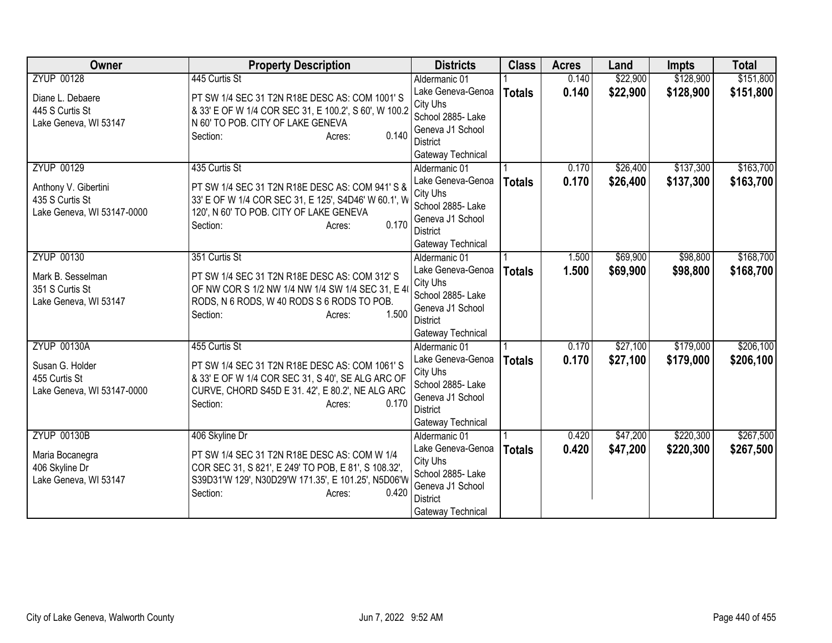| Owner                      | <b>Property Description</b>                           | <b>Districts</b>              | <b>Class</b>  | <b>Acres</b> | Land     | <b>Impts</b> | <b>Total</b> |
|----------------------------|-------------------------------------------------------|-------------------------------|---------------|--------------|----------|--------------|--------------|
| <b>ZYUP 00128</b>          | 445 Curtis St                                         | Aldermanic 01                 |               | 0.140        | \$22,900 | \$128,900    | \$151,800    |
| Diane L. Debaere           | PT SW 1/4 SEC 31 T2N R18E DESC AS: COM 1001'S         | Lake Geneva-Genoa             | <b>Totals</b> | 0.140        | \$22,900 | \$128,900    | \$151,800    |
| 445 S Curtis St            | & 33' E OF W 1/4 COR SEC 31, E 100.2', S 60', W 100.2 | City Uhs                      |               |              |          |              |              |
| Lake Geneva, WI 53147      | N 60' TO POB. CITY OF LAKE GENEVA                     | School 2885- Lake             |               |              |          |              |              |
|                            | 0.140<br>Section:<br>Acres:                           | Geneva J1 School              |               |              |          |              |              |
|                            |                                                       | <b>District</b>               |               |              |          |              |              |
|                            |                                                       | Gateway Technical             |               |              |          |              |              |
| <b>ZYUP 00129</b>          | 435 Curtis St                                         | Aldermanic 01                 |               | 0.170        | \$26,400 | \$137,300    | \$163,700    |
| Anthony V. Gibertini       | PT SW 1/4 SEC 31 T2N R18E DESC AS: COM 941'S &        | Lake Geneva-Genoa             | <b>Totals</b> | 0.170        | \$26,400 | \$137,300    | \$163,700    |
| 435 S Curtis St            | 33' E OF W 1/4 COR SEC 31, E 125', S4D46' W 60.1', W  | City Uhs<br>School 2885- Lake |               |              |          |              |              |
| Lake Geneva, WI 53147-0000 | 120', N 60' TO POB. CITY OF LAKE GENEVA               | Geneva J1 School              |               |              |          |              |              |
|                            | 0.170<br>Section:<br>Acres:                           | <b>District</b>               |               |              |          |              |              |
|                            |                                                       | Gateway Technical             |               |              |          |              |              |
| <b>ZYUP 00130</b>          | 351 Curtis St                                         | Aldermanic 01                 |               | 1.500        | \$69,900 | \$98,800     | \$168,700    |
|                            |                                                       | Lake Geneva-Genoa             | <b>Totals</b> | 1.500        | \$69,900 | \$98,800     | \$168,700    |
| Mark B. Sesselman          | PT SW 1/4 SEC 31 T2N R18E DESC AS: COM 312' S         | City Uhs                      |               |              |          |              |              |
| 351 S Curtis St            | OF NW COR S 1/2 NW 1/4 NW 1/4 SW 1/4 SEC 31, E 4      | School 2885- Lake             |               |              |          |              |              |
| Lake Geneva, WI 53147      | RODS, N 6 RODS, W 40 RODS S 6 RODS TO POB.            | Geneva J1 School              |               |              |          |              |              |
|                            | 1.500<br>Section:<br>Acres:                           | <b>District</b>               |               |              |          |              |              |
|                            |                                                       | Gateway Technical             |               |              |          |              |              |
| <b>ZYUP 00130A</b>         | 455 Curtis St                                         | Aldermanic 01                 |               | 0.170        | \$27,100 | \$179,000    | \$206,100    |
| Susan G. Holder            | PT SW 1/4 SEC 31 T2N R18E DESC AS: COM 1061'S         | Lake Geneva-Genoa             | <b>Totals</b> | 0.170        | \$27,100 | \$179,000    | \$206,100    |
| 455 Curtis St              | & 33' E OF W 1/4 COR SEC 31, S 40', SE ALG ARC OF     | City Uhs                      |               |              |          |              |              |
| Lake Geneva, WI 53147-0000 | CURVE, CHORD S45D E 31. 42', E 80.2', NE ALG ARC      | School 2885- Lake             |               |              |          |              |              |
|                            | 0.170<br>Section:<br>Acres:                           | Geneva J1 School              |               |              |          |              |              |
|                            |                                                       | <b>District</b>               |               |              |          |              |              |
|                            |                                                       | Gateway Technical             |               |              |          |              |              |
| <b>ZYUP 00130B</b>         | 406 Skyline Dr                                        | Aldermanic 01                 |               | 0.420        | \$47,200 | \$220,300    | \$267,500    |
| Maria Bocanegra            | PT SW 1/4 SEC 31 T2N R18E DESC AS: COM W 1/4          | Lake Geneva-Genoa<br>City Uhs | <b>Totals</b> | 0.420        | \$47,200 | \$220,300    | \$267,500    |
| 406 Skyline Dr             | COR SEC 31, S 821', E 249' TO POB, E 81', S 108.32',  | School 2885- Lake             |               |              |          |              |              |
| Lake Geneva, WI 53147      | S39D31'W 129', N30D29'W 171.35', E 101.25', N5D06'W   | Geneva J1 School              |               |              |          |              |              |
|                            | Section:<br>0.420<br>Acres:                           | <b>District</b>               |               |              |          |              |              |
|                            |                                                       | Gateway Technical             |               |              |          |              |              |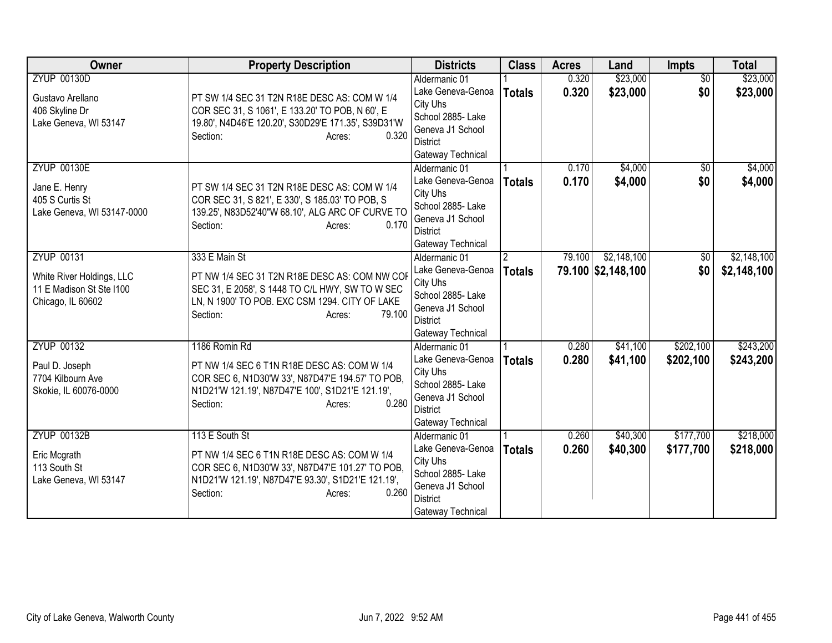| Owner                                                                                           | <b>Property Description</b>                                                                                                                                                                            | <b>Districts</b>                                                                                                                | <b>Class</b>                   | <b>Acres</b>   | Land                              | Impts                  | <b>Total</b>               |
|-------------------------------------------------------------------------------------------------|--------------------------------------------------------------------------------------------------------------------------------------------------------------------------------------------------------|---------------------------------------------------------------------------------------------------------------------------------|--------------------------------|----------------|-----------------------------------|------------------------|----------------------------|
| <b>ZYUP 00130D</b><br>Gustavo Arellano<br>406 Skyline Dr<br>Lake Geneva, WI 53147               | PT SW 1/4 SEC 31 T2N R18E DESC AS: COM W 1/4<br>COR SEC 31, S 1061', E 133.20' TO POB, N 60', E<br>19.80', N4D46'E 120.20', S30D29'E 171.35', S39D31'W<br>0.320<br>Section:<br>Acres:                  | Aldermanic 01<br>Lake Geneva-Genoa<br>City Uhs<br>School 2885- Lake<br>Geneva J1 School<br>District<br>Gateway Technical        | <b>Totals</b>                  | 0.320<br>0.320 | \$23,000<br>\$23,000              | $\overline{50}$<br>\$0 | \$23,000<br>\$23,000       |
| <b>ZYUP 00130E</b><br>Jane E. Henry<br>405 S Curtis St<br>Lake Geneva, WI 53147-0000            | PT SW 1/4 SEC 31 T2N R18E DESC AS: COM W 1/4<br>COR SEC 31, S 821', E 330', S 185.03' TO POB, S<br>139.25', N83D52'40"W 68.10', ALG ARC OF CURVE TO<br>0.170<br>Section:<br>Acres:                     | Aldermanic 01<br>Lake Geneva-Genoa<br>City Uhs<br>School 2885- Lake<br>Geneva J1 School<br><b>District</b><br>Gateway Technical | <b>Totals</b>                  | 0.170<br>0.170 | \$4,000<br>\$4,000                | \$0<br>\$0             | \$4,000<br>\$4,000         |
| <b>ZYUP 00131</b><br>White River Holdings, LLC<br>11 E Madison St Ste I100<br>Chicago, IL 60602 | 333 E Main St<br>PT NW 1/4 SEC 31 T2N R18E DESC AS: COM NW COF<br>SEC 31, E 2058', S 1448 TO C/L HWY, SW TO W SEC<br>LN, N 1900' TO POB. EXC CSM 1294. CITY OF LAKE<br>79.100<br>Section:<br>Acres:    | Aldermanic 01<br>Lake Geneva-Genoa<br>City Uhs<br>School 2885- Lake<br>Geneva J1 School<br>District<br>Gateway Technical        | $\mathcal{P}$<br><b>Totals</b> | 79.100         | \$2,148,100<br>79.100 \$2,148,100 | \$0<br>\$0             | \$2,148,100<br>\$2,148,100 |
| <b>ZYUP 00132</b><br>Paul D. Joseph<br>7704 Kilbourn Ave<br>Skokie, IL 60076-0000               | 1186 Romin Rd<br>PT NW 1/4 SEC 6 T1N R18E DESC AS: COM W 1/4<br>COR SEC 6, N1D30'W 33', N87D47'E 194.57' TO POB,<br>N1D21'W 121.19', N87D47'E 100', S1D21'E 121.19',<br>0.280<br>Section:<br>Acres:    | Aldermanic 01<br>Lake Geneva-Genoa<br>City Uhs<br>School 2885- Lake<br>Geneva J1 School<br><b>District</b><br>Gateway Technical | <b>Totals</b>                  | 0.280<br>0.280 | \$41,100<br>\$41,100              | \$202,100<br>\$202,100 | \$243,200<br>\$243,200     |
| <b>ZYUP 00132B</b><br>Eric Mcgrath<br>113 South St<br>Lake Geneva, WI 53147                     | 113 E South St<br>PT NW 1/4 SEC 6 T1N R18E DESC AS: COM W 1/4<br>COR SEC 6, N1D30'W 33', N87D47'E 101.27' TO POB,<br>N1D21'W 121.19', N87D47'E 93.30', S1D21'E 121.19',<br>0.260<br>Section:<br>Acres: | Aldermanic 01<br>Lake Geneva-Genoa<br>City Uhs<br>School 2885- Lake<br>Geneva J1 School<br><b>District</b><br>Gateway Technical | <b>Totals</b>                  | 0.260<br>0.260 | \$40,300<br>\$40,300              | \$177,700<br>\$177,700 | \$218,000<br>\$218,000     |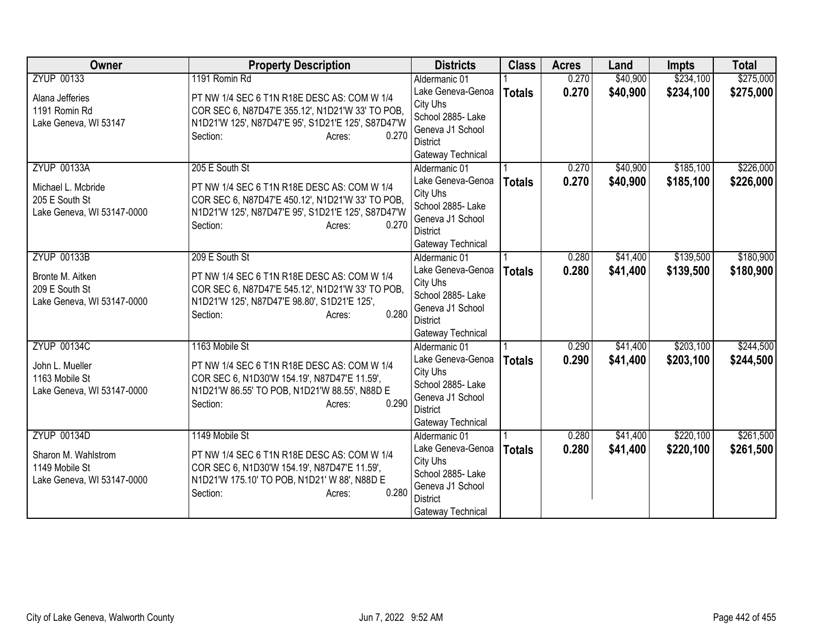| <b>Owner</b>               | <b>Property Description</b>                           | <b>Districts</b>                   | <b>Class</b>  | <b>Acres</b> | Land     | <b>Impts</b> | <b>Total</b> |
|----------------------------|-------------------------------------------------------|------------------------------------|---------------|--------------|----------|--------------|--------------|
| <b>ZYUP 00133</b>          | 1191 Romin Rd                                         | Aldermanic 01                      |               | 0.270        | \$40,900 | \$234,100    | \$275,000    |
| Alana Jefferies            | PT NW 1/4 SEC 6 T1N R18E DESC AS: COM W 1/4           | Lake Geneva-Genoa                  | <b>Totals</b> | 0.270        | \$40,900 | \$234,100    | \$275,000    |
| 1191 Romin Rd              | COR SEC 6, N87D47'E 355.12', N1D21'W 33' TO POB,      | City Uhs                           |               |              |          |              |              |
| Lake Geneva, WI 53147      | N1D21'W 125', N87D47'E 95', S1D21'E 125', S87D47'W    | School 2885- Lake                  |               |              |          |              |              |
|                            | Section:<br>0.270<br>Acres:                           | Geneva J1 School                   |               |              |          |              |              |
|                            |                                                       | District                           |               |              |          |              |              |
| <b>ZYUP 00133A</b>         | 205 E South St                                        | Gateway Technical                  |               | 0.270        | \$40,900 | \$185,100    | \$226,000    |
|                            |                                                       | Aldermanic 01<br>Lake Geneva-Genoa |               |              |          |              |              |
| Michael L. Mcbride         | PT NW 1/4 SEC 6 T1N R18E DESC AS: COM W 1/4           | City Uhs                           | <b>Totals</b> | 0.270        | \$40,900 | \$185,100    | \$226,000    |
| 205 E South St             | COR SEC 6, N87D47'E 450.12', N1D21'W 33' TO POB,      | School 2885- Lake                  |               |              |          |              |              |
| Lake Geneva, WI 53147-0000 | N1D21'W 125', N87D47'E 95', S1D21'E 125', S87D47'W    | Geneva J1 School                   |               |              |          |              |              |
|                            | 0.270<br>Section:<br>Acres:                           | <b>District</b>                    |               |              |          |              |              |
|                            |                                                       | Gateway Technical                  |               |              |          |              |              |
| <b>ZYUP 00133B</b>         | 209 E South St                                        | Aldermanic 01                      |               | 0.280        | \$41,400 | \$139,500    | \$180,900    |
|                            |                                                       | Lake Geneva-Genoa                  | <b>Totals</b> | 0.280        | \$41,400 | \$139,500    | \$180,900    |
| Bronte M. Aitken           | PT NW 1/4 SEC 6 T1N R18E DESC AS: COM W 1/4           | City Uhs                           |               |              |          |              |              |
| 209 E South St             | COR SEC 6, N87D47'E 545.12', N1D21'W 33' TO POB,      | School 2885- Lake                  |               |              |          |              |              |
| Lake Geneva, WI 53147-0000 | N1D21'W 125', N87D47'E 98.80', S1D21'E 125',<br>0.280 | Geneva J1 School                   |               |              |          |              |              |
|                            | Section:<br>Acres:                                    | <b>District</b>                    |               |              |          |              |              |
|                            |                                                       | Gateway Technical                  |               |              |          |              |              |
| <b>ZYUP 00134C</b>         | 1163 Mobile St                                        | Aldermanic 01                      |               | 0.290        | \$41,400 | \$203,100    | \$244,500    |
| John L. Mueller            | PT NW 1/4 SEC 6 T1N R18E DESC AS: COM W 1/4           | Lake Geneva-Genoa                  | <b>Totals</b> | 0.290        | \$41,400 | \$203,100    | \$244,500    |
| 1163 Mobile St             | COR SEC 6, N1D30'W 154.19', N87D47'E 11.59',          | City Uhs                           |               |              |          |              |              |
| Lake Geneva, WI 53147-0000 | N1D21'W 86.55' TO POB, N1D21'W 88.55', N88D E         | School 2885- Lake                  |               |              |          |              |              |
|                            | 0.290<br>Section:<br>Acres:                           | Geneva J1 School                   |               |              |          |              |              |
|                            |                                                       | <b>District</b>                    |               |              |          |              |              |
| <b>ZYUP 00134D</b>         | 1149 Mobile St                                        | Gateway Technical<br>Aldermanic 01 |               | 0.280        | \$41,400 | \$220,100    | \$261,500    |
|                            |                                                       | Lake Geneva-Genoa                  |               | 0.280        | \$41,400 | \$220,100    | \$261,500    |
| Sharon M. Wahlstrom        | PT NW 1/4 SEC 6 T1N R18E DESC AS: COM W 1/4           | City Uhs                           | <b>Totals</b> |              |          |              |              |
| 1149 Mobile St             | COR SEC 6, N1D30'W 154.19', N87D47'E 11.59',          | School 2885- Lake                  |               |              |          |              |              |
| Lake Geneva, WI 53147-0000 | N1D21'W 175.10' TO POB, N1D21' W 88', N88D E          | Geneva J1 School                   |               |              |          |              |              |
|                            | 0.280<br>Section:<br>Acres:                           | <b>District</b>                    |               |              |          |              |              |
|                            |                                                       | Gateway Technical                  |               |              |          |              |              |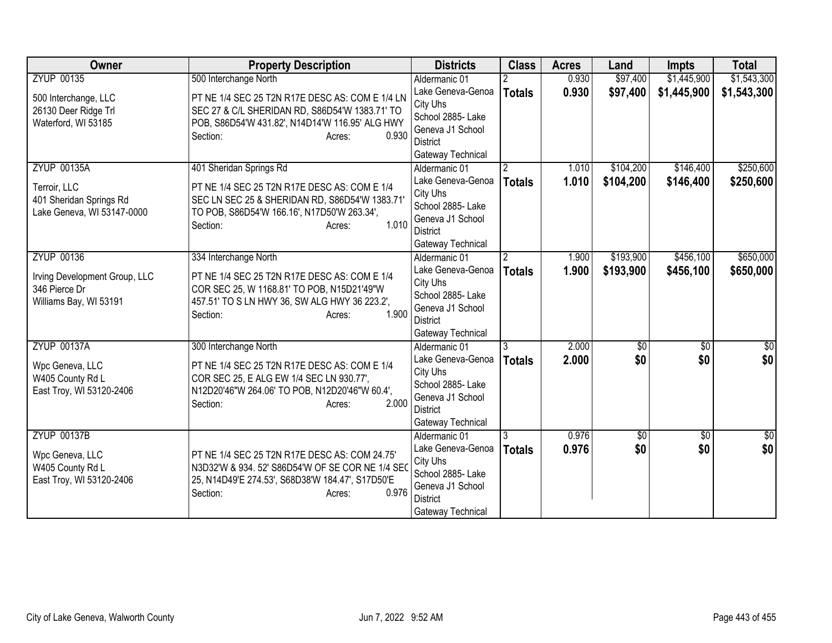| Owner                                                                                         | <b>Property Description</b>                                                                                                                                                                             | <b>Districts</b>                                                                                                                | <b>Class</b>       | <b>Acres</b>   | Land                   | <b>Impts</b>           | <b>Total</b>           |
|-----------------------------------------------------------------------------------------------|---------------------------------------------------------------------------------------------------------------------------------------------------------------------------------------------------------|---------------------------------------------------------------------------------------------------------------------------------|--------------------|----------------|------------------------|------------------------|------------------------|
| <b>ZYUP 00135</b>                                                                             | 500 Interchange North                                                                                                                                                                                   | Aldermanic 01                                                                                                                   |                    | 0.930          | \$97,400               | \$1,445,900            | \$1,543,300            |
| 500 Interchange, LLC<br>26130 Deer Ridge Trl<br>Waterford, WI 53185                           | PT NE 1/4 SEC 25 T2N R17E DESC AS: COM E 1/4 LN<br>SEC 27 & C/L SHERIDAN RD, S86D54'W 1383.71' TO<br>POB, S86D54'W 431.82', N14D14'W 116.95' ALG HWY<br>0.930<br>Section:<br>Acres:                     | Lake Geneva-Genoa<br>City Uhs<br>School 2885- Lake<br>Geneva J1 School<br><b>District</b><br>Gateway Technical                  | <b>Totals</b>      | 0.930          | \$97,400               | \$1,445,900            | \$1,543,300            |
| <b>ZYUP 00135A</b><br>Terroir, LLC<br>401 Sheridan Springs Rd<br>Lake Geneva, WI 53147-0000   | 401 Sheridan Springs Rd<br>PT NE 1/4 SEC 25 T2N R17E DESC AS: COM E 1/4<br>SEC LN SEC 25 & SHERIDAN RD, S86D54'W 1383.71'<br>TO POB, S86D54'W 166.16', N17D50'W 263.34',<br>1.010<br>Section:<br>Acres: | Aldermanic 01<br>Lake Geneva-Genoa<br>City Uhs<br>School 2885- Lake<br>Geneva J1 School<br><b>District</b><br>Gateway Technical | 2<br><b>Totals</b> | 1.010<br>1.010 | \$104,200<br>\$104,200 | \$146,400<br>\$146,400 | \$250,600<br>\$250,600 |
| <b>ZYUP 00136</b><br>Irving Development Group, LLC<br>346 Pierce Dr<br>Williams Bay, WI 53191 | 334 Interchange North<br>PT NE 1/4 SEC 25 T2N R17E DESC AS: COM E 1/4<br>COR SEC 25, W 1168.81' TO POB, N15D21'49"W<br>457.51' TO S LN HWY 36, SW ALG HWY 36 223.2',<br>1.900<br>Section:<br>Acres:     | Aldermanic 01<br>Lake Geneva-Genoa<br>City Uhs<br>School 2885-Lake<br>Geneva J1 School<br><b>District</b><br>Gateway Technical  | <b>Totals</b>      | 1.900<br>1.900 | \$193,900<br>\$193,900 | \$456,100<br>\$456,100 | \$650,000<br>\$650,000 |
| <b>ZYUP 00137A</b><br>Wpc Geneva, LLC<br>W405 County Rd L<br>East Troy, WI 53120-2406         | 300 Interchange North<br>PT NE 1/4 SEC 25 T2N R17E DESC AS: COM E 1/4<br>COR SEC 25, E ALG EW 1/4 SEC LN 930.77',<br>N12D20'46"W 264.06' TO POB, N12D20'46"W 60.4',<br>2.000<br>Section:<br>Acres:      | Aldermanic 01<br>Lake Geneva-Genoa<br>City Uhs<br>School 2885- Lake<br>Geneva J1 School<br><b>District</b><br>Gateway Technical | 3<br><b>Totals</b> | 2.000<br>2.000 | $\sqrt{50}$<br>\$0     | $\overline{50}$<br>\$0 | \$0<br>\$0             |
| <b>ZYUP 00137B</b><br>Wpc Geneva, LLC<br>W405 County Rd L<br>East Troy, WI 53120-2406         | PT NE 1/4 SEC 25 T2N R17E DESC AS: COM 24.75'<br>N3D32'W & 934. 52' S86D54'W OF SE COR NE 1/4 SE0<br>25, N14D49'E 274.53', S68D38'W 184.47', S17D50'E<br>0.976<br>Section:<br>Acres:                    | Aldermanic 01<br>Lake Geneva-Genoa<br>City Uhs<br>School 2885- Lake<br>Geneva J1 School<br><b>District</b><br>Gateway Technical | <b>Totals</b>      | 0.976<br>0.976 | $\sqrt{6}$<br>\$0      | $\overline{30}$<br>\$0 | $\frac{6}{3}$<br>\$0   |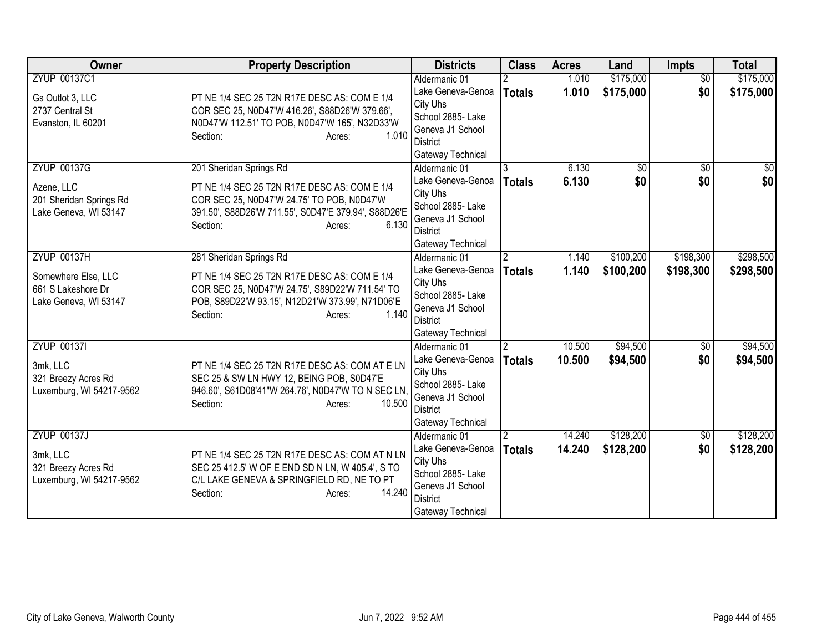| Owner                                                                                    | <b>Property Description</b>                                                                                                                                                                                   | <b>Districts</b>                                                                                                                | <b>Class</b>                   | <b>Acres</b>     | Land                   | <b>Impts</b>           | <b>Total</b>            |
|------------------------------------------------------------------------------------------|---------------------------------------------------------------------------------------------------------------------------------------------------------------------------------------------------------------|---------------------------------------------------------------------------------------------------------------------------------|--------------------------------|------------------|------------------------|------------------------|-------------------------|
| ZYUP 00137C1<br>Gs Outlot 3, LLC<br>2737 Central St<br>Evanston, IL 60201                | PT NE 1/4 SEC 25 T2N R17E DESC AS: COM E 1/4<br>COR SEC 25, N0D47'W 416.26', S88D26'W 379.66',<br>N0D47'W 112.51' TO POB, N0D47'W 165', N32D33'W<br>1.010<br>Section:<br>Acres:                               | Aldermanic 01<br>Lake Geneva-Genoa<br>City Uhs<br>School 2885-Lake<br>Geneva J1 School<br><b>District</b><br>Gateway Technical  | <b>Totals</b>                  | 1.010<br>1.010   | \$175,000<br>\$175,000 | $\overline{50}$<br>\$0 | \$175,000<br>\$175,000  |
| <b>ZYUP 00137G</b><br>Azene, LLC<br>201 Sheridan Springs Rd<br>Lake Geneva, WI 53147     | 201 Sheridan Springs Rd<br>PT NE 1/4 SEC 25 T2N R17E DESC AS: COM E 1/4<br>COR SEC 25, N0D47'W 24.75' TO POB, N0D47'W<br>391.50', S88D26'W 711.55', S0D47'E 379.94', S88D26'E<br>6.130<br>Section:<br>Acres:  | Aldermanic 01<br>Lake Geneva-Genoa<br>City Uhs<br>School 2885- Lake<br>Geneva J1 School<br>District<br>Gateway Technical        | 3<br><b>Totals</b>             | 6.130<br>6.130   | \$0<br>\$0             | $\overline{50}$<br>\$0 | $\overline{\$0}$<br>\$0 |
| <b>ZYUP 00137H</b><br>Somewhere Else, LLC<br>661 S Lakeshore Dr<br>Lake Geneva, WI 53147 | 281 Sheridan Springs Rd<br>PT NE 1/4 SEC 25 T2N R17E DESC AS: COM E 1/4<br>COR SEC 25, N0D47'W 24.75', S89D22'W 711.54' TO<br>POB, S89D22'W 93.15', N12D21'W 373.99', N71D06'E<br>1.140<br>Section:<br>Acres: | Aldermanic 01<br>Lake Geneva-Genoa<br>City Uhs<br>School 2885- Lake<br>Geneva J1 School<br>District<br>Gateway Technical        | $\mathcal{P}$<br><b>Totals</b> | 1.140<br>1.140   | \$100,200<br>\$100,200 | \$198,300<br>\$198,300 | \$298,500<br>\$298,500  |
| <b>ZYUP 001371</b><br>3mk, LLC<br>321 Breezy Acres Rd<br>Luxemburg, WI 54217-9562        | PT NE 1/4 SEC 25 T2N R17E DESC AS: COM AT E LN<br>SEC 25 & SW LN HWY 12, BEING POB, S0D47'E<br>946.60', S61D08'41"W 264.76', N0D47'W TO N SEC LN,<br>10.500<br>Section:<br>Acres:                             | Aldermanic 01<br>Lake Geneva-Genoa<br>City Uhs<br>School 2885- Lake<br>Geneva J1 School<br><b>District</b><br>Gateway Technical | <b>Totals</b>                  | 10.500<br>10.500 | \$94,500<br>\$94,500   | \$0<br>\$0             | \$94,500<br>\$94,500    |
| <b>ZYUP 00137J</b><br>3mk, LLC<br>321 Breezy Acres Rd<br>Luxemburg, WI 54217-9562        | PT NE 1/4 SEC 25 T2N R17E DESC AS: COM AT N LN<br>SEC 25 412.5' W OF E END SD N LN, W 405.4', S TO<br>C/L LAKE GENEVA & SPRINGFIELD RD, NE TO PT<br>14.240<br>Section:<br>Acres:                              | Aldermanic 01<br>Lake Geneva-Genoa<br>City Uhs<br>School 2885- Lake<br>Geneva J1 School<br><b>District</b><br>Gateway Technical | <b>Totals</b>                  | 14.240<br>14.240 | \$128,200<br>\$128,200 | $\overline{50}$<br>\$0 | \$128,200<br>\$128,200  |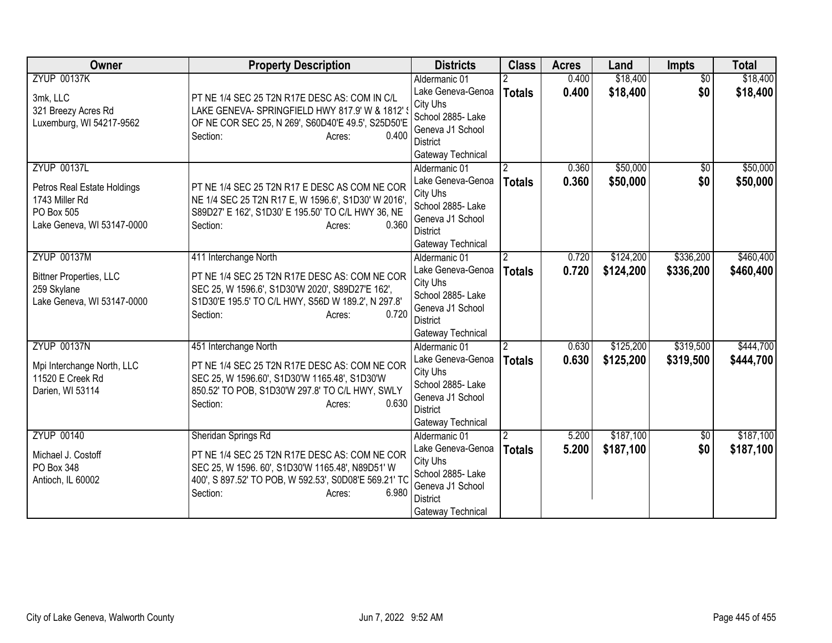| <b>Owner</b>                                                                                                    | <b>Property Description</b>                                                                                                                                                                                      | <b>Districts</b>                                                                                                                | <b>Class</b>                    | <b>Acres</b>   | Land                   | <b>Impts</b>           | <b>Total</b>           |
|-----------------------------------------------------------------------------------------------------------------|------------------------------------------------------------------------------------------------------------------------------------------------------------------------------------------------------------------|---------------------------------------------------------------------------------------------------------------------------------|---------------------------------|----------------|------------------------|------------------------|------------------------|
| <b>ZYUP 00137K</b><br>3mk, LLC<br>321 Breezy Acres Rd<br>Luxemburg, WI 54217-9562                               | PT NE 1/4 SEC 25 T2N R17E DESC AS: COM IN C/L<br>LAKE GENEVA-SPRINGFIELD HWY 817.9' W & 1812'<br>OF NE COR SEC 25, N 269', S60D40'E 49.5', S25D50'E<br>0.400<br>Section:<br>Acres:                               | Aldermanic 01<br>Lake Geneva-Genoa<br>City Uhs<br>School 2885- Lake<br>Geneva J1 School<br><b>District</b><br>Gateway Technical | <b>Totals</b>                   | 0.400<br>0.400 | \$18,400<br>\$18,400   | $\overline{30}$<br>\$0 | \$18,400<br>\$18,400   |
| <b>ZYUP 00137L</b><br>Petros Real Estate Holdings<br>1743 Miller Rd<br>PO Box 505<br>Lake Geneva, WI 53147-0000 | PT NE 1/4 SEC 25 T2N R17 E DESC AS COM NE COR<br>NE 1/4 SEC 25 T2N R17 E, W 1596.6', S1D30' W 2016',<br>S89D27' E 162', S1D30' E 195.50' TO C/L HWY 36, NE<br>0.360<br>Section:<br>Acres:                        | Aldermanic 01<br>Lake Geneva-Genoa<br>City Uhs<br>School 2885- Lake<br>Geneva J1 School<br><b>District</b><br>Gateway Technical | $\overline{2}$<br><b>Totals</b> | 0.360<br>0.360 | \$50,000<br>\$50,000   | $\sqrt{6}$<br>\$0      | \$50,000<br>\$50,000   |
| <b>ZYUP 00137M</b><br><b>Bittner Properties, LLC</b><br>259 Skylane<br>Lake Geneva, WI 53147-0000               | 411 Interchange North<br>PT NE 1/4 SEC 25 T2N R17E DESC AS: COM NE COR<br>SEC 25, W 1596.6', S1D30'W 2020', S89D27'E 162',<br>S1D30'E 195.5' TO C/L HWY, S56D W 189.2', N 297.8'<br>0.720<br>Section:<br>Acres:  | Aldermanic 01<br>Lake Geneva-Genoa<br>City Uhs<br>School 2885- Lake<br>Geneva J1 School<br><b>District</b><br>Gateway Technical | $\overline{2}$<br><b>Totals</b> | 0.720<br>0.720 | \$124,200<br>\$124,200 | \$336,200<br>\$336,200 | \$460,400<br>\$460,400 |
| <b>ZYUP 00137N</b><br>Mpi Interchange North, LLC<br>11520 E Creek Rd<br>Darien, WI 53114                        | 451 Interchange North<br>PT NE 1/4 SEC 25 T2N R17E DESC AS: COM NE COR<br>SEC 25, W 1596.60', S1D30'W 1165.48', S1D30'W<br>850.52' TO POB, S1D30'W 297.8' TO C/L HWY, SWLY<br>0.630<br>Section:<br>Acres:        | Aldermanic 01<br>Lake Geneva-Genoa<br>City Uhs<br>School 2885- Lake<br>Geneva J1 School<br><b>District</b><br>Gateway Technical | $\overline{2}$<br><b>Totals</b> | 0.630<br>0.630 | \$125,200<br>\$125,200 | \$319,500<br>\$319,500 | \$444,700<br>\$444,700 |
| <b>ZYUP 00140</b><br>Michael J. Costoff<br>PO Box 348<br>Antioch, IL 60002                                      | Sheridan Springs Rd<br>PT NE 1/4 SEC 25 T2N R17E DESC AS: COM NE COR<br>SEC 25, W 1596. 60', S1D30'W 1165.48', N89D51' W<br>400', S 897.52' TO POB, W 592.53', S0D08'E 569.21' TC<br>6.980<br>Section:<br>Acres: | Aldermanic 01<br>Lake Geneva-Genoa<br>City Uhs<br>School 2885- Lake<br>Geneva J1 School<br>District<br>Gateway Technical        | <b>Totals</b>                   | 5.200<br>5.200 | \$187,100<br>\$187,100 | $\overline{50}$<br>\$0 | \$187,100<br>\$187,100 |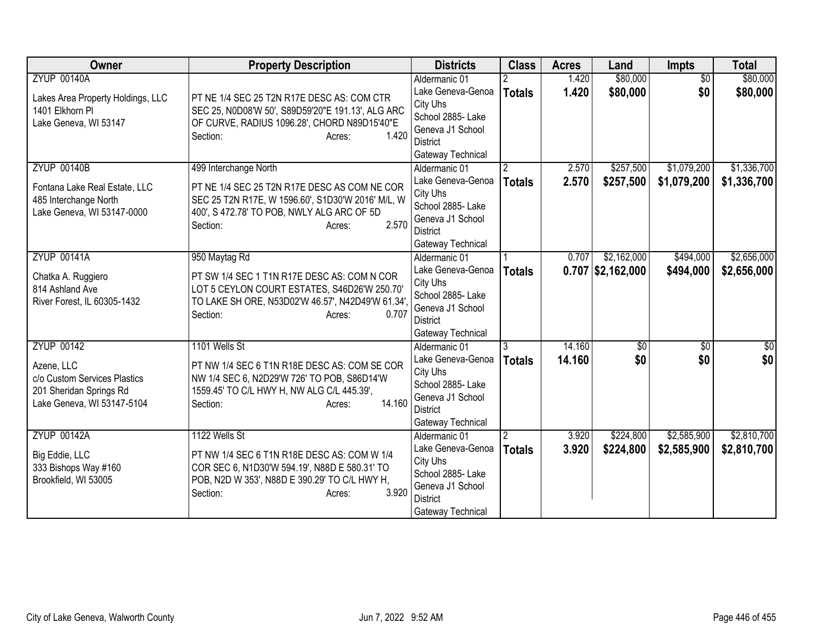| <b>Owner</b>                                                                                                             | <b>Property Description</b>                                                                                                                                                                             | <b>Districts</b>                                                                                                                | <b>Class</b>                    | <b>Acres</b>     | Land                               | <b>Impts</b>               | <b>Total</b>               |
|--------------------------------------------------------------------------------------------------------------------------|---------------------------------------------------------------------------------------------------------------------------------------------------------------------------------------------------------|---------------------------------------------------------------------------------------------------------------------------------|---------------------------------|------------------|------------------------------------|----------------------------|----------------------------|
| <b>ZYUP 00140A</b><br>Lakes Area Property Holdings, LLC<br>1401 Elkhorn Pl<br>Lake Geneva, WI 53147                      | PT NE 1/4 SEC 25 T2N R17E DESC AS: COM CTR<br>SEC 25, N0D08'W 50', S89D59'20"E 191.13', ALG ARC<br>OF CURVE, RADIUS 1096.28', CHORD N89D15'40"E<br>1.420<br>Section:<br>Acres:                          | Aldermanic 01<br>Lake Geneva-Genoa<br>City Uhs<br>School 2885- Lake<br>Geneva J1 School<br>District<br>Gateway Technical        | <b>Totals</b>                   | 1.420<br>1.420   | \$80,000<br>\$80,000               | $\overline{30}$<br>\$0     | \$80,000<br>\$80,000       |
| <b>ZYUP 00140B</b><br>Fontana Lake Real Estate, LLC<br>485 Interchange North<br>Lake Geneva, WI 53147-0000               | 499 Interchange North<br>PT NE 1/4 SEC 25 T2N R17E DESC AS COM NE COR<br>SEC 25 T2N R17E, W 1596.60', S1D30'W 2016' M/L, W<br>400', S 472.78' TO POB, NWLY ALG ARC OF 5D<br>2.570<br>Section:<br>Acres: | Aldermanic 01<br>Lake Geneva-Genoa<br>City Uhs<br>School 2885- Lake<br>Geneva J1 School<br><b>District</b><br>Gateway Technical | $\overline{2}$<br><b>Totals</b> | 2.570<br>2.570   | \$257,500<br>\$257,500             | \$1,079,200<br>\$1,079,200 | \$1,336,700<br>\$1,336,700 |
| <b>ZYUP 00141A</b><br>Chatka A. Ruggiero<br>814 Ashland Ave<br>River Forest, IL 60305-1432                               | 950 Maytag Rd<br>PT SW 1/4 SEC 1 T1N R17E DESC AS: COM N COR<br>LOT 5 CEYLON COURT ESTATES, S46D26'W 250.70'<br>TO LAKE SH ORE, N53D02'W 46.57', N42D49'W 61.34',<br>0.707<br>Section:<br>Acres:        | Aldermanic 01<br>Lake Geneva-Genoa<br>City Uhs<br>School 2885- Lake<br>Geneva J1 School<br><b>District</b><br>Gateway Technical | <b>Totals</b>                   | 0.707            | \$2,162,000<br>$0.707$ \$2,162,000 | \$494,000<br>\$494,000     | \$2,656,000<br>\$2,656,000 |
| <b>ZYUP 00142</b><br>Azene, LLC<br>c/o Custom Services Plastics<br>201 Sheridan Springs Rd<br>Lake Geneva, WI 53147-5104 | 1101 Wells St<br>PT NW 1/4 SEC 6 T1N R18E DESC AS: COM SE COR<br>NW 1/4 SEC 6, N2D29'W 726' TO POB, S86D14'W<br>1559.45' TO C/L HWY H, NW ALG C/L 445.39',<br>14.160<br>Section:<br>Acres:              | Aldermanic 01<br>Lake Geneva-Genoa<br>City Uhs<br>School 2885- Lake<br>Geneva J1 School<br><b>District</b><br>Gateway Technical | 3<br><b>Totals</b>              | 14.160<br>14.160 | $\sqrt{50}$<br>\$0                 | $\overline{50}$<br>\$0     | \$0<br>\$0                 |
| <b>ZYUP 00142A</b><br>Big Eddie, LLC<br>333 Bishops Way #160<br>Brookfield, WI 53005                                     | 1122 Wells St<br>PT NW 1/4 SEC 6 T1N R18E DESC AS: COM W 1/4<br>COR SEC 6, N1D30'W 594.19', N88D E 580.31' TO<br>POB, N2D W 353', N88D E 390.29' TO C/L HWY H,<br>3.920<br>Section:<br>Acres:           | Aldermanic 01<br>Lake Geneva-Genoa<br>City Uhs<br>School 2885-Lake<br>Geneva J1 School<br><b>District</b><br>Gateway Technical  | <b>Totals</b>                   | 3.920<br>3.920   | \$224,800<br>\$224,800             | \$2,585,900<br>\$2,585,900 | \$2,810,700<br>\$2,810,700 |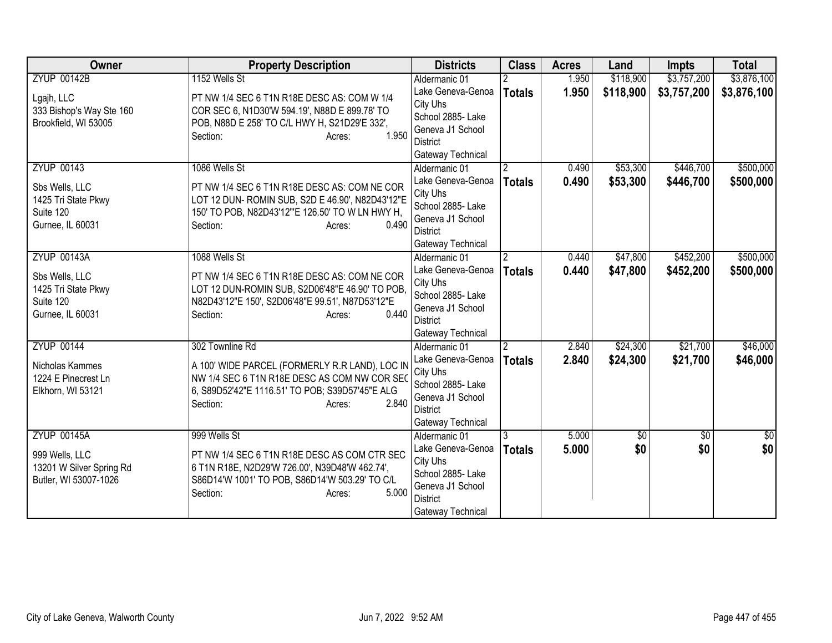| <b>Owner</b>             | <b>Property Description</b>                               | <b>Districts</b>                   | <b>Class</b>   | <b>Acres</b> | Land            | <b>Impts</b>    | <b>Total</b>  |
|--------------------------|-----------------------------------------------------------|------------------------------------|----------------|--------------|-----------------|-----------------|---------------|
| <b>ZYUP 00142B</b>       | 1152 Wells St                                             | Aldermanic 01                      |                | 1.950        | \$118,900       | \$3,757,200     | \$3,876,100   |
| Lgajh, LLC               | PT NW 1/4 SEC 6 T1N R18E DESC AS: COM W 1/4               | Lake Geneva-Genoa                  | <b>Totals</b>  | 1.950        | \$118,900       | \$3,757,200     | \$3,876,100   |
| 333 Bishop's Way Ste 160 | COR SEC 6, N1D30'W 594.19', N88D E 899.78' TO             | City Uhs                           |                |              |                 |                 |               |
| Brookfield, WI 53005     | POB, N88D E 258' TO C/L HWY H, S21D29'E 332',             | School 2885- Lake                  |                |              |                 |                 |               |
|                          | 1.950<br>Section:<br>Acres:                               | Geneva J1 School                   |                |              |                 |                 |               |
|                          |                                                           | <b>District</b>                    |                |              |                 |                 |               |
|                          |                                                           | Gateway Technical                  |                |              |                 |                 |               |
| <b>ZYUP 00143</b>        | 1086 Wells St                                             | Aldermanic 01                      | $\overline{2}$ | 0.490        | \$53,300        | \$446,700       | \$500,000     |
| Sbs Wells, LLC           | PT NW 1/4 SEC 6 T1N R18E DESC AS: COM NE COR              | Lake Geneva-Genoa<br>City Uhs      | <b>Totals</b>  | 0.490        | \$53,300        | \$446,700       | \$500,000     |
| 1425 Tri State Pkwy      | LOT 12 DUN- ROMIN SUB, S2D E 46.90', N82D43'12"E          | School 2885- Lake                  |                |              |                 |                 |               |
| Suite 120                | 150' TO POB, N82D43'12"'E 126.50' TO W LN HWY H,          | Geneva J1 School                   |                |              |                 |                 |               |
| Gurnee, IL 60031         | 0.490<br>Section:<br>Acres:                               | <b>District</b>                    |                |              |                 |                 |               |
|                          |                                                           | Gateway Technical                  |                |              |                 |                 |               |
| <b>ZYUP 00143A</b>       | 1088 Wells St                                             | Aldermanic 01                      | $\overline{2}$ | 0.440        | \$47,800        | \$452,200       | \$500,000     |
|                          |                                                           | Lake Geneva-Genoa                  | <b>Totals</b>  | 0.440        | \$47,800        | \$452,200       | \$500,000     |
| Sbs Wells, LLC           | PT NW 1/4 SEC 6 T1N R18E DESC AS: COM NE COR              | City Uhs                           |                |              |                 |                 |               |
| 1425 Tri State Pkwy      | LOT 12 DUN-ROMIN SUB, S2D06'48"E 46.90' TO POB,           | School 2885- Lake                  |                |              |                 |                 |               |
| Suite 120                | N82D43'12"E 150', S2D06'48"E 99.51', N87D53'12"E<br>0.440 | Geneva J1 School                   |                |              |                 |                 |               |
| Gurnee, IL 60031         | Section:<br>Acres:                                        | <b>District</b>                    |                |              |                 |                 |               |
|                          |                                                           | Gateway Technical                  |                |              |                 |                 |               |
| <b>ZYUP 00144</b>        | 302 Townline Rd                                           | Aldermanic 01                      | $\overline{2}$ | 2.840        | \$24,300        | \$21,700        | \$46,000      |
| Nicholas Kammes          | A 100' WIDE PARCEL (FORMERLY R.R LAND), LOC IN            | Lake Geneva-Genoa                  | <b>Totals</b>  | 2.840        | \$24,300        | \$21,700        | \$46,000      |
| 1224 E Pinecrest Ln      | NW 1/4 SEC 6 T1N R18E DESC AS COM NW COR SEC              | City Uhs                           |                |              |                 |                 |               |
| Elkhorn, WI 53121        | 6, S89D52'42"E 1116.51' TO POB; S39D57'45"E ALG           | School 2885- Lake                  |                |              |                 |                 |               |
|                          | 2.840<br>Section:<br>Acres:                               | Geneva J1 School                   |                |              |                 |                 |               |
|                          |                                                           | <b>District</b>                    |                |              |                 |                 |               |
| <b>ZYUP 00145A</b>       | 999 Wells St                                              | Gateway Technical<br>Aldermanic 01 |                | 5.000        | $\overline{50}$ | $\overline{30}$ | $\frac{1}{6}$ |
|                          |                                                           | Lake Geneva-Genoa                  |                | 5.000        | \$0             | \$0             | \$0           |
| 999 Wells, LLC           | PT NW 1/4 SEC 6 T1N R18E DESC AS COM CTR SEC              | City Uhs                           | <b>Totals</b>  |              |                 |                 |               |
| 13201 W Silver Spring Rd | 6 T1N R18E, N2D29'W 726.00', N39D48'W 462.74',            | School 2885- Lake                  |                |              |                 |                 |               |
| Butler, WI 53007-1026    | S86D14'W 1001' TO POB, S86D14'W 503.29' TO C/L            | Geneva J1 School                   |                |              |                 |                 |               |
|                          | 5.000<br>Section:<br>Acres:                               | <b>District</b>                    |                |              |                 |                 |               |
|                          |                                                           | Gateway Technical                  |                |              |                 |                 |               |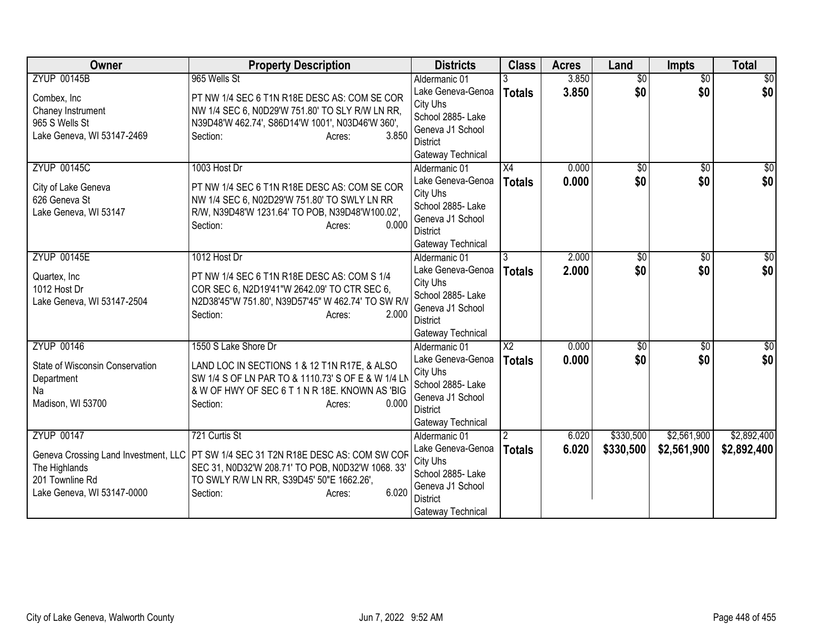| <b>Owner</b>                         | <b>Property Description</b>                                                                          | <b>Districts</b>                    | <b>Class</b>    | <b>Acres</b> | Land            | <b>Impts</b>    | <b>Total</b> |
|--------------------------------------|------------------------------------------------------------------------------------------------------|-------------------------------------|-----------------|--------------|-----------------|-----------------|--------------|
| <b>ZYUP 00145B</b>                   | 965 Wells St                                                                                         | Aldermanic 01                       |                 | 3.850        | $\overline{50}$ | $\overline{50}$ | \$0          |
| Combex, Inc                          | PT NW 1/4 SEC 6 T1N R18E DESC AS: COM SE COR                                                         | Lake Geneva-Genoa                   | <b>Totals</b>   | 3.850        | \$0             | \$0             | \$0          |
| Chaney Instrument                    | NW 1/4 SEC 6, N0D29'W 751.80' TO SLY R/W LN RR,                                                      | City Uhs                            |                 |              |                 |                 |              |
| 965 S Wells St                       | N39D48'W 462.74', S86D14'W 1001', N03D46'W 360',                                                     | School 2885- Lake                   |                 |              |                 |                 |              |
| Lake Geneva, WI 53147-2469           | 3.850<br>Section:<br>Acres:                                                                          | Geneva J1 School<br><b>District</b> |                 |              |                 |                 |              |
|                                      |                                                                                                      | Gateway Technical                   |                 |              |                 |                 |              |
| <b>ZYUP 00145C</b>                   | 1003 Host Dr                                                                                         | Aldermanic 01                       | $\overline{X4}$ | 0.000        | $\sqrt{$0}$     | \$0             | \$0          |
|                                      |                                                                                                      | Lake Geneva-Genoa                   | <b>Totals</b>   | 0.000        | \$0             | \$0             | \$0          |
| City of Lake Geneva                  | PT NW 1/4 SEC 6 T1N R18E DESC AS: COM SE COR                                                         | City Uhs                            |                 |              |                 |                 |              |
| 626 Geneva St                        | NW 1/4 SEC 6, N02D29'W 751.80' TO SWLY LN RR                                                         | School 2885- Lake                   |                 |              |                 |                 |              |
| Lake Geneva, WI 53147                | R/W, N39D48'W 1231.64' TO POB, N39D48'W100.02',<br>0.000                                             | Geneva J1 School                    |                 |              |                 |                 |              |
|                                      | Section:<br>Acres:                                                                                   | <b>District</b>                     |                 |              |                 |                 |              |
|                                      |                                                                                                      | Gateway Technical                   |                 |              |                 |                 |              |
| <b>ZYUP 00145E</b>                   | 1012 Host Dr                                                                                         | Aldermanic 01                       |                 | 2.000        | \$0             | \$0             | \$0          |
| Quartex, Inc.                        | PT NW 1/4 SEC 6 T1N R18E DESC AS: COM S 1/4                                                          | Lake Geneva-Genoa                   | <b>Totals</b>   | 2.000        | \$0             | \$0             | \$0          |
| 1012 Host Dr                         | COR SEC 6, N2D19'41"W 2642.09' TO CTR SEC 6,                                                         | City Uhs                            |                 |              |                 |                 |              |
| Lake Geneva, WI 53147-2504           | N2D38'45"W 751.80', N39D57'45" W 462.74' TO SW R/V                                                   | School 2885- Lake                   |                 |              |                 |                 |              |
|                                      | 2.000<br>Section:<br>Acres:                                                                          | Geneva J1 School<br><b>District</b> |                 |              |                 |                 |              |
|                                      |                                                                                                      | Gateway Technical                   |                 |              |                 |                 |              |
| <b>ZYUP 00146</b>                    | 1550 S Lake Shore Dr                                                                                 | Aldermanic 01                       | $\overline{X2}$ | 0.000        | $\overline{50}$ | $\overline{30}$ | \$0          |
|                                      |                                                                                                      | Lake Geneva-Genoa                   | <b>Totals</b>   | 0.000        | \$0             | \$0             | \$0          |
| State of Wisconsin Conservation      | LAND LOC IN SECTIONS 1 & 12 T1N R17E, & ALSO                                                         | City Uhs                            |                 |              |                 |                 |              |
| Department<br>Na                     | SW 1/4 S OF LN PAR TO & 1110.73' S OF E & W 1/4 LN<br>& W OF HWY OF SEC 6 T 1 N R 18E. KNOWN AS 'BIG | School 2885- Lake                   |                 |              |                 |                 |              |
| Madison, WI 53700                    | 0.000<br>Section:<br>Acres:                                                                          | Geneva J1 School                    |                 |              |                 |                 |              |
|                                      |                                                                                                      | <b>District</b>                     |                 |              |                 |                 |              |
|                                      |                                                                                                      | Gateway Technical                   |                 |              |                 |                 |              |
| <b>ZYUP 00147</b>                    | 721 Curtis St                                                                                        | Aldermanic 01                       |                 | 6.020        | \$330,500       | \$2,561,900     | \$2,892,400  |
| Geneva Crossing Land Investment, LLC | PT SW 1/4 SEC 31 T2N R18E DESC AS: COM SW COF                                                        | Lake Geneva-Genoa                   | <b>Totals</b>   | 6.020        | \$330,500       | \$2,561,900     | \$2,892,400  |
| The Highlands                        | SEC 31, N0D32'W 208.71' TO POB, N0D32'W 1068. 33'                                                    | City Uhs<br>School 2885- Lake       |                 |              |                 |                 |              |
| 201 Townline Rd                      | TO SWLY R/W LN RR, S39D45' 50"E 1662.26',                                                            | Geneva J1 School                    |                 |              |                 |                 |              |
| Lake Geneva, WI 53147-0000           | 6.020<br>Section:<br>Acres:                                                                          | District                            |                 |              |                 |                 |              |
|                                      |                                                                                                      | Gateway Technical                   |                 |              |                 |                 |              |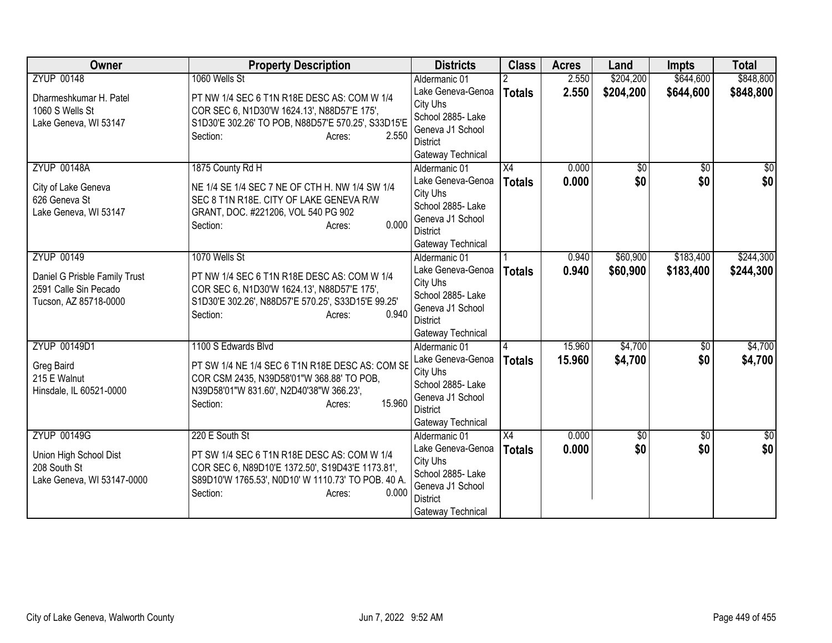| Owner                                                                           | <b>Property Description</b>                                                                                                                                                          | <b>Districts</b>                                                                                               | <b>Class</b>  | <b>Acres</b> | Land        | <b>Impts</b>    | <b>Total</b>     |
|---------------------------------------------------------------------------------|--------------------------------------------------------------------------------------------------------------------------------------------------------------------------------------|----------------------------------------------------------------------------------------------------------------|---------------|--------------|-------------|-----------------|------------------|
| <b>ZYUP 00148</b>                                                               | 1060 Wells St                                                                                                                                                                        | Aldermanic 01                                                                                                  |               | 2.550        | \$204,200   | \$644,600       | \$848,800        |
| Dharmeshkumar H. Patel<br>1060 S Wells St<br>Lake Geneva, WI 53147              | PT NW 1/4 SEC 6 T1N R18E DESC AS: COM W 1/4<br>COR SEC 6, N1D30'W 1624.13', N88D57'E 175',<br>S1D30'E 302.26' TO POB, N88D57'E 570.25', S33D15'E<br>2.550<br>Section:<br>Acres:      | Lake Geneva-Genoa<br>City Uhs<br>School 2885- Lake<br>Geneva J1 School<br><b>District</b><br>Gateway Technical | <b>Totals</b> | 2.550        | \$204,200   | \$644,600       | \$848,800        |
| <b>ZYUP 00148A</b>                                                              | 1875 County Rd H                                                                                                                                                                     | Aldermanic 01                                                                                                  | X4            | 0.000        | $\sqrt{$0}$ | $\overline{50}$ | $\overline{\$0}$ |
| City of Lake Geneva<br>626 Geneva St<br>Lake Geneva, WI 53147                   | NE 1/4 SE 1/4 SEC 7 NE OF CTH H. NW 1/4 SW 1/4<br>SEC 8 T1N R18E. CITY OF LAKE GENEVA R/W<br>GRANT, DOC. #221206, VOL 540 PG 902<br>0.000<br>Section:<br>Acres:                      | Lake Geneva-Genoa<br>City Uhs<br>School 2885- Lake<br>Geneva J1 School<br><b>District</b><br>Gateway Technical | <b>Totals</b> | 0.000        | \$0         | \$0             | \$0              |
| <b>ZYUP 00149</b>                                                               | 1070 Wells St                                                                                                                                                                        | Aldermanic 01                                                                                                  |               | 0.940        | \$60,900    | \$183,400       | \$244,300        |
| Daniel G Prisble Family Trust<br>2591 Calle Sin Pecado<br>Tucson, AZ 85718-0000 | PT NW 1/4 SEC 6 T1N R18E DESC AS: COM W 1/4<br>COR SEC 6, N1D30'W 1624.13', N88D57'E 175',<br>S1D30'E 302.26', N88D57'E 570.25', S33D15'E 99.25'<br>0.940<br>Section:<br>Acres:      | Lake Geneva-Genoa<br>City Uhs<br>School 2885- Lake<br>Geneva J1 School<br><b>District</b><br>Gateway Technical | <b>Totals</b> | 0.940        | \$60,900    | \$183,400       | \$244,300        |
| ZYUP 00149D1                                                                    | 1100 S Edwards Blvd                                                                                                                                                                  | Aldermanic 01                                                                                                  |               | 15.960       | \$4,700     | $\overline{50}$ | \$4,700          |
| Greg Baird<br>215 E Walnut<br>Hinsdale, IL 60521-0000                           | PT SW 1/4 NE 1/4 SEC 6 T1N R18E DESC AS: COM SE<br>COR CSM 2435, N39D58'01"W 368.88' TO POB,<br>N39D58'01"W 831.60', N2D40'38"W 366.23',<br>15.960<br>Section:<br>Acres:             | Lake Geneva-Genoa<br>City Uhs<br>School 2885- Lake<br>Geneva J1 School<br><b>District</b><br>Gateway Technical | <b>Totals</b> | 15.960       | \$4,700     | \$0             | \$4,700          |
| <b>ZYUP 00149G</b>                                                              | 220 E South St                                                                                                                                                                       | Aldermanic 01                                                                                                  | X4            | 0.000        | $\sqrt{$0}$ | $\overline{30}$ | $\overline{\$0}$ |
| Union High School Dist<br>208 South St<br>Lake Geneva, WI 53147-0000            | PT SW 1/4 SEC 6 T1N R18E DESC AS: COM W 1/4<br>COR SEC 6, N89D10'E 1372.50', S19D43'E 1173.81',<br>S89D10'W 1765.53', N0D10' W 1110.73' TO POB. 40 A.<br>0.000<br>Section:<br>Acres: | Lake Geneva-Genoa<br>City Uhs<br>School 2885- Lake<br>Geneva J1 School<br><b>District</b><br>Gateway Technical | <b>Totals</b> | 0.000        | \$0         | \$0             | \$0              |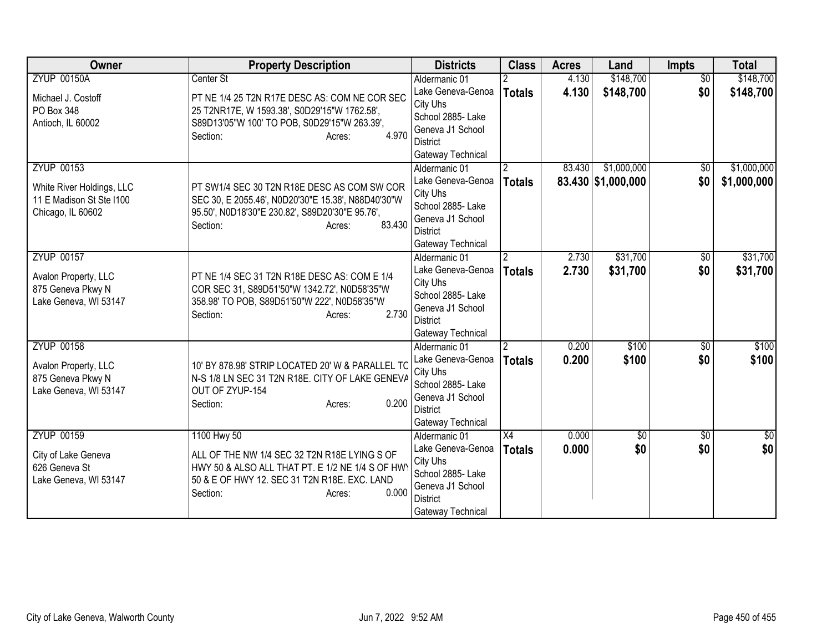| <b>Owner</b>              | <b>Property Description</b>                           | <b>Districts</b>                     | <b>Class</b>    | <b>Acres</b> | Land               | <b>Impts</b>    | <b>Total</b>  |
|---------------------------|-------------------------------------------------------|--------------------------------------|-----------------|--------------|--------------------|-----------------|---------------|
| <b>ZYUP 00150A</b>        | Center St                                             | Aldermanic 01                        |                 | 4.130        | \$148,700          | $\overline{50}$ | \$148,700     |
| Michael J. Costoff        | PT NE 1/4 25 T2N R17E DESC AS: COM NE COR SEC         | Lake Geneva-Genoa                    | <b>Totals</b>   | 4.130        | \$148,700          | \$0             | \$148,700     |
| PO Box 348                | 25 T2NR17E, W 1593.38', S0D29'15"W 1762.58',          | City Uhs                             |                 |              |                    |                 |               |
| Antioch, IL 60002         | S89D13'05"W 100' TO POB, S0D29'15"W 263.39',          | School 2885- Lake                    |                 |              |                    |                 |               |
|                           | 4.970<br>Section:<br>Acres:                           | Geneva J1 School                     |                 |              |                    |                 |               |
|                           |                                                       | District                             |                 |              |                    |                 |               |
| <b>ZYUP 00153</b>         |                                                       | Gateway Technical<br>Aldermanic 01   | 2               | 83.430       | \$1,000,000        |                 | \$1,000,000   |
|                           |                                                       |                                      |                 |              |                    | \$0             |               |
| White River Holdings, LLC | PT SW1/4 SEC 30 T2N R18E DESC AS COM SW COR           | Lake Geneva-Genoa<br>City Uhs        | <b>Totals</b>   |              | 83.430 \$1,000,000 | \$0             | \$1,000,000   |
| 11 E Madison St Ste I100  | SEC 30, E 2055.46', N0D20'30"E 15.38', N88D40'30"W    | School 2885-Lake                     |                 |              |                    |                 |               |
| Chicago, IL 60602         | 95.50', N0D18'30"E 230.82', S89D20'30"E 95.76',       | Geneva J1 School                     |                 |              |                    |                 |               |
|                           | 83.430<br>Section:<br>Acres:                          | <b>District</b>                      |                 |              |                    |                 |               |
|                           |                                                       | Gateway Technical                    |                 |              |                    |                 |               |
| <b>ZYUP 00157</b>         |                                                       | Aldermanic 01                        | $\overline{2}$  | 2.730        | \$31,700           | $\overline{50}$ | \$31,700      |
|                           |                                                       | Lake Geneva-Genoa                    | <b>Totals</b>   | 2.730        | \$31,700           | \$0             | \$31,700      |
| Avalon Property, LLC      | PT NE 1/4 SEC 31 T2N R18E DESC AS: COM E 1/4          | City Uhs                             |                 |              |                    |                 |               |
| 875 Geneva Pkwy N         | COR SEC 31, S89D51'50"W 1342.72', N0D58'35"W          | School 2885-Lake                     |                 |              |                    |                 |               |
| Lake Geneva, WI 53147     | 358.98' TO POB, S89D51'50"W 222', N0D58'35"W<br>2.730 | Geneva J1 School                     |                 |              |                    |                 |               |
|                           | Section:<br>Acres:                                    | <b>District</b>                      |                 |              |                    |                 |               |
|                           |                                                       | Gateway Technical                    |                 |              |                    |                 |               |
| <b>ZYUP 00158</b>         |                                                       | Aldermanic 01                        | $\overline{2}$  | 0.200        | \$100              | $\overline{50}$ | \$100         |
| Avalon Property, LLC      | 10' BY 878.98' STRIP LOCATED 20' W & PARALLEL TC      | Lake Geneva-Genoa                    | <b>Totals</b>   | 0.200        | \$100              | \$0             | \$100         |
| 875 Geneva Pkwy N         | N-S 1/8 LN SEC 31 T2N R18E. CITY OF LAKE GENEVA       | City Uhs                             |                 |              |                    |                 |               |
| Lake Geneva, WI 53147     | OUT OF ZYUP-154                                       | School 2885- Lake                    |                 |              |                    |                 |               |
|                           | 0.200<br>Section:<br>Acres:                           | Geneva J1 School                     |                 |              |                    |                 |               |
|                           |                                                       | <b>District</b><br>Gateway Technical |                 |              |                    |                 |               |
| <b>ZYUP 00159</b>         | 1100 Hwy 50                                           | Aldermanic 01                        | $\overline{X4}$ | 0.000        | $\overline{50}$    | $\overline{50}$ | $\frac{1}{6}$ |
|                           |                                                       | Lake Geneva-Genoa                    |                 | 0.000        | \$0                | \$0             | \$0           |
| City of Lake Geneva       | ALL OF THE NW 1/4 SEC 32 T2N R18E LYING S OF          | City Uhs                             | <b>Totals</b>   |              |                    |                 |               |
| 626 Geneva St             | HWY 50 & ALSO ALL THAT PT. E 1/2 NE 1/4 S OF HW       | School 2885- Lake                    |                 |              |                    |                 |               |
| Lake Geneva, WI 53147     | 50 & E OF HWY 12. SEC 31 T2N R18E. EXC. LAND          | Geneva J1 School                     |                 |              |                    |                 |               |
|                           | 0.000<br>Section:<br>Acres:                           | District                             |                 |              |                    |                 |               |
|                           |                                                       | Gateway Technical                    |                 |              |                    |                 |               |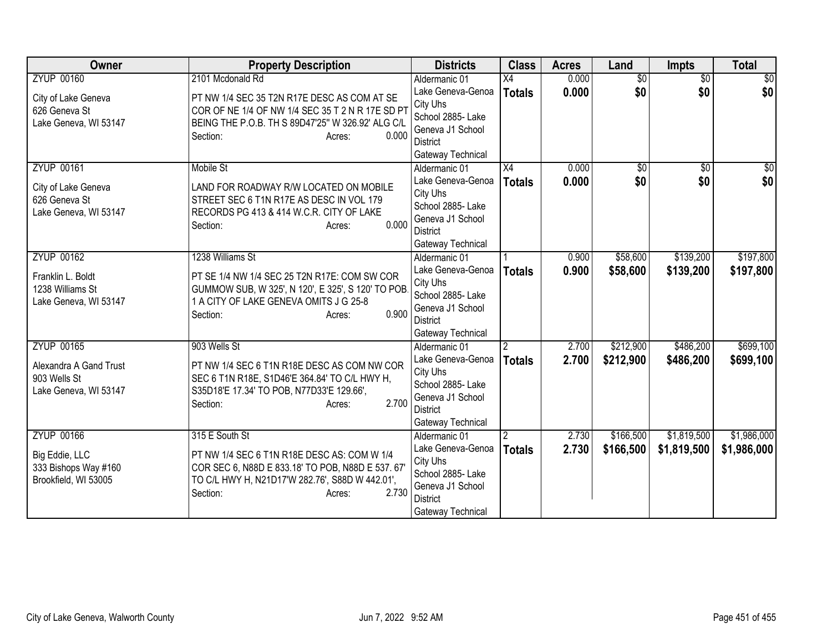| Owner                                 | <b>Property Description</b>                                                                | <b>Districts</b>                      | <b>Class</b>    | <b>Acres</b> | Land            | <b>Impts</b>    | <b>Total</b>    |
|---------------------------------------|--------------------------------------------------------------------------------------------|---------------------------------------|-----------------|--------------|-----------------|-----------------|-----------------|
| <b>ZYUP 00160</b>                     | 2101 Mcdonald Rd                                                                           | Aldermanic 01                         | $\overline{X4}$ | 0.000        | $\overline{50}$ | $\overline{30}$ | $\overline{30}$ |
| City of Lake Geneva                   | PT NW 1/4 SEC 35 T2N R17E DESC AS COM AT SE                                                | Lake Geneva-Genoa                     | <b>Totals</b>   | 0.000        | \$0             | \$0             | \$0             |
| 626 Geneva St                         | COR OF NE 1/4 OF NW 1/4 SEC 35 T 2 N R 17E SD PT                                           | City Uhs                              |                 |              |                 |                 |                 |
| Lake Geneva, WI 53147                 | BEING THE P.O.B. TH S 89D47'25" W 326.92' ALG C/L                                          | School 2885- Lake                     |                 |              |                 |                 |                 |
|                                       | 0.000<br>Section:<br>Acres:                                                                | Geneva J1 School<br>District          |                 |              |                 |                 |                 |
|                                       |                                                                                            | Gateway Technical                     |                 |              |                 |                 |                 |
| <b>ZYUP 00161</b>                     | <b>Mobile St</b>                                                                           | Aldermanic 01                         | $\overline{X4}$ | 0.000        | $\overline{50}$ | $\overline{50}$ | $\sqrt{50}$     |
|                                       |                                                                                            | Lake Geneva-Genoa                     | <b>Totals</b>   | 0.000        | \$0             | \$0             | \$0             |
| City of Lake Geneva                   | LAND FOR ROADWAY R/W LOCATED ON MOBILE                                                     | City Uhs                              |                 |              |                 |                 |                 |
| 626 Geneva St                         | STREET SEC 6 T1N R17E AS DESC IN VOL 179                                                   | School 2885- Lake                     |                 |              |                 |                 |                 |
| Lake Geneva, WI 53147                 | RECORDS PG 413 & 414 W.C.R. CITY OF LAKE                                                   | Geneva J1 School                      |                 |              |                 |                 |                 |
|                                       | 0.000<br>Section:<br>Acres:                                                                | <b>District</b>                       |                 |              |                 |                 |                 |
|                                       |                                                                                            | Gateway Technical                     |                 |              |                 |                 |                 |
| <b>ZYUP 00162</b>                     | 1238 Williams St                                                                           | Aldermanic 01                         |                 | 0.900        | \$58,600        | \$139,200       | \$197,800       |
| Franklin L. Boldt                     | PT SE 1/4 NW 1/4 SEC 25 T2N R17E: COM SW COR                                               | Lake Geneva-Genoa                     | <b>Totals</b>   | 0.900        | \$58,600        | \$139,200       | \$197,800       |
| 1238 Williams St                      | GUMMOW SUB, W 325', N 120', E 325', S 120' TO POB                                          | City Uhs                              |                 |              |                 |                 |                 |
| Lake Geneva, WI 53147                 | 1 A CITY OF LAKE GENEVA OMITS J G 25-8                                                     | School 2885- Lake                     |                 |              |                 |                 |                 |
|                                       | 0.900<br>Section:<br>Acres:                                                                | Geneva J1 School<br><b>District</b>   |                 |              |                 |                 |                 |
|                                       |                                                                                            | Gateway Technical                     |                 |              |                 |                 |                 |
| <b>ZYUP 00165</b>                     | 903 Wells St                                                                               | Aldermanic 01                         | $\overline{2}$  | 2.700        | \$212,900       | \$486,200       | \$699,100       |
|                                       |                                                                                            | Lake Geneva-Genoa                     | <b>Totals</b>   | 2.700        | \$212,900       | \$486,200       | \$699,100       |
| Alexandra A Gand Trust                | PT NW 1/4 SEC 6 T1N R18E DESC AS COM NW COR                                                | City Uhs                              |                 |              |                 |                 |                 |
| 903 Wells St<br>Lake Geneva, WI 53147 | SEC 6 T1N R18E, S1D46'E 364.84' TO C/L HWY H,<br>S35D18'E 17.34' TO POB, N77D33'E 129.66', | School 2885- Lake                     |                 |              |                 |                 |                 |
|                                       | 2.700<br>Section:<br>Acres:                                                                | Geneva J1 School                      |                 |              |                 |                 |                 |
|                                       |                                                                                            | <b>District</b>                       |                 |              |                 |                 |                 |
|                                       |                                                                                            | Gateway Technical                     |                 |              |                 |                 |                 |
| <b>ZYUP 00166</b>                     | 315 E South St                                                                             | Aldermanic 01                         |                 | 2.730        | \$166,500       | \$1,819,500     | \$1,986,000     |
| Big Eddie, LLC                        | PT NW 1/4 SEC 6 T1N R18E DESC AS: COM W 1/4                                                | Lake Geneva-Genoa                     | <b>Totals</b>   | 2.730        | \$166,500       | \$1,819,500     | \$1,986,000     |
| 333 Bishops Way #160                  | COR SEC 6, N88D E 833.18' TO POB, N88D E 537.67'                                           | City Uhs                              |                 |              |                 |                 |                 |
| Brookfield, WI 53005                  | TO C/L HWY H, N21D17'W 282.76', S88D W 442.01',                                            | School 2885- Lake<br>Geneva J1 School |                 |              |                 |                 |                 |
|                                       | 2.730<br>Section:<br>Acres:                                                                | District                              |                 |              |                 |                 |                 |
|                                       |                                                                                            | Gateway Technical                     |                 |              |                 |                 |                 |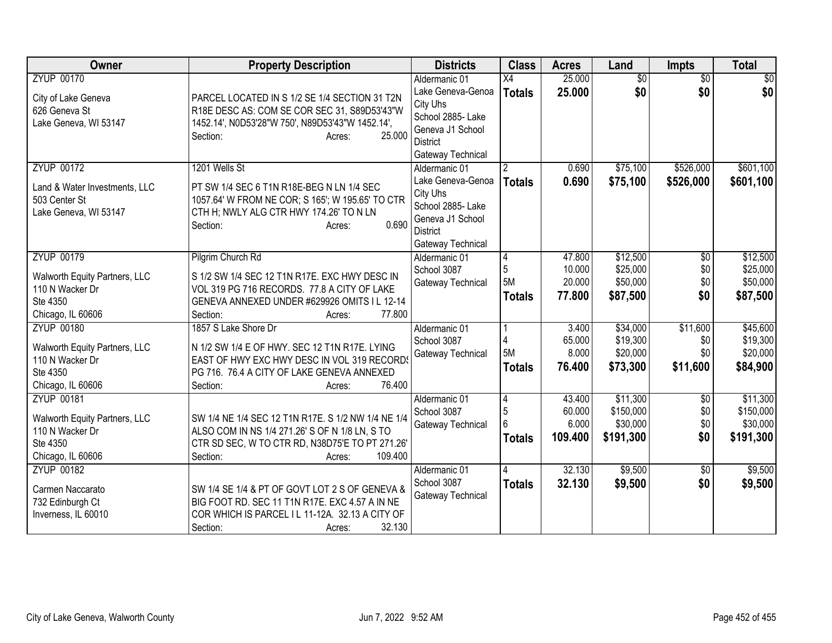| Owner                                                                                                  | <b>Property Description</b>                                                                                                                                                                       | <b>Districts</b>                                                                                                                | <b>Class</b>                                       | <b>Acres</b>                         | Land                                           | <b>Impts</b>                         | <b>Total</b>                                   |
|--------------------------------------------------------------------------------------------------------|---------------------------------------------------------------------------------------------------------------------------------------------------------------------------------------------------|---------------------------------------------------------------------------------------------------------------------------------|----------------------------------------------------|--------------------------------------|------------------------------------------------|--------------------------------------|------------------------------------------------|
| <b>ZYUP 00170</b><br>City of Lake Geneva<br>626 Geneva St<br>Lake Geneva, WI 53147                     | PARCEL LOCATED IN S 1/2 SE 1/4 SECTION 31 T2N<br>R18E DESC AS: COM SE COR SEC 31, S89D53'43"W<br>1452.14', N0D53'28"W 750', N89D53'43"W 1452.14',<br>25.000<br>Section:<br>Acres:                 | Aldermanic 01<br>Lake Geneva-Genoa<br>City Uhs<br>School 2885- Lake<br>Geneva J1 School<br><b>District</b><br>Gateway Technical | $\overline{X4}$<br><b>Totals</b>                   | 25.000<br>25.000                     | $\overline{50}$<br>\$0                         | $\overline{30}$<br>\$0               | $\sqrt{30}$<br>\$0                             |
| <b>ZYUP 00172</b><br>Land & Water Investments, LLC<br>503 Center St<br>Lake Geneva, WI 53147           | 1201 Wells St<br>PT SW 1/4 SEC 6 T1N R18E-BEG N LN 1/4 SEC<br>1057.64' W FROM NE COR; S 165'; W 195.65' TO CTR<br>CTH H; NWLY ALG CTR HWY 174.26' TO N LN<br>0.690<br>Section:<br>Acres:          | Aldermanic 01<br>Lake Geneva-Genoa<br>City Uhs<br>School 2885- Lake<br>Geneva J1 School<br><b>District</b><br>Gateway Technical | <b>Totals</b>                                      | 0.690<br>0.690                       | \$75,100<br>\$75,100                           | \$526,000<br>\$526,000               | \$601,100<br>\$601,100                         |
| <b>ZYUP 00179</b><br>Walworth Equity Partners, LLC<br>110 N Wacker Dr<br>Ste 4350<br>Chicago, IL 60606 | Pilgrim Church Rd<br>S 1/2 SW 1/4 SEC 12 T1N R17E. EXC HWY DESC IN<br>VOL 319 PG 716 RECORDS. 77.8 A CITY OF LAKE<br>GENEVA ANNEXED UNDER #629926 OMITS I L 12-14<br>77.800<br>Section:<br>Acres: | Aldermanic 01<br>School 3087<br>Gateway Technical                                                                               | 4<br>$\sqrt{5}$<br>5M<br><b>Totals</b>             | 47.800<br>10.000<br>20.000<br>77.800 | \$12,500<br>\$25,000<br>\$50,000<br>\$87,500   | \$0<br>\$0<br>\$0<br>\$0             | \$12,500<br>\$25,000<br>\$50,000<br>\$87,500   |
| <b>ZYUP 00180</b><br>Walworth Equity Partners, LLC<br>110 N Wacker Dr<br>Ste 4350<br>Chicago, IL 60606 | 1857 S Lake Shore Dr<br>N 1/2 SW 1/4 E OF HWY. SEC 12 T1N R17E. LYING<br>EAST OF HWY EXC HWY DESC IN VOL 319 RECORD<br>PG 716. 76.4 A CITY OF LAKE GENEVA ANNEXED<br>Section:<br>76.400<br>Acres: | Aldermanic 01<br>School 3087<br>Gateway Technical                                                                               | 4<br>5M<br><b>Totals</b>                           | 3.400<br>65.000<br>8.000<br>76.400   | \$34,000<br>\$19,300<br>\$20,000<br>\$73,300   | \$11,600<br>\$0<br>\$0<br>\$11,600   | \$45,600<br>\$19,300<br>\$20,000<br>\$84,900   |
| <b>ZYUP 00181</b><br>Walworth Equity Partners, LLC<br>110 N Wacker Dr<br>Ste 4350<br>Chicago, IL 60606 | SW 1/4 NE 1/4 SEC 12 T1N R17E. S 1/2 NW 1/4 NE 1/4<br>ALSO COM IN NS 1/4 271.26' S OF N 1/8 LN, S TO<br>CTR SD SEC, W TO CTR RD, N38D75'E TO PT 271.26'<br>Section:<br>109.400<br>Acres:          | Aldermanic 01<br>School 3087<br>Gateway Technical                                                                               | $\overline{4}$<br>$\sqrt{5}$<br>6<br><b>Totals</b> | 43.400<br>60.000<br>6.000<br>109.400 | \$11,300<br>\$150,000<br>\$30,000<br>\$191,300 | $\overline{60}$<br>\$0<br>\$0<br>\$0 | \$11,300<br>\$150,000<br>\$30,000<br>\$191,300 |
| <b>ZYUP 00182</b><br>Carmen Naccarato<br>732 Edinburgh Ct<br>Inverness, IL 60010                       | SW 1/4 SE 1/4 & PT OF GOVT LOT 2 S OF GENEVA &<br>BIG FOOT RD. SEC 11 T1N R17E. EXC 4.57 A IN NE<br>COR WHICH IS PARCEL I L 11-12A. 32.13 A CITY OF<br>32.130<br>Section:<br>Acres:               | Aldermanic 01<br>School 3087<br>Gateway Technical                                                                               | <b>Totals</b>                                      | 32.130<br>32.130                     | \$9,500<br>\$9,500                             | \$0<br>\$0                           | \$9,500<br>\$9,500                             |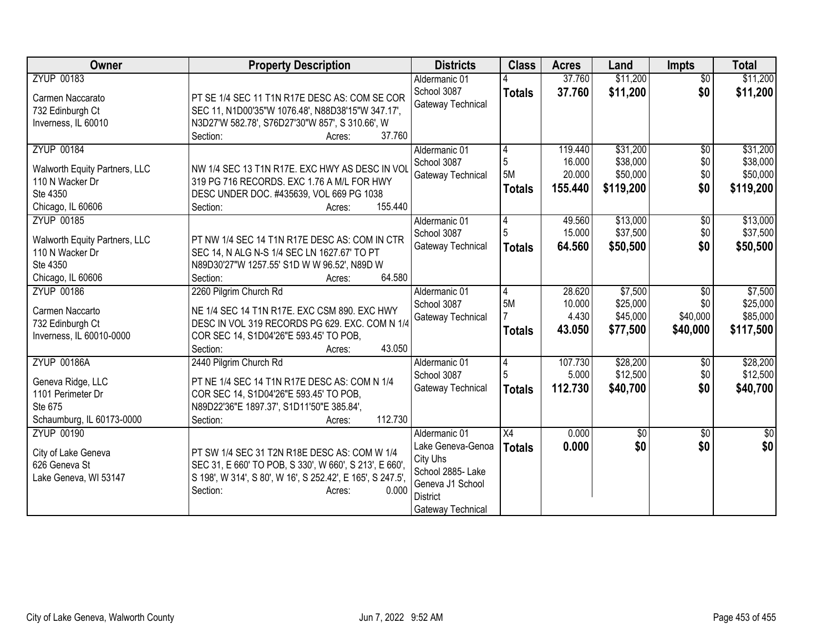| Owner                         | <b>Property Description</b>                                | <b>Districts</b>  | <b>Class</b>    | <b>Acres</b> | Land        | <b>Impts</b>    | <b>Total</b> |
|-------------------------------|------------------------------------------------------------|-------------------|-----------------|--------------|-------------|-----------------|--------------|
| <b>ZYUP 00183</b>             |                                                            | Aldermanic 01     |                 | 37.760       | \$11,200    | $\overline{60}$ | \$11,200     |
| Carmen Naccarato              | PT SE 1/4 SEC 11 T1N R17E DESC AS: COM SE COR              | School 3087       | <b>Totals</b>   | 37.760       | \$11,200    | \$0             | \$11,200     |
| 732 Edinburgh Ct              | SEC 11, N1D00'35"W 1076.48', N88D38'15"W 347.17',          | Gateway Technical |                 |              |             |                 |              |
| Inverness, IL 60010           | N3D27'W 582.78', S76D27'30"W 857', S 310.66', W            |                   |                 |              |             |                 |              |
|                               | 37.760<br>Section:<br>Acres:                               |                   |                 |              |             |                 |              |
| <b>ZYUP 00184</b>             |                                                            | Aldermanic 01     | 4               | 119.440      | \$31,200    | $\sqrt{6}$      | \$31,200     |
| Walworth Equity Partners, LLC | NW 1/4 SEC 13 T1N R17E. EXC HWY AS DESC IN VOL             | School 3087       | 5               | 16.000       | \$38,000    | \$0             | \$38,000     |
| 110 N Wacker Dr               | 319 PG 716 RECORDS. EXC 1.76 A M/L FOR HWY                 | Gateway Technical | 5M              | 20.000       | \$50,000    | \$0             | \$50,000     |
| Ste 4350                      | DESC UNDER DOC. #435639, VOL 669 PG 1038                   |                   | <b>Totals</b>   | 155.440      | \$119,200   | \$0             | \$119,200    |
| Chicago, IL 60606             | 155.440<br>Section:<br>Acres:                              |                   |                 |              |             |                 |              |
| <b>ZYUP 00185</b>             |                                                            | Aldermanic 01     | 4               | 49.560       | \$13,000    | \$0             | \$13,000     |
| Walworth Equity Partners, LLC | PT NW 1/4 SEC 14 T1N R17E DESC AS: COM IN CTR              | School 3087       | 5               | 15.000       | \$37,500    | \$0             | \$37,500     |
| 110 N Wacker Dr               | SEC 14, N ALG N-S 1/4 SEC LN 1627.67' TO PT                | Gateway Technical | <b>Totals</b>   | 64.560       | \$50,500    | \$0             | \$50,500     |
| Ste 4350                      | N89D30'27"W 1257.55' S1D W W 96.52', N89D W                |                   |                 |              |             |                 |              |
| Chicago, IL 60606             | 64.580<br>Section:<br>Acres:                               |                   |                 |              |             |                 |              |
| <b>ZYUP 00186</b>             | 2260 Pilgrim Church Rd                                     | Aldermanic 01     | 4               | 28.620       | \$7,500     | $\sqrt{6}$      | \$7,500      |
| Carmen Naccarto               | NE 1/4 SEC 14 T1N R17E. EXC CSM 890. EXC HWY               | School 3087       | 5M              | 10.000       | \$25,000    | \$0             | \$25,000     |
| 732 Edinburgh Ct              | DESC IN VOL 319 RECORDS PG 629. EXC. COM N 1/4             | Gateway Technical |                 | 4.430        | \$45,000    | \$40,000        | \$85,000     |
| Inverness, IL 60010-0000      | COR SEC 14, S1D04'26"E 593.45' TO POB,                     |                   | <b>Totals</b>   | 43.050       | \$77,500    | \$40,000        | \$117,500    |
|                               | 43.050<br>Section:<br>Acres:                               |                   |                 |              |             |                 |              |
| <b>ZYUP 00186A</b>            | 2440 Pilgrim Church Rd                                     | Aldermanic 01     | 4               | 107.730      | \$28,200    | $\sqrt[6]{30}$  | \$28,200     |
| Geneva Ridge, LLC             | PT NE 1/4 SEC 14 T1N R17E DESC AS: COM N 1/4               | School 3087       |                 | 5.000        | \$12,500    | \$0             | \$12,500     |
| 1101 Perimeter Dr             | COR SEC 14, S1D04'26"E 593.45' TO POB,                     | Gateway Technical | <b>Totals</b>   | 112.730      | \$40,700    | \$0             | \$40,700     |
| Ste 675                       | N89D22'36"E 1897.37', S1D11'50"E 385.84',                  |                   |                 |              |             |                 |              |
| Schaumburg, IL 60173-0000     | 112.730<br>Section:<br>Acres:                              |                   |                 |              |             |                 |              |
| <b>ZYUP 00190</b>             |                                                            | Aldermanic 01     | $\overline{X4}$ | 0.000        | $\sqrt{$0}$ | \$0             | \$0          |
| City of Lake Geneva           | PT SW 1/4 SEC 31 T2N R18E DESC AS: COM W 1/4               | Lake Geneva-Genoa | <b>Totals</b>   | 0.000        | \$0         | \$0             | \$0          |
| 626 Geneva St                 | SEC 31, E 660' TO POB, S 330', W 660', S 213', E 660',     | City Uhs          |                 |              |             |                 |              |
| Lake Geneva, WI 53147         | S 198', W 314', S 80', W 16', S 252.42', E 165', S 247.5', | School 2885- Lake |                 |              |             |                 |              |
|                               | Section:<br>0.000<br>Acres:                                | Geneva J1 School  |                 |              |             |                 |              |
|                               |                                                            | <b>District</b>   |                 |              |             |                 |              |
|                               |                                                            | Gateway Technical |                 |              |             |                 |              |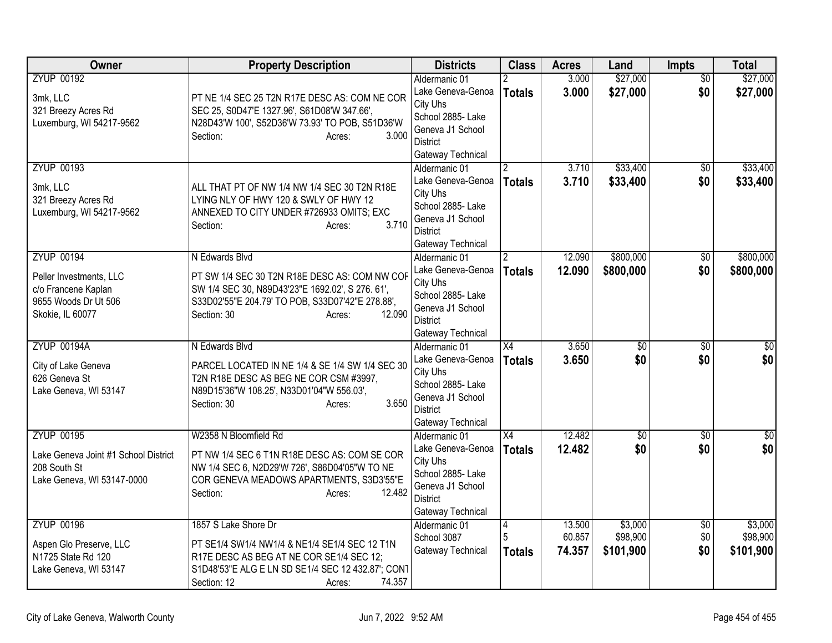| Owner                                                                                                           | <b>Property Description</b>                                                                                                                                                                                | <b>Districts</b>                                                                                                                | <b>Class</b>                           | <b>Acres</b>               | Land                             | Impts                  | <b>Total</b>                     |
|-----------------------------------------------------------------------------------------------------------------|------------------------------------------------------------------------------------------------------------------------------------------------------------------------------------------------------------|---------------------------------------------------------------------------------------------------------------------------------|----------------------------------------|----------------------------|----------------------------------|------------------------|----------------------------------|
| <b>ZYUP 00192</b><br>3mk, LLC<br>321 Breezy Acres Rd<br>Luxemburg, WI 54217-9562                                | PT NE 1/4 SEC 25 T2N R17E DESC AS: COM NE COR<br>SEC 25, S0D47'E 1327.96', S61D08'W 347.66',<br>N28D43'W 100', S52D36'W 73.93' TO POB, S51D36'W<br>3.000<br>Section:<br>Acres:                             | Aldermanic 01<br>Lake Geneva-Genoa<br>City Uhs<br>School 2885- Lake<br>Geneva J1 School<br><b>District</b><br>Gateway Technical | <b>Totals</b>                          | 3.000<br>3.000             | \$27,000<br>\$27,000             | \$0<br>\$0             | \$27,000<br>\$27,000             |
| <b>ZYUP 00193</b><br>3mk, LLC<br>321 Breezy Acres Rd<br>Luxemburg, WI 54217-9562                                | ALL THAT PT OF NW 1/4 NW 1/4 SEC 30 T2N R18E<br>LYING NLY OF HWY 120 & SWLY OF HWY 12<br>ANNEXED TO CITY UNDER #726933 OMITS; EXC<br>3.710<br>Section:<br>Acres:                                           | Aldermanic 01<br>Lake Geneva-Genoa<br>City Uhs<br>School 2885- Lake<br>Geneva J1 School<br><b>District</b><br>Gateway Technical | <b>Totals</b>                          | 3.710<br>3.710             | \$33,400<br>\$33,400             | $\overline{50}$<br>\$0 | \$33,400<br>\$33,400             |
| <b>ZYUP 00194</b><br>Peller Investments, LLC<br>c/o Francene Kaplan<br>9655 Woods Dr Ut 506<br>Skokie, IL 60077 | N Edwards Blvd<br>PT SW 1/4 SEC 30 T2N R18E DESC AS: COM NW COF<br>SW 1/4 SEC 30, N89D43'23"E 1692.02', S 276. 61',<br>S33D02'55"E 204.79' TO POB, S33D07'42"E 278.88',<br>12.090<br>Section: 30<br>Acres: | Aldermanic 01<br>Lake Geneva-Genoa<br>City Uhs<br>School 2885- Lake<br>Geneva J1 School<br><b>District</b><br>Gateway Technical | $\mathbf{2}^{\prime}$<br><b>Totals</b> | 12.090<br>12.090           | \$800,000<br>\$800,000           | \$0<br>\$0             | \$800,000<br>\$800,000           |
| <b>ZYUP 00194A</b><br>City of Lake Geneva<br>626 Geneva St<br>Lake Geneva, WI 53147                             | N Edwards Blvd<br>PARCEL LOCATED IN NE 1/4 & SE 1/4 SW 1/4 SEC 30<br>T2N R18E DESC AS BEG NE COR CSM #3997,<br>N89D15'36"W 108.25', N33D01'04"W 556.03',<br>3.650<br>Section: 30<br>Acres:                 | Aldermanic 01<br>Lake Geneva-Genoa<br>City Uhs<br>School 2885- Lake<br>Geneva J1 School<br><b>District</b><br>Gateway Technical | X4<br><b>Totals</b>                    | 3.650<br>3.650             | $\overline{60}$<br>\$0           | $\overline{30}$<br>\$0 | \$0<br>\$0                       |
| <b>ZYUP 00195</b><br>Lake Geneva Joint #1 School District<br>208 South St<br>Lake Geneva, WI 53147-0000         | W2358 N Bloomfield Rd<br>PT NW 1/4 SEC 6 T1N R18E DESC AS: COM SE COR<br>NW 1/4 SEC 6, N2D29'W 726', S86D04'05"W TO NE<br>COR GENEVA MEADOWS APARTMENTS, S3D3'55"E<br>12.482<br>Section:<br>Acres:         | Aldermanic 01<br>Lake Geneva-Genoa<br>City Uhs<br>School 2885- Lake<br>Geneva J1 School<br><b>District</b><br>Gateway Technical | X4<br><b>Totals</b>                    | 12.482<br>12.482           | $\sqrt{6}$<br>\$0                | $\sqrt{6}$<br>\$0      | $\frac{1}{6}$<br>\$0             |
| <b>ZYUP 00196</b><br>Aspen Glo Preserve, LLC<br>N1725 State Rd 120<br>Lake Geneva, WI 53147                     | 1857 S Lake Shore Dr<br>PT SE1/4 SW1/4 NW1/4 & NE1/4 SE1/4 SEC 12 T1N<br>R17E DESC AS BEG AT NE COR SE1/4 SEC 12;<br>S1D48'53"E ALG E LN SD SE1/4 SEC 12 432.87"; CONT<br>74.357<br>Section: 12<br>Acres:  | Aldermanic 01<br>School 3087<br>Gateway Technical                                                                               | $\vert 4$<br>5<br><b>Totals</b>        | 13,500<br>60.857<br>74.357 | \$3,000<br>\$98,900<br>\$101,900 | \$0<br>\$0<br>\$0      | \$3,000<br>\$98,900<br>\$101,900 |